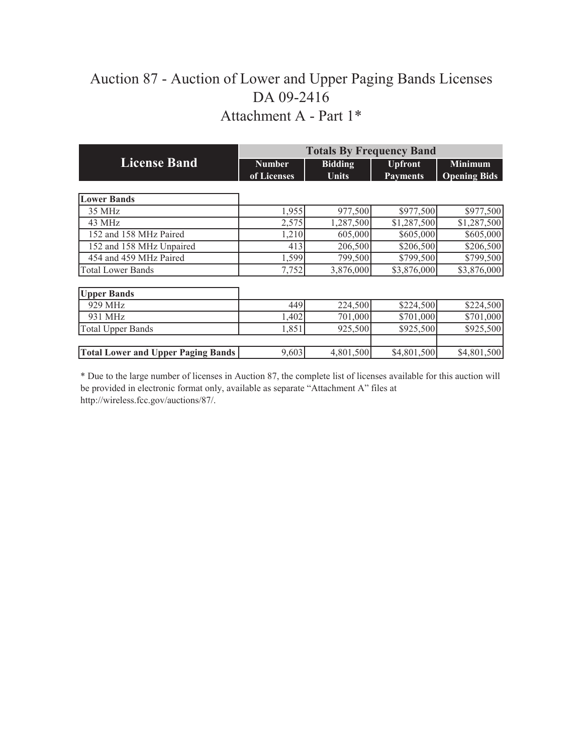## Auction 87 - Auction of Lower and Upper Paging Bands Licenses DA 09-2416 Attachment A - Part 1\*

|                                           |               | <b>Totals By Frequency Band</b> |                 |                     |
|-------------------------------------------|---------------|---------------------------------|-----------------|---------------------|
| <b>License Band</b>                       | <b>Number</b> | <b>Bidding</b>                  | <b>Upfront</b>  | <b>Minimum</b>      |
|                                           | of Licenses   | <b>Units</b>                    | <b>Payments</b> | <b>Opening Bids</b> |
|                                           |               |                                 |                 |                     |
| <b>Lower Bands</b>                        |               |                                 |                 |                     |
| 35 MHz                                    | 1,955         | 977,500                         | \$977,500       | \$977,500           |
| 43 MHz                                    | 2,575         | 1,287,500                       | \$1,287,500     | \$1,287,500         |
| 152 and 158 MHz Paired                    | 1,210         | 605,000                         | \$605,000       | \$605,000           |
| 152 and 158 MHz Unpaired                  | 413           | 206,500                         | \$206,500       | \$206,500           |
| 454 and 459 MHz Paired                    | 1,599         | 799,500                         | \$799,500       | \$799,500           |
| <b>Total Lower Bands</b>                  | 7,752         | 3,876,000                       | \$3,876,000     | \$3,876,000         |
|                                           |               |                                 |                 |                     |
| <b>Upper Bands</b>                        |               |                                 |                 |                     |
| 929 MHz                                   | 449           | 224,500                         | \$224,500       | \$224,500           |
| 931 MHz                                   | 1,402         | 701,000                         | \$701,000       | \$701,000           |
| <b>Total Upper Bands</b>                  | 1,851         | 925,500                         | \$925,500       | \$925,500           |
|                                           |               |                                 |                 |                     |
| <b>Total Lower and Upper Paging Bands</b> | 9,603         | 4,801,500                       | \$4,801,500     | \$4,801,500         |

\* Due to the large number of licenses in Auction 87, the complete list of licenses available for this auction will be provided in electronic format only, available as separate "Attachment A" files at http://wireless.fcc.gov/auctions/87/.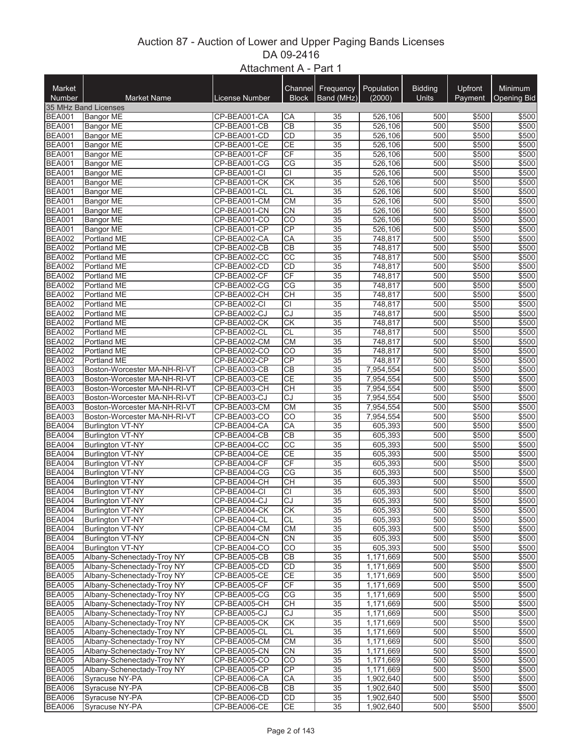## Auction 87 - Auction of Lower and Upper Paging Bands Licenses Attachment A - Part 1 DA 09-2416

| Market<br>Number               | <b>Market Name</b>                          | <b>License Number</b>        | Channel<br><b>Block</b> | Frequency<br>Band (MHz)            | Population<br>(2000)            | <b>Bidding</b><br>Units | Upfront<br>Payment | <b>Minimum</b><br><b>Opening Bid</b> |
|--------------------------------|---------------------------------------------|------------------------------|-------------------------|------------------------------------|---------------------------------|-------------------------|--------------------|--------------------------------------|
| <b>BEA001</b>                  | 35 MHz Band Licenses                        |                              |                         |                                    | 526,106                         |                         |                    |                                      |
| <b>BEA001</b>                  | <b>Bangor ME</b><br><b>Bangor ME</b>        | CP-BEA001-CA<br>CP-BEA001-CB | CA<br>$\overline{CB}$   | 35<br>35                           | 526,106                         | 500<br>500              | \$500<br>\$500     | \$500<br>\$500                       |
| <b>BEA001</b>                  | <b>Bangor ME</b>                            | CP-BEA001-CD                 | CD                      | $\overline{35}$                    | 526,106                         | 500                     | \$500              | \$500                                |
| <b>BEA001</b>                  | <b>Bangor ME</b>                            | CP-BEA001-CE                 | <b>CE</b>               | 35                                 | 526,106                         | 500                     | \$500              | \$500                                |
| <b>BEA001</b>                  | <b>Bangor ME</b>                            | CP-BEA001-CF                 | <b>CF</b>               | $\overline{35}$                    | 526,106                         | 500                     | \$500              | \$500                                |
| <b>BEA001</b>                  | <b>Bangor ME</b>                            | CP-BEA001-CG                 | $\overline{\text{CG}}$  | $\overline{35}$                    | 526,106                         | 500                     | \$500              | \$500                                |
| <b>BEA001</b>                  | <b>Bangor ME</b>                            | CP-BEA001-CI                 | $\overline{c}$          | 35                                 | 526,106                         | 500                     | \$500              | \$500                                |
| <b>BEA001</b>                  | <b>Bangor ME</b>                            | CP-BEA001-CK                 | $\overline{\text{CK}}$  | $\overline{35}$                    | 526,106                         | 500                     | \$500              | \$500                                |
| <b>BEA001</b>                  | <b>Bangor ME</b>                            | CP-BEA001-CL                 | CL                      | $\overline{35}$                    | 526.106                         | 500                     | \$500              | \$500                                |
| <b>BEA001</b>                  | <b>Bangor ME</b>                            | CP-BEA001-CM                 | CM                      | $\overline{35}$                    | 526,106                         | 500                     | \$500              | \$500                                |
| <b>BEA001</b>                  | <b>Bangor ME</b>                            | CP-BEA001-CN                 | <b>CN</b>               | $\overline{35}$                    | 526,106                         | 500                     | \$500              | \$500                                |
| <b>BEA001</b>                  | <b>Bangor ME</b>                            | CP-BEA001-CO                 | $\overline{CO}$         | $\overline{35}$                    | 526,106                         | 500                     | \$500              | \$500                                |
| <b>BEA001</b>                  | <b>Bangor ME</b>                            | CP-BEA001-CP                 | CP                      | $\overline{35}$                    | 526,106                         | 500                     | \$500              | \$500                                |
| <b>BEA002</b>                  | Portland ME                                 | CP-BEA002-CA                 | $\overline{CA}$         | 35                                 | 748,817                         | 500                     | \$500              | \$500                                |
| <b>BEA002</b>                  | Portland ME                                 | CP-BEA002-CB                 | $\overline{CB}$         | $\overline{35}$                    | 748,817                         | 500                     | \$500              | \$500                                |
| <b>BEA002</b>                  | Portland ME                                 | CP-BEA002-CC                 | CC                      | 35                                 | 748,817                         | 500                     | \$500              | \$500                                |
| <b>BEA002</b>                  | Portland ME                                 | CP-BEA002-CD                 | CD                      | $\overline{35}$                    | 748,817                         | 500                     | \$500              | \$500                                |
| <b>BEA002</b>                  | <b>Portland ME</b>                          | CP-BEA002-CF                 | $\overline{CF}$         | $\overline{35}$                    | 748,817                         | 500                     | \$500              | \$500                                |
| <b>BEA002</b><br><b>BEA002</b> | Portland ME<br>Portland ME                  | CP-BEA002-CG<br>CP-BEA002-CH | CG<br>$\overline{CH}$   | $\overline{35}$<br>$\overline{35}$ | 748,817                         | 500<br>500              | \$500<br>\$500     | \$500<br>\$500                       |
|                                |                                             |                              | $\overline{CI}$         |                                    | 748,817<br>$\overline{748,817}$ | 500                     | \$500              | \$500                                |
| <b>BEA002</b><br><b>BEA002</b> | Portland ME<br>Portland ME                  | CP-BEA002-CI<br>CP-BEA002-CJ | $\overline{CJ}$         | 35<br>35                           | 748,817                         | 500                     | \$500              | \$500                                |
| <b>BEA002</b>                  | Portland ME                                 | CP-BEA002-CK                 | $\overline{CK}$         | 35                                 | 748,817                         | 500                     | \$500              | \$500                                |
| <b>BEA002</b>                  | Portland ME                                 | CP-BEA002-CL                 | <b>CL</b>               | $\overline{35}$                    | 748,817                         | 500                     | \$500              | \$500                                |
| <b>BEA002</b>                  | Portland ME                                 | CP-BEA002-CM                 | CM                      | 35                                 | 748,817                         | 500                     | \$500              | \$500                                |
| <b>BEA002</b>                  | <b>Portland ME</b>                          | CP-BEA002-CO                 | $\overline{CO}$         | $\overline{35}$                    | 748,817                         | 500                     | \$500              | \$500                                |
| <b>BEA002</b>                  | Portland ME                                 | CP-BEA002-CP                 | CP                      | $\overline{35}$                    | 748,817                         | 500                     | \$500              | \$500                                |
| <b>BEA003</b>                  | Boston-Worcester MA-NH-RI-VT                | CP-BEA003-CB                 | $\overline{CB}$         | $\overline{35}$                    | 7,954,554                       | 500                     | \$500              | \$500                                |
| <b>BEA003</b>                  | Boston-Worcester MA-NH-RI-VT                | CP-BEA003-CE                 | СE                      | 35                                 | 7,954,554                       | 500                     | \$500              | \$500                                |
| <b>BEA003</b>                  | Boston-Worcester MA-NH-RI-VT                | CP-BEA003-CH                 | CH                      | 35                                 | 7,954,554                       | 500                     | \$500              | \$500                                |
| <b>BEA003</b>                  | Boston-Worcester MA-NH-RI-VT                | CP-BEA003-CJ                 | CJ                      | $\overline{35}$                    | 7,954,554                       | 500                     | \$500              | \$500                                |
| <b>BEA003</b>                  | Boston-Worcester MA-NH-RI-VT                | CP-BEA003-CM                 | <b>CM</b>               | 35                                 | 7,954,554                       | 500                     | \$500              | \$500                                |
| <b>BEA003</b>                  | Boston-Worcester MA-NH-RI-VT                | CP-BEA003-CO                 | $\overline{CO}$         | $\overline{35}$                    | 7,954,554                       | 500                     | \$500              | \$500                                |
| <b>BEA004</b>                  | <b>Burlington VT-NY</b>                     | CP-BEA004-CA                 | CA                      | $\overline{35}$                    | 605,393                         | 500                     | \$500              | \$500                                |
| <b>BEA004</b>                  | <b>Burlington VT-NY</b>                     | CP-BEA004-CB                 | $\overline{CB}$         | $\overline{35}$                    | 605,393                         | 500                     | \$500              | \$500                                |
| <b>BEA004</b>                  | <b>Burlington VT-NY</b>                     | CP-BEA004-CC                 | $\overline{CC}$         | $\overline{35}$                    | 605,393                         | 500                     | \$500              | \$500                                |
| <b>BEA004</b>                  | <b>Burlington VT-NY</b>                     | CP-BEA004-CE                 | <b>CE</b>               | $\overline{35}$                    | 605,393                         | 500                     | \$500              | \$500                                |
| <b>BEA004</b>                  | <b>Burlington VT-NY</b>                     | CP-BEA004-CF                 | CF                      | 35                                 | 605,393                         | 500                     | \$500              | \$500                                |
| <b>BEA004</b>                  | <b>Burlington VT-NY</b>                     | CP-BEA004-CG                 | CG                      | 35                                 | 605,393                         | 500                     | \$500              | \$500                                |
| <b>BEA004</b>                  | <b>Burlington VT-NY</b>                     | CP-BEA004-CH                 | <b>CH</b>               | 35                                 | 605,393                         | 500                     | \$500              | \$500                                |
| <b>BEA004</b>                  | <b>Burlington VT-NY</b>                     | CP-BEA004-CI<br>CP-BEA004-CJ | <b>CI</b>               | 35                                 | 605,393                         | 500                     | \$500              | \$500                                |
| <b>BEA004</b>                  | <b>Burlington VT-NY</b>                     |                              | $\overline{CJ}$<br>CK   | $\overline{35}$<br>35              | 605,393<br>605.393              | 500                     | \$500              | \$500                                |
| BEA004<br><b>BEA004</b>        | Burlington VT-NY<br><b>Burlington VT-NY</b> | CP-BEA004-CK<br>CP-BEA004-CL | СL                      | 35                                 | 605,393                         | 500<br>500              | \$500<br>\$500     | \$500<br>\$500                       |
| <b>BEA004</b>                  | <b>Burlington VT-NY</b>                     | CP-BEA004-CM                 | <b>CM</b>               | 35                                 | 605,393                         | 500                     | \$500              | \$500                                |
| <b>BEA004</b>                  | <b>Burlington VT-NY</b>                     | CP-BEA004-CN                 | <b>CN</b>               | 35                                 | 605,393                         | 500                     | \$500              | \$500                                |
| <b>BEA004</b>                  | <b>Burlington VT-NY</b>                     | CP-BEA004-CO                 | CO                      | 35                                 | 605,393                         | 500                     | \$500              | \$500                                |
| <b>BEA005</b>                  | Albany-Schenectady-Troy NY                  | CP-BEA005-CB                 | <b>CB</b>               | 35                                 | 1,171,669                       | 500                     | \$500              | \$500                                |
| <b>BEA005</b>                  | Albany-Schenectady-Troy NY                  | CP-BEA005-CD                 | CD                      | 35                                 | 1,171,669                       | 500                     | \$500              | \$500                                |
| <b>BEA005</b>                  | Albany-Schenectady-Troy NY                  | CP-BEA005-CE                 | <b>CE</b>               | 35                                 | 1,171,669                       | 500                     | \$500              | \$500                                |
| <b>BEA005</b>                  | Albany-Schenectady-Troy NY                  | CP-BEA005-CF                 | CF                      | 35                                 | 1,171,669                       | 500                     | \$500              | \$500                                |
| <b>BEA005</b>                  | Albany-Schenectady-Troy NY                  | CP-BEA005-CG                 | CG                      | 35                                 | 1,171,669                       | 500                     | \$500              | \$500                                |
| <b>BEA005</b>                  | Albany-Schenectady-Troy NY                  | CP-BEA005-CH                 | <b>CH</b>               | 35                                 | 1,171,669                       | 500                     | \$500              | \$500                                |
| <b>BEA005</b>                  | Albany-Schenectady-Troy NY                  | CP-BEA005-CJ                 | CJ                      | $\overline{35}$                    | 1,171,669                       | 500                     | \$500              | \$500                                |
| <b>BEA005</b>                  | Albany-Schenectady-Troy NY                  | CP-BEA005-CK                 | CK                      | 35                                 | 1,171,669                       | 500                     | \$500              | \$500                                |
| <b>BEA005</b>                  | Albany-Schenectady-Troy NY                  | CP-BEA005-CL                 | CL                      | 35                                 | 1,171,669                       | 500                     | \$500              | \$500                                |
| <b>BEA005</b>                  | Albany-Schenectady-Troy NY                  | CP-BEA005-CM                 | <b>CM</b>               | 35                                 | 1,171,669                       | 500                     | \$500              | \$500                                |
| <b>BEA005</b>                  | Albany-Schenectady-Troy NY                  | CP-BEA005-CN                 | <b>CN</b>               | 35                                 | 1,171,669                       | 500                     | \$500              | \$500                                |
| <b>BEA005</b>                  | Albany-Schenectady-Troy NY                  | CP-BEA005-CO                 | CO                      | 35                                 | 1,171,669                       | 500                     | \$500              | \$500                                |
| <b>BEA005</b>                  | Albany-Schenectady-Troy NY                  | CP-BEA005-CP                 | <b>CP</b>               | 35                                 | 1,171,669                       | 500                     | \$500              | \$500                                |
| <b>BEA006</b>                  | Syracuse NY-PA                              | CP-BEA006-CA                 | СA                      | 35                                 | 1,902,640                       | 500                     | \$500              | \$500                                |
| <b>BEA006</b>                  | Syracuse NY-PA                              | CP-BEA006-CB                 | CВ                      | 35                                 | 1,902,640                       | 500                     | \$500              | \$500                                |
| <b>BEA006</b>                  | Syracuse NY-PA                              | CP-BEA006-CD                 | CD                      | 35                                 | 1,902,640                       | 500                     | \$500              | \$500                                |
| <b>BEA006</b>                  | Syracuse NY-PA                              | CP-BEA006-CE                 | СE                      | 35                                 | 1,902,640                       | 500                     | \$500              | \$500                                |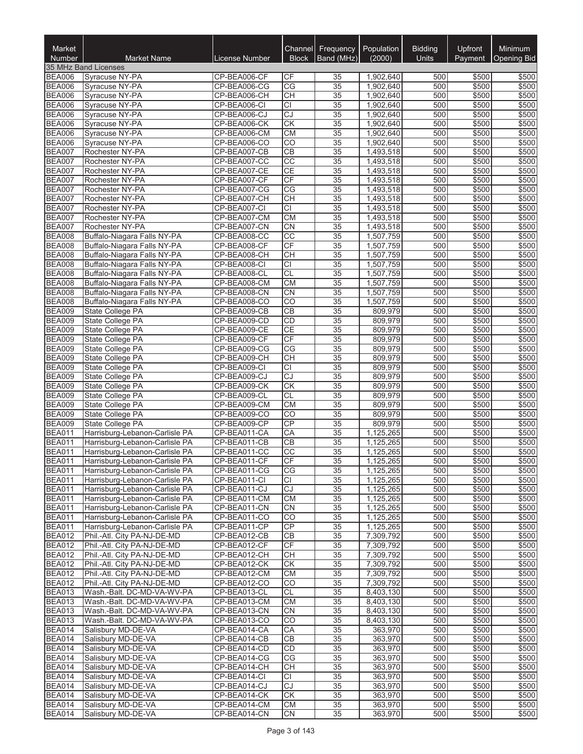| Market<br><b>Number</b>        | <b>Market Name</b>                                               | License Number               | Channel<br><b>Block</b> | Frequency<br>Band (MHz) | Population<br>(2000)   | <b>Bidding</b><br><b>Units</b> | Upfront<br>Payment | Minimum<br><b>Opening Bid</b> |
|--------------------------------|------------------------------------------------------------------|------------------------------|-------------------------|-------------------------|------------------------|--------------------------------|--------------------|-------------------------------|
|                                | 35 MHz Band Licenses                                             |                              |                         |                         |                        |                                |                    |                               |
| <b>BEA006</b>                  | Syracuse NY-PA                                                   | CP-BEA006-CF                 | СF                      | 35                      | 1,902,640              | 500                            | \$500              | \$500                         |
| <b>BEA006</b>                  | Syracuse NY-PA                                                   | CP-BEA006-CG                 | CG                      | 35                      | 1,902,640              | 500                            | \$500              | \$500                         |
| <b>BEA006</b>                  | Syracuse NY-PA                                                   | CP-BEA006-CH                 | <b>CH</b>               | 35                      | 1,902,640              | 500                            | \$500              | \$500                         |
| <b>BEA006</b>                  | Syracuse NY-PA                                                   | CP-BEA006-CI                 | <b>CI</b><br>CJ         | 35                      | 1,902,640              | 500                            | \$500              | \$500                         |
| <b>BEA006</b><br><b>BEA006</b> | Syracuse NY-PA<br>Syracuse NY-PA                                 | CP-BEA006-CJ<br>CP-BEA006-CK | CK                      | 35<br>$\overline{35}$   | 1,902,640<br>1,902,640 | 500<br>500                     | \$500<br>\$500     | \$500<br>\$500                |
| <b>BEA006</b>                  | Syracuse NY-PA                                                   | CP-BEA006-CM                 | <b>CM</b>               | $\overline{35}$         | 1,902,640              | 500                            | \$500              | \$500                         |
| <b>BEA006</b>                  | Syracuse NY-PA                                                   | CP-BEA006-CO                 | CO                      | 35                      | 1,902,640              | 500                            | \$500              | \$500                         |
| <b>BEA007</b>                  | Rochester NY-PA                                                  | CP-BEA007-CB                 | CB                      | $\overline{35}$         | 1,493,518              | 500                            | \$500              | \$500                         |
| <b>BEA007</b>                  | Rochester NY-PA                                                  | CP-BEA007-CC                 | $\overline{CC}$         | 35                      | 1,493,518              | 500                            | \$500              | \$500                         |
| <b>BEA007</b>                  | Rochester NY-PA                                                  | CP-BEA007-CE                 | <b>CE</b>               | 35                      | 1,493,518              | 500                            | \$500              | \$500                         |
| <b>BEA007</b>                  | Rochester NY-PA                                                  | CP-BEA007-CF                 | CF                      | 35                      | 1,493,518              | 500                            | \$500              | \$500                         |
| <b>BEA007</b>                  | Rochester NY-PA                                                  | CP-BEA007-CG                 | CG                      | 35                      | 1,493,518              | 500                            | \$500<br>\$500     | \$500                         |
| <b>BEA007</b><br><b>BEA007</b> | Rochester NY-PA<br>Rochester NY-PA                               | CP-BEA007-CH<br>CP-BEA007-CI | CH<br>$\overline{CI}$   | 35<br>$\overline{35}$   | 1,493,518<br>1,493,518 | 500<br>500                     | \$500              | \$500<br>\$500                |
| <b>BEA007</b>                  | Rochester NY-PA                                                  | CP-BEA007-CM                 | <b>CM</b>               | 35                      | 1,493,518              | 500                            | \$500              | \$500                         |
| <b>BEA007</b>                  | Rochester NY-PA                                                  | CP-BEA007-CN                 | CN                      | $\overline{35}$         | 1,493,518              | 500                            | \$500              | \$500                         |
| <b>BEA008</b>                  | Buffalo-Niagara Falls NY-PA                                      | CP-BEA008-CC                 | $\overline{cc}$         | $\overline{35}$         | 1,507,759              | 500                            | \$500              | \$500                         |
| <b>BEA008</b>                  | Buffalo-Niagara Falls NY-PA                                      | CP-BEA008-CF                 | CF                      | 35                      | 1,507,759              | 500                            | \$500              | \$500                         |
| <b>BEA008</b>                  | Buffalo-Niagara Falls NY-PA                                      | CP-BEA008-CH                 | CH                      | $\overline{35}$         | 1,507,759              | 500                            | \$500              | \$500                         |
| <b>BEA008</b>                  | Buffalo-Niagara Falls NY-PA                                      | CP-BEA008-CI                 | <b>CI</b>               | 35                      | 1,507,759              | 500                            | \$500              | \$500                         |
| <b>BEA008</b>                  | Buffalo-Niagara Falls NY-PA                                      | CP-BEA008-CL                 | $\overline{CL}$         | $\overline{35}$         | 1,507,759              | 500                            | \$500              | \$500                         |
| <b>BEA008</b>                  | Buffalo-Niagara Falls NY-PA                                      | CP-BEA008-CM                 | <b>CM</b>               | $\overline{35}$         | 1,507,759              | 500                            | \$500              | \$500                         |
| <b>BEA008</b><br><b>BEA008</b> | Buffalo-Niagara Falls NY-PA<br>Buffalo-Niagara Falls NY-PA       | CP-BEA008-CN<br>CP-BEA008-CO | CN<br>CO                | 35<br>$\overline{35}$   | 1,507,759<br>1,507,759 | 500<br>500                     | \$500<br>\$500     | \$500<br>\$500                |
| <b>BEA009</b>                  | State College PA                                                 | CP-BEA009-CB                 | CB                      | $\overline{35}$         | 809,979                | 500                            | \$500              | \$500                         |
| <b>BEA009</b>                  | State College PA                                                 | CP-BEA009-CD                 | CD                      | 35                      | 809,979                | 500                            | \$500              | \$500                         |
| <b>BEA009</b>                  | State College PA                                                 | CP-BEA009-CE                 | <b>CE</b>               | 35                      | 809,979                | 500                            | \$500              | \$500                         |
| <b>BEA009</b>                  | State College PA                                                 | CP-BEA009-CF                 | CF                      | 35                      | 809,979                | 500                            | \$500              | \$500                         |
| <b>BEA009</b>                  | State College PA                                                 | CP-BEA009-CG                 | CG                      | 35                      | 809,979                | 500                            | \$500              | \$500                         |
| <b>BEA009</b>                  | State College PA                                                 | CP-BEA009-CH                 | CH                      | $\overline{35}$         | 809,979                | 500                            | \$500              | \$500                         |
| <b>BEA009</b>                  | State College PA                                                 | CP-BEA009-CI                 | $\overline{CI}$         | $\overline{35}$         | 809,979                | 500                            | \$500              | \$500                         |
| <b>BEA009</b>                  | State College PA                                                 | CP-BEA009-CJ                 | CJ<br>$\overline{CK}$   | 35<br>$\overline{35}$   | 809,979                | 500                            | \$500              | \$500                         |
| <b>BEA009</b><br><b>BEA009</b> | State College PA<br>State College PA                             | CP-BEA009-CK<br>CP-BEA009-CL | <b>CL</b>               | 35                      | 809,979<br>809,979     | 500<br>500                     | \$500<br>\$500     | \$500<br>\$500                |
| <b>BEA009</b>                  | State College PA                                                 | CP-BEA009-CM                 | <b>CM</b>               | 35                      | 809,979                | 500                            | \$500              | \$500                         |
| <b>BEA009</b>                  | State College PA                                                 | CP-BEA009-CO                 | CO                      | 35                      | 809,979                | 500                            | \$500              | \$500                         |
| <b>BEA009</b>                  | State College PA                                                 | CP-BEA009-CP                 | CP                      | 35                      | 809,979                | 500                            | \$500              | \$500                         |
| <b>BEA011</b>                  | Harrisburg-Lebanon-Carlisle PA                                   | CP-BEA011-CA                 | CA                      | 35                      | 1,125,265              | 500                            | \$500              | \$500                         |
| <b>BEA011</b>                  | Harrisburg-Lebanon-Carlisle PA                                   | CP-BEA011-CB                 | $\overline{CB}$         | $\overline{35}$         | 1,125,265              | 500                            | \$500              | \$500                         |
| <b>BEA011</b>                  | Harrisburg-Lebanon-Carlisle PA                                   | CP-BEA011-CC                 | CC                      | 35                      | 1,125,265              | 500                            | \$500              | \$500                         |
| <b>BEA011</b>                  | Harrisburg-Lebanon-Carlisle PA                                   | CP-BEA011-CF                 | CF                      | $\overline{35}$         | 1,125,265              | 500                            | \$500              | \$500                         |
| <b>BEA011</b><br><b>BEA011</b> | Harrisburg-Lebanon-Carlisle PA<br>Harrisburg-Lebanon-Carlisle PA | CP-BEA011-CG<br>CP-BEA011-CI | CG                      | 35                      | 1,125,265<br>1,125,265 | 500<br>500                     | \$500<br>\$500     | \$500<br>\$500                |
| <b>BEA011</b>                  | Harrisburg-Lebanon-Carlisle PA                                   | CP-BEA011-CJ                 | СI<br>CJ                | 35<br>35                | 1,125,265              | 500                            | \$500              | \$500                         |
| <b>BEA011</b>                  | Harrisburg-Lebanon-Carlisle PA                                   | CP-BEA011-CM                 | СM                      | 35                      | 1,125,265              | 500                            | \$500              | \$500                         |
| <b>BEA011</b>                  | Harrisburg-Lebanon-Carlisle PA                                   | CP-BEA011-CN                 | <b>CN</b>               | 35                      | 1,125,265              | 500                            | \$500              | \$500                         |
| <b>BEA011</b>                  | Harrisburg-Lebanon-Carlisle PA                                   | CP-BEA011-CO                 | $\overline{CO}$         | 35                      | 1,125,265              | 500                            | \$500              | \$500                         |
| <b>BEA011</b>                  | Harrisburg-Lebanon-Carlisle PA                                   | CP-BEA011-CP                 | <b>CP</b>               | 35                      | 1,125,265              | 500                            | \$500              | \$500                         |
| <b>BEA012</b>                  | Phil.-Atl. City PA-NJ-DE-MD                                      | CP-BEA012-CB                 | CВ                      | 35                      | 7,309,792              | 500                            | \$500              | \$500                         |
| <b>BEA012</b>                  | Phil.-Atl. City PA-NJ-DE-MD                                      | CP-BEA012-CF                 | CF                      | $\overline{35}$         | 7,309,792              | 500                            | \$500              | \$500                         |
| <b>BEA012</b>                  | Phil.-Atl. City PA-NJ-DE-MD                                      | CP-BEA012-CH                 | CH                      | 35                      | 7,309,792              | 500                            | \$500              | \$500                         |
| <b>BEA012</b><br><b>BEA012</b> | Phil.-Atl. City PA-NJ-DE-MD<br>Phil.-Atl. City PA-NJ-DE-MD       | CP-BEA012-CK<br>CP-BEA012-CM | <b>CK</b><br>СM         | 35<br>35                | 7,309,792<br>7,309,792 | 500<br>500                     | \$500<br>\$500     | \$500<br>\$500                |
| <b>BEA012</b>                  | Phil.-Atl. City PA-NJ-DE-MD                                      | CP-BEA012-CO                 | CO                      | 35                      | 7,309,792              | 500                            | \$500              | \$500                         |
| <b>BEA013</b>                  | Wash.-Balt. DC-MD-VA-WV-PA                                       | CP-BEA013-CL                 | CL                      | $\overline{35}$         | 8,403,130              | 500                            | \$500              | \$500                         |
| <b>BEA013</b>                  | Wash - Balt. DC-MD-VA-WV-PA                                      | CP-BEA013-CM                 | <b>CM</b>               | 35                      | 8,403,130              | 500                            | \$500              | \$500                         |
| <b>BEA013</b>                  | Wash.-Balt. DC-MD-VA-WV-PA                                       | CP-BEA013-CN                 | <b>CN</b>               | 35                      | 8,403,130              | 500                            | \$500              | \$500                         |
| <b>BEA013</b>                  | Wash.-Balt. DC-MD-VA-WV-PA                                       | CP-BEA013-CO                 | $\overline{CO}$         | 35                      | 8,403,130              | 500                            | \$500              | \$500                         |
| <b>BEA014</b>                  | Salisbury MD-DE-VA                                               | CP-BEA014-CA                 | СA                      | 35                      | 363,970                | 500                            | \$500              | \$500                         |
| <b>BEA014</b>                  | Salisbury MD-DE-VA                                               | CP-BEA014-CB                 | <b>CB</b>               | 35                      | 363,970                | 500                            | \$500              | \$500                         |
| <b>BEA014</b><br><b>BEA014</b> | Salisbury MD-DE-VA                                               | CP-BEA014-CD                 | CD                      | 35                      | 363,970                | 500                            | \$500              | \$500                         |
| <b>BEA014</b>                  | Salisbury MD-DE-VA<br>Salisbury MD-DE-VA                         | CP-BEA014-CG<br>CP-BEA014-CH | CG<br>CН                | 35<br>35                | 363,970<br>363,970     | 500<br>500                     | \$500<br>\$500     | \$500<br>\$500                |
| <b>BEA014</b>                  | Salisbury MD-DE-VA                                               | CP-BEA014-CI                 | lCI.                    | 35                      | 363,970                | 500                            | \$500              | \$500                         |
| <b>BEA014</b>                  | Salisbury MD-DE-VA                                               | CP-BEA014-CJ                 | CJ                      | 35                      | 363,970                | 500                            | \$500              | \$500                         |
| <b>BEA014</b>                  | Salisbury MD-DE-VA                                               | CP-BEA014-CK                 | <b>CK</b>               | 35                      | 363,970                | 500                            | \$500              | \$500                         |
| <b>BEA014</b>                  | Salisbury MD-DE-VA                                               | CP-BEA014-CM                 | СM                      | 35                      | 363,970                | 500                            | \$500              | \$500                         |
| <b>BEA014</b>                  | Salisbury MD-DE-VA                                               | CP-BEA014-CN                 | <b>CN</b>               | 35                      | 363,970                | 500                            | \$500              | \$500                         |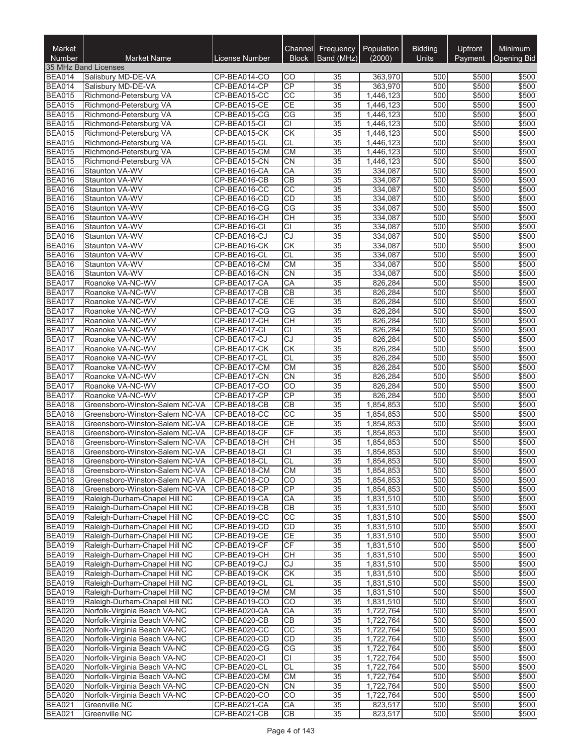| Market<br><b>Number</b>        | <b>Market Name</b>                                             | License Number               | Channel<br><b>Block</b>      | Frequency<br>Band (MHz)            | Population<br>(2000)   | <b>Bidding</b><br><b>Units</b> | Upfront<br>Payment | Minimum<br><b>Opening Bid</b> |
|--------------------------------|----------------------------------------------------------------|------------------------------|------------------------------|------------------------------------|------------------------|--------------------------------|--------------------|-------------------------------|
|                                | 35 MHz Band Licenses                                           |                              |                              |                                    |                        |                                |                    |                               |
| <b>BEA014</b>                  | Salisbury MD-DE-VA                                             | CP-BEA014-CO                 | CO                           | 35                                 | 363,970                | 500                            | \$500              | \$500                         |
| <b>BEA014</b>                  | Salisbury MD-DE-VA                                             | CP-BEA014-CP                 | CP                           | $\overline{35}$                    | 363,970                | 500                            | \$500              | \$500                         |
| <b>BEA015</b>                  | Richmond-Petersburg VA                                         | CP-BEA015-CC                 | CC                           | $\overline{35}$                    | 1,446,123              | 500                            | \$500              | \$500                         |
| <b>BEA015</b>                  | Richmond-Petersburg VA                                         | CP-BEA015-CE                 | <b>CE</b>                    | $\overline{35}$                    | 1,446,123              | 500                            | \$500              | \$500                         |
| <b>BEA015</b>                  | Richmond-Petersburg VA                                         | CP-BEA015-CG                 | CG                           | 35                                 | 1,446,123              | 500                            | \$500              | \$500                         |
| <b>BEA015</b><br><b>BEA015</b> | Richmond-Petersburg VA<br>Richmond-Petersburg VA               | CP-BEA015-CI<br>CP-BEA015-CK | <b>CI</b><br>CK              | 35<br>35                           | 1,446,123<br>1,446,123 | 500<br>500                     | \$500<br>\$500     | \$500<br>\$500                |
| <b>BEA015</b>                  | Richmond-Petersburg VA                                         | CP-BEA015-CL                 | <b>CL</b>                    | 35                                 | 1,446,123              | 500                            | \$500              | \$500                         |
| <b>BEA015</b>                  | Richmond-Petersburg VA                                         | CP-BEA015-CM                 | <b>CM</b>                    | 35                                 | 1,446,123              | 500                            | \$500              | \$500                         |
| <b>BEA015</b>                  | Richmond-Petersburg VA                                         | CP-BEA015-CN                 | CN                           | $\overline{35}$                    | 1,446,123              | 500                            | \$500              | \$500                         |
| <b>BEA016</b>                  | Staunton VA-WV                                                 | CP-BEA016-CA                 | CA                           | 35                                 | 334,087                | 500                            | \$500              | \$500                         |
| <b>BEA016</b>                  | Staunton VA-WV                                                 | CP-BEA016-CB                 | CB                           | $\overline{35}$                    | 334,087                | 500                            | \$500              | \$500                         |
| <b>BEA016</b>                  | Staunton VA-WV                                                 | CP-BEA016-CC                 | $\overline{CC}$              | 35                                 | 334,087                | 500                            | \$500              | \$500                         |
| <b>BEA016</b>                  | Staunton VA-WV                                                 | CP-BEA016-CD                 | <b>CD</b>                    | 35                                 | 334,087                | 500                            | \$500              | \$500                         |
| <b>BEA016</b>                  | Staunton VA-WV                                                 | CP-BEA016-CG                 | CG                           | 35                                 | 334,087                | 500                            | \$500              | \$500                         |
| <b>BEA016</b>                  | Staunton VA-WV                                                 | CP-BEA016-CH                 | <b>CH</b>                    | 35                                 | 334,087                | 500                            | \$500              | \$500                         |
| <b>BEA016</b>                  | Staunton VA-WV                                                 | CP-BEA016-CI                 | <b>CI</b>                    | 35                                 | 334,087                | 500                            | \$500              | \$500                         |
| <b>BEA016</b>                  | Staunton VA-WV                                                 | CP-BEA016-CJ                 | CJ                           | 35                                 | 334,087                | 500                            | \$500              | \$500                         |
| <b>BEA016</b>                  | <b>Staunton VA-WV</b>                                          | CP-BEA016-CK                 | CK<br><b>CL</b>              | $\overline{35}$<br>$\overline{35}$ | 334,087                | 500<br>500                     | \$500              | \$500                         |
| <b>BEA016</b><br><b>BEA016</b> | <b>Staunton VA-WV</b><br>Staunton VA-WV                        | CP-BEA016-CL<br>CP-BEA016-CM | CM                           | $\overline{35}$                    | 334,087<br>334,087     | 500                            | \$500<br>\$500     | \$500<br>\$500                |
| <b>BEA016</b>                  | Staunton VA-WV                                                 | CP-BEA016-CN                 | CN                           | 35                                 | 334,087                | 500                            | \$500              | \$500                         |
| <b>BEA017</b>                  | Roanoke VA-NC-WV                                               | CP-BEA017-CA                 | CA                           | $\overline{35}$                    | 826,284                | 500                            | \$500              | \$500                         |
| <b>BEA017</b>                  | Roanoke VA-NC-WV                                               | CP-BEA017-CB                 | CB                           | 35                                 | 826,284                | 500                            | \$500              | \$500                         |
| <b>BEA017</b>                  | Roanoke VA-NC-WV                                               | CP-BEA017-CE                 | <b>CE</b>                    | 35                                 | 826,284                | 500                            | \$500              | \$500                         |
| <b>BEA017</b>                  | Roanoke VA-NC-WV                                               | CP-BEA017-CG                 | CG                           | 35                                 | 826,284                | 500                            | \$500              | \$500                         |
| <b>BEA017</b>                  | Roanoke VA-NC-WV                                               | CP-BEA017-CH                 | CH                           | $\overline{35}$                    | 826,284                | 500                            | \$500              | \$500                         |
| <b>BEA017</b>                  | Roanoke VA-NC-WV                                               | CP-BEA017-CI                 | <b>CI</b>                    | $\overline{35}$                    | 826,284                | 500                            | \$500              | \$500                         |
| <b>BEA017</b>                  | Roanoke VA-NC-WV                                               | CP-BEA017-CJ                 | CJ                           | $\overline{35}$                    | 826,284                | 500                            | \$500              | \$500                         |
| <b>BEA017</b>                  | Roanoke VA-NC-WV                                               | CP-BEA017-CK                 | <b>CK</b>                    | 35                                 | 826,284                | 500                            | \$500              | \$500                         |
| <b>BEA017</b>                  | Roanoke VA-NC-WV                                               | CP-BEA017-CL                 | <b>CL</b>                    | $\overline{35}$                    | 826,284                | 500                            | \$500              | \$500                         |
| <b>BEA017</b>                  | Roanoke VA-NC-WV                                               | CP-BEA017-CM                 | <b>CM</b>                    | 35                                 | 826,284                | 500                            | \$500              | \$500                         |
| <b>BEA017</b>                  | Roanoke VA-NC-WV                                               | CP-BEA017-CN                 | CN<br>CO                     | 35                                 | 826,284                | 500                            | \$500              | \$500<br>\$500                |
| <b>BEA017</b><br>BEA017        | Roanoke VA-NC-WV<br>Roanoke VA-NC-WV                           | CP-BEA017-CO<br>CP-BEA017-CP | CP                           | 35<br>$\overline{35}$              | 826,284<br>826,284     | 500<br>500                     | \$500<br>\$500     | \$500                         |
| <b>BEA018</b>                  | Greensboro-Winston-Salem NC-VA                                 | CP-BEA018-CB                 | <b>CB</b>                    | 35                                 | 1,854,853              | 500                            | \$500              | \$500                         |
| <b>BEA018</b>                  | Greensboro-Winston-Salem NC-VA                                 | CP-BEA018-CC                 | CC                           | $\overline{35}$                    | 1.854.853              | 500                            | \$500              | \$500                         |
| <b>BEA018</b>                  | Greensboro-Winston-Salem NC-VA                                 | CP-BEA018-CE                 | <b>CE</b>                    | $\overline{35}$                    | 1,854,853              | 500                            | \$500              | \$500                         |
| <b>BEA018</b>                  | Greensboro-Winston-Salem NC-VA                                 | CP-BEA018-CF                 | CF                           | 35                                 | 1,854,853              | 500                            | \$500              | \$500                         |
| <b>BEA018</b>                  | Greensboro-Winston-Salem NC-VA                                 | CP-BEA018-CH                 | CH                           | 35                                 | 1,854,853              | 500                            | \$500              | \$500                         |
| <b>BEA018</b>                  | Greensboro-Winston-Salem NC-VA                                 | CP-BEA018-CI                 | <b>CI</b>                    | 35                                 | 1,854,853              | 500                            | \$500              | \$500                         |
| <b>BEA018</b>                  | Greensboro-Winston-Salem NC-VA                                 | CP-BEA018-CL                 | CL                           | $\overline{35}$                    | 1,854,853              | 500                            | \$500              | \$500                         |
| <b>BEA018</b>                  | Greensboro-Winston-Salem NC-VA                                 | CP-BEA018-CM                 | CM                           | $\overline{35}$                    | 1,854,853              | 500                            | \$500              | \$500                         |
| <b>BEA018</b>                  | Greensboro-Winston-Salem NC-VA                                 | CP-BEA018-CO                 | CO                           | 35                                 | 1,854,853              | 500                            | \$500              | \$500                         |
| <b>BEA018</b>                  | Greensboro-Winston-Salem NC-VA                                 | CP-BEA018-CP                 | CP                           | 35                                 | 1,854,853              | 500                            | \$500              | \$500                         |
| <b>BEA019</b>                  | Raleigh-Durham-Chapel Hill NC                                  | CP-BEA019-CA                 | CA                           | 35                                 | 1,831,510              | 500                            | \$500              | \$500                         |
| <b>BEA019</b>                  | Raleigh-Durham-Chapel Hill NC                                  | CP-BEA019-CB                 | CB                           | 35                                 | 1,831,510              | 500                            | \$500              | \$500                         |
| <b>BEA019</b><br><b>BEA019</b> | Raleigh-Durham-Chapel Hill NC<br>Raleigh-Durham-Chapel Hill NC | CP-BEA019-CC<br>CP-BEA019-CD | $\overline{CC}$<br><b>CD</b> | 35<br>35                           | 1,831,510<br>1,831,510 | 500<br>500                     | \$500<br>\$500     | \$500<br>\$500                |
| <b>BEA019</b>                  | Raleigh-Durham-Chapel Hill NC                                  | CP-BEA019-CE                 | <b>CE</b>                    | 35                                 | 1,831,510              | 500                            | \$500              | \$500                         |
| <b>BEA019</b>                  | Raleigh-Durham-Chapel Hill NC                                  | CP-BEA019-CF                 | CF                           | 35                                 | 1,831,510              | 500                            | \$500              | \$500                         |
| <b>BEA019</b>                  | Raleigh-Durham-Chapel Hill NC                                  | CP-BEA019-CH                 | <b>CH</b>                    | 35                                 | 1,831,510              | 500                            | \$500              | \$500                         |
| <b>BEA019</b>                  | Raleigh-Durham-Chapel Hill NC                                  | CP-BEA019-CJ                 | CJ                           | 35                                 | 1,831,510              | 500                            | \$500              | \$500                         |
| <b>BEA019</b>                  | Raleigh-Durham-Chapel Hill NC                                  | CP-BEA019-CK                 | CK                           | 35                                 | 1,831,510              | 500                            | \$500              | \$500                         |
| <b>BEA019</b>                  | Raleigh-Durham-Chapel Hill NC                                  | CP-BEA019-CL                 | <b>CL</b>                    | 35                                 | 1,831,510              | 500                            | \$500              | \$500                         |
| <b>BEA019</b>                  | Raleigh-Durham-Chapel Hill NC                                  | CP-BEA019-CM                 | <b>CM</b>                    | 35                                 | 1,831,510              | 500                            | \$500              | \$500                         |
| <b>BEA019</b>                  | Raleigh-Durham-Chapel Hill NC                                  | CP-BEA019-CO                 | CO                           | 35                                 | 1,831,510              | 500                            | \$500              | \$500                         |
| <b>BEA020</b>                  | Norfolk-Virginia Beach VA-NC                                   | CP-BEA020-CA                 | CA                           | 35                                 | 1,722,764              | 500                            | \$500              | \$500                         |
| <b>BEA020</b>                  | Norfolk-Virginia Beach VA-NC                                   | CP-BEA020-CB                 | <b>CB</b>                    | 35                                 | 1,722,764              | 500                            | \$500              | \$500                         |
| <b>BEA020</b>                  | Norfolk-Virginia Beach VA-NC                                   | CP-BEA020-CC                 | CC                           | 35                                 | 1,722,764              | 500                            | \$500              | \$500                         |
| <b>BEA020</b>                  | Norfolk-Virginia Beach VA-NC                                   | CP-BEA020-CD                 | CD                           | 35                                 | 1,722,764              | 500                            | \$500              | \$500                         |
| <b>BEA020</b>                  | Norfolk-Virginia Beach VA-NC                                   | CP-BEA020-CG                 | CG                           | 35                                 | 1,722,764              | 500                            | \$500              | \$500                         |
| <b>BEA020</b><br><b>BEA020</b> | Norfolk-Virginia Beach VA-NC                                   | CP-BEA020-CI<br>CP-BEA020-CL | <b>CI</b><br><b>CL</b>       | 35<br>$\overline{35}$              | 1,722,764              | 500<br>500                     | \$500<br>\$500     | \$500<br>\$500                |
| <b>BEA020</b>                  | Norfolk-Virginia Beach VA-NC<br>Norfolk-Virginia Beach VA-NC   | CP-BEA020-CM                 | <b>CM</b>                    | 35                                 | 1,722,764<br>1,722,764 | 500                            | \$500              | \$500                         |
| <b>BEA020</b>                  | Norfolk-Virginia Beach VA-NC                                   | CP-BEA020-CN                 | <b>CN</b>                    | 35                                 | 1,722,764              | 500                            | \$500              | \$500                         |
| <b>BEA020</b>                  | Norfolk-Virginia Beach VA-NC                                   | CP-BEA020-CO                 | CO                           | 35                                 | 1,722,764              | 500                            | \$500              | \$500                         |
| <b>BEA021</b>                  | Greenville NC                                                  | CP-BEA021-CA                 | СA                           | 35                                 | 823,517                | 500                            | \$500              | \$500                         |
| <b>BEA021</b>                  | Greenville NC                                                  | CP-BEA021-CB                 | СB                           | 35                                 | 823,517                | 500                            | \$500              | \$500                         |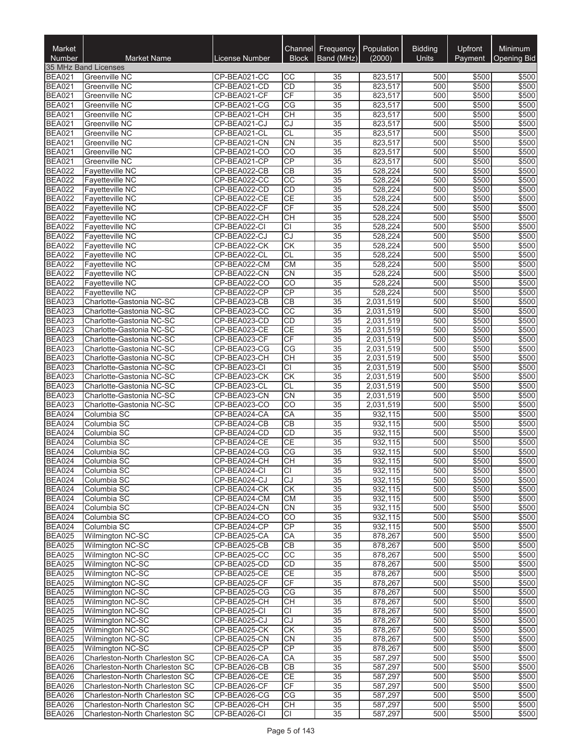| Market                         | <b>Market Name</b>                                   | License Number               | Channel<br><b>Block</b>      | Frequency<br>Band (MHz) | Population<br>(2000)   | <b>Bidding</b><br><b>Units</b> | <b>Upfront</b> | Minimum<br><b>Opening Bid</b> |
|--------------------------------|------------------------------------------------------|------------------------------|------------------------------|-------------------------|------------------------|--------------------------------|----------------|-------------------------------|
| <b>Number</b>                  | 35 MHz Band Licenses                                 |                              |                              |                         |                        |                                | Payment        |                               |
| <b>BEA021</b>                  | <b>Greenville NC</b>                                 | CP-BEA021-CC                 | CС                           | 35                      | 823,517                | 500                            | \$500          | \$500                         |
| <b>BEA021</b>                  | Greenville NC                                        | CP-BEA021-CD                 | CD                           | $\overline{35}$         | 823,517                | 500                            | \$500          | \$500                         |
| <b>BEA021</b>                  | Greenville NC                                        | CP-BEA021-CF                 | CF                           | 35                      | 823,517                | 500                            | \$500          | \$500                         |
| <b>BEA021</b>                  | Greenville NC                                        | CP-BEA021-CG                 | CG                           | 35                      | 823,517                | 500                            | \$500          | \$500                         |
| <b>BEA021</b>                  | Greenville NC                                        | CP-BEA021-CH                 | <b>CH</b>                    | 35                      | 823,517                | 500                            | \$500          | \$500                         |
| <b>BEA021</b>                  | Greenville NC                                        | CP-BEA021-CJ                 | CJ                           | $\overline{35}$         | 823,517                | 500                            | \$500          | \$500                         |
| <b>BEA021</b>                  | Greenville NC                                        | CP-BEA021-CL                 | <b>CL</b>                    | $\overline{35}$         | 823,517                | 500                            | \$500          | \$500                         |
| <b>BEA021</b><br><b>BEA021</b> | Greenville NC<br>Greenville NC                       | CP-BEA021-CN<br>CP-BEA021-CO | <b>CN</b><br>$\overline{CO}$ | 35<br>$\overline{35}$   | 823,517<br>823,517     | 500<br>500                     | \$500<br>\$500 | \$500<br>\$500                |
| <b>BEA021</b>                  | Greenville NC                                        | CP-BEA021-CP                 | CP                           | 35                      | 823,517                | 500                            | \$500          | \$500                         |
| <b>BEA022</b>                  | <b>Fayetteville NC</b>                               | CP-BEA022-CB                 | <b>CB</b>                    | 35                      | 528.224                | 500                            | \$500          | \$500                         |
| <b>BEA022</b>                  | <b>Fayetteville NC</b>                               | CP-BEA022-CC                 | CC                           | 35                      | 528,224                | 500                            | \$500          | \$500                         |
| <b>BEA022</b>                  | <b>Fayetteville NC</b>                               | CP-BEA022-CD                 | <b>CD</b>                    | 35                      | 528,224                | 500                            | \$500          | \$500                         |
| <b>BEA022</b>                  | <b>Fayetteville NC</b>                               | CP-BEA022-CE                 | <b>CE</b>                    | 35                      | 528,224                | 500                            | \$500          | \$500                         |
| <b>BEA022</b>                  | Fayetteville NC                                      | CP-BEA022-CF                 | CF                           | $\overline{35}$         | 528,224                | 500                            | \$500          | \$500                         |
| <b>BEA022</b>                  | <b>Favetteville NC</b>                               | CP-BEA022-CH                 | <b>CH</b>                    | $\overline{35}$         | 528,224                | 500                            | \$500          | \$500                         |
| <b>BEA022</b>                  | Fayetteville NC                                      | CP-BEA022-CI                 | <b>CI</b>                    | $\overline{35}$         | 528,224                | 500                            | \$500          | \$500                         |
| <b>BEA022</b>                  | <b>Fayetteville NC</b>                               | CP-BEA022-CJ                 | CJ                           | 35                      | 528,224                | 500                            | \$500          | \$500                         |
| <b>BEA022</b><br><b>BEA022</b> | <b>Favetteville NC</b><br><b>Fayetteville NC</b>     | CP-BEA022-CK<br>CP-BEA022-CL | <b>CK</b><br><b>CL</b>       | 35<br>$\overline{35}$   | 528,224<br>528,224     | 500<br>500                     | \$500<br>\$500 | \$500<br>\$500                |
| <b>BEA022</b>                  | Fayetteville NC                                      | CP-BEA022-CM                 | <b>CM</b>                    | 35                      | 528,224                | 500                            | \$500          | \$500                         |
| <b>BEA022</b>                  | <b>Fayetteville NC</b>                               | CP-BEA022-CN                 | <b>CN</b>                    | $\overline{35}$         | 528,224                | 500                            | \$500          | \$500                         |
| <b>BEA022</b>                  | Fayetteville NC                                      | CP-BEA022-CO                 | $\overline{CO}$              | $\overline{35}$         | 528,224                | 500                            | \$500          | \$500                         |
| <b>BEA022</b>                  | Fayetteville NC                                      | CP-BEA022-CP                 | CP                           | 35                      | 528,224                | 500                            | \$500          | \$500                         |
| <b>BEA023</b>                  | Charlotte-Gastonia NC-SC                             | CP-BEA023-CB                 | <b>CB</b>                    | $\overline{35}$         | 2,031,519              | 500                            | \$500          | \$500                         |
| <b>BEA023</b>                  | Charlotte-Gastonia NC-SC                             | CP-BEA023-CC                 | $\overline{cc}$              | $\overline{35}$         | 2,031,519              | 500                            | \$500          | \$500                         |
| <b>BEA023</b>                  | Charlotte-Gastonia NC-SC                             | CP-BEA023-CD                 | CD                           | 35                      | 2,031,519              | 500                            | \$500          | \$500                         |
| <b>BEA023</b>                  | Charlotte-Gastonia NC-SC                             | CP-BEA023-CE                 | <b>CE</b>                    | 35                      | 2,031,519              | 500                            | \$500          | \$500                         |
| <b>BEA023</b>                  | Charlotte-Gastonia NC-SC                             | CP-BEA023-CF                 | CF                           | 35                      | 2,031,519              | 500                            | \$500          | \$500                         |
| <b>BEA023</b>                  | Charlotte-Gastonia NC-SC                             | CP-BEA023-CG                 | CG                           | 35                      | 2,031,519              | 500                            | \$500          | \$500                         |
| <b>BEA023</b>                  | Charlotte-Gastonia NC-SC                             | CP-BEA023-CH                 | CH                           | $\overline{35}$         | 2,031,519              | 500                            | \$500          | \$500                         |
| <b>BEA023</b>                  | Charlotte-Gastonia NC-SC                             | CP-BEA023-CI                 | $\overline{CI}$              | $\overline{35}$         | 2,031,519              | 500                            | \$500          | \$500                         |
| <b>BEA023</b><br><b>BEA023</b> | Charlotte-Gastonia NC-SC<br>Charlotte-Gastonia NC-SC | CP-BEA023-CK<br>CP-BEA023-CL | CK<br><b>CL</b>              | 35<br>$\overline{35}$   | 2,031,519<br>2,031,519 | 500<br>500                     | \$500<br>\$500 | \$500<br>\$500                |
| <b>BEA023</b>                  | Charlotte-Gastonia NC-SC                             | CP-BEA023-CN                 | CN                           | 35                      | 2,031,519              | 500                            | \$500          | \$500                         |
| <b>BEA023</b>                  | Charlotte-Gastonia NC-SC                             | CP-BEA023-CO                 | CO                           | 35                      | 2,031,519              | 500                            | \$500          | \$500                         |
| <b>BEA024</b>                  | Columbia SC                                          | CP-BEA024-CA                 | CA                           | 35                      | 932,115                | 500                            | \$500          | \$500                         |
| <b>BEA024</b>                  | Columbia SC                                          | CP-BEA024-CB                 | CB                           | 35                      | 932,115                | 500                            | \$500          | \$500                         |
| <b>BEA024</b>                  | Columbia SC                                          | CP-BEA024-CD                 | CD                           | 35                      | 932,115                | 500                            | \$500          | \$500                         |
| <b>BEA024</b>                  | Columbia SC                                          | CP-BEA024-CE                 | CE                           | $\overline{35}$         | 932,115                | 500                            | \$500          | \$500                         |
| <b>BEA024</b>                  | Columbia SC                                          | CP-BEA024-CG                 | CG                           | $\overline{35}$         | 932,115                | 500                            | \$500          | \$500                         |
| <b>BEA024</b>                  | Columbia SC                                          | CP-BEA024-CH                 | CH                           | $\overline{35}$         | 932,115                | 500                            | \$500          | \$500                         |
| <b>BEA024</b>                  | Columbia SC                                          | CP-BEA024-CI                 | <b>CI</b>                    | 35                      | 932,115                | 500                            | \$500          | \$500                         |
| <b>BEA024</b>                  | Columbia SC                                          | CP-BEA024-CJ                 | CJ                           | 35                      | 932,115                | 500                            | \$500          | \$500                         |
| <b>BEA024</b><br><b>BEA024</b> | Columbia SC<br>Columbia SC                           | CP-BEA024-CK<br>CP-BEA024-CM | CK<br><b>CM</b>              | 35<br>35                | 932,115<br>932,115     | 500<br>500                     | \$500<br>\$500 | \$500<br>\$500                |
| <b>BEA024</b>                  | Columbia SC                                          | CP-BEA024-CN                 | CN                           | 35                      | 932,115                | 500                            | \$500          | \$500                         |
| <b>BEA024</b>                  | Columbia SC                                          | CP-BEA024-CO                 | CO                           | $\overline{35}$         | 932,115                | 500                            | \$500          | \$500                         |
| <b>BEA024</b>                  | Columbia SC                                          | CP-BEA024-CP                 | CP                           | 35                      | 932,115                | 500                            | \$500          | \$500                         |
| <b>BEA025</b>                  | Wilmington NC-SC                                     | CP-BEA025-CA                 | СA                           | 35                      | 878,267                | 500                            | \$500          | \$500                         |
| <b>BEA025</b>                  | Wilmington NC-SC                                     | CP-BEA025-CB                 | CB                           | 35                      | 878,267                | 500                            | \$500          | \$500                         |
| <b>BEA025</b>                  | Wilmington NC-SC                                     | CP-BEA025-CC                 | CC                           | 35                      | 878,267                | 500                            | \$500          | \$500                         |
| BEA025                         | Wilmington NC-SC                                     | CP-BEA025-CD                 | <b>CD</b>                    | 35                      | 878,267                | 500                            | \$500          | \$500                         |
| <b>BEA025</b>                  | Wilmington NC-SC                                     | CP-BEA025-CE                 | <b>CE</b>                    | 35                      | 878,267                | 500                            | \$500          | \$500                         |
| <b>BEA025</b>                  | Wilmington NC-SC                                     | CP-BEA025-CF                 | CF                           | 35                      | 878,267                | 500                            | \$500          | \$500                         |
| <b>BEA025</b>                  | Wilmington NC-SC                                     | CP-BEA025-CG                 | CG                           | $\overline{35}$         | 878,267                | 500                            | \$500          | \$500                         |
| <b>BEA025</b><br><b>BEA025</b> | Wilmington NC-SC<br><b>Wilmington NC-SC</b>          | CP-BEA025-CH<br>CP-BEA025-CI | <b>CH</b><br>CI              | 35<br>35                | 878,267<br>878,267     | 500<br>500                     | \$500<br>\$500 | \$500<br>\$500                |
| <b>BEA025</b>                  | <b>Wilmington NC-SC</b>                              | CP-BEA025-CJ                 | CJ                           | 35                      | 878,267                | 500                            | \$500          | \$500                         |
| <b>BEA025</b>                  | Wilmington NC-SC                                     | CP-BEA025-CK                 | <b>CK</b>                    | 35                      | 878,267                | 500                            | \$500          | \$500                         |
| <b>BEA025</b>                  | Wilmington NC-SC                                     | CP-BEA025-CN                 | <b>CN</b>                    | 35                      | 878,267                | 500                            | \$500          | \$500                         |
| <b>BEA025</b>                  | Wilmington NC-SC                                     | CP-BEA025-CP                 | CP                           | 35                      | 878,267                | 500                            | \$500          | \$500                         |
| <b>BEA026</b>                  | Charleston-North Charleston SC                       | CP-BEA026-CA                 | CA                           | 35                      | 587,297                | 500                            | \$500          | \$500                         |
| <b>BEA026</b>                  | Charleston-North Charleston SC                       | CP-BEA026-CB                 | CB                           | $\overline{35}$         | 587,297                | 500                            | \$500          | \$500                         |
| <b>BEA026</b>                  | Charleston-North Charleston SC                       | CP-BEA026-CE                 | <b>CE</b>                    | 35                      | 587,297                | 500                            | \$500          | \$500                         |
| <b>BEA026</b>                  | Charleston-North Charleston SC                       | CP-BEA026-CF                 | CF                           | 35                      | 587,297                | 500                            | \$500          | \$500                         |
| <b>BEA026</b>                  | Charleston-North Charleston SC                       | CP-BEA026-CG                 | CG                           | 35                      | 587,297                | 500                            | \$500          | \$500                         |
| <b>BEA026</b>                  | Charleston-North Charleston SC                       | CP-BEA026-CH                 | CН                           | 35                      | 587,297                | 500                            | \$500          | \$500                         |
| <b>BEA026</b>                  | Charleston-North Charleston SC                       | CP-BEA026-CI                 | IСI                          | 35                      | 587,297                | 500                            | \$500          | \$500                         |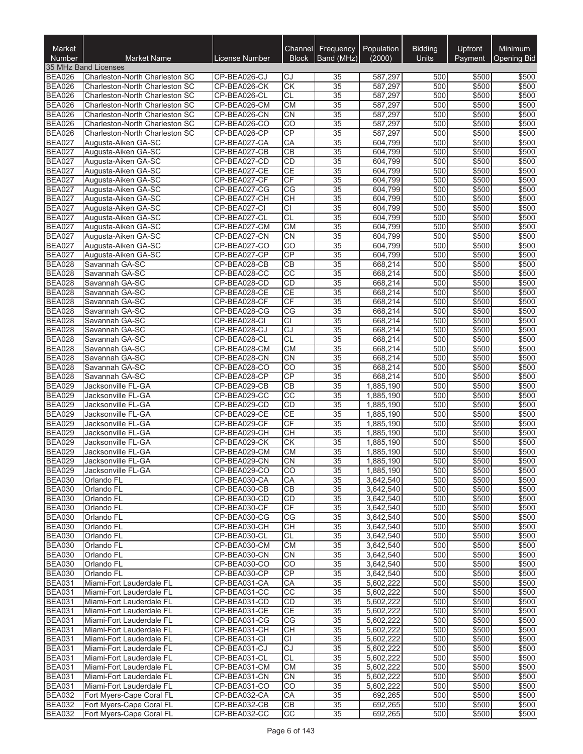| Market<br><b>Number</b>        | <b>Market Name</b>                                               | License Number               | Channel<br><b>Block</b>            | Frequency<br>Band (MHz)            | Population<br>(2000)   | <b>Bidding</b><br><b>Units</b> | <b>Upfront</b><br>Payment | Minimum<br>Opening Bid |
|--------------------------------|------------------------------------------------------------------|------------------------------|------------------------------------|------------------------------------|------------------------|--------------------------------|---------------------------|------------------------|
|                                | 35 MHz Band Licenses                                             |                              |                                    |                                    |                        |                                |                           |                        |
| <b>BEA026</b>                  | Charleston-North Charleston SC                                   | CP-BEA026-CJ                 | CJ                                 | 35                                 | 587,297                | 500                            | \$500                     | \$500                  |
| <b>BEA026</b>                  | Charleston-North Charleston SC                                   | CP-BEA026-CK                 | $\overline{\text{CK}}$             | $\overline{35}$                    | 587,297                | 500                            | \$500                     | \$500                  |
| <b>BEA026</b>                  | Charleston-North Charleston SC                                   | CP-BEA026-CL                 | <b>CL</b>                          | $\overline{35}$                    | 587.297                | 500                            | \$500                     | \$500                  |
| <b>BEA026</b><br><b>BEA026</b> | Charleston-North Charleston SC<br>Charleston-North Charleston SC | CP-BEA026-CM<br>CP-BEA026-CN | CM<br><b>CN</b>                    | $\overline{35}$<br>35              | 587,297<br>587,297     | 500<br>500                     | \$500<br>\$500            | \$500<br>\$500         |
| <b>BEA026</b>                  | Charleston-North Charleston SC                                   | CP-BEA026-CO                 | CO                                 | $\overline{35}$                    | 587,297                | 500                            | \$500                     | \$500                  |
| <b>BEA026</b>                  | Charleston-North Charleston SC                                   | CP-BEA026-CP                 | CP                                 | 35                                 | 587,297                | 500                            | \$500                     | \$500                  |
| <b>BEA027</b>                  | Augusta-Aiken GA-SC                                              | CP-BEA027-CA                 | CA                                 | 35                                 | 604,799                | 500                            | \$500                     | \$500                  |
| <b>BEA027</b>                  | Augusta-Aiken GA-SC                                              | CP-BEA027-CB                 | $\overline{CB}$                    | 35                                 | 604,799                | 500                            | \$500                     | \$500                  |
| <b>BEA027</b>                  | Augusta-Aiken GA-SC                                              | CP-BEA027-CD                 | CD                                 | $\overline{35}$                    | 604,799                | 500                            | \$500                     | \$500                  |
| <b>BEA027</b>                  | Augusta-Aiken GA-SC                                              | CP-BEA027-CE                 | CE                                 | $\overline{35}$                    | 604,799                | 500                            | \$500                     | \$500                  |
| <b>BEA027</b>                  | Augusta-Aiken GA-SC                                              | CP-BEA027-CF                 | CF                                 | $\overline{35}$                    | 604,799                | 500                            | \$500                     | \$500                  |
| <b>BEA027</b>                  | Augusta-Aiken GA-SC                                              | CP-BEA027-CG                 | $\overline{\text{CG}}$             | $\overline{35}$                    | 604,799                | 500                            | \$500                     | \$500                  |
| <b>BEA027</b>                  | Augusta-Aiken GA-SC                                              | CP-BEA027-CH                 | $\overline{CH}$                    | $\overline{35}$                    | 604,799                | 500                            | \$500                     | \$500                  |
| <b>BEA027</b>                  | Augusta-Aiken GA-SC                                              | CP-BEA027-CI                 | $\overline{CI}$                    | 35                                 | 604,799                | 500                            | \$500                     | \$500                  |
| <b>BEA027</b><br><b>BEA027</b> | Augusta-Aiken GA-SC                                              | CP-BEA027-CL                 | CL                                 | 35                                 | 604,799                | 500                            | \$500                     | \$500                  |
| <b>BEA027</b>                  | Augusta-Aiken GA-SC<br>Augusta-Aiken GA-SC                       | CP-BEA027-CM<br>CP-BEA027-CN | <b>CM</b><br>$\overline{CN}$       | $\overline{35}$<br>$\overline{35}$ | 604,799<br>604,799     | 500<br>500                     | \$500<br>\$500            | \$500<br>\$500         |
| <b>BEA027</b>                  | Augusta-Aiken GA-SC                                              | CP-BEA027-CO                 | CO                                 | $\overline{35}$                    | 604,799                | 500                            | \$500                     | \$500                  |
| <b>BEA027</b>                  | Augusta-Aiken GA-SC                                              | CP-BEA027-CP                 | CP                                 | $\overline{35}$                    | 604,799                | 500                            | \$500                     | \$500                  |
| <b>BEA028</b>                  | Savannah GA-SC                                                   | CP-BEA028-CB                 | CB                                 | $\overline{35}$                    | 668,214                | 500                            | \$500                     | \$500                  |
| <b>BEA028</b>                  | Savannah GA-SC                                                   | CP-BEA028-CC                 | $\overline{cc}$                    | $\overline{35}$                    | 668,214                | 500                            | \$500                     | \$500                  |
| <b>BEA028</b>                  | Savannah GA-SC                                                   | CP-BEA028-CD                 | CD                                 | $\overline{35}$                    | 668.214                | 500                            | \$500                     | \$500                  |
| <b>BEA028</b>                  | Savannah GA-SC                                                   | CP-BEA028-CE                 | <b>CE</b>                          | 35                                 | 668,214                | 500                            | \$500                     | \$500                  |
| <b>BEA028</b>                  | Savannah GA-SC                                                   | CP-BEA028-CF                 | CF                                 | 35                                 | 668,214                | 500                            | \$500                     | \$500                  |
| <b>BEA028</b>                  | Savannah GA-SC                                                   | CP-BEA028-CG                 | $\overline{\text{CG}}$             | 35                                 | 668,214                | 500                            | \$500                     | \$500                  |
| <b>BEA028</b>                  | Savannah GA-SC                                                   | CP-BEA028-CI                 | <b>CI</b>                          | $\overline{35}$                    | 668,214                | 500                            | \$500                     | \$500                  |
| <b>BEA028</b>                  | Savannah GA-SC                                                   | CP-BEA028-CJ                 | $\overline{c}$                     | $\overline{35}$                    | 668,214                | 500                            | \$500                     | \$500                  |
| <b>BEA028</b>                  | Savannah GA-SC                                                   | CP-BEA028-CL                 | CL                                 | $\overline{35}$                    | 668,214                | 500                            | \$500                     | \$500                  |
| <b>BEA028</b>                  | Savannah GA-SC                                                   | CP-BEA028-CM                 | <b>CM</b>                          | 35                                 | 668,214                | 500                            | \$500                     | \$500                  |
| <b>BEA028</b><br><b>BEA028</b> | Savannah GA-SC                                                   | CP-BEA028-CN<br>CP-BEA028-CO | $\overline{CN}$<br>$\overline{CO}$ | 35                                 | 668,214<br>668,214     | 500<br>500                     | \$500<br>\$500            | \$500<br>\$500         |
| <b>BEA028</b>                  | Savannah GA-SC<br>Savannah GA-SC                                 | CP-BEA028-CP                 | CP                                 | 35<br>$\overline{35}$              | 668,214                | 500                            | \$500                     | \$500                  |
| <b>BEA029</b>                  | Jacksonville FL-GA                                               | CP-BEA029-CB                 | $\overline{CB}$                    | 35                                 | 1,885,190              | 500                            | \$500                     | \$500                  |
| <b>BEA029</b>                  | Jacksonville FL-GA                                               | CP-BEA029-CC                 | $\overline{cc}$                    | $\overline{35}$                    | 1,885,190              | 500                            | \$500                     | \$500                  |
| <b>BEA029</b>                  | Jacksonville FL-GA                                               | CP-BEA029-CD                 | CD                                 | 35                                 | 1,885,190              | 500                            | \$500                     | \$500                  |
| <b>BEA029</b>                  | Jacksonville FL-GA                                               | CP-BEA029-CE                 | CE                                 | $\overline{35}$                    | 1,885,190              | 500                            | \$500                     | \$500                  |
| <b>BEA029</b>                  | Jacksonville FL-GA                                               | CP-BEA029-CF                 | CF                                 | $\overline{35}$                    | 1,885,190              | 500                            | \$500                     | \$500                  |
| <b>BEA029</b>                  | Jacksonville FL-GA                                               | CP-BEA029-CH                 | $\overline{CH}$                    | 35                                 | 1,885,190              | 500                            | \$500                     | \$500                  |
| <b>BEA029</b>                  | Jacksonville FL-GA                                               | CP-BEA029-CK                 | <b>CK</b>                          | 35                                 | 1.885.190              | 500                            | \$500                     | \$500                  |
| <b>BEA029</b>                  | Jacksonville FL-GA                                               | CP-BEA029-CM                 | <b>CM</b>                          | 35                                 | 1,885,190              | 500                            | \$500                     | \$500                  |
| <b>BEA029</b>                  | Jacksonville FL-GA                                               | CP-BEA029-CN                 | $\overline{C}N$                    | $\overline{35}$                    | 1,885,190              | 500                            | \$500                     | \$500                  |
| <b>BEA029</b>                  | Jacksonville FL-GA                                               | CP-BEA029-CO                 | CO                                 | $\overline{35}$                    | 1,885,190              | 500                            | \$500                     | \$500                  |
| <b>BEA030</b><br><b>BEA030</b> | Orlando FL<br>Orlando FL                                         | CP-BEA030-CA<br>CP-BEA030-CB | СA<br><b>CB</b>                    | 35<br>35                           | 3,642,540<br>3,642,540 | 500<br>500                     | \$500<br>\$500            | \$500<br>\$500         |
| <b>BEA030</b>                  | Orlando FL                                                       | CP-BEA030-CD                 | <b>CD</b>                          | 35                                 | 3,642,540              | 500                            | \$500                     | \$500                  |
| <b>BEA030</b>                  | Orlando FL                                                       | CP-BEA030-CF                 | CF                                 | 35                                 | 3,642,540              | 500                            | \$500                     | \$500                  |
| <b>BEA030</b>                  | Orlando FL                                                       | CP-BEA030-CG                 | CG                                 | 35                                 | 3,642,540              | 500                            | \$500                     | \$500                  |
| <b>BEA030</b>                  | Orlando <sub>FL</sub>                                            | CP-BEA030-CH                 | CН                                 | 35                                 | 3,642,540              | 500                            | \$500                     | \$500                  |
| <b>BEA030</b>                  | Orlando FL                                                       | CP-BEA030-CL                 | <b>CL</b>                          | 35                                 | 3,642,540              | 500                            | \$500                     | \$500                  |
| <b>BEA030</b>                  | Orlando FL                                                       | CP-BEA030-CM                 | CM                                 | 35                                 | 3,642,540              | 500                            | \$500                     | \$500                  |
| <b>BEA030</b>                  | Orlando FL                                                       | CP-BEA030-CN                 | <b>CN</b>                          | 35                                 | 3,642,540              | 500                            | \$500                     | \$500                  |
| <b>BEA030</b>                  | Orlando FL                                                       | CP-BEA030-CO                 | CO                                 | 35                                 | 3,642,540              | 500                            | \$500                     | \$500                  |
| <b>BEA030</b>                  | Orlando FL                                                       | CP-BEA030-CP                 | CP                                 | 35                                 | 3,642,540              | 500                            | \$500                     | \$500                  |
| <b>BEA031</b>                  | Miami-Fort Lauderdale FL                                         | CP-BEA031-CA                 | СA                                 | 35                                 | 5,602,222              | 500                            | \$500                     | \$500                  |
| <b>BEA031</b>                  | Miami-Fort Lauderdale FL                                         | CP-BEA031-CC                 | CC                                 | 35                                 | 5,602,222              | 500                            | \$500                     | \$500                  |
| <b>BEA031</b><br><b>BEA031</b> | Miami-Fort Lauderdale FL<br>Miami-Fort Lauderdale FL             | CP-BEA031-CD<br>CP-BEA031-CE | <b>CD</b><br>CE                    | 35                                 | 5,602,222              | 500                            | \$500<br>\$500            | \$500<br>\$500         |
| <b>BEA031</b>                  | Miami-Fort Lauderdale FL                                         | CP-BEA031-CG                 | CG                                 | 35<br>35                           | 5,602,222<br>5,602,222 | 500<br>500                     | \$500                     | \$500                  |
| <b>BEA031</b>                  | Miami-Fort Lauderdale FL                                         | CP-BEA031-CH                 | <b>CH</b>                          | 35                                 | 5,602,222              | 500                            | \$500                     | \$500                  |
| <b>BEA031</b>                  | Miami-Fort Lauderdale FL                                         | CP-BEA031-CI                 | CI                                 | 35                                 | 5,602,222              | 500                            | \$500                     | \$500                  |
| <b>BEA031</b>                  | Miami-Fort Lauderdale FL                                         | CP-BEA031-CJ                 | CJ                                 | 35                                 | 5,602,222              | 500                            | \$500                     | \$500                  |
| <b>BEA031</b>                  | Miami-Fort Lauderdale FL                                         | CP-BEA031-CL                 | <b>CL</b>                          | 35                                 | 5,602,222              | 500                            | \$500                     | \$500                  |
| <b>BEA031</b>                  | Miami-Fort Lauderdale FL                                         | CP-BEA031-CM                 | СM                                 | 35                                 | 5,602,222              | 500                            | \$500                     | \$500                  |
| <b>BEA031</b>                  | Miami-Fort Lauderdale FL                                         | CP-BEA031-CN                 | <b>CN</b>                          | 35                                 | 5,602,222              | 500                            | \$500                     | \$500                  |
| <b>BEA031</b>                  | Miami-Fort Lauderdale FL                                         | CP-BEA031-CO                 | CO                                 | 35                                 | 5,602,222              | 500                            | \$500                     | \$500                  |
| <b>BEA032</b>                  | Fort Myers-Cape Coral FL                                         | CP-BEA032-CA                 | CA                                 | 35                                 | 692,265                | 500                            | \$500                     | \$500                  |
| <b>BEA032</b>                  | Fort Myers-Cape Coral FL                                         | CP-BEA032-CB                 | CB                                 | 35                                 | 692,265                | 500                            | \$500                     | \$500                  |
| <b>BEA032</b>                  | Fort Myers-Cape Coral FL                                         | CP-BEA032-CC                 | CC                                 | 35                                 | 692,265                | 500                            | \$500                     | \$500                  |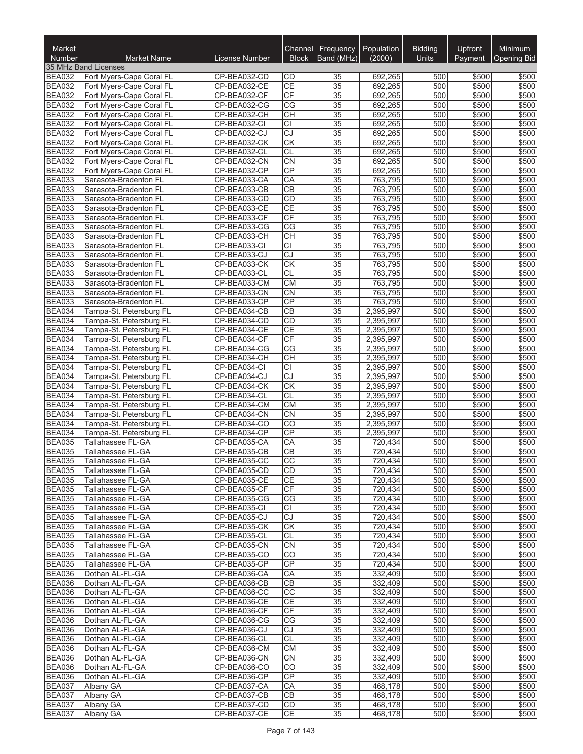| Market<br><b>Number</b>        | <b>Market Name</b>                                   | License Number               | Channel<br><b>Block</b> | Frequency<br>Band (MHz) | Population<br>(2000)   | <b>Bidding</b><br><b>Units</b> | Upfront<br>Payment | Minimum<br>Opening Bid |
|--------------------------------|------------------------------------------------------|------------------------------|-------------------------|-------------------------|------------------------|--------------------------------|--------------------|------------------------|
|                                | 35 MHz Band Licenses                                 |                              |                         |                         |                        |                                |                    |                        |
| <b>BEA032</b>                  | Fort Myers-Cape Coral FL                             | CP-BEA032-CD                 | CD                      | 35                      | 692,265                | 500                            | \$500              | \$500                  |
| <b>BEA032</b>                  | Fort Myers-Cape Coral FL                             | CP-BEA032-CE                 | <b>CE</b>               | 35                      | 692,265                | 500                            | \$500              | \$500                  |
| <b>BEA032</b>                  | Fort Myers-Cape Coral FL                             | CP-BEA032-CF                 | CF                      | 35                      | 692,265                | 500                            | \$500              | \$500                  |
| <b>BEA032</b>                  | Fort Myers-Cape Coral FL                             | CP-BEA032-CG                 | CG                      | 35                      | 692,265                | 500                            | \$500              | \$500                  |
| <b>BEA032</b>                  | Fort Myers-Cape Coral FL                             | CP-BEA032-CH                 | <b>CH</b>               | 35                      | 692,265                | 500                            | \$500              | \$500                  |
| <b>BEA032</b>                  | Fort Myers-Cape Coral FL                             | CP-BEA032-CI                 | <b>CI</b>               | $\overline{35}$         | 692,265                | 500                            | \$500              | \$500                  |
| <b>BEA032</b>                  | Fort Myers-Cape Coral FL                             | CP-BEA032-CJ                 | CJ                      | 35                      | 692,265                | 500                            | \$500              | \$500                  |
| <b>BEA032</b><br><b>BEA032</b> | Fort Myers-Cape Coral FL<br>Fort Myers-Cape Coral FL | CP-BEA032-CK<br>CP-BEA032-CL | <b>CK</b><br>CL         | 35<br>$\overline{35}$   | 692,265<br>692,265     | 500<br>500                     | \$500<br>\$500     | \$500<br>\$500         |
| <b>BEA032</b>                  | Fort Myers-Cape Coral FL                             | CP-BEA032-CN                 | <b>CN</b>               | 35                      | 692,265                | 500                            | \$500              | \$500                  |
| <b>BEA032</b>                  | Fort Myers-Cape Coral FL                             | CP-BEA032-CP                 | CP                      | 35                      | 692,265                | 500                            | \$500              | \$500                  |
| <b>BEA033</b>                  | Sarasota-Bradenton FL                                | CP-BEA033-CA                 | CA                      | 35                      | 763,795                | 500                            | \$500              | \$500                  |
| <b>BEA033</b>                  | Sarasota-Bradenton FL                                | CP-BEA033-CB                 | <b>CB</b>               | 35                      | 763,795                | 500                            | \$500              | \$500                  |
| <b>BEA033</b>                  | Sarasota-Bradenton FL                                | CP-BEA033-CD                 | CD                      | 35                      | 763,795                | 500                            | \$500              | \$500                  |
| <b>BEA033</b>                  | Sarasota-Bradenton FL                                | CP-BEA033-CE                 | CE                      | $\overline{35}$         | 763,795                | 500                            | \$500              | \$500                  |
| <b>BEA033</b>                  | Sarasota-Bradenton FL                                | CP-BEA033-CF                 | <b>CF</b>               | 35                      | 763,795                | 500                            | \$500              | \$500                  |
| <b>BEA033</b>                  | Sarasota-Bradenton FL                                | CP-BEA033-CG                 | CG                      | $\overline{35}$         | 763,795                | 500                            | \$500              | \$500                  |
| <b>BEA033</b>                  | Sarasota-Bradenton FL                                | CP-BEA033-CH                 | <b>CH</b>               | $\overline{35}$         | 763,795                | 500                            | \$500              | \$500                  |
| <b>BEA033</b><br><b>BEA033</b> | Sarasota-Bradenton FL<br>Sarasota-Bradenton FL       | CP-BEA033-CI<br>CP-BEA033-CJ | <b>CI</b><br><b>CJ</b>  | 35<br>$\overline{35}$   | 763,795<br>763,795     | 500<br>500                     | \$500<br>\$500     | \$500<br>\$500         |
| <b>BEA033</b>                  | Sarasota-Bradenton FL                                | CP-BEA033-CK                 | <b>CK</b>               | 35                      | 763,795                | 500                            | \$500              | \$500                  |
| <b>BEA033</b>                  | Sarasota-Bradenton FL                                | CP-BEA033-CL                 | <b>CL</b>               | 35                      | 763,795                | 500                            | \$500              | \$500                  |
| <b>BEA033</b>                  | Sarasota-Bradenton FL                                | CP-BEA033-CM                 | <b>CM</b>               | $\overline{35}$         | 763,795                | 500                            | \$500              | \$500                  |
| <b>BEA033</b>                  | Sarasota-Bradenton FL                                | CP-BEA033-CN                 | <b>CN</b>               | 35                      | 763,795                | 500                            | \$500              | \$500                  |
| <b>BEA033</b>                  | Sarasota-Bradenton FL                                | CP-BEA033-CP                 | CP                      | $\overline{35}$         | 763,795                | 500                            | \$500              | \$500                  |
| <b>BEA034</b>                  | Tampa-St. Petersburg FL                              | CP-BEA034-CB                 | CB                      | 35                      | 2,395,997              | 500                            | \$500              | \$500                  |
| <b>BEA034</b>                  | Tampa-St. Petersburg FL                              | CP-BEA034-CD                 | CD                      | 35                      | 2,395,997              | 500                            | \$500              | \$500                  |
| <b>BEA034</b>                  | Tampa-St. Petersburg FL                              | CP-BEA034-CE                 | <b>CE</b>               | 35                      | 2,395,997              | 500                            | \$500              | \$500                  |
| <b>BEA034</b>                  | Tampa-St. Petersburg FL                              | CP-BEA034-CF                 | CF                      | 35                      | 2,395,997              | 500                            | \$500              | \$500                  |
| <b>BEA034</b>                  | Tampa-St. Petersburg FL                              | CP-BEA034-CG                 | CG                      | 35                      | 2,395,997              | 500                            | \$500              | \$500                  |
| <b>BEA034</b>                  | Tampa-St. Petersburg FL                              | CP-BEA034-CH                 | CH                      | $\overline{35}$         | 2,395,997              | 500                            | \$500              | \$500                  |
| <b>BEA034</b>                  | Tampa-St. Petersburg FL                              | CP-BEA034-CI                 | $\overline{CI}$         | 35                      | 2,395,997              | 500                            | \$500              | \$500                  |
| <b>BEA034</b><br><b>BEA034</b> | Tampa-St. Petersburg FL<br>Tampa-St. Petersburg FL   | CP-BEA034-CJ<br>CP-BEA034-CK | CJ<br>CK                | 35<br>$\overline{35}$   | 2,395,997<br>2,395,997 | 500<br>500                     | \$500<br>\$500     | \$500<br>\$500         |
| <b>BEA034</b>                  | Tampa-St. Petersburg FL                              | CP-BEA034-CL                 | <b>CL</b>               | 35                      | 2,395,997              | 500                            | \$500              | \$500                  |
| <b>BEA034</b>                  | Tampa-St. Petersburg FL                              | CP-BEA034-CM                 | <b>CM</b>               | 35                      | 2,395,997              | 500                            | \$500              | \$500                  |
| <b>BEA034</b>                  | Tampa-St. Petersburg FL                              | CP-BEA034-CN                 | <b>CN</b>               | 35                      | 2,395,997              | 500                            | \$500              | \$500                  |
| <b>BEA034</b>                  | Tampa-St. Petersburg FL                              | CP-BEA034-CO                 | CO                      | 35                      | 2,395,997              | 500                            | \$500              | \$500                  |
| <b>BEA034</b>                  | Tampa-St. Petersburg FL                              | CP-BEA034-CP                 | CP                      | 35                      | 2,395,997              | 500                            | \$500              | \$500                  |
| <b>BEA035</b>                  | Tallahassee FL-GA                                    | CP-BEA035-CA                 | CA                      | 35                      | 720,434                | 500                            | \$500              | \$500                  |
| <b>BEA035</b>                  | Tallahassee FL-GA                                    | CP-BEA035-CB                 | <b>CB</b>               | 35                      | 720.434                | 500                            | \$500              | \$500                  |
| <b>BEA035</b>                  | Tallahassee FL-GA                                    | CP-BEA035-CC                 | $\overline{CC}$         | $\overline{35}$         | 720,434                | 500                            | \$500              | \$500                  |
| <b>BEA035</b>                  | Tallahassee FL-GA                                    | CP-BEA035-CD                 | CD                      | 35                      | 720,434                | 500                            | \$500              | \$500                  |
| <b>BEA035</b>                  | Tallahassee FL-GA                                    | CP-BEA035-CE                 | CE                      | 35                      | 720,434                | 500                            | \$500              | \$500                  |
| <b>BEA035</b><br><b>BEA035</b> | Tallahassee FL-GA                                    | CP-BEA035-CF                 | <b>CF</b>               | 35                      | 720,434<br>720,434     | 500                            | \$500              | \$500                  |
| <b>BEA035</b>                  | Tallahassee FL-GA<br>Tallahassee FL-GA               | CP-BEA035-CG<br>CP-BEA035-CI | СG<br>СI                | 35<br>35                | 720,434                | 500<br>500                     | \$500<br>\$500     | \$500<br>\$500         |
| <b>BEA035</b>                  | Tallahassee FL-GA                                    | CP-BEA035-CJ                 | CJ                      | 35                      | 720,434                | 500                            | \$500              | \$500                  |
| <b>BEA035</b>                  | Tallahassee FL-GA                                    | CP-BEA035-CK                 | <b>CK</b>               | 35                      | 720,434                | 500                            | \$500              | \$500                  |
| <b>BEA035</b>                  | Tallahassee FL-GA                                    | CP-BEA035-CL                 | CL                      | 35                      | 720,434                | 500                            | \$500              | \$500                  |
| <b>BEA035</b>                  | Tallahassee FL-GA                                    | CP-BEA035-CN                 | CN                      | $\overline{35}$         | 720,434                | 500                            | \$500              | \$500                  |
| <b>BEA035</b>                  | Tallahassee FL-GA                                    | CP-BEA035-CO                 | CO                      | 35                      | 720.434                | 500                            | \$500              | \$500                  |
| <b>BEA035</b>                  | Tallahassee FL-GA                                    | CP-BEA035-CP                 | <b>CP</b>               | 35                      | 720,434                | 500                            | \$500              | \$500                  |
| <b>BEA036</b>                  | Dothan AL-FL-GA                                      | CP-BEA036-CA                 | СA                      | 35                      | 332,409                | 500                            | \$500              | \$500                  |
| <b>BEA036</b>                  | Dothan AL-FL-GA                                      | CP-BEA036-CB                 | CВ                      | 35                      | 332,409                | 500                            | \$500              | \$500                  |
| <b>BEA036</b>                  | Dothan AL-FL-GA                                      | CP-BEA036-CC                 | $\overline{CC}$         | 35                      | 332,409                | 500                            | \$500              | \$500                  |
| <b>BEA036</b>                  | Dothan AL-FL-GA                                      | CP-BEA036-CE                 | <b>CE</b>               | 35                      | 332,409                | 500                            | \$500              | \$500                  |
| <b>BEA036</b>                  | Dothan AL-FL-GA                                      | CP-BEA036-CF                 | CF                      | 35                      | 332,409                | 500                            | \$500              | \$500                  |
| <b>BEA036</b>                  | Dothan AL-FL-GA                                      | CP-BEA036-CG                 | CG                      | 35                      | 332,409                | 500                            | \$500              | \$500                  |
| <b>BEA036</b>                  | Dothan AL-FL-GA<br>Dothan AL-FL-GA                   | CP-BEA036-CJ<br>CP-BEA036-CL | CJ<br><b>CL</b>         | 35<br>35                | 332,409<br>332,409     | 500<br>500                     | \$500<br>\$500     | \$500<br>\$500         |
| <b>BEA036</b><br><b>BEA036</b> | Dothan AL-FL-GA                                      | CP-BEA036-CM                 | <b>CM</b>               | 35                      | 332,409                | 500                            | \$500              | \$500                  |
| <b>BEA036</b>                  | Dothan AL-FL-GA                                      | CP-BEA036-CN                 | CN                      | 35                      | 332,409                | 500                            | \$500              | \$500                  |
| <b>BEA036</b>                  | Dothan AL-FL-GA                                      | CP-BEA036-CO                 | $\overline{CO}$         | 35                      | 332,409                | 500                            | \$500              | \$500                  |
| <b>BEA036</b>                  | Dothan AL-FL-GA                                      | CP-BEA036-CP                 | CP                      | 35                      | 332,409                | 500                            | \$500              | \$500                  |
| <b>BEA037</b>                  | Albany GA                                            | CP-BEA037-CA                 | СA                      | 35                      | 468,178                | 500                            | \$500              | \$500                  |
| <b>BEA037</b>                  | Albany GA                                            | CP-BEA037-CB                 | <b>CB</b>               | 35                      | 468,178                | 500                            | \$500              | \$500                  |
| <b>BEA037</b>                  | Albany GA                                            | CP-BEA037-CD                 | CD                      | 35                      | 468,178                | 500                            | \$500              | \$500                  |
| <b>BEA037</b>                  | Albany GA                                            | CP-BEA037-CE                 | CE                      | 35                      | 468,178                | 500                            | \$500              | \$500                  |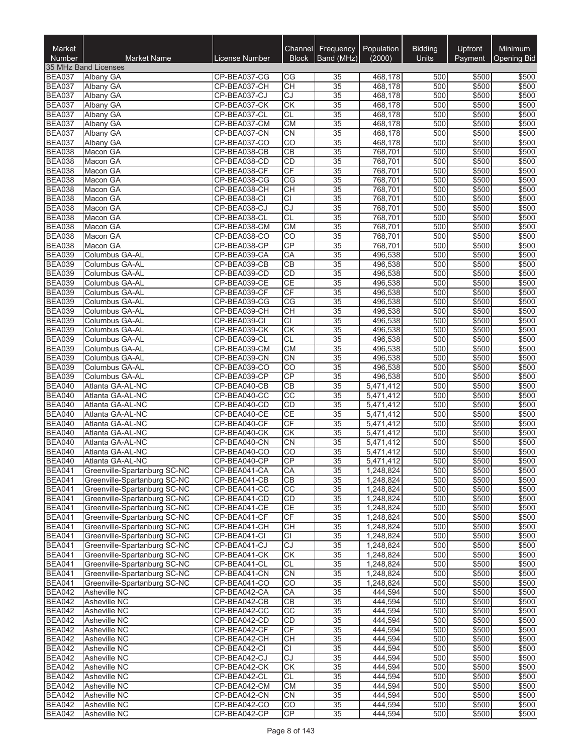| Market<br><b>Number</b>        | <b>Market Name</b>                                           | License Number               | Channel<br><b>Block</b>      | <b>Frequency</b><br>Band (MHz)     | Population<br>(2000)   | <b>Bidding</b><br><b>Units</b> | <b>Upfront</b><br>Payment | Minimum<br>Opening Bid |
|--------------------------------|--------------------------------------------------------------|------------------------------|------------------------------|------------------------------------|------------------------|--------------------------------|---------------------------|------------------------|
|                                | 35 MHz Band Licenses                                         |                              |                              |                                    |                        |                                |                           |                        |
| <b>BEA037</b>                  | Albany GA                                                    | CP-BEA037-CG                 | CG                           | 35                                 | 468,178                | 500                            | \$500                     | \$500                  |
| <b>BEA037</b>                  | Albany GA                                                    | CP-BEA037-CH                 | <b>CH</b>                    | 35                                 | 468.178                | 500                            | \$500                     | \$500                  |
| <b>BEA037</b>                  | Albany GA                                                    | CP-BEA037-CJ                 | CJ                           | 35                                 | 468,178                | 500                            | \$500                     | \$500                  |
| <b>BEA037</b>                  | Albany GA                                                    | CP-BEA037-CK                 | CK<br><b>CL</b>              | 35                                 | 468,178                | 500                            | \$500<br>\$500            | \$500                  |
| <b>BEA037</b><br><b>BEA037</b> | Albany GA<br>Albany GA                                       | CP-BEA037-CL<br>CP-BEA037-CM | <b>CM</b>                    | 35<br>$\overline{35}$              | 468,178<br>468,178     | 500<br>500                     | \$500                     | \$500<br>\$500         |
| <b>BEA037</b>                  | Albany GA                                                    | CP-BEA037-CN                 | CN                           | $\overline{35}$                    | 468,178                | 500                            | \$500                     | \$500                  |
| <b>BEA037</b>                  | Albany GA                                                    | CP-BEA037-CO                 | CO                           | 35                                 | 468,178                | 500                            | \$500                     | \$500                  |
| <b>BEA038</b>                  | Macon GA                                                     | CP-BEA038-CB                 | CB                           | $\overline{35}$                    | 768,701                | 500                            | \$500                     | \$500                  |
| <b>BEA038</b>                  | Macon GA                                                     | CP-BEA038-CD                 | <b>CD</b>                    | 35                                 | 768,701                | 500                            | \$500                     | \$500                  |
| <b>BEA038</b>                  | Macon GA                                                     | CP-BEA038-CF                 | CF                           | 35                                 | 768,701                | 500                            | \$500                     | \$500                  |
| <b>BEA038</b>                  | Macon GA                                                     | CP-BEA038-CG                 | CG                           | 35                                 | 768,701                | 500                            | \$500                     | \$500                  |
| <b>BEA038</b><br><b>BEA038</b> | Macon GA<br>Macon GA                                         | CP-BEA038-CH<br>CP-BEA038-CI | <b>CH</b><br>$\overline{CI}$ | 35<br>35                           | 768,701<br>768,701     | 500<br>500                     | \$500<br>\$500            | \$500<br>\$500         |
| <b>BEA038</b>                  | Macon GA                                                     | CP-BEA038-CJ                 | CJ                           | $\overline{35}$                    | 768,701                | 500                            | \$500                     | \$500                  |
| <b>BEA038</b>                  | Macon GA                                                     | CP-BEA038-CL                 | <b>CL</b>                    | $\overline{35}$                    | 768,701                | 500                            | \$500                     | \$500                  |
| <b>BEA038</b>                  | Macon GA                                                     | CP-BEA038-CM                 | <b>CM</b>                    | $\overline{35}$                    | 768,701                | 500                            | \$500                     | \$500                  |
| <b>BEA038</b>                  | Macon GA                                                     | CP-BEA038-CO                 | CO                           | 35                                 | 768,701                | 500                            | \$500                     | \$500                  |
| <b>BEA038</b>                  | Macon GA                                                     | CP-BEA038-CP                 | CP                           | 35                                 | 768,701                | 500                            | \$500                     | \$500                  |
| <b>BEA039</b>                  | Columbus GA-AL                                               | CP-BEA039-CA                 | CA                           | $\overline{35}$                    | 496,538                | 500                            | \$500                     | \$500                  |
| <b>BEA039</b>                  | Columbus GA-AL                                               | CP-BEA039-CB                 | CB                           | 35                                 | 496,538                | 500                            | \$500                     | \$500                  |
| <b>BEA039</b>                  | Columbus GA-AL                                               | CP-BEA039-CD                 | CD<br>CE                     | $\overline{35}$<br>$\overline{35}$ | 496,538                | 500<br>500                     | \$500                     | \$500<br>\$500         |
| <b>BEA039</b><br><b>BEA039</b> | Columbus GA-AL<br>Columbus GA-AL                             | CP-BEA039-CE<br>CP-BEA039-CF | CF                           | $\overline{35}$                    | 496,538<br>496,538     | 500                            | \$500<br>\$500            | \$500                  |
| <b>BEA039</b>                  | Columbus GA-AL                                               | CP-BEA039-CG                 | CG                           | $\overline{35}$                    | 496,538                | 500                            | \$500                     | \$500                  |
| <b>BEA039</b>                  | Columbus GA-AL                                               | CP-BEA039-CH                 | CH                           | $\overline{35}$                    | 496,538                | 500                            | \$500                     | \$500                  |
| <b>BEA039</b>                  | Columbus GA-AL                                               | CP-BEA039-CI                 | CI                           | 35                                 | 496,538                | 500                            | \$500                     | \$500                  |
| <b>BEA039</b>                  | Columbus GA-AL                                               | CP-BEA039-CK                 | CK                           | 35                                 | 496,538                | 500                            | \$500                     | \$500                  |
| <b>BEA039</b>                  | Columbus GA-AL                                               | CP-BEA039-CL                 | <b>CL</b>                    | $\overline{35}$                    | 496,538                | 500                            | \$500                     | \$500                  |
| <b>BEA039</b>                  | Columbus GA-AL                                               | CP-BEA039-CM                 | <b>CM</b>                    | 35                                 | 496,538                | 500                            | \$500                     | \$500                  |
| <b>BEA039</b>                  | Columbus GA-AL                                               | CP-BEA039-CN                 | <b>CN</b>                    | $\overline{35}$                    | 496,538                | 500                            | \$500                     | \$500                  |
| <b>BEA039</b>                  | Columbus GA-AL                                               | CP-BEA039-CO                 | $\overline{CO}$<br>CP        | $\overline{35}$                    | 496,538                | 500<br>500                     | \$500                     | \$500                  |
| <b>BEA039</b><br><b>BEA040</b> | Columbus GA-AL<br>Atlanta GA-AL-NC                           | CP-BEA039-CP<br>CP-BEA040-CB | CB                           | 35<br>$\overline{35}$              | 496,538<br>5,471,412   | 500                            | \$500<br>\$500            | \$500<br>\$500         |
| <b>BEA040</b>                  | Atlanta GA-AL-NC                                             | CP-BEA040-CC                 | $\overline{CC}$              | 35                                 | 5,471,412              | 500                            | \$500                     | \$500                  |
| <b>BEA040</b>                  | Atlanta GA-AL-NC                                             | CP-BEA040-CD                 | <b>CD</b>                    | 35                                 | 5,471,412              | 500                            | \$500                     | \$500                  |
| <b>BEA040</b>                  | Atlanta GA-AL-NC                                             | CP-BEA040-CE                 | <b>CE</b>                    | 35                                 | 5,471,412              | 500                            | \$500                     | \$500                  |
| <b>BEA040</b>                  | Atlanta GA-AL-NC                                             | CP-BEA040-CF                 | CF                           | 35                                 | 5,471,412              | 500                            | \$500                     | \$500                  |
| <b>BEA040</b>                  | Atlanta GA-AL-NC                                             | CP-BEA040-CK                 | CK                           | 35                                 | 5,471,412              | 500                            | \$500                     | \$500                  |
| <b>BEA040</b>                  | Atlanta GA-AL-NC                                             | CP-BEA040-CN                 | <b>CN</b>                    | 35                                 | 5,471,412              | 500                            | \$500                     | \$500                  |
| <b>BEA040</b><br><b>BEA040</b> | Atlanta GA-AL-NC<br>Atlanta GA-AL-NC                         | CP-BEA040-CO<br>CP-BEA040-CP | CO<br>CP                     | 35<br>$\overline{35}$              | 5,471,412<br>5,471,412 | 500<br>500                     | \$500<br>\$500            | \$500<br>\$500         |
| <b>BEA041</b>                  | Greenville-Spartanburg SC-NC                                 | CP-BEA041-CA                 | CA                           | 35                                 | 1,248,824              | 500                            | \$500                     | \$500                  |
| <b>BEA041</b>                  | Greenville-Spartanburg SC-NC                                 | CP-BEA041-CB                 | CВ                           | 35                                 | 1,248,824              | 500                            | \$500                     | \$500                  |
| <b>BEA041</b>                  | Greenville-Spartanburg SC-NC                                 | CP-BEA041-CC                 | $\overline{CC}$              | 35                                 | 1,248,824              | 500                            | \$500                     | \$500                  |
| <b>BEA041</b>                  | Greenville-Spartanburg SC-NC                                 | CP-BEA041-CD                 | <b>CD</b>                    | 35                                 | 1,248,824              | 500                            | \$500                     | \$500                  |
| <b>BEA041</b>                  | Greenville-Spartanburg SC-NC                                 | CP-BEA041-CE                 | CE                           | 35                                 | 1,248,824              | 500                            | \$500                     | \$500                  |
| <b>BEA041</b>                  | Greenville-Spartanburg SC-NC                                 | CP-BEA041-CF                 | CF                           | 35                                 | 1,248,824              | 500                            | \$500                     | \$500                  |
| <b>BEA041</b>                  | Greenville-Spartanburg SC-NC                                 | CP-BEA041-CH                 | <b>CH</b><br><b>CI</b>       | 35<br>35                           | 1,248,824              | 500<br>500                     | \$500<br>\$500            | \$500                  |
| <b>BEA041</b><br><b>BEA041</b> | Greenville-Spartanburg SC-NC<br>Greenville-Spartanburg SC-NC | CP-BEA041-CI<br>CP-BEA041-CJ | CJ                           | 35                                 | 1,248,824<br>1,248,824 | 500                            | \$500                     | \$500<br>\$500         |
| <b>BEA041</b>                  | Greenville-Spartanburg SC-NC                                 | CP-BEA041-CK                 | CK                           | 35                                 | 1,248,824              | 500                            | \$500                     | \$500                  |
| <b>BEA041</b>                  | Greenville-Spartanburg SC-NC                                 | CP-BEA041-CL                 | <b>CL</b>                    | 35                                 | 1,248,824              | 500                            | \$500                     | \$500                  |
| <b>BEA041</b>                  | Greenville-Spartanburg SC-NC                                 | CP-BEA041-CN                 | <b>CN</b>                    | 35                                 | 1,248,824              | 500                            | \$500                     | \$500                  |
| <b>BEA041</b>                  | Greenville-Spartanburg SC-NC                                 | CP-BEA041-CO                 | CO                           | 35                                 | 1,248,824              | 500                            | \$500                     | \$500                  |
| <b>BEA042</b>                  | Asheville NC                                                 | CP-BEA042-CA                 | CA                           | $\overline{35}$                    | 444,594                | 500                            | \$500                     | \$500                  |
| <b>BEA042</b>                  | Asheville NC                                                 | CP-BEA042-CB                 | <b>CB</b>                    | 35                                 | 444,594                | 500                            | \$500                     | \$500                  |
| <b>BEA042</b>                  | Asheville NC                                                 | CP-BEA042-CC                 | CC                           | 35                                 | 444,594                | 500                            | \$500                     | \$500                  |
| <b>BEA042</b><br><b>BEA042</b> | Asheville NC<br>Asheville NC                                 | CP-BEA042-CD<br>CP-BEA042-CF | <b>CD</b><br><b>CF</b>       | 35<br>35                           | 444,594<br>444,594     | 500<br>500                     | \$500<br>\$500            | \$500<br>\$500         |
| <b>BEA042</b>                  | Asheville NC                                                 | CP-BEA042-CH                 | <b>CH</b>                    | 35                                 | 444,594                | 500                            | \$500                     | \$500                  |
| <b>BEA042</b>                  | Asheville NC                                                 | CP-BEA042-CI                 | lCI.                         | 35                                 | 444,594                | 500                            | \$500                     | \$500                  |
| <b>BEA042</b>                  | Asheville NC                                                 | CP-BEA042-CJ                 | CJ                           | 35                                 | 444,594                | 500                            | \$500                     | \$500                  |
| <b>BEA042</b>                  | Asheville NC                                                 | CP-BEA042-CK                 | CK                           | 35                                 | 444,594                | 500                            | \$500                     | \$500                  |
| <b>BEA042</b>                  | Asheville NC                                                 | CP-BEA042-CL                 | <b>CL</b>                    | 35                                 | 444,594                | 500                            | \$500                     | \$500                  |
| <b>BEA042</b>                  | Asheville NC                                                 | CP-BEA042-CM                 | СM                           | 35                                 | 444,594                | 500                            | \$500                     | \$500                  |
| <b>BEA042</b><br><b>BEA042</b> | Asheville NC<br>Asheville NC                                 | CP-BEA042-CN<br>CP-BEA042-CO | <b>CN</b><br>CO              | 35<br>35                           | 444,594<br>444,594     | 500<br>500                     | \$500<br>\$500            | \$500<br>\$500         |
| <b>BEA042</b>                  | Asheville NC                                                 | CP-BEA042-CP                 | CP                           | 35                                 | 444,594                | 500                            | \$500                     | \$500                  |
|                                |                                                              |                              |                              |                                    |                        |                                |                           |                        |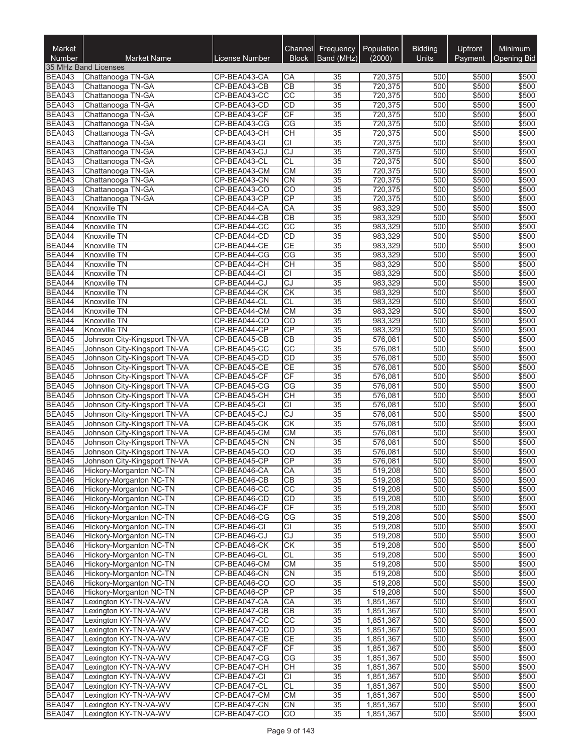| <b>Market</b><br><b>Number</b> | <b>Market Name</b>                                           | <b>License Number</b>        | Channel<br><b>Block</b> | Frequency<br>Band (MHz)            | Population<br>(2000)   | <b>Bidding</b><br><b>Units</b> | Upfront<br>Payment | Minimum<br>Opening Bid |
|--------------------------------|--------------------------------------------------------------|------------------------------|-------------------------|------------------------------------|------------------------|--------------------------------|--------------------|------------------------|
|                                | 35 MHz Band Licenses                                         |                              |                         |                                    |                        |                                |                    |                        |
| <b>BEA043</b>                  | Chattanooga TN-GA                                            | CP-BEA043-CA                 | СA                      | 35                                 | 720,375                | 500                            | \$500              | \$500                  |
| <b>BEA043</b>                  | Chattanooga TN-GA                                            | CP-BEA043-CB                 | CB                      | $\overline{35}$                    | 720,375                | 500                            | \$500              | \$500                  |
| <b>BEA043</b>                  | Chattanooga TN-GA                                            | CP-BEA043-CC                 | $\overline{CC}$         | $\overline{35}$                    | 720,375                | 500                            | \$500              | \$500                  |
| <b>BEA043</b>                  | Chattanooga TN-GA                                            | CP-BEA043-CD                 | CD                      | $\overline{35}$                    | 720,375                | 500                            | \$500              | \$500                  |
| <b>BEA043</b>                  | Chattanooga TN-GA                                            | CP-BEA043-CF                 | CF                      | $\overline{35}$                    | 720,375                | 500                            | \$500              | \$500                  |
| <b>BEA043</b><br><b>BEA043</b> | Chattanooga TN-GA                                            | CP-BEA043-CG                 | CG                      | $\overline{35}$                    | 720,375<br>720,375     | 500<br>500                     | \$500              | \$500                  |
| <b>BEA043</b>                  | Chattanooga TN-GA<br>Chattanooga TN-GA                       | CP-BEA043-CH<br>CP-BEA043-CI | CH<br><b>CI</b>         | $\overline{35}$<br>35              | 720,375                | 500                            | \$500<br>\$500     | \$500<br>\$500         |
| <b>BEA043</b>                  | Chattanooga TN-GA                                            | CP-BEA043-CJ                 | <b>CJ</b>               | $\overline{35}$                    | 720,375                | 500                            | \$500              | \$500                  |
| <b>BEA043</b>                  | Chattanooga TN-GA                                            | CP-BEA043-CL                 | $\overline{CL}$         | 35                                 | 720,375                | 500                            | \$500              | \$500                  |
| <b>BEA043</b>                  | Chattanooga TN-GA                                            | CP-BEA043-CM                 | <b>CM</b>               | $\overline{35}$                    | 720,375                | 500                            | \$500              | \$500                  |
| <b>BEA043</b>                  | Chattanooga TN-GA                                            | CP-BEA043-CN                 | CN                      | $\overline{35}$                    | 720,375                | 500                            | \$500              | \$500                  |
| <b>BEA043</b>                  | Chattanooga TN-GA                                            | CP-BEA043-CO                 | $\overline{CO}$         | $\overline{35}$                    | 720,375                | 500                            | \$500              | \$500                  |
| <b>BEA043</b>                  | Chattanooga TN-GA                                            | CP-BEA043-CP                 | CP                      | 35                                 | 720,375                | 500                            | \$500              | \$500                  |
| <b>BEA044</b>                  | Knoxville TN                                                 | CP-BEA044-CA                 | CA                      | $\overline{35}$                    | 983,329                | 500                            | \$500              | \$500                  |
| <b>BEA044</b>                  | Knoxville TN                                                 | CP-BEA044-CB                 | CB                      | $\overline{35}$                    | 983,329                | 500                            | \$500              | \$500                  |
| <b>BEA044</b>                  | Knoxville TN                                                 | CP-BEA044-CC                 | $\overline{CC}$         | $\overline{35}$                    | 983,329                | 500                            | \$500              | \$500                  |
| <b>BEA044</b>                  | Knoxville TN                                                 | CP-BEA044-CD                 | CD                      | $\overline{35}$                    | 983,329                | 500                            | \$500              | \$500                  |
| <b>BEA044</b>                  | Knoxville TN<br>Knoxville TN                                 | CP-BEA044-CE                 | CE<br>$\overline{CG}$   | $\overline{35}$<br>$\overline{35}$ | 983,329<br>983,329     | 500<br>500                     | \$500              | \$500                  |
| <b>BEA044</b><br><b>BEA044</b> | Knoxville TN                                                 | CP-BEA044-CG<br>CP-BEA044-CH | CH                      | $\overline{35}$                    | 983,329                | 500                            | \$500<br>\$500     | \$500<br>\$500         |
| <b>BEA044</b>                  | Knoxville TN                                                 | CP-BEA044-CI                 | $\overline{CI}$         | $\overline{35}$                    | 983,329                | 500                            | \$500              | \$500                  |
| <b>BEA044</b>                  | Knoxville TN                                                 | CP-BEA044-CJ                 | CJ                      | $\overline{35}$                    | 983,329                | 500                            | \$500              | \$500                  |
| <b>BEA044</b>                  | Knoxville TN                                                 | CP-BEA044-CK                 | CK                      | 35                                 | 983,329                | 500                            | \$500              | \$500                  |
| <b>BEA044</b>                  | Knoxville TN                                                 | CP-BEA044-CL                 | <b>CL</b>               | 35                                 | 983,329                | 500                            | \$500              | \$500                  |
| <b>BEA044</b>                  | Knoxville TN                                                 | CP-BEA044-CM                 | <b>CM</b>               | 35                                 | 983,329                | 500                            | \$500              | \$500                  |
| <b>BEA044</b>                  | Knoxville TN                                                 | CP-BEA044-CO                 | $\overline{CO}$         | $\overline{35}$                    | 983,329                | 500                            | \$500              | \$500                  |
| <b>BEA044</b>                  | Knoxville TN                                                 | CP-BEA044-CP                 | CP                      | $\overline{35}$                    | 983,329                | 500                            | \$500              | \$500                  |
| <b>BEA045</b>                  | Johnson City-Kingsport TN-VA                                 | CP-BEA045-CB                 | CB                      | $\overline{35}$                    | 576,081                | 500                            | \$500              | \$500                  |
| <b>BEA045</b>                  | Johnson City-Kingsport TN-VA                                 | CP-BEA045-CC                 | CC                      | $\overline{35}$                    | 576,081                | 500                            | \$500              | \$500                  |
| <b>BEA045</b>                  | Johnson City-Kingsport TN-VA                                 | CP-BEA045-CD                 | CD                      | $\overline{35}$                    | 576,081                | 500                            | \$500              | \$500                  |
| <b>BEA045</b>                  | Johnson City-Kingsport TN-VA                                 | CP-BEA045-CE                 | <b>CE</b>               | $\overline{35}$                    | 576,081                | 500                            | \$500              | \$500                  |
| <b>BEA045</b>                  | Johnson City-Kingsport TN-VA                                 | CP-BEA045-CF                 | <b>CF</b><br>CG         | 35<br>$\overline{35}$              | 576,081                | 500<br>500                     | \$500              | \$500                  |
| <b>BEA045</b><br><b>BEA045</b> | Johnson City-Kingsport TN-VA<br>Johnson City-Kingsport TN-VA | CP-BEA045-CG<br>CP-BEA045-CH | CH                      | $\overline{35}$                    | 576,081<br>576,081     | 500                            | \$500<br>\$500     | \$500<br>\$500         |
| <b>BEA045</b>                  | Johnson City-Kingsport TN-VA                                 | CP-BEA045-CI                 | <b>CI</b>               | $\overline{35}$                    | 576,081                | 500                            | \$500              | \$500                  |
| <b>BEA045</b>                  | Johnson City-Kingsport TN-VA                                 | CP-BEA045-CJ                 | CJ                      | $\overline{35}$                    | 576.081                | 500                            | \$500              | \$500                  |
| <b>BEA045</b>                  | Johnson City-Kingsport TN-VA                                 | CP-BEA045-CK                 | CK                      | $\overline{35}$                    | 576,081                | 500                            | \$500              | \$500                  |
| <b>BEA045</b>                  | Johnson City-Kingsport TN-VA                                 | CP-BEA045-CM                 | CM                      | 35                                 | 576,081                | 500                            | \$500              | \$500                  |
| <b>BEA045</b>                  | Johnson City-Kingsport TN-VA                                 | CP-BEA045-CN                 | <b>CN</b>               | 35                                 | 576,081                | 500                            | \$500              | \$500                  |
| <b>BEA045</b>                  | Johnson City-Kingsport TN-VA                                 | CP-BEA045-CO                 | CO                      | 35                                 | 576,081                | 500                            | \$500              | \$500                  |
| <b>BEA045</b>                  | Johnson City-Kingsport TN-VA                                 | CP-BEA045-CP                 | CP                      | $\overline{35}$                    | 576,081                | 500                            | \$500              | \$500                  |
| <b>BEA046</b>                  | <b>Hickory-Morganton NC-TN</b>                               | CP-BEA046-CA                 | CA                      | $\overline{35}$                    | 519.208                | 500                            | \$500              | \$500                  |
| <b>BEA046</b>                  | Hickory-Morganton NC-TN                                      | CP-BEA046-CB                 | CВ                      | 35                                 | 519,208                | 500                            | \$500              | \$500                  |
| <b>BEA046</b>                  | Hickory-Morganton NC-TN                                      | CP-BEA046-CC                 | $\overline{CC}$         | $\overline{35}$                    | 519,208                | 500                            | \$500              | \$500                  |
| <b>BEA046</b>                  | Hickory-Morganton NC-TN                                      | CP-BEA046-CD                 | <b>CD</b>               | 35                                 | 519,208                | 500                            | \$500              | \$500                  |
| <b>BEA046</b>                  | Hickory-Morganton NC-TN                                      | CP-BEA046-CF                 | CF                      | 35                                 | 519,208                | 500                            | \$500              | \$500                  |
| <b>BEA046</b><br><b>BEA046</b> | Hickory-Morganton NC-TN<br>Hickory-Morganton NC-TN           | CP-BEA046-CG<br>CP-BEA046-CI | CG<br><b>CI</b>         | $\overline{35}$<br>35              | 519,208<br>519,208     | 500<br>500                     | \$500<br>\$500     | \$500<br>\$500         |
| <b>BEA046</b>                  | Hickory-Morganton NC-TN                                      | CP-BEA046-CJ                 | CJ                      | 35                                 | 519,208                | 500                            | \$500              | \$500                  |
| <b>BEA046</b>                  | Hickory-Morganton NC-TN                                      | CP-BEA046-CK                 | CK                      | $\overline{35}$                    | 519,208                | 500                            | \$500              | \$500                  |
| <b>BEA046</b>                  | Hickory-Morganton NC-TN                                      | CP-BEA046-CL                 | <b>CL</b>               | 35                                 | 519,208                | 500                            | \$500              | \$500                  |
| <b>BEA046</b>                  | Hickory-Morganton NC-TN                                      | CP-BEA046-CM                 | <b>CM</b>               | 35                                 | 519,208                | 500                            | \$500              | \$500                  |
| <b>BEA046</b>                  | Hickory-Morganton NC-TN                                      | CP-BEA046-CN                 | <b>CN</b>               | 35                                 | 519,208                | 500                            | \$500              | \$500                  |
| BEA046                         | Hickory-Morganton NC-TN                                      | CP-BEA046-CO                 | CO                      | 35                                 | 519,208                | 500                            | \$500              | \$500                  |
| <b>BEA046</b>                  | Hickory-Morganton NC-TN                                      | CP-BEA046-CP                 | CP                      | 35                                 | 519,208                | 500                            | \$500              | \$500                  |
| <b>BEA047</b>                  | Lexington KY-TN-VA-WV                                        | CP-BEA047-CA                 | CA                      | 35                                 | 1,851,367              | 500                            | \$500              | \$500                  |
| <b>BEA047</b>                  | Lexington KY-TN-VA-WV                                        | CP-BEA047-CB                 | CB                      | 35                                 | 1,851,367              | 500                            | \$500              | \$500                  |
| <b>BEA047</b>                  | Lexington KY-TN-VA-WV                                        | CP-BEA047-CC                 | $\overline{CC}$         | 35                                 | 1,851,367              | 500                            | \$500              | \$500                  |
| <b>BEA047</b>                  | Lexington KY-TN-VA-WV                                        | CP-BEA047-CD                 | CD                      | 35                                 | 1,851,367              | 500                            | \$500              | \$500                  |
| <b>BEA047</b>                  | Lexington KY-TN-VA-WV                                        | CP-BEA047-CE                 | <b>CE</b>               | 35                                 | 1,851,367              | 500                            | \$500              | \$500                  |
| <b>BEA047</b><br><b>BEA047</b> | Lexington KY-TN-VA-WV<br>Lexington KY-TN-VA-WV               | CP-BEA047-CF<br>CP-BEA047-CG | CF<br>CG                | $\overline{35}$<br>35              | 1,851,367<br>1,851,367 | 500<br>500                     | \$500<br>\$500     | \$500<br>\$500         |
| <b>BEA047</b>                  | Lexington KY-TN-VA-WV                                        | CP-BEA047-CH                 | CН                      | $\overline{35}$                    | 1,851,367              | 500                            | \$500              | \$500                  |
| <b>BEA047</b>                  | Lexington KY-TN-VA-WV                                        | CP-BEA047-CI                 | <b>CI</b>               | 35                                 | 1,851,367              | 500                            | \$500              | \$500                  |
| <b>BEA047</b>                  | Lexington KY-TN-VA-WV                                        | CP-BEA047-CL                 | <b>CL</b>               | 35                                 | 1,851,367              | 500                            | \$500              | \$500                  |
| <b>BEA047</b>                  | Lexington KY-TN-VA-WV                                        | CP-BEA047-CM                 | <b>CM</b>               | 35                                 | 1,851,367              | 500                            | \$500              | \$500                  |
| <b>BEA047</b>                  | Lexington KY-TN-VA-WV                                        | CP-BEA047-CN                 | CN                      | 35                                 | 1,851,367              | 500                            | \$500              | \$500                  |
| <b>BEA047</b>                  | Lexington KY-TN-VA-WV                                        | CP-BEA047-CO                 | $\overline{CO}$         | 35                                 | 1,851,367              | 500                            | \$500              | \$500                  |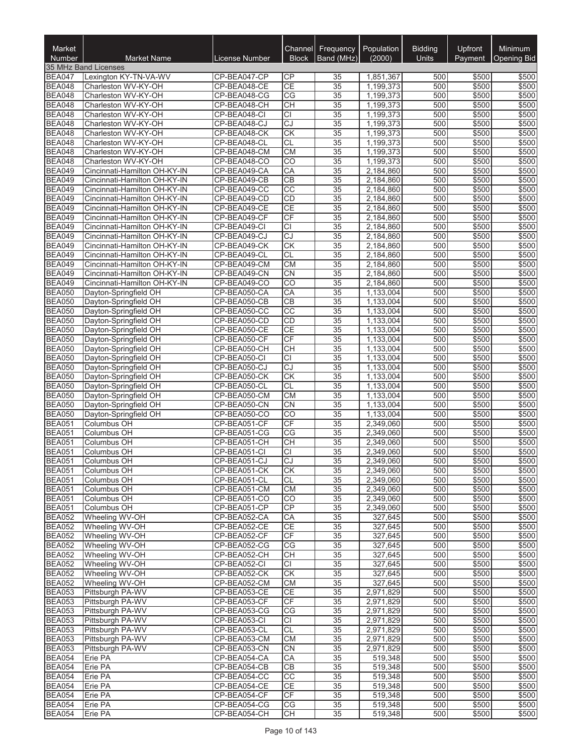| Market<br>Number               | <b>Market Name</b>                                           | License Number               | Channel<br><b>Block</b>                   | Frequency<br>Band (MHz)            | Population<br>(2000)   | <b>Bidding</b><br>Units | Upfront<br>Payment | Minimum<br><b>Opening Bid</b> |
|--------------------------------|--------------------------------------------------------------|------------------------------|-------------------------------------------|------------------------------------|------------------------|-------------------------|--------------------|-------------------------------|
|                                | 35 MHz Band Licenses                                         |                              |                                           |                                    |                        |                         |                    |                               |
| <b>BEA047</b>                  | Lexington KY-TN-VA-WV                                        | CP-BEA047-CP                 | СP                                        | 35                                 | 1,851,367              | 500                     | \$500              | \$500                         |
| <b>BEA048</b>                  | Charleston WV-KY-OH                                          | CP-BEA048-CE                 | CE                                        | $\overline{35}$                    | 1,199,373              | 500                     | \$500              | \$500                         |
| <b>BEA048</b>                  | Charleston WV-KY-OH                                          | CP-BEA048-CG                 | CG                                        | 35                                 | 1,199,373              | 500                     | \$500              | \$500                         |
| <b>BEA048</b>                  | Charleston WV-KY-OH                                          | CP-BEA048-CH                 | <b>CH</b>                                 | 35                                 | 1,199,373              | 500                     | \$500              | \$500                         |
| <b>BEA048</b>                  | Charleston WV-KY-OH                                          | CP-BEA048-CI                 | <b>CI</b>                                 | 35                                 | 1,199,373              | 500                     | \$500              | \$500                         |
| <b>BEA048</b><br><b>BEA048</b> | Charleston WV-KY-OH<br>Charleston WV-KY-OH                   | CP-BEA048-CJ<br>CP-BEA048-CK | $\overline{CJ}$<br>$\overline{\text{CK}}$ | $\overline{35}$<br>$\overline{35}$ | 1,199,373<br>1,199,373 | 500<br>500              | \$500<br>\$500     | \$500<br>\$500                |
| <b>BEA048</b>                  | Charleston WV-KY-OH                                          | CP-BEA048-CL                 | CL                                        | 35                                 | 1,199,373              | 500                     | \$500              | \$500                         |
| <b>BEA048</b>                  | Charleston WV-KY-OH                                          | CP-BEA048-CM                 | CM                                        | $\overline{35}$                    | 1,199,373              | 500                     | \$500              | \$500                         |
| <b>BEA048</b>                  | Charleston WV-KY-OH                                          | CP-BEA048-CO                 | $\overline{CO}$                           | 35                                 | 1,199,373              | 500                     | \$500              | \$500                         |
| <b>BEA049</b>                  | Cincinnati-Hamilton OH-KY-IN                                 | CP-BEA049-CA                 | CA                                        | 35                                 | 2,184,860              | 500                     | \$500              | \$500                         |
| <b>BEA049</b>                  | Cincinnati-Hamilton OH-KY-IN                                 | CP-BEA049-CB                 | $\overline{CB}$                           | 35                                 | 2,184,860              | 500                     | \$500              | \$500                         |
| <b>BEA049</b>                  | Cincinnati-Hamilton OH-KY-IN                                 | CP-BEA049-CC                 | CC                                        | 35                                 | 2,184,860              | 500                     | \$500              | \$500                         |
| <b>BEA049</b>                  | Cincinnati-Hamilton OH-KY-IN                                 | CP-BEA049-CD                 | CD                                        | 35                                 | 2,184,860              | 500                     | \$500              | \$500                         |
| <b>BEA049</b>                  | Cincinnati-Hamilton OH-KY-IN                                 | CP-BEA049-CE                 | $\overline{CE}$                           | $\overline{35}$                    | 2,184,860              | 500                     | \$500              | \$500                         |
| <b>BEA049</b>                  | Cincinnati-Hamilton OH-KY-IN                                 | CP-BEA049-CF                 | CF                                        | 35                                 | 2,184,860              | 500                     | \$500              | \$500                         |
| <b>BEA049</b>                  | Cincinnati-Hamilton OH-KY-IN                                 | CP-BEA049-CI                 | $\overline{CI}$                           | $\overline{35}$                    | 2,184,860              | 500                     | \$500              | \$500                         |
| <b>BEA049</b>                  | Cincinnati-Hamilton OH-KY-IN                                 | CP-BEA049-CJ                 | $\overline{CJ}$                           | $\overline{35}$                    | 2,184,860              | 500                     | \$500              | \$500                         |
| <b>BEA049</b><br><b>BEA049</b> | Cincinnati-Hamilton OH-KY-IN<br>Cincinnati-Hamilton OH-KY-IN | CP-BEA049-CK<br>CP-BEA049-CL | <b>CK</b><br><b>CL</b>                    | $\overline{35}$<br>$\overline{35}$ | 2,184,860<br>2,184,860 | 500<br>500              | \$500<br>\$500     | \$500<br>\$500                |
| <b>BEA049</b>                  | Cincinnati-Hamilton OH-KY-IN                                 | CP-BEA049-CM                 | <b>CM</b>                                 | 35                                 | 2,184,860              | 500                     | \$500              | \$500                         |
| <b>BEA049</b>                  | Cincinnati-Hamilton OH-KY-IN                                 | CP-BEA049-CN                 | $\overline{C}N$                           | $\overline{35}$                    | 2,184,860              | 500                     | \$500              | \$500                         |
| <b>BEA049</b>                  | Cincinnati-Hamilton OH-KY-IN                                 | CP-BEA049-CO                 | $\overline{CO}$                           | $\overline{35}$                    | 2,184,860              | 500                     | \$500              | \$500                         |
| <b>BEA050</b>                  | Dayton-Springfield OH                                        | CP-BEA050-CA                 | CA                                        | $\overline{35}$                    | 1,133,004              | 500                     | \$500              | \$500                         |
| <b>BEA050</b>                  | Dayton-Springfield OH                                        | CP-BEA050-CB                 | CB                                        | $\overline{35}$                    | 1,133,004              | 500                     | \$500              | \$500                         |
| <b>BEA050</b>                  | Dayton-Springfield OH                                        | CP-BEA050-CC                 | $\overline{cc}$                           | $\overline{35}$                    | 1,133,004              | 500                     | \$500              | \$500                         |
| <b>BEA050</b>                  | Dayton-Springfield OH                                        | CP-BEA050-CD                 | CD                                        | 35                                 | 1,133,004              | 500                     | \$500              | \$500                         |
| <b>BEA050</b>                  | Dayton-Springfield OH                                        | CP-BEA050-CE                 | CE                                        | 35                                 | 1,133,004              | 500                     | \$500              | \$500                         |
| <b>BEA050</b>                  | Dayton-Springfield OH                                        | CP-BEA050-CF                 | CF                                        | $\overline{35}$                    | 1,133,004              | 500                     | \$500              | \$500                         |
| <b>BEA050</b>                  | Dayton-Springfield OH                                        | CP-BEA050-CH                 | <b>CH</b>                                 | 35                                 | 1,133,004              | 500                     | \$500              | \$500                         |
| <b>BEA050</b>                  | Dayton-Springfield OH                                        | CP-BEA050-CI                 | $\overline{CI}$                           | $\overline{35}$                    | 1,133,004              | 500                     | \$500              | \$500                         |
| <b>BEA050</b>                  | Dayton-Springfield OH                                        | CP-BEA050-CJ                 | $\overline{cJ}$                           | $\overline{35}$                    | 1,133,004              | 500                     | \$500              | \$500                         |
| <b>BEA050</b><br><b>BEA050</b> | Dayton-Springfield OH                                        | CP-BEA050-CK<br>CP-BEA050-CL | <b>CK</b><br>CL                           | 35<br>$\overline{35}$              | 1,133,004<br>1,133,004 | 500<br>500              | \$500<br>\$500     | \$500<br>\$500                |
| <b>BEA050</b>                  | Dayton-Springfield OH<br>Dayton-Springfield OH               | CP-BEA050-CM                 | <b>CM</b>                                 | 35                                 | 1,133,004              | 500                     | \$500              | \$500                         |
| <b>BEA050</b>                  | Dayton-Springfield OH                                        | CP-BEA050-CN                 | <b>CN</b>                                 | 35                                 | 1,133,004              | 500                     | \$500              | \$500                         |
| <b>BEA050</b>                  | Dayton-Springfield OH                                        | CP-BEA050-CO                 | CO                                        | 35                                 | 1,133,004              | 500                     | \$500              | \$500                         |
| <b>BEA051</b>                  | Columbus OH                                                  | CP-BEA051-CF                 | CF                                        | 35                                 | 2,349,060              | 500                     | \$500              | \$500                         |
| <b>BEA051</b>                  | Columbus OH                                                  | CP-BEA051-CG                 | $\overline{\text{CG}}$                    | $\overline{35}$                    | 2,349,060              | 500                     | \$500              | \$500                         |
| <b>BEA051</b>                  | Columbus OH                                                  | CP-BEA051-CH                 | $\overline{CH}$                           | $\overline{35}$                    | 2,349,060              | 500                     | \$500              | \$500                         |
| <b>BEA051</b>                  | Columbus OH                                                  | CP-BEA051-CI                 | <b>CI</b>                                 | 35                                 | 2,349,060              | 500                     | \$500              | \$500                         |
| <b>BEA051</b>                  | Columbus OH                                                  | CP-BEA051-CJ                 | $\overline{CJ}$                           | $\overline{35}$                    | 2,349,060              | 500                     | \$500              | \$500                         |
| <b>BEA051</b>                  | Columbus OH                                                  | CP-BEA051-CK                 | CK                                        | 35                                 | 2,349,060              | 500                     | \$500              | \$500                         |
| <b>BEA051</b>                  | Columbus OH                                                  | CP-BEA051-CL                 | CL                                        | 35                                 | 2,349,060              | 500                     | \$500              | \$500                         |
| <b>BEA051</b>                  | Columbus OH                                                  | CP-BEA051-CM                 | <b>CM</b>                                 | 35                                 | 2,349,060              | 500                     | \$500              | \$500                         |
| <b>BEA051</b><br><b>BEA051</b> | Columbus OH<br>Columbus OH                                   | CP-BEA051-CO<br>CP-BEA051-CP | <b>CO</b><br>CP                           | 35<br>35                           | 2,349,060<br>2,349,060 | 500<br>500              | \$500<br>\$500     | \$500<br>\$500                |
| <b>BEA052</b>                  | Wheeling WV-OH                                               | CP-BEA052-CA                 | CA                                        | 35                                 | 327.645                | 500                     | \$500              | \$500                         |
| <b>BEA052</b>                  | Wheeling WV-OH                                               | CP-BEA052-CE                 | <b>CE</b>                                 | 35                                 | 327,645                | 500                     | \$500              | \$500                         |
| <b>BEA052</b>                  | Wheeling WV-OH                                               | CP-BEA052-CF                 | CF                                        | 35                                 | 327,645                | 500                     | \$500              | \$500                         |
| <b>BEA052</b>                  | Wheeling WV-OH                                               | CP-BEA052-CG                 | $\overline{\text{CG}}$                    | 35                                 | 327,645                | 500                     | \$500              | \$500                         |
| <b>BEA052</b>                  | Wheeling WV-OH                                               | CP-BEA052-CH                 | CH                                        | 35                                 | 327,645                | 500                     | \$500              | \$500                         |
| <b>BEA052</b>                  | Wheeling WV-OH                                               | CP-BEA052-CI                 | CI                                        | 35                                 | 327,645                | 500                     | \$500              | \$500                         |
| <b>BEA052</b>                  | Wheeling WV-OH                                               | CP-BEA052-CK                 | <b>CK</b>                                 | 35                                 | 327,645                | 500                     | \$500              | \$500                         |
| <b>BEA052</b>                  | Wheeling WV-OH                                               | CP-BEA052-CM                 | СM                                        | 35                                 | 327,645                | 500                     | \$500              | \$500                         |
| <b>BEA053</b>                  | Pittsburgh PA-WV                                             | CP-BEA053-CE                 | <b>CE</b>                                 | 35                                 | 2,971,829              | 500                     | \$500              | \$500                         |
| <b>BEA053</b>                  | Pittsburgh PA-WV                                             | CP-BEA053-CF                 | CF                                        | 35                                 | 2,971,829              | 500                     | \$500              | \$500                         |
| <b>BEA053</b>                  | Pittsburgh PA-WV                                             | CP-BEA053-CG                 | CG                                        | 35                                 | 2,971,829              | 500                     | \$500              | \$500                         |
| <b>BEA053</b>                  | Pittsburgh PA-WV                                             | CP-BEA053-CI                 | CI                                        | 35                                 | 2,971,829              | 500                     | \$500              | \$500                         |
| <b>BEA053</b>                  | Pittsburgh PA-WV                                             | CP-BEA053-CL                 | <b>CL</b>                                 | 35                                 | 2,971,829              | 500<br>500              | \$500              | \$500                         |
| <b>BEA053</b><br><b>BEA053</b> | Pittsburgh PA-WV<br>Pittsburgh PA-WV                         | CP-BEA053-CM<br>CP-BEA053-CN | СM<br>CN                                  | 35<br>35                           | 2,971,829<br>2,971,829 | 500                     | \$500<br>\$500     | \$500<br>\$500                |
| <b>BEA054</b>                  | Erie PA                                                      | CP-BEA054-CA                 | CA                                        | 35                                 | 519,348                | 500                     | \$500              | \$500                         |
| <b>BEA054</b>                  | Erie PA                                                      | CP-BEA054-CB                 | CB                                        | $\overline{35}$                    | 519,348                | 500                     | \$500              | \$500                         |
| <b>BEA054</b>                  | Erie PA                                                      | CP-BEA054-CC                 | CC                                        | 35                                 | 519,348                | 500                     | \$500              | \$500                         |
| <b>BEA054</b>                  | Erie PA                                                      | CP-BEA054-CE                 | <b>CE</b>                                 | 35                                 | 519,348                | 500                     | \$500              | \$500                         |
| <b>BEA054</b>                  | Erie PA                                                      | CP-BEA054-CF                 | CF                                        | 35                                 | 519,348                | 500                     | \$500              | \$500                         |
| <b>BEA054</b>                  | Erie PA                                                      | CP-BEA054-CG                 | СG                                        | 35                                 | 519,348                | 500                     | \$500              | \$500                         |
| <b>BEA054</b>                  | Erie PA                                                      | CP-BEA054-CH                 | CН                                        | 35                                 | 519,348                | 500                     | \$500              | \$500                         |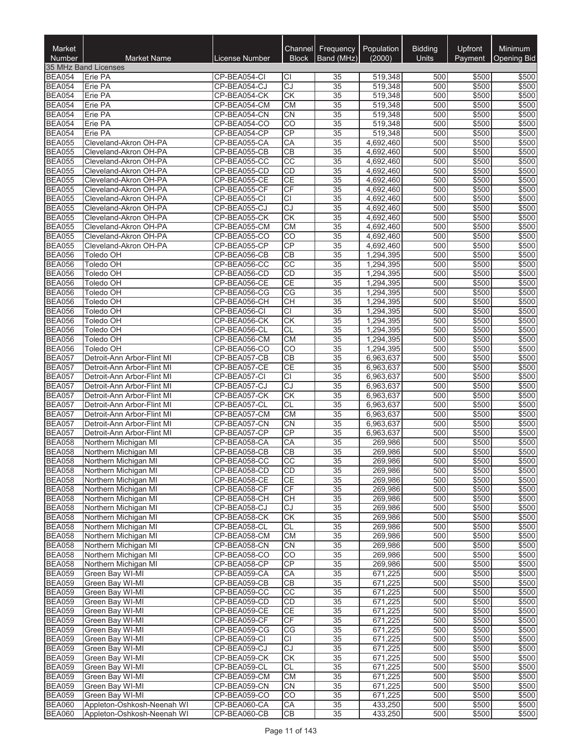| Market<br><b>Number</b>        | <b>Market Name</b>                                       | License Number               | Channel<br><b>Block</b>             | <b>Frequency</b><br>Band (MHz) | Population<br>(2000)   | <b>Bidding</b><br><b>Units</b> | Upfront<br>Payment | <b>Minimum</b><br><b>Opening Bid</b> |
|--------------------------------|----------------------------------------------------------|------------------------------|-------------------------------------|--------------------------------|------------------------|--------------------------------|--------------------|--------------------------------------|
|                                | 35 MHz Band Licenses                                     |                              |                                     |                                |                        |                                |                    |                                      |
| <b>BEA054</b>                  | Erie PA                                                  | CP-BEA054-CI                 | СI                                  | 35                             | 519,348                | 500                            | \$500              | \$500                                |
| <b>BEA054</b>                  | Erie PA                                                  | CP-BEA054-CJ                 | CJ                                  | 35                             | 519,348                | 500                            | \$500              | \$500                                |
| <b>BEA054</b>                  | Erie PA                                                  | CP-BEA054-CK                 | СK                                  | 35                             | 519,348                | 500                            | \$500              | \$500                                |
| <b>BEA054</b>                  | Erie PA                                                  | CP-BEA054-CM                 | <b>CM</b>                           | 35                             | 519,348                | 500                            | \$500              | \$500                                |
| <b>BEA054</b>                  | Erie PA                                                  | CP-BEA054-CN                 | <b>CN</b>                           | 35                             | 519,348                | 500                            | \$500              | \$500                                |
| <b>BEA054</b><br><b>BEA054</b> | Erie PA<br>Erie PA                                       | CP-BEA054-CO<br>CP-BEA054-CP | $\overline{CO}$<br>$\overline{CP}$  | 35<br>35                       | 519,348<br>519,348     | 500<br>500                     | \$500<br>\$500     | \$500<br>\$500                       |
| <b>BEA055</b>                  | Cleveland-Akron OH-PA                                    | CP-BEA055-CA                 | CA                                  | 35                             | 4,692,460              | 500                            | \$500              | \$500                                |
| <b>BEA055</b>                  | Cleveland-Akron OH-PA                                    | CP-BEA055-CB                 | $\overline{CB}$                     | 35                             | 4,692,460              | 500                            | \$500              | \$500                                |
| <b>BEA055</b>                  | Cleveland-Akron OH-PA                                    | CP-BEA055-CC                 | $\overline{cc}$                     | 35                             | 4,692,460              | 500                            | \$500              | \$500                                |
| <b>BEA055</b>                  | Cleveland-Akron OH-PA                                    | CP-BEA055-CD                 | CD                                  | 35                             | 4,692,460              | 500                            | \$500              | \$500                                |
| <b>BEA055</b>                  | Cleveland-Akron OH-PA                                    | CP-BEA055-CE                 | CE                                  | 35                             | 4,692,460              | 500                            | \$500              | \$500                                |
| <b>BEA055</b>                  | Cleveland-Akron OH-PA                                    | CP-BEA055-CF                 | CF                                  | 35                             | 4,692,460              | 500                            | \$500              | \$500                                |
| <b>BEA055</b>                  | Cleveland-Akron OH-PA                                    | CP-BEA055-CI                 | $\overline{C}$                      | $\overline{35}$                | 4,692,460              | 500                            | \$500              | \$500                                |
| <b>BEA055</b>                  | Cleveland-Akron OH-PA                                    | CP-BEA055-CJ                 | $\overline{c}$                      | 35                             | 4,692,460              | 500                            | \$500              | \$500                                |
| <b>BEA055</b>                  | Cleveland-Akron OH-PA                                    | CP-BEA055-CK                 | CK                                  | 35                             | 4,692,460              | 500                            | \$500              | \$500                                |
| <b>BEA055</b>                  | Cleveland-Akron OH-PA                                    | CP-BEA055-CM                 | <b>CM</b>                           | 35                             | 4,692,460              | 500                            | \$500              | \$500                                |
| <b>BEA055</b>                  | Cleveland-Akron OH-PA                                    | CP-BEA055-CO                 | CO                                  | 35                             | 4,692,460              | 500                            | \$500              | \$500                                |
| <b>BEA055</b>                  | Cleveland-Akron OH-PA                                    | CP-BEA055-CP                 | CP                                  | 35                             | 4,692,460              | 500                            | \$500              | \$500                                |
| <b>BEA056</b>                  | Toledo OH                                                | CP-BEA056-CB                 | $\overline{CB}$                     | 35                             | 1,294,395              | 500                            | \$500              | \$500                                |
| <b>BEA056</b><br><b>BEA056</b> | Toledo OH<br><b>Toledo OH</b>                            | CP-BEA056-CC<br>CP-BEA056-CD | $\overline{CC}$<br>CD               | 35<br>$\overline{35}$          | 1,294,395              | 500<br>500                     | \$500<br>\$500     | \$500<br>\$500                       |
| <b>BEA056</b>                  | <b>Toledo OH</b>                                         | CP-BEA056-CE                 | $\overline{CE}$                     | 35                             | 1,294,395<br>1,294,395 | 500                            | \$500              | \$500                                |
| <b>BEA056</b>                  | Toledo OH                                                | CP-BEA056-CG                 | CG                                  | 35                             | 1,294,395              | 500                            | \$500              | \$500                                |
| <b>BEA056</b>                  | Toledo OH                                                | CP-BEA056-CH                 | <b>CH</b>                           | 35                             | 1,294,395              | 500                            | \$500              | \$500                                |
| <b>BEA056</b>                  | Toledo OH                                                | CP-BEA056-CI                 | $\overline{CI}$                     | 35                             | 1,294,395              | 500                            | \$500              | \$500                                |
| <b>BEA056</b>                  | Toledo OH                                                | CP-BEA056-CK                 | CK                                  | 35                             | 1,294,395              | 500                            | \$500              | \$500                                |
| <b>BEA056</b>                  | Toledo OH                                                | CP-BEA056-CL                 | CL                                  | 35                             | 1,294,395              | 500                            | \$500              | \$500                                |
| <b>BEA056</b>                  | Toledo OH                                                | CP-BEA056-CM                 | CM                                  | 35                             | 1,294,395              | 500                            | \$500              | \$500                                |
| <b>BEA056</b>                  | Toledo OH                                                | CP-BEA056-CO                 | CO                                  | 35                             | 1,294,395              | 500                            | \$500              | \$500                                |
| <b>BEA057</b>                  | Detroit-Ann Arbor-Flint MI                               | CP-BEA057-CB                 | $\overline{CB}$                     | 35                             | 6,963,637              | 500                            | \$500              | \$500                                |
| <b>BEA057</b>                  | Detroit-Ann Arbor-Flint MI                               | CP-BEA057-CE                 | CE                                  | 35                             | 6,963,637              | 500                            | \$500              | \$500                                |
| <b>BEA057</b>                  | Detroit-Ann Arbor-Flint MI                               | CP-BEA057-CI                 | CI                                  | 35                             | 6,963,637              | 500                            | \$500              | \$500                                |
| <b>BEA057</b>                  | Detroit-Ann Arbor-Flint MI                               | CP-BEA057-CJ                 | $\overline{cJ}$                     | 35                             | 6,963,637              | 500                            | \$500              | \$500                                |
| <b>BEA057</b>                  | Detroit-Ann Arbor-Flint MI<br>Detroit-Ann Arbor-Flint MI | CP-BEA057-CK<br>CP-BEA057-CL | $\overline{\text{CK}}$              | 35                             | 6,963,637              | 500<br>500                     | \$500              | \$500                                |
| <b>BEA057</b><br><b>BEA057</b> | Detroit-Ann Arbor-Flint MI                               | CP-BEA057-CM                 | <b>CL</b><br>CM                     | 35<br>35                       | 6,963,637<br>6,963,637 | 500                            | \$500<br>\$500     | \$500<br>\$500                       |
| <b>BEA057</b>                  | Detroit-Ann Arbor-Flint MI                               | CP-BEA057-CN                 | CN                                  | 35                             | 6,963,637              | 500                            | \$500              | \$500                                |
| <b>BEA057</b>                  | Detroit-Ann Arbor-Flint MI                               | CP-BEA057-CP                 | CP                                  | $\overline{35}$                | 6,963,637              | 500                            | \$500              | \$500                                |
| <b>BEA058</b>                  | Northern Michigan MI                                     | CP-BEA058-CA                 | CA                                  | 35                             | 269,986                | 500                            | \$500              | \$500                                |
| <b>BEA058</b>                  | Northern Michigan MI                                     | CP-BEA058-CB                 | CB                                  | 35                             | 269.986                | 500                            | \$500              | \$500                                |
| <b>BEA058</b>                  | Northern Michigan MI                                     | CP-BEA058-CC                 | $\overline{cc}$                     | $\overline{35}$                | 269,986                | 500                            | \$500              | \$500                                |
| <b>BEA058</b>                  | Northern Michigan MI                                     | CP-BEA058-CD                 | CD                                  | 35                             | 269,986                | 500                            | \$500              | \$500                                |
| <b>BEA058</b>                  | Northern Michigan MI                                     | CP-BEA058-CE                 | CE                                  | 35                             | 269,986                | 500                            | \$500              | \$500                                |
| <b>BEA058</b>                  | Northern Michigan MI                                     | CP-BEA058-CF                 | CF                                  | 35                             | 269,986                | 500                            | \$500              | \$500                                |
| <b>BEA058</b>                  | Northern Michigan MI                                     | CP-BEA058-CH                 | <b>CH</b>                           | 35                             | 269,986                | 500                            | \$500              | \$500                                |
| <b>BEA058</b>                  | Northern Michigan MI                                     | CP-BEA058-CJ                 | CJ                                  | 35                             | 269,986                | 500                            | \$500              | \$500                                |
| <b>BEA058</b>                  | Northern Michigan MI                                     | CP-BEA058-CK                 | CK                                  | 35                             | 269,986                | 500                            | \$500              | \$500                                |
| <b>BEA058</b>                  | Northern Michigan MI<br>Northern Michigan MI             | CP-BEA058-CL                 | <b>CL</b><br>$\overline{\text{CM}}$ | 35                             | 269,986<br>269,986     | 500<br>500                     | \$500<br>\$500     | \$500<br>\$500                       |
| <b>BEA058</b><br><b>BEA058</b> | Northern Michigan MI                                     | CP-BEA058-CM<br>CP-BEA058-CN | CN                                  | 35<br>35                       | 269,986                | 500                            | \$500              | \$500                                |
| <b>BEA058</b>                  | Northern Michigan MI                                     | CP-BEA058-CO                 | CO                                  | $\overline{35}$                | 269,986                | 500                            | \$500              | \$500                                |
| <b>BEA058</b>                  | Northern Michigan MI                                     | CP-BEA058-CP                 | CP                                  | 35                             | 269,986                | 500                            | \$500              | \$500                                |
| <b>BEA059</b>                  | Green Bay WI-MI                                          | CP-BEA059-CA                 | CA                                  | 35                             | 671,225                | 500                            | \$500              | \$500                                |
| <b>BEA059</b>                  | Green Bay WI-MI                                          | CP-BEA059-CB                 | CB                                  | 35                             | 671,225                | 500                            | \$500              | \$500                                |
| <b>BEA059</b>                  | Green Bay WI-MI                                          | CP-BEA059-CC                 | $\overline{cc}$                     | 35                             | 671,225                | 500                            | \$500              | \$500                                |
| <b>BEA059</b>                  | Green Bay WI-MI                                          | CP-BEA059-CD                 | CD                                  | 35                             | 671,225                | 500                            | \$500              | \$500                                |
| <b>BEA059</b>                  | Green Bay WI-MI                                          | CP-BEA059-CE                 | <b>CE</b>                           | 35                             | 671,225                | 500                            | \$500              | \$500                                |
| <b>BEA059</b>                  | Green Bay WI-MI                                          | CP-BEA059-CF                 | CF                                  | 35                             | 671,225                | 500                            | \$500              | \$500                                |
| <b>BEA059</b>                  | Green Bay WI-MI                                          | CP-BEA059-CG                 | CG                                  | 35                             | 671,225                | 500                            | \$500              | \$500                                |
| <b>BEA059</b>                  | Green Bay WI-MI                                          | CP-BEA059-CI                 | CI                                  | 35                             | 671,225                | 500                            | \$500              | \$500                                |
| <b>BEA059</b>                  | Green Bay WI-MI                                          | CP-BEA059-CJ                 | CJ                                  | 35                             | 671,225                | 500                            | \$500              | \$500                                |
| <b>BEA059</b>                  | Green Bay WI-MI                                          | CP-BEA059-CK                 | СK                                  | 35                             | 671,225                | 500                            | \$500              | \$500                                |
| <b>BEA059</b>                  | Green Bay WI-MI                                          | CP-BEA059-CL                 | <b>CL</b>                           | $\overline{35}$                | 671,225                | 500                            | \$500              | \$500                                |
| <b>BEA059</b><br><b>BEA059</b> | Green Bay WI-MI<br>Green Bay WI-MI                       | CP-BEA059-CM<br>CP-BEA059-CN | <b>CM</b><br>CN                     | 35<br>$\overline{35}$          | 671,225<br>671,225     | 500<br>500                     | \$500<br>\$500     | \$500<br>\$500                       |
| <b>BEA059</b>                  | Green Bay WI-MI                                          | CP-BEA059-CO                 | $\overline{CO}$                     | 35                             | 671,225                | 500                            | \$500              | \$500                                |
| <b>BEA060</b>                  | Appleton-Oshkosh-Neenah WI                               | CP-BEA060-CA                 | CA                                  | 35                             | 433,250                | 500                            | \$500              | \$500                                |
| <b>BEA060</b>                  | Appleton-Oshkosh-Neenah WI                               | CP-BEA060-CB                 | СB                                  | 35                             | 433,250                | 500                            | \$500              | \$500                                |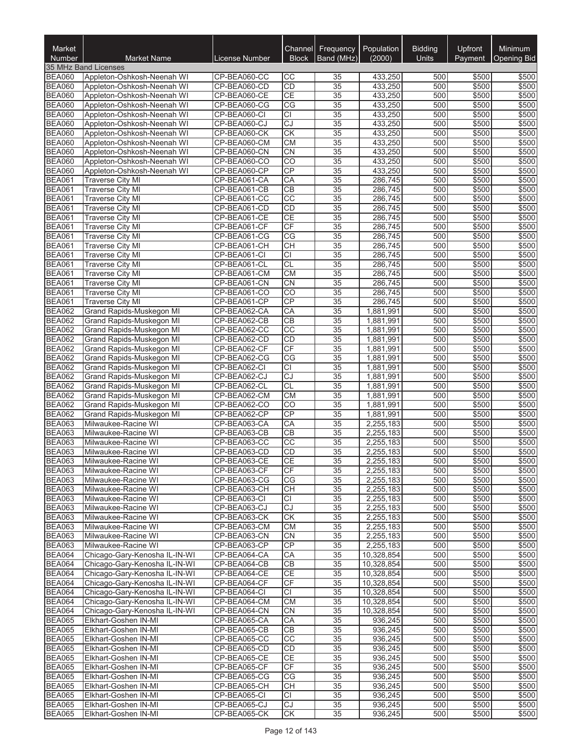| Market<br><b>Number</b>        | <b>Market Name</b>                                       | License Number               | Channel<br><b>Block</b> | Frequency<br>Band (MHz)            | Population<br>(2000)   | <b>Bidding</b><br>Units | Upfront<br>Payment | Minimum<br>Opening Bid |
|--------------------------------|----------------------------------------------------------|------------------------------|-------------------------|------------------------------------|------------------------|-------------------------|--------------------|------------------------|
|                                | 35 MHz Band Licenses                                     |                              |                         |                                    |                        |                         |                    |                        |
| <b>BEA060</b>                  | Appleton-Oshkosh-Neenah WI                               | CP-BEA060-CC                 | CС                      | 35                                 | 433,250                | 500                     | \$500              | \$500                  |
| <b>BEA060</b>                  | Appleton-Oshkosh-Neenah WI                               | CP-BEA060-CD                 | CD                      | 35                                 | 433,250                | 500                     | \$500              | \$500                  |
| <b>BEA060</b>                  | Appleton-Oshkosh-Neenah WI                               | CP-BEA060-CE                 | <b>CE</b>               | 35                                 | 433,250                | 500                     | \$500              | \$500                  |
| <b>BEA060</b>                  | Appleton-Oshkosh-Neenah WI                               | CP-BEA060-CG                 | CG                      | 35                                 | 433,250                | 500                     | \$500              | \$500                  |
| <b>BEA060</b>                  | Appleton-Oshkosh-Neenah WI                               | CP-BEA060-CI                 | <b>CI</b>               | 35                                 | 433,250                | 500                     | \$500              | \$500                  |
| <b>BEA060</b><br><b>BEA060</b> | Appleton-Oshkosh-Neenah WI<br>Appleton-Oshkosh-Neenah WI | CP-BEA060-CJ<br>CP-BEA060-CK | $\overline{CJ}$<br>CK   | $\overline{35}$<br>$\overline{35}$ | 433,250<br>433,250     | 500<br>500              | \$500<br>\$500     | \$500<br>\$500         |
| <b>BEA060</b>                  | Appleton-Oshkosh-Neenah WI                               | CP-BEA060-CM                 | <b>CM</b>               | $\overline{35}$                    | 433,250                | 500                     | \$500              | \$500                  |
| <b>BEA060</b>                  | Appleton-Oshkosh-Neenah WI                               | CP-BEA060-CN                 | CN                      | $\overline{35}$                    | 433,250                | 500                     | \$500              | \$500                  |
| <b>BEA060</b>                  | Appleton-Oshkosh-Neenah WI                               | CP-BEA060-CO                 | $\overline{CO}$         | 35                                 | 433,250                | 500                     | \$500              | \$500                  |
| <b>BEA060</b>                  | Appleton-Oshkosh-Neenah WI                               | CP-BEA060-CP                 | CP                      | 35                                 | 433,250                | 500                     | \$500              | \$500                  |
| <b>BEA061</b>                  | <b>Traverse City MI</b>                                  | CP-BEA061-CA                 | CA                      | $\overline{35}$                    | 286,745                | 500                     | \$500              | \$500                  |
| <b>BEA061</b>                  | <b>Traverse City MI</b>                                  | CP-BEA061-CB                 | CB                      | 35                                 | 286,745                | 500                     | \$500              | \$500                  |
| <b>BEA061</b>                  | <b>Traverse City MI</b>                                  | CP-BEA061-CC                 | $\overline{CC}$         | $\overline{35}$                    | 286,745                | 500                     | \$500              | \$500                  |
| <b>BEA061</b>                  | <b>Traverse City MI</b>                                  | CP-BEA061-CD                 | CD                      | $\overline{35}$                    | 286,745                | 500                     | \$500              | \$500                  |
| <b>BEA061</b>                  | <b>Traverse City MI</b>                                  | CP-BEA061-CE                 | <b>CE</b>               | $\overline{35}$                    | 286,745                | 500                     | \$500              | \$500                  |
| <b>BEA061</b>                  | <b>Traverse City MI</b>                                  | CP-BEA061-CF                 | CF                      | $\overline{35}$                    | 286,745                | 500                     | \$500              | \$500                  |
| <b>BEA061</b>                  | <b>Traverse City MI</b>                                  | CP-BEA061-CG                 | CG                      | $\overline{35}$                    | 286,745                | 500                     | \$500              | \$500                  |
| <b>BEA061</b>                  | Traverse City MI<br><b>Traverse City MI</b>              | CP-BEA061-CH                 | CH<br>$\overline{CI}$   | 35<br>$\overline{35}$              | 286,745                | 500<br>500              | \$500<br>\$500     | \$500                  |
| <b>BEA061</b><br><b>BEA061</b> | <b>Traverse City MI</b>                                  | CP-BEA061-CI<br>CP-BEA061-CL | CL                      | 35                                 | 286,745<br>286,745     | 500                     | \$500              | \$500<br>\$500         |
| <b>BEA061</b>                  | <b>Traverse City MI</b>                                  | CP-BEA061-CM                 | <b>CM</b>               | $\overline{35}$                    | 286,745                | 500                     | \$500              | \$500                  |
| <b>BEA061</b>                  | <b>Traverse City MI</b>                                  | CP-BEA061-CN                 | CN                      | $\overline{35}$                    | 286.745                | 500                     | \$500              | \$500                  |
| <b>BEA061</b>                  | <b>Traverse City MI</b>                                  | CP-BEA061-CO                 | $\overline{CO}$         | $\overline{35}$                    | 286.745                | 500                     | \$500              | \$500                  |
| <b>BEA061</b>                  | <b>Traverse City MI</b>                                  | CP-BEA061-CP                 | CP                      | $\overline{35}$                    | 286,745                | 500                     | \$500              | \$500                  |
| <b>BEA062</b>                  | Grand Rapids-Muskegon MI                                 | CP-BEA062-CA                 | CA                      | 35                                 | 1,881,991              | 500                     | \$500              | \$500                  |
| <b>BEA062</b>                  | Grand Rapids-Muskegon MI                                 | CP-BEA062-CB                 | CB                      | 35                                 | 1,881,991              | 500                     | \$500              | \$500                  |
| <b>BEA062</b>                  | Grand Rapids-Muskegon MI                                 | CP-BEA062-CC                 | CC                      | 35                                 | 1,881,991              | 500                     | \$500              | \$500                  |
| <b>BEA062</b>                  | Grand Rapids-Muskegon MI                                 | CP-BEA062-CD                 | CD                      | 35                                 | 1,881,991              | 500                     | \$500              | \$500                  |
| <b>BEA062</b>                  | Grand Rapids-Muskegon MI                                 | CP-BEA062-CF                 | CF                      | 35                                 | 1,881,991              | 500                     | \$500              | \$500                  |
| <b>BEA062</b>                  | Grand Rapids-Muskegon MI                                 | CP-BEA062-CG                 | CG                      | $\overline{35}$                    | 1,881,991              | 500                     | \$500              | \$500                  |
| <b>BEA062</b>                  | Grand Rapids-Muskegon MI                                 | CP-BEA062-CI                 | $\overline{CI}$         | $\overline{35}$                    | 1,881,991              | 500                     | \$500              | \$500                  |
| <b>BEA062</b>                  | Grand Rapids-Muskegon MI                                 | CP-BEA062-CJ                 | CJ<br><b>CL</b>         | $\overline{35}$<br>$\overline{35}$ | 1,881,991              | 500<br>500              | \$500<br>\$500     | \$500                  |
| <b>BEA062</b><br><b>BEA062</b> | Grand Rapids-Muskegon MI<br>Grand Rapids-Muskegon MI     | CP-BEA062-CL<br>CP-BEA062-CM | <b>CM</b>               | 35                                 | 1,881,991<br>1,881,991 | 500                     | \$500              | \$500<br>\$500         |
| <b>BEA062</b>                  | Grand Rapids-Muskegon MI                                 | CP-BEA062-CO                 | CO                      | 35                                 | 1,881,991              | 500                     | \$500              | \$500                  |
| <b>BEA062</b>                  | Grand Rapids-Muskegon MI                                 | CP-BEA062-CP                 | $\overline{CP}$         | $\overline{35}$                    | 1,881,991              | 500                     | \$500              | \$500                  |
| <b>BEA063</b>                  | Milwaukee-Racine WI                                      | CP-BEA063-CA                 | CA                      | 35                                 | 2,255,183              | 500                     | \$500              | \$500                  |
| <b>BEA063</b>                  | Milwaukee-Racine WI                                      | CP-BEA063-CB                 | CB                      | $\overline{35}$                    | 2,255,183              | 500                     | \$500              | \$500                  |
| <b>BEA063</b>                  | Milwaukee-Racine WI                                      | CP-BEA063-CC                 | $\overline{cc}$         | $\overline{35}$                    | 2,255,183              | 500                     | \$500              | \$500                  |
| <b>BEA063</b>                  | Milwaukee-Racine WI                                      | CP-BEA063-CD                 | CD                      | $\overline{35}$                    | 2,255,183              | 500                     | \$500              | \$500                  |
| <b>BEA063</b>                  | Milwaukee-Racine VVI                                     | CP-BEA063-CE                 | СE                      | $\overline{35}$                    | 2,255,183              | 500                     | \$500              | \$500                  |
| <b>BEA063</b>                  | Milwaukee-Racine WI                                      | CP-BEA063-CF                 | <b>CF</b>               | 35                                 | 2,255,183              | 500                     | \$500              | \$500                  |
| <b>BEA063</b>                  | Milwaukee-Racine WI                                      | CP-BEA063-CG                 | CG                      | 35                                 | 2,255,183              | 500                     | \$500              | \$500                  |
| <b>BEA063</b>                  | Milwaukee-Racine WI                                      | CP-BEA063-CH                 | CН                      | 35                                 | 2,255,183              | 500                     | \$500              | \$500                  |
| <b>BEA063</b>                  | Milwaukee-Racine WI                                      | CP-BEA063-CI                 | <b>CI</b>               | 35                                 | 2,255,183              | 500                     | \$500              | \$500                  |
| <b>BEA063</b><br><b>BEA063</b> | Milwaukee-Racine WI<br>Milwaukee-Racine WI               | CP-BEA063-CJ<br>CP-BEA063-CK | CJ<br>CK                | 35<br>$\overline{35}$              | 2,255,183<br>2,255,183 | 500<br>500              | \$500<br>\$500     | \$500<br>\$500         |
| <b>BEA063</b>                  | Milwaukee-Racine WI                                      | CP-BEA063-CM                 | <b>CM</b>               | 35                                 | 2,255,183              | 500                     | \$500              | \$500                  |
| <b>BEA063</b>                  | Milwaukee-Racine WI                                      | CP-BEA063-CN                 | <b>CN</b>               | 35                                 | 2,255,183              | 500                     | \$500              | \$500                  |
| <b>BEA063</b>                  | Milwaukee-Racine WI                                      | CP-BEA063-CP                 | CP                      | $\overline{35}$                    | 2,255,183              | 500                     | \$500              | \$500                  |
| <b>BEA064</b>                  | Chicago-Gary-Kenosha IL-IN-WI                            | CP-BEA064-CA                 | СA                      | 35                                 | 10,328,854             | 500                     | \$500              | \$500                  |
| <b>BEA064</b>                  | Chicago-Gary-Kenosha IL-IN-WI                            | CP-BEA064-CB                 | <b>CB</b>               | 35                                 | 10,328,854             | 500                     | \$500              | \$500                  |
| <b>BEA064</b>                  | Chicago-Gary-Kenosha IL-IN-WI                            | CP-BEA064-CE                 | <b>CE</b>               | 35                                 | 10,328,854             | 500                     | \$500              | \$500                  |
| <b>BEA064</b>                  | Chicago-Gary-Kenosha IL-IN-WI                            | CP-BEA064-CF                 | CF                      | 35                                 | 10,328,854             | 500                     | \$500              | \$500                  |
| <b>BEA064</b>                  | Chicago-Gary-Kenosha IL-IN-WI                            | CP-BEA064-CI                 | <b>CI</b>               | 35                                 | 10,328,854             | 500                     | \$500              | \$500                  |
| <b>BEA064</b>                  | Chicago-Gary-Kenosha IL-IN-WI                            | CP-BEA064-CM                 | <b>CM</b>               | 35                                 | 10,328,854             | 500                     | \$500              | \$500                  |
| <b>BEA064</b>                  | Chicago-Gary-Kenosha IL-IN-WI                            | CP-BEA064-CN                 | CN                      | 35                                 | 10,328,854             | 500                     | \$500              | \$500                  |
| <b>BEA065</b>                  | Elkhart-Goshen IN-MI                                     | CP-BEA065-CA                 | CA                      | 35                                 | 936,245                | 500                     | \$500              | \$500                  |
| <b>BEA065</b>                  | Elkhart-Goshen IN-MI                                     | CP-BEA065-CB                 | <b>CB</b>               | 35                                 | 936,245                | 500                     | \$500              | \$500                  |
| <b>BEA065</b><br><b>BEA065</b> | Elkhart-Goshen IN-MI<br>Elkhart-Goshen IN-MI             | CP-BEA065-CC<br>CP-BEA065-CD | CC<br>CD                | 35<br>35                           | 936,245<br>936,245     | 500<br>500              | \$500<br>\$500     | \$500<br>\$500         |
| <b>BEA065</b>                  | Elkhart-Goshen IN-MI                                     | CP-BEA065-CE                 | <b>CE</b>               | 35                                 | 936,245                | 500                     | \$500              | \$500                  |
| <b>BEA065</b>                  | Elkhart-Goshen IN-MI                                     | CP-BEA065-CF                 | CF                      | 35                                 | 936,245                | 500                     | \$500              | \$500                  |
| <b>BEA065</b>                  | Elkhart-Goshen IN-MI                                     | CP-BEA065-CG                 | CG                      | 35                                 | 936,245                | 500                     | \$500              | \$500                  |
| <b>BEA065</b>                  | Elkhart-Goshen IN-MI                                     | CP-BEA065-CH                 | <b>CH</b>               | 35                                 | 936,245                | 500                     | \$500              | \$500                  |
| <b>BEA065</b>                  | Elkhart-Goshen IN-MI                                     | CP-BEA065-CI                 | <b>CI</b>               | 35                                 | 936,245                | 500                     | \$500              | \$500                  |
| <b>BEA065</b>                  | Elkhart-Goshen IN-MI                                     | CP-BEA065-CJ                 | CJ                      | 35                                 | 936,245                | 500                     | \$500              | \$500                  |
| <b>BEA065</b>                  | Elkhart-Goshen IN-MI                                     | CP-BEA065-CK                 | <b>CK</b>               | 35                                 | 936,245                | 500                     | \$500              | \$500                  |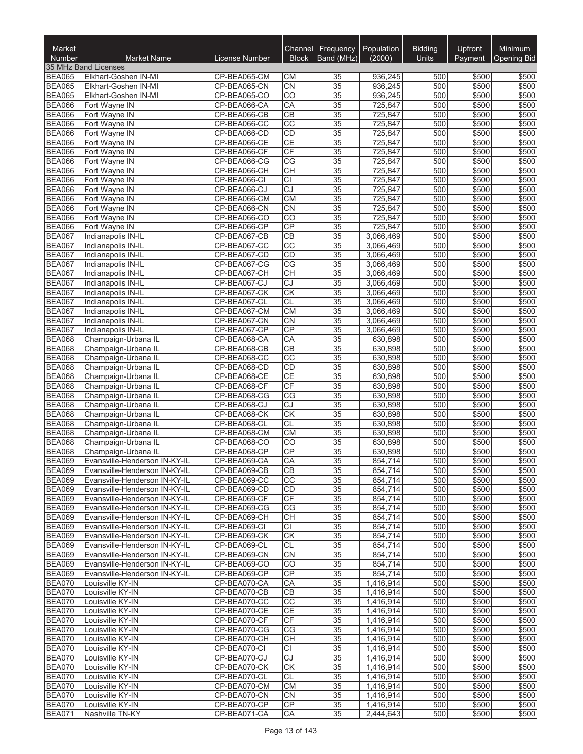| Market<br>Number               | <b>Market Name</b>                                             | License Number               | Channel<br><b>Block</b> | Frequency<br>Band (MHz)            | Population<br>(2000)   | <b>Bidding</b><br><b>Units</b> | Upfront<br>Payment | Minimum<br><b>Opening Bid</b> |
|--------------------------------|----------------------------------------------------------------|------------------------------|-------------------------|------------------------------------|------------------------|--------------------------------|--------------------|-------------------------------|
|                                | 35 MHz Band Licenses                                           |                              |                         |                                    |                        |                                |                    |                               |
| <b>BEA065</b>                  | Elkhart-Goshen IN-MI                                           | CP-BEA065-CM                 | СM                      | 35                                 | 936,245                | 500                            | \$500              | \$500                         |
| <b>BEA065</b>                  | Elkhart-Goshen IN-MI                                           | CP-BEA065-CN                 | CN                      | $\overline{35}$                    | 936,245                | 500                            | \$500              | \$500                         |
| <b>BEA065</b>                  | Elkhart-Goshen IN-MI                                           | CP-BEA065-CO                 | CO                      | 35                                 | 936,245                | 500                            | \$500              | \$500                         |
| <b>BEA066</b>                  | Fort Wayne IN                                                  | CP-BEA066-CA                 | CA                      | $\overline{35}$                    | 725,847                | 500                            | \$500              | \$500                         |
| <b>BEA066</b>                  | Fort Wayne IN                                                  | CP-BEA066-CB                 | CB                      | 35                                 | 725,847                | 500                            | \$500              | \$500                         |
| <b>BEA066</b><br><b>BEA066</b> | Fort Wayne IN<br>Fort Wayne IN                                 | CP-BEA066-CC<br>CP-BEA066-CD | $\overline{cc}$<br>CD   | $\overline{35}$<br>$\overline{35}$ | 725,847<br>725,847     | 500<br>500                     | \$500<br>\$500     | \$500<br>\$500                |
| <b>BEA066</b>                  | Fort Wayne IN                                                  | CP-BEA066-CE                 | CE                      | $\overline{35}$                    | 725,847                | 500                            | \$500              | \$500                         |
| <b>BEA066</b>                  | Fort Wayne IN                                                  | CP-BEA066-CF                 | $\overline{CF}$         | $\overline{35}$                    | 725,847                | 500                            | \$500              | \$500                         |
| <b>BEA066</b>                  | Fort Wayne IN                                                  | CP-BEA066-CG                 | CG                      | 35                                 | 725,847                | 500                            | \$500              | \$500                         |
| <b>BEA066</b>                  | Fort Wayne IN                                                  | CP-BEA066-CH                 | <b>CH</b>               | $\overline{35}$                    | 725,847                | 500                            | \$500              | \$500                         |
| <b>BEA066</b>                  | Fort Wayne IN                                                  | CP-BEA066-CI                 | $\overline{CI}$         | 35                                 | 725,847                | 500                            | \$500              | \$500                         |
| <b>BEA066</b>                  | Fort Wayne IN                                                  | CP-BEA066-CJ                 | CJ                      | $\overline{35}$                    | 725,847                | 500                            | \$500              | \$500                         |
| <b>BEA066</b>                  | Fort Wayne IN                                                  | CP-BEA066-CM                 | CM                      | $\overline{35}$                    | 725,847                | 500                            | \$500              | \$500                         |
| <b>BEA066</b>                  | Fort Wayne IN                                                  | CP-BEA066-CN                 | $\overline{CN}$         | $\overline{35}$                    | 725,847                | 500                            | \$500              | \$500                         |
| <b>BEA066</b><br><b>BEA066</b> | Fort Wayne IN                                                  | CP-BEA066-CO<br>CP-BEA066-CP | CO<br>CP                | $\overline{35}$<br>$\overline{35}$ | 725,847<br>725,847     | 500<br>500                     | \$500              | \$500                         |
| <b>BEA067</b>                  | Fort Wayne IN<br>Indianapolis IN-IL                            | CP-BEA067-CB                 | $\overline{CB}$         | $\overline{35}$                    | 3,066,469              | 500                            | \$500<br>\$500     | \$500<br>\$500                |
| <b>BEA067</b>                  | Indianapolis IN-IL                                             | CP-BEA067-CC                 | $\overline{cc}$         | $\overline{35}$                    | 3,066,469              | 500                            | \$500              | \$500                         |
| <b>BEA067</b>                  | Indianapolis IN-IL                                             | CP-BEA067-CD                 | CD                      | $\overline{35}$                    | 3,066,469              | 500                            | \$500              | \$500                         |
| <b>BEA067</b>                  | Indianapolis IN-IL                                             | CP-BEA067-CG                 | CG                      | 35                                 | 3,066,469              | 500                            | \$500              | \$500                         |
| <b>BEA067</b>                  | Indianapolis IN-IL                                             | CP-BEA067-CH                 | CH                      | $\overline{35}$                    | 3,066,469              | 500                            | \$500              | \$500                         |
| <b>BEA067</b>                  | Indianapolis IN-IL                                             | CP-BEA067-CJ                 | $\overline{C}$          | $\overline{35}$                    | 3,066,469              | 500                            | \$500              | \$500                         |
| <b>BEA067</b>                  | Indianapolis IN-IL                                             | CP-BEA067-CK                 | $\overline{\text{CK}}$  | $\overline{35}$                    | 3,066,469              | 500                            | \$500              | \$500                         |
| <b>BEA067</b>                  | Indianapolis IN-IL                                             | CP-BEA067-CL                 | CL                      | $\overline{35}$                    | 3,066,469              | 500                            | \$500              | \$500                         |
| <b>BEA067</b>                  | Indianapolis IN-IL                                             | CP-BEA067-CM                 | CM                      | $\overline{35}$                    | 3,066,469              | 500                            | \$500              | \$500                         |
| <b>BEA067</b>                  | Indianapolis IN-IL                                             | CP-BEA067-CN                 | CN                      | 35                                 | 3,066,469              | 500                            | \$500              | \$500                         |
| <b>BEA067</b><br><b>BEA068</b> | Indianapolis IN-IL                                             | CP-BEA067-CP<br>CP-BEA068-CA | CP<br>CA                | 35<br>$\overline{35}$              | 3,066,469<br>630,898   | 500<br>500                     | \$500<br>\$500     | \$500<br>\$500                |
| <b>BEA068</b>                  | Champaign-Urbana IL<br>Champaign-Urbana IL                     | CP-BEA068-CB                 | CB                      | $\overline{35}$                    | 630,898                | 500                            | \$500              | \$500                         |
| <b>BEA068</b>                  | Champaign-Urbana IL                                            | CP-BEA068-CC                 | $\overline{cc}$         | $\overline{35}$                    | 630,898                | 500                            | \$500              | \$500                         |
| <b>BEA068</b>                  | Champaign-Urbana IL                                            | CP-BEA068-CD                 | CD                      | $\overline{35}$                    | 630,898                | 500                            | \$500              | \$500                         |
| <b>BEA068</b>                  | Champaign-Urbana IL                                            | CP-BEA068-CE                 | CE                      | 35                                 | 630,898                | 500                            | \$500              | \$500                         |
| <b>BEA068</b>                  | Champaign-Urbana IL                                            | CP-BEA068-CF                 | $\overline{CF}$         | $\overline{35}$                    | 630,898                | 500                            | \$500              | \$500                         |
| <b>BEA068</b>                  | Champaign-Urbana IL                                            | CP-BEA068-CG                 | CG                      | 35                                 | 630,898                | 500                            | \$500              | \$500                         |
| <b>BEA068</b>                  | Champaign-Urbana IL                                            | CP-BEA068-CJ                 | CJ                      | 35                                 | 630,898                | 500                            | \$500              | \$500                         |
| <b>BEA068</b>                  | Champaign-Urbana IL                                            | CP-BEA068-CK                 | $\overline{\text{CK}}$  | $\overline{35}$                    | 630,898                | 500                            | \$500              | \$500                         |
| <b>BEA068</b><br><b>BEA068</b> | Champaign-Urbana IL                                            | CP-BEA068-CL<br>CP-BEA068-CM | CL<br>CM                | 35<br>$\overline{35}$              | 630,898                | 500<br>500                     | \$500<br>\$500     | \$500<br>\$500                |
| <b>BEA068</b>                  | Champaign-Urbana IL<br>Champaign-Urbana IL                     | CP-BEA068-CO                 | $\overline{CO}$         | $\overline{35}$                    | 630,898<br>630,898     | 500                            | \$500              | \$500                         |
| <b>BEA068</b>                  | Champaign-Urbana IL                                            | CP-BEA068-CP                 | CP                      | $\overline{35}$                    | 630,898                | 500                            | \$500              | \$500                         |
| <b>BEA069</b>                  | Evansville-Henderson IN-KY-IL                                  | CP-BEA069-CA                 | CA                      | $\overline{35}$                    | 854,714                | 500                            | \$500              | \$500                         |
| <b>BEA069</b>                  | Evansville-Henderson IN-KY-IL                                  | CP-BEA069-CB                 | CВ                      | 35                                 | 854,714                | 500                            | \$500              | \$500                         |
| <b>BEA069</b>                  | Evansville-Henderson IN-KY-IL                                  | CP-BEA069-CC                 | CC                      | 35                                 | 854,714                | 500                            | \$500              | \$500                         |
| <b>BEA069</b>                  | Evansville-Henderson IN-KY-IL                                  | CP-BEA069-CD                 | <b>CD</b>               | 35                                 | 854,714                | 500                            | \$500              | \$500                         |
| <b>BEA069</b>                  | Evansville-Henderson IN-KY-IL                                  | CP-BEA069-CF                 | <b>CF</b>               | 35                                 | 854,714                | 500                            | \$500              | \$500                         |
| <b>BEA069</b>                  | Evansville-Henderson IN-KY-IL                                  | CP-BEA069-CG                 | CG                      | 35                                 | 854,714                | 500                            | \$500              | \$500                         |
| <b>BEA069</b>                  | Evansville-Henderson IN-KY-IL                                  | CP-BEA069-CH                 | <b>CH</b>               | 35                                 | 854.714                | 500                            | \$500              | \$500                         |
| <b>BEA069</b><br><b>BEA069</b> | Evansville-Henderson IN-KY-IL<br>Evansville-Henderson IN-KY-IL | CP-BEA069-CI<br>CP-BEA069-CK | CI<br><b>CK</b>         | 35<br>35                           | 854,714<br>854,714     | 500<br>500                     | \$500<br>\$500     | \$500<br>\$500                |
| <b>BEA069</b>                  | Evansville-Henderson IN-KY-IL                                  | CP-BEA069-CL                 | CL                      | 35                                 | 854,714                | 500                            | \$500              | \$500                         |
| <b>BEA069</b>                  | Evansville-Henderson IN-KY-IL                                  | CP-BEA069-CN                 | <b>CN</b>               | 35                                 | 854,714                | 500                            | \$500              | \$500                         |
| <b>BEA069</b>                  | Evansville-Henderson IN-KY-IL                                  | CP-BEA069-CO                 | CO                      | 35                                 | 854,714                | 500                            | \$500              | \$500                         |
| <b>BEA069</b>                  | Evansville-Henderson IN-KY-IL                                  | CP-BEA069-CP                 | CP                      | 35                                 | 854,714                | 500                            | \$500              | \$500                         |
| <b>BEA070</b>                  | Louisville KY-IN                                               | CP-BEA070-CA                 | CA                      | 35                                 | 1,416,914              | 500                            | \$500              | \$500                         |
| <b>BEA070</b>                  | Louisville KY-IN                                               | CP-BEA070-CB                 | $\overline{CB}$         | 35                                 | 1,416,914              | 500                            | \$500              | \$500                         |
| <b>BEA070</b>                  | Louisville KY-IN                                               | CP-BEA070-CC                 | CC                      | 35                                 | 1,416,914              | 500                            | \$500              | \$500                         |
| <b>BEA070</b>                  | Louisville KY-IN                                               | CP-BEA070-CE                 | CE                      | 35                                 | 1,416,914              | 500                            | \$500              | \$500                         |
| <b>BEA070</b>                  | Louisville KY-IN                                               | CP-BEA070-CF                 | CF                      | 35                                 | 1,416,914              | 500                            | \$500              | \$500                         |
| <b>BEA070</b><br><b>BEA070</b> | Louisville KY-IN<br>Louisville KY-IN                           | CP-BEA070-CG<br>CP-BEA070-CH | CG<br><b>CH</b>         | 35<br>35                           | 1,416,914              | 500<br>500                     | \$500<br>\$500     | \$500<br>\$500                |
| <b>BEA070</b>                  | Louisville KY-IN                                               | CP-BEA070-CI                 | <b>CI</b>               | 35                                 | 1,416,914<br>1,416,914 | 500                            | \$500              | \$500                         |
| <b>BEA070</b>                  | Louisville KY-IN                                               | CP-BEA070-CJ                 | CJ                      | 35                                 | 1,416,914              | 500                            | \$500              | \$500                         |
| <b>BEA070</b>                  | Louisville KY-IN                                               | CP-BEA070-CK                 | CK                      | 35                                 | 1,416,914              | 500                            | \$500              | \$500                         |
| <b>BEA070</b>                  | Louisville KY-IN                                               | CP-BEA070-CL                 | <b>CL</b>               | 35                                 | 1,416,914              | 500                            | \$500              | \$500                         |
| BEA070                         | Louisville KY-IN                                               | CP-BEA070-CM                 | <b>CM</b>               | 35                                 | 1,416,914              | 500                            | \$500              | \$500                         |
| <b>BEA070</b>                  | Louisville KY-IN                                               | CP-BEA070-CN                 | <b>CN</b>               | 35                                 | 1,416,914              | 500                            | \$500              | \$500                         |
| <b>BEA070</b>                  | Louisville KY-IN                                               | CP-BEA070-CP                 | CP                      | 35                                 | 1,416,914              | 500                            | \$500              | \$500                         |
| <b>BEA071</b>                  | Nashville TN-KY                                                | CP-BEA071-CA                 | CA                      | 35                                 | 2,444,643              | 500                            | \$500              | \$500                         |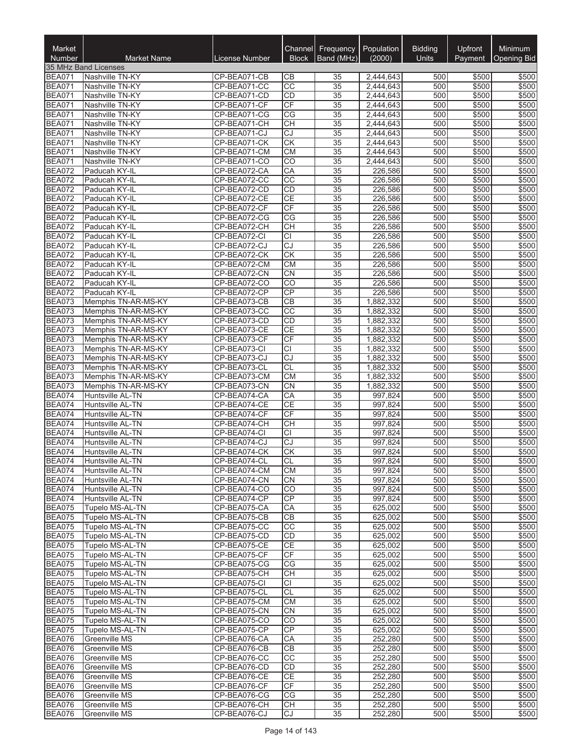| Market<br><b>Number</b>        | <b>Market Name</b>                   | License Number               | Channel<br><b>Block</b> | Frequency<br>Band (MHz) | Population<br>(2000)   | <b>Bidding</b><br><b>Units</b> | Upfront<br>Payment | Minimum<br><b>Opening Bid</b> |
|--------------------------------|--------------------------------------|------------------------------|-------------------------|-------------------------|------------------------|--------------------------------|--------------------|-------------------------------|
|                                | 35 MHz Band Licenses                 |                              |                         |                         |                        |                                |                    |                               |
| <b>BEA071</b>                  | Nashville TN-KY                      | CP-BEA071-CB                 | CВ                      | 35                      | 2,444,643              | 500                            | \$500              | \$500                         |
| <b>BEA071</b>                  | Nashville TN-KY                      | CP-BEA071-CC                 | CC                      | 35                      | 2,444,643              | 500                            | \$500              | \$500                         |
| <b>BEA071</b>                  | Nashville TN-KY                      | CP-BEA071-CD                 | CD                      | 35                      | 2,444,643              | 500                            | \$500              | \$500                         |
| <b>BEA071</b>                  | Nashville TN-KY                      | CP-BEA071-CF                 | CF<br>CG                | 35                      | 2,444,643              | 500<br>500                     | \$500              | \$500                         |
| <b>BEA071</b>                  | Nashville TN-KY                      | CP-BEA071-CG                 | <b>CH</b>               | 35<br>35                | 2,444,643              | 500                            | \$500<br>\$500     | \$500                         |
| <b>BEA071</b><br><b>BEA071</b> | Nashville TN-KY<br>Nashville TN-KY   | CP-BEA071-CH<br>CP-BEA071-CJ | CJ                      | 35                      | 2,444,643<br>2,444,643 | 500                            | \$500              | \$500<br>\$500                |
| <b>BEA071</b>                  | Nashville TN-KY                      | CP-BEA071-CK                 | <b>CK</b>               | 35                      | 2,444,643              | 500                            | \$500              | \$500                         |
| <b>BEA071</b>                  | Nashville TN-KY                      | CP-BEA071-CM                 | <b>CM</b>               | 35                      | 2,444,643              | 500                            | \$500              | \$500                         |
| <b>BEA071</b>                  | Nashville TN-KY                      | CP-BEA071-CO                 | CO                      | 35                      | 2,444,643              | 500                            | \$500              | \$500                         |
| <b>BEA072</b>                  | Paducah KY-IL                        | CP-BEA072-CA                 | CA                      | $\overline{35}$         | 226,586                | 500                            | \$500              | \$500                         |
| <b>BEA072</b>                  | Paducah KY-IL                        | CP-BEA072-CC                 | $\overline{CC}$         | 35                      | 226,586                | 500                            | \$500              | \$500                         |
| <b>BEA072</b>                  | Paducah KY-IL                        | CP-BEA072-CD                 | CD                      | 35                      | 226,586                | 500                            | \$500              | \$500                         |
| <b>BEA072</b>                  | Paducah KY-IL                        | CP-BEA072-CE                 | CE                      | $\overline{35}$         | 226,586                | 500                            | \$500              | \$500                         |
| <b>BEA072</b>                  | Paducah KY-IL                        | CP-BEA072-CF                 | CF                      | 35                      | 226,586                | 500                            | \$500              | \$500                         |
| <b>BEA072</b>                  | Paducah KY-IL                        | CP-BEA072-CG                 | СG                      | 35                      | 226,586                | 500                            | \$500              | \$500                         |
| <b>BEA072</b>                  | Paducah KY-IL                        | CP-BEA072-CH                 | <b>CH</b>               | 35                      | 226,586                | 500                            | \$500              | \$500                         |
| <b>BEA072</b>                  | Paducah KY-IL                        | CP-BEA072-CI                 | $\overline{CI}$         | 35                      | 226,586                | 500                            | \$500              | \$500                         |
| <b>BEA072</b>                  | Paducah KY-IL                        | CP-BEA072-CJ                 | CJ                      | 35                      | 226,586                | 500                            | \$500              | \$500                         |
| <b>BEA072</b><br><b>BEA072</b> | Paducah KY-IL<br>Paducah KY-IL       | CP-BEA072-CK<br>CP-BEA072-CM | CK<br><b>CM</b>         | 35<br>35                | 226,586<br>226,586     | 500<br>500                     | \$500<br>\$500     | \$500<br>\$500                |
| <b>BEA072</b>                  | Paducah KY-IL                        | CP-BEA072-CN                 | $\overline{CN}$         | 35                      | 226,586                | 500                            | \$500              | \$500                         |
| <b>BEA072</b>                  | Paducah KY-IL                        | CP-BEA072-CO                 | CO                      | 35                      | 226,586                | 500                            | \$500              | \$500                         |
| <b>BEA072</b>                  | Paducah KY-IL                        | CP-BEA072-CP                 | CP                      | 35                      | 226,586                | 500                            | \$500              | \$500                         |
| <b>BEA073</b>                  | Memphis TN-AR-MS-KY                  | CP-BEA073-CB                 | <b>CB</b>               | 35                      | 1,882,332              | 500                            | \$500              | \$500                         |
| <b>BEA073</b>                  | Memphis TN-AR-MS-KY                  | CP-BEA073-CC                 | $\overline{cc}$         | 35                      | 1,882,332              | 500                            | \$500              | \$500                         |
| <b>BEA073</b>                  | Memphis TN-AR-MS-KY                  | CP-BEA073-CD                 | CD                      | 35                      | 1,882,332              | 500                            | \$500              | \$500                         |
| <b>BEA073</b>                  | Memphis TN-AR-MS-KY                  | CP-BEA073-CE                 | CE                      | 35                      | 1,882,332              | 500                            | \$500              | \$500                         |
| <b>BEA073</b>                  | Memphis TN-AR-MS-KY                  | CP-BEA073-CF                 | CF                      | 35                      | 1,882,332              | 500                            | \$500              | \$500                         |
| <b>BEA073</b>                  | Memphis TN-AR-MS-KY                  | CP-BEA073-CI                 | <b>CI</b>               | 35                      | 1,882,332              | 500                            | \$500              | \$500                         |
| <b>BEA073</b>                  | Memphis TN-AR-MS-KY                  | CP-BEA073-CJ                 | $\overline{c}$          | 35                      | 1,882,332              | 500                            | \$500              | \$500                         |
| <b>BEA073</b>                  | Memphis TN-AR-MS-KY                  | CP-BEA073-CL                 | CL                      | 35                      | 1,882,332              | 500                            | \$500              | \$500                         |
| <b>BEA073</b>                  | Memphis TN-AR-MS-KY                  | CP-BEA073-CM                 | <b>CM</b>               | 35                      | 1,882,332              | 500                            | \$500              | \$500                         |
| <b>BEA073</b>                  | Memphis TN-AR-MS-KY                  | CP-BEA073-CN                 | <b>CN</b>               | 35                      | 1,882,332              | 500<br>500                     | \$500              | \$500                         |
| <b>BEA074</b><br><b>BEA074</b> | Huntsville AL-TN<br>Huntsville AL-TN | CP-BEA074-CA<br>CP-BEA074-CE | CA<br>CE                | 35<br>$\overline{35}$   | 997,824<br>997,824     | 500                            | \$500<br>\$500     | \$500<br>\$500                |
| <b>BEA074</b>                  | Huntsville AL-TN                     | CP-BEA074-CF                 | CF                      | 35                      | 997,824                | 500                            | \$500              | \$500                         |
| <b>BEA074</b>                  | Huntsville AL-TN                     | CP-BEA074-CH                 | <b>CH</b>               | 35                      | 997,824                | 500                            | \$500              | \$500                         |
| <b>BEA074</b>                  | Huntsville AL-TN                     | CP-BEA074-CI                 | $\overline{c}$          | $\overline{35}$         | 997,824                | 500                            | \$500              | \$500                         |
| <b>BEA074</b>                  | Huntsville AL-TN                     | CP-BEA074-CJ                 | $\overline{c}$          | 35                      | 997,824                | 500                            | \$500              | \$500                         |
| <b>BEA074</b>                  | <b>Huntsville AL-TN</b>              | CP-BEA074-CK                 | <b>CK</b>               | 35                      | 997,824                | 500                            | \$500              | \$500                         |
| BEA074                         | Huntsville AL-TN                     | CP-BEA074-CL                 | $\overline{c}$          | $\overline{35}$         | 997,824                | 500                            | \$500              | \$500                         |
| <b>BEA074</b>                  | Huntsville AL-TN                     | CP-BEA074-CM                 | CM                      | 35                      | 997,824                | 500                            | \$500              | \$500                         |
| <b>BEA074</b>                  | Huntsville AL-TN                     | CP-BEA074-CN                 | <b>CN</b>               | 35                      | 997,824                | 500                            | \$500              | \$500                         |
| <b>BEA074</b>                  | Huntsville AL-TN                     | CP-BEA074-CO                 | CO                      | 35                      | 997.824                | 500                            | \$500              | \$500                         |
| <b>BEA074</b>                  | Huntsville AL-TN                     | CP-BEA074-CP                 | CP                      | 35                      | 997,824                | 500                            | \$500              | \$500                         |
| <b>BEA075</b>                  | Tupelo MS-AL-TN                      | CP-BEA075-CA                 | CA                      | 35                      | 625,002                | 500                            | \$500              | \$500                         |
| <b>BEA075</b><br><b>BEA075</b> | Tupelo MS-AL-TN<br>Tupelo MS-AL-TN   | CP-BEA075-CB<br>CP-BEA075-CC | CB<br>CC                | 35<br>35                | 625,002<br>625,002     | 500<br>500                     | \$500<br>\$500     | \$500<br>\$500                |
| <b>BEA075</b>                  | Tupelo MS-AL-TN                      | CP-BEA075-CD                 | CD                      | 35                      | 625,002                | 500                            | \$500              | \$500                         |
| <b>BEA075</b>                  | Tupelo MS-AL-TN                      | CP-BEA075-CE                 | <b>CE</b>               | 35                      | 625,002                | 500                            | \$500              | \$500                         |
| <b>BEA075</b>                  | Tupelo MS-AL-TN                      | CP-BEA075-CF                 | CF                      | 35                      | 625,002                | 500                            | \$500              | \$500                         |
| <b>BEA075</b>                  | Tupelo MS-AL-TN                      | CP-BEA075-CG                 | CG                      | 35                      | 625,002                | 500                            | \$500              | \$500                         |
| <b>BEA075</b>                  | Tupelo MS-AL-TN                      | CP-BEA075-CH                 | CН                      | 35                      | 625.002                | 500                            | \$500              | \$500                         |
| <b>BEA075</b>                  | Tupelo MS-AL-TN                      | CP-BEA075-CI                 | CI                      | 35                      | 625,002                | 500                            | \$500              | \$500                         |
| <b>BEA075</b>                  | Tupelo MS-AL-TN                      | CP-BEA075-CL                 | <b>CL</b>               | 35                      | 625,002                | 500                            | \$500              | \$500                         |
| <b>BEA075</b>                  | Tupelo MS-AL-TN                      | CP-BEA075-CM                 | <b>CM</b>               | 35                      | 625,002                | 500                            | \$500              | \$500                         |
| <b>BEA075</b>                  | Tupelo MS-AL-TN                      | CP-BEA075-CN                 | CN                      | 35                      | 625,002                | 500                            | \$500              | \$500                         |
| <b>BEA075</b>                  | Tupelo MS-AL-TN                      | CP-BEA075-CO                 | CO                      | 35                      | 625,002                | 500                            | \$500              | \$500                         |
| <b>BEA075</b>                  | Tupelo MS-AL-TN                      | CP-BEA075-CP                 | CP                      | 35                      | 625,002                | 500                            | \$500              | \$500                         |
| <b>BEA076</b>                  | Greenville MS                        | CP-BEA076-CA                 | СA                      | 35                      | 252,280                | 500                            | \$500              | \$500                         |
| <b>BEA076</b>                  | Greenville MS                        | CP-BEA076-CB                 | CB<br>CC                | 35                      | 252,280                | 500                            | \$500              | \$500                         |
| <b>BEA076</b><br><b>BEA076</b> | Greenville MS<br>Greenville MS       | CP-BEA076-CC<br>CP-BEA076-CD | CD                      | 35<br>35                | 252,280<br>252,280     | 500<br>500                     | \$500<br>\$500     | \$500<br>\$500                |
| <b>BEA076</b>                  | Greenville MS                        | CP-BEA076-CE                 | <b>CE</b>               | 35                      | 252,280                | 500                            | \$500              | \$500                         |
| <b>BEA076</b>                  | Greenville MS                        | CP-BEA076-CF                 | СF                      | 35                      | 252,280                | 500                            | \$500              | \$500                         |
| <b>BEA076</b>                  | Greenville MS                        | CP-BEA076-CG                 | CG                      | 35                      | 252,280                | 500                            | \$500              | \$500                         |
| <b>BEA076</b>                  | Greenville MS                        | CP-BEA076-CH                 | CН                      | 35                      | 252,280                | 500                            | \$500              | \$500                         |
| <b>BEA076</b>                  | Greenville MS                        | CP-BEA076-CJ                 | CJ                      | 35                      | 252,280                | 500                            | \$500              | \$500                         |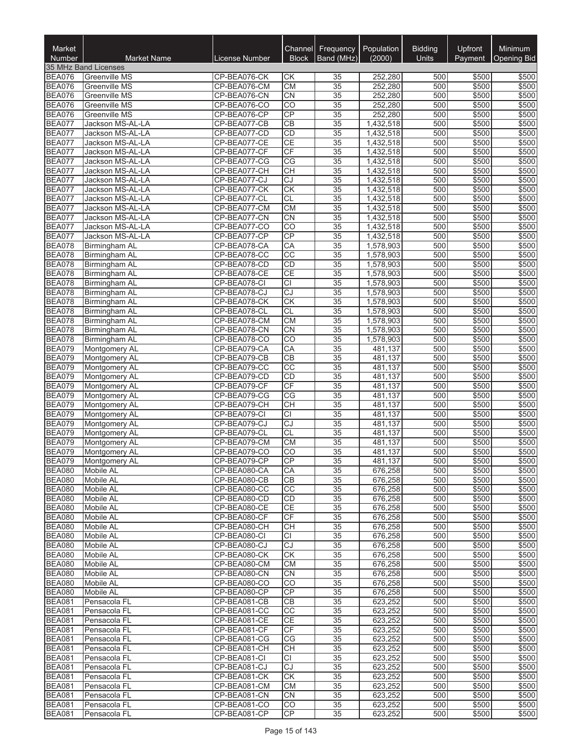| Market<br><b>Number</b>        | <b>Market Name</b>                | License Number               | Channel<br><b>Block</b>      | Frequency<br>Band (MHz)            | Population<br>(2000)   | <b>Bidding</b><br><b>Units</b> | Upfront<br>Payment | Minimum<br>Opening Bid |
|--------------------------------|-----------------------------------|------------------------------|------------------------------|------------------------------------|------------------------|--------------------------------|--------------------|------------------------|
|                                | 35 MHz Band Licenses              |                              |                              |                                    |                        |                                |                    |                        |
| <b>BEA076</b>                  | <b>Greenville MS</b>              | CP-BEA076-CK                 | СK                           | 35                                 | 252,280                | 500                            | \$500              | \$500                  |
| <b>BEA076</b>                  | Greenville MS                     | CP-BEA076-CM                 | <b>CM</b>                    | $\overline{35}$                    | 252,280                | 500                            | \$500              | \$500                  |
| <b>BEA076</b><br><b>BEA076</b> | Greenville MS<br>Greenville MS    | CP-BEA076-CN<br>CP-BEA076-CO | CN<br>$\overline{CO}$        | $\overline{35}$<br>$\overline{35}$ | 252,280<br>252,280     | 500<br>500                     | \$500<br>\$500     | \$500<br>\$500         |
| <b>BEA076</b>                  | Greenville MS                     | CP-BEA076-CP                 | CP                           | $\overline{35}$                    | 252,280                | 500                            | \$500              | \$500                  |
| <b>BEA077</b>                  | Jackson MS-AL-LA                  | CP-BEA077-CB                 | CB                           | $\overline{35}$                    | 1,432,518              | 500                            | \$500              | \$500                  |
| <b>BEA077</b>                  | Jackson MS-AL-LA                  | CP-BEA077-CD                 | CD                           | 35                                 | 1,432,518              | 500                            | \$500              | \$500                  |
| <b>BEA077</b>                  | Jackson MS-AL-LA                  | CP-BEA077-CE                 | <b>CE</b>                    | 35                                 | 1,432,518              | 500                            | \$500              | \$500                  |
| <b>BEA077</b>                  | Jackson MS-AL-LA                  | CP-BEA077-CF                 | CF                           | 35                                 | 1,432,518              | 500                            | \$500              | \$500                  |
| <b>BEA077</b>                  | Jackson MS-AL-LA                  | CP-BEA077-CG                 | $\overline{CG}$              | $\overline{35}$                    | 1,432,518              | 500                            | \$500              | \$500                  |
| <b>BEA077</b>                  | Jackson MS-AL-LA                  | CP-BEA077-CH                 | <b>CH</b>                    | $\overline{35}$                    | 1,432,518              | 500                            | \$500              | \$500                  |
| <b>BEA077</b>                  | Jackson MS-AL-LA                  | CP-BEA077-CJ                 | CJ                           | $\overline{35}$                    | 1,432,518              | 500                            | \$500              | \$500                  |
| <b>BEA077</b>                  | Jackson MS-AL-LA                  | CP-BEA077-CK                 | <b>CK</b>                    | $\overline{35}$                    | 1,432,518              | 500                            | \$500              | \$500                  |
| <b>BEA077</b>                  | Jackson MS-AL-LA                  | CP-BEA077-CL                 | <b>CL</b>                    | $\overline{35}$                    | 1,432,518              | 500                            | \$500              | \$500                  |
| <b>BEA077</b>                  | Jackson MS-AL-LA                  | CP-BEA077-CM                 | <b>CM</b>                    | $\overline{35}$                    | 1,432,518              | 500                            | \$500              | \$500                  |
| <b>BEA077</b>                  | Jackson MS-AL-LA                  | CP-BEA077-CN                 | <b>CN</b>                    | 35                                 | 1,432,518              | 500                            | \$500              | \$500                  |
| <b>BEA077</b>                  | Jackson MS-AL-LA                  | CP-BEA077-CO                 | CO<br>CP                     | $\overline{35}$<br>35              | 1,432,518<br>1,432,518 | 500<br>500                     | \$500<br>\$500     | \$500<br>\$500         |
| BEA077<br><b>BEA078</b>        | Jackson MS-AL-LA<br>Birmingham AL | CP-BEA077-CP<br>CP-BEA078-CA | CA                           | $\overline{35}$                    | 1,578,903              | 500                            | \$500              | \$500                  |
| <b>BEA078</b>                  | Birmingham AL                     | CP-BEA078-CC                 | $\overline{CC}$              | $\overline{35}$                    | 1,578,903              | 500                            | \$500              | \$500                  |
| <b>BEA078</b>                  | Birmingham AL                     | CP-BEA078-CD                 | <b>CD</b>                    | $\overline{35}$                    | 1,578,903              | 500                            | \$500              | \$500                  |
| <b>BEA078</b>                  | Birmingham AL                     | CP-BEA078-CE                 | <b>CE</b>                    | $\overline{35}$                    | 1,578,903              | 500                            | \$500              | \$500                  |
| <b>BEA078</b>                  | Birmingham AL                     | CP-BEA078-CI                 | $\overline{CI}$              | 35                                 | 1,578,903              | 500                            | \$500              | \$500                  |
| <b>BEA078</b>                  | Birmingham AL                     | CP-BEA078-CJ                 | CJ                           | 35                                 | 1,578,903              | 500                            | \$500              | \$500                  |
| <b>BEA078</b>                  | Birmingham AL                     | CP-BEA078-CK                 | CK                           | 35                                 | 1,578,903              | 500                            | \$500              | \$500                  |
| <b>BEA078</b>                  | Birmingham AL                     | CP-BEA078-CL                 | <b>CL</b>                    | $\overline{35}$                    | 1,578,903              | 500                            | \$500              | \$500                  |
| <b>BEA078</b>                  | Birmingham AL                     | CP-BEA078-CM                 | <b>CM</b>                    | $\overline{35}$                    | 1,578,903              | 500                            | \$500              | \$500                  |
| <b>BEA078</b>                  | Birmingham AL                     | CP-BEA078-CN                 | <b>CN</b>                    | $\overline{35}$                    | 1,578,903              | 500                            | \$500              | \$500                  |
| <b>BEA078</b>                  | Birmingham AL                     | CP-BEA078-CO                 | $\overline{CO}$              | $\overline{35}$                    | 1,578,903              | 500                            | \$500              | \$500                  |
| <b>BEA079</b>                  | Montgomery AL                     | CP-BEA079-CA                 | CA                           | $\overline{35}$                    | 481,137                | 500                            | \$500              | \$500                  |
| <b>BEA079</b>                  | Montgomery AL                     | CP-BEA079-CB                 | CB                           | $\overline{35}$                    | 481,137                | 500                            | \$500              | \$500                  |
| <b>BEA079</b>                  | Montgomery AL                     | CP-BEA079-CC                 | $\overline{CC}$<br><b>CD</b> | 35                                 | 481,137                | 500<br>500                     | \$500              | \$500                  |
| <b>BEA079</b><br><b>BEA079</b> | Montgomery AL<br>Montgomery AL    | CP-BEA079-CD<br>CP-BEA079-CF | CF                           | 35<br>35                           | 481,137<br>481,137     | 500                            | \$500<br>\$500     | \$500<br>\$500         |
| <b>BEA079</b>                  | Montgomery AL                     | CP-BEA079-CG                 | $\overline{CG}$              | $\overline{35}$                    | 481,137                | 500                            | \$500              | \$500                  |
| <b>BEA079</b>                  | Montgomery AL                     | CP-BEA079-CH                 | <b>CH</b>                    | $\overline{35}$                    | 481,137                | 500                            | \$500              | \$500                  |
| <b>BEA079</b>                  | Montgomery AL                     | CP-BEA079-CI                 | <b>CI</b>                    | $\overline{35}$                    | 481,137                | 500                            | \$500              | \$500                  |
| <b>BEA079</b>                  | Montgomery AL                     | CP-BEA079-CJ                 | CJ                           | $\overline{35}$                    | 481,137                | 500                            | \$500              | \$500                  |
| <b>BEA079</b>                  | Montgomery AL                     | CP-BEA079-CL                 | <b>CL</b>                    | $\overline{35}$                    | 481,137                | 500                            | \$500              | \$500                  |
| <b>BEA079</b>                  | Montgomery AL                     | CP-BEA079-CM                 | <b>CM</b>                    | 35                                 | 481,137                | 500                            | \$500              | \$500                  |
| <b>BEA079</b>                  | Montgomery AL                     | CP-BEA079-CO                 | CO                           | 35                                 | 481,137                | 500                            | \$500              | \$500                  |
| <b>BEA079</b>                  | Montgomery AL                     | CP-BEA079-CP                 | CP                           | $\overline{35}$                    | 481,137                | 500                            | \$500              | \$500                  |
| <b>BEA080</b>                  | Mobile AL                         | CP-BEA080-CA                 | CA                           | 35                                 | 676,258                | 500                            | \$500              | \$500                  |
| <b>BEA080</b>                  | Mobile AL                         | CP-BEA080-CB                 | CВ                           | 35                                 | 676,258                | 500                            | \$500              | \$500                  |
| <b>BEA080</b>                  | <b>Mobile AL</b>                  | CP-BEA080-CC                 | $\overline{CC}$              | 35                                 | 676,258                | 500                            | \$500              | \$500                  |
| <b>BEA080</b>                  | Mobile AL                         | CP-BEA080-CD                 | <b>CD</b>                    | 35                                 | 676,258                | 500                            | \$500              | \$500                  |
| <b>BEA080</b><br><b>BEA080</b> | <b>Mobile AL</b><br>Mobile AL     | CP-BEA080-CE<br>CP-BEA080-CF | <b>CE</b><br>CF              | 35                                 | 676,258                | 500                            | \$500<br>\$500     | \$500<br>\$500         |
| <b>BEA080</b>                  | Mobile AL                         | CP-BEA080-CH                 | <b>CH</b>                    | 35<br>35                           | 676,258<br>676,258     | 500<br>500                     | \$500              | \$500                  |
| <b>BEA080</b>                  | Mobile AL                         | CP-BEA080-CI                 | CI                           | 35                                 | 676,258                | 500                            | \$500              | \$500                  |
| <b>BEA080</b>                  | Mobile AL                         | CP-BEA080-CJ                 | CJ                           | $\overline{35}$                    | 676,258                | 500                            | \$500              | \$500                  |
| <b>BEA080</b>                  | <b>Mobile AL</b>                  | CP-BEA080-CK                 | CK                           | 35                                 | 676,258                | 500                            | \$500              | \$500                  |
| <b>BEA080</b>                  | Mobile AL                         | CP-BEA080-CM                 | <b>CM</b>                    | 35                                 | 676,258                | 500                            | \$500              | \$500                  |
| <b>BEA080</b>                  | Mobile AL                         | CP-BEA080-CN                 | <b>CN</b>                    | 35                                 | 676,258                | 500                            | \$500              | \$500                  |
| <b>BEA080</b>                  | <b>Mobile AL</b>                  | CP-BEA080-CO                 | CO                           | 35                                 | 676,258                | 500                            | \$500              | \$500                  |
| <b>BEA080</b>                  | <b>Mobile AL</b>                  | CP-BEA080-CP                 | <b>CP</b>                    | 35                                 | 676,258                | 500                            | \$500              | \$500                  |
| <b>BEA081</b>                  | Pensacola FL                      | CP-BEA081-CB                 | CB                           | 35                                 | 623,252                | 500                            | \$500              | \$500                  |
| <b>BEA081</b>                  | Pensacola FL                      | CP-BEA081-CC                 | CC                           | 35                                 | 623,252                | 500                            | \$500              | \$500                  |
| <b>BEA081</b>                  | Pensacola FL                      | CP-BEA081-CE                 | <b>CE</b>                    | 35                                 | 623,252                | 500                            | \$500              | \$500                  |
| <b>BEA081</b>                  | Pensacola FL                      | CP-BEA081-CF                 | CF                           | 35                                 | 623,252                | 500                            | \$500              | \$500                  |
| <b>BEA081</b>                  | Pensacola FL                      | CP-BEA081-CG                 | CG                           | 35                                 | 623,252                | 500                            | \$500              | \$500                  |
| <b>BEA081</b>                  | Pensacola FL                      | CP-BEA081-CH                 | <b>CH</b>                    | 35                                 | 623,252                | 500                            | \$500              | \$500<br>\$500         |
| <b>BEA081</b><br><b>BEA081</b> | Pensacola FL<br>Pensacola FL      | CP-BEA081-CI<br>CP-BEA081-CJ | СI<br>CJ                     | 35<br>35                           | 623,252<br>623,252     | 500<br>500                     | \$500<br>\$500     | \$500                  |
| <b>BEA081</b>                  | Pensacola FL                      | CP-BEA081-CK                 | <b>CK</b>                    | 35                                 | 623,252                | 500                            | \$500              | \$500                  |
| <b>BEA081</b>                  | Pensacola FL                      | CP-BEA081-CM                 | <b>CM</b>                    | 35                                 | 623,252                | 500                            | \$500              | \$500                  |
| <b>BEA081</b>                  | Pensacola FL                      | CP-BEA081-CN                 | <b>CN</b>                    | 35                                 | 623,252                | 500                            | \$500              | \$500                  |
| <b>BEA081</b>                  | Pensacola FL                      | CP-BEA081-CO                 | $\overline{C}$               | 35                                 | 623,252                | 500                            | \$500              | \$500                  |
| <b>BEA081</b>                  | Pensacola FL                      | CP-BEA081-CP                 | CP                           | 35                                 | 623,252                | 500                            | \$500              | \$500                  |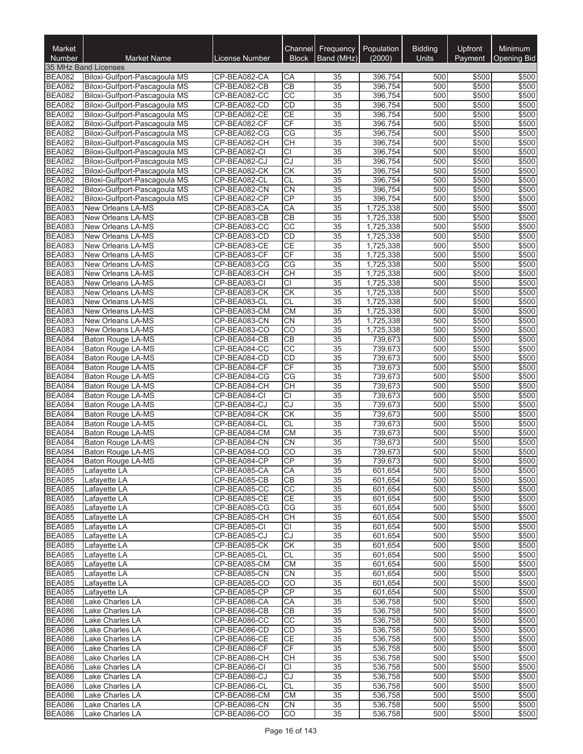| Market<br>Number               | <b>Market Name</b>                                             | <b>License Number</b>        | Channel<br><b>Block</b> | Frequency<br>Band (MHz)            | Population<br>(2000)   | <b>Bidding</b><br>Units | Upfront<br>Payment | Minimum<br><b>Opening Bid</b> |
|--------------------------------|----------------------------------------------------------------|------------------------------|-------------------------|------------------------------------|------------------------|-------------------------|--------------------|-------------------------------|
|                                | 35 MHz Band Licenses                                           |                              |                         |                                    |                        |                         |                    |                               |
| <b>BEA082</b>                  | Biloxi-Gulfport-Pascagoula MS                                  | CP-BEA082-CA                 | CA                      | 35                                 | 396,754                | 500                     | \$500              | \$500                         |
| <b>BEA082</b>                  | Biloxi-Gulfport-Pascagoula MS                                  | CP-BEA082-CB                 | $\overline{CB}$         | $\overline{35}$                    | 396,754                | 500                     | \$500              | \$500                         |
| <b>BEA082</b>                  | Biloxi-Gulfport-Pascagoula MS                                  | CP-BEA082-CC                 | $\overline{cc}$         | $\overline{35}$                    | 396,754                | 500                     | \$500              | \$500                         |
| <b>BEA082</b><br><b>BEA082</b> | Biloxi-Gulfport-Pascagoula MS<br>Biloxi-Gulfport-Pascagoula MS | CP-BEA082-CD<br>CP-BEA082-CE | CD<br><b>CE</b>         | $\overline{35}$<br>$\overline{35}$ | 396,754<br>396,754     | 500<br>500              | \$500<br>\$500     | \$500<br>\$500                |
| <b>BEA082</b>                  | Biloxi-Gulfport-Pascagoula MS                                  | CP-BEA082-CF                 | CF                      | $\overline{35}$                    | 396,754                | 500                     | \$500              | \$500                         |
| <b>BEA082</b>                  | Biloxi-Gulfport-Pascagoula MS                                  | CP-BEA082-CG                 | $\overline{\text{CG}}$  | $\overline{35}$                    | 396.754                | 500                     | \$500              | \$500                         |
| <b>BEA082</b>                  | Biloxi-Gulfport-Pascagoula MS                                  | CP-BEA082-CH                 | <b>CH</b>               | 35                                 | 396,754                | 500                     | \$500              | \$500                         |
| <b>BEA082</b>                  | Biloxi-Gulfport-Pascagoula MS                                  | CP-BEA082-CI                 | <b>CI</b>               | $\overline{35}$                    | 396,754                | 500                     | \$500              | \$500                         |
| <b>BEA082</b>                  | Biloxi-Gulfport-Pascagoula MS                                  | CP-BEA082-CJ                 | $\overline{CJ}$         | $\overline{35}$                    | 396,754                | 500                     | \$500              | \$500                         |
| <b>BEA082</b>                  | Biloxi-Gulfport-Pascagoula MS                                  | CP-BEA082-CK                 | CK                      | $\overline{35}$                    | 396,754                | 500                     | \$500              | \$500                         |
| <b>BEA082</b>                  | Biloxi-Gulfport-Pascagoula MS                                  | CP-BEA082-CL                 | CL                      | $\overline{35}$                    | 396,754                | 500                     | \$500              | \$500                         |
| <b>BEA082</b><br><b>BEA082</b> | Biloxi-Gulfport-Pascagoula MS<br>Biloxi-Gulfport-Pascagoula MS | CP-BEA082-CN<br>CP-BEA082-CP | CN<br>CP                | $\overline{35}$<br>35              | 396,754<br>396,754     | 500<br>500              | \$500<br>\$500     | \$500<br>\$500                |
| <b>BEA083</b>                  | <b>New Orleans LA-MS</b>                                       | CP-BEA083-CA                 | CA                      | 35                                 | 1,725,338              | 500                     | \$500              | \$500                         |
| <b>BEA083</b>                  | New Orleans LA-MS                                              | CP-BEA083-CB                 | CB                      | 35                                 | 1,725,338              | 500                     | \$500              | \$500                         |
| <b>BEA083</b>                  | New Orleans LA-MS                                              | CP-BEA083-CC                 | $\overline{CC}$         | 35                                 | 1,725,338              | 500                     | \$500              | \$500                         |
| <b>BEA083</b>                  | New Orleans LA-MS                                              | CP-BEA083-CD                 | CD                      | $\overline{35}$                    | 1,725,338              | 500                     | \$500              | \$500                         |
| <b>BEA083</b>                  | New Orleans LA-MS                                              | CP-BEA083-CE                 | CE                      | $\overline{35}$                    | 1,725,338              | 500                     | \$500              | \$500                         |
| <b>BEA083</b>                  | New Orleans LA-MS                                              | CP-BEA083-CF                 | CF                      | $\overline{35}$                    | 1,725,338              | 500                     | \$500              | \$500                         |
| <b>BEA083</b>                  | <b>New Orleans LA-MS</b>                                       | CP-BEA083-CG                 | $\overline{\text{CG}}$  | $\overline{35}$                    | 1,725,338              | 500                     | \$500              | \$500                         |
| <b>BEA083</b>                  | New Orleans LA-MS                                              | CP-BEA083-CH                 | CH                      | $\overline{35}$                    | 1,725,338              | 500                     | \$500              | \$500                         |
| <b>BEA083</b>                  | New Orleans LA-MS                                              | CP-BEA083-CI                 | <b>CI</b>               | $\overline{35}$                    | 1,725,338              | 500                     | \$500              | \$500                         |
| <b>BEA083</b><br><b>BEA083</b> | New Orleans LA-MS<br>New Orleans LA-MS                         | CP-BEA083-CK<br>CP-BEA083-CL | CK<br><b>CL</b>         | 35<br>35                           | 1,725,338<br>1,725,338 | 500<br>500              | \$500<br>\$500     | \$500<br>\$500                |
| <b>BEA083</b>                  | New Orleans LA-MS                                              | CP-BEA083-CM                 | <b>CM</b>               | $\overline{35}$                    | 1,725,338              | 500                     | \$500              | \$500                         |
| <b>BEA083</b>                  | New Orleans LA-MS                                              | CP-BEA083-CN                 | CN                      | $\overline{35}$                    | 1,725,338              | 500                     | \$500              | \$500                         |
| <b>BEA083</b>                  | New Orleans LA-MS                                              | CP-BEA083-CO                 | $\overline{CO}$         | $\overline{35}$                    | 1,725,338              | 500                     | \$500              | \$500                         |
| <b>BEA084</b>                  | Baton Rouge LA-MS                                              | CP-BEA084-CB                 | CB                      | $\overline{35}$                    | 739,673                | 500                     | \$500              | \$500                         |
| <b>BEA084</b>                  | Baton Rouge LA-MS                                              | CP-BEA084-CC                 | CC                      | $\overline{35}$                    | 739,673                | 500                     | \$500              | \$500                         |
| <b>BEA084</b>                  | Baton Rouge LA-MS                                              | CP-BEA084-CD                 | CD                      | $\overline{35}$                    | 739,673                | 500                     | \$500              | \$500                         |
| <b>BEA084</b>                  | Baton Rouge LA-MS                                              | CP-BEA084-CF                 | CF                      | $\overline{35}$                    | 739,673                | 500                     | \$500              | \$500                         |
| <b>BEA084</b>                  | Baton Rouge LA-MS                                              | CP-BEA084-CG                 | CG                      | 35                                 | 739,673                | 500                     | \$500              | \$500                         |
| <b>BEA084</b><br><b>BEA084</b> | Baton Rouge LA-MS<br>Baton Rouge LA-MS                         | CP-BEA084-CH                 | CH<br>$\overline{CI}$   | $\overline{35}$<br>$\overline{35}$ | 739,673<br>739,673     | 500<br>500              | \$500<br>\$500     | \$500<br>\$500                |
| <b>BEA084</b>                  | Baton Rouge LA-MS                                              | CP-BEA084-CI<br>CP-BEA084-CJ | CJ                      | $\overline{35}$                    | 739,673                | 500                     | \$500              | \$500                         |
| <b>BEA084</b>                  | Baton Rouge LA-MS                                              | CP-BEA084-CK                 | $\overline{CK}$         | $\overline{35}$                    | 739,673                | 500                     | \$500              | \$500                         |
| <b>BEA084</b>                  | Baton Rouge LA-MS                                              | CP-BEA084-CL                 | <b>CL</b>               | $\overline{35}$                    | 739,673                | 500                     | \$500              | \$500                         |
| <b>BEA084</b>                  | Baton Rouge LA-MS                                              | CP-BEA084-CM                 | CM                      | $\overline{35}$                    | 739,673                | 500                     | \$500              | \$500                         |
| <b>BEA084</b>                  | Baton Rouge LA-MS                                              | CP-BEA084-CN                 | <b>CN</b>               | 35                                 | 739,673                | 500                     | \$500              | \$500                         |
| <b>BEA084</b>                  | <b>Baton Rouge LA-MS</b>                                       | CP-BEA084-CO                 | CO                      | 35                                 | 739,673                | 500                     | \$500              | \$500                         |
| <b>BEA084</b>                  | <b>Baton Rouge LA-MS</b>                                       | CP-BEA084-CP                 | CP                      | $\overline{35}$                    | 739,673                | 500                     | \$500              | \$500                         |
| <b>BEA085</b>                  | Lafayette LA                                                   | CP-BEA085-CA                 | CA                      | $\overline{35}$                    | 601,654                | 500                     | \$500              | \$500                         |
| <b>BEA085</b><br><b>BEA085</b> | Lafayette LA<br>Lafayette LA                                   | CP-BEA085-CB<br>CP-BEA085-CC | CВ<br>$\overline{CC}$   | 35<br>35                           | 601,654<br>601,654     | 500<br>500              | \$500<br>\$500     | \$500<br>\$500                |
| <b>BEA085</b>                  | Lafayette LA                                                   | CP-BEA085-CE                 | <b>CE</b>               | 35                                 | 601.654                | 500                     | \$500              | \$500                         |
| <b>BEA085</b>                  | Lafavette LA                                                   | CP-BEA085-CG                 | CG                      | 35                                 | 601,654                | 500                     | \$500              | \$500                         |
| <b>BEA085</b>                  | Lafayette LA                                                   | CP-BEA085-CH                 | <b>CH</b>               | 35                                 | 601.654                | 500                     | \$500              | \$500                         |
| <b>BEA085</b>                  | Lafayette LA                                                   | CP-BEA085-CI                 | <b>CI</b>               | 35                                 | 601,654                | 500                     | \$500              | \$500                         |
| <b>BEA085</b>                  | Lafayette LA                                                   | CP-BEA085-CJ                 | CJ                      | 35                                 | 601,654                | 500                     | \$500              | \$500                         |
| <b>BEA085</b>                  | Lafayette LA                                                   | CP-BEA085-CK                 | CK                      | 35                                 | 601,654                | 500                     | \$500              | \$500                         |
| <b>BEA085</b>                  | Lafayette LA                                                   | CP-BEA085-CL                 | <b>CL</b>               | 35                                 | 601.654                | 500                     | \$500              | \$500                         |
| <b>BEA085</b><br><b>BEA085</b> | Lafayette LA                                                   | CP-BEA085-CM<br>CP-BEA085-CN | СM<br><b>CN</b>         | 35                                 | 601,654                | 500<br>500              | \$500<br>\$500     | \$500                         |
| <b>BEA085</b>                  | Lafayette LA<br>Lafayette LA                                   | CP-BEA085-CO                 | CO                      | 35<br>35                           | 601,654<br>601,654     | 500                     | \$500              | \$500<br>\$500                |
| <b>BEA085</b>                  | Lafayette LA                                                   | CP-BEA085-CP                 | CP                      | 35                                 | 601,654                | 500                     | \$500              | \$500                         |
| <b>BEA086</b>                  | Lake Charles LA                                                | CP-BEA086-CA                 | CA                      | 35                                 | 536,758                | 500                     | \$500              | \$500                         |
| BEA086                         | Lake Charles LA                                                | CP-BEA086-CB                 | CВ                      | 35                                 | 536,758                | 500                     | \$500              | \$500                         |
| <b>BEA086</b>                  | Lake Charles LA                                                | CP-BEA086-CC                 | CC                      | 35                                 | 536,758                | 500                     | \$500              | \$500                         |
| <b>BEA086</b>                  | Lake Charles LA                                                | CP-BEA086-CD                 | <b>CD</b>               | 35                                 | 536,758                | 500                     | \$500              | \$500                         |
| <b>BEA086</b>                  | Lake Charles LA                                                | CP-BEA086-CE                 | <b>CE</b>               | 35                                 | 536,758                | 500                     | \$500              | \$500                         |
| <b>BEA086</b>                  | Lake Charles LA                                                | CP-BEA086-CF                 | CF                      | 35                                 | 536,758                | 500                     | \$500              | \$500                         |
| <b>BEA086</b>                  | Lake Charles LA                                                | CP-BEA086-CH                 | <b>CH</b>               | 35                                 | 536,758                | 500                     | \$500              | \$500                         |
| <b>BEA086</b><br><b>BEA086</b> | Lake Charles LA<br>Lake Charles LA                             | CP-BEA086-CI<br>CP-BEA086-CJ | СI<br>CJ                | $\overline{35}$<br>35              | 536,758<br>536,758     | 500<br>500              | \$500<br>\$500     | \$500<br>\$500                |
| <b>BEA086</b>                  | Lake Charles LA                                                | CP-BEA086-CL                 | CL                      | 35                                 | 536,758                | 500                     | \$500              | \$500                         |
| <b>BEA086</b>                  | Lake Charles LA                                                | CP-BEA086-CM                 | <b>CM</b>               | 35                                 | 536,758                | 500                     | \$500              | \$500                         |
| <b>BEA086</b>                  | Lake Charles LA                                                | CP-BEA086-CN                 | CN                      | $\overline{35}$                    | 536,758                | 500                     | \$500              | \$500                         |
| <b>BEA086</b>                  | Lake Charles LA                                                | CP-BEA086-CO                 | CO                      | 35                                 | 536,758                | 500                     | \$500              | \$500                         |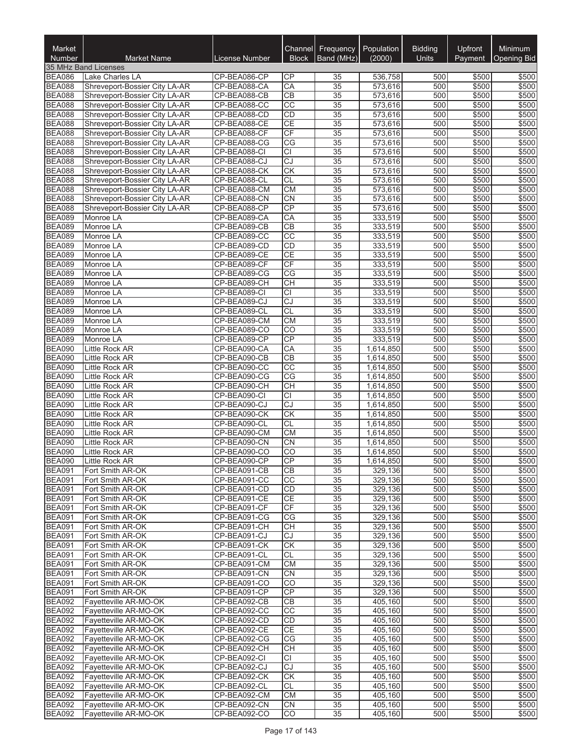| Market<br><b>Number</b>        | <b>Market Name</b>                                             | License Number               | Channel<br><b>Block</b>      | Frequency<br>Band (MHz)            | Population<br>(2000)   | <b>Bidding</b><br><b>Units</b> | Upfront<br>Payment | Minimum<br>Opening Bid |
|--------------------------------|----------------------------------------------------------------|------------------------------|------------------------------|------------------------------------|------------------------|--------------------------------|--------------------|------------------------|
|                                | 35 MHz Band Licenses                                           |                              |                              |                                    |                        |                                |                    |                        |
| <b>BEA086</b>                  | <b>Lake Charles LA</b>                                         | CP-BEA086-CP                 | СP                           | 35                                 | 536,758                | 500                            | \$500              | \$500                  |
| <b>BEA088</b>                  | Shreveport-Bossier City LA-AR                                  | CP-BEA088-CA                 | CA                           | $\overline{35}$                    | 573,616                | 500                            | \$500              | \$500                  |
| <b>BEA088</b>                  | Shreveport-Bossier City LA-AR                                  | CP-BEA088-CB                 | CB                           | $\overline{35}$                    | 573,616                | 500                            | \$500              | \$500                  |
| <b>BEA088</b><br><b>BEA088</b> | Shreveport-Bossier City LA-AR<br>Shreveport-Bossier City LA-AR | CP-BEA088-CC<br>CP-BEA088-CD | $\overline{CC}$<br><b>CD</b> | $\overline{35}$<br>35              | 573,616<br>573,616     | 500<br>500                     | \$500<br>\$500     | \$500<br>\$500         |
| <b>BEA088</b>                  | Shreveport-Bossier City LA-AR                                  | CP-BEA088-CE                 | <b>CE</b>                    | $\overline{35}$                    | 573,616                | 500                            | \$500              | \$500                  |
| <b>BEA088</b>                  | Shreveport-Bossier City LA-AR                                  | CP-BEA088-CF                 | CF                           | 35                                 | 573,616                | 500                            | \$500              | \$500                  |
| <b>BEA088</b>                  | Shreveport-Bossier City LA-AR                                  | CP-BEA088-CG                 | CG                           | 35                                 | 573,616                | 500                            | \$500              | \$500                  |
| <b>BEA088</b>                  | Shreveport-Bossier City LA-AR                                  | CP-BEA088-CI                 | <b>CI</b>                    | $\overline{35}$                    | 573,616                | 500                            | \$500              | \$500                  |
| <b>BEA088</b>                  | Shreveport-Bossier City LA-AR                                  | CP-BEA088-CJ                 | CJ                           | 35                                 | 573,616                | 500                            | \$500              | \$500                  |
| <b>BEA088</b>                  | Shreveport-Bossier City LA-AR                                  | CP-BEA088-CK                 | <b>CK</b>                    | 35<br>$\overline{35}$              | 573,616                | 500                            | \$500              | \$500                  |
| <b>BEA088</b><br><b>BEA088</b> | Shreveport-Bossier City LA-AR<br>Shreveport-Bossier City LA-AR | CP-BEA088-CL<br>CP-BEA088-CM | <b>CL</b><br><b>CM</b>       | 35                                 | 573,616<br>573,616     | 500<br>500                     | \$500<br>\$500     | \$500<br>\$500         |
| <b>BEA088</b>                  | Shreveport-Bossier City LA-AR                                  | CP-BEA088-CN                 | CN                           | 35                                 | 573,616                | 500                            | \$500              | \$500                  |
| <b>BEA088</b>                  | Shreveport-Bossier City LA-AR                                  | CP-BEA088-CP                 | CP                           | 35                                 | 573,616                | 500                            | \$500              | \$500                  |
| <b>BEA089</b>                  | Monroe LA                                                      | CP-BEA089-CA                 | CA                           | 35                                 | 333,519                | 500                            | \$500              | \$500                  |
| <b>BEA089</b>                  | Monroe LA                                                      | CP-BEA089-CB                 | CB                           | 35                                 | 333,519                | 500                            | \$500              | \$500                  |
| <b>BEA089</b>                  | Monroe LA                                                      | CP-BEA089-CC                 | $\overline{cc}$              | $\overline{35}$                    | 333,519                | 500                            | \$500              | \$500                  |
| <b>BEA089</b>                  | Monroe LA                                                      | CP-BEA089-CD                 | <b>CD</b>                    | $\overline{35}$                    | 333,519                | 500                            | \$500              | \$500                  |
| <b>BEA089</b><br><b>BEA089</b> | Monroe LA<br>Monroe LA                                         | CP-BEA089-CE<br>CP-BEA089-CF | <b>CE</b><br>CF              | $\overline{35}$<br>$\overline{35}$ | 333,519<br>333,519     | 500<br>500                     | \$500<br>\$500     | \$500<br>\$500         |
| <b>BEA089</b>                  | Monroe LA                                                      | CP-BEA089-CG                 | CG                           | $\overline{35}$                    | 333,519                | 500                            | \$500              | \$500                  |
| <b>BEA089</b>                  | Monroe LA                                                      | CP-BEA089-CH                 | <b>CH</b>                    | $\overline{35}$                    | 333,519                | 500                            | \$500              | \$500                  |
| <b>BEA089</b>                  | Monroe LA                                                      | CP-BEA089-CI                 | <b>CI</b>                    | 35                                 | 333,519                | 500                            | \$500              | \$500                  |
| <b>BEA089</b>                  | Monroe LA                                                      | CP-BEA089-CJ                 | CJ                           | 35                                 | 333,519                | 500                            | \$500              | \$500                  |
| <b>BEA089</b>                  | Monroe LA                                                      | CP-BEA089-CL                 | CL                           | 35                                 | 333,519                | 500                            | \$500              | \$500                  |
| <b>BEA089</b>                  | Monroe LA                                                      | CP-BEA089-CM                 | <b>CM</b>                    | $\overline{35}$                    | 333,519                | 500                            | \$500              | \$500                  |
| <b>BEA089</b>                  | Monroe LA                                                      | CP-BEA089-CO                 | CO<br>CP                     | $\overline{35}$                    | 333,519                | 500                            | \$500              | \$500                  |
| <b>BEA089</b><br><b>BEA090</b> | Monroe LA<br>Little Rock AR                                    | CP-BEA089-CP<br>CP-BEA090-CA | CA                           | $\overline{35}$<br>$\overline{35}$ | 333,519<br>1,614,850   | 500<br>500                     | \$500<br>\$500     | \$500<br>\$500         |
| <b>BEA090</b>                  | Little Rock AR                                                 | CP-BEA090-CB                 | CB                           | $\overline{35}$                    | 1,614,850              | 500                            | \$500              | \$500                  |
| <b>BEA090</b>                  | Little Rock AR                                                 | CP-BEA090-CC                 | $\overline{CC}$              | 35                                 | 1,614,850              | 500                            | \$500              | \$500                  |
| <b>BEA090</b>                  | Little Rock AR                                                 | CP-BEA090-CG                 | CG                           | 35                                 | 1,614,850              | 500                            | \$500              | \$500                  |
| <b>BEA090</b>                  | Little Rock AR                                                 | CP-BEA090-CH                 | <b>CH</b>                    | $\overline{35}$                    | 1,614,850              | 500                            | \$500              | \$500                  |
| <b>BEA090</b>                  | <b>Little Rock AR</b>                                          | CP-BEA090-CI                 | $\overline{CI}$              | $\overline{35}$                    | 1,614,850              | 500                            | \$500              | \$500                  |
| <b>BEA090</b>                  | Little Rock AR                                                 | CP-BEA090-CJ                 | <b>CJ</b>                    | 35                                 | 1,614,850              | 500                            | \$500              | \$500                  |
| <b>BEA090</b><br><b>BEA090</b> | Little Rock AR<br>Little Rock AR                               | CP-BEA090-CK<br>CP-BEA090-CL | CK<br><b>CL</b>              | $\overline{35}$<br>$\overline{35}$ | 1,614,850<br>1,614,850 | 500<br>500                     | \$500<br>\$500     | \$500<br>\$500         |
| <b>BEA090</b>                  | Little Rock AR                                                 | CP-BEA090-CM                 | CM                           | 35                                 | 1,614,850              | 500                            | \$500              | \$500                  |
| <b>BEA090</b>                  | Little Rock AR                                                 | CP-BEA090-CN                 | <b>CN</b>                    | 35                                 | 1,614,850              | 500                            | \$500              | \$500                  |
| <b>BEA090</b>                  | Little Rock AR                                                 | CP-BEA090-CO                 | CO                           | 35                                 | 1,614,850              | 500                            | \$500              | \$500                  |
| <b>BEA090</b>                  | Little Rock AR                                                 | CP-BEA090-CP                 | CP                           | $\overline{35}$                    | 1,614,850              | 500                            | \$500              | \$500                  |
| <b>BEA091</b>                  | Fort Smith AR-OK                                               | CP-BEA091-CB                 | <b>CB</b>                    | $\overline{35}$                    | 329,136                | 500                            | \$500              | \$500                  |
| <b>BEA091</b>                  | Fort Smith AR-OK                                               | CP-BEA091-CC                 | CC                           | 35                                 | 329,136                | 500                            | \$500              | \$500                  |
| <b>BEA091</b><br><b>BEA091</b> | Fort Smith AR-OK<br>Fort Smith AR-OK                           | CP-BEA091-CD<br>CP-BEA091-CE | <b>CD</b><br>CE              | 35<br>35                           | 329,136<br>329,136     | 500<br>500                     | \$500<br>\$500     | \$500<br>\$500         |
| <b>BEA091</b>                  | Fort Smith AR-OK                                               | CP-BEA091-CF                 | CF                           | $\overline{35}$                    | 329,136                | 500                            | \$500              | \$500                  |
| <b>BEA091</b>                  | Fort Smith AR-OK                                               | CP-BEA091-CG                 | CG                           | 35                                 | 329,136                | 500                            | \$500              | \$500                  |
| <b>BEA091</b>                  | Fort Smith AR-OK                                               | CP-BEA091-CH                 | CН                           | 35                                 | 329,136                | 500                            | \$500              | \$500                  |
| <b>BEA091</b>                  | Fort Smith AR-OK                                               | CP-BEA091-CJ                 | CJ                           | 35                                 | 329,136                | 500                            | \$500              | \$500                  |
| <b>BEA091</b>                  | Fort Smith AR-OK                                               | CP-BEA091-CK                 | CK                           | 35                                 | 329,136                | 500                            | \$500              | \$500                  |
| <b>BEA091</b>                  | Fort Smith AR-OK                                               | CP-BEA091-CL                 | <b>CL</b>                    | 35                                 | 329,136                | 500                            | \$500              | \$500                  |
| <b>BEA091</b><br><b>BEA091</b> | Fort Smith AR-OK<br>Fort Smith AR-OK                           | CP-BEA091-CM<br>CP-BEA091-CN | <b>CM</b><br><b>CN</b>       | 35<br>35                           | 329,136<br>329,136     | 500<br>500                     | \$500<br>\$500     | \$500<br>\$500         |
| <b>BEA091</b>                  | Fort Smith AR-OK                                               | CP-BEA091-CO                 | CO                           | 35                                 | 329.136                | 500                            | \$500              | \$500                  |
| <b>BEA091</b>                  | Fort Smith AR-OK                                               | CP-BEA091-CP                 | CP                           | 35                                 | 329,136                | 500                            | \$500              | \$500                  |
| <b>BEA092</b>                  | Fayetteville AR-MO-OK                                          | CP-BEA092-CB                 | <b>CB</b>                    | 35                                 | 405,160                | 500                            | \$500              | \$500                  |
| <b>BEA092</b>                  | Fayetteville AR-MO-OK                                          | CP-BEA092-CC                 | CC                           | 35                                 | 405,160                | 500                            | \$500              | \$500                  |
| <b>BEA092</b>                  | Fayetteville AR-MO-OK                                          | CP-BEA092-CD                 | <b>CD</b>                    | 35                                 | 405,160                | 500                            | \$500              | \$500                  |
| <b>BEA092</b>                  | Fayetteville AR-MO-OK                                          | CP-BEA092-CE                 | CE                           | 35                                 | 405,160                | 500                            | \$500              | \$500                  |
| <b>BEA092</b><br><b>BEA092</b> | Fayetteville AR-MO-OK<br>Fayetteville AR-MO-OK                 | CP-BEA092-CG<br>CP-BEA092-CH | CG<br><b>CH</b>              | 35<br>35                           | 405,160<br>405,160     | 500<br>500                     | \$500<br>\$500     | \$500<br>\$500         |
| <b>BEA092</b>                  | Fayetteville AR-MO-OK                                          | CP-BEA092-CI                 | <b>CI</b>                    | 35                                 | 405,160                | 500                            | \$500              | \$500                  |
| <b>BEA092</b>                  | Fayetteville AR-MO-OK                                          | CP-BEA092-CJ                 | CJ                           | $\overline{35}$                    | 405,160                | 500                            | \$500              | \$500                  |
| <b>BEA092</b>                  | Fayetteville AR-MO-OK                                          | CP-BEA092-CK                 | <b>CK</b>                    | 35                                 | 405,160                | 500                            | \$500              | \$500                  |
| <b>BEA092</b>                  | Fayetteville AR-MO-OK                                          | CP-BEA092-CL                 | CL                           | 35                                 | 405,160                | 500                            | \$500              | \$500                  |
| <b>BEA092</b>                  | Fayetteville AR-MO-OK                                          | CP-BEA092-CM                 | $\overline{\text{CM}}$       | 35                                 | 405,160                | 500                            | \$500              | \$500                  |
| <b>BEA092</b>                  | Fayetteville AR-MO-OK                                          | CP-BEA092-CN                 | CN                           | $\overline{35}$                    | 405,160                | 500                            | \$500              | \$500                  |
| <b>BEA092</b>                  | Fayetteville AR-MO-OK                                          | CP-BEA092-CO                 | CO                           | 35                                 | 405,160                | 500                            | \$500              | \$500                  |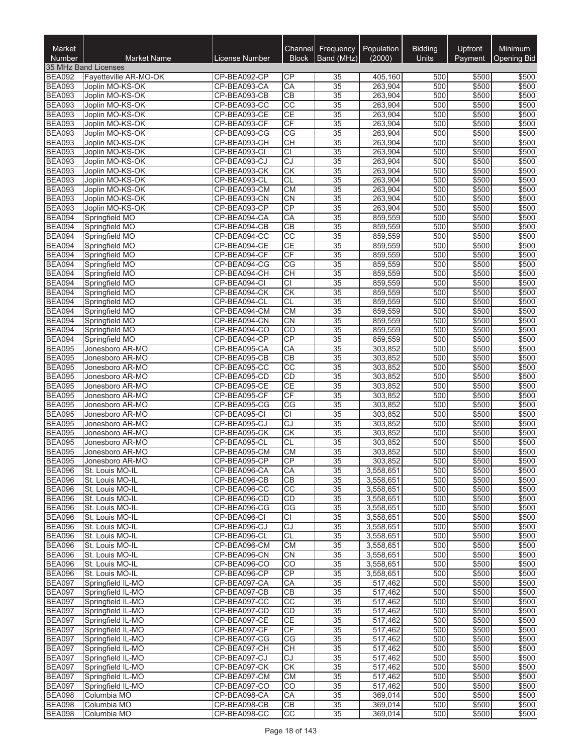| Market<br><b>Number</b>        | <b>Market Name</b>                     | License Number               | Channel<br><b>Block</b>      | Frequency<br>Band (MHz) | Population<br>(2000)   | <b>Bidding</b><br><b>Units</b> | <b>Upfront</b><br>Payment | Minimum<br><b>Opening Bid</b> |
|--------------------------------|----------------------------------------|------------------------------|------------------------------|-------------------------|------------------------|--------------------------------|---------------------------|-------------------------------|
|                                | 35 MHz Band Licenses                   |                              |                              |                         |                        |                                |                           |                               |
| <b>BEA092</b>                  | Fayetteville AR-MO-OK                  | CP-BEA092-CP                 | СP                           | 35                      | 405,160                | 500                            | \$500                     | \$500                         |
| <b>BEA093</b>                  | Joplin MO-KS-OK                        | CP-BEA093-CA                 | CA                           | $\overline{35}$         | 263.904                | 500                            | \$500                     | \$500                         |
| <b>BEA093</b>                  | Joplin MO-KS-OK                        | CP-BEA093-CB                 | CB                           | 35                      | 263,904                | 500                            | \$500                     | \$500                         |
| <b>BEA093</b><br><b>BEA093</b> | Joplin MO-KS-OK<br>Joplin MO-KS-OK     | CP-BEA093-CC<br>CP-BEA093-CE | $\overline{CC}$<br><b>CE</b> | 35<br>35                | 263,904<br>263,904     | 500<br>500                     | \$500<br>\$500            | \$500<br>\$500                |
| <b>BEA093</b>                  | Joplin MO-KS-OK                        | CP-BEA093-CF                 | CF                           | $\overline{35}$         | 263,904                | 500                            | \$500                     | \$500                         |
| <b>BEA093</b>                  | Joplin MO-KS-OK                        | CP-BEA093-CG                 | CG                           | $\overline{35}$         | 263,904                | 500                            | \$500                     | \$500                         |
| <b>BEA093</b>                  | Joplin MO-KS-OK                        | CP-BEA093-CH                 | <b>CH</b>                    | $\overline{35}$         | 263,904                | 500                            | \$500                     | \$500                         |
| <b>BEA093</b>                  | Joplin MO-KS-OK                        | CP-BEA093-CI                 | $\overline{CI}$              | $\overline{35}$         | 263,904                | 500                            | \$500                     | \$500                         |
| <b>BEA093</b>                  | Joplin MO-KS-OK                        | CP-BEA093-CJ                 | CJ                           | 35                      | 263,904                | 500                            | \$500                     | \$500                         |
| <b>BEA093</b>                  | Joplin MO-KS-OK                        | CP-BEA093-CK                 | <b>CK</b>                    | 35                      | 263,904                | 500                            | \$500                     | \$500                         |
| <b>BEA093</b><br><b>BEA093</b> | Joplin MO-KS-OK<br>Joplin MO-KS-OK     | CP-BEA093-CL<br>CP-BEA093-CM | <b>CL</b><br><b>CM</b>       | 35<br>35                | 263,904<br>263,904     | 500<br>500                     | \$500<br>\$500            | \$500<br>\$500                |
| <b>BEA093</b>                  | Joplin MO-KS-OK                        | CP-BEA093-CN                 | CN                           | $\overline{35}$         | 263,904                | 500                            | \$500                     | \$500                         |
| <b>BEA093</b>                  | Joplin MO-KS-OK                        | CP-BEA093-CP                 | CP                           | $\overline{35}$         | 263,904                | 500                            | \$500                     | \$500                         |
| <b>BEA094</b>                  | Springfield MO                         | CP-BEA094-CA                 | CA                           | $\overline{35}$         | 859,559                | 500                            | \$500                     | \$500                         |
| <b>BEA094</b>                  | Springfield MO                         | CP-BEA094-CB                 | $\overline{CB}$              | $\overline{35}$         | 859,559                | 500                            | \$500                     | \$500                         |
| <b>BEA094</b>                  | Springfield MO                         | CP-BEA094-CC                 | $\overline{cc}$              | 35                      | 859,559                | 500                            | \$500                     | \$500                         |
| <b>BEA094</b>                  | Springfield MO                         | CP-BEA094-CE                 | <b>CE</b>                    | 35                      | 859,559                | 500                            | \$500                     | \$500                         |
| <b>BEA094</b><br><b>BEA094</b> | Springfield MO<br>Springfield MO       | CP-BEA094-CF<br>CP-BEA094-CG | CF<br>CG                     | $\overline{35}$<br>35   | 859,559<br>859,559     | 500<br>500                     | \$500<br>\$500            | \$500<br>\$500                |
| <b>BEA094</b>                  | Springfield MO                         | CP-BEA094-CH                 | CH                           | $\overline{35}$         | 859,559                | 500                            | \$500                     | \$500                         |
| <b>BEA094</b>                  | Springfield MO                         | CP-BEA094-CI                 | $\overline{CI}$              | $\overline{35}$         | 859,559                | 500                            | \$500                     | \$500                         |
| <b>BEA094</b>                  | Springfield MO                         | CP-BEA094-CK                 | CK                           | $\overline{35}$         | 859,559                | 500                            | \$500                     | \$500                         |
| <b>BEA094</b>                  | Springfield MO                         | CP-BEA094-CL                 | <b>CL</b>                    | $\overline{35}$         | 859,559                | 500                            | \$500                     | \$500                         |
| <b>BEA094</b>                  | Springfield MO                         | CP-BEA094-CM                 | CM                           | $\overline{35}$         | 859,559                | 500                            | \$500                     | \$500                         |
| <b>BEA094</b>                  | Springfield MO                         | CP-BEA094-CN                 | <b>CN</b>                    | 35                      | 859,559                | 500                            | \$500                     | \$500                         |
| <b>BEA094</b><br><b>BEA094</b> | Springfield MO<br>Springfield MO       | CP-BEA094-CO<br>CP-BEA094-CP | CO<br>CP                     | 35<br>$\overline{35}$   | 859,559<br>859,559     | 500<br>500                     | \$500<br>\$500            | \$500<br>\$500                |
| <b>BEA095</b>                  | Jonesboro AR-MO                        | CP-BEA095-CA                 | CA                           | 35                      | 303,852                | 500                            | \$500                     | \$500                         |
| <b>BEA095</b>                  | Jonesboro AR-MO                        | CP-BEA095-CB                 | CB                           | $\overline{35}$         | 303,852                | 500                            | \$500                     | \$500                         |
| <b>BEA095</b>                  | Jonesboro AR-MO                        | CP-BEA095-CC                 | $\overline{CC}$              | $\overline{35}$         | 303,852                | 500                            | \$500                     | \$500                         |
| <b>BEA095</b>                  | Jonesboro AR-MO                        | CP-BEA095-CD                 | <b>CD</b>                    | 35                      | 303,852                | 500                            | \$500                     | \$500                         |
| <b>BEA095</b>                  | Jonesboro AR-MO                        | CP-BEA095-CE                 | CE                           | $\overline{35}$         | 303,852                | 500                            | \$500                     | \$500                         |
| <b>BEA095</b>                  | Jonesboro AR-MO                        | CP-BEA095-CF                 | CF                           | 35                      | 303,852                | 500                            | \$500                     | \$500                         |
| <b>BEA095</b><br><b>BEA095</b> | Jonesboro AR-MO<br>Jonesboro AR-MO     | CP-BEA095-CG<br>CP-BEA095-CI | CG<br>$\overline{CI}$        | 35<br>35                | 303,852<br>303,852     | 500<br>500                     | \$500<br>\$500            | \$500<br>\$500                |
| <b>BEA095</b>                  | Jonesboro AR-MO                        | CP-BEA095-CJ                 | CJ                           | 35                      | 303,852                | 500                            | \$500                     | \$500                         |
| <b>BEA095</b>                  | Jonesboro AR-MO                        | CP-BEA095-CK                 | CK                           | 35                      | 303,852                | 500                            | \$500                     | \$500                         |
| <b>BEA095</b>                  | Jonesboro AR-MO                        | CP-BEA095-CL                 | <b>CL</b>                    | $\overline{35}$         | 303,852                | 500                            | \$500                     | \$500                         |
| <b>BEA095</b>                  | Jonesboro AR-MO                        | CP-BEA095-CM                 | <b>CM</b>                    | 35                      | 303,852                | 500                            | \$500                     | \$500                         |
| <b>BEA095</b>                  | Jonesboro AR-MO                        | CP-BEA095-CP                 | CP                           | $\overline{35}$         | 303,852                | 500                            | \$500                     | \$500                         |
| <b>BEA096</b>                  | St. Louis MO-IL                        | CP-BEA096-CA                 | CA                           | 35                      | 3,558,651              | 500                            | \$500                     | \$500                         |
| <b>BEA096</b><br><b>BEA096</b> | St. Louis MO-IL<br>St. Louis MO-IL     | CP-BEA096-CB<br>CP-BEA096-CC | CВ<br>CC                     | 35<br>35                | 3,558,651<br>3,558,651 | 500<br>500                     | \$500<br>\$500            | \$500<br>\$500                |
| <b>BEA096</b>                  | St. Louis MO-IL                        | CP-BEA096-CD                 | <b>CD</b>                    | 35                      | 3,558,651              | 500                            | \$500                     | \$500                         |
| <b>BEA096</b>                  | St. Louis MO-IL                        | CP-BEA096-CG                 | CG                           | 35                      | 3,558,651              | 500                            | \$500                     | \$500                         |
| <b>BEA096</b>                  | St. Louis MO-IL                        | CP-BEA096-CI                 | CI                           | 35                      | 3,558,651              | 500                            | \$500                     | \$500                         |
| <b>BEA096</b>                  | St. Louis MO-IL                        | CP-BEA096-CJ                 | CJ                           | 35                      | 3,558,651              | 500                            | \$500                     | \$500                         |
| <b>BEA096</b>                  | St. Louis MO-IL                        | CP-BEA096-CL                 | <b>CL</b>                    | 35                      | 3,558,651              | 500                            | \$500                     | \$500                         |
| <b>BEA096</b>                  | St. Louis MO-IL                        | CP-BEA096-CM<br>CP-BEA096-CN | CM                           | 35                      | 3,558,651              | 500                            | \$500                     | \$500                         |
| <b>BEA096</b><br><b>BEA096</b> | St. Louis MO-IL<br>St. Louis MO-IL     | CP-BEA096-CO                 | <b>CN</b><br>CO              | 35<br>35                | 3,558,651<br>3,558,651 | 500<br>500                     | \$500<br>\$500            | \$500<br>\$500                |
| <b>BEA096</b>                  | St. Louis MO-IL                        | CP-BEA096-CP                 | CP                           | 35                      | 3,558,651              | 500                            | \$500                     | \$500                         |
| <b>BEA097</b>                  | Springfield IL-MO                      | CP-BEA097-CA                 | CA                           | 35                      | 517,462                | 500                            | \$500                     | \$500                         |
| <b>BEA097</b>                  | Springfield IL-MO                      | CP-BEA097-CB                 | CB                           | $\overline{35}$         | 517,462                | 500                            | \$500                     | \$500                         |
| <b>BEA097</b>                  | Springfield IL-MO                      | CP-BEA097-CC                 | CC                           | 35                      | 517,462                | 500                            | \$500                     | \$500                         |
| <b>BEA097</b>                  | Springfield IL-MO                      | CP-BEA097-CD                 | CD                           | 35                      | 517,462                | 500                            | \$500                     | \$500                         |
| <b>BEA097</b>                  | Springfield IL-MO                      | CP-BEA097-CE                 | <b>CE</b>                    | 35                      | 517,462                | 500                            | \$500                     | \$500                         |
| <b>BEA097</b><br><b>BEA097</b> | Springfield IL-MO<br>Springfield IL-MO | CP-BEA097-CF<br>CP-BEA097-CG | <b>CF</b><br>CG              | 35<br>35                | 517,462<br>517,462     | 500<br>500                     | \$500<br>\$500            | \$500<br>\$500                |
| <b>BEA097</b>                  | Springfield IL-MO                      | CP-BEA097-CH                 | <b>CH</b>                    | 35                      | 517,462                | 500                            | \$500                     | \$500                         |
| <b>BEA097</b>                  | Springfield IL-MO                      | CP-BEA097-CJ                 | CJ                           | 35                      | 517,462                | 500                            | \$500                     | \$500                         |
| <b>BEA097</b>                  | Springfield IL-MO                      | CP-BEA097-CK                 | CK                           | 35                      | 517,462                | 500                            | \$500                     | \$500                         |
| <b>BEA097</b>                  | Springfield IL-MO                      | CP-BEA097-CM                 | <b>CM</b>                    | 35                      | 517,462                | 500                            | \$500                     | \$500                         |
| <b>BEA097</b>                  | Springfield IL-MO                      | CP-BEA097-CO                 | CO                           | 35                      | 517,462                | 500                            | \$500                     | \$500                         |
| <b>BEA098</b>                  | Columbia MO                            | CP-BEA098-CA<br>CP-BEA098-CB | CA                           | 35                      | 369,014                | 500<br>500                     | \$500                     | \$500<br>\$500                |
| <b>BEA098</b><br><b>BEA098</b> | Columbia MO<br>Columbia MO             | CP-BEA098-CC                 | CВ<br>CC                     | 35<br>35                | 369,014<br>369,014     | 500                            | \$500<br>\$500            | \$500                         |
|                                |                                        |                              |                              |                         |                        |                                |                           |                               |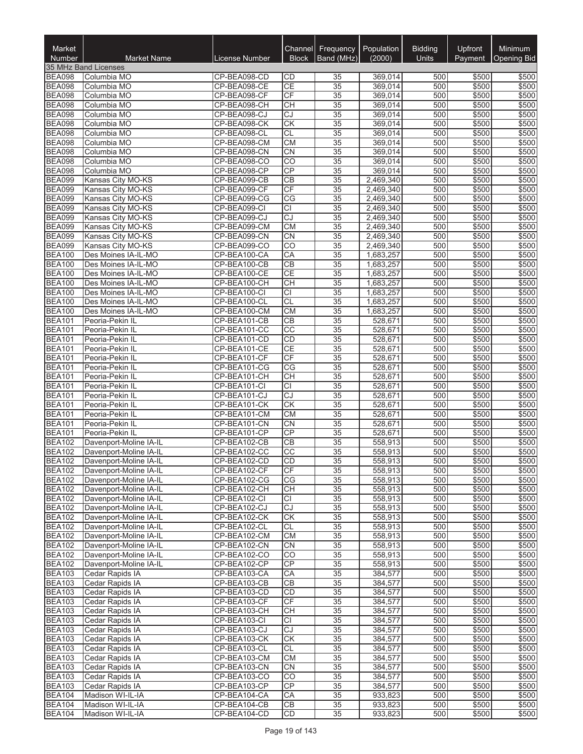| Market<br><b>Number</b>        | <b>Market Name</b>                               | License Number               | Channel<br><b>Block</b> | Frequency   Population<br>Band (MHz) | (2000)                 | <b>Bidding</b><br><b>Units</b> | Upfront<br>Payment | Minimum<br>Opening Bid |
|--------------------------------|--------------------------------------------------|------------------------------|-------------------------|--------------------------------------|------------------------|--------------------------------|--------------------|------------------------|
|                                | 35 MHz Band Licenses                             |                              |                         |                                      |                        |                                |                    |                        |
| <b>BEA098</b><br><b>BEA098</b> | Columbia MO                                      | CP-BEA098-CD<br>CP-BEA098-CE | CD<br><b>CE</b>         | 35                                   | 369,014                | 500<br>500                     | \$500<br>\$500     | \$500                  |
| <b>BEA098</b>                  | Columbia MO<br>Columbia MO                       | CP-BEA098-CF                 | CF                      | 35<br>$\overline{35}$                | 369,014<br>369,014     | 500                            | \$500              | \$500<br>\$500         |
| <b>BEA098</b>                  | Columbia MO                                      | CP-BEA098-CH                 | <b>CH</b>               | 35                                   | 369,014                | 500                            | \$500              | \$500                  |
| <b>BEA098</b>                  | Columbia MO                                      | CP-BEA098-CJ                 | CJ                      | 35                                   | 369,014                | 500                            | \$500              | \$500                  |
| <b>BEA098</b>                  | Columbia MO                                      | CP-BEA098-CK                 | CK                      | $\overline{35}$                      | 369,014                | 500                            | \$500              | \$500                  |
| <b>BEA098</b>                  | Columbia MO                                      | CP-BEA098-CL                 | <b>CL</b>               | 35                                   | 369,014                | 500                            | \$500              | \$500                  |
| <b>BEA098</b>                  | Columbia MO                                      | CP-BEA098-CM                 | <b>CM</b>               | 35                                   | 369,014                | 500                            | \$500              | \$500                  |
| <b>BEA098</b>                  | Columbia MO                                      | CP-BEA098-CN                 | <b>CN</b>               | 35                                   | 369,014                | 500                            | \$500              | \$500                  |
| <b>BEA098</b>                  | Columbia MO                                      | CP-BEA098-CO                 | CO                      | $\overline{35}$                      | 369,014                | 500                            | \$500              | \$500                  |
| <b>BEA098</b>                  | Columbia MO                                      | CP-BEA098-CP                 | CP                      | $\overline{35}$                      | 369.014                | 500                            | \$500              | \$500                  |
| <b>BEA099</b>                  | Kansas City MO-KS                                | CP-BEA099-CB                 | <b>CB</b>               | 35                                   | 2,469,340              | 500                            | \$500              | \$500                  |
| <b>BEA099</b>                  | Kansas City MO-KS                                | CP-BEA099-CF                 | CF                      | 35                                   | 2,469,340              | 500                            | \$500              | \$500                  |
| <b>BEA099</b>                  | Kansas City MO-KS                                | CP-BEA099-CG                 | CG                      | $\overline{35}$                      | 2,469,340              | 500                            | \$500              | \$500                  |
| <b>BEA099</b>                  | Kansas City MO-KS                                | CP-BEA099-CI                 | <b>CI</b>               | 35                                   | 2,469,340              | 500                            | \$500              | \$500                  |
| <b>BEA099</b><br><b>BEA099</b> | Kansas City MO-KS                                | CP-BEA099-CJ<br>CP-BEA099-CM | CJ<br><b>CM</b>         | 35<br>35                             | 2,469,340<br>2,469,340 | 500<br>500                     | \$500<br>\$500     | \$500<br>\$500         |
| <b>BEA099</b>                  | Kansas City MO-KS<br>Kansas City MO-KS           | CP-BEA099-CN                 | CN                      | $\overline{35}$                      | 2,469,340              | 500                            | \$500              | \$500                  |
| <b>BEA099</b>                  | Kansas City MO-KS                                | CP-BEA099-CO                 | CO                      | $\overline{35}$                      | 2,469,340              | 500                            | \$500              | \$500                  |
| <b>BEA100</b>                  | Des Moines IA-IL-MO                              | CP-BEA100-CA                 | CA                      | $\overline{35}$                      | 1,683,257              | 500                            | \$500              | \$500                  |
| <b>BEA100</b>                  | Des Moines IA-IL-MO                              | CP-BEA100-CB                 | CB                      | $\overline{35}$                      | 1,683,257              | 500                            | \$500              | \$500                  |
| <b>BEA100</b>                  | Des Moines IA-IL-MO                              | CP-BEA100-CE                 | <b>CE</b>               | $\overline{35}$                      | 1,683,257              | 500                            | \$500              | \$500                  |
| <b>BEA100</b>                  | Des Moines IA-IL-MO                              | CP-BEA100-CH                 | <b>CH</b>               | 35                                   | 1,683,257              | 500                            | \$500              | \$500                  |
| <b>BEA100</b>                  | Des Moines IA-IL-MO                              | CP-BEA100-CI                 | <b>CI</b>               | 35                                   | 1,683,257              | 500                            | \$500              | \$500                  |
| <b>BEA100</b>                  | Des Moines IA-IL-MO                              | CP-BEA100-CL                 | <b>CL</b>               | 35                                   | 1,683,257              | 500                            | \$500              | \$500                  |
| <b>BEA100</b>                  | Des Moines IA-IL-MO                              | CP-BEA100-CM                 | CM                      | $\overline{35}$                      | 1,683,257              | 500                            | \$500              | \$500                  |
| <b>BEA101</b>                  | Peoria-Pekin IL                                  | CP-BEA101-CB                 | CB                      | 35                                   | 528,671                | 500                            | \$500              | \$500                  |
| <b>BEA101</b>                  | Peoria-Pekin IL                                  | CP-BEA101-CC                 | $\overline{CC}$         | $\overline{35}$                      | 528,671                | 500                            | \$500              | \$500                  |
| <b>BEA101</b>                  | Peoria-Pekin IL                                  | CP-BEA101-CD                 | <b>CD</b>               | 35                                   | 528,671                | 500                            | \$500              | \$500                  |
| <b>BEA101</b>                  | Peoria-Pekin IL                                  | CP-BEA101-CE                 | <b>CE</b>               | 35                                   | 528,671                | 500                            | \$500              | \$500                  |
| <b>BEA101</b><br><b>BEA101</b> | Peoria-Pekin IL<br>Peoria-Pekin IL               | CP-BEA101-CF<br>CP-BEA101-CG | CF<br>CG                | $\overline{35}$<br>35                | 528,671<br>528,671     | 500<br>500                     | \$500<br>\$500     | \$500<br>\$500         |
| <b>BEA101</b>                  | Peoria-Pekin IL                                  | CP-BEA101-CH                 | <b>CH</b>               | 35                                   | 528,671                | 500                            | \$500              | \$500                  |
| <b>BEA101</b>                  | Peoria-Pekin IL                                  | CP-BEA101-CI                 | <b>CI</b>               | 35                                   | 528,671                | 500                            | \$500              | \$500                  |
| <b>BEA101</b>                  | Peoria-Pekin IL                                  | CP-BEA101-CJ                 | CJ                      | 35                                   | 528,671                | 500                            | \$500              | \$500                  |
| <b>BEA101</b>                  | Peoria-Pekin IL                                  | CP-BEA101-CK                 | <b>CK</b>               | $\overline{35}$                      | 528,671                | 500                            | \$500              | \$500                  |
| <b>BEA101</b>                  | Peoria-Pekin IL                                  | CP-BEA101-CM                 | <b>CM</b>               | 35                                   | 528,671                | 500                            | \$500              | \$500                  |
| <b>BEA101</b>                  | Peoria-Pekin IL                                  | CP-BEA101-CN                 | CN                      | 35                                   | 528,671                | 500                            | \$500              | \$500                  |
| <b>BEA101</b>                  | Peoria-Pekin IL                                  | CP-BEA101-CP                 | CP                      | $\overline{35}$                      | 528,671                | 500                            | \$500              | \$500                  |
| <b>BEA102</b>                  | Davenport-Moline IA-IL                           | CP-BEA102-CB                 | <b>CB</b>               | 35                                   | 558,913                | 500                            | \$500              | \$500                  |
| <b>BEA102</b>                  | Davenport-Moline IA-IL                           | CP-BEA102-CC                 | CC                      | 35                                   | 558,913                | 500                            | \$500              | \$500                  |
| <b>BEA102</b>                  | Davenport-Moline IA-IL                           | CP-BEA102-CD                 | CD                      | $\overline{35}$                      | 558,913                | 500                            | \$500              | \$500                  |
| <b>BEA102</b>                  | Davenport-Moline IA-IL                           | CP-BEA102-CF                 | CF                      | $\overline{35}$                      | 558,913                | 500                            | \$500              | \$500                  |
| <b>BEA102</b>                  | Davenport-Moline IA-IL                           | CP-BEA102-CG                 | CG                      | 35                                   | 558,913                | 500                            | \$500              | \$500                  |
| <b>BEA102</b>                  | Davenport-Moline IA-IL                           | CP-BEA102-CH                 | <b>CH</b><br><b>CI</b>  | 35                                   | 558,913<br>558,913     | 500                            | \$500              | \$500<br>\$500         |
| <b>BEA102</b><br><b>BEA102</b> | Davenport-Moline IA-IL<br>Davenport-Moline IA-IL | CP-BEA102-CI<br>CP-BEA102-CJ | CJ                      | 35<br>$\overline{35}$                | 558,913                | 500<br>500                     | \$500<br>\$500     | \$500                  |
| <b>BEA102</b>                  | Davenport-Moline IA-IL                           | CP-BEA102-CK                 | <b>CK</b>               | 35                                   | 558,913                | 500                            | \$500              | \$500                  |
| <b>BEA102</b>                  | Davenport-Moline IA-IL                           | CP-BEA102-CL                 | <b>CL</b>               | 35                                   | 558,913                | 500                            | \$500              | \$500                  |
| <b>BEA102</b>                  | Davenport-Moline IA-IL                           | CP-BEA102-CM                 | <b>CM</b>               | 35                                   | 558,913                | 500                            | \$500              | \$500                  |
| <b>BEA102</b>                  | Davenport-Moline IA-IL                           | CP-BEA102-CN                 | CN                      | $\overline{35}$                      | 558,913                | 500                            | \$500              | \$500                  |
| <b>BEA102</b>                  | Davenport-Moline IA-IL                           | CP-BEA102-CO                 | CO                      | 35                                   | 558,913                | 500                            | \$500              | \$500                  |
| <b>BEA102</b>                  | Davenport-Moline IA-IL                           | CP-BEA102-CP                 | CP                      | $\overline{35}$                      | 558,913                | 500                            | \$500              | \$500                  |
| <b>BEA103</b>                  | Cedar Rapids IA                                  | CP-BEA103-CA                 | CA                      | 35                                   | 384,577                | 500                            | \$500              | \$500                  |
| <b>BEA103</b>                  | Cedar Rapids IA                                  | CP-BEA103-CB                 | <b>CB</b>               | 35                                   | 384,577                | 500                            | \$500              | \$500                  |
| <b>BEA103</b>                  | Cedar Rapids IA                                  | CP-BEA103-CD                 | <b>CD</b>               | 35                                   | 384,577                | 500                            | \$500              | \$500                  |
| <b>BEA103</b>                  | Cedar Rapids IA                                  | CP-BEA103-CF                 | CF                      | 35                                   | 384,577                | 500                            | \$500              | \$500                  |
| <b>BEA103</b>                  | Cedar Rapids IA                                  | CP-BEA103-CH                 | <b>CH</b>               | 35                                   | 384,577                | 500                            | \$500              | \$500                  |
| <b>BEA103</b>                  | Cedar Rapids IA                                  | CP-BEA103-CI                 | CI                      | 35                                   | 384,577                | 500                            | \$500              | \$500                  |
| <b>BEA103</b>                  | Cedar Rapids IA                                  | CP-BEA103-CJ                 | CJ                      | 35                                   | 384,577                | 500                            | \$500              | \$500                  |
| <b>BEA103</b><br><b>BEA103</b> | Cedar Rapids IA<br>Cedar Rapids IA               | CP-BEA103-CK<br>CP-BEA103-CL | СK<br><b>CL</b>         | 35<br>35                             | 384,577<br>384,577     | 500<br>500                     | \$500<br>\$500     | \$500<br>\$500         |
| <b>BEA103</b>                  | Cedar Rapids IA                                  | CP-BEA103-CM                 | СM                      | 35                                   | 384,577                | 500                            | \$500              | \$500                  |
| <b>BEA103</b>                  | Cedar Rapids IA                                  | CP-BEA103-CN                 | <b>CN</b>               | 35                                   | 384,577                | 500                            | \$500              | \$500                  |
| <b>BEA103</b>                  | Cedar Rapids IA                                  | CP-BEA103-CO                 | <b>CO</b>               | 35                                   | 384,577                | 500                            | \$500              | \$500                  |
| <b>BEA103</b>                  | Cedar Rapids IA                                  | CP-BEA103-CP                 | <b>CP</b>               | 35                                   | 384,577                | 500                            | \$500              | \$500                  |
| <b>BEA104</b>                  | Madison WI-IL-IA                                 | CP-BEA104-CA                 | CA                      | 35                                   | 933,823                | 500                            | \$500              | \$500                  |
| <b>BEA104</b>                  | Madison WI-IL-IA                                 | CP-BEA104-CB                 | CB                      | 35                                   | 933,823                | 500                            | \$500              | \$500                  |
| <b>BEA104</b>                  | Madison WI-IL-IA                                 | CP-BEA104-CD                 | <b>CD</b>               | 35                                   | 933,823                | 500                            | \$500              | \$500                  |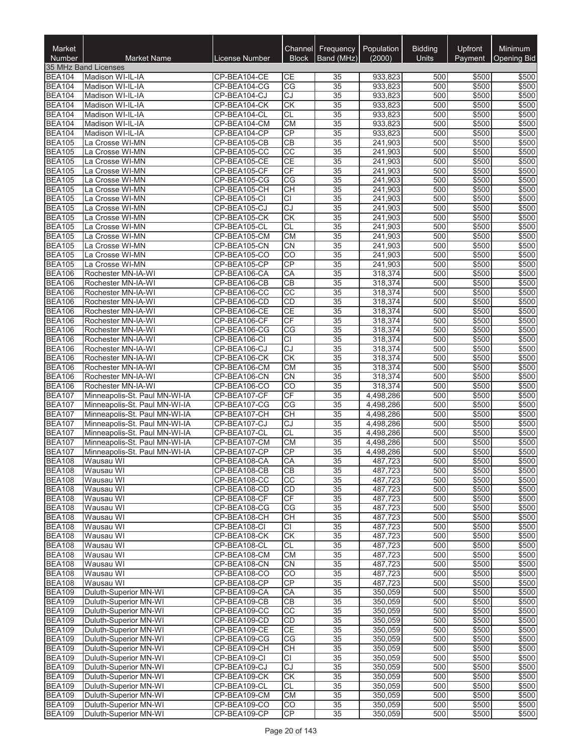| Market<br><b>Number</b>        | <b>Market Name</b>                                             | License Number               | Channel<br><b>Block</b> | <b>Frequency</b><br>Band (MHz) | Population<br>(2000)   | <b>Bidding</b><br><b>Units</b> | Upfront<br>Payment | Minimum<br><b>Opening Bid</b> |
|--------------------------------|----------------------------------------------------------------|------------------------------|-------------------------|--------------------------------|------------------------|--------------------------------|--------------------|-------------------------------|
|                                | 35 MHz Band Licenses                                           |                              |                         |                                |                        |                                |                    |                               |
| <b>BEA104</b>                  | Madison WI-IL-IA                                               | CP-BEA104-CE                 | CЕ                      | 35                             | 933,823                | 500                            | \$500              | \$500                         |
| <b>BEA104</b>                  | Madison WI-IL-IA                                               | CP-BEA104-CG                 | CG                      | 35                             | 933,823                | 500                            | \$500              | \$500                         |
| <b>BEA104</b>                  | Madison WI-IL-IA                                               | CP-BEA104-CJ                 | CJ                      | 35                             | 933,823                | 500                            | \$500              | \$500                         |
| <b>BEA104</b>                  | Madison WI-IL-IA                                               | CP-BEA104-CK                 | <b>CK</b>               | 35                             | 933,823                | 500                            | \$500              | \$500                         |
| <b>BEA104</b><br><b>BEA104</b> | Madison WI-IL-IA<br>Madison WI-IL-IA                           | CP-BEA104-CL<br>CP-BEA104-CM | CL<br><b>CM</b>         | 35<br>$\overline{35}$          | 933,823<br>933,823     | 500<br>500                     | \$500<br>\$500     | \$500<br>\$500                |
| <b>BEA104</b>                  | Madison WI-IL-IA                                               | CP-BEA104-CP                 | CP                      | $\overline{35}$                | 933.823                | 500                            | \$500              | \$500                         |
| <b>BEA105</b>                  | La Crosse WI-MN                                                | CP-BEA105-CB                 | CB                      | 35                             | 241,903                | 500                            | \$500              | \$500                         |
| <b>BEA105</b>                  | La Crosse WI-MN                                                | CP-BEA105-CC                 | $\overline{CC}$         | $\overline{35}$                | 241,903                | 500                            | \$500              | \$500                         |
| <b>BEA105</b>                  | La Crosse WI-MN                                                | CP-BEA105-CE                 | <b>CE</b>               | 35                             | 241,903                | 500                            | \$500              | \$500                         |
| <b>BEA105</b>                  | La Crosse WI-MN                                                | CP-BEA105-CF                 | CF                      | 35                             | 241,903                | 500                            | \$500              | \$500                         |
| <b>BEA105</b>                  | La Crosse WI-MN                                                | CP-BEA105-CG                 | CG                      | 35                             | 241,903                | 500                            | \$500              | \$500                         |
| <b>BEA105</b>                  | La Crosse WI-MN                                                | CP-BEA105-CH                 | <b>CH</b>               | 35                             | 241,903                | 500                            | \$500              | \$500                         |
| <b>BEA105</b>                  | La Crosse WI-MN                                                | CP-BEA105-CI                 | $\overline{CI}$         | 35                             | 241,903                | 500                            | \$500              | \$500                         |
| <b>BEA105</b>                  | La Crosse WI-MN                                                | CP-BEA105-CJ                 | CJ<br><b>CK</b>         | $\overline{35}$                | 241,903                | 500<br>500                     | \$500              | \$500<br>\$500                |
| <b>BEA105</b><br><b>BEA105</b> | La Crosse WI-MN<br>La Crosse WI-MN                             | CP-BEA105-CK<br>CP-BEA105-CL | <b>CL</b>               | 35<br>$\overline{35}$          | 241,903<br>241,903     | 500                            | \$500<br>\$500     | \$500                         |
| <b>BEA105</b>                  | La Crosse WI-MN                                                | CP-BEA105-CM                 | <b>CM</b>               | $\overline{35}$                | 241,903                | 500                            | \$500              | \$500                         |
| <b>BEA105</b>                  | La Crosse WI-MN                                                | CP-BEA105-CN                 | <b>CN</b>               | 35                             | 241,903                | 500                            | \$500              | \$500                         |
| <b>BEA105</b>                  | La Crosse WI-MN                                                | CP-BEA105-CO                 | CO                      | $\overline{35}$                | 241,903                | 500                            | \$500              | \$500                         |
| <b>BEA105</b>                  | La Crosse WI-MN                                                | CP-BEA105-CP                 | CP                      | 35                             | 241,903                | 500                            | \$500              | \$500                         |
| <b>BEA106</b>                  | Rochester MN-IA-WI                                             | CP-BEA106-CA                 | CA                      | 35                             | 318,374                | 500                            | \$500              | \$500                         |
| <b>BEA106</b>                  | Rochester MN-IA-WI                                             | CP-BEA106-CB                 | CB                      | $\overline{35}$                | 318,374                | 500                            | \$500              | \$500                         |
| <b>BEA106</b>                  | Rochester MN-IA-WI                                             | CP-BEA106-CC                 | $\overline{CC}$         | 35                             | 318,374                | 500                            | \$500              | \$500                         |
| <b>BEA106</b>                  | Rochester MN-IA-WI                                             | CP-BEA106-CD                 | <b>CD</b>               | $\overline{35}$                | 318,374                | 500                            | \$500              | \$500                         |
| <b>BEA106</b>                  | Rochester MN-IA-WI                                             | CP-BEA106-CE                 | <b>CE</b>               | 35                             | 318,374                | 500                            | \$500              | \$500                         |
| <b>BEA106</b><br><b>BEA106</b> | Rochester MN-IA-WI<br>Rochester MN-IA-WI                       | CP-BEA106-CF<br>CP-BEA106-CG | CF<br>CG                | 35<br>35                       | 318,374<br>318,374     | 500<br>500                     | \$500<br>\$500     | \$500<br>\$500                |
| <b>BEA106</b>                  | Rochester MN-IA-WI                                             | CP-BEA106-CI                 | <b>CI</b>               | 35                             | 318,374                | 500                            | \$500              | \$500                         |
| <b>BEA106</b>                  | Rochester MN-IA-WI                                             | CP-BEA106-CJ                 | CJ                      | 35                             | 318,374                | 500                            | \$500              | \$500                         |
| <b>BEA106</b>                  | Rochester MN-IA-WI                                             | CP-BEA106-CK                 | CK                      | $\overline{35}$                | 318,374                | 500                            | \$500              | \$500                         |
| <b>BEA106</b>                  | Rochester MN-IA-WI                                             | CP-BEA106-CM                 | <b>CM</b>               | $\overline{35}$                | 318,374                | 500                            | \$500              | \$500                         |
| <b>BEA106</b>                  | Rochester MN-IA-WI                                             | CP-BEA106-CN                 | <b>CN</b>               | 35                             | 318,374                | 500                            | \$500              | \$500                         |
| <b>BEA106</b>                  | Rochester MN-IA-WI                                             | CP-BEA106-CO                 | $\overline{CO}$         | $\overline{35}$                | 318,374                | 500                            | \$500              | \$500                         |
| <b>BEA107</b>                  | Minneapolis-St. Paul MN-WI-IA                                  | CP-BEA107-CF                 | CF                      | 35                             | 4,498,286              | 500                            | \$500              | \$500                         |
| <b>BEA107</b>                  | Minneapolis-St. Paul MN-WI-IA                                  | CP-BEA107-CG                 | CG                      | 35                             | 4,498,286              | 500                            | \$500              | \$500                         |
| <b>BEA107</b><br><b>BEA107</b> | Minneapolis-St. Paul MN-WI-IA<br>Minneapolis-St. Paul MN-WI-IA | CP-BEA107-CH<br>CP-BEA107-CJ | <b>CH</b><br>CJ         | 35<br>35                       | 4,498,286<br>4,498,286 | 500<br>500                     | \$500<br>\$500     | \$500<br>\$500                |
| <b>BEA107</b>                  | Minneapolis-St. Paul MN-WI-IA                                  | CP-BEA107-CL                 | CL                      | 35                             | 4,498,286              | 500                            | \$500              | \$500                         |
| <b>BEA107</b>                  | Minneapolis-St. Paul MN-WI-IA                                  | CP-BEA107-CM                 | <b>CM</b>               | 35                             | 4,498,286              | 500                            | \$500              | \$500                         |
| <b>BEA107</b>                  | Minneapolis-St. Paul MN-WI-IA                                  | CP-BEA107-CP                 | CP                      | 35                             | 4,498,286              | 500                            | \$500              | \$500                         |
| <b>BEA108</b>                  | Wausau WI                                                      | CP-BEA108-CA                 | CA                      | $\overline{35}$                | 487,723                | 500                            | \$500              | \$500                         |
| <b>BEA108</b>                  | Wausau WI                                                      | CP-BEA108-CB                 | CВ                      | 35                             | 487,723                | 500                            | \$500              | \$500                         |
| <b>BEA108</b>                  | Wausau WI                                                      | CP-BEA108-CC                 | CC                      | 35                             | 487,723                | 500                            | \$500              | \$500                         |
| <b>BEA108</b>                  | Wausau WI                                                      | CP-BEA108-CD                 | <b>CD</b>               | 35                             | 487,723                | 500                            | \$500              | \$500                         |
| <b>BEA108</b>                  | Wausau WI                                                      | CP-BEA108-CF                 | <b>CF</b>               | 35                             | 487,723                | 500                            | \$500              | \$500                         |
| <b>BEA108</b><br><b>BEA108</b> | Wausau WI                                                      | CP-BEA108-CG                 | CG<br><b>CH</b>         | 35<br>$\overline{35}$          | 487,723                | 500<br>500                     | \$500<br>\$500     | \$500<br>\$500                |
| <b>BEA108</b>                  | Wausau WI<br>Wausau WI                                         | CP-BEA108-CH<br>CP-BEA108-CI | <b>CI</b>               | 35                             | 487,723<br>487,723     | 500                            | \$500              | \$500                         |
| <b>BEA108</b>                  | Wausau WI                                                      | CP-BEA108-CK                 | <b>CK</b>               | 35                             | 487,723                | 500                            | \$500              | \$500                         |
| <b>BEA108</b>                  | Wausau WI                                                      | CP-BEA108-CL                 | <b>CL</b>               | 35                             | 487,723                | 500                            | \$500              | \$500                         |
| <b>BEA108</b>                  | Wausau WI                                                      | CP-BEA108-CM                 | <b>CM</b>               | 35                             | 487,723                | 500                            | \$500              | \$500                         |
| <b>BEA108</b>                  | Wausau WI                                                      | CP-BEA108-CN                 | <b>CN</b>               | 35                             | 487,723                | 500                            | \$500              | \$500                         |
| <b>BEA108</b>                  | Wausau WI                                                      | CP-BEA108-CO                 | <b>CO</b>               | 35                             | 487,723                | 500                            | \$500              | \$500                         |
| <b>BEA108</b>                  | Wausau WI                                                      | CP-BEA108-CP                 | <b>CP</b>               | 35                             | 487,723                | 500                            | \$500              | \$500                         |
| <b>BEA109</b>                  | Duluth-Superior MN-WI                                          | CP-BEA109-CA                 | CA                      | $\overline{35}$                | 350,059                | 500                            | \$500              | \$500                         |
| <b>BEA109</b>                  | Duluth-Superior MN-WI                                          | CP-BEA109-CB                 | <b>CB</b>               | 35                             | 350,059                | 500                            | \$500              | \$500                         |
| <b>BEA109</b><br><b>BEA109</b> | Duluth-Superior MN-WI<br>Duluth-Superior MN-WI                 | CP-BEA109-CC<br>CP-BEA109-CD | CC<br>CD                | 35<br>35                       | 350,059<br>350,059     | 500<br>500                     | \$500<br>\$500     | \$500<br>\$500                |
| <b>BEA109</b>                  | Duluth-Superior MN-WI                                          | CP-BEA109-CE                 | <b>CE</b>               | 35                             | 350,059                | 500                            | \$500              | \$500                         |
| <b>BEA109</b>                  | Duluth-Superior MN-WI                                          | CP-BEA109-CG                 | CG                      | 35                             | 350,059                | 500                            | \$500              | \$500                         |
| <b>BEA109</b>                  | Duluth-Superior MN-WI                                          | CP-BEA109-CH                 | <b>CH</b>               | 35                             | 350,059                | 500                            | \$500              | \$500                         |
| <b>BEA109</b>                  | Duluth-Superior MN-WI                                          | CP-BEA109-CI                 | СI                      | 35                             | 350,059                | 500                            | \$500              | \$500                         |
| <b>BEA109</b>                  | Duluth-Superior MN-WI                                          | CP-BEA109-CJ                 | $\overline{CJ}$         | 35                             | 350,059                | 500                            | \$500              | \$500                         |
| <b>BEA109</b>                  | Duluth-Superior MN-WI                                          | CP-BEA109-CK                 | CK                      | 35                             | 350,059                | 500                            | \$500              | \$500                         |
| <b>BEA109</b>                  | Duluth-Superior MN-WI                                          | CP-BEA109-CL                 | CL                      | 35                             | 350,059                | 500                            | \$500              | \$500                         |
| <b>BEA109</b>                  | Duluth-Superior MN-WI                                          | CP-BEA109-CM                 | <b>CM</b>               | 35                             | 350,059                | 500                            | \$500              | \$500                         |
| <b>BEA109</b><br><b>BEA109</b> | Duluth-Superior MN-WI<br>Duluth-Superior MN-WI                 | CP-BEA109-CO<br>CP-BEA109-CP | CO<br>CP                | 35<br>35                       | 350,059<br>350,059     | 500<br>500                     | \$500<br>\$500     | \$500<br>\$500                |
|                                |                                                                |                              |                         |                                |                        |                                |                    |                               |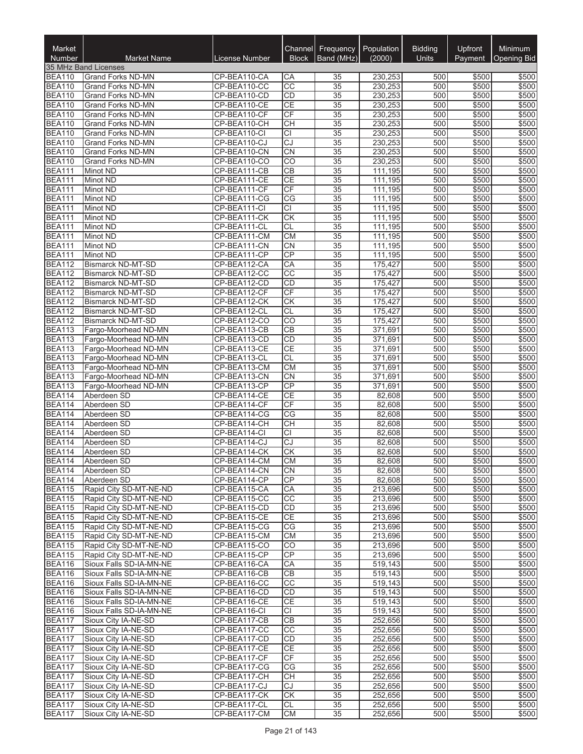| Market<br>Number               | <b>Market Name</b>                                 | License Number               | Channel<br><b>Block</b> | Frequency<br>Band (MHz)            | Population<br>(2000) | <b>Bidding</b><br><b>Units</b> | <b>Upfront</b><br>Payment | Minimum<br>Opening Bid |
|--------------------------------|----------------------------------------------------|------------------------------|-------------------------|------------------------------------|----------------------|--------------------------------|---------------------------|------------------------|
|                                | 35 MHz Band Licenses                               |                              |                         |                                    |                      |                                |                           |                        |
| <b>BEA110</b>                  | <b>Grand Forks ND-MN</b>                           | CP-BEA110-CA                 | СA                      | 35                                 | 230,253              | 500                            | \$500                     | \$500                  |
| <b>BEA110</b>                  | Grand Forks ND-MN                                  | CP-BEA110-CC                 | CC                      | $\overline{35}$                    | 230,253              | 500                            | \$500                     | \$500                  |
| <b>BEA110</b>                  | Grand Forks ND-MN                                  | CP-BEA110-CD                 | <b>CD</b>               | 35                                 | 230,253              | 500                            | \$500                     | \$500                  |
| <b>BEA110</b><br><b>BEA110</b> | Grand Forks ND-MN<br><b>Grand Forks ND-MN</b>      | CP-BEA110-CE<br>CP-BEA110-CF | <b>CE</b><br>CF         | $\overline{35}$<br>35              | 230,253<br>230,253   | 500<br>500                     | \$500<br>\$500            | \$500<br>\$500         |
| <b>BEA110</b>                  | Grand Forks ND-MN                                  | CP-BEA110-CH                 | CH                      | $\overline{35}$                    | 230,253              | 500                            | \$500                     | \$500                  |
| <b>BEA110</b>                  | Grand Forks ND-MN                                  | CP-BEA110-CI                 | $\overline{CI}$         | $\overline{35}$                    | 230,253              | 500                            | \$500                     | \$500                  |
| <b>BEA110</b>                  | <b>Grand Forks ND-MN</b>                           | CP-BEA110-CJ                 | CJ                      | $\overline{35}$                    | 230,253              | 500                            | \$500                     | \$500                  |
| <b>BEA110</b>                  | Grand Forks ND-MN                                  | CP-BEA110-CN                 | CN                      | $\overline{35}$                    | 230,253              | 500                            | \$500                     | \$500                  |
| <b>BEA110</b>                  | Grand Forks ND-MN                                  | CP-BEA110-CO                 | $\overline{CO}$         | 35                                 | 230,253              | 500                            | \$500                     | \$500                  |
| <b>BEA111</b>                  | Minot ND                                           | CP-BEA111-CB                 | <b>CB</b>               | 35                                 | 111,195              | 500                            | \$500                     | \$500                  |
| <b>BEA111</b>                  | Minot ND                                           | CP-BEA111-CE                 | <b>CE</b>               | 35                                 | 111,195              | 500                            | \$500                     | \$500                  |
| <b>BEA111</b>                  | Minot ND                                           | CP-BEA111-CF                 | CF                      | 35                                 | 111,195              | 500                            | \$500                     | \$500                  |
| <b>BEA111</b><br><b>BEA111</b> | <b>Minot ND</b><br>Minot ND                        | CP-BEA111-CG<br>CP-BEA111-CI | CG<br>$\overline{CI}$   | 35<br>$\overline{35}$              | 111,195<br>111,195   | 500<br>500                     | \$500<br>\$500            | \$500<br>\$500         |
| <b>BEA111</b>                  | Minot ND                                           | CP-BEA111-CK                 | CK                      | $\overline{35}$                    | 111,195              | 500                            | \$500                     | \$500                  |
| <b>BEA111</b>                  | Minot ND                                           | CP-BEA111-CL                 | <b>CL</b>               | $\overline{35}$                    | 111,195              | 500                            | \$500                     | \$500                  |
| <b>BEA111</b>                  | Minot ND                                           | CP-BEA111-CM                 | CM                      | 35                                 | 111,195              | 500                            | \$500                     | \$500                  |
| <b>BEA111</b>                  | Minot ND                                           | CP-BEA111-CN                 | <b>CN</b>               | 35                                 | 111,195              | 500                            | \$500                     | \$500                  |
| <b>BEA111</b>                  | Minot ND                                           | CP-BEA111-CP                 | CP                      | $\overline{35}$                    | 111,195              | 500                            | \$500                     | \$500                  |
| <b>BEA112</b>                  | Bismarck ND-MT-SD                                  | CP-BEA112-CA                 | CA                      | 35                                 | 175,427              | 500                            | \$500                     | \$500                  |
| <b>BEA112</b>                  | <b>Bismarck ND-MT-SD</b>                           | CP-BEA112-CC                 | $\overline{CC}$         | $\overline{35}$                    | 175,427              | 500                            | \$500                     | \$500                  |
| <b>BEA112</b>                  | <b>Bismarck ND-MT-SD</b>                           | CP-BEA112-CD                 | CD                      | $\overline{35}$                    | 175.427              | 500                            | \$500                     | \$500                  |
| <b>BEA112</b>                  | Bismarck ND-MT-SD                                  | CP-BEA112-CF                 | CF                      | $\overline{35}$                    | 175,427              | 500                            | \$500                     | \$500                  |
| <b>BEA112</b><br><b>BEA112</b> | Bismarck ND-MT-SD<br><b>Bismarck ND-MT-SD</b>      | CP-BEA112-CK<br>CP-BEA112-CL | <b>CK</b><br><b>CL</b>  | $\overline{35}$<br>$\overline{35}$ | 175,427<br>175,427   | 500<br>500                     | \$500<br>\$500            | \$500<br>\$500         |
| <b>BEA112</b>                  | <b>Bismarck ND-MT-SD</b>                           | CP-BEA112-CO                 | CO                      | 35                                 | 175,427              | 500                            | \$500                     | \$500                  |
| <b>BEA113</b>                  | Fargo-Moorhead ND-MN                               | CP-BEA113-CB                 | CB                      | 35                                 | 371,691              | 500                            | \$500                     | \$500                  |
| <b>BEA113</b>                  | Fargo-Moorhead ND-MN                               | CP-BEA113-CD                 | CD                      | $\overline{35}$                    | 371,691              | 500                            | \$500                     | \$500                  |
| <b>BEA113</b>                  | Fargo-Moorhead ND-MN                               | CP-BEA113-CE                 | <b>CE</b>               | 35                                 | 371,691              | 500                            | \$500                     | \$500                  |
| <b>BEA113</b>                  | Fargo-Moorhead ND-MN                               | CP-BEA113-CL                 | CL                      | $\overline{35}$                    | 371,691              | 500                            | \$500                     | \$500                  |
| <b>BEA113</b>                  | Fargo-Moorhead ND-MN                               | CP-BEA113-CM                 | <b>CM</b>               | $\overline{35}$                    | 371,691              | 500                            | \$500                     | \$500                  |
| <b>BEA113</b>                  | Fargo-Moorhead ND-MN                               | CP-BEA113-CN                 | <b>CN</b>               | 35                                 | 371,691              | 500                            | \$500                     | \$500                  |
| <b>BEA113</b>                  | Fargo-Moorhead ND-MN                               | CP-BEA113-CP                 | CP                      | $\overline{35}$                    | 371,691              | 500                            | \$500                     | \$500                  |
| <b>BEA114</b>                  | Aberdeen SD                                        | CP-BEA114-CE                 | <b>CE</b><br>CF         | 35                                 | 82,608               | 500<br>500                     | \$500                     | \$500                  |
| <b>BEA114</b><br><b>BEA114</b> | Aberdeen SD<br>Aberdeen SD                         | CP-BEA114-CF<br>CP-BEA114-CG | CG                      | 35<br>35                           | 82,608<br>82,608     | 500                            | \$500<br>\$500            | \$500<br>\$500         |
| <b>BEA114</b>                  | Aberdeen SD                                        | CP-BEA114-CH                 | <b>CH</b>               | 35                                 | 82,608               | 500                            | \$500                     | \$500                  |
| <b>BEA114</b>                  | Aberdeen SD                                        | CP-BEA114-CI                 | CI                      | 35                                 | 82,608               | 500                            | \$500                     | \$500                  |
| <b>BEA114</b>                  | Aberdeen SD                                        | CP-BEA114-CJ                 | CJ                      | $\overline{35}$                    | 82,608               | 500                            | \$500                     | \$500                  |
| <b>BEA114</b>                  | Aberdeen SD                                        | CP-BEA114-CK                 | <b>CK</b>               | $\overline{35}$                    | 82,608               | 500                            | \$500                     | \$500                  |
| <b>BEA114</b>                  | Aberdeen SD                                        | CP-BEA114-CM                 | CM                      | $\overline{35}$                    | 82,608               | 500                            | \$500                     | \$500                  |
| <b>BEA114</b>                  | Aberdeen SD                                        | CP-BEA114-CN                 | <b>CN</b>               | 35                                 | 82,608               | 500                            | \$500                     | \$500                  |
| <b>BEA114</b>                  | Aberdeen SD                                        | CP-BEA114-CP                 | <b>CP</b>               | 35                                 | 82,608               | 500                            | \$500                     | \$500                  |
| <b>BEA115</b><br><b>BEA115</b> | Rapid City SD-MT-NE-ND                             | CP-BEA115-CA<br>CP-BEA115-CC | CA<br>CC                | 35                                 | 213,696              | 500                            | \$500                     | \$500<br>\$500         |
| <b>BEA115</b>                  | Rapid City SD-MT-NE-ND<br>Rapid City SD-MT-NE-ND   | CP-BEA115-CD                 | CD                      | 35<br>35                           | 213,696<br>213,696   | 500<br>500                     | \$500<br>\$500            | \$500                  |
| <b>BEA115</b>                  | Rapid City SD-MT-NE-ND                             | CP-BEA115-CE                 | <b>CE</b>               | 35                                 | 213,696              | 500                            | \$500                     | \$500                  |
| <b>BEA115</b>                  | Rapid City SD-MT-NE-ND                             | CP-BEA115-CG                 | CG                      | 35                                 | 213,696              | 500                            | \$500                     | \$500                  |
| <b>BEA115</b>                  | Rapid City SD-MT-NE-ND                             | CP-BEA115-CM                 | СM                      | 35                                 | 213,696              | 500                            | \$500                     | \$500                  |
| <b>BEA115</b>                  | Rapid City SD-MT-NE-ND                             | CP-BEA115-CO                 | $\overline{CO}$         | 35                                 | 213,696              | 500                            | \$500                     | \$500                  |
| <b>BEA115</b>                  | Rapid City SD-MT-NE-ND                             | CP-BEA115-CP                 | <b>CP</b>               | 35                                 | 213,696              | 500                            | \$500                     | \$500                  |
| <b>BEA116</b>                  | Sioux Falls SD-IA-MN-NE                            | CP-BEA116-CA                 | СA                      | 35                                 | 519,143              | 500                            | \$500                     | \$500                  |
| <b>BEA116</b>                  | Sioux Falls SD-IA-MN-NE                            | CP-BEA116-CB                 | <b>CB</b>               | 35                                 | 519,143              | 500                            | \$500                     | \$500                  |
| <b>BEA116</b>                  | Sioux Falls SD-IA-MN-NE                            | CP-BEA116-CC                 | CC<br>CD                | 35<br>$\overline{35}$              | 519,143              | 500<br>500                     | \$500                     | \$500                  |
| <b>BEA116</b><br><b>BEA116</b> | Sioux Falls SD-IA-MN-NE<br>Sioux Falls SD-IA-MN-NE | CP-BEA116-CD<br>CP-BEA116-CE | CE                      | 35                                 | 519,143<br>519,143   | 500                            | \$500<br>\$500            | \$500<br>\$500         |
| <b>BEA116</b>                  | Sioux Falls SD-IA-MN-NE                            | CP-BEA116-CI                 | СI                      | 35                                 | 519,143              | 500                            | \$500                     | \$500                  |
| <b>BEA117</b>                  | Sioux City IA-NE-SD                                | CP-BEA117-CB                 | <b>CB</b>               | 35                                 | 252,656              | 500                            | \$500                     | \$500                  |
| <b>BEA117</b>                  | Sioux City IA-NE-SD                                | CP-BEA117-CC                 | CC                      | 35                                 | 252,656              | 500                            | \$500                     | \$500                  |
| <b>BEA117</b>                  | Sioux City IA-NE-SD                                | CP-BEA117-CD                 | <b>CD</b>               | 35                                 | 252,656              | 500                            | \$500                     | \$500                  |
| <b>BEA117</b>                  | Sioux City IA-NE-SD                                | CP-BEA117-CE                 | <b>CE</b>               | 35                                 | 252,656              | 500                            | \$500                     | \$500                  |
| <b>BEA117</b>                  | Sioux City IA-NE-SD                                | CP-BEA117-CF                 | CF                      | 35                                 | 252,656              | 500                            | \$500                     | \$500                  |
| <b>BEA117</b>                  | Sioux City IA-NE-SD                                | CP-BEA117-CG                 | СG                      | 35                                 | 252,656              | 500                            | \$500                     | \$500                  |
| <b>BEA117</b>                  | Sioux City IA-NE-SD                                | CP-BEA117-CH                 | <b>CH</b>               | 35                                 | 252,656              | 500                            | \$500                     | \$500                  |
| <b>BEA117</b><br><b>BEA117</b> | Sioux City IA-NE-SD<br>Sioux City IA-NE-SD         | CP-BEA117-CJ<br>CP-BEA117-CK | CJ<br><b>CK</b>         | 35<br>35                           | 252,656<br>252,656   | 500<br>500                     | \$500<br>\$500            | \$500<br>\$500         |
| <b>BEA117</b>                  | Sioux City IA-NE-SD                                | CP-BEA117-CL                 | CL                      | 35                                 | 252,656              | 500                            | \$500                     | \$500                  |
| <b>BEA117</b>                  | Sioux City IA-NE-SD                                | CP-BEA117-CM                 | <b>CM</b>               | 35                                 | 252,656              | 500                            | \$500                     | \$500                  |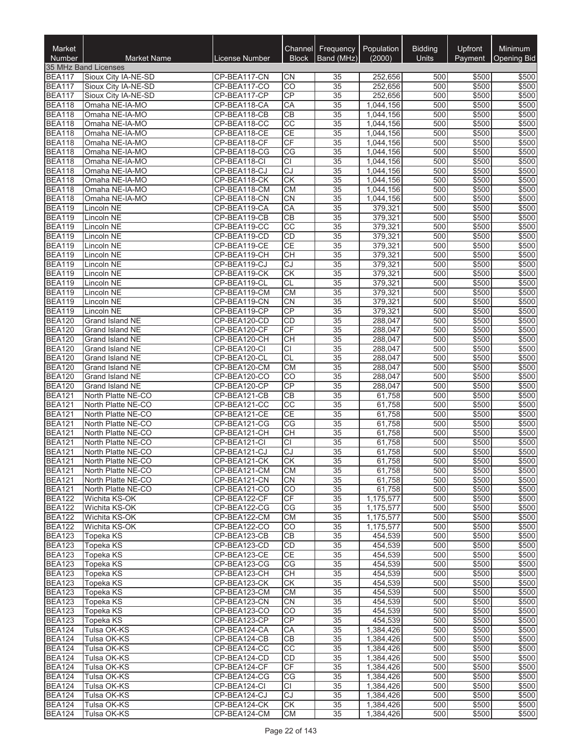| Market<br><b>Number</b>        | <b>Market Name</b>                       | License Number               | Channel<br><b>Block</b> | Frequency<br>Band (MHz) | Population<br>(2000)   | <b>Bidding</b><br><b>Units</b> | Upfront<br>Payment | Minimum<br><b>Opening Bid</b> |
|--------------------------------|------------------------------------------|------------------------------|-------------------------|-------------------------|------------------------|--------------------------------|--------------------|-------------------------------|
|                                | 35 MHz Band Licenses                     |                              |                         |                         |                        |                                |                    |                               |
| <b>BEA117</b>                  | Sioux City IA-NE-SD                      | CP-BEA117-CN                 | CΝ                      | 35                      | 252,656                | 500                            | \$500              | \$500                         |
| <b>BEA117</b>                  | Sioux City IA-NE-SD                      | CP-BEA117-CO                 | CO                      | 35                      | 252,656                | 500                            | \$500              | \$500                         |
| <b>BEA117</b>                  | Sioux City IA-NE-SD                      | CP-BEA117-CP                 | $\overline{CP}$         | 35                      | 252,656                | 500                            | \$500              | \$500                         |
| <b>BEA118</b>                  | Omaha NE-IA-MO                           | CP-BEA118-CA                 | CA                      | 35                      | 1,044,156              | 500                            | \$500              | \$500                         |
| <b>BEA118</b>                  | Omaha NE-IA-MO                           | CP-BEA118-CB                 | CB                      | 35                      | 1,044,156              | 500                            | \$500              | \$500                         |
| <b>BEA118</b>                  | Omaha NE-IA-MO                           | CP-BEA118-CC                 | $\overline{cc}$         | 35                      | 1,044,156              | 500                            | \$500              | \$500                         |
| <b>BEA118</b>                  | Omaha NE-IA-MO                           | CP-BEA118-CE                 | CE                      | $\overline{35}$         | 1,044,156              | 500                            | \$500              | \$500                         |
| <b>BEA118</b>                  | Omaha NE-IA-MO                           | CP-BEA118-CF                 | CF                      | 35                      | 1,044,156              | 500                            | \$500              | \$500                         |
| <b>BEA118</b>                  | Omaha NE-IA-MO                           | CP-BEA118-CG                 | $\overline{\text{CG}}$  | 35                      | 1,044,156              | 500                            | \$500              | \$500                         |
| <b>BEA118</b>                  | Omaha NE-IA-MO                           | CP-BEA118-CI                 | $\overline{CI}$         | 35                      | 1,044,156              | 500<br>500                     | \$500              | \$500                         |
| <b>BEA118</b><br><b>BEA118</b> | Omaha NE-IA-MO<br>Omaha NE-IA-MO         | CP-BEA118-CJ<br>CP-BEA118-CK | CJ<br>$\overline{CK}$   | 35<br>35                | 1,044,156<br>1,044,156 | 500                            | \$500<br>\$500     | \$500<br>\$500                |
| <b>BEA118</b>                  | Omaha NE-IA-MO                           | CP-BEA118-CM                 | <b>CM</b>               | 35                      | 1,044,156              | 500                            | \$500              | \$500                         |
| <b>BEA118</b>                  | Omaha NE-IA-MO                           | CP-BEA118-CN                 | $\overline{\text{CN}}$  | 35                      | 1,044,156              | 500                            | \$500              | \$500                         |
| <b>BEA119</b>                  | Lincoln NE                               | CP-BEA119-CA                 | CA                      | 35                      | 379,321                | 500                            | \$500              | \$500                         |
| <b>BEA119</b>                  | Lincoln NE                               | CP-BEA119-CB                 | CB                      | 35                      | 379,321                | 500                            | \$500              | \$500                         |
| <b>BEA119</b>                  | Lincoln NE                               | CP-BEA119-CC                 | $\overline{CC}$         | 35                      | 379,321                | 500                            | \$500              | \$500                         |
| <b>BEA119</b>                  | Lincoln NE                               | CP-BEA119-CD                 | <b>CD</b>               | 35                      | 379,321                | 500                            | \$500              | \$500                         |
| <b>BEA119</b>                  | Lincoln NE                               | CP-BEA119-CE                 | CE                      | 35                      | 379,321                | 500                            | \$500              | \$500                         |
| <b>BEA119</b>                  | Lincoln NE                               | CP-BEA119-CH                 | <b>CH</b>               | 35                      | 379,321                | 500                            | \$500              | \$500                         |
| <b>BEA119</b>                  | Lincoln NE                               | CP-BEA119-CJ                 | $\overline{CJ}$         | 35                      | 379,321                | 500                            | \$500              | \$500                         |
| <b>BEA119</b>                  | Lincoln NE                               | CP-BEA119-CK                 | CK                      | $\overline{35}$         | 379,321                | 500                            | \$500              | \$500                         |
| <b>BEA119</b>                  | Lincoln NE                               | CP-BEA119-CL                 | CL                      | 35                      | 379,321                | 500                            | \$500              | \$500                         |
| <b>BEA119</b>                  | Lincoln NE                               | CP-BEA119-CM                 | <b>CM</b>               | 35                      | 379,321                | 500                            | \$500              | \$500                         |
| <b>BEA119</b><br><b>BEA119</b> | Lincoln NE<br>Lincoln NE                 | CP-BEA119-CN<br>CP-BEA119-CP | <b>CN</b><br>CP         | 35<br>35                | 379,321<br>379,321     | 500<br>500                     | \$500<br>\$500     | \$500<br>\$500                |
| <b>BEA120</b>                  | Grand Island NE                          | CP-BEA120-CD                 | CD                      | 35                      | 288,047                | 500                            | \$500              | \$500                         |
| <b>BEA120</b>                  | Grand Island NE                          | CP-BEA120-CF                 | CF                      | 35                      | 288,047                | 500                            | \$500              | \$500                         |
| <b>BEA120</b>                  | Grand Island NE                          | CP-BEA120-CH                 | <b>CH</b>               | 35                      | 288,047                | 500                            | \$500              | \$500                         |
| <b>BEA120</b>                  | Grand Island NE                          | CP-BEA120-CI                 | СI                      | 35                      | 288,047                | 500                            | \$500              | \$500                         |
| <b>BEA120</b>                  | Grand Island NE                          | CP-BEA120-CL                 | CL                      | 35                      | 288,047                | 500                            | \$500              | \$500                         |
| <b>BEA120</b>                  | Grand Island NE                          | CP-BEA120-CM                 | <b>CM</b>               | $\overline{35}$         | 288,047                | 500                            | \$500              | \$500                         |
| <b>BEA120</b>                  | Grand Island NE                          | CP-BEA120-CO                 | CO                      | 35                      | 288,047                | 500                            | \$500              | \$500                         |
| <b>BEA120</b>                  | Grand Island NE                          | CP-BEA120-CP                 | $\overline{CP}$         | 35                      | 288,047                | 500                            | \$500              | \$500                         |
| <b>BEA121</b>                  | North Platte NE-CO                       | CP-BEA121-CB                 | CB                      | 35                      | 61,758                 | 500                            | \$500              | \$500                         |
| <b>BEA121</b>                  | North Platte NE-CO                       | CP-BEA121-CC                 | CC                      | 35                      | 61,758                 | 500                            | \$500              | \$500                         |
| <b>BEA121</b>                  | North Platte NE-CO                       | CP-BEA121-CE                 | CE                      | 35                      | 61,758                 | 500                            | \$500              | \$500                         |
| <b>BEA121</b>                  | North Platte NE-CO                       | CP-BEA121-CG                 | CG                      | 35                      | 61,758                 | 500                            | \$500              | \$500                         |
| <b>BEA121</b>                  | North Platte NE-CO                       | CP-BEA121-CH                 | $\overline{CH}$         | $\overline{35}$         | 61,758                 | 500                            | \$500              | \$500                         |
| <b>BEA121</b><br><b>BEA121</b> | North Platte NE-CO<br>North Platte NE-CO | CP-BEA121-CI<br>CP-BEA121-CJ | <b>CI</b><br>CJ         | 35<br>35                | 61,758<br>61,758       | 500<br>500                     | \$500<br>\$500     | \$500<br>\$500                |
| <b>BEA121</b>                  | North Platte NE-CO                       | CP-BEA121-CK                 | $\overline{\text{CK}}$  | $\overline{35}$         | 61,758                 | 500                            | \$500              | \$500                         |
| <b>BEA121</b>                  | North Platte NE-CO                       | CP-BEA121-CM                 | СM                      | 35                      | 61,758                 | 500                            | \$500              | \$500                         |
| <b>BEA121</b>                  | North Platte NE-CO                       | CP-BEA121-CN                 | CN                      | 35                      | 61,758                 | 500                            | \$500              | \$500                         |
| <b>BEA121</b>                  | North Platte NE-CO                       | CP-BEA121-CO                 | CO                      | 35                      | 61,758                 | 500                            | \$500              | \$500                         |
| <b>BEA122</b>                  | Wichita KS-OK                            | CP-BEA122-CF                 | <b>CF</b>               | 35                      | 1,175,577              | 500                            | \$500              | \$500                         |
| <b>BEA122</b>                  | Wichita KS-OK                            | CP-BEA122-CG                 | CG                      | 35                      | 1,175,577              | 500                            | \$500              | \$500                         |
| <b>BEA122</b>                  | Wichita KS-OK                            | CP-BEA122-CM                 | <b>CM</b>               | 35                      | 1,175,577              | 500                            | \$500              | \$500                         |
| <b>BEA122</b>                  | Wichita KS-OK                            | CP-BEA122-CO                 | CO                      | 35                      | 1,175,577              | 500                            | \$500              | \$500                         |
| <b>BEA123</b>                  | Topeka KS                                | CP-BEA123-CB                 | CB                      | 35                      | 454,539                | 500                            | \$500              | \$500                         |
| <b>BEA123</b>                  | Topeka KS                                | CP-BEA123-CD                 | CD                      | 35                      | 454,539                | 500                            | \$500              | \$500                         |
| <b>BEA123</b>                  | Topeka KS                                | CP-BEA123-CE                 | CE                      | 35                      | 454,539                | 500                            | \$500              | \$500                         |
| <b>BEA123</b><br><b>BEA123</b> | Topeka KS<br>Topeka KS                   | CP-BEA123-CG<br>CP-BEA123-CH | СG<br><b>CH</b>         | 35                      | 454,539                | 500<br>500                     | \$500              | \$500                         |
| <b>BEA123</b>                  | Topeka KS                                | CP-BEA123-CK                 | СK                      | 35<br>35                | 454,539<br>454,539     | 500                            | \$500<br>\$500     | \$500<br>\$500                |
| <b>BEA123</b>                  | <b>Topeka KS</b>                         | CP-BEA123-CM                 | <b>CM</b>               | 35                      | 454,539                | 500                            | \$500              | \$500                         |
| <b>BEA123</b>                  | Topeka KS                                | CP-BEA123-CN                 | <b>CN</b>               | 35                      | 454,539                | 500                            | \$500              | \$500                         |
| <b>BEA123</b>                  | <b>Topeka KS</b>                         | CP-BEA123-CO                 | CO                      | 35                      | 454,539                | 500                            | \$500              | \$500                         |
| <b>BEA123</b>                  | Topeka KS                                | CP-BEA123-CP                 | CP                      | 35                      | 454,539                | 500                            | \$500              | \$500                         |
| <b>BEA124</b>                  | Tulsa OK-KS                              | CP-BEA124-CA                 | CA                      | 35                      | 1,384,426              | 500                            | \$500              | \$500                         |
| <b>BEA124</b>                  | Tulsa OK-KS                              | CP-BEA124-CB                 | CB                      | 35                      | 1,384,426              | 500                            | \$500              | \$500                         |
| <b>BEA124</b>                  | Tulsa OK-KS                              | CP-BEA124-CC                 | CC                      | 35                      | 1,384,426              | 500                            | \$500              | \$500                         |
| <b>BEA124</b>                  | Tulsa OK-KS                              | CP-BEA124-CD                 | CD                      | 35                      | 1,384,426              | 500                            | \$500              | \$500                         |
| <b>BEA124</b>                  | Tulsa OK-KS                              | CP-BEA124-CF                 | CF                      | 35                      | 1,384,426              | 500                            | \$500              | \$500                         |
| <b>BEA124</b>                  | Tulsa OK-KS                              | CP-BEA124-CG                 | CG                      | 35                      | 1,384,426              | 500                            | \$500              | \$500                         |
| <b>BEA124</b>                  | Tulsa OK-KS                              | CP-BEA124-CI                 | CI                      | 35                      | 1,384,426              | 500                            | \$500              | \$500                         |
| <b>BEA124</b><br><b>BEA124</b> | Tulsa OK-KS<br>Tulsa OK-KS               | CP-BEA124-CJ<br>CP-BEA124-CK | $\overline{C}$<br>CK    | 35<br>35                | 1,384,426<br>1,384,426 | 500<br>500                     | \$500<br>\$500     | \$500<br>\$500                |
| <b>BEA124</b>                  | Tulsa OK-KS                              | CP-BEA124-CM                 | <b>CM</b>               | 35                      | 1,384,426              | 500                            | \$500              | \$500                         |
|                                |                                          |                              |                         |                         |                        |                                |                    |                               |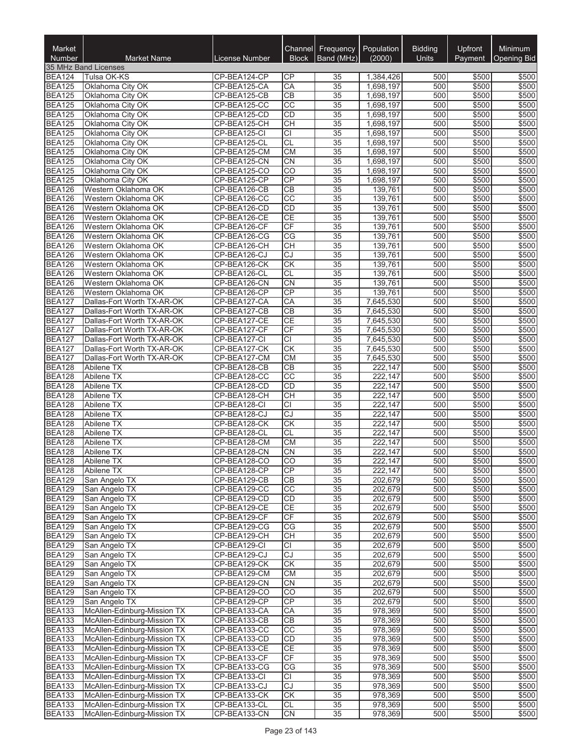| Market<br><b>Number</b>        | <b>Market Name</b>                                         | License Number               | Channel<br><b>Block</b>      | <b>Frequency</b><br>Band (MHz) | Population<br>(2000)   | <b>Bidding</b><br><b>Units</b> | Upfront<br>Payment | Minimum<br><b>Opening Bid</b> |
|--------------------------------|------------------------------------------------------------|------------------------------|------------------------------|--------------------------------|------------------------|--------------------------------|--------------------|-------------------------------|
|                                | 35 MHz Band Licenses                                       |                              |                              |                                |                        |                                |                    |                               |
| <b>BEA124</b>                  | Tulsa OK-KS                                                | CP-BEA124-CP                 | СP                           | 35                             | 1,384,426              | 500                            | \$500              | \$500                         |
| <b>BEA125</b>                  | Oklahoma City OK                                           | CP-BEA125-CA                 | CA                           | 35                             | 1,698,197              | 500                            | \$500              | \$500                         |
| <b>BEA125</b>                  | Oklahoma City OK                                           | CP-BEA125-CB                 | $\overline{CB}$              | 35                             | 1,698,197              | 500                            | \$500              | \$500                         |
| <b>BEA125</b>                  | Oklahoma City OK                                           | CP-BEA125-CC                 | $\overline{CC}$              | 35                             | 1,698,197              | 500                            | \$500              | \$500                         |
| <b>BEA125</b>                  | Oklahoma City OK                                           | CP-BEA125-CD                 | CD                           | 35                             | 1,698,197              | 500                            | \$500              | \$500                         |
| <b>BEA125</b>                  | Oklahoma City OK                                           | CP-BEA125-CH                 | $\overline{CH}$              | 35                             | 1,698,197              | 500                            | \$500              | \$500                         |
| <b>BEA125</b><br><b>BEA125</b> | Oklahoma City OK<br>Oklahoma City OK                       | CP-BEA125-CI<br>CP-BEA125-CL | $\overline{CI}$<br><b>CL</b> | $\overline{35}$<br>35          | 1,698,197              | 500<br>500                     | \$500<br>\$500     | \$500<br>\$500                |
| <b>BEA125</b>                  | Oklahoma City OK                                           | CP-BEA125-CM                 | CM                           | 35                             | 1,698,197<br>1,698,197 | 500                            | \$500              | \$500                         |
| <b>BEA125</b>                  | Oklahoma City OK                                           | CP-BEA125-CN                 | $\overline{CN}$              | 35                             | 1,698,197              | 500                            | \$500              | \$500                         |
| <b>BEA125</b>                  | Oklahoma City OK                                           | CP-BEA125-CO                 | CO                           | 35                             | 1,698,197              | 500                            | \$500              | \$500                         |
| <b>BEA125</b>                  | Oklahoma City OK                                           | CP-BEA125-CP                 | CP                           | 35                             | 1,698,197              | 500                            | \$500              | \$500                         |
| <b>BEA126</b>                  | Western Oklahoma OK                                        | CP-BEA126-CB                 | CB                           | 35                             | 139,761                | 500                            | \$500              | \$500                         |
| <b>BEA126</b>                  | Western Oklahoma OK                                        | CP-BEA126-CC                 | $\overline{cc}$              | 35                             | 139,761                | 500                            | \$500              | \$500                         |
| <b>BEA126</b>                  | Western Oklahoma OK                                        | CP-BEA126-CD                 | CD                           | 35                             | 139,761                | 500                            | \$500              | \$500                         |
| <b>BEA126</b>                  | Western Oklahoma OK                                        | CP-BEA126-CE                 | CE                           | 35                             | 139,761                | 500                            | \$500              | \$500                         |
| <b>BEA126</b>                  | Western Oklahoma OK                                        | CP-BEA126-CF                 | CF                           | 35                             | 139,761                | 500                            | \$500              | \$500                         |
| <b>BEA126</b>                  | Western Oklahoma OK                                        | CP-BEA126-CG                 | CG                           | 35                             | 139,761                | 500                            | \$500              | \$500                         |
| <b>BEA126</b>                  | Western Oklahoma OK                                        | CP-BEA126-CH                 | <b>CH</b>                    | 35                             | 139,761                | 500                            | \$500              | \$500                         |
| <b>BEA126</b>                  | Western Oklahoma OK                                        | CP-BEA126-CJ                 | CJ                           | 35                             | 139,761                | 500                            | \$500              | \$500                         |
| <b>BEA126</b>                  | Western Oklahoma OK                                        | CP-BEA126-CK                 | <b>CK</b>                    | 35                             | 139,761                | 500                            | \$500              | \$500                         |
| <b>BEA126</b>                  | Western Oklahoma OK<br>Western Oklahoma OK                 | CP-BEA126-CL<br>CP-BEA126-CN | CL<br>$\overline{CN}$        | $\overline{35}$<br>35          | 139,761<br>139,761     | 500<br>500                     | \$500<br>\$500     | \$500<br>\$500                |
| <b>BEA126</b><br><b>BEA126</b> | Western Oklahoma OK                                        | CP-BEA126-CP                 | CP                           | 35                             | 139,761                | 500                            | \$500              | \$500                         |
| <b>BEA127</b>                  | Dallas-Fort Worth TX-AR-OK                                 | CP-BEA127-CA                 | CA                           | $\overline{35}$                | 7,645,530              | 500                            | \$500              | \$500                         |
| <b>BEA127</b>                  | Dallas-Fort Worth TX-AR-OK                                 | CP-BEA127-CB                 | $\overline{CB}$              | 35                             | 7,645,530              | 500                            | \$500              | \$500                         |
| <b>BEA127</b>                  | Dallas-Fort Worth TX-AR-OK                                 | CP-BEA127-CE                 | CE                           | 35                             | 7,645,530              | 500                            | \$500              | \$500                         |
| <b>BEA127</b>                  | Dallas-Fort Worth TX-AR-OK                                 | CP-BEA127-CF                 | CF                           | 35                             | 7,645,530              | 500                            | \$500              | \$500                         |
| <b>BEA127</b>                  | Dallas-Fort Worth TX-AR-OK                                 | CP-BEA127-CI                 | $\overline{CI}$              | 35                             | 7,645,530              | 500                            | \$500              | \$500                         |
| <b>BEA127</b>                  | Dallas-Fort Worth TX-AR-OK                                 | CP-BEA127-CK                 | <b>CK</b>                    | 35                             | 7,645,530              | 500                            | \$500              | \$500                         |
| <b>BEA127</b>                  | Dallas-Fort Worth TX-AR-OK                                 | CP-BEA127-CM                 | CM                           | 35                             | 7,645,530              | 500                            | \$500              | \$500                         |
| <b>BEA128</b>                  | Abilene TX                                                 | CP-BEA128-CB                 | $\overline{CB}$              | 35                             | 222,147                | 500                            | \$500              | \$500                         |
| <b>BEA128</b>                  | Abilene TX                                                 | CP-BEA128-CC                 | CC                           | 35                             | 222,147                | 500                            | \$500              | \$500                         |
| <b>BEA128</b>                  | Abilene TX                                                 | CP-BEA128-CD                 | CD                           | 35                             | 222,147                | 500                            | \$500              | \$500                         |
| <b>BEA128</b>                  | Abilene TX                                                 | CP-BEA128-CH                 | <b>CH</b>                    | 35                             | 222,147                | 500                            | \$500              | \$500                         |
| <b>BEA128</b>                  | Abilene TX                                                 | CP-BEA128-CI                 | <b>CI</b><br>$\overline{c}$  | 35                             | 222,147<br>222,147     | 500<br>500                     | \$500<br>\$500     | \$500                         |
| <b>BEA128</b><br><b>BEA128</b> | Abilene TX<br>Abilene TX                                   | CP-BEA128-CJ<br>CP-BEA128-CK | CK                           | 35<br>35                       | 222,147                | 500                            | \$500              | \$500<br>\$500                |
| <b>BEA128</b>                  | <b>Abilene TX</b>                                          | CP-BEA128-CL                 | CL                           | 35                             | 222,147                | 500                            | \$500              | \$500                         |
| <b>BEA128</b>                  | Abilene TX                                                 | CP-BEA128-CM                 | CM                           | 35                             | 222,147                | 500                            | \$500              | \$500                         |
| <b>BEA128</b>                  | Abilene TX                                                 | CP-BEA128-CN                 | CN                           | 35                             | 222,147                | 500                            | \$500              | \$500                         |
| <b>BEA128</b>                  | Abilene TX                                                 | CP-BEA128-CO                 | $\overline{CO}$              | $\overline{35}$                | 222,147                | 500                            | \$500              | \$500                         |
| <b>BEA128</b>                  | Abilene TX                                                 | CP-BEA128-CP                 | CP                           | 35                             | 222,147                | 500                            | \$500              | \$500                         |
| <b>BEA129</b>                  | San Angelo TX                                              | CP-BEA129-CB                 | CB                           | 35                             | 202,679                | 500                            | \$500              | \$500                         |
| <b>BEA129</b>                  | San Angelo TX                                              | CP-BEA129-CC                 | $\overline{CC}$              | 35                             | 202,679                | 500                            | \$500              | \$500                         |
| <b>BEA129</b>                  | San Angelo TX                                              | CP-BEA129-CD                 | <b>CD</b>                    | 35                             | 202,679                | 500                            | \$500              | \$500                         |
| <b>BEA129</b>                  | San Angelo TX                                              | CP-BEA129-CE                 | <b>CE</b>                    | 35                             | 202,679                | 500                            | \$500              | \$500                         |
| <b>BEA129</b>                  | San Angelo TX                                              | CP-BEA129-CF                 | CF                           | 35                             | 202,679                | 500                            | \$500              | \$500                         |
| <b>BEA129</b>                  | San Angelo TX                                              | CP-BEA129-CG                 | CG                           | 35                             | 202,679                | 500                            | \$500              | \$500                         |
| <b>BEA129</b>                  | San Angelo TX                                              | CP-BEA129-CH                 | CН<br>CI                     | 35                             | 202,679                | 500<br>500                     | \$500              | \$500<br>\$500                |
| <b>BEA129</b><br><b>BEA129</b> | San Angelo TX<br>San Angelo TX                             | CP-BEA129-CI<br>CP-BEA129-CJ | CJ                           | 35<br>35                       | 202,679<br>202,679     | 500                            | \$500<br>\$500     | \$500                         |
| <b>BEA129</b>                  | San Angelo TX                                              | CP-BEA129-CK                 | СK                           | 35                             | 202,679                | 500                            | \$500              | \$500                         |
| <b>BEA129</b>                  | San Angelo TX                                              | CP-BEA129-CM                 | <b>CM</b>                    | 35                             | 202,679                | 500                            | \$500              | \$500                         |
| <b>BEA129</b>                  | San Angelo TX                                              | CP-BEA129-CN                 | CN                           | 35                             | 202,679                | 500                            | \$500              | \$500                         |
| <b>BEA129</b>                  | San Angelo TX                                              | CP-BEA129-CO                 | $\overline{CO}$              | 35                             | 202,679                | 500                            | \$500              | \$500                         |
| <b>BEA129</b>                  | San Angelo TX                                              | CP-BEA129-CP                 | CP                           | 35                             | 202,679                | 500                            | \$500              | \$500                         |
| <b>BEA133</b>                  | McAllen-Edinburg-Mission TX                                | CP-BEA133-CA                 | CA                           | 35                             | 978,369                | 500                            | \$500              | \$500                         |
| <b>BEA133</b>                  | McAllen-Edinburg-Mission TX                                | CP-BEA133-CB                 | CB                           | 35                             | 978,369                | 500                            | \$500              | \$500                         |
| <b>BEA133</b>                  | McAllen-Edinburg-Mission TX                                | CP-BEA133-CC                 | CC                           | 35                             | 978,369                | 500                            | \$500              | \$500                         |
| <b>BEA133</b>                  | McAllen-Edinburg-Mission TX                                | CP-BEA133-CD                 | CD                           | 35                             | 978,369                | 500                            | \$500              | \$500                         |
| <b>BEA133</b>                  | McAllen-Edinburg-Mission TX                                | CP-BEA133-CE                 | <b>CE</b>                    | 35                             | 978,369                | 500                            | \$500              | \$500                         |
| <b>BEA133</b>                  | McAllen-Edinburg-Mission TX                                | CP-BEA133-CF                 | CF                           | 35                             | 978,369                | 500                            | \$500              | \$500                         |
| <b>BEA133</b>                  | McAllen-Edinburg-Mission TX                                | CP-BEA133-CG                 | CG                           | $\overline{35}$                | 978,369                | 500                            | \$500              | \$500                         |
| <b>BEA133</b>                  | McAllen-Edinburg-Mission TX                                | CP-BEA133-CI                 | <b>CI</b>                    | 35                             | 978,369                | 500                            | \$500              | \$500                         |
| <b>BEA133</b><br><b>BEA133</b> | McAllen-Edinburg-Mission TX<br>McAllen-Edinburg-Mission TX | CP-BEA133-CJ<br>CP-BEA133-CK | CJ<br>$\overline{\text{CK}}$ | $\overline{35}$<br>35          | 978,369<br>978,369     | 500<br>500                     | \$500<br>\$500     | \$500<br>\$500                |
| <b>BEA133</b>                  | McAllen-Edinburg-Mission TX                                | CP-BEA133-CL                 | CL                           | 35                             | 978,369                | 500                            | \$500              | \$500                         |
| <b>BEA133</b>                  | McAllen-Edinburg-Mission TX                                | CP-BEA133-CN                 | CN                           | 35                             | 978,369                | 500                            | \$500              | \$500                         |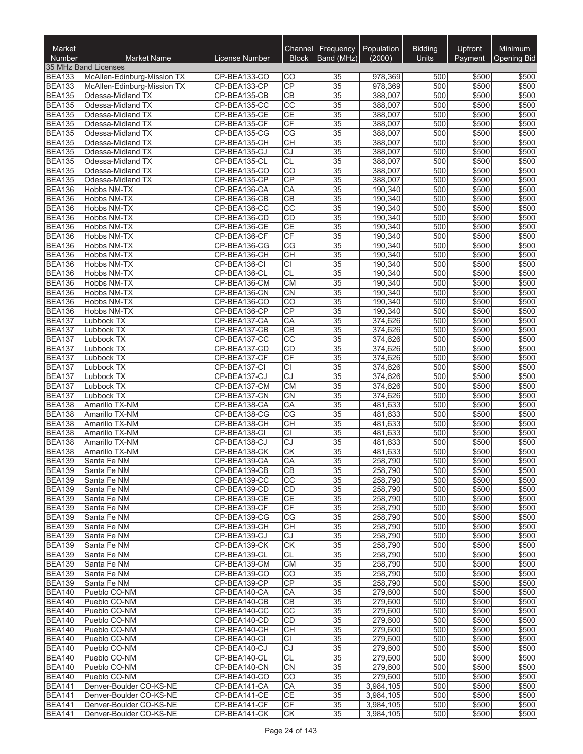| Market<br>Number               | <b>Market Name</b>                     | License Number               | Channel<br><b>Block</b>     | <b>Frequency</b><br>Band (MHz) | Population<br>(2000) | <b>Bidding</b><br><b>Units</b> | <b>Upfront</b> | Minimum<br><b>Opening Bid</b> |
|--------------------------------|----------------------------------------|------------------------------|-----------------------------|--------------------------------|----------------------|--------------------------------|----------------|-------------------------------|
|                                | 35 MHz Band Licenses                   |                              |                             |                                |                      |                                | Payment        |                               |
| <b>BEA133</b>                  | McAllen-Edinburg-Mission TX            | CP-BEA133-CO                 | CО                          | 35                             | 978,369              | 500                            | \$500          | \$500                         |
| <b>BEA133</b>                  | McAllen-Edinburg-Mission TX            | CP-BEA133-CP                 | CP                          | 35                             | 978,369              | 500                            | \$500          | \$500                         |
| <b>BEA135</b>                  | Odessa-Midland TX                      | CP-BEA135-CB                 | $\overline{CB}$             | 35                             | 388,007              | 500                            | \$500          | \$500                         |
| <b>BEA135</b>                  | Odessa-Midland TX                      | CP-BEA135-CC                 | $\overline{CC}$             | 35                             | 388,007              | 500                            | \$500          | \$500                         |
| <b>BEA135</b>                  | Odessa-Midland TX                      | CP-BEA135-CE                 | CE                          | 35                             | 388,007              | 500                            | \$500          | \$500                         |
| <b>BEA135</b>                  | Odessa-Midland TX                      | CP-BEA135-CF                 | $\overline{CF}$             | 35                             | 388,007              | 500                            | \$500          | \$500                         |
| <b>BEA135</b>                  | Odessa-Midland TX                      | CP-BEA135-CG                 | $\overline{\text{CG}}$      | 35                             | 388,007              | 500                            | \$500          | \$500                         |
| <b>BEA135</b><br><b>BEA135</b> | Odessa-Midland TX<br>Odessa-Midland TX | CP-BEA135-CH<br>CP-BEA135-CJ | <b>CH</b><br>$\overline{c}$ | 35<br>$\overline{35}$          | 388,007<br>388,007   | 500<br>500                     | \$500<br>\$500 | \$500<br>\$500                |
| <b>BEA135</b>                  | Odessa-Midland TX                      | CP-BEA135-CL                 | CL                          | 35                             | 388,007              | 500                            | \$500          | \$500                         |
| <b>BEA135</b>                  | Odessa-Midland TX                      | CP-BEA135-CO                 | CO                          | 35                             | 388,007              | 500                            | \$500          | \$500                         |
| <b>BEA135</b>                  | Odessa-Midland TX                      | CP-BEA135-CP                 | CP                          | 35                             | 388,007              | 500                            | \$500          | \$500                         |
| <b>BEA136</b>                  | Hobbs NM-TX                            | CP-BEA136-CA                 | CA                          | $\overline{35}$                | 190,340              | 500                            | \$500          | \$500                         |
| <b>BEA136</b>                  | Hobbs NM-TX                            | CP-BEA136-CB                 | $\overline{CB}$             | $\overline{35}$                | 190,340              | 500                            | \$500          | \$500                         |
| <b>BEA136</b>                  | Hobbs NM-TX                            | CP-BEA136-CC                 | $\overline{cc}$             | 35                             | 190,340              | 500                            | \$500          | \$500                         |
| <b>BEA136</b>                  | Hobbs NM-TX                            | CP-BEA136-CD                 | CD                          | 35                             | 190,340              | 500                            | \$500          | \$500                         |
| <b>BEA136</b>                  | Hobbs NM-TX                            | CP-BEA136-CE                 | CE                          | 35                             | 190,340              | 500                            | \$500          | \$500                         |
| <b>BEA136</b>                  | Hobbs NM-TX                            | CP-BEA136-CF                 | CF                          | 35                             | 190,340              | 500                            | \$500          | \$500                         |
| <b>BEA136</b><br><b>BEA136</b> | Hobbs NM-TX<br>Hobbs NM-TX             | CP-BEA136-CG<br>CP-BEA136-CH | CG<br><b>CH</b>             | 35<br>35                       | 190,340<br>190,340   | 500<br>500                     | \$500<br>\$500 | \$500<br>\$500                |
| <b>BEA136</b>                  | Hobbs NM-TX                            | CP-BEA136-CI                 | $\overline{CI}$             | 35                             | 190,340              | 500                            | \$500          | \$500                         |
| <b>BEA136</b>                  | <b>Hobbs NM-TX</b>                     | CP-BEA136-CL                 | $\overline{CL}$             | $\overline{35}$                | 190,340              | 500                            | \$500          | \$500                         |
| <b>BEA136</b>                  | Hobbs NM-TX                            | CP-BEA136-CM                 | CM                          | $\overline{35}$                | 190,340              | 500                            | \$500          | \$500                         |
| <b>BEA136</b>                  | Hobbs NM-TX                            | CP-BEA136-CN                 | <b>CN</b>                   | 35                             | 190,340              | 500                            | \$500          | \$500                         |
| <b>BEA136</b>                  | Hobbs NM-TX                            | CP-BEA136-CO                 | $\overline{CO}$             | 35                             | 190,340              | 500                            | \$500          | \$500                         |
| <b>BEA136</b>                  | Hobbs NM-TX                            | CP-BEA136-CP                 | CP                          | $\overline{35}$                | 190,340              | 500                            | \$500          | \$500                         |
| <b>BEA137</b>                  | Lubbock TX                             | CP-BEA137-CA                 | CA                          | 35                             | 374,626              | 500                            | \$500          | \$500                         |
| <b>BEA137</b>                  | Lubbock TX                             | CP-BEA137-CB                 | $\overline{CB}$             | 35                             | 374,626              | 500                            | \$500          | \$500                         |
| <b>BEA137</b>                  | Lubbock TX                             | CP-BEA137-CC                 | $\overline{CC}$             | 35                             | 374,626              | 500                            | \$500          | \$500                         |
| <b>BEA137</b>                  | Lubbock TX                             | CP-BEA137-CD                 | CD                          | 35                             | 374,626              | 500                            | \$500          | \$500                         |
| <b>BEA137</b>                  | Lubbock TX                             | CP-BEA137-CF                 | $\overline{CF}$             | 35                             | 374,626              | 500                            | \$500          | \$500                         |
| <b>BEA137</b>                  | Lubbock TX                             | CP-BEA137-CI                 | $\overline{CI}$             | 35                             | 374,626              | 500                            | \$500          | \$500                         |
| <b>BEA137</b><br><b>BEA137</b> | Lubbock TX<br>Lubbock TX               | CP-BEA137-CJ<br>CP-BEA137-CM | $\overline{CJ}$<br>CM       | 35<br>35                       | 374,626<br>374,626   | 500<br>500                     | \$500<br>\$500 | \$500<br>\$500                |
| <b>BEA137</b>                  | Lubbock TX                             | CP-BEA137-CN                 | $\overline{CN}$             | 35                             | 374,626              | 500                            | \$500          | \$500                         |
| <b>BEA138</b>                  | Amarillo TX-NM                         | CP-BEA138-CA                 | CA                          | 35                             | 481,633              | 500                            | \$500          | \$500                         |
| <b>BEA138</b>                  | Amarillo TX-NM                         | CP-BEA138-CG                 | CG                          | 35                             | 481,633              | 500                            | \$500          | \$500                         |
| <b>BEA138</b>                  | Amarillo TX-NM                         | CP-BEA138-CH                 | <b>CH</b>                   | 35                             | 481,633              | 500                            | \$500          | \$500                         |
| <b>BEA138</b>                  | Amarillo TX-NM                         | CP-BEA138-CI                 | $\overline{CI}$             | $\overline{35}$                | 481,633              | 500                            | \$500          | \$500                         |
| <b>BEA138</b>                  | Amarillo TX-NM                         | CP-BEA138-CJ                 | CJ                          | 35                             | 481,633              | 500                            | \$500          | \$500                         |
| <b>BEA138</b>                  | Amarillo TX-NM                         | CP-BEA138-CK                 | <b>CK</b>                   | 35                             | 481,633              | 500                            | \$500          | \$500                         |
| <b>BEA139</b>                  | Santa Fe NM                            | CP-BEA139-CA                 | CA                          | $\overline{35}$                | 258,790              | 500                            | \$500          | \$500                         |
| <b>BEA139</b>                  | Santa Fe NM                            | CP-BEA139-CB                 | CВ                          | 35                             | 258,790              | 500                            | \$500          | \$500                         |
| <b>BEA139</b>                  | Santa Fe NM                            | CP-BEA139-CC                 | CC                          | 35                             | 258,790              | 500                            | \$500          | \$500                         |
| <b>BEA139</b><br><b>BEA139</b> | Santa Fe NM<br>Santa Fe NM             | CP-BEA139-CD<br>CP-BEA139-CE | <b>CD</b><br><b>CE</b>      | 35<br>35                       | 258,790<br>258,790   | 500<br>500                     | \$500<br>\$500 | \$500<br>\$500                |
| <b>BEA139</b>                  | Santa Fe NM                            | CP-BEA139-CF                 | CF                          | 35                             | 258,790              | 500                            | \$500          | \$500                         |
| <b>BEA139</b>                  | Santa Fe NM                            | CP-BEA139-CG                 | CG                          | 35                             | 258,790              | 500                            | \$500          | \$500                         |
| <b>BEA139</b>                  | Santa Fe NM                            | CP-BEA139-CH                 | <b>CH</b>                   | 35                             | 258,790              | 500                            | \$500          | \$500                         |
| <b>BEA139</b>                  | Santa Fe NM                            | CP-BEA139-CJ                 | CJ                          | 35                             | 258,790              | 500                            | \$500          | \$500                         |
| <b>BEA139</b>                  | Santa Fe NM                            | CP-BEA139-CK                 | CK                          | 35                             | 258,790              | 500                            | \$500          | \$500                         |
| <b>BEA139</b>                  | Santa Fe NM                            | CP-BEA139-CL                 | <b>CL</b>                   | 35                             | 258,790              | 500                            | \$500          | \$500                         |
| <b>BEA139</b>                  | Santa Fe NM                            | CP-BEA139-CM                 | <b>CM</b>                   | 35                             | 258,790              | 500                            | \$500          | \$500                         |
| <b>BEA139</b>                  | Santa Fe NM                            | CP-BEA139-CO                 | CO                          | 35                             | 258,790              | 500                            | \$500          | \$500                         |
| <b>BEA139</b>                  | Santa Fe NM                            | CP-BEA139-CP                 | <b>CP</b>                   | 35                             | 258,790              | 500                            | \$500          | \$500                         |
| <b>BEA140</b>                  | Pueblo CO-NM                           | CP-BEA140-CA                 | CA                          | 35                             | 279,600              | 500                            | \$500          | \$500                         |
| <b>BEA140</b>                  | Pueblo CO-NM                           | CP-BEA140-CB                 | CB                          | 35                             | 279,600              | 500                            | \$500          | \$500                         |
| <b>BEA140</b><br><b>BEA140</b> | Pueblo CO-NM<br>Pueblo CO-NM           | CP-BEA140-CC<br>CP-BEA140-CD | CC<br><b>CD</b>             | 35<br>35                       | 279,600<br>279,600   | 500<br>500                     | \$500<br>\$500 | \$500<br>\$500                |
| <b>BEA140</b>                  | Pueblo CO-NM                           | CP-BEA140-CH                 | CН                          | 35                             | 279,600              | 500                            | \$500          | \$500                         |
| <b>BEA140</b>                  | Pueblo CO-NM                           | CP-BEA140-CI                 | СI                          | 35                             | 279,600              | 500                            | \$500          | \$500                         |
| <b>BEA140</b>                  | Pueblo CO-NM                           | CP-BEA140-CJ                 | CJ                          | 35                             | 279,600              | 500                            | \$500          | \$500                         |
| <b>BEA140</b>                  | Pueblo CO-NM                           | CP-BEA140-CL                 | <b>CL</b>                   | 35                             | 279,600              | 500                            | \$500          | \$500                         |
| <b>BEA140</b>                  | Pueblo CO-NM                           | CP-BEA140-CN                 | CN                          | 35                             | 279,600              | 500                            | \$500          | \$500                         |
| <b>BEA140</b>                  | Pueblo CO-NM                           | CP-BEA140-CO                 | CO                          | 35                             | 279,600              | 500                            | \$500          | \$500                         |
| <b>BEA141</b>                  | Denver-Boulder CO-KS-NE                | CP-BEA141-CA                 | CA                          | 35                             | 3,984,105            | 500                            | \$500          | \$500                         |
| <b>BEA141</b>                  | Denver-Boulder CO-KS-NE                | CP-BEA141-CE                 | <b>CE</b>                   | 35                             | 3,984,105            | 500                            | \$500          | \$500                         |
| <b>BEA141</b>                  | Denver-Boulder CO-KS-NE                | CP-BEA141-CF                 | CF                          | 35                             | 3,984,105            | 500                            | \$500          | \$500                         |
| <b>BEA141</b>                  | Denver-Boulder CO-KS-NE                | CP-BEA141-CK                 | СK                          | 35                             | 3,984,105            | 500                            | \$500          | \$500                         |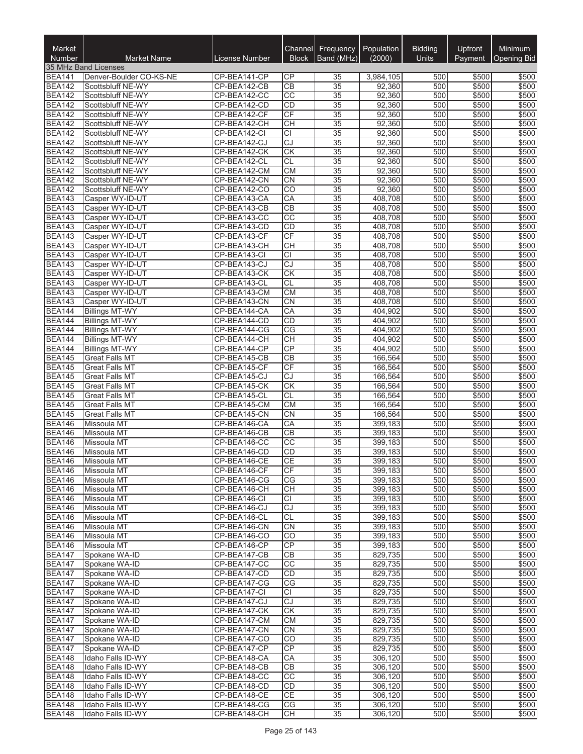| Market<br>Number               | <b>Market Name</b>                       | License Number               | Channel<br><b>Block</b> | <b>Frequency</b><br>Band (MHz) | Population<br>(2000) | <b>Bidding</b><br><b>Units</b> | Upfront<br>Payment | Minimum<br><b>Opening Bid</b> |
|--------------------------------|------------------------------------------|------------------------------|-------------------------|--------------------------------|----------------------|--------------------------------|--------------------|-------------------------------|
|                                | 35 MHz Band Licenses                     |                              |                         |                                |                      |                                |                    |                               |
| <b>BEA141</b>                  | Denver-Boulder CO-KS-NE                  | CP-BEA141-CP                 | СP                      | 35                             | 3,984,105            | 500                            | \$500              | \$500                         |
| <b>BEA142</b>                  | Scottsbluff NE-WY                        | CP-BEA142-CB                 | CB                      | 35                             | 92,360               | 500                            | \$500              | \$500                         |
| <b>BEA142</b>                  | Scottsbluff NE-WY                        | CP-BEA142-CC                 | $\overline{cc}$         | 35                             | 92,360               | 500                            | \$500              | \$500                         |
| <b>BEA142</b>                  | Scottsbluff NE-WY                        | CP-BEA142-CD                 | CD                      | 35                             | 92,360               | 500                            | \$500              | \$500                         |
| <b>BEA142</b>                  | Scottsbluff NE-WY                        | CP-BEA142-CF                 | <b>CF</b>               | 35                             | 92,360               | 500                            | \$500              | \$500                         |
| <b>BEA142</b>                  | Scottsbluff NE-WY                        | CP-BEA142-CH                 | $\overline{CH}$         | 35                             | 92,360               | 500                            | \$500              | \$500                         |
| <b>BEA142</b>                  | Scottsbluff NE-WY                        | CP-BEA142-CI                 | CI                      | $\overline{35}$                | 92,360               | 500                            | \$500              | \$500                         |
| <b>BEA142</b>                  | Scottsbluff NE-WY                        | CP-BEA142-CJ                 | CJ                      | 35                             | 92,360               | 500                            | \$500              | \$500                         |
| <b>BEA142</b>                  | Scottsbluff NE-WY                        | CP-BEA142-CK                 | $\overline{\text{CK}}$  | $\overline{35}$                | 92,360               | 500                            | \$500              | \$500                         |
| <b>BEA142</b><br><b>BEA142</b> | Scottsbluff NE-WY                        | CP-BEA142-CL                 | CL<br><b>CM</b>         | 35                             | 92,360               | 500<br>500                     | \$500              | \$500                         |
| <b>BEA142</b>                  | Scottsbluff NE-WY<br>Scottsbluff NE-WY   | CP-BEA142-CM<br>CP-BEA142-CN | <b>CN</b>               | 35<br>35                       | 92,360<br>92,360     | 500                            | \$500<br>\$500     | \$500<br>\$500                |
| <b>BEA142</b>                  | Scottsbluff NE-WY                        | CP-BEA142-CO                 | CO                      | 35                             | 92,360               | 500                            | \$500              | \$500                         |
| <b>BEA143</b>                  | Casper WY-ID-UT                          | CP-BEA143-CA                 | CA                      | 35                             | 408,708              | 500                            | \$500              | \$500                         |
| <b>BEA143</b>                  | Casper WY-ID-UT                          | CP-BEA143-CB                 | $\overline{CB}$         | 35                             | 408,708              | 500                            | \$500              | \$500                         |
| <b>BEA143</b>                  | Casper WY-ID-UT                          | CP-BEA143-CC                 | CC                      | 35                             | 408,708              | 500                            | \$500              | \$500                         |
| <b>BEA143</b>                  | Casper WY-ID-UT                          | CP-BEA143-CD                 | CD                      | 35                             | 408,708              | 500                            | \$500              | \$500                         |
| <b>BEA143</b>                  | Casper WY-ID-UT                          | CP-BEA143-CF                 | CF                      | 35                             | 408.708              | 500                            | \$500              | \$500                         |
| <b>BEA143</b>                  | Casper WY-ID-UT                          | CP-BEA143-CH                 | <b>CH</b>               | 35                             | 408,708              | 500                            | \$500              | \$500                         |
| <b>BEA143</b>                  | Casper WY-ID-UT                          | CP-BEA143-CI                 | <b>CI</b>               | 35                             | 408,708              | 500                            | \$500              | \$500                         |
| <b>BEA143</b>                  | Casper WY-ID-UT                          | CP-BEA143-CJ                 | $\overline{\text{CJ}}$  | 35                             | 408,708              | 500                            | \$500              | \$500                         |
| <b>BEA143</b>                  | Casper WY-ID-UT                          | CP-BEA143-CK                 | CK                      | $\overline{35}$                | 408,708              | 500                            | \$500              | \$500                         |
| <b>BEA143</b>                  | Casper WY-ID-UT                          | CP-BEA143-CL                 | CL                      | 35                             | 408,708              | 500                            | \$500              | \$500                         |
| <b>BEA143</b>                  | Casper WY-ID-UT                          | CP-BEA143-CM                 | <b>CM</b>               | 35                             | 408,708              | 500                            | \$500              | \$500                         |
| <b>BEA143</b><br><b>BEA144</b> | Casper WY-ID-UT<br><b>Billings MT-WY</b> | CP-BEA143-CN<br>CP-BEA144-CA | <b>CN</b><br>CA         | 35<br>35                       | 408,708<br>404,902   | 500<br>500                     | \$500<br>\$500     | \$500<br>\$500                |
| <b>BEA144</b>                  | <b>Billings MT-WY</b>                    | CP-BEA144-CD                 | CD                      | 35                             | 404,902              | 500                            | \$500              | \$500                         |
| <b>BEA144</b>                  | <b>Billings MT-WY</b>                    | CP-BEA144-CG                 | CG                      | 35                             | 404,902              | 500                            | \$500              | \$500                         |
| <b>BEA144</b>                  | <b>Billings MT-WY</b>                    | CP-BEA144-CH                 | <b>CH</b>               | 35                             | 404,902              | 500                            | \$500              | \$500                         |
| <b>BEA144</b>                  | <b>Billings MT-WY</b>                    | CP-BEA144-CP                 | <b>CP</b>               | 35                             | 404,902              | 500                            | \$500              | \$500                         |
| <b>BEA145</b>                  | <b>Great Falls MT</b>                    | CP-BEA145-CB                 | $\overline{CB}$         | 35                             | 166,564              | 500                            | \$500              | \$500                         |
| <b>BEA145</b>                  | <b>Great Falls MT</b>                    | CP-BEA145-CF                 | CF                      | 35                             | 166,564              | 500                            | \$500              | \$500                         |
| <b>BEA145</b>                  | <b>Great Falls MT</b>                    | CP-BEA145-CJ                 | CJ                      | 35                             | 166,564              | 500                            | \$500              | \$500                         |
| <b>BEA145</b>                  | <b>Great Falls MT</b>                    | CP-BEA145-CK                 | $\overline{\text{CK}}$  | 35                             | 166,564              | 500                            | \$500              | \$500                         |
| <b>BEA145</b>                  | <b>Great Falls MT</b>                    | CP-BEA145-CL                 | CL                      | 35                             | 166,564              | 500                            | \$500              | \$500                         |
| <b>BEA145</b>                  | <b>Great Falls MT</b>                    | CP-BEA145-CM                 | <b>CM</b>               | 35                             | 166,564              | 500                            | \$500              | \$500                         |
| <b>BEA145</b>                  | <b>Great Falls MT</b>                    | CP-BEA145-CN                 | <b>CN</b>               | 35                             | 166,564              | 500                            | \$500              | \$500                         |
| <b>BEA146</b>                  | Missoula MT                              | CP-BEA146-CA                 | CA                      | 35                             | 399,183              | 500                            | \$500              | \$500                         |
| <b>BEA146</b>                  | Missoula MT                              | CP-BEA146-CB                 | $\overline{CB}$         | $\overline{35}$                | 399,183              | 500                            | \$500              | \$500                         |
| <b>BEA146</b><br><b>BEA146</b> | Missoula MT<br>Missoula MT               | CP-BEA146-CC<br>CP-BEA146-CD | $\overline{CC}$<br>CD   | 35<br>35                       | 399,183<br>399,183   | 500<br>500                     | \$500<br>\$500     | \$500<br>\$500                |
| <b>BEA146</b>                  | Missoula MT                              | CP-BEA146-CE                 | CE                      | $\overline{35}$                | 399,183              | 500                            | \$500              | \$500                         |
| <b>BEA146</b>                  | Missoula MT                              | CP-BEA146-CF                 | CF                      | 35                             | 399,183              | 500                            | \$500              | \$500                         |
| <b>BEA146</b>                  | Missoula MT                              | CP-BEA146-CG                 | СG                      | 35                             | 399,183              | 500                            | \$500              | \$500                         |
| <b>BEA146</b>                  | Missoula MT                              | CP-BEA146-CH                 | <b>CH</b>               | 35                             | 399,183              | 500                            | \$500              | \$500                         |
| <b>BEA146</b>                  | Missoula MT                              | CP-BEA146-CI                 | CI                      | 35                             | 399,183              | 500                            | \$500              | \$500                         |
| <b>BEA146</b>                  | Missoula MT                              | CP-BEA146-CJ                 | <b>CJ</b>               | 35                             | 399,183              | 500                            | \$500              | \$500                         |
| <b>BEA146</b>                  | Missoula MT                              | CP-BEA146-CL                 | CL                      | 35                             | 399,183              | 500                            | \$500              | \$500                         |
| <b>BEA146</b>                  | Missoula MT                              | CP-BEA146-CN                 | <b>CN</b>               | 35                             | 399,183              | 500                            | \$500              | \$500                         |
| <b>BEA146</b>                  | Missoula MT                              | CP-BEA146-CO                 | CO                      | 35                             | 399,183              | 500                            | \$500              | \$500                         |
| <b>BEA146</b>                  | Missoula MT                              | CP-BEA146-CP                 | CP                      | 35                             | 399,183              | 500                            | \$500              | \$500                         |
| <b>BEA147</b>                  | Spokane WA-ID                            | CP-BEA147-CB                 | CB                      | 35                             | 829,735              | 500                            | \$500              | \$500                         |
| <b>BEA147</b>                  | Spokane WA-ID                            | CP-BEA147-CC                 | CC                      | 35                             | 829,735              | 500                            | \$500              | \$500                         |
| <b>BEA147</b>                  | Spokane WA-ID                            | CP-BEA147-CD                 | <b>CD</b>               | 35                             | 829,735              | 500                            | \$500              | \$500                         |
| <b>BEA147</b><br><b>BEA147</b> | Spokane WA-ID<br>Spokane WA-ID           | CP-BEA147-CG<br>CP-BEA147-CI | CG<br>CI                | 35<br>35                       | 829,735<br>829,735   | 500<br>500                     | \$500<br>\$500     | \$500<br>\$500                |
| <b>BEA147</b>                  | Spokane WA-ID                            | CP-BEA147-CJ                 | CJ                      | 35                             | 829,735              | 500                            | \$500              | \$500                         |
| <b>BEA147</b>                  | Spokane WA-ID                            | CP-BEA147-CK                 | <b>CK</b>               | 35                             | 829,735              | 500                            | \$500              | \$500                         |
| <b>BEA147</b>                  | Spokane WA-ID                            | CP-BEA147-CM                 | <b>CM</b>               | 35                             | 829,735              | 500                            | \$500              | \$500                         |
| <b>BEA147</b>                  | Spokane WA-ID                            | CP-BEA147-CN                 | <b>CN</b>               | 35                             | 829,735              | 500                            | \$500              | \$500                         |
| <b>BEA147</b>                  | Spokane WA-ID                            | CP-BEA147-CO                 | CO                      | 35                             | 829,735              | 500                            | \$500              | \$500                         |
| <b>BEA147</b>                  | Spokane WA-ID                            | CP-BEA147-CP                 | CP                      | 35                             | 829,735              | 500                            | \$500              | \$500                         |
| <b>BEA148</b>                  | Idaho Falls ID-WY                        | CP-BEA148-CA                 | CA                      | 35                             | 306,120              | 500                            | \$500              | \$500                         |
| <b>BEA148</b>                  | Idaho Falls ID-WY                        | CP-BEA148-CB                 | $\overline{CB}$         | $\overline{35}$                | 306,120              | 500                            | \$500              | \$500                         |
| <b>BEA148</b>                  | Idaho Falls ID-WY                        | CP-BEA148-CC                 | CC                      | 35                             | 306,120              | 500                            | \$500              | \$500                         |
| <b>BEA148</b>                  | Idaho Falls ID-WY                        | CP-BEA148-CD                 | CD                      | 35                             | 306,120              | 500                            | \$500              | \$500                         |
| <b>BEA148</b>                  | Idaho Falls ID-WY                        | CP-BEA148-CE                 | CE                      | 35                             | 306,120              | 500                            | \$500              | \$500                         |
| <b>BEA148</b>                  | Idaho Falls ID-WY                        | CP-BEA148-CG                 | CG                      | 35                             | 306,120              | 500<br>500                     | \$500              | \$500                         |
| <b>BEA148</b>                  | Idaho Falls ID-WY                        | CP-BEA148-CH                 | CH                      | 35                             | 306,120              |                                | \$500              | \$500                         |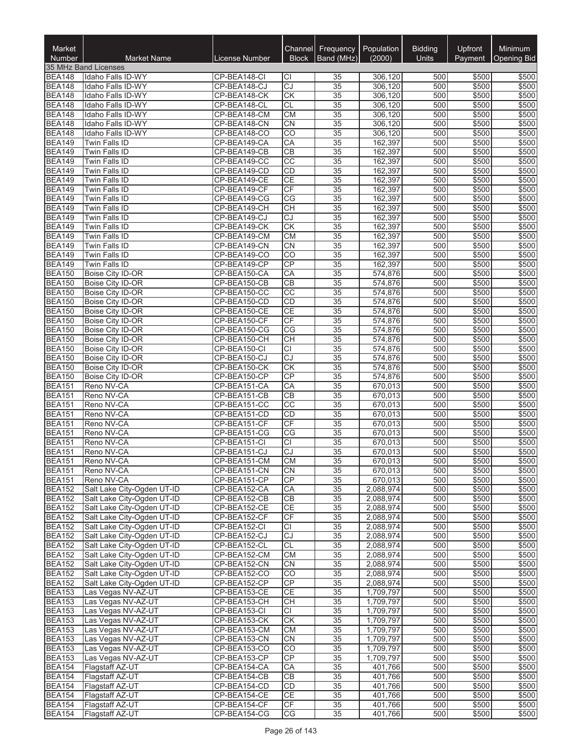| Market<br><b>Number</b>        | <b>Market Name</b>                                       | <b>License Number</b>        | Channel         | Block   Band (MHz)                 | Frequency   Population<br>(2000) | <b>Bidding</b><br><b>Units</b> | Upfront        | Minimum<br>Payment   Opening Bid |
|--------------------------------|----------------------------------------------------------|------------------------------|-----------------|------------------------------------|----------------------------------|--------------------------------|----------------|----------------------------------|
|                                | 35 MHz Band Licenses                                     |                              |                 |                                    |                                  |                                |                |                                  |
| <b>BEA148</b>                  | Idaho Falls ID-WY                                        | CP-BEA148-CI                 | СI              | 35                                 | 306,120                          | 500                            | \$500          | \$500                            |
| <b>BEA148</b>                  | Idaho Falls ID-WY                                        | CP-BEA148-CJ                 | CJ              | $\overline{35}$                    | 306.120                          | 500                            | \$500          | \$500                            |
| <b>BEA148</b>                  | Idaho Falls ID-WY                                        | CP-BEA148-CK                 | CK<br><b>CL</b> | $\overline{35}$<br>$\overline{35}$ | 306,120<br>306.120               | 500<br>500                     | \$500<br>\$500 | \$500<br>\$500                   |
| <b>BEA148</b><br><b>BEA148</b> | Idaho Falls ID-WY<br>Idaho Falls ID-WY                   | CP-BEA148-CL<br>CP-BEA148-CM | <b>CM</b>       | $\overline{35}$                    | 306,120                          | 500                            | \$500          | \$500                            |
| <b>BEA148</b>                  | Idaho Falls ID-WY                                        | CP-BEA148-CN                 | <b>CN</b>       | $\overline{35}$                    | 306,120                          | 500                            | \$500          | \$500                            |
| <b>BEA148</b>                  | Idaho Falls ID-WY                                        | CP-BEA148-CO                 | $\overline{CO}$ | 35                                 | 306,120                          | 500                            | \$500          | \$500                            |
| <b>BEA149</b>                  | Twin Falls ID                                            | CP-BEA149-CA                 | CA              | 35                                 | 162,397                          | 500                            | \$500          | \$500                            |
| <b>BEA149</b>                  | Twin Falls ID                                            | CP-BEA149-CB                 | <b>CB</b>       | 35                                 | 162,397                          | 500                            | \$500          | \$500                            |
| <b>BEA149</b>                  | Twin Falls ID                                            | CP-BEA149-CC                 | $\overline{CC}$ | $\overline{35}$                    | 162,397                          | 500                            | \$500          | \$500                            |
| <b>BEA149</b>                  | Twin Falls ID                                            | CP-BEA149-CD                 | CD              | $\overline{35}$                    | 162,397                          | 500                            | \$500          | \$500                            |
| <b>BEA149</b>                  | Twin Falls ID                                            | CP-BEA149-CE                 | <b>CE</b>       | $\overline{35}$                    | 162,397                          | 500                            | \$500          | \$500                            |
| <b>BEA149</b>                  | <b>Twin Falls ID</b>                                     | CP-BEA149-CF                 | CF              | $\overline{35}$                    | 162,397                          | 500                            | \$500          | \$500                            |
| <b>BEA149</b>                  | Twin Falls ID                                            | CP-BEA149-CG                 | CG              | $\overline{35}$                    | 162,397                          | 500                            | \$500          | \$500                            |
| <b>BEA149</b>                  | Twin Falls ID                                            | CP-BEA149-CH                 | <b>CH</b><br>CJ | $\overline{35}$                    | 162,397                          | 500                            | \$500          | \$500                            |
| <b>BEA149</b><br><b>BEA149</b> | Twin Falls ID<br>Twin Falls ID                           | CP-BEA149-CJ<br>CP-BEA149-CK | CK              | 35<br>$\overline{35}$              | 162,397<br>162,397               | 500<br>500                     | \$500<br>\$500 | \$500<br>\$500                   |
| <b>BEA149</b>                  | Twin Falls ID                                            | CP-BEA149-CM                 | CM              | $\overline{35}$                    | 162,397                          | 500                            | \$500          | \$500                            |
| <b>BEA149</b>                  | Twin Falls ID                                            | CP-BEA149-CN                 | <b>CN</b>       | $\overline{35}$                    | 162,397                          | 500                            | \$500          | \$500                            |
| <b>BEA149</b>                  | Twin Falls ID                                            | CP-BEA149-CO                 | $\overline{CO}$ | $\overline{35}$                    | 162,397                          | 500                            | \$500          | \$500                            |
| <b>BEA149</b>                  | Twin Falls ID                                            | CP-BEA149-CP                 | CP              | $\overline{35}$                    | 162,397                          | 500                            | \$500          | \$500                            |
| <b>BEA150</b>                  | Boise City ID-OR                                         | CP-BEA150-CA                 | CA              | $\overline{35}$                    | 574,876                          | 500                            | \$500          | \$500                            |
| <b>BEA150</b>                  | Boise City ID-OR                                         | CP-BEA150-CB                 | <b>CB</b>       | 35                                 | 574,876                          | 500                            | \$500          | \$500                            |
| <b>BEA150</b>                  | Boise City ID-OR                                         | CP-BEA150-CC                 | CC              | 35                                 | 574,876                          | 500                            | \$500          | \$500                            |
| <b>BEA150</b>                  | <b>Boise City ID-OR</b>                                  | CP-BEA150-CD                 | <b>CD</b>       | 35                                 | 574,876                          | 500                            | \$500          | \$500                            |
| <b>BEA150</b>                  | <b>Boise City ID-OR</b>                                  | CP-BEA150-CE                 | <b>CE</b>       | $\overline{35}$                    | 574,876                          | 500                            | \$500          | \$500                            |
| <b>BEA150</b>                  | Boise City ID-OR                                         | CP-BEA150-CF                 | CF              | $\overline{35}$                    | 574,876                          | 500                            | \$500          | \$500                            |
| <b>BEA150</b>                  | Boise City ID-OR                                         | CP-BEA150-CG                 | $\overline{CG}$ | $\overline{35}$                    | 574,876                          | 500                            | \$500          | \$500                            |
| <b>BEA150</b>                  | Boise City ID-OR                                         | CP-BEA150-CH                 | <b>CH</b>       | $\overline{35}$                    | 574,876                          | 500                            | \$500          | \$500                            |
| <b>BEA150</b>                  | Boise City ID-OR                                         | CP-BEA150-CI                 | CI              | $\overline{35}$                    | 574,876                          | 500                            | \$500          | \$500                            |
| <b>BEA150</b><br><b>BEA150</b> | Boise City ID-OR<br>Boise City ID-OR                     | CP-BEA150-CJ<br>CP-BEA150-CK | CJ<br><b>CK</b> | $\overline{35}$<br>35              | 574,876<br>574,876               | 500<br>500                     | \$500<br>\$500 | \$500<br>\$500                   |
| <b>BEA150</b>                  | Boise City ID-OR                                         | CP-BEA150-CP                 | CP              | 35                                 | 574,876                          | 500                            | \$500          | \$500                            |
| <b>BEA151</b>                  | Reno NV-CA                                               | CP-BEA151-CA                 | CA              | 35                                 | 670,013                          | 500                            | \$500          | \$500                            |
| <b>BEA151</b>                  | Reno NV-CA                                               | CP-BEA151-CB                 | $\overline{CB}$ | $\overline{35}$                    | 670,013                          | 500                            | \$500          | \$500                            |
| <b>BEA151</b>                  | Reno NV-CA                                               | CP-BEA151-CC                 | $\overline{CC}$ | $\overline{35}$                    | 670,013                          | 500                            | \$500          | \$500                            |
| <b>BEA151</b>                  | Reno NV-CA                                               | CP-BEA151-CD                 | CD              | $\overline{35}$                    | 670,013                          | 500                            | \$500          | \$500                            |
| <b>BEA151</b>                  | Reno NV-CA                                               | CP-BEA151-CF                 | CF              | $\overline{35}$                    | 670,013                          | 500                            | \$500          | \$500                            |
| <b>BEA151</b>                  | Reno NV-CA                                               | CP-BEA151-CG                 | CG              | $\overline{35}$                    | 670,013                          | 500                            | \$500          | \$500                            |
| <b>BEA151</b>                  | Reno NV-CA                                               | CP-BEA151-CI                 | <b>CI</b>       | 35                                 | 670,013                          | 500                            | \$500          | \$500                            |
| <b>BEA151</b>                  | Reno NV-CA                                               | CP-BEA151-CJ                 | <b>CJ</b>       | 35                                 | 670,013                          | 500                            | \$500          | \$500                            |
| <b>BEA151</b>                  | Reno NV-CA                                               | CP-BEA151-CM                 | <b>CM</b>       | $\overline{35}$                    | 670,013                          | 500                            | \$500          | \$500                            |
| <b>BEA151</b>                  | Reno NV-CA                                               | CP-BEA151-CN                 | CN              | 35                                 | 670.013                          | 500                            | \$500          | \$500                            |
| <b>BEA151</b>                  | Reno NV-CA                                               | CP-BEA151-CP                 | CP              | 35                                 | 670,013                          | 500                            | \$500          | \$500                            |
| <b>BEA152</b>                  | Salt Lake City-Ogden UT-ID<br>Salt Lake City-Ogden UT-ID | CP-BEA152-CA                 | CA<br><b>CB</b> | 35<br>35                           | 2,088,974<br>2,088,974           | 500                            | \$500          | \$500<br>\$500                   |
| <b>BEA152</b><br><b>BEA152</b> | Salt Lake City-Ogden UT-ID                               | CP-BEA152-CB<br>CP-BEA152-CE | <b>CE</b>       | 35                                 | 2,088,974                        | 500<br>500                     | \$500<br>\$500 | \$500                            |
| <b>BEA152</b>                  | Salt Lake City-Ogden UT-ID                               | CP-BEA152-CF                 | CF              | 35                                 | 2,088,974                        | 500                            | \$500          | \$500                            |
| <b>BEA152</b>                  | Salt Lake City-Ogden UT-ID                               | CP-BEA152-CI                 | СI              | 35                                 | 2,088,974                        | 500                            | \$500          | \$500                            |
| <b>BEA152</b>                  | Salt Lake City-Ogden UT-ID                               | CP-BEA152-CJ                 | CJ              | 35                                 | 2,088,974                        | 500                            | \$500          | \$500                            |
| <b>BEA152</b>                  | Salt Lake City-Ogden UT-ID                               | CP-BEA152-CL                 | <b>CL</b>       | $\overline{35}$                    | 2,088,974                        | 500                            | \$500          | \$500                            |
| <b>BEA152</b>                  | Salt Lake City-Ogden UT-ID                               | CP-BEA152-CM                 | СM              | 35                                 | 2,088,974                        | 500                            | \$500          | \$500                            |
| <b>BEA152</b>                  | Salt Lake City-Ogden UT-ID                               | CP-BEA152-CN                 | <b>CN</b>       | $\overline{35}$                    | 2,088,974                        | 500                            | \$500          | \$500                            |
| <b>BEA152</b>                  | Salt Lake City-Ogden UT-ID                               | CP-BEA152-CO                 | CO              | 35                                 | 2,088,974                        | 500                            | \$500          | \$500                            |
| <b>BEA152</b>                  | Salt Lake City-Ogden UT-ID                               | CP-BEA152-CP                 | CP              | 35                                 | 2,088,974                        | 500                            | \$500          | \$500                            |
| <b>BEA153</b>                  | Las Vegas NV-AZ-UT                                       | CP-BEA153-CE                 | <b>CE</b>       | 35                                 | 1,709,797                        | 500                            | \$500          | \$500                            |
| <b>BEA153</b>                  | Las Vegas NV-AZ-UT                                       | CP-BEA153-CH                 | CН              | 35                                 | 1,709,797                        | 500                            | \$500          | \$500                            |
| <b>BEA153</b>                  | Las Vegas NV-AZ-UT                                       | CP-BEA153-CI                 | СI              | 35                                 | 1,709,797                        | 500                            | \$500          | \$500                            |
| <b>BEA153</b>                  | Las Vegas NV-AZ-UT                                       | CP-BEA153-CK                 | <b>CK</b>       | 35                                 | 1,709,797                        | 500                            | \$500          | \$500                            |
| <b>BEA153</b>                  | Las Vegas NV-AZ-UT                                       | CP-BEA153-CM                 | <b>CM</b>       | 35                                 | 1,709,797                        | 500                            | \$500          | \$500                            |
| <b>BEA153</b><br><b>BEA153</b> | Las Vegas NV-AZ-UT<br>Las Vegas NV-AZ-UT                 | CP-BEA153-CN<br>CP-BEA153-CO | <b>CN</b><br>CO | 35<br>35                           | 1,709,797<br>1,709,797           | 500<br>500                     | \$500<br>\$500 | \$500<br>\$500                   |
| <b>BEA153</b>                  | Las Vegas NV-AZ-UT                                       | CP-BEA153-CP                 | <b>CP</b>       | 35                                 | 1,709,797                        | 500                            | \$500          | \$500                            |
| <b>BEA154</b>                  | Flagstaff AZ-UT                                          | CP-BEA154-CA                 | CA              | 35                                 | 401,766                          | 500                            | \$500          | \$500                            |
| <b>BEA154</b>                  | Flagstaff AZ-UT                                          | CP-BEA154-CB                 | <b>CB</b>       | 35                                 | 401,766                          | 500                            | \$500          | \$500                            |
| <b>BEA154</b>                  | Flagstaff AZ-UT                                          | CP-BEA154-CD                 | CD              | 35                                 | 401,766                          | 500                            | \$500          | \$500                            |
| <b>BEA154</b>                  | Flagstaff AZ-UT                                          | CP-BEA154-CE                 | <b>CE</b>       | 35                                 | 401,766                          | 500                            | \$500          | \$500                            |
| <b>BEA154</b>                  | Flagstaff AZ-UT                                          | CP-BEA154-CF                 | CF              | 35                                 | 401,766                          | 500                            | \$500          | \$500                            |
| <b>BEA154</b>                  | Flagstaff AZ-UT                                          | CP-BEA154-CG                 | <b>CG</b>       | 35                                 | 401,766                          | 500                            | \$500          | \$500                            |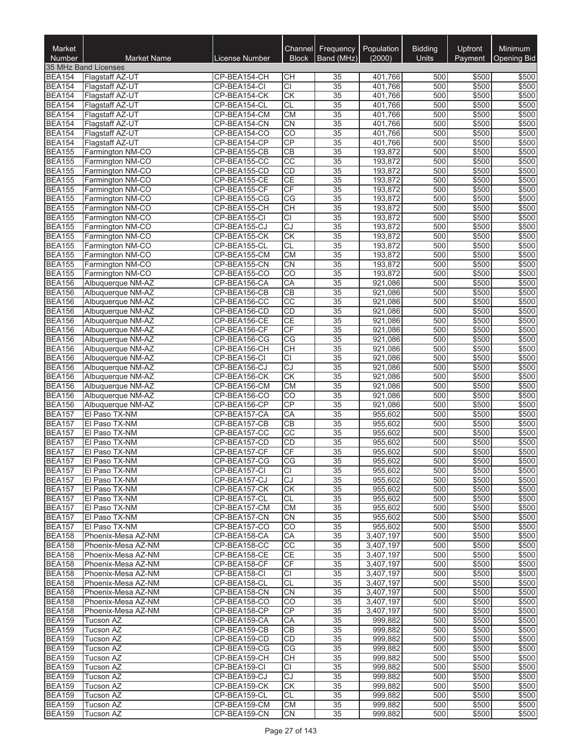| Market<br><b>Number</b>        | <b>Market Name</b>                       | License Number               | Channel<br><b>Block</b>            | Frequency<br>Band (MHz) | Population<br>(2000)   | <b>Bidding</b><br><b>Units</b> | Upfront<br>Payment | <b>Minimum</b><br><b>Opening Bid</b> |
|--------------------------------|------------------------------------------|------------------------------|------------------------------------|-------------------------|------------------------|--------------------------------|--------------------|--------------------------------------|
|                                | 35 MHz Band Licenses                     |                              |                                    |                         |                        |                                |                    |                                      |
| <b>BEA154</b>                  | Flagstaff AZ-UT                          | CP-BEA154-CH                 | CН                                 | 35                      | 401,766                | 500                            | \$500              | \$500                                |
| <b>BEA154</b>                  | Flagstaff AZ-UT                          | CP-BEA154-CI                 | CI                                 | 35                      | 401,766                | 500                            | \$500              | \$500                                |
| <b>BEA154</b>                  | Flagstaff AZ-UT                          | CP-BEA154-CK                 | $\overline{\text{CK}}$             | 35                      | 401,766                | 500                            | \$500              | \$500                                |
| <b>BEA154</b>                  | Flagstaff AZ-UT                          | CP-BEA154-CL                 | <b>CL</b>                          | 35                      | 401,766                | 500                            | \$500              | \$500                                |
| <b>BEA154</b>                  | <b>Flagstaff AZ-UT</b>                   | CP-BEA154-CM                 | <b>CM</b>                          | 35                      | 401,766                | 500                            | \$500              | \$500                                |
| <b>BEA154</b>                  | <b>Flagstaff AZ-UT</b>                   | CP-BEA154-CN                 | CN                                 | 35                      | 401,766                | 500                            | \$500              | \$500                                |
| <b>BEA154</b>                  | Flagstaff AZ-UT                          | CP-BEA154-CO                 | $\overline{CO}$                    | 35                      | 401,766                | 500                            | \$500              | \$500                                |
| <b>BEA154</b><br><b>BEA155</b> | Flagstaff AZ-UT                          | CP-BEA154-CP                 | CP                                 | 35                      | 401,766<br>193.872     | 500                            | \$500              | \$500                                |
| <b>BEA155</b>                  | Farmington NM-CO                         | CP-BEA155-CB<br>CP-BEA155-CC | $\overline{CB}$<br>$\overline{CC}$ | 35                      |                        | 500<br>500                     | \$500<br>\$500     | \$500                                |
| <b>BEA155</b>                  | Farmington NM-CO<br>Farmington NM-CO     | CP-BEA155-CD                 | CD                                 | 35<br>35                | 193,872<br>193,872     | 500                            | \$500              | \$500<br>\$500                       |
| <b>BEA155</b>                  | Farmington NM-CO                         | CP-BEA155-CE                 | CE                                 | 35                      | 193,872                | 500                            | \$500              | \$500                                |
| <b>BEA155</b>                  | Farmington NM-CO                         | CP-BEA155-CF                 | CF                                 | 35                      | 193,872                | 500                            | \$500              | \$500                                |
| <b>BEA155</b>                  | Farmington NM-CO                         | CP-BEA155-CG                 | $\overline{\text{CG}}$             | 35                      | 193,872                | 500                            | \$500              | \$500                                |
| <b>BEA155</b>                  | Farmington NM-CO                         | CP-BEA155-CH                 | $\overline{CH}$                    | 35                      | 193,872                | 500                            | \$500              | \$500                                |
| <b>BEA155</b>                  | Farmington NM-CO                         | CP-BEA155-CI                 | <b>CI</b>                          | 35                      | 193,872                | 500                            | \$500              | \$500                                |
| <b>BEA155</b>                  | Farmington NM-CO                         | CP-BEA155-CJ                 | CJ                                 | 35                      | 193,872                | 500                            | \$500              | \$500                                |
| <b>BEA155</b>                  | Farmington NM-CO                         | CP-BEA155-CK                 | $\overline{\text{CK}}$             | 35                      | 193,872                | 500                            | \$500              | \$500                                |
| <b>BEA155</b>                  | Farmington NM-CO                         | CP-BEA155-CL                 | CL                                 | 35                      | 193,872                | 500                            | \$500              | \$500                                |
| <b>BEA155</b>                  | Farmington NM-CO                         | CP-BEA155-CM                 | <b>CM</b>                          | 35                      | 193,872                | 500                            | \$500              | \$500                                |
| <b>BEA155</b>                  | Farmington NM-CO                         | CP-BEA155-CN                 | CN                                 | 35                      | 193,872                | 500                            | \$500              | \$500                                |
| <b>BEA155</b>                  | Farmington NM-CO                         | CP-BEA155-CO                 | $\overline{CO}$                    | $\overline{35}$         | 193,872                | 500                            | \$500              | \$500                                |
| <b>BEA156</b>                  | Albuquerque NM-AZ                        | CP-BEA156-CA                 | CA                                 | 35                      | 921,086                | 500                            | \$500              | \$500                                |
| <b>BEA156</b>                  | Albuquerque NM-AZ                        | CP-BEA156-CB                 | $\overline{CB}$<br>$\overline{CC}$ | 35<br>35                | 921,086<br>921,086     | 500<br>500                     | \$500<br>\$500     | \$500<br>\$500                       |
| <b>BEA156</b><br><b>BEA156</b> | Albuquerque NM-AZ<br>Albuquerque NM-AZ   | CP-BEA156-CC<br>CP-BEA156-CD | CD                                 | 35                      | 921,086                | 500                            | \$500              | \$500                                |
| <b>BEA156</b>                  | Albuquerque NM-AZ                        | CP-BEA156-CE                 | CE                                 | 35                      | 921,086                | 500                            | \$500              | \$500                                |
| <b>BEA156</b>                  | Albuquerque NM-AZ                        | CP-BEA156-CF                 | $\overline{\mathsf{CF}}$           | 35                      | 921,086                | 500                            | \$500              | \$500                                |
| <b>BEA156</b>                  | Albuquerque NM-AZ                        | CP-BEA156-CG                 | CG                                 | 35                      | 921,086                | 500                            | \$500              | \$500                                |
| <b>BEA156</b>                  | Albuquerque NM-AZ                        | CP-BEA156-CH                 | <b>CH</b>                          | 35                      | 921,086                | 500                            | \$500              | \$500                                |
| <b>BEA156</b>                  | Albuquerque NM-AZ                        | CP-BEA156-CI                 | СI                                 | 35                      | 921,086                | 500                            | \$500              | \$500                                |
| <b>BEA156</b>                  | Albuquerque NM-AZ                        | CP-BEA156-CJ                 | $\overline{c}$                     | 35                      | 921,086                | 500                            | \$500              | \$500                                |
| <b>BEA156</b>                  | Albuquerque NM-AZ                        | CP-BEA156-CK                 | CK                                 | 35                      | 921,086                | 500                            | \$500              | \$500                                |
| <b>BEA156</b>                  | Albuquerque NM-AZ                        | CP-BEA156-CM                 | CM                                 | 35                      | 921,086                | 500                            | \$500              | \$500                                |
| <b>BEA156</b>                  | Albuquerque NM-AZ                        | CP-BEA156-CO                 | CO                                 | 35                      | 921,086                | 500                            | \$500              | \$500                                |
| <b>BEA156</b>                  | Albuquerque NM-AZ                        | CP-BEA156-CP                 | CP                                 | 35                      | 921,086                | 500                            | \$500              | \$500                                |
| <b>BEA157</b>                  | El Paso TX-NM                            | CP-BEA157-CA                 | CA                                 | 35                      | 955,602                | 500                            | \$500              | \$500                                |
| <b>BEA157</b>                  | El Paso TX-NM                            | CP-BEA157-CB                 | CB<br>$\overline{cc}$              | 35<br>$\overline{35}$   | 955,602                | 500<br>500                     | \$500<br>\$500     | \$500<br>\$500                       |
| <b>BEA157</b><br><b>BEA157</b> | El Paso TX-NM<br>El Paso TX-NM           | CP-BEA157-CC<br>CP-BEA157-CD | CD                                 | 35                      | 955,602<br>955,602     | 500                            | \$500              | \$500                                |
| <b>BEA157</b>                  | El Paso TX-NM                            | CP-BEA157-CF                 | CF                                 | 35                      | 955,602                | 500                            | \$500              | \$500                                |
| <b>BEA157</b>                  | El Paso TX-NM                            | CP-BEA157-CG                 | $\overline{\text{CG}}$             | $\overline{35}$         | 955,602                | 500                            | \$500              | \$500                                |
| <b>BEA157</b>                  | El Paso TX-NM                            | CP-BEA157-CI                 | CI.                                | 35                      | 955,602                | 500                            | \$500              | \$500                                |
| <b>BEA157</b>                  | El Paso TX-NM                            | CP-BEA157-CJ                 | CJ                                 | 35                      | 955.602                | 500                            | \$500              | \$500                                |
| <b>BEA157</b>                  | El Paso TX-NM                            | CP-BEA157-CK                 | СK                                 | 35                      | 955,602                | 500                            | \$500              | \$500                                |
| <b>BEA157</b>                  | El Paso TX-NM                            | CP-BEA157-CL                 | <b>CL</b>                          | 35                      | 955,602                | 500                            | \$500              | \$500                                |
| <b>BEA157</b>                  | El Paso TX-NM                            | CP-BEA157-CM                 | CM                                 | 35                      | 955,602                | 500                            | \$500              | \$500                                |
| <b>BEA157</b>                  | El Paso TX-NM                            | CP-BEA157-CN                 | <b>CN</b>                          | 35                      | 955,602                | 500                            | \$500              | \$500                                |
| <b>BEA157</b>                  | El Paso TX-NM                            | CP-BEA157-CO                 | CO                                 | 35                      | 955,602                | 500                            | \$500              | \$500                                |
| <b>BEA158</b>                  | Phoenix-Mesa AZ-NM                       | CP-BEA158-CA                 | CA                                 | 35                      | 3,407,197              | 500                            | \$500              | \$500                                |
| <b>BEA158</b>                  | Phoenix-Mesa AZ-NM                       | CP-BEA158-CC                 | cc                                 | 35                      | 3,407,197              | 500                            | \$500              | \$500                                |
| <b>BEA158</b>                  | Phoenix-Mesa AZ-NM                       | CP-BEA158-CE                 | CE                                 | 35                      | 3,407,197              | 500                            | \$500              | \$500                                |
| <b>BEA158</b><br><b>BEA158</b> | Phoenix-Mesa AZ-NM                       | CP-BEA158-CF                 | CF<br>CI.                          | 35                      | 3,407,197              | 500<br>500                     | \$500<br>\$500     | \$500<br>\$500                       |
| <b>BEA158</b>                  | Phoenix-Mesa AZ-NM<br>Phoenix-Mesa AZ-NM | CP-BEA158-CI<br>CP-BEA158-CL | <b>CL</b>                          | 35<br>35                | 3,407,197<br>3,407,197 | 500                            | \$500              | \$500                                |
| <b>BEA158</b>                  | Phoenix-Mesa AZ-NM                       | CP-BEA158-CN                 | <b>CN</b>                          | 35                      | 3,407,197              | 500                            | \$500              | \$500                                |
| <b>BEA158</b>                  | Phoenix-Mesa AZ-NM                       | CP-BEA158-CO                 | CO.                                | 35                      | 3,407,197              | 500                            | \$500              | \$500                                |
| <b>BEA158</b>                  | Phoenix-Mesa AZ-NM                       | CP-BEA158-CP                 | CP                                 | 35                      | 3,407,197              | 500                            | \$500              | \$500                                |
| <b>BEA159</b>                  | Tucson AZ                                | CP-BEA159-CA                 | CA                                 | 35                      | 999,882                | 500                            | \$500              | \$500                                |
| <b>BEA159</b>                  | Tucson AZ                                | CP-BEA159-CB                 | <b>CB</b>                          | 35                      | 999,882                | 500                            | \$500              | \$500                                |
| <b>BEA159</b>                  | Tucson AZ                                | CP-BEA159-CD                 | <b>CD</b>                          | 35                      | 999,882                | 500                            | \$500              | \$500                                |
| <b>BEA159</b>                  | Tucson AZ                                | CP-BEA159-CG                 | CG                                 | 35                      | 999,882                | 500                            | \$500              | \$500                                |
| <b>BEA159</b>                  | Tucson AZ                                | CP-BEA159-CH                 | СH                                 | 35                      | 999,882                | 500                            | \$500              | \$500                                |
| <b>BEA159</b>                  | Tucson AZ                                | CP-BEA159-CI                 | СI                                 | 35                      | 999,882                | 500                            | \$500              | \$500                                |
| <b>BEA159</b>                  | Tucson AZ                                | CP-BEA159-CJ                 | <b>CJ</b>                          | 35                      | 999,882                | 500                            | \$500              | \$500                                |
| <b>BEA159</b>                  | Tucson AZ                                | CP-BEA159-CK                 | СK                                 | 35                      | 999,882                | 500                            | \$500              | \$500                                |
| <b>BEA159</b><br><b>BEA159</b> | Tucson AZ<br>Tucson AZ                   | CP-BEA159-CL<br>CP-BEA159-CM | <b>CL</b><br>СM                    | 35<br>35                | 999,882<br>999,882     | 500<br>500                     | \$500<br>\$500     | \$500<br>\$500                       |
| <b>BEA159</b>                  | Tucson AZ                                | CP-BEA159-CN                 | <b>CN</b>                          | 35                      | 999,882                | 500                            | \$500              | \$500                                |
|                                |                                          |                              |                                    |                         |                        |                                |                    |                                      |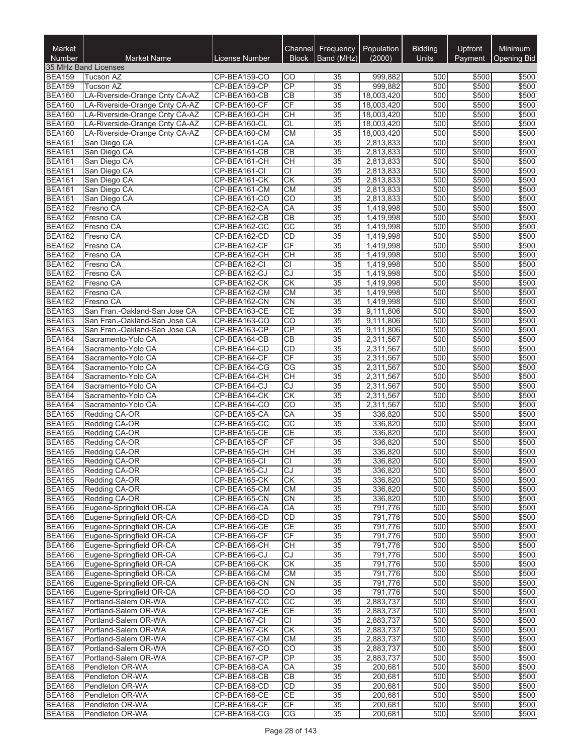| Market                         |                                                                |                              | Channel                      | <b>Frequency</b>      | Population              | <b>Bidding</b> | Upfront        | Minimum            |
|--------------------------------|----------------------------------------------------------------|------------------------------|------------------------------|-----------------------|-------------------------|----------------|----------------|--------------------|
| Number                         | <b>Market Name</b><br>35 MHz Band Licenses                     | License Number               | <b>Block</b>                 | Band (MHz)            | (2000)                  | Units          | Payment        | <b>Opening Bid</b> |
| <b>BEA159</b>                  | <b>Tucson AZ</b>                                               | CP-BEA159-CO                 | CO                           | 35                    | 999,882                 | 500            | \$500          | \$500              |
| <b>BEA159</b>                  | <b>Tucson AZ</b>                                               | CP-BEA159-CP                 | CP                           | 35                    | 999,882                 | 500            | \$500          | \$500              |
| <b>BEA160</b>                  | LA-Riverside-Orange Cnty CA-AZ                                 | CP-BEA160-CB                 | CВ                           | 35                    | 18,003,420              | 500            | \$500          | \$500              |
| <b>BEA160</b>                  | LA-Riverside-Orange Cnty CA-AZ                                 | CP-BEA160-CF                 | CF                           | 35                    | 18,003,420              | 500            | \$500          | \$500              |
| <b>BEA160</b>                  | LA-Riverside-Orange Cnty CA-AZ                                 | CP-BEA160-CH                 | <b>CH</b>                    | 35                    | 18,003,420              | 500            | \$500          | \$500              |
| <b>BEA160</b>                  | LA-Riverside-Orange Cnty CA-AZ                                 | CP-BEA160-CL                 | $\overline{c}$ L             | 35                    | 18,003,420              | 500            | \$500          | \$500              |
| <b>BEA160</b><br><b>BEA161</b> | LA-Riverside-Orange Cnty CA-AZ<br>San Diego CA                 | CP-BEA160-CM<br>CP-BEA161-CA | CM<br>CA                     | $\overline{35}$<br>35 | 18,003,420<br>2,813,833 | 500<br>500     | \$500<br>\$500 | \$500<br>\$500     |
| <b>BEA161</b>                  | San Diego CA                                                   | CP-BEA161-CB                 | $\overline{CB}$              | 35                    | 2,813,833               | 500            | \$500          | \$500              |
| <b>BEA161</b>                  | San Diego CA                                                   | CP-BEA161-CH                 | $\overline{CH}$              | 35                    | 2,813,833               | 500            | \$500          | \$500              |
| <b>BEA161</b>                  | San Diego CA                                                   | CP-BEA161-CI                 | CI                           | 35                    | 2,813,833               | 500            | \$500          | \$500              |
| <b>BEA161</b>                  | San Diego CA                                                   | CP-BEA161-CK                 | $\overline{CK}$              | 35                    | 2,813,833               | 500            | \$500          | \$500              |
| <b>BEA161</b>                  | San Diego CA                                                   | CP-BEA161-CM                 | <b>CM</b>                    | 35                    | 2,813,833               | 500            | \$500          | \$500              |
| <b>BEA161</b>                  | San Diego CA                                                   | CP-BEA161-CO                 | $\overline{CO}$              | 35                    | 2,813,833               | 500            | \$500          | \$500              |
| <b>BEA162</b>                  | Fresno CA                                                      | CP-BEA162-CA                 | CA                           | 35                    | 1,419,998               | 500            | \$500          | \$500              |
| <b>BEA162</b><br><b>BEA162</b> | Fresno CA<br>Fresno CA                                         | CP-BEA162-CB<br>CP-BEA162-CC | CB<br>$\overline{CC}$        | 35<br>35              | 1,419,998<br>1,419,998  | 500<br>500     | \$500<br>\$500 | \$500<br>\$500     |
| <b>BEA162</b>                  | Fresno CA                                                      | CP-BEA162-CD                 | <b>CD</b>                    | 35                    | 1,419,998               | 500            | \$500          | \$500              |
| <b>BEA162</b>                  | Fresno CA                                                      | CP-BEA162-CF                 | CF                           | 35                    | 1,419,998               | 500            | \$500          | \$500              |
| <b>BEA162</b>                  | Fresno CA                                                      | CP-BEA162-CH                 | $\overline{CH}$              | 35                    | 1,419,998               | 500            | \$500          | \$500              |
| <b>BEA162</b>                  | Fresno CA                                                      | CP-BEA162-CI                 | $\overline{CI}$              | 35                    | 1,419,998               | 500            | \$500          | \$500              |
| <b>BEA162</b>                  | Fresno CA                                                      | CP-BEA162-CJ                 | $\overline{cJ}$              | $\overline{35}$       | 1,419,998               | 500            | \$500          | \$500              |
| <b>BEA162</b>                  | Fresno CA                                                      | CP-BEA162-CK                 | $\overline{\text{CK}}$       | 35                    | 1,419,998               | 500            | \$500          | \$500              |
| <b>BEA162</b>                  | Fresno CA                                                      | CP-BEA162-CM                 | CM                           | 35                    | 1,419,998               | 500            | \$500          | \$500              |
| <b>BEA162</b>                  | Fresno CA                                                      | CP-BEA162-CN                 | <b>CN</b>                    | 35                    | 1,419,998               | 500            | \$500          | \$500              |
| <b>BEA163</b>                  | San Fran.-Oakland-San Jose CA                                  | CP-BEA163-CE                 | <b>CE</b>                    | 35                    | 9,111,806               | 500            | \$500          | \$500              |
| <b>BEA163</b><br><b>BEA163</b> | San Fran.-Oakland-San Jose CA<br>San Fran.-Oakland-San Jose CA | CP-BEA163-CO<br>CP-BEA163-CP | CO<br>$\overline{CP}$        | 35<br>35              | 9,111,806<br>9,111,806  | 500<br>500     | \$500<br>\$500 | \$500<br>\$500     |
| <b>BEA164</b>                  | Sacramento-Yolo CA                                             | CP-BEA164-CB                 | $\overline{CB}$              | 35                    | 2,311,567               | 500            | \$500          | \$500              |
| <b>BEA164</b>                  | Sacramento-Yolo CA                                             | CP-BEA164-CD                 | CD                           | 35                    | 2,311,567               | 500            | \$500          | \$500              |
| <b>BEA164</b>                  | Sacramento-Yolo CA                                             | CP-BEA164-CF                 | $\overline{CF}$              | 35                    | 2,311,567               | 500            | \$500          | \$500              |
| <b>BEA164</b>                  | Sacramento-Yolo CA                                             | CP-BEA164-CG                 | $\overline{\text{CG}}$       | 35                    | 2,311,567               | 500            | \$500          | \$500              |
| <b>BEA164</b>                  | Sacramento-Yolo CA                                             | CP-BEA164-CH                 | <b>CH</b>                    | 35                    | 2,311,567               | 500            | \$500          | \$500              |
| <b>BEA164</b>                  | Sacramento-Yolo CA                                             | CP-BEA164-CJ                 | $\overline{c}$               | 35                    | 2,311,567               | 500            | \$500          | \$500              |
| <b>BEA164</b>                  | Sacramento-Yolo CA                                             | CP-BEA164-CK                 | $\overline{\text{CK}}$       | 35                    | 2,311,567               | 500            | \$500          | \$500              |
| <b>BEA164</b><br><b>BEA165</b> | Sacramento-Yolo CA                                             | CP-BEA164-CO<br>CP-BEA165-CA | CO<br>CA                     | 35<br>35              | 2,311,567<br>336,820    | 500<br>500     | \$500<br>\$500 | \$500<br>\$500     |
| <b>BEA165</b>                  | Redding CA-OR<br>Redding CA-OR                                 | CP-BEA165-CC                 | CC                           | 35                    | 336,820                 | 500            | \$500          | \$500              |
| <b>BEA165</b>                  | Redding CA-OR                                                  | CP-BEA165-CE                 | $\overline{CE}$              | $\overline{35}$       | 336,820                 | 500            | \$500          | \$500              |
| <b>BEA165</b>                  | Redding CA-OR                                                  | CP-BEA165-CF                 | $\overline{CF}$              | 35                    | 336,820                 | 500            | \$500          | \$500              |
| <b>BEA165</b>                  | Redding CA-OR                                                  | CP-BEA165-CH                 | <b>CH</b>                    | 35                    | 336,820                 | 500            | \$500          | \$500              |
| <b>BEA165</b>                  | Redding CA-OR                                                  | CP-BEA165-CI                 | СI                           | $\overline{35}$       | 336,820                 | 500            | \$500          | \$500              |
| <b>BEA165</b>                  | Redding CA-OR                                                  | CP-BEA165-CJ                 | CJ                           | 35                    | 336,820                 | 500            | \$500          | \$500              |
| <b>BEA165</b>                  | Redding CA-OR                                                  | CP-BEA165-CK                 | СK                           | 35                    | 336,820                 | 500            | \$500          | \$500              |
| <b>BEA165</b><br><b>BEA165</b> | Redding CA-OR                                                  | CP-BEA165-CM                 | <b>CM</b><br><b>CN</b>       | 35                    | 336,820                 | 500            | \$500          | \$500<br>\$500     |
| <b>BEA166</b>                  | Redding CA-OR<br>Eugene-Springfield OR-CA                      | CP-BEA165-CN<br>CP-BEA166-CA | CA                           | 35<br>35              | 336,820<br>791,776      | 500<br>500     | \$500<br>\$500 | \$500              |
| <b>BEA166</b>                  | Eugene-Springfield OR-CA                                       | CP-BEA166-CD                 | <b>CD</b>                    | 35                    | 791,776                 | 500            | \$500          | \$500              |
| <b>BEA166</b>                  | Eugene-Springfield OR-CA                                       | CP-BEA166-CE                 | CE                           | 35                    | 791,776                 | 500            | \$500          | \$500              |
| <b>BEA166</b>                  | Eugene-Springfield OR-CA                                       | CP-BEA166-CF                 | CF                           | 35                    | 791,776                 | 500            | \$500          | \$500              |
| <b>BEA166</b>                  | Eugene-Springfield OR-CA                                       | CP-BEA166-CH                 | CH                           | 35                    | 791.776                 | 500            | \$500          | \$500              |
| <b>BEA166</b>                  | Eugene-Springfield OR-CA                                       | CP-BEA166-CJ                 | CJ                           | 35                    | 791,776                 | 500            | \$500          | \$500              |
| <b>BEA166</b>                  | Eugene-Springfield OR-CA                                       | CP-BEA166-CK                 | <b>CK</b>                    | 35                    | 791,776                 | 500            | \$500          | \$500              |
| <b>BEA166</b>                  | Eugene-Springfield OR-CA<br>Eugene-Springfield OR-CA           | CP-BEA166-CM                 | <b>CM</b>                    | 35                    | 791,776                 | 500            | \$500          | \$500              |
| <b>BEA166</b><br><b>BEA166</b> | Eugene-Springfield OR-CA                                       | CP-BEA166-CN<br>CP-BEA166-CO | <b>CN</b><br>$\overline{CO}$ | 35<br>35              | 791,776<br>791,776      | 500<br>500     | \$500<br>\$500 | \$500<br>\$500     |
| <b>BEA167</b>                  | Portland-Salem OR-WA                                           | CP-BEA167-CC                 | CC                           | 35                    | 2,883,737               | 500            | \$500          | \$500              |
| <b>BEA167</b>                  | Portland-Salem OR-WA                                           | CP-BEA167-CE                 | CE                           | 35                    | 2,883,737               | 500            | \$500          | \$500              |
| <b>BEA167</b>                  | Portland-Salem OR-WA                                           | CP-BEA167-CI                 | CI                           | 35                    | 2,883,737               | 500            | \$500          | \$500              |
| <b>BEA167</b>                  | Portland-Salem OR-WA                                           | CP-BEA167-CK                 | <b>CK</b>                    | 35                    | 2,883,737               | 500            | \$500          | \$500              |
| <b>BEA167</b>                  | Portland-Salem OR-WA                                           | CP-BEA167-CM                 | СM                           | 35                    | 2,883,737               | 500            | \$500          | \$500              |
| <b>BEA167</b>                  | Portland-Salem OR-WA                                           | CP-BEA167-CO                 | CO                           | 35                    | 2,883,737               | 500            | \$500          | \$500              |
| <b>BEA167</b>                  | Portland-Salem OR-WA                                           | CP-BEA167-CP                 | CP                           | 35                    | 2,883,737               | 500            | \$500          | \$500              |
| <b>BEA168</b><br><b>BEA168</b> | Pendleton OR-WA<br>Pendleton OR-WA                             | CP-BEA168-CA<br>CP-BEA168-CB | CA<br>CB                     | 35                    | 200,681<br>200,681      | 500<br>500     | \$500<br>\$500 | \$500<br>\$500     |
| <b>BEA168</b>                  | Pendleton OR-WA                                                | CP-BEA168-CD                 | CD                           | 35<br>35              | 200,681                 | 500            | \$500          | \$500              |
| <b>BEA168</b>                  | Pendleton OR-WA                                                | CP-BEA168-CE                 | CE                           | 35                    | 200,681                 | 500            | \$500          | \$500              |
| <b>BEA168</b>                  | Pendleton OR-WA                                                | CP-BEA168-CF                 | CF                           | 35                    | 200,681                 | 500            | \$500          | \$500              |
| <b>BEA168</b>                  | Pendleton OR-WA                                                | CP-BEA168-CG                 | CG                           | 35                    | 200,681                 | 500            | \$500          | \$500              |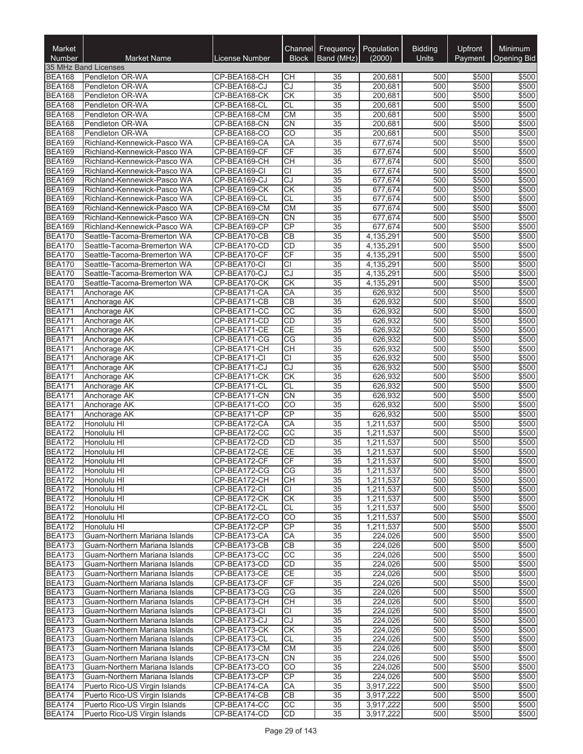| Market<br><b>Number</b>        | <b>Market Name</b>                                             | License Number               | Channel<br><b>Block</b>      | Frequency<br>Band (MHz)            | Population<br>(2000)   | <b>Bidding</b><br><b>Units</b> | Upfront<br>Payment | Minimum<br><b>Opening Bid</b> |
|--------------------------------|----------------------------------------------------------------|------------------------------|------------------------------|------------------------------------|------------------------|--------------------------------|--------------------|-------------------------------|
|                                | 35 MHz Band Licenses                                           |                              |                              |                                    |                        |                                |                    |                               |
| <b>BEA168</b>                  | Pendleton OR-WA                                                | CP-BEA168-CH                 | CН                           | 35                                 | 200,681                | 500                            | \$500              | \$500                         |
| <b>BEA168</b>                  | Pendleton OR-WA                                                | CP-BEA168-CJ                 | CJ                           | 35                                 | 200,681                | 500                            | \$500              | \$500                         |
| <b>BEA168</b>                  | Pendleton OR-WA                                                | CP-BEA168-CK                 | <b>CK</b>                    | 35                                 | 200,681                | 500                            | \$500              | \$500                         |
| <b>BEA168</b>                  | Pendleton OR-WA                                                | CP-BEA168-CL                 | <b>CL</b>                    | 35                                 | 200,681                | 500                            | \$500              | \$500                         |
| <b>BEA168</b>                  | Pendleton OR-WA                                                | CP-BEA168-CM                 | <b>CM</b>                    | 35                                 | 200,681                | 500                            | \$500              | \$500                         |
| <b>BEA168</b>                  | Pendleton OR-WA                                                | CP-BEA168-CN                 | CN                           | $\overline{35}$                    | 200,681                | 500                            | \$500              | \$500                         |
| <b>BEA168</b>                  | Pendleton OR-WA                                                | CP-BEA168-CO                 | $\overline{CO}$              | $\overline{35}$                    | 200,681                | 500<br>500                     | \$500              | \$500                         |
| <b>BEA169</b><br><b>BEA169</b> | Richland-Kennewick-Pasco WA<br>Richland-Kennewick-Pasco WA     | CP-BEA169-CA<br>CP-BEA169-CF | CA<br>CF                     | 35<br>$\overline{35}$              | 677,674<br>677,674     | 500                            | \$500<br>\$500     | \$500<br>\$500                |
| <b>BEA169</b>                  | Richland-Kennewick-Pasco WA                                    | CP-BEA169-CH                 | <b>CH</b>                    | 35                                 | 677,674                | 500                            | \$500              | \$500                         |
| <b>BEA169</b>                  | Richland-Kennewick-Pasco WA                                    | CP-BEA169-CI                 | CI                           | 35                                 | 677,674                | 500                            | \$500              | \$500                         |
| <b>BEA169</b>                  | Richland-Kennewick-Pasco WA                                    | CP-BEA169-CJ                 | CJ                           | 35                                 | 677,674                | 500                            | \$500              | \$500                         |
| <b>BEA169</b>                  | Richland-Kennewick-Pasco WA                                    | CP-BEA169-CK                 | <b>CK</b>                    | 35                                 | 677,674                | 500                            | \$500              | \$500                         |
| <b>BEA169</b>                  | Richland-Kennewick-Pasco WA                                    | CP-BEA169-CL                 | <b>CL</b>                    | 35                                 | 677,674                | 500                            | \$500              | \$500                         |
| <b>BEA169</b>                  | Richland-Kennewick-Pasco WA                                    | CP-BEA169-CM                 | <b>CM</b>                    | $\overline{35}$                    | 677,674                | 500                            | \$500              | \$500                         |
| <b>BEA169</b>                  | Richland-Kennewick-Pasco WA                                    | CP-BEA169-CN                 | <b>CN</b>                    | $\overline{35}$                    | 677,674                | 500                            | \$500              | \$500                         |
| <b>BEA169</b>                  | Richland-Kennewick-Pasco WA                                    | CP-BEA169-CP                 | CP                           | $\overline{35}$                    | 677,674                | 500                            | \$500              | \$500                         |
| <b>BEA170</b>                  | Seattle-Tacoma-Bremerton WA<br>Seattle-Tacoma-Bremerton WA     | CP-BEA170-CB                 | <b>CB</b>                    | $\overline{35}$                    | 4,135,291              | 500                            | \$500              | \$500                         |
| <b>BEA170</b><br><b>BEA170</b> | Seattle-Tacoma-Bremerton WA                                    | CP-BEA170-CD<br>CP-BEA170-CF | CD<br>$\overline{CF}$        | 35<br>$\overline{35}$              | 4,135,291<br>4,135,291 | 500<br>500                     | \$500<br>\$500     | \$500<br>\$500                |
| <b>BEA170</b>                  | Seattle-Tacoma-Bremerton WA                                    | CP-BEA170-CI                 | $\overline{CI}$              | 35                                 | 4,135,291              | 500                            | \$500              | \$500                         |
| <b>BEA170</b>                  | Seattle-Tacoma-Bremerton WA                                    | CP-BEA170-CJ                 | CJ                           | 35                                 | 4,135,291              | 500                            | \$500              | \$500                         |
| <b>BEA170</b>                  | Seattle-Tacoma-Bremerton WA                                    | CP-BEA170-CK                 | $\overline{CK}$              | $\overline{35}$                    | 4,135,291              | 500                            | \$500              | \$500                         |
| <b>BEA171</b>                  | Anchorage AK                                                   | CP-BEA171-CA                 | CA                           | 35                                 | 626,932                | 500                            | \$500              | \$500                         |
| <b>BEA171</b>                  | Anchorage AK                                                   | CP-BEA171-CB                 | CB                           | $\overline{35}$                    | 626,932                | 500                            | \$500              | \$500                         |
| <b>BEA171</b>                  | Anchorage AK                                                   | CP-BEA171-CC                 | $\overline{cc}$              | $\overline{35}$                    | 626,932                | 500                            | \$500              | \$500                         |
| <b>BEA171</b>                  | Anchorage AK                                                   | CP-BEA171-CD                 | CD                           | 35                                 | 626,932                | 500                            | \$500              | \$500                         |
| <b>BEA171</b>                  | Anchorage AK                                                   | CP-BEA171-CE                 | <b>CE</b>                    | 35                                 | 626,932                | 500                            | \$500              | \$500                         |
| <b>BEA171</b>                  | Anchorage AK                                                   | CP-BEA171-CG                 | CG<br><b>CH</b>              | 35                                 | 626,932                | 500                            | \$500<br>\$500     | \$500                         |
| <b>BEA171</b><br><b>BEA171</b> | Anchorage AK<br>Anchorage AK                                   | CP-BEA171-CH<br>CP-BEA171-CI | $\overline{CI}$              | 35<br>$\overline{35}$              | 626,932<br>626,932     | 500<br>500                     | \$500              | \$500<br>\$500                |
| <b>BEA171</b>                  | Anchorage AK                                                   | CP-BEA171-CJ                 | CJ                           | $\overline{35}$                    | 626,932                | 500                            | \$500              | \$500                         |
| <b>BEA171</b>                  | Anchorage AK                                                   | CP-BEA171-CK                 | <b>CK</b>                    | 35                                 | 626,932                | 500                            | \$500              | \$500                         |
| <b>BEA171</b>                  | Anchorage AK                                                   | CP-BEA171-CL                 | <b>CL</b>                    | $\overline{35}$                    | 626,932                | 500                            | \$500              | \$500                         |
| <b>BEA171</b>                  | Anchorage AK                                                   | CP-BEA171-CN                 | CN                           | 35                                 | 626,932                | 500                            | \$500              | \$500                         |
| <b>BEA171</b>                  | Anchorage AK                                                   | CP-BEA171-CO                 | CO                           | 35                                 | 626,932                | 500                            | \$500              | \$500                         |
| <b>BEA171</b>                  | Anchorage AK                                                   | CP-BEA171-CP                 | CP                           | 35                                 | 626,932                | 500                            | \$500              | \$500                         |
| <b>BEA172</b>                  | Honolulu HI                                                    | CP-BEA172-CA                 | CA                           | 35                                 | 1,211,537              | 500                            | \$500              | \$500                         |
| <b>BEA172</b>                  | Honolulu HI                                                    | CP-BEA172-CC                 | $\overline{CC}$              | 35                                 | 1,211,537              | 500                            | \$500              | \$500                         |
| <b>BEA172</b>                  | Honolulu HI<br>Honolulu HI                                     | CP-BEA172-CD<br>CP-BEA172-CE | CD<br><b>CE</b>              | $\overline{35}$<br>$\overline{35}$ | 1,211,537<br>1,211,537 | 500<br>500                     | \$500<br>\$500     | \$500<br>\$500                |
| <b>BEA172</b><br><b>BEA172</b> | Honolulu HI                                                    | CP-BEA172-CF                 | $\overline{CF}$              | $\overline{35}$                    | 1,211,537              | 500                            | \$500              | \$500                         |
| <b>BEA172</b>                  | Honolulu HI                                                    | CP-BEA172-CG                 | CG                           | 35                                 | 1,211,537              | 500                            | \$500              | \$500                         |
| <b>BEA172</b>                  | Honolulu HI                                                    | CP-BEA172-CH                 | CН                           | 35                                 | 1,211,537              | 500                            | \$500              | \$500                         |
| <b>BEA172</b>                  | Honolulu HI                                                    | CP-BEA172-CI                 | <b>CI</b>                    | 35                                 | 1,211,537              | 500                            | \$500              | \$500                         |
| <b>BEA172</b>                  | Honolulu HI                                                    | CP-BEA172-CK                 | <b>CK</b>                    | 35                                 | 1,211,537              | 500                            | \$500              | \$500                         |
| <b>BEA172</b>                  | Honolulu HI                                                    | CP-BEA172-CL                 | <b>CL</b>                    | 35                                 | 1,211,537              | 500                            | \$500              | \$500                         |
| <b>BEA172</b>                  | Honolulu HI                                                    | CP-BEA172-CO                 | $\overline{CO}$              | 35                                 | 1,211,537              | 500                            | \$500              | \$500                         |
| <b>BEA172</b>                  | Honolulu HI                                                    | CP-BEA172-CP                 | <b>CP</b>                    | 35                                 | 1,211,537              | 500                            | \$500              | \$500                         |
| <b>BEA173</b>                  | Guam-Northern Mariana Islands                                  | CP-BEA173-CA                 | СA                           | 35                                 | 224,026<br>224.026     | 500                            | \$500              | \$500                         |
| <b>BEA173</b><br><b>BEA173</b> | Guam-Northern Mariana Islands<br>Guam-Northern Mariana Islands | CP-BEA173-CB<br>CP-BEA173-CC | CB<br>CC                     | 35<br>35                           | 224,026                | 500<br>500                     | \$500<br>\$500     | \$500<br>\$500                |
| <b>BEA173</b>                  | Guam-Northern Mariana Islands                                  | CP-BEA173-CD                 | <b>CD</b>                    | 35                                 | 224.026                | 500                            | \$500              | \$500                         |
| <b>BEA173</b>                  | Guam-Northern Mariana Islands                                  | CP-BEA173-CE                 | <b>CE</b>                    | 35                                 | 224.026                | 500                            | \$500              | \$500                         |
| <b>BEA173</b>                  | Guam-Northern Mariana Islands                                  | CP-BEA173-CF                 | CF                           | 35                                 | 224,026                | 500                            | \$500              | \$500                         |
| <b>BEA173</b>                  | Guam-Northern Mariana Islands                                  | CP-BEA173-CG                 | CG                           | $\overline{35}$                    | 224,026                | 500                            | \$500              | \$500                         |
| <b>BEA173</b>                  | Guam-Northern Mariana Islands                                  | CP-BEA173-CH                 | <b>CH</b>                    | 35                                 | 224,026                | 500                            | \$500              | \$500                         |
| <b>BEA173</b>                  | Guam-Northern Mariana Islands                                  | CP-BEA173-CI                 | CI                           | 35                                 | 224,026                | 500                            | \$500              | \$500                         |
| <b>BEA173</b>                  | Guam-Northern Mariana Islands                                  | CP-BEA173-CJ                 | CJ                           | 35                                 | 224,026                | 500                            | \$500              | \$500                         |
| <b>BEA173</b>                  | Guam-Northern Mariana Islands                                  | CP-BEA173-CK                 | <b>CK</b>                    | 35                                 | 224,026                | 500                            | \$500              | \$500                         |
| <b>BEA173</b>                  | Guam-Northern Mariana Islands                                  | CP-BEA173-CL                 | <b>CL</b>                    | 35                                 | 224,026                | 500                            | \$500              | \$500                         |
| <b>BEA173</b><br><b>BEA173</b> | Guam-Northern Mariana Islands                                  | CP-BEA173-CM                 | <b>CM</b>                    | 35                                 | 224,026                | 500                            | \$500              | \$500                         |
| <b>BEA173</b>                  | Guam-Northern Mariana Islands<br>Guam-Northern Mariana Islands | CP-BEA173-CN<br>CP-BEA173-CO | <b>CN</b><br>$\overline{CO}$ | 35<br>35                           | 224,026<br>224,026     | 500<br>500                     | \$500<br>\$500     | \$500<br>\$500                |
| <b>BEA173</b>                  | Guam-Northern Mariana Islands                                  | CP-BEA173-CP                 | CP                           | 35                                 | 224,026                | 500                            | \$500              | \$500                         |
| <b>BEA174</b>                  | Puerto Rico-US Virgin Islands                                  | CP-BEA174-CA                 | CA                           | 35                                 | 3,917,222              | 500                            | \$500              | \$500                         |
| <b>BEA174</b>                  | Puerto Rico-US Virgin Islands                                  | CP-BEA174-CB                 | <b>CB</b>                    | 35                                 | 3,917,222              | 500                            | \$500              | \$500                         |
| <b>BEA174</b>                  | Puerto Rico-US Virgin Islands                                  | CP-BEA174-CC                 | cc                           | 35                                 | 3,917,222              | 500                            | \$500              | \$500                         |
| <b>BEA174</b>                  | Puerto Rico-US Virgin Islands                                  | CP-BEA174-CD                 | CD                           | 35                                 | 3,917,222              | 500                            | \$500              | \$500                         |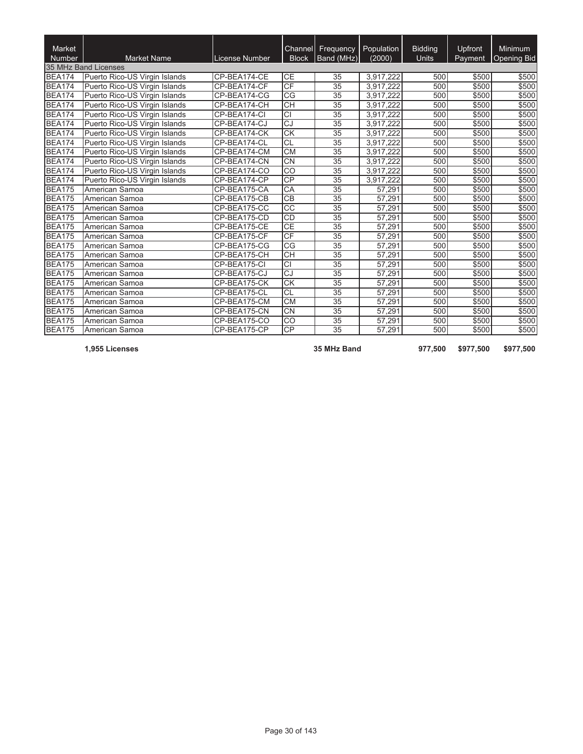| Market<br>Number | <b>Market Name</b>            | License Number | Channel<br><b>Block</b>  | Frequency<br>Band (MHz) | Population<br>(2000) | <b>Bidding</b><br><b>Units</b> | <b>Upfront</b><br>Payment | <b>Minimum</b><br>Opening Bid |
|------------------|-------------------------------|----------------|--------------------------|-------------------------|----------------------|--------------------------------|---------------------------|-------------------------------|
|                  | 35 MHz Band Licenses          |                |                          |                         |                      |                                |                           |                               |
| <b>BEA174</b>    | Puerto Rico-US Virgin Islands | CP-BEA174-CE   | CЕ                       | 35                      | 3,917,222            | 500                            | \$500                     | \$500                         |
| <b>BEA174</b>    | Puerto Rico-US Virgin Islands | CP-BEA174-CF   | CF                       | 35                      | 3,917,222            | 500                            | \$500                     | \$500                         |
| <b>BEA174</b>    | Puerto Rico-US Virgin Islands | CP-BEA174-CG   | CG                       | 35                      | 3,917,222            | 500                            | \$500                     | \$500                         |
| <b>BEA174</b>    | Puerto Rico-US Virgin Islands | CP-BEA174-CH   | $\overline{CH}$          | 35                      | 3,917,222            | 500                            | \$500                     | \$500                         |
| <b>BEA174</b>    | Puerto Rico-US Virgin Islands | CP-BEA174-CI   | CΙ                       | 35                      | 3,917,222            | 500                            | \$500                     | \$500                         |
| <b>BEA174</b>    | Puerto Rico-US Virgin Islands | CP-BEA174-CJ   | CJ                       | 35                      | 3.917.222            | 500                            | \$500                     | \$500                         |
| <b>BEA174</b>    | Puerto Rico-US Virgin Islands | CP-BEA174-CK   | $\overline{\text{CK}}$   | 35                      | 3.917.222            | 500                            | \$500                     | \$500                         |
| <b>BEA174</b>    | Puerto Rico-US Virgin Islands | CP-BEA174-CL   | CL                       | 35                      | 3.917.222            | 500                            | \$500                     | \$500                         |
| <b>BEA174</b>    | Puerto Rico-US Virgin Islands | CP-BEA174-CM   | $\overline{\text{CM}}$   | 35                      | 3,917,222            | 500                            | \$500                     | \$500                         |
| <b>BEA174</b>    | Puerto Rico-US Virgin Islands | CP-BEA174-CN   | $\overline{\text{CN}}$   | 35                      | 3.917.222            | 500                            | \$500                     | \$500                         |
| <b>BEA174</b>    | Puerto Rico-US Virgin Islands | CP-BEA174-CO   | $\overline{CO}$          | 35                      | 3,917,222            | 500                            | \$500                     | \$500                         |
| <b>BEA174</b>    | Puerto Rico-US Virgin Islands | CP-BEA174-CP   | $\overline{CP}$          | 35                      | 3.917.222            | 500                            | \$500                     | \$500                         |
| <b>BEA175</b>    | American Samoa                | CP-BEA175-CA   | $\overline{CA}$          | 35                      | 57.291               | 500                            | \$500                     | \$500                         |
| <b>BEA175</b>    | American Samoa                | CP-BEA175-CB   | $\overline{CB}$          | $\overline{35}$         | 57,291               | 500                            | \$500                     | \$500                         |
| <b>BEA175</b>    | American Samoa                | CP-BEA175-CC   | $\overline{cc}$          | 35                      | 57.291               | 500                            | \$500                     | \$500                         |
| <b>BEA175</b>    | American Samoa                | CP-BEA175-CD   | <b>CD</b>                | 35                      | 57,291               | 500                            | \$500                     | \$500                         |
| <b>BEA175</b>    | American Samoa                | CP-BEA175-CE   | $\overline{\mathsf{CE}}$ | 35                      | 57,291               | 500                            | \$500                     | \$500                         |
| <b>BEA175</b>    | American Samoa                | CP-BEA175-CF   | CF                       | 35                      | 57,291               | 500                            | \$500                     | \$500                         |
| <b>BEA175</b>    | American Samoa                | CP-BEA175-CG   | $\overline{\text{CG}}$   | 35                      | 57.291               | 500                            | \$500                     | \$500                         |
| <b>BEA175</b>    | American Samoa                | CP-BEA175-CH   | $\overline{CH}$          | 35                      | 57.291               | 500                            | \$500                     | \$500                         |
| <b>BEA175</b>    | American Samoa                | CP-BEA175-CI   | $\overline{CI}$          | 35                      | 57,291               | 500                            | \$500                     | \$500                         |
| <b>BEA175</b>    | American Samoa                | CP-BEA175-CJ   | CJ                       | $\overline{35}$         | 57.291               | 500                            | \$500                     | \$500                         |
| <b>BEA175</b>    | American Samoa                | CP-BEA175-CK   | $\overline{\text{CK}}$   | 35                      | 57,291               | 500                            | \$500                     | \$500                         |
| <b>BEA175</b>    | American Samoa                | CP-BEA175-CL   | CL                       | 35                      | 57,291               | 500                            | \$500                     | \$500                         |
| <b>BEA175</b>    | American Samoa                | CP-BEA175-CM   | $\overline{\text{CM}}$   | 35                      | 57,291               | 500                            | \$500                     | \$500                         |
| <b>BEA175</b>    | American Samoa                | CP-BEA175-CN   | $\overline{\text{CN}}$   | $\overline{35}$         | 57,291               | 500                            | \$500                     | \$500                         |
| <b>BEA175</b>    | American Samoa                | CP-BEA175-CO   | $\overline{CO}$          | $\overline{35}$         | 57,291               | 500                            | \$500                     | \$500                         |
| <b>BEA175</b>    | American Samoa                | CP-BEA175-CP   | $\overline{CP}$          | 35                      | 57,291               | 500                            | \$500                     | \$500                         |

**1,955 Licenses 35 MHz Band 977,500 \$977,500 \$977,500**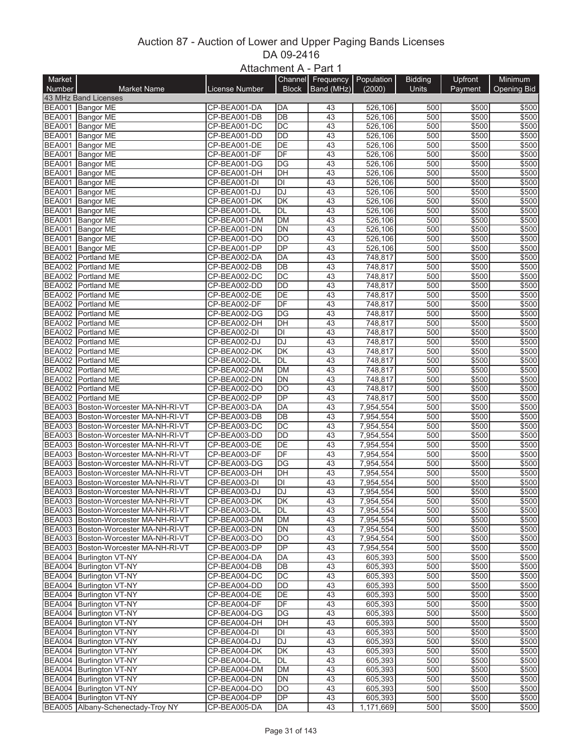## Auction 87 - Auction of Lower and Upper Paging Bands Licenses DA 09-2416 Attachment A - Part 1

|        |                                                                            | $MUQUIIIUUIIUH^{-1}UII$      |                          |                   |                        |                |                |                |
|--------|----------------------------------------------------------------------------|------------------------------|--------------------------|-------------------|------------------------|----------------|----------------|----------------|
| Market |                                                                            |                              |                          | Channel Frequency | Population             | <b>Bidding</b> | Upfront        | Minimum        |
| Number | <b>Market Name</b>                                                         | License Number               | <b>Block</b>             | Band (MHz)        | (2000)                 | Units          | Payment        | Opening Bid    |
|        | 43 MHz Band Licenses                                                       |                              |                          |                   |                        |                |                |                |
|        | BEA001 Bangor ME                                                           | CP-BEA001-DA                 | DA                       | 43                | 526,106                | 500            | \$500          | \$500          |
|        | BEA001 Bangor ME                                                           | CP-BEA001-DB                 | $\overline{DB}$          | 43                | 526,106                | 500            | \$500          | \$500          |
|        | BEA001 Bangor ME                                                           | CP-BEA001-DC                 | $\overline{DC}$          | 43                | 526,106                | 500            | \$500          | \$500          |
|        | BEA001 Bangor ME                                                           | CP-BEA001-DD                 | DD                       | 43                | 526,106                | 500            | \$500          | \$500          |
|        | BEA001 Bangor ME                                                           | CP-BEA001-DE                 | DE<br>DF                 | 43                | 526,106                | 500<br>500     | \$500          | \$500          |
|        | BEA001 Bangor ME                                                           | CP-BEA001-DF                 |                          | 43                | 526,106                |                | \$500          | \$500          |
|        | BEA001 Bangor ME                                                           | CP-BEA001-DG                 | DG<br>DH                 | 43<br>43          | 526,106                | 500<br>500     | \$500<br>\$500 | \$500          |
|        | BEA001 Bangor ME<br>BEA001 Bangor ME                                       | CP-BEA001-DH<br>CP-BEA001-DI | DI                       | 43                | 526,106<br>526,106     | 500            | \$500          | \$500<br>\$500 |
|        | BEA001 Bangor ME                                                           | CP-BEA001-DJ                 | DJ                       | 43                | 526,106                | 500            | \$500          | \$500          |
|        | BEA001 Bangor ME                                                           | CP-BEA001-DK                 | DK                       | 43                | 526,106                | 500            | \$500          | \$500          |
|        | BEA001 Bangor ME                                                           | CP-BEA001-DL                 | <b>DL</b>                | 43                | 526,106                | 500            | \$500          | \$500          |
|        | BEA001 Bangor ME                                                           | CP-BEA001-DM                 | <b>DM</b>                | 43                | 526,106                | 500            | \$500          | \$500          |
|        | BEA001 Bangor ME                                                           | CP-BEA001-DN                 | DN                       | 43                | 526,106                | 500            | \$500          | \$500          |
|        | BEA001 Bangor ME                                                           | CP-BEA001-DO                 | DO                       | 43                | 526,106                | 500            | \$500          | \$500          |
|        | BEA001 Bangor ME                                                           | CP-BEA001-DP                 | DP                       | 43                | 526,106                | 500            | \$500          | \$500          |
|        | BEA002 Portland ME                                                         | CP-BEA002-DA                 | DA                       | 43                | 748,817                | 500            | \$500          | \$500          |
|        | BEA002 Portland ME                                                         | CP-BEA002-DB                 | DB                       | 43                | 748,817                | 500            | \$500          | \$500          |
|        | BEA002 Portland ME                                                         | CP-BEA002-DC                 | $\overline{DC}$          | 43                | 748,817                | 500            | \$500          | \$500          |
|        | BEA002 Portland ME                                                         | CP-BEA002-DD                 | $\overline{DD}$          | 43                | 748,817                | 500            | \$500          | \$500          |
|        | BEA002 Portland ME                                                         | CP-BEA002-DE                 | DE                       | 43                | 748,817                | 500            | \$500          | \$500          |
|        | BEA002 Portland ME                                                         | CP-BEA002-DF                 | $\overline{DF}$          | 43                | 748,817                | 500            | \$500          | \$500          |
|        | BEA002 Portland ME                                                         | CP-BEA002-DG                 | $\overline{DG}$          | 43                | 748,817                | 500            | \$500          | \$500          |
|        | BEA002 Portland ME                                                         | CP-BEA002-DH                 | DH                       | 43                | 748,817                | 500            | \$500          | \$500          |
|        | BEA002 Portland ME                                                         | CP-BEA002-DI                 | DI                       | 43                | 748,817                | 500            | \$500          | \$500          |
|        | BEA002 Portland ME                                                         | CP-BEA002-DJ                 | DJ                       | 43                | 748,817                | 500            | \$500          | \$500          |
|        | BEA002 Portland ME                                                         | CP-BEA002-DK                 | $\overline{\mathsf{DK}}$ | 43                | 748,817                | 500            | \$500          | \$500          |
|        | BEA002 Portland ME                                                         | CP-BEA002-DL                 | DL                       | 43                | 748,817                | 500            | \$500          | \$500          |
|        | BEA002 Portland ME                                                         | CP-BEA002-DM                 | <b>DM</b>                | 43                | 748,817                | 500            | \$500          | \$500          |
|        | BEA002 Portland ME                                                         | CP-BEA002-DN                 | DN                       | 43                | 748,817                | 500            | \$500          | \$500          |
|        | BEA002 Portland ME                                                         | CP-BEA002-DO                 | DO                       | 43                | 748,817                | 500            | \$500          | \$500          |
|        | BEA002 Portland ME                                                         | CP-BEA002-DP                 | DP                       | 43                | 748,817                | 500            | \$500          | \$500          |
|        | BEA003 Boston-Worcester MA-NH-RI-VT                                        | CP-BEA003-DA                 | DA                       | 43                | 7,954,554              | 500            | \$500          | \$500          |
|        | BEA003 Boston-Worcester MA-NH-RI-VT                                        | CP-BEA003-DB                 | DB                       | 43                | 7,954,554              | 500            | \$500          | \$500          |
|        | BEA003 Boston-Worcester MA-NH-RI-VT                                        | CP-BEA003-DC                 | DC                       | 43                | 7,954,554              | 500            | \$500          | \$500          |
|        | BEA003 Boston-Worcester MA-NH-RI-VT                                        | CP-BEA003-DD                 | <b>DD</b>                | 43                | 7,954,554              | 500            | \$500          | \$500          |
|        | BEA003 Boston-Worcester MA-NH-RI-VT                                        | CP-BEA003-DE                 | DE                       | 43                | 7,954,554              | 500            | \$500          | \$500          |
|        | BEA003 Boston-Worcester MA-NH-RI-VT                                        | CP-BEA003-DF                 | DF                       | 43                | 7,954,554              | 500            | \$500          | \$500          |
|        | BEA003 Boston-Worcester MA-NH-RI-VT                                        | CP-BEA003-DG                 | DG                       | 43                | 7,954,554              | 500            | \$500          | \$500          |
|        | BEA003 Boston-Worcester MA-NH-RI-VT                                        | CP-BEA003-DH                 | $\overline{D}$ H         | 43                | 7,954,554              | 500            | \$500          | \$500          |
|        | BEA003 Boston-Worcester MA-NH-RI-VT                                        | CP-BEA003-DI                 | DI                       | 43                | 7,954,554              | 500            | \$500          | \$500          |
|        | BEA003 Boston-Worcester MA-NH-RI-VT                                        | CP-BEA003-DJ                 | <b>DJ</b>                | 43                | 7,954,554              | 500            | \$500          | \$500          |
|        | BEA003 Boston-Worcester MA-NH-RI-VT                                        | CP-BEA003-DK                 | DK                       | 43                | 7,954,554              | 500            | \$500          | \$500          |
|        | BEA003 Boston-Worcester MA-NH-RI-VT                                        | CP-BEA003-DL                 | DL                       | 43                | 7,954,554              | 500            | \$500          | \$500          |
|        | BEA003 Boston-Worcester MA-NH-RI-VT                                        | CP-BEA003-DM                 | DM                       | 43                | 7,954,554              | 500            | \$500          | \$500          |
|        | BEA003 Boston-Worcester MA-NH-RI-VT<br>BEA003 Boston-Worcester MA-NH-RI-VT | CP-BEA003-DN<br>CP-BEA003-DO | DN<br>DO                 | 43<br>43          | 7,954,554              | 500<br>500     | \$500<br>\$500 | \$500<br>\$500 |
|        | BEA003 Boston-Worcester MA-NH-RI-VT                                        | CP-BEA003-DP                 | DP                       | 43                | 7,954,554<br>7,954,554 | 500            | \$500          | \$500          |
|        | BEA004 Burlington VT-NY                                                    | CP-BEA004-DA                 | DA                       | 43                | 605,393                | 500            | \$500          | \$500          |
|        | BEA004 Burlington VT-NY                                                    | CP-BEA004-DB                 | DB                       | 43                | 605,393                | 500            | \$500          | \$500          |
|        | BEA004 Burlington VT-NY                                                    | CP-BEA004-DC                 | DC                       | 43                | 605,393                | 500            | \$500          | \$500          |
|        | BEA004 Burlington VT-NY                                                    | CP-BEA004-DD                 | DD                       | 43                | 605,393                | 500            | \$500          | \$500          |
|        | BEA004 Burlington VT-NY                                                    | CP-BEA004-DE                 | DE                       | 43                | 605,393                | 500            | \$500          | \$500          |
|        | BEA004 Burlington VT-NY                                                    | CP-BEA004-DF                 | DF                       | 43                | 605,393                | 500            | \$500          | \$500          |
|        | BEA004 Burlington VT-NY                                                    | CP-BEA004-DG                 | DG                       | 43                | 605,393                | 500            | \$500          | \$500          |
|        | BEA004 Burlington VT-NY                                                    | CP-BEA004-DH                 | DH                       | 43                | 605,393                | 500            | \$500          | \$500          |
|        | BEA004 Burlington VT-NY                                                    | CP-BEA004-DI                 | DI                       | 43                | 605,393                | 500            | \$500          | \$500          |
|        | BEA004 Burlington VT-NY                                                    | CP-BEA004-DJ                 | DJ                       | 43                | 605,393                | 500            | \$500          | \$500          |
|        | BEA004 Burlington VT-NY                                                    | CP-BEA004-DK                 | DK                       | 43                | 605,393                | 500            | \$500          | \$500          |
|        | BEA004 Burlington VT-NY                                                    | CP-BEA004-DL                 | DL                       | 43                | 605,393                | 500            | \$500          | \$500          |
|        | BEA004 Burlington VT-NY                                                    | CP-BEA004-DM                 | DM                       | 43                | 605,393                | 500            | \$500          | \$500          |
|        | BEA004 Burlington VT-NY                                                    | CP-BEA004-DN                 | DN                       | 43                | 605,393                | 500            | \$500          | \$500          |
|        | BEA004 Burlington VT-NY                                                    | CP-BEA004-DO                 | DO                       | 43                | 605,393                | 500            | \$500          | \$500          |
|        | BEA004 Burlington VT-NY                                                    | CP-BEA004-DP                 | DP                       | 43                | 605,393                | 500            | \$500          | \$500          |
|        | BEA005 Albany-Schenectady-Troy NY                                          | CP-BEA005-DA                 | DA                       | 43                | 1,171,669              | 500            | \$500          | \$500          |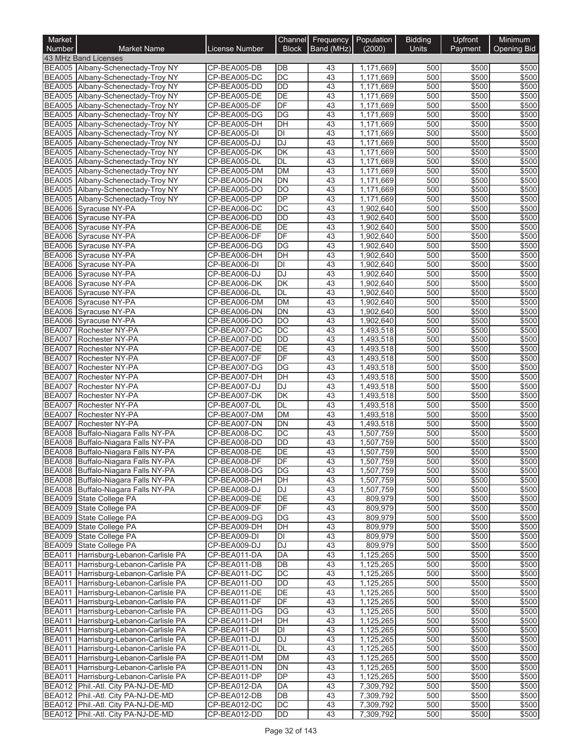| Market                         |                                                                                |                              | Channel                        | Frequency   Population |                        | <b>Bidding</b> | Upfront        | Minimum        |
|--------------------------------|--------------------------------------------------------------------------------|------------------------------|--------------------------------|------------------------|------------------------|----------------|----------------|----------------|
| Number                         | <b>Market Name</b><br>43 MHz Band Licenses                                     | License Number               | <b>Block</b>                   | Band (MHz)             | (2000)                 | Units          | Payment        | Opening Bid    |
|                                | BEA005 Albany-Schenectady-Troy NY                                              | CP-BEA005-DB                 | DB                             | 43                     | 1,171,669              | 500            | \$500          | \$500          |
|                                | BEA005 Albany-Schenectady-Troy NY                                              | CP-BEA005-DC                 | $\overline{DC}$                | 43                     | 1,171,669              | 500            | \$500          | \$500          |
|                                | BEA005 Albany-Schenectady-Troy NY                                              | CP-BEA005-DD                 | <b>DD</b>                      | 43                     | 1.171.669              | 500            | \$500          | \$500          |
|                                | BEA005 Albany-Schenectady-Troy NY                                              | CP-BEA005-DE                 | DE                             | 43                     | 1,171,669              | 500            | \$500          | \$500          |
|                                | BEA005 Albany-Schenectady-Troy NY<br>BEA005 Albany-Schenectady-Troy NY         | CP-BEA005-DF<br>CP-BEA005-DG | DF<br>DG                       | 43<br>43               | 1,171,669<br>1,171,669 | 500<br>500     | \$500<br>\$500 | \$500<br>\$500 |
|                                | BEA005 Albany-Schenectady-Troy NY                                              | CP-BEA005-DH                 | DH                             | 43                     | 1,171,669              | 500            | \$500          | \$500          |
|                                | BEA005 Albany-Schenectady-Troy NY                                              | CP-BEA005-DI                 | DI                             | 43                     | 1,171,669              | 500            | \$500          | \$500          |
|                                | BEA005 Albany-Schenectady-Troy NY                                              | CP-BEA005-DJ                 | <b>DJ</b>                      | 43                     | 1,171,669              | 500            | \$500          | \$500          |
|                                | BEA005 Albany-Schenectady-Troy NY                                              | CP-BEA005-DK                 | DK                             | 43                     | 1,171,669              | 500            | \$500          | \$500          |
|                                | BEA005 Albany-Schenectady-Troy NY                                              | CP-BEA005-DL                 | <b>DL</b>                      | 43                     | 1,171,669              | 500            | \$500          | \$500          |
|                                | BEA005 Albany-Schenectady-Troy NY<br>BEA005 Albany-Schenectady-Troy NY         | CP-BEA005-DM<br>CP-BEA005-DN | <b>DM</b><br><b>DN</b>         | 43<br>43               | 1,171,669<br>1,171,669 | 500<br>500     | \$500<br>\$500 | \$500<br>\$500 |
|                                | BEA005 Albany-Schenectady-Troy NY                                              | CP-BEA005-DO                 | DO                             | 43                     | 1,171,669              | 500            | \$500          | \$500          |
| <b>BEA005</b>                  | Albany-Schenectady-Troy NY                                                     | CP-BEA005-DP                 | DP                             | 43                     | 1,171,669              | 500            | \$500          | \$500          |
| <b>BEA006</b>                  | Syracuse NY-PA                                                                 | CP-BEA006-DC                 | $\overline{DC}$                | 43                     | 1,902,640              | 500            | \$500          | \$500          |
|                                | BEA006 Syracuse NY-PA                                                          | CP-BEA006-DD                 | <b>DD</b>                      | 43                     | 1.902.640              | 500            | \$500          | \$500          |
| <b>BEA006</b>                  | Syracuse NY-PA                                                                 | CP-BEA006-DE                 | DE                             | 43                     | 1,902,640              | 500            | \$500          | \$500          |
|                                | BEA006 Syracuse NY-PA                                                          | CP-BEA006-DF                 | DF                             | 43<br>43               | 1,902,640              | 500            | \$500<br>\$500 | \$500          |
| <b>BEA006</b>                  | Syracuse NY-PA<br>BEA006 Svracuse NY-PA                                        | CP-BEA006-DG<br>CP-BEA006-DH | DG<br>DH                       | 43                     | 1,902,640<br>1,902,640 | 500<br>500     | \$500          | \$500<br>\$500 |
|                                | BEA006 Syracuse NY-PA                                                          | CP-BEA006-DI                 | DI                             | 43                     | 1,902,640              | 500            | \$500          | \$500          |
| <b>BEA006</b>                  | Syracuse NY-PA                                                                 | CP-BEA006-DJ                 | <b>DJ</b>                      | 43                     | 1,902,640              | 500            | \$500          | \$500          |
| <b>BEA006</b>                  | Syracuse NY-PA                                                                 | CP-BEA006-DK                 | <b>DK</b>                      | 43                     | 1,902,640              | 500            | \$500          | \$500          |
| <b>BEA006</b>                  | Syracuse NY-PA                                                                 | CP-BEA006-DL                 | <b>DL</b>                      | 43                     | 1,902,640              | 500            | \$500          | \$500          |
| <b>BEA006</b>                  | Syracuse NY-PA                                                                 | CP-BEA006-DM                 | <b>DM</b>                      | 43                     | 1,902,640              | 500            | \$500          | \$500          |
| <b>BEA006</b><br><b>BEA006</b> | Syracuse NY-PA                                                                 | CP-BEA006-DN                 | <b>DN</b>                      | 43                     | 1,902,640              | 500            | \$500          | \$500          |
| <b>BEA007</b>                  | Syracuse NY-PA<br>Rochester NY-PA                                              | CP-BEA006-DO<br>CP-BEA007-DC | DO<br>DC                       | 43<br>43               | 1,902,640<br>1,493,518 | 500<br>500     | \$500<br>\$500 | \$500<br>\$500 |
| <b>BEA007</b>                  | Rochester NY-PA                                                                | CP-BEA007-DD                 | <b>DD</b>                      | 43                     | 1,493,518              | 500            | \$500          | \$500          |
| <b>BEA007</b>                  | Rochester NY-PA                                                                | CP-BEA007-DE                 | $\overline{DE}$                | 43                     | 1,493,518              | 500            | \$500          | \$500          |
| <b>BEA007</b>                  | Rochester NY-PA                                                                | CP-BEA007-DF                 | DF                             | 43                     | 1,493,518              | 500            | \$500          | \$500          |
| <b>BEA007</b>                  | Rochester NY-PA                                                                | CP-BEA007-DG                 | $\overline{DG}$                | 43                     | 1,493,518              | 500            | \$500          | \$500          |
| <b>BEA007</b>                  | Rochester NY-PA                                                                | CP-BEA007-DH                 | $\overline{DH}$                | 43                     | 1,493,518              | 500            | \$500          | \$500          |
| <b>BEA007</b><br><b>BEA007</b> | Rochester NY-PA<br><b>Rochester NY-PA</b>                                      | CP-BEA007-DJ<br>CP-BEA007-DK | DJ<br>$\overline{\mathsf{DK}}$ | 43<br>43               | 1,493,518<br>1,493,518 | 500<br>500     | \$500<br>\$500 | \$500<br>\$500 |
| <b>BEA007</b>                  | Rochester NY-PA                                                                | CP-BEA007-DL                 | DL                             | 43                     | 1,493,518              | 500            | \$500          | \$500          |
| <b>BEA007</b>                  | <b>Rochester NY-PA</b>                                                         | CP-BEA007-DM                 | <b>DM</b>                      | 43                     | 1,493,518              | 500            | \$500          | \$500          |
| <b>BEA007</b>                  | Rochester NY-PA                                                                | CP-BEA007-DN                 | <b>DN</b>                      | 43                     | 1,493,518              | 500            | \$500          | \$500          |
| <b>BEA008</b>                  | Buffalo-Niagara Falls NY-PA                                                    | CP-BEA008-DC                 | $\overline{DC}$                | 43                     | 1,507,759              | 500            | \$500          | \$500          |
| <b>BEA008</b>                  | Buffalo-Niagara Falls NY-PA                                                    | CP-BEA008-DD                 | $\overline{DD}$                | 43                     | 1,507,759              | 500            | \$500          | \$500          |
|                                | BEA008 Buffalo-Niagara Falls NY-PA                                             | CP-BEA008-DE                 | $\overline{DE}$                | 43                     | 1,507,759              | 500            | \$500          | \$500          |
|                                | BEA008 Buffalo-Niagara Falls NY-PA<br>BEA008 Buffalo-Niagara Falls NY-PA       | CP-BEA008-DF<br>CP-BEA008-DG | DF<br>DG                       | 43<br>43               | 1,507,759<br>1,507,759 | 500<br>500     | \$500<br>\$500 | \$500<br>\$500 |
|                                | BEA008 Buffalo-Niagara Falls NY-PA                                             | CP-BEA008-DH                 | DH                             | 43                     | 1,507,759              | 500            | \$500          | \$500          |
|                                | BEA008 Buffalo-Niagara Falls NY-PA                                             | CP-BEA008-DJ                 | DJ                             | 43                     | 1,507,759              | 500            | \$500          | \$500          |
|                                | BEA009 State College PA                                                        | CP-BEA009-DE                 | DE                             | 43                     | 809,979                | 500            | \$500          | \$500          |
|                                | BEA009 State College PA                                                        | CP-BEA009-DF                 | DF                             | 43                     | 809.979                | 500            | \$500          | \$500          |
|                                | BEA009 State College PA                                                        | CP-BEA009-DG                 | DG                             | 43                     | 809,979                | 500            | \$500          | \$500          |
|                                | BEA009 State College PA<br>BEA009 State College PA                             | CP-BEA009-DH                 | DH<br>DI                       | 43                     | 809,979                | 500            | \$500          | \$500<br>\$500 |
|                                | BEA009 State College PA                                                        | CP-BEA009-DI<br>CP-BEA009-DJ | DJ                             | 43<br>43               | 809,979<br>809,979     | 500<br>500     | \$500<br>\$500 | \$500          |
|                                | BEA011 Harrisburg-Lebanon-Carlisle PA                                          | CP-BEA011-DA                 | DA                             | 43                     | 1,125,265              | 500            | \$500          | \$500          |
|                                | BEA011 Harrisburg-Lebanon-Carlisle PA                                          | CP-BEA011-DB                 | DB                             | 43                     | 1,125,265              | 500            | \$500          | \$500          |
|                                | BEA011 Harrisburg-Lebanon-Carlisle PA                                          | CP-BEA011-DC                 | DC                             | 43                     | 1,125,265              | 500            | \$500          | \$500          |
|                                | BEA011 Harrisburg-Lebanon-Carlisle PA                                          | CP-BEA011-DD                 | DD                             | 43                     | 1,125,265              | 500            | \$500          | \$500          |
|                                | BEA011 Harrisburg-Lebanon-Carlisle PA                                          | CP-BEA011-DE                 | DE                             | 43                     | 1,125,265              | 500            | \$500          | \$500          |
|                                | BEA011 Harrisburg-Lebanon-Carlisle PA<br>BEA011 Harrisburg-Lebanon-Carlisle PA | CP-BEA011-DF<br>CP-BEA011-DG | DF<br>DG                       | 43<br>43               | 1,125,265<br>1,125,265 | 500<br>500     | \$500<br>\$500 | \$500<br>\$500 |
|                                | BEA011 Harrisburg-Lebanon-Carlisle PA                                          | CP-BEA011-DH                 | DH                             | 43                     | 1,125,265              | 500            | \$500          | \$500          |
|                                | BEA011 Harrisburg-Lebanon-Carlisle PA                                          | CP-BEA011-DI                 | DI                             | 43                     | 1,125,265              | 500            | \$500          | \$500          |
|                                | BEA011 Harrisburg-Lebanon-Carlisle PA                                          | CP-BEA011-DJ                 | DJ                             | 43                     | 1,125,265              | 500            | \$500          | \$500          |
|                                | BEA011 Harrisburg-Lebanon-Carlisle PA                                          | CP-BEA011-DL                 | DL                             | 43                     | 1,125,265              | 500            | \$500          | \$500          |
|                                | BEA011 Harrisburg-Lebanon-Carlisle PA                                          | CP-BEA011-DM                 | <b>DM</b>                      | 43                     | 1,125,265              | 500            | \$500          | \$500          |
|                                | BEA011 Harrisburg-Lebanon-Carlisle PA                                          | CP-BEA011-DN                 | DN                             | 43                     | 1,125,265              | 500            | \$500          | \$500          |
|                                | BEA011 Harrisburg-Lebanon-Carlisle PA<br>BEA012 Phil.-Atl. City PA-NJ-DE-MD    | CP-BEA011-DP<br>CP-BEA012-DA | DP<br>DA                       | 43<br>43               | 1,125,265<br>7,309,792 | 500<br>500     | \$500<br>\$500 | \$500<br>\$500 |
|                                | BEA012 Phil.-Atl. City PA-NJ-DE-MD                                             | CP-BEA012-DB                 | DB                             | 43                     | 7,309,792              | 500            | \$500          | \$500          |
|                                | BEA012 Phil.-Atl. City PA-NJ-DE-MD                                             | CP-BEA012-DC                 | DC                             | 43                     | 7,309,792              | 500            | \$500          | \$500          |
|                                | BEA012 Phil.-Atl. City PA-NJ-DE-MD                                             | CP-BEA012-DD                 | DD                             | $\overline{43}$        | 7,309,792              | 500            | \$500          | \$500          |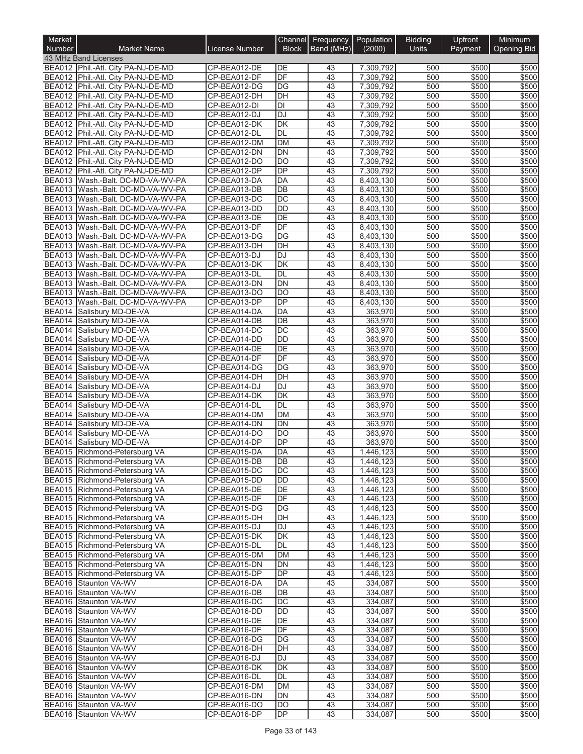| Market        |                                                                          |                              | Channel               | Frequency<br>Band (MHz) | Population             | <b>Bidding</b> | Upfront        | Minimum        |
|---------------|--------------------------------------------------------------------------|------------------------------|-----------------------|-------------------------|------------------------|----------------|----------------|----------------|
| Number        | <b>Market Name</b><br>43 MHz Band Licenses                               | License Number               | <b>Block</b>          |                         | (2000)                 | <b>Units</b>   | Payment        | Opening Bid    |
|               | BEA012 Phil.-Atl. City PA-NJ-DE-MD                                       | CP-BEA012-DE                 | DE                    | 43                      | 7,309,792              | 500            | \$500          | \$500          |
|               | BEA012 Phil.-Atl. City PA-NJ-DE-MD                                       | CP-BEA012-DF                 | DF                    | 43                      | 7,309,792              | 500            | \$500          | \$500          |
|               | BEA012 Phil.-Atl. City PA-NJ-DE-MD                                       | CP-BEA012-DG                 | DG                    | 43                      | 7,309,792              | 500            | \$500          | \$500          |
|               | BEA012 Phil.-Atl. City PA-NJ-DE-MD                                       | CP-BEA012-DH                 | $\overline{DH}$       | 43                      | 7,309,792              | 500            | \$500          | \$500          |
|               | BEA012 Phil.-Atl. City PA-NJ-DE-MD<br>BEA012 Phil.-Atl. City PA-NJ-DE-MD | CP-BEA012-DI<br>CP-BEA012-DJ | DI<br>DJ              | 43<br>43                | 7,309,792<br>7,309,792 | 500<br>500     | \$500<br>\$500 | \$500<br>\$500 |
|               | BEA012 Phil.-Atl. City PA-NJ-DE-MD                                       | CP-BEA012-DK                 | DK                    | 43                      | 7,309,792              | 500            | \$500          | \$500          |
|               | BEA012 Phil.-Atl. City PA-NJ-DE-MD                                       | CP-BEA012-DL                 | DL                    | 43                      | 7.309.792              | 500            | \$500          | \$500          |
|               | BEA012 Phil.-Atl. City PA-NJ-DE-MD                                       | CP-BEA012-DM                 | <b>DM</b>             | 43                      | 7,309,792              | 500            | \$500          | \$500          |
|               | BEA012 Phil.-Atl. City PA-NJ-DE-MD                                       | CP-BEA012-DN                 | DN                    | 43                      | 7,309,792              | 500            | \$500          | \$500          |
|               | BEA012 Phil.-Atl. City PA-NJ-DE-MD                                       | CP-BEA012-DO                 | DO                    | 43                      | 7,309,792              | 500            | \$500          | \$500          |
| <b>BEA012</b> | Phil.-Atl. City PA-NJ-DE-MD                                              | CP-BEA012-DP                 | <b>DP</b>             | 43                      | 7,309,792              | 500            | \$500          | \$500          |
|               | BEA013 Wash.-Balt. DC-MD-VA-WV-PA<br>BEA013 Wash.-Balt. DC-MD-VA-WV-PA   | CP-BEA013-DA<br>CP-BEA013-DB | DA<br>DB              | 43<br>43                | 8,403,130<br>8,403,130 | 500<br>500     | \$500<br>\$500 | \$500<br>\$500 |
|               | BEA013 Wash.-Balt. DC-MD-VA-WV-PA                                        | CP-BEA013-DC                 | DC                    | 43                      | 8,403,130              | 500            | \$500          | \$500          |
|               | BEA013 Wash.-Balt. DC-MD-VA-WV-PA                                        | CP-BEA013-DD                 | <b>DD</b>             | 43                      | 8,403,130              | 500            | \$500          | \$500          |
|               | BEA013 Wash.-Balt. DC-MD-VA-WV-PA                                        | CP-BEA013-DE                 | DE                    | 43                      | 8,403,130              | 500            | \$500          | \$500          |
|               | BEA013 Wash.-Balt. DC-MD-VA-WV-PA                                        | CP-BEA013-DF                 | DF                    | 43                      | 8,403,130              | 500            | \$500          | \$500          |
|               | BEA013 Wash.-Balt. DC-MD-VA-WV-PA                                        | CP-BEA013-DG                 | DG                    | 43                      | 8,403,130              | 500            | \$500          | \$500          |
|               | BEA013 Wash.-Balt. DC-MD-VA-WV-PA                                        | CP-BEA013-DH                 | DH                    | 43                      | 8,403,130              | 500            | \$500          | \$500          |
|               | BEA013 Wash.-Balt. DC-MD-VA-WV-PA                                        | CP-BEA013-DJ                 | DJ                    | 43                      | 8,403,130              | 500            | \$500          | \$500          |
|               | BEA013 Wash.-Balt. DC-MD-VA-WV-PA<br>BEA013 Wash.-Balt. DC-MD-VA-WV-PA   | CP-BEA013-DK<br>CP-BEA013-DL | DK<br>DL              | 43<br>43                | 8.403.130              | 500            | \$500          | \$500          |
|               | BEA013 Wash.-Balt. DC-MD-VA-WV-PA                                        | CP-BEA013-DN                 | <b>DN</b>             | 43                      | 8,403,130<br>8,403,130 | 500<br>500     | \$500<br>\$500 | \$500<br>\$500 |
|               | BEA013 Wash.-Balt. DC-MD-VA-WV-PA                                        | CP-BEA013-DO                 | DO                    | 43                      | 8,403,130              | 500            | \$500          | \$500          |
|               | BEA013 Wash.-Balt. DC-MD-VA-WV-PA                                        | CP-BEA013-DP                 | $\overline{DP}$       | 43                      | 8,403,130              | 500            | \$500          | \$500          |
|               | BEA014 Salisbury MD-DE-VA                                                | CP-BEA014-DA                 | DA                    | 43                      | 363,970                | 500            | \$500          | \$500          |
|               | BEA014 Salisbury MD-DE-VA                                                | CP-BEA014-DB                 | DB                    | 43                      | 363,970                | 500            | \$500          | \$500          |
| BEA014        | Salisbury MD-DE-VA                                                       | CP-BEA014-DC                 | $\overline{DC}$       | 43                      | 363,970                | 500            | \$500          | \$500          |
|               | BEA014 Salisbury MD-DE-VA                                                | CP-BEA014-DD                 | <b>DD</b>             | 43                      | 363,970                | 500            | \$500          | \$500          |
|               | BEA014 Salisbury MD-DE-VA                                                | CP-BEA014-DE                 | DE                    | 43                      | 363,970                | 500            | \$500          | \$500          |
|               | BEA014 Salisbury MD-DE-VA<br>BEA014 Salisbury MD-DE-VA                   | CP-BEA014-DF                 | DF<br>$\overline{DG}$ | 43<br>43                | 363,970                | 500<br>500     | \$500<br>\$500 | \$500<br>\$500 |
| <b>BEA014</b> | Salisbury MD-DE-VA                                                       | CP-BEA014-DG<br>CP-BEA014-DH | DH                    | 43                      | 363,970<br>363,970     | 500            | \$500          | \$500          |
|               | BEA014 Salisbury MD-DE-VA                                                | CP-BEA014-DJ                 | DJ                    | 43                      | 363,970                | 500            | \$500          | \$500          |
|               | BEA014 Salisbury MD-DE-VA                                                | CP-BEA014-DK                 | DK                    | 43                      | 363,970                | 500            | \$500          | \$500          |
| <b>BEA014</b> | Salisbury MD-DE-VA                                                       | CP-BEA014-DL                 | DL                    | 43                      | 363,970                | 500            | \$500          | \$500          |
| <b>BEA014</b> | Salisburv MD-DE-VA                                                       | CP-BEA014-DM                 | <b>DM</b>             | 43                      | 363,970                | 500            | \$500          | \$500          |
|               | BEA014 Salisbury MD-DE-VA                                                | CP-BEA014-DN                 | DN                    | 43                      | 363,970                | 500            | \$500          | \$500          |
| <b>BEA014</b> | Salisbury MD-DE-VA                                                       | CP-BEA014-DO                 | DO                    | 43                      | 363,970                | 500            | \$500          | \$500          |
|               | BEA014 Salisbury MD-DE-VA                                                | CP-BEA014-DP                 | <b>DP</b>             | 43<br>43                | 363,970<br>1.446.123   | 500            | \$500          | \$500          |
|               | BEA015 Richmond-Petersburg VA                                            | CP-BEA015-DA<br>CP-BEA015-DB | DA                    |                         |                        | 500            | \$500          | \$500          |
|               | BEA015 Richmond-Petersburg VA<br>BEA015 Richmond-Petersburg VA           | CP-BEA015-DC                 | DB<br>DC              | 43<br>43                | 1,446,123<br>1,446,123 | 500<br>500     | \$500<br>\$500 | \$500<br>\$500 |
|               | BEA015 Richmond-Petersburg VA                                            | CP-BEA015-DD                 | DD                    | 43                      | 1,446,123              | 500            | \$500          | \$500          |
|               | BEA015 Richmond-Petersburg VA                                            | CP-BEA015-DE                 | DE                    | 43                      | 1,446,123              | 500            | \$500          | \$500          |
|               | BEA015 Richmond-Petersburg VA                                            | CP-BEA015-DF                 | DF                    | 43                      | 1,446,123              | 500            | \$500          | \$500          |
|               | BEA015 Richmond-Petersburg VA                                            | CP-BEA015-DG                 | DG                    | 43                      | 1,446,123              | 500            | \$500          | \$500          |
|               | BEA015 Richmond-Petersburg VA                                            | CP-BEA015-DH                 | DH                    | 43                      | 1,446,123              | 500            | \$500          | \$500          |
|               | BEA015 Richmond-Petersburg VA                                            | CP-BEA015-DJ                 | <b>DJ</b>             | 43                      | 1,446,123              | 500            | \$500          | \$500          |
|               | BEA015 Richmond-Petersburg VA<br>BEA015 Richmond-Petersburg VA           | CP-BEA015-DK<br>CP-BEA015-DL | DK<br>DL              | 43<br>43                | 1,446,123<br>1,446,123 | 500<br>500     | \$500<br>\$500 | \$500<br>\$500 |
|               | BEA015 Richmond-Petersburg VA                                            | CP-BEA015-DM                 | <b>DM</b>             | 43                      | 1,446,123              | 500            | \$500          | \$500          |
|               | BEA015 Richmond-Petersburg VA                                            | CP-BEA015-DN                 | DN                    | 43                      | 1,446,123              | 500            | \$500          | \$500          |
|               | BEA015 Richmond-Petersburg VA                                            | CP-BEA015-DP                 | <b>DP</b>             | 43                      | 1,446,123              | 500            | \$500          | \$500          |
|               | BEA016 Staunton VA-WV                                                    | CP-BEA016-DA                 | DA                    | 43                      | 334,087                | 500            | \$500          | \$500          |
|               | BEA016 Staunton VA-WV                                                    | CP-BEA016-DB                 | DB                    | 43                      | 334,087                | 500            | \$500          | \$500          |
|               | BEA016 Staunton VA-WV                                                    | CP-BEA016-DC                 | $\overline{DC}$       | 43                      | 334,087                | 500            | \$500          | \$500          |
|               | BEA016 Staunton VA-WV                                                    | CP-BEA016-DD                 | DD                    | 43                      | 334,087                | 500            | \$500          | \$500          |
|               | BEA016 Staunton VA-WV<br>BEA016 Staunton VA-WV                           | CP-BEA016-DE<br>CP-BEA016-DF | DE<br>DF              | 43<br>43                | 334,087<br>334,087     | 500<br>500     | \$500<br>\$500 | \$500<br>\$500 |
|               | BEA016 Staunton VA-WV                                                    | CP-BEA016-DG                 | DG                    | 43                      | 334,087                | 500            | \$500          | \$500          |
|               | BEA016 Staunton VA-WV                                                    | CP-BEA016-DH                 | DH                    | 43                      | 334,087                | 500            | \$500          | \$500          |
|               | BEA016 Staunton VA-WV                                                    | CP-BEA016-DJ                 | DJ                    | 43                      | 334,087                | 500            | \$500          | \$500          |
|               | BEA016 Staunton VA-WV                                                    | CP-BEA016-DK                 | DK                    | 43                      | 334,087                | 500            | \$500          | \$500          |
|               | BEA016 Staunton VA-WV                                                    | CP-BEA016-DL                 | DL                    | 43                      | 334,087                | 500            | \$500          | \$500          |
|               | BEA016 Staunton VA-WV                                                    | CP-BEA016-DM                 | <b>DM</b>             | 43                      | 334,087                | 500            | \$500          | \$500          |
|               | BEA016 Staunton VA-WV                                                    | CP-BEA016-DN                 | DN                    | 43                      | 334,087                | 500            | \$500          | \$500          |
|               | BEA016 Staunton VA-WV<br>BEA016 Staunton VA-WV                           | CP-BEA016-DO<br>CP-BEA016-DP | DO<br><b>DP</b>       | 43<br>43                | 334,087<br>334,087     | 500<br>500     | \$500<br>\$500 | \$500<br>\$500 |
|               |                                                                          |                              |                       |                         |                        |                |                |                |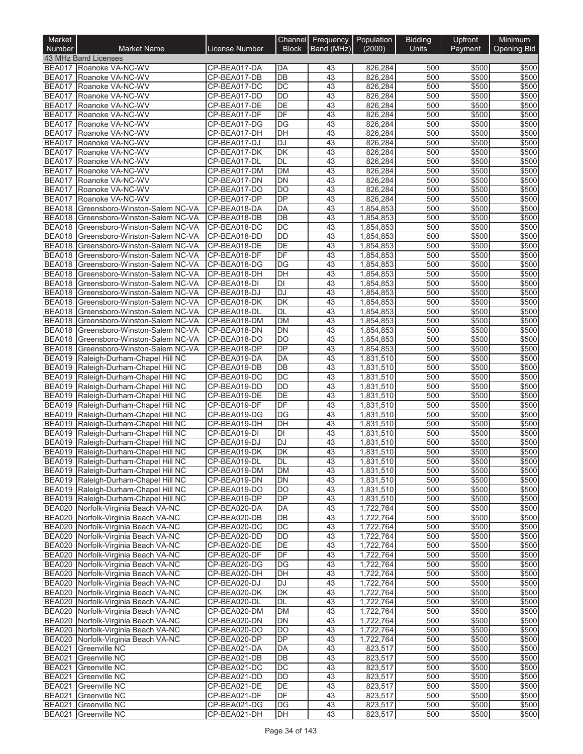| Market<br>Number               | <b>Market Name</b>                                                             | <b>License Number</b>        | Channel<br><b>Block</b> | Frequency<br>Band (MHz) | Population<br>(2000)   | <b>Bidding</b><br><b>Units</b> | Upfront<br>Payment | Minimum<br>Opening Bid |
|--------------------------------|--------------------------------------------------------------------------------|------------------------------|-------------------------|-------------------------|------------------------|--------------------------------|--------------------|------------------------|
|                                | 43 MHz Band Licenses                                                           |                              |                         |                         |                        |                                |                    |                        |
|                                | BEA017 Roanoke VA-NC-WV                                                        | CP-BEA017-DA                 | DA                      | 43                      | 826,284                | 500                            | \$500              | \$500                  |
| BEA017                         | Roanoke VA-NC-WV                                                               | CP-BEA017-DB                 | DB                      | 43                      | 826,284                | 500                            | \$500              | \$500                  |
| <b>BEA017</b>                  | Roanoke VA-NC-WV                                                               | CP-BEA017-DC                 | DC                      | 43                      | 826,284                | 500                            | \$500              | \$500                  |
| <b>BEA017</b>                  | Roanoke VA-NC-WV                                                               | CP-BEA017-DD                 | <b>DD</b>               | 43                      | 826,284                | 500                            | \$500              | \$500                  |
| <b>BEA017</b>                  | Roanoke VA-NC-WV                                                               | CP-BEA017-DE                 | DE                      | 43                      | 826,284                | 500                            | \$500              | \$500                  |
| <b>BEA017</b>                  | Roanoke VA-NC-WV                                                               | CP-BEA017-DF                 | DF<br><b>DG</b>         | 43<br>43                | 826,284                | 500<br>500                     | \$500<br>\$500     | \$500                  |
| <b>BEA017</b><br><b>BEA017</b> | Roanoke VA-NC-WV<br>Roanoke VA-NC-WV                                           | CP-BEA017-DG<br>CP-BEA017-DH | DH                      | 43                      | 826,284<br>826,284     | 500                            | \$500              | \$500<br>\$500         |
| <b>BEA017</b>                  | Roanoke VA-NC-WV                                                               | CP-BEA017-DJ                 | <b>DJ</b>               | 43                      | 826,284                | 500                            | \$500              | \$500                  |
| <b>BEA017</b>                  | Roanoke VA-NC-WV                                                               | CP-BEA017-DK                 | <b>DK</b>               | 43                      | 826,284                | 500                            | \$500              | \$500                  |
| <b>BEA017</b>                  | Roanoke VA-NC-WV                                                               | CP-BEA017-DL                 | <b>DL</b>               | 43                      | 826,284                | 500                            | \$500              | \$500                  |
| <b>BEA017</b>                  | Roanoke VA-NC-WV                                                               | CP-BEA017-DM                 | <b>DM</b>               | 43                      | 826,284                | 500                            | \$500              | \$500                  |
| <b>BEA017</b>                  | Roanoke VA-NC-WV                                                               | CP-BEA017-DN                 | <b>DN</b>               | $\overline{43}$         | 826,284                | 500                            | \$500              | \$500                  |
| <b>BEA017</b>                  | Roanoke VA-NC-WV                                                               | CP-BEA017-DO                 | DO                      | 43                      | 826,284                | 500                            | \$500              | \$500                  |
| BEA017                         | Roanoke VA-NC-WV                                                               | CP-BEA017-DP                 | DP                      | 43                      | 826,284                | 500                            | \$500              | \$500                  |
| BEA018                         | Greensboro-Winston-Salem NC-VA                                                 | CP-BEA018-DA                 | DA                      | 43                      | 1,854,853              | 500                            | \$500              | \$500                  |
| <b>BEA018</b>                  | Greensboro-Winston-Salem NC-VA                                                 | CP-BEA018-DB                 | DB                      | 43                      | 1,854,853              | 500                            | \$500              | \$500                  |
|                                | BEA018 Greensboro-Winston-Salem NC-VA<br>BEA018 Greensboro-Winston-Salem NC-VA | CP-BEA018-DC<br>CP-BEA018-DD | <b>DC</b><br><b>DD</b>  | 43<br>43                | 1,854,853<br>1,854,853 | 500<br>500                     | \$500<br>\$500     | \$500<br>\$500         |
|                                | BEA018 Greensboro-Winston-Salem NC-VA                                          | CP-BEA018-DE                 | DE                      | 43                      | 1,854,853              | 500                            | \$500              | \$500                  |
|                                | BEA018 Greensboro-Winston-Salem NC-VA                                          | CP-BEA018-DF                 | DF                      | 43                      | 1,854,853              | 500                            | \$500              | \$500                  |
|                                | BEA018 Greensboro-Winston-Salem NC-VA                                          | CP-BEA018-DG                 | DG                      | 43                      | 1,854,853              | 500                            | \$500              | \$500                  |
|                                | BEA018 Greensboro-Winston-Salem NC-VA                                          | CP-BEA018-DH                 | DH                      | 43                      | 1,854,853              | 500                            | \$500              | \$500                  |
|                                | BEA018 Greensboro-Winston-Salem NC-VA                                          | CP-BEA018-DI                 | DI                      | $\overline{43}$         | 1,854,853              | 500                            | \$500              | \$500                  |
|                                | BEA018 Greensboro-Winston-Salem NC-VA                                          | CP-BEA018-DJ                 | <b>DJ</b>               | 43                      | 1,854,853              | 500                            | \$500              | \$500                  |
| <b>BEA018</b>                  | Greensboro-Winston-Salem NC-VA                                                 | CP-BEA018-DK                 | <b>DK</b>               | 43                      | 1,854,853              | 500                            | \$500              | \$500                  |
|                                | BEA018 Greensboro-Winston-Salem NC-VA                                          | CP-BEA018-DL                 | DL                      | 43                      | 1,854,853              | 500                            | \$500              | \$500                  |
|                                | BEA018 Greensboro-Winston-Salem NC-VA                                          | CP-BEA018-DM                 | <b>DM</b>               | 43                      | 1,854,853              | 500                            | \$500              | \$500                  |
| <b>BEA018</b>                  | Greensboro-Winston-Salem NC-VA                                                 | CP-BEA018-DN                 | <b>DN</b>               | 43                      | 1,854,853              | 500                            | \$500              | \$500                  |
|                                | BEA018 Greensboro-Winston-Salem NC-VA                                          | CP-BEA018-DO                 | <b>DO</b>               | 43                      | 1,854,853              | 500                            | \$500              | \$500                  |
|                                | BEA018 Greensboro-Winston-Salem NC-VA                                          | CP-BEA018-DP                 | DP                      | $\overline{43}$         | 1,854,853              | 500                            | \$500              | \$500                  |
|                                | BEA019 Raleigh-Durham-Chapel Hill NC<br>BEA019 Raleigh-Durham-Chapel Hill NC   | CP-BEA019-DA<br>CP-BEA019-DB | <b>DA</b><br>DB         | 43<br>43                | 1,831,510<br>1,831,510 | 500<br>500                     | \$500<br>\$500     | \$500<br>\$500         |
|                                | BEA019 Raleigh-Durham-Chapel Hill NC                                           | CP-BEA019-DC                 | <b>DC</b>               | 43                      | 1,831,510              | 500                            | \$500              | \$500                  |
|                                | BEA019 Raleigh-Durham-Chapel Hill NC                                           | CP-BEA019-DD                 | <b>DD</b>               | 43                      | 1,831,510              | 500                            | \$500              | \$500                  |
|                                | BEA019 Raleigh-Durham-Chapel Hill NC                                           | CP-BEA019-DE                 | DE                      | 43                      | 1,831,510              | 500                            | \$500              | \$500                  |
|                                | BEA019 Raleigh-Durham-Chapel Hill NC                                           | CP-BEA019-DF                 | DF                      | 43                      | 1,831,510              | 500                            | \$500              | \$500                  |
|                                | BEA019 Raleigh-Durham-Chapel Hill NC                                           | CP-BEA019-DG                 | <b>DG</b>               | 43                      | 1,831,510              | 500                            | \$500              | \$500                  |
|                                | BEA019 Raleigh-Durham-Chapel Hill NC                                           | CP-BEA019-DH                 | DH                      | 43                      | 1,831,510              | 500                            | \$500              | \$500                  |
| <b>BEA019</b>                  | Raleigh-Durham-Chapel Hill NC                                                  | CP-BEA019-DI                 | DI                      | 43                      | 1,831,510              | 500                            | \$500              | \$500                  |
| <b>BEA019</b>                  | Raleigh-Durham-Chapel Hill NC                                                  | CP-BEA019-DJ                 | DJ                      | 43                      | 1,831,510              | 500                            | \$500              | \$500                  |
|                                | BEA019 Raleigh-Durham-Chapel Hill NC                                           | CP-BEA019-DK                 | DK                      | 43                      | 1,831,510              | 500                            | \$500              | \$500                  |
|                                | BEA019 Raleigh-Durham-Chapel Hill NC                                           | CP-BEA019-DL                 | IDL                     | 43                      | 1,831,510              | 500                            | \$500              | \$500                  |
|                                | BEA019 Raleigh-Durham-Chapel Hill NC                                           | CP-BEA019-DM                 | <b>DM</b>               | 43                      | 1,831,510              | 500                            | \$500              | \$500                  |
|                                | BEA019 Raleigh-Durham-Chapel Hill NC                                           | CP-BEA019-DN                 | DN                      | 43                      | 1,831,510              | 500                            | \$500              | \$500                  |
|                                | BEA019 Raleigh-Durham-Chapel Hill NC<br>BEA019 Raleigh-Durham-Chapel Hill NC   | CP-BEA019-DO<br>CP-BEA019-DP | <b>DO</b><br>DP         | 43<br>43                | 1,831,510<br>1,831,510 | 500<br>500                     | \$500<br>\$500     | \$500<br>\$500         |
|                                | BEA020 Norfolk-Virginia Beach VA-NC                                            | CP-BEA020-DA                 | DA                      | 43                      | 1,722,764              | 500                            | \$500              | \$500                  |
|                                | BEA020 Norfolk-Virginia Beach VA-NC                                            | CP-BEA020-DB                 | DB                      | 43                      | 1,722,764              | 500                            | \$500              | \$500                  |
|                                | BEA020 Norfolk-Virginia Beach VA-NC                                            | CP-BEA020-DC                 | <b>DC</b>               | 43                      | 1,722,764              | 500                            | \$500              | \$500                  |
|                                | BEA020 Norfolk-Virginia Beach VA-NC                                            | CP-BEA020-DD                 | DD                      | 43                      | 1,722,764              | 500                            | \$500              | \$500                  |
|                                | BEA020 Norfolk-Virginia Beach VA-NC                                            | CP-BEA020-DE                 | DE                      | 43                      | 1,722,764              | 500                            | \$500              | \$500                  |
|                                | BEA020 Norfolk-Virginia Beach VA-NC                                            | CP-BEA020-DF                 | DF                      | 43                      | 1,722,764              | 500                            | \$500              | \$500                  |
|                                | BEA020 Norfolk-Virginia Beach VA-NC                                            | CP-BEA020-DG                 | DG                      | 43                      | 1,722,764              | 500                            | \$500              | \$500                  |
|                                | BEA020 Norfolk-Virginia Beach VA-NC                                            | CP-BEA020-DH                 | DH                      | 43                      | 1,722,764              | 500                            | \$500              | \$500                  |
|                                | BEA020 Norfolk-Virginia Beach VA-NC                                            | CP-BEA020-DJ                 | DJ                      | 43                      | 1,722,764              | 500                            | \$500              | \$500                  |
|                                | BEA020 Norfolk-Virginia Beach VA-NC                                            | CP-BEA020-DK                 | DK                      | 43                      | 1,722,764              | 500                            | \$500              | \$500                  |
|                                | BEA020 Norfolk-Virginia Beach VA-NC                                            | CP-BEA020-DL                 | DL                      | 43                      | 1,722,764              | 500                            | \$500              | \$500                  |
|                                | BEA020 Norfolk-Virginia Beach VA-NC                                            | CP-BEA020-DM                 | DM<br><b>DN</b>         | 43<br>43                | 1,722,764              | 500<br>500                     | \$500              | \$500                  |
|                                | BEA020 Norfolk-Virginia Beach VA-NC<br>BEA020 Norfolk-Virginia Beach VA-NC     | CP-BEA020-DN<br>CP-BEA020-DO | DO                      | 43                      | 1,722,764<br>1,722,764 | 500                            | \$500<br>\$500     | \$500<br>\$500         |
|                                | BEA020 Norfolk-Virginia Beach VA-NC                                            | CP-BEA020-DP                 | DP                      | 43                      | 1,722,764              | 500                            | \$500              | \$500                  |
| <b>BEA021</b>                  | Greenville NC                                                                  | CP-BEA021-DA                 | DA                      | 43                      | 823,517                | 500                            | \$500              | \$500                  |
| <b>BEA021</b>                  | Greenville NC                                                                  | CP-BEA021-DB                 | <b>DB</b>               | 43                      | 823,517                | 500                            | \$500              | \$500                  |
| <b>BEA021</b>                  | <b>Greenville NC</b>                                                           | CP-BEA021-DC                 | DC                      | 43                      | 823,517                | 500                            | \$500              | \$500                  |
| <b>BEA021</b>                  | Greenville NC                                                                  | CP-BEA021-DD                 | DD                      | 43                      | 823,517                | 500                            | \$500              | \$500                  |
|                                | BEA021 Greenville NC                                                           | CP-BEA021-DE                 | DE                      | 43                      | 823,517                | 500                            | \$500              | \$500                  |
|                                | BEA021 Greenville NC                                                           | CP-BEA021-DF                 | DF                      | 43                      | 823,517                | 500                            | \$500              | \$500                  |
| <b>BEA021</b>                  | Greenville NC                                                                  | CP-BEA021-DG                 | DG                      | 43                      | 823,517                | 500                            | \$500              | \$500                  |
|                                | BEA021 Greenville NC                                                           | CP-BEA021-DH                 | DH                      | 43                      | 823,517                | 500                            | \$500              | \$500                  |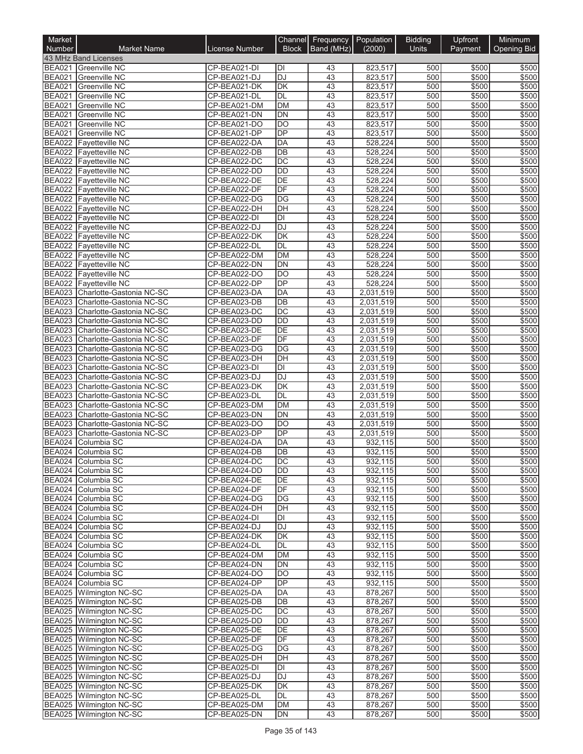| Market<br>Number               | <b>Market Name</b>                                   | License Number               | Channel<br><b>Block</b> | Frequency<br>Band (MHz) | Population<br>(2000)   | <b>Bidding</b><br><b>Units</b> | Upfront<br>Payment | Minimum<br><b>Opening Bid</b> |
|--------------------------------|------------------------------------------------------|------------------------------|-------------------------|-------------------------|------------------------|--------------------------------|--------------------|-------------------------------|
|                                | 43 MHz Band Licenses                                 |                              |                         |                         |                        |                                |                    |                               |
|                                | BEA021 Greenville NC                                 | CP-BEA021-DI                 | DI                      | 43                      | 823,517                | 500                            | \$500              | \$500                         |
| <b>BEA021</b>                  | <b>Greenville NC</b>                                 | CP-BEA021-DJ                 | <b>DJ</b>               | 43                      | 823,517                | 500                            | \$500              | \$500                         |
| <b>BEA021</b>                  | <b>Greenville NC</b>                                 | CP-BEA021-DK                 | DK                      | 43                      | 823,517                | 500                            | \$500              | \$500                         |
| <b>BEA021</b><br><b>BEA021</b> | <b>Greenville NC</b><br><b>Greenville NC</b>         | CP-BEA021-DL                 | <b>DL</b><br><b>DM</b>  | 43<br>43                | 823,517                | 500<br>500                     | \$500<br>\$500     | \$500<br>\$500                |
| <b>BEA021</b>                  | <b>Greenville NC</b>                                 | CP-BEA021-DM<br>CP-BEA021-DN | <b>DN</b>               | 43                      | 823,517<br>823,517     | 500                            | \$500              | \$500                         |
| <b>BEA021</b>                  | <b>Greenville NC</b>                                 | CP-BEA021-DO                 | DO                      | 43                      | 823,517                | 500                            | \$500              | \$500                         |
| <b>BEA021</b>                  | <b>Greenville NC</b>                                 | CP-BEA021-DP                 | <b>DP</b>               | 43                      | 823,517                | 500                            | \$500              | \$500                         |
| <b>BEA022</b>                  | <b>Favetteville NC</b>                               | CP-BEA022-DA                 | DA                      | 43                      | 528,224                | 500                            | \$500              | \$500                         |
| <b>BEA022</b>                  | <b>Fayetteville NC</b>                               | CP-BEA022-DB                 | DB                      | 43                      | 528,224                | 500                            | \$500              | \$500                         |
|                                | <b>BEA022</b> Fayetteville NC                        | CP-BEA022-DC                 | DC                      | 43                      | 528,224                | 500                            | \$500              | \$500                         |
| <b>BEA022</b>                  | <b>Fayetteville NC</b>                               | CP-BEA022-DD                 | <b>DD</b>               | 43                      | 528,224                | 500                            | \$500              | \$500                         |
|                                | BEA022 Fayetteville NC                               | CP-BEA022-DE                 | <b>DE</b>               | 43                      | 528,224                | 500                            | \$500              | \$500                         |
|                                | <b>BEA022</b> Fayetteville NC                        | CP-BEA022-DF                 | DF                      | 43                      | 528,224                | 500                            | \$500              | \$500                         |
| <b>BEA022</b>                  | <b>Fayetteville NC</b>                               | CP-BEA022-DG                 | DG<br>DH                | 43<br>43                | 528,224                | 500<br>500                     | \$500<br>\$500     | \$500                         |
|                                | BEA022 Fayetteville NC<br>BEA022 Fayetteville NC     | CP-BEA022-DH<br>CP-BEA022-DI | $\overline{D}$          | 43                      | 528,224<br>528,224     | 500                            | \$500              | \$500<br>\$500                |
|                                | BEA022 Fayetteville NC                               | CP-BEA022-DJ                 | <b>DJ</b>               | 43                      | 528,224                | 500                            | \$500              | \$500                         |
|                                | <b>BEA022</b> Fayetteville NC                        | CP-BEA022-DK                 | DK                      | 43                      | 528,224                | 500                            | \$500              | \$500                         |
|                                | BEA022 Fayetteville NC                               | CP-BEA022-DL                 | <b>DL</b>               | 43                      | 528,224                | 500                            | \$500              | \$500                         |
|                                | BEA022 Fayetteville NC                               | CP-BEA022-DM                 | <b>DM</b>               | 43                      | 528,224                | 500                            | \$500              | \$500                         |
|                                | BEA022 Fayetteville NC                               | CP-BEA022-DN                 | <b>DN</b>               | 43                      | 528,224                | 500                            | \$500              | \$500                         |
|                                | <b>BEA022</b> Fayetteville NC                        | CP-BEA022-DO                 | <b>DO</b>               | 43                      | 528,224                | 500                            | \$500              | \$500                         |
|                                | BEA022 Fayetteville NC                               | CP-BEA022-DP                 | DP                      | $\overline{43}$         | 528,224                | 500                            | \$500              | \$500                         |
|                                | BEA023 Charlotte-Gastonia NC-SC                      | CP-BEA023-DA                 | DA                      | 43                      | 2,031,519              | 500                            | \$500              | \$500                         |
| <b>BEA023</b>                  | Charlotte-Gastonia NC-SC                             | CP-BEA023-DB                 | DB                      | 43                      | 2,031,519              | 500                            | \$500              | \$500                         |
| <b>BEA023</b>                  | Charlotte-Gastonia NC-SC                             | CP-BEA023-DC                 | DC                      | 43                      | 2,031,519              | 500                            | \$500              | \$500                         |
| <b>BEA023</b>                  | Charlotte-Gastonia NC-SC                             | CP-BEA023-DD                 | <b>DD</b>               | 43                      | 2,031,519              | 500                            | \$500              | \$500                         |
| <b>BEA023</b><br><b>BEA023</b> | Charlotte-Gastonia NC-SC                             | CP-BEA023-DE<br>CP-BEA023-DF | DE<br>DF                | 43<br>43                | 2,031,519              | 500<br>500                     | \$500<br>\$500     | \$500<br>\$500                |
| <b>BEA023</b>                  | Charlotte-Gastonia NC-SC<br>Charlotte-Gastonia NC-SC | CP-BEA023-DG                 | DG                      | 43                      | 2,031,519<br>2,031,519 | 500                            | \$500              | \$500                         |
|                                | BEA023 Charlotte-Gastonia NC-SC                      | CP-BEA023-DH                 | DH                      | 43                      | 2,031,519              | 500                            | \$500              | \$500                         |
| <b>BEA023</b>                  | Charlotte-Gastonia NC-SC                             | CP-BEA023-DI                 | DI                      | 43                      | 2,031,519              | 500                            | \$500              | \$500                         |
|                                | BEA023 Charlotte-Gastonia NC-SC                      | CP-BEA023-DJ                 | <b>DJ</b>               | 43                      | 2,031,519              | 500                            | \$500              | \$500                         |
| <b>BEA023</b>                  | Charlotte-Gastonia NC-SC                             | CP-BEA023-DK                 | <b>DK</b>               | 43                      | 2,031,519              | 500                            | \$500              | \$500                         |
| <b>BEA023</b>                  | Charlotte-Gastonia NC-SC                             | CP-BEA023-DL                 | <b>DL</b>               | 43                      | 2,031,519              | 500                            | \$500              | \$500                         |
| <b>BEA023</b>                  | Charlotte-Gastonia NC-SC                             | CP-BEA023-DM                 | <b>DM</b>               | 43                      | 2,031,519              | 500                            | \$500              | \$500                         |
| <b>BEA023</b>                  | Charlotte-Gastonia NC-SC                             | CP-BEA023-DN                 | <b>DN</b>               | 43                      | 2,031,519              | 500                            | \$500              | \$500                         |
|                                | BEA023 Charlotte-Gastonia NC-SC                      | CP-BEA023-DO                 | DO                      | 43                      | 2,031,519              | 500                            | \$500              | \$500                         |
| <b>BEA023</b>                  | Charlotte-Gastonia NC-SC                             | CP-BEA023-DP                 | DP                      | 43                      | 2,031,519              | 500                            | \$500              | \$500                         |
| <b>BEA024</b>                  | Columbia SC                                          | CP-BEA024-DA                 | DA                      | 43                      | 932,115                | 500                            | \$500              | \$500                         |
| <b>BEA024</b>                  | Columbia SC                                          | CP-BEA024-DB                 | DB                      | 43                      | 932,115                | 500                            | \$500              | \$500                         |
|                                | BEA024 Columbia SC<br>BEA024 Columbia SC             | CP-BEA024-DC<br>CP-BEA024-DD | DC<br><b>DD</b>         | 43<br>43                | 932,115<br>932,115     | 500<br>500                     | \$500<br>\$500     | \$500<br>\$500                |
|                                | BEA024 Columbia SC                                   | CP-BEA024-DE                 | DE                      | 43                      | 932,115                | 500                            | \$500              | \$500                         |
|                                | BEA024 Columbia SC                                   | CP-BEA024-DF                 | DF                      | 43                      | 932,115                | 500                            | \$500              | \$500                         |
|                                | BEA024 Columbia SC                                   | CP-BEA024-DG                 | DG                      | 43                      | 932,115                | 500                            | \$500              | \$500                         |
|                                | BEA024 Columbia SC                                   | CP-BEA024-DH                 | DH                      | 43                      | 932,115                | 500                            | \$500              | \$500                         |
|                                | BEA024 Columbia SC                                   | CP-BEA024-DI                 | DI                      | 43                      | 932,115                | 500                            | \$500              | \$500                         |
|                                | BEA024 Columbia SC                                   | CP-BEA024-DJ                 | <b>DJ</b>               | 43                      | 932,115                | 500                            | \$500              | \$500                         |
|                                | BEA024 Columbia SC                                   | CP-BEA024-DK                 | DK                      | 43                      | 932,115                | 500                            | \$500              | \$500                         |
|                                | BEA024 Columbia SC                                   | CP-BEA024-DL                 | DL                      | 43                      | 932,115                | 500                            | \$500              | \$500                         |
|                                | BEA024 Columbia SC                                   | CP-BEA024-DM                 | DM                      | 43                      | 932,115                | 500                            | \$500              | \$500                         |
|                                | BEA024 Columbia SC                                   | CP-BEA024-DN                 | DN                      | 43                      | 932,115                | 500                            | \$500              | \$500                         |
|                                | BEA024 Columbia SC<br>BEA024 Columbia SC             | CP-BEA024-DO<br>CP-BEA024-DP | <b>DO</b><br><b>DP</b>  | 43<br>43                | 932,115<br>932,115     | 500<br>500                     | \$500<br>\$500     | \$500<br>\$500                |
|                                | BEA025 Wilmington NC-SC                              | CP-BEA025-DA                 | DA                      | 43                      | 878,267                | 500                            | \$500              | \$500                         |
|                                | BEA025 Wilmington NC-SC                              | CP-BEA025-DB                 | DB                      | 43                      | 878,267                | 500                            | \$500              | \$500                         |
|                                | BEA025 Wilmington NC-SC                              | CP-BEA025-DC                 | DC                      | 43                      | 878,267                | 500                            | \$500              | \$500                         |
|                                | BEA025 Wilmington NC-SC                              | CP-BEA025-DD                 | DD                      | 43                      | 878,267                | 500                            | \$500              | \$500                         |
|                                | BEA025 Wilmington NC-SC                              | CP-BEA025-DE                 | DE                      | 43                      | 878,267                | 500                            | \$500              | \$500                         |
|                                | BEA025 Wilmington NC-SC                              | CP-BEA025-DF                 | DF                      | 43                      | 878,267                | 500                            | \$500              | \$500                         |
|                                | BEA025 Wilmington NC-SC                              | CP-BEA025-DG                 | DG                      | 43                      | 878,267                | 500                            | \$500              | \$500                         |
|                                | BEA025 Wilmington NC-SC                              | CP-BEA025-DH                 | DH                      | 43                      | 878,267                | 500                            | \$500              | \$500                         |
|                                | BEA025 Wilmington NC-SC                              | CP-BEA025-DI                 | DI                      | 43                      | 878,267                | 500                            | \$500              | \$500                         |
|                                | BEA025 Wilmington NC-SC                              | CP-BEA025-DJ                 | DJ                      | 43                      | 878,267                | 500                            | \$500              | \$500                         |
|                                | BEA025 Wilmington NC-SC                              | CP-BEA025-DK                 | <b>DK</b>               | 43                      | 878,267                | 500                            | \$500              | \$500                         |
|                                | BEA025 Wilmington NC-SC                              | CP-BEA025-DL                 | DL                      | 43                      | 878,267                | 500                            | \$500              | \$500                         |
|                                | BEA025 Wilmington NC-SC<br>BEA025 Wilmington NC-SC   | CP-BEA025-DM<br>CP-BEA025-DN | <b>DM</b><br>DN         | 43<br>43                | 878,267<br>878,267     | 500<br>500                     | \$500<br>\$500     | \$500<br>\$500                |
|                                |                                                      |                              |                         |                         |                        |                                |                    |                               |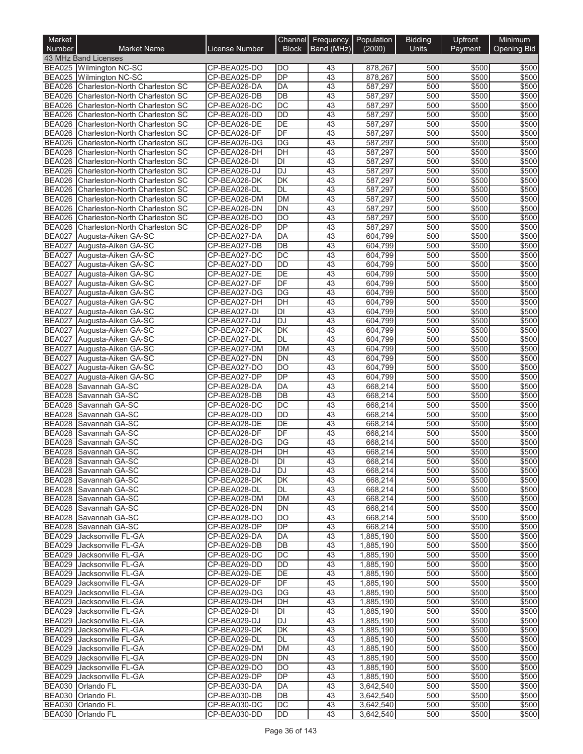| Market<br>Number               | <b>Market Name</b>                                               | License Number               | Channel<br><b>Block</b>  | Frequency<br>Band (MHz) | Population<br>(2000)   | <b>Bidding</b><br><b>Units</b> | Upfront<br>Payment | Minimum<br><b>Opening Bid</b> |
|--------------------------------|------------------------------------------------------------------|------------------------------|--------------------------|-------------------------|------------------------|--------------------------------|--------------------|-------------------------------|
|                                | 43 MHz Band Licenses                                             |                              |                          |                         |                        |                                |                    |                               |
|                                | BEA025 Wilmington NC-SC                                          | CP-BEA025-DO                 | DO                       | 43                      | 878,267                | 500                            | \$500              | \$500                         |
|                                | BEA025 Wilmington NC-SC                                          | CP-BEA025-DP                 | DP                       | 43                      | 878,267                | 500                            | \$500              | \$500                         |
| <b>BEA026</b>                  | Charleston-North Charleston SC                                   | CP-BEA026-DA                 | <b>DA</b>                | 43                      | 587,297                | 500                            | \$500              | \$500                         |
|                                | BEA026 Charleston-North Charleston SC                            | CP-BEA026-DB                 | DB                       | 43                      | 587,297                | 500                            | \$500              | \$500                         |
| <b>BEA026</b>                  | Charleston-North Charleston SC                                   | CP-BEA026-DC                 | $\overline{DC}$          | 43                      | 587,297                | 500                            | \$500              | \$500                         |
|                                | BEA026 Charleston-North Charleston SC                            | CP-BEA026-DD                 | DD                       | 43                      | 587,297                | 500                            | \$500              | \$500                         |
| BEA026                         | Charleston-North Charleston SC                                   | CP-BEA026-DE                 | DE<br>DF                 | 43                      | 587,297                | 500                            | \$500              | \$500                         |
| <b>BEA026</b><br><b>BEA026</b> | Charleston-North Charleston SC<br>Charleston-North Charleston SC | CP-BEA026-DF<br>CP-BEA026-DG | DG                       | 43<br>43                | 587,297<br>587,297     | 500<br>500                     | \$500<br>\$500     | \$500<br>\$500                |
| <b>BEA026</b>                  | Charleston-North Charleston SC                                   | CP-BEA026-DH                 | DH                       | 43                      | 587,297                | 500                            | \$500              | \$500                         |
| <b>BEA026</b>                  | Charleston-North Charleston SC                                   | CP-BEA026-DI                 | $\overline{D}$           | 43                      | 587,297                | 500                            | \$500              | \$500                         |
| <b>BEA026</b>                  | Charleston-North Charleston SC                                   | CP-BEA026-DJ                 | DJ                       | 43                      | 587,297                | 500                            | \$500              | \$500                         |
| BEA026                         | Charleston-North Charleston SC                                   | CP-BEA026-DK                 | <b>DK</b>                | 43                      | 587,297                | 500                            | \$500              | \$500                         |
| <b>BEA026</b>                  | Charleston-North Charleston SC                                   | CP-BEA026-DL                 | DL                       | 43                      | 587,297                | 500                            | \$500              | \$500                         |
| <b>BEA026</b>                  | Charleston-North Charleston SC                                   | CP-BEA026-DM                 | <b>DM</b>                | 43                      | 587,297                | 500                            | \$500              | \$500                         |
| BEA026                         | Charleston-North Charleston SC                                   | CP-BEA026-DN                 | $\overline{DN}$          | 43                      | 587,297                | 500                            | \$500              | \$500                         |
| <b>BEA026</b>                  | Charleston-North Charleston SC                                   | CP-BEA026-DO                 | $\overline{DO}$          | 43                      | 587,297                | 500                            | \$500              | \$500                         |
|                                | BEA026 Charleston-North Charleston SC                            | CP-BEA026-DP                 | DP                       | 43                      | 587,297                | 500                            | \$500              | \$500                         |
|                                | BEA027 Augusta-Aiken GA-SC                                       | CP-BEA027-DA                 | <b>DA</b>                | 43                      | 604,799                | 500                            | \$500              | \$500                         |
| <b>BEA027</b>                  | Augusta-Aiken GA-SC                                              | CP-BEA027-DB                 | DB                       | 43                      | 604,799                | 500                            | \$500              | \$500                         |
| <b>BEA027</b>                  | Augusta-Aiken GA-SC                                              | CP-BEA027-DC                 | $\overline{DC}$          | 43                      | 604,799                | 500                            | \$500              | \$500                         |
| <b>BEA027</b>                  | Augusta-Aiken GA-SC                                              | CP-BEA027-DD                 | <b>DD</b>                | 43                      | 604,799                | 500                            | \$500              | \$500                         |
| <b>BEA027</b><br><b>BEA027</b> | Augusta-Aiken GA-SC                                              | CP-BEA027-DE<br>CP-BEA027-DF | DE<br>DF                 | 43<br>43                | 604,799<br>604,799     | 500<br>500                     | \$500<br>\$500     | \$500<br>\$500                |
| <b>BEA027</b>                  | Augusta-Aiken GA-SC<br>Augusta-Aiken GA-SC                       | CP-BEA027-DG                 | DG                       | 43                      | 604,799                | 500                            | \$500              | \$500                         |
| <b>BEA027</b>                  | Augusta-Aiken GA-SC                                              | CP-BEA027-DH                 | $\overline{DH}$          | 43                      | 604,799                | 500                            | \$500              | \$500                         |
| <b>BEA027</b>                  | Augusta-Aiken GA-SC                                              | CP-BEA027-DI                 | DI                       | 43                      | 604,799                | 500                            | \$500              | \$500                         |
| <b>BEA027</b>                  | Augusta-Aiken GA-SC                                              | CP-BEA027-DJ                 | <b>DJ</b>                | 43                      | 604,799                | 500                            | \$500              | \$500                         |
| <b>BEA027</b>                  | Augusta-Aiken GA-SC                                              | CP-BEA027-DK                 | $\overline{\mathsf{DK}}$ | 43                      | 604,799                | 500                            | \$500              | \$500                         |
| <b>BEA027</b>                  | Augusta-Aiken GA-SC                                              | CP-BEA027-DL                 | DL                       | 43                      | 604,799                | 500                            | \$500              | \$500                         |
| <b>BEA027</b>                  | Augusta-Aiken GA-SC                                              | CP-BEA027-DM                 | <b>DM</b>                | 43                      | 604,799                | 500                            | \$500              | \$500                         |
| <b>BEA027</b>                  | Augusta-Aiken GA-SC                                              | CP-BEA027-DN                 | <b>DN</b>                | 43                      | 604,799                | 500                            | \$500              | \$500                         |
|                                | BEA027 Augusta-Aiken GA-SC                                       | CP-BEA027-DO                 | DO                       | 43                      | 604,799                | 500                            | \$500              | \$500                         |
| <b>BEA027</b>                  | Augusta-Aiken GA-SC                                              | CP-BEA027-DP                 | DP                       | 43                      | 604,799                | 500                            | \$500              | \$500                         |
| <b>BEA028</b>                  | Savannah GA-SC                                                   | CP-BEA028-DA                 | DA                       | 43                      | 668,214                | 500                            | \$500              | \$500                         |
| <b>BEA028</b>                  | Savannah GA-SC                                                   | CP-BEA028-DB                 | DB                       | 43                      | 668,214                | 500                            | \$500              | \$500                         |
| <b>BEA028</b>                  | Savannah GA-SC                                                   | CP-BEA028-DC                 | DC                       | 43                      | 668,214                | 500                            | \$500              | \$500                         |
| <b>BEA028</b>                  | Savannah GA-SC                                                   | CP-BEA028-DD                 | <b>DD</b>                | 43                      | 668,214                | 500                            | \$500              | \$500                         |
| <b>BEA028</b>                  | Savannah GA-SC                                                   | CP-BEA028-DE                 | $\overline{DE}$          | 43                      | 668,214                | 500                            | \$500              | \$500                         |
| <b>BEA028</b>                  | Savannah GA-SC                                                   | CP-BEA028-DF                 | DF                       | 43                      | 668,214                | 500                            | \$500              | \$500                         |
| <b>BEA028</b><br><b>BEA028</b> | Savannah GA-SC<br>Savannah GA-SC                                 | CP-BEA028-DG<br>CP-BEA028-DH | DG<br>$\overline{DH}$    | 43<br>$\overline{43}$   | 668,214<br>668.214     | 500<br>500                     | \$500<br>\$500     | \$500<br>\$500                |
|                                |                                                                  | CP-BEA028-DI                 |                          |                         |                        |                                | \$500              |                               |
|                                | BEA028   Savannah GA-SC<br>BEA028 Savannah GA-SC                 | CP-BEA028-DJ                 | IЫ<br><b>DJ</b>          | 43<br>43                | 668,214<br>668,214     | 500<br>500                     | \$500              | \$500<br>\$500                |
|                                | BEA028 Savannah GA-SC                                            | CP-BEA028-DK                 | DK                       | 43                      | 668,214                | 500                            | \$500              | \$500                         |
|                                | BEA028 Savannah GA-SC                                            | CP-BEA028-DL                 | DL                       | 43                      | 668,214                | 500                            | \$500              | \$500                         |
|                                | BEA028 Savannah GA-SC                                            | CP-BEA028-DM                 | DM                       | 43                      | 668,214                | 500                            | \$500              | \$500                         |
|                                | BEA028 Savannah GA-SC                                            | CP-BEA028-DN                 | DN                       | 43                      | 668,214                | 500                            | \$500              | \$500                         |
|                                | BEA028 Savannah GA-SC                                            | CP-BEA028-DO                 | DO                       | 43                      | 668,214                | 500                            | \$500              | \$500                         |
|                                | BEA028 Savannah GA-SC                                            | CP-BEA028-DP                 | DP                       | 43                      | 668,214                | 500                            | \$500              | \$500                         |
|                                | BEA029 Jacksonville FL-GA                                        | CP-BEA029-DA                 | DA                       | 43                      | 1,885,190              | 500                            | \$500              | \$500                         |
|                                | BEA029 Jacksonville FL-GA                                        | CP-BEA029-DB                 | DB                       | 43                      | 1,885,190              | 500                            | \$500              | \$500                         |
|                                | BEA029 Jacksonville FL-GA                                        | CP-BEA029-DC                 | DC                       | 43                      | 1,885,190              | 500                            | \$500              | \$500                         |
|                                | BEA029 Jacksonville FL-GA                                        | CP-BEA029-DD                 | DD                       | 43                      | 1,885,190              | 500                            | \$500              | \$500                         |
|                                | BEA029 Jacksonville FL-GA                                        | CP-BEA029-DE                 | DE                       | 43                      | 1,885,190              | 500                            | \$500              | \$500                         |
|                                | BEA029 Jacksonville FL-GA                                        | CP-BEA029-DF                 | DF                       | 43                      | 1,885,190              | 500                            | \$500              | \$500                         |
|                                | BEA029 Jacksonville FL-GA                                        | CP-BEA029-DG                 | DG                       | 43                      | 1,885,190              | 500                            | \$500              | \$500                         |
|                                | BEA029 Jacksonville FL-GA                                        | CP-BEA029-DH                 | DH                       | 43                      | 1,885,190              | 500                            | \$500              | \$500                         |
|                                | BEA029 Jacksonville FL-GA<br>BEA029 Jacksonville FL-GA           | CP-BEA029-DI<br>CP-BEA029-DJ | DI<br>DJ                 | 43<br>43                | 1,885,190<br>1,885,190 | 500<br>500                     | \$500<br>\$500     | \$500<br>\$500                |
|                                | BEA029 Jacksonville FL-GA                                        | CP-BEA029-DK                 | DK                       | 43                      | 1,885,190              | 500                            | \$500              | \$500                         |
|                                | BEA029 Jacksonville FL-GA                                        | CP-BEA029-DL                 | DL                       | 43                      | 1,885,190              | 500                            | \$500              | \$500                         |
|                                | BEA029 Jacksonville FL-GA                                        | CP-BEA029-DM                 | DM                       | 43                      | 1,885,190              | 500                            | \$500              | \$500                         |
|                                | BEA029 Jacksonville FL-GA                                        | CP-BEA029-DN                 | <b>DN</b>                | 43                      | 1,885,190              | 500                            | \$500              | \$500                         |
|                                | BEA029 Jacksonville FL-GA                                        | CP-BEA029-DO                 | DO                       | 43                      | 1,885,190              | 500                            | \$500              | \$500                         |
|                                | BEA029 Jacksonville FL-GA                                        | CP-BEA029-DP                 | DP                       | 43                      | 1,885,190              | 500                            | \$500              | \$500                         |
|                                | BEA030 Orlando FL                                                | CP-BEA030-DA                 | DA                       | 43                      | 3,642,540              | 500                            | \$500              | \$500                         |
|                                | BEA030 Orlando FL                                                | CP-BEA030-DB                 | DB                       | 43                      | 3,642,540              | 500                            | \$500              | \$500                         |
|                                | BEA030 Orlando FL                                                | CP-BEA030-DC                 | DC.                      | 43                      | 3,642,540              | 500                            | \$500              | \$500                         |
|                                | BEA030 Orlando FL                                                | CP-BEA030-DD                 | DD                       | 43                      | 3,642,540              | 500                            | \$500              | \$500                         |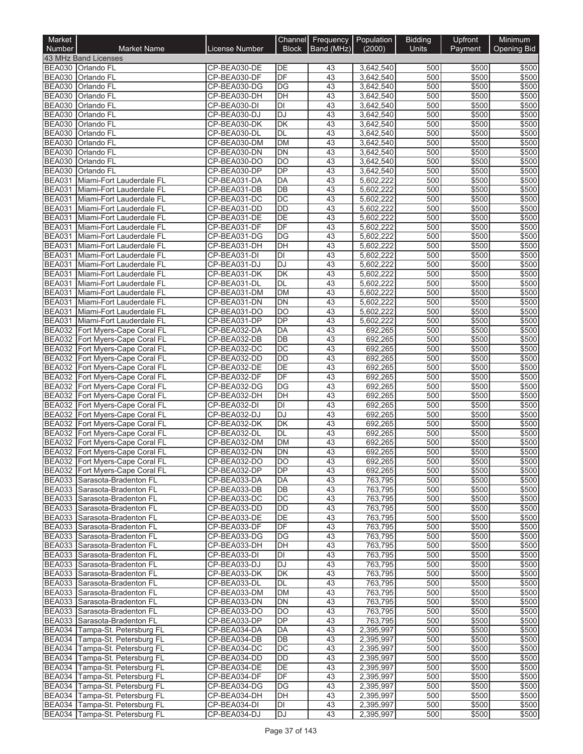| Market<br><b>Number</b>        | <b>Market Name</b>                                                 | License Number               | Channel<br><b>Block</b> | Frequency<br>Band (MHz) | Population<br>(2000)   | <b>Bidding</b><br><b>Units</b> | Upfront<br>Payment | Minimum<br><b>Opening Bid</b> |
|--------------------------------|--------------------------------------------------------------------|------------------------------|-------------------------|-------------------------|------------------------|--------------------------------|--------------------|-------------------------------|
|                                | 43 MHz Band Licenses                                               |                              |                         |                         |                        |                                |                    |                               |
|                                | BEA030 Orlando FL                                                  | CP-BEA030-DE                 | DE                      | 43                      | 3,642,540              | 500                            | \$500              | \$500                         |
|                                | BEA030 Orlando FL                                                  | CP-BEA030-DF                 | DF                      | 43                      | 3,642,540              | 500                            | \$500              | \$500                         |
| <b>BEA030</b>                  | <b>Orlando FL</b>                                                  | CP-BEA030-DG                 | DG                      | 43                      | 3,642,540              | 500                            | \$500              | \$500                         |
|                                | BEA030 Orlando FL                                                  | CP-BEA030-DH                 | $\overline{D}$ H        | 43                      | 3,642,540              | 500                            | \$500              | \$500                         |
| <b>BEA030</b>                  | <b>Orlando FL</b>                                                  | CP-BEA030-DI                 | DI                      | 43                      | 3,642,540              | 500                            | \$500              | \$500                         |
| <b>BEA030</b>                  | <b>Orlando FL</b>                                                  | CP-BEA030-DJ                 | DJ                      | 43                      | 3,642,540              | 500                            | \$500              | \$500                         |
| <b>BEA030</b>                  | <b>Orlando FL</b>                                                  | CP-BEA030-DK                 | <b>DK</b><br><b>DL</b>  | 43                      | 3,642,540              | 500                            | \$500              | \$500                         |
| <b>BEA030</b><br><b>BEA030</b> | <b>Orlando FL</b><br><b>Orlando FL</b>                             | CP-BEA030-DL<br>CP-BEA030-DM | <b>DM</b>               | 43<br>43                | 3,642,540<br>3,642,540 | 500<br>500                     | \$500<br>\$500     | \$500<br>\$500                |
| <b>BEA030</b>                  | <b>Orlando FL</b>                                                  | CP-BEA030-DN                 | <b>DN</b>               | 43                      | 3,642,540              | 500                            | \$500              | \$500                         |
| <b>BEA030</b>                  | Orlando FL                                                         | CP-BEA030-DO                 | DO                      | 43                      | 3,642,540              | 500                            | \$500              | \$500                         |
| <b>BEA030</b>                  | Orlando FL                                                         | CP-BEA030-DP                 | <b>DP</b>               | 43                      | 3,642,540              | 500                            | \$500              | \$500                         |
| <b>BEA031</b>                  | Miami-Fort Lauderdale FL                                           | CP-BEA031-DA                 | DA                      | 43                      | 5,602,222              | 500                            | \$500              | \$500                         |
| <b>BEA031</b>                  | Miami-Fort Lauderdale FL                                           | CP-BEA031-DB                 | DB                      | 43                      | 5,602,222              | 500                            | \$500              | \$500                         |
| <b>BEA031</b>                  | Miami-Fort Lauderdale FL                                           | CP-BEA031-DC                 | DC                      | 43                      | 5,602,222              | 500                            | \$500              | \$500                         |
| <b>BEA031</b>                  | Miami-Fort Lauderdale FL                                           | CP-BEA031-DD                 | <b>DD</b>               | 43                      | 5,602,222              | 500                            | \$500              | \$500                         |
| <b>BEA031</b>                  | Miami-Fort Lauderdale FL                                           | CP-BEA031-DE                 | DE                      | 43                      | 5,602,222              | 500                            | \$500              | \$500                         |
| <b>BEA031</b>                  | Miami-Fort Lauderdale FL                                           | CP-BEA031-DF                 | DF                      | 43                      | 5,602,222              | 500                            | \$500              | \$500                         |
| <b>BEA031</b>                  | Miami-Fort Lauderdale FL                                           | CP-BEA031-DG                 | $\overline{DG}$         | 43                      | 5,602,222              | 500                            | \$500              | \$500                         |
| <b>BEA031</b>                  | Miami-Fort Lauderdale FL                                           | CP-BEA031-DH                 | DH                      | 43                      | 5,602,222              | 500                            | \$500              | \$500                         |
| <b>BEA031</b>                  | Miami-Fort Lauderdale FL                                           | CP-BEA031-DI                 | DI                      | 43                      | 5.602.222              | 500                            | \$500              | \$500                         |
|                                | BEA031 Miami-Fort Lauderdale FL                                    | CP-BEA031-DJ                 | <b>DJ</b>               | 43                      | 5,602,222              | 500                            | \$500              | \$500                         |
| <b>BEA031</b>                  | Miami-Fort Lauderdale FL                                           | CP-BEA031-DK                 | DK<br>DL                | 43<br>43                | 5,602,222<br>5,602,222 | 500<br>500                     | \$500              | \$500<br>\$500                |
| <b>BEA031</b><br><b>BEA031</b> | Miami-Fort Lauderdale FL                                           | CP-BEA031-DL<br>CP-BEA031-DM | <b>DM</b>               | 43                      | 5.602.222              | 500                            | \$500<br>\$500     | \$500                         |
| <b>BEA031</b>                  | Miami-Fort Lauderdale FL<br>Miami-Fort Lauderdale FL               | CP-BEA031-DN                 | DN                      | 43                      | 5,602,222              | 500                            | \$500              | \$500                         |
| <b>BEA031</b>                  | Miami-Fort Lauderdale FL                                           | CP-BEA031-DO                 | <b>DO</b>               | 43                      | 5,602,222              | 500                            | \$500              | \$500                         |
| <b>BEA031</b>                  | Miami-Fort Lauderdale FL                                           | CP-BEA031-DP                 | $\overline{DP}$         | 43                      | 5,602,222              | 500                            | \$500              | \$500                         |
|                                | BEA032 Fort Myers-Cape Coral FL                                    | CP-BEA032-DA                 | <b>DA</b>               | 43                      | 692,265                | 500                            | \$500              | \$500                         |
|                                | BEA032 Fort Myers-Cape Coral FL                                    | CP-BEA032-DB                 | DB                      | 43                      | 692,265                | 500                            | \$500              | \$500                         |
|                                | BEA032 Fort Myers-Cape Coral FL                                    | CP-BEA032-DC                 | DC                      | 43                      | 692,265                | 500                            | \$500              | \$500                         |
|                                | BEA032 Fort Myers-Cape Coral FL                                    | CP-BEA032-DD                 | <b>DD</b>               | 43                      | 692,265                | 500                            | \$500              | \$500                         |
|                                | BEA032 Fort Myers-Cape Coral FL                                    | CP-BEA032-DE                 | DE                      | 43                      | 692,265                | 500                            | \$500              | \$500                         |
|                                | BEA032 Fort Myers-Cape Coral FL                                    | CP-BEA032-DF                 | DF                      | 43                      | 692,265                | 500                            | \$500              | \$500                         |
|                                | BEA032 Fort Myers-Cape Coral FL                                    | CP-BEA032-DG                 | DG                      | 43                      | 692,265                | 500                            | \$500              | \$500                         |
|                                | BEA032 Fort Myers-Cape Coral FL                                    | CP-BEA032-DH                 | DH                      | 43                      | 692,265                | 500                            | \$500              | \$500                         |
| <b>BEA032</b>                  | Fort Myers-Cape Coral FL                                           | CP-BEA032-DI                 | DI                      | 43                      | 692,265                | 500                            | \$500              | \$500                         |
|                                | BEA032 Fort Myers-Cape Coral FL                                    | CP-BEA032-DJ                 | <b>DJ</b>               | 43                      | 692,265                | 500                            | \$500              | \$500                         |
| <b>BEA032</b>                  | Fort Myers-Cape Coral FL                                           | CP-BEA032-DK                 | DK                      | 43                      | 692,265                | 500                            | \$500              | \$500                         |
| <b>BEA032</b>                  | Fort Myers-Cape Coral FL                                           | CP-BEA032-DL                 | DL                      | 43                      | 692,265                | 500                            | \$500              | \$500                         |
| <b>BEA032</b>                  | Fort Myers-Cape Coral FL                                           | CP-BEA032-DM                 | DM                      | 43                      | 692,265                | 500                            | \$500              | \$500                         |
|                                | BEA032 Fort Myers-Cape Coral FL                                    | CP-BEA032-DN                 | DN                      | $\overline{43}$         | 692.265                | 500                            | \$500              | \$500                         |
|                                | BEA032 Fort Myers-Cape Coral FL<br>BEA032 Fort Myers-Cape Coral FL | CP-BEA032-DO<br>CP-BEA032-DP | IDO<br>DP               | 43<br>43                | 692,265<br>692,265     | 500<br>500                     | \$500<br>\$500     | \$500<br>\$500                |
|                                | BEA033 Sarasota-Bradenton FL                                       | CP-BEA033-DA                 | DA                      | 43                      | 763,795                | 500                            | \$500              | \$500                         |
|                                | BEA033 Sarasota-Bradenton FL                                       | CP-BEA033-DB                 | DB                      | 43                      | 763,795                | 500                            | \$500              | \$500                         |
|                                | BEA033 Sarasota-Bradenton FL                                       | CP-BEA033-DC                 | DC                      | 43                      | 763,795                | 500                            | \$500              | \$500                         |
|                                | BEA033 Sarasota-Bradenton FL                                       | CP-BEA033-DD                 | <b>DD</b>               | 43                      | 763,795                | 500                            | \$500              | \$500                         |
|                                | BEA033 Sarasota-Bradenton FL                                       | CP-BEA033-DE                 | DE                      | 43                      | 763,795                | 500                            | \$500              | \$500                         |
|                                | BEA033 Sarasota-Bradenton FL                                       | CP-BEA033-DF                 | DF                      | 43                      | 763,795                | 500                            | \$500              | \$500                         |
|                                | BEA033 Sarasota-Bradenton FL                                       | CP-BEA033-DG                 | DG                      | 43                      | 763,795                | 500                            | \$500              | \$500                         |
|                                | BEA033 Sarasota-Bradenton FL                                       | CP-BEA033-DH                 | DH                      | 43                      | 763,795                | 500                            | \$500              | \$500                         |
|                                | BEA033 Sarasota-Bradenton FL                                       | CP-BEA033-DI                 | DI                      | 43                      | 763,795                | 500                            | \$500              | \$500                         |
|                                | BEA033 Sarasota-Bradenton FL                                       | CP-BEA033-DJ                 | DJ                      | 43                      | 763,795                | 500                            | \$500              | \$500                         |
|                                | BEA033 Sarasota-Bradenton FL                                       | CP-BEA033-DK                 | DK                      | 43                      | 763,795                | 500                            | \$500              | \$500                         |
|                                | BEA033 Sarasota-Bradenton FL                                       | CP-BEA033-DL                 | DL                      | 43                      | 763,795                | 500                            | \$500              | \$500                         |
|                                | BEA033 Sarasota-Bradenton FL                                       | CP-BEA033-DM                 | DM                      | 43                      | 763,795                | 500                            | \$500              | \$500                         |
|                                | BEA033 Sarasota-Bradenton FL                                       | CP-BEA033-DN                 | DN                      | 43                      | 763,795                | 500                            | \$500              | \$500                         |
|                                | BEA033 Sarasota-Bradenton FL                                       | CP-BEA033-DO                 | <b>DO</b>               | 43                      | 763,795                | 500                            | \$500              | \$500                         |
|                                | BEA033 Sarasota-Bradenton FL<br>BEA034 Tampa-St. Petersburg FL     | CP-BEA033-DP                 | <b>DP</b>               | 43<br>43                | 763,795                | 500                            | \$500              | \$500<br>\$500                |
|                                | BEA034 Tampa-St. Petersburg FL                                     | CP-BEA034-DA<br>CP-BEA034-DB | DA<br>DB                | 43                      | 2,395,997<br>2,395,997 | 500<br>500                     | \$500<br>\$500     | \$500                         |
|                                | BEA034 Tampa-St. Petersburg FL                                     | CP-BEA034-DC                 | DC                      | 43                      | 2,395,997              | 500                            | \$500              | \$500                         |
|                                | BEA034 Tampa-St. Petersburg FL                                     | CP-BEA034-DD                 | DD                      | 43                      | 2,395,997              | 500                            | \$500              | \$500                         |
|                                | BEA034 Tampa-St. Petersburg FL                                     | CP-BEA034-DE                 | DE                      | 43                      | 2,395,997              | 500                            | \$500              | \$500                         |
|                                | BEA034 Tampa-St. Petersburg FL                                     | CP-BEA034-DF                 | DF                      | 43                      | 2,395,997              | 500                            | \$500              | \$500                         |
|                                | BEA034 Tampa-St. Petersburg FL                                     | CP-BEA034-DG                 | DG                      | 43                      | 2,395,997              | 500                            | \$500              | \$500                         |
|                                | BEA034 Tampa-St. Petersburg FL                                     | CP-BEA034-DH                 | DH                      | 43                      | 2,395,997              | 500                            | \$500              | \$500                         |
|                                | BEA034 Tampa-St. Petersburg FL                                     | CP-BEA034-DI                 | DI                      | 43                      | 2,395,997              | 500                            | \$500              | \$500                         |
|                                | BEA034 Tampa-St. Petersburg FL                                     | CP-BEA034-DJ                 | DJ                      | 43                      | 2,395,997              | 500                            | \$500              | \$500                         |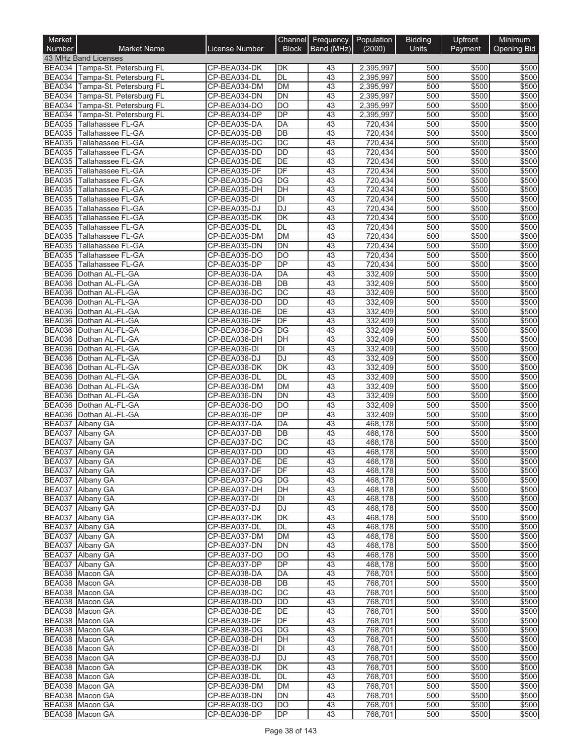| Market<br>Number               | <b>Market Name</b>                                 | License Number               | Channel<br><b>Block</b>               | Frequency<br>Band (MHz) | Population<br>(2000)   | <b>Bidding</b><br><b>Units</b> | Upfront<br>Payment | Minimum<br><b>Opening Bid</b> |
|--------------------------------|----------------------------------------------------|------------------------------|---------------------------------------|-------------------------|------------------------|--------------------------------|--------------------|-------------------------------|
|                                | 43 MHz Band Licenses                               |                              |                                       |                         |                        |                                |                    |                               |
|                                | BEA034 Tampa-St. Petersburg FL                     | CP-BEA034-DK                 | DK                                    | 43                      | 2,395,997              | 500                            | \$500              | \$500                         |
|                                | BEA034 Tampa-St. Petersburg FL                     | CP-BEA034-DL                 | DL                                    | 43                      | 2,395,997              | 500                            | \$500              | \$500                         |
| <b>BEA034</b>                  | Tampa-St. Petersburg FL                            | CP-BEA034-DM                 | <b>DM</b>                             | 43                      | 2,395,997              | 500                            | \$500              | \$500                         |
| <b>BEA034</b>                  | Tampa-St. Petersburg FL                            | CP-BEA034-DN                 | $\overline{DN}$                       | 43                      | 2,395,997              | 500                            | \$500              | \$500                         |
| <b>BEA034</b><br><b>BEA034</b> | Tampa-St. Petersburg FL<br>Tampa-St. Petersburg FL | CP-BEA034-DO<br>CP-BEA034-DP | DO<br>DP                              | 43<br>43                | 2,395,997<br>2,395,997 | 500<br>500                     | \$500<br>\$500     | \$500<br>\$500                |
| <b>BEA035</b>                  | Tallahassee FL-GA                                  | CP-BEA035-DA                 | DA                                    | 43                      | 720,434                | 500                            | \$500              | \$500                         |
| <b>BEA035</b>                  | Tallahassee FL-GA                                  | CP-BEA035-DB                 | DB                                    | 43                      | 720,434                | 500                            | \$500              | \$500                         |
| <b>BEA035</b>                  | Tallahassee FL-GA                                  | CP-BEA035-DC                 | DC                                    | 43                      | 720,434                | 500                            | \$500              | \$500                         |
| <b>BEA035</b>                  | Tallahassee FL-GA                                  | CP-BEA035-DD                 | <b>DD</b>                             | 43                      | 720,434                | 500                            | \$500              | \$500                         |
| <b>BEA035</b>                  | Tallahassee FL-GA                                  | CP-BEA035-DE                 | $\overline{DE}$                       | 43                      | 720,434                | 500                            | \$500              | \$500                         |
| <b>BEA035</b>                  | Tallahassee FL-GA                                  | CP-BEA035-DF                 | DF                                    | 43                      | 720,434                | 500                            | \$500              | \$500                         |
| <b>BEA035</b>                  | Tallahassee FL-GA                                  | CP-BEA035-DG                 | DG                                    | 43                      | 720,434                | 500                            | \$500              | \$500                         |
| <b>BEA035</b>                  | Tallahassee FL-GA                                  | CP-BEA035-DH                 | DH                                    | 43                      | 720,434                | 500                            | \$500              | \$500                         |
| <b>BEA035</b>                  | Tallahassee FL-GA                                  | CP-BEA035-DI                 | DI                                    | 43                      | 720,434                | 500                            | \$500              | \$500                         |
| <b>BEA035</b><br><b>BEA035</b> | Tallahassee FL-GA<br>Tallahassee FL-GA             | CP-BEA035-DJ<br>CP-BEA035-DK | <b>DJ</b><br>$\overline{\mathsf{DK}}$ | $\overline{43}$<br>43   | 720,434<br>720,434     | 500<br>500                     | \$500<br>\$500     | \$500<br>\$500                |
| <b>BEA035</b>                  | Tallahassee FL-GA                                  | CP-BEA035-DL                 | <b>DL</b>                             | 43                      | 720,434                | 500                            | \$500              | \$500                         |
|                                | BEA035 Tallahassee FL-GA                           | CP-BEA035-DM                 | DM                                    | 43                      | 720,434                | 500                            | \$500              | \$500                         |
| <b>BEA035</b>                  | Tallahassee FL-GA                                  | CP-BEA035-DN                 | <b>DN</b>                             | 43                      | 720,434                | 500                            | \$500              | \$500                         |
| <b>BEA035</b>                  | Tallahassee FL-GA                                  | CP-BEA035-DO                 | DO                                    | 43                      | 720,434                | 500                            | \$500              | \$500                         |
| <b>BEA035</b>                  | Tallahassee FL-GA                                  | CP-BEA035-DP                 | $\overline{DP}$                       | 43                      | 720,434                | 500                            | \$500              | \$500                         |
| <b>BEA036</b>                  | Dothan AL-FL-GA                                    | CP-BEA036-DA                 | DA                                    | 43                      | 332,409                | 500                            | \$500              | \$500                         |
| <b>BEA036</b>                  | Dothan AL-FL-GA                                    | CP-BEA036-DB                 | DB                                    | 43                      | 332,409                | 500                            | \$500              | \$500                         |
|                                | BEA036 Dothan AL-FL-GA                             | CP-BEA036-DC                 | $\overline{DC}$                       | 43                      | 332,409                | 500                            | \$500              | \$500                         |
| <b>BEA036</b>                  | Dothan AL-FL-GA                                    | CP-BEA036-DD                 | <b>DD</b>                             | 43                      | 332,409                | 500                            | \$500              | \$500                         |
|                                | BEA036 Dothan AL-FL-GA                             | CP-BEA036-DE                 | DE                                    | 43                      | 332,409                | 500                            | \$500              | \$500                         |
|                                | BEA036 Dothan AL-FL-GA<br>BEA036 Dothan AL-FL-GA   | CP-BEA036-DF<br>CP-BEA036-DG | DF<br>$\overline{DG}$                 | 43<br>43                | 332,409<br>332,409     | 500<br>500                     | \$500<br>\$500     | \$500<br>\$500                |
| <b>BEA036</b>                  | Dothan AL-FL-GA                                    | CP-BEA036-DH                 | DH                                    | 43                      | 332,409                | 500                            | \$500              | \$500                         |
|                                | BEA036 Dothan AL-FL-GA                             | CP-BEA036-DI                 | DI                                    | 43                      | 332,409                | 500                            | \$500              | \$500                         |
| <b>BEA036</b>                  | Dothan AL-FL-GA                                    | CP-BEA036-DJ                 | <b>DJ</b>                             | 43                      | 332,409                | 500                            | \$500              | \$500                         |
| <b>BEA036</b>                  | Dothan AL-FL-GA                                    | CP-BEA036-DK                 | DK                                    | 43                      | 332,409                | 500                            | \$500              | \$500                         |
| <b>BEA036</b>                  | Dothan AL-FL-GA                                    | CP-BEA036-DL                 | DL                                    | 43                      | 332,409                | 500                            | \$500              | \$500                         |
|                                | BEA036 Dothan AL-FL-GA                             | CP-BEA036-DM                 | <b>DM</b>                             | 43                      | 332,409                | 500                            | \$500              | \$500                         |
|                                | BEA036 Dothan AL-FL-GA                             | CP-BEA036-DN                 | DN                                    | 43                      | 332,409                | 500                            | \$500              | \$500                         |
| <b>BEA036</b>                  | Dothan AL-FL-GA                                    | CP-BEA036-DO                 | DO                                    | 43                      | 332,409                | 500                            | \$500              | \$500                         |
| <b>BEA036</b>                  | Dothan AL-FL-GA                                    | CP-BEA036-DP                 | DP                                    | 43                      | 332,409                | 500                            | \$500              | \$500                         |
| <b>BEA037</b>                  | Albany GA                                          | CP-BEA037-DA                 | DA                                    | 43                      | 468,178                | 500                            | \$500              | \$500                         |
| <b>BEA037</b><br><b>BEA037</b> | Albany GA<br>Albany GA                             | CP-BEA037-DB<br>CP-BEA037-DC | DB<br>$\overline{DC}$                 | 43<br>43                | 468,178<br>468,178     | 500<br>500                     | \$500<br>\$500     | \$500<br>\$500                |
|                                | BEA037 Albany GA                                   | CP-BEA037-DD                 | $\overline{DD}$                       | $\overline{43}$         | 468,178                | 500                            | \$500              | \$500                         |
|                                | BEA037 Albany GA                                   | CP-BEA037-DE                 | IDE                                   | 43                      | 468,178                | 500                            | \$500              | \$500                         |
|                                | BEA037 Albany GA                                   | CP-BEA037-DF                 | DF                                    | 43                      | 468.178                | 500                            | \$500              | \$500                         |
|                                | BEA037 Albany GA                                   | CP-BEA037-DG                 | DG                                    | 43                      | 468,178                | 500                            | \$500              | \$500                         |
|                                | BEA037 Albany GA                                   | CP-BEA037-DH                 | DH                                    | 43                      | 468,178                | 500                            | \$500              | \$500                         |
|                                | BEA037 Albany GA                                   | CP-BEA037-DI                 | DI                                    | 43                      | 468,178                | 500                            | \$500              | \$500                         |
|                                | BEA037 Albany GA                                   | CP-BEA037-DJ                 | DJ                                    | 43                      | 468,178                | 500                            | \$500              | \$500                         |
|                                | BEA037 Albany GA                                   | CP-BEA037-DK                 | DK                                    | 43                      | 468,178                | 500                            | \$500              | \$500                         |
|                                | BEA037 Albany GA                                   | CP-BEA037-DL                 | DL                                    | 43                      | 468,178                | 500                            | \$500              | \$500                         |
|                                | BEA037 Albany GA                                   | CP-BEA037-DM                 | DM                                    | 43                      | 468,178                | 500                            | \$500              | \$500                         |
|                                | BEA037 Albany GA<br>BEA037 Albany GA               | CP-BEA037-DN<br>CP-BEA037-DO | DN<br>DO.                             | 43<br>43                | 468,178<br>468,178     | 500<br>500                     | \$500<br>\$500     | \$500<br>\$500                |
|                                | BEA037 Albany GA                                   | CP-BEA037-DP                 | DP                                    | 43                      | 468,178                | 500                            | \$500              | \$500                         |
|                                | BEA038 Macon GA                                    | CP-BEA038-DA                 | DA                                    | 43                      | 768,701                | 500                            | \$500              | \$500                         |
|                                | BEA038 Macon GA                                    | CP-BEA038-DB                 | DB                                    | 43                      | 768,701                | 500                            | \$500              | \$500                         |
|                                | BEA038 Macon GA                                    | CP-BEA038-DC                 | DC                                    | 43                      | 768,701                | 500                            | \$500              | \$500                         |
|                                | BEA038 Macon GA                                    | CP-BEA038-DD                 | DD                                    | 43                      | 768,701                | 500                            | \$500              | \$500                         |
|                                | BEA038 Macon GA                                    | CP-BEA038-DE                 | DE                                    | 43                      | 768,701                | 500                            | \$500              | \$500                         |
|                                | BEA038 Macon GA                                    | CP-BEA038-DF                 | DF.                                   | 43                      | 768,701                | 500                            | \$500              | \$500                         |
|                                | BEA038 Macon GA                                    | CP-BEA038-DG                 | DG                                    | 43                      | 768,701                | 500                            | \$500              | \$500                         |
|                                | BEA038 Macon GA                                    | CP-BEA038-DH                 | DH                                    | 43                      | 768,701                | 500                            | \$500              | \$500                         |
|                                | BEA038 Macon GA                                    | CP-BEA038-DI                 | DI                                    | 43                      | 768,701                | 500                            | \$500              | \$500                         |
|                                | BEA038 Macon GA<br>BEA038 Macon GA                 | CP-BEA038-DJ<br>CP-BEA038-DK | DJ<br>DK                              | 43<br>43                | 768,701                | 500                            | \$500              | \$500<br>\$500                |
|                                | BEA038 Macon GA                                    | CP-BEA038-DL                 | DL                                    | 43                      | 768,701<br>768,701     | 500<br>500                     | \$500<br>\$500     | \$500                         |
|                                | BEA038 Macon GA                                    | CP-BEA038-DM                 | <b>DM</b>                             | 43                      | 768,701                | 500                            | \$500              | \$500                         |
|                                | BEA038 Macon GA                                    | CP-BEA038-DN                 | DN                                    | 43                      | 768,701                | 500                            | \$500              | \$500                         |
|                                | BEA038 Macon GA                                    | CP-BEA038-DO                 | DO                                    | 43                      | 768,701                | 500                            | \$500              | \$500                         |
|                                | BEA038 Macon GA                                    | CP-BEA038-DP                 | DP                                    | 43                      | 768,701                | 500                            | \$500              | \$500                         |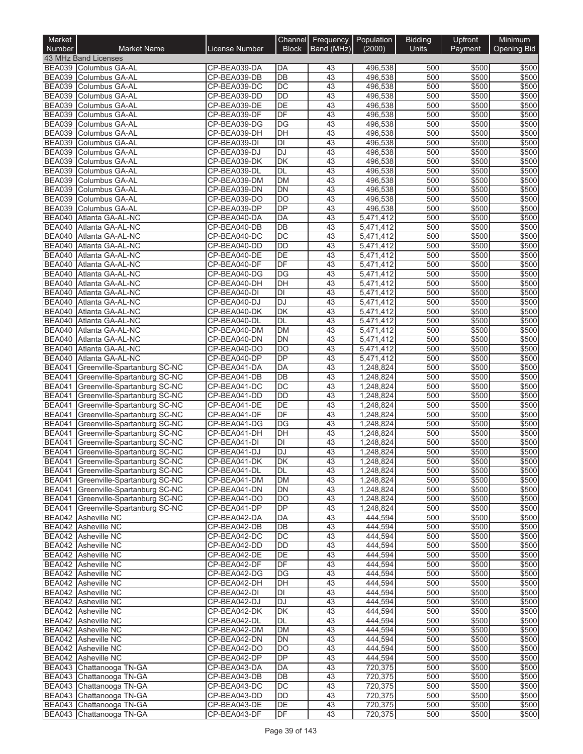| Market<br><b>Number</b>        | <b>Market Name</b>                                                         | License Number               | Channel<br><b>Block</b>      | Frequency<br>Band (MHz) | Population<br>(2000)   | <b>Bidding</b><br>Units | Upfront<br>Payment | Minimum<br><b>Opening Bid</b> |
|--------------------------------|----------------------------------------------------------------------------|------------------------------|------------------------------|-------------------------|------------------------|-------------------------|--------------------|-------------------------------|
|                                | 43 MHz Band Licenses                                                       |                              |                              |                         |                        |                         |                    |                               |
|                                | BEA039 Columbus GA-AL                                                      | CP-BEA039-DA                 | DA                           | 43                      | 496,538                | 500                     | \$500              | \$500                         |
|                                | BEA039 Columbus GA-AL                                                      | CP-BEA039-DB                 | DB                           | 43                      | 496,538                | 500                     | \$500              | \$500                         |
| <b>BEA039</b>                  | Columbus GA-AL                                                             | CP-BEA039-DC                 | DC                           | 43                      | 496,538                | 500                     | \$500              | \$500                         |
| <b>BEA039</b>                  | Columbus GA-AL                                                             | CP-BEA039-DD                 | <b>DD</b>                    | 43                      | 496,538                | 500                     | \$500              | \$500                         |
| <b>BEA039</b><br><b>BEA039</b> | Columbus GA-AL                                                             | CP-BEA039-DE<br>CP-BEA039-DF | DE<br>DF                     | 43<br>43                | 496,538                | 500<br>500              | \$500<br>\$500     | \$500<br>\$500                |
| <b>BEA039</b>                  | Columbus GA-AL<br>Columbus GA-AL                                           | CP-BEA039-DG                 | DG                           | 43                      | 496,538<br>496,538     | 500                     | \$500              | \$500                         |
| <b>BEA039</b>                  | Columbus GA-AL                                                             | CP-BEA039-DH                 | DH                           | 43                      | 496,538                | 500                     | \$500              | \$500                         |
| <b>BEA039</b>                  | Columbus GA-AL                                                             | CP-BEA039-DI                 | DI                           | 43                      | 496,538                | 500                     | \$500              | \$500                         |
| <b>BEA039</b>                  | Columbus GA-AL                                                             | CP-BEA039-DJ                 | <b>DJ</b>                    | 43                      | 496,538                | 500                     | \$500              | \$500                         |
| <b>BEA039</b>                  | Columbus GA-AL                                                             | CP-BEA039-DK                 | DK                           | 43                      | 496,538                | 500                     | \$500              | \$500                         |
| <b>BEA039</b>                  | Columbus GA-AL                                                             | CP-BEA039-DL                 | DL                           | 43                      | 496,538                | 500                     | \$500              | \$500                         |
| <b>BEA039</b>                  | Columbus GA-AL                                                             | CP-BEA039-DM                 | <b>DM</b>                    | 43                      | 496,538                | 500                     | \$500              | \$500                         |
| <b>BEA039</b>                  | Columbus GA-AL                                                             | CP-BEA039-DN                 | DN                           | 43                      | 496,538                | 500                     | \$500              | \$500                         |
| <b>BEA039</b>                  | Columbus GA-AL                                                             | CP-BEA039-DO                 | DO                           | 43                      | 496,538                | 500                     | \$500              | \$500                         |
| <b>BEA039</b><br><b>BEA040</b> | Columbus GA-AL<br>Atlanta GA-AL-NC                                         | CP-BEA039-DP<br>CP-BEA040-DA | DP<br>DA                     | 43<br>43                | 496,538                | 500<br>500              | \$500<br>\$500     | \$500<br>\$500                |
| <b>BEA040</b>                  | Atlanta GA-AL-NC                                                           | CP-BEA040-DB                 | DB                           | 43                      | 5,471,412<br>5,471,412 | 500                     | \$500              | \$500                         |
|                                | BEA040 Atlanta GA-AL-NC                                                    | CP-BEA040-DC                 | $\overline{DC}$              | 43                      | 5,471,412              | 500                     | \$500              | \$500                         |
| <b>BEA040</b>                  | Atlanta GA-AL-NC                                                           | CP-BEA040-DD                 | <b>DD</b>                    | 43                      | 5,471,412              | 500                     | \$500              | \$500                         |
| <b>BEA040</b>                  | Atlanta GA-AL-NC                                                           | CP-BEA040-DE                 | DE                           | 43                      | 5,471,412              | 500                     | \$500              | \$500                         |
| <b>BEA040</b>                  | Atlanta GA-AL-NC                                                           | CP-BEA040-DF                 | DF                           | 43                      | 5,471,412              | 500                     | \$500              | \$500                         |
| <b>BEA040</b>                  | Atlanta GA-AL-NC                                                           | CP-BEA040-DG                 | DG                           | 43                      | 5,471,412              | 500                     | \$500              | \$500                         |
| <b>BEA040</b>                  | Atlanta GA-AL-NC                                                           | CP-BEA040-DH                 | DH                           | $\overline{43}$         | 5,471,412              | 500                     | \$500              | \$500                         |
|                                | BEA040 Atlanta GA-AL-NC                                                    | CP-BEA040-DI                 | DI                           | 43                      | 5,471,412              | 500                     | \$500              | \$500                         |
| <b>BEA040</b>                  | Atlanta GA-AL-NC                                                           | CP-BEA040-DJ                 | <b>DJ</b>                    | 43                      | 5,471,412              | 500                     | \$500              | \$500                         |
| <b>BEA040</b>                  | Atlanta GA-AL-NC                                                           | CP-BEA040-DK                 | DK                           | 43                      | 5,471,412              | 500                     | \$500              | \$500                         |
| <b>BEA040</b>                  | Atlanta GA-AL-NC                                                           | CP-BEA040-DL                 | DL                           | 43                      | 5,471,412              | 500                     | \$500              | \$500                         |
| <b>BEA040</b>                  | Atlanta GA-AL-NC                                                           | CP-BEA040-DM                 | <b>DM</b>                    | 43                      | 5,471,412              | 500                     | \$500              | \$500                         |
| <b>BEA040</b><br><b>BEA040</b> | Atlanta GA-AL-NC<br>Atlanta GA-AL-NC                                       | CP-BEA040-DN<br>CP-BEA040-DO | <b>DN</b><br>$\overline{DO}$ | 43<br>43                | 5,471,412<br>5,471,412 | 500<br>500              | \$500<br>\$500     | \$500<br>\$500                |
| <b>BEA040</b>                  | Atlanta GA-AL-NC                                                           | CP-BEA040-DP                 | DP                           | 43                      | 5,471,412              | 500                     | \$500              | \$500                         |
| <b>BEA041</b>                  | Greenville-Spartanburg SC-NC                                               | CP-BEA041-DA                 | DA                           | 43                      | 1,248,824              | 500                     | \$500              | \$500                         |
| <b>BEA041</b>                  | Greenville-Spartanburg SC-NC                                               | CP-BEA041-DB                 | DB                           | 43                      | 1,248,824              | 500                     | \$500              | \$500                         |
| <b>BEA041</b>                  | Greenville-Spartanburg SC-NC                                               | CP-BEA041-DC                 | DC                           | 43                      | 1,248,824              | 500                     | \$500              | \$500                         |
|                                | BEA041 Greenville-Spartanburg SC-NC                                        | CP-BEA041-DD                 | DD                           | 43                      | 1,248,824              | 500                     | \$500              | \$500                         |
| <b>BEA041</b>                  | Greenville-Spartanburg SC-NC                                               | CP-BEA041-DE                 | DE                           | 43                      | 1,248,824              | 500                     | \$500              | \$500                         |
| <b>BEA041</b>                  | Greenville-Spartanburg SC-NC                                               | CP-BEA041-DF                 | DF                           | 43                      | 1,248,824              | 500                     | \$500              | \$500                         |
| <b>BEA041</b>                  | Greenville-Spartanburg SC-NC                                               | CP-BEA041-DG                 | DG                           | 43                      | 1,248,824              | 500                     | \$500              | \$500                         |
| <b>BEA041</b>                  | Greenville-Spartanburg SC-NC                                               | CP-BEA041-DH                 | $\overline{DH}$              | 43                      | 1,248,824              | 500                     | \$500              | \$500                         |
| <b>BEA041</b>                  | Greenville-Spartanburg SC-NC                                               | CP-BEA041-DI                 | DI                           | 43                      | 1,248,824              | 500                     | \$500              | \$500                         |
| <b>BEA041</b>                  | Greenville-Spartanburg SC-NC                                               | CP-BEA041-DJ                 | <b>DJ</b>                    | $\overline{43}$         | 1.248.824              | 500                     | \$500              | \$500                         |
|                                | BEA041 Greenville-Spartanburg SC-NC<br>BEA041 Greenville-Spartanburg SC-NC | CP-BEA041-DK<br>CP-BEA041-DL | DK<br>DL                     | 43<br>43                | 1,248,824<br>1,248,824 | 500<br>500              | \$500<br>\$500     | \$500<br>\$500                |
|                                | BEA041 Greenville-Spartanburg SC-NC                                        | CP-BEA041-DM                 | DM                           | 43                      | 1,248,824              | 500                     | \$500              | \$500                         |
|                                | BEA041 Greenville-Spartanburg SC-NC                                        | CP-BEA041-DN                 | DN                           | 43                      | 1,248,824              | 500                     | \$500              | \$500                         |
|                                | BEA041 Greenville-Spartanburg SC-NC                                        | CP-BEA041-DO                 | $\overline{DO}$              | 43                      | 1,248,824              | 500                     | \$500              | \$500                         |
| <b>BEA041</b>                  | Greenville-Spartanburg SC-NC                                               | CP-BEA041-DP                 | <b>DP</b>                    | 43                      | 1,248,824              | 500                     | \$500              | \$500                         |
|                                | BEA042 Asheville NC                                                        | CP-BEA042-DA                 | DA                           | 43                      | 444,594                | 500                     | \$500              | \$500                         |
|                                | BEA042 Asheville NC                                                        | CP-BEA042-DB                 | DB                           | 43                      | 444,594                | 500                     | \$500              | \$500                         |
|                                | BEA042 Asheville NC                                                        | CP-BEA042-DC                 | DC                           | 43                      | 444,594                | 500                     | \$500              | \$500                         |
|                                | BEA042 Asheville NC                                                        | CP-BEA042-DD                 | DD                           | 43                      | 444.594                | 500                     | \$500              | \$500                         |
|                                | BEA042 Asheville NC                                                        | CP-BEA042-DE                 | $\overline{DE}$              | 43                      | 444,594                | 500                     | \$500              | \$500                         |
|                                | <b>BEA042</b> Asheville NC                                                 | CP-BEA042-DF                 | DF                           | 43                      | 444,594                | 500                     | \$500              | \$500                         |
|                                | BEA042 Asheville NC<br>BEA042 Asheville NC                                 | CP-BEA042-DG<br>CP-BEA042-DH | DG<br>DH                     | 43<br>43                | 444,594<br>444,594     | 500<br>500              | \$500<br>\$500     | \$500<br>\$500                |
|                                | BEA042 Asheville NC                                                        | CP-BEA042-DI                 | DI                           | 43                      | 444,594                | 500                     | \$500              | \$500                         |
|                                | BEA042 Asheville NC                                                        | CP-BEA042-DJ                 | DJ                           | 43                      | 444,594                | 500                     | \$500              | \$500                         |
|                                | BEA042 Asheville NC                                                        | CP-BEA042-DK                 | DK                           | 43                      | 444,594                | 500                     | \$500              | \$500                         |
|                                | BEA042 Asheville NC                                                        | CP-BEA042-DL                 | DL                           | 43                      | 444,594                | 500                     | \$500              | \$500                         |
|                                | BEA042 Asheville NC                                                        | CP-BEA042-DM                 | <b>DM</b>                    | 43                      | 444,594                | 500                     | \$500              | \$500                         |
|                                | <b>BEA042</b> Asheville NC                                                 | CP-BEA042-DN                 | DN                           | 43                      | 444,594                | 500                     | \$500              | \$500                         |
|                                | BEA042 Asheville NC                                                        | CP-BEA042-DO                 | DO                           | 43                      | 444,594                | 500                     | \$500              | \$500                         |
|                                | BEA042 Asheville NC                                                        | CP-BEA042-DP                 | DP                           | 43                      | 444,594                | 500                     | \$500              | \$500                         |
|                                | BEA043 Chattanooga TN-GA                                                   | CP-BEA043-DA                 | DA                           | 43                      | 720,375                | 500                     | \$500              | \$500                         |
|                                | BEA043 Chattanooga TN-GA                                                   | CP-BEA043-DB                 | $\overline{DB}$              | 43                      | 720,375                | 500                     | \$500              | \$500                         |
|                                | BEA043 Chattanooga TN-GA                                                   | CP-BEA043-DC                 | DC                           | 43                      | 720,375                | 500                     | \$500              | \$500                         |
|                                | BEA043 Chattanooga TN-GA<br>BEA043 Chattanooga TN-GA                       | CP-BEA043-DD<br>CP-BEA043-DE | DD<br>DE                     | 43<br>43                | 720,375<br>720,375     | 500<br>500              | \$500<br>\$500     | \$500<br>\$500                |
|                                | BEA043 Chattanooga TN-GA                                                   | CP-BEA043-DF                 | DF                           | 43                      | 720,375                | 500                     | \$500              | \$500                         |
|                                |                                                                            |                              |                              |                         |                        |                         |                    |                               |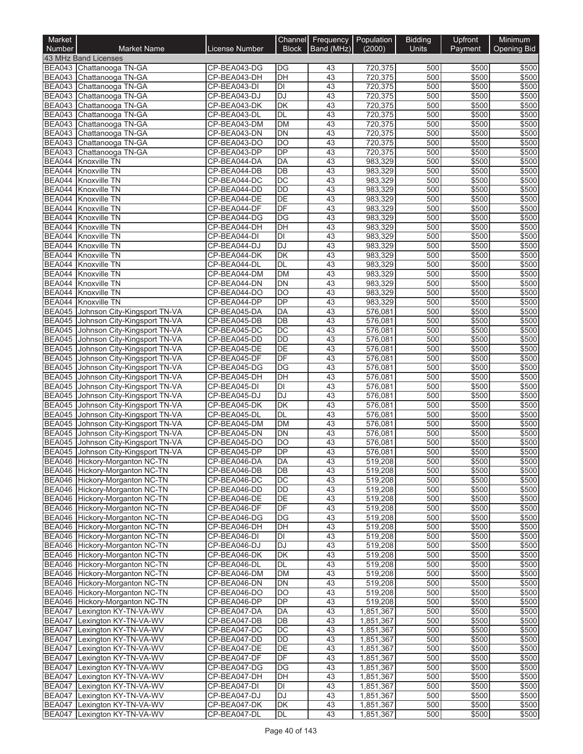| Market<br><b>Number</b>        | <b>Market Name</b>                                               | License Number               | Channel<br><b>Block</b>               | Frequency<br>Band (MHz) | Population<br>(2000)   | <b>Bidding</b><br><b>Units</b> | Upfront<br>Payment | Minimum<br><b>Opening Bid</b> |
|--------------------------------|------------------------------------------------------------------|------------------------------|---------------------------------------|-------------------------|------------------------|--------------------------------|--------------------|-------------------------------|
|                                | 43 MHz Band Licenses                                             |                              |                                       |                         |                        |                                |                    |                               |
|                                | BEA043 Chattanooga TN-GA                                         | CP-BEA043-DG                 | DG                                    | 43                      | 720,375                | 500                            | \$500              | \$500                         |
|                                | BEA043 Chattanooga TN-GA                                         | CP-BEA043-DH                 | DH                                    | 43                      | 720,375                | 500                            | \$500              | \$500                         |
|                                | BEA043 Chattanooga TN-GA                                         | CP-BEA043-DI                 | DI                                    | 43                      | 720,375                | 500                            | \$500              | \$500                         |
|                                | BEA043 Chattanooga TN-GA                                         | CP-BEA043-DJ                 | <b>DJ</b>                             | 43                      | 720,375                | 500                            | \$500              | \$500                         |
|                                | BEA043 Chattanooga TN-GA                                         | CP-BEA043-DK                 | $\overline{\mathsf{DK}}$<br><b>DL</b> | 43                      | 720,375                | 500                            | \$500              | \$500<br>\$500                |
|                                | BEA043 Chattanooga TN-GA<br>BEA043 Chattanooga TN-GA             | CP-BEA043-DL<br>CP-BEA043-DM | <b>DM</b>                             | 43<br>43                | 720,375<br>720,375     | 500<br>500                     | \$500<br>\$500     | \$500                         |
|                                | BEA043 Chattanooga TN-GA                                         | CP-BEA043-DN                 | DN                                    | 43                      | 720,375                | 500                            | \$500              | \$500                         |
|                                | BEA043 Chattanooga TN-GA                                         | CP-BEA043-DO                 | $\overline{DO}$                       | 43                      | 720,375                | 500                            | \$500              | \$500                         |
| <b>BEA043</b>                  | Chattanooga TN-GA                                                | CP-BEA043-DP                 | DP                                    | 43                      | 720,375                | 500                            | \$500              | \$500                         |
|                                | BEA044 Knoxville TN                                              | CP-BEA044-DA                 | DA                                    | 43                      | 983,329                | 500                            | \$500              | \$500                         |
| <b>BEA044</b>                  | Knoxville TN                                                     | CP-BEA044-DB                 | $\overline{DB}$                       | 43                      | 983,329                | 500                            | \$500              | \$500                         |
| <b>BEA044</b>                  | Knoxville TN                                                     | CP-BEA044-DC                 | $\overline{DC}$                       | 43                      | 983,329                | 500                            | \$500              | \$500                         |
|                                | BEA044 Knoxville TN                                              | CP-BEA044-DD                 | <b>DD</b>                             | 43                      | 983,329                | 500                            | \$500              | \$500                         |
| BEA044                         | Knoxville TN                                                     | CP-BEA044-DE                 | DE                                    | 43                      | 983,329                | 500                            | \$500              | \$500                         |
| <b>BEA044</b>                  | Knoxville TN                                                     | CP-BEA044-DF                 | DF                                    | 43                      | 983,329                | 500                            | \$500              | \$500                         |
|                                | BEA044 Knoxville TN                                              | CP-BEA044-DG                 | $\overline{DG}$                       | 43                      | 983,329                | 500                            | \$500              | \$500                         |
|                                | BEA044 Knoxville TN                                              | CP-BEA044-DH                 | $\overline{DH}$                       | 43                      | 983,329                | 500                            | \$500              | \$500                         |
| <b>BEA044</b><br>BEA044        | Knoxville TN<br><b>Knoxville TN</b>                              | CP-BEA044-DI<br>CP-BEA044-DJ | DI<br>DJ                              | 43<br>43                | 983,329<br>983,329     | 500<br>500                     | \$500<br>\$500     | \$500<br>\$500                |
| BEA044                         | Knoxville TN                                                     | CP-BEA044-DK                 | DK                                    | 43                      | 983,329                | 500                            | \$500              | \$500                         |
|                                | BEA044 Knoxville TN                                              | CP-BEA044-DL                 | <b>DL</b>                             | 43                      | 983,329                | 500                            | \$500              | \$500                         |
| BEA044                         | Knoxville TN                                                     | CP-BEA044-DM                 | <b>DM</b>                             | 43                      | 983,329                | 500                            | \$500              | \$500                         |
| BEA044                         | Knoxville TN                                                     | CP-BEA044-DN                 | DN                                    | $\overline{43}$         | 983,329                | 500                            | \$500              | \$500                         |
|                                | BEA044 Knoxville TN                                              | CP-BEA044-DO                 | DO                                    | 43                      | 983,329                | 500                            | \$500              | \$500                         |
| <b>BEA044</b>                  | Knoxville TN                                                     | CP-BEA044-DP                 | DP                                    | 43                      | 983,329                | 500                            | \$500              | \$500                         |
| <b>BEA045</b>                  | Johnson City-Kingsport TN-VA                                     | CP-BEA045-DA                 | DA                                    | 43                      | 576,081                | 500                            | \$500              | \$500                         |
| <b>BEA045</b>                  | Johnson City-Kingsport TN-VA                                     | CP-BEA045-DB                 | $\overline{DB}$                       | 43                      | 576,081                | 500                            | \$500              | \$500                         |
| <b>BEA045</b>                  | Johnson City-Kingsport TN-VA                                     | CP-BEA045-DC                 | $\overline{DC}$                       | 43                      | 576,081                | 500                            | \$500              | \$500                         |
|                                | BEA045 Johnson City-Kingsport TN-VA                              | CP-BEA045-DD                 | <b>DD</b>                             | 43                      | 576,081                | 500                            | \$500              | \$500                         |
| <b>BEA045</b>                  | Johnson City-Kingsport TN-VA                                     | CP-BEA045-DE                 | DE                                    | 43                      | 576,081                | 500                            | \$500              | \$500                         |
| <b>BEA045</b>                  | Johnson City-Kingsport TN-VA                                     | CP-BEA045-DF                 | DF                                    | 43                      | 576,081                | 500                            | \$500              | \$500                         |
| <b>BEA045</b><br><b>BEA045</b> | Johnson City-Kingsport TN-VA<br>Johnson City-Kingsport TN-VA     | CP-BEA045-DG<br>CP-BEA045-DH | DG<br>DH                              | 43<br>43                | 576,081<br>576,081     | 500<br>500                     | \$500<br>\$500     | \$500<br>\$500                |
| <b>BEA045</b>                  | Johnson City-Kingsport TN-VA                                     | CP-BEA045-DI                 | DI                                    | 43                      | 576,081                | 500                            | \$500              | \$500                         |
| <b>BEA045</b>                  | Johnson City-Kingsport TN-VA                                     | CP-BEA045-DJ                 | DJ                                    | 43                      | 576,081                | 500                            | \$500              | \$500                         |
| <b>BEA045</b>                  | Johnson City-Kingsport TN-VA                                     | CP-BEA045-DK                 | $\overline{\mathsf{DK}}$              | 43                      | 576,081                | 500                            | \$500              | \$500                         |
| <b>BEA045</b>                  | Johnson City-Kingsport TN-VA                                     | CP-BEA045-DL                 | DL                                    | 43                      | 576,081                | 500                            | \$500              | \$500                         |
| <b>BEA045</b>                  | Johnson City-Kingsport TN-VA                                     | CP-BEA045-DM                 | <b>DM</b>                             | 43                      | 576,081                | 500                            | \$500              | \$500                         |
| <b>BEA045</b>                  | Johnson City-Kingsport TN-VA                                     | CP-BEA045-DN                 | DN                                    | 43                      | $\frac{1}{576,081}$    | 500                            | \$500              | \$500                         |
| <b>BEA045</b>                  | Johnson City-Kingsport TN-VA                                     | CP-BEA045-DO                 | $\overline{DO}$                       | 43                      | 576,081                | 500                            | \$500              | \$500                         |
| <b>BEA045</b>                  | Johnson City-Kingsport TN-VA                                     | CP-BEA045-DP                 | DP                                    | $\overline{43}$         | 576,081                | 500                            | \$500              | \$500                         |
|                                | BEA046 Hickory-Morganton NC-TN                                   | CP-BEA046-DA                 | DA                                    | 43                      | 519,208                | 500                            | \$500              | \$500                         |
|                                | BEA046 Hickory-Morganton NC-TN                                   | CP-BEA046-DB                 | DB                                    | 43                      | 519,208                | 500                            | \$500              | \$500                         |
|                                | BEA046 Hickory-Morganton NC-TN                                   | CP-BEA046-DC                 | DC                                    | 43                      | 519,208                | 500                            | \$500              | \$500                         |
|                                | BEA046 Hickory-Morganton NC-TN<br>BEA046 Hickory-Morganton NC-TN | CP-BEA046-DD<br>CP-BEA046-DE | <b>DD</b><br>DE                       | 43<br>43                | 519,208                | 500<br>500                     | \$500<br>\$500     | \$500<br>\$500                |
|                                | BEA046 Hickory-Morganton NC-TN                                   | CP-BEA046-DF                 | DF                                    | 43                      | 519,208<br>519,208     | 500                            | \$500              | \$500                         |
|                                | BEA046 Hickory-Morganton NC-TN                                   | CP-BEA046-DG                 | DG                                    | 43                      | 519,208                | 500                            | \$500              | \$500                         |
|                                | BEA046 Hickory-Morganton NC-TN                                   | CP-BEA046-DH                 | DH                                    | 43                      | 519,208                | 500                            | \$500              | \$500                         |
|                                | BEA046 Hickory-Morganton NC-TN                                   | CP-BEA046-DI                 | DI                                    | 43                      | 519,208                | 500                            | \$500              | \$500                         |
|                                | BEA046 Hickory-Morganton NC-TN                                   | CP-BEA046-DJ                 | <b>DJ</b>                             | 43                      | 519,208                | 500                            | \$500              | \$500                         |
|                                | BEA046 Hickory-Morganton NC-TN                                   | CP-BEA046-DK                 | <b>DK</b>                             | 43                      | 519,208                | 500                            | \$500              | \$500                         |
|                                | BEA046 Hickory-Morganton NC-TN                                   | CP-BEA046-DL                 | DL                                    | 43                      | 519,208                | 500                            | \$500              | \$500                         |
|                                | BEA046 Hickory-Morganton NC-TN                                   | CP-BEA046-DM                 | <b>DM</b>                             | 43                      | 519,208                | 500                            | \$500              | \$500                         |
|                                | BEA046 Hickory-Morganton NC-TN                                   | CP-BEA046-DN                 | DN                                    | 43                      | 519,208                | 500                            | \$500              | \$500                         |
|                                | BEA046 Hickory-Morganton NC-TN                                   | CP-BEA046-DO                 | DO                                    | 43                      | 519,208                | 500                            | \$500              | \$500                         |
|                                | BEA046 Hickory-Morganton NC-TN                                   | CP-BEA046-DP                 | <b>DP</b>                             | 43                      | 519,208                | 500                            | \$500              | \$500                         |
|                                | BEA047 Lexington KY-TN-VA-WV                                     | CP-BEA047-DA                 | DA                                    | 43                      | 1,851,367              | 500                            | \$500              | \$500                         |
| <b>BEA047</b>                  | Lexington KY-TN-VA-WV<br>BEA047 Lexington KY-TN-VA-WV            | CP-BEA047-DB                 | DB                                    | 43                      | 1,851,367              | 500                            | \$500              | \$500                         |
| <b>BEA047</b>                  | Lexington KY-TN-VA-WV                                            | CP-BEA047-DC<br>CP-BEA047-DD | DC<br>DD                              | 43<br>43                | 1,851,367              | 500<br>500                     | \$500<br>\$500     | \$500<br>\$500                |
| <b>BEA047</b>                  | Lexington KY-TN-VA-WV                                            | CP-BEA047-DE                 | DE                                    | 43                      | 1,851,367<br>1,851,367 | 500                            | \$500              | \$500                         |
| <b>BEA047</b>                  | Lexington KY-TN-VA-WV                                            | CP-BEA047-DF                 | DF                                    | 43                      | 1,851,367              | 500                            | \$500              | \$500                         |
| <b>BEA047</b>                  | Lexington KY-TN-VA-WV                                            | CP-BEA047-DG                 | DG                                    | 43                      | 1,851,367              | 500                            | \$500              | \$500                         |
| <b>BEA047</b>                  | Lexington KY-TN-VA-WV                                            | CP-BEA047-DH                 | DH                                    | 43                      | 1,851,367              | 500                            | \$500              | \$500                         |
| <b>BEA047</b>                  | Lexington KY-TN-VA-WV                                            | CP-BEA047-DI                 | DI                                    | 43                      | 1,851,367              | 500                            | \$500              | \$500                         |
| <b>BEA047</b>                  | Lexington KY-TN-VA-WV                                            | CP-BEA047-DJ                 | <b>DJ</b>                             | 43                      | 1,851,367              | 500                            | \$500              | \$500                         |
| <b>BEA047</b>                  | Lexington KY-TN-VA-WV                                            | CP-BEA047-DK                 | DK                                    | 43                      | 1,851,367              | 500                            | \$500              | \$500                         |
|                                | BEA047 Lexington KY-TN-VA-WV                                     | CP-BEA047-DL                 | DL                                    | 43                      | 1,851,367              | 500                            | \$500              | \$500                         |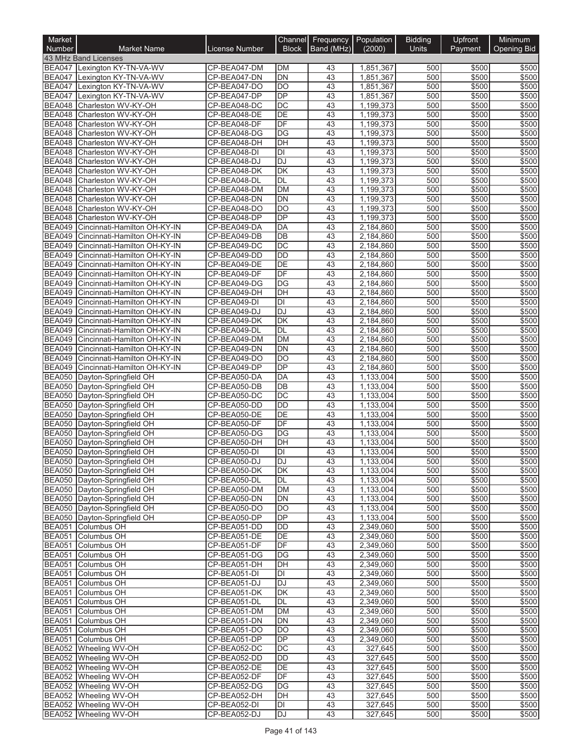| Market<br>Number               | <b>Market Name</b>                                           | <b>License Number</b>        | Channel<br><b>Block</b> | Frequency<br>Band (MHz) | Population<br>(2000)   | <b>Bidding</b><br><b>Units</b> | Upfront<br>Payment | Minimum<br><b>Opening Bid</b> |
|--------------------------------|--------------------------------------------------------------|------------------------------|-------------------------|-------------------------|------------------------|--------------------------------|--------------------|-------------------------------|
|                                | 43 MHz Band Licenses                                         |                              |                         |                         |                        |                                |                    |                               |
| <b>BEA047</b>                  | Lexington KY-TN-VA-WV                                        | CP-BEA047-DM                 | <b>DM</b>               | 43                      | 1,851,367              | 500                            | \$500              | \$500                         |
| <b>BEA047</b>                  | Lexington KY-TN-VA-WV                                        | CP-BEA047-DN                 | <b>DN</b>               | 43                      | 1,851,367              | 500                            | \$500              | \$500                         |
| <b>BEA047</b>                  | Lexington KY-TN-VA-WV                                        | CP-BEA047-DO                 | DO                      | 43                      | 1,851,367              | 500                            | \$500              | \$500                         |
| <b>BEA047</b><br><b>BEA048</b> | Lexington KY-TN-VA-WV                                        | CP-BEA047-DP                 | <b>DP</b><br>DC         | 43<br>43                | 1,851,367              | 500<br>500                     | \$500<br>\$500     | \$500<br>\$500                |
| <b>BEA048</b>                  | Charleston WV-KY-OH<br>Charleston WV-KY-OH                   | CP-BEA048-DC<br>CP-BEA048-DE | DE                      | $\overline{43}$         | 1,199,373<br>1,199,373 | 500                            | \$500              | \$500                         |
| BEA048                         | Charleston WV-KY-OH                                          | CP-BEA048-DF                 | DF                      | 43                      | 1,199,373              | 500                            | \$500              | \$500                         |
| <b>BEA048</b>                  | Charleston WV-KY-OH                                          | CP-BEA048-DG                 | DG                      | 43                      | 1.199.373              | 500                            | \$500              | \$500                         |
| <b>BEA048</b>                  | Charleston WV-KY-OH                                          | CP-BEA048-DH                 | DH                      | 43                      | 1,199,373              | 500                            | \$500              | \$500                         |
| <b>BEA048</b>                  | Charleston WV-KY-OH                                          | CP-BEA048-DI                 | DI                      | 43                      | 1,199,373              | 500                            | \$500              | \$500                         |
| BEA048                         | Charleston WV-KY-OH                                          | CP-BEA048-DJ                 | <b>DJ</b>               | 43                      | 1,199,373              | 500                            | \$500              | \$500                         |
| <b>BEA048</b><br><b>BEA048</b> | Charleston WV-KY-OH<br>Charleston WV-KY-OH                   | CP-BEA048-DK<br>CP-BEA048-DL | DK<br><b>DL</b>         | 43<br>$\overline{43}$   | 1,199,373<br>1,199,373 | 500<br>500                     | \$500<br>\$500     | \$500<br>\$500                |
| <b>BEA048</b>                  | Charleston WV-KY-OH                                          | CP-BEA048-DM                 | <b>DM</b>               | 43                      | 1,199,373              | 500                            | \$500              | \$500                         |
| <b>BEA048</b>                  | Charleston WV-KY-OH                                          | CP-BEA048-DN                 | <b>DN</b>               | 43                      | 1,199,373              | 500                            | \$500              | \$500                         |
| <b>BEA048</b>                  | Charleston WV-KY-OH                                          | CP-BEA048-DO                 | <b>DO</b>               | 43                      | 1,199,373              | 500                            | \$500              | \$500                         |
| <b>BEA048</b>                  | Charleston WV-KY-OH                                          | CP-BEA048-DP                 | DP                      | 43                      | 1,199,373              | 500                            | \$500              | \$500                         |
| <b>BEA049</b>                  | Cincinnati-Hamilton OH-KY-IN                                 | CP-BEA049-DA                 | DA                      | 43                      | 2,184,860              | 500                            | \$500              | \$500                         |
| <b>BEA049</b>                  | Cincinnati-Hamilton OH-KY-IN                                 | CP-BEA049-DB                 | DB                      | 43                      | 2,184,860              | 500                            | \$500              | \$500                         |
| <b>BEA049</b>                  | Cincinnati-Hamilton OH-KY-IN                                 | CP-BEA049-DC                 | DC                      | 43                      | 2,184,860              | 500                            | \$500              | \$500                         |
| <b>BEA049</b><br><b>BEA049</b> | Cincinnati-Hamilton OH-KY-IN<br>Cincinnati-Hamilton OH-KY-IN | CP-BEA049-DD<br>CP-BEA049-DE | <b>DD</b><br>DE         | 43<br>43                | 2,184,860<br>2,184,860 | 500<br>500                     | \$500<br>\$500     | \$500<br>\$500                |
| <b>BEA049</b>                  | Cincinnati-Hamilton OH-KY-IN                                 | CP-BEA049-DF                 | DF                      | 43                      | 2,184,860              | 500                            | \$500              | \$500                         |
| <b>BEA049</b>                  | Cincinnati-Hamilton OH-KY-IN                                 | CP-BEA049-DG                 | DG                      | $\overline{43}$         | 2,184,860              | 500                            | \$500              | \$500                         |
| <b>BEA049</b>                  | Cincinnati-Hamilton OH-KY-IN                                 | CP-BEA049-DH                 | DH                      | 43                      | 2,184,860              | 500                            | \$500              | \$500                         |
| <b>BEA049</b>                  | Cincinnati-Hamilton OH-KY-IN                                 | CP-BEA049-DI                 | DI                      | 43                      | 2,184,860              | 500                            | \$500              | \$500                         |
| <b>BEA049</b>                  | Cincinnati-Hamilton OH-KY-IN                                 | CP-BEA049-DJ                 | <b>DJ</b>               | 43                      | 2,184,860              | 500                            | \$500              | \$500                         |
| <b>BEA049</b>                  | Cincinnati-Hamilton OH-KY-IN                                 | CP-BEA049-DK                 | DK                      | 43                      | 2,184,860              | 500                            | \$500              | \$500                         |
| <b>BEA049</b>                  | Cincinnati-Hamilton OH-KY-IN                                 | CP-BEA049-DL                 | <b>DL</b>               | 43                      | 2,184,860              | 500                            | \$500              | \$500                         |
| <b>BEA049</b><br><b>BEA049</b> | Cincinnati-Hamilton OH-KY-IN<br>Cincinnati-Hamilton OH-KY-IN | CP-BEA049-DM<br>CP-BEA049-DN | <b>DM</b><br><b>DN</b>  | 43<br>$\overline{43}$   | 2,184,860<br>2,184,860 | 500<br>500                     | \$500<br>\$500     | \$500<br>\$500                |
| <b>BEA049</b>                  | Cincinnati-Hamilton OH-KY-IN                                 | CP-BEA049-DO                 | DO                      | 43                      | 2,184,860              | 500                            | \$500              | \$500                         |
| <b>BEA049</b>                  | Cincinnati-Hamilton OH-KY-IN                                 | CP-BEA049-DP                 | <b>DP</b>               | 43                      | 2,184,860              | 500                            | \$500              | \$500                         |
| <b>BEA050</b>                  | Dayton-Springfield OH                                        | CP-BEA050-DA                 | <b>DA</b>               | 43                      | 1,133,004              | 500                            | \$500              | \$500                         |
| <b>BEA050</b>                  | Dayton-Springfield OH                                        | CP-BEA050-DB                 | DB                      | 43                      | 1,133,004              | 500                            | \$500              | \$500                         |
| <b>BEA050</b>                  | Dayton-Springfield OH                                        | CP-BEA050-DC                 | DC                      | 43                      | 1,133,004              | 500                            | \$500              | \$500                         |
| <b>BEA050</b>                  | Dayton-Springfield OH                                        | CP-BEA050-DD                 | DD                      | 43                      | 1,133,004              | 500                            | \$500              | \$500                         |
|                                | BEA050 Dayton-Springfield OH                                 | CP-BEA050-DE                 | <b>DE</b><br>DF         | $\overline{43}$         | 1,133,004              | 500                            | \$500              | \$500                         |
| <b>BEA050</b><br><b>BEA050</b> | Dayton-Springfield OH<br>Dayton-Springfield OH               | CP-BEA050-DF<br>CP-BEA050-DG | DG                      | 43<br>43                | 1,133,004<br>1,133,004 | 500<br>500                     | \$500<br>\$500     | \$500<br>\$500                |
| <b>BEA050</b>                  | Dayton-Springfield OH                                        | CP-BEA050-DH                 | DH                      | 43                      | 1,133,004              | 500                            | \$500              | \$500                         |
| <b>BEA050</b>                  | Dayton-Springfield OH                                        | CP-BEA050-DI                 | DI                      | 43                      | 1,133,004              | 500                            | \$500              | \$500                         |
|                                | BEA050   Dayton-Springfield OH                               | CP-BEA050-DJ                 | IDJ                     | 43                      | 1,133,004              | 500                            | \$500              | \$500                         |
|                                | BEA050 Dayton-Springfield OH                                 | CP-BEA050-DK                 | <b>DK</b>               | 43                      | 1,133,004              | 500                            | \$500              | \$500                         |
|                                | BEA050 Dayton-Springfield OH                                 | CP-BEA050-DL                 | DL                      | 43                      | 1,133,004              | 500                            | \$500              | \$500                         |
|                                | BEA050 Dayton-Springfield OH                                 | CP-BEA050-DM                 | DM                      | 43                      | 1,133,004              | 500                            | \$500              | \$500                         |
|                                | BEA050 Dayton-Springfield OH<br>BEA050 Dayton-Springfield OH | CP-BEA050-DN<br>CP-BEA050-DO | DN<br>DO                | 43<br>43                | 1,133,004<br>1,133,004 | 500<br>500                     | \$500<br>\$500     | \$500<br>\$500                |
|                                | BEA050 Dayton-Springfield OH                                 | CP-BEA050-DP                 | <b>DP</b>               | 43                      | 1,133,004              | 500                            | \$500              | \$500                         |
|                                | BEA051 Columbus OH                                           | CP-BEA051-DD                 | DD                      | 43                      | 2,349,060              | 500                            | \$500              | \$500                         |
|                                | BEA051 Columbus OH                                           | CP-BEA051-DE                 | DE                      | 43                      | 2,349,060              | 500                            | \$500              | \$500                         |
| <b>BEA051</b>                  | Columbus OH                                                  | CP-BEA051-DF                 | DF                      | 43                      | 2,349,060              | 500                            | \$500              | \$500                         |
|                                | BEA051 Columbus OH                                           | CP-BEA051-DG                 | DG                      | 43                      | 2,349,060              | 500                            | \$500              | \$500                         |
|                                | BEA051 Columbus OH                                           | CP-BEA051-DH                 | DH                      | 43                      | 2,349,060              | 500                            | \$500              | \$500                         |
| <b>BEA051</b>                  | Columbus OH<br>Columbus OH                                   | CP-BEA051-DI                 | DI                      | 43                      | 2,349,060              | 500                            | \$500              | \$500                         |
| <b>BEA051</b><br><b>BEA051</b> | Columbus OH                                                  | CP-BEA051-DJ<br>CP-BEA051-DK | DJ<br>DK                | 43<br>43                | 2,349,060<br>2,349,060 | 500<br>500                     | \$500<br>\$500     | \$500<br>\$500                |
| <b>BEA051</b>                  | Columbus OH                                                  | CP-BEA051-DL                 | DL                      | 43                      | 2,349,060              | 500                            | \$500              | \$500                         |
|                                | BEA051 Columbus OH                                           | CP-BEA051-DM                 | DM                      | 43                      | 2,349,060              | 500                            | \$500              | \$500                         |
| <b>BEA051</b>                  | Columbus OH                                                  | CP-BEA051-DN                 | DN                      | 43                      | 2,349,060              | 500                            | \$500              | \$500                         |
|                                | BEA051 Columbus OH                                           | CP-BEA051-DO                 | DO                      | 43                      | 2,349,060              | 500                            | \$500              | \$500                         |
|                                | BEA051 Columbus OH                                           | CP-BEA051-DP                 | DP                      | 43                      | 2,349,060              | 500                            | \$500              | \$500                         |
|                                | BEA052 Wheeling WV-OH                                        | CP-BEA052-DC                 | DC                      | 43                      | 327,645                | 500                            | \$500              | \$500                         |
|                                | BEA052 Wheeling WV-OH                                        | CP-BEA052-DD                 | <b>DD</b><br>DE         | 43                      | 327,645                | 500                            | \$500              | \$500                         |
|                                | BEA052 Wheeling WV-OH<br>BEA052 Wheeling WV-OH               | CP-BEA052-DE<br>CP-BEA052-DF | DF                      | 43<br>43                | 327,645<br>327,645     | 500<br>500                     | \$500<br>\$500     | \$500<br>\$500                |
|                                | BEA052 Wheeling WV-OH                                        | CP-BEA052-DG                 | DG                      | 43                      | 327,645                | 500                            | \$500              | \$500                         |
|                                | BEA052 Wheeling WV-OH                                        | CP-BEA052-DH                 | DH                      | 43                      | 327,645                | 500                            | \$500              | \$500                         |
|                                | BEA052 Wheeling WV-OH                                        | CP-BEA052-DI                 | DI                      | 43                      | 327,645                | 500                            | \$500              | \$500                         |
|                                | BEA052 Wheeling WV-OH                                        | CP-BEA052-DJ                 | DJ                      | 43                      | 327,645                | 500                            | \$500              | \$500                         |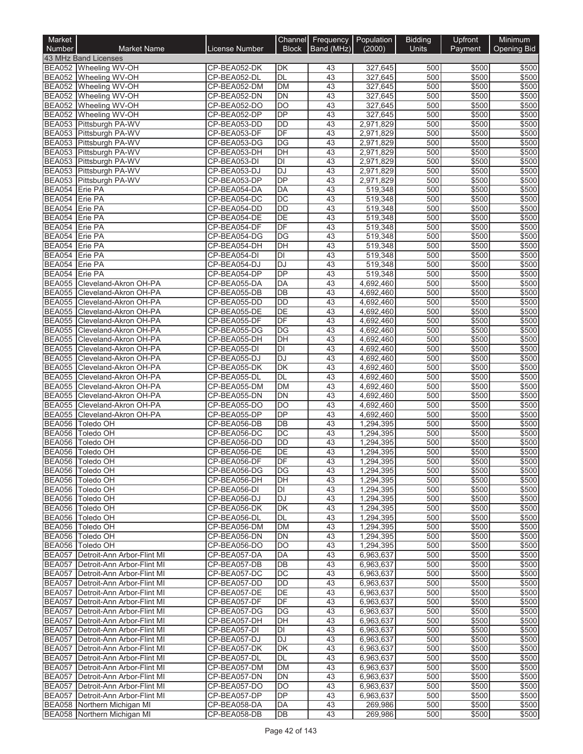| Market<br>Number                 | <b>Market Name</b>                                                     | <b>License Number</b>        | <b>Block</b>    | Channel Frequency Population<br>Band (MHz) | (2000)                 | <b>Bidding</b><br><b>Units</b> | Upfront<br>Payment | Minimum<br><b>Opening Bid</b> |
|----------------------------------|------------------------------------------------------------------------|------------------------------|-----------------|--------------------------------------------|------------------------|--------------------------------|--------------------|-------------------------------|
|                                  | 43 MHz Band Licenses                                                   |                              |                 |                                            |                        |                                |                    |                               |
|                                  | BEA052 Wheeling WV-OH                                                  | CP-BEA052-DK                 | DK              | 43                                         | 327,645                | 500                            | \$500              | \$500                         |
|                                  | BEA052 Wheeling WV-OH                                                  | CP-BEA052-DL                 | <b>DL</b>       | 43                                         | 327,645                | 500                            | \$500              | \$500                         |
|                                  | BEA052 Wheeling WV-OH                                                  | CP-BEA052-DM                 | <b>DM</b>       | 43                                         | 327,645                | 500                            | \$500              | \$500                         |
|                                  | BEA052 Wheeling WV-OH                                                  | CP-BEA052-DN                 | DN              | 43                                         | 327,645                | 500                            | \$500              | \$500                         |
|                                  | BEA052 Wheeling WV-OH                                                  | CP-BEA052-DO                 | <b>DO</b>       | 43                                         | 327,645                | 500                            | \$500              | \$500                         |
|                                  | BEA052 Wheeling WV-OH                                                  | CP-BEA052-DP                 | <b>DP</b>       | 43                                         | 327,645                | 500                            | \$500              | \$500                         |
|                                  | BEA053 Pittsburgh PA-WV                                                | CP-BEA053-DD                 | <b>DD</b>       | 43                                         | 2,971,829              | 500                            | \$500              | \$500                         |
|                                  | BEA053 Pittsburgh PA-WV                                                | CP-BEA053-DF                 | DF              | 43                                         | 2,971,829              | 500                            | \$500              | \$500                         |
|                                  | BEA053 Pittsburgh PA-WV<br>BEA053 Pittsburgh PA-WV                     | CP-BEA053-DG<br>CP-BEA053-DH | <b>DG</b><br>DH | 43<br>43                                   | 2,971,829<br>2,971,829 | 500<br>500                     | \$500<br>\$500     | \$500<br>\$500                |
|                                  | BEA053 Pittsburgh PA-WV                                                | CP-BEA053-DI                 | DI              | 43                                         | 2,971,829              | 500                            | \$500              | \$500                         |
|                                  | BEA053 Pittsburgh PA-WV                                                | CP-BEA053-DJ                 | DJ              | 43                                         | 2,971,829              | 500                            | \$500              | \$500                         |
|                                  | BEA053 Pittsburgh PA-WV                                                | CP-BEA053-DP                 | <b>DP</b>       | 43                                         | 2,971,829              | 500                            | \$500              | \$500                         |
| BEA054 Erie PA                   |                                                                        | CP-BEA054-DA                 | <b>DA</b>       | 43                                         | 519,348                | 500                            | \$500              | \$500                         |
| BEA054 Erie PA                   |                                                                        | CP-BEA054-DC                 | <b>DC</b>       | 43                                         | 519,348                | 500                            | \$500              | \$500                         |
| BEA054 Erie PA                   |                                                                        | CP-BEA054-DD                 | <b>DD</b>       | 43                                         | 519,348                | 500                            | \$500              | \$500                         |
| BEA054 Erie PA                   |                                                                        | CP-BEA054-DE                 | <b>DE</b>       | 43                                         | 519,348                | 500                            | \$500              | \$500                         |
| BEA054 Erie PA                   |                                                                        | CP-BEA054-DF                 | DF              | 43                                         | 519,348                | 500                            | \$500              | \$500                         |
| BEA054 Erie PA                   |                                                                        | CP-BEA054-DG                 | DG              | 43                                         | 519.348                | 500                            | \$500              | \$500                         |
| BEA054 Erie PA                   |                                                                        | CP-BEA054-DH                 | DH              | 43                                         | 519,348                | 500                            | \$500              | \$500                         |
| BEA054 Erie PA<br>BEA054 Erie PA |                                                                        | CP-BEA054-DI                 | DI<br><b>DJ</b> | 43<br>43                                   | 519,348                | 500<br>500                     | \$500<br>\$500     | \$500<br>\$500                |
| <b>BEA054</b>                    | Erie PA                                                                | CP-BEA054-DJ<br>CP-BEA054-DP | DP              | 43                                         | 519,348<br>519,348     | 500                            | \$500              | \$500                         |
| <b>BEA055</b>                    | Cleveland-Akron OH-PA                                                  | CP-BEA055-DA                 | DA              | 43                                         | 4,692,460              | 500                            | \$500              | \$500                         |
|                                  | BEA055 Cleveland-Akron OH-PA                                           | CP-BEA055-DB                 | DB              | 43                                         | 4,692,460              | 500                            | \$500              | \$500                         |
| <b>BEA055</b>                    | Cleveland-Akron OH-PA                                                  | CP-BEA055-DD                 | <b>DD</b>       | 43                                         | 4,692,460              | 500                            | \$500              | \$500                         |
|                                  | BEA055 Cleveland-Akron OH-PA                                           | CP-BEA055-DE                 | DE              | 43                                         | 4,692,460              | 500                            | \$500              | \$500                         |
|                                  | BEA055 Cleveland-Akron OH-PA                                           | CP-BEA055-DF                 | DF              | 43                                         | 4,692,460              | 500                            | \$500              | \$500                         |
|                                  | BEA055 Cleveland-Akron OH-PA                                           | CP-BEA055-DG                 | DG              | 43                                         | 4,692,460              | 500                            | \$500              | \$500                         |
| <b>BEA055</b>                    | Cleveland-Akron OH-PA                                                  | CP-BEA055-DH                 | DH              | 43                                         | 4,692,460              | 500                            | \$500              | \$500                         |
|                                  | BEA055 Cleveland-Akron OH-PA                                           | CP-BEA055-DI                 | DI              | 43                                         | 4,692,460              | 500                            | \$500              | \$500                         |
|                                  | BEA055 Cleveland-Akron OH-PA                                           | CP-BEA055-DJ                 | <b>DJ</b>       | 43                                         | 4,692,460              | 500                            | \$500              | \$500                         |
| <b>BEA055</b>                    | Cleveland-Akron OH-PA                                                  | CP-BEA055-DK                 | DK              | 43                                         | 4,692,460              | 500                            | \$500              | \$500                         |
|                                  | BEA055 Cleveland-Akron OH-PA                                           | CP-BEA055-DL                 | <b>DL</b>       | 43                                         | 4,692,460              | 500                            | \$500              | \$500                         |
|                                  | BEA055 Cleveland-Akron OH-PA                                           | CP-BEA055-DM                 | <b>DM</b>       | 43                                         | 4,692,460              | 500                            | \$500              | \$500                         |
| <b>BEA055</b>                    | BEA055 Cleveland-Akron OH-PA<br>Cleveland-Akron OH-PA                  | CP-BEA055-DN<br>CP-BEA055-DO | <b>DN</b><br>DO | 43<br>43                                   | 4,692,460<br>4,692,460 | 500<br>500                     | \$500<br>\$500     | \$500<br>\$500                |
| <b>BEA055</b>                    | Cleveland-Akron OH-PA                                                  | CP-BEA055-DP                 | <b>DP</b>       | 43                                         | 4,692,460              | 500                            | \$500              | \$500                         |
| <b>BEA056</b>                    | <b>Toledo OH</b>                                                       | CP-BEA056-DB                 | DB              | 43                                         | 1,294,395              | 500                            | \$500              | \$500                         |
| <b>BEA056</b>                    | Toledo OH                                                              | CP-BEA056-DC                 | <b>DC</b>       | 43                                         | 1,294,395              | 500                            | \$500              | \$500                         |
| <b>BEA056</b>                    | Toledo OH                                                              | CP-BEA056-DD                 | <b>DD</b>       | 43                                         | 1,294,395              | 500                            | \$500              | \$500                         |
| <b>BEA056</b>                    | <b>Toledo OH</b>                                                       | CP-BEA056-DE                 | <b>DE</b>       | 43                                         | 1,294,395              | 500                            | \$500              | \$500                         |
|                                  | BEA056  Toledo OH                                                      | CP-BEA056-DF                 | IDF             | 43                                         | 1,294,395              | 500                            | \$500              | \$500                         |
|                                  | BEA056 Toledo OH                                                       | CP-BEA056-DG                 | DG              | 43                                         | 1,294,395              | 500                            | \$500              | \$500                         |
|                                  | BEA056 Toledo OH                                                       | CP-BEA056-DH                 | DH              | 43                                         | 1,294,395              | 500                            | \$500              | \$500                         |
| <b>BEA056</b>                    | <b>Toledo OH</b>                                                       | CP-BEA056-DI                 | DI              | 43                                         | 1,294,395              | 500                            | \$500              | \$500                         |
|                                  | BEA056 Toledo OH                                                       | CP-BEA056-DJ                 | <b>DJ</b>       | 43                                         | 1,294,395              | 500                            | \$500              | \$500                         |
| <b>BEA056</b>                    | <b>Toledo OH</b>                                                       | CP-BEA056-DK                 | DK              | 43                                         | 1,294,395              | 500                            | \$500              | \$500                         |
| <b>BEA056</b>                    | Toledo OH                                                              | CP-BEA056-DL                 | DL              | 43                                         | 1,294,395              | 500                            | \$500              | \$500                         |
|                                  | BEA056 Toledo OH<br>BEA056 Toledo OH                                   | CP-BEA056-DM<br>CP-BEA056-DN | <b>DM</b><br>DN | 43<br>43                                   | 1.294.395<br>1,294,395 | 500<br>500                     | \$500<br>\$500     | \$500<br>\$500                |
|                                  | BEA056 Toledo OH                                                       | CP-BEA056-DO                 | DO              | 43                                         | 1,294,395              | 500                            | \$500              | \$500                         |
| <b>BEA057</b>                    | Detroit-Ann Arbor-Flint MI                                             | CP-BEA057-DA                 | DA              | 43                                         | 6,963,637              | 500                            | \$500              | \$500                         |
| <b>BEA057</b>                    | Detroit-Ann Arbor-Flint MI                                             | CP-BEA057-DB                 | DB              | 43                                         | 6,963,637              | 500                            | \$500              | \$500                         |
| <b>BEA057</b>                    | Detroit-Ann Arbor-Flint MI                                             | CP-BEA057-DC                 | DC              | 43                                         | 6,963,637              | 500                            | \$500              | \$500                         |
|                                  | BEA057 Detroit-Ann Arbor-Flint MI                                      | CP-BEA057-DD                 | DD              | 43                                         | 6,963,637              | 500                            | \$500              | \$500                         |
|                                  | BEA057 Detroit-Ann Arbor-Flint MI                                      | CP-BEA057-DE                 | DE              | 43                                         | 6,963,637              | 500                            | \$500              | \$500                         |
|                                  | BEA057 Detroit-Ann Arbor-Flint MI                                      | CP-BEA057-DF                 | DF              | 43                                         | 6,963,637              | 500                            | \$500              | \$500                         |
| <b>BEA057</b>                    | Detroit-Ann Arbor-Flint MI                                             | CP-BEA057-DG                 | DG              | 43                                         | 6,963,637              | 500                            | \$500              | \$500                         |
| <b>BEA057</b>                    | Detroit-Ann Arbor-Flint MI                                             | CP-BEA057-DH                 | DH              | 43                                         | 6,963,637              | 500                            | \$500              | \$500                         |
|                                  | BEA057 Detroit-Ann Arbor-Flint MI                                      | CP-BEA057-DI                 | DI              | 43                                         | 6,963,637              | 500                            | \$500              | \$500                         |
| <b>BEA057</b>                    | Detroit-Ann Arbor-Flint MI                                             | CP-BEA057-DJ                 | DJ              | 43                                         | 6,963,637              | 500                            | \$500              | \$500                         |
| <b>BEA057</b>                    | Detroit-Ann Arbor-Flint MI                                             | CP-BEA057-DK                 | DK              | 43                                         | 6,963,637              | 500                            | \$500              | \$500                         |
| <b>BEA057</b>                    | Detroit-Ann Arbor-Flint MI                                             | CP-BEA057-DL                 | DL              | 43                                         | 6,963,637              | 500                            | \$500              | \$500                         |
| <b>BEA057</b>                    | Detroit-Ann Arbor-Flint MI                                             | CP-BEA057-DM                 | <b>DM</b>       | 43<br>43                                   | 6,963,637              | 500                            | \$500              | \$500                         |
|                                  | BEA057 Detroit-Ann Arbor-Flint MI<br>BEA057 Detroit-Ann Arbor-Flint MI | CP-BEA057-DN<br>CP-BEA057-DO | DN<br>IDO       | 43                                         | 6,963,637<br>6,963,637 | 500<br>500                     | \$500<br>\$500     | \$500<br>\$500                |
|                                  | BEA057 Detroit-Ann Arbor-Flint MI                                      | CP-BEA057-DP                 | <b>DP</b>       | 43                                         | 6,963,637              | 500                            | \$500              | \$500                         |
|                                  | BEA058 Northern Michigan MI                                            | CP-BEA058-DA                 | DA              | 43                                         | 269,986                | 500                            | \$500              | \$500                         |
|                                  | BEA058 Northern Michigan MI                                            | CP-BEA058-DB                 | DB              | 43                                         | 269,986                | 500                            | \$500              | \$500                         |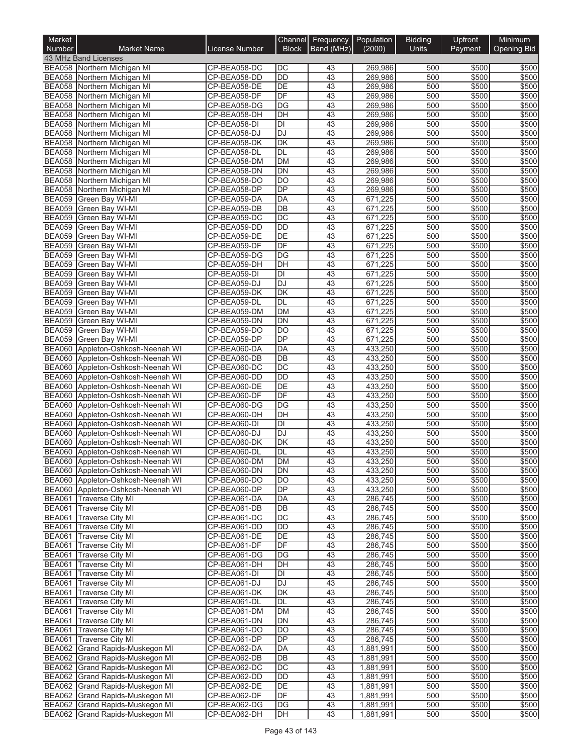| Market<br><b>Number</b>        | <b>Market Name</b>                                                     | License Number               | Channel<br><b>Block</b>      | Frequency<br>Band (MHz) | Population<br>(2000)   | <b>Bidding</b><br>Units | Upfront<br>Payment | Minimum<br><b>Opening Bid</b> |
|--------------------------------|------------------------------------------------------------------------|------------------------------|------------------------------|-------------------------|------------------------|-------------------------|--------------------|-------------------------------|
|                                | 43 MHz Band Licenses                                                   |                              |                              |                         |                        |                         |                    |                               |
|                                | BEA058 Northern Michigan MI                                            | CP-BEA058-DC                 | DC                           | 43                      | 269,986                | 500                     | \$500              | \$500                         |
|                                | BEA058 Northern Michigan MI                                            | CP-BEA058-DD                 | $\overline{DD}$              | 43                      | 269,986                | 500                     | \$500              | \$500                         |
|                                | BEA058 Northern Michigan MI                                            | CP-BEA058-DE                 | $\overline{DE}$              | 43                      | 269,986                | 500                     | \$500              | \$500                         |
|                                | BEA058 Northern Michigan MI                                            | CP-BEA058-DF                 | DF<br>DG                     | 43<br>43                | 269,986                | 500<br>500              | \$500              | \$500<br>\$500                |
|                                | BEA058 Northern Michigan MI<br>BEA058 Northern Michigan MI             | CP-BEA058-DG<br>CP-BEA058-DH | $\overline{DH}$              | 43                      | 269,986<br>269,986     | 500                     | \$500<br>\$500     | \$500                         |
|                                | BEA058 Northern Michigan MI                                            | CP-BEA058-DI                 | DI                           | 43                      | 269,986                | 500                     | \$500              | \$500                         |
|                                | BEA058 Northern Michigan MI                                            | CP-BEA058-DJ                 | <b>DJ</b>                    | 43                      | 269,986                | 500                     | \$500              | \$500                         |
|                                | BEA058 Northern Michigan MI                                            | CP-BEA058-DK                 | $\overline{\mathsf{DK}}$     | 43                      | 269,986                | 500                     | \$500              | \$500                         |
| <b>BEA058</b>                  | Northern Michigan MI                                                   | CP-BEA058-DL                 | <b>DL</b>                    | 43                      | 269,986                | 500                     | \$500              | \$500                         |
|                                | BEA058 Northern Michigan MI                                            | CP-BEA058-DM                 | <b>DM</b>                    | 43                      | 269,986                | 500                     | \$500              | \$500                         |
|                                | BEA058 Northern Michigan MI                                            | CP-BEA058-DN                 | DN                           | 43                      | 269,986                | 500                     | \$500              | \$500                         |
|                                | BEA058 Northern Michigan MI                                            | CP-BEA058-DO                 | $\overline{DO}$              | 43                      | 269,986                | 500                     | \$500              | \$500                         |
|                                | BEA058 Northern Michigan MI                                            | CP-BEA058-DP                 | DP                           | 43                      | 269,986                | 500                     | \$500              | \$500                         |
| <b>BEA059</b>                  | Green Bay WI-MI                                                        | CP-BEA059-DA                 | <b>DA</b><br>$\overline{DB}$ | 43<br>43                | 671,225                | 500<br>500              | \$500              | \$500<br>\$500                |
| <b>BEA059</b><br><b>BEA059</b> | Green Bay WI-MI<br>Green Bay WI-MI                                     | CP-BEA059-DB<br>CP-BEA059-DC | $\overline{DC}$              | 43                      | 671,225<br>671,225     | 500                     | \$500<br>\$500     | \$500                         |
| <b>BEA059</b>                  | Green Bay WI-MI                                                        | CP-BEA059-DD                 | <b>DD</b>                    | 43                      | 671,225                | 500                     | \$500              | \$500                         |
| <b>BEA059</b>                  | Green Bay WI-MI                                                        | CP-BEA059-DE                 | DE                           | 43                      | 671,225                | 500                     | \$500              | \$500                         |
| <b>BEA059</b>                  | Green Bay WI-MI                                                        | CP-BEA059-DF                 | DF                           | 43                      | 671.225                | 500                     | \$500              | \$500                         |
| <b>BEA059</b>                  | Green Bay WI-MI                                                        | CP-BEA059-DG                 | DG                           | 43                      | 671,225                | 500                     | \$500              | \$500                         |
| <b>BEA059</b>                  | Green Bay WI-MI                                                        | CP-BEA059-DH                 | $\overline{DH}$              | 43                      | 671,225                | 500                     | \$500              | \$500                         |
| <b>BEA059</b>                  | Green Bay WI-MI                                                        | CP-BEA059-DI                 | DI                           | 43                      | 671,225                | 500                     | \$500              | \$500                         |
| <b>BEA059</b>                  | Green Bay WI-MI                                                        | CP-BEA059-DJ                 | <b>DJ</b>                    | 43                      | 671,225                | 500                     | \$500              | \$500                         |
| <b>BEA059</b>                  | Green Bay WI-MI                                                        | CP-BEA059-DK                 | <b>DK</b>                    | 43                      | 671.225                | 500                     | \$500              | \$500                         |
| <b>BEA059</b>                  | Green Bay WI-MI                                                        | CP-BEA059-DL                 | DL                           | 43                      | 671,225                | 500                     | \$500              | \$500                         |
| <b>BEA059</b><br><b>BEA059</b> | Green Bay WI-MI                                                        | CP-BEA059-DM<br>CP-BEA059-DN | <b>DM</b><br>$\overline{DN}$ | 43<br>43                | 671,225<br>671,225     | 500<br>500              | \$500<br>\$500     | \$500<br>\$500                |
| <b>BEA059</b>                  | Green Bay WI-MI<br>Green Bay WI-MI                                     | CP-BEA059-DO                 | DO                           | 43                      | 671,225                | 500                     | \$500              | \$500                         |
| <b>BEA059</b>                  | Green Bay WI-MI                                                        | CP-BEA059-DP                 | DP                           | 43                      | 671,225                | 500                     | \$500              | \$500                         |
|                                | BEA060 Appleton-Oshkosh-Neenah WI                                      | CP-BEA060-DA                 | <b>DA</b>                    | 43                      | 433,250                | 500                     | \$500              | \$500                         |
| <b>BEA060</b>                  | Appleton-Oshkosh-Neenah WI                                             | CP-BEA060-DB                 | $\overline{DB}$              | 43                      | 433,250                | 500                     | \$500              | \$500                         |
|                                | BEA060 Appleton-Oshkosh-Neenah WI                                      | CP-BEA060-DC                 | DC                           | 43                      | 433,250                | 500                     | \$500              | \$500                         |
|                                | BEA060 Appleton-Oshkosh-Neenah WI                                      | CP-BEA060-DD                 | $\overline{DD}$              | 43                      | 433,250                | 500                     | \$500              | \$500                         |
|                                | BEA060 Appleton-Oshkosh-Neenah WI                                      | CP-BEA060-DE                 | DE                           | 43                      | 433,250                | 500                     | \$500              | \$500                         |
|                                | BEA060 Appleton-Oshkosh-Neenah WI                                      | CP-BEA060-DF                 | DF                           | 43                      | 433,250                | 500                     | \$500              | \$500                         |
|                                | BEA060 Appleton-Oshkosh-Neenah WI                                      | CP-BEA060-DG                 | $\overline{DG}$              | 43                      | 433,250                | 500                     | \$500              | \$500                         |
|                                | BEA060 Appleton-Oshkosh-Neenah WI                                      | CP-BEA060-DH                 | $\overline{DH}$              | 43                      | 433,250                | 500                     | \$500              | \$500                         |
|                                | BEA060 Appleton-Oshkosh-Neenah WI<br>BEA060 Appleton-Oshkosh-Neenah WI | CP-BEA060-DI<br>CP-BEA060-DJ | $\overline{D}$<br><b>DJ</b>  | 43<br>43                | 433,250<br>433,250     | 500<br>500              | \$500<br>\$500     | \$500<br>\$500                |
| <b>BEA060</b>                  | Appleton-Oshkosh-Neenah WI                                             | CP-BEA060-DK                 | $\overline{\mathsf{DK}}$     | 43                      | 433,250                | 500                     | \$500              | \$500                         |
|                                | BEA060 Appleton-Oshkosh-Neenah WI                                      | CP-BEA060-DL                 | DL                           | $\overline{43}$         | 433,250                | 500                     | \$500              | \$500                         |
|                                | BEA060 Appleton-Oshkosh-Neenah WI                                      | CP-BEA060-DM                 | DM.                          | 43                      | 433,250                | 500                     | \$500              | \$500                         |
|                                | BEA060 Appleton-Oshkosh-Neenah WI                                      | CP-BEA060-DN                 | <b>DN</b>                    | 43                      | 433,250                | 500                     | \$500              | \$500                         |
|                                | BEA060 Appleton-Oshkosh-Neenah WI                                      | CP-BEA060-DO                 | <b>DO</b>                    | 43                      | 433,250                | 500                     | \$500              | \$500                         |
|                                | BEA060 Appleton-Oshkosh-Neenah WI                                      | CP-BEA060-DP                 | DP                           | 43                      | 433,250                | 500                     | \$500              | \$500                         |
|                                | BEA061 Traverse City MI                                                | CP-BEA061-DA                 | DA                           | 43                      | 286,745                | 500                     | \$500              | \$500                         |
|                                | BEA061 Traverse City MI                                                | CP-BEA061-DB                 | DB                           | 43                      | 286,745                | 500                     | \$500              | \$500                         |
| <b>BEA061</b>                  | <b>Traverse City MI</b>                                                | CP-BEA061-DC                 | DC                           | 43                      | 286,745                | 500                     | \$500              | \$500                         |
|                                | BEA061 Traverse City MI                                                | CP-BEA061-DD                 | DD<br>DE                     | 43                      | 286,745                | 500                     | \$500              | \$500                         |
| <b>BEA061</b><br><b>BEA061</b> | <b>Traverse City MI</b><br><b>Traverse City MI</b>                     | CP-BEA061-DE<br>CP-BEA061-DF | DF                           | 43<br>43                | 286,745<br>286,745     | 500<br>500              | \$500<br>\$500     | \$500<br>\$500                |
| <b>BEA061</b>                  | <b>Traverse City MI</b>                                                | CP-BEA061-DG                 | DG                           | 43                      | 286,745                | 500                     | \$500              | \$500                         |
|                                | BEA061 Traverse City MI                                                | CP-BEA061-DH                 | $\overline{DH}$              | 43                      | 286,745                | 500                     | \$500              | \$500                         |
| <b>BEA061</b>                  | <b>Traverse City MI</b>                                                | CP-BEA061-DI                 | DI                           | 43                      | 286,745                | 500                     | \$500              | \$500                         |
| <b>BEA061</b>                  | Traverse City MI                                                       | CP-BEA061-DJ                 | <b>DJ</b>                    | 43                      | 286,745                | 500                     | \$500              | \$500                         |
| <b>BEA061</b>                  | <b>Traverse City MI</b>                                                | CP-BEA061-DK                 | DK                           | 43                      | 286,745                | 500                     | \$500              | \$500                         |
| <b>BEA061</b>                  | <b>Traverse City MI</b>                                                | CP-BEA061-DL                 | DL                           | 43                      | 286,745                | 500                     | \$500              | \$500                         |
| <b>BEA061</b>                  | <b>Traverse City MI</b>                                                | CP-BEA061-DM                 | <b>DM</b>                    | 43                      | 286,745                | 500                     | \$500              | \$500                         |
| <b>BEA061</b>                  | <b>Traverse City MI</b>                                                | CP-BEA061-DN                 | <b>DN</b>                    | 43                      | 286,745                | 500                     | \$500              | \$500                         |
|                                | <b>BEA061 Traverse City MI</b>                                         | CP-BEA061-DO                 | DO                           | 43                      | 286,745                | 500                     | \$500              | \$500                         |
|                                | BEA061 Traverse City MI                                                | CP-BEA061-DP                 | DP                           | 43                      | 286,745                | 500                     | \$500              | \$500                         |
|                                | BEA062 Grand Rapids-Muskegon MI<br>BEA062 Grand Rapids-Muskegon MI     | CP-BEA062-DA<br>CP-BEA062-DB | DA<br>DB                     | 43<br>43                | 1,881,991<br>1,881,991 | 500<br>500              | \$500<br>\$500     | \$500<br>\$500                |
|                                | BEA062 Grand Rapids-Muskegon MI                                        | CP-BEA062-DC                 | DC                           | 43                      | 1,881,991              | 500                     | \$500              | \$500                         |
|                                | BEA062 Grand Rapids-Muskegon MI                                        | CP-BEA062-DD                 | $\overline{DD}$              | 43                      | 1,881,991              | 500                     | \$500              | \$500                         |
|                                | BEA062 Grand Rapids-Muskegon MI                                        | CP-BEA062-DE                 | $\overline{DE}$              | 43                      | 1,881,991              | 500                     | \$500              | \$500                         |
|                                | BEA062 Grand Rapids-Muskegon MI                                        | CP-BEA062-DF                 | DF                           | 43                      | 1,881,991              | 500                     | \$500              | \$500                         |
|                                | BEA062 Grand Rapids-Muskegon MI                                        | CP-BEA062-DG                 | DG                           | 43                      | 1,881,991              | 500                     | \$500              | \$500                         |
|                                | BEA062 Grand Rapids-Muskegon MI                                        | CP-BEA062-DH                 | DH                           | 43                      | 1,881,991              | 500                     | \$500              | \$500                         |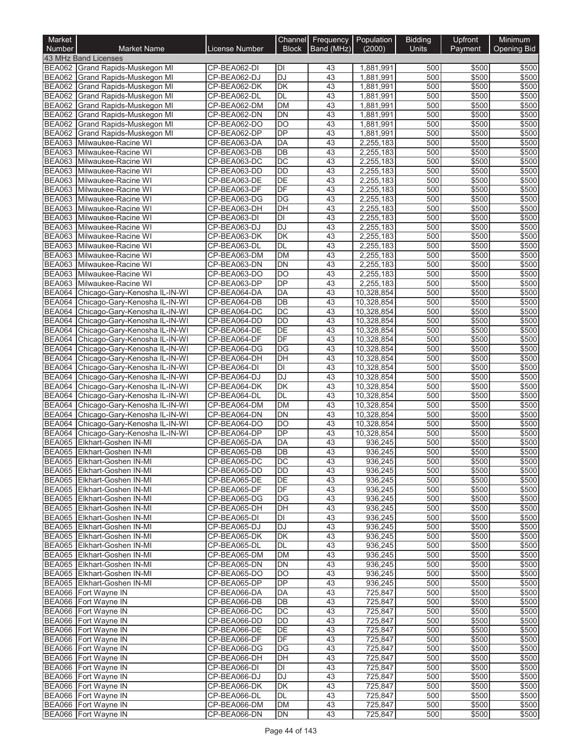| Market<br>Number               | <b>Market Name</b>                                             | <b>License Number</b>        | Channel<br><b>Block</b> | Frequency<br>Band (MHz) | Population<br>(2000)     | <b>Bidding</b><br><b>Units</b> | Upfront<br>Payment | Minimum<br><b>Opening Bid</b> |
|--------------------------------|----------------------------------------------------------------|------------------------------|-------------------------|-------------------------|--------------------------|--------------------------------|--------------------|-------------------------------|
|                                | 43 MHz Band Licenses                                           |                              |                         |                         |                          |                                |                    |                               |
|                                | BEA062 Grand Rapids-Muskegon MI                                | CP-BEA062-DI                 | DI                      | 43                      | 1,881,991                | 500                            | \$500              | \$500                         |
|                                | BEA062 Grand Rapids-Muskegon MI                                | CP-BEA062-DJ                 | <b>DJ</b>               | 43                      | 1,881,991                | 500                            | \$500              | \$500                         |
| <b>BEA062</b>                  | Grand Rapids-Muskegon MI                                       | CP-BEA062-DK                 | DK                      | 43                      | 1,881,991                | 500                            | \$500              | \$500                         |
| <b>BEA062</b>                  | Grand Rapids-Muskegon MI<br>BEA062 Grand Rapids-Muskegon MI    | CP-BEA062-DL<br>CP-BEA062-DM | <b>DL</b><br><b>DM</b>  | 43<br>43                | 1,881,991<br>1,881,991   | 500<br>500                     | \$500<br>\$500     | \$500<br>\$500                |
| <b>BEA062</b>                  | <b>Grand Rapids-Muskegon MI</b>                                | CP-BEA062-DN                 | <b>DN</b>               | 43                      | 1,881,991                | 500                            | \$500              | \$500                         |
|                                | BEA062 Grand Rapids-Muskegon MI                                | CP-BEA062-DO                 | DO                      | 43                      | 1,881,991                | 500                            | \$500              | \$500                         |
| <b>BEA062</b>                  | <b>Grand Rapids-Muskegon MI</b>                                | CP-BEA062-DP                 | <b>DP</b>               | 43                      | 1,881,991                | 500                            | \$500              | \$500                         |
|                                | BEA063 Milwaukee-Racine WI                                     | CP-BEA063-DA                 | DA                      | 43                      | 2,255,183                | 500                            | \$500              | \$500                         |
|                                | BEA063 Milwaukee-Racine WI                                     | CP-BEA063-DB                 | DB                      | 43                      | 2,255,183                | 500                            | \$500              | \$500                         |
|                                | BEA063 Milwaukee-Racine WI                                     | CP-BEA063-DC                 | DC                      | 43                      | 2,255,183                | 500                            | \$500              | \$500                         |
|                                | BEA063 Milwaukee-Racine WI                                     | CP-BEA063-DD                 | <b>DD</b>               | 43                      | 2,255,183                | 500                            | \$500              | \$500                         |
|                                | BEA063 Milwaukee-Racine WI<br>BEA063 Milwaukee-Racine WI       | CP-BEA063-DE                 | <b>DE</b><br>DF         | $\overline{43}$<br>43   | 2,255,183                | 500<br>500                     | \$500<br>\$500     | \$500<br>\$500                |
| <b>BEA063</b>                  | Milwaukee-Racine WI                                            | CP-BEA063-DF<br>CP-BEA063-DG | DG                      | 43                      | 2,255,183<br>2,255,183   | 500                            | \$500              | \$500                         |
|                                | BEA063 Milwaukee-Racine WI                                     | CP-BEA063-DH                 | $\overline{D}$ H        | 43                      | 2,255,183                | 500                            | \$500              | \$500                         |
|                                | BEA063 Milwaukee-Racine WI                                     | CP-BEA063-DI                 | $\overline{D}$          | 43                      | 2,255,183                | 500                            | \$500              | \$500                         |
|                                | BEA063 Milwaukee-Racine WI                                     | CP-BEA063-DJ                 | <b>DJ</b>               | 43                      | 2,255,183                | 500                            | \$500              | \$500                         |
|                                | BEA063 Milwaukee-Racine WI                                     | CP-BEA063-DK                 | DK                      | 43                      | 2.255.183                | 500                            | \$500              | \$500                         |
|                                | BEA063 Milwaukee-Racine WI                                     | CP-BEA063-DL                 | <b>DL</b>               | 43                      | 2,255,183                | 500                            | \$500              | \$500                         |
|                                | BEA063 Milwaukee-Racine WI                                     | CP-BEA063-DM                 | <b>DM</b>               | 43                      | 2,255,183                | 500                            | \$500              | \$500                         |
|                                | BEA063 Milwaukee-Racine WI                                     | CP-BEA063-DN                 | <b>DN</b>               | 43                      | 2,255,183                | 500                            | \$500              | \$500                         |
|                                | BEA063 Milwaukee-Racine WI                                     | CP-BEA063-DO                 | <b>DO</b><br>DP         | 43<br>$\overline{43}$   | 2,255,183                | 500                            | \$500              | \$500                         |
| <b>BEA063</b>                  | Milwaukee-Racine WI<br>BEA064 Chicago-Gary-Kenosha IL-IN-WI    | CP-BEA063-DP<br>CP-BEA064-DA | DA                      | 43                      | 2,255,183<br>10,328,854  | 500<br>500                     | \$500<br>\$500     | \$500<br>\$500                |
| <b>BEA064</b>                  | Chicago-Gary-Kenosha IL-IN-WI                                  | CP-BEA064-DB                 | DB                      | 43                      | 10,328,854               | 500                            | \$500              | \$500                         |
| <b>BEA064</b>                  | Chicago-Gary-Kenosha IL-IN-WI                                  | CP-BEA064-DC                 | DC                      | 43                      | 10,328,854               | 500                            | \$500              | \$500                         |
| <b>BEA064</b>                  | Chicago-Gary-Kenosha IL-IN-WI                                  | CP-BEA064-DD                 | <b>DD</b>               | 43                      | 10,328,854               | 500                            | \$500              | \$500                         |
| <b>BEA064</b>                  | Chicago-Gary-Kenosha IL-IN-WI                                  | CP-BEA064-DE                 | DE                      | 43                      | 10,328,854               | 500                            | \$500              | \$500                         |
| <b>BEA064</b>                  | Chicago-Gary-Kenosha IL-IN-WI                                  | CP-BEA064-DF                 | DF                      | 43                      | 10,328,854               | 500                            | \$500              | \$500                         |
| <b>BEA064</b>                  | Chicago-Gary-Kenosha IL-IN-WI                                  | CP-BEA064-DG                 | DG                      | $\overline{43}$         | 10,328,854               | 500                            | \$500              | \$500                         |
| <b>BEA064</b>                  | Chicago-Gary-Kenosha IL-IN-WI                                  | CP-BEA064-DH                 | DH                      | 43                      | 10,328,854               | 500                            | \$500              | \$500                         |
| <b>BEA064</b>                  | Chicago-Gary-Kenosha IL-IN-WI                                  | CP-BEA064-DI                 | DI                      | 43                      | 10,328,854               | 500                            | \$500              | \$500                         |
| <b>BEA064</b>                  | Chicago-Gary-Kenosha IL-IN-WI                                  | CP-BEA064-DJ                 | <b>DJ</b><br>DK         | 43<br>$\overline{43}$   | 10,328,854               | 500<br>500                     | \$500<br>\$500     | \$500<br>\$500                |
| <b>BEA064</b><br><b>BEA064</b> | Chicago-Gary-Kenosha IL-IN-WI<br>Chicago-Gary-Kenosha IL-IN-WI | CP-BEA064-DK<br>CP-BEA064-DL | <b>DL</b>               | 43                      | 10,328,854<br>10,328,854 | 500                            | \$500              | \$500                         |
| <b>BEA064</b>                  | Chicago-Gary-Kenosha IL-IN-WI                                  | CP-BEA064-DM                 | <b>DM</b>               | 43                      | 10,328,854               | 500                            | \$500              | \$500                         |
| <b>BEA064</b>                  | Chicago-Gary-Kenosha IL-IN-WI                                  | CP-BEA064-DN                 | <b>DN</b>               | $\overline{43}$         | 10,328,854               | 500                            | \$500              | \$500                         |
|                                | BEA064 Chicago-Gary-Kenosha IL-IN-WI                           | CP-BEA064-DO                 | DO                      | 43                      | 10,328,854               | 500                            | \$500              | \$500                         |
| <b>BEA064</b>                  | Chicago-Gary-Kenosha IL-IN-WI                                  | CP-BEA064-DP                 | DP                      | 43                      | 10,328,854               | 500                            | \$500              | \$500                         |
| <b>BEA065</b>                  | Elkhart-Goshen IN-MI                                           | CP-BEA065-DA                 | DA                      | 43                      | 936,245                  | 500                            | \$500              | \$500                         |
|                                | BEA065 Elkhart-Goshen IN-MI                                    | CP-BEA065-DB                 | DB                      | 43                      | 936,245                  | 500                            | \$500              | \$500                         |
|                                | BEA065 Elkhart-Goshen IN-MI                                    | CP-BEA065-DC                 | DC                      | 43                      | 936,245                  | 500                            | \$500              | \$500                         |
|                                | BEA065 Elkhart-Goshen IN-MI<br>BEA065 Elkhart-Goshen IN-MI     | CP-BEA065-DD                 | <b>DD</b>               | 43                      | 936,245                  | 500                            | \$500              | \$500                         |
|                                | BEA065 Elkhart-Goshen IN-MI                                    | CP-BEA065-DE<br>CP-BEA065-DF | DE<br>DF                | 43<br>43                | 936,245<br>936,245       | 500<br>500                     | \$500<br>\$500     | \$500<br>\$500                |
|                                | BEA065 Elkhart-Goshen IN-MI                                    | CP-BEA065-DG                 | DG                      | 43                      | 936,245                  | 500                            | \$500              | \$500                         |
|                                | BEA065 Elkhart-Goshen IN-MI                                    | CP-BEA065-DH                 | DH                      | 43                      | 936,245                  | 500                            | \$500              | \$500                         |
|                                | BEA065 Elkhart-Goshen IN-MI                                    | CP-BEA065-DI                 | DI                      | 43                      | 936,245                  | 500                            | \$500              | \$500                         |
|                                | BEA065 Elkhart-Goshen IN-MI                                    | CP-BEA065-DJ                 | <b>DJ</b>               | 43                      | 936,245                  | 500                            | \$500              | \$500                         |
|                                | BEA065 Elkhart-Goshen IN-MI                                    | CP-BEA065-DK                 | DK                      | 43                      | 936,245                  | 500                            | \$500              | \$500                         |
|                                | BEA065 Elkhart-Goshen IN-MI                                    | CP-BEA065-DL                 | DL                      | 43                      | 936,245                  | 500                            | \$500              | \$500                         |
|                                | BEA065 Elkhart-Goshen IN-MI                                    | CP-BEA065-DM                 | <b>DM</b>               | 43                      | 936,245                  | 500                            | \$500              | \$500                         |
|                                | BEA065 Elkhart-Goshen IN-MI<br>BEA065 Elkhart-Goshen IN-MI     | CP-BEA065-DN                 | DN<br><b>DO</b>         | 43<br>43                | 936,245                  | 500<br>500                     | \$500<br>\$500     | \$500                         |
|                                | BEA065 Elkhart-Goshen IN-MI                                    | CP-BEA065-DO<br>CP-BEA065-DP | <b>DP</b>               | 43                      | 936,245<br>936,245       | 500                            | \$500              | \$500<br>\$500                |
|                                | BEA066 Fort Wayne IN                                           | CP-BEA066-DA                 | DA                      | 43                      | 725,847                  | 500                            | \$500              | \$500                         |
|                                | BEA066 Fort Wayne IN                                           | CP-BEA066-DB                 | DB                      | 43                      | 725,847                  | 500                            | \$500              | \$500                         |
|                                | BEA066 Fort Wayne IN                                           | CP-BEA066-DC                 | DC                      | 43                      | 725,847                  | 500                            | \$500              | \$500                         |
|                                | BEA066 Fort Wayne IN                                           | CP-BEA066-DD                 | DD                      | 43                      | 725,847                  | 500                            | \$500              | \$500                         |
|                                | BEA066 Fort Wayne IN                                           | CP-BEA066-DE                 | DE                      | 43                      | 725,847                  | 500                            | \$500              | \$500                         |
|                                | BEA066 Fort Wayne IN                                           | CP-BEA066-DF                 | DF                      | 43                      | 725,847                  | 500                            | \$500              | \$500                         |
|                                | BEA066 Fort Wayne IN                                           | CP-BEA066-DG                 | DG                      | 43                      | 725,847                  | 500                            | \$500              | \$500                         |
|                                | BEA066 Fort Wayne IN                                           | CP-BEA066-DH                 | DH                      | 43                      | 725,847                  | 500                            | \$500              | \$500                         |
|                                | BEA066 Fort Wayne IN<br>BEA066 Fort Wayne IN                   | CP-BEA066-DI<br>CP-BEA066-DJ | DI<br>DJ                | 43<br>43                | 725,847<br>725,847       | 500<br>500                     | \$500<br>\$500     | \$500<br>\$500                |
|                                | BEA066 Fort Wayne IN                                           | CP-BEA066-DK                 | DK                      | 43                      | 725,847                  | 500                            | \$500              | \$500                         |
|                                | BEA066 Fort Wayne IN                                           | CP-BEA066-DL                 | DL                      | 43                      | 725,847                  | 500                            | \$500              | \$500                         |
|                                | BEA066 Fort Wayne IN                                           | CP-BEA066-DM                 | <b>DM</b>               | 43                      | 725,847                  | 500                            | \$500              | \$500                         |
|                                | BEA066 Fort Wayne IN                                           | CP-BEA066-DN                 | DN                      | 43                      | 725,847                  | 500                            | \$500              | \$500                         |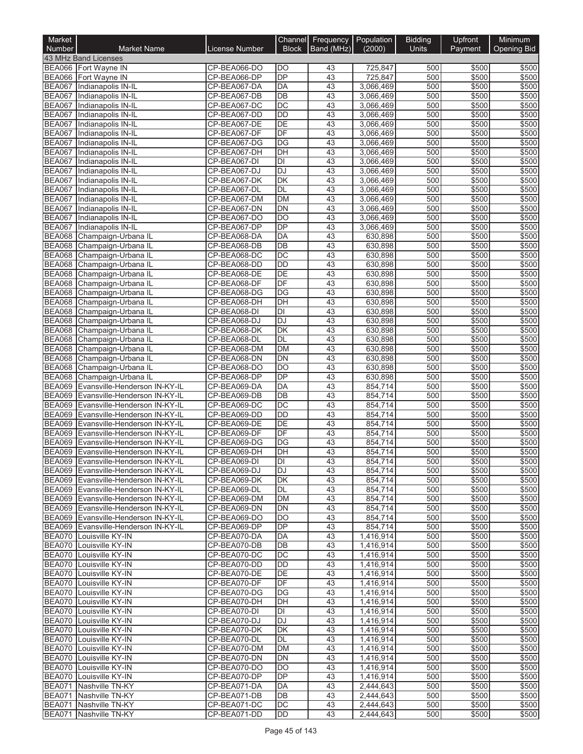| Market<br>Number               | <b>Market Name</b>                                             | License Number               | Channel   <br><b>Block</b> | <b>Frequency Population</b><br>Band (MHz) | (2000)                 | <b>Bidding</b><br><b>Units</b> | Upfront<br>Payment | Minimum<br><b>Opening Bid</b> |
|--------------------------------|----------------------------------------------------------------|------------------------------|----------------------------|-------------------------------------------|------------------------|--------------------------------|--------------------|-------------------------------|
|                                | 43 MHz Band Licenses                                           |                              |                            |                                           |                        |                                |                    |                               |
|                                | BEA066 Fort Wayne IN                                           | CP-BEA066-DO                 | DO                         | 43                                        | 725,847                | 500                            | \$500              | \$500                         |
|                                | BEA066 Fort Wayne IN                                           | CP-BEA066-DP                 | DP                         | 43                                        | 725,847                | 500                            | \$500              | \$500                         |
|                                | BEA067 Indianapolis IN-IL                                      | CP-BEA067-DA                 | DA                         | 43                                        | 3,066,469              | 500                            | \$500              | \$500                         |
|                                | BEA067 Indianapolis IN-IL                                      | CP-BEA067-DB                 | $\overline{DB}$            | 43                                        | 3,066,469              | 500                            | \$500              | \$500                         |
|                                | BEA067 Indianapolis IN-IL                                      | CP-BEA067-DC                 | DC                         | 43                                        | 3,066,469              | 500                            | \$500              | \$500                         |
| <b>BEA067</b>                  | Indianapolis IN-IL                                             | CP-BEA067-DD                 | <b>DD</b>                  | 43                                        | 3,066,469              | 500                            | \$500              | \$500                         |
| <b>BEA067</b>                  | Indianapolis IN-IL                                             | CP-BEA067-DE                 | DE                         | 43                                        | 3,066,469              | 500                            | \$500              | \$500                         |
| <b>BEA067</b>                  | BEA067 Indianapolis IN-IL                                      | CP-BEA067-DF                 | DF<br><b>DG</b>            | 43<br>43                                  | 3,066,469              | 500<br>500                     | \$500<br>\$500     | \$500                         |
| <b>BEA067</b>                  | Indianapolis IN-IL<br>Indianapolis IN-IL                       | CP-BEA067-DG<br>CP-BEA067-DH | DH                         | 43                                        | 3,066,469<br>3,066,469 | 500                            | \$500              | \$500<br>\$500                |
|                                | BEA067 Indianapolis IN-IL                                      | CP-BEA067-DI                 | <b>DI</b>                  | 43                                        | 3,066,469              | 500                            | \$500              | \$500                         |
| <b>BEA067</b>                  | Indianapolis IN-IL                                             | CP-BEA067-DJ                 | DJ                         | 43                                        | 3,066,469              | 500                            | \$500              | \$500                         |
| <b>BEA067</b>                  | Indianapolis IN-IL                                             | CP-BEA067-DK                 | DK                         | 43                                        | 3,066,469              | 500                            | \$500              | \$500                         |
| <b>BEA067</b>                  | Indianapolis IN-IL                                             | CP-BEA067-DL                 | <b>DL</b>                  | 43                                        | 3,066,469              | 500                            | \$500              | \$500                         |
| <b>BEA067</b>                  | Indianapolis IN-IL                                             | CP-BEA067-DM                 | <b>DM</b>                  | 43                                        | 3,066,469              | 500                            | \$500              | \$500                         |
| <b>BEA067</b>                  | Indianapolis IN-IL                                             | CP-BEA067-DN                 | <b>DN</b>                  | 43                                        | 3,066,469              | 500                            | \$500              | \$500                         |
| <b>BEA067</b>                  | Indianapolis IN-IL                                             | CP-BEA067-DO                 | $\overline{DO}$            | 43                                        | 3,066,469              | 500                            | \$500              | \$500                         |
| <b>BEA067</b>                  | Indianapolis IN-IL                                             | CP-BEA067-DP                 | DP                         | 43                                        | 3,066,469              | 500                            | \$500              | \$500                         |
|                                | BEA068 Champaign-Urbana IL                                     | CP-BEA068-DA                 | <b>DA</b>                  | 43                                        | 630,898                | 500                            | \$500              | \$500                         |
|                                | BEA068 Champaign-Urbana IL                                     | CP-BEA068-DB                 | DB                         | 43                                        | 630,898                | 500                            | \$500              | \$500                         |
| <b>BEA068</b>                  | Champaign-Urbana IL<br>BEA068 Champaign-Urbana IL              | CP-BEA068-DC<br>CP-BEA068-DD | DC<br><b>DD</b>            | 43<br>43                                  | 630,898<br>630,898     | 500<br>500                     | \$500<br>\$500     | \$500                         |
| <b>BEA068</b>                  | Champaign-Urbana IL                                            | CP-BEA068-DE                 | DE                         | 43                                        | 630,898                | 500                            | \$500              | \$500<br>\$500                |
| <b>BEA068</b>                  | Champaign-Urbana IL                                            | CP-BEA068-DF                 | DF                         | 43                                        | 630,898                | 500                            | \$500              | \$500                         |
|                                | BEA068 Champaign-Urbana IL                                     | CP-BEA068-DG                 | <b>DG</b>                  | 43                                        | 630,898                | 500                            | \$500              | \$500                         |
| <b>BEA068</b>                  | Champaign-Urbana IL                                            | CP-BEA068-DH                 | DH                         | 43                                        | 630,898                | 500                            | \$500              | \$500                         |
| <b>BEA068</b>                  | Champaign-Urbana IL                                            | CP-BEA068-DI                 | <b>DI</b>                  | 43                                        | 630,898                | 500                            | \$500              | \$500                         |
| <b>BEA068</b>                  | Champaign-Urbana IL                                            | CP-BEA068-DJ                 | <b>DJ</b>                  | 43                                        | 630,898                | 500                            | \$500              | \$500                         |
| <b>BEA068</b>                  | Champaign-Urbana IL                                            | CP-BEA068-DK                 | $\overline{\mathsf{DK}}$   | 43                                        | 630,898                | 500                            | \$500              | \$500                         |
| <b>BEA068</b>                  | Champaign-Urbana IL                                            | CP-BEA068-DL                 | <b>DL</b>                  | 43                                        | 630,898                | 500                            | \$500              | \$500                         |
|                                | BEA068 Champaign-Urbana IL                                     | CP-BEA068-DM                 | <b>DM</b>                  | 43                                        | 630,898                | 500                            | \$500              | \$500                         |
| <b>BEA068</b>                  | Champaign-Urbana IL                                            | CP-BEA068-DN                 | <b>DN</b>                  | 43                                        | 630,898                | 500                            | \$500              | \$500                         |
| <b>BEA068</b>                  | Champaign-Urbana IL                                            | CP-BEA068-DO                 | DO                         | 43                                        | 630,898                | 500                            | \$500              | \$500                         |
| <b>BEA068</b>                  | Champaign-Urbana IL                                            | CP-BEA068-DP                 | DP                         | 43                                        | 630,898                | 500                            | \$500              | \$500                         |
|                                | BEA069 Evansville-Henderson IN-KY-IL                           | CP-BEA069-DA                 | <b>DA</b>                  | 43                                        | 854,714                | 500                            | \$500              | \$500                         |
| <b>BEA069</b><br><b>BEA069</b> | Evansville-Henderson IN-KY-IL<br>Evansville-Henderson IN-KY-IL | CP-BEA069-DB<br>CP-BEA069-DC | DB<br>DC                   | 43<br>43                                  | 854,714<br>854,714     | 500<br>500                     | \$500<br>\$500     | \$500<br>\$500                |
| <b>BEA069</b>                  | Evansville-Henderson IN-KY-IL                                  | CP-BEA069-DD                 | <b>DD</b>                  | 43                                        | 854,714                | 500                            | \$500              | \$500                         |
| <b>BEA069</b>                  | Evansville-Henderson IN-KY-IL                                  | CP-BEA069-DE                 | DE                         | 43                                        | 854,714                | 500                            | \$500              | \$500                         |
| <b>BEA069</b>                  | Evansville-Henderson IN-KY-IL                                  | CP-BEA069-DF                 | DF                         | 43                                        | 854,714                | 500                            | \$500              | \$500                         |
| <b>BEA069</b>                  | Evansville-Henderson IN-KY-IL                                  | CP-BEA069-DG                 | DG                         | 43                                        | 854,714                | 500                            | \$500              | \$500                         |
| <b>BEA069</b>                  | Evansville-Henderson IN-KY-IL                                  | CP-BEA069-DH                 | DH                         | 43                                        | 854,714                | 500                            | \$500              | \$500                         |
|                                | BEA069  Evansville-Henderson IN-KY-IL                          | CP-BEA069-DI                 | IDI                        | 43                                        | 854,714                | 500                            | \$500              | \$500                         |
|                                | BEA069 Evansville-Henderson IN-KY-IL                           | CP-BEA069-DJ                 | <b>DJ</b>                  | 43                                        | 854,714                | 500                            | \$500              | \$500                         |
|                                | BEA069 Evansville-Henderson IN-KY-IL                           | CP-BEA069-DK                 | DK                         | 43                                        | 854,714                | 500                            | \$500              | \$500                         |
|                                | BEA069 Evansville-Henderson IN-KY-IL                           | CP-BEA069-DL                 | DL                         | 43                                        | 854,714                | 500                            | \$500              | \$500                         |
|                                | BEA069 Evansville-Henderson IN-KY-IL                           | CP-BEA069-DM                 | <b>DM</b>                  | 43                                        | 854,714                | 500                            | \$500              | \$500                         |
|                                | BEA069 Evansville-Henderson IN-KY-IL                           | CP-BEA069-DN                 | DN                         | 43                                        | 854,714                | 500                            | \$500              | \$500                         |
|                                | BEA069 Evansville-Henderson IN-KY-IL                           | CP-BEA069-DO                 | DO                         | 43                                        | 854,714                | 500                            | \$500              | \$500                         |
|                                | BEA069 Evansville-Henderson IN-KY-IL                           | CP-BEA069-DP                 | <b>DP</b>                  | 43                                        | 854,714                | 500                            | \$500              | \$500                         |
|                                | BEA070 Louisville KY-IN<br>BEA070 Louisville KY-IN             | CP-BEA070-DA<br>CP-BEA070-DB | DA<br>DB                   | 43<br>43                                  | 1,416,914<br>1,416,914 | 500<br>500                     | \$500<br>\$500     | \$500<br>\$500                |
|                                | BEA070 Louisville KY-IN                                        | CP-BEA070-DC                 | DC                         | 43                                        | 1,416,914              | 500                            | \$500              | \$500                         |
|                                | BEA070 Louisville KY-IN                                        | CP-BEA070-DD                 | DD                         | 43                                        | 1,416,914              | 500                            | \$500              | \$500                         |
|                                | BEA070 Louisville KY-IN                                        | CP-BEA070-DE                 | DE                         | 43                                        | 1,416,914              | 500                            | \$500              | \$500                         |
|                                | BEA070 Louisville KY-IN                                        | CP-BEA070-DF                 | DF                         | 43                                        | 1,416,914              | 500                            | \$500              | \$500                         |
|                                | BEA070 Louisville KY-IN                                        | CP-BEA070-DG                 | DG                         | 43                                        | 1,416,914              | 500                            | \$500              | \$500                         |
|                                | BEA070 Louisville KY-IN                                        | CP-BEA070-DH                 | DH                         | 43                                        | 1,416,914              | 500                            | \$500              | \$500                         |
|                                | BEA070 Louisville KY-IN                                        | CP-BEA070-DI                 | DI                         | 43                                        | 1,416,914              | 500                            | \$500              | \$500                         |
|                                | BEA070 Louisville KY-IN                                        | CP-BEA070-DJ                 | DJ                         | 43                                        | 1,416,914              | 500                            | \$500              | \$500                         |
|                                | BEA070 Louisville KY-IN                                        | CP-BEA070-DK                 | DK                         | 43                                        | 1,416,914              | 500                            | \$500              | \$500                         |
|                                | BEA070 Louisville KY-IN                                        | CP-BEA070-DL                 | DL                         | 43                                        | 1,416,914              | 500                            | \$500              | \$500                         |
|                                | BEA070 Louisville KY-IN                                        | CP-BEA070-DM                 | DM                         | 43                                        | 1,416,914              | 500                            | \$500              | \$500                         |
|                                | BEA070 Louisville KY-IN                                        | CP-BEA070-DN                 | DN                         | 43                                        | 1,416,914              | 500                            | \$500              | \$500                         |
|                                | BEA070 Louisville KY-IN<br>BEA070 Louisville KY-IN             | CP-BEA070-DO<br>CP-BEA070-DP | DO<br>DP                   | 43<br>43                                  | 1,416,914              | 500<br>500                     | \$500<br>\$500     | \$500<br>\$500                |
|                                | BEA071 Nashville TN-KY                                         | CP-BEA071-DA                 | DA                         | 43                                        | 1,416,914<br>2,444,643 | 500                            | $\overline{$}500$  | \$500                         |
|                                | BEA071 Nashville TN-KY                                         | CP-BEA071-DB                 | DB                         | 43                                        | 2,444,643              | 500                            | \$500              | \$500                         |
|                                | BEA071 Nashville TN-KY                                         | CP-BEA071-DC                 | DC                         | 43                                        | 2,444,643              | 500                            | \$500              | \$500                         |
|                                | BEA071 Nashville TN-KY                                         | CP-BEA071-DD                 | DD                         | 43                                        | 2,444,643              | 500                            | \$500              | \$500                         |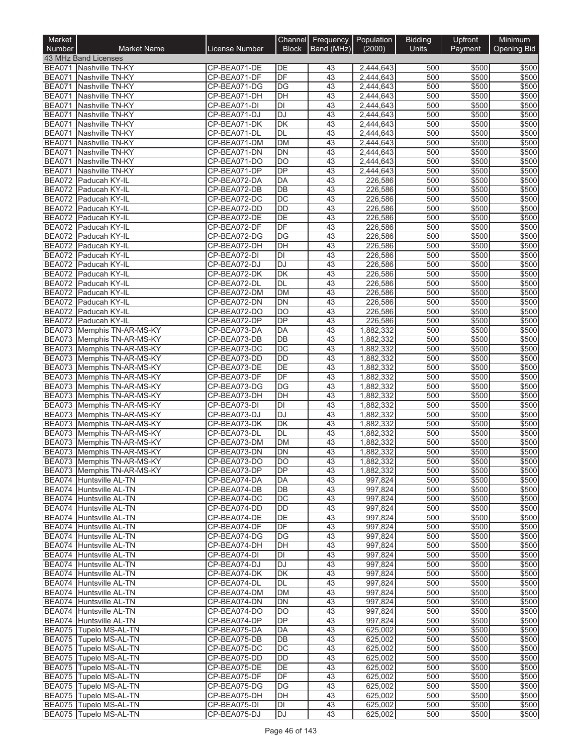| Market<br>Number        | <b>Market Name</b>                                       | License Number               | Channel<br><b>Block</b> | Frequency   Population<br>Band (MHz) | (2000)                 | <b>Bidding</b><br>Units | Upfront<br>Payment | Minimum<br><b>Opening Bid</b> |
|-------------------------|----------------------------------------------------------|------------------------------|-------------------------|--------------------------------------|------------------------|-------------------------|--------------------|-------------------------------|
|                         | 43 MHz Band Licenses                                     |                              |                         |                                      |                        |                         |                    |                               |
|                         | BEA071 Nashville TN-KY                                   | CP-BEA071-DE                 | DE                      | 43                                   | 2,444,643              | 500                     | \$500              | \$500                         |
|                         | BEA071 Nashville TN-KY                                   | CP-BEA071-DF                 | DF                      | 43                                   | 2,444,643              | 500                     | \$500              | \$500                         |
| <b>BEA071</b>           | Nashville TN-KY                                          | CP-BEA071-DG                 | DG                      | $\overline{43}$                      | 2,444,643              | 500                     | \$500              | \$500                         |
| <b>BEA071</b>           | Nashville TN-KY                                          | CP-BEA071-DH                 | $\overline{DH}$         | 43                                   | 2,444,643              | 500                     | \$500              | \$500                         |
| BEA071<br><b>BEA071</b> | Nashville TN-KY<br>Nashville TN-KY                       | CP-BEA071-DI<br>CP-BEA071-DJ | DI<br><b>DJ</b>         | 43<br>43                             | 2,444,643<br>2,444,643 | 500<br>500              | \$500<br>\$500     | \$500<br>\$500                |
| <b>BEA071</b>           | Nashville TN-KY                                          | CP-BEA071-DK                 | DK                      | 43                                   | 2,444,643              | 500                     | \$500              | \$500                         |
| <b>BEA071</b>           | Nashville TN-KY                                          | CP-BEA071-DL                 | DL                      | 43                                   | 2,444,643              | 500                     | \$500              | \$500                         |
| <b>BEA071</b>           | Nashville TN-KY                                          | CP-BEA071-DM                 | <b>DM</b>               | 43                                   | 2,444,643              | 500                     | \$500              | \$500                         |
| <b>BEA071</b>           | Nashville TN-KY                                          | CP-BEA071-DN                 | <b>DN</b>               | 43                                   | 2,444,643              | 500                     | \$500              | \$500                         |
| <b>BEA071</b>           | Nashville TN-KY                                          | CP-BEA071-DO                 | $\overline{DO}$         | 43                                   | 2,444,643              | 500                     | \$500              | \$500                         |
| <b>BEA071</b>           | Nashville TN-KY                                          | CP-BEA071-DP                 | <b>DP</b><br>DA         | 43<br>43                             | 2,444,643<br>226,586   | 500<br>500              | \$500              | \$500<br>\$500                |
| BEA072<br><b>BEA072</b> | Paducah KY-IL<br>Paducah KY-IL                           | CP-BEA072-DA<br>CP-BEA072-DB | DB                      | 43                                   | 226,586                | 500                     | \$500<br>\$500     | \$500                         |
| <b>BEA072</b>           | Paducah KY-IL                                            | CP-BEA072-DC                 | DC                      | 43                                   | 226,586                | 500                     | \$500              | \$500                         |
|                         | BEA072 Paducah KY-IL                                     | CP-BEA072-DD                 | <b>DD</b>               | $\overline{43}$                      | 226,586                | 500                     | \$500              | \$500                         |
|                         | BEA072 Paducah KY-IL                                     | CP-BEA072-DE                 | $\overline{DE}$         | 43                                   | 226,586                | 500                     | \$500              | \$500                         |
|                         | BEA072 Paducah KY-IL                                     | CP-BEA072-DF                 | DF                      | 43                                   | 226,586                | 500                     | \$500              | \$500                         |
| <b>BEA072</b>           | Paducah KY-IL                                            | CP-BEA072-DG                 | $\overline{DG}$         | 43                                   | 226,586                | 500                     | \$500              | \$500                         |
|                         | BEA072 Paducah KY-IL                                     | CP-BEA072-DH                 | DH                      | 43                                   | 226,586                | 500                     | \$500              | \$500                         |
| <b>BEA072</b><br>BEA072 | Paducah KY-IL<br>Paducah KY-IL                           | CP-BEA072-DI<br>CP-BEA072-DJ | DI<br>DJ                | 43<br>43                             | 226,586<br>226,586     | 500<br>500              | \$500<br>\$500     | \$500<br>\$500                |
| <b>BEA072</b>           | Paducah KY-IL                                            | CP-BEA072-DK                 | DK                      | 43                                   | 226,586                | 500                     | \$500              | \$500                         |
| BEA072                  | Paducah KY-IL                                            | CP-BEA072-DL                 | DL                      | 43                                   | 226,586                | 500                     | \$500              | \$500                         |
|                         | BEA072 Paducah KY-IL                                     | CP-BEA072-DM                 | <b>DM</b>               | 43                                   | 226,586                | 500                     | \$500              | \$500                         |
| <b>BEA072</b>           | Paducah KY-IL                                            | CP-BEA072-DN                 | <b>DN</b>               | 43                                   | 226,586                | 500                     | \$500              | \$500                         |
|                         | BEA072 Paducah KY-IL                                     | CP-BEA072-DO                 | <b>DO</b>               | 43                                   | 226,586                | 500                     | \$500              | \$500                         |
|                         | BEA072 Paducah KY-IL                                     | CP-BEA072-DP                 | $\overline{DP}$         | 43                                   | 226,586                | 500                     | \$500              | \$500                         |
|                         | BEA073 Memphis TN-AR-MS-KY                               | CP-BEA073-DA                 | <b>DA</b>               | 43                                   | 1,882,332              | 500                     | \$500              | \$500                         |
|                         | BEA073 Memphis TN-AR-MS-KY                               | CP-BEA073-DB                 | DB<br>DC                | 43<br>43                             | 1,882,332              | 500<br>500              | \$500<br>\$500     | \$500<br>\$500                |
|                         | BEA073 Memphis TN-AR-MS-KY<br>BEA073 Memphis TN-AR-MS-KY | CP-BEA073-DC<br>CP-BEA073-DD | <b>DD</b>               | 43                                   | 1,882,332<br>1,882,332 | 500                     | \$500              | \$500                         |
|                         | BEA073 Memphis TN-AR-MS-KY                               | CP-BEA073-DE                 | DE                      | 43                                   | 1,882,332              | 500                     | \$500              | \$500                         |
|                         | BEA073 Memphis TN-AR-MS-KY                               | CP-BEA073-DF                 | DF                      | 43                                   | 1,882,332              | 500                     | \$500              | \$500                         |
|                         | BEA073 Memphis TN-AR-MS-KY                               | CP-BEA073-DG                 | DG                      | 43                                   | 1,882,332              | 500                     | \$500              | \$500                         |
|                         | BEA073 Memphis TN-AR-MS-KY                               | CP-BEA073-DH                 | DH                      | 43                                   | 1,882,332              | 500                     | \$500              | \$500                         |
|                         | BEA073 Memphis TN-AR-MS-KY                               | CP-BEA073-DI                 | DI                      | 43                                   | 1,882,332              | 500                     | \$500              | \$500                         |
|                         | BEA073 Memphis TN-AR-MS-KY                               | CP-BEA073-DJ                 | <b>DJ</b>               | 43                                   | 1,882,332              | 500                     | \$500              | \$500                         |
|                         | BEA073 Memphis TN-AR-MS-KY                               | CP-BEA073-DK                 | DK<br>DL                | 43                                   | 1,882,332              | 500                     | \$500              | \$500                         |
|                         | BEA073 Memphis TN-AR-MS-KY<br>BEA073 Memphis TN-AR-MS-KY | CP-BEA073-DL<br>CP-BEA073-DM | DM                      | 43<br>43                             | 1,882,332<br>1,882,332 | 500<br>500              | \$500<br>\$500     | \$500<br>\$500                |
|                         | BEA073 Memphis TN-AR-MS-KY                               | CP-BEA073-DN                 | DN                      | 43                                   | 1,882,332              | 500                     | \$500              | \$500                         |
|                         | BEA073 Memphis TN-AR-MS-KY                               | CP-BEA073-DO                 | IDO                     | 43                                   | 1,882,332              | 500                     | \$500              | \$500                         |
|                         | BEA073 Memphis TN-AR-MS-KY                               | CP-BEA073-DP                 | DP                      | 43                                   | 1,882,332              | 500                     | \$500              | \$500                         |
|                         | BEA074 Huntsville AL-TN                                  | CP-BEA074-DA                 | DA                      | 43                                   | 997,824                | 500                     | \$500              | \$500                         |
|                         | BEA074 Huntsville AL-TN                                  | CP-BEA074-DB                 | DB                      | 43                                   | 997,824                | 500                     | \$500              | \$500                         |
|                         | BEA074 Huntsville AL-TN                                  | CP-BEA074-DC                 | DC                      | 43                                   | 997,824                | 500                     | \$500              | \$500                         |
|                         | BEA074 Huntsville AL-TN                                  | CP-BEA074-DD                 | DD<br>DE                | 43<br>43                             | 997,824                | 500<br>500              | \$500              | \$500                         |
|                         | BEA074 Huntsville AL-TN<br>BEA074 Huntsville AL-TN       | CP-BEA074-DE<br>CP-BEA074-DF | DF                      | 43                                   | 997,824<br>997,824     | 500                     | \$500<br>\$500     | \$500<br>\$500                |
|                         | BEA074 Huntsville AL-TN                                  | CP-BEA074-DG                 | DG                      | 43                                   | 997,824                | 500                     | \$500              | \$500                         |
|                         | BEA074 Huntsville AL-TN                                  | CP-BEA074-DH                 | DH                      | 43                                   | 997,824                | 500                     | \$500              | \$500                         |
|                         | BEA074 Huntsville AL-TN                                  | CP-BEA074-DI                 | DI                      | 43                                   | 997,824                | 500                     | \$500              | \$500                         |
|                         | BEA074 Huntsville AL-TN                                  | CP-BEA074-DJ                 | DJ                      | 43                                   | 997,824                | 500                     | \$500              | \$500                         |
|                         | BEA074 Huntsville AL-TN                                  | CP-BEA074-DK                 | DK                      | 43                                   | 997,824                | 500                     | \$500              | \$500                         |
|                         | BEA074 Huntsville AL-TN                                  | CP-BEA074-DL                 | DL                      | 43                                   | 997,824                | 500                     | \$500              | \$500                         |
|                         | BEA074 Huntsville AL-TN<br>BEA074 Huntsville AL-TN       | CP-BEA074-DM<br>CP-BEA074-DN | DM<br>DN                | 43<br>43                             | 997,824<br>997,824     | 500<br>500              | \$500<br>\$500     | \$500<br>\$500                |
|                         | BEA074 Huntsville AL-TN                                  | CP-BEA074-DO                 | <b>DO</b>               | 43                                   | 997,824                | 500                     | \$500              | \$500                         |
|                         | BEA074 Huntsville AL-TN                                  | CP-BEA074-DP                 | <b>DP</b>               | 43                                   | 997,824                | 500                     | \$500              | \$500                         |
|                         | BEA075 Tupelo MS-AL-TN                                   | CP-BEA075-DA                 | DA                      | 43                                   | 625,002                | 500                     | \$500              | \$500                         |
|                         | BEA075 Tupelo MS-AL-TN                                   | CP-BEA075-DB                 | DB                      | 43                                   | 625,002                | 500                     | \$500              | \$500                         |
|                         | BEA075 Tupelo MS-AL-TN                                   | CP-BEA075-DC                 | DC                      | 43                                   | 625,002                | 500                     | \$500              | \$500                         |
|                         | BEA075 Tupelo MS-AL-TN                                   | CP-BEA075-DD                 | DD                      | 43                                   | 625,002                | 500                     | \$500              | \$500                         |
|                         | BEA075 Tupelo MS-AL-TN                                   | CP-BEA075-DE                 | DE                      | 43                                   | 625,002                | 500                     | \$500              | \$500                         |
|                         | BEA075 Tupelo MS-AL-TN<br>BEA075 Tupelo MS-AL-TN         | CP-BEA075-DF<br>CP-BEA075-DG | DF<br>DG                | 43<br>43                             | 625,002                | 500<br>500              | \$500              | \$500<br>\$500                |
|                         | BEA075 Tupelo MS-AL-TN                                   | CP-BEA075-DH                 | DH                      | 43                                   | 625,002<br>625,002     | 500                     | \$500<br>\$500     | \$500                         |
|                         | BEA075 Tupelo MS-AL-TN                                   | CP-BEA075-DI                 | DI                      | 43                                   | 625,002                | 500                     | \$500              | \$500                         |
|                         | BEA075 Tupelo MS-AL-TN                                   | CP-BEA075-DJ                 | DJ                      | 43                                   | 625,002                | 500                     | \$500              | \$500                         |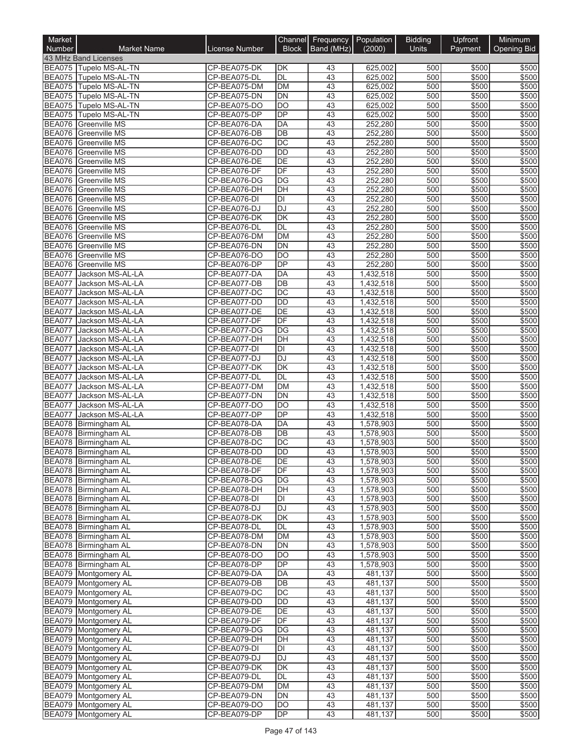| Market<br>Number               | <b>Market Name</b>                             | License Number               | Channel<br><b>Block</b>               | Frequency   Population<br>Band (MHz) | (2000)                 | <b>Bidding</b><br>Units | Upfront<br>Payment | Minimum<br><b>Opening Bid</b> |
|--------------------------------|------------------------------------------------|------------------------------|---------------------------------------|--------------------------------------|------------------------|-------------------------|--------------------|-------------------------------|
|                                | 43 MHz Band Licenses                           |                              |                                       |                                      |                        |                         |                    |                               |
|                                | BEA075 Tupelo MS-AL-TN                         | CP-BEA075-DK                 | DK                                    | 43                                   | 625,002                | 500                     | \$500              | \$500                         |
|                                | BEA075 Tupelo MS-AL-TN                         | CP-BEA075-DL                 | DL                                    | 43                                   | 625,002                | 500                     | \$500              | \$500                         |
|                                | BEA075 Tupelo MS-AL-TN                         | CP-BEA075-DM                 | DM                                    | 43                                   | 625.002                | 500                     | \$500              | \$500                         |
|                                | BEA075 Tupelo MS-AL-TN                         | CP-BEA075-DN                 | DN                                    | 43                                   | 625,002                | 500                     | \$500              | \$500                         |
|                                | BEA075 Tupelo MS-AL-TN                         | CP-BEA075-DO                 | <b>DO</b><br>$\overline{DP}$          | 43<br>43                             | 625,002                | 500<br>500              | \$500              | \$500<br>\$500                |
|                                | BEA075 Tupelo MS-AL-TN<br>BEA076 Greenville MS | CP-BEA075-DP<br>CP-BEA076-DA | DA                                    | 43                                   | 625,002<br>252,280     | 500                     | \$500<br>\$500     | \$500                         |
|                                | <b>BEA076</b> Greenville MS                    | CP-BEA076-DB                 | <b>DB</b>                             | 43                                   | 252,280                | 500                     | \$500              | \$500                         |
|                                | <b>BEA076</b> Greenville MS                    | CP-BEA076-DC                 | $\overline{DC}$                       | 43                                   | 252,280                | 500                     | \$500              | \$500                         |
|                                | BEA076 Greenville MS                           | CP-BEA076-DD                 | <b>DD</b>                             | 43                                   | 252,280                | 500                     | \$500              | \$500                         |
| <b>BEA076</b>                  | <b>Greenville MS</b>                           | CP-BEA076-DE                 | $\overline{DE}$                       | 43                                   | 252,280                | 500                     | \$500              | \$500                         |
| BEA076                         | <b>Greenville MS</b>                           | CP-BEA076-DF                 | DF                                    | 43                                   | 252,280                | 500                     | \$500              | \$500                         |
|                                | <b>BEA076</b> Greenville MS                    | CP-BEA076-DG                 | DG                                    | 43                                   | 252,280                | 500                     | \$500              | \$500                         |
|                                | <b>BEA076</b> Greenville MS                    | CP-BEA076-DH                 | DH                                    | 43                                   | 252,280                | 500                     | \$500              | \$500                         |
| <b>BEA076</b>                  | Greenville MS                                  | CP-BEA076-DI                 | DI                                    | 43                                   | 252,280                | 500                     | \$500              | \$500                         |
| <b>BEA076</b>                  | BEA076 Greenville MS                           | CP-BEA076-DJ                 | <b>DJ</b><br>$\overline{\mathsf{DK}}$ | $\overline{43}$                      | 252,280                | 500                     | \$500              | \$500<br>\$500                |
| <b>BEA076</b>                  | <b>Greenville MS</b><br>Greenville MS          | CP-BEA076-DK<br>CP-BEA076-DL | <b>DL</b>                             | 43<br>43                             | 252,280<br>252,280     | 500<br>500              | \$500<br>\$500     | \$500                         |
| <b>BEA076</b>                  | <b>Greenville MS</b>                           | CP-BEA076-DM                 | DM                                    | 43                                   | 252,280                | 500                     | \$500              | \$500                         |
| <b>BEA076</b>                  | <b>Greenville MS</b>                           | CP-BEA076-DN                 | <b>DN</b>                             | 43                                   | 252,280                | 500                     | \$500              | \$500                         |
| <b>BEA076</b>                  | <b>Greenville MS</b>                           | CP-BEA076-DO                 | DO                                    | 43                                   | 252,280                | 500                     | \$500              | \$500                         |
|                                | BEA076 Greenville MS                           | CP-BEA076-DP                 | $\overline{DP}$                       | 43                                   | 252,280                | 500                     | \$500              | \$500                         |
| <b>BEA077</b>                  | Jackson MS-AL-LA                               | CP-BEA077-DA                 | DA                                    | 43                                   | 1,432,518              | 500                     | \$500              | \$500                         |
| <b>BEA077</b>                  | Jackson MS-AL-LA                               | CP-BEA077-DB                 | DB                                    | 43                                   | 1,432,518              | 500                     | \$500              | \$500                         |
| <b>BEA077</b>                  | Jackson MS-AL-LA                               | CP-BEA077-DC                 | $\overline{DC}$                       | 43                                   | 1,432,518              | 500                     | \$500              | \$500                         |
| <b>BEA077</b>                  | Jackson MS-AL-LA                               | CP-BEA077-DD                 | <b>DD</b>                             | 43                                   | 1,432,518              | 500                     | \$500              | \$500                         |
| <b>BEA077</b>                  | Jackson MS-AL-LA                               | CP-BEA077-DE                 | DE                                    | 43                                   | 1,432,518              | 500                     | \$500              | \$500                         |
| <b>BEA077</b>                  | Jackson MS-AL-LA                               | CP-BEA077-DF                 | DF                                    | 43                                   | 1,432,518              | 500                     | \$500              | \$500                         |
| <b>BEA077</b>                  | Jackson MS-AL-LA                               | CP-BEA077-DG                 | $\overline{DG}$                       | 43                                   | 1,432,518              | 500                     | \$500              | \$500                         |
| <b>BEA077</b><br><b>BEA077</b> | Jackson MS-AL-LA                               | CP-BEA077-DH                 | DH<br>DI                              | 43<br>43                             | 1,432,518              | 500<br>500              | \$500<br>\$500     | \$500<br>\$500                |
| <b>BEA077</b>                  | Jackson MS-AL-LA<br>Jackson MS-AL-LA           | CP-BEA077-DI<br>CP-BEA077-DJ | <b>DJ</b>                             | 43                                   | 1,432,518<br>1,432,518 | 500                     | \$500              | \$500                         |
| <b>BEA077</b>                  | Jackson MS-AL-LA                               | CP-BEA077-DK                 | $\overline{\mathsf{DK}}$              | 43                                   | 1,432,518              | 500                     | \$500              | \$500                         |
| <b>BEA077</b>                  | Jackson MS-AL-LA                               | CP-BEA077-DL                 | DL                                    | 43                                   | 1,432,518              | 500                     | \$500              | \$500                         |
| <b>BEA077</b>                  | Jackson MS-AL-LA                               | CP-BEA077-DM                 | <b>DM</b>                             | 43                                   | 1,432,518              | 500                     | \$500              | \$500                         |
| <b>BEA077</b>                  | Jackson MS-AL-LA                               | CP-BEA077-DN                 | DN                                    | 43                                   | 1,432,518              | 500                     | \$500              | \$500                         |
| <b>BEA077</b>                  | Jackson MS-AL-LA                               | CP-BEA077-DO                 | DO                                    | 43                                   | 1,432,518              | 500                     | \$500              | \$500                         |
| <b>BEA077</b>                  | Jackson MS-AL-LA                               | CP-BEA077-DP                 | DP                                    | 43                                   | 1,432,518              | 500                     | \$500              | \$500                         |
|                                | BEA078 Birmingham AL                           | CP-BEA078-DA                 | DA                                    | 43                                   | 1,578,903              | 500                     | \$500              | \$500                         |
| BEA078                         | Birmingham AL                                  | CP-BEA078-DB                 | DB                                    | 43                                   | 1,578,903              | 500                     | \$500              | \$500                         |
|                                | BEA078 Birmingham AL                           | CP-BEA078-DC                 | $\overline{DC}$                       | 43                                   | 1,578,903              | 500                     | \$500              | \$500                         |
|                                | BEA078 Birmingham AL                           | CP-BEA078-DD                 | $\overline{DD}$                       | 43                                   | 1,578,903              | 500                     | \$500              | \$500                         |
|                                | BEA078 Birmingham AL<br>BEA078 Birmingham AL   | CP-BEA078-DE<br>CP-BEA078-DF | DE<br>DF                              | 43<br>43                             | 1,578,903<br>1,578,903 | 500<br>500              | \$500<br>\$500     | \$500<br>\$500                |
|                                | BEA078 Birmingham AL                           | CP-BEA078-DG                 | DG                                    | 43                                   | 1,578,903              | 500                     | \$500              | \$500                         |
|                                | BEA078 Birmingham AL                           | CP-BEA078-DH                 | DH                                    | 43                                   | 1,578,903              | 500                     | \$500              | \$500                         |
|                                | BEA078 Birmingham AL                           | CP-BEA078-DI                 | DI                                    | 43                                   | 1,578,903              | 500                     | \$500              | \$500                         |
|                                | BEA078 Birmingham AL                           | CP-BEA078-DJ                 | <b>DJ</b>                             | 43                                   | 1,578,903              | 500                     | \$500              | \$500                         |
|                                | BEA078 Birmingham AL                           | CP-BEA078-DK                 | DK                                    | 43                                   | 1,578,903              | 500                     | \$500              | \$500                         |
|                                | BEA078 Birmingham AL                           | CP-BEA078-DL                 | DL                                    | 43                                   | 1,578,903              | 500                     | \$500              | \$500                         |
|                                | BEA078 Birmingham AL                           | CP-BEA078-DM                 | <b>DM</b>                             | 43                                   | 1,578,903              | 500                     | \$500              | \$500                         |
|                                | BEA078 Birmingham AL                           | CP-BEA078-DN                 | DN                                    | 43                                   | 1,578,903              | 500                     | \$500              | \$500                         |
|                                | BEA078 Birmingham AL                           | CP-BEA078-DO                 | DO                                    | 43                                   | 1,578,903              | 500                     | \$500              | \$500                         |
|                                | BEA078 Birmingham AL<br>BEA079 Montgomery AL   | CP-BEA078-DP<br>CP-BEA079-DA | DP<br>DA                              | 43<br>43                             | 1,578,903              | 500<br>500              | \$500<br>\$500     | \$500                         |
|                                | BEA079 Montgomery AL                           | CP-BEA079-DB                 | DB                                    | 43                                   | 481,137<br>481,137     | 500                     | \$500              | \$500<br>\$500                |
|                                | BEA079 Montgomery AL                           | CP-BEA079-DC                 | DC                                    | 43                                   | 481,137                | 500                     | \$500              | \$500                         |
|                                | BEA079 Montgomery AL                           | CP-BEA079-DD                 | $\overline{DD}$                       | 43                                   | 481,137                | 500                     | \$500              | \$500                         |
|                                | BEA079 Montgomery AL                           | CP-BEA079-DE                 | DE                                    | 43                                   | 481,137                | 500                     | \$500              | \$500                         |
|                                | BEA079 Montgomery AL                           | CP-BEA079-DF                 | DF                                    | 43                                   | 481,137                | 500                     | \$500              | \$500                         |
|                                | BEA079 Montgomery AL                           | CP-BEA079-DG                 | DG                                    | 43                                   | 481,137                | 500                     | \$500              | \$500                         |
|                                | BEA079 Montgomery AL                           | CP-BEA079-DH                 | DH                                    | 43                                   | 481,137                | 500                     | \$500              | \$500                         |
|                                | BEA079 Montgomery AL                           | CP-BEA079-DI                 | DI                                    | 43                                   | 481,137                | 500                     | \$500              | \$500                         |
|                                | BEA079 Montgomery AL                           | CP-BEA079-DJ                 | DJ                                    | 43                                   | 481,137                | 500                     | \$500              | \$500                         |
|                                | BEA079 Montgomery AL                           | CP-BEA079-DK                 | DK                                    | 43                                   | 481,137                | 500                     | \$500              | \$500                         |
|                                | <b>BEA079</b> Montgomery AL                    | CP-BEA079-DL                 | $\overline{DL}$                       | 43                                   | 481,137                | 500                     | \$500              | \$500                         |
|                                | BEA079 Montgomery AL                           | CP-BEA079-DM                 | <b>DM</b><br><b>DN</b>                | 43                                   | 481,137                | 500<br>500              | \$500              | \$500                         |
|                                | BEA079 Montgomery AL<br>BEA079 Montgomery AL   | CP-BEA079-DN<br>CP-BEA079-DO | <b>DO</b>                             | 43<br>43                             | 481,137<br>481,137     | 500                     | \$500<br>\$500     | \$500<br>\$500                |
|                                | BEA079 Montgomery AL                           | CP-BEA079-DP                 | DP                                    | 43                                   | 481,137                | 500                     | \$500              | \$500                         |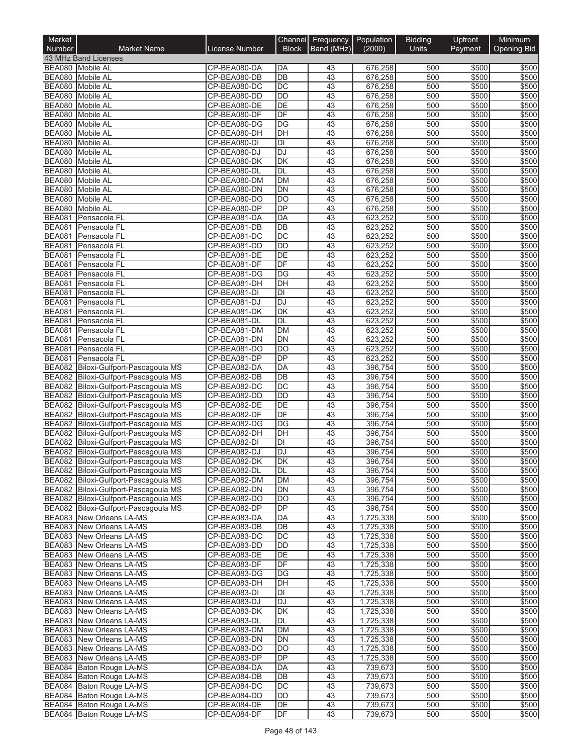| Market<br>Number               | <b>Market Name</b>                                                           | <b>License Number</b>        | Channel<br><b>Block</b> | Frequency<br>Band (MHz) | Population<br>(2000)   | <b>Bidding</b><br><b>Units</b> | Upfront<br>Payment | Minimum<br><b>Opening Bid</b> |
|--------------------------------|------------------------------------------------------------------------------|------------------------------|-------------------------|-------------------------|------------------------|--------------------------------|--------------------|-------------------------------|
|                                | 43 MHz Band Licenses                                                         |                              |                         |                         |                        |                                |                    |                               |
|                                | BEA080 Mobile AL                                                             | CP-BEA080-DA                 | <b>DA</b>               | 43                      | 676,258                | 500                            | \$500              | \$500                         |
|                                | BEA080 Mobile AL                                                             | CP-BEA080-DB                 | DB                      | 43                      | 676,258                | 500                            | \$500              | \$500                         |
|                                | BEA080 Mobile AL                                                             | CP-BEA080-DC                 | DC                      | 43                      | 676,258                | 500                            | \$500              | \$500                         |
|                                | BEA080 Mobile AL                                                             | CP-BEA080-DD                 | <b>DD</b>               | 43                      | 676,258                | 500                            | \$500              | \$500                         |
|                                | BEA080 Mobile AL                                                             | CP-BEA080-DE                 | DE                      | 43                      | 676,258                | 500                            | \$500              | \$500                         |
|                                | BEA080 Mobile AL                                                             | CP-BEA080-DF                 | DF                      | 43                      | 676,258                | 500                            | \$500              | \$500                         |
|                                | BEA080 Mobile AL<br>BEA080 Mobile AL                                         | CP-BEA080-DG<br>CP-BEA080-DH | <b>DG</b><br>DH         | 43<br>43                | 676,258<br>676,258     | 500<br>500                     | \$500<br>\$500     | \$500<br>\$500                |
| <b>BEA080</b>                  | Mobile AL                                                                    | CP-BEA080-DI                 | DI                      | 43                      | 676,258                | 500                            | \$500              | \$500                         |
|                                | BEA080 Mobile AL                                                             | CP-BEA080-DJ                 | <b>DJ</b>               | 43                      | 676,258                | 500                            | \$500              | \$500                         |
|                                | BEA080 Mobile AL                                                             | CP-BEA080-DK                 | DK                      | 43                      | 676,258                | 500                            | \$500              | \$500                         |
| <b>BEA080</b>                  | <b>Mobile AL</b>                                                             | CP-BEA080-DL                 | <b>DL</b>               | 43                      | 676,258                | 500                            | \$500              | \$500                         |
| <b>BEA080</b>                  | <b>Mobile AL</b>                                                             | CP-BEA080-DM                 | <b>DM</b>               | 43                      | 676,258                | 500                            | \$500              | \$500                         |
|                                | BEA080 Mobile AL                                                             | CP-BEA080-DN                 | DN                      | 43                      | 676,258                | 500                            | \$500              | \$500                         |
| <b>BEA080</b>                  | <b>Mobile AL</b>                                                             | CP-BEA080-DO                 | <b>DO</b>               | 43                      | 676,258                | 500                            | \$500              | \$500                         |
|                                | BEA080 Mobile AL                                                             | CP-BEA080-DP                 | DP                      | 43                      | 676,258                | 500                            | \$500              | \$500                         |
| <b>BEA081</b>                  | Pensacola FL                                                                 | CP-BEA081-DA                 | <b>DA</b>               | 43                      | 623,252                | 500                            | \$500              | \$500                         |
| <b>BEA081</b>                  | Pensacola FL                                                                 | CP-BEA081-DB                 | DB                      | 43                      | 623,252                | 500                            | \$500              | \$500                         |
| <b>BEA081</b><br><b>BEA081</b> | Pensacola FL<br>Pensacola FL                                                 | CP-BEA081-DC                 | DC<br><b>DD</b>         | 43<br>43                | 623,252                | 500<br>500                     | \$500<br>\$500     | \$500<br>\$500                |
| <b>BEA081</b>                  | Pensacola FL                                                                 | CP-BEA081-DD<br>CP-BEA081-DE | DE                      | 43                      | 623,252<br>623,252     | 500                            | \$500              | \$500                         |
| <b>BEA081</b>                  | Pensacola FL                                                                 | CP-BEA081-DF                 | DF                      | 43                      | 623,252                | 500                            | \$500              | \$500                         |
| <b>BEA081</b>                  | Pensacola FL                                                                 | CP-BEA081-DG                 | DG                      | 43                      | 623,252                | 500                            | \$500              | \$500                         |
| <b>BEA081</b>                  | Pensacola FL                                                                 | CP-BEA081-DH                 | DH                      | $\overline{43}$         | 623,252                | 500                            | \$500              | \$500                         |
| <b>BEA081</b>                  | Pensacola FL                                                                 | CP-BEA081-DI                 | $\overline{D}$          | 43                      | 623,252                | 500                            | \$500              | \$500                         |
| <b>BEA081</b>                  | Pensacola <sub>FL</sub>                                                      | CP-BEA081-DJ                 | <b>DJ</b>               | 43                      | 623,252                | 500                            | \$500              | \$500                         |
| <b>BEA081</b>                  | Pensacola FL                                                                 | CP-BEA081-DK                 | DK                      | 43                      | 623,252                | 500                            | \$500              | \$500                         |
| <b>BEA081</b>                  | Pensacola FL                                                                 | CP-BEA081-DL                 | <b>DL</b>               | 43                      | 623,252                | 500                            | \$500              | \$500                         |
| <b>BEA081</b>                  | Pensacola FL                                                                 | CP-BEA081-DM                 | <b>DM</b>               | 43                      | 623,252                | 500                            | \$500              | \$500                         |
| <b>BEA081</b>                  | Pensacola FL                                                                 | CP-BEA081-DN                 | <b>DN</b>               | 43                      | 623,252                | 500                            | \$500              | \$500                         |
| <b>BEA081</b>                  | Pensacola FL                                                                 | CP-BEA081-DO                 | $\overline{DO}$         | 43                      | 623,252                | 500                            | \$500              | \$500                         |
| <b>BEA081</b>                  | Pensacola FL                                                                 | CP-BEA081-DP                 | DP                      | 43                      | 623,252                | 500                            | \$500              | \$500                         |
| <b>BEA082</b>                  | Biloxi-Gulfport-Pascagoula MS                                                | CP-BEA082-DA                 | <b>DA</b>               | 43                      | 396,754                | 500                            | \$500              | \$500                         |
|                                | BEA082 Biloxi-Gulfport-Pascagoula MS<br>BEA082 Biloxi-Gulfport-Pascagoula MS | CP-BEA082-DB<br>CP-BEA082-DC | DB<br>DC                | 43<br>43                | 396,754<br>396,754     | 500<br>500                     | \$500<br>\$500     | \$500<br>\$500                |
|                                | BEA082 Biloxi-Gulfport-Pascagoula MS                                         | CP-BEA082-DD                 | <b>DD</b>               | 43                      | 396,754                | 500                            | \$500              | \$500                         |
|                                | BEA082 Biloxi-Gulfport-Pascagoula MS                                         | CP-BEA082-DE                 | DE                      | 43                      | 396,754                | 500                            | \$500              | \$500                         |
|                                | BEA082 Biloxi-Gulfport-Pascagoula MS                                         | CP-BEA082-DF                 | DF                      | 43                      | 396,754                | 500                            | \$500              | \$500                         |
|                                | BEA082 Biloxi-Gulfport-Pascagoula MS                                         | CP-BEA082-DG                 | <b>DG</b>               | 43                      | 396,754                | 500                            | \$500              | \$500                         |
|                                | BEA082 Biloxi-Gulfport-Pascagoula MS                                         | CP-BEA082-DH                 | DH                      | 43                      | 396,754                | 500                            | \$500              | \$500                         |
|                                | BEA082 Biloxi-Gulfport-Pascagoula MS                                         | CP-BEA082-DI                 | DI                      | 43                      | 396,754                | 500                            | \$500              | \$500                         |
|                                | BEA082 Biloxi-Gulfport-Pascagoula MS                                         | CP-BEA082-DJ                 | <b>DJ</b>               | 43                      | 396,754                | 500                            | \$500              | \$500                         |
|                                | BEA082 Biloxi-Gulfport-Pascagoula MS                                         | CP-BEA082-DK                 | DK                      | 43                      | 396,754                | 500                            | \$500              | \$500                         |
|                                | BEA082 Biloxi-Gulfport-Pascagoula MS                                         | CP-BEA082-DL                 | DL                      | 43                      | 396.754                | 500                            | \$500              | \$500                         |
|                                | BEA082 Biloxi-Gulfport-Pascagoula MS                                         | CP-BEA082-DM                 | DM                      | 43                      | 396,754                | 500                            | \$500              | \$500                         |
|                                | BEA082 Biloxi-Gulfport-Pascagoula MS                                         | CP-BEA082-DN                 | <b>DN</b>               | 43                      | 396,754                | 500                            | \$500              | \$500                         |
|                                | BEA082 Biloxi-Gulfport-Pascagoula MS<br>BEA082 Biloxi-Gulfport-Pascagoula MS | CP-BEA082-DO                 | <b>DO</b><br>DP         | 43                      | 396,754<br>396,754     | 500<br>500                     | \$500              | \$500                         |
|                                | BEA083 New Orleans LA-MS                                                     | CP-BEA082-DP<br>CP-BEA083-DA | DA                      | 43<br>43                | 1,725,338              | 500                            | \$500<br>\$500     | \$500<br>\$500                |
|                                | <b>BEA083</b> New Orleans LA-MS                                              | CP-BEA083-DB                 | DB                      | 43                      | 1,725,338              | 500                            | \$500              | \$500                         |
|                                | <b>BEA083</b> New Orleans LA-MS                                              | CP-BEA083-DC                 | DC                      | 43                      | 1,725,338              | 500                            | \$500              | \$500                         |
|                                | BEA083 New Orleans LA-MS                                                     | CP-BEA083-DD                 | DD                      | 43                      | 1,725,338              | 500                            | \$500              | \$500                         |
|                                | <b>BEA083</b> New Orleans LA-MS                                              | CP-BEA083-DE                 | DE                      | 43                      | 1,725,338              | 500                            | \$500              | \$500                         |
|                                | BEA083 New Orleans LA-MS                                                     | CP-BEA083-DF                 | DF                      | 43                      | 1,725,338              | 500                            | \$500              | \$500                         |
|                                | BEA083 New Orleans LA-MS                                                     | CP-BEA083-DG                 | <b>DG</b>               | 43                      | 1,725,338              | 500                            | \$500              | \$500                         |
|                                | BEA083 New Orleans LA-MS                                                     | CP-BEA083-DH                 | IDН                     | 43                      | 1,725,338              | 500                            | \$500              | \$500                         |
|                                | BEA083 New Orleans LA-MS                                                     | CP-BEA083-DI                 | DI                      | 43                      | 1,725,338              | 500                            | \$500              | \$500                         |
|                                | BEA083 New Orleans LA-MS                                                     | CP-BEA083-DJ                 | DJ                      | 43                      | 1,725,338              | 500                            | \$500              | \$500                         |
|                                | BEA083 New Orleans LA-MS                                                     | CP-BEA083-DK                 | <b>DK</b>               | 43                      | 1,725,338              | 500                            | \$500              | \$500                         |
|                                | BEA083 New Orleans LA-MS                                                     | CP-BEA083-DL                 | DL                      | 43                      | 1,725,338              | 500                            | \$500              | \$500                         |
|                                | BEA083 New Orleans LA-MS<br><b>BEA083</b> New Orleans LA-MS                  | CP-BEA083-DM<br>CP-BEA083-DN | DM<br>DN                | 43<br>43                | 1,725,338<br>1,725,338 | 500<br>500                     | \$500<br>\$500     | \$500<br>\$500                |
|                                | BEA083 New Orleans LA-MS                                                     | CP-BEA083-DO                 | <b>DO</b>               | 43                      | 1,725,338              | 500                            | \$500              | \$500                         |
|                                | BEA083 New Orleans LA-MS                                                     | CP-BEA083-DP                 | DP                      | 43                      | 1,725,338              | 500                            | \$500              | \$500                         |
|                                | BEA084 Baton Rouge LA-MS                                                     | CP-BEA084-DA                 | DA                      | 43                      | 739,673                | 500                            | \$500              | \$500                         |
|                                | BEA084 Baton Rouge LA-MS                                                     | CP-BEA084-DB                 | DB                      | 43                      | 739,673                | 500                            | \$500              | \$500                         |
|                                | BEA084 Baton Rouge LA-MS                                                     | CP-BEA084-DC                 | DC                      | 43                      | 739,673                | 500                            | \$500              | \$500                         |
|                                | BEA084 Baton Rouge LA-MS                                                     | CP-BEA084-DD                 | DD                      | 43                      | 739,673                | 500                            | \$500              | \$500                         |
|                                | BEA084 Baton Rouge LA-MS                                                     | CP-BEA084-DE                 | DE                      | 43                      | 739,673                | 500                            | \$500              | \$500                         |
|                                | BEA084 Baton Rouge LA-MS                                                     | CP-BEA084-DF                 | DF                      | 43                      | 739,673                | 500                            | \$500              | \$500                         |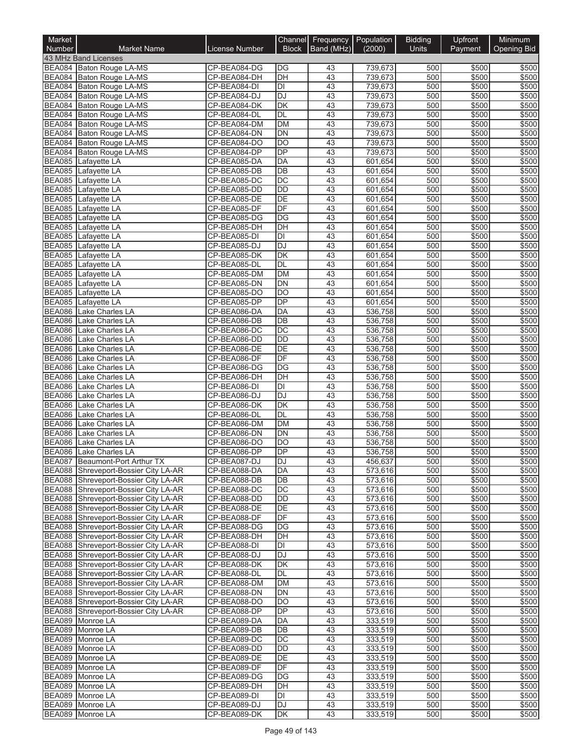| Market<br>Number               | <b>Market Name</b>                                                           | License Number               | Channel<br><b>Block</b>               | Frequency   Population<br>Band (MHz) | (2000)             | <b>Bidding</b><br><b>Units</b> | Upfront<br>Payment | Minimum<br><b>Opening Bid</b> |
|--------------------------------|------------------------------------------------------------------------------|------------------------------|---------------------------------------|--------------------------------------|--------------------|--------------------------------|--------------------|-------------------------------|
|                                | 43 MHz Band Licenses                                                         |                              |                                       |                                      |                    |                                |                    |                               |
|                                | BEA084 Baton Rouge LA-MS                                                     | CP-BEA084-DG                 | DG                                    | 43                                   | 739,673            | 500                            | \$500              | \$500                         |
|                                | BEA084 Baton Rouge LA-MS                                                     | CP-BEA084-DH                 | $\overline{DH}$                       | 43                                   | 739,673            | 500                            | \$500              | \$500                         |
|                                | BEA084 Baton Rouge LA-MS                                                     | CP-BEA084-DI                 | $\overline{D}$                        | 43                                   | 739,673            | 500                            | \$500              | \$500                         |
|                                | BEA084 Baton Rouge LA-MS                                                     | CP-BEA084-DJ                 | <b>DJ</b>                             | 43                                   | 739,673            | 500                            | \$500              | \$500                         |
|                                | BEA084 Baton Rouge LA-MS<br>BEA084 Baton Rouge LA-MS                         | CP-BEA084-DK<br>CP-BEA084-DL | $\overline{\mathsf{DK}}$<br>DL        | 43<br>43                             | 739,673<br>739,673 | 500<br>500                     | \$500<br>\$500     | \$500<br>\$500                |
|                                | BEA084 Baton Rouge LA-MS                                                     | CP-BEA084-DM                 | <b>DM</b>                             | 43                                   | 739,673            | 500                            | \$500              | \$500                         |
|                                | BEA084 Baton Rouge LA-MS                                                     | CP-BEA084-DN                 | $\overline{DN}$                       | 43                                   | 739,673            | 500                            | \$500              | \$500                         |
|                                | BEA084 Baton Rouge LA-MS                                                     | CP-BEA084-DO                 | $\overline{DO}$                       | 43                                   | 739,673            | 500                            | \$500              | \$500                         |
|                                | BEA084 Baton Rouge LA-MS                                                     | CP-BEA084-DP                 | DP                                    | 43                                   | 739,673            | 500                            | \$500              | \$500                         |
|                                | BEA085 Lafayette LA                                                          | CP-BEA085-DA                 | DA                                    | 43                                   | 601,654            | 500                            | \$500              | \$500                         |
| <b>BEA085</b>                  | Lafayette LA                                                                 | CP-BEA085-DB                 | DB<br>$\overline{DC}$                 | 43<br>43                             | 601,654            | 500<br>500                     | \$500              | \$500<br>\$500                |
| <b>BEA085</b><br><b>BEA085</b> | Lafayette LA<br>Lafayette LA                                                 | CP-BEA085-DC<br>CP-BEA085-DD | $\overline{DD}$                       | 43                                   | 601,654<br>601,654 | 500                            | \$500<br>\$500     | \$500                         |
| <b>BEA085</b>                  | Lafayette LA                                                                 | CP-BEA085-DE                 | DE                                    | 43                                   | 601,654            | 500                            | \$500              | \$500                         |
| <b>BEA085</b>                  | Lafayette LA                                                                 | CP-BEA085-DF                 | DF                                    | $\overline{43}$                      | 601,654            | 500                            | \$500              | \$500                         |
| <b>BEA085</b>                  | Lafayette LA                                                                 | CP-BEA085-DG                 | $\overline{DG}$                       | 43                                   | 601,654            | 500                            | \$500              | \$500                         |
| <b>BEA085</b>                  | Lafayette LA                                                                 | CP-BEA085-DH                 | DH                                    | 43                                   | 601,654            | 500                            | \$500              | \$500                         |
| <b>BEA085</b>                  | Lafayette LA                                                                 | CP-BEA085-DI                 | $\overline{D}$                        | 43                                   | 601,654            | 500                            | \$500              | \$500                         |
| <b>BEA085</b>                  | Lafayette LA                                                                 | CP-BEA085-DJ                 | <b>DJ</b><br>$\overline{\mathsf{DK}}$ | 43<br>43                             | 601,654<br>601,654 | 500<br>500                     | \$500              | \$500<br>\$500                |
| <b>BEA085</b><br><b>BEA085</b> | Lafayette LA<br>Lafayette LA                                                 | CP-BEA085-DK<br>CP-BEA085-DL | <b>DL</b>                             | 43                                   | 601,654            | 500                            | \$500<br>\$500     | \$500                         |
| <b>BEA085</b>                  | Lafayette LA                                                                 | CP-BEA085-DM                 | <b>DM</b>                             | 43                                   | 601,654            | 500                            | \$500              | \$500                         |
| <b>BEA085</b>                  | Lafayette LA                                                                 | CP-BEA085-DN                 | <b>DN</b>                             | 43                                   | 601,654            | 500                            | \$500              | \$500                         |
| <b>BEA085</b>                  | Lafayette LA                                                                 | CP-BEA085-DO                 | $\overline{DO}$                       | 43                                   | 601,654            | 500                            | \$500              | \$500                         |
| <b>BEA085</b>                  | Lafayette LA                                                                 | CP-BEA085-DP                 | $\overline{DP}$                       | 43                                   | 601,654            | 500                            | \$500              | \$500                         |
| BEA086                         | Lake Charles LA                                                              | CP-BEA086-DA                 | DA                                    | 43                                   | 536,758            | 500                            | \$500              | \$500                         |
| <b>BEA086</b>                  | Lake Charles LA                                                              | CP-BEA086-DB                 | $\overline{DB}$                       | 43                                   | 536,758            | 500                            | \$500              | \$500                         |
| <b>BEA086</b><br><b>BEA086</b> | Lake Charles LA<br>Lake Charles LA                                           | CP-BEA086-DC<br>CP-BEA086-DD | $\overline{DC}$<br><b>DD</b>          | $\overline{43}$<br>43                | 536,758<br>536,758 | 500<br>500                     | \$500<br>\$500     | \$500<br>\$500                |
| <b>BEA086</b>                  | Lake Charles LA                                                              | CP-BEA086-DE                 | DE                                    | 43                                   | 536,758            | 500                            | \$500              | \$500                         |
| <b>BEA086</b>                  | Lake Charles LA                                                              | CP-BEA086-DF                 | $\overline{DF}$                       | 43                                   | 536,758            | 500                            | \$500              | \$500                         |
| <b>BEA086</b>                  | Lake Charles LA                                                              | CP-BEA086-DG                 | DG                                    | 43                                   | 536,758            | 500                            | \$500              | \$500                         |
| <b>BEA086</b>                  | Lake Charles LA                                                              | CP-BEA086-DH                 | DH                                    | 43                                   | 536,758            | 500                            | \$500              | \$500                         |
| <b>BEA086</b>                  | Lake Charles LA                                                              | CP-BEA086-DI                 | DI                                    | 43                                   | 536,758            | 500                            | \$500              | \$500                         |
| <b>BEA086</b>                  | Lake Charles LA                                                              | CP-BEA086-DJ                 | DJ                                    | 43                                   | 536,758            | 500                            | \$500              | \$500                         |
| <b>BEA086</b><br><b>BEA086</b> | Lake Charles LA<br>Lake Charles LA                                           | CP-BEA086-DK<br>CP-BEA086-DL | $\overline{\mathsf{DK}}$<br>DL        | 43<br>43                             | 536,758<br>536,758 | 500<br>500                     | \$500<br>\$500     | \$500<br>\$500                |
| <b>BEA086</b>                  | Lake Charles LA                                                              | CP-BEA086-DM                 | <b>DM</b>                             | 43                                   | 536,758            | 500                            | \$500              | \$500                         |
| <b>BEA086</b>                  | <b>Lake Charles LA</b>                                                       | CP-BEA086-DN                 | <b>DN</b>                             | 43                                   | 536,758            | 500                            | \$500              | \$500                         |
| <b>BEA086</b>                  | Lake Charles LA                                                              | CP-BEA086-DO                 | $\overline{DO}$                       | 43                                   | 536,758            | 500                            | \$500              | \$500                         |
| <b>BEA086</b>                  | Lake Charles LA                                                              | CP-BEA086-DP                 | $\overline{DP}$                       | 43                                   | 536,758            | 500                            | \$500              | \$500                         |
|                                | BEA087 Beaumont-Port Arthur TX                                               | ICP-BEA087-DJ                | IDJ                                   | 43                                   | 456,637            | 500                            | \$500              | \$500                         |
|                                | BEA088 Shreveport-Bossier City LA-AR                                         | CP-BEA088-DA                 | DA                                    | 43                                   | 573,616            | 500                            | \$500              | \$500                         |
|                                | BEA088 Shreveport-Bossier City LA-AR<br>BEA088 Shreveport-Bossier City LA-AR | CP-BEA088-DB<br>CP-BEA088-DC | DB<br>DC                              | 43<br>43                             | 573,616<br>573,616 | 500<br>500                     | \$500<br>\$500     | \$500<br>\$500                |
|                                | BEA088 Shreveport-Bossier City LA-AR                                         | CP-BEA088-DD                 | DD                                    | 43                                   | 573,616            | 500                            | \$500              | \$500                         |
|                                | BEA088 Shreveport-Bossier City LA-AR                                         | CP-BEA088-DE                 | DE                                    | 43                                   | 573,616            | 500                            | \$500              | \$500                         |
|                                | BEA088 Shreveport-Bossier City LA-AR                                         | CP-BEA088-DF                 | DF                                    | 43                                   | 573,616            | 500                            | \$500              | \$500                         |
|                                | BEA088 Shreveport-Bossier City LA-AR                                         | CP-BEA088-DG                 | DG                                    | 43                                   | 573,616            | 500                            | \$500              | \$500                         |
|                                | BEA088 Shreveport-Bossier City LA-AR                                         | CP-BEA088-DH                 | DH                                    | 43                                   | 573,616            | 500                            | \$500              | \$500                         |
|                                | BEA088 Shreveport-Bossier City LA-AR                                         | CP-BEA088-DI                 | DI                                    | 43                                   | 573,616            | 500                            | \$500              | \$500                         |
|                                | BEA088 Shreveport-Bossier City LA-AR<br>BEA088 Shreveport-Bossier City LA-AR | CP-BEA088-DJ<br>CP-BEA088-DK | DJ<br>DK                              | 43<br>43                             | 573,616<br>573,616 | 500<br>500                     | \$500<br>\$500     | \$500<br>\$500                |
|                                | BEA088 Shreveport-Bossier City LA-AR                                         | CP-BEA088-DL                 | DL                                    | 43                                   | 573,616            | 500                            | \$500              | \$500                         |
|                                | BEA088 Shreveport-Bossier City LA-AR                                         | CP-BEA088-DM                 | DM                                    | 43                                   | 573,616            | 500                            | \$500              | \$500                         |
|                                | BEA088 Shreveport-Bossier City LA-AR                                         | CP-BEA088-DN                 | DN                                    | 43                                   | 573,616            | 500                            | \$500              | \$500                         |
|                                | BEA088 Shreveport-Bossier City LA-AR                                         | CP-BEA088-DO                 | DO                                    | 43                                   | 573,616            | 500                            | \$500              | \$500                         |
|                                | BEA088 Shreveport-Bossier City LA-AR                                         | CP-BEA088-DP                 | <b>DP</b>                             | 43                                   | 573,616            | 500                            | \$500              | \$500                         |
|                                | BEA089 Monroe LA                                                             | CP-BEA089-DA                 | DA                                    | 43                                   | 333,519            | 500                            | \$500              | \$500                         |
|                                | BEA089 Monroe LA<br>BEA089 Monroe LA                                         | CP-BEA089-DB<br>CP-BEA089-DC | DB<br>DC                              | 43<br>43                             | 333,519<br>333,519 | 500<br>500                     | \$500<br>\$500     | \$500<br>\$500                |
|                                | BEA089 Monroe LA                                                             | CP-BEA089-DD                 | DD                                    | 43                                   | 333,519            | 500                            | \$500              | \$500                         |
|                                | BEA089 Monroe LA                                                             | CP-BEA089-DE                 | DE                                    | 43                                   | 333,519            | 500                            | \$500              | \$500                         |
|                                | BEA089 Monroe LA                                                             | CP-BEA089-DF                 | DF                                    | 43                                   | 333,519            | 500                            | \$500              | \$500                         |
|                                | BEA089 Monroe LA                                                             | CP-BEA089-DG                 | DG                                    | 43                                   | 333,519            | 500                            | \$500              | \$500                         |
|                                | BEA089 Monroe LA                                                             | CP-BEA089-DH                 | DH                                    | 43                                   | 333,519            | 500                            | \$500              | \$500                         |
|                                | BEA089 Monroe LA                                                             | CP-BEA089-DI                 | DI                                    | 43                                   | 333,519            | 500                            | \$500              | \$500                         |
|                                | BEA089 Monroe LA<br>BEA089 Monroe LA                                         | CP-BEA089-DJ<br>CP-BEA089-DK | DJ<br>DK                              | 43<br>43                             | 333,519<br>333,519 | 500<br>500                     | \$500<br>\$500     | \$500<br>\$500                |
|                                |                                                                              |                              |                                       |                                      |                    |                                |                    |                               |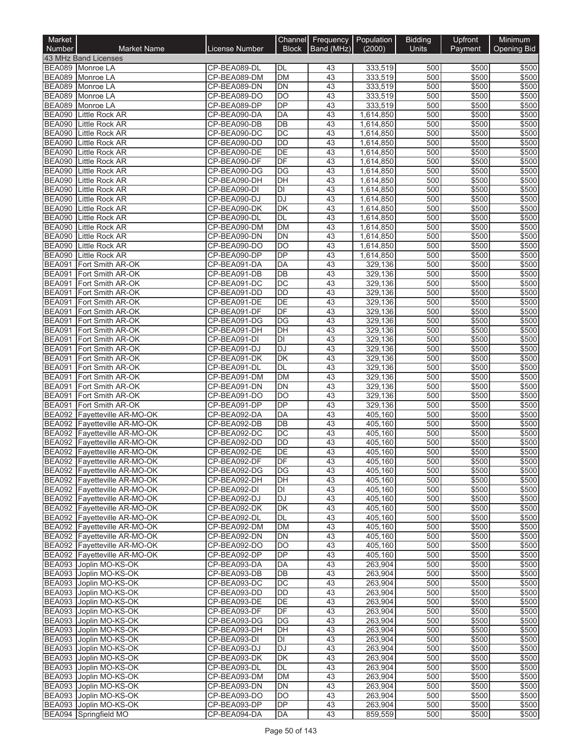| Market<br>Number               | <b>Market Name</b>                                           | License Number               | Channel<br><b>Block</b>      | Frequency   Population<br>Band (MHz) | (2000)                 | <b>Bidding</b><br><b>Units</b> | Upfront<br>Payment | Minimum<br><b>Opening Bid</b> |
|--------------------------------|--------------------------------------------------------------|------------------------------|------------------------------|--------------------------------------|------------------------|--------------------------------|--------------------|-------------------------------|
|                                | 43 MHz Band Licenses                                         |                              |                              |                                      |                        |                                |                    |                               |
|                                | BEA089 Monroe LA                                             | CP-BEA089-DL                 | <b>DL</b>                    | 43                                   | 333,519                | 500                            | \$500              | \$500                         |
|                                | BEA089 Monroe LA                                             | CP-BEA089-DM                 | <b>DM</b>                    | 43                                   | 333,519                | 500                            | \$500              | \$500                         |
|                                | BEA089 Monroe LA                                             | CP-BEA089-DN                 | $\overline{DN}$              | $\overline{43}$                      | 333,519                | 500                            | \$500              | \$500                         |
|                                | BEA089 Monroe LA                                             | CP-BEA089-DO                 | $\overline{DO}$              | 43                                   | 333,519                | 500                            | \$500              | \$500                         |
|                                | BEA089 Monroe LA                                             | CP-BEA089-DP                 | DP                           | 43                                   | 333,519                | 500                            | \$500              | \$500                         |
| <b>BEA090</b><br><b>BEA090</b> | Little Rock AR<br><b>Little Rock AR</b>                      | CP-BEA090-DA<br>CP-BEA090-DB | DA<br>DB                     | 43<br>43                             | 1,614,850<br>1,614,850 | 500<br>500                     | \$500<br>\$500     | \$500<br>\$500                |
| <b>BEA090</b>                  | <b>Little Rock AR</b>                                        | CP-BEA090-DC                 | $\overline{DC}$              | 43                                   | 1,614,850              | 500                            | \$500              | \$500                         |
| <b>BEA090</b>                  | <b>Little Rock AR</b>                                        | CP-BEA090-DD                 | <b>DD</b>                    | 43                                   | 1,614,850              | 500                            | \$500              | \$500                         |
| <b>BEA090</b>                  | <b>Little Rock AR</b>                                        | CP-BEA090-DE                 | $\overline{DE}$              | 43                                   | 1,614,850              | 500                            | \$500              | \$500                         |
| <b>BEA090</b>                  | <b>Little Rock AR</b>                                        | CP-BEA090-DF                 | DF                           | 43                                   | 1,614,850              | 500                            | \$500              | \$500                         |
| <b>BEA090</b>                  | Little Rock AR                                               | CP-BEA090-DG                 | DG                           | 43                                   | 1,614,850              | 500                            | \$500              | \$500                         |
| <b>BEA090</b>                  | Little Rock AR                                               | CP-BEA090-DH                 | DH                           | 43                                   | 1,614,850              | 500                            | \$500              | \$500                         |
| <b>BEA090</b>                  | Little Rock AR                                               | CP-BEA090-DI                 | DI                           | 43                                   | 1,614,850              | 500                            | \$500              | \$500                         |
| <b>BEA090</b>                  | Little Rock AR                                               | CP-BEA090-DJ                 | <b>DJ</b>                    | 43                                   | 1,614,850              | 500                            | \$500              | \$500                         |
| <b>BEA090</b>                  | <b>Little Rock AR</b>                                        | CP-BEA090-DK                 | $\overline{\mathsf{DK}}$     | $\overline{43}$                      | 1,614,850              | 500                            | \$500              | \$500                         |
| <b>BEA090</b><br><b>BEA090</b> | <b>Little Rock AR</b><br>Little Rock AR                      | CP-BEA090-DL<br>CP-BEA090-DM | <b>DL</b><br><b>DM</b>       | 43<br>43                             | 1,614,850              | 500<br>500                     | \$500<br>\$500     | \$500<br>\$500                |
| <b>BEA090</b>                  | <b>Little Rock AR</b>                                        | CP-BEA090-DN                 | DN                           | 43                                   | 1,614,850<br>1,614,850 | 500                            | \$500              | \$500                         |
| <b>BEA090</b>                  | <b>Little Rock AR</b>                                        | CP-BEA090-DO                 | <b>DO</b>                    | 43                                   | 1,614,850              | 500                            | \$500              | \$500                         |
| <b>BEA090</b>                  | <b>Little Rock AR</b>                                        | CP-BEA090-DP                 | $\overline{DP}$              | 43                                   | 1,614,850              | 500                            | \$500              | \$500                         |
| <b>BEA091</b>                  | Fort Smith AR-OK                                             | CP-BEA091-DA                 | DA                           | 43                                   | 329,136                | 500                            | \$500              | \$500                         |
| <b>BEA091</b>                  | Fort Smith AR-OK                                             | CP-BEA091-DB                 | DB                           | 43                                   | 329,136                | 500                            | \$500              | \$500                         |
| <b>BEA091</b>                  | Fort Smith AR-OK                                             | CP-BEA091-DC                 | DC                           | 43                                   | 329,136                | 500                            | \$500              | \$500                         |
| <b>BEA091</b>                  | Fort Smith AR-OK                                             | CP-BEA091-DD                 | <b>DD</b>                    | 43                                   | 329,136                | 500                            | \$500              | \$500                         |
| <b>BEA091</b>                  | Fort Smith AR-OK                                             | CP-BEA091-DE                 | $\overline{DE}$              | 43                                   | 329,136                | 500                            | \$500              | \$500                         |
| <b>BEA091</b>                  | Fort Smith AR-OK                                             | CP-BEA091-DF                 | DF                           | 43                                   | 329,136                | 500                            | \$500              | \$500                         |
| <b>BEA091</b>                  | Fort Smith AR-OK                                             | CP-BEA091-DG                 | DG                           | 43                                   | 329,136                | 500                            | \$500              | \$500                         |
| <b>BEA091</b>                  | Fort Smith AR-OK                                             | CP-BEA091-DH                 | $\overline{DH}$              | 43                                   | 329,136                | 500                            | \$500              | \$500                         |
| <b>BEA091</b><br><b>BEA091</b> | Fort Smith AR-OK                                             | CP-BEA091-DI                 | DI<br><b>DJ</b>              | 43<br>43                             | 329,136                | 500<br>500                     | \$500<br>\$500     | \$500<br>\$500                |
| <b>BEA091</b>                  | Fort Smith AR-OK<br>Fort Smith AR-OK                         | CP-BEA091-DJ<br>CP-BEA091-DK | DK                           | 43                                   | 329,136<br>329,136     | 500                            | \$500              | \$500                         |
| <b>BEA091</b>                  | Fort Smith AR-OK                                             | CP-BEA091-DL                 | <b>DL</b>                    | 43                                   | 329,136                | 500                            | \$500              | \$500                         |
| <b>BEA091</b>                  | Fort Smith AR-OK                                             | CP-BEA091-DM                 | <b>DM</b>                    | 43                                   | 329,136                | 500                            | \$500              | \$500                         |
| <b>BEA091</b>                  | Fort Smith AR-OK                                             | CP-BEA091-DN                 | <b>DN</b>                    | 43                                   | 329,136                | 500                            | \$500              | \$500                         |
| <b>BEA091</b>                  | Fort Smith AR-OK                                             | CP-BEA091-DO                 | DO                           | 43                                   | 329,136                | 500                            | \$500              | \$500                         |
| <b>BEA091</b>                  | Fort Smith AR-OK                                             | CP-BEA091-DP                 | <b>DP</b>                    | 43                                   | 329,136                | 500                            | \$500              | \$500                         |
| <b>BEA092</b>                  | Fayetteville AR-MO-OK                                        | CP-BEA092-DA                 | DA                           | 43                                   | 405,160                | 500                            | \$500              | \$500                         |
| <b>BEA092</b>                  | Fayetteville AR-MO-OK                                        | CP-BEA092-DB                 | DB                           | 43                                   | 405,160                | 500                            | \$500              | \$500                         |
|                                | BEA092 Fayetteville AR-MO-OK                                 | CP-BEA092-DC                 | DC                           | 43                                   | 405,160                | 500                            | \$500              | \$500                         |
| <b>BEA092</b>                  | Fayetteville AR-MO-OK                                        | CP-BEA092-DD                 | <b>DD</b><br>$\overline{DE}$ | 43                                   | 405,160                | 500                            | \$500              | \$500                         |
|                                | BEA092 Fayetteville AR-MO-OK                                 | CP-BEA092-DE                 |                              | 43                                   | 405,160<br>405,160     | 500                            | \$500<br>\$500     | \$500                         |
|                                | BEA092 Fayetteville AR-MO-OK<br>BEA092 Fayetteville AR-MO-OK | CP-BEA092-DF<br>CP-BEA092-DG | DF<br>DG                     | 43<br>43                             | 405,160                | 500<br>500                     | \$500              | \$500<br>\$500                |
|                                | BEA092 Fayetteville AR-MO-OK                                 | CP-BEA092-DH                 | DH                           | 43                                   | 405,160                | 500                            | \$500              | \$500                         |
|                                | BEA092 Fayetteville AR-MO-OK                                 | CP-BEA092-DI                 | DI                           | 43                                   | 405,160                | 500                            | \$500              | \$500                         |
|                                | BEA092 Fayetteville AR-MO-OK                                 | CP-BEA092-DJ                 | <b>DJ</b>                    | 43                                   | 405,160                | 500                            | \$500              | \$500                         |
|                                | BEA092 Fayetteville AR-MO-OK                                 | CP-BEA092-DK                 | DK                           | 43                                   | 405,160                | 500                            | \$500              | \$500                         |
|                                | BEA092 Fayetteville AR-MO-OK                                 | CP-BEA092-DL                 | DL                           | 43                                   | 405,160                | 500                            | \$500              | \$500                         |
|                                | BEA092 Fayetteville AR-MO-OK                                 | CP-BEA092-DM                 | <b>DM</b>                    | 43                                   | 405,160                | 500                            | \$500              | \$500                         |
|                                | BEA092 Fayetteville AR-MO-OK                                 | CP-BEA092-DN                 | DN                           | 43                                   | 405.160                | 500                            | \$500              | \$500                         |
|                                | BEA092 Fayetteville AR-MO-OK                                 | CP-BEA092-DO                 | <b>DO</b>                    | 43                                   | 405,160                | 500                            | \$500              | \$500                         |
|                                | BEA092 Fayetteville AR-MO-OK                                 | CP-BEA092-DP<br>CP-BEA093-DA | DP<br>DA                     | 43<br>43                             | 405,160<br>263,904     | 500<br>500                     | \$500<br>\$500     | \$500<br>\$500                |
|                                | BEA093 Joplin MO-KS-OK<br>BEA093 Joplin MO-KS-OK             | CP-BEA093-DB                 | DB                           | 43                                   | 263,904                | 500                            | \$500              | \$500                         |
|                                | BEA093 Joplin MO-KS-OK                                       | CP-BEA093-DC                 | DC                           | 43                                   | 263,904                | 500                            | \$500              | \$500                         |
|                                | BEA093 Joplin MO-KS-OK                                       | CP-BEA093-DD                 | DD                           | 43                                   | 263,904                | 500                            | \$500              | \$500                         |
|                                | BEA093 Joplin MO-KS-OK                                       | CP-BEA093-DE                 | DE                           | 43                                   | 263,904                | 500                            | \$500              | \$500                         |
|                                | BEA093 Joplin MO-KS-OK                                       | CP-BEA093-DF                 | DF                           | 43                                   | 263,904                | 500                            | \$500              | \$500                         |
|                                | BEA093 Joplin MO-KS-OK                                       | CP-BEA093-DG                 | DG                           | 43                                   | 263,904                | 500                            | \$500              | \$500                         |
|                                | BEA093 Joplin MO-KS-OK                                       | CP-BEA093-DH                 | DH                           | 43                                   | 263,904                | 500                            | \$500              | \$500                         |
|                                | BEA093 Joplin MO-KS-OK                                       | CP-BEA093-DI                 | DI                           | 43                                   | 263,904                | 500                            | \$500              | \$500                         |
|                                | BEA093 Joplin MO-KS-OK                                       | CP-BEA093-DJ                 | <b>DJ</b>                    | 43                                   | 263,904                | 500                            | \$500              | \$500                         |
|                                | BEA093 Joplin MO-KS-OK                                       | CP-BEA093-DK                 | DK                           | 43                                   | 263,904                | 500                            | \$500              | \$500                         |
|                                | BEA093 Joplin MO-KS-OK<br>BEA093 Joplin MO-KS-OK             | CP-BEA093-DL                 | DL                           | 43<br>43                             | 263,904                | 500                            | \$500              | \$500                         |
|                                | BEA093 Joplin MO-KS-OK                                       | CP-BEA093-DM<br>CP-BEA093-DN | DM<br>DN                     | 43                                   | 263,904<br>263,904     | 500<br>500                     | \$500<br>\$500     | \$500<br>\$500                |
|                                | BEA093 Joplin MO-KS-OK                                       | CP-BEA093-DO                 | DO                           | 43                                   | 263,904                | 500                            | \$500              | \$500                         |
|                                | BEA093 Joplin MO-KS-OK                                       | CP-BEA093-DP                 | DP                           | 43                                   | 263,904                | 500                            | \$500              | \$500                         |
|                                | BEA094 Springfield MO                                        | CP-BEA094-DA                 | DA                           | 43                                   | 859,559                | 500                            | \$500              | \$500                         |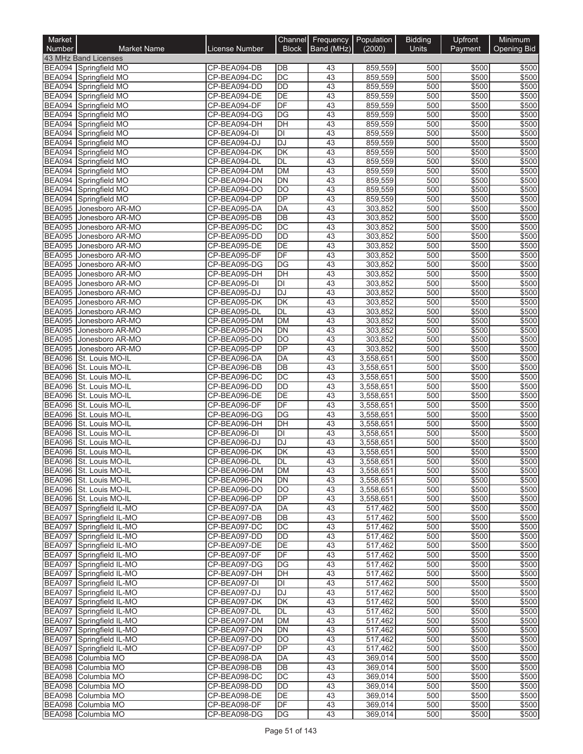| Market<br>Number               | <b>Market Name</b>                               | License Number               | Channel<br><b>Block</b>        | Frequency<br>Band (MHz) | Population<br>(2000)   | <b>Bidding</b><br><b>Units</b> | Upfront<br>Payment | Minimum<br><b>Opening Bid</b> |
|--------------------------------|--------------------------------------------------|------------------------------|--------------------------------|-------------------------|------------------------|--------------------------------|--------------------|-------------------------------|
|                                | 43 MHz Band Licenses                             |                              |                                |                         |                        |                                |                    |                               |
|                                | BEA094 Springfield MO                            | CP-BEA094-DB                 | DB                             | 43                      | 859.559                | 500                            | \$500              | \$500                         |
|                                | BEA094 Springfield MO                            | CP-BEA094-DC                 | $\overline{DC}$                | 43                      | 859,559                | 500                            | \$500              | \$500                         |
|                                | BEA094 Springfield MO                            | CP-BEA094-DD                 | $\overline{DD}$                | 43                      | 859,559                | 500                            | \$500              | \$500                         |
|                                | BEA094 Springfield MO                            | CP-BEA094-DE                 | DE                             | 43                      | 859,559                | 500                            | \$500              | \$500                         |
| <b>BEA094</b>                  | Springfield MO                                   | CP-BEA094-DF                 | DF                             | 43                      | 859,559                | 500                            | \$500              | \$500                         |
|                                | BEA094 Springfield MO                            | CP-BEA094-DG                 | DG                             | 43                      | 859,559                | 500                            | \$500              | \$500                         |
|                                | BEA094 Springfield MO                            | CP-BEA094-DH<br>CP-BEA094-DI | DH<br>$\overline{\mathsf{DI}}$ | 43<br>43                | 859,559                | 500<br>500                     | \$500<br>\$500     | \$500<br>\$500                |
|                                | BEA094 Springfield MO<br>BEA094 Springfield MO   | CP-BEA094-DJ                 | <b>DJ</b>                      | 43                      | 859,559<br>859,559     | 500                            | \$500              | \$500                         |
|                                | BEA094 Springfield MO                            | CP-BEA094-DK                 | DK                             | 43                      | 859,559                | 500                            | \$500              | \$500                         |
|                                | BEA094 Springfield MO                            | CP-BEA094-DL                 | <b>DL</b>                      | 43                      | 859,559                | 500                            | \$500              | \$500                         |
| <b>BEA094</b>                  | Springfield MO                                   | CP-BEA094-DM                 | <b>DM</b>                      | 43                      | 859,559                | 500                            | \$500              | \$500                         |
| <b>BEA094</b>                  | Springfield MO                                   | CP-BEA094-DN                 | <b>DN</b>                      | 43                      | 859,559                | 500                            | \$500              | \$500                         |
|                                | BEA094 Springfield MO                            | CP-BEA094-DO                 | $\overline{DO}$                | 43                      | 859,559                | 500                            | \$500              | \$500                         |
|                                | BEA094 Springfield MO                            | CP-BEA094-DP                 | DP                             | 43                      | 859,559                | 500                            | \$500              | \$500                         |
| <b>BEA095</b>                  | Jonesboro AR-MO                                  | CP-BEA095-DA                 | <b>DA</b>                      | $\overline{43}$         | 303,852                | 500                            | \$500              | \$500                         |
| <b>BEA095</b>                  | Jonesboro AR-MO                                  | CP-BEA095-DB                 | $\overline{DB}$                | 43                      | 303,852                | 500                            | \$500              | \$500                         |
|                                | BEA095 Jonesboro AR-MO                           | CP-BEA095-DC                 | $\overline{DC}$                | 43                      | 303,852                | 500                            | \$500              | \$500                         |
| <b>BEA095</b>                  | Jonesboro AR-MO                                  | CP-BEA095-DD                 | $\overline{DD}$                | 43                      | 303,852                | 500                            | \$500              | \$500                         |
| <b>BEA095</b>                  | Jonesboro AR-MO                                  | CP-BEA095-DE                 | DE                             | 43                      | 303,852                | 500                            | \$500              | \$500                         |
| <b>BEA095</b>                  | Jonesboro AR-MO                                  | CP-BEA095-DF                 | $\overline{DF}$                | 43                      | 303,852                | 500                            | \$500              | \$500                         |
| <b>BEA095</b>                  | Jonesboro AR-MO                                  | CP-BEA095-DG                 | DG                             | 43                      | 303,852                | 500                            | \$500              | \$500                         |
| <b>BEA095</b>                  | Jonesboro AR-MO                                  | CP-BEA095-DH                 | DH                             | 43                      | 303,852                | 500                            | \$500              | \$500                         |
| <b>BEA095</b>                  | Jonesboro AR-MO                                  | CP-BEA095-DI                 | DI                             | 43                      | 303,852                | 500                            | \$500              | \$500                         |
| <b>BEA095</b><br><b>BEA095</b> | Jonesboro AR-MO                                  | CP-BEA095-DJ<br>CP-BEA095-DK | DJ<br>DK                       | 43                      | 303,852                | 500<br>500                     | \$500<br>\$500     | \$500                         |
| <b>BEA095</b>                  | Jonesboro AR-MO<br>Jonesboro AR-MO               | CP-BEA095-DL                 | DL                             | 43<br>43                | 303,852<br>303,852     | 500                            | \$500              | \$500<br>\$500                |
| <b>BEA095</b>                  | Jonesboro AR-MO                                  | CP-BEA095-DM                 | DM                             | 43                      | 303,852                | 500                            | \$500              | \$500                         |
| <b>BEA095</b>                  | Jonesboro AR-MO                                  | CP-BEA095-DN                 | $\overline{DN}$                | 43                      | 303,852                | 500                            | \$500              | \$500                         |
| <b>BEA095</b>                  | Jonesboro AR-MO                                  | CP-BEA095-DO                 | DO                             | 43                      | 303,852                | 500                            | \$500              | \$500                         |
| <b>BEA095</b>                  | Jonesboro AR-MO                                  | CP-BEA095-DP                 | $\overline{DP}$                | 43                      | 303,852                | 500                            | \$500              | \$500                         |
| <b>BEA096</b>                  | St. Louis MO-IL                                  | CP-BEA096-DA                 | DA                             | 43                      | 3,558,651              | 500                            | \$500              | \$500                         |
| <b>BEA096</b>                  | St. Louis MO-IL                                  | CP-BEA096-DB                 | <b>DB</b>                      | 43                      | 3,558,651              | 500                            | \$500              | \$500                         |
| <b>BEA096</b>                  | St. Louis MO-IL                                  | CP-BEA096-DC                 | $\overline{DC}$                | 43                      | 3,558,651              | 500                            | \$500              | \$500                         |
| <b>BEA096</b>                  | St. Louis MO-IL                                  | CP-BEA096-DD                 | <b>DD</b>                      | 43                      | 3,558,651              | 500                            | \$500              | \$500                         |
| <b>BEA096</b>                  | St. Louis MO-IL                                  | CP-BEA096-DE                 | $\overline{DE}$                | 43                      | 3,558,651              | 500                            | \$500              | \$500                         |
| <b>BEA096</b>                  | St. Louis MO-IL                                  | CP-BEA096-DF                 | DF                             | 43                      | 3,558,651              | 500                            | \$500              | \$500                         |
| <b>BEA096</b>                  | St. Louis MO-IL                                  | CP-BEA096-DG                 | DG                             | 43                      | 3,558,651              | 500                            | \$500              | \$500                         |
| <b>BEA096</b>                  | St. Louis MO-IL                                  | CP-BEA096-DH                 | DH                             | 43                      | 3,558,651              | 500                            | \$500              | \$500                         |
| <b>BEA096</b>                  | St. Louis MO-IL                                  | CP-BEA096-DI                 | DI                             | 43                      | 3,558,651              | 500                            | \$500              | \$500                         |
| <b>BEA096</b>                  | St. Louis MO-IL                                  | CP-BEA096-DJ                 | DJ                             | 43                      | 3,558,651              | 500                            | \$500              | \$500                         |
| <b>BEA096</b>                  | St. Louis MO-IL                                  | CP-BEA096-DK                 | $\overline{\mathsf{DK}}$       | 43                      | 3.558.651              | 500                            | \$500              | \$500                         |
|                                | BEA096  St. Louis MO-IL                          | CP-BEA096-DL                 | DL                             | 43                      | 3,558,651              | 500                            | \$500              | \$500                         |
|                                | BEA096 St. Louis MO-IL                           | CP-BEA096-DM                 | <b>DM</b>                      | 43                      | 3,558,651              | 500                            | \$500              | \$500                         |
|                                | BEA096 St. Louis MO-IL                           | CP-BEA096-DN                 | DN                             | 43                      | 3,558,651              | 500                            | \$500              | \$500                         |
|                                | BEA096 St. Louis MO-IL<br>BEA096 St. Louis MO-IL | CP-BEA096-DO<br>CP-BEA096-DP | DO<br>DP                       | 43<br>43                | 3,558,651<br>3,558,651 | 500<br>500                     | \$500<br>\$500     | \$500<br>\$500                |
|                                | BEA097 Springfield IL-MO                         | CP-BEA097-DA                 | DA                             | 43                      | 517,462                | 500                            | \$500              | \$500                         |
|                                | BEA097 Springfield IL-MO                         | CP-BEA097-DB                 | DB                             | 43                      | 517,462                | 500                            | \$500              | \$500                         |
|                                | BEA097 Springfield IL-MO                         | CP-BEA097-DC                 | $\overline{DC}$                | 43                      | 517,462                | 500                            | \$500              | \$500                         |
|                                | BEA097 Springfield IL-MO                         | CP-BEA097-DD                 | DD                             | 43                      | 517,462                | 500                            | \$500              | \$500                         |
|                                | BEA097 Springfield IL-MO                         | CP-BEA097-DE                 | DE                             | 43                      | 517,462                | 500                            | \$500              | \$500                         |
|                                | BEA097 Springfield IL-MO                         | CP-BEA097-DF                 | DF                             | 43                      | 517,462                | 500                            | \$500              | \$500                         |
|                                | BEA097 Springfield IL-MO                         | CP-BEA097-DG                 | $\overline{DG}$                | 43                      | 517,462                | 500                            | \$500              | \$500                         |
|                                | BEA097 Springfield IL-MO                         | CP-BEA097-DH                 | DH                             | 43                      | 517,462                | 500                            | \$500              | \$500                         |
|                                | BEA097 Springfield IL-MO                         | CP-BEA097-DI                 | DI                             | 43                      | 517,462                | 500                            | \$500              | \$500                         |
|                                | BEA097 Springfield IL-MO                         | CP-BEA097-DJ                 | <b>DJ</b>                      | 43                      | 517,462                | 500                            | \$500              | \$500                         |
|                                | BEA097 Springfield IL-MO                         | CP-BEA097-DK                 | $\overline{\mathsf{DK}}$       | 43                      | 517,462                | 500                            | \$500              | \$500                         |
|                                | BEA097 Springfield IL-MO                         | CP-BEA097-DL                 | DL                             | 43                      | 517,462                | 500                            | \$500              | \$500                         |
|                                | BEA097 Springfield IL-MO                         | CP-BEA097-DM                 | DM                             | 43                      | 517,462                | 500                            | \$500              | \$500                         |
|                                | BEA097 Springfield IL-MO                         | CP-BEA097-DN                 | DN                             | 43                      | 517,462                | 500                            | \$500              | \$500                         |
|                                | BEA097 Springfield IL-MO                         | CP-BEA097-DO                 | DO                             | 43                      | 517,462                | 500                            | \$500              | \$500                         |
|                                | BEA097 Springfield IL-MO                         | CP-BEA097-DP                 | DP                             | 43                      | 517,462                | 500                            | \$500              | \$500                         |
|                                | BEA098 Columbia MO                               | CP-BEA098-DA                 | DA                             | 43                      | 369,014                | 500                            | \$500              | \$500                         |
|                                | BEA098 Columbia MO<br>BEA098 Columbia MO         | CP-BEA098-DB                 | DB<br>$\overline{DC}$          | 43<br>43                | 369,014                | 500<br>500                     | \$500              | \$500                         |
|                                | BEA098 Columbia MO                               | CP-BEA098-DC<br>CP-BEA098-DD | DD                             | 43                      | 369,014                | 500                            | \$500<br>\$500     | \$500<br>\$500                |
|                                | BEA098 Columbia MO                               | CP-BEA098-DE                 | DE                             | 43                      | 369,014<br>369,014     | 500                            | \$500              | \$500                         |
|                                | BEA098 Columbia MO                               | CP-BEA098-DF                 | DF                             | 43                      | 369,014                | 500                            | \$500              | \$500                         |
|                                | BEA098 Columbia MO                               | CP-BEA098-DG                 | DG                             | 43                      | 369,014                | 500                            | \$500              | \$500                         |
|                                |                                                  |                              |                                |                         |                        |                                |                    |                               |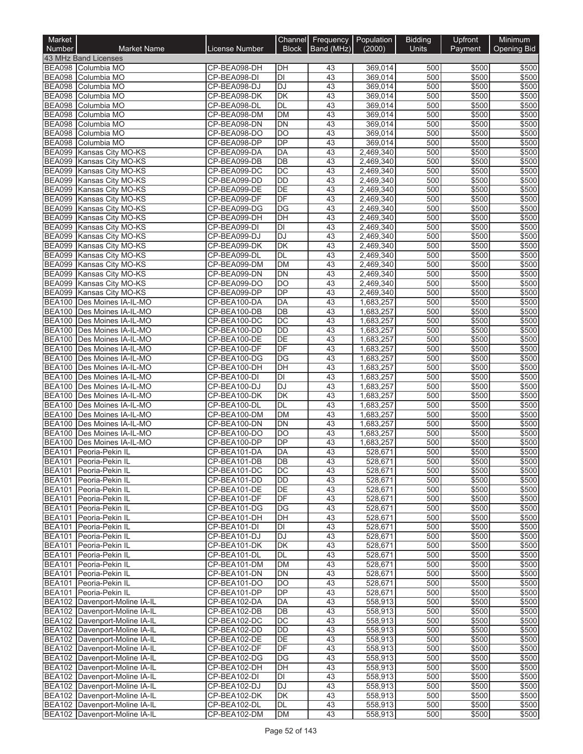| Market<br>Number               | <b>Market Name</b>                                             | License Number               | Channel<br><b>Block</b>      | Frequency<br>Band (MHz) | Population<br>(2000)   | <b>Bidding</b><br><b>Units</b> | Upfront<br>Payment | Minimum<br><b>Opening Bid</b> |
|--------------------------------|----------------------------------------------------------------|------------------------------|------------------------------|-------------------------|------------------------|--------------------------------|--------------------|-------------------------------|
|                                | 43 MHz Band Licenses                                           |                              |                              |                         |                        |                                |                    |                               |
|                                | BEA098 Columbia MO                                             | CP-BEA098-DH                 | DH                           | 43                      | 369,014                | 500                            | \$500              | \$500                         |
| <b>BEA098</b>                  | Columbia MO                                                    | CP-BEA098-DI                 | $\overline{D}$               | 43                      | 369,014                | 500                            | \$500              | \$500                         |
| <b>BEA098</b>                  | Columbia MO                                                    | CP-BEA098-DJ                 | $\overline{DJ}$              | 43                      | 369,014                | 500                            | \$500              | \$500                         |
| <b>BEA098</b>                  | Columbia MO                                                    | CP-BEA098-DK                 | $\overline{\mathsf{DK}}$     | 43                      | 369,014                | 500                            | \$500              | \$500                         |
| <b>BEA098</b><br><b>BEA098</b> | Columbia MO<br>Columbia MO                                     | CP-BEA098-DL<br>CP-BEA098-DM | <b>DL</b><br><b>DM</b>       | 43<br>43                | 369,014<br>369,014     | 500<br>500                     | \$500<br>\$500     | \$500<br>\$500                |
| <b>BEA098</b>                  | Columbia MO                                                    | CP-BEA098-DN                 | <b>DN</b>                    | 43                      | 369,014                | 500                            | \$500              | \$500                         |
| <b>BEA098</b>                  | Columbia MO                                                    | CP-BEA098-DO                 | <b>DO</b>                    | 43                      | 369,014                | 500                            | \$500              | \$500                         |
| <b>BEA098</b>                  | Columbia MO                                                    | CP-BEA098-DP                 | DP                           | 43                      | 369,014                | 500                            | \$500              | \$500                         |
| <b>BEA099</b>                  | Kansas City MO-KS                                              | CP-BEA099-DA                 | DA                           | 43                      | 2,469,340              | 500                            | \$500              | \$500                         |
| <b>BEA099</b>                  | Kansas City MO-KS                                              | CP-BEA099-DB                 | $\overline{DB}$              | 43                      | 2,469,340              | 500                            | \$500              | \$500                         |
| <b>BEA099</b>                  | Kansas City MO-KS                                              | CP-BEA099-DC                 | $\overline{DC}$<br><b>DD</b> | 43<br>43                | 2,469,340<br>2,469,340 | 500<br>500                     | \$500              | \$500<br>\$500                |
| <b>BEA099</b><br><b>BEA099</b> | Kansas City MO-KS<br>Kansas City MO-KS                         | CP-BEA099-DD<br>CP-BEA099-DE | DE                           | 43                      | 2,469,340              | 500                            | \$500<br>\$500     | \$500                         |
| <b>BEA099</b>                  | Kansas City MO-KS                                              | CP-BEA099-DF                 | DF                           | 43                      | 2,469,340              | 500                            | \$500              | \$500                         |
| <b>BEA099</b>                  | Kansas City MO-KS                                              | CP-BEA099-DG                 | $\overline{DG}$              | $\overline{43}$         | 2,469,340              | 500                            | \$500              | \$500                         |
| <b>BEA099</b>                  | Kansas City MO-KS                                              | CP-BEA099-DH                 | $\overline{DH}$              | 43                      | 2,469,340              | 500                            | \$500              | \$500                         |
| <b>BEA099</b>                  | Kansas City MO-KS                                              | CP-BEA099-DI                 | DI                           | 43                      | 2,469,340              | 500                            | \$500              | \$500                         |
| <b>BEA099</b>                  | Kansas City MO-KS                                              | CP-BEA099-DJ                 | $\overline{DJ}$              | 43                      | 2,469,340              | 500                            | \$500              | \$500                         |
| <b>BEA099</b>                  | Kansas City MO-KS                                              | CP-BEA099-DK                 | DK                           | 43                      | 2,469,340              | 500                            | \$500              | \$500                         |
| <b>BEA099</b><br><b>BEA099</b> | Kansas City MO-KS<br>Kansas City MO-KS                         | CP-BEA099-DL<br>CP-BEA099-DM | DL<br><b>DM</b>              | 43<br>43                | 2,469,340<br>2,469,340 | 500<br>500                     | \$500<br>\$500     | \$500<br>\$500                |
| <b>BEA099</b>                  | Kansas City MO-KS                                              | CP-BEA099-DN                 | <b>DN</b>                    | 43                      | 2,469,340              | 500                            | \$500              | \$500                         |
| <b>BEA099</b>                  | Kansas City MO-KS                                              | CP-BEA099-DO                 | <b>DO</b>                    | 43                      | 2,469,340              | 500                            | \$500              | \$500                         |
| <b>BEA099</b>                  | Kansas City MO-KS                                              | CP-BEA099-DP                 | $\overline{DP}$              | 43                      | 2,469,340              | 500                            | \$500              | \$500                         |
| <b>BEA100</b>                  | Des Moines IA-IL-MO                                            | CP-BEA100-DA                 | <b>DA</b>                    | 43                      | 1,683,257              | 500                            | \$500              | \$500                         |
|                                | BEA100 Des Moines IA-IL-MO                                     | CP-BEA100-DB                 | $\overline{DB}$              | 43                      | 1,683,257              | 500                            | \$500              | \$500                         |
|                                | BEA100 Des Moines IA-IL-MO                                     | CP-BEA100-DC                 | $\overline{DC}$              | 43                      | 1,683,257              | 500                            | \$500              | \$500                         |
| <b>BEA100</b>                  | Des Moines IA-IL-MO                                            | CP-BEA100-DD                 | <b>DD</b>                    | 43                      | 1,683,257              | 500                            | \$500              | \$500                         |
| <b>BEA100</b><br><b>BEA100</b> | Des Moines IA-IL-MO<br>Des Moines IA-IL-MO                     | CP-BEA100-DE<br>CP-BEA100-DF | DE<br>DF                     | 43<br>43                | 1,683,257<br>1,683,257 | 500<br>500                     | \$500<br>\$500     | \$500<br>\$500                |
| <b>BEA100</b>                  | Des Moines IA-IL-MO                                            | CP-BEA100-DG                 | DG                           | 43                      | 1,683,257              | 500                            | \$500              | \$500                         |
| <b>BEA100</b>                  | Des Moines IA-IL-MO                                            | CP-BEA100-DH                 | DH                           | 43                      | 1,683,257              | 500                            | \$500              | \$500                         |
| <b>BEA100</b>                  | Des Moines IA-IL-MO                                            | CP-BEA100-DI                 | DI                           | 43                      | 1,683,257              | 500                            | \$500              | \$500                         |
|                                | BEA100 Des Moines IA-IL-MO                                     | CP-BEA100-DJ                 | <b>DJ</b>                    | 43                      | 1,683,257              | 500                            | \$500              | \$500                         |
| <b>BEA100</b>                  | Des Moines IA-IL-MO                                            | CP-BEA100-DK                 | DK                           | 43                      | 1,683,257              | 500                            | \$500              | \$500                         |
| <b>BEA100</b>                  | Des Moines IA-IL-MO                                            | CP-BEA100-DL                 | DL                           | 43                      | 1,683,257              | 500                            | \$500              | \$500                         |
| <b>BEA100</b><br><b>BEA100</b> | Des Moines IA-IL-MO                                            | CP-BEA100-DM                 | <b>DM</b>                    | 43                      | 1,683,257              | 500                            | \$500              | \$500                         |
| <b>BEA100</b>                  | Des Moines IA-IL-MO<br>Des Moines IA-IL-MO                     | CP-BEA100-DN<br>CP-BEA100-DO | <b>DN</b><br><b>DO</b>       | 43<br>43                | 1,683,257<br>1,683,257 | 500<br>500                     | \$500<br>\$500     | \$500<br>\$500                |
| <b>BEA100</b>                  | Des Moines IA-IL-MO                                            | CP-BEA100-DP                 | DP                           | 43                      | 1,683,257              | 500                            | \$500              | \$500                         |
| <b>BEA101</b>                  | Peoria-Pekin IL                                                | CP-BEA101-DA                 | <b>DA</b>                    | 43                      | 528,671                | 500                            | \$500              | \$500                         |
|                                | BEA101 Peoria-Pekin IL                                         | CP-BEA101-DB                 | DB                           | 43                      | 528,671                | 500                            | \$500              | \$500                         |
|                                | BEA101 Peoria-Pekin IL                                         | CP-BEA101-DC                 | DC                           | 43                      | 528,671                | 500                            | \$500              | \$500                         |
|                                | BEA101 Peoria-Pekin IL                                         | CP-BEA101-DD                 | DD                           | 43                      | 528,671                | 500                            | \$500              | \$500                         |
|                                | BEA101 Peoria-Pekin IL<br>BEA101 Peoria-Pekin IL               | CP-BEA101-DE<br>CP-BEA101-DF | DE<br>DF                     | 43                      | 528,671                | 500                            | \$500              | \$500<br>\$500                |
| <b>BEA101</b>                  | Peoria-Pekin IL                                                | CP-BEA101-DG                 | DG                           | 43<br>43                | 528,671<br>528,671     | 500<br>500                     | \$500<br>\$500     | \$500                         |
| <b>BEA101</b>                  | Peoria-Pekin IL                                                | CP-BEA101-DH                 | DH                           | 43                      | 528,671                | 500                            | \$500              | \$500                         |
| <b>BEA101</b>                  | Peoria-Pekin IL                                                | CP-BEA101-DI                 | DI                           | 43                      | 528,671                | 500                            | \$500              | \$500                         |
|                                | BEA101 Peoria-Pekin IL                                         | CP-BEA101-DJ                 | <b>DJ</b>                    | 43                      | 528,671                | 500                            | \$500              | \$500                         |
| <b>BEA101</b>                  | Peoria-Pekin IL                                                | CP-BEA101-DK                 | DK                           | 43                      | 528,671                | 500                            | \$500              | \$500                         |
| <b>BEA101</b>                  | Peoria-Pekin IL                                                | CP-BEA101-DL                 | DL                           | 43                      | 528,671                | 500                            | \$500              | \$500                         |
| <b>BEA101</b>                  | Peoria-Pekin IL                                                | CP-BEA101-DM                 | DM                           | 43                      | 528,671                | 500                            | \$500              | \$500                         |
|                                | BEA101 Peoria-Pekin IL<br>BEA101 Peoria-Pekin IL               | CP-BEA101-DN<br>CP-BEA101-DO | DN<br><b>DO</b>              | 43<br>43                | 528,671<br>528,671     | 500<br>500                     | \$500<br>\$500     | \$500<br>\$500                |
|                                | BEA101 Peoria-Pekin IL                                         | CP-BEA101-DP                 | DP                           | 43                      | 528,671                | 500                            | \$500              | \$500                         |
|                                | BEA102 Davenport-Moline IA-IL                                  | CP-BEA102-DA                 | DA                           | 43                      | 558,913                | 500                            | \$500              | \$500                         |
|                                | BEA102 Davenport-Moline IA-IL                                  | CP-BEA102-DB                 | DB                           | 43                      | 558,913                | 500                            | \$500              | \$500                         |
|                                | BEA102 Davenport-Moline IA-IL                                  | CP-BEA102-DC                 | DC                           | 43                      | 558,913                | 500                            | \$500              | \$500                         |
|                                | BEA102 Davenport-Moline IA-IL                                  | CP-BEA102-DD                 | DD                           | 43                      | 558,913                | 500                            | \$500              | \$500                         |
|                                | BEA102 Davenport-Moline IA-IL                                  | CP-BEA102-DE                 | DE                           | 43                      | 558,913                | 500                            | \$500              | \$500                         |
|                                | BEA102 Davenport-Moline IA-IL                                  | CP-BEA102-DF                 | DF                           | 43                      | 558,913                | 500                            | \$500              | \$500                         |
|                                | BEA102 Davenport-Moline IA-IL<br>BEA102 Davenport-Moline IA-IL | CP-BEA102-DG<br>CP-BEA102-DH | DG<br>DH                     | 43<br>43                | 558,913<br>558,913     | 500<br>500                     | \$500<br>\$500     | \$500<br>\$500                |
|                                | BEA102 Davenport-Moline IA-IL                                  | CP-BEA102-DI                 | DI                           | 43                      | 558,913                | 500                            | \$500              | \$500                         |
|                                | BEA102 Davenport-Moline IA-IL                                  | CP-BEA102-DJ                 | DJ                           | 43                      | 558,913                | 500                            | \$500              | \$500                         |
|                                | BEA102 Davenport-Moline IA-IL                                  | CP-BEA102-DK                 | DK                           | 43                      | 558,913                | 500                            | \$500              | \$500                         |
|                                | BEA102 Davenport-Moline IA-IL                                  | CP-BEA102-DL                 | DL                           | 43                      | 558,913                | 500                            | \$500              | \$500                         |
|                                | BEA102 Davenport-Moline IA-IL                                  | CP-BEA102-DM                 | <b>DM</b>                    | 43                      | 558,913                | 500                            | \$500              | \$500                         |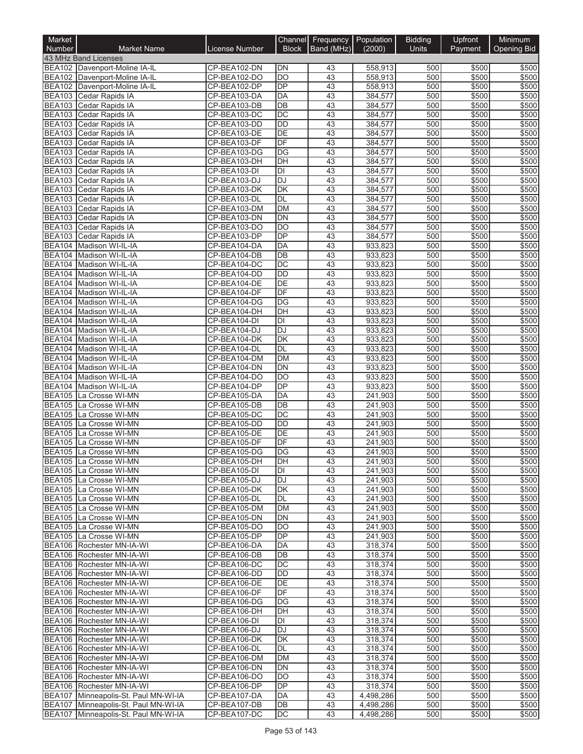| Market<br><b>Number</b> | <b>Market Name</b>                                                           | License Number               | Channel<br><b>Block</b>      | Frequency<br>Band (MHz) | Population<br>(2000)   | <b>Bidding</b><br><b>Units</b> | Upfront<br>Payment | Minimum<br>Opening Bid |
|-------------------------|------------------------------------------------------------------------------|------------------------------|------------------------------|-------------------------|------------------------|--------------------------------|--------------------|------------------------|
|                         | 43 MHz Band Licenses                                                         |                              |                              |                         |                        |                                |                    |                        |
|                         | BEA102 Davenport-Moline IA-IL                                                | CP-BEA102-DN                 | <b>DN</b>                    | 43                      | 558,913                | 500                            | \$500              | \$500                  |
|                         | BEA102 Davenport-Moline IA-IL                                                | CP-BEA102-DO                 | DO                           | 43                      | 558,913                | 500                            | \$500              | \$500                  |
|                         | BEA102 Davenport-Moline IA-IL                                                | CP-BEA102-DP                 | <b>DP</b>                    | 43                      | 558,913                | 500                            | \$500              | \$500                  |
|                         | BEA103 Cedar Rapids IA                                                       | CP-BEA103-DA                 | <b>DA</b>                    | 43                      | 384,577                | 500                            | \$500              | \$500                  |
|                         | BEA103 Cedar Rapids IA                                                       | CP-BEA103-DB                 | $\overline{DB}$              | 43                      | 384,577                | 500                            | \$500              | \$500                  |
|                         | BEA103 Cedar Rapids IA<br>BEA103 Cedar Rapids IA                             | CP-BEA103-DC<br>CP-BEA103-DD | $\overline{DC}$<br><b>DD</b> | 43<br>43                | 384,577<br>384,577     | 500<br>500                     | \$500<br>\$500     | \$500<br>\$500         |
| <b>BEA103</b>           | Cedar Rapids IA                                                              | CP-BEA103-DE                 | DE                           | 43                      | 384,577                | 500                            | \$500              | \$500                  |
|                         | BEA103 Cedar Rapids IA                                                       | CP-BEA103-DF                 | DF                           | 43                      | 384,577                | 500                            | \$500              | \$500                  |
| <b>BEA103</b>           | Cedar Rapids IA                                                              | CP-BEA103-DG                 | DG                           | 43                      | 384,577                | 500                            | \$500              | \$500                  |
|                         | BEA103 Cedar Rapids IA                                                       | CP-BEA103-DH                 | DH                           | 43                      | 384,577                | 500                            | \$500              | \$500                  |
|                         | BEA103 Cedar Rapids IA                                                       | CP-BEA103-DI                 | $\overline{D}$               | 43                      | 384,577                | 500                            | \$500              | \$500                  |
|                         | BEA103 Cedar Rapids IA                                                       | CP-BEA103-DJ                 | <b>DJ</b>                    | 43                      | 384,577                | 500                            | \$500              | \$500                  |
|                         | BEA103 Cedar Rapids IA                                                       | CP-BEA103-DK                 | $\overline{\mathsf{DK}}$     | 43                      | 384,577                | 500                            | \$500              | \$500                  |
| <b>BEA103</b>           | Cedar Rapids IA                                                              | CP-BEA103-DL                 | DL                           | 43                      | 384,577                | 500                            | \$500              | \$500                  |
| <b>BEA103</b>           | Cedar Rapids IA                                                              | CP-BEA103-DM                 | <b>DM</b>                    | 43                      | 384,577                | 500                            | \$500              | \$500                  |
| <b>BEA103</b>           | Cedar Rapids IA                                                              | CP-BEA103-DN                 | $\overline{DN}$              | 43                      | 384,577                | 500                            | \$500              | \$500                  |
|                         | BEA103 Cedar Rapids IA                                                       | CP-BEA103-DO                 | <b>DO</b>                    | 43                      | 384,577                | 500                            | \$500              | \$500                  |
|                         | BEA103 Cedar Rapids IA                                                       | CP-BEA103-DP                 | DP                           | 43                      | 384,577                | 500                            | \$500              | \$500                  |
|                         | BEA104 Madison WI-IL-IA                                                      | CP-BEA104-DA                 | DA                           | 43                      | 933,823                | 500                            | \$500              | \$500                  |
|                         | BEA104 Madison WI-IL-IA                                                      | CP-BEA104-DB                 | $\overline{DB}$              | 43                      | 933,823                | 500                            | \$500              | \$500                  |
|                         | BEA104 Madison WI-IL-IA                                                      | CP-BEA104-DC                 | $\overline{DC}$              | 43                      | 933,823                | 500                            | \$500              | \$500                  |
|                         | BEA104 Madison WI-IL-IA                                                      | CP-BEA104-DD                 | <b>DD</b><br>$\overline{DE}$ | 43<br>43                | 933,823                | 500                            | \$500              | \$500                  |
|                         | BEA104 Madison WI-IL-IA                                                      | CP-BEA104-DE                 | DF                           |                         | 933,823                | 500                            | \$500              | \$500                  |
| <b>BEA104</b>           | BEA104 Madison WI-IL-IA<br>Madison WI-IL-IA                                  | CP-BEA104-DF                 | DG                           | 43<br>43                | 933,823                | 500                            | \$500              | \$500                  |
|                         | BEA104 Madison WI-IL-IA                                                      | CP-BEA104-DG<br>CP-BEA104-DH | DH                           | 43                      | 933,823<br>933,823     | 500<br>500                     | \$500<br>\$500     | \$500<br>\$500         |
|                         | BEA104 Madison WI-IL-IA                                                      | CP-BEA104-DI                 | $\overline{D}$               | 43                      | 933,823                | 500                            | \$500              | \$500                  |
|                         | BEA104 Madison WI-IL-IA                                                      | CP-BEA104-DJ                 | <b>DJ</b>                    | 43                      | 933,823                | 500                            | \$500              | \$500                  |
|                         | BEA104 Madison WI-IL-IA                                                      | CP-BEA104-DK                 | $\overline{\mathsf{DK}}$     | 43                      | 933,823                | 500                            | \$500              | \$500                  |
|                         | BEA104 Madison WI-IL-IA                                                      | CP-BEA104-DL                 | <b>DL</b>                    | 43                      | 933,823                | 500                            | \$500              | \$500                  |
|                         | BEA104 Madison WI-IL-IA                                                      | CP-BEA104-DM                 | <b>DM</b>                    | 43                      | 933,823                | 500                            | \$500              | \$500                  |
|                         | BEA104 Madison WI-IL-IA                                                      | CP-BEA104-DN                 | DN                           | 43                      | 933,823                | 500                            | \$500              | \$500                  |
|                         | BEA104 Madison WI-IL-IA                                                      | CP-BEA104-DO                 | $\overline{DO}$              | 43                      | 933,823                | 500                            | \$500              | \$500                  |
|                         | BEA104 Madison WI-IL-IA                                                      | CP-BEA104-DP                 | $\overline{DP}$              | 43                      | 933,823                | 500                            | \$500              | \$500                  |
| <b>BEA105</b>           | La Crosse WI-MN                                                              | CP-BEA105-DA                 | DA                           | 43                      | 241,903                | 500                            | \$500              | \$500                  |
| <b>BEA105</b>           | La Crosse WI-MN                                                              | CP-BEA105-DB                 | $\overline{DB}$              | 43                      | 241,903                | 500                            | \$500              | \$500                  |
| <b>BEA105</b>           | La Crosse WI-MN                                                              | CP-BEA105-DC                 | $\overline{DC}$              | 43                      | 241,903                | 500                            | \$500              | \$500                  |
| <b>BEA105</b>           | La Crosse WI-MN                                                              | CP-BEA105-DD                 | $\overline{DD}$              | 43                      | 241,903                | 500                            | \$500              | \$500                  |
| <b>BEA105</b>           | La Crosse WI-MN                                                              | CP-BEA105-DE                 | DE                           | 43                      | 241,903                | 500                            | \$500              | \$500                  |
| <b>BEA105</b>           | La Crosse WI-MN                                                              | CP-BEA105-DF                 | DF                           | 43                      | 241,903                | 500                            | \$500              | \$500                  |
| <b>BEA105</b>           | La Crosse WI-MN                                                              | CP-BEA105-DG                 | $\overline{DG}$              | $\overline{43}$         | 241,903                | 500                            | \$500              | \$500                  |
|                         | BEA105 La Crosse WI-MN                                                       | CP-BEA105-DH                 | IDH                          | 43                      | 241,903                | 500                            | \$500              | \$500                  |
|                         | BEA105 La Crosse WI-MN                                                       | CP-BEA105-DI                 | DI                           | 43                      | 241,903                | 500                            | \$500              | \$500                  |
|                         | BEA105 La Crosse WI-MN                                                       | CP-BEA105-DJ                 | DJ                           | 43                      | 241,903                | 500                            | \$500              | \$500                  |
|                         | BEA105 La Crosse WI-MN                                                       | CP-BEA105-DK                 | DK                           | 43                      | 241,903                | 500                            | \$500              | \$500                  |
|                         | BEA105 La Crosse WI-MN                                                       | CP-BEA105-DL                 | DL<br><b>DM</b>              | 43<br>43                | 241,903                | 500<br>500                     | \$500              | \$500                  |
|                         | BEA105 La Crosse WI-MN<br>BEA105 La Crosse WI-MN                             | CP-BEA105-DM<br>CP-BEA105-DN | DN                           | 43                      | 241,903<br>241,903     | 500                            | \$500<br>\$500     | \$500<br>\$500         |
|                         | BEA105 La Crosse WI-MN                                                       | CP-BEA105-DO                 | DO                           | 43                      | 241,903                | 500                            | \$500              | \$500                  |
|                         | BEA105 La Crosse WI-MN                                                       | CP-BEA105-DP                 | <b>DP</b>                    | 43                      | 241,903                | 500                            | \$500              | \$500                  |
|                         | BEA106 Rochester MN-IA-WI                                                    | CP-BEA106-DA                 | DA                           | 43                      | 318,374                | 500                            | \$500              | \$500                  |
|                         | BEA106 Rochester MN-IA-WI                                                    | CP-BEA106-DB                 | DB                           | 43                      | 318,374                | 500                            | \$500              | \$500                  |
|                         | BEA106 Rochester MN-IA-WI                                                    | CP-BEA106-DC                 | $\overline{DC}$              | 43                      | 318,374                | 500                            | \$500              | \$500                  |
|                         | BEA106 Rochester MN-IA-WI                                                    | CP-BEA106-DD                 | DD                           | 43                      | 318,374                | 500                            | \$500              | \$500                  |
|                         | BEA106 Rochester MN-IA-WI                                                    | CP-BEA106-DE                 | <b>DE</b>                    | 43                      | 318,374                | 500                            | \$500              | \$500                  |
|                         | BEA106 Rochester MN-IA-WI                                                    | CP-BEA106-DF                 | DF                           | 43                      | 318,374                | 500                            | \$500              | \$500                  |
|                         | BEA106 Rochester MN-IA-WI                                                    | CP-BEA106-DG                 | DG                           | 43                      | 318,374                | 500                            | \$500              | \$500                  |
|                         | BEA106 Rochester MN-IA-WI                                                    | CP-BEA106-DH                 | DH                           | 43                      | 318,374                | 500                            | \$500              | \$500                  |
|                         | BEA106 Rochester MN-IA-WI                                                    | CP-BEA106-DI                 | DI                           | 43                      | 318,374                | 500                            | \$500              | \$500                  |
|                         | BEA106 Rochester MN-IA-WI                                                    | CP-BEA106-DJ                 | DJ                           | 43                      | 318,374                | 500                            | \$500              | \$500                  |
|                         | BEA106 Rochester MN-IA-WI                                                    | CP-BEA106-DK                 | DK                           | 43                      | 318,374                | 500                            | \$500              | \$500                  |
|                         | BEA106 Rochester MN-IA-WI                                                    | CP-BEA106-DL                 | DL                           | 43                      | 318,374                | 500                            | \$500              | \$500                  |
|                         | BEA106 Rochester MN-IA-WI                                                    | CP-BEA106-DM                 | DM                           | 43                      | 318,374                | 500                            | \$500              | \$500                  |
|                         | BEA106 Rochester MN-IA-WI                                                    | CP-BEA106-DN                 | DN                           | 43                      | 318,374                | 500                            | \$500              | \$500                  |
|                         | BEA106 Rochester MN-IA-WI                                                    | CP-BEA106-DO                 | DO                           | 43                      | 318,374                | 500                            | \$500              | \$500                  |
|                         | BEA106 Rochester MN-IA-WI                                                    | CP-BEA106-DP                 | DP                           | 43                      | 318,374                | 500                            | \$500              | \$500                  |
|                         | BEA107 Minneapolis-St. Paul MN-WI-IA                                         | CP-BEA107-DA                 | DA                           | 43                      | 4,498,286              | 500                            | \$500              | \$500                  |
|                         | BEA107 Minneapolis-St. Paul MN-WI-IA<br>BEA107 Minneapolis-St. Paul MN-WI-IA | CP-BEA107-DB<br>CP-BEA107-DC | DB<br>DC                     | 43<br>43                | 4,498,286<br>4,498,286 | 500<br>500                     | \$500<br>\$500     | \$500<br>\$500         |
|                         |                                                                              |                              |                              |                         |                        |                                |                    |                        |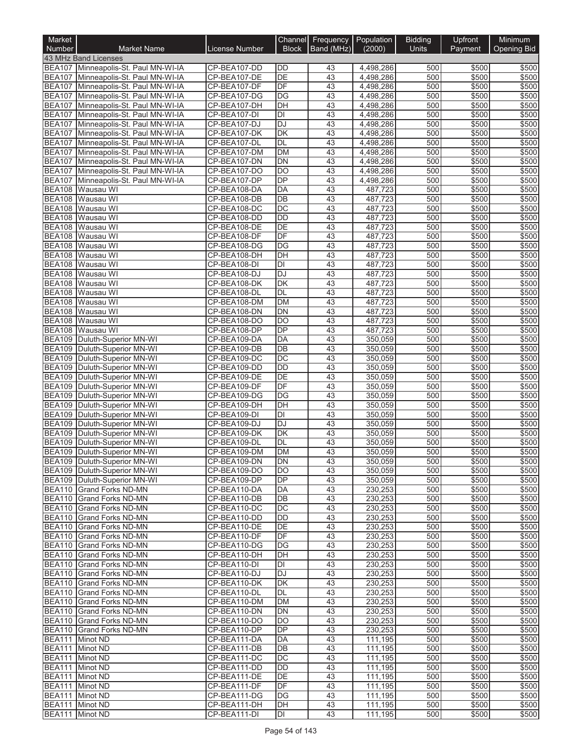| Market<br><b>Number</b> | <b>Market Name</b>                                                           | License Number               | Channel<br><b>Block</b>  | Frequency<br>Band (MHz) | Population<br>(2000)   | <b>Bidding</b><br>Units | Upfront<br>Payment | Minimum<br>Opening Bid |
|-------------------------|------------------------------------------------------------------------------|------------------------------|--------------------------|-------------------------|------------------------|-------------------------|--------------------|------------------------|
|                         | 43 MHz Band Licenses                                                         |                              |                          |                         |                        |                         |                    |                        |
|                         | BEA107 Minneapolis-St. Paul MN-WI-IA                                         | CP-BEA107-DD                 | <b>DD</b>                | 43                      | 4,498,286              | 500                     | \$500              | \$500                  |
|                         | BEA107 Minneapolis-St. Paul MN-WI-IA                                         | CP-BEA107-DE                 | DE                       | 43                      | 4,498,286              | 500                     | \$500              | \$500                  |
|                         | BEA107 Minneapolis-St. Paul MN-WI-IA                                         | CP-BEA107-DF                 | DF                       | 43                      | 4,498,286              | 500                     | \$500              | \$500                  |
|                         | BEA107 Minneapolis-St. Paul MN-WI-IA                                         | CP-BEA107-DG                 | $\overline{DG}$          | 43                      | 4,498,286              | 500                     | \$500              | \$500                  |
|                         | BEA107 Minneapolis-St. Paul MN-WI-IA                                         | CP-BEA107-DH                 | DH<br>$\overline{D}$     | 43                      | 4,498,286              | 500                     | \$500              | \$500                  |
|                         | BEA107 Minneapolis-St. Paul MN-WI-IA<br>BEA107 Minneapolis-St. Paul MN-WI-IA | CP-BEA107-DI<br>CP-BEA107-DJ | <b>DJ</b>                | 43<br>43                | 4,498,286<br>4,498,286 | 500<br>500              | \$500<br>\$500     | \$500<br>\$500         |
|                         | BEA107 Minneapolis-St. Paul MN-WI-IA                                         | CP-BEA107-DK                 | DK                       | 43                      | 4,498,286              | 500                     | \$500              | \$500                  |
|                         | BEA107 Minneapolis-St. Paul MN-WI-IA                                         | CP-BEA107-DL                 | DL                       | 43                      | 4,498,286              | 500                     | \$500              | \$500                  |
| <b>BEA107</b>           | Minneapolis-St. Paul MN-WI-IA                                                | CP-BEA107-DM                 | <b>DM</b>                | 43                      | 4,498,286              | 500                     | \$500              | \$500                  |
|                         | BEA107 Minneapolis-St. Paul MN-WI-IA                                         | CP-BEA107-DN                 | DN                       | 43                      | 4,498,286              | 500                     | \$500              | \$500                  |
| <b>BEA107</b>           | Minneapolis-St. Paul MN-WI-IA                                                | CP-BEA107-DO                 | $\overline{DO}$          | 43                      | 4,498,286              | 500                     | \$500              | \$500                  |
| <b>BEA107</b>           | Minneapolis-St. Paul MN-WI-IA                                                | CP-BEA107-DP                 | $\overline{DP}$          | 43                      | 4,498,286              | 500                     | \$500              | \$500                  |
|                         | BEA108 Wausau WI                                                             | CP-BEA108-DA                 | DA                       | 43                      | 487,723                | 500                     | \$500              | \$500                  |
| <b>BEA108</b>           | Wausau WI                                                                    | CP-BEA108-DB                 | DB                       | 43                      | 487,723                | 500                     | \$500              | \$500                  |
| <b>BEA108</b>           | Wausau WI                                                                    | CP-BEA108-DC                 | $\overline{DC}$          | 43                      | 487,723                | 500                     | \$500              | \$500                  |
|                         | BEA108 Wausau WI<br>Wausau WI                                                | CP-BEA108-DD<br>CP-BEA108-DE | $\overline{DD}$<br>DE    | 43                      | 487,723                | 500                     | \$500              | \$500                  |
| <b>BEA108</b>           | BEA108 Wausau WI                                                             | CP-BEA108-DF                 | DF                       | 43<br>43                | 487,723<br>487,723     | 500<br>500              | \$500<br>\$500     | \$500<br>\$500         |
|                         | BEA108 Wausau WI                                                             | CP-BEA108-DG                 | DG                       | 43                      | 487,723                | 500                     | \$500              | \$500                  |
|                         | BEA108 Wausau WI                                                             | CP-BEA108-DH                 | DH                       | 43                      | 487,723                | 500                     | \$500              | \$500                  |
|                         | BEA108 Wausau WI                                                             | CP-BEA108-DI                 | $\overline{D}$           | 43                      | 487,723                | 500                     | \$500              | \$500                  |
| <b>BEA108</b>           | Wausau WI                                                                    | CP-BEA108-DJ                 | <b>DJ</b>                | 43                      | 487,723                | 500                     | \$500              | \$500                  |
| <b>BEA108</b>           | Wausau WI                                                                    | CP-BEA108-DK                 | $\overline{\mathsf{DK}}$ | $\overline{43}$         | 487,723                | 500                     | \$500              | \$500                  |
|                         | BEA108 Wausau WI                                                             | CP-BEA108-DL                 | DL                       | 43                      | 487,723                | 500                     | \$500              | \$500                  |
| <b>BEA108</b>           | Wausau WI                                                                    | CP-BEA108-DM                 | <b>DM</b>                | 43                      | 487,723                | 500                     | \$500              | \$500                  |
| <b>BEA108</b>           | Wausau WI                                                                    | CP-BEA108-DN                 | <b>DN</b>                | 43                      | 487,723                | 500                     | \$500              | \$500                  |
|                         | BEA108 Wausau WI                                                             | CP-BEA108-DO                 | DO                       | 43                      | 487,723                | 500                     | \$500              | \$500                  |
| <b>BEA108</b>           | Wausau WI                                                                    | CP-BEA108-DP                 | DP                       | 43                      | 487,723                | 500                     | \$500              | \$500                  |
|                         | BEA109 Duluth-Superior MN-WI                                                 | CP-BEA109-DA                 | DA<br>$\overline{DB}$    | 43                      | 350,059                | 500                     | \$500              | \$500                  |
| <b>BEA109</b>           | BEA109 Duluth-Superior MN-WI<br>Duluth-Superior MN-WI                        | CP-BEA109-DB<br>CP-BEA109-DC | DC                       | 43<br>43                | 350,059<br>350,059     | 500<br>500              | \$500<br>\$500     | \$500<br>\$500         |
| <b>BEA109</b>           | Duluth-Superior MN-WI                                                        | CP-BEA109-DD                 | <b>DD</b>                | 43                      | 350,059                | 500                     | \$500              | \$500                  |
| <b>BEA109</b>           | Duluth-Superior MN-WI                                                        | CP-BEA109-DE                 | DE                       | 43                      | 350,059                | 500                     | \$500              | \$500                  |
|                         | BEA109 Duluth-Superior MN-WI                                                 | CP-BEA109-DF                 | DF                       | 43                      | 350,059                | 500                     | \$500              | \$500                  |
|                         | BEA109 Duluth-Superior MN-WI                                                 | CP-BEA109-DG                 | DG                       | 43                      | 350,059                | 500                     | \$500              | \$500                  |
| <b>BEA109</b>           | Duluth-Superior MN-WI                                                        | CP-BEA109-DH                 | $\overline{DH}$          | 43                      | 350,059                | 500                     | \$500              | \$500                  |
|                         | BEA109 Duluth-Superior MN-WI                                                 | CP-BEA109-DI                 | $\overline{D}$           | 43                      | 350,059                | 500                     | \$500              | \$500                  |
|                         | BEA109 Duluth-Superior MN-WI                                                 | CP-BEA109-DJ                 | DJ                       | 43                      | 350,059                | 500                     | \$500              | \$500                  |
| <b>BEA109</b>           | Duluth-Superior MN-WI                                                        | CP-BEA109-DK                 | DK                       | 43                      | 350.059                | 500                     | \$500              | \$500                  |
| <b>BEA109</b>           | Duluth-Superior MN-WI                                                        | CP-BEA109-DL                 | <b>DL</b>                | 43                      | 350,059                | 500                     | \$500              | \$500                  |
| <b>BEA109</b>           | Duluth-Superior MN-WI                                                        | CP-BEA109-DM                 | <b>DM</b>                | $\overline{43}$         | 350,059                | 500                     | \$500              | \$500                  |
|                         | BEA109   Duluth-Superior MN-WI                                               | CP-BEA109-DN                 | IDN                      | 43                      | 350,059                | 500                     | \$500              | \$500                  |
|                         | BEA109 Duluth-Superior MN-WI<br>BEA109 Duluth-Superior MN-WI                 | CP-BEA109-DO<br>CP-BEA109-DP | DO<br>DP                 | 43<br>43                | 350,059<br>350,059     | 500<br>500              | \$500<br>\$500     | \$500<br>\$500         |
|                         | BEA110 Grand Forks ND-MN                                                     | CP-BEA110-DA                 | DA                       | 43                      | 230,253                | 500                     | \$500              | \$500                  |
|                         | BEA110 Grand Forks ND-MN                                                     | CP-BEA110-DB                 | $\overline{DB}$          | 43                      | 230,253                | 500                     | \$500              | \$500                  |
|                         | BEA110 Grand Forks ND-MN                                                     | CP-BEA110-DC                 | DC                       | 43                      | 230,253                | 500                     | \$500              | \$500                  |
|                         | BEA110 Grand Forks ND-MN                                                     | CP-BEA110-DD                 | DD                       | 43                      | 230,253                | 500                     | \$500              | \$500                  |
|                         | BEA110 Grand Forks ND-MN                                                     | CP-BEA110-DE                 | DE                       | 43                      | 230,253                | 500                     | \$500              | \$500                  |
|                         | BEA110 Grand Forks ND-MN                                                     | CP-BEA110-DF                 | DF                       | 43                      | 230,253                | 500                     | \$500              | \$500                  |
|                         | BEA110 Grand Forks ND-MN                                                     | CP-BEA110-DG                 | DG                       | 43                      | 230,253                | 500                     | \$500              | \$500                  |
|                         | <b>BEA110 Grand Forks ND-MN</b>                                              | CP-BEA110-DH                 | DH                       | 43                      | 230,253                | 500                     | \$500              | \$500                  |
|                         | BEA110 Grand Forks ND-MN                                                     | CP-BEA110-DI                 | DI                       | 43                      | 230,253                | 500                     | \$500              | \$500                  |
|                         | <b>BEA110 Grand Forks ND-MN</b>                                              | CP-BEA110-DJ                 | <b>DJ</b>                | 43                      | 230,253                | 500                     | \$500              | \$500                  |
|                         | BEA110 Grand Forks ND-MN                                                     | CP-BEA110-DK                 | DK                       | 43<br>43                | 230,253                | 500                     | \$500              | \$500                  |
|                         | BEA110 Grand Forks ND-MN<br>BEA110 Grand Forks ND-MN                         | CP-BEA110-DL<br>CP-BEA110-DM | DL<br>DM                 | 43                      | 230,253<br>230,253     | 500<br>500              | \$500<br>\$500     | \$500<br>\$500         |
|                         | BEA110 Grand Forks ND-MN                                                     | CP-BEA110-DN                 | DN                       | 43                      | 230,253                | 500                     | \$500              | \$500                  |
|                         | BEA110 Grand Forks ND-MN                                                     | CP-BEA110-DO                 | DO                       | 43                      | 230,253                | 500                     | \$500              | \$500                  |
|                         | BEA110 Grand Forks ND-MN                                                     | CP-BEA110-DP                 | <b>DP</b>                | 43                      | 230,253                | 500                     | \$500              | \$500                  |
|                         | BEA111 Minot ND                                                              | CP-BEA111-DA                 | DA                       | 43                      | 111,195                | 500                     | \$500              | \$500                  |
|                         | BEA111 Minot ND                                                              | CP-BEA111-DB                 | DB                       | 43                      | 111,195                | 500                     | \$500              | \$500                  |
|                         | BEA111 Minot ND                                                              | CP-BEA111-DC                 | DC                       | 43                      | 111,195                | 500                     | \$500              | \$500                  |
|                         | BEA111 Minot ND                                                              | CP-BEA111-DD                 | DD                       | 43                      | 111,195                | 500                     | \$500              | \$500                  |
|                         | BEA111 Minot ND                                                              | CP-BEA111-DE                 | DE                       | 43                      | 111,195                | 500                     | \$500              | \$500                  |
|                         | BEA111 Minot ND                                                              | CP-BEA111-DF                 | DF                       | 43                      | 111,195                | 500                     | \$500              | \$500                  |
|                         | BEA111 Minot ND                                                              | CP-BEA111-DG                 | DG                       | 43                      | 111,195                | 500                     | \$500              | \$500                  |
|                         | BEA111 Minot ND<br>BEA111 Minot ND                                           | CP-BEA111-DH                 | DH<br>DI                 | 43<br>43                | 111,195                | 500<br>500              | \$500              | \$500<br>\$500         |
|                         |                                                                              | CP-BEA111-DI                 |                          |                         | 111,195                |                         | \$500              |                        |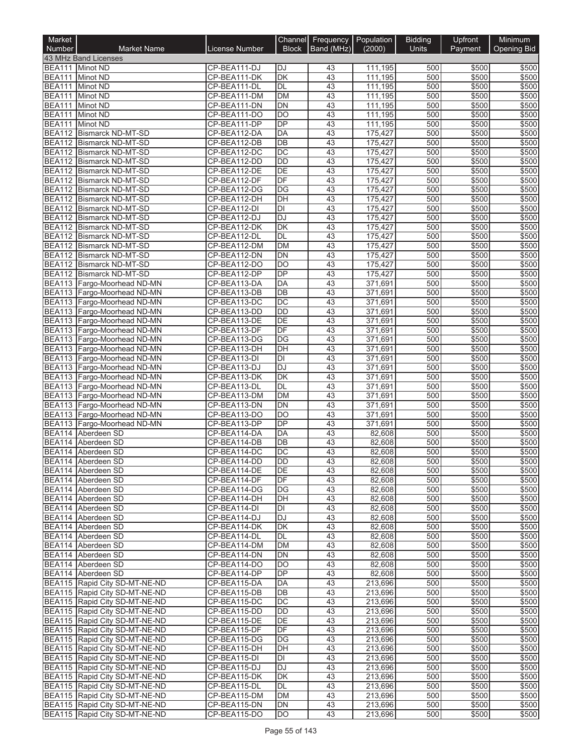| Market<br>Number | <b>Market Name</b>                                             | License Number               | Channel<br><b>Block</b>      | Frequency<br>Band (MHz) | Population<br>(2000) | <b>Bidding</b><br><b>Units</b> | Upfront<br>Payment | Minimum<br><b>Opening Bid</b> |
|------------------|----------------------------------------------------------------|------------------------------|------------------------------|-------------------------|----------------------|--------------------------------|--------------------|-------------------------------|
|                  | 43 MHz Band Licenses                                           |                              |                              |                         |                      |                                |                    |                               |
|                  | BEA111 Minot ND                                                | CP-BEA111-DJ                 | <b>DJ</b>                    | 43                      | 111,195              | 500                            | \$500              | \$500                         |
|                  | BEA111 Minot ND                                                | CP-BEA111-DK                 | $\overline{\mathsf{DK}}$     | 43                      | 111,195              | 500                            | \$500              | \$500                         |
| <b>BEA111</b>    | Minot ND                                                       | CP-BEA111-DL                 | <b>DL</b>                    | $\overline{43}$         | 111,195              | 500                            | \$500              | \$500                         |
| <b>BEA111</b>    | Minot ND                                                       | CP-BEA111-DM                 | <b>DM</b>                    | 43                      | 111,195              | 500                            | \$500              | \$500                         |
|                  | BEA111 Minot ND                                                | CP-BEA111-DN                 | <b>DN</b>                    | 43                      | 111,195              | 500                            | \$500              | \$500                         |
| <b>BEA111</b>    | Minot ND                                                       | CP-BEA111-DO                 | $\overline{DO}$              | 43                      | 111,195              | 500                            | \$500              | \$500                         |
| <b>BEA111</b>    | <b>Minot ND</b><br><b>BEA112 Bismarck ND-MT-SD</b>             | CP-BEA111-DP                 | DP                           | 43                      | 111,195              | 500                            | \$500              | \$500                         |
|                  | BEA112 Bismarck ND-MT-SD                                       | CP-BEA112-DA<br>CP-BEA112-DB | <b>DA</b><br>$\overline{DB}$ | 43<br>43                | 175,427<br>175,427   | 500<br>500                     | \$500<br>\$500     | \$500<br>\$500                |
|                  | BEA112 Bismarck ND-MT-SD                                       | CP-BEA112-DC                 | $\overline{DC}$              | 43                      | 175,427              | 500                            | \$500              | \$500                         |
|                  | BEA112 Bismarck ND-MT-SD                                       | CP-BEA112-DD                 | $\overline{DD}$              | 43                      | 175,427              | 500                            | \$500              | \$500                         |
| <b>BEA112</b>    | <b>Bismarck ND-MT-SD</b>                                       | CP-BEA112-DE                 | DE                           | 43                      | 175,427              | 500                            | \$500              | \$500                         |
|                  | BEA112 Bismarck ND-MT-SD                                       | CP-BEA112-DF                 | DF                           | 43                      | 175,427              | 500                            | \$500              | \$500                         |
|                  | BEA112 Bismarck ND-MT-SD                                       | CP-BEA112-DG                 | $\overline{DG}$              | 43                      | 175,427              | 500                            | \$500              | \$500                         |
|                  | BEA112 Bismarck ND-MT-SD                                       | CP-BEA112-DH                 | DH                           | 43                      | 175,427              | 500                            | \$500              | \$500                         |
|                  | BEA112 Bismarck ND-MT-SD                                       | CP-BEA112-DI                 | $\overline{D}$               | 43                      | 175,427              | 500                            | \$500              | \$500                         |
|                  | BEA112 Bismarck ND-MT-SD                                       | CP-BEA112-DJ                 | <b>DJ</b>                    | $\overline{43}$         | 175,427              | 500                            | \$500              | \$500                         |
|                  | BEA112 Bismarck ND-MT-SD                                       | CP-BEA112-DK                 | <b>DK</b>                    | 43                      | 175,427              | 500                            | \$500              | \$500                         |
|                  | BEA112 Bismarck ND-MT-SD                                       | CP-BEA112-DL                 | <b>DL</b>                    | 43                      | 175,427              | 500                            | \$500              | \$500                         |
|                  | BEA112 Bismarck ND-MT-SD                                       | CP-BEA112-DM                 | <b>DM</b>                    | 43                      | 175,427              | 500                            | \$500              | \$500                         |
| <b>BEA112</b>    | <b>Bismarck ND-MT-SD</b><br>BEA112 Bismarck ND-MT-SD           | CP-BEA112-DN<br>CP-BEA112-DO | DN<br>DO                     | 43<br>43                | 175,427              | 500<br>500                     | \$500<br>\$500     | \$500<br>\$500                |
| <b>BEA112</b>    | <b>Bismarck ND-MT-SD</b>                                       | CP-BEA112-DP                 | DP                           | 43                      | 175,427<br>175,427   | 500                            | \$500              | \$500                         |
|                  | BEA113 Fargo-Moorhead ND-MN                                    | CP-BEA113-DA                 | DA                           | 43                      | 371,691              | 500                            | \$500              | \$500                         |
|                  | BEA113 Fargo-Moorhead ND-MN                                    | CP-BEA113-DB                 | $\overline{DB}$              | 43                      | 371.691              | 500                            | \$500              | \$500                         |
|                  | BEA113 Fargo-Moorhead ND-MN                                    | CP-BEA113-DC                 | $\overline{DC}$              | 43                      | 371,691              | 500                            | \$500              | \$500                         |
|                  | BEA113 Fargo-Moorhead ND-MN                                    | CP-BEA113-DD                 | <b>DD</b>                    | 43                      | 371,691              | 500                            | \$500              | \$500                         |
|                  | BEA113 Fargo-Moorhead ND-MN                                    | CP-BEA113-DE                 | $\overline{DE}$              | 43                      | 371,691              | 500                            | \$500              | \$500                         |
|                  | BEA113 Fargo-Moorhead ND-MN                                    | CP-BEA113-DF                 | DF                           | 43                      | 371,691              | 500                            | \$500              | \$500                         |
|                  | BEA113 Fargo-Moorhead ND-MN                                    | CP-BEA113-DG                 | $\overline{DG}$              | 43                      | 371,691              | 500                            | \$500              | \$500                         |
|                  | BEA113 Fargo-Moorhead ND-MN                                    | CP-BEA113-DH                 | DH                           | 43                      | 371,691              | 500                            | \$500              | \$500                         |
|                  | BEA113 Fargo-Moorhead ND-MN                                    | CP-BEA113-DI                 | DI                           | 43                      | 371,691              | 500                            | \$500              | \$500                         |
|                  | BEA113 Fargo-Moorhead ND-MN                                    | CP-BEA113-DJ                 | DJ                           | 43                      | 371,691              | 500                            | \$500              | \$500                         |
|                  | BEA113 Fargo-Moorhead ND-MN                                    | CP-BEA113-DK                 | $\overline{\mathsf{DK}}$     | 43                      | 371,691              | 500                            | \$500              | \$500                         |
|                  | BEA113 Fargo-Moorhead ND-MN<br>BEA113 Fargo-Moorhead ND-MN     | CP-BEA113-DL<br>CP-BEA113-DM | DL<br><b>DM</b>              | 43<br>43                | 371,691<br>371,691   | 500<br>500                     | \$500<br>\$500     | \$500<br>\$500                |
| <b>BEA113</b>    | Fargo-Moorhead ND-MN                                           | CP-BEA113-DN                 | $\overline{DN}$              | 43                      | 371,691              | 500                            | \$500              | \$500                         |
|                  | BEA113 Fargo-Moorhead ND-MN                                    | CP-BEA113-DO                 | <b>DO</b>                    | 43                      | 371,691              | 500                            | \$500              | \$500                         |
| <b>BEA113</b>    | Fargo-Moorhead ND-MN                                           | CP-BEA113-DP                 | $\overline{DP}$              | 43                      | 371,691              | 500                            | \$500              | \$500                         |
|                  | BEA114 Aberdeen SD                                             | CP-BEA114-DA                 | DA                           | 43                      | 82,608               | 500                            | \$500              | \$500                         |
| <b>BEA114</b>    | Aberdeen SD                                                    | CP-BEA114-DB                 | $\overline{DB}$              | 43                      | 82,608               | 500                            | \$500              | \$500                         |
|                  | BEA114 Aberdeen SD                                             | CP-BEA114-DC                 | $\overline{DC}$              | 43                      | 82,608               | 500                            | \$500              | \$500                         |
|                  | BEA114   Aberdeen SD                                           | CP-BEA114-DD                 | IDD                          | 43                      | 82,608               | 500                            | \$500              | \$500                         |
|                  | BEA114 Aberdeen SD                                             | CP-BEA114-DE                 | DE                           | 43                      | 82,608               | 500                            | \$500              | \$500                         |
|                  | BEA114 Aberdeen SD                                             | CP-BEA114-DF                 | DF                           | 43                      | 82,608               | 500                            | \$500              | \$500                         |
|                  | BEA114 Aberdeen SD                                             | CP-BEA114-DG                 | DG                           | 43                      | 82,608               | 500                            | \$500              | \$500                         |
|                  | BEA114 Aberdeen SD                                             | CP-BEA114-DH                 | DH                           | 43                      | 82,608               | 500                            | \$500              | \$500                         |
|                  | BEA114 Aberdeen SD                                             | CP-BEA114-DI                 | DI                           | 43                      | 82,608               | 500                            | \$500              | \$500                         |
|                  | BEA114 Aberdeen SD<br>BEA114 Aberdeen SD                       | CP-BEA114-DJ<br>CP-BEA114-DK | <b>DJ</b><br>DK              | 43<br>43                | 82,608<br>82,608     | 500<br>500                     | \$500<br>\$500     | \$500<br>\$500                |
|                  | BEA114 Aberdeen SD                                             | CP-BEA114-DL                 | DL                           | 43                      | 82,608               | 500                            | \$500              | \$500                         |
|                  | BEA114 Aberdeen SD                                             | CP-BEA114-DM                 | <b>DM</b>                    | 43                      | 82,608               | 500                            | \$500              | \$500                         |
|                  | BEA114 Aberdeen SD                                             | CP-BEA114-DN                 | <b>DN</b>                    | 43                      | 82,608               | 500                            | \$500              | \$500                         |
|                  | BEA114 Aberdeen SD                                             | CP-BEA114-DO                 | $\overline{DO}$              | 43                      | 82,608               | 500                            | \$500              | \$500                         |
|                  | BEA114 Aberdeen SD                                             | CP-BEA114-DP                 | DP                           | 43                      | 82,608               | 500                            | \$500              | \$500                         |
|                  | BEA115 Rapid City SD-MT-NE-ND                                  | CP-BEA115-DA                 | DA                           | 43                      | 213,696              | 500                            | \$500              | \$500                         |
|                  | BEA115 Rapid City SD-MT-NE-ND                                  | CP-BEA115-DB                 | DB                           | 43                      | 213,696              | 500                            | \$500              | \$500                         |
|                  | BEA115 Rapid City SD-MT-NE-ND                                  | CP-BEA115-DC                 | $\overline{DC}$              | 43                      | 213,696              | 500                            | \$500              | \$500                         |
|                  | BEA115 Rapid City SD-MT-NE-ND                                  | CP-BEA115-DD                 | DD                           | 43                      | 213,696              | 500                            | \$500              | \$500                         |
|                  | BEA115 Rapid City SD-MT-NE-ND                                  | CP-BEA115-DE                 | DE                           | 43                      | 213,696              | 500                            | \$500              | \$500                         |
|                  | BEA115 Rapid City SD-MT-NE-ND                                  | CP-BEA115-DF                 | DF                           | 43                      | 213,696              | 500                            | \$500              | \$500                         |
|                  | BEA115 Rapid City SD-MT-NE-ND                                  | CP-BEA115-DG                 | DG                           | 43                      | 213,696              | 500                            | \$500              | \$500                         |
|                  | BEA115 Rapid City SD-MT-NE-ND                                  | CP-BEA115-DH                 | DH                           | 43                      | 213,696              | 500                            | \$500              | \$500                         |
|                  | BEA115 Rapid City SD-MT-NE-ND<br>BEA115 Rapid City SD-MT-NE-ND | CP-BEA115-DI<br>CP-BEA115-DJ | DI<br><b>DJ</b>              | 43<br>43                | 213,696              | 500<br>500                     | \$500              | \$500<br>\$500                |
|                  | BEA115 Rapid City SD-MT-NE-ND                                  | CP-BEA115-DK                 | DK                           | 43                      | 213,696<br>213,696   | 500                            | \$500<br>\$500     | \$500                         |
|                  | BEA115 Rapid City SD-MT-NE-ND                                  | CP-BEA115-DL                 | <b>DL</b>                    | 43                      | 213,696              | 500                            | \$500              | \$500                         |
|                  | BEA115 Rapid City SD-MT-NE-ND                                  | CP-BEA115-DM                 | DM                           | 43                      | 213,696              | 500                            | \$500              | \$500                         |
|                  | BEA115 Rapid City SD-MT-NE-ND                                  | CP-BEA115-DN                 | <b>DN</b>                    | 43                      | 213,696              | 500                            | \$500              | \$500                         |
|                  | BEA115 Rapid City SD-MT-NE-ND                                  | CP-BEA115-DO                 | DO                           | 43                      | 213,696              | 500                            | \$500              | \$500                         |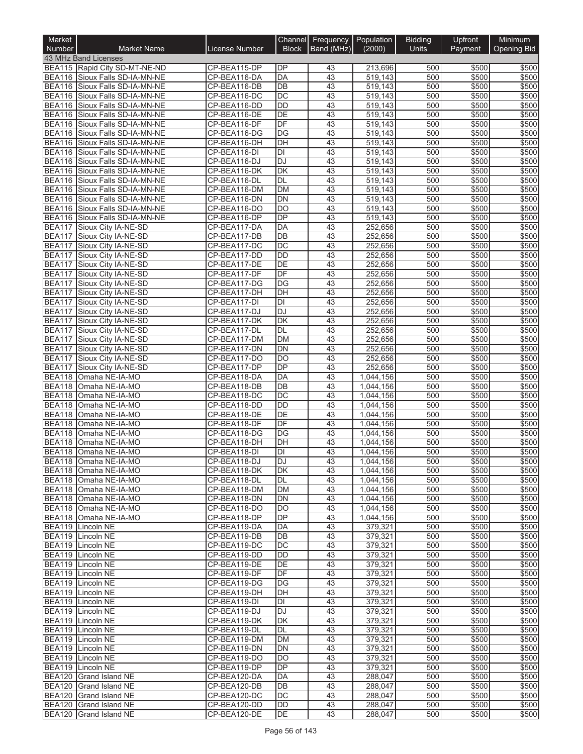| Market<br>Number               | <b>Market Name</b>                                               | License Number               | Channel<br><b>Block</b>  | Frequency<br>Band (MHz) | Population<br>(2000)   | <b>Bidding</b><br><b>Units</b> | Upfront<br>Payment | Minimum<br><b>Opening Bid</b> |
|--------------------------------|------------------------------------------------------------------|------------------------------|--------------------------|-------------------------|------------------------|--------------------------------|--------------------|-------------------------------|
|                                | 43 MHz Band Licenses                                             |                              |                          |                         |                        |                                |                    |                               |
|                                | BEA115 Rapid City SD-MT-NE-ND                                    | CP-BEA115-DP                 | <b>DP</b>                | 43                      | 213,696                | 500                            | \$500              | \$500                         |
|                                | BEA116 Sioux Falls SD-IA-MN-NE                                   | CP-BEA116-DA                 | <b>DA</b>                | 43                      | 519,143                | 500                            | \$500              | \$500                         |
|                                | BEA116 Sioux Falls SD-IA-MN-NE                                   | CP-BEA116-DB                 | DB                       | $\overline{43}$         | 519,143                | 500                            | \$500              | \$500                         |
|                                | BEA116 Sioux Falls SD-IA-MN-NE                                   | CP-BEA116-DC                 | $\overline{DC}$          | 43                      | 519,143                | 500                            | \$500              | \$500                         |
|                                | BEA116 Sioux Falls SD-IA-MN-NE                                   | CP-BEA116-DD                 | <b>DD</b>                | 43                      | 519,143                | 500                            | \$500              | \$500                         |
|                                | BEA116 Sioux Falls SD-IA-MN-NE                                   | CP-BEA116-DE                 | DE                       | 43                      | 519,143                | 500                            | \$500              | \$500                         |
|                                | BEA116 Sioux Falls SD-IA-MN-NE                                   | CP-BEA116-DF                 | DF                       | 43                      | 519,143                | 500                            | \$500              | \$500                         |
| <b>BEA116</b>                  | Sioux Falls SD-IA-MN-NE                                          | CP-BEA116-DG                 | DG                       | 43                      | 519.143                | 500                            | \$500              | \$500                         |
|                                | BEA116 Sioux Falls SD-IA-MN-NE<br>BEA116 Sioux Falls SD-IA-MN-NE | CP-BEA116-DH<br>CP-BEA116-DI | DH<br>DI                 | 43<br>43                | 519,143<br>519,143     | 500<br>500                     | \$500<br>\$500     | \$500<br>\$500                |
| <b>BEA116</b>                  | Sioux Falls SD-IA-MN-NE                                          | CP-BEA116-DJ                 | DJ                       | 43                      | 519,143                | 500                            | \$500              | \$500                         |
| <b>BEA116</b>                  | Sioux Falls SD-IA-MN-NE                                          | CP-BEA116-DK                 | DK                       | 43                      | 519,143                | 500                            | \$500              | \$500                         |
|                                | BEA116 Sioux Falls SD-IA-MN-NE                                   | CP-BEA116-DL                 | DL                       | 43                      | 519,143                | 500                            | \$500              | \$500                         |
| <b>BEA116</b>                  | Sioux Falls SD-IA-MN-NE                                          | CP-BEA116-DM                 | <b>DM</b>                | 43                      | 519,143                | 500                            | \$500              | \$500                         |
| BEA116                         | Sioux Falls SD-IA-MN-NE                                          | CP-BEA116-DN                 | <b>DN</b>                | 43                      | 519,143                | 500                            | \$500              | \$500                         |
|                                | BEA116 Sioux Falls SD-IA-MN-NE                                   | CP-BEA116-DO                 | $\overline{DO}$          | 43                      | 519,143                | 500                            | \$500              | \$500                         |
|                                | BEA116 Sioux Falls SD-IA-MN-NE                                   | CP-BEA116-DP                 | DP                       | 43                      | 519,143                | 500                            | \$500              | \$500                         |
| <b>BEA117</b>                  | Sioux City IA-NE-SD                                              | CP-BEA117-DA                 | DA                       | 43                      | 252,656                | 500                            | \$500              | \$500                         |
| <b>BEA117</b>                  | Sioux City IA-NE-SD                                              | CP-BEA117-DB                 | $\overline{DB}$          | 43                      | 252,656                | 500                            | \$500              | \$500                         |
| <b>BEA117</b>                  | Sioux City IA-NE-SD                                              | CP-BEA117-DC                 | DC                       | 43                      | 252,656                | 500                            | \$500              | \$500                         |
| <b>BEA117</b><br><b>BEA117</b> | Sioux City IA-NE-SD                                              | CP-BEA117-DD                 | DD<br>DE                 | 43<br>43                | 252,656                | 500<br>500                     | \$500<br>\$500     | \$500                         |
| <b>BEA117</b>                  | Sioux City IA-NE-SD<br>Sioux City IA-NE-SD                       | CP-BEA117-DE<br>CP-BEA117-DF | DF                       | 43                      | 252,656<br>252,656     | 500                            | \$500              | \$500<br>\$500                |
| <b>BEA117</b>                  | Sioux City IA-NE-SD                                              | CP-BEA117-DG                 | DG                       | 43                      | 252,656                | 500                            | \$500              | \$500                         |
| <b>BEA117</b>                  | Sioux City IA-NE-SD                                              | CP-BEA117-DH                 | DH                       | 43                      | 252,656                | 500                            | \$500              | \$500                         |
| <b>BEA117</b>                  | Sioux City IA-NE-SD                                              | CP-BEA117-DI                 | $\overline{D}$           | 43                      | 252,656                | 500                            | \$500              | \$500                         |
| <b>BEA117</b>                  | Sioux City IA-NE-SD                                              | CP-BEA117-DJ                 | <b>DJ</b>                | 43                      | 252,656                | 500                            | \$500              | \$500                         |
| <b>BEA117</b>                  | Sioux City IA-NE-SD                                              | CP-BEA117-DK                 | $\overline{\mathsf{DK}}$ | 43                      | 252,656                | 500                            | \$500              | \$500                         |
| <b>BEA117</b>                  | Sioux City IA-NE-SD                                              | CP-BEA117-DL                 | <b>DL</b>                | 43                      | 252,656                | 500                            | \$500              | \$500                         |
| <b>BEA117</b>                  | Sioux City IA-NE-SD                                              | CP-BEA117-DM                 | <b>DM</b>                | 43                      | 252,656                | 500                            | \$500              | \$500                         |
| <b>BEA117</b>                  | Sioux City IA-NE-SD                                              | CP-BEA117-DN                 | <b>DN</b>                | 43                      | 252,656                | 500                            | \$500              | \$500                         |
| <b>BEA117</b>                  | Sioux City IA-NE-SD                                              | CP-BEA117-DO                 | DO                       | 43                      | 252,656                | 500                            | \$500              | \$500                         |
| <b>BEA117</b>                  | Sioux City IA-NE-SD                                              | CP-BEA117-DP                 | <b>DP</b>                | 43                      | 252,656                | 500                            | \$500              | \$500                         |
| <b>BEA118</b>                  | Omaha NE-IA-MO                                                   | CP-BEA118-DA                 | DA                       | 43                      | 1,044,156              | 500                            | \$500              | \$500                         |
| <b>BEA118</b>                  | BEA118 Omaha NE-IA-MO<br>Omaha NE-IA-MO                          | CP-BEA118-DB<br>CP-BEA118-DC | DB<br>DC                 | 43<br>43                | 1,044,156<br>1,044,156 | 500<br>500                     | \$500<br>\$500     | \$500<br>\$500                |
| <b>BEA118</b>                  | Omaha NE-IA-MO                                                   | CP-BEA118-DD                 | DD                       | 43                      | 1,044,156              | 500                            | \$500              | \$500                         |
| <b>BEA118</b>                  | Omaha NE-IA-MO                                                   | CP-BEA118-DE                 | DE                       | 43                      | 1,044,156              | 500                            | \$500              | \$500                         |
| <b>BEA118</b>                  | Omaha NE-IA-MO                                                   | CP-BEA118-DF                 | DF                       | 43                      | 1,044,156              | 500                            | \$500              | \$500                         |
| <b>BEA118</b>                  | Omaha NE-IA-MO                                                   | CP-BEA118-DG                 | DG                       | 43                      | 1,044,156              | 500                            | \$500              | \$500                         |
| <b>BEA118</b>                  | Omaha NE-IA-MO                                                   | CP-BEA118-DH                 | $\overline{D}$ H         | 43                      | 1,044,156              | 500                            | \$500              | \$500                         |
| <b>BEA118</b>                  | Omaha NE-IA-MO                                                   | CP-BEA118-DI                 | $\overline{D}$           | 43                      | 1,044,156              | 500                            | \$500              | \$500                         |
|                                | BEA118 Omaha NE-IA-MO                                            | CP-BEA118-DJ                 | IDJ                      | 43                      | 1,044,156              | 500                            | \$500              | \$500                         |
|                                | BEA118 Omaha NE-IA-MO                                            | CP-BEA118-DK                 | <b>DK</b>                | 43                      | 1,044,156              | 500                            | \$500              | \$500                         |
|                                | BEA118 Omaha NE-IA-MO                                            | CP-BEA118-DL                 | DL                       | 43                      | 1,044,156              | 500                            | \$500              | \$500                         |
|                                | BEA118 Omaha NE-IA-MO                                            | CP-BEA118-DM                 | DM                       | 43                      | 1,044,156              | 500                            | \$500              | \$500                         |
|                                | BEA118 Omaha NE-IA-MO                                            | CP-BEA118-DN                 | DN                       | 43                      | 1,044,156              | 500                            | \$500              | \$500                         |
|                                | BEA118 Omaha NE-IA-MO<br>BEA118 Omaha NE-IA-MO                   | CP-BEA118-DO<br>CP-BEA118-DP | <b>DO</b><br><b>DP</b>   | 43<br>43                | 1,044,156<br>1,044,156 | 500<br>500                     | \$500<br>\$500     | \$500<br>\$500                |
|                                | BEA119 Lincoln NE                                                | CP-BEA119-DA                 | DA                       | 43                      | 379,321                | 500                            | \$500              | \$500                         |
|                                | BEA119 Lincoln NE                                                | CP-BEA119-DB                 | DB                       | 43                      | 379,321                | 500                            | \$500              | \$500                         |
|                                | BEA119 Lincoln NE                                                | CP-BEA119-DC                 | DC                       | 43                      | 379,321                | 500                            | \$500              | \$500                         |
|                                | BEA119 Lincoln NE                                                | CP-BEA119-DD                 | DD                       | 43                      | 379,321                | 500                            | \$500              | \$500                         |
|                                | BEA119 Lincoln NE                                                | CP-BEA119-DE                 | DE                       | 43                      | 379,321                | 500                            | \$500              | \$500                         |
|                                | BEA119 Lincoln NE                                                | CP-BEA119-DF                 | DF                       | 43                      | 379,321                | 500                            | \$500              | \$500                         |
|                                | BEA119 Lincoln NE                                                | CP-BEA119-DG                 | DG                       | 43                      | 379,321                | 500                            | \$500              | \$500                         |
|                                | BEA119 Lincoln NE                                                | CP-BEA119-DH                 | DH                       | 43                      | 379,321                | 500                            | \$500              | \$500                         |
|                                | BEA119 Lincoln NE                                                | CP-BEA119-DI                 | $\overline{D}$           | 43                      | 379,321                | 500                            | \$500              | \$500                         |
|                                | BEA119 Lincoln NE                                                | CP-BEA119-DJ                 | DJ                       | 43                      | 379,321                | 500                            | \$500              | \$500                         |
|                                | BEA119 Lincoln NE                                                | CP-BEA119-DK                 | DK                       | 43                      | 379,321                | 500                            | \$500              | \$500                         |
|                                | BEA119 Lincoln NE                                                | CP-BEA119-DL                 | DL                       | 43                      | 379,321                | 500                            | \$500              | \$500                         |
|                                | BEA119 Lincoln NE                                                | CP-BEA119-DM                 | DM                       | 43                      | 379,321                | 500                            | \$500              | \$500                         |
|                                | BEA119 Lincoln NE<br>BEA119 Lincoln NE                           | CP-BEA119-DN<br>CP-BEA119-DO | <b>DN</b><br>DO          | 43<br>43                | 379,321                | 500<br>500                     | \$500<br>\$500     | \$500                         |
|                                | BEA119 Lincoln NE                                                | CP-BEA119-DP                 | DP                       | 43                      | 379,321<br>379,321     | 500                            | \$500              | \$500<br>\$500                |
|                                | BEA120 Grand Island NE                                           | CP-BEA120-DA                 | $\overline{DA}$          | 43                      | 288,047                | 500                            | \$500              | \$500                         |
|                                | BEA120 Grand Island NE                                           | CP-BEA120-DB                 | DB                       | 43                      | 288,047                | 500                            | \$500              | \$500                         |
|                                | BEA120 Grand Island NE                                           | CP-BEA120-DC                 | DC                       | 43                      | 288,047                | 500                            | \$500              | \$500                         |
|                                | BEA120 Grand Island NE                                           | CP-BEA120-DD                 | <b>DD</b>                | 43                      | 288,047                | 500                            | \$500              | \$500                         |
|                                | BEA120 Grand Island NE                                           | CP-BEA120-DE                 | DE                       | 43                      | 288,047                | 500                            | \$500              | \$500                         |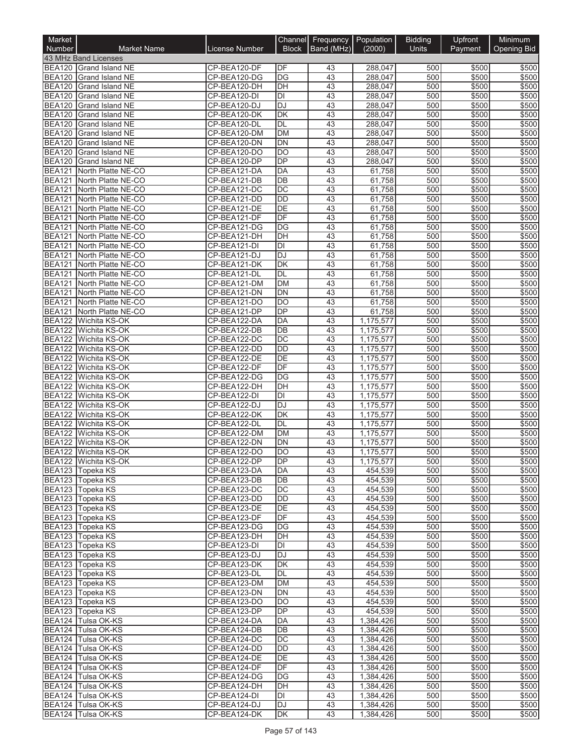| Market<br>Number               | <b>Market Name</b>                               | License Number               | Channel<br><b>Block</b>      | Frequency   Population<br>Band (MHz) | (2000)                 | <b>Bidding</b><br><b>Units</b> | Upfront<br>Payment | Minimum<br><b>Opening Bid</b> |
|--------------------------------|--------------------------------------------------|------------------------------|------------------------------|--------------------------------------|------------------------|--------------------------------|--------------------|-------------------------------|
|                                | 43 MHz Band Licenses                             |                              |                              |                                      |                        |                                |                    |                               |
|                                | BEA120 Grand Island NE                           | CP-BEA120-DF                 | DF                           | 43                                   | 288.047                | 500                            | \$500              | \$500                         |
|                                | BEA120 Grand Island NE                           | CP-BEA120-DG                 | DG                           | 43                                   | 288,047                | 500                            | \$500              | \$500                         |
| <b>BEA120</b>                  | <b>Grand Island NE</b>                           | CP-BEA120-DH                 | DH                           | $\overline{43}$                      | 288,047                | 500                            | \$500              | \$500                         |
| <b>BEA120</b>                  | Grand Island NE                                  | CP-BEA120-DI                 | $\overline{D}$               | 43                                   | 288,047                | 500                            | \$500              | \$500                         |
| <b>BEA120</b>                  | <b>Grand Island NE</b>                           | CP-BEA120-DJ                 | <b>DJ</b>                    | 43                                   | 288,047                | 500                            | \$500              | \$500                         |
| <b>BEA120</b>                  | <b>Grand Island NE</b>                           | CP-BEA120-DK                 | DK                           | 43                                   | 288,047                | 500                            | \$500              | \$500                         |
| <b>BEA120</b><br><b>BEA120</b> | <b>Grand Island NE</b><br><b>Grand Island NE</b> | CP-BEA120-DL<br>CP-BEA120-DM | DL<br><b>DM</b>              | 43<br>43                             | 288,047<br>288,047     | 500<br>500                     | \$500<br>\$500     | \$500<br>\$500                |
| <b>BEA120</b>                  | <b>Grand Island NE</b>                           | CP-BEA120-DN                 | <b>DN</b>                    | 43                                   | 288,047                | 500                            | \$500              | \$500                         |
| <b>BEA120</b>                  | <b>Grand Island NE</b>                           | CP-BEA120-DO                 | DO                           | 43                                   | 288,047                | 500                            | \$500              | \$500                         |
| <b>BEA120</b>                  | <b>Grand Island NE</b>                           | CP-BEA120-DP                 | $\overline{DP}$              | 43                                   | 288,047                | 500                            | \$500              | \$500                         |
| <b>BEA121</b>                  | North Platte NE-CO                               | CP-BEA121-DA                 | DA                           | 43                                   | 61,758                 | 500                            | \$500              | \$500                         |
| <b>BEA121</b>                  | North Platte NE-CO                               | CP-BEA121-DB                 | DB                           | 43                                   | 61,758                 | 500                            | \$500              | \$500                         |
| <b>BEA121</b>                  | North Platte NE-CO                               | CP-BEA121-DC                 | DC                           | 43                                   | 61,758                 | 500                            | \$500              | \$500                         |
| <b>BEA121</b>                  | North Platte NE-CO                               | CP-BEA121-DD                 | <b>DD</b>                    | 43                                   | 61,758                 | 500                            | \$500              | \$500                         |
| <b>BEA121</b>                  | North Platte NE-CO                               | CP-BEA121-DE                 | DE                           | 43                                   | 61,758                 | 500                            | \$500              | \$500                         |
| <b>BEA121</b><br><b>BEA121</b> | North Platte NE-CO<br>North Platte NE-CO         | CP-BEA121-DF<br>CP-BEA121-DG | DF<br>DG                     | 43<br>43                             | 61,758<br>61,758       | 500<br>500                     | \$500<br>\$500     | \$500<br>\$500                |
| <b>BEA121</b>                  | North Platte NE-CO                               | CP-BEA121-DH                 | $\overline{DH}$              | 43                                   | 61,758                 | 500                            | \$500              | \$500                         |
| BEA121                         | North Platte NE-CO                               | CP-BEA121-DI                 | DI                           | 43                                   | 61,758                 | 500                            | \$500              | \$500                         |
| <b>BEA121</b>                  | North Platte NE-CO                               | CP-BEA121-DJ                 | <b>DJ</b>                    | 43                                   | 61,758                 | 500                            | \$500              | \$500                         |
| <b>BEA121</b>                  | North Platte NE-CO                               | CP-BEA121-DK                 | DK                           | 43                                   | 61,758                 | 500                            | \$500              | \$500                         |
| <b>BEA121</b>                  | North Platte NE-CO                               | CP-BEA121-DL                 | DL                           | 43                                   | 61,758                 | 500                            | \$500              | \$500                         |
| <b>BEA121</b>                  | North Platte NE-CO                               | CP-BEA121-DM                 | <b>DM</b>                    | 43                                   | 61,758                 | 500                            | \$500              | \$500                         |
| <b>BEA121</b>                  | North Platte NE-CO                               | CP-BEA121-DN                 | DN                           | 43                                   | 61,758                 | 500                            | \$500              | \$500                         |
| <b>BEA121</b>                  | North Platte NE-CO                               | CP-BEA121-DO                 | DO                           | 43                                   | 61,758                 | 500                            | \$500              | \$500                         |
| <b>BEA121</b>                  | North Platte NE-CO                               | CP-BEA121-DP                 | DP                           | 43                                   | 61,758                 | 500                            | \$500              | \$500                         |
| <b>BEA122</b><br><b>BEA122</b> | Wichita KS-OK<br>Wichita KS-OK                   | CP-BEA122-DA<br>CP-BEA122-DB | <b>DA</b><br>$\overline{DB}$ | 43<br>43                             | 1,175,577<br>1,175,577 | 500<br>500                     | \$500<br>\$500     | \$500<br>\$500                |
| <b>BEA122</b>                  | Wichita KS-OK                                    | CP-BEA122-DC                 | $\overline{DC}$              | 43                                   | 1,175,577              | 500                            | \$500              | \$500                         |
| <b>BEA122</b>                  | Wichita KS-OK                                    | CP-BEA122-DD                 | <b>DD</b>                    | 43                                   | 1,175,577              | 500                            | \$500              | \$500                         |
| <b>BEA122</b>                  | Wichita KS-OK                                    | CP-BEA122-DE                 | DE                           | 43                                   | 1,175,577              | 500                            | \$500              | \$500                         |
| <b>BEA122</b>                  | Wichita KS-OK                                    | CP-BEA122-DF                 | DF                           | 43                                   | 1,175,577              | 500                            | \$500              | \$500                         |
| <b>BEA122</b>                  | Wichita KS-OK                                    | CP-BEA122-DG                 | DG                           | 43                                   | 1,175,577              | 500                            | \$500              | \$500                         |
| <b>BEA122</b>                  | Wichita KS-OK                                    | CP-BEA122-DH                 | DH                           | 43                                   | 1,175,577              | 500                            | \$500              | \$500                         |
| <b>BEA122</b>                  | Wichita KS-OK                                    | CP-BEA122-DI                 | DI                           | 43                                   | 1,175,577              | 500                            | \$500              | \$500                         |
| <b>BEA122</b>                  | Wichita KS-OK                                    | CP-BEA122-DJ                 | DJ                           | 43                                   | 1,175,577              | 500                            | \$500              | \$500                         |
| <b>BEA122</b><br><b>BEA122</b> | Wichita KS-OK<br>Wichita KS-OK                   | CP-BEA122-DK                 | <b>DK</b><br>DL              | 43<br>43                             | 1,175,577              | 500<br>500                     | \$500              | \$500<br>\$500                |
| <b>BEA122</b>                  | Wichita KS-OK                                    | CP-BEA122-DL<br>CP-BEA122-DM | <b>DM</b>                    | 43                                   | 1,175,577<br>1,175,577 | 500                            | \$500<br>\$500     | \$500                         |
| <b>BEA122</b>                  | Wichita KS-OK                                    | CP-BEA122-DN                 | DN                           | 43                                   | 1,175,577              | 500                            | \$500              | \$500                         |
| <b>BEA122</b>                  | Wichita KS-OK                                    | CP-BEA122-DO                 | $\overline{DO}$              | 43                                   | 1,175,577              | 500                            | \$500              | \$500                         |
|                                | BEA122  Wichita KS-OK                            | CP-BEA122-DP                 | DP.                          | 43                                   | 1,175,577              | 500                            | \$500              | \$500                         |
|                                | BEA123 Topeka KS                                 | CP-BEA123-DA                 | DA                           | 43                                   | 454,539                | 500                            | \$500              | \$500                         |
|                                | BEA123 Topeka KS                                 | CP-BEA123-DB                 | DB                           | 43                                   | 454,539                | 500                            | \$500              | \$500                         |
|                                | BEA123 Topeka KS                                 | CP-BEA123-DC                 | DC                           | 43                                   | 454,539                | 500                            | \$500              | \$500                         |
|                                | BEA123 Topeka KS                                 | CP-BEA123-DD                 | DD                           | 43                                   | 454,539                | 500                            | \$500              | \$500                         |
|                                | BEA123 Topeka KS<br>BEA123 Topeka KS             | CP-BEA123-DE<br>CP-BEA123-DF | DE<br>DF                     | 43<br>43                             | 454,539<br>454,539     | 500<br>500                     | \$500<br>\$500     | \$500<br>\$500                |
|                                | BEA123 Topeka KS                                 | CP-BEA123-DG                 | DG                           | 43                                   | 454,539                | 500                            | \$500              | \$500                         |
|                                | BEA123 Topeka KS                                 | CP-BEA123-DH                 | DH                           | 43                                   | 454,539                | 500                            | \$500              | \$500                         |
|                                | BEA123 Topeka KS                                 | CP-BEA123-DI                 | DI                           | 43                                   | 454,539                | 500                            | \$500              | \$500                         |
|                                | BEA123 Topeka KS                                 | CP-BEA123-DJ                 | DJ                           | 43                                   | 454,539                | 500                            | \$500              | \$500                         |
|                                | BEA123 Topeka KS                                 | CP-BEA123-DK                 | DK                           | 43                                   | 454,539                | 500                            | \$500              | \$500                         |
|                                | BEA123 Topeka KS                                 | CP-BEA123-DL                 | DL                           | 43                                   | 454,539                | 500                            | \$500              | \$500                         |
|                                | BEA123 Topeka KS                                 | CP-BEA123-DM                 | DM                           | 43                                   | 454,539                | 500                            | \$500              | \$500                         |
|                                | BEA123 Topeka KS                                 | CP-BEA123-DN                 | <b>DN</b>                    | 43                                   | 454,539                | 500                            | \$500              | \$500                         |
|                                | BEA123 Topeka KS                                 | CP-BEA123-DO                 | DO                           | 43                                   | 454,539                | 500                            | \$500              | \$500                         |
|                                | BEA123 Topeka KS<br>BEA124 Tulsa OK-KS           | CP-BEA123-DP<br>CP-BEA124-DA | DP<br>DA                     | 43<br>43                             | 454,539<br>1,384,426   | 500<br>500                     | \$500<br>\$500     | \$500<br>\$500                |
|                                | BEA124 Tulsa OK-KS                               | CP-BEA124-DB                 | DB                           | 43                                   | 1,384,426              | 500                            | \$500              | \$500                         |
|                                | BEA124 Tulsa OK-KS                               | CP-BEA124-DC                 | DC                           | 43                                   | 1,384,426              | 500                            | \$500              | \$500                         |
|                                | BEA124 Tulsa OK-KS                               | CP-BEA124-DD                 | DD                           | 43                                   | 1,384,426              | 500                            | \$500              | \$500                         |
|                                | BEA124 Tulsa OK-KS                               | CP-BEA124-DE                 | DE                           | 43                                   | 1,384,426              | 500                            | \$500              | \$500                         |
|                                | BEA124 Tulsa OK-KS                               | CP-BEA124-DF                 | DF                           | 43                                   | 1,384,426              | 500                            | \$500              | \$500                         |
|                                | BEA124 Tulsa OK-KS                               | CP-BEA124-DG                 | DG                           | 43                                   | 1,384,426              | 500                            | \$500              | \$500                         |
|                                | BEA124 Tulsa OK-KS                               | CP-BEA124-DH                 | DH                           | 43                                   | 1,384,426              | 500                            | \$500              | \$500                         |
|                                | BEA124 Tulsa OK-KS<br>BEA124 Tulsa OK-KS         | CP-BEA124-DI                 | DI<br>DJ                     | 43<br>43                             | 1,384,426              | 500<br>500                     | \$500              | \$500<br>\$500                |
|                                | BEA124 Tulsa OK-KS                               | CP-BEA124-DJ<br>CP-BEA124-DK | DK                           | 43                                   | 1,384,426<br>1,384,426 | 500                            | \$500<br>\$500     | \$500                         |
|                                |                                                  |                              |                              |                                      |                        |                                |                    |                               |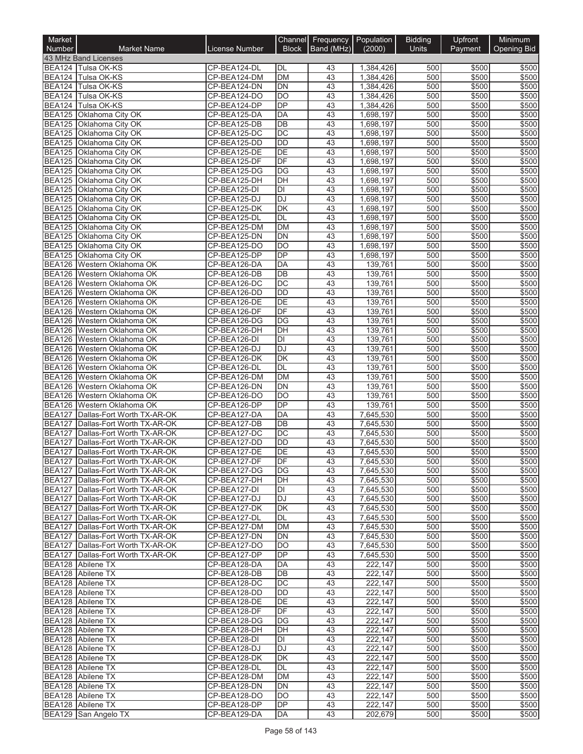| Market<br>Number               | <b>Market Name</b>                                                     | License Number               | Channel<br><b>Block</b>               | Frequency<br>Band (MHz) | Population<br>(2000)   | <b>Bidding</b><br>Units | Upfront<br>Payment | Minimum<br><b>Opening Bid</b> |
|--------------------------------|------------------------------------------------------------------------|------------------------------|---------------------------------------|-------------------------|------------------------|-------------------------|--------------------|-------------------------------|
|                                | 43 MHz Band Licenses                                                   |                              |                                       |                         |                        |                         |                    |                               |
|                                | BEA124 Tulsa OK-KS                                                     | CP-BEA124-DL                 | DL                                    | 43                      | 1,384,426              | 500                     | \$500              | \$500                         |
| <b>BEA124</b>                  | Tulsa OK-KS                                                            | CP-BEA124-DM                 | <b>DM</b>                             | 43                      | 1,384,426              | 500                     | \$500              | \$500                         |
| <b>BEA124</b>                  | Tulsa OK-KS                                                            | CP-BEA124-DN                 | DN                                    | 43                      | 1,384,426              | 500                     | \$500              | \$500                         |
| <b>BEA124</b>                  | Tulsa OK-KS                                                            | CP-BEA124-DO                 | DO                                    | 43                      | 1,384,426              | 500                     | \$500              | \$500                         |
| <b>BEA125</b>                  | BEA124 Tulsa OK-KS<br>Oklahoma City OK                                 | CP-BEA124-DP<br>CP-BEA125-DA | DP<br>$\overline{DA}$                 | 43<br>43                | 1,384,426<br>1,698,197 | 500<br>500              | \$500<br>\$500     | \$500<br>\$500                |
|                                | BEA125 Oklahoma City OK                                                | CP-BEA125-DB                 | DB                                    | 43                      | 1,698,197              | 500                     | \$500              | \$500                         |
| <b>BEA125</b>                  | <b>Oklahoma City OK</b>                                                | CP-BEA125-DC                 | DC                                    | 43                      | 1,698,197              | 500                     | \$500              | \$500                         |
|                                | BEA125 Oklahoma City OK                                                | CP-BEA125-DD                 | DD                                    | 43                      | 1,698,197              | 500                     | \$500              | \$500                         |
| <b>BEA125</b>                  | Oklahoma City OK                                                       | CP-BEA125-DE                 | $\overline{DE}$                       | 43                      | 1,698,197              | 500                     | \$500              | \$500                         |
|                                | BEA125 Oklahoma City OK                                                | CP-BEA125-DF                 | DF                                    | 43                      | 1.698.197              | 500                     | \$500              | \$500                         |
| <b>BEA125</b>                  | Oklahoma City OK                                                       | CP-BEA125-DG                 | $\overline{DG}$                       | 43                      | 1,698,197              | 500                     | \$500              | \$500                         |
|                                | BEA125 Oklahoma City OK                                                | CP-BEA125-DH                 | DH                                    | 43                      | 1,698,197              | 500                     | \$500              | \$500                         |
|                                | BEA125 Oklahoma City OK                                                | CP-BEA125-DI                 | DI                                    | 43                      | 1,698,197              | 500                     | \$500              | \$500                         |
| <b>BEA125</b>                  | Oklahoma City OK                                                       | CP-BEA125-DJ                 | DJ                                    | 43                      | 1,698,197              | 500                     | \$500              | \$500                         |
| <b>BEA125</b><br><b>BEA125</b> | Oklahoma City OK<br>Oklahoma City OK                                   | CP-BEA125-DK<br>CP-BEA125-DL | $\overline{\mathsf{DK}}$<br><b>DL</b> | 43<br>43                | 1,698,197<br>1,698,197 | 500<br>500              | \$500<br>\$500     | \$500<br>\$500                |
|                                | BEA125 Oklahoma City OK                                                | CP-BEA125-DM                 | <b>DM</b>                             | 43                      | 1,698,197              | 500                     | \$500              | \$500                         |
| <b>BEA125</b>                  | Oklahoma City OK                                                       | CP-BEA125-DN                 | <b>DN</b>                             | 43                      | 1,698,197              | 500                     | \$500              | \$500                         |
|                                | BEA125 Oklahoma City OK                                                | CP-BEA125-DO                 | DO                                    | 43                      | 1,698,197              | 500                     | \$500              | \$500                         |
|                                | BEA125 Oklahoma City OK                                                | CP-BEA125-DP                 | DP                                    | 43                      | 1,698,197              | 500                     | \$500              | \$500                         |
| <b>BEA126</b>                  | Western Oklahoma OK                                                    | CP-BEA126-DA                 | <b>DA</b>                             | 43                      | 139,761                | 500                     | \$500              | \$500                         |
| <b>BEA126</b>                  | Western Oklahoma OK                                                    | CP-BEA126-DB                 | DB                                    | 43                      | 139,761                | 500                     | \$500              | \$500                         |
| <b>BEA126</b>                  | Western Oklahoma OK                                                    | CP-BEA126-DC                 | $\overline{DC}$                       | $\overline{43}$         | 139.761                | 500                     | \$500              | \$500                         |
|                                | BEA126 Western Oklahoma OK                                             | CP-BEA126-DD                 | <b>DD</b>                             | 43                      | 139,761                | 500                     | \$500              | \$500                         |
| <b>BEA126</b>                  | Western Oklahoma OK                                                    | CP-BEA126-DE                 | DE                                    | 43                      | 139,761                | 500                     | \$500              | \$500                         |
| BEA126                         | Western Oklahoma OK                                                    | CP-BEA126-DF                 | DF                                    | 43                      | 139,761                | 500                     | \$500              | \$500                         |
| <b>BEA126</b><br>BEA126        | Western Oklahoma OK<br>Western Oklahoma OK                             | CP-BEA126-DG<br>CP-BEA126-DH | DG<br>DH                              | 43<br>43                | 139,761<br>139,761     | 500<br>500              | \$500<br>\$500     | \$500<br>\$500                |
|                                | BEA126 Western Oklahoma OK                                             | CP-BEA126-DI                 | DI                                    | 43                      | 139,761                | 500                     | \$500              | \$500                         |
| <b>BEA126</b>                  | Western Oklahoma OK                                                    | CP-BEA126-DJ                 | $\overline{DJ}$                       | 43                      | 139,761                | 500                     | \$500              | \$500                         |
|                                | BEA126 Western Oklahoma OK                                             | CP-BEA126-DK                 | DK                                    | 43                      | 139,761                | 500                     | \$500              | \$500                         |
| <b>BEA126</b>                  | Western Oklahoma OK                                                    | CP-BEA126-DL                 | DL                                    | 43                      | 139,761                | 500                     | \$500              | \$500                         |
| <b>BEA126</b>                  | Western Oklahoma OK                                                    | CP-BEA126-DM                 | <b>DM</b>                             | 43                      | 139,761                | 500                     | \$500              | \$500                         |
|                                | BEA126 Western Oklahoma OK                                             | CP-BEA126-DN                 | <b>DN</b>                             | 43                      | 139,761                | 500                     | \$500              | \$500                         |
|                                | BEA126 Western Oklahoma OK                                             | CP-BEA126-DO                 | DO                                    | 43                      | 139,761                | 500                     | \$500              | \$500                         |
| <b>BEA126</b>                  | Western Oklahoma OK                                                    | CP-BEA126-DP                 | DP                                    | 43                      | 139,761                | 500                     | \$500              | \$500                         |
| <b>BEA127</b>                  | Dallas-Fort Worth TX-AR-OK                                             | CP-BEA127-DA                 | DA                                    | 43                      | 7,645,530              | 500                     | \$500              | \$500                         |
| <b>BEA127</b><br><b>BEA127</b> | Dallas-Fort Worth TX-AR-OK                                             | CP-BEA127-DB                 | DB<br>$\overline{DC}$                 | 43<br>43                | 7,645,530              | 500                     | \$500              | \$500<br>\$500                |
| <b>BEA127</b>                  | Dallas-Fort Worth TX-AR-OK<br>Dallas-Fort Worth TX-AR-OK               | CP-BEA127-DC<br>CP-BEA127-DD | <b>DD</b>                             | 43                      | 7,645,530<br>7,645,530 | 500<br>500              | \$500<br>\$500     | \$500                         |
| <b>BEA127</b>                  | Dallas-Fort Worth TX-AR-OK                                             | CP-BEA127-DE                 | $\overline{DE}$                       | $\overline{43}$         | 7.645.530              | 500                     | \$500              | \$500                         |
|                                | BEA127   Dallas-Fort Worth TX-AR-OK                                    | CP-BEA127-DF                 | DF                                    | 43                      | 7,645,530              | 500                     | \$500              | \$500                         |
|                                | BEA127 Dallas-Fort Worth TX-AR-OK                                      | CP-BEA127-DG                 | DG                                    | 43                      | 7,645,530              | 500                     | \$500              | \$500                         |
|                                | BEA127 Dallas-Fort Worth TX-AR-OK                                      | CP-BEA127-DH                 | DH                                    | 43                      | 7,645,530              | 500                     | \$500              | \$500                         |
|                                | BEA127 Dallas-Fort Worth TX-AR-OK                                      | CP-BEA127-DI                 | DI                                    | 43                      | 7,645,530              | 500                     | \$500              | \$500                         |
|                                | BEA127 Dallas-Fort Worth TX-AR-OK                                      | CP-BEA127-DJ                 | $\overline{DJ}$                       | 43                      | 7,645,530              | 500                     | \$500              | \$500                         |
|                                | BEA127 Dallas-Fort Worth TX-AR-OK                                      | CP-BEA127-DK                 | DK                                    | 43                      | 7,645,530              | 500                     | \$500              | \$500                         |
|                                | BEA127 Dallas-Fort Worth TX-AR-OK                                      | CP-BEA127-DL                 | DL                                    | 43                      | 7,645,530              | 500                     | \$500              | \$500                         |
|                                | BEA127 Dallas-Fort Worth TX-AR-OK                                      | CP-BEA127-DM                 | DM                                    | 43                      | 7,645,530              | 500                     | \$500              | \$500                         |
|                                | BEA127 Dallas-Fort Worth TX-AR-OK<br>BEA127 Dallas-Fort Worth TX-AR-OK | CP-BEA127-DN<br>CP-BEA127-DO | DN<br>DO                              | 43<br>43                | 7,645,530<br>7,645,530 | 500<br>500              | \$500<br>\$500     | \$500<br>\$500                |
|                                | BEA127 Dallas-Fort Worth TX-AR-OK                                      | CP-BEA127-DP                 | DP                                    | 43                      | 7,645,530              | 500                     | \$500              | \$500                         |
|                                | BEA128 Abilene TX                                                      | CP-BEA128-DA                 | DA                                    | 43                      | 222,147                | 500                     | \$500              | \$500                         |
|                                | BEA128 Abilene TX                                                      | CP-BEA128-DB                 | DB                                    | 43                      | 222,147                | 500                     | \$500              | \$500                         |
|                                | BEA128 Abilene TX                                                      | CP-BEA128-DC                 | DC                                    | 43                      | 222,147                | 500                     | \$500              | \$500                         |
|                                | BEA128 Abilene TX                                                      | CP-BEA128-DD                 | DD                                    | 43                      | 222,147                | 500                     | \$500              | \$500                         |
|                                | BEA128 Abilene TX                                                      | CP-BEA128-DE                 | DE                                    | 43                      | 222,147                | 500                     | \$500              | \$500                         |
|                                | BEA128 Abilene TX                                                      | CP-BEA128-DF                 | DF                                    | 43                      | 222,147                | 500                     | \$500              | \$500                         |
|                                | BEA128 Abilene TX                                                      | CP-BEA128-DG                 | DG                                    | 43                      | 222,147                | 500                     | \$500              | \$500                         |
|                                | BEA128 Abilene TX                                                      | CP-BEA128-DH                 | DH                                    | 43                      | 222,147                | 500                     | \$500              | \$500                         |
|                                | BEA128 Abilene TX                                                      | CP-BEA128-DI                 | DI                                    | 43                      | 222,147                | 500                     | \$500              | \$500                         |
|                                | BEA128 Abilene TX<br>BEA128 Abilene TX                                 | CP-BEA128-DJ<br>CP-BEA128-DK | DJ                                    | 43<br>43                | 222,147                | 500                     | \$500              | \$500<br>\$500                |
|                                | BEA128 Abilene TX                                                      | CP-BEA128-DL                 | DK<br>DL                              | 43                      | 222,147<br>222,147     | 500<br>500              | \$500<br>\$500     | \$500                         |
|                                | BEA128 Abilene TX                                                      | CP-BEA128-DM                 | DM                                    | 43                      | 222,147                | 500                     | \$500              | \$500                         |
|                                | BEA128 Abilene TX                                                      | CP-BEA128-DN                 | <b>DN</b>                             | 43                      | 222,147                | 500                     | \$500              | \$500                         |
|                                | BEA128 Abilene TX                                                      | CP-BEA128-DO                 | DO                                    | 43                      | 222,147                | 500                     | \$500              | \$500                         |
|                                | BEA128 Abilene TX                                                      | CP-BEA128-DP                 | DP                                    | 43                      | 222,147                | 500                     | \$500              | \$500                         |
|                                | BEA129 San Angelo TX                                                   | CP-BEA129-DA                 | DA                                    | 43                      | 202,679                | 500                     | \$500              | \$500                         |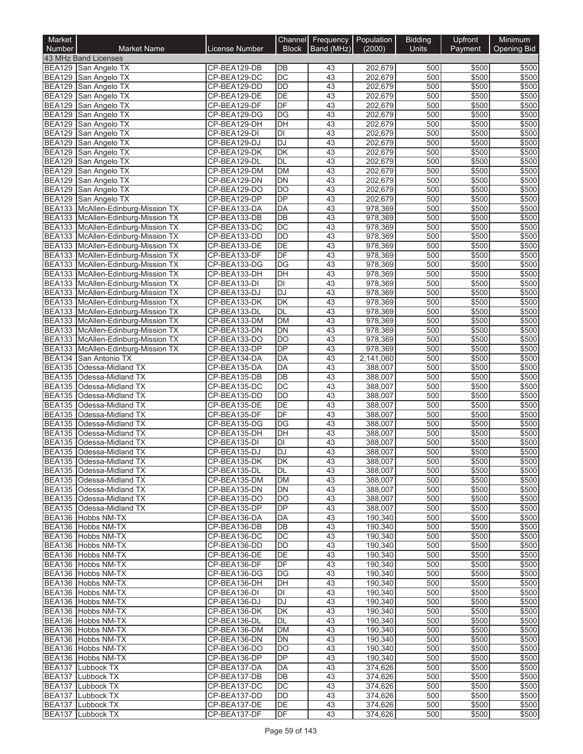| Market                         |                                                                          |                              | Channel                            | Frequency Population  |                    | <b>Bidding</b> | Upfront        | Minimum            |
|--------------------------------|--------------------------------------------------------------------------|------------------------------|------------------------------------|-----------------------|--------------------|----------------|----------------|--------------------|
| Number                         | <b>Market Name</b>                                                       | License Number               | <b>Block</b>                       | Band (MHz)            | (2000)             | <b>Units</b>   | Payment        | <b>Opening Bid</b> |
|                                | 43 MHz Band Licenses<br>BEA129 San Angelo TX                             | CP-BEA129-DB                 | DB                                 | 43                    | 202,679            | 500            | \$500          | \$500              |
|                                | BEA129 San Angelo TX                                                     | CP-BEA129-DC                 | $\overline{DC}$                    | 43                    | 202,679            | 500            | \$500          | \$500              |
|                                | BEA129 San Angelo TX                                                     | CP-BEA129-DD                 | $\overline{DD}$                    | 43                    | 202,679            | 500            | \$500          | \$500              |
| <b>BEA129</b>                  | San Angelo TX                                                            | CP-BEA129-DE                 | DE                                 | 43                    | 202,679            | 500            | \$500          | \$500              |
| <b>BEA129</b>                  | San Angelo TX                                                            | CP-BEA129-DF                 | DF                                 | $\overline{43}$       | 202,679            | 500            | \$500          | \$500              |
| <b>BEA129</b><br><b>BEA129</b> | San Angelo TX<br>San Angelo TX                                           | CP-BEA129-DG<br>CP-BEA129-DH | DG<br>$\overline{DH}$              | 43<br>43              | 202,679<br>202,679 | 500<br>500     | \$500<br>\$500 | \$500<br>\$500     |
| <b>BEA129</b>                  | San Angelo TX                                                            | CP-BEA129-DI                 | DI                                 | 43                    | 202,679            | 500            | \$500          | \$500              |
| <b>BEA129</b>                  | San Angelo TX                                                            | CP-BEA129-DJ                 | <b>DJ</b>                          | 43                    | 202,679            | 500            | \$500          | \$500              |
| <b>BEA129</b>                  | San Angelo TX                                                            | CP-BEA129-DK                 | DK                                 | 43                    | 202,679            | 500            | \$500          | \$500              |
| <b>BEA129</b>                  | San Angelo TX                                                            | CP-BEA129-DL                 | <b>DL</b>                          | 43                    | 202,679            | 500            | \$500          | \$500              |
| <b>BEA129</b>                  | San Angelo TX                                                            | CP-BEA129-DM                 | <b>DM</b>                          | $\overline{43}$       | 202,679            | 500            | \$500          | \$500              |
| <b>BEA129</b><br><b>BEA129</b> | San Angelo TX<br>San Angelo TX                                           | CP-BEA129-DN<br>CP-BEA129-DO | <b>DN</b><br>$\overline{DO}$       | 43<br>43              | 202,679<br>202,679 | 500<br>500     | \$500<br>\$500 | \$500<br>\$500     |
| <b>BEA129</b>                  | San Angelo TX                                                            | CP-BEA129-DP                 | DP                                 | 43                    | 202,679            | 500            | \$500          | \$500              |
|                                | BEA133 McAllen-Edinburg-Mission TX                                       | CP-BEA133-DA                 | <b>DA</b>                          | 43                    | 978,369            | 500            | \$500          | \$500              |
|                                | BEA133 McAllen-Edinburg-Mission TX                                       | CP-BEA133-DB                 | $\overline{DB}$                    | 43                    | 978,369            | 500            | \$500          | \$500              |
|                                | BEA133 McAllen-Edinburg-Mission TX                                       | CP-BEA133-DC                 | $\overline{DC}$                    | 43                    | 978,369            | 500            | \$500          | \$500              |
|                                | BEA133 McAllen-Edinburg-Mission TX                                       | CP-BEA133-DD                 | <b>DD</b>                          | 43                    | 978,369            | 500            | \$500          | \$500              |
|                                | BEA133 McAllen-Edinburg-Mission TX<br>BEA133 McAllen-Edinburg-Mission TX | CP-BEA133-DE<br>CP-BEA133-DF | DE<br>$\overline{DF}$              | 43<br>$\overline{43}$ | 978,369<br>978,369 | 500<br>500     | \$500<br>\$500 | \$500<br>\$500     |
|                                | BEA133 McAllen-Edinburg-Mission TX                                       | CP-BEA133-DG                 | DG                                 | 43                    | 978,369            | 500            | \$500          | \$500              |
|                                | BEA133 McAllen-Edinburg-Mission TX                                       | CP-BEA133-DH                 | $\overline{DH}$                    | 43                    | 978,369            | 500            | \$500          | \$500              |
|                                | BEA133 McAllen-Edinburg-Mission TX                                       | CP-BEA133-DI                 | DI                                 | 43                    | 978,369            | 500            | \$500          | \$500              |
|                                | BEA133 McAllen-Edinburg-Mission TX                                       | CP-BEA133-DJ                 | $\overline{DJ}$                    | 43                    | 978,369            | 500            | \$500          | \$500              |
|                                | BEA133 McAllen-Edinburg-Mission TX                                       | CP-BEA133-DK                 | DK                                 | 43                    | 978,369            | 500            | \$500          | \$500              |
|                                | BEA133 McAllen-Edinburg-Mission TX<br>BEA133 McAllen-Edinburg-Mission TX | CP-BEA133-DL<br>CP-BEA133-DM | DL<br><b>DM</b>                    | 43<br>43              | 978,369<br>978,369 | 500<br>500     | \$500<br>\$500 | \$500<br>\$500     |
|                                | BEA133 McAllen-Edinburg-Mission TX                                       | CP-BEA133-DN                 | DN                                 | 43                    | 978,369            | 500            | \$500          | \$500              |
|                                | BEA133 McAllen-Edinburg-Mission TX                                       | CP-BEA133-DO                 | $\overline{DO}$                    | 43                    | 978,369            | 500            | \$500          | \$500              |
|                                | BEA133 McAllen-Edinburg-Mission TX                                       | CP-BEA133-DP                 | DP                                 | 43                    | 978,369            | 500            | \$500          | \$500              |
|                                | BEA134 San Antonio TX                                                    | CP-BEA134-DA                 | DA                                 | 43                    | 2,141,060          | 500            | \$500          | \$500              |
| <b>BEA135</b>                  | Odessa-Midland TX                                                        | CP-BEA135-DA                 | <b>DA</b>                          | 43                    | 388,007            | 500            | \$500          | \$500              |
| <b>BEA135</b>                  | Odessa-Midland TX                                                        | CP-BEA135-DB                 | $\overline{DB}$<br>$\overline{DC}$ | 43<br>43              | 388,007<br>388,007 | 500<br>500     | \$500          | \$500<br>\$500     |
| <b>BEA135</b>                  | BEA135 Odessa-Midland TX<br>Odessa-Midland TX                            | CP-BEA135-DC<br>CP-BEA135-DD | $\overline{DD}$                    | 43                    | 388,007            | 500            | \$500<br>\$500 | \$500              |
| <b>BEA135</b>                  | Odessa-Midland TX                                                        | CP-BEA135-DE                 | DE                                 | $\overline{43}$       | 388,007            | 500            | \$500          | \$500              |
|                                | BEA135 Odessa-Midland TX                                                 | CP-BEA135-DF                 | DF                                 | 43                    | 388,007            | 500            | \$500          | \$500              |
| <b>BEA135</b>                  | Odessa-Midland TX                                                        | CP-BEA135-DG                 | DG                                 | 43                    | 388,007            | 500            | \$500          | \$500              |
| <b>BEA135</b>                  | Odessa-Midland TX                                                        | CP-BEA135-DH                 | DH                                 | 43                    | 388,007            | 500            | \$500          | \$500              |
| <b>BEA135</b>                  | Odessa-Midland TX                                                        | CP-BEA135-DI<br>CP-BEA135-DJ | DI                                 | 43                    | 388,007            | 500<br>500     | \$500          | \$500              |
|                                | BEA135 Odessa-Midland TX<br>BEA135   Odessa-Midland TX                   | CP-BEA135-DK                 | DJ<br><b>DK</b>                    | 43<br>43              | 388,007<br>388,007 | 500            | \$500<br>\$500 | \$500<br>\$500     |
|                                | BEA135 Odessa-Midland TX                                                 | CP-BEA135-DL                 | DL                                 | 43                    | 388,007            | 500            | \$500          | \$500              |
|                                | BEA135 Odessa-Midland TX                                                 | CP-BEA135-DM                 | DM                                 | 43                    | 388,007            | 500            | \$500          | \$500              |
|                                | BEA135 Odessa-Midland TX                                                 | CP-BEA135-DN                 | DN                                 | 43                    | 388,007            | 500            | \$500          | \$500              |
|                                | BEA135 Odessa-Midland TX                                                 | CP-BEA135-DO                 | DO                                 | 43                    | 388,007            | 500            | \$500          | \$500              |
|                                | BEA135 Odessa-Midland TX                                                 | CP-BEA135-DP                 | DP                                 | 43                    | 388,007            | 500            | \$500          | \$500              |
|                                | BEA136 Hobbs NM-TX<br>BEA136 Hobbs NM-TX                                 | CP-BEA136-DA<br>CP-BEA136-DB | DA<br>DB                           | 43<br>43              | 190,340<br>190,340 | 500<br>500     | \$500<br>\$500 | \$500<br>\$500     |
|                                | BEA136 Hobbs NM-TX                                                       | CP-BEA136-DC                 | DC                                 | 43                    | 190,340            | 500            | \$500          | \$500              |
|                                | BEA136 Hobbs NM-TX                                                       | CP-BEA136-DD                 | DD                                 | 43                    | 190,340            | 500            | \$500          | \$500              |
|                                | BEA136 Hobbs NM-TX                                                       | CP-BEA136-DE                 | DE                                 | 43                    | 190,340            | 500            | \$500          | \$500              |
|                                | BEA136 Hobbs NM-TX                                                       | CP-BEA136-DF                 | DF                                 | 43                    | 190,340            | 500            | \$500          | \$500              |
|                                | BEA136 Hobbs NM-TX                                                       | CP-BEA136-DG                 | DG                                 | 43                    | 190,340<br>190,340 | 500            | \$500          | \$500              |
|                                | BEA136 Hobbs NM-TX<br>BEA136 Hobbs NM-TX                                 | CP-BEA136-DH<br>CP-BEA136-DI | DH<br>DI                           | 43<br>43              | 190,340            | 500<br>500     | \$500<br>\$500 | \$500<br>\$500     |
|                                | BEA136 Hobbs NM-TX                                                       | CP-BEA136-DJ                 | DJ                                 | 43                    | 190,340            | 500            | \$500          | \$500              |
|                                | BEA136 Hobbs NM-TX                                                       | CP-BEA136-DK                 | DK                                 | 43                    | 190,340            | 500            | \$500          | \$500              |
|                                | BEA136 Hobbs NM-TX                                                       | CP-BEA136-DL                 | DL                                 | 43                    | 190,340            | 500            | \$500          | \$500              |
|                                | BEA136 Hobbs NM-TX                                                       | CP-BEA136-DM                 | DM                                 | 43                    | 190,340            | 500            | \$500          | \$500              |
|                                | BEA136 Hobbs NM-TX                                                       | CP-BEA136-DN                 | DN                                 | 43                    | 190,340            | 500            | \$500          | \$500              |
|                                | BEA136 Hobbs NM-TX<br>BEA136 Hobbs NM-TX                                 | CP-BEA136-DO                 | <b>DO</b><br>DP                    | 43<br>43              | 190,340            | 500<br>500     | \$500          | \$500<br>\$500     |
|                                | BEA137 Lubbock TX                                                        | CP-BEA136-DP<br>CP-BEA137-DA | DA                                 | 43                    | 190,340<br>374,626 | 500            | \$500<br>\$500 | \$500              |
|                                | BEA137 Lubbock TX                                                        | CP-BEA137-DB                 | DB                                 | 43                    | 374,626            | 500            | \$500          | \$500              |
|                                | BEA137 Lubbock TX                                                        | CP-BEA137-DC                 | DC                                 | 43                    | 374,626            | 500            | \$500          | \$500              |
|                                | BEA137 Lubbock TX                                                        | CP-BEA137-DD                 | DD                                 | 43                    | 374,626            | 500            | \$500          | \$500              |
|                                | BEA137 Lubbock TX                                                        | CP-BEA137-DE                 | DE                                 | 43                    | 374,626            | 500            | \$500          | \$500              |
|                                | BEA137 Lubbock TX                                                        | CP-BEA137-DF                 | DF                                 | 43                    | 374,626            | 500            | \$500          | \$500              |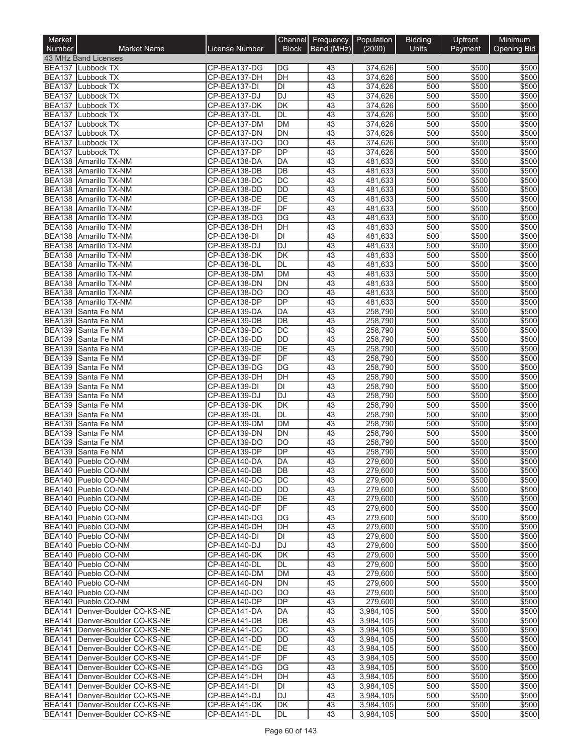| Market<br>Number               | <b>Market Name</b>                                                   | License Number               | Channel<br><b>Block</b> | Frequency Population<br>Band (MHz) | (2000)                 | <b>Bidding</b><br><b>Units</b> | Upfront<br>Payment        | Minimum<br><b>Opening Bid</b> |
|--------------------------------|----------------------------------------------------------------------|------------------------------|-------------------------|------------------------------------|------------------------|--------------------------------|---------------------------|-------------------------------|
|                                | 43 MHz Band Licenses                                                 |                              |                         |                                    |                        |                                |                           |                               |
|                                | BEA137 Lubbock TX                                                    | CP-BEA137-DG                 | DG                      | 43                                 | 374,626                | 500                            | \$500                     | \$500                         |
| <b>BEA137</b>                  | Lubbock TX                                                           | CP-BEA137-DH                 | DH                      | 43                                 | 374,626                | 500                            | \$500                     | \$500                         |
| <b>BEA137</b>                  | Lubbock TX                                                           | CP-BEA137-DI                 | $\overline{D}$          | $\overline{43}$                    | 374,626                | 500                            | \$500                     | \$500                         |
| <b>BEA137</b>                  | Lubbock TX                                                           | CP-BEA137-DJ                 | DJ                      | 43                                 | 374,626                | 500                            | \$500                     | \$500                         |
| <b>BEA137</b><br><b>BEA137</b> | Lubbock TX<br>Lubbock TX                                             | CP-BEA137-DK<br>CP-BEA137-DL | DK<br>DL                | 43<br>43                           | 374,626<br>374,626     | 500<br>500                     | \$500<br>\$500            | \$500<br>\$500                |
| <b>BEA137</b>                  | Lubbock TX                                                           | CP-BEA137-DM                 | <b>DM</b>               | 43                                 | 374,626                | 500                            | \$500                     | \$500                         |
| <b>BEA137</b>                  | Lubbock TX                                                           | CP-BEA137-DN                 | DN                      | 43                                 | 374,626                | 500                            | \$500                     | \$500                         |
| <b>BEA137</b>                  | <b>Lubbock TX</b>                                                    | CP-BEA137-DO                 | <b>DO</b>               | 43                                 | 374,626                | 500                            | \$500                     | \$500                         |
| <b>BEA137</b>                  | Lubbock TX                                                           | CP-BEA137-DP                 | DP                      | 43                                 | 374,626                | 500                            | \$500                     | \$500                         |
| <b>BEA138</b>                  | Amarillo TX-NM                                                       | CP-BEA138-DA                 | DA                      | 43                                 | 481,633                | 500                            | \$500                     | \$500                         |
| <b>BEA138</b>                  | Amarillo TX-NM                                                       | CP-BEA138-DB                 | DB<br>DC                | 43<br>43                           | 481,633                | 500<br>500                     | \$500<br>\$500            | \$500<br>\$500                |
| <b>BEA138</b><br><b>BEA138</b> | Amarillo TX-NM<br>Amarillo TX-NM                                     | CP-BEA138-DC<br>CP-BEA138-DD | DD                      | 43                                 | 481,633<br>481,633     | 500                            | \$500                     | \$500                         |
| <b>BEA138</b>                  | Amarillo TX-NM                                                       | CP-BEA138-DE                 | DE                      | 43                                 | 481,633                | 500                            | \$500                     | \$500                         |
|                                | BEA138 Amarillo TX-NM                                                | CP-BEA138-DF                 | DF                      | $\overline{43}$                    | 481,633                | 500                            | \$500                     | \$500                         |
| <b>BEA138</b>                  | Amarillo TX-NM                                                       | CP-BEA138-DG                 | $\overline{DG}$         | 43                                 | 481,633                | 500                            | \$500                     | \$500                         |
| <b>BEA138</b>                  | Amarillo TX-NM                                                       | CP-BEA138-DH                 | DH                      | 43                                 | 481,633                | 500                            | \$500                     | \$500                         |
|                                | BEA138 Amarillo TX-NM                                                | CP-BEA138-DI                 | DI                      | 43                                 | 481,633                | 500                            | \$500                     | \$500                         |
| <b>BEA138</b>                  | Amarillo TX-NM                                                       | CP-BEA138-DJ                 | <b>DJ</b>               | 43                                 | 481,633                | 500                            | \$500                     | \$500                         |
| <b>BEA138</b>                  | Amarillo TX-NM<br>BEA138 Amarillo TX-NM                              | CP-BEA138-DK<br>CP-BEA138-DL | <b>DK</b><br>DL         | 43<br>43                           | 481,633<br>481,633     | 500<br>500                     | \$500<br>\$500            | \$500<br>\$500                |
| <b>BEA138</b>                  | Amarillo TX-NM                                                       | CP-BEA138-DM                 | <b>DM</b>               | 43                                 | 481,633                | 500                            | \$500                     | \$500                         |
| <b>BEA138</b>                  | Amarillo TX-NM                                                       | CP-BEA138-DN                 | <b>DN</b>               | 43                                 | 481,633                | 500                            | \$500                     | \$500                         |
|                                | BEA138 Amarillo TX-NM                                                | CP-BEA138-DO                 | DO                      | 43                                 | 481,633                | 500                            | \$500                     | \$500                         |
|                                | BEA138 Amarillo TX-NM                                                | CP-BEA138-DP                 | DP                      | 43                                 | 481,633                | 500                            | \$500                     | \$500                         |
|                                | BEA139 Santa Fe NM                                                   | CP-BEA139-DA                 | DA                      | 43                                 | 258,790                | 500                            | \$500                     | \$500                         |
| <b>BEA139</b>                  | Santa Fe NM                                                          | CP-BEA139-DB                 | DB                      | 43                                 | 258,790                | 500                            | \$500                     | \$500                         |
| <b>BEA139</b>                  | Santa Fe NM                                                          | CP-BEA139-DC                 | $\overline{DC}$         | 43                                 | 258,790                | 500                            | \$500                     | \$500                         |
| <b>BEA139</b><br><b>BEA139</b> | Santa Fe NM<br>Santa Fe NM                                           | CP-BEA139-DD<br>CP-BEA139-DE | <b>DD</b><br>DE         | 43<br>43                           | 258,790<br>258,790     | 500<br>500                     | \$500<br>\$500            | \$500<br>\$500                |
| <b>BEA139</b>                  | Santa Fe NM                                                          | CP-BEA139-DF                 | DF                      | 43                                 | 258,790                | 500                            | \$500                     | \$500                         |
| <b>BEA139</b>                  | Santa Fe NM                                                          | CP-BEA139-DG                 | $\overline{DG}$         | 43                                 | 258,790                | 500                            | \$500                     | \$500                         |
| <b>BEA139</b>                  | Santa Fe NM                                                          | CP-BEA139-DH                 | DH                      | 43                                 | 258,790                | 500                            | \$500                     | \$500                         |
| <b>BEA139</b>                  | Santa Fe NM                                                          | CP-BEA139-DI                 | DI                      | 43                                 | 258,790                | 500                            | \$500                     | \$500                         |
| <b>BEA139</b>                  | Santa Fe NM                                                          | CP-BEA139-DJ                 | DJ                      | 43                                 | 258,790                | 500                            | \$500                     | \$500                         |
| <b>BEA139</b>                  | Santa Fe NM                                                          | CP-BEA139-DK                 | DK                      | 43                                 | 258.790                | 500                            | \$500                     | \$500                         |
| <b>BEA139</b><br><b>BEA139</b> | Santa Fe NM<br>Santa Fe NM                                           | CP-BEA139-DL<br>CP-BEA139-DM | DL<br><b>DM</b>         | 43<br>43                           | 258,790<br>258,790     | 500<br>500                     | \$500<br>\$500            | \$500<br>\$500                |
| <b>BEA139</b>                  | Santa Fe NM                                                          | CP-BEA139-DN                 | <b>DN</b>               | 43                                 | 258,790                | 500                            | \$500                     | \$500                         |
| <b>BEA139</b>                  | Santa Fe NM                                                          | CP-BEA139-DO                 | DO                      | 43                                 | 258,790                | 500                            | \$500                     | \$500                         |
| <b>BEA139</b>                  | Santa Fe NM                                                          | CP-BEA139-DP                 | DP                      | $\overline{43}$                    | 258,790                | 500                            | \$500                     | \$500                         |
|                                | BEA140 Pueblo CO-NM                                                  | CP-BEA140-DA                 | DA                      | 43                                 | 279,600                | 500                            | \$500                     | \$500                         |
|                                | BEA140 Pueblo CO-NM                                                  | CP-BEA140-DB                 | DB                      | 43                                 | 279,600                | 500                            | \$500                     | \$500                         |
|                                | BEA140 Pueblo CO-NM                                                  | CP-BEA140-DC                 | DC                      | 43                                 | 279,600                | 500<br>500                     | \$500                     | \$500                         |
|                                | BEA140 Pueblo CO-NM<br>BEA140 Pueblo CO-NM                           | CP-BEA140-DD<br>CP-BEA140-DE | DD<br>DE                | 43<br>43                           | 279,600<br>279,600     | 500                            | \$500<br>\$500            | \$500<br>\$500                |
|                                | BEA140 Pueblo CO-NM                                                  | CP-BEA140-DF                 | DF                      | 43                                 | 279,600                | 500                            | \$500                     | \$500                         |
|                                | BEA140 Pueblo CO-NM                                                  | CP-BEA140-DG                 | DG                      | 43                                 | 279,600                | 500                            | \$500                     | \$500                         |
|                                | BEA140 Pueblo CO-NM                                                  | CP-BEA140-DH                 | DH                      | 43                                 | 279,600                | 500                            | \$500                     | \$500                         |
|                                | BEA140 Pueblo CO-NM                                                  | CP-BEA140-DI                 | DI                      | 43                                 | 279,600                | 500                            | \$500                     | \$500                         |
|                                | BEA140 Pueblo CO-NM                                                  | CP-BEA140-DJ                 | <b>DJ</b>               | 43                                 | 279,600                | 500                            | \$500                     | \$500                         |
|                                | BEA140 Pueblo CO-NM                                                  | CP-BEA140-DK<br>CP-BEA140-DL | <b>DK</b><br>DL         | 43<br>43                           | 279,600<br>279,600     | 500<br>500                     | \$500<br>\$500            | \$500<br>\$500                |
|                                | BEA140 Pueblo CO-NM<br>BEA140 Pueblo CO-NM                           | CP-BEA140-DM                 | DM                      | 43                                 | 279,600                | 500                            | \$500                     | \$500                         |
|                                | BEA140 Pueblo CO-NM                                                  | CP-BEA140-DN                 | DN                      | 43                                 | 279,600                | 500                            | \$500                     | \$500                         |
|                                | BEA140 Pueblo CO-NM                                                  | CP-BEA140-DO                 | DO                      | 43                                 | 279,600                | 500                            | \$500                     | \$500                         |
|                                | BEA140 Pueblo CO-NM                                                  | CP-BEA140-DP                 | DP                      | 43                                 | 279,600                | 500                            | \$500                     | \$500                         |
|                                | BEA141 Denver-Boulder CO-KS-NE                                       | CP-BEA141-DA                 | DA                      | 43                                 | 3,984,105              | 500                            | \$500                     | \$500                         |
|                                | BEA141   Denver-Boulder CO-KS-NE                                     | CP-BEA141-DB                 | DB                      | 43                                 | 3,984,105              | 500                            | \$500                     | \$500                         |
|                                | BEA141 Denver-Boulder CO-KS-NE                                       | CP-BEA141-DC                 | DC<br>DD                | 43                                 | 3,984,105              | 500                            | \$500                     | \$500                         |
|                                | BEA141   Denver-Boulder CO-KS-NE<br>BEA141   Denver-Boulder CO-KS-NE | CP-BEA141-DD<br>CP-BEA141-DE | DE                      | 43<br>43                           | 3,984,105<br>3,984,105 | 500<br>500                     | \$500<br>\$500            | \$500<br>\$500                |
|                                | BEA141 Denver-Boulder CO-KS-NE                                       | CP-BEA141-DF                 | DF                      | 43                                 | 3,984,105              | 500                            | \$500                     | \$500                         |
|                                | BEA141   Denver-Boulder CO-KS-NE                                     | CP-BEA141-DG                 | DG                      | 43                                 | 3,984,105              | 500                            | \$500                     | \$500                         |
|                                | BEA141 Denver-Boulder CO-KS-NE                                       | CP-BEA141-DH                 | DH                      | 43                                 | 3,984,105              | 500                            | \$500                     | \$500                         |
|                                | BEA141 Denver-Boulder CO-KS-NE                                       | CP-BEA141-DI                 | DI                      | 43                                 | 3,984,105              | 500                            | \$500                     | \$500                         |
|                                | BEA141 Denver-Boulder CO-KS-NE                                       | CP-BEA141-DJ                 | DJ                      | 43                                 | 3,984,105              | 500                            | \$500                     | \$500                         |
| <b>BEA141</b>                  | BEA141 Denver-Boulder CO-KS-NE<br>Denver-Boulder CO-KS-NE            | CP-BEA141-DK<br>CP-BEA141-DL | DK<br>DL                | 43<br>43                           | 3,984,105              | 500<br>500                     | \$500<br>$\frac{1}{3}500$ | \$500<br>\$500                |
|                                |                                                                      |                              |                         |                                    | 3,984,105              |                                |                           |                               |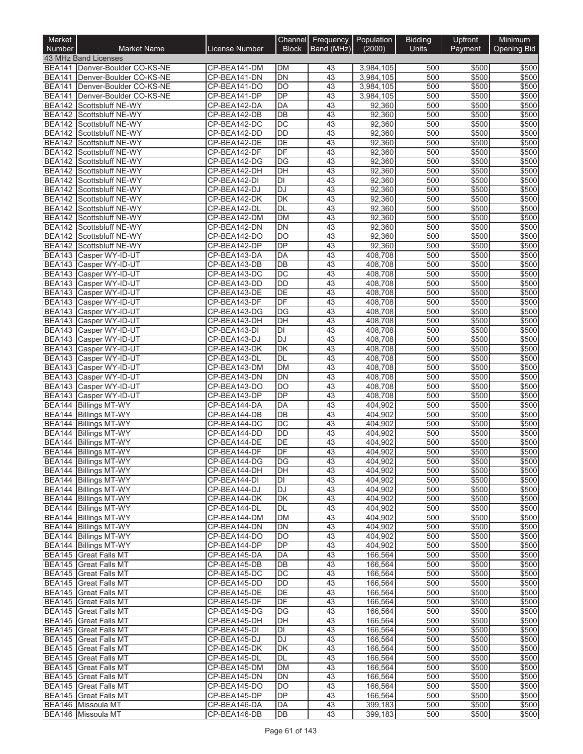| Market        |                                                       |                              | Channel                            | Frequency Population |                    | <b>Bidding</b> | Upfront        | Minimum            |
|---------------|-------------------------------------------------------|------------------------------|------------------------------------|----------------------|--------------------|----------------|----------------|--------------------|
| Number        | <b>Market Name</b><br>43 MHz Band Licenses            | <b>License Number</b>        | <b>Block</b>                       | Band (MHz)           | (2000)             | Units          | Payment        | <b>Opening Bid</b> |
|               | BEA141   Denver-Boulder CO-KS-NE                      | CP-BEA141-DM                 | DM                                 | 43                   | 3,984,105          | 500            | \$500          | \$500              |
|               | BEA141 Denver-Boulder CO-KS-NE                        | CP-BEA141-DN                 | DN                                 | 43                   | 3,984,105          | 500            | \$500          | \$500              |
|               | BEA141 Denver-Boulder CO-KS-NE                        | CP-BEA141-DO                 | DO                                 | 43                   | 3,984,105          | 500            | \$500          | \$500              |
|               | BEA141   Denver-Boulder CO-KS-NE                      | CP-BEA141-DP                 | DP                                 | 43                   | 3,984,105          | 500            | \$500          | \$500              |
|               | BEA142 Scottsbluff NE-WY                              | CP-BEA142-DA                 | <b>DA</b>                          | 43                   | 92,360             | 500            | \$500          | \$500              |
|               | BEA142 Scottsbluff NE-WY                              | CP-BEA142-DB                 | $\overline{DB}$<br>$\overline{DC}$ | 43                   | 92,360             | 500            | \$500          | \$500              |
|               | BEA142 Scottsbluff NE-WY<br>BEA142 Scottsbluff NE-WY  | CP-BEA142-DC<br>CP-BEA142-DD | <b>DD</b>                          | 43<br>43             | 92,360<br>92,360   | 500<br>500     | \$500<br>\$500 | \$500<br>\$500     |
| <b>BEA142</b> | Scottsbluff NE-WY                                     | CP-BEA142-DE                 | DE                                 | 43                   | 92,360             | 500            | \$500          | \$500              |
| <b>BEA142</b> | Scottsbluff NE-WY                                     | CP-BEA142-DF                 | DF                                 | 43                   | 92,360             | 500            | \$500          | \$500              |
|               | BEA142 Scottsbluff NE-WY                              | CP-BEA142-DG                 | $\overline{DG}$                    | 43                   | 92,360             | 500            | \$500          | \$500              |
|               | BEA142 Scottsbluff NE-WY                              | CP-BEA142-DH                 | DH                                 | 43                   | 92,360             | 500            | \$500          | \$500              |
|               | BEA142 Scottsbluff NE-WY                              | CP-BEA142-DI                 | DI                                 | 43                   | 92,360             | 500            | \$500          | \$500              |
|               | BEA142 Scottsbluff NE-WY                              | CP-BEA142-DJ                 | $\overline{DJ}$                    | 43                   | 92,360             | 500            | \$500          | \$500              |
| <b>BEA142</b> | BEA142 Scottsbluff NE-WY<br>Scottsbluff NE-WY         | CP-BEA142-DK<br>CP-BEA142-DL | DK<br>DL                           | 43<br>43             | 92,360<br>92,360   | 500<br>500     | \$500<br>\$500 | \$500<br>\$500     |
|               | BEA142 Scottsbluff NE-WY                              | CP-BEA142-DM                 | <b>DM</b>                          | 43                   | 92,360             | 500            | \$500          | \$500              |
| <b>BEA142</b> | Scottsbluff NE-WY                                     | CP-BEA142-DN                 | <b>DN</b>                          | 43                   | 92,360             | 500            | \$500          | \$500              |
|               | BEA142 Scottsbluff NE-WY                              | CP-BEA142-DO                 | DO                                 | 43                   | 92,360             | 500            | \$500          | \$500              |
| <b>BEA142</b> | Scottsbluff NE-WY                                     | CP-BEA142-DP                 | DP                                 | 43                   | 92,360             | 500            | \$500          | \$500              |
| <b>BEA143</b> | Casper WY-ID-UT                                       | CP-BEA143-DA                 | DA                                 | 43                   | 408,708            | 500            | \$500          | \$500              |
|               | BEA143 Casper WY-ID-UT                                | CP-BEA143-DB                 | $\overline{DB}$                    | 43                   | 408,708            | 500            | \$500          | \$500              |
|               | BEA143 Casper WY-ID-UT                                | CP-BEA143-DC                 | $\overline{DC}$                    | 43                   | 408,708            | 500            | \$500          | \$500              |
| <b>BEA143</b> | BEA143 Casper WY-ID-UT<br>Casper WY-ID-UT             | CP-BEA143-DD<br>CP-BEA143-DE | <b>DD</b><br>$\overline{DE}$       | 43<br>43             | 408,708<br>408,708 | 500<br>500     | \$500<br>\$500 | \$500<br>\$500     |
|               | BEA143 Casper WY-ID-UT                                | CP-BEA143-DF                 | DF                                 | 43                   | 408,708            | 500            | \$500          | \$500              |
| <b>BEA143</b> | Casper WY-ID-UT                                       | CP-BEA143-DG                 | DG                                 | 43                   | 408,708            | 500            | \$500          | \$500              |
|               | BEA143 Casper WY-ID-UT                                | CP-BEA143-DH                 | DH                                 | 43                   | 408,708            | 500            | \$500          | \$500              |
|               | BEA143 Casper WY-ID-UT                                | CP-BEA143-DI                 | $\overline{D}$                     | 43                   | 408,708            | 500            | \$500          | \$500              |
|               | BEA143 Casper WY-ID-UT                                | CP-BEA143-DJ                 | <b>DJ</b>                          | 43                   | 408,708            | 500            | \$500          | \$500              |
|               | BEA143 Casper WY-ID-UT                                | CP-BEA143-DK                 | $\overline{\mathsf{DK}}$           | 43                   | 408,708            | 500            | \$500          | \$500              |
|               | BEA143 Casper WY-ID-UT                                | CP-BEA143-DL                 | DL                                 | 43                   | 408,708            | 500            | \$500          | \$500              |
| <b>BEA143</b> | BEA143 Casper WY-ID-UT<br>Casper WY-ID-UT             | CP-BEA143-DM<br>CP-BEA143-DN | <b>DM</b><br><b>DN</b>             | 43<br>43             | 408,708<br>408,708 | 500<br>500     | \$500<br>\$500 | \$500<br>\$500     |
| <b>BEA143</b> | Casper WY-ID-UT                                       | CP-BEA143-DO                 | <b>DO</b>                          | 43                   | 408,708            | 500            | \$500          | \$500              |
|               | BEA143 Casper WY-ID-UT                                | CP-BEA143-DP                 | DP                                 | 43                   | 408,708            | 500            | \$500          | \$500              |
|               | <b>BEA144 Billings MT-WY</b>                          | CP-BEA144-DA                 | <b>DA</b>                          | 43                   | 404,902            | 500            | \$500          | \$500              |
|               | BEA144 Billings MT-WY                                 | CP-BEA144-DB                 | $\overline{DB}$                    | 43                   | 404,902            | 500            | \$500          | \$500              |
|               | BEA144 Billings MT-WY                                 | CP-BEA144-DC                 | $\overline{DC}$                    | 43                   | 404,902            | 500            | \$500          | \$500              |
|               | BEA144 Billings MT-WY                                 | CP-BEA144-DD                 | <b>DD</b>                          | 43                   | 404,902            | 500            | \$500          | \$500              |
|               | <b>BEA144 Billings MT-WY</b>                          | CP-BEA144-DE<br>CP-BEA144-DF | DE<br>DF                           | 43<br>43             | 404.902            | 500<br>500     | \$500<br>\$500 | \$500<br>\$500     |
|               | BEA144 Billings MT-WY<br><b>BEA144 Billings MT-WY</b> | CP-BEA144-DG                 | DG                                 | 43                   | 404,902<br>404,902 | 500            | \$500          | \$500              |
|               | BEA144 Billings MT-WY                                 | CP-BEA144-DH                 | DH                                 | 43                   | 404,902            | 500            | \$500          | \$500              |
|               | BEA144 Billings MT-WY                                 | CP-BEA144-DI                 | DI                                 | 43                   | 404,902            | 500            | \$500          | \$500              |
|               | BEA144 Billings MT-WY                                 | CP-BEA144-DJ                 | DJ                                 | 43                   | 404,902            | 500            | \$500          | \$500              |
|               | BEA144 Billings MT-WY                                 | CP-BEA144-DK                 | DK                                 | 43                   | 404,902            | 500            | \$500          | \$500              |
|               | BEA144 Billings MT-WY                                 | CP-BEA144-DL                 | DL                                 | 43                   | 404,902            | 500            | \$500          | \$500              |
|               | BEA144 Billings MT-WY                                 | CP-BEA144-DM                 | <b>DM</b>                          | 43                   | 404,902            | 500            | \$500          | \$500              |
|               | BEA144 Billings MT-WY<br>BEA144 Billings MT-WY        | CP-BEA144-DN<br>CP-BEA144-DO | DN<br><b>DO</b>                    | 43<br>43             | 404,902<br>404,902 | 500<br>500     | \$500<br>\$500 | \$500<br>\$500     |
|               | <b>BEA144 Billings MT-WY</b>                          | CP-BEA144-DP                 | DP                                 | 43                   | 404,902            | 500            | \$500          | \$500              |
|               | <b>BEA145</b> Great Falls MT                          | CP-BEA145-DA                 | DA                                 | 43                   | 166,564            | 500            | \$500          | \$500              |
|               | <b>BEA145</b> Great Falls MT                          | CP-BEA145-DB                 | $\overline{DB}$                    | 43                   | 166,564            | 500            | \$500          | \$500              |
|               | <b>BEA145</b> Great Falls MT                          | CP-BEA145-DC                 | $\overline{DC}$                    | 43                   | 166,564            | 500            | \$500          | \$500              |
|               | <b>BEA145</b> Great Falls MT                          | CP-BEA145-DD                 | DD                                 | 43                   | 166,564            | 500            | \$500          | \$500              |
|               | BEA145 Great Falls MT                                 | CP-BEA145-DE                 | DE                                 | 43                   | 166,564            | 500            | \$500          | \$500              |
|               | <b>BEA145</b> Great Falls MT                          | CP-BEA145-DF                 | DF                                 | 43                   | 166,564            | 500            | \$500          | \$500              |
|               | BEA145 Great Falls MT<br>BEA145 Great Falls MT        | CP-BEA145-DG<br>CP-BEA145-DH | DG<br>DH                           | 43<br>43             | 166,564<br>166,564 | 500<br>500     | \$500<br>\$500 | \$500<br>\$500     |
|               | <b>BEA145</b> Great Falls MT                          | CP-BEA145-DI                 | DI                                 | 43                   | 166,564            | 500            | \$500          | \$500              |
|               | <b>BEA145</b> Great Falls MT                          | CP-BEA145-DJ                 | DJ                                 | 43                   | 166,564            | 500            | \$500          | \$500              |
|               | <b>BEA145</b> Great Falls MT                          | CP-BEA145-DK                 | DK                                 | 43                   | 166,564            | 500            | \$500          | \$500              |
|               | <b>BEA145</b> Great Falls MT                          | CP-BEA145-DL                 | DL                                 | 43                   | 166,564            | 500            | \$500          | \$500              |
|               | BEA145 Great Falls MT                                 | CP-BEA145-DM                 | <b>DM</b>                          | 43                   | 166,564            | 500            | \$500          | \$500              |
|               | <b>BEA145</b> Great Falls MT                          | CP-BEA145-DN                 | DN                                 | 43                   | 166,564            | 500            | \$500          | \$500              |
|               | <b>BEA145</b> Great Falls MT                          | CP-BEA145-DO                 | <b>DO</b>                          | 43                   | 166,564            | 500            | \$500          | \$500              |
|               | BEA145 Great Falls MT<br>BEA146 Missoula MT           | CP-BEA145-DP<br>CP-BEA146-DA | DP<br>DA                           | 43<br>43             | 166,564<br>399,183 | 500<br>500     | \$500<br>\$500 | \$500<br>\$500     |
|               | BEA146 Missoula MT                                    | CP-BEA146-DB                 | DB                                 | 43                   | 399,183            | 500            | \$500          | \$500              |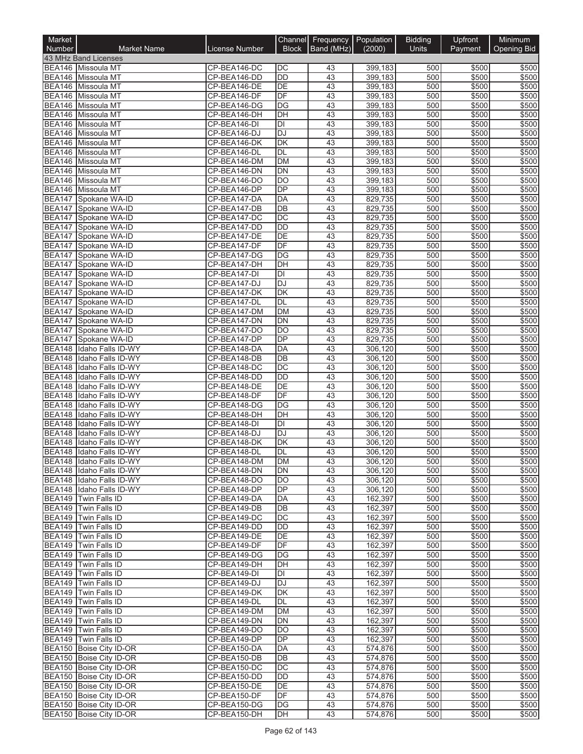| Market                         |                                                      |                              | Channel                            | Frequency Population |                    | <b>Bidding</b> | Upfront        | Minimum            |
|--------------------------------|------------------------------------------------------|------------------------------|------------------------------------|----------------------|--------------------|----------------|----------------|--------------------|
| <b>Number</b>                  | <b>Market Name</b><br>43 MHz Band Licenses           | <b>License Number</b>        | <b>Block</b>                       | Band (MHz)           | (2000)             | <b>Units</b>   | Payment        | <b>Opening Bid</b> |
|                                | BEA146 Missoula MT                                   | CP-BEA146-DC                 | DC                                 | 43                   | 399,183            | 500            | \$500          | \$500              |
|                                | BEA146 Missoula MT                                   | CP-BEA146-DD                 | $\overline{DD}$                    | 43                   | 399,183            | 500            | \$500          | \$500              |
|                                | BEA146 Missoula MT                                   | CP-BEA146-DE                 | DE                                 | 43                   | 399,183            | 500            | \$500          | \$500              |
|                                | BEA146 Missoula MT                                   | CP-BEA146-DF                 | DF                                 | 43                   | 399,183            | 500            | \$500          | \$500              |
|                                | BEA146 Missoula MT                                   | CP-BEA146-DG                 | $\overline{DG}$                    | 43                   | 399,183            | 500            | \$500          | \$500              |
|                                | BEA146 Missoula MT                                   | CP-BEA146-DH                 | DH<br>DI                           | 43<br>43             | 399,183<br>399,183 | 500<br>500     | \$500<br>\$500 | \$500<br>\$500     |
|                                | BEA146 Missoula MT<br>BEA146 Missoula MT             | CP-BEA146-DI<br>CP-BEA146-DJ | DJ                                 | 43                   | 399,183            | 500            | \$500          | \$500              |
|                                | BEA146 Missoula MT                                   | CP-BEA146-DK                 | DK                                 | 43                   | 399,183            | 500            | \$500          | \$500              |
|                                | BEA146 Missoula MT                                   | CP-BEA146-DL                 | DL                                 | 43                   | 399,183            | 500            | \$500          | \$500              |
|                                | <b>BEA146</b> Missoula MT                            | CP-BEA146-DM                 | <b>DM</b>                          | 43                   | 399.183            | 500            | \$500          | \$500              |
| BEA146                         | Missoula MT                                          | CP-BEA146-DN                 | $\overline{DN}$                    | 43                   | 399,183            | 500            | \$500          | \$500              |
|                                | <b>BEA146</b> Missoula MT                            | CP-BEA146-DO                 | <b>DO</b>                          | 43                   | 399,183            | 500            | \$500          | \$500              |
| <b>BEA147</b>                  | BEA146 Missoula MT<br>Spokane WA-ID                  | CP-BEA146-DP<br>CP-BEA147-DA | $\overline{DP}$<br>DA              | 43<br>43             | 399,183<br>829,735 | 500<br>500     | \$500<br>\$500 | \$500<br>\$500     |
| BEA147                         | Spokane WA-ID                                        | CP-BEA147-DB                 | DB                                 | 43                   | 829,735            | 500            | \$500          | \$500              |
| <b>BEA147</b>                  | Spokane WA-ID                                        | CP-BEA147-DC                 | DC                                 | 43                   | 829,735            | 500            | \$500          | \$500              |
| <b>BEA147</b>                  | Spokane WA-ID                                        | CP-BEA147-DD                 | <b>DD</b>                          | 43                   | 829,735            | 500            | \$500          | \$500              |
|                                | BEA147 Spokane WA-ID                                 | CP-BEA147-DE                 | DE                                 | 43                   | 829,735            | 500            | \$500          | \$500              |
| <b>BEA147</b>                  | Spokane WA-ID                                        | CP-BEA147-DF                 | DF                                 | 43                   | 829,735            | 500            | \$500          | \$500              |
| <b>BEA147</b>                  | Spokane WA-ID                                        | CP-BEA147-DG                 | DG                                 | 43                   | 829,735            | 500            | \$500          | \$500              |
|                                | BEA147 Spokane WA-ID<br>BEA147 Spokane WA-ID         | CP-BEA147-DH<br>CP-BEA147-DI | DH<br>$\overline{D}$               | 43<br>43             | 829,735<br>829,735 | 500<br>500     | \$500<br>\$500 | \$500<br>\$500     |
| <b>BEA147</b>                  | Spokane WA-ID                                        | CP-BEA147-DJ                 | <b>DJ</b>                          | 43                   | 829,735            | 500            | \$500          | \$500              |
| <b>BEA147</b>                  | Spokane WA-ID                                        | CP-BEA147-DK                 | DK                                 | 43                   | 829.735            | 500            | \$500          | \$500              |
|                                | BEA147 Spokane WA-ID                                 | CP-BEA147-DL                 | DL                                 | 43                   | 829,735            | 500            | \$500          | \$500              |
| <b>BEA147</b>                  | Spokane WA-ID                                        | CP-BEA147-DM                 | <b>DM</b>                          | 43                   | 829,735            | 500            | \$500          | \$500              |
| <b>BEA147</b>                  | Spokane WA-ID                                        | CP-BEA147-DN                 | <b>DN</b>                          | 43                   | 829,735            | 500            | \$500          | \$500              |
|                                | BEA147 Spokane WA-ID<br>BEA147 Spokane WA-ID         | CP-BEA147-DO<br>CP-BEA147-DP | $\overline{DO}$<br>$\overline{DP}$ | 43<br>43             | 829,735<br>829,735 | 500<br>500     | \$500<br>\$500 | \$500<br>\$500     |
| <b>BEA148</b>                  | Idaho Falls ID-WY                                    | CP-BEA148-DA                 | DA                                 | 43                   | 306,120            | 500            | \$500          | \$500              |
| <b>BEA148</b>                  | Idaho Falls ID-WY                                    | CP-BEA148-DB                 | DB                                 | 43                   | 306,120            | 500            | \$500          | \$500              |
| BEA148                         | Idaho Falls ID-WY                                    | CP-BEA148-DC                 | $\overline{DC}$                    | 43                   | 306,120            | 500            | \$500          | \$500              |
| <b>BEA148</b>                  | Idaho Falls ID-WY                                    | CP-BEA148-DD                 | <b>DD</b>                          | 43                   | 306,120            | 500            | \$500          | \$500              |
| <b>BEA148</b>                  | Idaho Falls ID-WY                                    | CP-BEA148-DE                 | DE                                 | 43                   | 306,120            | 500            | \$500          | \$500              |
| <b>BEA148</b>                  | Idaho Falls ID-WY                                    | CP-BEA148-DF                 | DF                                 | 43                   | 306,120            | 500            | \$500          | \$500              |
| <b>BEA148</b><br><b>BEA148</b> | Idaho Falls ID-WY<br>Idaho Falls ID-WY               | CP-BEA148-DG<br>CP-BEA148-DH | $\overline{DG}$<br>DH              | 43<br>43             | 306,120<br>306,120 | 500<br>500     | \$500<br>\$500 | \$500<br>\$500     |
| <b>BEA148</b>                  | Idaho Falls ID-WY                                    | CP-BEA148-DI                 | $\overline{D}$                     | 43                   | 306,120            | 500            | \$500          | \$500              |
| <b>BEA148</b>                  | Idaho Falls ID-WY                                    | CP-BEA148-DJ                 | DJ                                 | 43                   | 306,120            | 500            | \$500          | \$500              |
| <b>BEA148</b>                  | Idaho Falls ID-WY                                    | CP-BEA148-DK                 | DK                                 | 43                   | 306,120            | 500            | \$500          | \$500              |
| <b>BEA148</b>                  | Idaho Falls ID-WY                                    | CP-BEA148-DL                 | DL                                 | 43                   | 306,120            | 500            | \$500          | \$500              |
|                                | BEA148 IIdaho Falls ID-WY                            | CP-BEA148-DM                 | DМ                                 | 43                   | 306,120            | 500            | \$500          | \$500              |
|                                | BEA148 Idaho Falls ID-WY                             | CP-BEA148-DN                 | DN                                 | 43                   | 306,120            | 500            | \$500          | \$500              |
|                                | BEA148 Idaho Falls ID-WY<br>BEA148 Idaho Falls ID-WY | CP-BEA148-DO<br>CP-BEA148-DP | DO<br>DP                           | 43<br>43             | 306,120<br>306.120 | 500<br>500     | \$500<br>\$500 | \$500<br>\$500     |
|                                | BEA149 Twin Falls ID                                 | CP-BEA149-DA                 | DA                                 | 43                   | 162,397            | 500            | \$500          | \$500              |
|                                | BEA149 Twin Falls ID                                 | CP-BEA149-DB                 | DB                                 | 43                   | 162,397            | 500            | \$500          | \$500              |
|                                | BEA149 Twin Falls ID                                 | CP-BEA149-DC                 | DC                                 | 43                   | 162,397            | 500            | \$500          | \$500              |
|                                | BEA149 Twin Falls ID                                 | CP-BEA149-DD                 | DD                                 | 43                   | 162,397            | 500            | \$500          | \$500              |
|                                | BEA149 Twin Falls ID                                 | CP-BEA149-DE                 | DE                                 | 43                   | 162,397            | 500            | \$500          | \$500              |
|                                | BEA149 Twin Falls ID<br>BEA149 Twin Falls ID         | CP-BEA149-DF                 | DF                                 | 43                   | 162,397            | 500<br>500     | \$500          | \$500<br>\$500     |
|                                | BEA149 Twin Falls ID                                 | CP-BEA149-DG<br>CP-BEA149-DH | DG<br>$\overline{DH}$              | 43<br>43             | 162,397<br>162,397 | 500            | \$500<br>\$500 | \$500              |
|                                | <b>BEA149</b> Twin Falls ID                          | CP-BEA149-DI                 | $\overline{D}$                     | 43                   | 162,397            | 500            | \$500          | \$500              |
|                                | BEA149 Twin Falls ID                                 | CP-BEA149-DJ                 | DJ                                 | 43                   | 162,397            | 500            | \$500          | \$500              |
|                                | BEA149 Twin Falls ID                                 | CP-BEA149-DK                 | DK                                 | 43                   | 162,397            | 500            | \$500          | \$500              |
|                                | <b>BEA149</b> Twin Falls ID                          | CP-BEA149-DL                 | DL                                 | 43                   | 162,397            | 500            | \$500          | \$500              |
|                                | BEA149 Twin Falls ID                                 | CP-BEA149-DM                 | DM                                 | 43                   | 162,397            | 500            | \$500          | \$500              |
|                                | BEA149 Twin Falls ID                                 | CP-BEA149-DN                 | DN<br>DO                           | 43<br>43             | 162,397            | 500<br>500     | \$500          | \$500              |
|                                | BEA149 Twin Falls ID<br>BEA149 Twin Falls ID         | CP-BEA149-DO<br>CP-BEA149-DP | DP                                 | 43                   | 162,397<br>162,397 | 500            | \$500<br>\$500 | \$500<br>\$500     |
|                                | BEA150 Boise City ID-OR                              | CP-BEA150-DA                 | DA                                 | 43                   | 574,876            | 500            | \$500          | \$500              |
|                                | BEA150 Boise City ID-OR                              | CP-BEA150-DB                 | DB                                 | 43                   | 574,876            | 500            | \$500          | \$500              |
|                                | BEA150 Boise City ID-OR                              | CP-BEA150-DC                 | DC                                 | 43                   | 574,876            | 500            | \$500          | \$500              |
|                                | BEA150 Boise City ID-OR                              | CP-BEA150-DD                 | DD                                 | 43                   | 574,876            | 500            | \$500          | \$500              |
|                                | BEA150 Boise City ID-OR                              | CP-BEA150-DE                 | DE                                 | 43                   | 574,876            | 500            | \$500          | \$500              |
|                                | BEA150 Boise City ID-OR<br>BEA150 Boise City ID-OR   | CP-BEA150-DF<br>CP-BEA150-DG | DF<br>DG                           | 43<br>43             | 574,876<br>574,876 | 500<br>500     | \$500<br>\$500 | \$500<br>\$500     |
|                                | BEA150 Boise City ID-OR                              | CP-BEA150-DH                 | DH                                 | 43                   | 574,876            | 500            | \$500          | \$500              |
|                                |                                                      |                              |                                    |                      |                    |                |                |                    |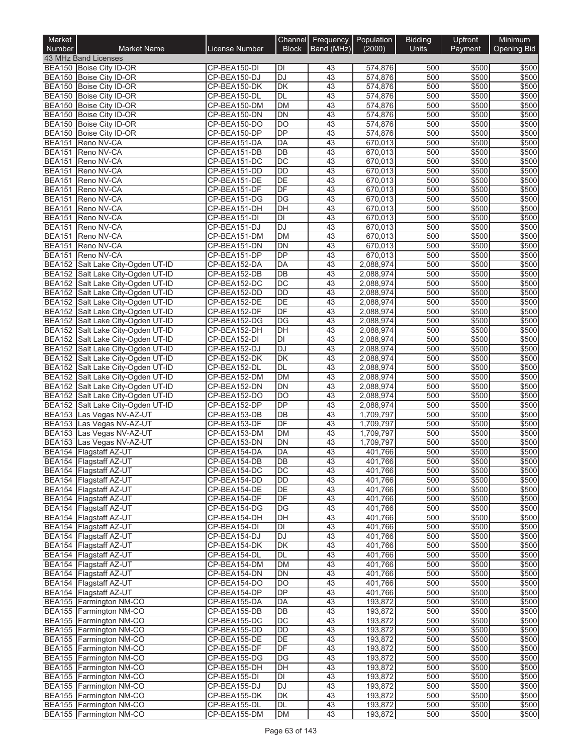| Market<br>Number               | <b>Market Name</b>                                                     | <b>License Number</b>        | <b>Block</b>    | Channel Frequency Population<br>Band (MHz) | (2000)                 | <b>Bidding</b><br><b>Units</b> | Upfront<br>Payment | Minimum<br><b>Opening Bid</b> |
|--------------------------------|------------------------------------------------------------------------|------------------------------|-----------------|--------------------------------------------|------------------------|--------------------------------|--------------------|-------------------------------|
|                                | 43 MHz Band Licenses                                                   |                              |                 |                                            |                        |                                |                    |                               |
|                                | BEA150 Boise City ID-OR                                                | CP-BEA150-DI                 | IЫ              | 43                                         | 574,876                | 500                            | \$500              | \$500                         |
|                                | BEA150 Boise City ID-OR                                                | CP-BEA150-DJ                 | <b>DJ</b>       | 43                                         | 574,876                | 500                            | \$500              | \$500                         |
|                                | BEA150 Boise City ID-OR                                                | CP-BEA150-DK                 | DK              | 43                                         | 574,876                | 500                            | \$500              | \$500                         |
|                                | BEA150 Boise City ID-OR                                                | CP-BEA150-DL                 | <b>DL</b>       | 43                                         | 574,876                | 500                            | \$500              | \$500                         |
|                                | BEA150 Boise City ID-OR                                                | CP-BEA150-DM                 | <b>DM</b>       | 43                                         | 574,876                | 500                            | \$500              | \$500                         |
|                                | BEA150 Boise City ID-OR                                                | CP-BEA150-DN                 | <b>DN</b>       | 43                                         | 574,876                | 500                            | \$500              | \$500                         |
|                                | BEA150 Boise City ID-OR                                                | CP-BEA150-DO                 | <b>DO</b>       | 43                                         | 574,876                | 500                            | \$500              | \$500                         |
|                                | BEA150 Boise City ID-OR                                                | CP-BEA150-DP                 | <b>DP</b>       | 43                                         | 574,876                | 500                            | \$500              | \$500                         |
| <b>BEA151</b><br><b>BEA151</b> | Reno NV-CA<br>Reno NV-CA                                               | CP-BEA151-DA<br>CP-BEA151-DB | <b>DA</b><br>DB | 43<br>43                                   | 670,013<br>670,013     | 500<br>500                     | \$500<br>\$500     | \$500<br>\$500                |
| <b>BEA151</b>                  | Reno NV-CA                                                             | CP-BEA151-DC                 | DC              | 43                                         | 670,013                | 500                            | \$500              | \$500                         |
| <b>BEA151</b>                  | Reno NV-CA                                                             | CP-BEA151-DD                 | <b>DD</b>       | 43                                         | 670,013                | 500                            | \$500              | \$500                         |
| <b>BEA151</b>                  | Reno NV-CA                                                             | CP-BEA151-DE                 | DE              | 43                                         | 670,013                | 500                            | \$500              | \$500                         |
| <b>BEA151</b>                  | Reno NV-CA                                                             | CP-BEA151-DF                 | DF              | 43                                         | 670,013                | 500                            | \$500              | \$500                         |
|                                | BEA151 Reno NV-CA                                                      | CP-BEA151-DG                 | <b>DG</b>       | 43                                         | 670,013                | 500                            | \$500              | \$500                         |
|                                | BEA151 Reno NV-CA                                                      | CP-BEA151-DH                 | DH              | 43                                         | 670,013                | 500                            | \$500              | \$500                         |
| <b>BEA151</b>                  | Reno NV-CA                                                             | CP-BEA151-DI                 | ĪЫ              | 43                                         | 670,013                | 500                            | \$500              | \$500                         |
| <b>BEA151</b>                  | Reno NV-CA                                                             | CP-BEA151-DJ                 | <b>DJ</b>       | 43                                         | 670,013                | 500                            | \$500              | \$500                         |
|                                | BEA151 Reno NV-CA                                                      | CP-BEA151-DM                 | <b>DM</b>       | 43                                         | 670,013                | 500                            | \$500              | \$500                         |
| <b>BEA151</b>                  | Reno NV-CA                                                             | CP-BEA151-DN                 | <b>DN</b>       | 43                                         | 670,013                | 500                            | \$500              | \$500                         |
| <b>BEA151</b>                  | Reno NV-CA                                                             | CP-BEA151-DP                 | DP<br>DA        | 43<br>43                                   | 670,013                | 500<br>500                     | \$500<br>\$500     | \$500<br>\$500                |
|                                | BEA152 Salt Lake City-Ogden UT-ID<br>BEA152 Salt Lake City-Ogden UT-ID | CP-BEA152-DA<br>CP-BEA152-DB | DB              | 43                                         | 2,088,974<br>2,088,974 | 500                            | \$500              | \$500                         |
|                                | BEA152 Salt Lake City-Ogden UT-ID                                      | CP-BEA152-DC                 | DC              | 43                                         | 2,088,974              | 500                            | \$500              | \$500                         |
|                                | BEA152 Salt Lake City-Ogden UT-ID                                      | CP-BEA152-DD                 | <b>DD</b>       | 43                                         | 2,088,974              | 500                            | \$500              | \$500                         |
|                                | BEA152 Salt Lake City-Ogden UT-ID                                      | CP-BEA152-DE                 | DE              | 43                                         | 2,088,974              | 500                            | \$500              | \$500                         |
|                                | BEA152 Salt Lake City-Ogden UT-ID                                      | CP-BEA152-DF                 | DF              | 43                                         | 2,088,974              | 500                            | \$500              | \$500                         |
|                                | BEA152 Salt Lake City-Ogden UT-ID                                      | CP-BEA152-DG                 | DG              | 43                                         | 2,088,974              | 500                            | \$500              | \$500                         |
|                                | BEA152 Salt Lake City-Ogden UT-ID                                      | CP-BEA152-DH                 | DH              | 43                                         | 2,088,974              | 500                            | \$500              | \$500                         |
|                                | BEA152 Salt Lake City-Ogden UT-ID                                      | CP-BEA152-DI                 | <b>DI</b>       | 43                                         | 2,088,974              | 500                            | \$500              | \$500                         |
|                                | BEA152 Salt Lake City-Ogden UT-ID                                      | CP-BEA152-DJ                 | <b>DJ</b>       | 43                                         | 2,088,974              | 500                            | \$500              | \$500                         |
|                                | BEA152 Salt Lake City-Ogden UT-ID                                      | CP-BEA152-DK                 | <b>DK</b>       | 43                                         | 2,088,974              | 500                            | \$500              | \$500                         |
|                                | BEA152 Salt Lake City-Ogden UT-ID                                      | CP-BEA152-DL                 | <b>DL</b>       | 43                                         | 2,088,974              | 500                            | \$500              | \$500                         |
|                                | BEA152 Salt Lake City-Ogden UT-ID                                      | CP-BEA152-DM                 | <b>DM</b>       | 43                                         | 2,088,974              | 500                            | \$500              | \$500                         |
|                                | BEA152 Salt Lake City-Ogden UT-ID                                      | CP-BEA152-DN                 | <b>DN</b>       | 43                                         | 2,088,974              | 500                            | \$500              | \$500                         |
| <b>BEA152</b>                  | BEA152 Salt Lake City-Ogden UT-ID<br>Salt Lake City-Ogden UT-ID        | CP-BEA152-DO<br>CP-BEA152-DP | DO<br><b>DP</b> | 43<br>43                                   | 2,088,974<br>2,088,974 | 500<br>500                     | \$500<br>\$500     | \$500<br>\$500                |
| <b>BEA153</b>                  | Las Vegas NV-AZ-UT                                                     | CP-BEA153-DB                 | DB              | 43                                         | 1,709,797              | 500                            | \$500              | \$500                         |
| <b>BEA153</b>                  | Las Vegas NV-AZ-UT                                                     | CP-BEA153-DF                 | DF              | 43                                         | 1,709,797              | 500                            | \$500              | \$500                         |
| <b>BEA153</b>                  | Las Vegas NV-AZ-UT                                                     | CP-BEA153-DM                 | <b>DM</b>       | 43                                         | 1,709,797              | 500                            | \$500              | \$500                         |
| <b>BEA153</b>                  | Las Vegas NV-AZ-UT                                                     | CP-BEA153-DN                 | DN              | 43                                         | 1,709,797              | 500                            | \$500              | \$500                         |
|                                | BEA154 Flagstaff AZ-UT                                                 | CP-BEA154-DA                 | <b>DA</b>       | $\overline{43}$                            | 401,766                | 500                            | \$500              | \$500                         |
|                                | BEA154 Flagstaff AZ-UT                                                 | CP-BEA154-DB                 | IDB             | 43                                         | 401,766                | 500                            | \$500              | \$500                         |
|                                | BEA154 Flagstaff AZ-UT                                                 | CP-BEA154-DC                 | IDC             | 43                                         | 401.766                | 500                            | \$500              | \$500                         |
|                                | BEA154 Flagstaff AZ-UT                                                 | CP-BEA154-DD                 | DD              | 43                                         | 401,766                | 500                            | \$500              | \$500                         |
|                                | BEA154 Flagstaff AZ-UT                                                 | CP-BEA154-DE                 | DE              | 43                                         | 401,766                | 500                            | \$500              | \$500                         |
|                                | BEA154 Flagstaff AZ-UT                                                 | CP-BEA154-DF                 | DF              | 43                                         | 401,766                | 500                            | \$500              | \$500                         |
|                                | BEA154 Flagstaff AZ-UT                                                 | CP-BEA154-DG                 | DG              | 43                                         | 401,766                | 500                            | \$500              | \$500                         |
|                                | BEA154 Flagstaff AZ-UT<br>BEA154 Flagstaff AZ-UT                       | CP-BEA154-DH<br>CP-BEA154-DI | DH<br><b>DI</b> | 43<br>43                                   | 401,766                | 500<br>500                     | \$500<br>\$500     | \$500<br>\$500                |
|                                | BEA154 Flagstaff AZ-UT                                                 | CP-BEA154-DJ                 | DJ              | 43                                         | 401,766<br>401,766     | 500                            | \$500              | \$500                         |
|                                | BEA154 Flagstaff AZ-UT                                                 | CP-BEA154-DK                 | <b>DK</b>       | 43                                         | 401,766                | 500                            | \$500              | \$500                         |
|                                | BEA154 Flagstaff AZ-UT                                                 | CP-BEA154-DL                 | DL              | 43                                         | 401,766                | 500                            | \$500              | \$500                         |
|                                | BEA154 Flagstaff AZ-UT                                                 | CP-BEA154-DM                 | <b>DM</b>       | 43                                         | 401,766                | 500                            | \$500              | \$500                         |
|                                | BEA154 Flagstaff AZ-UT                                                 | CP-BEA154-DN                 | DN              | 43                                         | 401,766                | 500                            | \$500              | \$500                         |
|                                | BEA154 Flagstaff AZ-UT                                                 | CP-BEA154-DO                 | <b>DO</b>       | 43                                         | 401,766                | 500                            | \$500              | \$500                         |
|                                | BEA154 Flagstaff AZ-UT                                                 | CP-BEA154-DP                 | <b>DP</b>       | 43                                         | 401,766                | 500                            | \$500              | \$500                         |
|                                | BEA155 Farmington NM-CO                                                | CP-BEA155-DA                 | DA              | 43                                         | 193,872                | 500                            | \$500              | \$500                         |
|                                | BEA155 Farmington NM-CO                                                | CP-BEA155-DB                 | DB              | 43                                         | 193,872                | 500                            | \$500              | \$500                         |
|                                | BEA155 Farmington NM-CO                                                | CP-BEA155-DC                 | DC              | 43                                         | 193,872                | 500                            | \$500              | \$500                         |
|                                | BEA155 Farmington NM-CO                                                | CP-BEA155-DD                 | DD              | 43                                         | 193,872                | 500                            | \$500              | \$500                         |
|                                | BEA155 Farmington NM-CO                                                | CP-BEA155-DE                 | DE              | 43                                         | 193,872                | 500                            | \$500              | \$500                         |
|                                | BEA155 Farmington NM-CO                                                | CP-BEA155-DF                 | DF              | 43                                         | 193,872                | 500                            | \$500              | \$500                         |
|                                | BEA155 Farmington NM-CO<br>BEA155 Farmington NM-CO                     | CP-BEA155-DG<br>CP-BEA155-DH | DG<br>DH        | 43<br>43                                   | 193,872<br>193,872     | 500<br>500                     | \$500<br>\$500     | \$500<br>\$500                |
|                                | BEA155 Farmington NM-CO                                                | CP-BEA155-DI                 | DI              | 43                                         | 193,872                | 500                            | \$500              | \$500                         |
|                                | BEA155 Farmington NM-CO                                                | CP-BEA155-DJ                 | DJ              | 43                                         | 193,872                | 500                            | \$500              | \$500                         |
|                                | BEA155 Farmington NM-CO                                                | CP-BEA155-DK                 | DK              | 43                                         | 193,872                | 500                            | \$500              | \$500                         |
|                                | BEA155 Farmington NM-CO                                                | CP-BEA155-DL                 | DL              | 43                                         | 193,872                | 500                            | \$500              | \$500                         |
|                                | BEA155 Farmington NM-CO                                                | CP-BEA155-DM                 | <b>DM</b>       | 43                                         | 193,872                | 500                            | \$500              | \$500                         |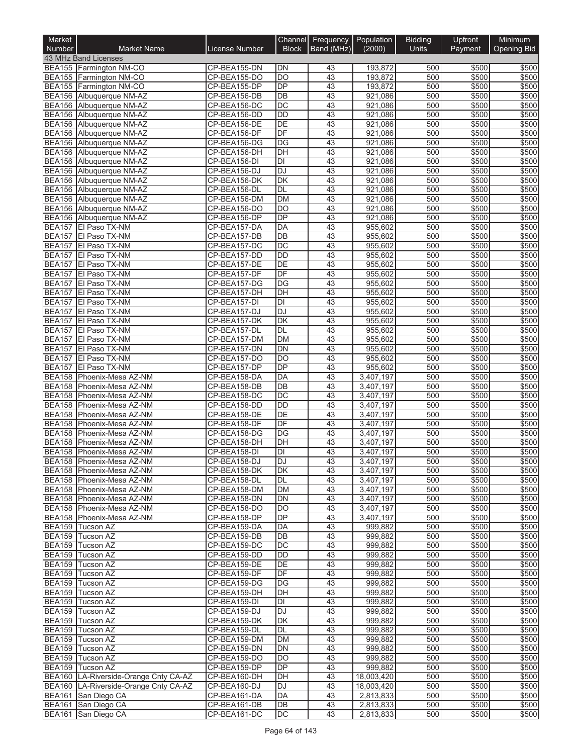| Market        |                                                          |                              |                                    | Channel Frequency Population |                        | <b>Bidding</b> | Upfront        | Minimum            |
|---------------|----------------------------------------------------------|------------------------------|------------------------------------|------------------------------|------------------------|----------------|----------------|--------------------|
| <b>Number</b> | <b>Market Name</b>                                       | License Number               | <b>Block</b>                       | Band (MHz)                   | (2000)                 | <b>Units</b>   | Payment        | <b>Opening Bid</b> |
|               | 43 MHz Band Licenses<br>BEA155 Farmington NM-CO          | CP-BEA155-DN                 | <b>DN</b>                          | 43                           | 193,872                | 500            | \$500          | \$500              |
|               | BEA155 Farmington NM-CO                                  | CP-BEA155-DO                 | DO                                 | 43                           | 193,872                | 500            | \$500          | \$500              |
|               | BEA155 Farmington NM-CO                                  | CP-BEA155-DP                 | $\overline{DP}$                    | 43                           | 193,872                | 500            | \$500          | \$500              |
|               | BEA156 Albuquerque NM-AZ                                 | CP-BEA156-DB                 | $\overline{DB}$                    | 43                           | 921,086                | 500            | \$500          | \$500              |
|               | BEA156 Albuquerque NM-AZ                                 | CP-BEA156-DC                 | $\overline{DC}$                    | 43                           | 921,086                | 500            | \$500          | \$500              |
|               | BEA156 Albuquerque NM-AZ                                 | CP-BEA156-DD                 | <b>DD</b>                          | 43                           | 921,086                | 500            | \$500          | \$500              |
|               | BEA156 Albuquerque NM-AZ<br>BEA156 Albuquerque NM-AZ     | CP-BEA156-DE<br>CP-BEA156-DF | $\overline{DE}$<br>$\overline{DF}$ | 43<br>43                     | 921,086<br>921,086     | 500<br>500     | \$500<br>\$500 | \$500<br>\$500     |
|               | BEA156 Albuquerque NM-AZ                                 | CP-BEA156-DG                 | DG                                 | 43                           | 921,086                | 500            | \$500          | \$500              |
|               | BEA156 Albuquerque NM-AZ                                 | CP-BEA156-DH                 | DH                                 | 43                           | 921,086                | 500            | \$500          | \$500              |
|               | BEA156 Albuquerque NM-AZ                                 | CP-BEA156-DI                 | DI                                 | 43                           | 921,086                | 500            | \$500          | \$500              |
| <b>BEA156</b> | Albuquerque NM-AZ                                        | CP-BEA156-DJ                 | DJ                                 | 43                           | 921,086                | 500            | \$500          | \$500              |
|               | BEA156 Albuquerque NM-AZ                                 | CP-BEA156-DK                 | DK                                 | 43                           | 921,086                | 500            | \$500          | \$500              |
|               | BEA156 Albuquerque NM-AZ                                 | CP-BEA156-DL                 | DL                                 | 43                           | 921,086                | 500            | \$500          | \$500              |
|               | BEA156 Albuquerque NM-AZ                                 | CP-BEA156-DM                 | <b>DM</b><br>$\overline{DO}$       | 43<br>$\overline{43}$        | 921,086                | 500<br>500     | \$500          | \$500<br>\$500     |
|               | BEA156 Albuquerque NM-AZ<br>BEA156 Albuquerque NM-AZ     | CP-BEA156-DO<br>CP-BEA156-DP | $\overline{DP}$                    | 43                           | 921,086<br>921,086     | 500            | \$500<br>\$500 | \$500              |
|               | BEA157 El Paso TX-NM                                     | CP-BEA157-DA                 | DA                                 | 43                           | 955,602                | 500            | \$500          | \$500              |
|               | BEA157 El Paso TX-NM                                     | CP-BEA157-DB                 | $\overline{DB}$                    | 43                           | 955.602                | 500            | \$500          | \$500              |
|               | BEA157 El Paso TX-NM                                     | CP-BEA157-DC                 | DC                                 | 43                           | 955,602                | 500            | \$500          | \$500              |
| <b>BEA157</b> | El Paso TX-NM                                            | CP-BEA157-DD                 | <b>DD</b>                          | 43                           | 955,602                | 500            | \$500          | \$500              |
|               | BEA157 El Paso TX-NM                                     | CP-BEA157-DE                 | DE                                 | 43                           | 955,602                | 500            | \$500          | \$500              |
|               | BEA157 El Paso TX-NM                                     | CP-BEA157-DF                 | DF                                 | 43                           | 955,602                | 500            | \$500          | \$500              |
| <b>BEA157</b> | El Paso TX-NM                                            | CP-BEA157-DG                 | DG                                 | 43                           | 955,602                | 500            | \$500          | \$500              |
|               | BEA157 El Paso TX-NM<br>BEA157   El Paso TX-NM           | CP-BEA157-DH<br>CP-BEA157-DI | DH<br>$\overline{\mathsf{D}}$      | 43<br>43                     | 955,602<br>955,602     | 500<br>500     | \$500<br>\$500 | \$500<br>\$500     |
|               | BEA157 El Paso TX-NM                                     | CP-BEA157-DJ                 | DJ                                 | 43                           | 955,602                | 500            | \$500          | \$500              |
|               | BEA157 El Paso TX-NM                                     | CP-BEA157-DK                 | $\overline{\mathsf{DK}}$           | 43                           | 955,602                | 500            | \$500          | \$500              |
|               | BEA157 El Paso TX-NM                                     | CP-BEA157-DL                 | DL                                 | 43                           | 955,602                | 500            | \$500          | \$500              |
|               | BEA157 El Paso TX-NM                                     | CP-BEA157-DM                 | <b>DM</b>                          | 43                           | 955,602                | 500            | \$500          | \$500              |
| <b>BEA157</b> | El Paso TX-NM                                            | CP-BEA157-DN                 | DN                                 | 43                           | 955,602                | 500            | \$500          | \$500              |
| <b>BEA157</b> | El Paso TX-NM                                            | CP-BEA157-DO                 | <b>DO</b>                          | 43                           | 955,602                | 500            | \$500          | \$500              |
|               | BEA157 El Paso TX-NM                                     | CP-BEA157-DP                 | $\overline{DP}$                    | 43                           | 955,602                | 500            | \$500          | \$500              |
|               | BEA158 Phoenix-Mesa AZ-NM<br>BEA158 Phoenix-Mesa AZ-NM   | CP-BEA158-DA<br>CP-BEA158-DB | DA<br>DB                           | 43<br>43                     | 3,407,197<br>3,407,197 | 500<br>500     | \$500<br>\$500 | \$500<br>\$500     |
| <b>BEA158</b> | Phoenix-Mesa AZ-NM                                       | CP-BEA158-DC                 | DC                                 | 43                           | 3,407,197              | 500            | \$500          | \$500              |
| BEA158        | Phoenix-Mesa AZ-NM                                       | CP-BEA158-DD                 | DD                                 | 43                           | 3,407,197              | 500            | \$500          | \$500              |
| <b>BEA158</b> | Phoenix-Mesa AZ-NM                                       | CP-BEA158-DE                 | DE                                 | 43                           | 3,407,197              | 500            | \$500          | \$500              |
| <b>BEA158</b> | Phoenix-Mesa AZ-NM                                       | CP-BEA158-DF                 | $\overline{DF}$                    | 43                           | 3,407,197              | 500            | \$500          | \$500              |
| <b>BEA158</b> | Phoenix-Mesa AZ-NM                                       | CP-BEA158-DG                 | DG                                 | 43                           | 3,407,197              | 500            | \$500          | \$500              |
| BEA158        | Phoenix-Mesa AZ-NM                                       | CP-BEA158-DH                 | $\overline{D}$ H                   | 43                           | 3,407,197              | 500            | \$500          | \$500              |
|               | BEA158 Phoenix-Mesa AZ-NM                                | CP-BEA158-DI                 | $\overline{\mathsf{D}}$            | 43                           | 3,407,197              | 500            | \$500          | \$500              |
|               | BEA158   Phoenix-Mesa AZ-NM<br>BEA158 Phoenix-Mesa AZ-NM | CP-BEA158-DJ<br>CP-BEA158-DK | DJ<br><b>DK</b>                    | 43<br>43                     | 3,407,197<br>3,407,197 | 500<br>500     | \$500<br>\$500 | \$500<br>\$500     |
|               | BEA158 Phoenix-Mesa AZ-NM                                | CP-BEA158-DL                 | DL                                 | 43                           | 3,407,197              | 500            | \$500          | \$500              |
|               | BEA158 Phoenix-Mesa AZ-NM                                | CP-BEA158-DM                 | DM                                 | 43                           | 3,407,197              | 500            | \$500          | \$500              |
|               | BEA158 Phoenix-Mesa AZ-NM                                | CP-BEA158-DN                 | DN                                 | 43                           | 3,407,197              | 500            | \$500          | \$500              |
|               | BEA158 Phoenix-Mesa AZ-NM                                | CP-BEA158-DO                 | DO                                 | 43                           | 3,407,197              | 500            | \$500          | \$500              |
|               | BEA158 Phoenix-Mesa AZ-NM                                | CP-BEA158-DP                 | <b>DP</b>                          | 43                           | 3,407,197              | 500            | \$500          | \$500              |
|               | BEA159 Tucson AZ                                         | CP-BEA159-DA                 | DA                                 | 43                           | 999,882                | 500            | \$500          | \$500              |
|               | BEA159 Tucson AZ                                         | CP-BEA159-DB                 | DB<br>DC                           | 43<br>43                     | 999,882                | 500<br>500     | \$500<br>\$500 | \$500<br>\$500     |
|               | BEA159 Tucson AZ<br>BEA159 Tucson AZ                     | CP-BEA159-DC<br>CP-BEA159-DD | DD                                 | 43                           | 999,882<br>999,882     | 500            | \$500          | \$500              |
|               | BEA159 Tucson AZ                                         | CP-BEA159-DE                 | DE                                 | 43                           | 999,882                | 500            | \$500          | \$500              |
|               | BEA159 Tucson AZ                                         | CP-BEA159-DF                 | DF                                 | 43                           | 999,882                | 500            | \$500          | \$500              |
|               | BEA159 Tucson AZ                                         | CP-BEA159-DG                 | DG                                 | 43                           | 999,882                | 500            | \$500          | \$500              |
|               | BEA159 Tucson AZ                                         | CP-BEA159-DH                 | DH                                 | 43                           | 999,882                | 500            | \$500          | \$500              |
|               | BEA159 Tucson AZ                                         | CP-BEA159-DI                 | $\overline{\mathsf{D}}$            | 43                           | 999,882                | 500            | \$500          | \$500              |
|               | BEA159 Tucson AZ                                         | CP-BEA159-DJ                 | DJ                                 | 43                           | 999,882                | 500            | \$500          | \$500              |
|               | BEA159 Tucson AZ<br>BEA159 Tucson AZ                     | CP-BEA159-DK<br>CP-BEA159-DL | DK<br>DL                           | 43<br>43                     | 999,882<br>999,882     | 500<br>500     | \$500<br>\$500 | \$500<br>\$500     |
|               | BEA159 Tucson AZ                                         | CP-BEA159-DM                 | DM                                 | 43                           | 999,882                | 500            | \$500          | \$500              |
|               | BEA159 Tucson AZ                                         | CP-BEA159-DN                 | DN                                 | 43                           | 999,882                | 500            | \$500          | \$500              |
|               | BEA159 Tucson AZ                                         | CP-BEA159-DO                 | DO                                 | 43                           | 999,882                | 500            | \$500          | \$500              |
|               | BEA159 Tucson AZ                                         | CP-BEA159-DP                 | DP                                 | 43                           | 999,882                | 500            | \$500          | \$500              |
|               | BEA160 LA-Riverside-Orange Cnty CA-AZ                    | CP-BEA160-DH                 | $\overline{DH}$                    | 43                           | 18,003,420             | 500            | \$500          | \$500              |
|               | BEA160 LA-Riverside-Orange Cnty CA-AZ                    | CP-BEA160-DJ                 | <b>DJ</b>                          | 43                           | 18,003,420             | 500            | \$500          | \$500              |
|               | BEA161 San Diego CA<br>BEA161 San Diego CA               | CP-BEA161-DA<br>CP-BEA161-DB | DA<br>DB                           | 43<br>43                     | 2,813,833<br>2,813,833 | 500<br>500     | \$500<br>\$500 | \$500<br>\$500     |
|               | BEA161 San Diego CA                                      | CP-BEA161-DC                 | DC                                 | 43                           | 2,813,833              | 500            | \$500          | \$500              |
|               |                                                          |                              |                                    |                              |                        |                |                |                    |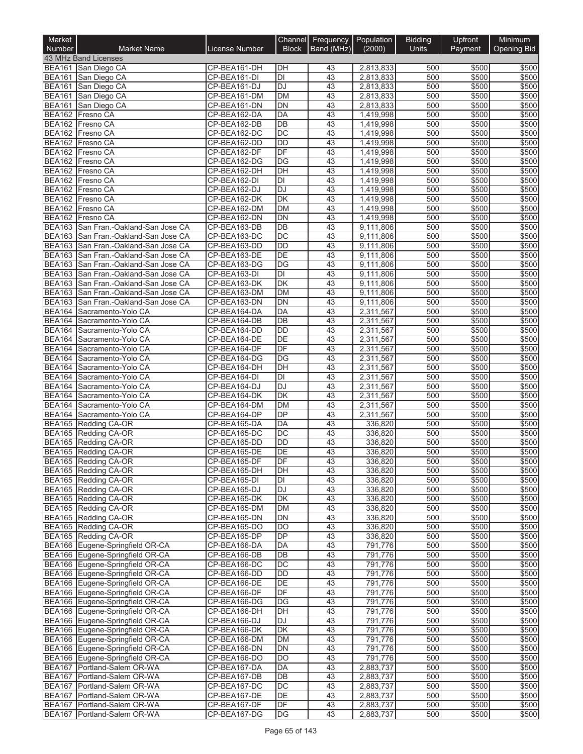| Market        |                                                                        |                              |                       | Channel Frequency Population |                        | <b>Bidding</b> | Upfront        | Minimum            |
|---------------|------------------------------------------------------------------------|------------------------------|-----------------------|------------------------------|------------------------|----------------|----------------|--------------------|
| <b>Number</b> | <b>Market Name</b>                                                     | License Number               | <b>Block</b>          | Band (MHz)                   | (2000)                 | <b>Units</b>   | Payment        | <b>Opening Bid</b> |
|               | 43 MHz Band Licenses<br>BEA161 San Diego CA                            | CP-BEA161-DH                 | DH                    | 43                           | 2,813,833              | 500            | \$500          | \$500              |
| <b>BEA161</b> | San Diego CA                                                           | CP-BEA161-DI                 | DI                    | 43                           | 2,813,833              | 500            | \$500          | \$500              |
| <b>BEA161</b> | San Diego CA                                                           | CP-BEA161-DJ                 | DJ                    | 43                           | 2,813,833              | 500            | \$500          | \$500              |
| <b>BEA161</b> | San Diego CA                                                           | CP-BEA161-DM                 | <b>DM</b>             | 43                           | 2,813,833              | 500            | \$500          | \$500              |
| <b>BEA161</b> | San Diego CA                                                           | CP-BEA161-DN                 | DN                    | 43                           | 2,813,833              | 500            | \$500          | \$500              |
|               | BEA162 Fresno CA                                                       | CP-BEA162-DA                 | DA                    | 43                           | 1,419,998              | 500            | \$500          | \$500              |
|               | BEA162 Fresno CA<br>BEA162 Fresno CA                                   | CP-BEA162-DB<br>CP-BEA162-DC | DB<br>$\overline{DC}$ | 43<br>43                     | 1,419,998<br>1,419,998 | 500<br>500     | \$500<br>\$500 | \$500<br>\$500     |
|               | BEA162 Fresno CA                                                       | CP-BEA162-DD                 | <b>DD</b>             | 43                           | 1,419,998              | 500            | \$500          | \$500              |
|               | BEA162 Fresno CA                                                       | CP-BEA162-DF                 | $\overline{DF}$       | 43                           | 1,419,998              | 500            | \$500          | \$500              |
|               | BEA162 Fresno CA                                                       | CP-BEA162-DG                 | DG                    | 43                           | 1,419,998              | 500            | \$500          | \$500              |
| BEA162        | Fresno CA                                                              | CP-BEA162-DH                 | $\overline{D}$ H      | 43                           | 1,419,998              | 500            | \$500          | \$500              |
|               | BEA162 Fresno CA                                                       | CP-BEA162-DI                 | DI                    | 43                           | 1,419,998              | 500            | \$500          | \$500              |
|               | BEA162 Fresno CA                                                       | CP-BEA162-DJ                 | DJ                    | 43                           | 1,419,998              | 500            | \$500          | \$500              |
|               | BEA162 Fresno CA<br>BEA162 Fresno CA                                   | CP-BEA162-DK                 | DK<br>DM              | 43<br>$\overline{43}$        | 1,419,998              | 500<br>500     | \$500          | \$500<br>\$500     |
|               | BEA162 Fresno CA                                                       | CP-BEA162-DM<br>CP-BEA162-DN | $\overline{DN}$       | 43                           | 1,419,998<br>1,419,998 | 500            | \$500<br>\$500 | \$500              |
|               | BEA163 San Fran.-Oakland-San Jose CA                                   | CP-BEA163-DB                 | DB                    | 43                           | 9,111,806              | 500            | \$500          | \$500              |
|               | BEA163 San Fran.-Oakland-San Jose CA                                   | CP-BEA163-DC                 | $\overline{DC}$       | 43                           | 9,111,806              | 500            | \$500          | \$500              |
|               | BEA163 San Fran.-Oakland-San Jose CA                                   | CP-BEA163-DD                 | <b>DD</b>             | 43                           | 9,111,806              | 500            | \$500          | \$500              |
| <b>BEA163</b> | San Fran.-Oakland-San Jose CA                                          | CP-BEA163-DE                 | DE                    | 43                           | 9,111,806              | 500            | \$500          | \$500              |
|               | BEA163 San Fran.-Oakland-San Jose CA                                   | CP-BEA163-DG                 | DG                    | 43                           | 9,111,806              | 500            | \$500          | \$500              |
| <b>BEA163</b> | San Fran.-Oakland-San Jose CA                                          | CP-BEA163-DI                 | DI                    | 43                           | 9,111,806              | 500            | \$500          | \$500              |
|               | BEA163 San Fran.-Oakland-San Jose CA                                   | CP-BEA163-DK                 | DK                    | 43                           | 9,111,806              | 500            | \$500          | \$500              |
| <b>BEA163</b> | BEA163 San Fran.-Oakland-San Jose CA<br>San Fran - Oakland-San Jose CA | CP-BEA163-DM<br>CP-BEA163-DN | DM<br>DN              | 43<br>43                     | 9,111,806<br>9,111,806 | 500<br>500     | \$500<br>\$500 | \$500<br>\$500     |
|               | BEA164 Sacramento-Yolo CA                                              | CP-BEA164-DA                 | DA                    | 43                           | 2,311,567              | 500            | \$500          | \$500              |
| <b>BEA164</b> | Sacramento-Yolo CA                                                     | CP-BEA164-DB                 | DB                    | 43                           | 2,311,567              | 500            | \$500          | \$500              |
| <b>BEA164</b> | Sacramento-Yolo CA                                                     | CP-BEA164-DD                 | $\overline{DD}$       | 43                           | 2,311,567              | 500            | \$500          | \$500              |
|               | BEA164 Sacramento-Yolo CA                                              | CP-BEA164-DE                 | $\overline{DE}$       | 43                           | 2,311,567              | 500            | \$500          | \$500              |
| <b>BEA164</b> | Sacramento-Yolo CA                                                     | CP-BEA164-DF                 | DF                    | 43                           | 2,311,567              | 500            | \$500          | \$500              |
|               | BEA164 Sacramento-Yolo CA                                              | CP-BEA164-DG                 | DG                    | 43                           | 2,311,567              | 500            | \$500          | \$500              |
|               | BEA164 Sacramento-Yolo CA                                              | CP-BEA164-DH                 | DH                    | 43                           | 2,311,567              | 500            | \$500          | \$500              |
|               | BEA164 Sacramento-Yolo CA                                              | CP-BEA164-DI                 | DI<br><b>DJ</b>       | 43<br>43                     | 2,311,567              | 500<br>500     | \$500<br>\$500 | \$500<br>\$500     |
|               | BEA164 Sacramento-Yolo CA<br>BEA164 Sacramento-Yolo CA                 | CP-BEA164-DJ<br>CP-BEA164-DK | DK                    | 43                           | 2,311,567<br>2,311,567 | 500            | \$500          | \$500              |
| <b>BEA164</b> | Sacramento-Yolo CA                                                     | CP-BEA164-DM                 | DM                    | 43                           | 2,311,567              | 500            | \$500          | \$500              |
|               | BEA164 Sacramento-Yolo CA                                              | CP-BEA164-DP                 | <b>DP</b>             | 43                           | 2,311,567              | 500            | \$500          | \$500              |
|               | BEA165 Redding CA-OR                                                   | CP-BEA165-DA                 | DA                    | 43                           | 336,820                | 500            | \$500          | \$500              |
|               | BEA165 Redding CA-OR                                                   | CP-BEA165-DC                 | DC                    | 43                           | 336,820                | 500            | \$500          | \$500              |
|               | BEA165 Redding CA-OR                                                   | CP-BEA165-DD                 | DD                    | 43                           | 336,820                | 500            | \$500          | \$500              |
|               | BEA165 Redding CA-OR                                                   | CP-BEA165-DE                 | $\overline{DE}$       | $\overline{43}$              | 336,820                | 500            | \$500          | \$500              |
|               | BEA165 Redding CA-OR<br>BEA165 Redding CA-OR                           | CP-BEA165-DF<br>CP-BEA165-DH | DF<br><b>DH</b>       | 43<br>43                     | 336,820 <br>336,820    | 500<br>500     | \$500<br>\$500 | \$500<br>\$500     |
|               | BEA165 Redding CA-OR                                                   | CP-BEA165-DI                 | DI                    | 43                           | 336,820                | 500            | \$500          | \$500              |
|               | BEA165 Redding CA-OR                                                   | CP-BEA165-DJ                 | DJ                    | 43                           | 336,820                | 500            | \$500          | \$500              |
|               | BEA165 Redding CA-OR                                                   | CP-BEA165-DK                 | DK                    | 43                           | 336,820                | 500            | \$500          | \$500              |
|               | BEA165 Redding CA-OR                                                   | CP-BEA165-DM                 | DM                    | 43                           | 336,820                | 500            | \$500          | \$500              |
|               | BEA165 Redding CA-OR                                                   | CP-BEA165-DN                 | DN                    | 43                           | 336,820                | 500            | \$500          | \$500              |
|               | BEA165 Redding CA-OR                                                   | CP-BEA165-DO                 | DO                    | 43                           | 336.820                | 500            | \$500          | \$500              |
|               | BEA165 Redding CA-OR                                                   | CP-BEA165-DP                 | DP                    | 43                           | 336,820                | 500            | \$500          | \$500              |
|               | BEA166 Eugene-Springfield OR-CA<br>BEA166 Eugene-Springfield OR-CA     | CP-BEA166-DA<br>CP-BEA166-DB | DA<br>DB              | 43<br>43                     | 791,776<br>791,776     | 500<br>500     | \$500<br>\$500 | \$500<br>\$500     |
|               | BEA166 Eugene-Springfield OR-CA                                        | CP-BEA166-DC                 | DC                    | 43                           | 791,776                | 500            | \$500          | \$500              |
|               | BEA166 Eugene-Springfield OR-CA                                        | CP-BEA166-DD                 | DD                    | 43                           | 791,776                | 500            | \$500          | \$500              |
|               | BEA166 Eugene-Springfield OR-CA                                        | CP-BEA166-DE                 | DE                    | 43                           | 791,776                | 500            | \$500          | \$500              |
|               | BEA166 Eugene-Springfield OR-CA                                        | CP-BEA166-DF                 | DF                    | 43                           | 791,776                | 500            | \$500          | \$500              |
|               | BEA166 Eugene-Springfield OR-CA                                        | CP-BEA166-DG                 | DG                    | 43                           | 791,776                | 500            | \$500          | \$500              |
|               | BEA166 Eugene-Springfield OR-CA                                        | CP-BEA166-DH                 | DH                    | 43                           | 791,776                | 500            | \$500          | \$500              |
|               | BEA166 Eugene-Springfield OR-CA                                        | CP-BEA166-DJ                 | DJ                    | 43                           | 791,776                | 500            | \$500          | \$500              |
|               | BEA166 Eugene-Springfield OR-CA<br>BEA166 Eugene-Springfield OR-CA     | CP-BEA166-DK<br>CP-BEA166-DM | DK<br>DM              | 43<br>43                     | 791,776<br>791,776     | 500<br>500     | \$500<br>\$500 | \$500<br>\$500     |
|               | BEA166 Eugene-Springfield OR-CA                                        | CP-BEA166-DN                 | DN                    | 43                           | 791,776                | 500            | \$500          | \$500              |
|               | BEA166 Eugene-Springfield OR-CA                                        | CP-BEA166-DO                 | DO                    | 43                           | 791,776                | 500            | \$500          | \$500              |
|               | BEA167 Portland-Salem OR-WA                                            | CP-BEA167-DA                 | DA                    | 43                           | 2,883,737              | 500            | \$500          | \$500              |
|               | BEA167 Portland-Salem OR-WA                                            | CP-BEA167-DB                 | DB                    | 43                           | 2,883,737              | 500            | \$500          | \$500              |
|               | BEA167 Portland-Salem OR-WA                                            | CP-BEA167-DC                 | DC.                   | 43                           | 2,883,737              | 500            | \$500          | \$500              |
|               | BEA167 Portland-Salem OR-WA                                            | CP-BEA167-DE                 | DE                    | 43                           | 2,883,737              | 500            | \$500          | \$500              |
|               | BEA167 Portland-Salem OR-WA<br>BEA167 Portland-Salem OR-WA             | CP-BEA167-DF<br>CP-BEA167-DG | DF<br>DG              | 43<br>43                     | 2,883,737              | 500<br>500     | \$500<br>\$500 | \$500<br>\$500     |
|               |                                                                        |                              |                       |                              | 2,883,737              |                |                |                    |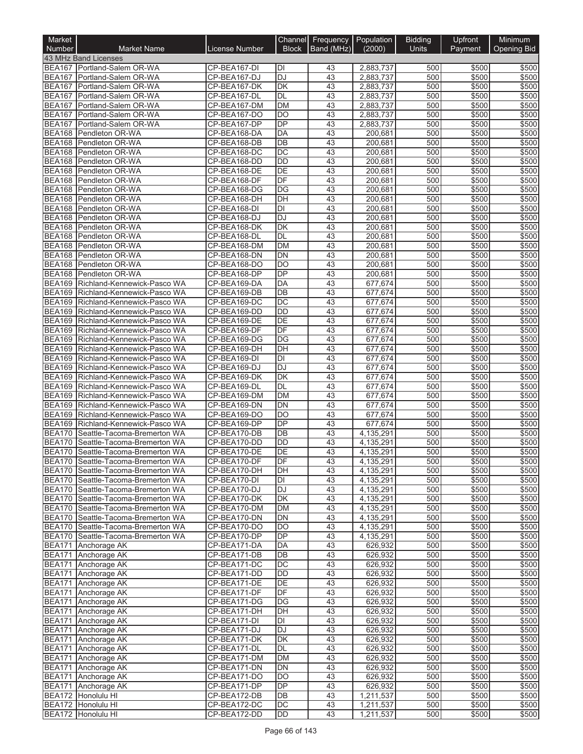| Market<br>Number               | <b>Market Name</b>                                                       | License Number               | <b>Block</b>    | Channel Frequency Population<br>Band (MHz) | (2000)                 | <b>Bidding</b><br><b>Units</b> | Upfront<br>Payment | Minimum<br><b>Opening Bid</b> |
|--------------------------------|--------------------------------------------------------------------------|------------------------------|-----------------|--------------------------------------------|------------------------|--------------------------------|--------------------|-------------------------------|
|                                | 43 MHz Band Licenses                                                     |                              |                 |                                            |                        |                                |                    |                               |
|                                | BEA167 Portland-Salem OR-WA                                              | CP-BEA167-DI                 | IЫ              | 43                                         | 2,883,737              | 500                            | \$500              | \$500                         |
|                                | BEA167   Portland-Salem OR-WA                                            | CP-BEA167-DJ                 | <b>DJ</b>       | 43                                         | 2,883,737              | 500                            | \$500              | \$500                         |
| <b>BEA167</b>                  | Portland-Salem OR-WA                                                     | CP-BEA167-DK                 | DK              | 43                                         | 2,883,737              | 500                            | \$500              | \$500                         |
|                                | BEA167 Portland-Salem OR-WA                                              | CP-BEA167-DL                 | DL              | 43                                         | 2,883,737              | 500                            | \$500              | \$500                         |
| <b>BEA167</b><br><b>BEA167</b> | Portland-Salem OR-WA<br>Portland-Salem OR-WA                             | CP-BEA167-DM<br>CP-BEA167-DO | <b>DM</b><br>DO | 43<br>43                                   | 2,883,737<br>2,883,737 | 500<br>500                     | \$500<br>\$500     | \$500<br>\$500                |
| <b>BEA167</b>                  | Portland-Salem OR-WA                                                     | CP-BEA167-DP                 | <b>DP</b>       | 43                                         | 2,883,737              | 500                            | \$500              | \$500                         |
| <b>BEA168</b>                  | Pendleton OR-WA                                                          | CP-BEA168-DA                 | DA              | 43                                         | 200,681                | 500                            | \$500              | \$500                         |
|                                | BEA168 Pendleton OR-WA                                                   | CP-BEA168-DB                 | DB              | 43                                         | 200,681                | 500                            | \$500              | \$500                         |
| <b>BEA168</b>                  | Pendleton OR-WA                                                          | CP-BEA168-DC                 | DC              | $\overline{43}$                            | 200,681                | 500                            | \$500              | \$500                         |
| <b>BEA168</b>                  | Pendleton OR-WA                                                          | CP-BEA168-DD                 | <b>DD</b>       | 43                                         | 200,681                | 500                            | \$500              | \$500                         |
| <b>BEA168</b>                  | Pendleton OR-WA                                                          | CP-BEA168-DE                 | DE              | 43                                         | 200,681                | 500                            | \$500              | \$500                         |
| BEA168<br><b>BEA168</b>        | Pendleton OR-WA<br>Pendleton OR-WA                                       | CP-BEA168-DF<br>CP-BEA168-DG | DF<br>DG        | 43<br>43                                   | 200,681<br>200,681     | 500<br>500                     | \$500<br>\$500     | \$500<br>\$500                |
| <b>BEA168</b>                  | Pendleton OR-WA                                                          | CP-BEA168-DH                 | DH              | 43                                         | 200,681                | 500                            | \$500              | \$500                         |
| BEA168                         | Pendleton OR-WA                                                          | CP-BEA168-DI                 | $\overline{D}$  | 43                                         | 200,681                | 500                            | \$500              | \$500                         |
| <b>BEA168</b>                  | Pendleton OR-WA                                                          | CP-BEA168-DJ                 | <b>DJ</b>       | 43                                         | 200,681                | 500                            | \$500              | \$500                         |
|                                | BEA168 Pendleton OR-WA                                                   | CP-BEA168-DK                 | <b>DK</b>       | 43                                         | 200,681                | 500                            | \$500              | \$500                         |
|                                | BEA168 Pendleton OR-WA                                                   | CP-BEA168-DL                 | <b>DL</b>       | 43                                         | 200,681                | 500                            | \$500              | \$500                         |
| <b>BEA168</b>                  | Pendleton OR-WA                                                          | CP-BEA168-DM                 | <b>DM</b>       | 43                                         | 200,681                | 500                            | \$500              | \$500                         |
| <b>BEA168</b><br><b>BEA168</b> | Pendleton OR-WA                                                          | CP-BEA168-DN<br>CP-BEA168-DO | <b>DN</b><br>DO | 43<br>43                                   | 200,681<br>200,681     | 500<br>500                     | \$500<br>\$500     | \$500<br>\$500                |
| <b>BEA168</b>                  | Pendleton OR-WA<br>Pendleton OR-WA                                       | CP-BEA168-DP                 | <b>DP</b>       | 43                                         | 200.681                | 500                            | \$500              | \$500                         |
| <b>BEA169</b>                  | Richland-Kennewick-Pasco WA                                              | CP-BEA169-DA                 | DA              | 43                                         | 677,674                | 500                            | \$500              | \$500                         |
|                                | BEA169 Richland-Kennewick-Pasco WA                                       | CP-BEA169-DB                 | DB              | 43                                         | 677,674                | 500                            | \$500              | \$500                         |
| <b>BEA169</b>                  | Richland-Kennewick-Pasco WA                                              | CP-BEA169-DC                 | DC              | 43                                         | 677,674                | 500                            | \$500              | \$500                         |
|                                | BEA169 Richland-Kennewick-Pasco WA                                       | CP-BEA169-DD                 | <b>DD</b>       | 43                                         | 677,674                | 500                            | \$500              | \$500                         |
| <b>BEA169</b>                  | Richland-Kennewick-Pasco WA                                              | CP-BEA169-DE                 | <b>DE</b>       | 43                                         | 677,674                | 500                            | \$500              | \$500                         |
| <b>BEA169</b>                  | Richland-Kennewick-Pasco WA                                              | CP-BEA169-DF                 | DF              | 43                                         | 677,674                | 500                            | \$500              | \$500                         |
| <b>BEA169</b>                  | Richland-Kennewick-Pasco WA<br>BEA169 Richland-Kennewick-Pasco WA        | CP-BEA169-DG                 | DG              | 43<br>43                                   | 677,674<br>677,674     | 500                            | \$500<br>\$500     | \$500<br>\$500                |
| <b>BEA169</b>                  | Richland-Kennewick-Pasco WA                                              | CP-BEA169-DH<br>CP-BEA169-DI | DH<br>DI        | 43                                         | 677,674                | 500<br>500                     | \$500              | \$500                         |
| <b>BEA169</b>                  | Richland-Kennewick-Pasco WA                                              | CP-BEA169-DJ                 | <b>DJ</b>       | 43                                         | 677,674                | 500                            | \$500              | \$500                         |
| <b>BEA169</b>                  | Richland-Kennewick-Pasco WA                                              | CP-BEA169-DK                 | <b>DK</b>       | 43                                         | 677,674                | 500                            | \$500              | \$500                         |
|                                | BEA169 Richland-Kennewick-Pasco WA                                       | CP-BEA169-DL                 | <b>DL</b>       | 43                                         | 677,674                | 500                            | \$500              | \$500                         |
| <b>BEA169</b>                  | Richland-Kennewick-Pasco WA                                              | CP-BEA169-DM                 | <b>DM</b>       | 43                                         | 677,674                | 500                            | \$500              | \$500                         |
| <b>BEA169</b>                  | Richland-Kennewick-Pasco WA                                              | CP-BEA169-DN                 | DN              | 43                                         | 677,674                | 500                            | \$500              | \$500                         |
| <b>BEA169</b>                  | Richland-Kennewick-Pasco WA                                              | CP-BEA169-DO                 | <b>DO</b>       | 43                                         | 677,674                | 500                            | \$500              | \$500                         |
| <b>BEA169</b><br><b>BEA170</b> | Richland-Kennewick-Pasco WA<br>Seattle-Tacoma-Bremerton WA               | CP-BEA169-DP<br>CP-BEA170-DB | <b>DP</b><br>DB | 43<br>43                                   | 677,674<br>4,135,291   | 500<br>500                     | \$500<br>\$500     | \$500<br>\$500                |
| <b>BEA170</b>                  | Seattle-Tacoma-Bremerton WA                                              | CP-BEA170-DD                 | DD              | 43                                         | 4,135,291              | 500                            | \$500              | \$500                         |
| <b>BEA170</b>                  | Seattle-Tacoma-Bremerton WA                                              | CP-BEA170-DE                 | <b>DE</b>       | 43                                         | 4,135,291              | 500                            | \$500              | \$500                         |
|                                | BEA170 Seattle-Tacoma-Bremerton WA                                       | CP-BEA170-DF                 | IDF             | 43                                         | 4,135,291              | 500                            | \$500              | \$500                         |
|                                | BEA170 Seattle-Tacoma-Bremerton WA                                       | CP-BEA170-DH                 | <b>DH</b>       | 43                                         | 4,135,291              | 500                            | \$500              | \$500                         |
|                                | BEA170 Seattle-Tacoma-Bremerton WA                                       | CP-BEA170-DI                 | DI              | 43                                         | 4,135,291              | 500                            | \$500              | \$500                         |
|                                | BEA170 Seattle-Tacoma-Bremerton WA                                       | CP-BEA170-DJ                 | <b>DJ</b>       | 43                                         | 4,135,291              | 500                            | \$500              | \$500                         |
|                                | BEA170 Seattle-Tacoma-Bremerton WA<br>BEA170 Seattle-Tacoma-Bremerton WA | CP-BEA170-DK                 | <b>DK</b>       | 43                                         | 4,135,291<br>4,135,291 | 500                            | \$500              | \$500                         |
|                                | BEA170 Seattle-Tacoma-Bremerton WA                                       | CP-BEA170-DM<br>CP-BEA170-DN | DM<br>DN        | 43<br>43                                   | 4,135,291              | 500<br>500                     | \$500<br>\$500     | \$500<br>\$500                |
|                                | BEA170 Seattle-Tacoma-Bremerton WA                                       | CP-BEA170-DO                 | DO              | 43                                         | 4,135,291              | 500                            | \$500              | \$500                         |
|                                | BEA170 Seattle-Tacoma-Bremerton WA                                       | CP-BEA170-DP                 | <b>DP</b>       | 43                                         | 4,135,291              | 500                            | \$500              | \$500                         |
|                                | BEA171 Anchorage AK                                                      | CP-BEA171-DA                 | DA              | 43                                         | 626,932                | 500                            | \$500              | \$500                         |
|                                | BEA171 Anchorage AK                                                      | CP-BEA171-DB                 | <b>DB</b>       | 43                                         | 626,932                | 500                            | \$500              | \$500                         |
|                                | BEA171 Anchorage AK                                                      | CP-BEA171-DC                 | DC              | 43                                         | 626,932                | 500                            | \$500              | \$500                         |
|                                | BEA171 Anchorage AK                                                      | CP-BEA171-DD                 | DD              | 43                                         | 626,932                | 500                            | \$500              | \$500                         |
| <b>BEA171</b>                  | BEA171 Anchorage AK<br>Anchorage AK                                      | CP-BEA171-DE<br>CP-BEA171-DF | DE<br>DF        | 43<br>43                                   | 626,932<br>626,932     | 500<br>500                     | \$500<br>\$500     | \$500<br>\$500                |
|                                | BEA171 Anchorage AK                                                      | CP-BEA171-DG                 | DG              | 43                                         | 626,932                | 500                            | \$500              | \$500                         |
| <b>BEA171</b>                  | Anchorage AK                                                             | CP-BEA171-DH                 | DH              | 43                                         | 626,932                | 500                            | \$500              | \$500                         |
| <b>BEA171</b>                  | Anchorage AK                                                             | CP-BEA171-DI                 | DI              | 43                                         | 626,932                | 500                            | \$500              | \$500                         |
|                                | BEA171 Anchorage AK                                                      | CP-BEA171-DJ                 | <b>DJ</b>       | 43                                         | 626,932                | 500                            | \$500              | \$500                         |
|                                | BEA171 Anchorage AK                                                      | CP-BEA171-DK                 | DK              | 43                                         | 626,932                | 500                            | \$500              | \$500                         |
| <b>BEA171</b>                  | Anchorage AK                                                             | CP-BEA171-DL                 | DL              | 43                                         | 626,932                | 500                            | \$500              | \$500                         |
|                                | BEA171 Anchorage AK                                                      | CP-BEA171-DM                 | <b>DM</b>       | 43                                         | 626,932                | 500                            | \$500              | \$500                         |
|                                | BEA171 Anchorage AK<br>BEA171 Anchorage AK                               | CP-BEA171-DN<br>CP-BEA171-DO | DN<br>DO        | 43<br>43                                   | 626,932<br>626,932     | 500<br>500                     | \$500<br>\$500     | \$500<br>\$500                |
|                                | BEA171 Anchorage AK                                                      | CP-BEA171-DP                 | <b>DP</b>       | 43                                         | 626,932                | 500                            | \$500              | \$500                         |
|                                | BEA172 Honolulu HI                                                       | CP-BEA172-DB                 | DB              | 43                                         | 1,211,537              | 500                            | \$500              | \$500                         |
|                                | BEA172 Honolulu HI                                                       | CP-BEA172-DC                 | DC              | 43                                         | 1,211,537              | 500                            | \$500              | \$500                         |
|                                | BEA172 Honolulu HI                                                       | CP-BEA172-DD                 | DD              | 43                                         | 1,211,537              | 500                            | \$500              | \$500                         |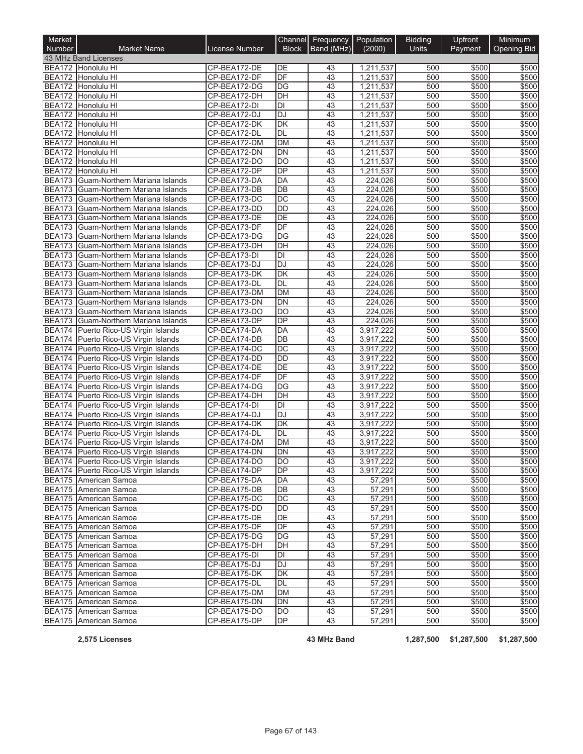| Market        |                                                                              |                              |                         | Channel Frequency Population |                        | <b>Bidding</b> | <b>Upfront</b> | Minimum            |
|---------------|------------------------------------------------------------------------------|------------------------------|-------------------------|------------------------------|------------------------|----------------|----------------|--------------------|
| Number        | <b>Market Name</b>                                                           | License Number               | <b>Block</b>            | Band (MHz)                   | (2000)                 | <b>Units</b>   | Payment        | <b>Opening Bid</b> |
|               | 43 MHz Band Licenses<br>BEA172 Honolulu HI                                   |                              | DE                      |                              |                        |                |                |                    |
|               | BEA172 Honolulu HI                                                           | CP-BEA172-DE<br>CP-BEA172-DF | $\overline{DF}$         | 43<br>43                     | 1,211,537<br>1,211,537 | 500<br>500     | \$500<br>\$500 | \$500<br>\$500     |
|               | BEA172 Honolulu HI                                                           | CP-BEA172-DG                 | DG                      | 43                           | 1,211,537              | 500            | \$500          | \$500              |
|               | BEA172 Honolulu HI                                                           | CP-BEA172-DH                 | DH                      | 43                           | 1,211,537              | 500            | \$500          | \$500              |
|               | BEA172 Honolulu HI                                                           | CP-BEA172-DI                 | $\overline{D}$          | 43                           | 1,211,537              | 500            | \$500          | \$500              |
|               | BEA172 Honolulu HI                                                           | CP-BEA172-DJ                 | <b>DJ</b>               | 43                           | 1,211,537              | 500            | \$500          | \$500              |
|               | BEA172 Honolulu HI                                                           | CP-BEA172-DK                 | DK                      | 43                           | 1,211,537              | 500            | \$500          | \$500              |
|               | BEA172 Honolulu HI                                                           | CP-BEA172-DL                 | DL                      | 43                           | 1,211,537              | 500            | \$500          | \$500              |
|               | BEA172 Honolulu HI                                                           | CP-BEA172-DM                 | <b>DM</b>               | 43                           | 1,211,537              | 500            | \$500          | \$500              |
|               | BEA172 Honolulu HI                                                           | CP-BEA172-DN                 | DN                      | 43                           | 1,211,537              | 500            | \$500          | \$500              |
|               | BEA172 Honolulu HI                                                           | CP-BEA172-DO                 | $\overline{DO}$         | 43                           | 1,211,537              | 500            | \$500          | \$500              |
|               | BEA172 Honolulu HI                                                           | CP-BEA172-DP                 | $\overline{DP}$         | 43                           | 1,211,537              | 500            | \$500          | \$500              |
| <b>BEA173</b> | Guam-Northern Mariana Islands                                                | CP-BEA173-DA                 | DA                      | 43                           | 224,026                | 500            | \$500          | \$500              |
|               | BEA173 Guam-Northern Mariana Islands                                         | CP-BEA173-DB                 | DB                      | 43                           | 224,026                | 500            | \$500          | \$500              |
|               | BEA173 Guam-Northern Mariana Islands                                         | CP-BEA173-DC                 | DC                      | 43                           | 224,026                | 500            | \$500          | \$500              |
|               | BEA173 Guam-Northern Mariana Islands                                         | CP-BEA173-DD                 | $\overline{DD}$         | 43                           | 224,026                | 500            | \$500          | \$500              |
|               | BEA173 Guam-Northern Mariana Islands                                         | CP-BEA173-DE                 | DE                      | 43                           | 224,026                | 500            | \$500          | \$500              |
|               | BEA173 Guam-Northern Mariana Islands                                         | CP-BEA173-DF                 | $\overline{DF}$         | 43                           | 224,026                | 500            | \$500          | \$500              |
|               | BEA173 Guam-Northern Mariana Islands                                         | CP-BEA173-DG                 | DG                      | 43                           | 224.026                | 500            | \$500          | \$500              |
| <b>BEA173</b> | Guam-Northern Mariana Islands                                                | CP-BEA173-DH                 | DH                      | 43                           | 224,026                | 500            | \$500          | \$500              |
| BEA173        | Guam-Northern Mariana Islands                                                | CP-BEA173-DI                 | DI                      | 43                           | 224,026                | 500            | \$500          | \$500              |
| <b>BEA173</b> | Guam-Northern Mariana Islands                                                | CP-BEA173-DJ                 | DJ                      | 43                           | 224.026                | 500            | \$500          | \$500              |
|               | BEA173 Guam-Northern Mariana Islands                                         | CP-BEA173-DK                 | DK                      | 43                           | 224,026                | 500            | \$500          | \$500              |
| <b>BEA173</b> | Guam-Northern Mariana Islands                                                | CP-BEA173-DL                 | DL                      | 43                           | 224,026                | 500            | \$500          | \$500              |
| <b>BEA173</b> | Guam-Northern Mariana Islands                                                | CP-BEA173-DM                 | DM                      | 43                           | 224,026                | 500            | \$500          | \$500              |
|               | BEA173 Guam-Northern Mariana Islands<br>BEA173 Guam-Northern Mariana Islands | CP-BEA173-DN<br>CP-BEA173-DO | DN<br>$\overline{DO}$   | 43<br>43                     | 224,026<br>224,026     | 500<br>500     | \$500<br>\$500 | \$500<br>\$500     |
|               | BEA173 Guam-Northern Mariana Islands                                         | CP-BEA173-DP                 | $\overline{DP}$         | 43                           | 224,026                | 500            | \$500          | \$500              |
|               | BEA174 Puerto Rico-US Virgin Islands                                         | CP-BEA174-DA                 | DA                      | 43                           | 3,917,222              | 500            | \$500          | \$500              |
|               | BEA174 Puerto Rico-US Virgin Islands                                         | CP-BEA174-DB                 | DB                      | 43                           | 3,917,222              | 500            | \$500          | \$500              |
|               | BEA174 Puerto Rico-US Virgin Islands                                         | CP-BEA174-DC                 | DC                      | 43                           | 3,917,222              | 500            | \$500          | \$500              |
|               | BEA174 Puerto Rico-US Virgin Islands                                         | CP-BEA174-DD                 | <b>DD</b>               | 43                           | 3,917,222              | 500            | \$500          | \$500              |
|               | BEA174 Puerto Rico-US Virgin Islands                                         | CP-BEA174-DE                 | DE                      | 43                           | 3,917,222              | 500            | \$500          | \$500              |
|               | BEA174 Puerto Rico-US Virgin Islands                                         | CP-BEA174-DF                 | DF                      | 43                           | 3,917,222              | 500            | \$500          | \$500              |
|               | BEA174 Puerto Rico-US Virgin Islands                                         | CP-BEA174-DG                 | DG                      | 43                           | 3,917,222              | 500            | \$500          | \$500              |
|               | BEA174 Puerto Rico-US Virgin Islands                                         | CP-BEA174-DH                 | DH                      | $\overline{43}$              | 3,917,222              | 500            | \$500          | \$500              |
|               | BEA174 Puerto Rico-US Virgin Islands                                         | CP-BEA174-DI                 | $\overline{\mathsf{D}}$ | 43                           | 3,917,222              | 500            | \$500          | \$500              |
|               | BEA174 Puerto Rico-US Virgin Islands                                         | CP-BEA174-DJ                 | DJ                      | 43                           | 3,917,222              | 500            | \$500          | \$500              |
|               | BEA174 Puerto Rico-US Virgin Islands                                         | CP-BEA174-DK                 | DK                      | 43                           | 3,917,222              | 500            | \$500          | \$500              |
|               | BEA174 Puerto Rico-US Virgin Islands                                         | CP-BEA174-DL                 | DL                      | 43                           | 3,917,222              | 500            | \$500          | \$500              |
|               | BEA174 Puerto Rico-US Virgin Islands                                         | CP-BEA174-DM                 | DM                      | 43                           | 3,917,222              | 500            | \$500          | \$500              |
|               | BEA174 Puerto Rico-US Virgin Islands                                         | CP-BEA174-DN                 | DN                      | 43                           | 3,917,222              | 500            | \$500          | \$500              |
|               | BEA174 Puerto Rico-US Virgin Islands                                         | CP-BEA174-DO                 | <b>DO</b>               | 43                           | 3,917,222              | 500            | \$500          | \$500              |
|               | BEA174 Puerto Rico-US Virgin Islands                                         | CP-BEA174-DP                 | <b>DP</b>               | 43                           | 3,917,222              | 500            | \$500          | \$500              |
|               | BEA175 American Samoa                                                        | CP-BEA175-DA                 | DA                      | 43                           | 57,291                 | 500            | \$500          | \$500              |
|               | BEA175 American Samoa                                                        | CP-BEA175-DB                 | DB                      | 43                           | 57,291                 | 500            | \$500          | \$500              |
|               | BEA175 American Samoa                                                        | CP-BEA175-DC                 | DC                      | 43                           | 57,291                 | 500            | \$500          | \$500              |
|               | BEA175 American Samoa                                                        | CP-BEA175-DD                 | DD                      | 43                           | 57,291                 | 500            | \$500          | \$500              |
|               | BEA175 American Samoa                                                        | CP-BEA175-DE                 | DE                      | 43                           | 57,291                 | 500            | \$500          | \$500              |
|               | BEA175 American Samoa                                                        | CP-BEA175-DF                 | DF                      | 43                           | 57,291                 | 500            | \$500          | \$500              |
|               | BEA175 American Samoa                                                        | CP-BEA175-DG                 | DG                      | 43                           | 57,291                 | 500            | \$500          | \$500              |
|               | BEA175 American Samoa                                                        | CP-BEA175-DH                 | DH                      | 43                           | 57,291                 | 500            | \$500          | \$500              |
|               | BEA175 American Samoa                                                        | CP-BEA175-DI                 | DI                      | 43                           | 57,291                 | 500            | \$500          | \$500              |
|               | BEA175 American Samoa                                                        | CP-BEA175-DJ                 | DJ                      | 43                           | 57,291                 | 500            | \$500          | \$500              |
|               | BEA175 American Samoa                                                        | CP-BEA175-DK                 | DK                      | 43                           | 57,291                 | 500            | \$500          | \$500              |
|               | BEA175 American Samoa                                                        | CP-BEA175-DL                 | DL                      | 43                           | 57,291                 | 500            | \$500          | \$500              |
|               | BEA175 American Samoa                                                        | CP-BEA175-DM                 | DM                      | 43                           | 57,291                 | 500            | \$500          | \$500              |
|               | BEA175 American Samoa                                                        | CP-BEA175-DN                 | DN                      | 43                           | 57,291                 | 500            | \$500          | \$500              |
|               | BEA175 American Samoa                                                        | CP-BEA175-DO                 | DO                      | 43                           | 57,291                 | 500            | \$500          | \$500              |
|               | BEA175 American Samoa                                                        | CP-BEA175-DP                 | DP                      | 43                           | 57,291                 | 500            | \$500          | \$500              |

**2,575 Licenses 43 MHz Band 1,287,500 \$1,287,500 \$1,287,500**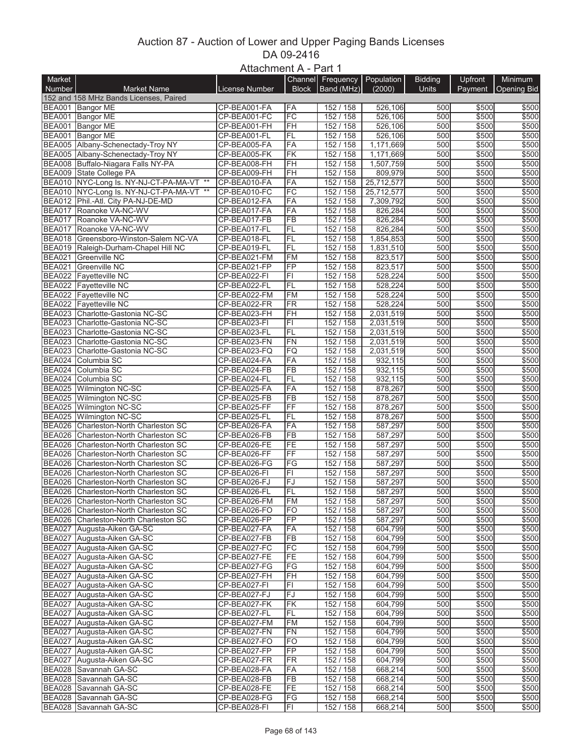## Auction 87 - Auction of Lower and Upper Paging Bands Licenses DA 09-2416 Attachment A - Part 1

|               |                                                            | AlldUIIIIEIIL A - Fail I |                 |                                       |            |                |         |                    |
|---------------|------------------------------------------------------------|--------------------------|-----------------|---------------------------------------|------------|----------------|---------|--------------------|
| Market        |                                                            |                          |                 | Channel Frequency<br>Block Band (MHz) | Population | <b>Bidding</b> | Upfront | Minimum            |
| Number        | <b>Market Name</b>                                         | License Number           |                 |                                       | (2000)     | <b>Units</b>   | Payment | <b>Opening Bid</b> |
|               | 152 and 158 MHz Bands Licenses, Paired<br>BEA001 Bangor ME | CP-BEA001-FA             | FA              | 152 / 158                             | 526,106    | 500            | \$500   | \$500              |
|               | BEA001 Bangor ME                                           | CP-BEA001-FC             | FC              | 152 / 158                             | 526,106    | 500            | \$500   | \$500              |
|               | BEA001 Bangor ME                                           | CP-BEA001-FH             | FH              | 152 / 158                             | 526,106    | 500            | \$500   | \$500              |
|               | BEA001 Bangor ME                                           | CP-BEA001-FL             | FL              | 152 / 158                             | 526,106    | 500            | \$500   | \$500              |
|               | BEA005 Albany-Schenectady-Troy NY                          | CP-BEA005-FA             | FA              | 152 / 158                             | 1,171,669  | 500            | \$500   | \$500              |
|               | BEA005 Albany-Schenectady-Troy NY                          | CP-BEA005-FK             | <b>FK</b>       | 152 / 158                             | 1,171,669  | 500            | \$500   | \$500              |
|               | BEA008 Buffalo-Niagara Falls NY-PA                         | CP-BEA008-FH             | FH              | 152 / 158                             | 1.507.759  | 500            | \$500   | \$500              |
|               | BEA009 State College PA                                    | CP-BEA009-FH             | FH              | 152 / 158                             | 809,979    | 500            | \$500   | \$500              |
|               | BEA010 NYC-Long Is. NY-NJ-CT-PA-MA-VT **                   | CP-BEA010-FA             | FA              | 152 / 158                             | 25,712,577 | 500            | \$500   | \$500              |
|               | BEA010 NYC-Long Is. NY-NJ-CT-PA-MA-VT **                   | CP-BEA010-FC             | FC              | 152 / 158                             | 25,712,577 | 500            | \$500   | \$500              |
|               | BEA012 Phil.-Atl. City PA-NJ-DE-MD                         | CP-BEA012-FA             | FA              | 152 / 158                             | 7,309,792  | 500            | \$500   | \$500              |
|               | BEA017 Roanoke VA-NC-WV                                    | CP-BEA017-FA             | FA              | 152 / 158                             | 826,284    | 500            | \$500   | \$500              |
| <b>BEA017</b> | Roanoke VA-NC-WV                                           | CP-BEA017-FB             | <b>FB</b>       | 152 / 158                             | 826,284    | 500            | \$500   | \$500              |
|               | BEA017 Roanoke VA-NC-WV                                    | CP-BEA017-FL             | <b>FL</b>       | 152 / 158                             | 826,284    | 500            | \$500   | \$500              |
|               | BEA018 Greensboro-Winston-Salem NC-VA                      | CP-BEA018-FL             | FL              | 152 / 158                             | 1,854,853  | 500            | \$500   | \$500              |
|               | BEA019 Raleigh-Durham-Chapel Hill NC                       | CP-BEA019-FL             | FL              | 152 / 158                             | 1,831,510  | 500            | \$500   | \$500              |
| <b>BEA021</b> | Greenville NC                                              | CP-BEA021-FM             | <b>FM</b>       | 152 / 158                             | 823,517    | 500            | \$500   | \$500              |
| <b>BEA021</b> | <b>Greenville NC</b>                                       | CP-BEA021-FP             | FP              | 152 / 158                             | 823,517    | 500            | \$500   | \$500              |
|               | BEA022 Fayetteville NC                                     | CP-BEA022-FI             | F1              | 152 / 158                             | 528,224    | 500            | \$500   | \$500              |
|               | BEA022 Fayetteville NC                                     | CP-BEA022-FL             | FL              | 152 / 158                             | 528.224    | 500            | \$500   | \$500              |
|               | BEA022 Fayetteville NC                                     | CP-BEA022-FM             | <b>FM</b>       | 152 / 158                             | 528,224    | 500            | \$500   | \$500              |
|               | <b>BEA022</b> Fayetteville NC                              | CP-BEA022-FR             | <b>FR</b>       | 152 / 158                             | 528.224    | 500            | \$500   | \$500              |
|               | BEA023 Charlotte-Gastonia NC-SC                            | CP-BEA023-FH             | FH              | 152 / 158                             | 2,031,519  | 500            | \$500   | \$500              |
| <b>BEA023</b> | Charlotte-Gastonia NC-SC                                   | CP-BEA023-FI             | F1              | 152 / 158                             | 2,031,519  | 500            | \$500   | \$500              |
|               | BEA023 Charlotte-Gastonia NC-SC                            | CP-BEA023-FL             | FL              | 152 / 158                             | 2,031,519  | 500            | \$500   | \$500              |
| BEA023        | Charlotte-Gastonia NC-SC                                   | CP-BEA023-FN             | <b>FN</b>       | 152 / 158                             | 2,031,519  | 500            | \$500   | \$500              |
| <b>BEA023</b> | Charlotte-Gastonia NC-SC                                   | CP-BEA023-FQ             | FQ              | 152 / 158                             | 2,031,519  | 500            | \$500   | \$500              |
|               | BEA024 Columbia SC                                         | CP-BEA024-FA             | FA              | 152 / 158                             | 932,115    | 500            | \$500   | \$500              |
| <b>BEA024</b> | Columbia SC                                                | CP-BEA024-FB             | <b>FB</b>       | 152 / 158                             | 932,115    | 500            | \$500   | \$500              |
| <b>BEA024</b> | Columbia SC                                                | CP-BEA024-FL             | <b>FL</b>       | 152 / 158                             | 932,115    | 500            | \$500   | \$500              |
|               | BEA025 Wilmington NC-SC                                    | CP-BEA025-FA             | FA              | 152 / 158                             | 878,267    | 500            | \$500   | \$500              |
|               | BEA025 Wilmington NC-SC                                    | CP-BEA025-FB             | <b>FB</b>       | 152 / 158                             | 878,267    | 500            | \$500   | \$500              |
|               | BEA025 Wilmington NC-SC                                    | CP-BEA025-FF             | FF              | 152 / 158                             | 878,267    | 500            | \$500   | \$500              |
|               | BEA025 Wilmington NC-SC                                    | CP-BEA025-FL             | FL              | 152 / 158                             | 878,267    | 500            | \$500   | \$500              |
| <b>BEA026</b> | Charleston-North Charleston SC                             | CP-BEA026-FA             | FA              | 152 / 158                             | 587,297    | 500            | \$500   | \$500              |
| <b>BEA026</b> | Charleston-North Charleston SC                             | CP-BEA026-FB             | FB              | 152 / 158                             | 587,297    | 500            | \$500   | \$500              |
|               | BEA026 Charleston-North Charleston SC                      | CP-BEA026-FE             | FE              | 152 / 158                             | 587,297    | 500            | \$500   | \$500              |
| BEA026        | Charleston-North Charleston SC                             | CP-BEA026-FF             | FF              | 152 / 158                             | 587,297    | 500            | \$500   | \$500              |
| BEA026        | Charleston-North Charleston SC                             | CP-BEA026-FG             | FG              | 152 / 158                             | 587,297    | 500            | \$500   | \$500              |
| <b>BEA026</b> | Charleston-North Charleston SC                             | CP-BEA026-FI             | $\overline{FI}$ | 152 / 158                             | 587,297    | 500            | \$500   | \$500              |
| <b>BEA026</b> | Charleston-North Charleston SC                             | CP-BEA026-FJ             | FJ              | 152 / 158                             | 587,297    | 500            | \$500   | \$500              |
|               | BEA026 Charleston-North Charleston SC                      | CP-BEA026-FL             | FL              | 152/158                               | 587,297    | 500            | \$500   | \$500              |
|               | BEA026 Charleston-North Charleston SC                      | CP-BEA026-FM             | FM              | 152 / 158                             | 587,297    | 500            | \$500   | \$500              |
|               | BEA026 Charleston-North Charleston SC                      | CP-BEA026-FO             | FO              | 152 / 158                             | 587,297    | 500            | \$500   | \$500              |
| <b>BEA026</b> | Charleston-North Charleston SC                             | CP-BEA026-FP             | FP              | 152 / 158                             | 587,297    | 500            | \$500   | \$500              |
|               | BEA027 Augusta-Aiken GA-SC                                 | CP-BEA027-FA             | FA              | 152 / 158                             | 604,799    | 500            | \$500   | \$500              |
|               | BEA027 Augusta-Aiken GA-SC                                 | CP-BEA027-FB             | <b>FB</b>       | 152 / 158                             | 604,799    | 500            | \$500   | \$500              |
|               | BEA027 Augusta-Aiken GA-SC                                 | CP-BEA027-FC             | FC              | 152 / 158                             | 604,799    | 500            | \$500   | \$500              |
|               | BEA027 Augusta-Aiken GA-SC                                 | CP-BEA027-FE             | FE              | 152 / 158                             | 604,799    | 500            | \$500   | \$500              |
|               | BEA027 Augusta-Aiken GA-SC                                 | CP-BEA027-FG             | FG              | 152 / 158                             | 604,799    | 500            | \$500   | \$500              |
|               | BEA027 Augusta-Aiken GA-SC                                 | CP-BEA027-FH             | FH              | 152 / 158                             | 604,799    | 500            | \$500   | \$500              |
|               | BEA027 Augusta-Aiken GA-SC                                 | CP-BEA027-FI             | FI              | 152 / 158                             | 604,799    | 500            | \$500   | \$500              |
|               | BEA027 Augusta-Aiken GA-SC                                 | CP-BEA027-FJ             | FJ              | 152 / 158                             | 604,799    | 500            | \$500   | \$500              |
|               | BEA027 Augusta-Aiken GA-SC                                 | CP-BEA027-FK             | FK              | 152/158                               | 604.799    | 500            | \$500   | \$500              |
| <b>BEA027</b> | Augusta-Aiken GA-SC                                        | CP-BEA027-FL             | <b>FL</b>       | 152 / 158                             | 604.799    | 500            | \$500   | \$500              |
|               | BEA027 Augusta-Aiken GA-SC                                 | CP-BEA027-FM             | FM              | 152 / 158                             | 604,799    | 500            | \$500   | \$500              |
|               | BEA027 Augusta-Aiken GA-SC                                 | CP-BEA027-FN             | FN              | 152 / 158                             | 604,799    | 500            | \$500   | \$500              |
|               | BEA027 Augusta-Aiken GA-SC                                 | CP-BEA027-FO             | <b>FO</b>       | 152 / 158                             | 604,799    | 500            | \$500   | \$500              |
|               | BEA027 Augusta-Aiken GA-SC                                 | CP-BEA027-FP             | FP              | 152 / 158                             | 604,799    | 500            | \$500   | \$500              |
|               | BEA027 Augusta-Aiken GA-SC                                 | CP-BEA027-FR             | FR              | 152 / 158                             | 604,799    | 500            | \$500   | \$500              |
| <b>BEA028</b> | Savannah GA-SC                                             | CP-BEA028-FA             | FA              | 152 / 158                             | 668,214    | 500            | \$500   | \$500              |
| <b>BEA028</b> | Savannah GA-SC                                             | CP-BEA028-FB             | <b>FB</b>       | 152 / 158                             | 668,214    | 500            | \$500   | \$500              |
|               | BEA028 Savannah GA-SC                                      | CP-BEA028-FE             | FE              | 152 / 158                             | 668,214    | 500            | \$500   | \$500              |
| <b>BEA028</b> | Savannah GA-SC                                             | CP-BEA028-FG             | FG              | 152 / 158                             | 668,214    | 500            | \$500   | \$500              |
| <b>BEA028</b> | Savannah GA-SC                                             | CP-BEA028-FI             | FI              | 152 / 158                             | 668,214    | 500            | \$500   | \$500              |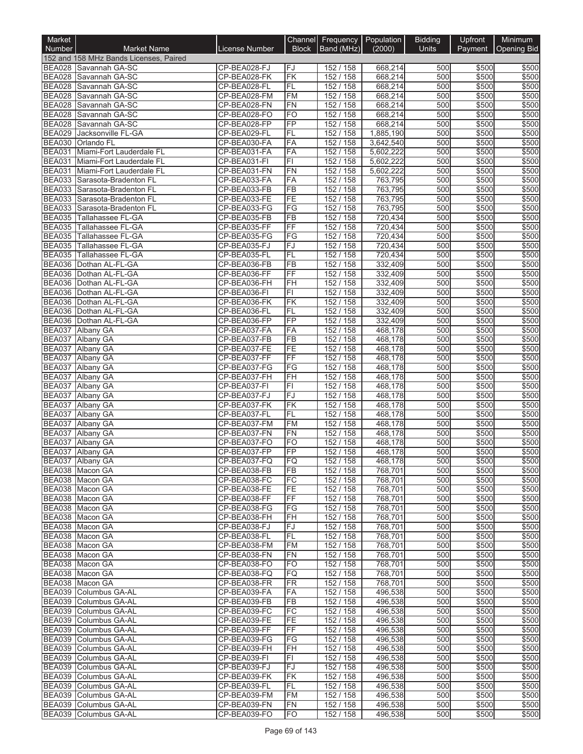| Market                         |                                                                 |                              |                 | Channel Frequency Population |                        | <b>Bidding</b> | Upfront        | Minimum        |
|--------------------------------|-----------------------------------------------------------------|------------------------------|-----------------|------------------------------|------------------------|----------------|----------------|----------------|
| <b>Number</b>                  | <b>Market Name</b>                                              | License Number               | <b>Block</b>    | Band (MHz)                   | (2000)                 | Units          | Payment        | Opening Bid    |
|                                | 152 and 158 MHz Bands Licenses, Paired<br>BEA028 Savannah GA-SC | CP-BEA028-FJ                 | FJ              | 152 / 158                    | 668,214                | 500            | \$500          | \$500          |
|                                | BEA028 Savannah GA-SC                                           | CP-BEA028-FK                 | FK              | 152 / 158                    | 668,214                | 500            | \$500          | \$500          |
|                                | BEA028 Savannah GA-SC                                           | CP-BEA028-FL                 | FL              | 152 / 158                    | 668,214                | 500            | \$500          | \$500          |
| <b>BEA028</b>                  | Savannah GA-SC                                                  | CP-BEA028-FM                 | <b>FM</b>       | 152 / 158                    | 668,214                | 500            | \$500          | \$500          |
|                                | BEA028 Savannah GA-SC                                           | CP-BEA028-FN                 | FN              | 152 / 158                    | 668,214                | 500            | \$500          | \$500          |
| <b>BEA028</b>                  | Savannah GA-SC                                                  | CP-BEA028-FO                 | <b>FO</b>       | 152 / 158                    | 668,214                | 500            | \$500          | \$500          |
| <b>BEA028</b>                  | Savannah GA-SC                                                  | CP-BEA028-FP                 | FP              | 152 / 158                    | 668,214                | 500            | \$500          | \$500          |
|                                | BEA029 Jacksonville FL-GA<br>BEA030 Orlando FL                  | CP-BEA029-FL<br>CP-BEA030-FA | FL<br>FA        | 152 / 158<br>152 / 158       | 1,885,190<br>3,642,540 | 500<br>500     | \$500<br>\$500 | \$500<br>\$500 |
| <b>BEA031</b>                  | Miami-Fort Lauderdale FL                                        | CP-BEA031-FA                 | FA              | 152 / 158                    | 5,602,222              | 500            | \$500          | \$500          |
|                                | BEA031 Miami-Fort Lauderdale FL                                 | CP-BEA031-FI                 | FI              | 152 / 158                    | 5,602,222              | 500            | \$500          | \$500          |
| <b>BEA031</b>                  | Miami-Fort Lauderdale FL                                        | CP-BEA031-FN                 | FN              | 152 / 158                    | 5,602,222              | 500            | \$500          | \$500          |
|                                | BEA033 Sarasota-Bradenton FL                                    | CP-BEA033-FA                 | FA              | 152 / 158                    | 763,795                | 500            | \$500          | \$500          |
|                                | BEA033 Sarasota-Bradenton FL                                    | CP-BEA033-FB                 | <b>FB</b>       | 152 / 158                    | 763,795                | 500            | \$500          | \$500          |
|                                | BEA033 Sarasota-Bradenton FL                                    | CP-BEA033-FE                 | FE              | 152 / 158                    | 763,795                | 500            | \$500          | \$500          |
| <b>BEA035</b>                  | BEA033 Sarasota-Bradenton FL<br>Tallahassee FL-GA               | CP-BEA033-FG<br>CP-BEA035-FB | FG<br>FB        | 152 / 158<br>152 / 158       | 763,795<br>720,434     | 500<br>500     | \$500<br>\$500 | \$500<br>\$500 |
|                                | BEA035 Tallahassee FL-GA                                        | CP-BEA035-FF                 | FF              | 152 / 158                    | 720,434                | 500            | \$500          | \$500          |
|                                | <b>BEA035</b> Tallahassee FL-GA                                 | CP-BEA035-FG                 | FG              | 152 / 158                    | 720,434                | 500            | \$500          | \$500          |
| <b>BEA035</b>                  | Tallahassee FL-GA                                               | CP-BEA035-FJ                 | FJ              | 152 / 158                    | 720,434                | 500            | \$500          | \$500          |
| <b>BEA035</b>                  | Tallahassee FL-GA                                               | CP-BEA035-FL                 | FL              | 152 / 158                    | 720,434                | 500            | \$500          | \$500          |
|                                | BEA036 Dothan AL-FL-GA                                          | CP-BEA036-FB                 | FB              | 152 / 158                    | 332,409                | 500            | \$500          | \$500          |
|                                | BEA036   Dothan AL-FL-GA                                        | CP-BEA036-FF                 | FF              | 152 / 158                    | 332,409                | 500            | \$500          | \$500          |
|                                | BEA036 Dothan AL-FL-GA                                          | CP-BEA036-FH                 | FH              | 152 / 158                    | 332,409                | 500            | \$500          | \$500          |
| <b>BEA036</b>                  | BEA036 Dothan AL-FL-GA<br>Dothan AL-FL-GA                       | CP-BEA036-FI<br>CP-BEA036-FK | FI<br>FK        | 152 / 158<br>152 / 158       | 332,409<br>332,409     | 500<br>500     | \$500<br>\$500 | \$500<br>\$500 |
|                                | BEA036 Dothan AL-FL-GA                                          | CP-BEA036-FL                 | FL              | 152 / 158                    | 332,409                | 500            | \$500          | \$500          |
| <b>BEA036</b>                  | Dothan AL-FL-GA                                                 | CP-BEA036-FP                 | FP              | 152 / 158                    | 332,409                | 500            | \$500          | \$500          |
| <b>BEA037</b>                  | <b>Albany GA</b>                                                | CP-BEA037-FA                 | FA              | 152 / 158                    | 468,178                | 500            | \$500          | \$500          |
| <b>BEA037</b>                  | Albany GA                                                       | CP-BEA037-FB                 | FB              | 152 / 158                    | 468,178                | 500            | \$500          | \$500          |
| <b>BEA037</b>                  | <b>Albany GA</b>                                                | CP-BEA037-FE                 | FE              | 152 / 158                    | 468,178                | 500            | \$500          | \$500          |
| <b>BEA037</b>                  | Albany GA                                                       | CP-BEA037-FF                 | FF              | 152 / 158                    | 468,178                | 500            | \$500          | \$500          |
| <b>BEA037</b>                  | <b>Albany GA</b>                                                | CP-BEA037-FG                 | FG              | 152 / 158                    | 468,178                | 500            | \$500          | \$500          |
| <b>BEA037</b><br><b>BEA037</b> | Albany GA<br>Albany GA                                          | CP-BEA037-FH<br>CP-BEA037-FI | FH<br>F1        | 152 / 158<br>152 / 158       | 468,178<br>468,178     | 500<br>500     | \$500<br>\$500 | \$500<br>\$500 |
| <b>BEA037</b>                  | <b>Albany GA</b>                                                | CP-BEA037-FJ                 | FJ              | 152 / 158                    | 468,178                | 500            | \$500          | \$500          |
| <b>BEA037</b>                  | <b>Albany GA</b>                                                | CP-BEA037-FK                 | FK              | 152 / 158                    | 468,178                | 500            | \$500          | \$500          |
| <b>BEA037</b>                  | <b>Albany GA</b>                                                | CP-BEA037-FL                 | FL              | 152 / 158                    | 468,178                | 500            | \$500          | \$500          |
| <b>BEA037</b>                  | <b>Albany GA</b>                                                | CP-BEA037-FM                 | <b>FM</b>       | 152 / 158                    | 468,178                | 500            | \$500          | \$500          |
| <b>BEA037</b>                  | <b>Albany GA</b>                                                | CP-BEA037-FN                 | FN              | 152 / 158                    | 468,178                | 500            | \$500          | \$500          |
| <b>BEA037</b>                  | <b>Albany GA</b>                                                | CP-BEA037-FO                 | FO              | 152 / 158                    | 468,178                | 500            | \$500          | \$500          |
| <b>BEA037</b>                  | Albany GA<br>BEA037 Albany GA                                   | CP-BEA037-FP<br>CP-BEA037-FQ | FP              | 152/158<br>152 / 158         | 468,178<br>468,178     | 500<br>500     | \$500<br>\$500 | \$500<br>\$500 |
|                                | BEA038 Macon GA                                                 | CP-BEA038-FB                 | FQ<br>FB        | 152 / 158                    | 768.701                | 500            | \$500          | \$500          |
|                                | BEA038 Macon GA                                                 | CP-BEA038-FC                 | FC              | 152 / 158                    | 768,701                | 500            | \$500          | \$500          |
|                                | BEA038 Macon GA                                                 | CP-BEA038-FE                 | FE              | 152 / 158                    | 768,701                | 500            | \$500          | \$500          |
|                                | BEA038 Macon GA                                                 | CP-BEA038-FF                 | FF              | 152 / 158                    | 768,701                | 500            | \$500          | \$500          |
|                                | BEA038 Macon GA                                                 | CP-BEA038-FG                 | FG              | 152 / 158                    | 768,701                | 500            | \$500          | \$500          |
|                                | BEA038 Macon GA                                                 | CP-BEA038-FH                 | FH              | 152 / 158                    | 768,701                | 500            | \$500          | \$500          |
|                                | BEA038 Macon GA<br>BEA038 Macon GA                              | CP-BEA038-FJ<br>CP-BEA038-FL | FJ<br>FL        | 152 / 158<br>152 / 158       | 768,701<br>768,701     | 500<br>500     | \$500<br>\$500 | \$500<br>\$500 |
|                                | BEA038 Macon GA                                                 | CP-BEA038-FM                 | FM              | 152 / 158                    | 768,701                | 500            | \$500          | \$500          |
|                                | BEA038 Macon GA                                                 | CP-BEA038-FN                 | FN              | 152 / 158                    | 768,701                | 500            | \$500          | \$500          |
|                                | BEA038 Macon GA                                                 | CP-BEA038-FO                 | FO              | 152 / 158                    | 768,701                | 500            | \$500          | \$500          |
|                                | BEA038 Macon GA                                                 | CP-BEA038-FQ                 | FQ              | 152 / 158                    | 768,701                | 500            | \$500          | \$500          |
|                                | BEA038 Macon GA                                                 | CP-BEA038-FR                 | FR              | 152 / 158                    | 768,701                | 500            | \$500          | \$500          |
|                                | BEA039 Columbus GA-AL                                           | CP-BEA039-FA                 | FA              | 152 / 158                    | 496,538                | 500            | \$500          | \$500          |
|                                | BEA039 Columbus GA-AL                                           | CP-BEA039-FB                 | FB              | 152 / 158                    | 496,538                | 500            | \$500          | \$500          |
|                                | BEA039 Columbus GA-AL<br>BEA039 Columbus GA-AL                  | CP-BEA039-FC<br>CP-BEA039-FE | FC<br>FE        | 152 / 158<br>152 / 158       | 496,538<br>496,538     | 500<br>500     | \$500<br>\$500 | \$500<br>\$500 |
|                                | BEA039 Columbus GA-AL                                           | CP-BEA039-FF                 | FF              | 152 / 158                    | 496,538                | 500            | \$500          | \$500          |
|                                | BEA039 Columbus GA-AL                                           | CP-BEA039-FG                 | FG              | 152 / 158                    | 496,538                | 500            | \$500          | \$500          |
|                                | BEA039 Columbus GA-AL                                           | CP-BEA039-FH                 | FH              | 152 / 158                    | 496,538                | 500            | \$500          | \$500          |
|                                | BEA039 Columbus GA-AL                                           | CP-BEA039-FI                 | FI              | 152 / 158                    | 496,538                | 500            | \$500          | \$500          |
|                                | BEA039 Columbus GA-AL                                           | CP-BEA039-FJ                 | lFJ.            | 152 / 158                    | 496,538                | 500            | \$500          | \$500          |
|                                | BEA039 Columbus GA-AL                                           | CP-BEA039-FK                 | FK              | 152 / 158                    | 496,538                | 500            | \$500          | \$500          |
|                                | BEA039 Columbus GA-AL<br>BEA039 Columbus GA-AL                  | CP-BEA039-FL<br>CP-BEA039-FM | FL<br><b>FM</b> | 152 / 158<br>152 / 158       | 496,538<br>496,538     | 500<br>500     | \$500<br>\$500 | \$500<br>\$500 |
|                                | BEA039 Columbus GA-AL                                           | CP-BEA039-FN                 | <b>FN</b>       | 152 / 158                    | 496,538                | 500            | \$500          | \$500          |
|                                | BEA039 Columbus GA-AL                                           | CP-BEA039-FO                 | FO              | 152 / 158                    | 496,538                | 500            | \$500          | \$500          |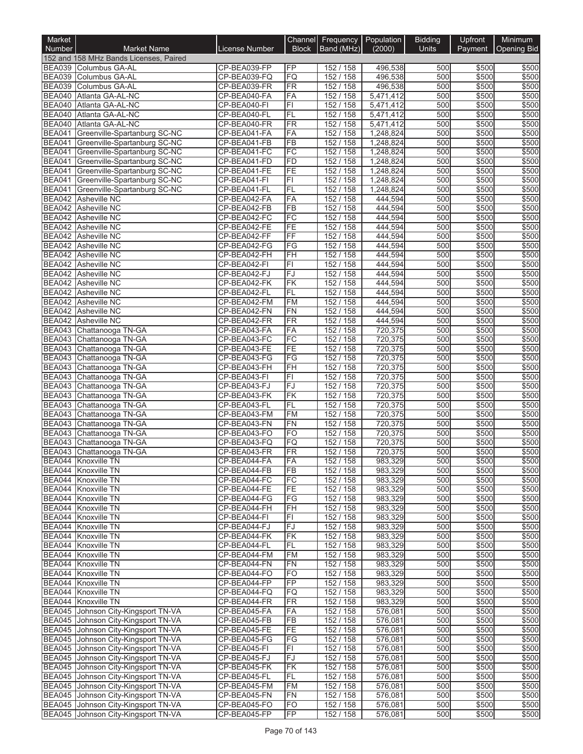| Market                         |                                                                            |                              |                                    | Channel Frequency Population |                        | <b>Bidding</b> | Upfront        | Minimum        |
|--------------------------------|----------------------------------------------------------------------------|------------------------------|------------------------------------|------------------------------|------------------------|----------------|----------------|----------------|
| Number                         | <b>Market Name</b>                                                         | <b>License Number</b>        | <b>Block</b>                       | Band (MHz)                   | (2000)                 | Units          | Payment        | Opening Bid    |
|                                | 152 and 158 MHz Bands Licenses, Paired                                     |                              |                                    |                              |                        |                |                |                |
|                                | BEA039 Columbus GA-AL                                                      | CP-BEA039-FP                 | FP                                 | 152 / 158                    | 496,538                | 500            | \$500          | \$500          |
| <b>BEA039</b>                  | BEA039 Columbus GA-AL                                                      | CP-BEA039-FQ                 | FQ                                 | 152 / 158                    | 496,538                | 500<br>500     | \$500<br>\$500 | \$500          |
| <b>BEA040</b>                  | Columbus GA-AL<br>Atlanta GA-AL-NC                                         | CP-BEA039-FR<br>CP-BEA040-FA | <b>FR</b><br>FA                    | 152 / 158<br>152 / 158       | 496,538<br>5,471,412   | 500            | \$500          | \$500<br>\$500 |
| <b>BEA040</b>                  | Atlanta GA-AL-NC                                                           | CP-BEA040-FI                 | $\overline{F}$                     | 152 / 158                    | 5,471,412              | 500            | \$500          | \$500          |
| <b>BEA040</b>                  | Atlanta GA-AL-NC                                                           | CP-BEA040-FL                 | FL                                 | 152 / 158                    | 5,471,412              | 500            | \$500          | \$500          |
| <b>BEA040</b>                  | Atlanta GA-AL-NC                                                           | CP-BEA040-FR                 | <b>FR</b>                          | 152 / 158                    | 5,471,412              | 500            | \$500          | \$500          |
| <b>BEA041</b>                  | Greenville-Spartanburg SC-NC                                               | CP-BEA041-FA                 | FA                                 | 152 / 158                    | 1,248,824              | 500            | \$500          | \$500          |
| <b>BEA041</b>                  | Greenville-Spartanburg SC-NC                                               | CP-BEA041-FB                 | $\overline{FB}$                    | 152 / 158                    | 1,248,824              | 500            | \$500          | \$500          |
| <b>BEA041</b>                  | Greenville-Spartanburg SC-NC                                               | CP-BEA041-FC                 | $\overline{FC}$                    | 152 / 158                    | 1,248,824              | 500            | \$500          | \$500          |
| <b>BEA041</b>                  | Greenville-Spartanburg SC-NC                                               | CP-BEA041-FD                 | FD                                 | 152 / 158                    | 1,248,824              | 500            | \$500          | \$500          |
| <b>BEA041</b><br><b>BEA041</b> | Greenville-Spartanburg SC-NC<br>Greenville-Spartanburg SC-NC               | CP-BEA041-FE<br>CP-BEA041-FI | FE<br>F1                           | 152 / 158<br>152 / 158       | 1,248,824<br>1,248,824 | 500<br>500     | \$500<br>\$500 | \$500<br>\$500 |
| <b>BEA041</b>                  | Greenville-Spartanburg SC-NC                                               | CP-BEA041-FL                 | <b>FL</b>                          | 152 / 158                    | 1,248,824              | 500            | \$500          | \$500          |
| <b>BEA042</b>                  | <b>Asheville NC</b>                                                        | CP-BEA042-FA                 | FA                                 | 152 / 158                    | 444,594                | 500            | \$500          | \$500          |
| <b>BEA042</b>                  | Asheville NC                                                               | CP-BEA042-FB                 | $\overline{FB}$                    | 152 / 158                    | 444,594                | 500            | \$500          | \$500          |
| <b>BEA042</b>                  | Asheville NC                                                               | CP-BEA042-FC                 | $\overline{FC}$                    | 152 / 158                    | 444,594                | 500            | \$500          | \$500          |
| <b>BEA042</b>                  | <b>Asheville NC</b>                                                        | CP-BEA042-FE                 | FE                                 | 152 / 158                    | 444.594                | 500            | \$500          | \$500          |
|                                | BEA042 Asheville NC                                                        | CP-BEA042-FF                 | $\overline{FF}$                    | 152 / 158                    | 444,594                | 500            | \$500          | \$500          |
| <b>BEA042</b>                  | <b>Asheville NC</b>                                                        | CP-BEA042-FG                 | FG                                 | 152 / 158                    | 444,594                | 500            | \$500          | \$500          |
|                                | BEA042 Asheville NC<br><b>BEA042</b> Asheville NC                          | CP-BEA042-FH<br>CP-BEA042-FI | $\overline{F}$ H<br>$\overline{F}$ | 152 / 158                    | 444,594                | 500<br>500     | \$500          | \$500<br>\$500 |
|                                | BEA042 Asheville NC                                                        | CP-BEA042-FJ                 | FJ                                 | 152 / 158<br>152 / 158       | 444,594<br>444,594     | 500            | \$500<br>\$500 | \$500          |
| <b>BEA042</b>                  | <b>Asheville NC</b>                                                        | CP-BEA042-FK                 | $\overline{\mathsf{FK}}$           | 152 / 158                    | 444,594                | 500            | \$500          | \$500          |
|                                | BEA042 Asheville NC                                                        | CP-BEA042-FL                 | FL                                 | 152 / 158                    | 444,594                | 500            | \$500          | \$500          |
|                                | BEA042 Asheville NC                                                        | CP-BEA042-FM                 | <b>FM</b>                          | 152 / 158                    | 444,594                | 500            | \$500          | \$500          |
|                                | BEA042 Asheville NC                                                        | CP-BEA042-FN                 | <b>FN</b>                          | 152 / 158                    | 444,594                | 500            | \$500          | \$500          |
| <b>BEA042</b>                  | <b>Asheville NC</b>                                                        | CP-BEA042-FR                 | <b>FR</b>                          | 152 / 158                    | 444,594                | 500            | \$500          | \$500          |
|                                | BEA043 Chattanooga TN-GA                                                   | CP-BEA043-FA                 | FA                                 | 152 / 158                    | 720,375                | 500            | \$500          | \$500          |
|                                | BEA043 Chattanooga TN-GA                                                   | CP-BEA043-FC                 | $\overline{FC}$                    | 152 / 158                    | 720,375                | 500            | \$500          | \$500          |
|                                | BEA043 Chattanooga TN-GA                                                   | CP-BEA043-FE                 | FE                                 | 152 / 158                    | 720,375                | 500            | \$500          | \$500          |
|                                | BEA043 Chattanooga TN-GA<br>BEA043 Chattanooga TN-GA                       | CP-BEA043-FG<br>CP-BEA043-FH | FG<br>$\overline{H}$               | 152 / 158<br>152 / 158       | 720,375<br>720,375     | 500<br>500     | \$500<br>\$500 | \$500<br>\$500 |
| <b>BEA043</b>                  | Chattanooga TN-GA                                                          | CP-BEA043-FI                 | F1                                 | 152 / 158                    | 720,375                | 500            | \$500          | \$500          |
| <b>BEA043</b>                  | Chattanooga TN-GA                                                          | CP-BEA043-FJ                 | FJ                                 | 152 / 158                    | 720,375                | 500            | \$500          | \$500          |
| <b>BEA043</b>                  | Chattanooga TN-GA                                                          | CP-BEA043-FK                 | FK                                 | 152 / 158                    | 720,375                | 500            | \$500          | \$500          |
| <b>BEA043</b>                  | Chattanooga TN-GA                                                          | CP-BEA043-FL                 | FL                                 | 152 / 158                    | 720,375                | 500            | \$500          | \$500          |
|                                | BEA043 Chattanooga TN-GA                                                   | CP-BEA043-FM                 | <b>FM</b>                          | 152 / 158                    | 720,375                | 500            | \$500          | \$500          |
| <b>BEA043</b>                  | Chattanooga TN-GA                                                          | CP-BEA043-FN                 | <b>FN</b>                          | 152 / 158                    | 720,375                | 500            | \$500          | \$500          |
| <b>BEA043</b>                  | Chattanooga TN-GA                                                          | CP-BEA043-FO                 | <b>FO</b>                          | 152 / 158                    | 720,375                | 500            | \$500          | \$500          |
| <b>BEA043</b>                  | Chattanooga TN-GA                                                          | CP-BEA043-FQ<br>CP-BEA043-FR | FQ                                 | 152 / 158                    | 720,375                | 500<br>500     | \$500          | \$500          |
| <b>BEA043</b>                  | Chattanooga TN-GA<br>BEA044 Knoxville TN                                   |                              | FR                                 | 152 / 158<br>152 / 158       | 720,375                | 500            | \$500<br>\$500 | \$500<br>\$500 |
|                                | BEA044 Knoxville TN                                                        | CP-BEA044-FA<br>CP-BEA044-FB | FА<br>FB                           | 152 / 158                    | 983,329<br>983,329     | 500            | \$500          | \$500          |
|                                | BEA044 Knoxville TN                                                        | CP-BEA044-FC                 | FC                                 | 152 / 158                    | 983,329                | 500            | \$500          | \$500          |
|                                | BEA044 Knoxville TN                                                        | CP-BEA044-FE                 | FE                                 | 152 / 158                    | 983,329                | 500            | \$500          | \$500          |
|                                | BEA044 Knoxville TN                                                        | CP-BEA044-FG                 | $\overline{\text{FG}}$             | 152 / 158                    | 983,329                | 500            | \$500          | \$500          |
|                                | BEA044 Knoxville TN                                                        | CP-BEA044-FH                 | <b>FH</b>                          | 152 / 158                    | 983,329                | 500            | \$500          | \$500          |
|                                | BEA044 Knoxville TN                                                        | CP-BEA044-FI                 | FI                                 | 152/158                      | 983,329                | 500            | \$500          | \$500          |
|                                | BEA044 Knoxville TN                                                        | CP-BEA044-FJ                 | FJ                                 | 152 / 158                    | 983.329                | 500            | \$500          | \$500          |
|                                | BEA044 Knoxville TN                                                        | CP-BEA044-FK<br>CP-BEA044-FL | FK                                 | 152 / 158                    | 983,329                | 500<br>500     | \$500<br>\$500 | \$500<br>\$500 |
|                                | BEA044 Knoxville TN<br>BEA044 Knoxville TN                                 | CP-BEA044-FM                 | FL<br>FM                           | 152 / 158<br>152/158         | 983,329<br>983,329     | 500            | \$500          | \$500          |
|                                | BEA044 Knoxville TN                                                        | CP-BEA044-FN                 | FN                                 | 152 / 158                    | 983,329                | 500            | \$500          | \$500          |
|                                | BEA044 Knoxville TN                                                        | CP-BEA044-FO                 | FO                                 | 152 / 158                    | 983,329                | 500            | \$500          | \$500          |
|                                | BEA044 Knoxville TN                                                        | CP-BEA044-FP                 | <b>FP</b>                          | 152 / 158                    | 983,329                | 500            | \$500          | \$500          |
|                                | BEA044 Knoxville TN                                                        | CP-BEA044-FQ                 | FQ                                 | 152 / 158                    | 983,329                | 500            | \$500          | \$500          |
|                                | BEA044 Knoxville TN                                                        | CP-BEA044-FR                 | FR                                 | 152 / 158                    | 983,329                | 500            | \$500          | \$500          |
|                                | BEA045 Johnson City-Kingsport TN-VA                                        | CP-BEA045-FA                 | FA                                 | 152 / 158                    | 576,081                | 500            | \$500          | \$500          |
|                                | BEA045 Johnson City-Kingsport TN-VA                                        | CP-BEA045-FB                 | <b>FB</b>                          | 152/158                      | 576,081                | 500            | \$500          | \$500          |
|                                | BEA045 Johnson City-Kingsport TN-VA                                        | CP-BEA045-FE                 | FE                                 | 152 / 158                    | 576,081<br>576,081     | 500            | \$500          | \$500          |
|                                | BEA045 Johnson City-Kingsport TN-VA<br>BEA045 Johnson City-Kingsport TN-VA | CP-BEA045-FG<br>CP-BEA045-FI | FG<br>$\overline{F}$               | 152 / 158<br>152 / 158       | 576,081                | 500<br>500     | \$500<br>\$500 | \$500<br>\$500 |
|                                | BEA045 Johnson City-Kingsport TN-VA                                        | CP-BEA045-FJ                 | <b>FJ</b>                          | 152/158                      | 576,081                | 500            | \$500          | \$500          |
|                                | BEA045 Johnson City-Kingsport TN-VA                                        | CP-BEA045-FK                 | FK                                 | 152 / 158                    | 576,081                | 500            | \$500          | \$500          |
|                                | BEA045 Johnson City-Kingsport TN-VA                                        | CP-BEA045-FL                 | FL                                 | 152 / 158                    | 576,081                | 500            | \$500          | \$500          |
|                                | BEA045 Johnson City-Kingsport TN-VA                                        | CP-BEA045-FM                 | FM                                 | 152 / 158                    | 576,081                | 500            | \$500          | \$500          |
|                                | BEA045 Johnson City-Kingsport TN-VA                                        | CP-BEA045-FN                 | FN                                 | 152 / 158                    | 576,081                | 500            | \$500          | \$500          |
|                                | BEA045 Johnson City-Kingsport TN-VA                                        | CP-BEA045-FO                 | FO                                 | 152 / 158                    | 576,081                | 500            | \$500          | \$500          |
| <b>BEA045</b>                  | Johnson City-Kingsport TN-VA                                               | CP-BEA045-FP                 | FP                                 | 152 / 158                    | 576,081                | 500            | \$500          | \$500          |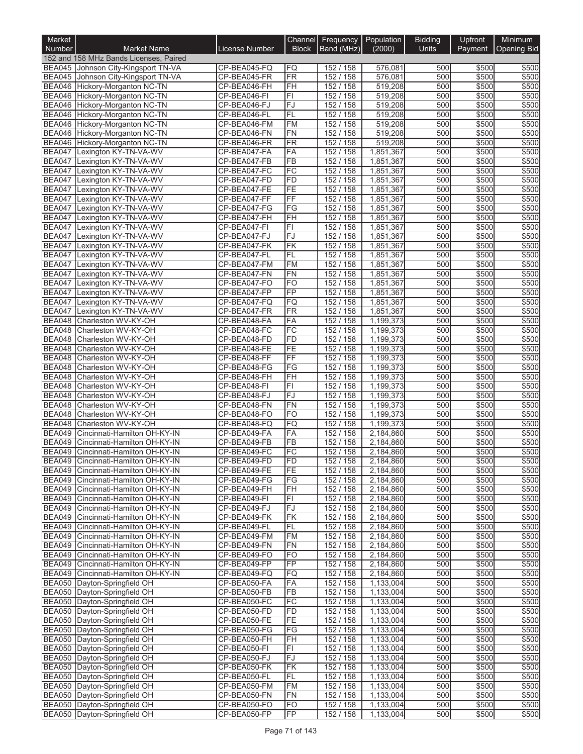| Market                         |                                                                               |                              |                        | Channel Frequency        | Population             | <b>Bidding</b> | Upfront        | Minimum        |
|--------------------------------|-------------------------------------------------------------------------------|------------------------------|------------------------|--------------------------|------------------------|----------------|----------------|----------------|
| <b>Number</b>                  | <b>Market Name</b>                                                            | License Number               | <b>Block</b>           | Band (MHz)               | (2000)                 | <b>Units</b>   | Payment        | Opening Bid    |
|                                | 152 and 158 MHz Bands Licenses, Paired<br>BEA045 Johnson City-Kingsport TN-VA | CP-BEA045-FQ                 | FQ                     | 152 / 158                | 576,081                | 500            | \$500          | \$500          |
|                                | BEA045 Johnson City-Kingsport TN-VA                                           | CP-BEA045-FR                 | FR                     | 152 / 158                | 576,081                | 500            | \$500          | \$500          |
| <b>BEA046</b>                  | Hickory-Morganton NC-TN                                                       | CP-BEA046-FH                 | FH                     | 152 / 158                | 519,208                | 500            | \$500          | \$500          |
| <b>BEA046</b>                  | Hickory-Morganton NC-TN                                                       | CP-BEA046-FI                 | F1                     | 152 / 158                | 519,208                | 500            | \$500          | \$500          |
| <b>BEA046</b>                  | Hickory-Morganton NC-TN                                                       | CP-BEA046-FJ                 | FJ                     | 152 / 158                | 519,208                | 500            | \$500          | \$500          |
| <b>BEA046</b>                  | Hickory-Morganton NC-TN                                                       | CP-BEA046-FL                 | FL<br>FM               | 152/<br>158              | 519,208<br>519,208     | 500<br>500     | \$500<br>\$500 | \$500          |
| <b>BEA046</b><br><b>BEA046</b> | Hickory-Morganton NC-TN<br>Hickory-Morganton NC-TN                            | CP-BEA046-FM<br>CP-BEA046-FN | FN                     | 152 / 158<br>152 / 158   | 519,208                | 500            | \$500          | \$500<br>\$500 |
| <b>BEA046</b>                  | Hickory-Morganton NC-TN                                                       | CP-BEA046-FR                 | <b>FR</b>              | 152 / 158                | 519,208                | 500            | \$500          | \$500          |
| <b>BEA047</b>                  | Lexington KY-TN-VA-WV                                                         | CP-BEA047-FA                 | FA                     | 152 / 158                | 1,851,367              | 500            | \$500          | \$500          |
| <b>BEA047</b>                  | Lexington KY-TN-VA-WV                                                         | CP-BEA047-FB                 | <b>FB</b>              | 152 / 158                | 1,851,367              | 500            | \$500          | \$500          |
| <b>BEA047</b>                  | Lexington KY-TN-VA-WV                                                         | CP-BEA047-FC                 | FC                     | 152 / 158                | 1,851,367              | 500            | \$500          | \$500          |
| <b>BEA047</b>                  | Lexington KY-TN-VA-WV                                                         | CP-BEA047-FD                 | FD                     | 152 / 158                | 1,851,367              | 500            | \$500          | \$500          |
| <b>BEA047</b><br><b>BEA047</b> | Lexington KY-TN-VA-WV<br>Lexington KY-TN-VA-WV                                | CP-BEA047-FE<br>CP-BEA047-FF | FE<br>FF               | 152 / 158<br>152 / 158   | 1,851,367<br>1,851,367 | 500<br>500     | \$500<br>\$500 | \$500<br>\$500 |
| <b>BEA047</b>                  | Lexington KY-TN-VA-WV                                                         | CP-BEA047-FG                 | FG                     | 152 / 158                | 1,851,367              | 500            | \$500          | \$500          |
| <b>BEA047</b>                  | Lexington KY-TN-VA-WV                                                         | CP-BEA047-FH                 | FH                     | 152 / 158                | 1,851,367              | 500            | \$500          | \$500          |
| <b>BEA047</b>                  | Lexington KY-TN-VA-WV                                                         | CP-BEA047-FI                 | F1                     | 152 / 158                | 1,851,367              | 500            | \$500          | \$500          |
| <b>BEA047</b>                  | Lexington KY-TN-VA-WV                                                         | CP-BEA047-FJ                 | FJ                     | 152 / 158                | 1,851,367              | 500            | \$500          | \$500          |
| <b>BEA047</b>                  | Lexington KY-TN-VA-WV                                                         | CP-BEA047-FK                 | FK                     | 152 / 158                | 1,851,367              | 500            | \$500          | \$500          |
| <b>BEA047</b>                  | Lexington KY-TN-VA-WV                                                         | CP-BEA047-FL                 | FL                     | 152 / 158                | 1,851,367              | 500            | \$500          | \$500          |
| <b>BEA047</b><br><b>BEA047</b> | Lexington KY-TN-VA-WV                                                         | CP-BEA047-FM                 | <b>FM</b>              | 152/<br>158              | 1,851,367              | 500            | \$500          | \$500          |
| <b>BEA047</b>                  | Lexington KY-TN-VA-WV<br>Lexington KY-TN-VA-WV                                | CP-BEA047-FN<br>CP-BEA047-FO | <b>FN</b><br><b>FO</b> | 152/<br>158<br>152 / 158 | 1,851,367<br>1,851,367 | 500<br>500     | \$500<br>\$500 | \$500<br>\$500 |
| <b>BEA047</b>                  | Lexington KY-TN-VA-WV                                                         | CP-BEA047-FP                 | FP                     | 152 / 158                | 1,851,367              | 500            | \$500          | \$500          |
| <b>BEA047</b>                  | Lexington KY-TN-VA-WV                                                         | CP-BEA047-FQ                 | FQ                     | 152 / 158                | 1,851,367              | 500            | \$500          | \$500          |
| <b>BEA047</b>                  | Lexington KY-TN-VA-WV                                                         | CP-BEA047-FR                 | FR                     | 152 / 158                | 1,851,367              | 500            | \$500          | \$500          |
| <b>BEA048</b>                  | Charleston WV-KY-OH                                                           | CP-BEA048-FA                 | FA                     | 152 / 158                | 1,199,373              | 500            | \$500          | \$500          |
| <b>BEA048</b>                  | Charleston WV-KY-OH                                                           | CP-BEA048-FC                 | FC                     | 152 / 158                | 1,199,373              | 500            | \$500          | \$500          |
| <b>BEA048</b>                  | Charleston WV-KY-OH                                                           | CP-BEA048-FD                 | FD                     | 152 / 158                | 1,199,373              | 500            | \$500          | \$500          |
| <b>BEA048</b>                  | Charleston WV-KY-OH                                                           | CP-BEA048-FE                 | FE<br>FF               | 152 / 158<br>152 / 158   | 1,199,373              | 500<br>500     | \$500<br>\$500 | \$500          |
| <b>BEA048</b><br><b>BEA048</b> | Charleston WV-KY-OH<br>Charleston WV-KY-OH                                    | CP-BEA048-FF<br>CP-BEA048-FG | FG                     | 152 / 158                | 1,199,373<br>1,199,373 | 500            | \$500          | \$500<br>\$500 |
| <b>BEA048</b>                  | Charleston WV-KY-OH                                                           | CP-BEA048-FH                 | FH                     | 152 / 158                | 1,199,373              | 500            | \$500          | \$500          |
| <b>BEA048</b>                  | Charleston WV-KY-OH                                                           | CP-BEA048-FI                 | FI                     | 152 / 158                | 1,199,373              | 500            | \$500          | \$500          |
| <b>BEA048</b>                  | Charleston WV-KY-OH                                                           | CP-BEA048-FJ                 | FJ                     | 152 / 158                | 1,199,373              | 500            | \$500          | \$500          |
| <b>BEA048</b>                  | Charleston WV-KY-OH                                                           | CP-BEA048-FN                 | <b>FN</b>              | 152 / 158                | 1,199,373              | 500            | \$500          | \$500          |
| <b>BEA048</b>                  | Charleston WV-KY-OH                                                           | CP-BEA048-FO                 | <b>FO</b>              | 152 / 158                | 1,199,373              | 500            | \$500          | \$500          |
| <b>BEA048</b><br><b>BEA049</b> | Charleston WV-KY-OH                                                           | CP-BEA048-FQ                 | <b>FQ</b>              | 152 / 158<br>152 / 158   | 1,199,373              | 500            | \$500<br>\$500 | \$500<br>\$500 |
| <b>BEA049</b>                  | Cincinnati-Hamilton OH-KY-IN<br>Cincinnati-Hamilton OH-KY-IN                  | CP-BEA049-FA<br>CP-BEA049-FB | FA<br>$\overline{FB}$  | 152 / 158                | 2,184,860<br>2,184,860 | 500<br>500     | \$500          | \$500          |
| <b>BEA049</b>                  | Cincinnati-Hamilton OH-KY-IN                                                  | CP-BEA049-FC                 | FC                     | 152 / 158                | 2,184,860              | 500            | \$500          | \$500          |
|                                | BEA049 Cincinnati-Hamilton OH-KY-IN                                           | CP-BEA049-FD                 | FD                     | 152 / 158                | 2,184,860              | 500            | \$500          | \$500          |
|                                | BEA049 Cincinnati-Hamilton OH-KY-IN                                           | CP-BEA049-FE                 | FE                     | 152 / 158                | 2,184,860              | 500            | \$500          | \$500          |
|                                | BEA049 Cincinnati-Hamilton OH-KY-IN                                           | CP-BEA049-FG                 | FG                     | 152 / 158                | 2,184,860              | 500            | \$500          | \$500          |
|                                | BEA049 Cincinnati-Hamilton OH-KY-IN                                           | CP-BEA049-FH                 | FH                     | 152 / 158                | 2,184,860              | 500            | \$500          | \$500          |
|                                | BEA049 Cincinnati-Hamilton OH-KY-IN                                           | CP-BEA049-FI                 | FI                     | 152 / 158                | 2,184,860              | 500            | \$500          | \$500          |
| <b>BEA049</b>                  | Cincinnati-Hamilton OH-KY-IN<br>BEA049 Cincinnati-Hamilton OH-KY-IN           | CP-BEA049-FJ<br>CP-BEA049-FK | FJ<br>FK               | 152 / 158<br>152 / 158   | 2,184,860<br>2,184,860 | 500<br>500     | \$500<br>\$500 | \$500<br>\$500 |
|                                | BEA049 Cincinnati-Hamilton OH-KY-IN                                           | CP-BEA049-FL                 | FL                     | 152 / 158                | 2,184,860              | 500            | \$500          | \$500          |
|                                | BEA049 Cincinnati-Hamilton OH-KY-IN                                           | CP-BEA049-FM                 | <b>FM</b>              | 152 / 158                | 2,184,860              | 500            | \$500          | \$500          |
| <b>BEA049</b>                  | Cincinnati-Hamilton OH-KY-IN                                                  | CP-BEA049-FN                 | FN                     | 152 / 158                | 2,184,860              | 500            | \$500          | \$500          |
|                                | BEA049 Cincinnati-Hamilton OH-KY-IN                                           | CP-BEA049-FO                 | <b>FO</b>              | 152 / 158                | 2,184,860              | 500            | \$500          | \$500          |
|                                | BEA049 Cincinnati-Hamilton OH-KY-IN                                           | CP-BEA049-FP                 | FP                     | 152 / 158                | 2,184,860              | 500            | \$500          | \$500          |
| <b>BEA049</b>                  | Cincinnati-Hamilton OH-KY-IN                                                  | CP-BEA049-FQ                 | FQ                     | 152 / 158                | 2,184,860              | 500            | \$500          | \$500          |
|                                | BEA050 Dayton-Springfield OH<br>BEA050 Dayton-Springfield OH                  | CP-BEA050-FA<br>CP-BEA050-FB | FA<br>FB               | 152 / 158<br>152 / 158   | 1,133,004<br>1,133,004 | 500<br>500     | \$500<br>\$500 | \$500<br>\$500 |
|                                | BEA050 Dayton-Springfield OH                                                  | CP-BEA050-FC                 | FC                     | 152 / 158                | 1,133,004              | 500            | \$500          | \$500          |
|                                | BEA050 Dayton-Springfield OH                                                  | CP-BEA050-FD                 | <b>FD</b>              | 152 / 158                | 1,133,004              | 500            | \$500          | \$500          |
|                                | BEA050 Dayton-Springfield OH                                                  | CP-BEA050-FE                 | FE                     | 152 / 158                | 1,133,004              | 500            | \$500          | \$500          |
|                                | BEA050 Dayton-Springfield OH                                                  | CP-BEA050-FG                 | FG                     | 152 / 158                | 1,133,004              | 500            | \$500          | \$500          |
|                                | BEA050 Dayton-Springfield OH                                                  | CP-BEA050-FH                 | FH                     | 152 / 158                | 1,133,004              | 500            | \$500          | \$500          |
|                                | BEA050 Dayton-Springfield OH                                                  | CP-BEA050-FI                 | FI                     | 152 / 158                | 1,133,004              | 500            | \$500          | \$500          |
|                                | BEA050 Dayton-Springfield OH<br>BEA050   Dayton-Springfield OH                | CP-BEA050-FJ<br>CP-BEA050-FK | lFJ<br>FK              | 152 / 158<br>152 / 158   | 1,133,004<br>1,133,004 | 500<br>500     | \$500<br>\$500 | \$500<br>\$500 |
|                                | BEA050 Dayton-Springfield OH                                                  | CP-BEA050-FL                 | FL                     | 152 / 158                | 1,133,004              | 500            | \$500          | \$500          |
|                                | BEA050 Dayton-Springfield OH                                                  | CP-BEA050-FM                 | <b>FM</b>              | 152 / 158                | 1,133,004              | 500            | \$500          | \$500          |
|                                | BEA050 Dayton-Springfield OH                                                  | CP-BEA050-FN                 | FN                     | 152 / 158                | 1,133,004              | 500            | \$500          | \$500          |
|                                | BEA050   Dayton-Springfield OH                                                | CP-BEA050-FO                 | FO                     | 152 / 158                | 1,133,004              | 500            | \$500          | \$500          |
|                                | BEA050 Dayton-Springfield OH                                                  | CP-BEA050-FP                 | FP                     | 152 / 158                | 1,133,004              | 500            | \$500          | \$500          |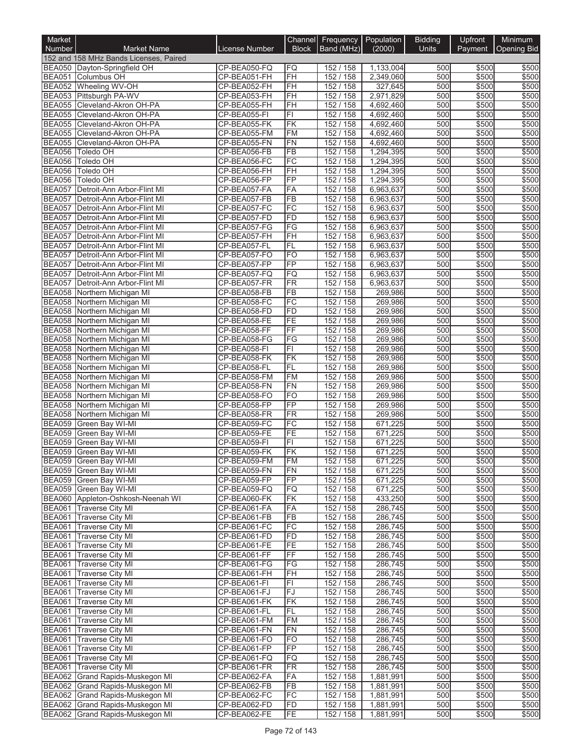| Market                         |                                                             |                              |                                    | Channel Frequency      | Population             | <b>Bidding</b> | Upfront        | Minimum        |
|--------------------------------|-------------------------------------------------------------|------------------------------|------------------------------------|------------------------|------------------------|----------------|----------------|----------------|
| Number                         | <b>Market Name</b>                                          | License Number               | <b>Block</b>                       | Band (MHz)             | (2000)                 | Units          | Payment        | Opening Bid    |
|                                | 152 and 158 MHz Bands Licenses, Paired                      |                              |                                    |                        |                        |                |                |                |
|                                | BEA050 Dayton-Springfield OH                                | CP-BEA050-FQ                 | FQ                                 | 152 / 158              | 1,133,004              | 500            | \$500          | \$500          |
| <b>BEA051</b><br><b>BEA052</b> | Columbus OH<br>Wheeling WV-OH                               | CP-BEA051-FH<br>CP-BEA052-FH | $\overline{FH}$<br>FH              | 152 / 158<br>152/158   | 2,349,060<br>327,645   | 500<br>500     | \$500<br>\$500 | \$500<br>\$500 |
| <b>BEA053</b>                  | Pittsburgh PA-WV                                            | CP-BEA053-FH                 | FH                                 | 152 / 158              | 2,971,829              | 500            | \$500          | \$500          |
|                                | BEA055 Cleveland-Akron OH-PA                                | CP-BEA055-FH                 | FH                                 | 152 / 158              | 4,692,460              | 500            | \$500          | \$500          |
| <b>BEA055</b>                  | Cleveland-Akron OH-PA                                       | CP-BEA055-FI                 | F1                                 | 152 / 158              | 4,692,460              | 500            | \$500          | \$500          |
| <b>BEA055</b>                  | Cleveland-Akron OH-PA                                       | CP-BEA055-FK                 | FK                                 | 152 / 158              | 4,692,460              | 500            | \$500          | \$500          |
| <b>BEA055</b>                  | Cleveland-Akron OH-PA                                       | CP-BEA055-FM                 | <b>FM</b>                          | 152 / 158              | 4,692,460              | 500            | \$500          | \$500          |
| <b>BEA055</b>                  | Cleveland-Akron OH-PA                                       | CP-BEA055-FN                 | <b>FN</b>                          | 152 / 158              | 4,692,460              | 500            | \$500          | \$500          |
| <b>BEA056</b>                  | Toledo OH                                                   | CP-BEA056-FB                 | FB                                 | 152 / 158              | 1,294,395              | 500            | \$500          | \$500          |
| <b>BEA056</b>                  | Toledo OH                                                   | CP-BEA056-FC                 | $\overline{FC}$                    | 152 / 158              | 1,294,395              | 500            | \$500          | \$500          |
| <b>BEA056</b><br><b>BEA056</b> | Toledo OH<br>Toledo OH                                      | CP-BEA056-FH<br>CP-BEA056-FP | $\overline{fH}$<br>$\overline{FP}$ | 152 / 158<br>152 / 158 | 1,294,395<br>1,294,395 | 500<br>500     | \$500<br>\$500 | \$500<br>\$500 |
| <b>BEA057</b>                  | Detroit-Ann Arbor-Flint MI                                  | CP-BEA057-FA                 | FA                                 | 152 / 158              | 6,963,637              | 500            | \$500          | \$500          |
| <b>BEA057</b>                  | Detroit-Ann Arbor-Flint MI                                  | CP-BEA057-FB                 | FB                                 | 152 / 158              | 6,963,637              | 500            | \$500          | \$500          |
| <b>BEA057</b>                  | Detroit-Ann Arbor-Flint MI                                  | CP-BEA057-FC                 | FC                                 | 152 / 158              | 6,963,637              | 500            | \$500          | \$500          |
| <b>BEA057</b>                  | Detroit-Ann Arbor-Flint MI                                  | CP-BEA057-FD                 | FD                                 | 152 / 158              | 6,963,637              | 500            | \$500          | \$500          |
| <b>BEA057</b>                  | Detroit-Ann Arbor-Flint MI                                  | CP-BEA057-FG                 | FG                                 | 152 / 158              | 6,963,637              | 500            | \$500          | \$500          |
| <b>BEA057</b>                  | Detroit-Ann Arbor-Flint MI                                  | CP-BEA057-FH                 | $\overline{FH}$                    | 152/158                | 6,963,637              | 500            | \$500          | \$500          |
| <b>BEA057</b>                  | Detroit-Ann Arbor-Flint MI                                  | CP-BEA057-FL                 | FL                                 | 152 / 158              | 6,963,637              | 500            | \$500          | \$500          |
| <b>BEA057</b>                  | Detroit-Ann Arbor-Flint MI                                  | CP-BEA057-FO                 | FO<br>$\overline{FP}$              | 152 / 158              | 6,963,637              | 500<br>500     | \$500<br>\$500 | \$500<br>\$500 |
| <b>BEA057</b><br><b>BEA057</b> | Detroit-Ann Arbor-Flint MI<br>Detroit-Ann Arbor-Flint MI    | CP-BEA057-FP<br>CP-BEA057-FQ | FQ                                 | 152 / 158<br>152 / 158 | 6,963,637<br>6,963,637 | 500            | \$500          | \$500          |
| <b>BEA057</b>                  | Detroit-Ann Arbor-Flint MI                                  | CP-BEA057-FR                 | <b>FR</b>                          | 152 / 158              | 6,963,637              | 500            | \$500          | \$500          |
| <b>BEA058</b>                  | Northern Michigan MI                                        | CP-BEA058-FB                 | <b>FB</b>                          | 152 / 158              | 269,986                | 500            | \$500          | \$500          |
| <b>BEA058</b>                  | Northern Michigan MI                                        | CP-BEA058-FC                 | FC                                 | 152 / 158              | 269,986                | 500            | \$500          | \$500          |
|                                | BEA058 Northern Michigan MI                                 | CP-BEA058-FD                 | FD                                 | 152 / 158              | 269,986                | 500            | \$500          | \$500          |
|                                | BEA058 Northern Michigan MI                                 | CP-BEA058-FE                 | FE                                 | 152 / 158              | 269,986                | 500            | \$500          | \$500          |
|                                | BEA058 Northern Michigan MI                                 | CP-BEA058-FF                 | FF                                 | 152 / 158              | 269,986                | 500            | \$500          | \$500          |
|                                | BEA058 Northern Michigan MI                                 | CP-BEA058-FG                 | FG                                 | 152 / 158              | 269,986                | 500            | \$500          | \$500          |
|                                | BEA058 Northern Michigan MI                                 | CP-BEA058-FI                 | F1<br>FK                           | 152 / 158              | 269,986                | 500<br>500     | \$500          | \$500          |
|                                | BEA058 Northern Michigan MI<br>BEA058 Northern Michigan MI  | CP-BEA058-FK<br>CP-BEA058-FL | FL                                 | 152 / 158<br>152 / 158 | 269,986<br>269,986     | 500            | \$500<br>\$500 | \$500<br>\$500 |
|                                | BEA058 Northern Michigan MI                                 | CP-BEA058-FM                 | <b>FM</b>                          | 152 / 158              | 269,986                | 500            | \$500          | \$500          |
|                                | BEA058 Northern Michigan MI                                 | CP-BEA058-FN                 | <b>FN</b>                          | 152 / 158              | 269,986                | 500            | \$500          | \$500          |
|                                | BEA058 Northern Michigan MI                                 | CP-BEA058-FO                 | <b>FO</b>                          | 152 / 158              | 269,986                | 500            | \$500          | \$500          |
|                                | BEA058 Northern Michigan MI                                 | CP-BEA058-FP                 | FP                                 | 152 / 158              | 269,986                | 500            | \$500          | \$500          |
|                                | BEA058 Northern Michigan MI                                 | CP-BEA058-FR                 | $\overline{\text{FR}}$             | 152 / 158              | 269,986                | 500            | \$500          | \$500          |
| <b>BEA059</b>                  | Green Bay WI-MI                                             | CP-BEA059-FC                 | FC                                 | 152 / 158              | 671,225                | 500            | \$500          | \$500          |
| <b>BEA059</b>                  | Green Bay WI-MI                                             | CP-BEA059-FE                 | FE                                 | 152 / 158              | 671,225                | 500            | \$500          | \$500          |
| <b>BEA059</b><br><b>BEA059</b> | Green Bay WI-MI<br>Green Bay WI-MI                          | CP-BEA059-FI<br>CP-BEA059-FK | F1<br>FK                           | 152 / 158<br>152 / 158 | 671,225<br>671,225     | 500<br>500     | \$500<br>\$500 | \$500<br>\$500 |
|                                | BEA059 Green Bay WI-MI                                      | CP-BEA059-FM                 | IFM                                | 152 / 158              | 671,225                | 500            | \$500          | \$500          |
|                                | BEA059 Green Bay WI-MI                                      | CP-BEA059-FN                 | FN                                 | 152 / 158              | 671,225                | 500            | \$500          | \$500          |
|                                | BEA059 Green Bay WI-MI                                      | CP-BEA059-FP                 | <b>FP</b>                          | 152 / 158              | 671,225                | 500            | \$500          | \$500          |
|                                | BEA059 Green Bay WI-MI                                      | CP-BEA059-FQ                 | FQ                                 | 152 / 158              | 671,225                | 500            | \$500          | \$500          |
|                                | BEA060 Appleton-Oshkosh-Neenah WI                           | CP-BEA060-FK                 | FK                                 | 152 / 158              | 433,250                | 500            | \$500          | \$500          |
| <b>BEA061</b>                  | <b>Traverse City MI</b>                                     | CP-BEA061-FA                 | FA                                 | 152 / 158              | 286,745                | 500            | \$500          | \$500          |
| <b>BEA061</b>                  | <b>Traverse City MI</b>                                     | CP-BEA061-FB                 | FB                                 | 152 / 158              | 286,745                | 500            | \$500          | \$500          |
| <b>BEA061</b><br><b>BEA061</b> | <b>Traverse City MI</b><br><b>Traverse City MI</b>          | CP-BEA061-FC<br>CP-BEA061-FD | FC<br><b>FD</b>                    | 152 / 158<br>152 / 158 | 286,745<br>286,745     | 500<br>500     | \$500<br>\$500 | \$500<br>\$500 |
| <b>BEA061</b>                  | <b>Traverse City MI</b>                                     | CP-BEA061-FE                 | FE                                 | 152 / 158              | 286,745                | 500            | \$500          | \$500          |
| <b>BEA061</b>                  | <b>Traverse City MI</b>                                     | CP-BEA061-FF                 | <b>FF</b>                          | 152 / 158              | 286,745                | 500            | \$500          | \$500          |
| <b>BEA061</b>                  | <b>Traverse City MI</b>                                     | CP-BEA061-FG                 | FG                                 | 152 / 158              | 286,745                | 500            | \$500          | \$500          |
| <b>BEA061</b>                  | <b>Traverse City MI</b>                                     | CP-BEA061-FH                 | FH                                 | 152 / 158              | 286,745                | 500            | \$500          | \$500          |
| <b>BEA061</b>                  | <b>Traverse City MI</b>                                     | CP-BEA061-FI                 | FI                                 | 152 / 158              | 286,745                | 500            | \$500          | \$500          |
| <b>BEA061</b>                  | <b>Traverse City MI</b>                                     | CP-BEA061-FJ                 | <b>FJ</b>                          | 152 / 158              | 286,745                | 500            | \$500          | \$500          |
| <b>BEA061</b>                  | <b>Traverse City MI</b>                                     | CP-BEA061-FK                 | FK                                 | 152 / 158              | 286,745                | 500            | \$500          | \$500          |
| <b>BEA061</b>                  | <b>Traverse City MI</b>                                     | CP-BEA061-FL                 | FL                                 | 152 / 158              | 286,745                | 500            | \$500          | \$500          |
| <b>BEA061</b><br><b>BEA061</b> | <b>Traverse City MI</b><br><b>Traverse City MI</b>          | CP-BEA061-FM<br>CP-BEA061-FN | <b>FM</b><br>FN                    | 152 / 158<br>152 / 158 | 286,745<br>286,745     | 500<br>500     | \$500<br>\$500 | \$500<br>\$500 |
| <b>BEA061</b>                  | <b>Traverse City MI</b>                                     | CP-BEA061-FO                 | <b>FO</b>                          | 152 / 158              | 286,745                | 500            | \$500          | \$500          |
| <b>BEA061</b>                  | <b>Traverse City MI</b>                                     | CP-BEA061-FP                 | FP                                 | 152 / 158              | 286,745                | 500            | \$500          | \$500          |
| <b>BEA061</b>                  | <b>Traverse City MI</b>                                     | CP-BEA061-FQ                 | <b>FQ</b>                          | 152 / 158              | 286,745                | 500            | \$500          | \$500          |
| <b>BEA061</b>                  | <b>Traverse City MI</b>                                     | CP-BEA061-FR                 | <b>FR</b>                          | 152 / 158              | 286,745                | 500            | \$500          | \$500          |
|                                | BEA062 Grand Rapids-Muskegon MI                             | CP-BEA062-FA                 | FA                                 | 152 / 158              | 1,881,991              | 500            | \$500          | \$500          |
|                                | BEA062 Grand Rapids-Muskegon MI                             | CP-BEA062-FB                 | FB                                 | 152 / 158              | 1,881,991              | 500            | \$500          | \$500          |
|                                | BEA062 Grand Rapids-Muskegon MI                             | CP-BEA062-FC                 | FC                                 | 152 / 158              | 1,881,991              | 500            | \$500          | \$500          |
| <b>BEA062</b>                  | Grand Rapids-Muskegon MI<br>BEA062 Grand Rapids-Muskegon MI | CP-BEA062-FD<br>CP-BEA062-FE | FD<br>FE.                          | 152 / 158<br>152 / 158 | 1,881,991<br>1,881,991 | 500<br>500     | \$500<br>\$500 | \$500<br>\$500 |
|                                |                                                             |                              |                                    |                        |                        |                |                |                |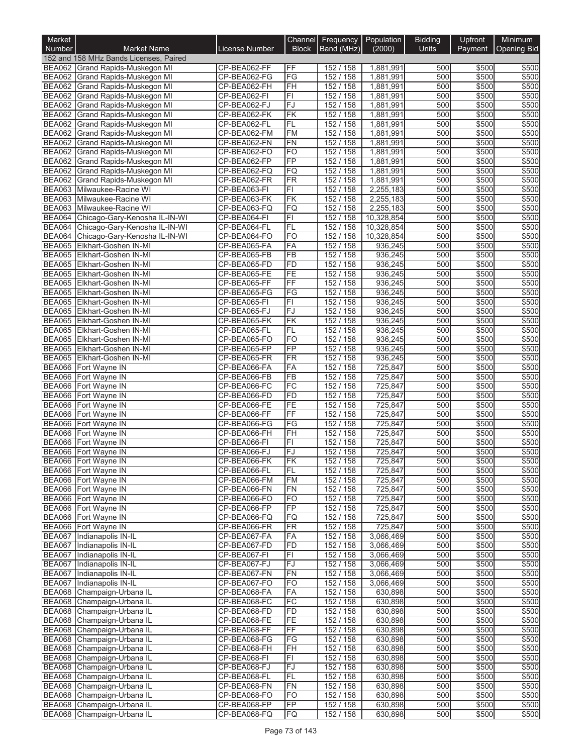| Market                         |                                                      |                              | Channel                      | Frequency   Population |                        | <b>Bidding</b> | Upfront        | Minimum        |
|--------------------------------|------------------------------------------------------|------------------------------|------------------------------|------------------------|------------------------|----------------|----------------|----------------|
| <b>Number</b>                  | <b>Market Name</b>                                   | License Number               | <b>Block</b>                 | Band (MHz)             | (2000)                 | <b>Units</b>   | Payment        | Opening Bid    |
|                                | 152 and 158 MHz Bands Licenses, Paired               |                              |                              |                        |                        |                |                |                |
| <b>BEA062</b>                  | Grand Rapids-Muskegon MI                             | CP-BEA062-FF                 | FF                           | 152 / 158              | 1,881,991              | 500            | \$500          | \$500          |
|                                | BEA062 Grand Rapids-Muskegon MI                      | CP-BEA062-FG                 | $\overline{\text{FG}}$<br>FH | 152 / 158<br>152 / 158 | 1,881,991              | 500<br>500     | \$500<br>\$500 | \$500<br>\$500 |
| <b>BEA062</b><br><b>BEA062</b> | Grand Rapids-Muskegon MI<br>Grand Rapids-Muskegon MI | CP-BEA062-FH<br>CP-BEA062-FI | F1                           | 152 / 158              | 1,881,991<br>1,881,991 | 500            | \$500          | \$500          |
| <b>BEA062</b>                  | Grand Rapids-Muskegon MI                             | CP-BEA062-FJ                 | FJ                           | 152 / 158              | 1,881,991              | 500            | \$500          | \$500          |
| <b>BEA062</b>                  | Grand Rapids-Muskegon MI                             | CP-BEA062-FK                 | FK                           | 152 / 158              | 1,881,991              | 500            | \$500          | \$500          |
| <b>BEA062</b>                  | Grand Rapids-Muskegon MI                             | CP-BEA062-FL                 | FL                           | 152 / 158              | 1,881,991              | 500            | \$500          | \$500          |
| <b>BEA062</b>                  | Grand Rapids-Muskegon MI                             | CP-BEA062-FM                 | <b>FM</b>                    | 152/158                | 1,881,991              | 500            | \$500          | \$500          |
| <b>BEA062</b>                  | Grand Rapids-Muskegon MI                             | CP-BEA062-FN                 | FN                           | 152 / 158              | 1,881,991              | 500            | \$500          | \$500          |
| <b>BEA062</b>                  | Grand Rapids-Muskegon MI                             | CP-BEA062-FO                 | <b>FO</b>                    | 152 / 158              | 1,881,991              | 500            | \$500          | \$500          |
| <b>BEA062</b>                  | Grand Rapids-Muskegon MI                             | CP-BEA062-FP                 | FP                           | 152/158                | 1,881,991              | 500            | \$500          | \$500          |
| <b>BEA062</b>                  | Grand Rapids-Muskegon MI                             | CP-BEA062-FQ                 | FQ                           | 152 / 158              | 1,881,991              | 500            | \$500          | \$500          |
| <b>BEA062</b><br><b>BEA063</b> | Grand Rapids-Muskegon MI                             | CP-BEA062-FR                 | $\overline{\text{FR}}$<br>F1 | 152 / 158<br>152 / 158 | 1,881,991<br>2,255,183 | 500<br>500     | \$500<br>\$500 | \$500<br>\$500 |
| <b>BEA063</b>                  | Milwaukee-Racine WI<br>Milwaukee-Racine WI           | CP-BEA063-FI<br>CP-BEA063-FK | FK                           | 152 / 158              | 2,255,183              | 500            | \$500          | \$500          |
| <b>BEA063</b>                  | Milwaukee-Racine WI                                  | CP-BEA063-FQ                 | FQ                           | 152 / 158              | 2,255,183              | 500            | \$500          | \$500          |
| <b>BEA064</b>                  | Chicago-Gary-Kenosha IL-IN-WI                        | CP-BEA064-FI                 | F1                           | 152 / 158              | 10,328,854             | 500            | \$500          | \$500          |
| <b>BEA064</b>                  | Chicago-Gary-Kenosha IL-IN-WI                        | CP-BEA064-FL                 | FL                           | 152 / 158              | 10,328,854             | 500            | \$500          | \$500          |
| <b>BEA064</b>                  | Chicago-Gary-Kenosha IL-IN-WI                        | CP-BEA064-FO                 | <b>FO</b>                    | 152 / 158              | 10,328,854             | 500            | \$500          | \$500          |
| <b>BEA065</b>                  | Elkhart-Goshen IN-MI                                 | CP-BEA065-FA                 | FA                           | 152 / 158              | 936,245                | 500            | \$500          | \$500          |
| <b>BEA065</b>                  | Elkhart-Goshen IN-MI                                 | CP-BEA065-FB                 | $\overline{FB}$              | 152 / 158              | 936,245                | 500            | \$500          | \$500          |
| <b>BEA065</b>                  | Elkhart-Goshen IN-MI                                 | CP-BEA065-FD                 | FD                           | 152 / 158              | 936,245                | 500            | \$500          | \$500          |
| <b>BEA065</b>                  | Elkhart-Goshen IN-MI                                 | CP-BEA065-FE                 | FE                           | 152 / 158              | 936,245                | 500            | \$500          | \$500          |
| <b>BEA065</b>                  | Elkhart-Goshen IN-MI                                 | CP-BEA065-FF                 | FF                           | 152 / 158              | 936,245                | 500            | \$500          | \$500          |
| <b>BEA065</b><br><b>BEA065</b> | Elkhart-Goshen IN-MI<br><b>Elkhart-Goshen IN-MI</b>  | CP-BEA065-FG<br>CP-BEA065-FI | FG<br>$\overline{FI}$        | 152 / 158<br>152 / 158 | 936,245<br>936,245     | 500<br>500     | \$500<br>\$500 | \$500<br>\$500 |
| <b>BEA065</b>                  | Elkhart-Goshen IN-MI                                 | CP-BEA065-FJ                 | $\overline{FJ}$              | 152 / 158              | 936,245                | 500            | \$500          | \$500          |
| <b>BEA065</b>                  | Elkhart-Goshen IN-MI                                 | CP-BEA065-FK                 | FK                           | 152 / 158              | 936,245                | 500            | \$500          | \$500          |
| <b>BEA065</b>                  | Elkhart-Goshen IN-MI                                 | CP-BEA065-FL                 | FL                           | 152 / 158              | 936,245                | 500            | \$500          | \$500          |
|                                | BEA065 Elkhart-Goshen IN-MI                          | CP-BEA065-FO                 | FO                           | 152 / 158              | 936,245                | 500            | \$500          | \$500          |
| <b>BEA065</b>                  | Elkhart-Goshen IN-MI                                 | CP-BEA065-FP                 | $\overline{FP}$              | 152 / 158              | 936,245                | 500            | \$500          | \$500          |
| <b>BEA065</b>                  | Elkhart-Goshen IN-MI                                 | CP-BEA065-FR                 | <b>FR</b>                    | 152 / 158              | 936,245                | 500            | \$500          | \$500          |
| <b>BEA066</b>                  | Fort Wayne IN                                        | CP-BEA066-FA                 | FA                           | 152 / 158              | 725,847                | 500            | \$500          | \$500          |
| <b>BEA066</b>                  | Fort Wayne IN                                        | CP-BEA066-FB                 | $\overline{FB}$              | 152 / 158              | 725,847                | 500            | \$500          | \$500          |
| <b>BEA066</b>                  | Fort Wayne IN                                        | CP-BEA066-FC                 | $\overline{FC}$              | 152 / 158<br>152 / 158 | 725,847                | 500            | \$500          | \$500          |
| <b>BEA066</b><br><b>BEA066</b> | Fort Wayne IN<br>Fort Wayne IN                       | CP-BEA066-FD<br>CP-BEA066-FE | <b>FD</b><br>FE              | 152 / 158              | 725,847<br>725,847     | 500<br>500     | \$500<br>\$500 | \$500<br>\$500 |
|                                | BEA066 Fort Wayne IN                                 | CP-BEA066-FF                 | FF                           | 152 / 158              | 725,847                | 500            | \$500          | \$500          |
|                                | BEA066 Fort Wayne IN                                 | CP-BEA066-FG                 | FG                           | 152 / 158              | 725,847                | 500            | \$500          | \$500          |
| <b>BEA066</b>                  | Fort Wayne IN                                        | CP-BEA066-FH                 | FH                           | 152 / 158              | 725,847                | 500            | \$500          | \$500          |
| BEA066                         | Fort Wayne IN                                        | CP-BEA066-FI                 | $\overline{F}$               | 152 / 158              | 725,847                | 500            | \$500          | \$500          |
|                                | BEA066 Fort Wayne IN                                 | CP-BEA066-FJ                 | FJ                           | 152 / 158              | 725,847                | 500            | \$500          | \$500          |
|                                | BEA066 Fort Wayne IN                                 | CP-BEA066-FK                 | FК                           | 152 / 158              | 725,847                | 500            | \$500          | \$500          |
|                                | BEA066 Fort Wayne IN                                 | CP-BEA066-FL                 | FL                           | 152 / 158              | 725,847                | 500            | \$500          | \$500          |
|                                | BEA066 Fort Wayne IN                                 | CP-BEA066-FM                 | <b>FM</b>                    | 152 / 158              | 725,847                | 500            | \$500          | \$500          |
|                                | BEA066 Fort Wayne IN<br>BEA066 Fort Wayne IN         | CP-BEA066-FN<br>CP-BEA066-FO | <b>FN</b><br><b>FO</b>       | 152 / 158<br>152 / 158 | 725,847<br>725,847     | 500<br>500     | \$500<br>\$500 | \$500<br>\$500 |
|                                | BEA066 Fort Wayne IN                                 | CP-BEA066-FP                 | FP                           | 152 / 158              | 725,847                | 500            | \$500          | \$500          |
|                                | BEA066 Fort Wayne IN                                 | CP-BEA066-FQ                 | FQ                           | 152 / 158              | 725,847                | 500            | \$500          | \$500          |
|                                | BEA066 Fort Wayne IN                                 | CP-BEA066-FR                 | <b>FR</b>                    | 152 / 158              | 725,847                | 500            | \$500          | \$500          |
| <b>BEA067</b>                  | Indianapolis IN-IL                                   | CP-BEA067-FA                 | FA                           | 152 / 158              | 3,066,469              | 500            | \$500          | \$500          |
| <b>BEA067</b>                  | Indianapolis IN-IL                                   | CP-BEA067-FD                 | <b>FD</b>                    | 152 / 158              | 3,066,469              | 500            | \$500          | \$500          |
| <b>BEA067</b>                  | Indianapolis IN-IL                                   | CP-BEA067-FI                 | F1                           | 152 / 158              | 3,066,469              | 500            | \$500          | \$500          |
| <b>BEA067</b>                  | Indianapolis IN-IL                                   | CP-BEA067-FJ                 | FJ                           | 152 / 158              | 3,066,469              | 500            | \$500          | \$500          |
| <b>BEA067</b>                  | Indianapolis IN-IL                                   | CP-BEA067-FN                 | <b>FN</b>                    | 152 / 158              | 3,066,469              | 500            | \$500          | \$500          |
| <b>BEA067</b>                  | Indianapolis IN-IL                                   | CP-BEA067-FO                 | <b>FO</b>                    | 152 / 158              | 3,066,469              | 500            | \$500          | \$500          |
| <b>BEA068</b>                  | Champaign-Urbana IL                                  | CP-BEA068-FA<br>CP-BEA068-FC | FA<br>FC                     | 152 / 158<br>152 / 158 | 630,898                | 500<br>500     | \$500<br>\$500 | \$500<br>\$500 |
| <b>BEA068</b><br><b>BEA068</b> | Champaign-Urbana IL<br>Champaign-Urbana IL           | CP-BEA068-FD                 | <b>FD</b>                    | 152 / 158              | 630,898<br>630,898     | 500            | \$500          | \$500          |
| <b>BEA068</b>                  | Champaign-Urbana IL                                  | CP-BEA068-FE                 | FE                           | 152 / 158              | 630,898                | 500            | \$500          | \$500          |
| <b>BEA068</b>                  | Champaign-Urbana IL                                  | CP-BEA068-FF                 | <b>FF</b>                    | 152 / 158              | 630,898                | 500            | \$500          | \$500          |
| <b>BEA068</b>                  | Champaign-Urbana IL                                  | CP-BEA068-FG                 | FG                           | 152 / 158              | 630,898                | 500            | \$500          | \$500          |
| <b>BEA068</b>                  | Champaign-Urbana IL                                  | CP-BEA068-FH                 | FH                           | 152 / 158              | 630,898                | 500            | \$500          | \$500          |
| <b>BEA068</b>                  | Champaign-Urbana IL                                  | CP-BEA068-FI                 | FI                           | 152 / 158              | 630,898                | 500            | \$500          | \$500          |
| <b>BEA068</b>                  | Champaign-Urbana IL                                  | CP-BEA068-FJ                 | FJ                           | 152 / 158              | 630,898                | 500            | \$500          | \$500          |
|                                | BEA068 Champaign-Urbana IL                           | CP-BEA068-FL                 | FL                           | 152 / 158              | 630,898                | 500            | \$500          | \$500          |
| <b>BEA068</b>                  | Champaign-Urbana IL                                  | CP-BEA068-FN                 | FN                           | 152 / 158              | 630,898                | 500            | \$500          | \$500          |
| <b>BEA068</b>                  | Champaign-Urbana IL                                  | CP-BEA068-FO                 | <b>FO</b>                    | 152 / 158              | 630,898                | 500            | \$500          | \$500          |
| <b>BEA068</b><br><b>BEA068</b> | Champaign-Urbana IL<br>Champaign-Urbana IL           | CP-BEA068-FP<br>CP-BEA068-FQ | FP<br>FQ                     | 152 / 158<br>152 / 158 | 630,898<br>630,898     | 500<br>500     | \$500<br>\$500 | \$500<br>\$500 |
|                                |                                                      |                              |                              |                        |                        |                |                |                |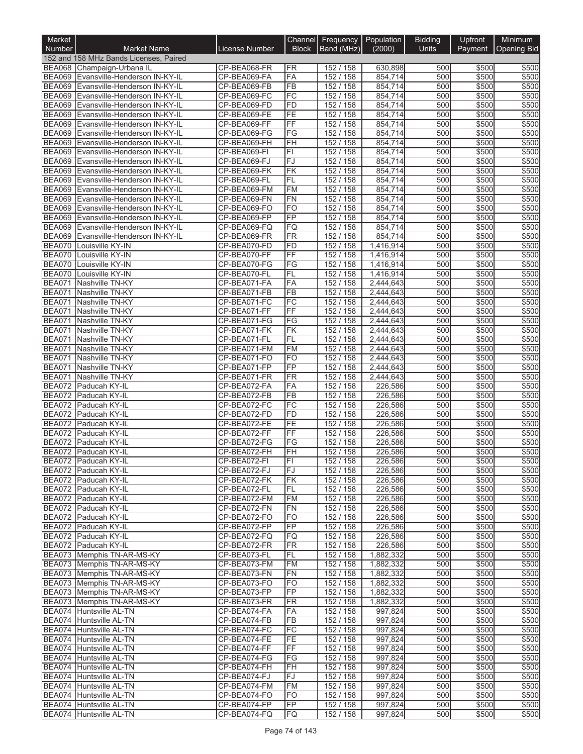| Market                         |                                                                |                              |                             | Channel Frequency      | Population             | <b>Bidding</b> | Upfront        | Minimum        |
|--------------------------------|----------------------------------------------------------------|------------------------------|-----------------------------|------------------------|------------------------|----------------|----------------|----------------|
| <b>Number</b>                  | <b>Market Name</b>                                             | <b>License Number</b>        | <b>Block</b>                | Band (MHz)             | (2000)                 | <b>Units</b>   | Payment        | Opening Bid    |
|                                | 152 and 158 MHz Bands Licenses, Paired                         |                              |                             |                        |                        |                |                |                |
|                                | BEA068 Champaign-Urbana IL                                     | CP-BEA068-FR                 | FR                          | 152 / 158              | 630.898                | 500            | \$500          | \$500          |
| <b>BEA069</b>                  | Evansville-Henderson IN-KY-IL                                  | CP-BEA069-FA                 | FA                          | 152 / 158              | 854,714                | 500            | \$500          | \$500          |
| <b>BEA069</b><br><b>BEA069</b> | Evansville-Henderson IN-KY-IL                                  | CP-BEA069-FB<br>CP-BEA069-FC | <b>FB</b><br>FC             | 152 / 158<br>152 / 158 | 854,714<br>854,714     | 500<br>500     | \$500<br>\$500 | \$500<br>\$500 |
| <b>BEA069</b>                  | Evansville-Henderson IN-KY-IL<br>Evansville-Henderson IN-KY-IL | CP-BEA069-FD                 | FD                          | 152 / 158              | 854,714                | 500            | \$500          | \$500          |
| <b>BEA069</b>                  | Evansville-Henderson IN-KY-IL                                  | CP-BEA069-FE                 | FE                          | 152 / 158              | 854,714                | 500            | \$500          | \$500          |
| <b>BEA069</b>                  | Evansville-Henderson IN-KY-IL                                  | CP-BEA069-FF                 | FF                          | 152 / 158              | 854,714                | 500            | \$500          | \$500          |
| <b>BEA069</b>                  | Evansville-Henderson IN-KY-IL                                  | CP-BEA069-FG                 | FG                          | 152 / 158              | 854,714                | 500            | \$500          | \$500          |
| <b>BEA069</b>                  | Evansville-Henderson IN-KY-IL                                  | CP-BEA069-FH                 | FH                          | 152 / 158              | 854,714                | 500            | \$500          | \$500          |
| <b>BEA069</b>                  | Evansville-Henderson IN-KY-IL                                  | CP-BEA069-FI                 | F1                          | 152 / 158              | 854,714                | 500            | \$500          | \$500          |
| <b>BEA069</b>                  | Evansville-Henderson IN-KY-IL                                  | CP-BEA069-FJ                 | FJ                          | 152 / 158              | 854,714                | 500            | \$500          | \$500          |
| <b>BEA069</b>                  | Evansville-Henderson IN-KY-IL                                  | CP-BEA069-FK                 | FK                          | 152 / 158              | 854,714                | 500            | \$500          | \$500          |
| <b>BEA069</b>                  | Evansville-Henderson IN-KY-IL                                  | CP-BEA069-FL                 | FL                          | 152 / 158              | 854,714                | 500            | \$500          | \$500          |
| <b>BEA069</b>                  | Evansville-Henderson IN-KY-IL                                  | CP-BEA069-FM                 | <b>FM</b>                   | 152 / 158              | 854,714                | 500<br>500     | \$500          | \$500          |
| <b>BEA069</b><br><b>BEA069</b> | Evansville-Henderson IN-KY-IL<br>Evansville-Henderson IN-KY-IL | CP-BEA069-FN<br>CP-BEA069-FO | <b>FN</b><br>F <sub>O</sub> | 152 / 158<br>152 / 158 | 854,714<br>854,714     | 500            | \$500<br>\$500 | \$500<br>\$500 |
| <b>BEA069</b>                  | Evansville-Henderson IN-KY-IL                                  | CP-BEA069-FP                 | FP                          | 152 / 158              | 854,714                | 500            | \$500          | \$500          |
| <b>BEA069</b>                  | Evansville-Henderson IN-KY-IL                                  | CP-BEA069-FQ                 | FQ                          | 152 / 158              | 854,714                | 500            | \$500          | \$500          |
| <b>BEA069</b>                  | Evansville-Henderson IN-KY-IL                                  | CP-BEA069-FR                 | FR                          | 152 / 158              | 854,714                | 500            | \$500          | \$500          |
| <b>BEA070</b>                  | Louisville KY-IN                                               | CP-BEA070-FD                 | <b>FD</b>                   | 152 / 158              | 1,416,914              | 500            | \$500          | \$500          |
| BEA070                         | Louisville KY-IN                                               | CP-BEA070-FF                 | FF                          | 152/158                | 1,416,914              | 500            | \$500          | \$500          |
| BEA070                         | Louisville KY-IN                                               | CP-BEA070-FG                 | FG                          | 152 / 158              | 1,416,914              | 500            | \$500          | \$500          |
| <b>BEA070</b>                  | Louisville KY-IN                                               | CP-BEA070-FL                 | <b>FL</b>                   | 152 / 158              | 1,416,914              | 500            | \$500          | \$500          |
| <b>BEA071</b>                  | Nashville TN-KY                                                | CP-BEA071-FA                 | FA                          | 152 / 158              | 2,444,643              | 500            | \$500          | \$500          |
| <b>BEA071</b>                  | Nashville TN-KY                                                | CP-BEA071-FB                 | FB                          | 152/158                | 2,444,643              | 500            | \$500          | \$500          |
| <b>BEA071</b>                  | Nashville TN-KY                                                | CP-BEA071-FC                 | FC<br>FF                    | 152 / 158              | 2,444,643              | 500            | \$500          | \$500          |
| <b>BEA071</b><br><b>BEA071</b> | Nashville TN-KY<br>Nashville TN-KY                             | CP-BEA071-FF<br>CP-BEA071-FG | FG                          | 152 / 158<br>152 / 158 | 2,444,643<br>2,444,643 | 500<br>500     | \$500<br>\$500 | \$500<br>\$500 |
| <b>BEA071</b>                  | Nashville TN-KY                                                | CP-BEA071-FK                 | FK                          | 152 / 158              | 2,444,643              | 500            | \$500          | \$500          |
| <b>BEA071</b>                  | Nashville TN-KY                                                | CP-BEA071-FL                 | FL                          | 152 / 158              | 2,444,643              | 500            | \$500          | \$500          |
| <b>BEA071</b>                  | Nashville TN-KY                                                | CP-BEA071-FM                 | <b>FM</b>                   | 152 / 158              | 2,444,643              | 500            | \$500          | \$500          |
| <b>BEA071</b>                  | Nashville TN-KY                                                | CP-BEA071-FO                 | <b>FO</b>                   | 152 / 158              | 2,444,643              | 500            | \$500          | \$500          |
| <b>BEA071</b>                  | Nashville TN-KY                                                | CP-BEA071-FP                 | FP                          | 152 / 158              | 2,444,643              | 500            | \$500          | \$500          |
| <b>BEA071</b>                  | Nashville TN-KY                                                | CP-BEA071-FR                 | FR                          | 152 / 158              | 2,444,643              | 500            | \$500          | \$500          |
| <b>BEA072</b>                  | Paducah KY-IL                                                  | CP-BEA072-FA                 | FA                          | 152 / 158              | 226,586                | 500            | \$500          | \$500          |
| <b>BEA072</b>                  | Paducah KY-IL                                                  | CP-BEA072-FB                 | FB                          | 152 / 158              | 226,586                | 500            | \$500          | \$500          |
| <b>BEA072</b>                  | Paducah KY-IL                                                  | CP-BEA072-FC                 | FC                          | 152 / 158              | 226,586                | 500            | \$500          | \$500          |
| <b>BEA072</b><br><b>BEA072</b> | Paducah KY-IL<br>Paducah KY-IL                                 | CP-BEA072-FD<br>CP-BEA072-FE | FD<br>FE                    | 152 / 158<br>152 / 158 | 226,586<br>226,586     | 500<br>500     | \$500<br>\$500 | \$500<br>\$500 |
| BEA072                         | Paducah KY-IL                                                  | CP-BEA072-FF                 | FF                          | 152 / 158              | 226,586                | 500            | \$500          | \$500          |
| <b>BEA072</b>                  | Paducah KY-IL                                                  | CP-BEA072-FG                 | FG                          | 152 / 158              | 226,586                | 500            | \$500          | \$500          |
|                                | BEA072 Paducah KY-IL                                           | CP-BEA072-FH                 | FH                          | 152 / 158              | 226,586                | 500            | \$500          | \$500          |
|                                | BEA072   Paducah KY-IL                                         | CP-BEA072-FI                 | IΕL                         | 152 / 158              | 226,586                | 500            | \$500          | \$500          |
|                                | BEA072 Paducah KY-IL                                           | CP-BEA072-FJ                 | FJ                          | 152 / 158              | 226,586                | 500            | \$500          | \$500          |
|                                | BEA072 Paducah KY-IL                                           | CP-BEA072-FK                 | FK                          | 152 / 158              | 226,586                | 500            | \$500          | \$500          |
|                                | BEA072 Paducah KY-IL                                           | CP-BEA072-FL                 | FL                          | 152 / 158              | 226,586                | 500            | \$500          | \$500          |
|                                | BEA072 Paducah KY-IL                                           | CP-BEA072-FM                 | <b>FM</b>                   | 152 / 158              | 226,586                | 500            | \$500          | \$500          |
|                                | BEA072 Paducah KY-IL                                           | CP-BEA072-FN                 | <b>FN</b>                   | 152 / 158              | 226,586                | 500<br>500     | \$500<br>\$500 | \$500          |
|                                | BEA072 Paducah KY-IL<br>BEA072 Paducah KY-IL                   | CP-BEA072-FO<br>CP-BEA072-FP | FO<br>FP                    | 152 / 158<br>152 / 158 | 226,586<br>226,586     | 500            | \$500          | \$500<br>\$500 |
|                                | BEA072 Paducah KY-IL                                           | CP-BEA072-FQ                 | FQ                          | 152 / 158              | 226,586                | 500            | \$500          | \$500          |
|                                | BEA072 Paducah KY-IL                                           | CP-BEA072-FR                 | FR                          | 152 / 158              | 226,586                | 500            | \$500          | \$500          |
|                                | BEA073 Memphis TN-AR-MS-KY                                     | CP-BEA073-FL                 | FL                          | 152 / 158              | 1,882,332              | 500            | \$500          | \$500          |
|                                | BEA073 Memphis TN-AR-MS-KY                                     | CP-BEA073-FM                 | FM                          | 152 / 158              | 1,882,332              | 500            | \$500          | \$500          |
|                                | BEA073 Memphis TN-AR-MS-KY                                     | CP-BEA073-FN                 | FN                          | 152 / 158              | 1,882,332              | 500            | \$500          | \$500          |
|                                | BEA073 Memphis TN-AR-MS-KY                                     | CP-BEA073-FO                 | FO                          | 152 / 158              | 1,882,332              | 500            | \$500          | \$500          |
|                                | BEA073 Memphis TN-AR-MS-KY                                     | CP-BEA073-FP                 | <b>FP</b>                   | 152 / 158              | 1,882,332              | 500            | \$500          | \$500          |
|                                | BEA073 Memphis TN-AR-MS-KY                                     | CP-BEA073-FR                 | FR                          | 152 / 158              | 1,882,332              | 500            | \$500          | \$500          |
|                                | BEA074 Huntsville AL-TN                                        | CP-BEA074-FA                 | FA                          | 152 / 158              | 997,824                | 500            | \$500          | \$500          |
|                                | BEA074 Huntsville AL-TN                                        | CP-BEA074-FB<br>CP-BEA074-FC | FB<br>FC                    | 152 / 158              | 997,824                | 500            | \$500<br>\$500 | \$500<br>\$500 |
|                                | BEA074 Huntsville AL-TN<br>BEA074 Huntsville AL-TN             | CP-BEA074-FE                 | FE                          | 152 / 158<br>152 / 158 | 997,824<br>997,824     | 500<br>500     | \$500          | \$500          |
|                                | BEA074 Huntsville AL-TN                                        | CP-BEA074-FF                 | FF                          | 152 / 158              | 997,824                | 500            | \$500          | \$500          |
|                                | BEA074 Huntsville AL-TN                                        | CP-BEA074-FG                 | FG                          | 152 / 158              | 997,824                | 500            | \$500          | \$500          |
|                                | BEA074 Huntsville AL-TN                                        | CP-BEA074-FH                 | FH                          | 152 / 158              | 997,824                | 500            | \$500          | \$500          |
|                                | BEA074 Huntsville AL-TN                                        | CP-BEA074-FJ                 | FJ                          | 152 / 158              | 997,824                | 500            | \$500          | \$500          |
|                                | BEA074 Huntsville AL-TN                                        | CP-BEA074-FM                 | FM                          | 152 / 158              | 997,824                | 500            | \$500          | \$500          |
|                                | BEA074 Huntsville AL-TN                                        | CP-BEA074-FO                 | FO                          | 152 / 158              | 997,824                | 500            | \$500          | \$500          |
|                                | BEA074 Huntsville AL-TN                                        | CP-BEA074-FP                 | FP                          | 152 / 158              | 997,824                | 500            | \$500          | \$500          |
|                                | BEA074 Huntsville AL-TN                                        | CP-BEA074-FQ                 | FQ                          | 152 / 158              | 997,824                | 500            | \$500          | \$500          |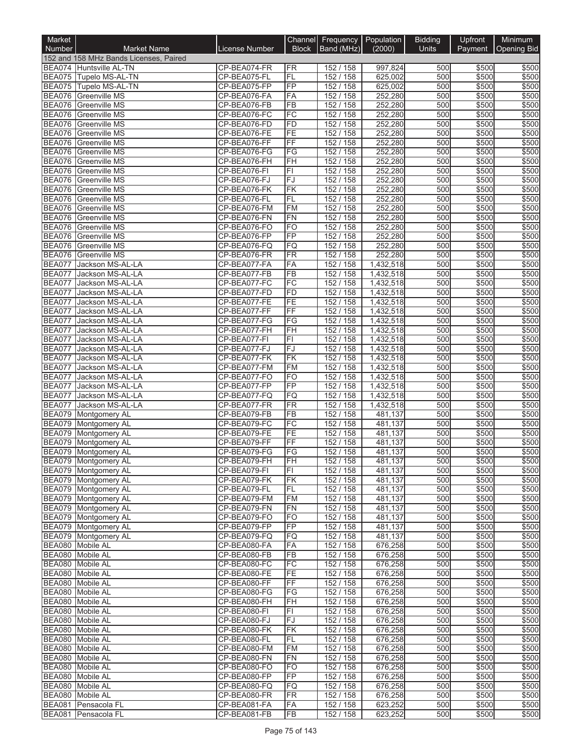| Market                         |                                                     |                              |                          | Channel Frequency Population |                        | <b>Bidding</b> | Upfront        | Minimum        |
|--------------------------------|-----------------------------------------------------|------------------------------|--------------------------|------------------------------|------------------------|----------------|----------------|----------------|
| <b>Number</b>                  | <b>Market Name</b>                                  | License Number               | <b>Block</b>             | Band (MHz)                   | (2000)                 | <b>Units</b>   | Payment        | Opening Bid    |
|                                | 152 and 158 MHz Bands Licenses, Paired              |                              |                          |                              |                        |                |                |                |
|                                | BEA074 Huntsville AL-TN                             | CP-BEA074-FR                 | <b>FR</b>                | 152 / 158                    | 997,824                | 500            | \$500          | \$500          |
|                                | BEA075 Tupelo MS-AL-TN                              | CP-BEA075-FL                 | FL                       | 152 / 158                    | 625,002                | 500            | \$500          | \$500          |
|                                | BEA075 Tupelo MS-AL-TN<br>BEA076 Greenville MS      | CP-BEA075-FP<br>CP-BEA076-FA | FP<br>FA                 | 152 / 158<br>152 / 158       | 625,002<br>252,280     | 500<br>500     | \$500<br>\$500 | \$500<br>\$500 |
|                                | BEA076 Greenville MS                                | CP-BEA076-FB                 | $\overline{FB}$          | 152 / 158                    | 252,280                | 500            | \$500          | \$500          |
| <b>BEA076</b>                  | Greenville MS                                       | CP-BEA076-FC                 | FC                       | 152 / 158                    | 252,280                | 500            | \$500          | \$500          |
|                                | BEA076 Greenville MS                                | CP-BEA076-FD                 | <b>FD</b>                | 152 / 158                    | 252,280                | 500            | \$500          | \$500          |
|                                | <b>BEA076</b> Greenville MS                         | CP-BEA076-FE                 | FE                       | 152 / 158                    | 252,280                | 500            | \$500          | \$500          |
| <b>BEA076</b>                  | <b>Greenville MS</b>                                | CP-BEA076-FF                 | $\overline{FF}$          | 152 / 158                    | 252,280                | 500            | \$500          | \$500          |
|                                | <b>BEA076</b> Greenville MS                         | CP-BEA076-FG                 | FG                       | 152 / 158                    | 252,280                | 500            | \$500          | \$500          |
|                                | <b>BEA076</b> Greenville MS                         | CP-BEA076-FH                 | FH                       | 152 / 158                    | 252,280                | 500            | \$500          | \$500          |
| <b>BEA076</b>                  | <b>Greenville MS</b>                                | CP-BEA076-FI                 | F1                       | 152 / 158                    | 252,280                | 500            | \$500          | \$500          |
|                                | BEA076 Greenville MS                                | CP-BEA076-FJ                 | FJ                       | 152 / 158                    | 252,280                | 500            | \$500          | \$500          |
| <b>BEA076</b>                  | BEA076 Greenville MS<br><b>Greenville MS</b>        | CP-BEA076-FK<br>CP-BEA076-FL | FK<br><b>FL</b>          | 152 / 158<br>152 / 158       | 252,280<br>252,280     | 500<br>500     | \$500<br>\$500 | \$500<br>\$500 |
| BEA076                         | Greenville MS                                       | CP-BEA076-FM                 | <b>FM</b>                | 152 / 158                    | 252,280                | 500            | \$500          | \$500          |
| <b>BEA076</b>                  | <b>Greenville MS</b>                                | CP-BEA076-FN                 | FN                       | 152 / 158                    | 252,280                | 500            | \$500          | \$500          |
| <b>BEA076</b>                  | <b>Greenville MS</b>                                | CP-BEA076-FO                 | <b>FO</b>                | 152 / 158                    | 252,280                | 500            | \$500          | \$500          |
| <b>BEA076</b>                  | <b>Greenville MS</b>                                | CP-BEA076-FP                 | FP                       | 152 / 158                    | 252,280                | 500            | \$500          | \$500          |
| <b>BEA076</b>                  | Greenville MS                                       | CP-BEA076-FQ                 | FQ                       | 152 / 158                    | 252,280                | 500            | \$500          | \$500          |
| <b>BEA076</b>                  | Greenville MS                                       | CP-BEA076-FR                 | FR                       | 152 / 158                    | 252,280                | 500            | \$500          | \$500          |
| <b>BEA077</b>                  | Jackson MS-AL-LA                                    | CP-BEA077-FA                 | FA                       | 152 / 158                    | 1,432,518              | 500            | \$500          | \$500          |
| <b>BEA077</b>                  | Jackson MS-AL-LA                                    | CP-BEA077-FB                 | FB                       | 152 / 158                    | 1,432,518              | 500            | \$500          | \$500          |
| <b>BEA077</b>                  | Jackson MS-AL-LA                                    | CP-BEA077-FC                 | FC                       | 152 / 158                    | 1,432,518              | 500            | \$500          | \$500          |
| <b>BEA077</b>                  | Jackson MS-AL-LA                                    | CP-BEA077-FD                 | FD                       | 152 / 158                    | 1,432,518              | 500            | \$500          | \$500          |
| <b>BEA077</b><br><b>BEA077</b> | Jackson MS-AL-LA<br>Jackson MS-AL-LA                | CP-BEA077-FE<br>CP-BEA077-FF | FE<br>FF                 | 152 / 158<br>152 / 158       | 1,432,518              | 500<br>500     | \$500<br>\$500 | \$500<br>\$500 |
| <b>BEA077</b>                  | Jackson MS-AL-LA                                    | CP-BEA077-FG                 | $\overline{\text{FG}}$   | 152 / 158                    | 1,432,518<br>1,432,518 | 500            | \$500          | \$500          |
| <b>BEA077</b>                  | Jackson MS-AL-LA                                    | CP-BEA077-FH                 | $\overline{F}$ H         | 152 / 158                    | 1,432,518              | 500            | \$500          | \$500          |
| <b>BEA077</b>                  | Jackson MS-AL-LA                                    | CP-BEA077-FI                 | $\overline{F}$           | 152 / 158                    | 1,432,518              | 500            | \$500          | \$500          |
| <b>BEA077</b>                  | Jackson MS-AL-LA                                    | CP-BEA077-FJ                 | FJ                       | 152 / 158                    | 1,432,518              | 500            | \$500          | \$500          |
| <b>BEA077</b>                  | Jackson MS-AL-LA                                    | CP-BEA077-FK                 | FK                       | 152 / 158                    | 1,432,518              | 500            | \$500          | \$500          |
| <b>BEA077</b>                  | Jackson MS-AL-LA                                    | CP-BEA077-FM                 | <b>FM</b>                | 152 / 158                    | 1,432,518              | 500            | \$500          | \$500          |
| <b>BEA077</b>                  | Jackson MS-AL-LA                                    | CP-BEA077-FO                 | FO                       | 152 / 158                    | 1,432,518              | 500            | \$500          | \$500          |
| <b>BEA077</b>                  | Jackson MS-AL-LA                                    | CP-BEA077-FP                 | FP                       | 152 / 158                    | 1,432,518              | 500            | \$500          | \$500          |
| <b>BEA077</b>                  | Jackson MS-AL-LA                                    | CP-BEA077-FQ                 | FQ                       | 152 / 158                    | 1,432,518              | 500            | \$500          | \$500          |
| <b>BEA077</b>                  | Jackson MS-AL-LA                                    | CP-BEA077-FR                 | FR                       | 152 / 158                    | 1,432,518              | 500            | \$500          | \$500          |
| <b>BEA079</b><br><b>BEA079</b> | Montgomery AL                                       | CP-BEA079-FB                 | FB<br><b>FC</b>          | 152 / 158                    | 481,137                | 500<br>500     | \$500<br>\$500 | \$500<br>\$500 |
|                                | Montgomery AL<br>BEA079 Montgomery AL               | CP-BEA079-FC<br>CP-BEA079-FE | FE                       | 152 / 158<br>152 / 158       | 481,137<br>481,137     | 500            | \$500          | \$500          |
| <b>BEA079</b>                  | Montgomery AL                                       | CP-BEA079-FF                 | $\overline{FF}$          | 152 / 158                    | 481,137                | 500            | \$500          | \$500          |
|                                | BEA079 Montgomery AL                                | CP-BEA079-FG                 | $\overline{\mathsf{FG}}$ | 152/158                      | 481,137                | 500            | \$500          | \$500          |
|                                | BEA079 Montgomery AL                                | CP-BEA079-FH                 | FH                       | 152 / 158                    | 481,137                | 500            | \$500          | \$500          |
|                                | BEA079 Montgomery AL                                | CP-BEA079-FI                 | FI.                      | 152/158                      | 481,137                | 500            | \$500          | \$500          |
|                                | BEA079 Montgomery AL                                | CP-BEA079-FK                 | FK                       | 152 / 158                    | 481.137                | 500            | \$500          | \$500          |
|                                | BEA079 Montgomery AL                                | CP-BEA079-FL                 | FL                       | 152 / 158                    | 481,137                | 500            | \$500          | \$500          |
|                                | BEA079 Montgomery AL                                | CP-BEA079-FM                 | FM                       | 152 / 158                    | 481,137                | 500            | \$500          | \$500          |
|                                | BEA079 Montgomery AL                                | CP-BEA079-FN                 | <b>FN</b>                | 152 / 158                    | 481,137                | 500            | \$500          | \$500          |
|                                | BEA079 Montgomery AL<br><b>BEA079</b> Montgomery AL | CP-BEA079-FO<br>CP-BEA079-FP | <b>FO</b><br>FP          | 152/158<br>152 / 158         | 481,137<br>481,137     | 500<br>500     | \$500<br>\$500 | \$500<br>\$500 |
|                                | BEA079 Montgomery AL                                | CP-BEA079-FQ                 | FQ                       | 152 / 158                    | 481,137                | 500            | \$500          | \$500          |
|                                | BEA080 Mobile AL                                    | CP-BEA080-FA                 | FA                       | 152 / 158                    | 676,258                | 500            | \$500          | \$500          |
|                                | BEA080 Mobile AL                                    | CP-BEA080-FB                 | <b>FB</b>                | 152 / 158                    | 676,258                | 500            | \$500          | \$500          |
|                                | BEA080 Mobile AL                                    | CP-BEA080-FC                 | FC                       | 152 / 158                    | 676,258                | 500            | \$500          | \$500          |
|                                | BEA080 Mobile AL                                    | CP-BEA080-FE                 | FE                       | 152 / 158                    | 676,258                | 500            | \$500          | \$500          |
|                                | BEA080 Mobile AL                                    | CP-BEA080-FF                 | FF                       | 152 / 158                    | 676,258                | 500            | \$500          | \$500          |
|                                | BEA080 Mobile AL                                    | CP-BEA080-FG                 | FG                       | 152/158                      | 676,258                | 500            | \$500          | \$500          |
|                                | BEA080 Mobile AL                                    | CP-BEA080-FH                 | FH                       | 152 / 158                    | 676,258                | 500            | \$500          | \$500          |
|                                | BEA080 Mobile AL                                    | CP-BEA080-FI                 | FI                       | 152 / 158                    | 676,258                | 500            | \$500          | \$500          |
|                                | BEA080 Mobile AL                                    | CP-BEA080-FJ                 | FJ                       | 152 / 158                    | 676,258                | 500            | \$500          | \$500          |
|                                | BEA080 Mobile AL                                    | CP-BEA080-FK                 | FK                       | 152 / 158                    | 676,258                | 500            | \$500          | \$500          |
|                                | BEA080 Mobile AL<br>BEA080 Mobile AL                | CP-BEA080-FL<br>CP-BEA080-FM | <b>FL</b><br>FM          | 152 / 158<br>152 / 158       | 676,258<br>676,258     | 500<br>500     | \$500<br>\$500 | \$500<br>\$500 |
|                                | BEA080 Mobile AL                                    | CP-BEA080-FN                 | FN                       | 152/158                      | 676,258                | 500            | \$500          | \$500          |
|                                | BEA080 Mobile AL                                    | CP-BEA080-FO                 | <b>FO</b>                | 152 / 158                    | 676,258                | 500            | \$500          | \$500          |
|                                | BEA080 Mobile AL                                    | CP-BEA080-FP                 | FP                       | 152 / 158                    | 676,258                | 500            | \$500          | \$500          |
|                                | BEA080 Mobile AL                                    | CP-BEA080-FQ                 | FQ                       | 152 / 158                    | 676,258                | 500            | \$500          | \$500          |
|                                | BEA080 Mobile AL                                    | CP-BEA080-FR                 | <b>FR</b>                | 152 / 158                    | 676,258                | 500            | \$500          | \$500          |
| <b>BEA081</b>                  | Pensacola FL                                        | CP-BEA081-FA                 | FA                       | 152/158                      | 623,252                | 500            | \$500          | \$500          |
| <b>BEA081</b>                  | Pensacola FL                                        | CP-BEA081-FB                 | FB                       | 152 / 158                    | 623,252                | 500            | \$500          | \$500          |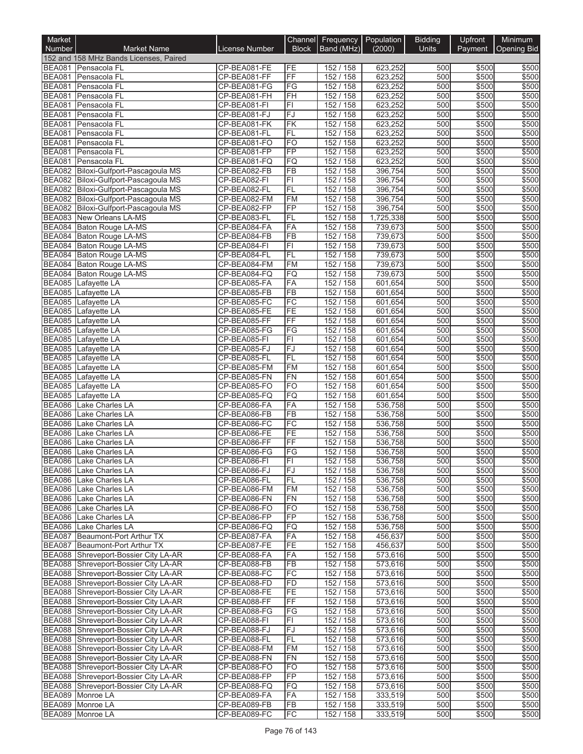| Market                         |                                                                              |                              |                          | Channel Frequency Population |                      | <b>Bidding</b> | Upfront        | Minimum            |
|--------------------------------|------------------------------------------------------------------------------|------------------------------|--------------------------|------------------------------|----------------------|----------------|----------------|--------------------|
| <b>Number</b>                  | <b>Market Name</b>                                                           | <b>License Number</b>        | <b>Block</b>             | Band (MHz)                   | (2000)               | <b>Units</b>   | Payment        | <b>Opening Bid</b> |
|                                | 152 and 158 MHz Bands Licenses, Paired                                       |                              |                          |                              |                      |                |                |                    |
| <b>BEA081</b>                  | Pensacola FL                                                                 | CP-BEA081-FE                 | FE<br>FF                 | 152 / 158                    | 623,252              | 500            | \$500          | \$500              |
| <b>BEA081</b><br><b>BEA081</b> | Pensacola FL<br>Pensacola FL                                                 | CP-BEA081-FF<br>CP-BEA081-FG | FG                       | 152 / 158<br>152 / 158       | 623,252<br>623,252   | 500<br>500     | \$500<br>\$500 | \$500<br>\$500     |
| <b>BEA081</b>                  | Pensacola FL                                                                 | CP-BEA081-FH                 | FH                       | 152 / 158                    | 623,252              | 500            | \$500          | \$500              |
| <b>BEA081</b>                  | Pensacola FL                                                                 | CP-BEA081-FI                 | $\overline{\mathsf{FI}}$ | 152 / 158                    | 623,252              | 500            | \$500          | \$500              |
| <b>BEA081</b>                  | Pensacola FL                                                                 | CP-BEA081-FJ                 | FJ                       | 152 / 158                    | 623,252              | 500            | \$500          | \$500              |
| <b>BEA081</b>                  | Pensacola FL                                                                 | CP-BEA081-FK                 | FK                       | 152 / 158                    | 623,252              | 500            | \$500          | \$500              |
| <b>BEA081</b>                  | Pensacola FL                                                                 | CP-BEA081-FL                 | FL                       | 152 / 158                    | 623,252              | 500            | \$500          | \$500              |
| <b>BEA081</b><br><b>BEA081</b> | Pensacola FL<br>Pensacola FL                                                 | CP-BEA081-FO<br>CP-BEA081-FP | F <sub>O</sub><br>FP     | 152 / 158<br>152 / 158       | 623,252<br>623,252   | 500<br>500     | \$500<br>\$500 | \$500<br>\$500     |
| <b>BEA081</b>                  | Pensacola FL                                                                 | CP-BEA081-FQ                 | <b>FQ</b>                | 152 / 158                    | 623,252              | 500            | \$500          | \$500              |
| <b>BEA082</b>                  | Biloxi-Gulfport-Pascagoula MS                                                | CP-BEA082-FB                 | FB                       | 152 / 158                    | 396,754              | 500            | \$500          | \$500              |
| <b>BEA082</b>                  | Biloxi-Gulfport-Pascagoula MS                                                | CP-BEA082-FI                 | F1                       | 152 / 158                    | 396,754              | 500            | \$500          | \$500              |
|                                | BEA082 Biloxi-Gulfport-Pascagoula MS                                         | CP-BEA082-FL                 | FL                       | 152 / 158                    | 396,754              | 500            | \$500          | \$500              |
| <b>BEA082</b>                  | Biloxi-Gulfport-Pascagoula MS                                                | CP-BEA082-FM                 | FM                       | 152 / 158                    | 396,754              | 500            | \$500          | \$500              |
|                                | BEA082 Biloxi-Gulfport-Pascagoula MS                                         | CP-BEA082-FP                 | $\overline{FP}$          | 152 / 158                    | 396,754              | 500            | \$500          | \$500              |
| <b>BEA083</b><br><b>BEA084</b> | New Orleans LA-MS<br>Baton Rouge LA-MS                                       | CP-BEA083-FL<br>CP-BEA084-FA | FL<br>FA                 | 152 / 158<br>152 / 158       | 1,725,338<br>739,673 | 500<br>500     | \$500<br>\$500 | \$500<br>\$500     |
|                                | BEA084 Baton Rouge LA-MS                                                     | CP-BEA084-FB                 | FB                       | 152 / 158                    | 739,673              | 500            | \$500          | \$500              |
| <b>BEA084</b>                  | Baton Rouge LA-MS                                                            | CP-BEA084-FI                 | FI                       | 152 / 158                    | 739,673              | 500            | \$500          | \$500              |
| <b>BEA084</b>                  | Baton Rouge LA-MS                                                            | CP-BEA084-FL                 | FL                       | 152 / 158                    | 739,673              | 500            | \$500          | \$500              |
| <b>BEA084</b>                  | Baton Rouge LA-MS                                                            | CP-BEA084-FM                 | <b>FM</b>                | 152 / 158                    | 739,673              | 500            | \$500          | \$500              |
| <b>BEA084</b>                  | Baton Rouge LA-MS                                                            | CP-BEA084-FQ                 | FQ                       | 152 / 158                    | 739,673              | 500            | \$500          | \$500              |
| <b>BEA085</b>                  | Lafayette LA                                                                 | CP-BEA085-FA                 | FA                       | 152 / 158                    | 601,654              | 500            | \$500          | \$500              |
|                                | BEA085 Lafayette LA                                                          | CP-BEA085-FB                 | FB<br>FC                 | 152 / 158                    | 601,654<br>601,654   | 500            | \$500          | \$500              |
| <b>BEA085</b><br><b>BEA085</b> | Lafayette LA<br>Lafayette LA                                                 | CP-BEA085-FC<br>CP-BEA085-FE | FE                       | 152 / 158<br>152 / 158       | 601,654              | 500<br>500     | \$500<br>\$500 | \$500<br>\$500     |
| <b>BEA085</b>                  | Lafayette LA                                                                 | CP-BEA085-FF                 | FF                       | 152 / 158                    | 601,654              | 500            | \$500          | \$500              |
| <b>BEA085</b>                  | Lafayette LA                                                                 | CP-BEA085-FG                 | FG                       | 152 / 158                    | 601,654              | 500            | \$500          | \$500              |
| <b>BEA085</b>                  | Lafayette LA                                                                 | CP-BEA085-FI                 | $\overline{\mathsf{FI}}$ | 152 / 158                    | 601,654              | 500            | \$500          | \$500              |
| <b>BEA085</b>                  | Lafayette LA                                                                 | CP-BEA085-FJ                 | <b>FJ</b>                | 152 / 158                    | 601,654              | 500            | \$500          | \$500              |
| <b>BEA085</b>                  | Lafayette LA                                                                 | CP-BEA085-FL                 | FL                       | 152 / 158                    | 601,654              | 500            | \$500          | \$500              |
| <b>BEA085</b>                  | Lafayette LA                                                                 | CP-BEA085-FM                 | FM                       | 152 / 158                    | 601,654              | 500            | \$500          | \$500              |
| <b>BEA085</b><br><b>BEA085</b> | Lafayette LA<br>Lafayette LA                                                 | CP-BEA085-FN<br>CP-BEA085-FO | <b>FN</b><br><b>FO</b>   | 152 / 158<br>152 / 158       | 601,654<br>601,654   | 500<br>500     | \$500<br>\$500 | \$500<br>\$500     |
| <b>BEA085</b>                  | Lafayette LA                                                                 | CP-BEA085-FQ                 | <b>FQ</b>                | 152 / 158                    | 601,654              | 500            | \$500          | \$500              |
| <b>BEA086</b>                  | Lake Charles LA                                                              | CP-BEA086-FA                 | FA                       | 152 / 158                    | 536,758              | 500            | \$500          | \$500              |
| <b>BEA086</b>                  | Lake Charles LA                                                              | CP-BEA086-FB                 | <b>FB</b>                | 152 / 158                    | 536,758              | 500            | \$500          | \$500              |
| <b>BEA086</b>                  | Lake Charles LA                                                              | CP-BEA086-FC                 | FC                       | 152 / 158                    | 536,758              | 500            | \$500          | \$500              |
| <b>BEA086</b>                  | Lake Charles LA                                                              | CP-BEA086-FE                 | FE                       | 152 / 158                    | 536,758              | 500            | \$500          | \$500              |
| <b>BEA086</b>                  | Lake Charles LA<br><b>Lake Charles LA</b>                                    | CP-BEA086-FF<br>CP-BEA086-FG | FF                       | 152 / 158                    | 536,758              | 500            | \$500          | \$500              |
| <b>BEA086</b>                  |                                                                              |                              | $\overline{\mathsf{FG}}$ | 152 / 158                    | 536,758              | 500<br>500     | \$500<br>\$500 | \$500<br>\$500     |
|                                | BEA086 Lake Charles LA<br>BEA086 Lake Charles LA                             | CP-BEA086-FI<br>CP-BEA086-FJ | ΗI<br>lFJ                | 152 / 158<br>152 / 158       | 536,758<br>536,758   | 500            | \$500          | \$500              |
|                                | BEA086 Lake Charles LA                                                       | CP-BEA086-FL                 | FL                       | 152 / 158                    | 536,758              | 500            | \$500          | \$500              |
|                                | BEA086 Lake Charles LA                                                       | CP-BEA086-FM                 | <b>FM</b>                | 152 / 158                    | 536,758              | 500            | \$500          | \$500              |
|                                | BEA086 Lake Charles LA                                                       | CP-BEA086-FN                 | FN                       | 152 / 158                    | 536,758              | 500            | \$500          | \$500              |
|                                | <b>BEA086</b> Lake Charles LA                                                | CP-BEA086-FO                 | FO                       | 152 / 158                    | 536,758              | 500            | \$500          | \$500              |
|                                | BEA086 Lake Charles LA                                                       | CP-BEA086-FP                 | FP                       | 152 / 158                    | 536,758              | 500            | \$500          | \$500              |
|                                | BEA086 Lake Charles LA<br>BEA087 Beaumont-Port Arthur TX                     | CP-BEA086-FQ<br>CP-BEA087-FA | FQ<br>FA                 | 152 / 158<br>152 / 158       | 536,758<br>456,637   | 500<br>500     | \$500<br>\$500 | \$500<br>\$500     |
|                                | BEA087 Beaumont-Port Arthur TX                                               | CP-BEA087-FE                 | FE                       | 152 / 158                    | 456,637              | 500            | \$500          | \$500              |
|                                | BEA088 Shreveport-Bossier City LA-AR                                         | CP-BEA088-FA                 | FA                       | 152 / 158                    | 573,616              | 500            | \$500          | \$500              |
|                                | BEA088 Shreveport-Bossier City LA-AR                                         | CP-BEA088-FB                 | FB                       | 152 / 158                    | 573,616              | 500            | \$500          | \$500              |
|                                | BEA088 Shreveport-Bossier City LA-AR                                         | CP-BEA088-FC                 | FC                       | 152 / 158                    | 573,616              | 500            | \$500          | \$500              |
|                                | BEA088 Shreveport-Bossier City LA-AR                                         | CP-BEA088-FD                 | FD                       | 152 / 158                    | 573,616              | 500            | \$500          | \$500              |
|                                | BEA088 Shreveport-Bossier City LA-AR                                         | CP-BEA088-FE                 | FE                       | 152 / 158                    | 573,616              | 500            | \$500          | \$500              |
|                                | BEA088 Shreveport-Bossier City LA-AR<br>BEA088 Shreveport-Bossier City LA-AR | CP-BEA088-FF<br>CP-BEA088-FG | FF<br>FG                 | 152 / 158<br>152 / 158       | 573,616<br>573,616   | 500<br>500     | \$500          | \$500<br>\$500     |
|                                | BEA088 Shreveport-Bossier City LA-AR                                         | CP-BEA088-FI                 | FI                       | 152 / 158                    | 573,616              | 500            | \$500<br>\$500 | \$500              |
|                                | BEA088 Shreveport-Bossier City LA-AR                                         | CP-BEA088-FJ                 | lFJ.                     | 152 / 158                    | 573,616              | 500            | \$500          | \$500              |
|                                | BEA088 Shreveport-Bossier City LA-AR                                         | CP-BEA088-FL                 | FL                       | 152 / 158                    | 573,616              | 500            | \$500          | \$500              |
|                                | BEA088 Shreveport-Bossier City LA-AR                                         | CP-BEA088-FM                 | <b>FM</b>                | 152 / 158                    | 573,616              | 500            | \$500          | \$500              |
|                                | BEA088 Shreveport-Bossier City LA-AR                                         | CP-BEA088-FN                 | FN                       | 152 / 158                    | 573,616              | 500            | \$500          | \$500              |
|                                | BEA088 Shreveport-Bossier City LA-AR                                         | CP-BEA088-FO                 | FO                       | 152 / 158                    | 573,616              | 500            | \$500          | \$500              |
|                                | BEA088 Shreveport-Bossier City LA-AR                                         | CP-BEA088-FP                 | FP                       | 152 / 158                    | 573,616              | 500            | \$500          | \$500              |
|                                | BEA088 Shreveport-Bossier City LA-AR<br>BEA089 Monroe LA                     | CP-BEA088-FQ<br>CP-BEA089-FA | FQ<br>FA                 | 152 / 158<br>152 / 158       | 573,616<br>333,519   | 500<br>500     | \$500<br>\$500 | \$500<br>\$500     |
|                                | BEA089 Monroe LA                                                             | CP-BEA089-FB                 | FB                       | 152 / 158                    | 333,519              | 500            | \$500          | \$500              |
| <b>BEA089</b>                  | Monroe LA                                                                    | CP-BEA089-FC                 | FC                       | 152 / 158                    | 333,519              | 500            | \$500          | \$500              |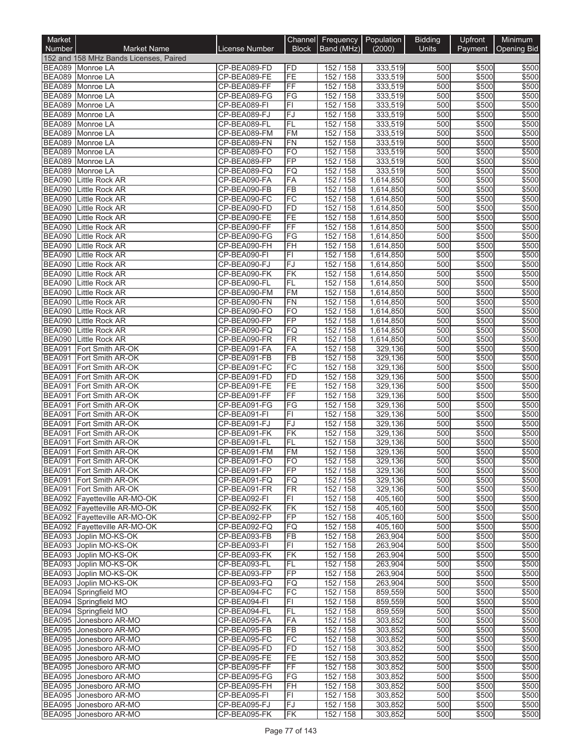| Market                         |                                                        |                              |                              | Channel Frequency Population |                        | <b>Bidding</b> | Upfront        | Minimum        |
|--------------------------------|--------------------------------------------------------|------------------------------|------------------------------|------------------------------|------------------------|----------------|----------------|----------------|
| Number                         | <b>Market Name</b>                                     | License Number               | <b>Block</b>                 | Band (MHz)                   | (2000)                 | <b>Units</b>   | Payment        | Opening Bid    |
|                                | 152 and 158 MHz Bands Licenses, Paired                 |                              |                              |                              |                        |                |                |                |
|                                | BEA089 Monroe LA                                       | CP-BEA089-FD                 | FD                           | 152 / 158                    | 333,519                | 500            | \$500          | \$500          |
|                                | BEA089 Monroe LA                                       | CP-BEA089-FE                 | FE                           | 152 / 158                    | 333,519                | 500            | \$500          | \$500          |
| <b>BEA089</b>                  | Monroe LA<br>BEA089 Monroe LA                          | CP-BEA089-FF<br>CP-BEA089-FG | FF<br>$\overline{\text{FG}}$ | 152/158<br>152 / 158         | 333,519<br>333,519     | 500<br>500     | \$500<br>\$500 | \$500<br>\$500 |
|                                | BEA089 Monroe LA                                       | CP-BEA089-FI                 | F1                           | 152 / 158                    | 333,519                | 500            | \$500          | \$500          |
| <b>BEA089</b>                  | Monroe LA                                              | CP-BEA089-FJ                 | FJ                           | 152 / 158                    | 333,519                | 500            | \$500          | \$500          |
| <b>BEA089</b>                  | Monroe LA                                              | CP-BEA089-FL                 | <b>FL</b>                    | 152 / 158                    | 333,519                | 500            | \$500          | \$500          |
| <b>BEA089</b>                  | Monroe LA                                              | CP-BEA089-FM                 | <b>FM</b>                    | 152 / 158                    | 333,519                | 500            | \$500          | \$500          |
| <b>BEA089</b>                  | Monroe LA                                              | CP-BEA089-FN                 | <b>FN</b>                    | 152 / 158                    | 333,519                | 500            | \$500          | \$500          |
| <b>BEA089</b>                  | Monroe LA                                              | CP-BEA089-FO                 | <b>FO</b>                    | 152 / 158                    | 333,519                | 500            | \$500          | \$500          |
| <b>BEA089</b>                  | Monroe LA                                              | CP-BEA089-FP                 | FP                           | 152 / 158                    | 333,519                | 500            | \$500          | \$500          |
| <b>BEA089</b>                  | Monroe LA                                              | CP-BEA089-FQ                 | FQ                           | 152 / 158                    | 333,519                | 500            | \$500          | \$500          |
| <b>BEA090</b>                  | Little Rock AR                                         | CP-BEA090-FA                 | FA                           | 152 / 158                    | 1,614,850              | 500            | \$500          | \$500          |
| <b>BEA090</b><br><b>BEA090</b> | Little Rock AR                                         | CP-BEA090-FB<br>CP-BEA090-FC | <b>FB</b><br>FC              | 152 / 158<br>152 / 158       | 1,614,850<br>1,614,850 | 500<br>500     | \$500<br>\$500 | \$500<br>\$500 |
| <b>BEA090</b>                  | Little Rock AR<br>Little Rock AR                       | CP-BEA090-FD                 | FD                           | 152 / 158                    | 1,614,850              | 500            | \$500          | \$500          |
| <b>BEA090</b>                  | Little Rock AR                                         | CP-BEA090-FE                 | FE                           | 152 / 158                    | 1,614,850              | 500            | \$500          | \$500          |
| <b>BEA090</b>                  | Little Rock AR                                         | CP-BEA090-FF                 | $\overline{FF}$              | 152 / 158                    | 1,614,850              | 500            | \$500          | \$500          |
| <b>BEA090</b>                  | Little Rock AR                                         | CP-BEA090-FG                 | FG                           | 152 / 158                    | 1,614,850              | 500            | \$500          | \$500          |
| <b>BEA090</b>                  | Little Rock AR                                         | CP-BEA090-FH                 | FH                           | 152 / 158                    | 1,614,850              | 500            | \$500          | \$500          |
| <b>BEA090</b>                  | Little Rock AR                                         | CP-BEA090-FI                 | F1                           | 152 / 158                    | 1,614,850              | 500            | \$500          | \$500          |
|                                | <b>BEA090</b> Little Rock AR                           | CP-BEA090-FJ                 | FJ                           | 152 / 158                    | 1,614,850              | 500            | \$500          | \$500          |
| <b>BEA090</b>                  | Little Rock AR                                         | CP-BEA090-FK                 | FK                           | 152 / 158                    | 1,614,850              | 500            | \$500          | \$500          |
| <b>BEA090</b>                  | Little Rock AR                                         | CP-BEA090-FL                 | FL                           | 152 / 158                    | 1,614,850              | 500            | \$500          | \$500          |
| <b>BEA090</b>                  | Little Rock AR                                         | CP-BEA090-FM                 | FM                           | 152 / 158                    | 1,614,850              | 500            | \$500          | \$500          |
| <b>BEA090</b><br><b>BEA090</b> | Little Rock AR                                         | CP-BEA090-FN<br>CP-BEA090-FO | FN<br><b>FO</b>              | 152 / 158<br>152 / 158       | 1,614,850              | 500<br>500     | \$500          | \$500          |
| <b>BEA090</b>                  | Little Rock AR<br>Little Rock AR                       | CP-BEA090-FP                 | <b>FP</b>                    | 152 / 158                    | 1,614,850<br>1,614,850 | 500            | \$500<br>\$500 | \$500<br>\$500 |
| <b>BEA090</b>                  | Little Rock AR                                         | CP-BEA090-FQ                 | FQ                           | 152 / 158                    | 1,614,850              | 500            | \$500          | \$500          |
| <b>BEA090</b>                  | Little Rock AR                                         | CP-BEA090-FR                 | FR                           | 152 / 158                    | 1,614,850              | 500            | \$500          | \$500          |
| <b>BEA091</b>                  | Fort Smith AR-OK                                       | CP-BEA091-FA                 | FA                           | 152 / 158                    | 329,136                | 500            | \$500          | \$500          |
| <b>BEA091</b>                  | Fort Smith AR-OK                                       | CP-BEA091-FB                 | <b>FB</b>                    | 152 / 158                    | 329,136                | 500            | \$500          | \$500          |
| <b>BEA091</b>                  | Fort Smith AR-OK                                       | CP-BEA091-FC                 | FC                           | 152 / 158                    | 329,136                | 500            | \$500          | \$500          |
| <b>BEA091</b>                  | Fort Smith AR-OK                                       | CP-BEA091-FD                 | FD                           | 152 / 158                    | 329,136                | 500            | \$500          | \$500          |
| <b>BEA091</b>                  | Fort Smith AR-OK                                       | CP-BEA091-FE                 | FE                           | 152 / 158                    | 329,136                | 500            | \$500          | \$500          |
| <b>BEA091</b>                  | Fort Smith AR-OK                                       | CP-BEA091-FF                 | FF                           | 152 / 158                    | 329,136                | 500            | \$500          | \$500          |
| <b>BEA091</b>                  | Fort Smith AR-OK                                       | CP-BEA091-FG                 | FG                           | 152 / 158                    | 329,136                | 500            | \$500          | \$500          |
| <b>BEA091</b>                  | Fort Smith AR-OK                                       | CP-BEA091-FI                 | F1                           | 152 / 158<br>152 / 158       | 329,136                | 500            | \$500          | \$500          |
| <b>BEA091</b><br><b>BEA091</b> | Fort Smith AR-OK<br>Fort Smith AR-OK                   | CP-BEA091-FJ<br>CP-BEA091-FK | FJ<br><b>FK</b>              | 152 / 158                    | 329,136<br>329,136     | 500<br>500     | \$500<br>\$500 | \$500<br>\$500 |
| <b>BEA091</b>                  | Fort Smith AR-OK                                       | CP-BEA091-FL                 | FL                           | 152 / 158                    | 329,136                | 500            | \$500          | \$500          |
| <b>BEA091</b>                  | Fort Smith AR-OK                                       | CP-BEA091-FM                 | FM                           | 152/158                      | 329,136                | 500            | \$500          | \$500          |
|                                | BEA091 Fort Smith AR-OK                                | CP-BEA091-FO                 | FO.                          | 152 / 158                    | 329,136                | 500            | \$500          | \$500          |
|                                | BEA091 Fort Smith AR-OK                                | CP-BEA091-FP                 | <b>FP</b>                    | 152 / 158                    | 329,136                | 500            | \$500          | \$500          |
| <b>BEA091</b>                  | Fort Smith AR-OK                                       | CP-BEA091-FQ                 | FQ                           | 152 / 158                    | 329,136                | 500            | \$500          | \$500          |
| <b>BEA091</b>                  | Fort Smith AR-OK                                       | CP-BEA091-FR                 | FR                           | 152 / 158                    | 329,136                | 500            | \$500          | \$500          |
|                                | BEA092 Fayetteville AR-MO-OK                           | CP-BEA092-FI                 | FI                           | 152 / 158                    | 405,160                | 500            | \$500          | \$500          |
|                                | BEA092 Fayetteville AR-MO-OK                           | CP-BEA092-FK                 | FK                           | 152 / 158                    | 405,160                | 500            | \$500          | \$500          |
|                                | BEA092 Fayetteville AR-MO-OK                           | CP-BEA092-FP                 | FP                           | 152 / 158                    | 405,160                | 500            | \$500          | \$500          |
|                                | BEA092 Fayetteville AR-MO-OK<br>BEA093 Joplin MO-KS-OK | CP-BEA092-FQ<br>CP-BEA093-FB | FQ<br>FB                     | 152 / 158<br>152 / 158       | 405,160<br>263,904     | 500<br>500     | \$500<br>\$500 | \$500<br>\$500 |
|                                | BEA093 Joplin MO-KS-OK                                 | CP-BEA093-FI                 | F1                           | 152/158                      | 263,904                | 500            | \$500          | \$500          |
|                                | BEA093 Joplin MO-KS-OK                                 | CP-BEA093-FK                 | FK                           | 152 / 158                    | 263,904                | 500            | \$500          | \$500          |
|                                | BEA093 Joplin MO-KS-OK                                 | CP-BEA093-FL                 | FL                           | 152 / 158                    | 263,904                | 500            | \$500          | \$500          |
|                                | BEA093 Joplin MO-KS-OK                                 | CP-BEA093-FP                 | FP                           | 152 / 158                    | 263,904                | 500            | \$500          | \$500          |
|                                | BEA093 Joplin MO-KS-OK                                 | CP-BEA093-FQ                 | <b>FQ</b>                    | 152/158                      | 263,904                | 500            | \$500          | \$500          |
|                                | BEA094 Springfield MO                                  | CP-BEA094-FC                 | FC                           | 152 / 158                    | 859,559                | 500            | \$500          | \$500          |
|                                | BEA094 Springfield MO                                  | CP-BEA094-FI                 | FI                           | 152 / 158                    | 859,559                | 500            | \$500          | \$500          |
|                                | BEA094 Springfield MO                                  | CP-BEA094-FL                 | FL                           | 152 / 158                    | 859,559                | 500            | \$500          | \$500          |
|                                | BEA095 Jonesboro AR-MO                                 | CP-BEA095-FA                 | FA                           | 152 / 158                    | 303,852                | 500            | \$500          | \$500          |
|                                | BEA095 Jonesboro AR-MO                                 | CP-BEA095-FB                 | FB                           | 152 / 158                    | 303,852                | 500            | \$500          | \$500          |
|                                | BEA095 Jonesboro AR-MO                                 | CP-BEA095-FC                 | FC                           | 152 / 158                    | 303,852                | 500            | \$500          | \$500          |
|                                | BEA095 Jonesboro AR-MO<br>BEA095 Jonesboro AR-MO       | CP-BEA095-FD<br>CP-BEA095-FE | <b>FD</b><br>FE              | 152 / 158<br>152 / 158       | 303,852<br>303,852     | 500<br>500     | \$500<br>\$500 | \$500<br>\$500 |
|                                | BEA095 Jonesboro AR-MO                                 | CP-BEA095-FF                 | FF                           | 152 / 158                    | 303,852                | 500            | \$500          | \$500          |
|                                | BEA095 Jonesboro AR-MO                                 | CP-BEA095-FG                 | FG                           | 152 / 158                    | 303,852                | 500            | \$500          | \$500          |
|                                | BEA095 Jonesboro AR-MO                                 | CP-BEA095-FH                 | FH                           | 152 / 158                    | 303,852                | 500            | \$500          | \$500          |
|                                | BEA095 Jonesboro AR-MO                                 | CP-BEA095-FI                 | FI                           | 152 / 158                    | 303,852                | 500            | \$500          | \$500          |
|                                | BEA095 Jonesboro AR-MO                                 | CP-BEA095-FJ                 | FJ                           | 152 / 158                    | 303,852                | 500            | \$500          | \$500          |
| <b>BEA095</b>                  | Jonesboro AR-MO                                        | CP-BEA095-FK                 | FK                           | 152 / 158                    | 303,852                | 500            | \$500          | \$500          |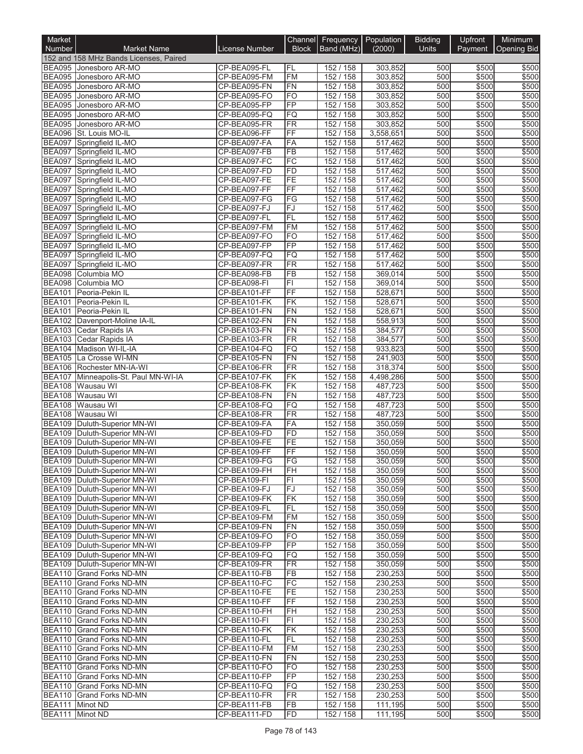| Market                         |                                                                  |                              |                              | Channel Frequency Population |                                 | <b>Bidding</b> | Upfront        | Minimum        |
|--------------------------------|------------------------------------------------------------------|------------------------------|------------------------------|------------------------------|---------------------------------|----------------|----------------|----------------|
| <b>Number</b>                  | <b>Market Name</b>                                               | License Number               | <b>Block</b>                 | Band (MHz)                   | (2000)                          | Units          | Payment        | Opening Bid    |
|                                | 152 and 158 MHz Bands Licenses, Paired                           | CP-BEA095-FL                 |                              | 152 / 158                    |                                 |                |                |                |
|                                | BEA095 Jonesboro AR-MO<br>BEA095 Jonesboro AR-MO                 | CP-BEA095-FM                 | FL<br><b>FM</b>              | 152 / 158                    | 303,852<br>303,852              | 500<br>500     | \$500<br>\$500 | \$500<br>\$500 |
|                                | BEA095 Jonesboro AR-MO                                           | CP-BEA095-FN                 | FN                           | 152 / 158                    | 303,852                         | 500            | \$500          | \$500          |
|                                | BEA095 Jonesboro AR-MO                                           | CP-BEA095-FO                 | <b>FO</b>                    | 152 / 158                    | 303,852                         | 500            | \$500          | \$500          |
|                                | BEA095 Jonesboro AR-MO                                           | CP-BEA095-FP                 | FP                           | 152 / 158                    | 303,852                         | 500            | \$500          | \$500          |
| <b>BEA095</b>                  | Jonesboro AR-MO                                                  | CP-BEA095-FQ                 | FQ                           | 152 / 158                    | 303,852                         | 500            | \$500          | \$500          |
| <b>BEA095</b><br><b>BEA096</b> | Jonesboro AR-MO<br>St. Louis MO-IL                               | CP-BEA095-FR<br>CP-BEA096-FF | FR<br>FF                     | 152 / 158                    | 303,852                         | 500<br>500     | \$500<br>\$500 | \$500<br>\$500 |
| <b>BEA097</b>                  | Springfield IL-MO                                                | CP-BEA097-FA                 | FA                           | 152 / 158<br>152 / 158       | 3,558,651<br>517,462            | 500            | \$500          | \$500          |
| <b>BEA097</b>                  | Springfield IL-MO                                                | CP-BEA097-FB                 | FB                           | 152 / 158                    | 517,462                         | 500            | \$500          | \$500          |
|                                | BEA097 Springfield IL-MO                                         | CP-BEA097-FC                 | FC                           | 152 / 158                    | 517,462                         | 500            | \$500          | \$500          |
|                                | BEA097 Springfield IL-MO                                         | CP-BEA097-FD                 | FD                           | 152 / 158                    | 517,462                         | 500            | \$500          | \$500          |
|                                | BEA097 Springfield IL-MO                                         | CP-BEA097-FE                 | FE                           | 152 / 158                    | 517,462                         | 500            | \$500          | \$500          |
| <b>BEA097</b>                  | Springfield IL-MO<br>BEA097 Springfield IL-MO                    | CP-BEA097-FF<br>CP-BEA097-FG | <b>FF</b><br>FG              | 152 / 158<br>152 / 158       | 517,462<br>$\overline{517,462}$ | 500<br>500     | \$500<br>\$500 | \$500<br>\$500 |
|                                | BEA097 Springfield IL-MO                                         | CP-BEA097-FJ                 | FJ                           | 152 / 158                    | 517,462                         | 500            | \$500          | \$500          |
| <b>BEA097</b>                  | Springfield IL-MO                                                | CP-BEA097-FL                 | FL                           | 152 / 158                    | 517,462                         | 500            | \$500          | \$500          |
|                                | BEA097 Springfield IL-MO                                         | CP-BEA097-FM                 | <b>FM</b>                    | 152 / 158                    | 517,462                         | 500            | \$500          | \$500          |
|                                | BEA097 Springfield IL-MO                                         | CP-BEA097-FO                 | FO                           | 152 / 158                    | $\overline{517,462}$            | 500            | \$500          | \$500          |
| <b>BEA097</b>                  | Springfield IL-MO                                                | CP-BEA097-FP                 | FP                           | 152 / 158                    | 517,462                         | 500            | \$500          | \$500          |
| <b>BEA097</b><br><b>BEA097</b> | Springfield IL-MO                                                | CP-BEA097-FQ                 | FQ                           | 152 / 158<br>152 / 158       | 517,462                         | 500            | \$500          | \$500          |
|                                | Springfield IL-MO<br>BEA098 Columbia MO                          | CP-BEA097-FR<br>CP-BEA098-FB | FR<br>FB                     | 152 / 158                    | 517,462<br>369,014              | 500<br>500     | \$500<br>\$500 | \$500<br>\$500 |
|                                | BEA098 Columbia MO                                               | CP-BEA098-FI                 | FI                           | 152 / 158                    | 369,014                         | 500            | \$500          | \$500          |
| <b>BEA101</b>                  | Peoria-Pekin IL                                                  | CP-BEA101-FF                 | FF                           | 152 / 158                    | 528,671                         | 500            | \$500          | \$500          |
| <b>BEA101</b>                  | Peoria-Pekin IL                                                  | CP-BEA101-FK                 | FK                           | 152 / 158                    | 528,671                         | 500            | \$500          | \$500          |
|                                | BEA101 Peoria-Pekin IL                                           | CP-BEA101-FN                 | FN                           | 152 / 158                    | 528,671                         | 500            | \$500          | \$500          |
| <b>BEA102</b>                  | Davenport-Moline IA-IL                                           | CP-BEA102-FN                 | FN                           | 152 / 158                    | 558,913                         | 500            | \$500          | \$500          |
|                                | BEA103 Cedar Rapids IA                                           | CP-BEA103-FN<br>CP-BEA103-FR | FN<br>FR                     | 152 / 158<br>152 / 158       | 384,577<br>384,577              | 500<br>500     | \$500<br>\$500 | \$500<br>\$500 |
| <b>BEA104</b>                  | BEA103 Cedar Rapids IA<br>Madison WI-IL-IA                       | CP-BEA104-FQ                 | FQ                           | 152 / 158                    | 933,823                         | 500            | \$500          | \$500          |
|                                | BEA105 La Crosse WI-MN                                           | CP-BEA105-FN                 | FN                           | 152 / 158                    | 241,903                         | 500            | \$500          | \$500          |
|                                | BEA106 Rochester MN-IA-WI                                        | CP-BEA106-FR                 | FR                           | 152 / 158                    | 318,374                         | 500            | \$500          | \$500          |
| <b>BEA107</b>                  | Minneapolis-St. Paul MN-WI-IA                                    | CP-BEA107-FK                 | FK                           | 152 / 158                    | 4,498,286                       | 500            | \$500          | \$500          |
|                                | BEA108 Wausau WI                                                 | CP-BEA108-FK                 | FK                           | 152 / 158                    | 487,723                         | 500            | \$500          | \$500          |
| <b>BEA108</b>                  | Wausau WI                                                        | CP-BEA108-FN                 | FN                           | 152 / 158<br>152 / 158       | 487,723                         | 500<br>500     | \$500          | \$500          |
| <b>BEA108</b>                  | Wausau WI<br>BEA108 Wausau WI                                    | CP-BEA108-FQ<br>CP-BEA108-FR | FQ<br>$\overline{\text{FR}}$ | 152 / 158                    | 487,723<br>487,723              | 500            | \$500<br>\$500 | \$500<br>\$500 |
| <b>BEA109</b>                  | Duluth-Superior MN-WI                                            | CP-BEA109-FA                 | FA                           | 152 / 158                    | 350,059                         | 500            | \$500          | \$500          |
|                                | BEA109 Duluth-Superior MN-WI                                     | CP-BEA109-FD                 | FD                           | 152 / 158                    | 350,059                         | 500            | \$500          | \$500          |
|                                | BEA109 Duluth-Superior MN-WI                                     | CP-BEA109-FE                 | FE                           | 152 / 158                    | 350,059                         | 500            | \$500          | \$500          |
|                                | BEA109 Duluth-Superior MN-WI                                     | CP-BEA109-FF                 | FF                           | 152 / 158                    | 350,059                         | 500            | \$500          | \$500          |
|                                | BEA109 Duluth-Superior MN-WI                                     | CP-BEA109-FG                 | FG                           | 152 / 158                    | 350,059                         | 500            | \$500          | \$500          |
|                                | BEA109   Duluth-Superior MN-WI<br>BEA109   Duluth-Superior MN-WI | CP-BEA109-FH<br>CP-BEA109-FI | FH<br>FI                     | 152 / 158<br>152 / 158       | 350.059<br>350,059              | 500<br>500     | \$500<br>\$500 | \$500<br>\$500 |
|                                | BEA109   Duluth-Superior MN-WI                                   | CP-BEA109-FJ                 | FJ                           | 152 / 158                    | 350,059                         | 500            | \$500          | \$500          |
|                                | BEA109 Duluth-Superior MN-WI                                     | CP-BEA109-FK                 | FK                           | 152 / 158                    | 350,059                         | 500            | \$500          | \$500          |
| <b>BEA109</b>                  | Duluth-Superior MN-WI                                            | CP-BEA109-FL                 | FL                           | 152 / 158                    | 350,059                         | 500            | \$500          | \$500          |
|                                | BEA109   Duluth-Superior MN-WI                                   | CP-BEA109-FM                 | <b>FM</b>                    | 152 / 158                    | 350,059                         | 500            | \$500          | \$500          |
|                                | BEA109 Duluth-Superior MN-WI                                     | CP-BEA109-FN                 | FN                           | 152 / 158                    | 350,059                         | 500            | \$500          | \$500          |
|                                | BEA109 Duluth-Superior MN-WI<br>BEA109 Duluth-Superior MN-WI     | CP-BEA109-FO<br>CP-BEA109-FP | FO<br>FP                     | 152 / 158<br>152 / 158       | 350,059<br>350,059              | 500<br>500     | \$500<br>\$500 | \$500<br>\$500 |
| <b>BEA109</b>                  | Duluth-Superior MN-WI                                            | CP-BEA109-FQ                 | FQ                           | 152 / 158                    | 350.059                         | 500            | \$500          | \$500          |
|                                | BEA109   Duluth-Superior MN-WI                                   | CP-BEA109-FR                 | FR                           | 152 / 158                    | 350.059                         | 500            | \$500          | \$500          |
|                                | BEA110 Grand Forks ND-MN                                         | CP-BEA110-FB                 | FB                           | 152 / 158                    | 230,253                         | 500            | \$500          | \$500          |
|                                | <b>BEA110 Grand Forks ND-MN</b>                                  | CP-BEA110-FC                 | FC                           | 152 / 158                    | 230,253                         | 500            | \$500          | \$500          |
|                                | BEA110 Grand Forks ND-MN                                         | CP-BEA110-FE                 | FE                           | 152 / 158                    | 230,253                         | 500            | \$500          | \$500          |
|                                | BEA110 Grand Forks ND-MN                                         | CP-BEA110-FF                 | FF                           | 152 / 158                    | 230,253                         | 500            | \$500          | \$500          |
|                                | BEA110 Grand Forks ND-MN<br>BEA110 Grand Forks ND-MN             | CP-BEA110-FH<br>CP-BEA110-FI | FH<br>FI                     | 152 / 158<br>152 / 158       | 230,253<br>230,253              | 500<br>500     | \$500<br>\$500 | \$500<br>\$500 |
|                                | BEA110 Grand Forks ND-MN                                         | CP-BEA110-FK                 | FK                           | 152 / 158                    | 230,253                         | 500            | \$500          | \$500          |
|                                | BEA110 Grand Forks ND-MN                                         | CP-BEA110-FL                 | FL                           | 152 / 158                    | 230,253                         | 500            | \$500          | \$500          |
|                                | BEA110 Grand Forks ND-MN                                         | CP-BEA110-FM                 | <b>FM</b>                    | 152 / 158                    | 230,253                         | 500            | \$500          | \$500          |
|                                | BEA110 Grand Forks ND-MN                                         | CP-BEA110-FN                 | FN                           | 152 / 158                    | 230,253                         | 500            | \$500          | \$500          |
|                                | BEA110 Grand Forks ND-MN                                         | CP-BEA110-FO                 | FO                           | 152 / 158                    | 230,253                         | 500            | \$500          | \$500          |
|                                | BEA110 Grand Forks ND-MN<br>BEA110 Grand Forks ND-MN             | CP-BEA110-FP<br>CP-BEA110-FQ | FP<br>FQ                     | 152 / 158<br>152 / 158       | 230,253<br>230,253              | 500<br>500     | \$500<br>\$500 | \$500<br>\$500 |
|                                | BEA110 Grand Forks ND-MN                                         | CP-BEA110-FR                 | <b>FR</b>                    | 152 / 158                    | 230,253                         | 500            | \$500          | \$500          |
| <b>BEA111</b>                  | Minot ND                                                         | CP-BEA111-FB                 | FB                           | 152 / 158                    | 111,195                         | 500            | \$500          | \$500          |
| <b>BEA111</b>                  | Minot ND                                                         | CP-BEA111-FD                 | FD                           | 152 / 158                    | 111,195                         | 500            | \$500          | \$500          |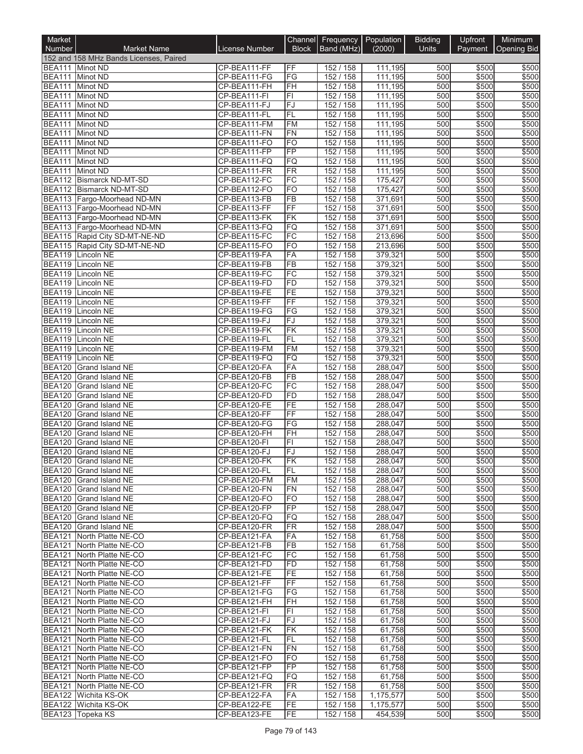| Market                         |                                                                |                              |                           | Channel Frequency Population |                    | <b>Bidding</b> | Upfront        | Minimum        |
|--------------------------------|----------------------------------------------------------------|------------------------------|---------------------------|------------------------------|--------------------|----------------|----------------|----------------|
| <b>Number</b>                  | <b>Market Name</b>                                             | <b>License Number</b>        | <b>Block</b>              | Band (MHz)                   | (2000)             | <b>Units</b>   | Payment        | Opening Bid    |
|                                | 152 and 158 MHz Bands Licenses, Paired                         |                              |                           |                              |                    |                |                |                |
| BEA111<br>BEA111 Minot ND      | Minot ND                                                       | CP-BEA111-FF<br>CP-BEA111-FG | FF<br>FG                  | 152 / 158<br>152 / 158       | 111,195<br>111,195 | 500<br>500     | \$500<br>\$500 | \$500<br>\$500 |
| <b>BEA111</b>                  | Minot ND                                                       | CP-BEA111-FH                 | FH                        | 152 / 158                    | 111,195            | 500            | \$500          | \$500          |
| <b>BEA111</b>                  | Minot ND                                                       | CP-BEA111-FI                 | $\overline{\mathsf{F}}$ l | 152 / 158                    | 111,195            | 500            | \$500          | \$500          |
| <b>BEA111</b>                  | Minot ND                                                       | CP-BEA111-FJ                 | FJ                        | 152 / 158                    | 111,195            | 500            | \$500          | \$500          |
| <b>BEA111</b>                  | <b>Minot ND</b>                                                | CP-BEA111-FL                 | FL                        | 152 / 158                    | 111,195            | 500            | \$500          | \$500          |
| <b>BEA111</b>                  | Minot ND                                                       | CP-BEA111-FM                 | FM                        | 152 / 158                    | 111,195            | 500            | \$500          | \$500          |
| <b>BEA111</b>                  | Minot ND                                                       | CP-BEA111-FN<br>CP-BEA111-FO | FN                        | 152 / 158<br>152 / 158       | 111,195            | 500<br>500     | \$500<br>\$500 | \$500<br>\$500 |
| <b>BEA111</b><br><b>BEA111</b> | Minot ND<br><b>Minot ND</b>                                    | CP-BEA111-FP                 | FO<br>FP                  | 152 / 158                    | 111,195<br>111,195 | 500            | \$500          | \$500          |
| <b>BEA111</b>                  | <b>Minot ND</b>                                                | CP-BEA111-FQ                 | <b>FQ</b>                 | 152 / 158                    | 111,195            | 500            | \$500          | \$500          |
| <b>BEA111</b>                  | <b>Minot ND</b>                                                | CP-BEA111-FR                 | FR                        | 152 / 158                    | 111,195            | 500            | \$500          | \$500          |
|                                | <b>BEA112 Bismarck ND-MT-SD</b>                                | CP-BEA112-FC                 | FC                        | 152 / 158                    | 175,427            | 500            | \$500          | \$500          |
|                                | BEA112 Bismarck ND-MT-SD                                       | CP-BEA112-FO                 | FO                        | 152 / 158                    | 175,427            | 500            | \$500          | \$500          |
|                                | BEA113   Fargo-Moorhead ND-MN                                  | CP-BEA113-FB                 | FB                        | 152 / 158                    | 371,691            | 500            | \$500          | \$500          |
|                                | BEA113   Fargo-Moorhead ND-MN<br>BEA113   Fargo-Moorhead ND-MN | CP-BEA113-FF<br>CP-BEA113-FK | FF<br>FK                  | 152 / 158<br>152 / 158       | 371,691<br>371,691 | 500<br>500     | \$500<br>\$500 | \$500<br>\$500 |
|                                | BEA113   Fargo-Moorhead ND-MN                                  | CP-BEA113-FQ                 | FQ                        | 152 / 158                    | 371,691            | 500            | \$500          | \$500          |
|                                | BEA115 Rapid City SD-MT-NE-ND                                  | CP-BEA115-FC                 | FC                        | 152 / 158                    | 213,696            | 500            | \$500          | \$500          |
|                                | BEA115 Rapid City SD-MT-NE-ND                                  | CP-BEA115-FO                 | <b>FO</b>                 | 152 / 158                    | 213,696            | 500            | \$500          | \$500          |
|                                | BEA119 Lincoln NE                                              | CP-BEA119-FA                 | FA                        | 152 / 158                    | 379,321            | 500            | \$500          | \$500          |
|                                | BEA119 Lincoln NE                                              | CP-BEA119-FB                 | FB                        | 152 / 158                    | 379,321            | 500            | \$500          | \$500          |
| <b>BEA119</b>                  | Lincoln NE                                                     | CP-BEA119-FC                 | FC                        | 152 / 158                    | 379,321            | 500            | \$500          | \$500          |
| <b>BEA119</b>                  | Lincoln NE<br>BEA119 Lincoln NE                                | CP-BEA119-FD<br>CP-BEA119-FE | <b>FD</b><br>FE           | 152 / 158<br>152 / 158       | 379,321<br>379,321 | 500<br>500     | \$500<br>\$500 | \$500<br>\$500 |
| <b>BEA119</b>                  | Lincoln NE                                                     | CP-BEA119-FF                 | FF                        | 152 / 158                    | 379,321            | 500            | \$500          | \$500          |
|                                | BEA119 Lincoln NE                                              | CP-BEA119-FG                 | FG                        | 152 / 158                    | 379,321            | 500            | \$500          | \$500          |
|                                | BEA119 Lincoln NE                                              | CP-BEA119-FJ                 | FJ                        | 152 / 158                    | 379,321            | 500            | \$500          | \$500          |
|                                | BEA119 Lincoln NE                                              | CP-BEA119-FK                 | FK                        | 152 / 158                    | 379,321            | 500            | \$500          | \$500          |
|                                | BEA119 Lincoln NE                                              | CP-BEA119-FL                 | FL                        | 152 / 158                    | 379,321            | 500            | \$500          | \$500          |
| <b>BEA119</b>                  | Lincoln NE                                                     | CP-BEA119-FM                 | FM                        | 152 / 158                    | 379,321            | 500            | \$500          | \$500          |
| <b>BEA119</b>                  | Lincoln NE<br>BEA120 Grand Island NE                           | CP-BEA119-FQ<br>CP-BEA120-FA | FQ<br>FA                  | 152 / 158<br>152 / 158       | 379,321<br>288,047 | 500<br>500     | \$500<br>\$500 | \$500<br>\$500 |
| <b>BEA120</b>                  | <b>Grand Island NE</b>                                         | CP-BEA120-FB                 | $\overline{FB}$           | 152 / 158                    | 288,047            | 500            | \$500          | \$500          |
| <b>BEA120</b>                  | Grand Island NE                                                | CP-BEA120-FC                 | FC                        | 152 / 158                    | 288,047            | 500            | \$500          | \$500          |
|                                | BEA120 Grand Island NE                                         | CP-BEA120-FD                 | FD                        | 152 / 158                    | 288,047            | 500            | \$500          | \$500          |
| <b>BEA120</b>                  | Grand Island NE                                                | CP-BEA120-FE                 | FE                        | 152 / 158                    | 288,047            | 500            | \$500          | \$500          |
|                                | BEA120 Grand Island NE                                         | CP-BEA120-FF                 | FF                        | 152 / 158                    | 288,047            | 500            | \$500          | \$500          |
| <b>BEA120</b>                  | <b>Grand Island NE</b>                                         | CP-BEA120-FG                 | FG                        | 152 / 158                    | 288,047            | 500            | \$500          | \$500          |
| <b>BEA120</b><br><b>BEA120</b> | Grand Island NE<br><b>Grand Island NE</b>                      | CP-BEA120-FH<br>CP-BEA120-FI | FH<br>FI                  | 152 / 158<br>152 / 158       | 288,047<br>288,047 | 500<br>500     | \$500<br>\$500 | \$500<br>\$500 |
| <b>BEA120</b>                  | Grand Island NE                                                | CP-BEA120-FJ                 | FJ                        | 152 / 158                    | 288,047            | 500            | \$500          | \$500          |
|                                | BEA120 Grand Island NE                                         | CP-BEA120-FK                 | ∣FK                       | 152 / 158                    | 288,047            | 500            | \$500          | \$500          |
|                                | BEA120 Grand Island NE                                         | CP-BEA120-FL                 | IFL                       | 152 / 158                    | 288,047            | 500            | \$500          | \$500          |
|                                | BEA120 Grand Island NE                                         | CP-BEA120-FM                 | <b>FM</b>                 | 152 / 158                    | 288.047            | 500            | \$500          | \$500          |
|                                | BEA120 Grand Island NE                                         | CP-BEA120-FN                 | FN                        | 152 / 158                    | 288,047            | 500            | \$500          | \$500          |
|                                | BEA120 Grand Island NE                                         | CP-BEA120-FO<br>CP-BEA120-FP | <b>FO</b><br><b>FP</b>    | 152 / 158                    | 288,047            | 500            | \$500          | \$500          |
|                                | BEA120 Grand Island NE<br>BEA120 Grand Island NE               | CP-BEA120-FQ                 | <b>FQ</b>                 | 152 / 158<br>152 / 158       | 288,047<br>288,047 | 500<br>500     | \$500<br>\$500 | \$500<br>\$500 |
|                                | BEA120 Grand Island NE                                         | CP-BEA120-FR                 | FR                        | 152 / 158                    | 288,047            | 500            | \$500          | \$500          |
| <b>BEA121</b>                  | North Platte NE-CO                                             | CP-BEA121-FA                 | FA                        | 152 / 158                    | 61,758             | 500            | \$500          | \$500          |
|                                | BEA121 North Platte NE-CO                                      | CP-BEA121-FB                 | FB                        | 152 / 158                    | 61,758             | 500            | \$500          | \$500          |
| <b>BEA121</b>                  | North Platte NE-CO                                             | CP-BEA121-FC                 | FC                        | 152 / 158                    | 61,758             | 500            | \$500          | \$500          |
| <b>BEA121</b>                  | North Platte NE-CO                                             | CP-BEA121-FD                 | FD                        | 152 / 158                    | 61,758             | 500            | \$500          | \$500          |
| <b>BEA121</b>                  | North Platte NE-CO                                             | CP-BEA121-FE<br>CP-BEA121-FF | FE<br><b>FF</b>           | 152 / 158                    | 61,758             | 500            | \$500<br>\$500 | \$500<br>\$500 |
| <b>BEA121</b><br><b>BEA121</b> | North Platte NE-CO<br>North Platte NE-CO                       | CP-BEA121-FG                 | FG                        | 152 / 158<br>152 / 158       | 61,758<br>61,758   | 500<br>500     | \$500          | \$500          |
| <b>BEA121</b>                  | North Platte NE-CO                                             | CP-BEA121-FH                 | FH                        | 152 / 158                    | 61,758             | 500            | \$500          | \$500          |
| <b>BEA121</b>                  | North Platte NE-CO                                             | CP-BEA121-FI                 | FI                        | 152 / 158                    | 61,758             | 500            | \$500          | \$500          |
| <b>BEA121</b>                  | North Platte NE-CO                                             | CP-BEA121-FJ                 | lFJ.                      | 152 / 158                    | 61,758             | 500            | \$500          | \$500          |
| <b>BEA121</b>                  | North Platte NE-CO                                             | CP-BEA121-FK                 | FK                        | 152 / 158                    | 61,758             | 500            | \$500          | \$500          |
| <b>BEA121</b>                  | North Platte NE-CO                                             | CP-BEA121-FL                 | FL                        | 152 / 158                    | 61,758             | 500            | \$500          | \$500          |
| <b>BEA121</b>                  | BEA121 North Platte NE-CO<br>North Platte NE-CO                | CP-BEA121-FN<br>CP-BEA121-FO | FN<br><b>FO</b>           | 152 / 158<br>152 / 158       | 61,758             | 500<br>500     | \$500<br>\$500 | \$500<br>\$500 |
| <b>BEA121</b>                  | North Platte NE-CO                                             | CP-BEA121-FP                 | <b>FP</b>                 | 152 / 158                    | 61,758<br>61,758   | 500            | \$500          | \$500          |
|                                | BEA121 North Platte NE-CO                                      | CP-BEA121-FQ                 | FQ                        | 152 / 158                    | 61,758             | 500            | \$500          | \$500          |
| <b>BEA121</b>                  | North Platte NE-CO                                             | CP-BEA121-FR                 | FR                        | 152 / 158                    | 61,758             | 500            | \$500          | \$500          |
|                                | BEA122 Wichita KS-OK                                           | CP-BEA122-FA                 | FA                        | 152 / 158                    | 1,175,577          | 500            | \$500          | \$500          |
|                                | BEA122 Wichita KS-OK                                           | CP-BEA122-FE                 | FE                        | 152 / 158                    | 1,175,577          | 500            | \$500          | \$500          |
|                                | BEA123 Topeka KS                                               | CP-BEA123-FE                 | FE                        | 152 / 158                    | 454,539            | 500            | \$500          | \$500          |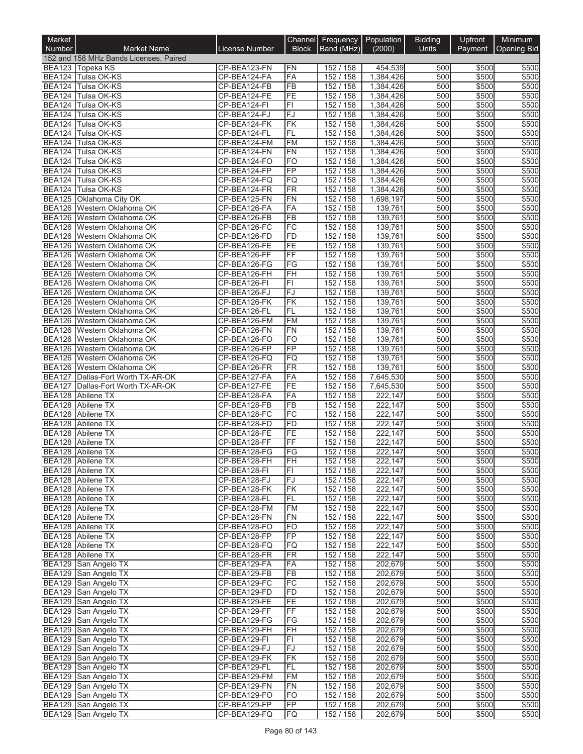| Market                         |                                              |                              |                          | Channel Frequency Population |                        | <b>Bidding</b> | Upfront        | Minimum        |
|--------------------------------|----------------------------------------------|------------------------------|--------------------------|------------------------------|------------------------|----------------|----------------|----------------|
| <b>Number</b>                  | <b>Market Name</b>                           | <b>License Number</b>        | <b>Block</b>             | Band (MHz)                   | (2000)                 | <b>Units</b>   | Payment        | Opening Bid    |
|                                | 152 and 158 MHz Bands Licenses, Paired       |                              |                          |                              |                        |                |                |                |
|                                | BEA123 Topeka KS                             | CP-BEA123-FN                 | FN                       | 152 / 158                    | 454,539                | 500            | \$500          | \$500          |
|                                | BEA124 Tulsa OK-KS                           | CP-BEA124-FA                 | FA                       | 152 / 158                    | 1,384,426              | 500            | \$500          | \$500          |
| <b>BEA124</b><br><b>BEA124</b> | Tulsa OK-KS<br>Tulsa OK-KS                   | CP-BEA124-FB<br>CP-BEA124-FE | <b>FB</b><br>FE          | 152 / 158<br>152 / 158       | 1,384,426<br>1,384,426 | 500<br>500     | \$500<br>\$500 | \$500<br>\$500 |
| <b>BEA124</b>                  | Tulsa OK-KS                                  | CP-BEA124-FI                 | $\overline{\mathsf{FI}}$ | 152 / 158                    | 1,384,426              | 500            | \$500          | \$500          |
| <b>BEA124</b>                  | Tulsa OK-KS                                  | CP-BEA124-FJ                 | FJ                       | 152 / 158                    | 1,384,426              | 500            | \$500          | \$500          |
| <b>BEA124</b>                  | Tulsa OK-KS                                  | CP-BEA124-FK                 | FK                       | 152 / 158                    | 1,384,426              | 500            | \$500          | \$500          |
| <b>BEA124</b>                  | Tulsa OK-KS                                  | CP-BEA124-FL                 | FL                       | 152/158                      | 1,384,426              | 500            | \$500          | \$500          |
| <b>BEA124</b>                  | Tulsa OK-KS                                  | CP-BEA124-FM                 | <b>FM</b>                | 152 / 158                    | 1,384,426              | 500            | \$500          | \$500          |
| <b>BEA124</b>                  | <b>Tulsa OK-KS</b>                           | CP-BEA124-FN                 | <b>FN</b>                | 152 / 158                    | 1,384,426              | 500            | \$500          | \$500          |
| <b>BEA124</b>                  | Tulsa OK-KS                                  | CP-BEA124-FO                 | <b>FO</b>                | 152 / 158                    | 1,384,426              | 500            | \$500          | \$500          |
| <b>BEA124</b>                  | Tulsa OK-KS                                  | CP-BEA124-FP                 | FP                       | 152 / 158                    | 1,384,426              | 500            | \$500          | \$500          |
| <b>BEA124</b>                  | Tulsa OK-KS                                  | CP-BEA124-FQ                 | FQ                       | 152 / 158                    | 1,384,426              | 500            | \$500          | \$500          |
| <b>BEA124</b><br><b>BEA125</b> | Tulsa OK-KS<br>Oklahoma City OK              | CP-BEA124-FR<br>CP-BEA125-FN | <b>FR</b><br>FN          | 152 / 158<br>152 / 158       | 1,384,426<br>1,698,197 | 500<br>500     | \$500<br>\$500 | \$500<br>\$500 |
| <b>BEA126</b>                  | Western Oklahoma OK                          | CP-BEA126-FA                 | FA                       | 152 / 158                    | 139,761                | 500            | \$500          | \$500          |
|                                | BEA126   Western Oklahoma OK                 | CP-BEA126-FB                 | $\overline{FB}$          | 152 / 158                    | 139,761                | 500            | \$500          | \$500          |
| <b>BEA126</b>                  | Western Oklahoma OK                          | CP-BEA126-FC                 | FC                       | 152 / 158                    | 139,761                | 500            | \$500          | \$500          |
|                                | BEA126 Western Oklahoma OK                   | CP-BEA126-FD                 | <b>FD</b>                | 152 / 158                    | 139,761                | 500            | \$500          | \$500          |
| <b>BEA126</b>                  | Western Oklahoma OK                          | CP-BEA126-FE                 | FE                       | 152 / 158                    | 139,761                | 500            | \$500          | \$500          |
| <b>BEA126</b>                  | Western Oklahoma OK                          | CP-BEA126-FF                 | FF                       | 152 / 158                    | 139,761                | 500            | \$500          | \$500          |
| <b>BEA126</b>                  | Western Oklahoma OK                          | CP-BEA126-FG                 | FG                       | 152 / 158                    | 139,761                | 500            | \$500          | \$500          |
| <b>BEA126</b>                  | Western Oklahoma OK                          | CP-BEA126-FH                 | FH                       | 152 / 158                    | 139.761                | 500            | \$500          | \$500          |
| <b>BEA126</b>                  | Western Oklahoma OK                          | CP-BEA126-FI                 | F1                       | 152 / 158                    | 139,761                | 500            | \$500          | \$500          |
| <b>BEA126</b>                  | Western Oklahoma OK                          | CP-BEA126-FJ                 | FJ                       | 152 / 158                    | 139,761                | 500<br>500     | \$500          | \$500          |
| <b>BEA126</b><br><b>BEA126</b> | Western Oklahoma OK<br>Western Oklahoma OK   | CP-BEA126-FK<br>CP-BEA126-FL | FK<br>FL                 | 152 / 158<br>152 / 158       | 139,761<br>139,761     | 500            | \$500<br>\$500 | \$500<br>\$500 |
| <b>BEA126</b>                  | Western Oklahoma OK                          | CP-BEA126-FM                 | <b>FM</b>                | 152 / 158                    | 139,761                | 500            | \$500          | \$500          |
| <b>BEA126</b>                  | Western Oklahoma OK                          | CP-BEA126-FN                 | FN                       | 152 / 158                    | 139,761                | 500            | \$500          | \$500          |
| <b>BEA126</b>                  | Western Oklahoma OK                          | CP-BEA126-FO                 | FO                       | 152 / 158                    | 139,761                | 500            | \$500          | \$500          |
| <b>BEA126</b>                  | Western Oklahoma OK                          | CP-BEA126-FP                 | FP                       | 152 / 158                    | 139,761                | 500            | \$500          | \$500          |
| <b>BEA126</b>                  | Western Oklahoma OK                          | CP-BEA126-FQ                 | <b>FQ</b>                | 152 / 158                    | 139,761                | 500            | \$500          | \$500          |
|                                | BEA126   Western Oklahoma OK                 | CP-BEA126-FR                 | FR                       | 152 / 158                    | 139,761                | 500            | \$500          | \$500          |
| <b>BEA127</b>                  | Dallas-Fort Worth TX-AR-OK                   | CP-BEA127-FA                 | FA                       | 152 / 158                    | 7,645,530              | 500            | \$500          | \$500          |
| <b>BEA127</b>                  | Dallas-Fort Worth TX-AR-OK                   | CP-BEA127-FE                 | FE                       | 152 / 158                    | 7,645,530              | 500            | \$500          | \$500          |
| <b>BEA128</b>                  | Abilene TX                                   | CP-BEA128-FA                 | FA                       | 152 / 158                    | 222,147                | 500            | \$500          | \$500          |
| <b>BEA128</b><br><b>BEA128</b> | Abilene TX<br>Abilene TX                     | CP-BEA128-FB<br>CP-BEA128-FC | FB<br>FC                 | 152 / 158<br>152 / 158       | 222,147<br>222,147     | 500<br>500     | \$500<br>\$500 | \$500<br>\$500 |
| <b>BEA128</b>                  | Abilene TX                                   | CP-BEA128-FD                 | FD                       | 152 / 158                    | 222,147                | 500            | \$500          | \$500          |
| <b>BEA128</b>                  | Abilene TX                                   | CP-BEA128-FE                 | FE                       | 152 / 158                    | 222,147                | 500            | \$500          | \$500          |
| <b>BEA128</b>                  | <b>Abilene TX</b>                            | CP-BEA128-FF                 | FF                       | 152 / 158                    | 222,147                | 500            | \$500          | \$500          |
|                                | BEA128 Abilene TX                            | CP-BEA128-FG                 | $\overline{\mathsf{FG}}$ | 152 / 158                    | 222,147                | 500            | \$500          | \$500          |
|                                | BEA128 Abilene TX                            | CP-BEA128-FH                 | ŀН                       | 152 / 158                    | 222,147                | 500            | \$500          | \$500          |
|                                | BEA128 Abilene TX                            | CP-BEA128-FI                 | FL                       | 152 / 158                    | 222,147                | 500            | \$500          | \$500          |
|                                | BEA128 Abilene TX                            | CP-BEA128-FJ                 | FJ                       | 152 / 158                    | 222,147                | 500            | \$500          | \$500          |
|                                | BEA128 Abilene TX                            | CP-BEA128-FK                 | FK                       | 152 / 158                    | 222,147                | 500            | \$500          | \$500          |
|                                | BEA128 Abilene TX                            | CP-BEA128-FL                 | FL                       | 152 / 158                    | 222,147                | 500            | \$500          | \$500          |
|                                | BEA128 Abilene TX<br>BEA128 Abilene TX       | CP-BEA128-FM<br>CP-BEA128-FN | FM<br>FN                 | 152 / 158<br>152 / 158       | 222,147<br>222,147     | 500<br>500     | \$500<br>\$500 | \$500<br>\$500 |
|                                | BEA128 Abilene TX                            | CP-BEA128-FO                 | FO                       | 152 / 158                    | 222,147                | 500            | \$500          | \$500          |
|                                | BEA128 Abilene TX                            | CP-BEA128-FP                 | FP                       | 152 / 158                    | 222,147                | 500            | \$500          | \$500          |
|                                | BEA128 Abilene TX                            | CP-BEA128-FQ                 | FQ                       | 152 / 158                    | 222,147                | 500            | \$500          | \$500          |
|                                | BEA128 Abilene TX                            | CP-BEA128-FR                 | FR                       | 152 / 158                    | 222.147                | 500            | \$500          | \$500          |
|                                | BEA129 San Angelo TX                         | CP-BEA129-FA                 | FA                       | 152 / 158                    | 202,679                | 500            | \$500          | \$500          |
|                                | BEA129 San Angelo TX                         | CP-BEA129-FB                 | FB                       | 152 / 158                    | 202,679                | 500            | \$500          | \$500          |
|                                | BEA129 San Angelo TX                         | CP-BEA129-FC                 | FC                       | 152 / 158                    | 202,679                | 500            | \$500          | \$500          |
|                                | BEA129 San Angelo TX                         | CP-BEA129-FD                 | FD                       | 152 / 158                    | 202,679                | 500            | \$500          | \$500          |
|                                | BEA129 San Angelo TX                         | CP-BEA129-FE                 | FE                       | 152 / 158                    | 202,679                | 500            | \$500          | \$500          |
|                                | BEA129 San Angelo TX<br>BEA129 San Angelo TX | CP-BEA129-FF<br>CP-BEA129-FG | FF<br>FG                 | 152 / 158<br>152 / 158       | 202,679<br>202,679     | 500<br>500     | \$500<br>\$500 | \$500<br>\$500 |
|                                | BEA129 San Angelo TX                         | CP-BEA129-FH                 | FH                       | 152 / 158                    | 202,679                | 500            | \$500          | \$500          |
|                                | BEA129 San Angelo TX                         | CP-BEA129-FI                 | FI                       | 152 / 158                    | 202,679                | 500            | \$500          | \$500          |
|                                | BEA129 San Angelo TX                         | CP-BEA129-FJ                 | FJ                       | 152 / 158                    | 202,679                | 500            | \$500          | \$500          |
|                                | BEA129 San Angelo TX                         | CP-BEA129-FK                 | <b>FK</b>                | 152 / 158                    | 202,679                | 500            | \$500          | \$500          |
|                                | BEA129 San Angelo TX                         | CP-BEA129-FL                 | FL                       | 152 / 158                    | 202,679                | 500            | \$500          | \$500          |
|                                | BEA129 San Angelo TX                         | CP-BEA129-FM                 | <b>FM</b>                | 152 / 158                    | 202,679                | 500            | \$500          | \$500          |
|                                | BEA129 San Angelo TX                         | CP-BEA129-FN                 | FN                       | 152 / 158                    | 202,679                | 500            | \$500          | \$500          |
|                                | BEA129 San Angelo TX                         | CP-BEA129-FO                 | <b>FO</b>                | 152 / 158                    | 202,679                | 500            | \$500          | \$500          |
|                                | BEA129 San Angelo TX                         | CP-BEA129-FP                 | FP                       | 152 / 158                    | 202,679                | 500            | \$500          | \$500          |
|                                | BEA129 San Angelo TX                         | CP-BEA129-FQ                 | FQ                       | 152 / 158                    | 202,679                | 500            | \$500          | \$500          |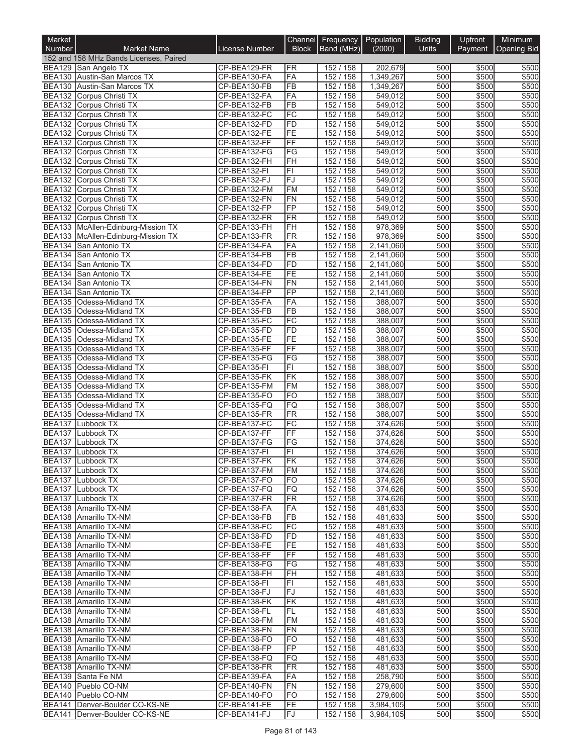| Market                         |                                                                |                              |                              | Channel Frequency Population |                        | <b>Bidding</b> | Upfront        | Minimum        |
|--------------------------------|----------------------------------------------------------------|------------------------------|------------------------------|------------------------------|------------------------|----------------|----------------|----------------|
| Number                         | <b>Market Name</b>                                             | License Number               | <b>Block</b>                 | Band (MHz)                   | (2000)                 | Units          | Payment        | Opening Bid    |
|                                | 152 and 158 MHz Bands Licenses, Paired                         |                              |                              |                              |                        |                |                |                |
|                                | BEA129 San Angelo TX                                           | CP-BEA129-FR                 | <b>FR</b>                    | 152 / 158                    | 202,679                | 500            | \$500          | \$500          |
| <b>BEA130</b>                  | BEA130 Austin-San Marcos TX<br>Austin-San Marcos TX            | CP-BEA130-FA<br>CP-BEA130-FB | FA<br><b>FB</b>              | 152 / 158<br>152 / 158       | 1,349,267<br>1,349,267 | 500<br>500     | \$500<br>\$500 | \$500<br>\$500 |
|                                | BEA132 Corpus Christi TX                                       | CP-BEA132-FA                 | FA                           | 152 / 158                    | 549,012                | 500            | \$500          | \$500          |
|                                | BEA132 Corpus Christi TX                                       | CP-BEA132-FB                 | $\overline{FB}$              | 152 / 158                    | 549,012                | 500            | \$500          | \$500          |
|                                | BEA132 Corpus Christi TX                                       | CP-BEA132-FC                 | FC                           | 152 / 158                    | 549,012                | 500            | \$500          | \$500          |
|                                | BEA132 Corpus Christi TX                                       | CP-BEA132-FD                 | FD                           | 152 / 158                    | 549,012                | 500            | \$500          | \$500          |
|                                | BEA132 Corpus Christi TX                                       | CP-BEA132-FE                 | FE                           | 152 / 158                    | 549,012                | 500            | \$500          | \$500          |
| <b>BEA132</b>                  | Corpus Christi TX                                              | CP-BEA132-FF<br>CP-BEA132-FG | $\overline{FF}$<br>FG        | 152 / 158                    | 549.012<br>549.012     | 500<br>500     | \$500<br>\$500 | \$500<br>\$500 |
| <b>BEA132</b><br><b>BEA132</b> | Corpus Christi TX<br>Corpus Christi TX                         | CP-BEA132-FH                 | FH                           | 152 / 158<br>152 / 158       | 549,012                | 500            | \$500          | \$500          |
| <b>BEA132</b>                  | Corpus Christi TX                                              | CP-BEA132-FI                 | $\overline{F}$               | 152 / 158                    | 549,012                | 500            | \$500          | \$500          |
|                                | BEA132 Corpus Christi TX                                       | CP-BEA132-FJ                 | FJ                           | 152 / 158                    | 549,012                | 500            | \$500          | \$500          |
|                                | BEA132 Corpus Christi TX                                       | CP-BEA132-FM                 | <b>FM</b>                    | 152 / 158                    | 549,012                | 500            | \$500          | \$500          |
| <b>BEA132</b>                  | Corpus Christi TX                                              | CP-BEA132-FN                 | <b>FN</b>                    | 152 / 158                    | 549,012                | 500            | \$500          | \$500          |
| <b>BEA132</b>                  | Corpus Christi TX                                              | CP-BEA132-FP                 | FP                           | 152 / 158                    | 549,012                | 500            | \$500          | \$500          |
|                                | BEA132 Corpus Christi TX<br>BEA133 McAllen-Edinburg-Mission TX | CP-BEA132-FR<br>CP-BEA133-FH | $\overline{\text{FR}}$<br>FH | 152 / 158<br>152 / 158       | 549,012<br>978,369     | 500<br>500     | \$500<br>\$500 | \$500<br>\$500 |
|                                | BEA133 McAllen-Edinburg-Mission TX                             | CP-BEA133-FR                 | <b>FR</b>                    | 152 / 158                    | 978,369                | 500            | \$500          | \$500          |
| <b>BEA134</b>                  | San Antonio TX                                                 | CP-BEA134-FA                 | FA                           | 152 / 158                    | 2,141,060              | 500            | \$500          | \$500          |
| <b>BEA134</b>                  | San Antonio TX                                                 | CP-BEA134-FB                 | $\overline{FB}$              | 152 / 158                    | 2,141,060              | 500            | \$500          | \$500          |
| <b>BEA134</b>                  | <b>San Antonio TX</b>                                          | CP-BEA134-FD                 | FD                           | 152 / 158                    | 2,141,060              | 500            | \$500          | \$500          |
| <b>BEA134</b>                  | San Antonio TX                                                 | CP-BEA134-FE                 | FE                           | 152 / 158                    | 2,141,060              | 500            | \$500          | \$500          |
| <b>BEA134</b>                  | San Antonio TX                                                 | CP-BEA134-FN                 | <b>FN</b>                    | 152 / 158                    | 2,141,060              | 500            | \$500          | \$500          |
| <b>BEA134</b>                  | San Antonio TX                                                 | CP-BEA134-FP                 | $\overline{FP}$              | 152 / 158                    | 2,141,060              | 500            | \$500          | \$500          |
| <b>BEA135</b>                  | Odessa-Midland TX<br>Odessa-Midland TX                         | CP-BEA135-FA                 | FA<br>$\overline{FB}$        | 152 / 158                    | 388,007<br>388,007     | 500<br>500     | \$500<br>\$500 | \$500<br>\$500 |
| <b>BEA135</b><br><b>BEA135</b> | Odessa-Midland TX                                              | CP-BEA135-FB<br>CP-BEA135-FC | FC                           | 152 / 158<br>152 / 158       | 388,007                | 500            | \$500          | \$500          |
| <b>BEA135</b>                  | Odessa-Midland TX                                              | CP-BEA135-FD                 | $\overline{FD}$              | 152 / 158                    | 388,007                | 500            | \$500          | \$500          |
| <b>BEA135</b>                  | Odessa-Midland TX                                              | CP-BEA135-FE                 | FE                           | 152 / 158                    | 388,007                | 500            | \$500          | \$500          |
| <b>BEA135</b>                  | Odessa-Midland TX                                              | CP-BEA135-FF                 | $\overline{FF}$              | 152 / 158                    | 388,007                | 500            | \$500          | \$500          |
| <b>BEA135</b>                  | Odessa-Midland TX                                              | CP-BEA135-FG                 | FG                           | 152 / 158                    | 388,007                | 500            | \$500          | \$500          |
| <b>BEA135</b>                  | Odessa-Midland TX                                              | CP-BEA135-FI                 | $\overline{F}$               | 152 / 158                    | 388,007                | 500            | \$500          | \$500          |
| <b>BEA135</b>                  | Odessa-Midland TX                                              | CP-BEA135-FK                 | FK                           | 152 / 158                    | 388,007                | 500            | \$500          | \$500          |
| <b>BEA135</b><br><b>BEA135</b> | Odessa-Midland TX<br>Odessa-Midland TX                         | CP-BEA135-FM<br>CP-BEA135-FO | <b>FM</b><br><b>FO</b>       | 152 / 158<br>152 / 158       | 388,007<br>388,007     | 500<br>500     | \$500<br>\$500 | \$500<br>\$500 |
| <b>BEA135</b>                  | Odessa-Midland TX                                              | CP-BEA135-FQ                 | FQ                           | 152 / 158                    | 388,007                | 500            | \$500          | \$500          |
|                                | BEA135 Odessa-Midland TX                                       | CP-BEA135-FR                 | FR                           | 152 / 158                    | 388,007                | 500            | \$500          | \$500          |
| <b>BEA137</b>                  | Lubbock TX                                                     | CP-BEA137-FC                 | FC                           | 152 / 158                    | 374,626                | 500            | \$500          | \$500          |
| <b>BEA137</b>                  | Lubbock TX                                                     | CP-BEA137-FF                 | $\overline{FF}$              | 152 / 158                    | 374,626                | 500            | \$500          | \$500          |
| <b>BEA137</b>                  | <b>Lubbock TX</b>                                              | CP-BEA137-FG                 | $\overline{\mathsf{FG}}$     | 152 / 158                    | 374,626                | 500            | \$500          | \$500          |
| <b>BEA137</b>                  | Lubbock TX                                                     | CP-BEA137-FI                 | FI                           | 152 / 158                    | 374,626                | 500            | \$500          | \$500          |
|                                | BEA137 Lubbock TX                                              | CP-BEA137-FK                 | FK                           | 152 / 158                    | 3/4,626                | 500<br>500     | \$500<br>\$500 | \$500<br>\$500 |
|                                | BEA137 Lubbock TX<br>BEA137 Lubbock TX                         | CP-BEA137-FM<br>CP-BEA137-FO | FM<br>FO                     | 152 / 158<br>152 / 158       | 374,626<br>374,626     | 500            | \$500          | \$500          |
|                                | BEA137 Lubbock TX                                              | CP-BEA137-FQ                 | FQ                           | 152 / 158                    | 374,626                | 500            | \$500          | \$500          |
|                                | BEA137 Lubbock TX                                              | CP-BEA137-FR                 | FR                           | 152 / 158                    | 374,626                | 500            | \$500          | \$500          |
|                                | BEA138 Amarillo TX-NM                                          | CP-BEA138-FA                 | FA                           | 152 / 158                    | 481,633                | 500            | \$500          | \$500          |
|                                | BEA138 Amarillo TX-NM                                          | CP-BEA138-FB                 | <b>FB</b>                    | 152 / 158                    | 481,633                | 500            | \$500          | \$500          |
|                                | BEA138 Amarillo TX-NM                                          | CP-BEA138-FC                 | FC                           | 152 / 158                    | 481,633                | 500            | \$500          | \$500          |
|                                | BEA138 Amarillo TX-NM<br>BEA138 Amarillo TX-NM                 | CP-BEA138-FD<br>CP-BEA138-FE | FD<br>FE                     | 152 / 158<br>152 / 158       | 481,633<br>481,633     | 500<br>500     | \$500<br>\$500 | \$500<br>\$500 |
|                                | BEA138 Amarillo TX-NM                                          | CP-BEA138-FF                 | FF                           | 152/158                      | 481,633                | 500            | \$500          | \$500          |
|                                | BEA138 Amarillo TX-NM                                          | CP-BEA138-FG                 | FG                           | 152 / 158                    | 481,633                | 500            | \$500          | \$500          |
|                                | BEA138 Amarillo TX-NM                                          | CP-BEA138-FH                 | FH                           | 152 / 158                    | 481,633                | 500            | \$500          | \$500          |
|                                | BEA138 Amarillo TX-NM                                          | CP-BEA138-FI                 | F1                           | 152 / 158                    | 481,633                | 500            | \$500          | \$500          |
|                                | BEA138 Amarillo TX-NM                                          | CP-BEA138-FJ                 | FJ                           | 152 / 158                    | 481,633                | 500            | \$500          | \$500          |
|                                | BEA138 Amarillo TX-NM                                          | CP-BEA138-FK                 | FK                           | 152 / 158                    | 481,633                | 500            | \$500          | \$500          |
|                                | BEA138 Amarillo TX-NM                                          | CP-BEA138-FL                 | <b>FL</b>                    | 152 / 158                    | 481,633                | 500<br>500     | \$500<br>\$500 | \$500<br>\$500 |
|                                | BEA138 Amarillo TX-NM<br>BEA138 Amarillo TX-NM                 | CP-BEA138-FM<br>CP-BEA138-FN | FM<br>FN                     | 152 / 158<br>152 / 158       | 481,633<br>481,633     | 500            | \$500          | \$500          |
|                                | BEA138 Amarillo TX-NM                                          | CP-BEA138-FO                 | FO                           | 152 / 158                    | 481,633                | 500            | \$500          | \$500          |
|                                | BEA138 Amarillo TX-NM                                          | CP-BEA138-FP                 | FP                           | 152 / 158                    | 481,633                | 500            | \$500          | \$500          |
|                                | BEA138 Amarillo TX-NM                                          | CP-BEA138-FQ                 | FQ                           | 152 / 158                    | 481,633                | 500            | \$500          | \$500          |
|                                | BEA138 Amarillo TX-NM                                          | CP-BEA138-FR                 | FR                           | 152 / 158                    | 481,633                | 500            | \$500          | \$500          |
|                                | BEA139 Santa Fe NM                                             | CP-BEA139-FA                 | FA                           | 152 / 158                    | 258,790                | 500            | \$500          | \$500          |
|                                | BEA140 Pueblo CO-NM                                            | CP-BEA140-FN                 | FN                           | 152 / 158                    | 279,600                | 500            | \$500          | \$500          |
|                                | BEA140 Pueblo CO-NM<br>BEA141   Denver-Boulder CO-KS-NE        | CP-BEA140-FO<br>CP-BEA141-FE | FO<br>FE                     | 152 / 158<br>152 / 158       | 279,600<br>3,984,105   | 500<br>500     | \$500<br>\$500 | \$500<br>\$500 |
| <b>BEA141</b>                  | Denver-Boulder CO-KS-NE                                        | CP-BEA141-FJ                 | FJ                           | 152 / 158                    | 3,984,105              | 500            | \$500          | \$500          |
|                                |                                                                |                              |                              |                              |                        |                |                |                |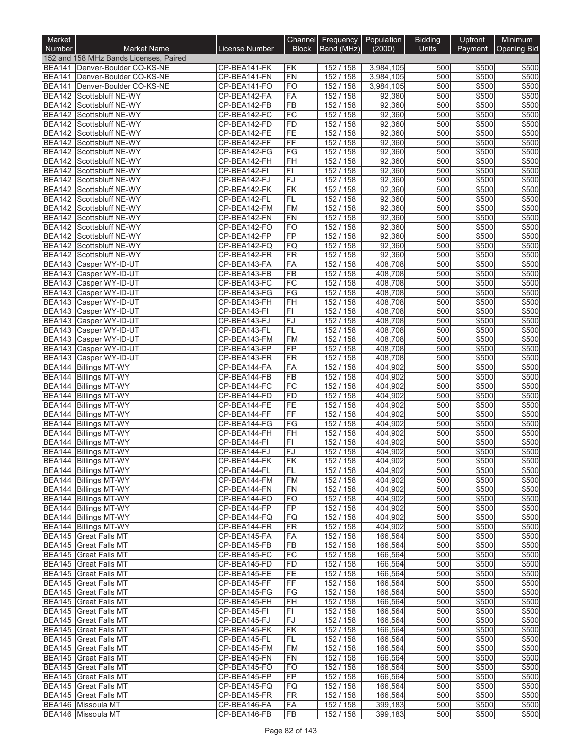| Market                         |                                                              |                              |                              | Channel Frequency Population |                        | <b>Bidding</b> | Upfront        | Minimum        |
|--------------------------------|--------------------------------------------------------------|------------------------------|------------------------------|------------------------------|------------------------|----------------|----------------|----------------|
| <b>Number</b>                  | <b>Market Name</b>                                           | License Number               | <b>Block</b>                 | Band (MHz)                   | (2000)                 | <b>Units</b>   | Payment        | Opening Bid    |
|                                | 152 and 158 MHz Bands Licenses, Paired                       |                              |                              |                              |                        |                |                |                |
| BEA141                         | Denver-Boulder CO-KS-NE<br>BEA141   Denver-Boulder CO-KS-NE  | CP-BEA141-FK<br>CP-BEA141-FN | ΙFΚ<br><b>FN</b>             | 152 / 158<br>152 / 158       | 3,984,105<br>3,984,105 | 500<br>500     | \$500<br>\$500 | \$500<br>\$500 |
| <b>BEA141</b>                  | Denver-Boulder CO-KS-NE                                      | CP-BEA141-FO                 | <b>FO</b>                    | 152 / 158                    | 3,984,105              | 500            | \$500          | \$500          |
|                                | BEA142 Scottsbluff NE-WY                                     | CP-BEA142-FA                 | FA                           | 152 / 158                    | 92,360                 | 500            | \$500          | \$500          |
|                                | BEA142 Scottsbluff NE-WY                                     | CP-BEA142-FB                 | $\overline{FB}$              | 152 / 158                    | 92,360                 | 500            | \$500          | \$500          |
| <b>BEA142</b>                  | Scottsbluff NE-WY                                            | CP-BEA142-FC                 | $\overline{FC}$              | 152 / 158                    | 92,360                 | 500            | \$500          | \$500          |
|                                | BEA142 Scottsbluff NE-WY                                     | CP-BEA142-FD                 | FD                           | 152 / 158                    | 92,360                 | 500            | \$500          | \$500          |
|                                | BEA142 Scottsbluff NE-WY                                     | CP-BEA142-FE                 | FE<br>$\overline{FF}$        | 152/158<br>152 / 158         | 92,360                 | 500<br>500     | \$500          | \$500          |
| <b>BEA142</b><br><b>BEA142</b> | Scottsbluff NE-WY<br>Scottsbluff NE-WY                       | CP-BEA142-FF<br>CP-BEA142-FG | FG                           | 152 / 158                    | 92,360<br>92,360       | 500            | \$500<br>\$500 | \$500<br>\$500 |
|                                | BEA142 Scottsbluff NE-WY                                     | CP-BEA142-FH                 | <b>FH</b>                    | 152 / 158                    | 92,360                 | 500            | \$500          | \$500          |
|                                | BEA142 Scottsbluff NE-WY                                     | CP-BEA142-FI                 | F1                           | 152 / 158                    | 92,360                 | 500            | \$500          | \$500          |
|                                | BEA142 Scottsbluff NE-WY                                     | CP-BEA142-FJ                 | FJ                           | 152 / 158                    | 92,360                 | 500            | \$500          | \$500          |
|                                | BEA142 Scottsbluff NE-WY                                     | CP-BEA142-FK                 | FK                           | 152 / 158                    | 92,360                 | 500            | \$500          | \$500          |
|                                | BEA142 Scottsbluff NE-WY                                     | CP-BEA142-FL                 | FL                           | 152 / 158                    | 92,360                 | 500            | \$500          | \$500          |
| <b>BEA142</b>                  | BEA142 Scottsbluff NE-WY<br>Scottsbluff NE-WY                | CP-BEA142-FM<br>CP-BEA142-FN | <b>FM</b><br>FN              | 152 / 158<br>152 / 158       | 92,360<br>92,360       | 500<br>500     | \$500<br>\$500 | \$500<br>\$500 |
|                                | BEA142 Scottsbluff NE-WY                                     | CP-BEA142-FO                 | <b>FO</b>                    | 152 / 158                    | 92,360                 | 500            | \$500          | \$500          |
|                                | BEA142 Scottsbluff NE-WY                                     | CP-BEA142-FP                 | FP                           | 152 / 158                    | 92,360                 | 500            | \$500          | \$500          |
| <b>BEA142</b>                  | Scottsbluff NE-WY                                            | CP-BEA142-FQ                 | FQ                           | 152 / 158                    | 92,360                 | 500            | \$500          | \$500          |
| <b>BEA142</b>                  | Scottsbluff NE-WY                                            | CP-BEA142-FR                 | $\overline{\text{FR}}$       | 152 / 158                    | 92,360                 | 500            | \$500          | \$500          |
|                                | BEA143 Casper WY-ID-UT                                       | CP-BEA143-FA                 | FA                           | 152 / 158                    | 408,708                | 500            | \$500          | \$500          |
|                                | BEA143 Casper WY-ID-UT                                       | CP-BEA143-FB                 | $\overline{FB}$              | 152 / 158                    | 408,708                | 500            | \$500          | \$500          |
|                                | BEA143 Casper WY-ID-UT<br>BEA143 Casper WY-ID-UT             | CP-BEA143-FC<br>CP-BEA143-FG | FC<br>$\overline{\text{FG}}$ | 152 / 158<br>152 / 158       | 408,708<br>408,708     | 500<br>500     | \$500<br>\$500 | \$500<br>\$500 |
| <b>BEA143</b>                  | Casper WY-ID-UT                                              | CP-BEA143-FH                 | FH                           | 152 / 158                    | 408,708                | 500            | \$500          | \$500          |
| <b>BEA143</b>                  | Casper WY-ID-UT                                              | CP-BEA143-FI                 | FI                           | 152 / 158                    | 408,708                | 500            | \$500          | \$500          |
|                                | BEA143 Casper WY-ID-UT                                       | CP-BEA143-FJ                 | FJ                           | 152 / 158                    | 408,708                | 500            | \$500          | \$500          |
|                                | BEA143 Casper WY-ID-UT                                       | CP-BEA143-FL                 | FL                           | 152 / 158                    | 408,708                | 500            | \$500          | \$500          |
|                                | BEA143 Casper WY-ID-UT                                       | CP-BEA143-FM                 | <b>FM</b>                    | 152 / 158                    | 408,708                | 500            | \$500          | \$500          |
|                                | BEA143 Casper WY-ID-UT                                       | CP-BEA143-FP                 | FP                           | 152 / 158                    | 408,708                | 500            | \$500          | \$500          |
|                                | BEA143 Casper WY-ID-UT<br>BEA144 Billings MT-WY              | CP-BEA143-FR<br>CP-BEA144-FA | <b>FR</b><br>FA              | 152 / 158<br>152 / 158       | 408,708<br>404,902     | 500<br>500     | \$500<br>\$500 | \$500<br>\$500 |
| <b>BEA144</b>                  | <b>Billings MT-WY</b>                                        | CP-BEA144-FB                 | $\overline{FB}$              | 152 / 158                    | 404,902                | 500            | \$500          | \$500          |
| <b>BEA144</b>                  | <b>Billings MT-WY</b>                                        | CP-BEA144-FC                 | FC                           | 152 / 158                    | 404,902                | 500            | \$500          | \$500          |
|                                | BEA144 Billings MT-WY                                        | CP-BEA144-FD                 | <b>FD</b>                    | 152 / 158                    | 404,902                | 500            | \$500          | \$500          |
| <b>BEA144</b>                  | <b>Billings MT-WY</b>                                        | CP-BEA144-FE                 | FE                           | 152 / 158                    | 404,902                | 500            | \$500          | \$500          |
|                                | BEA144 Billings MT-WY                                        | CP-BEA144-FF                 | $\overline{FF}$              | 152 / 158                    | 404,902                | 500            | \$500          | \$500          |
| <b>BEA144</b>                  | <b>Billings MT-WY</b>                                        | CP-BEA144-FG                 | FG                           | 152 / 158                    | 404,902                | 500            | \$500          | \$500          |
| <b>BEA144</b><br><b>BEA144</b> | <b>Billings MT-WY</b><br><b>Billings MT-WY</b>               | CP-BEA144-FH<br>CP-BEA144-FI | FH<br>FI                     | 152 / 158<br>152 / 158       | 404,902<br>404,902     | 500<br>500     | \$500<br>\$500 | \$500<br>\$500 |
|                                | BEA144 Billings MT-WY                                        | CP-BEA144-FJ                 | FJ                           | 152 / 158                    | 404,902                | 500            | \$500          | \$500          |
|                                | BEA144 Billings MT-WY                                        | CP-BEA144-FK                 | FК                           | 152 / 158                    | 404,902                | 500            | \$500          | \$500          |
|                                | BEA144 Billings MT-WY                                        | CP-BEA144-FL                 | FL                           | 152 / 158                    | 404,902                | 500            | \$500          | \$500          |
|                                | BEA144 Billings MT-WY                                        | CP-BEA144-FM                 | FM                           | 152 / 158                    | 404,902                | 500            | \$500          | \$500          |
|                                | BEA144 Billings MT-WY                                        | CP-BEA144-FN                 | FN                           | 152 / 158                    | 404,902                | 500            | \$500          | \$500          |
|                                | <b>BEA144</b> Billings MT-WY<br><b>BEA144 Billings MT-WY</b> | CP-BEA144-FO<br>CP-BEA144-FP | F <sub>O</sub><br><b>FP</b>  | 152 / 158<br>152 / 158       | 404,902                | 500<br>500     | \$500          | \$500<br>\$500 |
|                                | BEA144 Billings MT-WY                                        | CP-BEA144-FQ                 | FQ                           | 152/158                      | 404,902<br>404,902     | 500            | \$500<br>\$500 | \$500          |
|                                | BEA144 Billings MT-WY                                        | CP-BEA144-FR                 | FR                           | 152 / 158                    | 404,902                | 500            | \$500          | \$500          |
|                                | <b>BEA145</b> Great Falls MT                                 | CP-BEA145-FA                 | FA                           | 152 / 158                    | 166,564                | 500            | \$500          | \$500          |
|                                | BEA145 Great Falls MT                                        | CP-BEA145-FB                 | <b>FB</b>                    | 152 / 158                    | 166,564                | 500            | \$500          | \$500          |
|                                | BEA145 Great Falls MT                                        | CP-BEA145-FC                 | <b>FC</b>                    | 152/158                      | 166.564                | 500            | \$500          | \$500          |
|                                | <b>BEA145</b> Great Falls MT                                 | CP-BEA145-FD                 | FD                           | 152 / 158                    | 166,564                | 500            | \$500          | \$500          |
|                                | BEA145 Great Falls MT                                        | CP-BEA145-FE                 | FE<br>FF                     | 152 / 158<br>152/158         | 166,564                | 500            | \$500          | \$500<br>\$500 |
|                                | BEA145 Great Falls MT<br>BEA145 Great Falls MT               | CP-BEA145-FF<br>CP-BEA145-FG | FG                           | 152/158                      | 166,564<br>166,564     | 500<br>500     | \$500<br>\$500 | \$500          |
|                                | BEA145 Great Falls MT                                        | CP-BEA145-FH                 | FH                           | 152 / 158                    | 166,564                | 500            | \$500          | \$500          |
|                                | BEA145 Great Falls MT                                        | CP-BEA145-FI                 | FI                           | 152 / 158                    | 166,564                | 500            | \$500          | \$500          |
|                                | BEA145 Great Falls MT                                        | CP-BEA145-FJ                 | <b>FJ</b>                    | 152/158                      | 166,564                | 500            | \$500          | \$500          |
|                                | BEA145 Great Falls MT                                        | CP-BEA145-FK                 | FK                           | 152 / 158                    | 166,564                | 500            | \$500          | \$500          |
|                                | BEA145 Great Falls MT                                        | CP-BEA145-FL                 | <b>FL</b>                    | 152 / 158                    | 166,564                | 500            | \$500          | \$500          |
|                                | BEA145 Great Falls MT                                        | CP-BEA145-FM<br>CP-BEA145-FN | <b>FM</b>                    | 152 / 158<br>152/158         | 166,564                | 500<br>500     | \$500<br>\$500 | \$500<br>\$500 |
|                                | BEA145 Great Falls MT<br>BEA145 Great Falls MT               | CP-BEA145-FO                 | FN<br>FO                     | 152 / 158                    | 166,564<br>166,564     | 500            | \$500          | \$500          |
|                                | <b>BEA145 Great Falls MT</b>                                 | CP-BEA145-FP                 | <b>FP</b>                    | 152 / 158                    | 166,564                | 500            | \$500          | \$500          |
|                                | BEA145 Great Falls MT                                        | CP-BEA145-FQ                 | FQ                           | 152 / 158                    | 166,564                | 500            | \$500          | \$500          |
|                                | BEA145 Great Falls MT                                        | CP-BEA145-FR                 | <b>FR</b>                    | 152 / 158                    | 166,564                | 500            | \$500          | \$500          |
|                                | BEA146 Missoula MT                                           | CP-BEA146-FA                 | FA                           | 152 / 158                    | 399,183                | 500            | \$500          | \$500          |
|                                | BEA146 Missoula MT                                           | CP-BEA146-FB                 | FB                           | 152 / 158                    | 399,183                | 500            | \$500          | \$500          |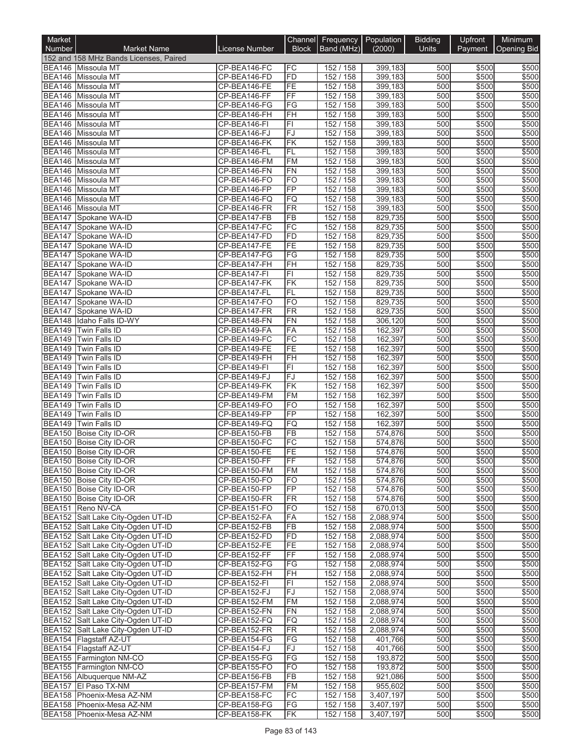| Market                         |                                                                        |                              |                                 | Channel Frequency Population |                        | <b>Bidding</b> | Upfront        | Minimum        |
|--------------------------------|------------------------------------------------------------------------|------------------------------|---------------------------------|------------------------------|------------------------|----------------|----------------|----------------|
| <b>Number</b>                  | <b>Market Name</b>                                                     | License Number               | <b>Block</b>                    | Band (MHz)                   | (2000)                 | Units          | Payment        | Opening Bid    |
|                                | 152 and 158 MHz Bands Licenses, Paired<br>BEA146 Missoula MT           | CP-BEA146-FC                 | FC                              | 152 / 158                    | 399,183                | 500            | \$500          | \$500          |
|                                | BEA146 Missoula MT                                                     | CP-BEA146-FD                 | FD                              | 152 / 158                    | 399,183                | 500            | \$500          | \$500          |
|                                | BEA146 Missoula MT                                                     | CP-BEA146-FE                 | FE                              | 152 / 158                    | 399,183                | 500            | \$500          | \$500          |
|                                | BEA146 Missoula MT                                                     | CP-BEA146-FF                 | FF                              | 152 / 158                    | 399,183                | 500            | \$500          | \$500          |
|                                | BEA146 Missoula MT                                                     | CP-BEA146-FG                 | FG<br>FH                        | 152 / 158                    | 399,183<br>399,183     | 500<br>500     | \$500<br>\$500 | \$500          |
|                                | BEA146 Missoula MT<br>BEA146 Missoula MT                               | CP-BEA146-FH<br>CP-BEA146-FI | FI                              | 152 / 158<br>152 / 158       | 399,183                | 500            | \$500          | \$500<br>\$500 |
|                                | BEA146 Missoula MT                                                     | CP-BEA146-FJ                 | FJ                              | 152/158                      | 399,183                | 500            | \$500          | \$500          |
| <b>BEA146</b>                  | Missoula MT                                                            | CP-BEA146-FK                 | FK                              | 152 / 158                    | 399,183                | 500            | \$500          | \$500          |
|                                | BEA146 Missoula MT                                                     | CP-BEA146-FL                 | FL                              | 152 / 158                    | 399,183                | 500            | \$500          | \$500          |
|                                | BEA146 Missoula MT                                                     | CP-BEA146-FM                 | FM                              | 152 / 158                    | 399,183                | 500            | \$500          | \$500          |
| <b>BEA146</b>                  | Missoula MT<br>BEA146 Missoula MT                                      | CP-BEA146-FN<br>CP-BEA146-FO | <b>FN</b><br><b>FO</b>          | 152 / 158<br>152 / 158       | 399,183<br>399,183     | 500<br>500     | \$500<br>\$500 | \$500<br>\$500 |
|                                | BEA146 Missoula MT                                                     | CP-BEA146-FP                 | <b>FP</b>                       | 152 / 158                    | 399,183                | 500            | \$500          | \$500          |
|                                | BEA146 Missoula MT                                                     | CP-BEA146-FQ                 | FQ                              | 152 / 158                    | 399,183                | 500            | \$500          | \$500          |
|                                | BEA146 Missoula MT                                                     | CP-BEA146-FR                 | FR                              | 152 / 158                    | 399,183                | 500            | \$500          | \$500          |
| <b>BEA147</b>                  | Spokane WA-ID                                                          | CP-BEA147-FB                 | FB                              | 152 / 158                    | 829,735                | 500            | \$500          | \$500          |
|                                | BEA147 Spokane WA-ID                                                   | CP-BEA147-FC                 | FC                              | 152 / 158                    | 829,735                | 500            | \$500          | \$500          |
| <b>BEA147</b>                  | BEA147 Spokane WA-ID<br>Spokane WA-ID                                  | CP-BEA147-FD<br>CP-BEA147-FE | FD<br>FE                        | 152 / 158<br>152 / 158       | 829,735<br>829,735     | 500<br>500     | \$500<br>\$500 | \$500<br>\$500 |
|                                | BEA147 Spokane WA-ID                                                   | CP-BEA147-FG                 | FG                              | 152 / 158                    | 829,735                | 500            | \$500          | \$500          |
|                                | BEA147 Spokane WA-ID                                                   | CP-BEA147-FH                 | FH                              | 152 / 158                    | 829,735                | 500            | \$500          | \$500          |
|                                | BEA147 Spokane WA-ID                                                   | CP-BEA147-FI                 | F1                              | 152 / 158                    | 829,735                | 500            | \$500          | \$500          |
| <b>BEA147</b>                  | Spokane WA-ID                                                          | CP-BEA147-FK                 | FK                              | 152 / 158                    | 829,735                | 500            | \$500          | \$500          |
|                                | BEA147 Spokane WA-ID                                                   | CP-BEA147-FL                 | FL                              | 152 / 158                    | 829,735                | 500            | \$500          | \$500          |
| <b>BEA147</b>                  | BEA147 Spokane WA-ID<br>Spokane WA-ID                                  | CP-BEA147-FO<br>CP-BEA147-FR | FO<br>FR                        | 152 / 158<br>152 / 158       | 829,735<br>829,735     | 500<br>500     | \$500<br>\$500 | \$500<br>\$500 |
|                                | BEA148 Idaho Falls ID-WY                                               | CP-BEA148-FN                 | FN                              | 152 / 158                    | 306,120                | 500            | \$500          | \$500          |
|                                | BEA149 Twin Falls ID                                                   | CP-BEA149-FA                 | FA                              | 152 / 158                    | 162,397                | 500            | \$500          | \$500          |
|                                | BEA149 Twin Falls ID                                                   | CP-BEA149-FC                 | FC                              | 152 / 158                    | 162,397                | 500            | \$500          | \$500          |
| <b>BEA149</b>                  | Twin Falls ID                                                          | CP-BEA149-FE                 | FE                              | 152 / 158                    | 162,397                | 500            | \$500          | \$500          |
|                                | BEA149 Twin Falls ID                                                   | CP-BEA149-FH                 | FH                              | 152 / 158                    | 162,397                | 500            | \$500          | \$500          |
| <b>BEA149</b><br><b>BEA149</b> | Twin Falls ID<br>Twin Falls ID                                         | CP-BEA149-FI<br>CP-BEA149-FJ | $\overline{\mathsf{F}}$ l<br>FJ | 152 / 158<br>152 / 158       | 162,397<br>162,397     | 500<br>500     | \$500<br>\$500 | \$500<br>\$500 |
| <b>BEA149</b>                  | Twin Falls ID                                                          | CP-BEA149-FK                 | FK                              | 152 / 158                    | 162,397                | 500            | \$500          | \$500          |
|                                | BEA149 Twin Falls ID                                                   | CP-BEA149-FM                 | FM                              | 152 / 158                    | 162,397                | 500            | \$500          | \$500          |
| <b>BEA149</b>                  | Twin Falls ID                                                          | CP-BEA149-FO                 | FO                              | 152 / 158                    | 162,397                | 500            | \$500          | \$500          |
| <b>BEA149</b>                  | Twin Falls ID                                                          | CP-BEA149-FP                 | FP                              | 152 / 158                    | 162,397                | 500            | \$500          | \$500          |
| <b>BEA150</b>                  | BEA149 Twin Falls ID                                                   | CP-BEA149-FQ<br>CP-BEA150-FB | <b>FQ</b><br><b>FB</b>          | 152 / 158<br>152 / 158       | 162,397<br>574,876     | 500<br>500     | \$500<br>\$500 | \$500<br>\$500 |
|                                | Boise City ID-OR<br>BEA150 Boise City ID-OR                            | CP-BEA150-FC                 | FC                              | 152 / 158                    | 574,876                | 500            | \$500          | \$500          |
|                                | BEA150 Boise City ID-OR                                                | CP-BEA150-FE                 | FE                              | 152 / 158                    | 574,876                | 500            | \$500          | \$500          |
|                                | BEA150 Boise City ID-OR                                                | CP-BEA150-FF                 | IFF                             | 152 / 158                    | 574,876                | 500            | \$500          | \$500          |
|                                | BEA150 Boise City ID-OR                                                | CP-BEA150-FM                 | FM                              | 152 / 158                    | 574,876                | 500            | \$500          | \$500          |
|                                | <b>BEA150</b> Boise City ID-OR                                         | CP-BEA150-FO                 | <b>FO</b>                       | 152 / 158                    | 574,876                | 500            | \$500          | \$500          |
|                                | BEA150 Boise City ID-OR<br>BEA150 Boise City ID-OR                     | CP-BEA150-FP<br>CP-BEA150-FR | FP<br>FR                        | 152 / 158<br>152 / 158       | 574,876<br>574,876     | 500<br>500     | \$500<br>\$500 | \$500<br>\$500 |
|                                | BEA151 Reno NV-CA                                                      | CP-BEA151-FO                 | <b>FO</b>                       | 152 / 158                    | 670,013                | 500            | \$500          | \$500          |
|                                | BEA152 Salt Lake City-Ogden UT-ID                                      | CP-BEA152-FA                 | FA                              | 152 / 158                    | 2,088,974              | 500            | \$500          | \$500          |
|                                | BEA152 Salt Lake City-Ogden UT-ID                                      | CP-BEA152-FB                 | <b>FB</b>                       | 152 / 158                    | 2.088.974              | 500            | \$500          | \$500          |
|                                | BEA152 Salt Lake City-Ogden UT-ID                                      | CP-BEA152-FD                 | FD                              | 152 / 158                    | 2,088,974              | 500            | \$500          | \$500          |
|                                | BEA152 Salt Lake City-Ogden UT-ID                                      | CP-BEA152-FE<br>CP-BEA152-FF | FE<br><b>FF</b>                 | 152 / 158<br>152 / 158       | 2,088,974<br>2,088,974 | 500<br>500     | \$500<br>\$500 | \$500<br>\$500 |
|                                | BEA152 Salt Lake City-Ogden UT-ID<br>BEA152 Salt Lake City-Ogden UT-ID | CP-BEA152-FG                 | FG                              | 152 / 158                    | 2,088,974              | 500            | \$500          | \$500          |
|                                | BEA152 Salt Lake City-Ogden UT-ID                                      | CP-BEA152-FH                 | FH                              | 152 / 158                    | 2,088,974              | 500            | \$500          | \$500          |
|                                | BEA152 Salt Lake City-Ogden UT-ID                                      | CP-BEA152-FI                 | FL                              | 152 / 158                    | 2,088,974              | 500            | \$500          | \$500          |
|                                | BEA152 Salt Lake City-Ogden UT-ID                                      | CP-BEA152-FJ                 | FJ                              | 152 / 158                    | 2,088,974              | 500            | \$500          | \$500          |
|                                | BEA152 Salt Lake City-Ogden UT-ID                                      | CP-BEA152-FM                 | <b>FM</b>                       | 152 / 158                    | 2,088,974              | 500            | \$500          | \$500          |
|                                | BEA152 Salt Lake City-Ogden UT-ID<br>BEA152 Salt Lake City-Ogden UT-ID | CP-BEA152-FN<br>CP-BEA152-FQ | FN<br>FQ                        | 152 / 158<br>152 / 158       | 2,088,974<br>2,088,974 | 500<br>500     | \$500<br>\$500 | \$500<br>\$500 |
|                                | BEA152 Salt Lake City-Ogden UT-ID                                      | CP-BEA152-FR                 | <b>FR</b>                       | 152 / 158                    | 2,088,974              | 500            | \$500          | \$500          |
|                                | BEA154 Flagstaff AZ-UT                                                 | CP-BEA154-FG                 | FG                              | 152 / 158                    | 401,766                | 500            | \$500          | \$500          |
|                                | BEA154 Flagstaff AZ-UT                                                 | CP-BEA154-FJ                 | FJ                              | 152 / 158                    | 401,766                | 500            | \$500          | \$500          |
|                                | BEA155 Farmington NM-CO                                                | CP-BEA155-FG                 | FG                              | 152 / 158                    | 193,872                | 500            | \$500          | \$500          |
|                                | BEA155 Farmington NM-CO                                                | CP-BEA155-FO                 | FO                              | 152 / 158                    | 193,872                | 500            | \$500          | \$500          |
|                                | BEA156 Albuquerque NM-AZ<br>BEA157 El Paso TX-NM                       | CP-BEA156-FB<br>CP-BEA157-FM | FB<br><b>FM</b>                 | 152 / 158<br>152 / 158       | 921,086<br>955,602     | 500<br>500     | \$500<br>\$500 | \$500<br>\$500 |
|                                | BEA158 Phoenix-Mesa AZ-NM                                              | CP-BEA158-FC                 | FC                              | 152 / 158                    | 3,407,197              | 500            | \$500          | \$500          |
|                                | BEA158 Phoenix-Mesa AZ-NM                                              | CP-BEA158-FG                 | FG                              | 152 / 158                    | 3,407,197              | 500            | \$500          | \$500          |
|                                | BEA158 Phoenix-Mesa AZ-NM                                              | CP-BEA158-FK                 | FK                              | 152 / 158                    | 3,407,197              | 500            | \$500          | \$500          |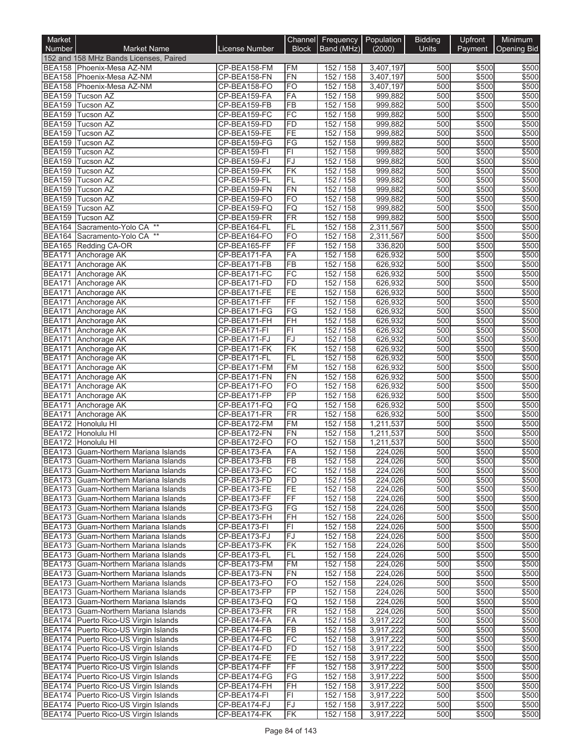| Market                         |                                                                              |                              |                        | Channel Frequency Population |                        | <b>Bidding</b> | Upfront        | Minimum        |
|--------------------------------|------------------------------------------------------------------------------|------------------------------|------------------------|------------------------------|------------------------|----------------|----------------|----------------|
| Number                         | <b>Market Name</b>                                                           | License Number               | <b>Block</b>           | Band (MHz)                   | (2000)                 | Units          | Payment        | Opening Bid    |
|                                | 152 and 158 MHz Bands Licenses, Paired                                       |                              |                        |                              |                        |                |                |                |
|                                | BEA158 Phoenix-Mesa AZ-NM                                                    | CP-BEA158-FM                 | <b>FM</b>              | 152 / 158                    | 3,407,197              | 500            | \$500          | \$500          |
|                                | BEA158 Phoenix-Mesa AZ-NM                                                    | CP-BEA158-FN                 | FN                     | 152 / 158                    | 3,407,197              | 500            | \$500          | \$500          |
| <b>BEA159</b>                  | BEA158 Phoenix-Mesa AZ-NM<br>Tucson AZ                                       | CP-BEA158-FO<br>CP-BEA159-FA | <b>FO</b><br>FA        | 152 / 158<br>152 / 158       | 3,407,197<br>999,882   | 500<br>500     | \$500<br>\$500 | \$500<br>\$500 |
| <b>BEA159</b>                  | <b>Tucson AZ</b>                                                             | CP-BEA159-FB                 | $\overline{FB}$        | 152 / 158                    | 999,882                | 500            | \$500          | \$500          |
| <b>BEA159</b>                  | Tucson AZ                                                                    | CP-BEA159-FC                 | FC                     | 152 / 158                    | 999,882                | 500            | \$500          | \$500          |
| <b>BEA159</b>                  | Tucson AZ                                                                    | CP-BEA159-FD                 | <b>FD</b>              | 152 / 158                    | 999,882                | 500            | \$500          | \$500          |
| <b>BEA159</b>                  | Tucson AZ                                                                    | CP-BEA159-FE                 | FE                     | 152 / 158                    | 999,882                | 500            | \$500          | \$500          |
| <b>BEA159</b>                  | Tucson AZ                                                                    | CP-BEA159-FG                 | FG                     | 152 / 158                    | 999,882                | 500            | \$500          | \$500          |
| <b>BEA159</b>                  | <b>Tucson AZ</b>                                                             | CP-BEA159-FI                 | F1                     | 152 / 158                    | 999,882                | 500            | \$500          | \$500          |
| <b>BEA159</b>                  | <b>Tucson AZ</b>                                                             | CP-BEA159-FJ                 | FJ                     | 152 / 158                    | 999,882                | 500            | \$500          | \$500          |
| <b>BEA159</b>                  | <b>Tucson AZ</b>                                                             | CP-BEA159-FK                 | FK                     | 152 / 158                    | 999,882                | 500            | \$500          | \$500          |
| <b>BEA159</b>                  | Tucson AZ                                                                    | CP-BEA159-FL                 | FL                     | 152 / 158                    | 999,882                | 500            | \$500          | \$500          |
|                                | BEA159 Tucson AZ                                                             | CP-BEA159-FN                 | <b>FN</b>              | 152 / 158                    | 999,882                | 500<br>500     | \$500          | \$500          |
| <b>BEA159</b><br><b>BEA159</b> | Tucson AZ<br><b>Tucson AZ</b>                                                | CP-BEA159-FO<br>CP-BEA159-FQ | <b>FO</b><br>FQ        | 152 / 158<br>152 / 158       | 999,882<br>999,882     | 500            | \$500<br>\$500 | \$500<br>\$500 |
| <b>BEA159</b>                  | Tucson AZ                                                                    | CP-BEA159-FR                 | <b>FR</b>              | 152 / 158                    | 999,882                | 500            | \$500          | \$500          |
| <b>BEA164</b>                  | Sacramento-Yolo CA **                                                        | CP-BEA164-FL                 | FL                     | 152 / 158                    | 2,311,567              | 500            | \$500          | \$500          |
|                                | $^{\star\star}$<br>BEA164 Sacramento-Yolo CA                                 | CP-BEA164-FO                 | F <sub>O</sub>         | 152 / 158                    | 2,311,567              | 500            | \$500          | \$500          |
| <b>BEA165</b>                  | Redding CA-OR                                                                | CP-BEA165-FF                 | $\overline{FF}$        | 152 / 158                    | 336,820                | 500            | \$500          | \$500          |
| <b>BEA171</b>                  | Anchorage AK                                                                 | CP-BEA171-FA                 | FA                     | 152 / 158                    | 626,932                | 500            | \$500          | \$500          |
| <b>BEA171</b>                  | Anchorage AK                                                                 | CP-BEA171-FB                 | $\overline{FB}$        | 152 / 158                    | 626,932                | 500            | \$500          | \$500          |
| <b>BEA171</b>                  | Anchorage AK                                                                 | CP-BEA171-FC                 | FC                     | 152 / 158                    | 626,932                | 500            | \$500          | \$500          |
| <b>BEA171</b>                  | Anchorage AK                                                                 | CP-BEA171-FD                 | <b>FD</b>              | 152 / 158                    | 626,932                | 500            | \$500          | \$500          |
| <b>BEA171</b>                  | Anchorage AK                                                                 | CP-BEA171-FE                 | FE                     | 152 / 158                    | 626,932                | 500            | \$500          | \$500          |
| <b>BEA171</b>                  | Anchorage AK                                                                 | CP-BEA171-FF                 | $\overline{FF}$        | 152 / 158                    | 626,932                | 500            | \$500          | \$500          |
| <b>BEA171</b>                  | Anchorage AK                                                                 | CP-BEA171-FG<br>CP-BEA171-FH | FG<br><b>FH</b>        | 152 / 158<br>152 / 158       | 626,932                | 500<br>500     | \$500<br>\$500 | \$500<br>\$500 |
| <b>BEA171</b><br><b>BEA171</b> | Anchorage AK<br>Anchorage AK                                                 | CP-BEA171-FI                 | F1                     | 152 / 158                    | 626,932<br>626,932     | 500            | \$500          | \$500          |
| <b>BEA171</b>                  | Anchorage AK                                                                 | CP-BEA171-FJ                 | FJ                     | 152 / 158                    | 626,932                | 500            | \$500          | \$500          |
| <b>BEA171</b>                  | Anchorage AK                                                                 | CP-BEA171-FK                 | FK                     | 152 / 158                    | 626,932                | 500            | \$500          | \$500          |
| <b>BEA171</b>                  | Anchorage AK                                                                 | CP-BEA171-FL                 | <b>FL</b>              | 152 / 158                    | 626,932                | 500            | \$500          | \$500          |
| <b>BEA171</b>                  | Anchorage AK                                                                 | CP-BEA171-FM                 | <b>FM</b>              | 152 / 158                    | 626,932                | 500            | \$500          | \$500          |
| <b>BEA171</b>                  | Anchorage AK                                                                 | CP-BEA171-FN                 | FN                     | 152 / 158                    | 626,932                | 500            | \$500          | \$500          |
| <b>BEA171</b>                  | Anchorage AK                                                                 | CP-BEA171-FO                 | <b>FO</b>              | 152 / 158                    | 626,932                | 500            | \$500          | \$500          |
| <b>BEA171</b>                  | Anchorage AK                                                                 | CP-BEA171-FP                 | FP                     | 152 / 158                    | 626,932                | 500            | \$500          | \$500          |
| <b>BEA171</b>                  | Anchorage AK                                                                 | CP-BEA171-FQ                 | FQ                     | 152 / 158                    | 626,932                | 500            | \$500          | \$500          |
| <b>BEA171</b>                  | Anchorage AK                                                                 | CP-BEA171-FR                 | $\overline{\text{FR}}$ | 152 / 158                    | 626,932                | 500            | \$500          | \$500          |
| <b>BEA172</b><br><b>BEA172</b> | Honolulu HI<br>Honolulu HI                                                   | CP-BEA172-FM<br>CP-BEA172-FN | <b>FM</b>              | 152 / 158<br>152 / 158       | 1,211,537              | 500<br>500     | \$500<br>\$500 | \$500<br>\$500 |
|                                | BEA172 Honolulu HI                                                           | CP-BEA172-FO                 | FN<br>$F$ O            | 152 / 158                    | 1,211,537<br>1,211,537 | 500            | \$500          | \$500          |
|                                | BEA173 Guam-Northern Mariana Islands                                         | CP-BEA173-FA                 | FA                     | 152 / 158                    | 224,026                | 500            | \$500          | \$500          |
|                                | BEA173 Guam-Northern Mariana Islands                                         | CP-BEA173-FB                 | FВ                     | 152 / 158                    | 224,026                | 500            | \$500          | \$500          |
|                                | BEA173 Guam-Northern Mariana Islands                                         | CP-BEA173-FC                 | FC                     | 152 / 158                    | 224,026                | 500            | \$500          | \$500          |
|                                | BEA173 Guam-Northern Mariana Islands                                         | CP-BEA173-FD                 | FD                     | 152 / 158                    | 224,026                | 500            | \$500          | \$500          |
|                                | BEA173 Guam-Northern Mariana Islands                                         | CP-BEA173-FE                 | FE                     | 152 / 158                    | 224,026                | 500            | \$500          | \$500          |
|                                | BEA173 Guam-Northern Mariana Islands                                         | CP-BEA173-FF                 | $\overline{FF}$        | 152 / 158                    | 224,026                | 500            | \$500          | \$500          |
|                                | BEA173 Guam-Northern Mariana Islands                                         | CP-BEA173-FG                 | FG                     | 152 / 158                    | 224,026                | 500            | \$500          | \$500          |
|                                | BEA173 Guam-Northern Mariana Islands                                         | CP-BEA173-FH                 | <b>FH</b>              | 152 / 158                    | 224,026                | 500            | \$500          | \$500          |
|                                | BEA173 Guam-Northern Mariana Islands                                         | CP-BEA173-FI                 | FI                     | 152 / 158                    | 224,026                | 500            | \$500          | \$500          |
|                                | BEA173 Guam-Northern Mariana Islands<br>BEA173 Guam-Northern Mariana Islands | CP-BEA173-FJ<br>CP-BEA173-FK | FJ<br>FK               | 152 / 158<br>152 / 158       | 224,026<br>224,026     | 500<br>500     | \$500<br>\$500 | \$500<br>\$500 |
|                                | BEA173 Guam-Northern Mariana Islands                                         | CP-BEA173-FL                 | FL                     | 152/158                      | 224,026                | 500            | \$500          | \$500          |
|                                | BEA173 Guam-Northern Mariana Islands                                         | CP-BEA173-FM                 | FM                     | 152 / 158                    | 224,026                | 500            | \$500          | \$500          |
|                                | BEA173 Guam-Northern Mariana Islands                                         | CP-BEA173-FN                 | <b>FN</b>              | 152 / 158                    | 224,026                | 500            | \$500          | \$500          |
|                                | BEA173 Guam-Northern Mariana Islands                                         | CP-BEA173-FO                 | FO                     | 152 / 158                    | 224,026                | 500            | \$500          | \$500          |
|                                | BEA173 Guam-Northern Mariana Islands                                         | CP-BEA173-FP                 | <b>FP</b>              | 152 / 158                    | 224,026                | 500            | \$500          | \$500          |
|                                | BEA173 Guam-Northern Mariana Islands                                         | CP-BEA173-FQ                 | FQ                     | 152 / 158                    | 224,026                | 500            | \$500          | \$500          |
|                                | BEA173 Guam-Northern Mariana Islands                                         | CP-BEA173-FR                 | <b>FR</b>              | 152 / 158                    | 224,026                | 500            | \$500          | \$500          |
|                                | BEA174 Puerto Rico-US Virgin Islands                                         | CP-BEA174-FA                 | FA                     | 152 / 158                    | 3,917,222              | 500            | \$500          | \$500          |
|                                | BEA174 Puerto Rico-US Virgin Islands                                         | CP-BEA174-FB                 | <b>FB</b>              | 152 / 158                    | 3,917,222              | 500            | \$500          | \$500          |
|                                | BEA174 Puerto Rico-US Virgin Islands                                         | CP-BEA174-FC                 | FC                     | 152 / 158                    | 3,917,222              | 500            | \$500          | \$500          |
|                                | BEA174 Puerto Rico-US Virgin Islands                                         | CP-BEA174-FD                 | FD<br>FE               | 152 / 158<br>152 / 158       | 3,917,222              | 500<br>500     | \$500<br>\$500 | \$500          |
|                                | BEA174 Puerto Rico-US Virgin Islands<br>BEA174 Puerto Rico-US Virgin Islands | CP-BEA174-FE<br>CP-BEA174-FF | FF                     | 152 / 158                    | 3,917,222<br>3,917,222 | 500            | \$500          | \$500<br>\$500 |
|                                | BEA174 Puerto Rico-US Virgin Islands                                         | CP-BEA174-FG                 | FG                     | 152 / 158                    | 3,917,222              | 500            | \$500          | \$500          |
|                                | BEA174 Puerto Rico-US Virgin Islands                                         | CP-BEA174-FH                 | <b>FH</b>              | 152 / 158                    | 3,917,222              | 500            | \$500          | \$500          |
|                                | BEA174 Puerto Rico-US Virgin Islands                                         | CP-BEA174-FI                 | FI                     | 152 / 158                    | 3,917,222              | 500            | \$500          | \$500          |
|                                | BEA174 Puerto Rico-US Virgin Islands                                         | CP-BEA174-FJ                 | FJ                     | 152 / 158                    | 3,917,222              | 500            | \$500          | \$500          |
|                                | BEA174 Puerto Rico-US Virgin Islands                                         | CP-BEA174-FK                 | <b>FK</b>              | 152 / 158                    | 3,917,222              | 500            | \$500          | \$500          |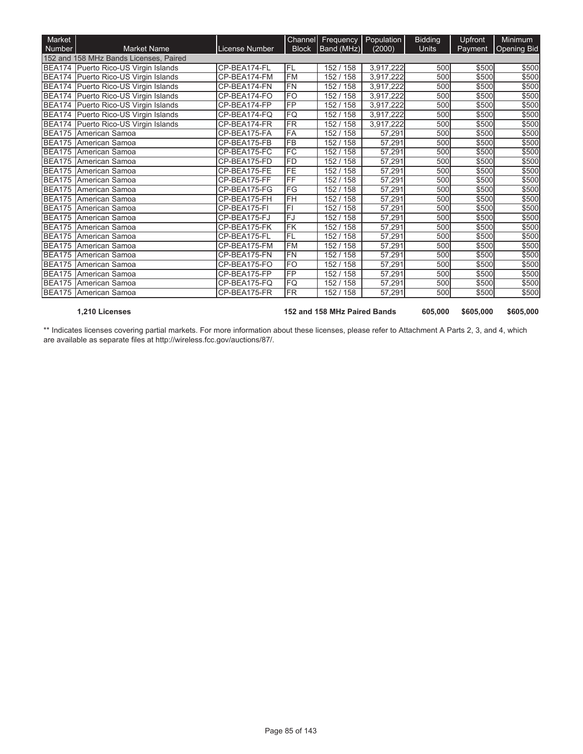| Market        |                                        |                |                          | Channel Frequency Population |                     | <b>Bidding</b> | Upfront | <b>Minimum</b> |
|---------------|----------------------------------------|----------------|--------------------------|------------------------------|---------------------|----------------|---------|----------------|
| Number        | <b>Market Name</b>                     | License Number | <b>Block</b>             | Band (MHz)                   | (2000)              | <b>Units</b>   | Payment | Opening Bid    |
|               | 152 and 158 MHz Bands Licenses, Paired |                |                          |                              |                     |                |         |                |
| <b>BEA174</b> | Puerto Rico-US Virgin Islands          | CP-BEA174-FL   | FL                       | 152 / 158                    | 3,917,222           | 500            | \$500   | \$500          |
| <b>BEA174</b> | Puerto Rico-US Virgin Islands          | CP-BEA174-FM   | <b>FM</b>                | 152 / 158                    | 3,917,222           | 500            | \$500   | \$500          |
|               | BEA174 Puerto Rico-US Virgin Islands   | CP-BEA174-FN   | <b>FN</b>                | 152 / 158                    | 3,917,222           | 500            | \$500   | \$500          |
|               | BEA174 Puerto Rico-US Virgin Islands   | CP-BEA174-FO   | <b>FO</b>                | 152 / 158                    | 3,917,222           | 500            | \$500   | \$500          |
|               | BEA174 Puerto Rico-US Virgin Islands   | CP-BEA174-FP   | FP                       | 152/158                      | 3,917,222           | 500            | \$500   | \$500          |
|               | BEA174 Puerto Rico-US Virgin Islands   | CP-BEA174-FQ   | FQ                       | 152 / 158                    | 3,917,222           | 500            | \$500   | \$500          |
| <b>BEA174</b> | Puerto Rico-US Virgin Islands          | CP-BEA174-FR   | FR                       | 152 / 158                    | 3,917,222           | 500            | \$500   | \$500          |
|               | BEA175 American Samoa                  | CP-BEA175-FA   | FA                       | 152/158                      | 57,291              | 500            | \$500   | \$500          |
| <b>BEA175</b> | American Samoa                         | CP-BEA175-FB   | $\overline{\mathsf{FB}}$ | 152 / 158                    | 57,291              | 500            | \$500   | \$500          |
| BEA175        | American Samoa                         | CP-BEA175-FC   | <b>FC</b>                | 152 / 158                    | 57,291              | 500            | \$500   | \$500          |
| <b>BEA175</b> | American Samoa                         | CP-BEA175-FD   | FD                       | 152 / 158                    | $\overline{57,}291$ | 500            | \$500   | \$500          |
|               | BEA175 American Samoa                  | CP-BEA175-FE   | FE                       | 152/158                      | 57,291              | 500            | \$500   | \$500          |
| <b>BEA175</b> | American Samoa                         | CP-BEA175-FF   | FF                       | 152 / 158                    | 57,291              | 500            | \$500   | \$500          |
|               | BEA175 American Samoa                  | CP-BEA175-FG   | FG                       | 152 / 158                    | 57,291              | 500            | \$500   | \$500          |
| <b>BEA175</b> | American Samoa                         | CP-BEA175-FH   | FH                       | 152 / 158                    | 57,291              | 500            | \$500   | \$500          |
| <b>BEA175</b> | American Samoa                         | CP-BEA175-FI   | F1                       | 152/158                      | 57,291              | 500            | \$500   | \$500          |
|               | BEA175 American Samoa                  | CP-BEA175-FJ   | FJ                       | 152/158                      | 57,291              | 500            | \$500   | \$500          |
| <b>BEA175</b> | American Samoa                         | CP-BEA175-FK   | FK                       | 152 / 158                    | 57,291              | 500            | \$500   | \$500          |
| <b>BEA175</b> | American Samoa                         | CP-BEA175-FL   | FL                       | 152 / 158                    | 57,291              | 500            | \$500   | \$500          |
| <b>BEA175</b> | American Samoa                         | CP-BEA175-FM   | <b>FM</b>                | 152/158                      | 57,291              | 500            | \$500   | \$500          |
|               | BEA175 American Samoa                  | CP-BEA175-FN   | <b>FN</b>                | 152/158                      | 57,291              | 500            | \$500   | \$500          |
| <b>BEA175</b> | American Samoa                         | CP-BEA175-FO   | <b>FO</b>                | 152/158                      | 57,291              | 500            | \$500   | \$500          |
| <b>BEA175</b> | American Samoa                         | CP-BEA175-FP   | <b>FP</b>                | 152/158                      | 57,291              | 500            | \$500   | \$500          |
| <b>BEA175</b> | American Samoa                         | CP-BEA175-FQ   | FQ                       | 152 / 158                    | 57,291              | 500            | \$500   | \$500          |
| <b>BEA175</b> | American Samoa                         | CP-BEA175-FR   | FR                       | 152 / 158                    | 57,291              | 500            | \$500   | \$500          |

**1,210 Licenses 152 and 158 MHz Paired Bands 605,000 \$605,000 \$605,000**

\*\* Indicates licenses covering partial markets. For more information about these licenses, please refer to Attachment A Parts 2, 3, and 4, which are available as separate files at http://wireless.fcc.gov/auctions/87/.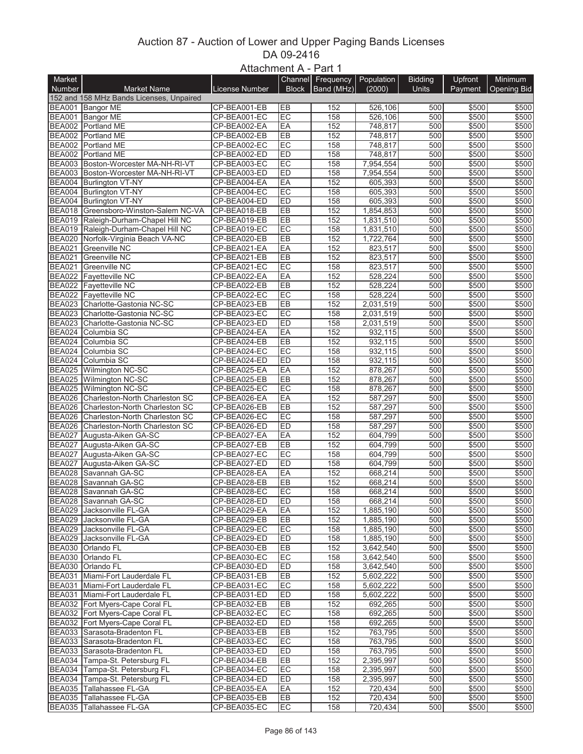## Auction 87 - Auction of Lower and Upper Paging Bands Licenses DA 09-2416 Attachment A - Part 1

|               |                                          | $AII$ and $BII$ in $BII$ in $BII$ in $BII$ in $BII$ in $BII$ in $BII$ in $BII$ in $BII$ in $BII$ in $BII$ in $BII$ in $BII$ in $BII$ in $BII$ |              |                   |            |                |                |                    |
|---------------|------------------------------------------|-----------------------------------------------------------------------------------------------------------------------------------------------|--------------|-------------------|------------|----------------|----------------|--------------------|
| Market        |                                          |                                                                                                                                               |              | Channel Frequency | Population | <b>Bidding</b> | <b>Upfront</b> | Minimum            |
| Number        | <b>Market Name</b>                       | License Number                                                                                                                                | <b>Block</b> | Band (MHz)        | (2000)     | <b>Units</b>   | Payment        | <b>Opening Bid</b> |
|               | 152 and 158 MHz Bands Licenses, Unpaired |                                                                                                                                               |              |                   |            |                |                |                    |
|               | BEA001 Bangor ME                         | CP-BEA001-EB                                                                                                                                  | EB           | 152               | 526,106    | 500            | \$500          | \$500              |
| <b>BEA001</b> | <b>Bangor ME</b>                         | CP-BEA001-EC                                                                                                                                  | EC           | 158               | 526,106    | 500            | \$500          | \$500              |
|               | BEA002 Portland ME                       | CP-BEA002-EA                                                                                                                                  | EA           | 152               | 748,817    | 500            | \$500          | \$500              |
|               | BEA002 Portland ME                       |                                                                                                                                               |              |                   |            |                |                |                    |
|               |                                          | CP-BEA002-EB                                                                                                                                  | EB           | 152               | 748,817    | 500            | \$500          | \$500              |
|               | BEA002 Portland ME                       | CP-BEA002-EC                                                                                                                                  | EC           | 158               | 748,817    | 500            | \$500          | \$500              |
|               | BEA002 Portland ME                       | CP-BEA002-ED                                                                                                                                  | ED           | 158               | 748,817    | 500            | \$500          | \$500              |
|               | BEA003 Boston-Worcester MA-NH-RI-VT      | CP-BEA003-EC                                                                                                                                  | EC           | 158               | 7,954,554  | 500            | \$500          | \$500              |
|               | BEA003 Boston-Worcester MA-NH-RI-VT      | CP-BEA003-ED                                                                                                                                  | ED           | 158               | 7,954,554  | 500            | \$500          | \$500              |
|               | BEA004 Burlington VT-NY                  | CP-BEA004-EA                                                                                                                                  | EA           | 152               | 605,393    | 500            | \$500          | \$500              |
|               | BEA004 Burlington VT-NY                  | CP-BEA004-EC                                                                                                                                  | EC           | 158               | 605,393    | 500            | \$500          | \$500              |
|               | BEA004 Burlington VT-NY                  | CP-BEA004-ED                                                                                                                                  | ED           | 158               | 605,393    | 500            | \$500          | \$500              |
|               | BEA018 Greensboro-Winston-Salem NC-VA    | CP-BEA018-EB                                                                                                                                  | EB           | 152               | 1,854,853  | 500            | \$500          | \$500              |
|               | BEA019 Raleigh-Durham-Chapel Hill NC     | CP-BEA019-EB                                                                                                                                  | EB           | 152               | 1,831,510  | 500            | \$500          | \$500              |
|               |                                          |                                                                                                                                               | EC           | 158               |            | 500            |                |                    |
|               | BEA019 Raleigh-Durham-Chapel Hill NC     | CP-BEA019-EC                                                                                                                                  |              |                   | 1,831,510  |                | \$500          | \$500              |
|               | BEA020 Norfolk-Virginia Beach VA-NC      | CP-BEA020-EB                                                                                                                                  | EB           | 152               | 1,722,764  | 500            | \$500          | \$500              |
| <b>BEA021</b> | Greenville NC                            | CP-BEA021-EA                                                                                                                                  | EA           | 152               | 823,517    | 500            | \$500          | \$500              |
| <b>BEA021</b> | Greenville NC                            | CP-BEA021-EB                                                                                                                                  | EB           | 152               | 823,517    | 500            | \$500          | \$500              |
| <b>BEA021</b> | <b>Greenville NC</b>                     | CP-BEA021-EC                                                                                                                                  | EC           | 158               | 823,517    | 500            | \$500          | \$500              |
|               | BEA022 Fayetteville NC                   | CP-BEA022-EA                                                                                                                                  | EA           | 152               | 528,224    | 500            | \$500          | \$500              |
|               | <b>BEA022</b> Fayetteville NC            | CP-BEA022-EB                                                                                                                                  | EB           | 152               | 528,224    | 500            | \$500          | \$500              |
|               | BEA022 Fayetteville NC                   | CP-BEA022-EC                                                                                                                                  | EC           | 158               | 528,224    | 500            | \$500          | \$500              |
|               | BEA023 Charlotte-Gastonia NC-SC          | CP-BEA023-EB                                                                                                                                  | <b>EB</b>    | 152               | 2,031,519  | 500            | \$500          | \$500              |
|               | BEA023 Charlotte-Gastonia NC-SC          |                                                                                                                                               | EC           | 158               |            | 500            |                | \$500              |
|               |                                          | CP-BEA023-EC                                                                                                                                  |              |                   | 2,031,519  |                | \$500          |                    |
|               | BEA023 Charlotte-Gastonia NC-SC          | CP-BEA023-ED                                                                                                                                  | ED           | 158               | 2,031,519  | 500            | \$500          | \$500              |
|               | BEA024 Columbia SC                       | CP-BEA024-EA                                                                                                                                  | EA           | 152               | 932,115    | 500            | \$500          | \$500              |
| <b>BEA024</b> | Columbia SC                              | CP-BEA024-EB                                                                                                                                  | EB           | 152               | 932,115    | 500            | \$500          | \$500              |
| BEA024        | Columbia SC                              | CP-BEA024-EC                                                                                                                                  | EC           | 158               | 932,115    | 500            | \$500          | \$500              |
|               | BEA024 Columbia SC                       | CP-BEA024-ED                                                                                                                                  | ED           | 158               | 932,115    | 500            | \$500          | \$500              |
|               | BEA025 Wilmington NC-SC                  | CP-BEA025-EA                                                                                                                                  | EA           | 152               | 878,267    | 500            | \$500          | \$500              |
|               | BEA025 Wilmington NC-SC                  | CP-BEA025-EB                                                                                                                                  | EB           | 152               | 878,267    | 500            | \$500          | \$500              |
|               | BEA025 Wilmington NC-SC                  | CP-BEA025-EC                                                                                                                                  | EC           | 158               | 878,267    | 500            | \$500          | \$500              |
| BEA026        | Charleston-North Charleston SC           | CP-BEA026-EA                                                                                                                                  | EA           | 152               | 587,297    | 500            | \$500          | \$500              |
|               | BEA026 Charleston-North Charleston SC    |                                                                                                                                               | EB           | 152               |            | 500            |                |                    |
|               |                                          | CP-BEA026-EB                                                                                                                                  |              |                   | 587,297    |                | \$500          | \$500              |
|               | BEA026 Charleston-North Charleston SC    | CP-BEA026-EC                                                                                                                                  | EC           | 158               | 587,297    | 500            | \$500          | \$500              |
|               | BEA026 Charleston-North Charleston SC    | CP-BEA026-ED                                                                                                                                  | ED           | 158               | 587,297    | 500            | \$500          | \$500              |
| <b>BEA027</b> | Augusta-Aiken GA-SC                      | CP-BEA027-EA                                                                                                                                  | EA           | 152               | 604,799    | 500            | \$500          | \$500              |
| <b>BEA027</b> | Augusta-Aiken GA-SC                      | CP-BEA027-EB                                                                                                                                  | EB           | 152               | 604,799    | 500            | \$500          | \$500              |
| <b>BEA027</b> | Augusta-Aiken GA-SC                      | CP-BEA027-EC                                                                                                                                  | EC           | 158               | 604,799    | 500            | \$500          | \$500              |
| <b>BEA027</b> | Augusta-Aiken GA-SC                      | CP-BEA027-ED                                                                                                                                  | ED           | 158               | 604,799    | 500            | \$500          | \$500              |
| <b>BEA028</b> | Savannah GA-SC                           | CP-BEA028-EA                                                                                                                                  | EA           | 152               | 668,214    | 500            | \$500          | \$500              |
| <b>BEA028</b> | Savannah GA-SC                           | CP-BEA028-EB                                                                                                                                  | EB           | 152               | 668,214    | 500            | \$500          | \$500              |
|               | BEA028 Savannah GA-SC                    | CP-BEA028-EC                                                                                                                                  | EC           | 158               | 668,214    | 500            | \$500          | \$500              |
|               |                                          |                                                                                                                                               |              |                   |            |                |                |                    |
|               | BEA028 Savannah GA-SC                    | CP-BEA028-ED                                                                                                                                  | IED          | 158               | 668,214    | 500            | \$500          | \$500              |
|               | BEA029 Jacksonville FL-GA                | CP-BEA029-EA                                                                                                                                  | EA           | 152               | 1,885,190  | 500            | \$500          | \$500              |
|               | BEA029 Jacksonville FL-GA                | CP-BEA029-EB                                                                                                                                  | EB           | 152               | 1,885,190  | 500            | \$500          | \$500              |
|               | BEA029 Jacksonville FL-GA                | CP-BEA029-EC                                                                                                                                  | EC           | 158               | 1,885,190  | 500            | \$500          | \$500              |
|               | BEA029 Jacksonville FL-GA                | CP-BEA029-ED                                                                                                                                  | ED           | 158               | 1,885,190  | 500            | \$500          | \$500              |
|               | BEA030 Orlando FL                        | CP-BEA030-EB                                                                                                                                  | EB           | 152               | 3,642,540  | 500            | \$500          | \$500              |
|               | BEA030 Orlando FL                        | CP-BEA030-EC                                                                                                                                  | EC           | 158               | 3,642,540  | 500            | \$500          | \$500              |
|               | BEA030 Orlando FL                        | CP-BEA030-ED                                                                                                                                  | ED           | 158               | 3,642,540  | 500            | \$500          | \$500              |
|               | BEA031 Miami-Fort Lauderdale FL          | CP-BEA031-EB                                                                                                                                  | EB           | 152               | 5,602,222  | 500            | \$500          | \$500              |
|               | BEA031 Miami-Fort Lauderdale FL          | CP-BEA031-EC                                                                                                                                  | EC           | 158               | 5,602,222  | 500            | \$500          | \$500              |
|               |                                          |                                                                                                                                               |              |                   |            |                |                |                    |
|               | BEA031 Miami-Fort Lauderdale FL          | CP-BEA031-ED                                                                                                                                  | ED           | 158               | 5,602,222  | 500            | \$500          | \$500              |
|               | BEA032 Fort Myers-Cape Coral FL          | CP-BEA032-EB                                                                                                                                  | EB           | 152               | 692,265    | 500            | \$500          | \$500              |
|               | BEA032 Fort Myers-Cape Coral FL          | CP-BEA032-EC                                                                                                                                  | EC           | 158               | 692,265    | 500            | \$500          | \$500              |
|               | BEA032 Fort Myers-Cape Coral FL          | CP-BEA032-ED                                                                                                                                  | ED           | 158               | 692,265    | 500            | \$500          | \$500              |
|               | BEA033 Sarasota-Bradenton FL             | CP-BEA033-EB                                                                                                                                  | EB           | 152               | 763,795    | 500            | \$500          | \$500              |
|               | BEA033 Sarasota-Bradenton FL             | CP-BEA033-EC                                                                                                                                  | EC           | 158               | 763,795    | 500            | \$500          | \$500              |
|               | BEA033 Sarasota-Bradenton FL             | CP-BEA033-ED                                                                                                                                  | ED           | 158               | 763,795    | 500            | \$500          | \$500              |
|               | BEA034 Tampa-St. Petersburg FL           | CP-BEA034-EB                                                                                                                                  | <b>EB</b>    | 152               | 2,395,997  | 500            | \$500          | \$500              |
|               | BEA034 Tampa-St. Petersburg FL           | CP-BEA034-EC                                                                                                                                  | EC           | 158               | 2,395,997  | 500            | \$500          | \$500              |
|               | BEA034 Tampa-St. Petersburg FL           | CP-BEA034-ED                                                                                                                                  | ED           | 158               | 2,395,997  | 500            | \$500          | \$500              |
|               |                                          |                                                                                                                                               |              |                   |            |                |                |                    |
|               | BEA035 Tallahassee FL-GA                 | CP-BEA035-EA                                                                                                                                  | EA           | 152               | 720,434    | 500            | \$500          | \$500              |
|               | BEA035 Tallahassee FL-GA                 | CP-BEA035-EB                                                                                                                                  | EB           | 152               | 720,434    | 500            | \$500          | \$500              |
|               | BEA035 Tallahassee FL-GA                 | CP-BEA035-EC                                                                                                                                  | EC           | 158               | 720,434    | 500            | \$500          | \$500              |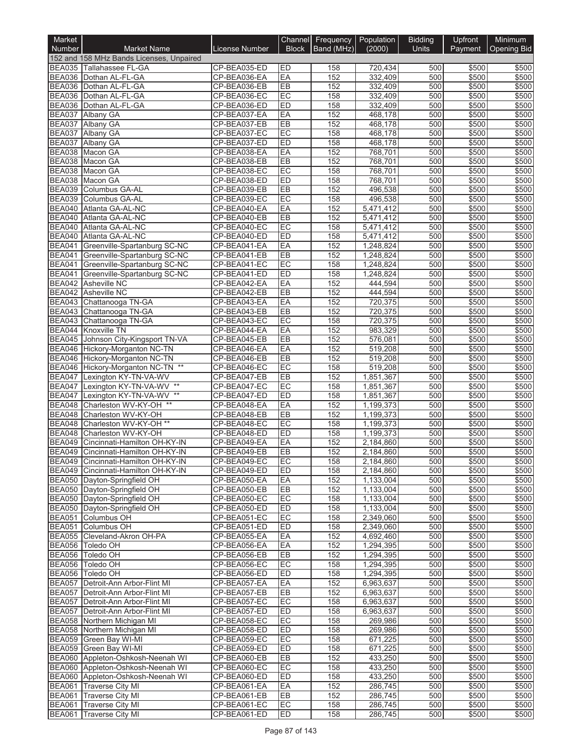| Number<br><b>Market Name</b><br><b>Block</b><br>Band (MHz)<br>(2000)<br><b>Units</b><br>License Number<br>Payment   Opening Bid<br>152 and 158 MHz Bands Licenses, Unpaired<br>ED<br>BEA035 Tallahassee FL-GA<br>158<br>CP-BEA035-ED<br>720.434<br>500<br>\$500<br>\$500<br>EA<br>152<br>332,409<br>500<br>\$500<br>\$500<br>BEA036 Dothan AL-FL-GA<br>CP-BEA036-EA<br>EB<br>152<br>\$500<br>CP-BEA036-EB<br>332.409<br>500<br>\$500<br>Dothan AL-FL-GA<br>EC<br>158<br>332,409<br>500<br>\$500<br>\$500<br>Dothan AL-FL-GA<br>CP-BEA036-EC<br>ED<br>158<br>Dothan AL-FL-GA<br>CP-BEA036-ED<br>332,409<br>500<br>\$500<br>\$500<br>EA<br>\$500<br><b>BEA037</b><br>152<br>468,178<br>500<br>\$500<br>Albany GA<br>CP-BEA037-EA<br>EB<br>152<br>468,178<br>500<br>\$500<br>\$500<br><b>BEA037</b><br>Albany GA<br>CP-BEA037-EB<br>EC<br>500<br>\$500<br><b>BEA037</b><br>158<br>\$500<br>Albany GA<br>CP-BEA037-EC<br>468,178<br>ED<br><b>BEA037</b><br>CP-BEA037-ED<br>158<br>468,178<br>500<br>\$500<br>\$500<br>Albany GA<br>EA<br>152<br>\$500<br>CP-BEA038-EA<br>768,701<br>500<br>\$500<br>Macon GA<br>EB<br>\$500<br>CP-BEA038-EB<br>152<br>768,701<br>500<br>\$500<br>Macon GA<br>EC<br>158<br>\$500<br><b>BEA038</b><br>Macon GA<br>CP-BEA038-EC<br>768,701<br>500<br>\$500<br>ED<br>\$500<br>BEA038 Macon GA<br>158<br>768,701<br>500<br>\$500<br>CP-BEA038-ED<br><b>BEA039</b><br>152<br>\$500<br>Columbus GA-AL<br>CP-BEA039-EB<br>EB<br>496,538<br>500<br>\$500<br>EC<br><b>BEA039</b><br>Columbus GA-AL<br>CP-BEA039-EC<br>158<br>496,538<br>500<br>\$500<br>\$500<br>CP-BEA040-EA<br>EA<br>152<br>5,471,412<br>500<br>\$500<br>\$500<br><b>BEA040</b><br>Atlanta GA-AL-NC<br>EB<br>152<br>\$500<br>Atlanta GA-AL-NC<br>CP-BEA040-EB<br>5,471,412<br>500<br>\$500<br>EC<br>158<br>500<br>\$500<br>\$500<br>Atlanta GA-AL-NC<br>CP-BEA040-EC<br>5,471,412<br>ED<br>158<br>\$500<br><b>BEA040</b><br>Atlanta GA-AL-NC<br>CP-BEA040-ED<br>5,471,412<br>500<br>\$500<br><b>BEA041</b><br>Greenville-Spartanburg SC-NC<br>EA<br>152<br>1,248,824<br>500<br>\$500<br>\$500<br>CP-BEA041-EA<br>152<br>\$500<br><b>BEA041</b><br>CP-BEA041-EB<br>EB<br>1,248,824<br>500<br>\$500<br>Greenville-Spartanburg SC-NC<br>EC<br><b>BEA041</b><br>CP-BEA041-EC<br>158<br>1.248.824<br>500<br>\$500<br>\$500<br>Greenville-Spartanburg SC-NC<br>ED<br><b>BEA041</b><br>158<br>\$500<br>\$500<br>CP-BEA041-ED<br>1,248,824<br>500<br>Greenville-Spartanburg SC-NC<br>EA<br>152<br>444,594<br>500<br>\$500<br>\$500<br><b>BEA042</b><br><b>Asheville NC</b><br>CP-BEA042-EA<br>EB<br>\$500<br>CP-BEA042-EB<br>152<br>444,594<br>500<br>\$500<br><b>Asheville NC</b><br><b>BEA043</b><br>Chattanooga TN-GA<br>EA<br>152<br>500<br>\$500<br>\$500<br>CP-BEA043-EA<br>720,375<br>EB<br>152<br>720,375<br>500<br>\$500<br>\$500<br><b>BEA043</b><br>Chattanooga TN-GA<br>CP-BEA043-EB<br>EC<br><b>BEA043</b><br>158<br>\$500<br>CP-BEA043-EC<br>720,375<br>500<br>\$500<br>Chattanooga TN-GA<br><b>Knoxville TN</b><br>EA<br>152<br>983,329<br>500<br>\$500<br>\$500<br>BEA044<br>CP-BEA044-EA<br>EB<br>152<br><b>BEA045</b><br>Johnson City-Kingsport TN-VA<br>CP-BEA045-EB<br>576,081<br>500<br>\$500<br>\$500<br>BEA046 Hickory-Morganton NC-TN<br>EA<br>152<br>519,208<br>500<br>\$500<br>\$500<br>CP-BEA046-EA<br>EB<br>152<br>519,208<br>500<br>\$500<br>\$500<br>Hickory-Morganton NC-TN<br>CP-BEA046-EB<br>EC<br>500<br>\$500<br>BEA046 Hickory-Morganton NC-TN **<br>158<br>519,208<br>\$500<br>CP-BEA046-EC<br><b>BEA047</b><br>EB<br>152<br>1,851,367<br>500<br>\$500<br>\$500<br>Lexington KY-TN-VA-WV<br>CP-BEA047-EB<br>Lexington KY-TN-VA-WV **<br>EC<br>158<br>\$500<br>1,851,367<br>500<br>\$500<br><b>BEA047</b><br>CP-BEA047-EC<br>\$500<br>BEA047<br>$***$<br><b>ED</b><br>158<br>1,851,367<br>500<br>\$500<br>Lexington KY-TN-VA-WV<br>CP-BEA047-ED<br>EA<br>152<br>Charleston WV-KY-OH **<br>CP-BEA048-EA<br>1,199,373<br>500<br>\$500<br>\$500<br>EB<br>152<br>Charleston WV-KY-OH<br>1,199,373<br>500<br>\$500<br>\$500<br><b>BEA048</b><br>CP-BEA048-EB<br><b>BEA048</b><br>EC<br>\$500<br>Charleston WV-KY-OH **<br>CP-BEA048-EC<br>158<br>1,199,373<br>500<br>\$500<br>ED<br><b>BEA048</b><br>Charleston WV-KY-OH<br>CP-BEA048-ED<br>158<br>1,199,373<br>500<br>\$500<br>\$500<br>EA<br>152<br>500<br>\$500<br>\$500<br><b>BEA049</b><br>Cincinnati-Hamilton OH-KY-IN<br>CP-BEA049-EA<br>2,184,860<br><b>BEA049</b><br>EB<br>152<br>\$500<br>CP-BEA049-EB<br>2,184,860<br>500<br>\$500<br>Cincinnati-Hamilton OH-KY-IN<br>BEA049 Cincinnati-Hamilton OH-KY-IN<br>CP-BEA049-EC<br>EC<br>158<br>2,184,860<br>500<br>\$500<br>\$500<br>BEA049 Cincinnati-Hamilton OH-KY-IN<br>ED<br>158<br>500<br>\$500<br>\$500<br>CP-BEA049-ED<br>2,184,860<br>BEA050 Dayton-Springfield OH<br>EA<br>1,133,004<br>\$500<br>CP-BEA050-EA<br>152<br>500<br>\$500<br>BEA050 Dayton-Springfield OH<br>CP-BEA050-EB<br>EB<br>152<br>500<br>\$500<br>\$500<br>1,133,004<br>BEA050 Dayton-Springfield OH<br>EC<br>\$500<br>CP-BEA050-EC<br>158<br>1,133,004<br>500<br>\$500<br>BEA050 Dayton-Springfield OH<br>CP-BEA050-ED<br>ED<br>1,133,004<br>\$500<br>158<br>500<br>\$500<br>EC<br><b>BEA051</b><br>Columbus OH<br>158<br>500<br>\$500<br>\$500<br>CP-BEA051-EC<br>2,349,060<br>BEA051 Columbus OH<br>\$500<br>CP-BEA051-ED<br>ED<br>158<br>2,349,060<br>500<br>\$500<br>BEA055 Cleveland-Akron OH-PA<br>CP-BEA055-EA<br>EA<br>152<br>4,692,460<br>500<br>\$500<br>\$500<br>BEA056 Toledo OH<br>CP-BEA056-EA<br>EA<br>152<br>1,294,395<br>500<br>\$500<br>\$500<br>BEA056 Toledo OH<br>\$500<br>CP-BEA056-EB<br>EB<br>152<br>1,294,395<br>500<br>\$500<br><b>BEA056</b><br>CP-BEA056-EC<br>EC<br>158<br>\$500<br>Toledo OH<br>1,294,395<br>500<br>\$500<br>BEA056 Toledo OH<br>CP-BEA056-ED<br>ED<br>158<br>1,294,395<br>\$500<br>\$500<br>500<br>BEA057 Detroit-Ann Arbor-Flint MI<br>EA<br>\$500<br>CP-BEA057-EA<br>152<br>6,963,637<br>500<br>\$500<br>BEA057 Detroit-Ann Arbor-Flint MI<br>CP-BEA057-EB<br>EB<br>152<br>\$500<br>\$500<br>6,963,637<br>500<br>BEA057 Detroit-Ann Arbor-Flint MI<br>EC<br>500<br>\$500<br>CP-BEA057-EC<br>158<br>6,963,637<br>\$500<br>BEA057 Detroit-Ann Arbor-Flint MI<br>CP-BEA057-ED<br><b>ED</b><br>158<br>6,963,637<br>\$500<br>500<br>\$500<br>EC<br>\$500<br>BEA058 Northern Michigan MI<br>CP-BEA058-EC<br>158<br>500<br>\$500<br>269,986<br>BEA058 Northern Michigan MI<br>CP-BEA058-ED<br>ED<br>158<br>500<br>\$500<br>\$500<br>269,986<br>BEA059 Green Bay WI-MI<br>CP-BEA059-EC<br>EC<br>158<br>671,225<br>500<br>\$500<br>\$500<br>BEA059 Green Bay WI-MI<br><b>ED</b><br>158<br>671,225<br>500<br>\$500<br>\$500<br>CP-BEA059-ED<br>BEA060 Appleton-Oshkosh-Neenah WI<br>CP-BEA060-EB<br>EB<br>152<br>433,250<br>500<br>\$500<br>\$500<br>BEA060 Appleton-Oshkosh-Neenah WI<br>EC<br>CP-BEA060-EC<br>158<br>433,250<br>500<br>\$500<br>\$500<br>BEA060 Appleton-Oshkosh-Neenah WI<br>CP-BEA060-ED<br>ED<br>158<br>433,250<br>500<br>\$500<br>\$500<br>BEA061 Traverse City MI<br>CP-BEA061-EA<br>EA<br>152<br>286,745<br>500<br>\$500<br>\$500<br>BEA061 Traverse City MI<br>CP-BEA061-EB<br>152<br>286,745<br>\$500<br>\$500<br>EB<br>500<br><b>BEA061</b> Traverse City MI<br>EC<br>CP-BEA061-EC<br>158<br>286,745<br>500<br>\$500<br>\$500<br>CP-BEA061-ED<br><b>ED</b><br>158<br>\$500<br><b>Traverse City MI</b><br>286,745<br>500<br>\$500 | Market        |  | Channel Frequency Population | <b>Bidding</b> | Upfront | Minimum |
|---------------------------------------------------------------------------------------------------------------------------------------------------------------------------------------------------------------------------------------------------------------------------------------------------------------------------------------------------------------------------------------------------------------------------------------------------------------------------------------------------------------------------------------------------------------------------------------------------------------------------------------------------------------------------------------------------------------------------------------------------------------------------------------------------------------------------------------------------------------------------------------------------------------------------------------------------------------------------------------------------------------------------------------------------------------------------------------------------------------------------------------------------------------------------------------------------------------------------------------------------------------------------------------------------------------------------------------------------------------------------------------------------------------------------------------------------------------------------------------------------------------------------------------------------------------------------------------------------------------------------------------------------------------------------------------------------------------------------------------------------------------------------------------------------------------------------------------------------------------------------------------------------------------------------------------------------------------------------------------------------------------------------------------------------------------------------------------------------------------------------------------------------------------------------------------------------------------------------------------------------------------------------------------------------------------------------------------------------------------------------------------------------------------------------------------------------------------------------------------------------------------------------------------------------------------------------------------------------------------------------------------------------------------------------------------------------------------------------------------------------------------------------------------------------------------------------------------------------------------------------------------------------------------------------------------------------------------------------------------------------------------------------------------------------------------------------------------------------------------------------------------------------------------------------------------------------------------------------------------------------------------------------------------------------------------------------------------------------------------------------------------------------------------------------------------------------------------------------------------------------------------------------------------------------------------------------------------------------------------------------------------------------------------------------------------------------------------------------------------------------------------------------------------------------------------------------------------------------------------------------------------------------------------------------------------------------------------------------------------------------------------------------------------------------------------------------------------------------------------------------------------------------------------------------------------------------------------------------------------------------------------------------------------------------------------------------------------------------------------------------------------------------------------------------------------------------------------------------------------------------------------------------------------------------------------------------------------------------------------------------------------------------------------------------------------------------------------------------------------------------------------------------------------------------------------------------------------------------------------------------------------------------------------------------------------------------------------------------------------------------------------------------------------------------------------------------------------------------------------------------------------------------------------------------------------------------------------------------------------------------------------------------------------------------------------------------------------------------------------------------------------------------------------------------------------------------------------------------------------------------------------------------------------------------------------------------------------------------------------------------------------------------------------------------------------------------------------------------------------------------------------------------------------------------------------------------------------------------------------------------------------------------------------------------------------------------------------------------------------------------------------------------------------------------------------------------------------------------------------------------------------------------------------------------------------------------------------------------------------------------------------------------------------------------------------------------------------------------------------------------------------------------------------------------------------------------------------------------------------------------------------------------------------------------------------------------------------------------------------------------------------------------------------------------------------------------------------------------------------------------------------------------------------------------------------------------------------------------------------------------------------------------------------------------------------------------------------------------------------------------------------------------------------------------------------------------------------------------------------------------------------------------------------------------------------------------------------------------------------------------------------------------------------------------------------------------------------------------------------------------------------------------|---------------|--|------------------------------|----------------|---------|---------|
|                                                                                                                                                                                                                                                                                                                                                                                                                                                                                                                                                                                                                                                                                                                                                                                                                                                                                                                                                                                                                                                                                                                                                                                                                                                                                                                                                                                                                                                                                                                                                                                                                                                                                                                                                                                                                                                                                                                                                                                                                                                                                                                                                                                                                                                                                                                                                                                                                                                                                                                                                                                                                                                                                                                                                                                                                                                                                                                                                                                                                                                                                                                                                                                                                                                                                                                                                                                                                                                                                                                                                                                                                                                                                                                                                                                                                                                                                                                                                                                                                                                                                                                                                                                                                                                                                                                                                                                                                                                                                                                                                                                                                                                                                                                                                                                                                                                                                                                                                                                                                                                                                                                                                                                                                                                                                                                                                                                                                                                                                                                                                                                                                                                                                                                                                                                                                                                                                                                                                                                                                                                                                                                                                                                                                                                                                                                                                                                                                                                                                                                                                                                                                                                                                                                                                                                                                                                                                                                                                                                                                                                                                                                                                                                                                                                                                                                                                                                                   |               |  |                              |                |         |         |
|                                                                                                                                                                                                                                                                                                                                                                                                                                                                                                                                                                                                                                                                                                                                                                                                                                                                                                                                                                                                                                                                                                                                                                                                                                                                                                                                                                                                                                                                                                                                                                                                                                                                                                                                                                                                                                                                                                                                                                                                                                                                                                                                                                                                                                                                                                                                                                                                                                                                                                                                                                                                                                                                                                                                                                                                                                                                                                                                                                                                                                                                                                                                                                                                                                                                                                                                                                                                                                                                                                                                                                                                                                                                                                                                                                                                                                                                                                                                                                                                                                                                                                                                                                                                                                                                                                                                                                                                                                                                                                                                                                                                                                                                                                                                                                                                                                                                                                                                                                                                                                                                                                                                                                                                                                                                                                                                                                                                                                                                                                                                                                                                                                                                                                                                                                                                                                                                                                                                                                                                                                                                                                                                                                                                                                                                                                                                                                                                                                                                                                                                                                                                                                                                                                                                                                                                                                                                                                                                                                                                                                                                                                                                                                                                                                                                                                                                                                                                   |               |  |                              |                |         |         |
|                                                                                                                                                                                                                                                                                                                                                                                                                                                                                                                                                                                                                                                                                                                                                                                                                                                                                                                                                                                                                                                                                                                                                                                                                                                                                                                                                                                                                                                                                                                                                                                                                                                                                                                                                                                                                                                                                                                                                                                                                                                                                                                                                                                                                                                                                                                                                                                                                                                                                                                                                                                                                                                                                                                                                                                                                                                                                                                                                                                                                                                                                                                                                                                                                                                                                                                                                                                                                                                                                                                                                                                                                                                                                                                                                                                                                                                                                                                                                                                                                                                                                                                                                                                                                                                                                                                                                                                                                                                                                                                                                                                                                                                                                                                                                                                                                                                                                                                                                                                                                                                                                                                                                                                                                                                                                                                                                                                                                                                                                                                                                                                                                                                                                                                                                                                                                                                                                                                                                                                                                                                                                                                                                                                                                                                                                                                                                                                                                                                                                                                                                                                                                                                                                                                                                                                                                                                                                                                                                                                                                                                                                                                                                                                                                                                                                                                                                                                                   |               |  |                              |                |         |         |
|                                                                                                                                                                                                                                                                                                                                                                                                                                                                                                                                                                                                                                                                                                                                                                                                                                                                                                                                                                                                                                                                                                                                                                                                                                                                                                                                                                                                                                                                                                                                                                                                                                                                                                                                                                                                                                                                                                                                                                                                                                                                                                                                                                                                                                                                                                                                                                                                                                                                                                                                                                                                                                                                                                                                                                                                                                                                                                                                                                                                                                                                                                                                                                                                                                                                                                                                                                                                                                                                                                                                                                                                                                                                                                                                                                                                                                                                                                                                                                                                                                                                                                                                                                                                                                                                                                                                                                                                                                                                                                                                                                                                                                                                                                                                                                                                                                                                                                                                                                                                                                                                                                                                                                                                                                                                                                                                                                                                                                                                                                                                                                                                                                                                                                                                                                                                                                                                                                                                                                                                                                                                                                                                                                                                                                                                                                                                                                                                                                                                                                                                                                                                                                                                                                                                                                                                                                                                                                                                                                                                                                                                                                                                                                                                                                                                                                                                                                                                   | <b>BEA036</b> |  |                              |                |         |         |
|                                                                                                                                                                                                                                                                                                                                                                                                                                                                                                                                                                                                                                                                                                                                                                                                                                                                                                                                                                                                                                                                                                                                                                                                                                                                                                                                                                                                                                                                                                                                                                                                                                                                                                                                                                                                                                                                                                                                                                                                                                                                                                                                                                                                                                                                                                                                                                                                                                                                                                                                                                                                                                                                                                                                                                                                                                                                                                                                                                                                                                                                                                                                                                                                                                                                                                                                                                                                                                                                                                                                                                                                                                                                                                                                                                                                                                                                                                                                                                                                                                                                                                                                                                                                                                                                                                                                                                                                                                                                                                                                                                                                                                                                                                                                                                                                                                                                                                                                                                                                                                                                                                                                                                                                                                                                                                                                                                                                                                                                                                                                                                                                                                                                                                                                                                                                                                                                                                                                                                                                                                                                                                                                                                                                                                                                                                                                                                                                                                                                                                                                                                                                                                                                                                                                                                                                                                                                                                                                                                                                                                                                                                                                                                                                                                                                                                                                                                                                   | <b>BEA036</b> |  |                              |                |         |         |
|                                                                                                                                                                                                                                                                                                                                                                                                                                                                                                                                                                                                                                                                                                                                                                                                                                                                                                                                                                                                                                                                                                                                                                                                                                                                                                                                                                                                                                                                                                                                                                                                                                                                                                                                                                                                                                                                                                                                                                                                                                                                                                                                                                                                                                                                                                                                                                                                                                                                                                                                                                                                                                                                                                                                                                                                                                                                                                                                                                                                                                                                                                                                                                                                                                                                                                                                                                                                                                                                                                                                                                                                                                                                                                                                                                                                                                                                                                                                                                                                                                                                                                                                                                                                                                                                                                                                                                                                                                                                                                                                                                                                                                                                                                                                                                                                                                                                                                                                                                                                                                                                                                                                                                                                                                                                                                                                                                                                                                                                                                                                                                                                                                                                                                                                                                                                                                                                                                                                                                                                                                                                                                                                                                                                                                                                                                                                                                                                                                                                                                                                                                                                                                                                                                                                                                                                                                                                                                                                                                                                                                                                                                                                                                                                                                                                                                                                                                                                   | <b>BEA036</b> |  |                              |                |         |         |
|                                                                                                                                                                                                                                                                                                                                                                                                                                                                                                                                                                                                                                                                                                                                                                                                                                                                                                                                                                                                                                                                                                                                                                                                                                                                                                                                                                                                                                                                                                                                                                                                                                                                                                                                                                                                                                                                                                                                                                                                                                                                                                                                                                                                                                                                                                                                                                                                                                                                                                                                                                                                                                                                                                                                                                                                                                                                                                                                                                                                                                                                                                                                                                                                                                                                                                                                                                                                                                                                                                                                                                                                                                                                                                                                                                                                                                                                                                                                                                                                                                                                                                                                                                                                                                                                                                                                                                                                                                                                                                                                                                                                                                                                                                                                                                                                                                                                                                                                                                                                                                                                                                                                                                                                                                                                                                                                                                                                                                                                                                                                                                                                                                                                                                                                                                                                                                                                                                                                                                                                                                                                                                                                                                                                                                                                                                                                                                                                                                                                                                                                                                                                                                                                                                                                                                                                                                                                                                                                                                                                                                                                                                                                                                                                                                                                                                                                                                                                   |               |  |                              |                |         |         |
|                                                                                                                                                                                                                                                                                                                                                                                                                                                                                                                                                                                                                                                                                                                                                                                                                                                                                                                                                                                                                                                                                                                                                                                                                                                                                                                                                                                                                                                                                                                                                                                                                                                                                                                                                                                                                                                                                                                                                                                                                                                                                                                                                                                                                                                                                                                                                                                                                                                                                                                                                                                                                                                                                                                                                                                                                                                                                                                                                                                                                                                                                                                                                                                                                                                                                                                                                                                                                                                                                                                                                                                                                                                                                                                                                                                                                                                                                                                                                                                                                                                                                                                                                                                                                                                                                                                                                                                                                                                                                                                                                                                                                                                                                                                                                                                                                                                                                                                                                                                                                                                                                                                                                                                                                                                                                                                                                                                                                                                                                                                                                                                                                                                                                                                                                                                                                                                                                                                                                                                                                                                                                                                                                                                                                                                                                                                                                                                                                                                                                                                                                                                                                                                                                                                                                                                                                                                                                                                                                                                                                                                                                                                                                                                                                                                                                                                                                                                                   |               |  |                              |                |         |         |
|                                                                                                                                                                                                                                                                                                                                                                                                                                                                                                                                                                                                                                                                                                                                                                                                                                                                                                                                                                                                                                                                                                                                                                                                                                                                                                                                                                                                                                                                                                                                                                                                                                                                                                                                                                                                                                                                                                                                                                                                                                                                                                                                                                                                                                                                                                                                                                                                                                                                                                                                                                                                                                                                                                                                                                                                                                                                                                                                                                                                                                                                                                                                                                                                                                                                                                                                                                                                                                                                                                                                                                                                                                                                                                                                                                                                                                                                                                                                                                                                                                                                                                                                                                                                                                                                                                                                                                                                                                                                                                                                                                                                                                                                                                                                                                                                                                                                                                                                                                                                                                                                                                                                                                                                                                                                                                                                                                                                                                                                                                                                                                                                                                                                                                                                                                                                                                                                                                                                                                                                                                                                                                                                                                                                                                                                                                                                                                                                                                                                                                                                                                                                                                                                                                                                                                                                                                                                                                                                                                                                                                                                                                                                                                                                                                                                                                                                                                                                   |               |  |                              |                |         |         |
|                                                                                                                                                                                                                                                                                                                                                                                                                                                                                                                                                                                                                                                                                                                                                                                                                                                                                                                                                                                                                                                                                                                                                                                                                                                                                                                                                                                                                                                                                                                                                                                                                                                                                                                                                                                                                                                                                                                                                                                                                                                                                                                                                                                                                                                                                                                                                                                                                                                                                                                                                                                                                                                                                                                                                                                                                                                                                                                                                                                                                                                                                                                                                                                                                                                                                                                                                                                                                                                                                                                                                                                                                                                                                                                                                                                                                                                                                                                                                                                                                                                                                                                                                                                                                                                                                                                                                                                                                                                                                                                                                                                                                                                                                                                                                                                                                                                                                                                                                                                                                                                                                                                                                                                                                                                                                                                                                                                                                                                                                                                                                                                                                                                                                                                                                                                                                                                                                                                                                                                                                                                                                                                                                                                                                                                                                                                                                                                                                                                                                                                                                                                                                                                                                                                                                                                                                                                                                                                                                                                                                                                                                                                                                                                                                                                                                                                                                                                                   | <b>BEA038</b> |  |                              |                |         |         |
|                                                                                                                                                                                                                                                                                                                                                                                                                                                                                                                                                                                                                                                                                                                                                                                                                                                                                                                                                                                                                                                                                                                                                                                                                                                                                                                                                                                                                                                                                                                                                                                                                                                                                                                                                                                                                                                                                                                                                                                                                                                                                                                                                                                                                                                                                                                                                                                                                                                                                                                                                                                                                                                                                                                                                                                                                                                                                                                                                                                                                                                                                                                                                                                                                                                                                                                                                                                                                                                                                                                                                                                                                                                                                                                                                                                                                                                                                                                                                                                                                                                                                                                                                                                                                                                                                                                                                                                                                                                                                                                                                                                                                                                                                                                                                                                                                                                                                                                                                                                                                                                                                                                                                                                                                                                                                                                                                                                                                                                                                                                                                                                                                                                                                                                                                                                                                                                                                                                                                                                                                                                                                                                                                                                                                                                                                                                                                                                                                                                                                                                                                                                                                                                                                                                                                                                                                                                                                                                                                                                                                                                                                                                                                                                                                                                                                                                                                                                                   | <b>BEA038</b> |  |                              |                |         |         |
|                                                                                                                                                                                                                                                                                                                                                                                                                                                                                                                                                                                                                                                                                                                                                                                                                                                                                                                                                                                                                                                                                                                                                                                                                                                                                                                                                                                                                                                                                                                                                                                                                                                                                                                                                                                                                                                                                                                                                                                                                                                                                                                                                                                                                                                                                                                                                                                                                                                                                                                                                                                                                                                                                                                                                                                                                                                                                                                                                                                                                                                                                                                                                                                                                                                                                                                                                                                                                                                                                                                                                                                                                                                                                                                                                                                                                                                                                                                                                                                                                                                                                                                                                                                                                                                                                                                                                                                                                                                                                                                                                                                                                                                                                                                                                                                                                                                                                                                                                                                                                                                                                                                                                                                                                                                                                                                                                                                                                                                                                                                                                                                                                                                                                                                                                                                                                                                                                                                                                                                                                                                                                                                                                                                                                                                                                                                                                                                                                                                                                                                                                                                                                                                                                                                                                                                                                                                                                                                                                                                                                                                                                                                                                                                                                                                                                                                                                                                                   |               |  |                              |                |         |         |
|                                                                                                                                                                                                                                                                                                                                                                                                                                                                                                                                                                                                                                                                                                                                                                                                                                                                                                                                                                                                                                                                                                                                                                                                                                                                                                                                                                                                                                                                                                                                                                                                                                                                                                                                                                                                                                                                                                                                                                                                                                                                                                                                                                                                                                                                                                                                                                                                                                                                                                                                                                                                                                                                                                                                                                                                                                                                                                                                                                                                                                                                                                                                                                                                                                                                                                                                                                                                                                                                                                                                                                                                                                                                                                                                                                                                                                                                                                                                                                                                                                                                                                                                                                                                                                                                                                                                                                                                                                                                                                                                                                                                                                                                                                                                                                                                                                                                                                                                                                                                                                                                                                                                                                                                                                                                                                                                                                                                                                                                                                                                                                                                                                                                                                                                                                                                                                                                                                                                                                                                                                                                                                                                                                                                                                                                                                                                                                                                                                                                                                                                                                                                                                                                                                                                                                                                                                                                                                                                                                                                                                                                                                                                                                                                                                                                                                                                                                                                   |               |  |                              |                |         |         |
|                                                                                                                                                                                                                                                                                                                                                                                                                                                                                                                                                                                                                                                                                                                                                                                                                                                                                                                                                                                                                                                                                                                                                                                                                                                                                                                                                                                                                                                                                                                                                                                                                                                                                                                                                                                                                                                                                                                                                                                                                                                                                                                                                                                                                                                                                                                                                                                                                                                                                                                                                                                                                                                                                                                                                                                                                                                                                                                                                                                                                                                                                                                                                                                                                                                                                                                                                                                                                                                                                                                                                                                                                                                                                                                                                                                                                                                                                                                                                                                                                                                                                                                                                                                                                                                                                                                                                                                                                                                                                                                                                                                                                                                                                                                                                                                                                                                                                                                                                                                                                                                                                                                                                                                                                                                                                                                                                                                                                                                                                                                                                                                                                                                                                                                                                                                                                                                                                                                                                                                                                                                                                                                                                                                                                                                                                                                                                                                                                                                                                                                                                                                                                                                                                                                                                                                                                                                                                                                                                                                                                                                                                                                                                                                                                                                                                                                                                                                                   |               |  |                              |                |         |         |
|                                                                                                                                                                                                                                                                                                                                                                                                                                                                                                                                                                                                                                                                                                                                                                                                                                                                                                                                                                                                                                                                                                                                                                                                                                                                                                                                                                                                                                                                                                                                                                                                                                                                                                                                                                                                                                                                                                                                                                                                                                                                                                                                                                                                                                                                                                                                                                                                                                                                                                                                                                                                                                                                                                                                                                                                                                                                                                                                                                                                                                                                                                                                                                                                                                                                                                                                                                                                                                                                                                                                                                                                                                                                                                                                                                                                                                                                                                                                                                                                                                                                                                                                                                                                                                                                                                                                                                                                                                                                                                                                                                                                                                                                                                                                                                                                                                                                                                                                                                                                                                                                                                                                                                                                                                                                                                                                                                                                                                                                                                                                                                                                                                                                                                                                                                                                                                                                                                                                                                                                                                                                                                                                                                                                                                                                                                                                                                                                                                                                                                                                                                                                                                                                                                                                                                                                                                                                                                                                                                                                                                                                                                                                                                                                                                                                                                                                                                                                   |               |  |                              |                |         |         |
|                                                                                                                                                                                                                                                                                                                                                                                                                                                                                                                                                                                                                                                                                                                                                                                                                                                                                                                                                                                                                                                                                                                                                                                                                                                                                                                                                                                                                                                                                                                                                                                                                                                                                                                                                                                                                                                                                                                                                                                                                                                                                                                                                                                                                                                                                                                                                                                                                                                                                                                                                                                                                                                                                                                                                                                                                                                                                                                                                                                                                                                                                                                                                                                                                                                                                                                                                                                                                                                                                                                                                                                                                                                                                                                                                                                                                                                                                                                                                                                                                                                                                                                                                                                                                                                                                                                                                                                                                                                                                                                                                                                                                                                                                                                                                                                                                                                                                                                                                                                                                                                                                                                                                                                                                                                                                                                                                                                                                                                                                                                                                                                                                                                                                                                                                                                                                                                                                                                                                                                                                                                                                                                                                                                                                                                                                                                                                                                                                                                                                                                                                                                                                                                                                                                                                                                                                                                                                                                                                                                                                                                                                                                                                                                                                                                                                                                                                                                                   | <b>BEA040</b> |  |                              |                |         |         |
|                                                                                                                                                                                                                                                                                                                                                                                                                                                                                                                                                                                                                                                                                                                                                                                                                                                                                                                                                                                                                                                                                                                                                                                                                                                                                                                                                                                                                                                                                                                                                                                                                                                                                                                                                                                                                                                                                                                                                                                                                                                                                                                                                                                                                                                                                                                                                                                                                                                                                                                                                                                                                                                                                                                                                                                                                                                                                                                                                                                                                                                                                                                                                                                                                                                                                                                                                                                                                                                                                                                                                                                                                                                                                                                                                                                                                                                                                                                                                                                                                                                                                                                                                                                                                                                                                                                                                                                                                                                                                                                                                                                                                                                                                                                                                                                                                                                                                                                                                                                                                                                                                                                                                                                                                                                                                                                                                                                                                                                                                                                                                                                                                                                                                                                                                                                                                                                                                                                                                                                                                                                                                                                                                                                                                                                                                                                                                                                                                                                                                                                                                                                                                                                                                                                                                                                                                                                                                                                                                                                                                                                                                                                                                                                                                                                                                                                                                                                                   | <b>BEA040</b> |  |                              |                |         |         |
|                                                                                                                                                                                                                                                                                                                                                                                                                                                                                                                                                                                                                                                                                                                                                                                                                                                                                                                                                                                                                                                                                                                                                                                                                                                                                                                                                                                                                                                                                                                                                                                                                                                                                                                                                                                                                                                                                                                                                                                                                                                                                                                                                                                                                                                                                                                                                                                                                                                                                                                                                                                                                                                                                                                                                                                                                                                                                                                                                                                                                                                                                                                                                                                                                                                                                                                                                                                                                                                                                                                                                                                                                                                                                                                                                                                                                                                                                                                                                                                                                                                                                                                                                                                                                                                                                                                                                                                                                                                                                                                                                                                                                                                                                                                                                                                                                                                                                                                                                                                                                                                                                                                                                                                                                                                                                                                                                                                                                                                                                                                                                                                                                                                                                                                                                                                                                                                                                                                                                                                                                                                                                                                                                                                                                                                                                                                                                                                                                                                                                                                                                                                                                                                                                                                                                                                                                                                                                                                                                                                                                                                                                                                                                                                                                                                                                                                                                                                                   |               |  |                              |                |         |         |
|                                                                                                                                                                                                                                                                                                                                                                                                                                                                                                                                                                                                                                                                                                                                                                                                                                                                                                                                                                                                                                                                                                                                                                                                                                                                                                                                                                                                                                                                                                                                                                                                                                                                                                                                                                                                                                                                                                                                                                                                                                                                                                                                                                                                                                                                                                                                                                                                                                                                                                                                                                                                                                                                                                                                                                                                                                                                                                                                                                                                                                                                                                                                                                                                                                                                                                                                                                                                                                                                                                                                                                                                                                                                                                                                                                                                                                                                                                                                                                                                                                                                                                                                                                                                                                                                                                                                                                                                                                                                                                                                                                                                                                                                                                                                                                                                                                                                                                                                                                                                                                                                                                                                                                                                                                                                                                                                                                                                                                                                                                                                                                                                                                                                                                                                                                                                                                                                                                                                                                                                                                                                                                                                                                                                                                                                                                                                                                                                                                                                                                                                                                                                                                                                                                                                                                                                                                                                                                                                                                                                                                                                                                                                                                                                                                                                                                                                                                                                   |               |  |                              |                |         |         |
|                                                                                                                                                                                                                                                                                                                                                                                                                                                                                                                                                                                                                                                                                                                                                                                                                                                                                                                                                                                                                                                                                                                                                                                                                                                                                                                                                                                                                                                                                                                                                                                                                                                                                                                                                                                                                                                                                                                                                                                                                                                                                                                                                                                                                                                                                                                                                                                                                                                                                                                                                                                                                                                                                                                                                                                                                                                                                                                                                                                                                                                                                                                                                                                                                                                                                                                                                                                                                                                                                                                                                                                                                                                                                                                                                                                                                                                                                                                                                                                                                                                                                                                                                                                                                                                                                                                                                                                                                                                                                                                                                                                                                                                                                                                                                                                                                                                                                                                                                                                                                                                                                                                                                                                                                                                                                                                                                                                                                                                                                                                                                                                                                                                                                                                                                                                                                                                                                                                                                                                                                                                                                                                                                                                                                                                                                                                                                                                                                                                                                                                                                                                                                                                                                                                                                                                                                                                                                                                                                                                                                                                                                                                                                                                                                                                                                                                                                                                                   |               |  |                              |                |         |         |
|                                                                                                                                                                                                                                                                                                                                                                                                                                                                                                                                                                                                                                                                                                                                                                                                                                                                                                                                                                                                                                                                                                                                                                                                                                                                                                                                                                                                                                                                                                                                                                                                                                                                                                                                                                                                                                                                                                                                                                                                                                                                                                                                                                                                                                                                                                                                                                                                                                                                                                                                                                                                                                                                                                                                                                                                                                                                                                                                                                                                                                                                                                                                                                                                                                                                                                                                                                                                                                                                                                                                                                                                                                                                                                                                                                                                                                                                                                                                                                                                                                                                                                                                                                                                                                                                                                                                                                                                                                                                                                                                                                                                                                                                                                                                                                                                                                                                                                                                                                                                                                                                                                                                                                                                                                                                                                                                                                                                                                                                                                                                                                                                                                                                                                                                                                                                                                                                                                                                                                                                                                                                                                                                                                                                                                                                                                                                                                                                                                                                                                                                                                                                                                                                                                                                                                                                                                                                                                                                                                                                                                                                                                                                                                                                                                                                                                                                                                                                   |               |  |                              |                |         |         |
|                                                                                                                                                                                                                                                                                                                                                                                                                                                                                                                                                                                                                                                                                                                                                                                                                                                                                                                                                                                                                                                                                                                                                                                                                                                                                                                                                                                                                                                                                                                                                                                                                                                                                                                                                                                                                                                                                                                                                                                                                                                                                                                                                                                                                                                                                                                                                                                                                                                                                                                                                                                                                                                                                                                                                                                                                                                                                                                                                                                                                                                                                                                                                                                                                                                                                                                                                                                                                                                                                                                                                                                                                                                                                                                                                                                                                                                                                                                                                                                                                                                                                                                                                                                                                                                                                                                                                                                                                                                                                                                                                                                                                                                                                                                                                                                                                                                                                                                                                                                                                                                                                                                                                                                                                                                                                                                                                                                                                                                                                                                                                                                                                                                                                                                                                                                                                                                                                                                                                                                                                                                                                                                                                                                                                                                                                                                                                                                                                                                                                                                                                                                                                                                                                                                                                                                                                                                                                                                                                                                                                                                                                                                                                                                                                                                                                                                                                                                                   |               |  |                              |                |         |         |
|                                                                                                                                                                                                                                                                                                                                                                                                                                                                                                                                                                                                                                                                                                                                                                                                                                                                                                                                                                                                                                                                                                                                                                                                                                                                                                                                                                                                                                                                                                                                                                                                                                                                                                                                                                                                                                                                                                                                                                                                                                                                                                                                                                                                                                                                                                                                                                                                                                                                                                                                                                                                                                                                                                                                                                                                                                                                                                                                                                                                                                                                                                                                                                                                                                                                                                                                                                                                                                                                                                                                                                                                                                                                                                                                                                                                                                                                                                                                                                                                                                                                                                                                                                                                                                                                                                                                                                                                                                                                                                                                                                                                                                                                                                                                                                                                                                                                                                                                                                                                                                                                                                                                                                                                                                                                                                                                                                                                                                                                                                                                                                                                                                                                                                                                                                                                                                                                                                                                                                                                                                                                                                                                                                                                                                                                                                                                                                                                                                                                                                                                                                                                                                                                                                                                                                                                                                                                                                                                                                                                                                                                                                                                                                                                                                                                                                                                                                                                   | <b>BEA042</b> |  |                              |                |         |         |
|                                                                                                                                                                                                                                                                                                                                                                                                                                                                                                                                                                                                                                                                                                                                                                                                                                                                                                                                                                                                                                                                                                                                                                                                                                                                                                                                                                                                                                                                                                                                                                                                                                                                                                                                                                                                                                                                                                                                                                                                                                                                                                                                                                                                                                                                                                                                                                                                                                                                                                                                                                                                                                                                                                                                                                                                                                                                                                                                                                                                                                                                                                                                                                                                                                                                                                                                                                                                                                                                                                                                                                                                                                                                                                                                                                                                                                                                                                                                                                                                                                                                                                                                                                                                                                                                                                                                                                                                                                                                                                                                                                                                                                                                                                                                                                                                                                                                                                                                                                                                                                                                                                                                                                                                                                                                                                                                                                                                                                                                                                                                                                                                                                                                                                                                                                                                                                                                                                                                                                                                                                                                                                                                                                                                                                                                                                                                                                                                                                                                                                                                                                                                                                                                                                                                                                                                                                                                                                                                                                                                                                                                                                                                                                                                                                                                                                                                                                                                   |               |  |                              |                |         |         |
|                                                                                                                                                                                                                                                                                                                                                                                                                                                                                                                                                                                                                                                                                                                                                                                                                                                                                                                                                                                                                                                                                                                                                                                                                                                                                                                                                                                                                                                                                                                                                                                                                                                                                                                                                                                                                                                                                                                                                                                                                                                                                                                                                                                                                                                                                                                                                                                                                                                                                                                                                                                                                                                                                                                                                                                                                                                                                                                                                                                                                                                                                                                                                                                                                                                                                                                                                                                                                                                                                                                                                                                                                                                                                                                                                                                                                                                                                                                                                                                                                                                                                                                                                                                                                                                                                                                                                                                                                                                                                                                                                                                                                                                                                                                                                                                                                                                                                                                                                                                                                                                                                                                                                                                                                                                                                                                                                                                                                                                                                                                                                                                                                                                                                                                                                                                                                                                                                                                                                                                                                                                                                                                                                                                                                                                                                                                                                                                                                                                                                                                                                                                                                                                                                                                                                                                                                                                                                                                                                                                                                                                                                                                                                                                                                                                                                                                                                                                                   |               |  |                              |                |         |         |
|                                                                                                                                                                                                                                                                                                                                                                                                                                                                                                                                                                                                                                                                                                                                                                                                                                                                                                                                                                                                                                                                                                                                                                                                                                                                                                                                                                                                                                                                                                                                                                                                                                                                                                                                                                                                                                                                                                                                                                                                                                                                                                                                                                                                                                                                                                                                                                                                                                                                                                                                                                                                                                                                                                                                                                                                                                                                                                                                                                                                                                                                                                                                                                                                                                                                                                                                                                                                                                                                                                                                                                                                                                                                                                                                                                                                                                                                                                                                                                                                                                                                                                                                                                                                                                                                                                                                                                                                                                                                                                                                                                                                                                                                                                                                                                                                                                                                                                                                                                                                                                                                                                                                                                                                                                                                                                                                                                                                                                                                                                                                                                                                                                                                                                                                                                                                                                                                                                                                                                                                                                                                                                                                                                                                                                                                                                                                                                                                                                                                                                                                                                                                                                                                                                                                                                                                                                                                                                                                                                                                                                                                                                                                                                                                                                                                                                                                                                                                   |               |  |                              |                |         |         |
|                                                                                                                                                                                                                                                                                                                                                                                                                                                                                                                                                                                                                                                                                                                                                                                                                                                                                                                                                                                                                                                                                                                                                                                                                                                                                                                                                                                                                                                                                                                                                                                                                                                                                                                                                                                                                                                                                                                                                                                                                                                                                                                                                                                                                                                                                                                                                                                                                                                                                                                                                                                                                                                                                                                                                                                                                                                                                                                                                                                                                                                                                                                                                                                                                                                                                                                                                                                                                                                                                                                                                                                                                                                                                                                                                                                                                                                                                                                                                                                                                                                                                                                                                                                                                                                                                                                                                                                                                                                                                                                                                                                                                                                                                                                                                                                                                                                                                                                                                                                                                                                                                                                                                                                                                                                                                                                                                                                                                                                                                                                                                                                                                                                                                                                                                                                                                                                                                                                                                                                                                                                                                                                                                                                                                                                                                                                                                                                                                                                                                                                                                                                                                                                                                                                                                                                                                                                                                                                                                                                                                                                                                                                                                                                                                                                                                                                                                                                                   |               |  |                              |                |         |         |
|                                                                                                                                                                                                                                                                                                                                                                                                                                                                                                                                                                                                                                                                                                                                                                                                                                                                                                                                                                                                                                                                                                                                                                                                                                                                                                                                                                                                                                                                                                                                                                                                                                                                                                                                                                                                                                                                                                                                                                                                                                                                                                                                                                                                                                                                                                                                                                                                                                                                                                                                                                                                                                                                                                                                                                                                                                                                                                                                                                                                                                                                                                                                                                                                                                                                                                                                                                                                                                                                                                                                                                                                                                                                                                                                                                                                                                                                                                                                                                                                                                                                                                                                                                                                                                                                                                                                                                                                                                                                                                                                                                                                                                                                                                                                                                                                                                                                                                                                                                                                                                                                                                                                                                                                                                                                                                                                                                                                                                                                                                                                                                                                                                                                                                                                                                                                                                                                                                                                                                                                                                                                                                                                                                                                                                                                                                                                                                                                                                                                                                                                                                                                                                                                                                                                                                                                                                                                                                                                                                                                                                                                                                                                                                                                                                                                                                                                                                                                   |               |  |                              |                |         |         |
|                                                                                                                                                                                                                                                                                                                                                                                                                                                                                                                                                                                                                                                                                                                                                                                                                                                                                                                                                                                                                                                                                                                                                                                                                                                                                                                                                                                                                                                                                                                                                                                                                                                                                                                                                                                                                                                                                                                                                                                                                                                                                                                                                                                                                                                                                                                                                                                                                                                                                                                                                                                                                                                                                                                                                                                                                                                                                                                                                                                                                                                                                                                                                                                                                                                                                                                                                                                                                                                                                                                                                                                                                                                                                                                                                                                                                                                                                                                                                                                                                                                                                                                                                                                                                                                                                                                                                                                                                                                                                                                                                                                                                                                                                                                                                                                                                                                                                                                                                                                                                                                                                                                                                                                                                                                                                                                                                                                                                                                                                                                                                                                                                                                                                                                                                                                                                                                                                                                                                                                                                                                                                                                                                                                                                                                                                                                                                                                                                                                                                                                                                                                                                                                                                                                                                                                                                                                                                                                                                                                                                                                                                                                                                                                                                                                                                                                                                                                                   | <b>BEA046</b> |  |                              |                |         |         |
|                                                                                                                                                                                                                                                                                                                                                                                                                                                                                                                                                                                                                                                                                                                                                                                                                                                                                                                                                                                                                                                                                                                                                                                                                                                                                                                                                                                                                                                                                                                                                                                                                                                                                                                                                                                                                                                                                                                                                                                                                                                                                                                                                                                                                                                                                                                                                                                                                                                                                                                                                                                                                                                                                                                                                                                                                                                                                                                                                                                                                                                                                                                                                                                                                                                                                                                                                                                                                                                                                                                                                                                                                                                                                                                                                                                                                                                                                                                                                                                                                                                                                                                                                                                                                                                                                                                                                                                                                                                                                                                                                                                                                                                                                                                                                                                                                                                                                                                                                                                                                                                                                                                                                                                                                                                                                                                                                                                                                                                                                                                                                                                                                                                                                                                                                                                                                                                                                                                                                                                                                                                                                                                                                                                                                                                                                                                                                                                                                                                                                                                                                                                                                                                                                                                                                                                                                                                                                                                                                                                                                                                                                                                                                                                                                                                                                                                                                                                                   |               |  |                              |                |         |         |
|                                                                                                                                                                                                                                                                                                                                                                                                                                                                                                                                                                                                                                                                                                                                                                                                                                                                                                                                                                                                                                                                                                                                                                                                                                                                                                                                                                                                                                                                                                                                                                                                                                                                                                                                                                                                                                                                                                                                                                                                                                                                                                                                                                                                                                                                                                                                                                                                                                                                                                                                                                                                                                                                                                                                                                                                                                                                                                                                                                                                                                                                                                                                                                                                                                                                                                                                                                                                                                                                                                                                                                                                                                                                                                                                                                                                                                                                                                                                                                                                                                                                                                                                                                                                                                                                                                                                                                                                                                                                                                                                                                                                                                                                                                                                                                                                                                                                                                                                                                                                                                                                                                                                                                                                                                                                                                                                                                                                                                                                                                                                                                                                                                                                                                                                                                                                                                                                                                                                                                                                                                                                                                                                                                                                                                                                                                                                                                                                                                                                                                                                                                                                                                                                                                                                                                                                                                                                                                                                                                                                                                                                                                                                                                                                                                                                                                                                                                                                   |               |  |                              |                |         |         |
|                                                                                                                                                                                                                                                                                                                                                                                                                                                                                                                                                                                                                                                                                                                                                                                                                                                                                                                                                                                                                                                                                                                                                                                                                                                                                                                                                                                                                                                                                                                                                                                                                                                                                                                                                                                                                                                                                                                                                                                                                                                                                                                                                                                                                                                                                                                                                                                                                                                                                                                                                                                                                                                                                                                                                                                                                                                                                                                                                                                                                                                                                                                                                                                                                                                                                                                                                                                                                                                                                                                                                                                                                                                                                                                                                                                                                                                                                                                                                                                                                                                                                                                                                                                                                                                                                                                                                                                                                                                                                                                                                                                                                                                                                                                                                                                                                                                                                                                                                                                                                                                                                                                                                                                                                                                                                                                                                                                                                                                                                                                                                                                                                                                                                                                                                                                                                                                                                                                                                                                                                                                                                                                                                                                                                                                                                                                                                                                                                                                                                                                                                                                                                                                                                                                                                                                                                                                                                                                                                                                                                                                                                                                                                                                                                                                                                                                                                                                                   |               |  |                              |                |         |         |
|                                                                                                                                                                                                                                                                                                                                                                                                                                                                                                                                                                                                                                                                                                                                                                                                                                                                                                                                                                                                                                                                                                                                                                                                                                                                                                                                                                                                                                                                                                                                                                                                                                                                                                                                                                                                                                                                                                                                                                                                                                                                                                                                                                                                                                                                                                                                                                                                                                                                                                                                                                                                                                                                                                                                                                                                                                                                                                                                                                                                                                                                                                                                                                                                                                                                                                                                                                                                                                                                                                                                                                                                                                                                                                                                                                                                                                                                                                                                                                                                                                                                                                                                                                                                                                                                                                                                                                                                                                                                                                                                                                                                                                                                                                                                                                                                                                                                                                                                                                                                                                                                                                                                                                                                                                                                                                                                                                                                                                                                                                                                                                                                                                                                                                                                                                                                                                                                                                                                                                                                                                                                                                                                                                                                                                                                                                                                                                                                                                                                                                                                                                                                                                                                                                                                                                                                                                                                                                                                                                                                                                                                                                                                                                                                                                                                                                                                                                                                   | <b>BEA048</b> |  |                              |                |         |         |
|                                                                                                                                                                                                                                                                                                                                                                                                                                                                                                                                                                                                                                                                                                                                                                                                                                                                                                                                                                                                                                                                                                                                                                                                                                                                                                                                                                                                                                                                                                                                                                                                                                                                                                                                                                                                                                                                                                                                                                                                                                                                                                                                                                                                                                                                                                                                                                                                                                                                                                                                                                                                                                                                                                                                                                                                                                                                                                                                                                                                                                                                                                                                                                                                                                                                                                                                                                                                                                                                                                                                                                                                                                                                                                                                                                                                                                                                                                                                                                                                                                                                                                                                                                                                                                                                                                                                                                                                                                                                                                                                                                                                                                                                                                                                                                                                                                                                                                                                                                                                                                                                                                                                                                                                                                                                                                                                                                                                                                                                                                                                                                                                                                                                                                                                                                                                                                                                                                                                                                                                                                                                                                                                                                                                                                                                                                                                                                                                                                                                                                                                                                                                                                                                                                                                                                                                                                                                                                                                                                                                                                                                                                                                                                                                                                                                                                                                                                                                   |               |  |                              |                |         |         |
|                                                                                                                                                                                                                                                                                                                                                                                                                                                                                                                                                                                                                                                                                                                                                                                                                                                                                                                                                                                                                                                                                                                                                                                                                                                                                                                                                                                                                                                                                                                                                                                                                                                                                                                                                                                                                                                                                                                                                                                                                                                                                                                                                                                                                                                                                                                                                                                                                                                                                                                                                                                                                                                                                                                                                                                                                                                                                                                                                                                                                                                                                                                                                                                                                                                                                                                                                                                                                                                                                                                                                                                                                                                                                                                                                                                                                                                                                                                                                                                                                                                                                                                                                                                                                                                                                                                                                                                                                                                                                                                                                                                                                                                                                                                                                                                                                                                                                                                                                                                                                                                                                                                                                                                                                                                                                                                                                                                                                                                                                                                                                                                                                                                                                                                                                                                                                                                                                                                                                                                                                                                                                                                                                                                                                                                                                                                                                                                                                                                                                                                                                                                                                                                                                                                                                                                                                                                                                                                                                                                                                                                                                                                                                                                                                                                                                                                                                                                                   |               |  |                              |                |         |         |
|                                                                                                                                                                                                                                                                                                                                                                                                                                                                                                                                                                                                                                                                                                                                                                                                                                                                                                                                                                                                                                                                                                                                                                                                                                                                                                                                                                                                                                                                                                                                                                                                                                                                                                                                                                                                                                                                                                                                                                                                                                                                                                                                                                                                                                                                                                                                                                                                                                                                                                                                                                                                                                                                                                                                                                                                                                                                                                                                                                                                                                                                                                                                                                                                                                                                                                                                                                                                                                                                                                                                                                                                                                                                                                                                                                                                                                                                                                                                                                                                                                                                                                                                                                                                                                                                                                                                                                                                                                                                                                                                                                                                                                                                                                                                                                                                                                                                                                                                                                                                                                                                                                                                                                                                                                                                                                                                                                                                                                                                                                                                                                                                                                                                                                                                                                                                                                                                                                                                                                                                                                                                                                                                                                                                                                                                                                                                                                                                                                                                                                                                                                                                                                                                                                                                                                                                                                                                                                                                                                                                                                                                                                                                                                                                                                                                                                                                                                                                   |               |  |                              |                |         |         |
|                                                                                                                                                                                                                                                                                                                                                                                                                                                                                                                                                                                                                                                                                                                                                                                                                                                                                                                                                                                                                                                                                                                                                                                                                                                                                                                                                                                                                                                                                                                                                                                                                                                                                                                                                                                                                                                                                                                                                                                                                                                                                                                                                                                                                                                                                                                                                                                                                                                                                                                                                                                                                                                                                                                                                                                                                                                                                                                                                                                                                                                                                                                                                                                                                                                                                                                                                                                                                                                                                                                                                                                                                                                                                                                                                                                                                                                                                                                                                                                                                                                                                                                                                                                                                                                                                                                                                                                                                                                                                                                                                                                                                                                                                                                                                                                                                                                                                                                                                                                                                                                                                                                                                                                                                                                                                                                                                                                                                                                                                                                                                                                                                                                                                                                                                                                                                                                                                                                                                                                                                                                                                                                                                                                                                                                                                                                                                                                                                                                                                                                                                                                                                                                                                                                                                                                                                                                                                                                                                                                                                                                                                                                                                                                                                                                                                                                                                                                                   |               |  |                              |                |         |         |
|                                                                                                                                                                                                                                                                                                                                                                                                                                                                                                                                                                                                                                                                                                                                                                                                                                                                                                                                                                                                                                                                                                                                                                                                                                                                                                                                                                                                                                                                                                                                                                                                                                                                                                                                                                                                                                                                                                                                                                                                                                                                                                                                                                                                                                                                                                                                                                                                                                                                                                                                                                                                                                                                                                                                                                                                                                                                                                                                                                                                                                                                                                                                                                                                                                                                                                                                                                                                                                                                                                                                                                                                                                                                                                                                                                                                                                                                                                                                                                                                                                                                                                                                                                                                                                                                                                                                                                                                                                                                                                                                                                                                                                                                                                                                                                                                                                                                                                                                                                                                                                                                                                                                                                                                                                                                                                                                                                                                                                                                                                                                                                                                                                                                                                                                                                                                                                                                                                                                                                                                                                                                                                                                                                                                                                                                                                                                                                                                                                                                                                                                                                                                                                                                                                                                                                                                                                                                                                                                                                                                                                                                                                                                                                                                                                                                                                                                                                                                   |               |  |                              |                |         |         |
|                                                                                                                                                                                                                                                                                                                                                                                                                                                                                                                                                                                                                                                                                                                                                                                                                                                                                                                                                                                                                                                                                                                                                                                                                                                                                                                                                                                                                                                                                                                                                                                                                                                                                                                                                                                                                                                                                                                                                                                                                                                                                                                                                                                                                                                                                                                                                                                                                                                                                                                                                                                                                                                                                                                                                                                                                                                                                                                                                                                                                                                                                                                                                                                                                                                                                                                                                                                                                                                                                                                                                                                                                                                                                                                                                                                                                                                                                                                                                                                                                                                                                                                                                                                                                                                                                                                                                                                                                                                                                                                                                                                                                                                                                                                                                                                                                                                                                                                                                                                                                                                                                                                                                                                                                                                                                                                                                                                                                                                                                                                                                                                                                                                                                                                                                                                                                                                                                                                                                                                                                                                                                                                                                                                                                                                                                                                                                                                                                                                                                                                                                                                                                                                                                                                                                                                                                                                                                                                                                                                                                                                                                                                                                                                                                                                                                                                                                                                                   |               |  |                              |                |         |         |
|                                                                                                                                                                                                                                                                                                                                                                                                                                                                                                                                                                                                                                                                                                                                                                                                                                                                                                                                                                                                                                                                                                                                                                                                                                                                                                                                                                                                                                                                                                                                                                                                                                                                                                                                                                                                                                                                                                                                                                                                                                                                                                                                                                                                                                                                                                                                                                                                                                                                                                                                                                                                                                                                                                                                                                                                                                                                                                                                                                                                                                                                                                                                                                                                                                                                                                                                                                                                                                                                                                                                                                                                                                                                                                                                                                                                                                                                                                                                                                                                                                                                                                                                                                                                                                                                                                                                                                                                                                                                                                                                                                                                                                                                                                                                                                                                                                                                                                                                                                                                                                                                                                                                                                                                                                                                                                                                                                                                                                                                                                                                                                                                                                                                                                                                                                                                                                                                                                                                                                                                                                                                                                                                                                                                                                                                                                                                                                                                                                                                                                                                                                                                                                                                                                                                                                                                                                                                                                                                                                                                                                                                                                                                                                                                                                                                                                                                                                                                   |               |  |                              |                |         |         |
|                                                                                                                                                                                                                                                                                                                                                                                                                                                                                                                                                                                                                                                                                                                                                                                                                                                                                                                                                                                                                                                                                                                                                                                                                                                                                                                                                                                                                                                                                                                                                                                                                                                                                                                                                                                                                                                                                                                                                                                                                                                                                                                                                                                                                                                                                                                                                                                                                                                                                                                                                                                                                                                                                                                                                                                                                                                                                                                                                                                                                                                                                                                                                                                                                                                                                                                                                                                                                                                                                                                                                                                                                                                                                                                                                                                                                                                                                                                                                                                                                                                                                                                                                                                                                                                                                                                                                                                                                                                                                                                                                                                                                                                                                                                                                                                                                                                                                                                                                                                                                                                                                                                                                                                                                                                                                                                                                                                                                                                                                                                                                                                                                                                                                                                                                                                                                                                                                                                                                                                                                                                                                                                                                                                                                                                                                                                                                                                                                                                                                                                                                                                                                                                                                                                                                                                                                                                                                                                                                                                                                                                                                                                                                                                                                                                                                                                                                                                                   |               |  |                              |                |         |         |
|                                                                                                                                                                                                                                                                                                                                                                                                                                                                                                                                                                                                                                                                                                                                                                                                                                                                                                                                                                                                                                                                                                                                                                                                                                                                                                                                                                                                                                                                                                                                                                                                                                                                                                                                                                                                                                                                                                                                                                                                                                                                                                                                                                                                                                                                                                                                                                                                                                                                                                                                                                                                                                                                                                                                                                                                                                                                                                                                                                                                                                                                                                                                                                                                                                                                                                                                                                                                                                                                                                                                                                                                                                                                                                                                                                                                                                                                                                                                                                                                                                                                                                                                                                                                                                                                                                                                                                                                                                                                                                                                                                                                                                                                                                                                                                                                                                                                                                                                                                                                                                                                                                                                                                                                                                                                                                                                                                                                                                                                                                                                                                                                                                                                                                                                                                                                                                                                                                                                                                                                                                                                                                                                                                                                                                                                                                                                                                                                                                                                                                                                                                                                                                                                                                                                                                                                                                                                                                                                                                                                                                                                                                                                                                                                                                                                                                                                                                                                   |               |  |                              |                |         |         |
|                                                                                                                                                                                                                                                                                                                                                                                                                                                                                                                                                                                                                                                                                                                                                                                                                                                                                                                                                                                                                                                                                                                                                                                                                                                                                                                                                                                                                                                                                                                                                                                                                                                                                                                                                                                                                                                                                                                                                                                                                                                                                                                                                                                                                                                                                                                                                                                                                                                                                                                                                                                                                                                                                                                                                                                                                                                                                                                                                                                                                                                                                                                                                                                                                                                                                                                                                                                                                                                                                                                                                                                                                                                                                                                                                                                                                                                                                                                                                                                                                                                                                                                                                                                                                                                                                                                                                                                                                                                                                                                                                                                                                                                                                                                                                                                                                                                                                                                                                                                                                                                                                                                                                                                                                                                                                                                                                                                                                                                                                                                                                                                                                                                                                                                                                                                                                                                                                                                                                                                                                                                                                                                                                                                                                                                                                                                                                                                                                                                                                                                                                                                                                                                                                                                                                                                                                                                                                                                                                                                                                                                                                                                                                                                                                                                                                                                                                                                                   |               |  |                              |                |         |         |
|                                                                                                                                                                                                                                                                                                                                                                                                                                                                                                                                                                                                                                                                                                                                                                                                                                                                                                                                                                                                                                                                                                                                                                                                                                                                                                                                                                                                                                                                                                                                                                                                                                                                                                                                                                                                                                                                                                                                                                                                                                                                                                                                                                                                                                                                                                                                                                                                                                                                                                                                                                                                                                                                                                                                                                                                                                                                                                                                                                                                                                                                                                                                                                                                                                                                                                                                                                                                                                                                                                                                                                                                                                                                                                                                                                                                                                                                                                                                                                                                                                                                                                                                                                                                                                                                                                                                                                                                                                                                                                                                                                                                                                                                                                                                                                                                                                                                                                                                                                                                                                                                                                                                                                                                                                                                                                                                                                                                                                                                                                                                                                                                                                                                                                                                                                                                                                                                                                                                                                                                                                                                                                                                                                                                                                                                                                                                                                                                                                                                                                                                                                                                                                                                                                                                                                                                                                                                                                                                                                                                                                                                                                                                                                                                                                                                                                                                                                                                   |               |  |                              |                |         |         |
|                                                                                                                                                                                                                                                                                                                                                                                                                                                                                                                                                                                                                                                                                                                                                                                                                                                                                                                                                                                                                                                                                                                                                                                                                                                                                                                                                                                                                                                                                                                                                                                                                                                                                                                                                                                                                                                                                                                                                                                                                                                                                                                                                                                                                                                                                                                                                                                                                                                                                                                                                                                                                                                                                                                                                                                                                                                                                                                                                                                                                                                                                                                                                                                                                                                                                                                                                                                                                                                                                                                                                                                                                                                                                                                                                                                                                                                                                                                                                                                                                                                                                                                                                                                                                                                                                                                                                                                                                                                                                                                                                                                                                                                                                                                                                                                                                                                                                                                                                                                                                                                                                                                                                                                                                                                                                                                                                                                                                                                                                                                                                                                                                                                                                                                                                                                                                                                                                                                                                                                                                                                                                                                                                                                                                                                                                                                                                                                                                                                                                                                                                                                                                                                                                                                                                                                                                                                                                                                                                                                                                                                                                                                                                                                                                                                                                                                                                                                                   |               |  |                              |                |         |         |
|                                                                                                                                                                                                                                                                                                                                                                                                                                                                                                                                                                                                                                                                                                                                                                                                                                                                                                                                                                                                                                                                                                                                                                                                                                                                                                                                                                                                                                                                                                                                                                                                                                                                                                                                                                                                                                                                                                                                                                                                                                                                                                                                                                                                                                                                                                                                                                                                                                                                                                                                                                                                                                                                                                                                                                                                                                                                                                                                                                                                                                                                                                                                                                                                                                                                                                                                                                                                                                                                                                                                                                                                                                                                                                                                                                                                                                                                                                                                                                                                                                                                                                                                                                                                                                                                                                                                                                                                                                                                                                                                                                                                                                                                                                                                                                                                                                                                                                                                                                                                                                                                                                                                                                                                                                                                                                                                                                                                                                                                                                                                                                                                                                                                                                                                                                                                                                                                                                                                                                                                                                                                                                                                                                                                                                                                                                                                                                                                                                                                                                                                                                                                                                                                                                                                                                                                                                                                                                                                                                                                                                                                                                                                                                                                                                                                                                                                                                                                   |               |  |                              |                |         |         |
|                                                                                                                                                                                                                                                                                                                                                                                                                                                                                                                                                                                                                                                                                                                                                                                                                                                                                                                                                                                                                                                                                                                                                                                                                                                                                                                                                                                                                                                                                                                                                                                                                                                                                                                                                                                                                                                                                                                                                                                                                                                                                                                                                                                                                                                                                                                                                                                                                                                                                                                                                                                                                                                                                                                                                                                                                                                                                                                                                                                                                                                                                                                                                                                                                                                                                                                                                                                                                                                                                                                                                                                                                                                                                                                                                                                                                                                                                                                                                                                                                                                                                                                                                                                                                                                                                                                                                                                                                                                                                                                                                                                                                                                                                                                                                                                                                                                                                                                                                                                                                                                                                                                                                                                                                                                                                                                                                                                                                                                                                                                                                                                                                                                                                                                                                                                                                                                                                                                                                                                                                                                                                                                                                                                                                                                                                                                                                                                                                                                                                                                                                                                                                                                                                                                                                                                                                                                                                                                                                                                                                                                                                                                                                                                                                                                                                                                                                                                                   |               |  |                              |                |         |         |
|                                                                                                                                                                                                                                                                                                                                                                                                                                                                                                                                                                                                                                                                                                                                                                                                                                                                                                                                                                                                                                                                                                                                                                                                                                                                                                                                                                                                                                                                                                                                                                                                                                                                                                                                                                                                                                                                                                                                                                                                                                                                                                                                                                                                                                                                                                                                                                                                                                                                                                                                                                                                                                                                                                                                                                                                                                                                                                                                                                                                                                                                                                                                                                                                                                                                                                                                                                                                                                                                                                                                                                                                                                                                                                                                                                                                                                                                                                                                                                                                                                                                                                                                                                                                                                                                                                                                                                                                                                                                                                                                                                                                                                                                                                                                                                                                                                                                                                                                                                                                                                                                                                                                                                                                                                                                                                                                                                                                                                                                                                                                                                                                                                                                                                                                                                                                                                                                                                                                                                                                                                                                                                                                                                                                                                                                                                                                                                                                                                                                                                                                                                                                                                                                                                                                                                                                                                                                                                                                                                                                                                                                                                                                                                                                                                                                                                                                                                                                   |               |  |                              |                |         |         |
|                                                                                                                                                                                                                                                                                                                                                                                                                                                                                                                                                                                                                                                                                                                                                                                                                                                                                                                                                                                                                                                                                                                                                                                                                                                                                                                                                                                                                                                                                                                                                                                                                                                                                                                                                                                                                                                                                                                                                                                                                                                                                                                                                                                                                                                                                                                                                                                                                                                                                                                                                                                                                                                                                                                                                                                                                                                                                                                                                                                                                                                                                                                                                                                                                                                                                                                                                                                                                                                                                                                                                                                                                                                                                                                                                                                                                                                                                                                                                                                                                                                                                                                                                                                                                                                                                                                                                                                                                                                                                                                                                                                                                                                                                                                                                                                                                                                                                                                                                                                                                                                                                                                                                                                                                                                                                                                                                                                                                                                                                                                                                                                                                                                                                                                                                                                                                                                                                                                                                                                                                                                                                                                                                                                                                                                                                                                                                                                                                                                                                                                                                                                                                                                                                                                                                                                                                                                                                                                                                                                                                                                                                                                                                                                                                                                                                                                                                                                                   |               |  |                              |                |         |         |
|                                                                                                                                                                                                                                                                                                                                                                                                                                                                                                                                                                                                                                                                                                                                                                                                                                                                                                                                                                                                                                                                                                                                                                                                                                                                                                                                                                                                                                                                                                                                                                                                                                                                                                                                                                                                                                                                                                                                                                                                                                                                                                                                                                                                                                                                                                                                                                                                                                                                                                                                                                                                                                                                                                                                                                                                                                                                                                                                                                                                                                                                                                                                                                                                                                                                                                                                                                                                                                                                                                                                                                                                                                                                                                                                                                                                                                                                                                                                                                                                                                                                                                                                                                                                                                                                                                                                                                                                                                                                                                                                                                                                                                                                                                                                                                                                                                                                                                                                                                                                                                                                                                                                                                                                                                                                                                                                                                                                                                                                                                                                                                                                                                                                                                                                                                                                                                                                                                                                                                                                                                                                                                                                                                                                                                                                                                                                                                                                                                                                                                                                                                                                                                                                                                                                                                                                                                                                                                                                                                                                                                                                                                                                                                                                                                                                                                                                                                                                   |               |  |                              |                |         |         |
|                                                                                                                                                                                                                                                                                                                                                                                                                                                                                                                                                                                                                                                                                                                                                                                                                                                                                                                                                                                                                                                                                                                                                                                                                                                                                                                                                                                                                                                                                                                                                                                                                                                                                                                                                                                                                                                                                                                                                                                                                                                                                                                                                                                                                                                                                                                                                                                                                                                                                                                                                                                                                                                                                                                                                                                                                                                                                                                                                                                                                                                                                                                                                                                                                                                                                                                                                                                                                                                                                                                                                                                                                                                                                                                                                                                                                                                                                                                                                                                                                                                                                                                                                                                                                                                                                                                                                                                                                                                                                                                                                                                                                                                                                                                                                                                                                                                                                                                                                                                                                                                                                                                                                                                                                                                                                                                                                                                                                                                                                                                                                                                                                                                                                                                                                                                                                                                                                                                                                                                                                                                                                                                                                                                                                                                                                                                                                                                                                                                                                                                                                                                                                                                                                                                                                                                                                                                                                                                                                                                                                                                                                                                                                                                                                                                                                                                                                                                                   |               |  |                              |                |         |         |
|                                                                                                                                                                                                                                                                                                                                                                                                                                                                                                                                                                                                                                                                                                                                                                                                                                                                                                                                                                                                                                                                                                                                                                                                                                                                                                                                                                                                                                                                                                                                                                                                                                                                                                                                                                                                                                                                                                                                                                                                                                                                                                                                                                                                                                                                                                                                                                                                                                                                                                                                                                                                                                                                                                                                                                                                                                                                                                                                                                                                                                                                                                                                                                                                                                                                                                                                                                                                                                                                                                                                                                                                                                                                                                                                                                                                                                                                                                                                                                                                                                                                                                                                                                                                                                                                                                                                                                                                                                                                                                                                                                                                                                                                                                                                                                                                                                                                                                                                                                                                                                                                                                                                                                                                                                                                                                                                                                                                                                                                                                                                                                                                                                                                                                                                                                                                                                                                                                                                                                                                                                                                                                                                                                                                                                                                                                                                                                                                                                                                                                                                                                                                                                                                                                                                                                                                                                                                                                                                                                                                                                                                                                                                                                                                                                                                                                                                                                                                   |               |  |                              |                |         |         |
|                                                                                                                                                                                                                                                                                                                                                                                                                                                                                                                                                                                                                                                                                                                                                                                                                                                                                                                                                                                                                                                                                                                                                                                                                                                                                                                                                                                                                                                                                                                                                                                                                                                                                                                                                                                                                                                                                                                                                                                                                                                                                                                                                                                                                                                                                                                                                                                                                                                                                                                                                                                                                                                                                                                                                                                                                                                                                                                                                                                                                                                                                                                                                                                                                                                                                                                                                                                                                                                                                                                                                                                                                                                                                                                                                                                                                                                                                                                                                                                                                                                                                                                                                                                                                                                                                                                                                                                                                                                                                                                                                                                                                                                                                                                                                                                                                                                                                                                                                                                                                                                                                                                                                                                                                                                                                                                                                                                                                                                                                                                                                                                                                                                                                                                                                                                                                                                                                                                                                                                                                                                                                                                                                                                                                                                                                                                                                                                                                                                                                                                                                                                                                                                                                                                                                                                                                                                                                                                                                                                                                                                                                                                                                                                                                                                                                                                                                                                                   |               |  |                              |                |         |         |
|                                                                                                                                                                                                                                                                                                                                                                                                                                                                                                                                                                                                                                                                                                                                                                                                                                                                                                                                                                                                                                                                                                                                                                                                                                                                                                                                                                                                                                                                                                                                                                                                                                                                                                                                                                                                                                                                                                                                                                                                                                                                                                                                                                                                                                                                                                                                                                                                                                                                                                                                                                                                                                                                                                                                                                                                                                                                                                                                                                                                                                                                                                                                                                                                                                                                                                                                                                                                                                                                                                                                                                                                                                                                                                                                                                                                                                                                                                                                                                                                                                                                                                                                                                                                                                                                                                                                                                                                                                                                                                                                                                                                                                                                                                                                                                                                                                                                                                                                                                                                                                                                                                                                                                                                                                                                                                                                                                                                                                                                                                                                                                                                                                                                                                                                                                                                                                                                                                                                                                                                                                                                                                                                                                                                                                                                                                                                                                                                                                                                                                                                                                                                                                                                                                                                                                                                                                                                                                                                                                                                                                                                                                                                                                                                                                                                                                                                                                                                   |               |  |                              |                |         |         |
|                                                                                                                                                                                                                                                                                                                                                                                                                                                                                                                                                                                                                                                                                                                                                                                                                                                                                                                                                                                                                                                                                                                                                                                                                                                                                                                                                                                                                                                                                                                                                                                                                                                                                                                                                                                                                                                                                                                                                                                                                                                                                                                                                                                                                                                                                                                                                                                                                                                                                                                                                                                                                                                                                                                                                                                                                                                                                                                                                                                                                                                                                                                                                                                                                                                                                                                                                                                                                                                                                                                                                                                                                                                                                                                                                                                                                                                                                                                                                                                                                                                                                                                                                                                                                                                                                                                                                                                                                                                                                                                                                                                                                                                                                                                                                                                                                                                                                                                                                                                                                                                                                                                                                                                                                                                                                                                                                                                                                                                                                                                                                                                                                                                                                                                                                                                                                                                                                                                                                                                                                                                                                                                                                                                                                                                                                                                                                                                                                                                                                                                                                                                                                                                                                                                                                                                                                                                                                                                                                                                                                                                                                                                                                                                                                                                                                                                                                                                                   |               |  |                              |                |         |         |
|                                                                                                                                                                                                                                                                                                                                                                                                                                                                                                                                                                                                                                                                                                                                                                                                                                                                                                                                                                                                                                                                                                                                                                                                                                                                                                                                                                                                                                                                                                                                                                                                                                                                                                                                                                                                                                                                                                                                                                                                                                                                                                                                                                                                                                                                                                                                                                                                                                                                                                                                                                                                                                                                                                                                                                                                                                                                                                                                                                                                                                                                                                                                                                                                                                                                                                                                                                                                                                                                                                                                                                                                                                                                                                                                                                                                                                                                                                                                                                                                                                                                                                                                                                                                                                                                                                                                                                                                                                                                                                                                                                                                                                                                                                                                                                                                                                                                                                                                                                                                                                                                                                                                                                                                                                                                                                                                                                                                                                                                                                                                                                                                                                                                                                                                                                                                                                                                                                                                                                                                                                                                                                                                                                                                                                                                                                                                                                                                                                                                                                                                                                                                                                                                                                                                                                                                                                                                                                                                                                                                                                                                                                                                                                                                                                                                                                                                                                                                   |               |  |                              |                |         |         |
|                                                                                                                                                                                                                                                                                                                                                                                                                                                                                                                                                                                                                                                                                                                                                                                                                                                                                                                                                                                                                                                                                                                                                                                                                                                                                                                                                                                                                                                                                                                                                                                                                                                                                                                                                                                                                                                                                                                                                                                                                                                                                                                                                                                                                                                                                                                                                                                                                                                                                                                                                                                                                                                                                                                                                                                                                                                                                                                                                                                                                                                                                                                                                                                                                                                                                                                                                                                                                                                                                                                                                                                                                                                                                                                                                                                                                                                                                                                                                                                                                                                                                                                                                                                                                                                                                                                                                                                                                                                                                                                                                                                                                                                                                                                                                                                                                                                                                                                                                                                                                                                                                                                                                                                                                                                                                                                                                                                                                                                                                                                                                                                                                                                                                                                                                                                                                                                                                                                                                                                                                                                                                                                                                                                                                                                                                                                                                                                                                                                                                                                                                                                                                                                                                                                                                                                                                                                                                                                                                                                                                                                                                                                                                                                                                                                                                                                                                                                                   |               |  |                              |                |         |         |
|                                                                                                                                                                                                                                                                                                                                                                                                                                                                                                                                                                                                                                                                                                                                                                                                                                                                                                                                                                                                                                                                                                                                                                                                                                                                                                                                                                                                                                                                                                                                                                                                                                                                                                                                                                                                                                                                                                                                                                                                                                                                                                                                                                                                                                                                                                                                                                                                                                                                                                                                                                                                                                                                                                                                                                                                                                                                                                                                                                                                                                                                                                                                                                                                                                                                                                                                                                                                                                                                                                                                                                                                                                                                                                                                                                                                                                                                                                                                                                                                                                                                                                                                                                                                                                                                                                                                                                                                                                                                                                                                                                                                                                                                                                                                                                                                                                                                                                                                                                                                                                                                                                                                                                                                                                                                                                                                                                                                                                                                                                                                                                                                                                                                                                                                                                                                                                                                                                                                                                                                                                                                                                                                                                                                                                                                                                                                                                                                                                                                                                                                                                                                                                                                                                                                                                                                                                                                                                                                                                                                                                                                                                                                                                                                                                                                                                                                                                                                   |               |  |                              |                |         |         |
|                                                                                                                                                                                                                                                                                                                                                                                                                                                                                                                                                                                                                                                                                                                                                                                                                                                                                                                                                                                                                                                                                                                                                                                                                                                                                                                                                                                                                                                                                                                                                                                                                                                                                                                                                                                                                                                                                                                                                                                                                                                                                                                                                                                                                                                                                                                                                                                                                                                                                                                                                                                                                                                                                                                                                                                                                                                                                                                                                                                                                                                                                                                                                                                                                                                                                                                                                                                                                                                                                                                                                                                                                                                                                                                                                                                                                                                                                                                                                                                                                                                                                                                                                                                                                                                                                                                                                                                                                                                                                                                                                                                                                                                                                                                                                                                                                                                                                                                                                                                                                                                                                                                                                                                                                                                                                                                                                                                                                                                                                                                                                                                                                                                                                                                                                                                                                                                                                                                                                                                                                                                                                                                                                                                                                                                                                                                                                                                                                                                                                                                                                                                                                                                                                                                                                                                                                                                                                                                                                                                                                                                                                                                                                                                                                                                                                                                                                                                                   |               |  |                              |                |         |         |
|                                                                                                                                                                                                                                                                                                                                                                                                                                                                                                                                                                                                                                                                                                                                                                                                                                                                                                                                                                                                                                                                                                                                                                                                                                                                                                                                                                                                                                                                                                                                                                                                                                                                                                                                                                                                                                                                                                                                                                                                                                                                                                                                                                                                                                                                                                                                                                                                                                                                                                                                                                                                                                                                                                                                                                                                                                                                                                                                                                                                                                                                                                                                                                                                                                                                                                                                                                                                                                                                                                                                                                                                                                                                                                                                                                                                                                                                                                                                                                                                                                                                                                                                                                                                                                                                                                                                                                                                                                                                                                                                                                                                                                                                                                                                                                                                                                                                                                                                                                                                                                                                                                                                                                                                                                                                                                                                                                                                                                                                                                                                                                                                                                                                                                                                                                                                                                                                                                                                                                                                                                                                                                                                                                                                                                                                                                                                                                                                                                                                                                                                                                                                                                                                                                                                                                                                                                                                                                                                                                                                                                                                                                                                                                                                                                                                                                                                                                                                   |               |  |                              |                |         |         |
|                                                                                                                                                                                                                                                                                                                                                                                                                                                                                                                                                                                                                                                                                                                                                                                                                                                                                                                                                                                                                                                                                                                                                                                                                                                                                                                                                                                                                                                                                                                                                                                                                                                                                                                                                                                                                                                                                                                                                                                                                                                                                                                                                                                                                                                                                                                                                                                                                                                                                                                                                                                                                                                                                                                                                                                                                                                                                                                                                                                                                                                                                                                                                                                                                                                                                                                                                                                                                                                                                                                                                                                                                                                                                                                                                                                                                                                                                                                                                                                                                                                                                                                                                                                                                                                                                                                                                                                                                                                                                                                                                                                                                                                                                                                                                                                                                                                                                                                                                                                                                                                                                                                                                                                                                                                                                                                                                                                                                                                                                                                                                                                                                                                                                                                                                                                                                                                                                                                                                                                                                                                                                                                                                                                                                                                                                                                                                                                                                                                                                                                                                                                                                                                                                                                                                                                                                                                                                                                                                                                                                                                                                                                                                                                                                                                                                                                                                                                                   | <b>BEA061</b> |  |                              |                |         |         |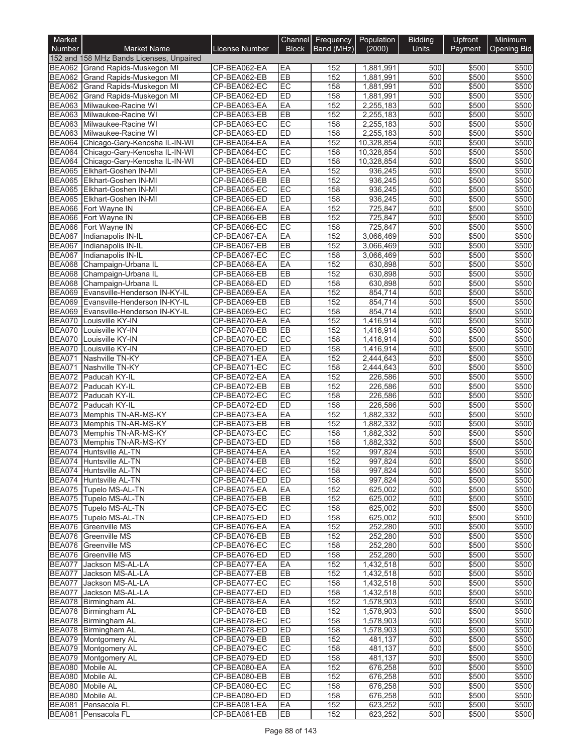| Market                         |                                                             |                              |                 | Channel Frequency Population |                        | <b>Bidding</b> | Upfront        | Minimum        |
|--------------------------------|-------------------------------------------------------------|------------------------------|-----------------|------------------------------|------------------------|----------------|----------------|----------------|
| <b>Number</b>                  | <b>Market Name</b>                                          | License Number               | <b>Block</b>    | Band (MHz)                   | (2000)                 | Units          | Payment        | Opening Bid    |
|                                | 152 and 158 MHz Bands Licenses, Unpaired                    |                              |                 |                              |                        |                |                |                |
|                                | BEA062 Grand Rapids-Muskegon MI                             | CP-BEA062-EA                 | EA              | 152                          | 1,881,991              | 500            | \$500          | \$500          |
| <b>BEA062</b><br><b>BEA062</b> | Grand Rapids-Muskegon MI<br>Grand Rapids-Muskegon MI        | CP-BEA062-EB<br>CP-BEA062-EC | EB<br>EC        | 152<br>158                   | 1,881,991<br>1,881,991 | 500<br>500     | \$500<br>\$500 | \$500<br>\$500 |
| <b>BEA062</b>                  | Grand Rapids-Muskegon MI                                    | CP-BEA062-ED                 | ED              | 158                          | 1,881,991              | 500            | \$500          | \$500          |
|                                | BEA063 Milwaukee-Racine WI                                  | CP-BEA063-EA                 | EA              | 152                          | 2,255,183              | 500            | \$500          | \$500          |
| <b>BEA063</b>                  | Milwaukee-Racine WI                                         | CP-BEA063-EB                 | EB              | 152                          | 2,255,183              | 500            | \$500          | \$500          |
| <b>BEA063</b>                  | Milwaukee-Racine WI                                         | CP-BEA063-EC                 | EC              | 158                          | 2,255,183              | 500            | \$500          | \$500          |
|                                | BEA063 Milwaukee-Racine WI                                  | CP-BEA063-ED                 | ED              | 158                          | 2,255,183              | 500            | \$500          | \$500          |
| <b>BEA064</b>                  | Chicago-Gary-Kenosha IL-IN-WI                               | CP-BEA064-EA                 | EA              | 152                          | 10,328,854             | 500            | \$500          | \$500          |
|                                | BEA064 Chicago-Gary-Kenosha IL-IN-WI                        | CP-BEA064-EC                 | EC              | 158                          | 10,328,854             | 500            | \$500          | \$500          |
|                                | BEA064 Chicago-Gary-Kenosha IL-IN-WI                        | CP-BEA064-ED                 | ED              | 158                          | 10,328,854             | 500            | \$500          | \$500          |
|                                | BEA065 Elkhart-Goshen IN-MI                                 | CP-BEA065-EA                 | EA              | 152                          | 936,245                | 500            | \$500          | \$500          |
|                                | BEA065 Elkhart-Goshen IN-MI<br>BEA065 Elkhart-Goshen IN-MI  | CP-BEA065-EB<br>CP-BEA065-EC | EB<br>EC        | 152<br>158                   | 936,245<br>936,245     | 500<br>500     | \$500<br>\$500 | \$500<br>\$500 |
|                                | BEA065 Elkhart-Goshen IN-MI                                 | CP-BEA065-ED                 | ED              | 158                          | 936,245                | 500            | \$500          | \$500          |
|                                | BEA066 Fort Wayne IN                                        | CP-BEA066-EA                 | EA              | 152                          | 725,847                | 500            | \$500          | \$500          |
|                                | BEA066 Fort Wayne IN                                        | CP-BEA066-EB                 | EB              | 152                          | 725,847                | 500            | \$500          | \$500          |
|                                | BEA066 Fort Wayne IN                                        | CP-BEA066-EC                 | EC              | 158                          | 725,847                | 500            | \$500          | \$500          |
|                                | BEA067 Indianapolis IN-IL                                   | CP-BEA067-EA                 | EA              | 152                          | 3,066,469              | 500            | \$500          | \$500          |
| <b>BEA067</b>                  | Indianapolis IN-IL                                          | CP-BEA067-EB                 | EB              | 152                          | 3,066,469              | 500            | \$500          | \$500          |
| <b>BEA067</b>                  | Indianapolis IN-IL                                          | CP-BEA067-EC                 | EC              | 158                          | 3,066,469              | 500            | \$500          | \$500          |
|                                | BEA068 Champaign-Urbana IL                                  | CP-BEA068-EA                 | EA              | 152                          | 630,898                | 500            | \$500          | \$500          |
| <b>BEA068</b><br>BEA068        | Champaign-Urbana IL                                         | CP-BEA068-EB<br>CP-BEA068-ED | EB<br>ED        | 152<br>158                   | 630,898<br>630,898     | 500<br>500     | \$500<br>\$500 | \$500<br>\$500 |
|                                | Champaign-Urbana IL<br>BEA069 Evansville-Henderson IN-KY-IL | CP-BEA069-EA                 | EA              | 152                          | 854,714                | 500            | \$500          | \$500          |
| <b>BEA069</b>                  | Evansville-Henderson IN-KY-IL                               | CP-BEA069-EB                 | EB              | 152                          | 854,714                | 500            | \$500          | \$500          |
| BEA069                         | Evansville-Henderson IN-KY-IL                               | CP-BEA069-EC                 | EC              | 158                          | 854,714                | 500            | \$500          | \$500          |
| <b>BEA070</b>                  | Louisville KY-IN                                            | CP-BEA070-EA                 | EA              | 152                          | 1,416,914              | 500            | \$500          | \$500          |
|                                | BEA070 Louisville KY-IN                                     | CP-BEA070-EB                 | EB              | 152                          | 1,416,914              | 500            | \$500          | \$500          |
| BEA070                         | Louisville KY-IN                                            | CP-BEA070-EC                 | EC              | 158                          | 1,416,914              | 500            | \$500          | \$500          |
| <b>BEA070</b>                  | Louisville KY-IN                                            | CP-BEA070-ED                 | ED              | 158                          | 1,416,914              | 500            | \$500          | \$500          |
| <b>BEA071</b>                  | Nashville TN-KY                                             | CP-BEA071-EA                 | EA              | 152                          | 2,444,643              | 500            | \$500          | \$500          |
| <b>BEA071</b>                  | Nashville TN-KY                                             | CP-BEA071-EC                 | EC              | 158                          | 2,444,643              | 500            | \$500          | \$500          |
|                                | BEA072 Paducah KY-IL<br>BEA072 Paducah KY-IL                | CP-BEA072-EA<br>CP-BEA072-EB | EA<br>EB        | 152<br>152                   | 226,586<br>226,586     | 500<br>500     | \$500<br>\$500 | \$500<br>\$500 |
|                                | BEA072 Paducah KY-IL                                        | CP-BEA072-EC                 | EC              | 158                          | 226,586                | 500            | \$500          | \$500          |
|                                | BEA072 Paducah KY-IL                                        | CP-BEA072-ED                 | ED              | 158                          | 226,586                | 500            | \$500          | \$500          |
|                                | BEA073 Memphis TN-AR-MS-KY                                  | CP-BEA073-EA                 | EA              | 152                          | 1,882,332              | 500            | \$500          | \$500          |
|                                | BEA073 Memphis TN-AR-MS-KY                                  | CP-BEA073-EB                 | EB              | 152                          | 1,882,332              | 500            | \$500          | \$500          |
|                                | BEA073 Memphis TN-AR-MS-KY                                  | CP-BEA073-EC                 | EC              | 158                          | 1,882,332              | 500            | \$500          | \$500          |
|                                | BEA073 Memphis TN-AR-MS-KY                                  | CP-BEA073-ED                 | ED              | 158                          | 1,882,332              | 500            | \$500          | \$500          |
|                                | <b>BEA074</b> Huntsville AL-TN                              | CP-BEA074-EA                 | EA              | 152                          | 997,824                | 500            | \$500          | \$500          |
|                                | BEA074 Huntsville AL-TN                                     | CP-BEA074-EB                 | ER              | 152                          | 997,824                | 500            | \$500          | \$500          |
|                                | BEA074 Huntsville AL-TN<br>BEA074 Huntsville AL-TN          | CP-BEA074-EC<br>CP-BEA074-ED | EC<br><b>ED</b> | 158<br>158                   | 997,824<br>997,824     | 500<br>500     | \$500<br>\$500 | \$500<br>\$500 |
|                                | BEA075 Tupelo MS-AL-TN                                      | CP-BEA075-EA                 | EA              | 152                          | 625.002                | 500            | \$500          | \$500          |
|                                | BEA075 Tupelo MS-AL-TN                                      | CP-BEA075-EB                 | EB              | 152                          | 625,002                | 500            | \$500          | \$500          |
|                                | BEA075 Tupelo MS-AL-TN                                      | CP-BEA075-EC                 | EC              | 158                          | 625,002                | 500            | \$500          | \$500          |
|                                | BEA075 Tupelo MS-AL-TN                                      | CP-BEA075-ED                 | <b>ED</b>       | 158                          | 625,002                | 500            | \$500          | \$500          |
|                                | BEA076 Greenville MS                                        | CP-BEA076-EA                 | EA              | 152                          | 252,280                | 500            | \$500          | \$500          |
|                                | BEA076 Greenville MS                                        | CP-BEA076-EB                 | <b>EB</b>       | 152                          | 252,280                | 500            | \$500          | \$500          |
|                                | BEA076 Greenville MS                                        | CP-BEA076-EC                 | EC              | 158                          | 252,280                | 500            | \$500          | \$500          |
|                                | BEA076 Greenville MS                                        | CP-BEA076-ED                 | <b>ED</b>       | 158                          | 252,280                | 500            | \$500          | \$500          |
|                                | BEA077 Jackson MS-AL-LA                                     | CP-BEA077-EA<br>CP-BEA077-EB | EA<br>EB        | 152                          | 1,432,518              | 500            | \$500<br>\$500 | \$500<br>\$500 |
|                                | BEA077 Jackson MS-AL-LA<br>BEA077 Jackson MS-AL-LA          | CP-BEA077-EC                 | EC              | 152<br>158                   | 1,432,518<br>1,432,518 | 500<br>500     | \$500          | \$500          |
|                                | BEA077 Jackson MS-AL-LA                                     | CP-BEA077-ED                 | <b>ED</b>       | 158                          | 1,432,518              | 500            | \$500          | \$500          |
|                                | BEA078 Birmingham AL                                        | CP-BEA078-EA                 | EA              | 152                          | 1,578,903              | 500            | \$500          | \$500          |
|                                | BEA078 Birmingham AL                                        | CP-BEA078-EB                 | EB              | 152                          | 1,578,903              | 500            | \$500          | \$500          |
|                                | BEA078 Birmingham AL                                        | CP-BEA078-EC                 | EC              | 158                          | 1,578,903              | 500            | \$500          | \$500          |
|                                | BEA078 Birmingham AL                                        | CP-BEA078-ED                 | ED              | 158                          | 1,578,903              | 500            | \$500          | \$500          |
|                                | BEA079 Montgomery AL                                        | CP-BEA079-EB                 | EB              | 152                          | 481,137                | 500            | \$500          | \$500          |
|                                | BEA079 Montgomery AL                                        | CP-BEA079-EC                 | EC              | 158                          | 481,137                | 500            | \$500          | \$500          |
|                                | BEA079 Montgomery AL                                        | CP-BEA079-ED                 | <b>ED</b>       | 158                          | 481,137                | 500            | \$500          | \$500          |
|                                | BEA080 Mobile AL<br>BEA080 Mobile AL                        | CP-BEA080-EA<br>CP-BEA080-EB | EA<br>EB        | 152<br>152                   | 676,258<br>676,258     | 500<br>500     | \$500<br>\$500 | \$500<br>\$500 |
|                                | BEA080 Mobile AL                                            | CP-BEA080-EC                 | EC              | 158                          | 676,258                | 500            | \$500          | \$500          |
|                                | BEA080 Mobile AL                                            | CP-BEA080-ED                 | ED              | 158                          | 676,258                | 500            | \$500          | \$500          |
|                                | BEA081 Pensacola FL                                         | CP-BEA081-EA                 | EA              | 152                          | 623,252                | 500            | \$500          | \$500          |
|                                | BEA081 Pensacola FL                                         | CP-BEA081-EB                 | EB              | 152                          | 623,252                | 500            | \$500          | \$500          |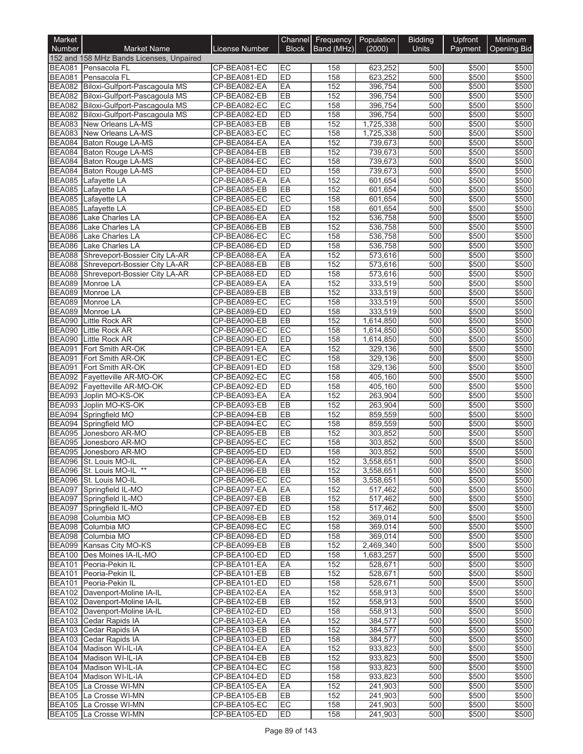| Market                         |                                                                 |                              |                 | Channel Frequency Population |                        | <b>Bidding</b> | Upfront        | Minimum               |
|--------------------------------|-----------------------------------------------------------------|------------------------------|-----------------|------------------------------|------------------------|----------------|----------------|-----------------------|
| Number                         | <b>Market Name</b>                                              | License Number               | <b>Block</b>    | Band (MHz)                   | (2000)                 | <b>Units</b>   |                | Payment   Opening Bid |
|                                | 152 and 158 MHz Bands Licenses, Unpaired<br>BEA081 Pensacola FL | CP-BEA081-EC                 | EC              | 158                          | 623,252                | 500            | \$500          | \$500                 |
| <b>BEA081</b>                  | Pensacola FL                                                    | CP-BEA081-ED                 | ED              | 158                          | 623,252                | 500            | \$500          | \$500                 |
|                                | BEA082 Biloxi-Gulfport-Pascagoula MS                            | CP-BEA082-EA                 | EA              | 152                          | 396,754                | 500            | \$500          | \$500                 |
|                                | BEA082 Biloxi-Gulfport-Pascagoula MS                            | CP-BEA082-EB                 | EB              | 152                          | 396,754                | 500            | \$500          | \$500                 |
|                                | BEA082 Biloxi-Gulfport-Pascagoula MS                            | CP-BEA082-EC                 | EC              | 158                          | 396,754                | 500            | \$500          | \$500                 |
|                                | BEA082 Biloxi-Gulfport-Pascagoula MS                            | CP-BEA082-ED                 | ED              | 158                          | 396,754                | 500            | \$500          | \$500                 |
| <b>BEA083</b>                  | New Orleans LA-MS                                               | CP-BEA083-EB                 | EB              | 152                          | 1,725,338              | 500            | \$500          | \$500                 |
| <b>BEA083</b>                  | New Orleans LA-MS                                               | CP-BEA083-EC                 | EC              | 158                          | 1,725,338              | 500            | \$500          | \$500                 |
| <b>BEA084</b>                  | Baton Rouge LA-MS                                               | CP-BEA084-EA                 | EA              | 152                          | 739,673                | 500            | \$500          | \$500                 |
|                                | BEA084 Baton Rouge LA-MS<br>BEA084 Baton Rouge LA-MS            | CP-BEA084-EB<br>CP-BEA084-EC | EB<br>EC        | 152<br>158                   | 739,673                | 500<br>500     | \$500<br>\$500 | \$500<br>\$500        |
| <b>BEA084</b>                  | <b>Baton Rouge LA-MS</b>                                        | CP-BEA084-ED                 | ED              | 158                          | 739,673<br>739,673     | 500            | \$500          | \$500                 |
| <b>BEA085</b>                  | Lafayette LA                                                    | CP-BEA085-EA                 | EA              | 152                          | 601,654                | 500            | \$500          | \$500                 |
| <b>BEA085</b>                  | Lafayette LA                                                    | CP-BEA085-EB                 | EB              | 152                          | 601,654                | 500            | \$500          | \$500                 |
| <b>BEA085</b>                  | Lafayette LA                                                    | CP-BEA085-EC                 | EC              | 158                          | 601,654                | 500            | \$500          | \$500                 |
| <b>BEA085</b>                  | Lafayette LA                                                    | CP-BEA085-ED                 | ED              | 158                          | 601,654                | 500            | \$500          | \$500                 |
| <b>BEA086</b>                  | Lake Charles LA                                                 | CP-BEA086-EA                 | EA              | 152                          | 536,758                | 500            | \$500          | \$500                 |
| <b>BEA086</b>                  | Lake Charles LA                                                 | CP-BEA086-EB                 | EB              | 152                          | 536,758                | 500            | \$500          | \$500                 |
| <b>BEA086</b>                  | Lake Charles LA                                                 | CP-BEA086-EC                 | EC              | 158                          | 536.758                | 500            | \$500          | \$500                 |
| <b>BEA086</b>                  | Lake Charles LA                                                 | CP-BEA086-ED                 | ED              | 158                          | 536,758                | 500            | \$500          | \$500                 |
| <b>BEA088</b>                  | Shreveport-Bossier City LA-AR                                   | CP-BEA088-EA                 | EA              | 152                          | 573,616                | 500            | \$500          | \$500                 |
| <b>BEA088</b><br><b>BEA088</b> | Shreveport-Bossier City LA-AR<br>Shreveport-Bossier City LA-AR  | CP-BEA088-EB<br>CP-BEA088-ED | EB<br>ED        | 152<br>158                   | 573,616<br>573,616     | 500<br>500     | \$500<br>\$500 | \$500<br>\$500        |
| <b>BEA089</b>                  | Monroe LA                                                       | CP-BEA089-EA                 | EA              | 152                          | 333,519                | 500            | \$500          | \$500                 |
| <b>BEA089</b>                  | Monroe LA                                                       | CP-BEA089-EB                 | EB              | 152                          | 333,519                | 500            | \$500          | \$500                 |
| <b>BEA089</b>                  | Monroe LA                                                       | CP-BEA089-EC                 | EC              | 158                          | 333,519                | 500            | \$500          | \$500                 |
| <b>BEA089</b>                  | Monroe LA                                                       | CP-BEA089-ED                 | ED              | 158                          | 333,519                | 500            | \$500          | \$500                 |
| <b>BEA090</b>                  | Little Rock AR                                                  | CP-BEA090-EB                 | EB              | 152                          | 1,614,850              | 500            | \$500          | \$500                 |
| <b>BEA090</b>                  | Little Rock AR                                                  | CP-BEA090-EC                 | EC              | 158                          | 1,614,850              | 500            | \$500          | \$500                 |
| <b>BEA090</b>                  | <b>Little Rock AR</b>                                           | CP-BEA090-ED                 | ED              | 158                          | 1,614,850              | 500            | \$500          | \$500                 |
| <b>BEA091</b>                  | Fort Smith AR-OK                                                | CP-BEA091-EA                 | EA              | 152                          | 329,136                | 500            | \$500          | \$500                 |
| <b>BEA091</b>                  | Fort Smith AR-OK                                                | CP-BEA091-EC                 | EC              | 158                          | 329,136                | 500            | \$500          | \$500                 |
| <b>BEA091</b><br><b>BEA092</b> | Fort Smith AR-OK                                                | CP-BEA091-ED                 | ED<br>EC        | 158                          | 329,136<br>405,160     | 500<br>500     | \$500          | \$500                 |
| <b>BEA092</b>                  | Fayetteville AR-MO-OK<br>Fayetteville AR-MO-OK                  | CP-BEA092-EC<br>CP-BEA092-ED | ED              | 158<br>158                   | 405,160                | 500            | \$500<br>\$500 | \$500<br>\$500        |
| <b>BEA093</b>                  | Joplin MO-KS-OK                                                 | CP-BEA093-EA                 | EA              | 152                          | 263,904                | 500            | \$500          | \$500                 |
| <b>BEA093</b>                  | Joplin MO-KS-OK                                                 | CP-BEA093-EB                 | EB              | 152                          | 263,904                | 500            | \$500          | \$500                 |
| <b>BEA094</b>                  | Springfield MO                                                  | CP-BEA094-EB                 | EB              | 152                          | 859,559                | 500            | \$500          | \$500                 |
| <b>BEA094</b>                  | Springfield MO                                                  | CP-BEA094-EC                 | EC              | 158                          | 859,559                | 500            | \$500          | \$500                 |
| <b>BEA095</b>                  | Jonesboro AR-MO                                                 | CP-BEA095-EB                 | EB              | 152                          | 303,852                | 500            | \$500          | \$500                 |
| <b>BEA095</b>                  | Jonesboro AR-MO                                                 | CP-BEA095-EC                 | EC              | 158                          | 303,852                | 500            | \$500          | \$500                 |
| <b>BEA095</b>                  | Jonesboro AR-MO                                                 | CP-BEA095-ED                 | ED              | 158                          | 303,852                | 500            | \$500          | \$500                 |
|                                | BEA096 St. Louis MO-IL<br>BEA096 St. Louis MO-IL **             | CP-BEA096-EA                 | IEA             | 152                          | 3,558,651              | 500            | \$500          | \$500                 |
|                                | BEA096 St. Louis MO-IL                                          | CP-BEA096-EB<br>CP-BEA096-EC | EB<br>EC        | 152<br>158                   | 3,558,651<br>3,558,651 | 500<br>500     | \$500<br>\$500 | \$500<br>\$500        |
|                                | BEA097 Springfield IL-MO                                        | CP-BEA097-EA                 | EA              | 152                          | 517,462                | 500            | \$500          | \$500                 |
|                                | BEA097 Springfield IL-MO                                        | CP-BEA097-EB                 | EB              | 152                          | 517,462                | 500            | \$500          | \$500                 |
|                                | BEA097 Springfield IL-MO                                        | CP-BEA097-ED                 | ED              | 158                          | 517,462                | 500            | \$500          | \$500                 |
| <b>BEA098</b>                  | Columbia MO                                                     | CP-BEA098-EB                 | EB              | 152                          | 369,014                | 500            | \$500          | \$500                 |
|                                | BEA098 Columbia MO                                              | CP-BEA098-EC                 | EC              | 158                          | 369.014                | 500            | \$500          | \$500                 |
|                                | BEA098 Columbia MO                                              | CP-BEA098-ED                 | ED              | 158                          | 369.014                | 500            | \$500          | \$500                 |
|                                | BEA099 Kansas City MO-KS                                        | CP-BEA099-EB                 | EB              | 152                          | 2,469,340              | 500            | \$500          | \$500                 |
|                                | BEA100 Des Moines IA-IL-MO                                      | CP-BEA100-ED                 | ED              | 158                          | 1,683,257              | 500            | \$500          | \$500                 |
|                                | BEA101 Peoria-Pekin IL<br>BEA101 Peoria-Pekin IL                | CP-BEA101-EA                 | EA              | 152                          | 528,671                | 500            | \$500          | \$500                 |
|                                | BEA101 Peoria-Pekin IL                                          | CP-BEA101-EB<br>CP-BEA101-ED | EB<br><b>ED</b> | 152<br>158                   | 528,671<br>528,671     | 500<br>500     | \$500<br>\$500 | \$500<br>\$500        |
|                                | BEA102 Davenport-Moline IA-IL                                   | CP-BEA102-EA                 | EA              | 152                          | 558,913                | 500            | \$500          | \$500                 |
|                                | BEA102 Davenport-Moline IA-IL                                   | CP-BEA102-EB                 | EB              | 152                          | 558,913                | 500            | \$500          | \$500                 |
|                                | BEA102 Davenport-Moline IA-IL                                   | CP-BEA102-ED                 | ED              | 158                          | 558,913                | 500            | \$500          | \$500                 |
|                                | BEA103 Cedar Rapids IA                                          | CP-BEA103-EA                 | EA              | 152                          | 384,577                | 500            | \$500          | \$500                 |
|                                | BEA103 Cedar Rapids IA                                          | CP-BEA103-EB                 | EB              | 152                          | 384,577                | 500            | \$500          | \$500                 |
|                                | BEA103 Cedar Rapids IA                                          | CP-BEA103-ED                 | <b>ED</b>       | 158                          | 384,577                | 500            | \$500          | \$500                 |
|                                | BEA104 Madison WI-IL-IA                                         | CP-BEA104-EA                 | EA              | 152                          | 933,823                | 500            | \$500          | \$500                 |
|                                | BEA104 Madison WI-IL-IA                                         | CP-BEA104-EB                 | EB              | 152                          | 933,823                | 500            | \$500          | \$500                 |
|                                | BEA104 Madison WI-IL-IA                                         | CP-BEA104-EC                 | EC              | 158                          | 933,823                | 500            | \$500          | \$500                 |
|                                | BEA104 Madison WI-IL-IA                                         | CP-BEA104-ED                 | ED              | 158                          | 933,823                | 500            | \$500          | \$500                 |
|                                | BEA105 La Crosse WI-MN<br>BEA105 La Crosse WI-MN                | CP-BEA105-EA<br>CP-BEA105-EB | EA<br>EB        | 152<br>152                   | 241,903<br>241,903     | 500<br>500     | \$500<br>\$500 | \$500<br>\$500        |
|                                | BEA105 La Crosse WI-MN                                          | CP-BEA105-EC                 | EC              | 158                          | 241,903                | 500            | \$500          | \$500                 |
|                                | BEA105 La Crosse WI-MN                                          | CP-BEA105-ED                 | <b>ED</b>       | 158                          | 241,903                | 500            | \$500          | \$500                 |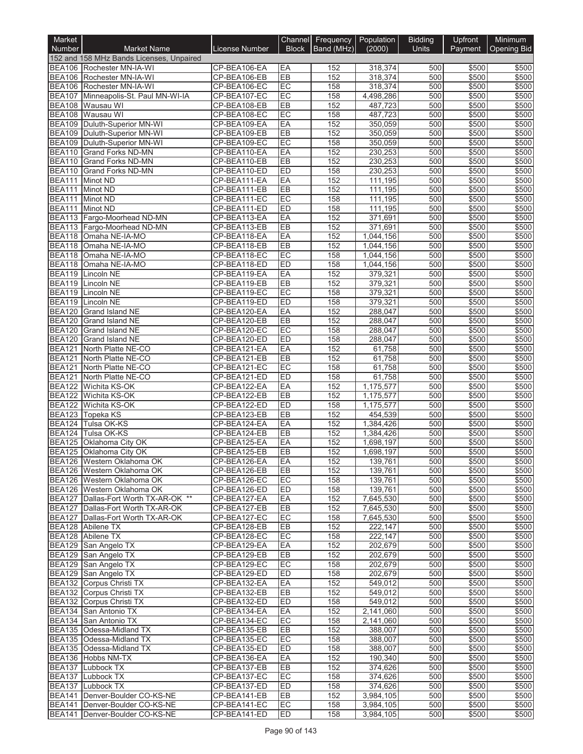| Market        |                                                                       |                              |                 | Channel Frequency Population |                        | <b>Bidding</b> | Upfront        | Minimum               |
|---------------|-----------------------------------------------------------------------|------------------------------|-----------------|------------------------------|------------------------|----------------|----------------|-----------------------|
| <b>Number</b> | <b>Market Name</b>                                                    | License Number               | <b>Block</b>    | Band (MHz)                   | (2000)                 | <b>Units</b>   |                | Payment   Opening Bid |
|               | 152 and 158 MHz Bands Licenses, Unpaired<br>BEA106 Rochester MN-IA-WI | CP-BEA106-EA                 | EA              | 152                          | 318,374                | 500            | \$500          | \$500                 |
|               | BEA106 Rochester MN-IA-WI                                             | CP-BEA106-EB                 | EB              | 152                          | 318,374                | 500            | \$500          | \$500                 |
|               | BEA106 Rochester MN-IA-WI                                             | CP-BEA106-EC                 | EC              | 158                          | 318,374                | 500            | \$500          | \$500                 |
| <b>BEA107</b> | Minneapolis-St. Paul MN-WI-IA                                         | CP-BEA107-EC                 | EC              | 158                          | 4,498,286              | 500            | \$500          | \$500                 |
|               | BEA108 Wausau WI                                                      | CP-BEA108-EB                 | EB              | 152                          | 487,723                | 500            | \$500          | \$500                 |
|               | BEA108 Wausau WI                                                      | CP-BEA108-EC                 | EC              | 158                          | 487,723                | 500            | \$500          | \$500                 |
|               | BEA109 Duluth-Superior MN-WI                                          | CP-BEA109-EA                 | EA              | 152                          | 350,059                | 500            | \$500          | \$500                 |
|               | BEA109 Duluth-Superior MN-WI                                          | CP-BEA109-EB                 | EB              | 152                          | 350,059                | 500            | \$500          | \$500                 |
|               | BEA109 Duluth-Superior MN-WI                                          | CP-BEA109-EC                 | EC              | 158                          | 350,059                | 500            | \$500          | \$500                 |
| <b>BEA110</b> | BEA110 Grand Forks ND-MN<br><b>Grand Forks ND-MN</b>                  | CP-BEA110-EA<br>CP-BEA110-EB | EA<br>EB        | 152<br>152                   | 230.253                | 500<br>500     | \$500<br>\$500 | \$500<br>\$500        |
| <b>BEA110</b> | <b>Grand Forks ND-MN</b>                                              | CP-BEA110-ED                 | ED              | 158                          | 230,253<br>230,253     | 500            | \$500          | \$500                 |
| BEA111        | Minot ND                                                              | CP-BEA111-EA                 | EA              | 152                          | 111,195                | 500            | \$500          | \$500                 |
|               | BEA111 Minot ND                                                       | CP-BEA111-EB                 | EB              | 152                          | 111,195                | 500            | \$500          | \$500                 |
|               | BEA111 Minot ND                                                       | CP-BEA111-EC                 | EC              | 158                          | 111,195                | 500            | \$500          | \$500                 |
|               | BEA111 Minot ND                                                       | CP-BEA111-ED                 | ED              | 158                          | 111,195                | 500            | \$500          | \$500                 |
|               | BEA113 Fargo-Moorhead ND-MN                                           | CP-BEA113-EA                 | EA              | 152                          | 371,691                | 500            | \$500          | \$500                 |
|               | BEA113 Fargo-Moorhead ND-MN                                           | CP-BEA113-EB                 | EB              | 152                          | 371,691                | 500            | \$500          | \$500                 |
|               | BEA118 Omaha NE-IA-MO                                                 | CP-BEA118-EA                 | EA              | 152                          | 1,044,156              | 500            | \$500          | \$500                 |
|               | BEA118 Omaha NE-IA-MO                                                 | CP-BEA118-EB                 | EB              | 152                          | 1,044,156              | 500            | \$500          | \$500                 |
|               | BEA118 Omaha NE-IA-MO                                                 | CP-BEA118-EC                 | EC              | 158                          | 1,044,156              | 500            | \$500          | \$500                 |
|               | BEA118 Omaha NE-IA-MO<br>BEA119 Lincoln NE                            | CP-BEA118-ED<br>CP-BEA119-EA | ED<br>EA        | 158<br>152                   | 1,044,156<br>379,321   | 500<br>500     | \$500<br>\$500 | \$500<br>\$500        |
|               | BEA119 Lincoln NE                                                     | CP-BEA119-EB                 | EB              | 152                          | 379,321                | 500            | \$500          | \$500                 |
|               | BEA119 Lincoln NE                                                     | CP-BEA119-EC                 | EC              | 158                          | 379,321                | 500            | \$500          | \$500                 |
|               | BEA119 Lincoln NE                                                     | CP-BEA119-ED                 | ED              | 158                          | 379,321                | 500            | \$500          | \$500                 |
|               | BEA120 Grand Island NE                                                | CP-BEA120-EA                 | EA              | 152                          | 288,047                | 500            | \$500          | \$500                 |
| <b>BEA120</b> | Grand Island NE                                                       | CP-BEA120-EB                 | EB              | 152                          | 288,047                | 500            | \$500          | \$500                 |
| <b>BEA120</b> | <b>Grand Island NE</b>                                                | CP-BEA120-EC                 | EC              | 158                          | 288,047                | 500            | \$500          | \$500                 |
| <b>BEA120</b> | Grand Island NE                                                       | CP-BEA120-ED                 | ED              | 158                          | 288,047                | 500            | \$500          | \$500                 |
| <b>BEA121</b> | North Platte NE-CO                                                    | CP-BEA121-EA                 | EA              | 152                          | 61,758                 | 500            | \$500          | \$500                 |
| <b>BEA121</b> | North Platte NE-CO                                                    | CP-BEA121-EB                 | EB              | 152                          | 61,758                 | 500            | \$500          | \$500                 |
| <b>BEA121</b> | North Platte NE-CO                                                    | CP-BEA121-EC                 | EC              | 158                          | 61,758                 | 500            | \$500          | \$500                 |
| <b>BEA121</b> | North Platte NE-CO<br>BEA122 Wichita KS-OK                            | CP-BEA121-ED<br>CP-BEA122-EA | ED<br>EA        | 158<br>152                   | 61,758<br>1,175,577    | 500<br>500     | \$500<br>\$500 | \$500<br>\$500        |
| <b>BEA122</b> | Wichita KS-OK                                                         | CP-BEA122-EB                 | EB              | 152                          | 1,175,577              | 500            | \$500          | \$500                 |
| <b>BEA122</b> | Wichita KS-OK                                                         | CP-BEA122-ED                 | ED              | 158                          | 1,175,577              | 500            | \$500          | \$500                 |
|               | BEA123 Topeka KS                                                      | CP-BEA123-EB                 | EB              | 152                          | 454,539                | 500            | \$500          | \$500                 |
|               | BEA124 Tulsa OK-KS                                                    | CP-BEA124-EA                 | EA              | 152                          | 1,384,426              | 500            | \$500          | \$500                 |
| <b>BEA124</b> | Tulsa OK-KS                                                           | CP-BEA124-EB                 | EB              | 152                          | 1,384,426              | 500            | \$500          | \$500                 |
| <b>BEA125</b> | Oklahoma City OK                                                      | CP-BEA125-EA                 | EA              | 152                          | 1,698,197              | 500            | \$500          | \$500                 |
|               | BEA125 Oklahoma City OK                                               | CP-BEA125-EB                 | EB              | 152                          | 1,698,197              | 500            | \$500          | \$500                 |
|               | BEA126   Western Oklahoma OK                                          | CP-BEA126-EA                 | IEA             | 152                          | 139,761                | 500            | \$500          | \$500                 |
|               | BEA126 Western Oklahoma OK<br>BEA126 Western Oklahoma OK              | CP-BEA126-EB                 | EB<br>EC        | 152                          | 139,761                | 500            | \$500          | \$500<br>\$500        |
|               | BEA126 Western Oklahoma OK                                            | CP-BEA126-EC<br>CP-BEA126-ED | <b>ED</b>       | 158<br>158                   | 139,761<br>139,761     | 500<br>500     | \$500<br>\$500 | \$500                 |
|               | BEA127 Dallas-Fort Worth TX-AR-OK **                                  | CP-BEA127-EA                 | EA              | 152                          | 7,645,530              | 500            | \$500          | \$500                 |
|               | BEA127 Dallas-Fort Worth TX-AR-OK                                     | CP-BEA127-EB                 | EB              | 152                          | 7,645,530              | 500            | \$500          | \$500                 |
|               | BEA127 Dallas-Fort Worth TX-AR-OK                                     | CP-BEA127-EC                 | EC              | 158                          | 7,645,530              | 500            | \$500          | \$500                 |
|               | BEA128 Abilene TX                                                     | CP-BEA128-EB                 | EB              | 152                          | 222,147                | 500            | \$500          | \$500                 |
|               | BEA128 Abilene TX                                                     | CP-BEA128-EC                 | EC              | 158                          | 222,147                | 500            | \$500          | \$500                 |
|               | BEA129 San Angelo TX                                                  | CP-BEA129-EA                 | EA              | 152                          | 202,679                | 500            | \$500          | \$500                 |
|               | BEA129 San Angelo TX                                                  | CP-BEA129-EB                 | EB              | 152                          | 202,679                | 500            | \$500          | \$500                 |
|               | BEA129 San Angelo TX                                                  | CP-BEA129-EC                 | EC              | 158                          | 202,679                | 500            | \$500          | \$500                 |
|               | BEA129 San Angelo TX                                                  | CP-BEA129-ED                 | <b>ED</b>       | 158                          | 202,679                | 500            | \$500          | \$500                 |
|               | BEA132 Corpus Christi TX<br>BEA132 Corpus Christi TX                  | CP-BEA132-EA<br>CP-BEA132-EB | EA<br><b>EB</b> | 152<br>152                   | 549,012<br>549,012     | 500<br>500     | \$500<br>\$500 | \$500<br>\$500        |
|               | BEA132 Corpus Christi TX                                              | CP-BEA132-ED                 | ED              | 158                          | 549,012                | 500            | \$500          | \$500                 |
|               | BEA134 San Antonio TX                                                 | CP-BEA134-EA                 | EA              | 152                          | 2,141,060              | 500            | \$500          | \$500                 |
|               | BEA134 San Antonio TX                                                 | CP-BEA134-EC                 | EC              | 158                          | 2,141,060              | 500            | \$500          | \$500                 |
|               | BEA135 Odessa-Midland TX                                              | CP-BEA135-EB                 | EB              | 152                          | 388,007                | 500            | \$500          | \$500                 |
|               | BEA135   Odessa-Midland TX                                            | CP-BEA135-EC                 | EC              | 158                          | 388,007                | 500            | \$500          | \$500                 |
|               | BEA135 Odessa-Midland TX                                              | CP-BEA135-ED                 | <b>ED</b>       | 158                          | 388,007                | 500            | \$500          | \$500                 |
|               | BEA136 Hobbs NM-TX                                                    | CP-BEA136-EA                 | <b>EA</b>       | 152                          | 190,340                | 500            | \$500          | \$500                 |
|               | BEA137 Lubbock TX                                                     | CP-BEA137-EB                 | EB              | 152                          | 374,626                | 500            | \$500          | \$500                 |
|               | BEA137 Lubbock TX                                                     | CP-BEA137-EC                 | EC              | 158                          | 374,626                | 500            | \$500          | \$500                 |
|               | BEA137 Lubbock TX                                                     | CP-BEA137-ED                 | ED              | 158                          | 374,626                | 500            | \$500          | \$500                 |
|               | BEA141 Denver-Boulder CO-KS-NE<br>BEA141 Denver-Boulder CO-KS-NE      | CP-BEA141-EB<br>CP-BEA141-EC | <b>EB</b><br>EC | 152<br>158                   | 3,984,105<br>3,984,105 | 500<br>500     | \$500<br>\$500 | \$500<br>\$500        |
|               | BEA141 Denver-Boulder CO-KS-NE                                        | CP-BEA141-ED                 | ED              | 158                          | 3,984,105              | 500            | \$500          | \$500                 |
|               |                                                                       |                              |                 |                              |                        |                |                |                       |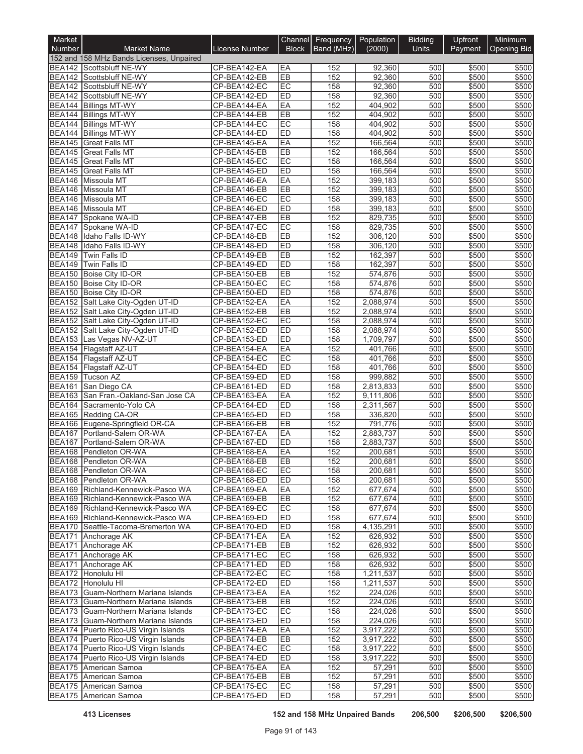| Market                         |                                                                        |                              |                 | Channel Frequency Population |                        | <b>Bidding</b> | Upfront        | Minimum        |
|--------------------------------|------------------------------------------------------------------------|------------------------------|-----------------|------------------------------|------------------------|----------------|----------------|----------------|
| Number                         | <b>Market Name</b>                                                     | License Number               | <b>Block</b>    | Band (MHz)                   | (2000)                 | <b>Units</b>   | Payment        | Opening Bid    |
|                                | 152 and 158 MHz Bands Licenses, Unpaired<br>BEA142 Scottsbluff NE-WY   | CP-BEA142-EA                 | EA              | 152                          | 92,360                 | 500            | \$500          | \$500          |
|                                | BEA142 Scottsbluff NE-WY                                               | CP-BEA142-EB                 | EB              | 152                          | 92,360                 | 500            | \$500          | \$500          |
|                                | BEA142 Scottsbluff NE-WY                                               | CP-BEA142-EC                 | EC              | 158                          | 92,360                 | 500            | \$500          | \$500          |
|                                | BEA142 Scottsbluff NE-WY                                               | CP-BEA142-ED                 | ED              | 158                          | 92,360                 | 500            | \$500          | \$500          |
|                                | BEA144 Billings MT-WY                                                  | CP-BEA144-EA                 | EA              | 152                          | 404,902                | 500            | \$500          | \$500          |
|                                | BEA144 Billings MT-WY                                                  | CP-BEA144-EB                 | EB              | 152                          | 404,902                | 500            | \$500          | \$500          |
|                                | BEA144 Billings MT-WY                                                  | CP-BEA144-EC                 | EC              | 158                          | 404,902                | 500            | \$500          | \$500          |
|                                | <b>BEA144 Billings MT-WY</b><br>BEA145 Great Falls MT                  | CP-BEA144-ED<br>CP-BEA145-EA | ED<br>EA        | 158<br>152                   | 404,902<br>166,564     | 500<br>500     | \$500<br>\$500 | \$500<br>\$500 |
|                                | BEA145 Great Falls MT                                                  | CP-BEA145-EB                 | EB              | 152                          | 166,564                | 500            | \$500          | \$500          |
| <b>BEA145</b>                  | <b>Great Falls MT</b>                                                  | CP-BEA145-EC                 | EC              | 158                          | 166,564                | 500            | \$500          | \$500          |
| <b>BEA145</b>                  | <b>Great Falls MT</b>                                                  | CP-BEA145-ED                 | ED              | 158                          | 166,564                | 500            | \$500          | \$500          |
|                                | BEA146 Missoula MT                                                     | CP-BEA146-EA                 | EA              | 152                          | 399,183                | 500            | \$500          | \$500          |
|                                | BEA146 Missoula MT                                                     | CP-BEA146-EB                 | EB              | 152                          | 399,183                | 500            | \$500          | \$500          |
| <b>BEA146</b>                  | Missoula MT                                                            | CP-BEA146-EC                 | EC              | 158                          | 399,183                | 500            | \$500          | \$500          |
|                                | <b>BEA146</b> Missoula MT                                              | CP-BEA146-ED                 | ED              | 158                          | 399,183                | 500            | \$500          | \$500          |
| <b>BEA147</b><br><b>BEA147</b> | Spokane WA-ID<br>Spokane WA-ID                                         | CP-BEA147-EB<br>CP-BEA147-EC | EB<br>EC        | 152<br>158                   | 829,735<br>829,735     | 500<br>500     | \$500<br>\$500 | \$500<br>\$500 |
|                                | BEA148 Idaho Falls ID-WY                                               | CP-BEA148-EB                 | EB              | 152                          | 306,120                | 500            | \$500          | \$500          |
| <b>BEA148</b>                  | Idaho Falls ID-WY                                                      | CP-BEA148-ED                 | ED              | 158                          | 306,120                | 500            | \$500          | \$500          |
| <b>BEA149</b>                  | Twin Falls ID                                                          | CP-BEA149-EB                 | EB              | 152                          | 162,397                | 500            | \$500          | \$500          |
| <b>BEA149</b>                  | Twin Falls ID                                                          | CP-BEA149-ED                 | ED              | 158                          | 162,397                | 500            | \$500          | \$500          |
|                                | BEA150 Boise City ID-OR                                                | CP-BEA150-EB                 | EB              | 152                          | 574,876                | 500            | \$500          | \$500          |
|                                | BEA150 Boise City ID-OR                                                | CP-BEA150-EC                 | EC              | 158                          | 574,876                | 500            | \$500          | \$500          |
|                                | BEA150 Boise City ID-OR                                                | CP-BEA150-ED                 | ED              | 158                          | 574,876                | 500            | \$500          | \$500          |
|                                | BEA152 Salt Lake City-Ogden UT-ID<br>BEA152 Salt Lake City-Ogden UT-ID | CP-BEA152-EA<br>CP-BEA152-EB | EA<br>EB        | 152<br>152                   | 2,088,974              | 500<br>500     | \$500          | \$500<br>\$500 |
|                                | BEA152 Salt Lake City-Ogden UT-ID                                      | CP-BEA152-EC                 | EC              | 158                          | 2,088,974<br>2,088,974 | 500            | \$500<br>\$500 | \$500          |
|                                | BEA152 Salt Lake City-Ogden UT-ID                                      | CP-BEA152-ED                 | ED              | 158                          | 2,088,974              | 500            | \$500          | \$500          |
|                                | BEA153 Las Vegas NV-AZ-UT                                              | CP-BEA153-ED                 | ED              | 158                          | 1,709,797              | 500            | \$500          | \$500          |
| <b>BEA154</b>                  | Flagstaff AZ-UT                                                        | CP-BEA154-EA                 | EA              | 152                          | 401,766                | 500            | \$500          | \$500          |
|                                | BEA154 Flagstaff AZ-UT                                                 | CP-BEA154-EC                 | EC              | 158                          | 401,766                | 500            | \$500          | \$500          |
|                                | BEA154 Flagstaff AZ-UT                                                 | CP-BEA154-ED                 | ED              | 158                          | 401,766                | 500            | \$500          | \$500          |
|                                | BEA159 Tucson AZ                                                       | CP-BEA159-ED                 | ED              | 158                          | 999,882                | 500            | \$500          | \$500          |
| <b>BEA161</b>                  | San Diego CA<br>BEA163 San Fran.-Oakland-San Jose CA                   | CP-BEA161-ED<br>CP-BEA163-EA | ED<br>EA        | 158<br>152                   | 2,813,833<br>9,111,806 | 500<br>500     | \$500<br>\$500 | \$500<br>\$500 |
|                                | BEA164 Sacramento-Yolo CA                                              | CP-BEA164-ED                 | ED              | 158                          | 2,311,567              | 500            | \$500          | \$500          |
|                                | BEA165 Redding CA-OR                                                   | CP-BEA165-ED                 | ED              | 158                          | 336,820                | 500            | \$500          | \$500          |
|                                | BEA166 Eugene-Springfield OR-CA                                        | CP-BEA166-EB                 | EB              | 152                          | 791,776                | 500            | \$500          | \$500          |
|                                | BEA167 Portland-Salem OR-WA                                            | CP-BEA167-EA                 | EA              | 152                          | 2,883,737              | 500            | \$500          | \$500          |
| <b>BEA167</b>                  | Portland-Salem OR-WA                                                   | CP-BEA167-ED                 | ED              | 158                          | 2,883,737              | 500            | \$500          | \$500          |
|                                | BEA168 Pendleton OR-WA                                                 | CP-BEA168-EA                 | EA              | 152                          | 200,681                | 500            | \$500          | \$500          |
|                                | BEA168 Pendleton OR-WA                                                 | CP-BEA168-EB                 | ER              | 152                          | 200,681                | 500            | \$500          | \$500          |
|                                | BEA168 Pendleton OR-WA                                                 | CP-BEA168-EC                 | EC              | 158                          | 200,681                | 500            | \$500          | \$500          |
|                                | BEA168 Pendleton OR-WA<br>BEA169 Richland-Kennewick-Pasco WA           | CP-BEA168-ED<br>CP-BEA169-EA | <b>ED</b><br>EA | 158<br>152                   | 200,681<br>677,674     | 500<br>500     | \$500<br>\$500 | \$500<br>\$500 |
|                                | BEA169 Richland-Kennewick-Pasco WA                                     | CP-BEA169-EB                 | EB              | 152                          | 677,674                | 500            | \$500          | \$500          |
|                                | BEA169 Richland-Kennewick-Pasco WA                                     | CP-BEA169-EC                 | EC              | 158                          | 677,674                | 500            | \$500          | \$500          |
|                                | BEA169 Richland-Kennewick-Pasco WA                                     | CP-BEA169-ED                 | <b>ED</b>       | 158                          | 677,674                | 500            | \$500          | \$500          |
|                                | BEA170 Seattle-Tacoma-Bremerton WA                                     | CP-BEA170-ED                 | ED              | 158                          | 4,135,291              | 500            | \$500          | \$500          |
|                                | BEA171 Anchorage AK                                                    | CP-BEA171-EA                 | EA              | 152                          | 626,932                | 500            | \$500          | \$500          |
|                                | BEA171 Anchorage AK                                                    | CP-BEA171-EB                 | EB              | 152                          | 626,932                | 500            | \$500          | \$500          |
|                                | BEA171 Anchorage AK                                                    | CP-BEA171-EC                 | EC              | 158                          | 626,932                | 500            | \$500          | \$500          |
|                                | BEA171 Anchorage AK<br>BEA172 Honolulu HI                              | CP-BEA171-ED<br>CP-BEA172-EC | ED<br>EC        | 158<br>158                   | 626,932<br>1,211,537   | 500<br>500     | \$500<br>\$500 | \$500<br>\$500 |
|                                | BEA172 Honolulu HI                                                     | CP-BEA172-ED                 | ED              | 158                          | 1,211,537              | 500            | \$500          | \$500          |
|                                | BEA173 Guam-Northern Mariana Islands                                   | CP-BEA173-EA                 | EA              | 152                          | 224,026                | 500            | \$500          | \$500          |
|                                | BEA173 Guam-Northern Mariana Islands                                   | CP-BEA173-EB                 | EB              | 152                          | 224,026                | 500            | \$500          | \$500          |
|                                | BEA173 Guam-Northern Mariana Islands                                   | CP-BEA173-EC                 | EC              | 158                          | 224,026                | 500            | \$500          | \$500          |
|                                | BEA173 Guam-Northern Mariana Islands                                   | CP-BEA173-ED                 | ED              | 158                          | 224,026                | 500            | \$500          | \$500          |
|                                | BEA174 Puerto Rico-US Virgin Islands                                   | CP-BEA174-EA                 | EA              | 152                          | 3,917,222              | 500            | \$500          | \$500          |
|                                | BEA174 Puerto Rico-US Virgin Islands                                   | CP-BEA174-EB                 | EB              | 152                          | 3,917,222              | 500            | \$500          | \$500          |
|                                | BEA174 Puerto Rico-US Virgin Islands                                   | CP-BEA174-EC                 | EC              | 158                          | 3,917,222              | 500            | \$500          | \$500          |
|                                | BEA174 Puerto Rico-US Virgin Islands<br>BEA175 American Samoa          | CP-BEA174-ED<br>CP-BEA175-EA | <b>ED</b><br>EA | 158<br>152                   | 3,917,222<br>57,291    | 500<br>500     | \$500<br>\$500 | \$500<br>\$500 |
|                                | BEA175 American Samoa                                                  | CP-BEA175-EB                 | EB              | 152                          | 57,291                 | 500            | \$500          | \$500          |
|                                | BEA175 American Samoa                                                  | CP-BEA175-EC                 | EC              | 158                          | 57,291                 | 500            | \$500          | \$500          |
|                                | BEA175 American Samoa                                                  | CP-BEA175-ED                 | ED              | 158                          | 57,291                 | 500            | \$500          | \$500          |

**413 Licenses 152 and 158 MHz Unpaired Bands 206,500 \$206,500 \$206,500**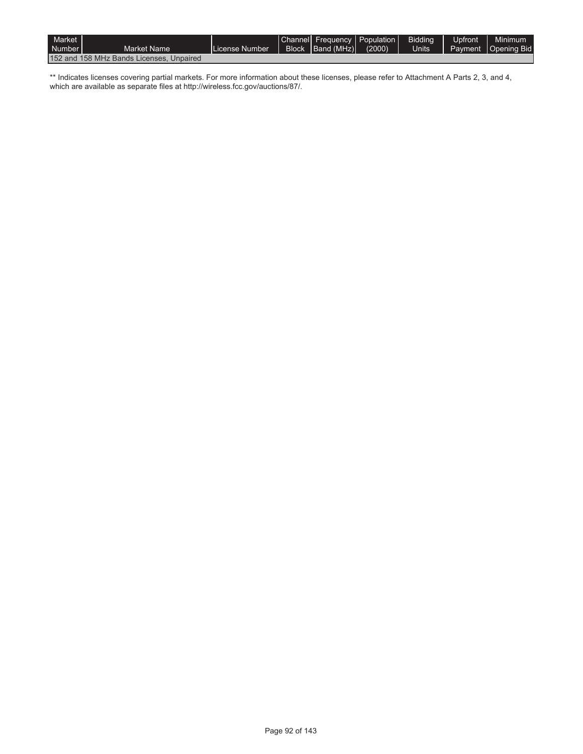| Market  <br>Number I |                                          | License Number | Channel Frequency Population<br>Block Band (MHz) | (2000) | Bidding<br><b>Units</b> | <b>Upfront</b> | Minimum<br>Payment   Opening Bid |
|----------------------|------------------------------------------|----------------|--------------------------------------------------|--------|-------------------------|----------------|----------------------------------|
|                      | Market Name                              |                |                                                  |        |                         |                |                                  |
|                      | 152 and 158 MHz Bands Licenses, Unpaired |                |                                                  |        |                         |                |                                  |

\*\* Indicates licenses covering partial markets. For more information about these licenses, please refer to Attachment A Parts 2, 3, and 4, which are available as separate files at http://wireless.fcc.gov/auctions/87/.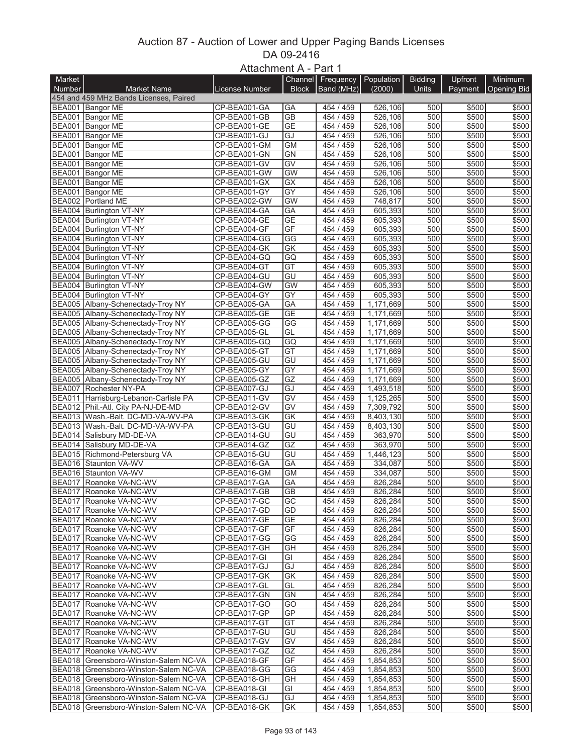## Auction 87 - Auction of Lower and Upper Paging Bands Licenses DA 09-2416 Attachment A - Part 1

|               |                                        | $A$ lla $U$ IIIII $U \cap A - \Gamma$ dil I |                        |                   |            |                |                |                    |
|---------------|----------------------------------------|---------------------------------------------|------------------------|-------------------|------------|----------------|----------------|--------------------|
| Market        |                                        |                                             |                        | Channel Frequency | Population | <b>Bidding</b> | Upfront        | <b>Minimum</b>     |
| <b>Number</b> | <b>Market Name</b>                     | License Number                              | <b>Block</b>           | Band (MHz)        | (2000)     | Units          | <b>Payment</b> | <b>Opening Bid</b> |
|               | 454 and 459 MHz Bands Licenses, Paired |                                             |                        |                   |            |                |                |                    |
|               | BEA001 Bangor ME                       | CP-BEA001-GA                                | GА                     | 454 / 459         | 526,106    | 500            | \$500          | \$500              |
|               | BEA001 Bangor ME                       | CP-BEA001-GB                                | $\overline{GB}$        | 454 / 459         | 526,106    | 500            | \$500          | \$500              |
|               | BEA001 Bangor ME                       | CP-BEA001-GE                                | <b>GE</b>              | 454 / 459         | 526,106    | 500            | \$500          | \$500              |
|               |                                        |                                             |                        |                   |            |                |                |                    |
|               | BEA001 Bangor ME                       | CP-BEA001-GJ                                | GJ                     | 454 / 459         | 526,106    | 500            | \$500          | \$500              |
|               | BEA001 Bangor ME                       | CP-BEA001-GM                                | <b>GM</b>              | 454 / 459         | 526,106    | 500            | \$500          | \$500              |
|               | BEA001 Bangor ME                       | CP-BEA001-GN                                | <b>GN</b>              | 454 / 459         | 526,106    | 500            | \$500          | \$500              |
|               | BEA001 Bangor ME                       | CP-BEA001-GV                                | $\overline{GV}$        | 454 / 459         | 526,106    | 500            | \$500          | \$500              |
|               | BEA001 Bangor ME                       | CP-BEA001-GW                                | GW                     | 454 / 459         | 526,106    | 500            | \$500          | \$500              |
|               | BEA001 Bangor ME                       | CP-BEA001-GX                                | GX                     | 454 / 459         | 526,106    | 500            | \$500          | \$500              |
|               | BEA001 Bangor ME                       | CP-BEA001-GY                                | $\overline{GY}$        | 454 / 459         | 526,106    | 500            | \$500          | \$500              |
|               |                                        |                                             |                        | 454 / 459         |            | 500            |                |                    |
|               | BEA002 Portland ME                     | CP-BEA002-GW                                | <b>GW</b>              |                   | 748,817    |                | \$500          | \$500              |
|               | BEA004 Burlington VT-NY                | CP-BEA004-GA                                | GA                     | 454 / 459         | 605,393    | 500            | \$500          | \$500              |
|               | BEA004 Burlington VT-NY                | CP-BEA004-GE                                | <b>GE</b>              | 454 / 459         | 605,393    | 500            | \$500          | \$500              |
|               | BEA004 Burlington VT-NY                | CP-BEA004-GF                                | GF                     | 454 / 459         | 605,393    | 500            | \$500          | \$500              |
|               | BEA004 Burlington VT-NY                | CP-BEA004-GG                                | $\overline{\text{GG}}$ | 454 / 459         | 605,393    | 500            | \$500          | \$500              |
|               | BEA004 Burlington VT-NY                | CP-BEA004-GK                                | GK                     | 454 / 459         | 605,393    | 500            | \$500          | \$500              |
|               | BEA004 Burlington VT-NY                | CP-BEA004-GQ                                | GQ                     | 454 / 459         | 605,393    | 500            | \$500          | \$500              |
|               | BEA004 Burlington VT-NY                | CP-BEA004-GT                                | $\overline{GT}$        | 454 / 459         | 605,393    | 500            | \$500          | \$500              |
|               |                                        | CP-BEA004-GU                                | GU                     |                   | 605,393    | 500            | \$500          |                    |
|               | BEA004 Burlington VT-NY                |                                             |                        | 454 / 459         |            |                |                | \$500              |
|               | BEA004 Burlington VT-NY                | CP-BEA004-GW                                | <b>GW</b>              | 454 / 459         | 605,393    | 500            | \$500          | \$500              |
|               | BEA004 Burlington VT-NY                | CP-BEA004-GY                                | $\overline{GY}$        | 454 / 459         | 605,393    | 500            | \$500          | \$500              |
|               | BEA005 Albany-Schenectady-Troy NY      | CP-BEA005-GA                                | GA                     | 454 / 459         | 1,171,669  | 500            | \$500          | \$500              |
|               | BEA005 Albany-Schenectady-Troy NY      | CP-BEA005-GE                                | <b>GE</b>              | 454 / 459         | 1,171,669  | 500            | \$500          | \$500              |
|               | BEA005 Albany-Schenectady-Troy NY      | CP-BEA005-GG                                | GG                     | 454 / 459         | 1,171,669  | 500            | \$500          | \$500              |
|               | BEA005 Albany-Schenectady-Troy NY      | CP-BEA005-GL                                | GL                     | 454 / 459         | 1,171,669  | 500            | \$500          | \$500              |
|               | BEA005 Albany-Schenectady-Troy NY      | CP-BEA005-GQ                                | GQ                     | 454 / 459         | 1,171,669  | 500            | \$500          | \$500              |
|               |                                        |                                             |                        |                   |            |                |                |                    |
|               | BEA005 Albany-Schenectady-Troy NY      | CP-BEA005-GT                                | $\overline{GT}$        | 454 / 459         | 1,171,669  | 500            | \$500          | \$500              |
|               | BEA005 Albany-Schenectady-Troy NY      | CP-BEA005-GU                                | GU                     | 454 / 459         | 1,171,669  | 500            | \$500          | \$500              |
|               | BEA005 Albany-Schenectady-Troy NY      | CP-BEA005-GY                                | GY                     | 454 / 459         | 1,171,669  | 500            | \$500          | \$500              |
|               | BEA005 Albany-Schenectady-Troy NY      | CP-BEA005-GZ                                | GZ                     | 454 / 459         | 1,171,669  | 500            | \$500          | \$500              |
|               | BEA007 Rochester NY-PA                 | CP-BEA007-GJ                                | GJ                     | 454 / 459         | 1,493,518  | 500            | \$500          | \$500              |
|               | BEA011 Harrisburg-Lebanon-Carlisle PA  | CP-BEA011-GV                                | $\overline{GV}$        | 454 / 459         | 1,125,265  | 500            | \$500          | \$500              |
|               | BEA012 Phil.-Atl. City PA-NJ-DE-MD     | CP-BEA012-GV                                | $\overline{GV}$        | 454 / 459         | 7,309,792  | 500            | \$500          | \$500              |
|               | BEA013 Wash - Balt. DC-MD-VA-WV-PA     | CP-BEA013-GK                                | $\overline{GK}$        | 454 / 459         | 8,403,130  | 500            | \$500          | \$500              |
|               |                                        |                                             |                        |                   |            |                |                |                    |
|               | BEA013 Wash.-Balt. DC-MD-VA-WV-PA      | CP-BEA013-GU                                | $\overline{GU}$        | 454 / 459         | 8,403,130  | 500            | \$500          | \$500              |
|               | BEA014 Salisbury MD-DE-VA              | CP-BEA014-GU                                | GU                     | 454 / 459         | 363,970    | 500            | \$500          | \$500              |
|               | BEA014 Salisbury MD-DE-VA              | CP-BEA014-GZ                                | $\overline{GZ}$        | 454 / 459         | 363,970    | 500            | \$500          | \$500              |
|               | BEA015 Richmond-Petersburg VA          | CP-BEA015-GU                                | $\overline{GU}$        | 454 / 459         | 1,446,123  | 500            | \$500          | \$500              |
|               | BEA016 Staunton VA-WV                  | CP-BEA016-GA                                | GA                     | 454 / 459         | 334,087    | 500            | \$500          | \$500              |
|               | BEA016 Staunton VA-WV                  | CP-BEA016-GM                                | <b>GM</b>              | 454 / 459         | 334,087    | 500            | \$500          | \$500              |
|               | BEA017 Roanoke VA-NC-WV                | CP-BEA017-GA                                | GA                     | 454 / 459         | 826,284    | 500            | \$500          | \$500              |
|               | BEA017 Roanoke VA-NC-WV                | CP-BEA017-GB                                | $\overline{GB}$        | 454 / 459         | 826,284    | 500            | \$500          | \$500              |
|               |                                        |                                             |                        |                   |            |                |                |                    |
|               | BEA017 Roanoke VA-NC-WV                | CP-BEA017-GC                                | GC                     | 454 / 459         | 826,284    | 500            | \$500          | \$500              |
|               | BEA017 Roanoke VA-NC-WV                | CP-BEA017-GD                                | GD                     | 454 / 459         | 826,284    | 500            | \$500          | \$500              |
|               | BEA017 Roanoke VA-NC-WV                | CP-BEA017-GE                                | <b>GE</b>              | 454 / 459         | 826,284    | 500            | \$500          | \$500              |
|               | BEA017 Roanoke VA-NC-WV                | CP-BEA017-GF                                | GF                     | 454 / 459         | 826,284    | 500            | \$500          | \$500              |
|               | BEA017 Roanoke VA-NC-WV                | CP-BEA017-GG                                | GG                     | 454 / 459         | 826,284    | 500            | \$500          | \$500              |
|               | BEA017 Roanoke VA-NC-WV                | CP-BEA017-GH                                | GН                     | 454 / 459         | 826,284    | 500            | \$500          | \$500              |
|               | BEA017 Roanoke VA-NC-WV                | CP-BEA017-GI                                | GI                     | 454 / 459         | 826,284    | 500            | \$500          | \$500              |
|               | BEA017 Roanoke VA-NC-WV                | CP-BEA017-GJ                                | GJ                     | 454 / 459         | 826,284    | 500            | \$500          | \$500              |
|               |                                        |                                             |                        |                   |            |                |                |                    |
|               | BEA017 Roanoke VA-NC-WV                | CP-BEA017-GK                                | GK                     | 454 / 459         | 826,284    | 500            | \$500          | \$500              |
|               | BEA017 Roanoke VA-NC-WV                | CP-BEA017-GL                                | GL                     | 454 / 459         | 826,284    | 500            | \$500          | \$500              |
|               | BEA017 Roanoke VA-NC-WV                | CP-BEA017-GN                                | GΝ                     | 454 / 459         | 826,284    | 500            | \$500          | \$500              |
|               | BEA017 Roanoke VA-NC-WV                | CP-BEA017-GO                                | GO                     | 454 / 459         | 826,284    | 500            | \$500          | \$500              |
|               | BEA017 Roanoke VA-NC-WV                | CP-BEA017-GP                                | GP                     | 454 / 459         | 826,284    | 500            | \$500          | \$500              |
|               | BEA017 Roanoke VA-NC-WV                | CP-BEA017-GT                                | GT                     | 454 / 459         | 826,284    | 500            | \$500          | \$500              |
|               | BEA017 Roanoke VA-NC-WV                | CP-BEA017-GU                                | GU                     | 454 / 459         | 826,284    | 500            | \$500          | \$500              |
|               | BEA017 Roanoke VA-NC-WV                | CP-BEA017-GV                                | GV                     | 454 / 459         | 826,284    | 500            | \$500          |                    |
|               |                                        |                                             |                        |                   |            |                |                | \$500              |
|               | BEA017 Roanoke VA-NC-WV                | CP-BEA017-GZ                                | GZ                     | 454 / 459         | 826,284    | 500            | \$500          | \$500              |
|               | BEA018 Greensboro-Winston-Salem NC-VA  | CP-BEA018-GF                                | GF                     | 454 / 459         | 1,854,853  | 500            | \$500          | \$500              |
|               | BEA018 Greensboro-Winston-Salem NC-VA  | CP-BEA018-GG                                | GG                     | 454 / 459         | 1,854,853  | 500            | \$500          | \$500              |
|               | BEA018 Greensboro-Winston-Salem NC-VA  | CP-BEA018-GH                                | GH                     | 454 / 459         | 1,854,853  | 500            | \$500          | \$500              |
|               | BEA018 Greensboro-Winston-Salem NC-VA  | CP-BEA018-GI                                | GI                     | 454 / 459         | 1,854,853  | 500            | \$500          | \$500              |
|               | BEA018 Greensboro-Winston-Salem NC-VA  | CP-BEA018-GJ                                | GJ                     | 454 / 459         | 1,854,853  | 500            | \$500          | \$500              |
|               | BEA018 Greensboro-Winston-Salem NC-VA  | CP-BEA018-GK                                | GK                     | 454 / 459         | 1,854,853  | 500            | \$500          | \$500              |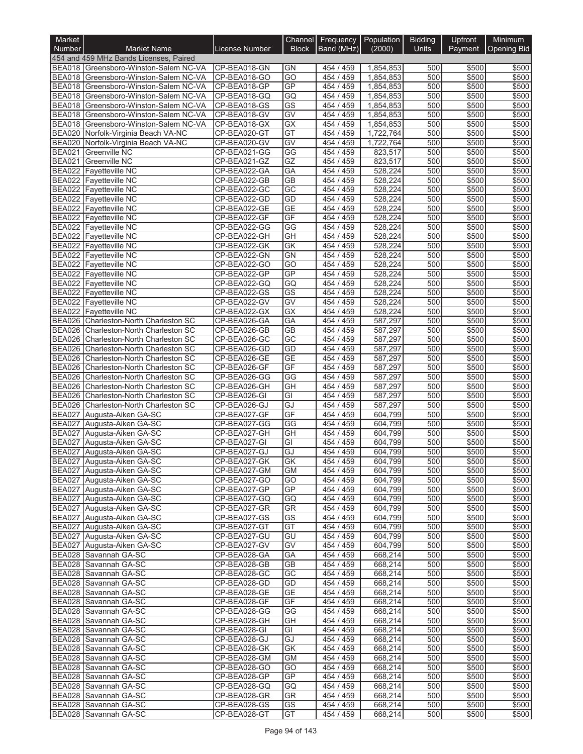| Market                  |                                                                         |                              | Channel                | Frequency              | Population             | <b>Bidding</b> | Upfront        | Minimum            |
|-------------------------|-------------------------------------------------------------------------|------------------------------|------------------------|------------------------|------------------------|----------------|----------------|--------------------|
| <b>Number</b>           | <b>Market Name</b>                                                      | <b>License Number</b>        | <b>Block</b>           | Band (MHz)             | (2000)                 | Units          | Payment        | <b>Opening Bid</b> |
|                         | 454 and 459 MHz Bands Licenses, Paired                                  |                              |                        |                        |                        |                |                |                    |
|                         | BEA018 Greensboro-Winston-Salem NC-VA                                   | CP-BEA018-GN                 | <b>GN</b>              | 454 / 459              | 1,854,853              | 500            | \$500          | \$500              |
|                         | BEA018 Greensboro-Winston-Salem NC-VA                                   | CP-BEA018-GO                 | $\overline{GO}$        | 454 / 459              | 1,854,853              | 500            | \$500          | \$500              |
| <b>BEA018</b>           | Greensboro-Winston-Salem NC-VA<br>BEA018 Greensboro-Winston-Salem NC-VA | CP-BEA018-GP<br>CP-BEA018-GQ | GP<br>GQ               | 454 / 459<br>454 / 459 | 1,854,853<br>1,854,853 | 500<br>500     | \$500<br>\$500 | \$500<br>\$500     |
|                         | BEA018 Greensboro-Winston-Salem NC-VA                                   | CP-BEA018-GS                 | $\overline{\text{GS}}$ | 454 / 459              | 1,854,853              | 500            | \$500          | \$500              |
|                         | BEA018 Greensboro-Winston-Salem NC-VA                                   | CP-BEA018-GV                 | GV                     | 454 / 459              | 1,854,853              | 500            | \$500          | \$500              |
|                         | BEA018 Greensboro-Winston-Salem NC-VA                                   | CP-BEA018-GX                 | $\overline{GX}$        | 454 / 459              | 1,854,853              | 500            | \$500          | \$500              |
|                         | BEA020 Norfolk-Virginia Beach VA-NC                                     | CP-BEA020-GT                 | GT                     | 454 / 459              | 1,722,764              | 500            | \$500          | \$500              |
|                         | BEA020 Norfolk-Virginia Beach VA-NC                                     | CP-BEA020-GV                 | GV                     | 454 / 459              | 1,722,764              | 500            | \$500          | \$500              |
| <b>BEA021</b>           | Greenville NC                                                           | CP-BEA021-GG                 | $\overline{\text{GG}}$ | 454 / 459              | 823,517                | 500            | \$500          | \$500              |
|                         | <b>BEA021</b> Greenville NC                                             | CP-BEA021-GZ                 | GZ                     | 454 / 459              | 823,517                | 500            | \$500          | \$500              |
|                         | <b>BEA022 Fayetteville NC</b>                                           | CP-BEA022-GA                 | GA                     | 454 / 459              | 528,224                | 500            | \$500          | \$500              |
|                         | BEA022 Fayetteville NC                                                  | CP-BEA022-GB                 | $\overline{GB}$        | 454 / 459              | 528,224                | 500            | \$500          | \$500              |
|                         | BEA022 Fayetteville NC                                                  | CP-BEA022-GC                 | $\overline{GC}$        | 454 / 459              | 528,224                | 500            | \$500          | \$500              |
|                         | BEA022 Fayetteville NC                                                  | CP-BEA022-GD                 | GD                     | 454 / 459              | 528,224                | 500            | \$500          | \$500              |
|                         | BEA022 Fayetteville NC                                                  | CP-BEA022-GE                 | <b>GE</b>              | 454 / 459              | 528,224                | 500            | \$500          | \$500              |
|                         | <b>BEA022</b> Fayetteville NC                                           | CP-BEA022-GF                 | GF                     | 454 / 459              | 528,224                | 500            | \$500          | \$500              |
|                         | <b>BEA022</b> Fayetteville NC                                           | CP-BEA022-GG<br>CP-BEA022-GH | GG<br>$\overline{GH}$  | 454 / 459<br>454 / 459 | 528,224                | 500<br>500     | \$500          | \$500              |
|                         | BEA022 Fayetteville NC<br><b>BEA022</b> Fayetteville NC                 | CP-BEA022-GK                 | GK                     | 454 / 459              | 528,224<br>528,224     | 500            | \$500<br>\$500 | \$500<br>\$500     |
|                         | BEA022 Fayetteville NC                                                  | CP-BEA022-GN                 | GN                     | 454 / 459              | 528,224                | 500            | \$500          | \$500              |
|                         | BEA022 Fayetteville NC                                                  | CP-BEA022-GO                 | $\overline{GO}$        | 454 / 459              | 528,224                | 500            | \$500          | \$500              |
|                         | <b>BEA022</b> Fayetteville NC                                           | CP-BEA022-GP                 | GP                     | 454 / 459              | 528,224                | 500            | \$500          | \$500              |
|                         | BEA022 Fayetteville NC                                                  | CP-BEA022-GQ                 | GQ                     | 454 / 459              | 528,224                | 500            | \$500          | \$500              |
|                         | BEA022 Fayetteville NC                                                  | CP-BEA022-GS                 | $\overline{\text{GS}}$ | 454 / 459              | 528,224                | 500            | \$500          | \$500              |
|                         | BEA022 Fayetteville NC                                                  | CP-BEA022-GV                 | GV                     | 454 / 459              | 528,224                | 500            | \$500          | \$500              |
|                         | BEA022 Fayetteville NC                                                  | CP-BEA022-GX                 | $\overline{GX}$        | 454 / 459              | 528,224                | 500            | \$500          | \$500              |
|                         | BEA026 Charleston-North Charleston SC                                   | CP-BEA026-GA                 | GA                     | 454 / 459              | 587,297                | 500            | \$500          | \$500              |
|                         | BEA026 Charleston-North Charleston SC                                   | CP-BEA026-GB                 | $\overline{GB}$        | 454 / 459              | 587,297                | 500            | \$500          | \$500              |
|                         | BEA026 Charleston-North Charleston SC                                   | CP-BEA026-GC                 | $\overline{GC}$        | 454 / 459              | 587,297                | 500            | \$500          | \$500              |
|                         | BEA026 Charleston-North Charleston SC                                   | CP-BEA026-GD                 | GD                     | 454 / 459              | 587,297                | 500            | \$500          | \$500              |
| <b>BEA026</b>           | Charleston-North Charleston SC                                          | CP-BEA026-GE<br>CP-BEA026-GF | <b>GE</b><br>GF        | 454 / 459<br>454 / 459 | 587,297                | 500<br>500     | \$500          | \$500<br>\$500     |
| BEA026<br><b>BEA026</b> | Charleston-North Charleston SC<br>Charleston-North Charleston SC        | CP-BEA026-GG                 | GG                     | 454 / 459              | 587,297<br>587,297     | 500            | \$500<br>\$500 | \$500              |
| BEA026                  | Charleston-North Charleston SC                                          | CP-BEA026-GH                 | GH                     | 454 / 459              | 587,297                | 500            | \$500          | \$500              |
| <b>BEA026</b>           | Charleston-North Charleston SC                                          | CP-BEA026-GI                 | $\overline{GI}$        | 454 / 459              | 587,297                | 500            | \$500          | \$500              |
| <b>BEA026</b>           | Charleston-North Charleston SC                                          | CP-BEA026-GJ                 | GJ                     | 454 / 459              | 587,297                | 500            | \$500          | \$500              |
| <b>BEA027</b>           | Augusta-Aiken GA-SC                                                     | CP-BEA027-GF                 | GF                     | 454 / 459              | 604,799                | 500            | \$500          | \$500              |
| <b>BEA027</b>           | Augusta-Aiken GA-SC                                                     | CP-BEA027-GG                 | $\overline{\text{GG}}$ | 454 / 459              | 604,799                | 500            | \$500          | \$500              |
|                         | BEA027 Augusta-Aiken GA-SC                                              | CP-BEA027-GH                 | $\overline{GH}$        | 454 / 459              | 604,799                | 500            | \$500          | \$500              |
| <b>BEA027</b>           | Augusta-Aiken GA-SC                                                     | CP-BEA027-GI                 | GI                     | 454 / 459              | 604,799                | 500            | \$500          | \$500              |
| <b>BEA027</b>           | Augusta-Aiken GA-SC                                                     | CP-BEA027-GJ                 | GJ                     | 454 / 459              | 604,799                | 500            | \$500          | \$500              |
|                         | BEA027 Augusta-Aiken GA-SC                                              | CP-BEA027-GK                 | GK                     | 454 / 459              | 604,799                | 500            | \$500          | \$500              |
|                         | BEA027 Augusta-Aiken GA-SC                                              | CP-BEA027-GM                 | GM                     | 454 / 459              | 604,799                | 500            | \$500          | \$500              |
|                         | BEA027 Augusta-Aiken GA-SC                                              | CP-BEA027-GO                 | GO                     | 454 / 459              | 604,799                | 500            | \$500          | \$500              |
|                         | BEA027 Augusta-Aiken GA-SC                                              | CP-BEA027-GP                 | <b>GP</b>              | 454 / 459              | 604,799                | 500            | \$500          | \$500              |
|                         | BEA027 Augusta-Aiken GA-SC<br>BEA027 Augusta-Aiken GA-SC                | CP-BEA027-GQ<br>CP-BEA027-GR | GQ<br>GR               | 454 / 459<br>454 / 459 | 604,799<br>604,799     | 500<br>500     | \$500<br>\$500 | \$500<br>\$500     |
|                         | BEA027 Augusta-Aiken GA-SC                                              | CP-BEA027-GS                 | GS                     | 454 / 459              | 604,799                | 500            | \$500          | \$500              |
|                         | BEA027 Augusta-Aiken GA-SC                                              | CP-BEA027-GT                 | GT                     | 454 / 459              | 604,799                | 500            | \$500          | \$500              |
|                         | BEA027 Augusta-Aiken GA-SC                                              | CP-BEA027-GU                 | GU                     | 454 / 459              | 604,799                | 500            | \$500          | \$500              |
|                         | BEA027 Augusta-Aiken GA-SC                                              | CP-BEA027-GV                 | GV                     | 454 / 459              | 604,799                | 500            | \$500          | \$500              |
|                         | BEA028 Savannah GA-SC                                                   | CP-BEA028-GA                 | GА                     | 454 / 459              | 668,214                | 500            | \$500          | \$500              |
|                         | BEA028 Savannah GA-SC                                                   | CP-BEA028-GB                 | $\overline{GB}$        | 454 / 459              | 668,214                | 500            | \$500          | \$500              |
|                         | BEA028 Savannah GA-SC                                                   | CP-BEA028-GC                 | GC                     | 454 / 459              | 668,214                | 500            | \$500          | \$500              |
|                         | BEA028 Savannah GA-SC                                                   | CP-BEA028-GD                 | GD                     | 454 / 459              | 668,214                | 500            | \$500          | \$500              |
|                         | BEA028 Savannah GA-SC                                                   | CP-BEA028-GE                 | <b>GE</b>              | 454 / 459              | 668,214                | 500            | \$500          | \$500              |
|                         | BEA028 Savannah GA-SC                                                   | CP-BEA028-GF                 | GF                     | 454 / 459              | 668,214                | 500            | \$500          | \$500              |
|                         | BEA028 Savannah GA-SC                                                   | CP-BEA028-GG                 | GG                     | 454 / 459              | 668,214                | 500            | \$500          | \$500              |
|                         | BEA028 Savannah GA-SC                                                   | CP-BEA028-GH                 | GH                     | 454 / 459              | 668,214                | 500            | \$500          | \$500              |
|                         | BEA028 Savannah GA-SC                                                   | CP-BEA028-GI                 | GI                     | 454 / 459              | 668,214                | 500            | \$500          | \$500              |
|                         | BEA028 Savannah GA-SC                                                   | CP-BEA028-GJ                 | GJ                     | 454 / 459              | 668,214                | 500            | \$500          | \$500              |
|                         | BEA028 Savannah GA-SC<br>BEA028 Savannah GA-SC                          | CP-BEA028-GK<br>CP-BEA028-GM | GK<br><b>GM</b>        | 454 / 459<br>454 / 459 | 668,214<br>668,214     | 500<br>500     | \$500<br>\$500 | \$500<br>\$500     |
|                         | BEA028 Savannah GA-SC                                                   | CP-BEA028-GO                 | GO                     | 454 / 459              | 668,214                | 500            | \$500          | \$500              |
|                         | BEA028 Savannah GA-SC                                                   | CP-BEA028-GP                 | GP                     | 454 / 459              | 668,214                | 500            | \$500          | \$500              |
|                         | BEA028 Savannah GA-SC                                                   | CP-BEA028-GQ                 | GQ                     | 454/459                | 668,214                | 500            | \$500          | \$500              |
|                         | BEA028 Savannah GA-SC                                                   | CP-BEA028-GR                 | <b>GR</b>              | 454 / 459              | 668,214                | 500            | \$500          | \$500              |
|                         | BEA028 Savannah GA-SC                                                   | CP-BEA028-GS                 | GS                     | 454 / 459              | 668,214                | 500            | \$500          | \$500              |
|                         | BEA028 Savannah GA-SC                                                   | CP-BEA028-GT                 | GT                     | 454 / 459              | 668,214                | 500            | \$500          | \$500              |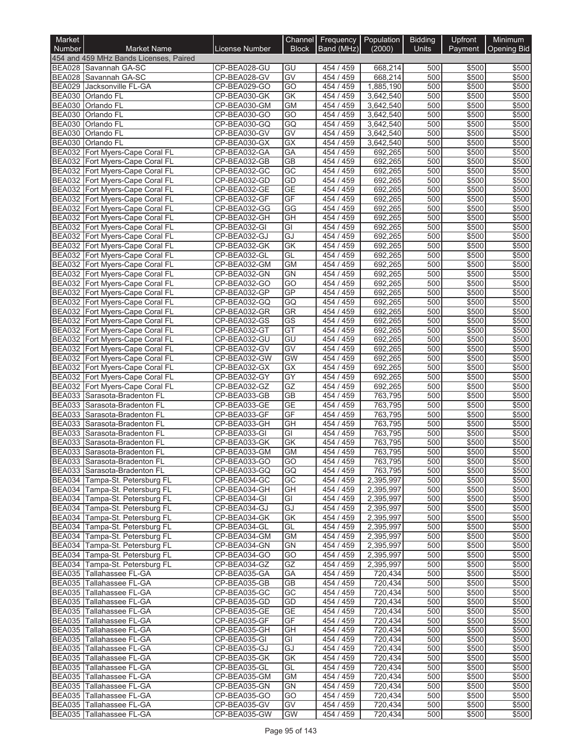| Market                         |                                                                    |                              | Channel                | Frequency              | Population             | <b>Bidding</b> | Upfront        | Minimum            |
|--------------------------------|--------------------------------------------------------------------|------------------------------|------------------------|------------------------|------------------------|----------------|----------------|--------------------|
| <b>Number</b>                  | <b>Market Name</b>                                                 | <b>License Number</b>        | <b>Block</b>           | Band (MHz)             | (2000)                 | <b>Units</b>   | Payment        | <b>Opening Bid</b> |
|                                | 454 and 459 MHz Bands Licenses, Paired                             |                              |                        |                        |                        |                |                |                    |
|                                | BEA028 Savannah GA-SC<br>BEA028 Savannah GA-SC                     | CP-BEA028-GU<br>CP-BEA028-GV | GU<br>GV               | 454 / 459<br>454 / 459 | 668,214<br>668,214     | 500<br>500     | \$500<br>\$500 | \$500<br>\$500     |
| <b>BEA029</b>                  | Jacksonville FL-GA                                                 | CP-BEA029-GO                 | GO                     | 454 / 459              | 1,885,190              | 500            | \$500          | \$500              |
| <b>BEA030</b>                  | Orlando FL                                                         | CP-BEA030-GK                 | $\overline{GK}$        | 454 / 459              | 3,642,540              | 500            | \$500          | \$500              |
| <b>BEA030</b>                  | <b>Orlando FL</b>                                                  | CP-BEA030-GM                 | <b>GM</b>              | 454 / 459              | 3,642,540              | 500            | \$500          | \$500              |
| <b>BEA030</b>                  | Orlando FL                                                         | CP-BEA030-GO                 | $\overline{GO}$        | 454 / 459              | 3,642,540              | 500            | \$500          | \$500              |
| <b>BEA030</b>                  | <b>Orlando FL</b>                                                  | CP-BEA030-GQ                 | GQ                     | 454 / 459              | 3,642,540              | 500            | \$500          | \$500              |
| <b>BEA030</b><br><b>BEA030</b> | <b>Orlando FL</b>                                                  | CP-BEA030-GV<br>CP-BEA030-GX | GV<br>$\overline{GX}$  | 454 / 459<br>454 / 459 | 3,642,540              | 500<br>500     | \$500<br>\$500 | \$500<br>\$500     |
|                                | Orlando FL<br>BEA032 Fort Myers-Cape Coral FL                      | CP-BEA032-GA                 | GA                     | 454 / 459              | 3,642,540<br>692,265   | 500            | \$500          | \$500              |
|                                | BEA032 Fort Myers-Cape Coral FL                                    | CP-BEA032-GB                 | $\overline{GB}$        | 454 / 459              | 692,265                | 500            | \$500          | \$500              |
| <b>BEA032</b>                  | Fort Myers-Cape Coral FL                                           | CP-BEA032-GC                 | $\overline{GC}$        | 454 / 459              | 692,265                | 500            | \$500          | \$500              |
| <b>BEA032</b>                  | Fort Myers-Cape Coral FL                                           | CP-BEA032-GD                 | GD                     | 454 / 459              | 692,265                | 500            | \$500          | \$500              |
| <b>BEA032</b>                  | Fort Myers-Cape Coral FL                                           | CP-BEA032-GE                 | <b>GE</b>              | 454 / 459              | 692,265                | 500            | \$500          | \$500              |
| BEA032                         | Fort Myers-Cape Coral FL                                           | CP-BEA032-GF                 | GF                     | 454 / 459              | 692,265                | 500            | \$500          | \$500              |
|                                | BEA032 Fort Myers-Cape Coral FL                                    | CP-BEA032-GG                 | G                      | 454 / 459<br>454 / 459 | 692,265                | 500<br>500     | \$500          | \$500              |
|                                | BEA032 Fort Myers-Cape Coral FL<br>BEA032 Fort Myers-Cape Coral FL | CP-BEA032-GH<br>CP-BEA032-GI | GH<br>GI               | 454 / 459              | 692,265<br>692,265     | 500            | \$500<br>\$500 | \$500<br>\$500     |
|                                | BEA032 Fort Myers-Cape Coral FL                                    | CP-BEA032-GJ                 | GJ                     | 454 / 459              | 692,265                | 500            | \$500          | \$500              |
|                                | BEA032 Fort Myers-Cape Coral FL                                    | CP-BEA032-GK                 | <b>GK</b>              | 454 / 459              | 692,265                | 500            | \$500          | \$500              |
|                                | BEA032 Fort Myers-Cape Coral FL                                    | CP-BEA032-GL                 | GL                     | 454 / 459              | 692,265                | 500            | \$500          | \$500              |
| <b>BEA032</b>                  | Fort Myers-Cape Coral FL                                           | CP-BEA032-GM                 | <b>GM</b>              | 454 / 459              | 692,265                | 500            | \$500          | \$500              |
| <b>BEA032</b>                  | Fort Myers-Cape Coral FL                                           | CP-BEA032-GN                 | <b>GN</b>              | 454 / 459              | 692,265                | 500            | \$500          | \$500              |
|                                | BEA032 Fort Myers-Cape Coral FL                                    | CP-BEA032-GO                 | GO                     | 454 / 459              | 692.265                | 500            | \$500          | \$500              |
|                                | BEA032 Fort Myers-Cape Coral FL                                    | CP-BEA032-GP                 | GP                     | 454 / 459<br>454 / 459 | 692,265                | 500            | \$500          | \$500              |
|                                | BEA032 Fort Myers-Cape Coral FL<br>BEA032 Fort Myers-Cape Coral FL | CP-BEA032-GQ<br>CP-BEA032-GR | GQ<br>GR               | 454 / 459              | 692,265<br>692,265     | 500<br>500     | \$500<br>\$500 | \$500<br>\$500     |
|                                | BEA032 Fort Myers-Cape Coral FL                                    | CP-BEA032-GS                 | $\overline{\text{GS}}$ | 454 / 459              | 692,265                | 500            | \$500          | \$500              |
|                                | BEA032 Fort Myers-Cape Coral FL                                    | CP-BEA032-GT                 | GT                     | 454 / 459              | 692,265                | 500            | \$500          | \$500              |
|                                | BEA032 Fort Myers-Cape Coral FL                                    | CP-BEA032-GU                 | GU                     | 454 /<br>459           | 692,265                | 500            | \$500          | \$500              |
| <b>BEA032</b>                  | Fort Myers-Cape Coral FL                                           | CP-BEA032-GV                 | GV                     | 454 / 459              | 692,265                | 500            | \$500          | \$500              |
|                                | BEA032 Fort Myers-Cape Coral FL                                    | CP-BEA032-GW                 | <b>GW</b>              | 454 / 459              | 692,265                | 500            | \$500          | \$500              |
|                                | BEA032 Fort Myers-Cape Coral FL                                    | CP-BEA032-GX                 | GX                     | 454 / 459              | 692,265                | 500            | \$500          | \$500              |
|                                | BEA032 Fort Myers-Cape Coral FL<br>BEA032 Fort Myers-Cape Coral FL | CP-BEA032-GY<br>CP-BEA032-GZ | $\overline{GY}$<br>GZ  | 454 / 459<br>454 / 459 | 692,265<br>692,265     | 500<br>500     | \$500<br>\$500 | \$500<br>\$500     |
| <b>BEA033</b>                  | Sarasota-Bradenton FL                                              | CP-BEA033-GB                 | <b>GB</b>              | 454 / 459              | 763,795                | 500            | \$500          | \$500              |
| <b>BEA033</b>                  | Sarasota-Bradenton FL                                              | CP-BEA033-GE                 | GE                     | 454 / 459              | 763,795                | 500            | \$500          | \$500              |
| BEA033                         | Sarasota-Bradenton FL                                              | CP-BEA033-GF                 | GF                     | 454 / 459              | 763.795                | 500            | \$500          | \$500              |
| <b>BEA033</b>                  | Sarasota-Bradenton FL                                              | CP-BEA033-GH                 | GH                     | 454 / 459              | 763,795                | 500            | \$500          | \$500              |
| <b>BEA033</b>                  | Sarasota-Bradenton FL                                              | CP-BEA033-GI                 | GI                     | 454 / 459              | 763,795                | 500            | \$500          | \$500              |
| <b>BEA033</b>                  | Sarasota-Bradenton FL                                              | CP-BEA033-GK                 | GK                     | 454 / 459              | 763,795                | 500            | \$500          | \$500              |
| <b>BEA033</b>                  | Sarasota-Bradenton FL                                              | CP-BEA033-GM                 | <b>GM</b>              | 454 / 459              | 763.795                | 500            | \$500          | \$500              |
|                                | BEA033 Sarasota-Bradenton FL<br>BEA033 Sarasota-Bradenton FL       | CP-BEA033-GO<br>CP-BEA033-GQ | GO<br>GQ               | 454 / 459<br>454 / 459 | 763,795 <br>763,795    | 500 <br>500    | \$500<br>\$500 | \$500<br>\$500     |
|                                | BEA034 Tampa-St. Petersburg FL                                     | CP-BEA034-GC                 | GC                     | 454 / 459              | 2,395,997              | 500            | \$500          | \$500              |
|                                | BEA034 Tampa-St. Petersburg FL                                     | CP-BEA034-GH                 | GH                     | 454 / 459              | 2,395,997              | 500            | \$500          | \$500              |
|                                | BEA034 Tampa-St. Petersburg FL                                     | CP-BEA034-GI                 | GI                     | 454 / 459              | 2,395,997              | 500            | \$500          | \$500              |
|                                | BEA034 Tampa-St. Petersburg FL                                     | CP-BEA034-GJ                 | GJ                     | 454 / 459              | 2,395,997              | 500            | \$500          | \$500              |
|                                | BEA034 Tampa-St. Petersburg FL                                     | CP-BEA034-GK                 | GK                     | 454 / 459              | 2,395,997              | 500            | \$500          | \$500              |
|                                | BEA034 Tampa-St. Petersburg FL                                     | CP-BEA034-GL                 | GL                     | 454 / 459              | 2,395,997              | 500            | \$500          | \$500              |
|                                | BEA034 Tampa-St. Petersburg FL<br>BEA034 Tampa-St. Petersburg FL   | CP-BEA034-GM<br>CP-BEA034-GN | <b>GM</b><br><b>GN</b> | 454 / 459<br>454 / 459 | 2,395,997<br>2,395,997 | 500<br>500     | \$500<br>\$500 | \$500<br>\$500     |
|                                | BEA034 Tampa-St. Petersburg FL                                     | CP-BEA034-GO                 | GO                     | 454 / 459              | 2,395,997              | 500            | \$500          | \$500              |
|                                | BEA034 Tampa-St. Petersburg FL                                     | CP-BEA034-GZ                 | GZ                     | 454 / 459              | 2,395,997              | 500            | \$500          | \$500              |
|                                | BEA035 Tallahassee FL-GA                                           | CP-BEA035-GA                 | GA                     | 454 / 459              | 720,434                | 500            | \$500          | \$500              |
|                                | BEA035 Tallahassee FL-GA                                           | CP-BEA035-GB                 | <b>GB</b>              | 454/459                | 720,434                | 500            | \$500          | \$500              |
|                                | BEA035 Tallahassee FL-GA                                           | CP-BEA035-GC                 | GC                     | 454 / 459              | 720,434                | 500            | \$500          | \$500              |
|                                | BEA035 Tallahassee FL-GA                                           | CP-BEA035-GD                 | GD                     | 454 / 459              | 720,434                | 500            | \$500          | \$500              |
|                                | BEA035 Tallahassee FL-GA                                           | CP-BEA035-GE                 | <b>GE</b>              | 454 / 459              | 720,434                | 500            | \$500          | \$500              |
|                                | BEA035 Tallahassee FL-GA<br>BEA035 Tallahassee FL-GA               | CP-BEA035-GF<br>CP-BEA035-GH | GF<br>GH               | 454 / 459<br>454 / 459 | 720,434<br>720,434     | 500<br>500     | \$500<br>\$500 | \$500<br>\$500     |
|                                | BEA035 Tallahassee FL-GA                                           | CP-BEA035-GI                 | GI                     | 454 / 459              | 720,434                | 500            | \$500          | \$500              |
|                                | BEA035 Tallahassee FL-GA                                           | CP-BEA035-GJ                 | GJ                     | 454 / 459              | 720,434                | 500            | \$500          | \$500              |
|                                | BEA035 Tallahassee FL-GA                                           | CP-BEA035-GK                 | GK                     | 454 / 459              | 720,434                | 500            | \$500          | \$500              |
|                                | BEA035 Tallahassee FL-GA                                           | CP-BEA035-GL                 | GL                     | 454 / 459              | 720,434                | 500            | \$500          | \$500              |
|                                | BEA035 Tallahassee FL-GA                                           | CP-BEA035-GM                 | <b>GM</b>              | 454 / 459              | 720,434                | 500            | \$500          | \$500              |
|                                | BEA035 Tallahassee FL-GA                                           | CP-BEA035-GN                 | <b>GN</b>              | 454 / 459              | 720,434                | 500            | \$500          | \$500              |
|                                | BEA035 Tallahassee FL-GA<br>BEA035 Tallahassee FL-GA               | CP-BEA035-GO<br>CP-BEA035-GV | GO<br>GV               | 454 / 459<br>454 / 459 | 720,434                | 500<br>500     | \$500          | \$500              |
|                                | BEA035 Tallahassee FL-GA                                           | CP-BEA035-GW                 | <b>GW</b>              | 454 / 459              | 720,434<br>720,434     | 500            | \$500<br>\$500 | \$500<br>\$500     |
|                                |                                                                    |                              |                        |                        |                        |                |                |                    |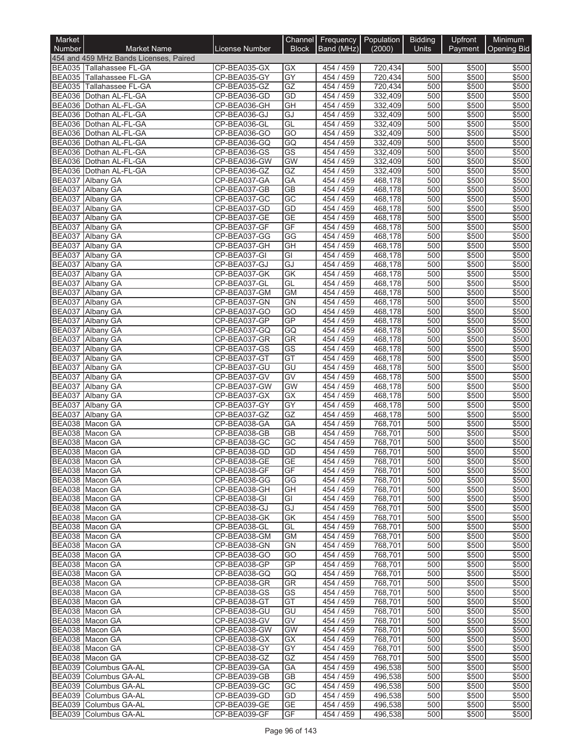| Market                         |                                                      |                              | <b>Channel</b>               | Frequency   Population |                    | <b>Bidding</b>   | Upfront        | <b>Minimum</b>     |
|--------------------------------|------------------------------------------------------|------------------------------|------------------------------|------------------------|--------------------|------------------|----------------|--------------------|
| <b>Number</b>                  | <b>Market Name</b>                                   | <b>License Number</b>        | <b>Block</b>                 | Band (MHz)             | (2000)             | <b>Units</b>     | Payment        | <b>Opening Bid</b> |
|                                | 454 and 459 MHz Bands Licenses, Paired               | CP-BEA035-GX                 |                              |                        |                    |                  |                |                    |
|                                | BEA035 Tallahassee FL-GA<br>BEA035 Tallahassee FL-GA | CP-BEA035-GY                 | GX<br>$\overline{GY}$        | 454 / 459<br>454 / 459 | 720,434<br>720,434 | 500<br>500       | \$500<br>\$500 | \$500<br>\$500     |
| <b>BEA035</b>                  | Tallahassee FL-GA                                    | CP-BEA035-GZ                 | GZ                           | 454 / 459              | 720,434            | 500              | \$500          | \$500              |
|                                | BEA036 Dothan AL-FL-GA                               | CP-BEA036-GD                 | GD                           | 454 / 459              | 332,409            | 500              | \$500          | \$500              |
|                                | BEA036 Dothan AL-FL-GA                               | CP-BEA036-GH                 | $\overline{GH}$              | 454 / 459              | 332,409            | 500              | \$500          | \$500              |
|                                | BEA036 Dothan AL-FL-GA                               | CP-BEA036-GJ                 | GJ                           | 454 / 459              | 332,409            | 500              | \$500          | \$500              |
|                                | BEA036 Dothan AL-FL-GA                               | CP-BEA036-GL                 | GL                           | 454 / 459              | 332,409            | 500              | \$500          | \$500              |
|                                | BEA036 Dothan AL-FL-GA                               | CP-BEA036-GO<br>CP-BEA036-GQ | $\overline{GO}$              | 454 / 459              | 332,409<br>332.409 | 500<br>500       | \$500          | \$500              |
| BEA036                         | Dothan AL-FL-GA<br>BEA036 Dothan AL-FL-GA            | CP-BEA036-GS                 | GQ<br>$\overline{\text{GS}}$ | 454 / 459<br>454 / 459 | 332,409            | 500              | \$500<br>\$500 | \$500<br>\$500     |
| <b>BEA036</b>                  | Dothan AL-FL-GA                                      | CP-BEA036-GW                 | GW                           | 454 / 459              | 332,409            | 500              | \$500          | \$500              |
|                                | BEA036 Dothan AL-FL-GA                               | CP-BEA036-GZ                 | GZ                           | 454 / 459              | 332,409            | 500              | \$500          | \$500              |
|                                | BEA037 Albany GA                                     | CP-BEA037-GA                 | <b>GA</b>                    | 454 / 459              | 468,178            | 500              | \$500          | \$500              |
|                                | BEA037 Albany GA                                     | CP-BEA037-GB                 | <b>GB</b>                    | 454 / 459              | 468,178            | 500              | \$500          | \$500              |
|                                | BEA037 Albany GA                                     | CP-BEA037-GC                 | GC                           | 454 / 459              | 468,178            | 500              | \$500          | \$500              |
| <b>BEA037</b>                  | Albany GA                                            | CP-BEA037-GD<br>CP-BEA037-GE | GD<br><b>GE</b>              | 454 / 459              | 468,178            | 500<br>500       | \$500<br>\$500 | \$500<br>\$500     |
| <b>BEA037</b><br><b>BEA037</b> | <b>Albany GA</b><br>Albany GA                        | CP-BEA037-GF                 | GF                           | 454 / 459<br>454 / 459 | 468,178<br>468,178 | 500              | \$500          | \$500              |
| BEA037                         | <b>Albany GA</b>                                     | CP-BEA037-GG                 | GG                           | 454 / 459              | 468,178            | 500              | \$500          | \$500              |
| <b>BEA037</b>                  | <b>Albany GA</b>                                     | CP-BEA037-GH                 | GH                           | 454 / 459              | 468,178            | 500              | \$500          | \$500              |
| <b>BEA037</b>                  | Albany GA                                            | CP-BEA037-GI                 | $\overline{\mathsf{G}}$      | 454 / 459              | 468,178            | $\overline{500}$ | \$500          | \$500              |
| <b>BEA037</b>                  | Albany GA                                            | CP-BEA037-GJ                 | GJ                           | 454 / 459              | 468,178            | 500              | \$500          | \$500              |
| <b>BEA037</b>                  | <b>Albany GA</b>                                     | CP-BEA037-GK                 | <b>GK</b>                    | 454 / 459              | 468.178            | 500              | \$500          | \$500              |
| <b>BEA037</b>                  | Albany GA<br><b>Albany GA</b>                        | CP-BEA037-GL<br>CP-BEA037-GM | GL                           | 454 / 459              | 468,178            | 500              | \$500          | \$500              |
| <b>BEA037</b><br><b>BEA037</b> | <b>Albany GA</b>                                     | CP-BEA037-GN                 | <b>GM</b><br><b>GN</b>       | 454 / 459<br>454 / 459 | 468,178<br>468,178 | 500<br>500       | \$500<br>\$500 | \$500<br>\$500     |
| <b>BEA037</b>                  | <b>Albany GA</b>                                     | CP-BEA037-GO                 | GO                           | 454 / 459              | 468,178            | 500              | \$500          | \$500              |
| <b>BEA037</b>                  | Albany GA                                            | CP-BEA037-GP                 | GP                           | 454 / 459              | 468,178            | 500              | \$500          | \$500              |
| <b>BEA037</b>                  | Albany GA                                            | CP-BEA037-GQ                 | GQ                           | 454 / 459              | 468,178            | 500              | \$500          | \$500              |
| BEA037                         | <b>Albany GA</b>                                     | CP-BEA037-GR                 | GR                           | 454 / 459              | 468,178            | 500              | \$500          | \$500              |
| <b>BEA037</b>                  | Albany GA                                            | CP-BEA037-GS                 | GS                           | 454 / 459              | 468,178            | 500              | \$500          | \$500              |
| <b>BEA037</b><br><b>BEA037</b> | Albany GA<br>Albany GA                               | CP-BEA037-GT<br>CP-BEA037-GU | GT<br>GU                     | 454 / 459<br>454 / 459 | 468,178<br>468,178 | 500<br>500       | \$500<br>\$500 | \$500<br>\$500     |
| <b>BEA037</b>                  | Albany GA                                            | CP-BEA037-GV                 | GV                           | 454 / 459              | 468,178            | 500              | \$500          | \$500              |
| <b>BEA037</b>                  | <b>Albany GA</b>                                     | CP-BEA037-GW                 | <b>GW</b>                    | 454 / 459              | 468,178            | 500              | \$500          | \$500              |
| <b>BEA037</b>                  | <b>Albany GA</b>                                     | CP-BEA037-GX                 | <b>GX</b>                    | 454 / 459              | 468,178            | 500              | \$500          | \$500              |
| <b>BEA037</b>                  | Albany GA                                            | CP-BEA037-GY                 | $\overline{GY}$              | 454 / 459              | 468,178            | 500              | \$500          | \$500              |
| <b>BEA037</b>                  | Albany GA                                            | CP-BEA037-GZ                 | GZ                           | 454 / 459              | 468,178            | 500              | \$500          | \$500              |
| <b>BEA038</b>                  | Macon GA                                             | CP-BEA038-GA                 | GA                           | 454 / 459              | 768,701            | 500              | \$500          | \$500              |
| BEA038                         | BEA038 Macon GA<br>Macon GA                          | CP-BEA038-GB<br>CP-BEA038-GC | <b>GB</b><br>$\overline{GC}$ | 454 / 459<br>454 / 459 | 768,701<br>768,701 | 500<br>500       | \$500<br>\$500 | \$500<br>\$500     |
|                                | BEA038 Macon GA                                      | CP-BEA038-GD                 | GD                           | 454 / 459              | 768,701            | 500              | \$500          | \$500              |
|                                | BEA038 Macon GA                                      | CP-BEA038-GE                 | GF                           | 454 / 459              | (68, 01]           | 500              | \$500          | \$500              |
|                                | BEA038 Macon GA                                      | CP-BEA038-GF                 | GF                           | 454 / 459              | 768,701            | 500              | \$500          | \$500              |
|                                | BEA038 Macon GA                                      | CP-BEA038-GG                 | GG                           | 454 / 459              | 768,701            | 500              | \$500          | \$500              |
|                                | BEA038 Macon GA                                      | CP-BEA038-GH                 | GH                           | 454 / 459              | 768,701            | 500              | \$500          | \$500              |
|                                | BEA038 Macon GA                                      | CP-BEA038-GI                 | GI                           | 454 / 459              | 768,701            | 500              | \$500          | \$500              |
|                                | BEA038 Macon GA<br>BEA038 Macon GA                   | CP-BEA038-GJ<br>CP-BEA038-GK | GJ<br>GK                     | 454 / 459<br>454 / 459 | 768.701<br>768,701 | 500<br>500       | \$500<br>\$500 | \$500<br>\$500     |
|                                | BEA038 Macon GA                                      | CP-BEA038-GL                 | GL                           | 454 / 459              | 768,701            | 500              | \$500          | \$500              |
|                                | BEA038 Macon GA                                      | CP-BEA038-GM                 | GM                           | 454 / 459              | 768,701            | 500              | \$500          | \$500              |
|                                | BEA038 Macon GA                                      | CP-BEA038-GN                 | <b>GN</b>                    | 454 / 459              | 768,701            | 500              | \$500          | \$500              |
|                                | BEA038 Macon GA                                      | CP-BEA038-GO                 | GO                           | 454 / 459              | 768,701            | 500              | \$500          | \$500              |
|                                | BEA038 Macon GA                                      | CP-BEA038-GP                 | GP                           | 454 / 459              | 768,701            | 500              | \$500          | \$500              |
|                                | BEA038 Macon GA                                      | CP-BEA038-GQ                 | GQ                           | 454 / 459              | 768,701            | 500              | \$500          | \$500              |
|                                | BEA038 Macon GA<br>BEA038 Macon GA                   | CP-BEA038-GR<br>CP-BEA038-GS | GR<br>GS                     | 454 / 459<br>454 / 459 | 768,701<br>768,701 | 500<br>500       | \$500<br>\$500 | \$500<br>\$500     |
|                                | BEA038 Macon GA                                      | CP-BEA038-GT                 | GT                           | 454 / 459              | 768,701            | 500              | \$500          | \$500              |
|                                | BEA038 Macon GA                                      | CP-BEA038-GU                 | GU                           | 454 / 459              | 768,701            | 500              | \$500          | \$500              |
|                                | BEA038 Macon GA                                      | CP-BEA038-GV                 | GV                           | 454 / 459              | 768,701            | 500              | \$500          | \$500              |
|                                | BEA038 Macon GA                                      | CP-BEA038-GW                 | <b>GW</b>                    | 454 / 459              | 768,701            | 500              | \$500          | \$500              |
|                                | BEA038 Macon GA                                      | CP-BEA038-GX                 | GX                           | 454 / 459              | 768,701            | 500              | \$500          | \$500              |
|                                | BEA038 Macon GA                                      | CP-BEA038-GY                 | GY                           | 454 / 459              | 768,701            | 500              | \$500          | \$500              |
|                                | BEA038 Macon GA<br>BEA039 Columbus GA-AL             | CP-BEA038-GZ<br>CP-BEA039-GA | GZ<br>GА                     | 454 / 459<br>454 / 459 | 768,701<br>496,538 | 500<br>500       | \$500<br>\$500 | \$500<br>\$500     |
|                                | BEA039 Columbus GA-AL                                | CP-BEA039-GB                 | GВ                           | 454 / 459              | 496,538            | 500              | \$500          | \$500              |
|                                | BEA039 Columbus GA-AL                                | CP-BEA039-GC                 | GC                           | 454 / 459              | 496,538            | 500              | \$500          | \$500              |
|                                | BEA039 Columbus GA-AL                                | CP-BEA039-GD                 | GD                           | 454 / 459              | 496,538            | 500              | \$500          | \$500              |
|                                | BEA039 Columbus GA-AL                                | CP-BEA039-GE                 | GE                           | 454 / 459              | 496,538            | 500              | \$500          | \$500              |
|                                | BEA039 Columbus GA-AL                                | CP-BEA039-GF                 | GF                           | 454 / 459              | 496,538            | 500              | \$500          | \$500              |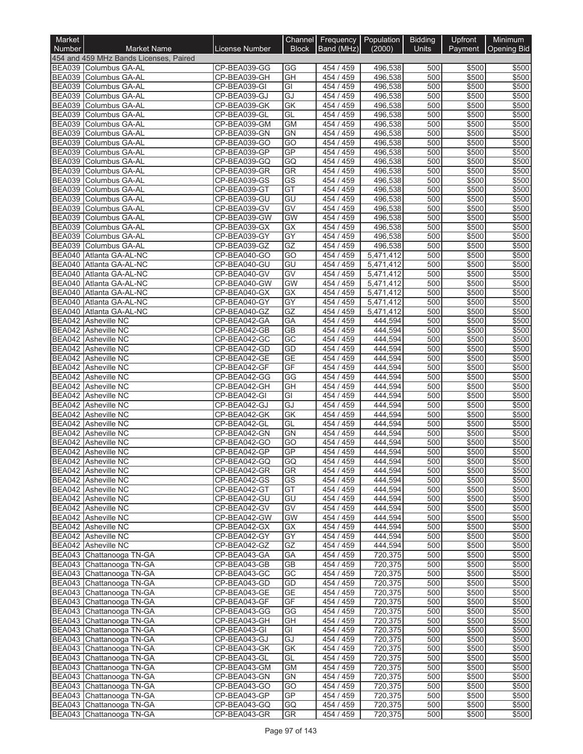| Market                         |                                                      |                              |                        | Channel Frequency Population |                         | <b>Bidding</b> | Upfront        | Minimum               |
|--------------------------------|------------------------------------------------------|------------------------------|------------------------|------------------------------|-------------------------|----------------|----------------|-----------------------|
| <b>Number</b>                  | <b>Market Name</b>                                   | <b>License Number</b>        | <b>Block</b>           | Band (MHz)                   | (2000)                  | <b>Units</b>   |                | Payment   Opening Bid |
|                                | 454 and 459 MHz Bands Licenses, Paired               |                              |                        |                              |                         |                |                |                       |
|                                | BEA039 Columbus GA-AL<br>BEA039 Columbus GA-AL       | CP-BEA039-GG<br>CP-BEA039-GH | GG<br>GH               | 454 / 459<br>454 / 459       | 496,538<br>496,538      | 500<br>500     | \$500<br>\$500 | \$500<br>\$500        |
| <b>BEA039</b>                  | Columbus GA-AL                                       | CP-BEA039-GI                 | GI                     | 454 / 459                    | 496,538                 | 500            | \$500          | \$500                 |
| BEA039                         | Columbus GA-AL                                       | CP-BEA039-GJ                 | GJ                     | 454 / 459                    | 496,538                 | 500            | \$500          | \$500                 |
| <b>BEA039</b>                  | Columbus GA-AL                                       | CP-BEA039-GK                 | <b>GK</b>              | 454 / 459                    | 496,538                 | 500            | \$500          | \$500                 |
| <b>BEA039</b>                  | Columbus GA-AL                                       | CP-BEA039-GL                 | GL                     | 454 / 459                    | 496,538                 | 500            | \$500          | \$500                 |
| <b>BEA039</b>                  | Columbus GA-AL                                       | CP-BEA039-GM                 | <b>GM</b>              | 454 / 459                    | 496,538                 | 500            | \$500          | \$500                 |
| <b>BEA039</b><br><b>BEA039</b> | Columbus GA-AL                                       | CP-BEA039-GN                 | GN<br>GO               | 454 / 459<br>454 / 459       | 496,538                 | 500<br>500     | \$500          | \$500                 |
| BEA039                         | Columbus GA-AL<br>Columbus GA-AL                     | CP-BEA039-GO<br>CP-BEA039-GP | GP                     | 454 / 459                    | 496,538<br>496,538      | 500            | \$500<br>\$500 | \$500<br>\$500        |
| <b>BEA039</b>                  | <b>Columbus GA-AL</b>                                | CP-BEA039-GQ                 | GQ                     | 454 / 459                    | 496,538                 | 500            | \$500          | \$500                 |
| <b>BEA039</b>                  | Columbus GA-AL                                       | CP-BEA039-GR                 | GR                     | 454 / 459                    | 496,538                 | 500            | \$500          | \$500                 |
| <b>BEA039</b>                  | Columbus GA-AL                                       | CP-BEA039-GS                 | $\overline{\text{GS}}$ | 454 / 459                    | 496,538                 | 500            | \$500          | \$500                 |
| <b>BEA039</b>                  | Columbus GA-AL                                       | CP-BEA039-GT                 | GT                     | 454 / 459                    | 496,538                 | 500            | \$500          | \$500                 |
| BEA039                         | Columbus GA-AL                                       | CP-BEA039-GU                 | GU                     | 454 / 459                    | 496,538                 | 500            | \$500          | \$500                 |
| <b>BEA039</b>                  | BEA039 Columbus GA-AL<br>Columbus GA-AL              | CP-BEA039-GV<br>CP-BEA039-GW | $\overline{GV}$<br>GW  | 454 / 459<br>454 / 459       | 496,538                 | 500<br>500     | \$500<br>\$500 | \$500<br>\$500        |
|                                | BEA039 Columbus GA-AL                                | CP-BEA039-GX                 | GX                     | 454 / 459                    | 496,538<br>496,538      | 500            | \$500          | \$500                 |
| <b>BEA039</b>                  | Columbus GA-AL                                       | CP-BEA039-GY                 | $\overline{GY}$        | 454 / 459                    | 496,538                 | 500            | \$500          | \$500                 |
| <b>BEA039</b>                  | Columbus GA-AL                                       | CP-BEA039-GZ                 | GZ                     | 454 / 459                    | 496,538                 | 500            | \$500          | \$500                 |
|                                | BEA040 Atlanta GA-AL-NC                              | CP-BEA040-GO                 | GO                     | 454 / 459                    | $\overline{5,471,4}$ 12 | 500            | \$500          | \$500                 |
| BEA040                         | Atlanta GA-AL-NC                                     | CP-BEA040-GU                 | GU                     | 454 / 459                    | 5,471,412               | 500            | \$500          | \$500                 |
| <b>BEA040</b>                  | Atlanta GA-AL-NC                                     | CP-BEA040-GV                 | GV                     | 454 / 459                    | 5,471,412               | 500            | \$500          | \$500                 |
| BEA040                         | Atlanta GA-AL-NC                                     | CP-BEA040-GW                 | <b>GW</b>              | 454 / 459                    | 5,471,412               | 500            | \$500          | \$500                 |
| <b>BEA040</b>                  | Atlanta GA-AL-NC<br>BEA040 Atlanta GA-AL-NC          | CP-BEA040-GX                 | $\overline{GX}$<br>GY  | 454 / 459<br>454 / 459       | $\overline{5,471,4}$ 12 | 500<br>500     | \$500<br>\$500 | \$500<br>\$500        |
|                                | BEA040 Atlanta GA-AL-NC                              | CP-BEA040-GY<br>CP-BEA040-GZ | GZ                     | 454 / 459                    | 5,471,412<br>5,471,412  | 500            | \$500          | \$500                 |
|                                | BEA042 Asheville NC                                  | CP-BEA042-GA                 | GA                     | 454 / 459                    | 444,594                 | 500            | \$500          | \$500                 |
|                                | BEA042 Asheville NC                                  | CP-BEA042-GB                 | $\overline{GB}$        | 454 / 459                    | 444,594                 | 500            | \$500          | \$500                 |
|                                | BEA042 Asheville NC                                  | CP-BEA042-GC                 | $\overline{GC}$        | 454 / 459                    | 444,594                 | 500            | \$500          | \$500                 |
|                                | <b>BEA042</b> Asheville NC                           | CP-BEA042-GD                 | GD                     | 454 / 459                    | 444,594                 | 500            | \$500          | \$500                 |
|                                | BEA042 Asheville NC                                  | CP-BEA042-GE                 | <b>GE</b>              | 454 / 459                    | 444,594                 | 500            | \$500          | \$500                 |
|                                | BEA042 Asheville NC                                  | CP-BEA042-GF                 | GF                     | 454 / 459                    | 444,594                 | 500            | \$500          | \$500                 |
|                                | <b>BEA042</b> Asheville NC<br>BEA042 Asheville NC    | CP-BEA042-GG<br>CP-BEA042-GH | GG<br>GH               | 454 / 459<br>454 / 459       | 444,594<br>444,594      | 500<br>500     | \$500<br>\$500 | \$500<br>\$500        |
|                                | BEA042 Asheville NC                                  | CP-BEA042-GI                 | GI                     | 454 / 459                    | 444,594                 | 500            | \$500          | \$500                 |
|                                | <b>BEA042 Asheville NC</b>                           | CP-BEA042-GJ                 | GJ                     | 454 / 459                    | 444,594                 | 500            | \$500          | \$500                 |
|                                | BEA042 Asheville NC                                  | CP-BEA042-GK                 | GK                     | 454 / 459                    | 444,594                 | 500            | \$500          | \$500                 |
|                                | <b>BEA042</b> Asheville NC                           | CP-BEA042-GL                 | GL                     | 454 / 459                    | 444.594                 | 500            | \$500          | \$500                 |
| BEA042                         | <b>Asheville NC</b>                                  | CP-BEA042-GN                 | <b>GN</b>              | 454 / 459                    | 444,594                 | 500            | \$500          | \$500                 |
|                                | <b>BEA042 Asheville NC</b>                           | CP-BEA042-GO                 | $\overline{GO}$        | 454 / 459                    | 444,594                 | 500            | \$500          | \$500                 |
|                                | <b>BEA042</b> Asheville NC                           | CP-BEA042-GP                 | GP                     | 454 / 459                    | 444,594                 | 500            | \$500          | \$500                 |
|                                | BEA042 Asheville NC<br><b>BEA042</b> Asheville NC    | CP-BEA042-GQ<br>CP-BEA042-GR | GQ<br><b>GR</b>        | 454 / 459<br>454 / 459       | 444,594<br>444,594      | 500 <br>500    | \$500<br>\$500 | \$500<br>\$500        |
|                                | BEA042 Asheville NC                                  | CP-BEA042-GS                 | GS                     | 454 / 459                    | 444,594                 | 500            | \$500          | \$500                 |
|                                | BEA042 Asheville NC                                  | CP-BEA042-GT                 | GT                     | 454 / 459                    | 444,594                 | 500            | \$500          | \$500                 |
|                                | BEA042 Asheville NC                                  | CP-BEA042-GU                 | GU                     | 454 / 459                    | 444,594                 | 500            | \$500          | \$500                 |
|                                | BEA042 Asheville NC                                  | CP-BEA042-GV                 | GV                     | 454 / 459                    | 444,594                 | 500            | \$500          | \$500                 |
|                                | BEA042 Asheville NC                                  | CP-BEA042-GW                 | <b>GW</b>              | 454 / 459                    | 444,594                 | 500            | \$500          | \$500                 |
|                                | BEA042 Asheville NC                                  | CP-BEA042-GX                 | GX                     | 454 / 459                    | 444,594                 | 500            | \$500          | \$500                 |
|                                | BEA042 Asheville NC<br>BEA042 Asheville NC           | CP-BEA042-GY<br>CP-BEA042-GZ | GY<br>GZ               | 454 / 459<br>454 / 459       | 444,594<br>444,594      | 500<br>500     | \$500<br>\$500 | \$500<br>\$500        |
|                                | BEA043 Chattanooga TN-GA                             | CP-BEA043-GA                 | GA                     | 454 / 459                    | 720,375                 | 500            | \$500          | \$500                 |
|                                | BEA043 Chattanooga TN-GA                             | CP-BEA043-GB                 | GB                     | 454 / 459                    | 720,375                 | 500            | \$500          | \$500                 |
|                                | BEA043 Chattanooga TN-GA                             | CP-BEA043-GC                 | GC                     | 454 / 459                    | 720,375                 | 500            | \$500          | \$500                 |
|                                | BEA043 Chattanooga TN-GA                             | CP-BEA043-GD                 | GD                     | 454 / 459                    | 720,375                 | 500            | \$500          | \$500                 |
|                                | BEA043 Chattanooga TN-GA                             | CP-BEA043-GE                 | <b>GE</b>              | 454 / 459                    | 720,375                 | 500            | \$500          | \$500                 |
|                                | BEA043 Chattanooga TN-GA                             | CP-BEA043-GF                 | GF                     | 454 / 459                    | 720,375                 | 500            | \$500          | \$500                 |
|                                | BEA043 Chattanooga TN-GA                             | CP-BEA043-GG                 | GG                     | 454 / 459                    | 720,375                 | 500<br>500     | \$500<br>\$500 | \$500                 |
|                                | BEA043 Chattanooga TN-GA<br>BEA043 Chattanooga TN-GA | CP-BEA043-GH<br>CP-BEA043-GI | GH<br>GI               | 454 / 459<br>454 / 459       | 720,375<br>720,375      | 500            | \$500          | \$500<br>\$500        |
|                                | BEA043 Chattanooga TN-GA                             | CP-BEA043-GJ                 | GJ                     | 454 / 459                    | 720,375                 | 500            | \$500          | \$500                 |
|                                | BEA043 Chattanooga TN-GA                             | CP-BEA043-GK                 | GK                     | 454 / 459                    | 720,375                 | 500            | \$500          | \$500                 |
|                                | BEA043 Chattanooga TN-GA                             | CP-BEA043-GL                 | GL                     | 454 / 459                    | 720,375                 | 500            | \$500          | \$500                 |
|                                | BEA043 Chattanooga TN-GA                             | CP-BEA043-GM                 | GM                     | 454 / 459                    | 720,375                 | 500            | \$500          | \$500                 |
|                                | BEA043 Chattanooga TN-GA                             | CP-BEA043-GN                 | GN                     | 454 / 459                    | 720,375                 | 500            | \$500          | \$500                 |
|                                | BEA043 Chattanooga TN-GA                             | CP-BEA043-GO                 | GO<br><b>GP</b>        | 454 / 459                    | 720,375                 | 500<br>500     | \$500          | \$500                 |
|                                | BEA043 Chattanooga TN-GA<br>BEA043 Chattanooga TN-GA | CP-BEA043-GP<br>CP-BEA043-GQ | GQ                     | 454 / 459<br>454 / 459       | 720,375<br>720,375      | 500            | \$500<br>\$500 | \$500<br>\$500        |
|                                | BEA043 Chattanooga TN-GA                             | CP-BEA043-GR                 | GR                     | 454 / 459                    | 720,375                 | 500            | \$500          | \$500                 |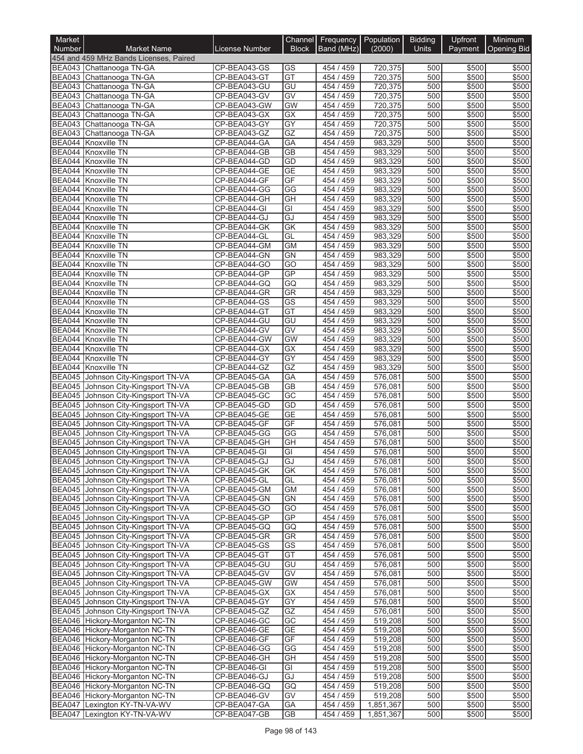| Market           |                                                                            |                              | Channel                  | Frequency              | Population             | <b>Bidding</b>          | Upfront        | Minimum            |
|------------------|----------------------------------------------------------------------------|------------------------------|--------------------------|------------------------|------------------------|-------------------------|----------------|--------------------|
| Number           | <b>Market Name</b>                                                         | License Number               | <b>Block</b>             | Band (MHz)             | (2000)                 | Units                   | Payment        | <b>Opening Bid</b> |
|                  | 454 and 459 MHz Bands Licenses, Paired<br>BEA043 Chattanooga TN-GA         | CP-BEA043-GS                 | GS                       | 454 / 459              | 720,375                | 500                     | \$500          | \$500              |
|                  | BEA043 Chattanooga TN-GA                                                   | CP-BEA043-GT                 | GT                       | 454 / 459              | 720,375                | 500                     | \$500          | \$500              |
|                  | BEA043 Chattanooga TN-GA                                                   | CP-BEA043-GU                 | GU                       | 454 / 459              | 720,375                | 500                     | \$500          | \$500              |
|                  | BEA043 Chattanooga TN-GA                                                   | CP-BEA043-GV                 | GV                       | 454 / 459              | 720,375                | 500                     | \$500          | \$500              |
|                  | BEA043 Chattanooga TN-GA                                                   | CP-BEA043-GW                 | <b>GW</b>                | 454 / 459              | 720,375                | 500                     | \$500          | \$500              |
|                  | BEA043 Chattanooga TN-GA                                                   | CP-BEA043-GX                 | GX                       | 454 / 459              | 720,375                | 500                     | \$500          | \$500              |
|                  | BEA043 Chattanooga TN-GA<br>BEA043 Chattanooga TN-GA                       | CP-BEA043-GY                 | GY<br>GZ                 | 454 / 459<br>454 / 459 | 720,375                | 500<br>500              | \$500<br>\$500 | \$500<br>\$500     |
|                  | BEA044 Knoxville TN                                                        | CP-BEA043-GZ<br>CP-BEA044-GA | GA                       | 454 / 459              | 720,375<br>983,329     | 500                     | \$500          | \$500              |
|                  | BEA044 Knoxville TN                                                        | CP-BEA044-GB                 | <b>GB</b>                | 454 / 459              | 983,329                | 500                     | \$500          | \$500              |
|                  | BEA044 Knoxville TN                                                        | CP-BEA044-GD                 | GD                       | 454 / 459              | 983,329                | 500                     | \$500          | \$500              |
| BEA044           | <b>Knoxville TN</b>                                                        | CP-BEA044-GE                 | <b>GE</b>                | 454 / 459              | 983,329                | 500                     | \$500          | \$500              |
|                  | BEA044 Knoxville TN                                                        | CP-BEA044-GF                 | $\overline{\mathsf{GF}}$ | 454 / 459              | 983,329                | 500                     | \$500          | \$500              |
|                  | BEA044 Knoxville TN                                                        | CP-BEA044-GG                 | $\overline{\text{GG}}$   | 454 / 459              | 983,329                | 500                     | \$500          | \$500              |
| BEA044<br>BEA044 | <b>Knoxville TN</b><br>Knoxville TN                                        | CP-BEA044-GH<br>CP-BEA044-GI | GH<br>GI                 | 454 / 459<br>454 / 459 | 983,329<br>983,329     | 500<br>500              | \$500<br>\$500 | \$500<br>\$500     |
|                  | BEA044 Knoxville TN                                                        | CP-BEA044-GJ                 | GJ                       | 454 / 459              | 983,329                | 500                     | \$500          | \$500              |
|                  | BEA044 Knoxville TN                                                        | CP-BEA044-GK                 | <b>GK</b>                | 454 / 459              | 983,329                | 500                     | \$500          | \$500              |
| <b>BEA044</b>    | Knoxville TN                                                               | CP-BEA044-GL                 | GL                       | 454 / 459              | 983,329                | 500                     | \$500          | \$500              |
|                  | BEA044 Knoxville TN                                                        | CP-BEA044-GM                 | <b>GM</b>                | 454 / 459              | 983,329                | 500                     | \$500          | \$500              |
|                  | BEA044 Knoxville TN                                                        | CP-BEA044-GN                 | <b>GN</b>                | 454 / 459              | 983,329                | 500                     | \$500          | \$500              |
|                  | BEA044 Knoxville TN<br>BEA044 Knoxville TN                                 | CP-BEA044-GO<br>CP-BEA044-GP | $\overline{GO}$<br>GP    | 454 / 459<br>454 / 459 | 983,329                | 500<br>500              | \$500          | \$500              |
|                  | BEA044 Knoxville TN                                                        | CP-BEA044-GQ                 | GQ                       | 454 / 459              | 983,329<br>983,329     | 500                     | \$500<br>\$500 | \$500<br>\$500     |
|                  | BEA044 Knoxville TN                                                        | CP-BEA044-GR                 | GR                       | 454 / 459              | 983,329                | 500                     | \$500          | \$500              |
| BEA044           | Knoxville TN                                                               | CP-BEA044-GS                 | GS                       | 454 / 459              | 983,329                | 500                     | \$500          | \$500              |
|                  | BEA044 Knoxville TN                                                        | CP-BEA044-GT                 | $\overline{GT}$          | 454 / 459              | 983,329                | 500                     | \$500          | \$500              |
|                  | BEA044 Knoxville TN                                                        | CP-BEA044-GU                 | $\overline{GU}$          | 454 / 459              | 983,329                | 500                     | \$500          | \$500              |
|                  | <b>BEA044 Knoxville TN</b>                                                 | CP-BEA044-GV                 | GV                       | 454 / 459              | 983,329                | 500                     | \$500          | \$500              |
|                  | BEA044 Knoxville TN<br>BEA044 Knoxville TN                                 | CP-BEA044-GW<br>CP-BEA044-GX | <b>GW</b><br>GX          | 454 / 459<br>454 / 459 | 983,329<br>983,329     | 500<br>500              | \$500<br>\$500 | \$500<br>\$500     |
|                  | BEA044 Knoxville TN                                                        | CP-BEA044-GY                 | GY                       | 454 / 459              | 983,329                | 500                     | \$500          | \$500              |
|                  | BEA044 Knoxville TN                                                        | CP-BEA044-GZ                 | GZ                       | 454 / 459              | 983,329                | 500                     | \$500          | \$500              |
|                  | BEA045 Johnson City-Kingsport TN-VA                                        | CP-BEA045-GA                 | GA                       | 454 / 459              | 576,081                | 500                     | \$500          | \$500              |
| <b>BEA045</b>    | Johnson City-Kingsport TN-VA                                               | CP-BEA045-GB                 | <b>GB</b>                | 454 / 459              | 576,081                | 500                     | \$500          | \$500              |
| <b>BEA045</b>    | Johnson City-Kingsport TN-VA                                               | CP-BEA045-GC                 | $\overline{GC}$          | 454 / 459              | 576,081                | 500                     | \$500          | \$500              |
|                  | BEA045 Johnson City-Kingsport TN-VA<br>BEA045 Johnson City-Kingsport TN-VA | CP-BEA045-GD<br>CP-BEA045-GE | GD<br><b>GE</b>          | 454 / 459<br>454 / 459 | 576,081                | 500<br>$\overline{500}$ | \$500<br>\$500 | \$500<br>\$500     |
|                  | BEA045 Johnson City-Kingsport TN-VA                                        | CP-BEA045-GF                 | GF                       | 454 / 459              | 576,081<br>576,081     | 500                     | \$500          | \$500              |
| <b>BEA045</b>    | Johnson City-Kingsport TN-VA                                               | CP-BEA045-GG                 | GG                       | 454 / 459              | 576,081                | 500                     | \$500          | \$500              |
| <b>BEA045</b>    | Johnson City-Kingsport TN-VA                                               | CP-BEA045-GH                 | $\overline{GH}$          | 454 / 459              | 576,081                | 500                     | \$500          | \$500              |
|                  | BEA045 Johnson City-Kingsport TN-VA                                        | CP-BEA045-GI                 | GI                       | 454 / 459              | 576,081                | 500                     | \$500          | \$500              |
|                  | BEA045 Johnson City-Kingsport TN-VA                                        | CP-BEA045-GJ                 | GJ                       | 454 / 459              | 576,081                | 500                     | \$500          | \$500              |
|                  | BEA045 Johnson City-Kingsport TN-VA                                        | CP-BEA045-GK                 | <b>GK</b>                | 454 / 459              | 576,081                | 500                     | \$500          | \$500              |
|                  | BEA045 Johnson City-Kingsport TN-VA                                        | CP-BEA045-GL                 | GL                       | 454/459                | 576,081                | 500<br>500              | \$500          | \$500              |
|                  | BEA045 Johnson City-Kingsport TN-VA<br>BEA045 Johnson City-Kingsport TN-VA | CP-BEA045-GM<br>CP-BEA045-GN | <b>GM</b><br><b>GN</b>   | 454 / 459<br>454 / 459 | 576,081<br>576,081     | 500                     | \$500<br>\$500 | \$500<br>\$500     |
|                  | BEA045 Johnson City-Kingsport TN-VA                                        | CP-BEA045-GO                 | GO                       | 454 / 459              | 576,081                | 500                     | \$500          | \$500              |
|                  | BEA045 Johnson City-Kingsport TN-VA                                        | CP-BEA045-GP                 | <b>GP</b>                | 454 / 459              | 576,081                | 500                     | \$500          | \$500              |
|                  | BEA045 Johnson City-Kingsport TN-VA                                        | CP-BEA045-GQ                 | GQ                       | 454 / 459              | 576,081                | 500                     | \$500          | \$500              |
|                  | BEA045 Johnson City-Kingsport TN-VA                                        | CP-BEA045-GR                 | GR                       | 454 / 459              | 576,081                | 500                     | \$500          | \$500              |
|                  | BEA045 Johnson City-Kingsport TN-VA                                        | CP-BEA045-GS                 | $\overline{\text{GS}}$   | 454 / 459              | 576,081                | 500                     | \$500          | \$500              |
|                  | BEA045 Johnson City-Kingsport TN-VA<br>BEA045 Johnson City-Kingsport TN-VA | CP-BEA045-GT<br>CP-BEA045-GU | GT<br>GU                 | 454 / 459<br>454 / 459 | 576,081<br>576,081     | 500<br>500              | \$500<br>\$500 | \$500<br>\$500     |
|                  | BEA045 Johnson City-Kingsport TN-VA                                        | CP-BEA045-GV                 | GV                       | 454 / 459              | 576,081                | 500                     | \$500          | \$500              |
|                  | BEA045 Johnson City-Kingsport TN-VA                                        | CP-BEA045-GW                 | <b>GW</b>                | 454 / 459              | $\overline{576,081}$   | 500                     | \$500          | \$500              |
|                  | BEA045 Johnson City-Kingsport TN-VA                                        | CP-BEA045-GX                 | GX                       | 454 / 459              | 576,081                | 500                     | \$500          | \$500              |
|                  | BEA045 Johnson City-Kingsport TN-VA                                        | CP-BEA045-GY                 | $\overline{GY}$          | 454 / 459              | 576,081                | 500                     | \$500          | \$500              |
|                  | BEA045 Johnson City-Kingsport TN-VA                                        | CP-BEA045-GZ                 | GZ                       | 454/459                | 576,081                | 500                     | \$500          | \$500              |
|                  | BEA046 Hickory-Morganton NC-TN                                             | CP-BEA046-GC                 | GC                       | 454 / 459              | 519,208                | 500                     | \$500          | \$500              |
|                  | BEA046 Hickory-Morganton NC-TN<br>BEA046 Hickory-Morganton NC-TN           | CP-BEA046-GE<br>CP-BEA046-GF | <b>GE</b><br>GF          | 454 / 459<br>454 / 459 | 519,208<br>519,208     | 500<br>500              | \$500<br>\$500 | \$500<br>\$500     |
|                  | BEA046 Hickory-Morganton NC-TN                                             | CP-BEA046-GG                 | GG                       | 454 / 459              | 519,208                | 500                     | \$500          | \$500              |
|                  | BEA046 Hickory-Morganton NC-TN                                             | CP-BEA046-GH                 | GH                       | 454 / 459              | 519,208                | 500                     | \$500          | \$500              |
|                  | BEA046 Hickory-Morganton NC-TN                                             | CP-BEA046-GI                 | GI                       | 454 / 459              | 519,208                | 500                     | \$500          | \$500              |
|                  | BEA046 Hickory-Morganton NC-TN                                             | CP-BEA046-GJ                 | GJ                       | 454 / 459              | 519,208                | 500                     | \$500          | \$500              |
|                  | BEA046 Hickory-Morganton NC-TN                                             | CP-BEA046-GQ                 | GQ                       | 454 / 459              | 519,208                | 500                     | \$500          | \$500              |
|                  | BEA046 Hickory-Morganton NC-TN                                             | CP-BEA046-GV                 | GV                       | 454 / 459              | 519,208                | 500                     | \$500          | \$500              |
|                  | BEA047 Lexington KY-TN-VA-WV<br>BEA047 Lexington KY-TN-VA-WV               | CP-BEA047-GA<br>CP-BEA047-GB | GA<br>GB                 | 454 / 459<br>454 / 459 | 1,851,367<br>1,851,367 | 500<br>500              | \$500<br>\$500 | \$500<br>\$500     |
|                  |                                                                            |                              |                          |                        |                        |                         |                |                    |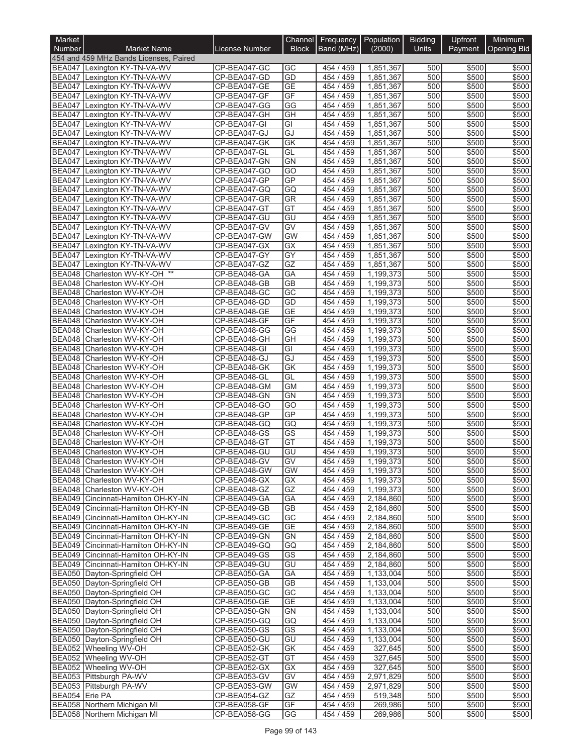| Market                         |                                                                     |                              | Channel         | Frequency                 | Population             | <b>Bidding</b> | Upfront        | Minimum            |
|--------------------------------|---------------------------------------------------------------------|------------------------------|-----------------|---------------------------|------------------------|----------------|----------------|--------------------|
| <b>Number</b>                  | <b>Market Name</b>                                                  | License Number               | <b>Block</b>    | Band (MHz)                | (2000)                 | <b>Units</b>   | Payment        | <b>Opening Bid</b> |
|                                | 454 and 459 MHz Bands Licenses, Paired                              |                              |                 |                           |                        |                |                |                    |
|                                | BEA047 Lexington KY-TN-VA-WV                                        | CP-BEA047-GC                 | GC              | 454 / 459                 | 1,851,367              | 500            | \$500          | \$500              |
| <b>BEA047</b><br><b>BEA047</b> | Lexington KY-TN-VA-WV<br>Lexington KY-TN-VA-WV                      | CP-BEA047-GD<br>CP-BEA047-GE | GD<br>GE        | 454 / 459<br>454 / 459    | 1,851,367<br>1.851.367 | 500<br>500     | \$500<br>\$500 | \$500<br>\$500     |
| <b>BEA047</b>                  | Lexington KY-TN-VA-WV                                               | CP-BEA047-GF                 | GF              | 454 / 459                 | 1,851,367              | 500            | \$500          | \$500              |
| <b>BEA047</b>                  | Lexington KY-TN-VA-WV                                               | CP-BEA047-GG                 | GG              | 454 / 459                 | 1,851,367              | 500            | \$500          | \$500              |
| <b>BEA047</b>                  | Lexington KY-TN-VA-WV                                               | CP-BEA047-GH                 | GH              | 454 / 459                 | 1,851,367              | 500            | \$500          | \$500              |
| <b>BEA047</b>                  | Lexington KY-TN-VA-WV                                               | CP-BEA047-GI                 | GI              | 454 / 459                 | 1,851,367              | 500            | \$500          | \$500              |
| <b>BEA047</b>                  | Lexington KY-TN-VA-WV                                               | CP-BEA047-GJ                 | GJ              | 454 / 459                 | 1.851.367              | 500            | \$500          | \$500              |
| <b>BEA047</b>                  | Lexington KY-TN-VA-WV                                               | CP-BEA047-GK                 | <b>GK</b>       | 454 / 459                 | 1,851,367              | 500            | \$500          | \$500              |
| <b>BEA047</b><br><b>BEA047</b> | Lexington KY-TN-VA-WV                                               | CP-BEA047-GL<br>CP-BEA047-GN | GL<br><b>GN</b> | 454 / 459<br>454 / 459    | 1,851,367              | 500<br>500     | \$500<br>\$500 | \$500<br>\$500     |
| <b>BEA047</b>                  | Lexington KY-TN-VA-WV<br>Lexington KY-TN-VA-WV                      | CP-BEA047-GO                 | GO              | 454 / 459                 | 1,851,367<br>1,851,367 | 500            | \$500          | \$500              |
| <b>BEA047</b>                  | Lexington KY-TN-VA-WV                                               | CP-BEA047-GP                 | GP              | 454 / 459                 | 1,851,367              | 500            | \$500          | \$500              |
| <b>BEA047</b>                  | Lexington KY-TN-VA-WV                                               | CP-BEA047-GQ                 | GQ              | 454 / 459                 | 1,851,367              | 500            | \$500          | \$500              |
| <b>BEA047</b>                  | Lexington KY-TN-VA-WV                                               | CP-BEA047-GR                 | GR              | 454 / 459                 | 1,851,367              | 500            | \$500          | \$500              |
| <b>BEA047</b>                  | Lexington KY-TN-VA-WV                                               | CP-BEA047-GT                 | GT              | 454 / 459                 | 1,851,367              | 500            | \$500          | \$500              |
| <b>BEA047</b>                  | Lexington KY-TN-VA-WV                                               | CP-BEA047-GU                 | GU              | 454 / 459                 | 1,851,367              | 500            | \$500          | \$500              |
| <b>BEA047</b>                  | Lexington KY-TN-VA-WV                                               | CP-BEA047-GV                 | GV              | 454 / 459                 | 1,851,367              | 500            | \$500          | \$500              |
| <b>BEA047</b>                  | Lexington KY-TN-VA-WV                                               | CP-BEA047-GW                 | GW              | 454 / 459                 | 1.851.367              | 500            | \$500          | \$500              |
| BEA047                         | Lexington KY-TN-VA-WV                                               | CP-BEA047-GX<br>CP-BEA047-GY | GX<br>GY        | 454 / 459<br>454 / 459    | 1,851,367<br>1,851,367 | 500<br>500     | \$500<br>\$500 | \$500              |
| <b>BEA047</b><br><b>BEA047</b> | Lexington KY-TN-VA-WV<br>Lexington KY-TN-VA-WV                      | CP-BEA047-GZ                 | GZ              | 454 / 459                 | 1,851,367              | 500            | \$500          | \$500<br>\$500     |
| <b>BEA048</b>                  | Charleston WV-KY-OH **                                              | CP-BEA048-GA                 | GA              | 454 / 459                 | 1.199.373              | 500            | \$500          | \$500              |
| <b>BEA048</b>                  | Charleston WV-KY-OH                                                 | CP-BEA048-GB                 | <b>GB</b>       | 454 / 459                 | 1,199,373              | 500            | \$500          | \$500              |
| <b>BEA048</b>                  | Charleston WV-KY-OH                                                 | CP-BEA048-GC                 | $\overline{GC}$ | 454 / 459                 | 1.199.373              | 500            | \$500          | \$500              |
| <b>BEA048</b>                  | Charleston WV-KY-OH                                                 | CP-BEA048-GD                 | GD              | 454 / 459                 | 1,199,373              | 500            | \$500          | \$500              |
| BEA048                         | Charleston WV-KY-OH                                                 | CP-BEA048-GE                 | <b>GE</b>       | 454 / 459                 | 1,199,373              | 500            | \$500          | \$500              |
| <b>BEA048</b>                  | Charleston WV-KY-OH                                                 | CP-BEA048-GF                 | GF              | 454 / 459                 | 1,199,373              | 500            | \$500          | \$500              |
| <b>BEA048</b>                  | Charleston WV-KY-OH                                                 | CP-BEA048-GG                 | GG              | 454 / 459                 | 1,199,373              | 500            | \$500          | \$500              |
| <b>BEA048</b><br><b>BEA048</b> | Charleston WV-KY-OH<br>Charleston WV-KY-OH                          | CP-BEA048-GH<br>CP-BEA048-GI | GH<br>GI        | 459<br>454 /<br>454 / 459 | 1,199,373<br>1,199,373 | 500<br>500     | \$500<br>\$500 | \$500<br>\$500     |
| <b>BEA048</b>                  | Charleston WV-KY-OH                                                 | CP-BEA048-GJ                 | GJ              | 454 / 459                 | 1,199,373              | 500            | \$500          | \$500              |
| BEA048                         | Charleston WV-KY-OH                                                 | CP-BEA048-GK                 | GK              | 454 / 459                 | 1,199,373              | 500            | \$500          | \$500              |
| <b>BEA048</b>                  | Charleston WV-KY-OH                                                 | CP-BEA048-GL                 | GL              | 454 / 459                 | 1,199,373              | 500            | \$500          | \$500              |
| BEA048                         | Charleston WV-KY-OH                                                 | CP-BEA048-GM                 | <b>GM</b>       | 454 / 459                 | 1,199,373              | 500            | \$500          | \$500              |
| BEA048                         | Charleston WV-KY-OH                                                 | CP-BEA048-GN                 | GN              | 454 / 459                 | 1,199,373              | 500            | \$500          | \$500              |
| BEA048                         | Charleston WV-KY-OH                                                 | CP-BEA048-GO                 | GO              | 454 / 459                 | 1,199,373              | 500            | \$500          | \$500              |
| <b>BEA048</b>                  | Charleston WV-KY-OH                                                 | CP-BEA048-GP                 | GP              | 454 / 459                 | 1,199,373              | 500            | \$500          | \$500              |
| BEA048                         | Charleston WV-KY-OH                                                 | CP-BEA048-GQ                 | GQ              | 454 / 459                 | 1,199,373              | 500            | \$500          | \$500              |
| BEA048<br><b>BEA048</b>        | Charleston WV-KY-OH<br>Charleston WV-KY-OH                          | CP-BEA048-GS<br>CP-BEA048-GT | GS<br>$G$ T     | 454 / 459<br>454 / 459    | 1,199,373<br>1,199,373 | 500<br>500     | \$500<br>\$500 | \$500<br>\$500     |
| BEA048                         | Charleston WV-KY-OH                                                 | CP-BEA048-GU                 | GU              | 454 / 459                 | 1.199.373              | 500            | \$500          | \$500              |
|                                | BEA048 Charleston WV-KY-OH                                          | CP-BEA048-GV                 | GV              | 454 / 459                 | 1,199,373              | 500            | \$500          | \$500              |
|                                | BEA048 Charleston WV-KY-OH                                          | CP-BEA048-GW                 | <b>GW</b>       | 454 / 459                 | 1,199,373              | 500            | \$500          | \$500              |
|                                | BEA048 Charleston WV-KY-OH                                          | CP-BEA048-GX                 | GX              | 454 / 459                 | 1,199,373              | 500            | \$500          | \$500              |
|                                | BEA048 Charleston WV-KY-OH                                          | CP-BEA048-GZ                 | GZ              | 454 / 459                 | 1,199,373              | 500            | \$500          | \$500              |
|                                | BEA049 Cincinnati-Hamilton OH-KY-IN                                 | CP-BEA049-GA                 | GA              | 454 / 459                 | 2,184,860              | 500            | \$500          | \$500              |
|                                | BEA049 Cincinnati-Hamilton OH-KY-IN                                 | CP-BEA049-GB                 | GB              | 454 / 459                 | 2,184,860              | 500            | \$500          | \$500              |
| <b>BEA049</b>                  | Cincinnati-Hamilton OH-KY-IN<br>BEA049 Cincinnati-Hamilton OH-KY-IN | CP-BEA049-GC<br>CP-BEA049-GE | GC<br><b>GE</b> | 454 / 459<br>454 / 459    | 2,184,860              | 500<br>500     | \$500<br>\$500 | \$500<br>\$500     |
|                                | BEA049 Cincinnati-Hamilton OH-KY-IN                                 | CP-BEA049-GN                 | <b>GN</b>       | 454 / 459                 | 2,184,860<br>2,184,860 | 500            | \$500          | \$500              |
|                                | BEA049 Cincinnati-Hamilton OH-KY-IN                                 | CP-BEA049-GQ                 | GQ              | 454 / 459                 | 2,184,860              | 500            | \$500          | \$500              |
|                                | BEA049 Cincinnati-Hamilton OH-KY-IN                                 | CP-BEA049-GS                 | GS              | 454 / 459                 | 2,184,860              | 500            | \$500          | \$500              |
|                                | BEA049 Cincinnati-Hamilton OH-KY-IN                                 | CP-BEA049-GU                 | GU              | 454 / 459                 | 2,184,860              | 500            | \$500          | \$500              |
|                                | BEA050 Dayton-Springfield OH                                        | CP-BEA050-GA                 | GA              | 454 / 459                 | 1,133,004              | 500            | \$500          | \$500              |
|                                | BEA050 Dayton-Springfield OH                                        | CP-BEA050-GB                 | <b>GB</b>       | 454/459                   | 1,133,004              | 500            | \$500          | \$500              |
|                                | BEA050 Dayton-Springfield OH                                        | CP-BEA050-GC                 | GC              | 454 / 459                 | 1,133,004              | 500            | \$500          | \$500              |
|                                | BEA050 Dayton-Springfield OH                                        | CP-BEA050-GE                 | GE              | 454 / 459                 | 1,133,004              | 500            | \$500          | \$500              |
|                                | BEA050 Dayton-Springfield OH<br>BEA050 Dayton-Springfield OH        | CP-BEA050-GN<br>CP-BEA050-GQ | <b>GN</b><br>GQ | 454 / 459<br>454 / 459    | 1,133,004<br>1,133,004 | 500<br>500     | \$500<br>\$500 | \$500<br>\$500     |
|                                | BEA050 Dayton-Springfield OH                                        | CP-BEA050-GS                 | GS              | 454 / 459                 | 1,133,004              | 500            | \$500          | \$500              |
|                                | BEA050 Dayton-Springfield OH                                        | CP-BEA050-GU                 | GU              | 454 / 459                 | 1,133,004              | 500            | \$500          | \$500              |
|                                | BEA052 Wheeling WV-OH                                               | CP-BEA052-GK                 | GK              | 454 / 459                 | 327,645                | 500            | \$500          | \$500              |
|                                | BEA052 Wheeling WV-OH                                               | CP-BEA052-GT                 | GT              | 454 / 459                 | 327,645                | 500            | \$500          | \$500              |
|                                | BEA052 Wheeling WV-OH                                               | CP-BEA052-GX                 | GX              | 454 / 459                 | 327,645                | 500            | \$500          | \$500              |
|                                | BEA053 Pittsburgh PA-WV                                             | CP-BEA053-GV                 | GV              | 454 / 459                 | 2,971,829              | 500            | \$500          | \$500              |
|                                | BEA053 Pittsburgh PA-WV                                             | CP-BEA053-GW                 | <b>GW</b>       | 454 / 459                 | 2,971,829              | 500            | \$500          | \$500              |
| BEA054 Erie PA                 | BEA058 Northern Michigan MI                                         | CP-BEA054-GZ<br>CP-BEA058-GF | GZ<br>GF        | 454 / 459<br>454 / 459    | 519,348<br>269,986     | 500<br>500     | \$500<br>\$500 | \$500<br>\$500     |
|                                | BEA058 Northern Michigan MI                                         | CP-BEA058-GG                 | GG              | 454 / 459                 | 269,986                | 500            | \$500          | \$500              |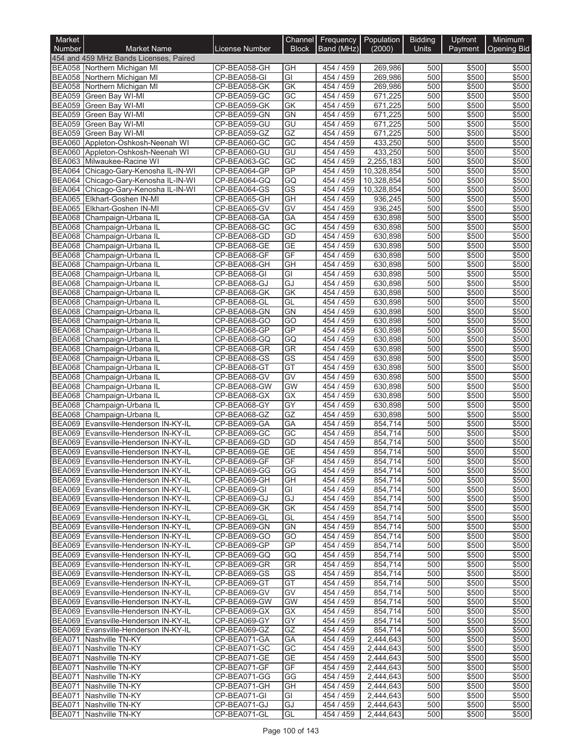| Market                         |                                                                              |                              | Channel                | Frequency              | Population             | <b>Bidding</b> | Upfront        | Minimum            |
|--------------------------------|------------------------------------------------------------------------------|------------------------------|------------------------|------------------------|------------------------|----------------|----------------|--------------------|
| Number                         | <b>Market Name</b>                                                           | <b>License Number</b>        | <b>Block</b>           | Band (MHz)             | (2000)                 | Units          | Payment        | <b>Opening Bid</b> |
|                                | 454 and 459 MHz Bands Licenses, Paired                                       |                              |                        |                        |                        |                |                |                    |
|                                | BEA058 Northern Michigan MI<br>BEA058 Northern Michigan MI                   | CP-BEA058-GH<br>CP-BEA058-GI | GH<br>GI               | 454 / 459<br>454 / 459 | 269,986<br>269,986     | 500<br>500     | \$500<br>\$500 | \$500<br>\$500     |
|                                | BEA058 Northern Michigan MI                                                  | CP-BEA058-GK                 | GK                     | 454 / 459              | 269,986                | 500            | \$500          | \$500              |
| <b>BEA059</b>                  | Green Bay WI-MI                                                              | CP-BEA059-GC                 | $\overline{GC}$        | 454 / 459              | 671,225                | 500            | \$500          | \$500              |
| <b>BEA059</b>                  | Green Bay WI-MI                                                              | CP-BEA059-GK                 | $\overline{GK}$        | 454 / 459              | 671,225                | 500            | \$500          | \$500              |
| <b>BEA059</b>                  | Green Bay WI-MI                                                              | CP-BEA059-GN                 | <b>GN</b>              | 454 / 459              | 671,225                | 500            | \$500          | \$500              |
| <b>BEA059</b>                  | Green Bay WI-MI                                                              | CP-BEA059-GU                 | $\overline{GU}$        | 454 / 459              | 671,225                | 500            | \$500          | \$500              |
| <b>BEA059</b><br><b>BEA060</b> | Green Bay WI-MI<br>Appleton-Oshkosh-Neenah WI                                | CP-BEA059-GZ<br>CP-BEA060-GC | GZ<br>$\overline{GC}$  | 454 / 459<br>454 / 459 | 671,225<br>433,250     | 500<br>500     | \$500<br>\$500 | \$500<br>\$500     |
| <b>BEA060</b>                  | Appleton-Oshkosh-Neenah WI                                                   | CP-BEA060-GU                 | GU                     | 454 / 459              | 433,250                | 500            | \$500          | \$500              |
|                                | BEA063 Milwaukee-Racine WI                                                   | CP-BEA063-GC                 | $\overline{GC}$        | 454 / 459              | 2,255,183              | 500            | \$500          | \$500              |
| <b>BEA064</b>                  | Chicago-Gary-Kenosha IL-IN-WI                                                | CP-BEA064-GP                 | <b>GP</b>              | 454 / 459              | 10,328,854             | 500            | \$500          | \$500              |
| <b>BEA064</b>                  | Chicago-Gary-Kenosha IL-IN-WI                                                | CP-BEA064-GQ                 | GQ                     | 454 / 459              | 10,328,854             | 500            | \$500          | \$500              |
| <b>BEA064</b>                  | Chicago-Gary-Kenosha IL-IN-WI                                                | CP-BEA064-GS                 | $\overline{\text{GS}}$ | 454 / 459              | 10,328,854             | 500            | \$500          | \$500              |
|                                | BEA065 Elkhart-Goshen IN-MI                                                  | CP-BEA065-GH                 | GH                     | 454 / 459              | 936,245                | 500            | \$500          | \$500              |
| BEA065<br><b>BEA068</b>        | Elkhart-Goshen IN-MI<br>Champaign-Urbana IL                                  | CP-BEA065-GV<br>CP-BEA068-GA | $\overline{GV}$<br>GA  | 454 / 459<br>454 / 459 | 936,245<br>630,898     | 500<br>500     | \$500<br>\$500 | \$500<br>\$500     |
| <b>BEA068</b>                  | Champaign-Urbana IL                                                          | CP-BEA068-GC                 | GC                     | 454 / 459              | 630.898                | 500            | \$500          | \$500              |
| <b>BEA068</b>                  | Champaign-Urbana IL                                                          | CP-BEA068-GD                 | GD                     | 454 / 459              | 630,898                | 500            | \$500          | \$500              |
| <b>BEA068</b>                  | Champaign-Urbana IL                                                          | CP-BEA068-GE                 | <b>GE</b>              | 454 / 459              | 630,898                | 500            | \$500          | \$500              |
| <b>BEA068</b>                  | Champaign-Urbana IL                                                          | CP-BEA068-GF                 | GF                     | 454 / 459              | 630,898                | 500            | \$500          | \$500              |
| <b>BEA068</b>                  | Champaign-Urbana IL                                                          | CP-BEA068-GH                 | GH                     | 454 / 459              | 630.898                | 500            | \$500          | \$500              |
| <b>BEA068</b>                  | Champaign-Urbana IL                                                          | CP-BEA068-GI                 | $\overline{G}$         | 454 / 459              | 630.898                | 500            | \$500          | \$500              |
| <b>BEA068</b><br><b>BEA068</b> | Champaign-Urbana IL<br>Champaign-Urbana IL                                   | CP-BEA068-GJ<br>CP-BEA068-GK | GJ<br>$\overline{GK}$  | 454 / 459<br>454 / 459 | 630.898<br>630,898     | 500<br>500     | \$500<br>\$500 | \$500<br>\$500     |
| <b>BEA068</b>                  | Champaign-Urbana IL                                                          | CP-BEA068-GL                 | GL                     | 454 / 459              | 630,898                | 500            | \$500          | \$500              |
| BEA068                         | Champaign-Urbana IL                                                          | CP-BEA068-GN                 | GN                     | 454 /<br>459           | 630,898                | 500            | \$500          | \$500              |
| <b>BEA068</b>                  | Champaign-Urbana IL                                                          | CP-BEA068-GO                 | GO                     | 454 / 459              | 630,898                | 500            | \$500          | \$500              |
| <b>BEA068</b>                  | Champaign-Urbana IL                                                          | CP-BEA068-GP                 | <b>GP</b>              | 454 / 459              | 630,898                | 500            | \$500          | \$500              |
| <b>BEA068</b>                  | Champaign-Urbana IL                                                          | CP-BEA068-GQ                 | GQ                     | 454 / 459              | 630,898                | 500            | \$500          | \$500              |
| <b>BEA068</b>                  | Champaign-Urbana IL                                                          | CP-BEA068-GR                 | <b>GR</b>              | 454 / 459              | 630,898                | 500            | \$500          | \$500              |
| <b>BEA068</b>                  | Champaign-Urbana IL                                                          | CP-BEA068-GS                 | $\overline{\text{GS}}$ | 454 / 459              | 630,898                | 500            | \$500          | \$500              |
| <b>BEA068</b><br><b>BEA068</b> | Champaign-Urbana IL                                                          | CP-BEA068-GT<br>CP-BEA068-GV | GT<br>GV               | 454 / 459<br>454 / 459 | 630,898<br>630,898     | 500<br>500     | \$500          | \$500              |
| <b>BEA068</b>                  | Champaign-Urbana IL<br>Champaign-Urbana IL                                   | CP-BEA068-GW                 | <b>GW</b>              | 454 / 459              | 630,898                | 500            | \$500<br>\$500 | \$500<br>\$500     |
| <b>BEA068</b>                  | Champaign-Urbana IL                                                          | CP-BEA068-GX                 | <b>GX</b>              | 454 / 459              | 630,898                | 500            | \$500          | \$500              |
| <b>BEA068</b>                  | Champaign-Urbana IL                                                          | CP-BEA068-GY                 | GY                     | 454 / 459              | 630,898                | 500            | \$500          | \$500              |
| <b>BEA068</b>                  | Champaign-Urbana IL                                                          | CP-BEA068-GZ                 | GZ                     | 454 / 459              | 630,898                | 500            | \$500          | \$500              |
| <b>BEA069</b>                  | Evansville-Henderson IN-KY-IL                                                | CP-BEA069-GA                 | GA                     | 454 / 459              | 854,714                | 500            | \$500          | \$500              |
| <b>BEA069</b>                  | Evansville-Henderson IN-KY-IL                                                | CP-BEA069-GC                 | $\overline{GC}$        | 454 / 459              | 854,714                | 500            | \$500          | \$500              |
| <b>BEA069</b>                  | Evansville-Henderson IN-KY-IL                                                | CP-BEA069-GD                 | GD                     | 459<br>454 /           | 854,714                | 500            | \$500          | \$500              |
| <b>BEA069</b>                  | Evansville-Henderson IN-KY-IL                                                | CP-BEA069-GE<br>CP-BEA069-GF | <b>GE</b>              | 454 / 459<br>454 / 459 | 854,714<br>854,714     | 500<br>500     | \$500<br>\$500 | \$500<br>\$500     |
|                                | BEA069 Evansville-Henderson IN-KY-IL<br>BEA069 Evansville-Henderson IN-KY-IL | CP-BEA069-GG                 | G⊦<br>GG               | 454 / 459              | 854,714                | 500            | \$500          | \$500              |
|                                | BEA069 Evansville-Henderson IN-KY-IL                                         | CP-BEA069-GH                 | GH                     | 454 / 459              | 854,714                | 500            | \$500          | \$500              |
|                                | BEA069 Evansville-Henderson IN-KY-IL                                         | CP-BEA069-GI                 | GI                     | 454 / 459              | 854,714                | 500            | \$500          | \$500              |
|                                | BEA069 Evansville-Henderson IN-KY-IL                                         | CP-BEA069-GJ                 | GJ                     | 454 / 459              | 854,714                | 500            | \$500          | \$500              |
|                                | BEA069 Evansville-Henderson IN-KY-IL                                         | CP-BEA069-GK                 | GK                     | 454 / 459              | 854,714                | 500            | \$500          | \$500              |
|                                | BEA069 Evansville-Henderson IN-KY-IL                                         | CP-BEA069-GL                 | GL                     | 454 / 459              | 854,714                | 500            | \$500          | \$500              |
|                                | BEA069 Evansville-Henderson IN-KY-IL<br>BEA069 Evansville-Henderson IN-KY-IL | CP-BEA069-GN<br>CP-BEA069-GO | <b>GN</b><br>GO        | 454 / 459<br>454 / 459 | 854,714<br>854,714     | 500<br>500     | \$500<br>\$500 | \$500<br>\$500     |
|                                | BEA069 Evansville-Henderson IN-KY-IL                                         | CP-BEA069-GP                 | <b>GP</b>              | 454 / 459              | 854,714                | 500            | \$500          | \$500              |
|                                | BEA069 Evansville-Henderson IN-KY-IL                                         | CP-BEA069-GQ                 | GQ                     | 454 / 459              | 854,714                | 500            | \$500          | \$500              |
|                                | BEA069 Evansville-Henderson IN-KY-IL                                         | CP-BEA069-GR                 | <b>GR</b>              | 454 / 459              | 854,714                | 500            | \$500          | \$500              |
|                                | BEA069 Evansville-Henderson IN-KY-IL                                         | CP-BEA069-GS                 | GS                     | 454 / 459              | 854.714                | 500            | \$500          | \$500              |
|                                | BEA069 Evansville-Henderson IN-KY-IL                                         | CP-BEA069-GT                 | GT                     | 454 / 459              | 854,714                | 500            | \$500          | \$500              |
|                                | BEA069 Evansville-Henderson IN-KY-IL                                         | CP-BEA069-GV                 | GV                     | 454 / 459              | 854,714                | 500            | \$500          | \$500              |
|                                | BEA069 Evansville-Henderson IN-KY-IL                                         | CP-BEA069-GW                 | GW                     | 454 / 459              | 854,714                | 500            | \$500          | \$500              |
|                                | BEA069 Evansville-Henderson IN-KY-IL<br>BEA069 Evansville-Henderson IN-KY-IL | CP-BEA069-GX<br>CP-BEA069-GY | GX<br>GY               | 454 / 459<br>454 / 459 | 854,714<br>854,714     | 500<br>500     | \$500<br>\$500 | \$500<br>\$500     |
|                                | BEA069 Evansville-Henderson IN-KY-IL                                         | CP-BEA069-GZ                 | GZ                     | 454 / 459              | 854,714                | 500            | \$500          | \$500              |
|                                | BEA071 Nashville TN-KY                                                       | CP-BEA071-GA                 | GА                     | 454 / 459              | 2,444,643              | 500            | \$500          | \$500              |
|                                | BEA071 Nashville TN-KY                                                       | CP-BEA071-GC                 | GC                     | 454 / 459              | 2,444,643              | 500            | \$500          | \$500              |
|                                | BEA071 Nashville TN-KY                                                       | CP-BEA071-GE                 | <b>GE</b>              | 454/459                | 2,444,643              | 500            | \$500          | \$500              |
|                                | BEA071 Nashville TN-KY                                                       | CP-BEA071-GF                 | GF                     | 454 / 459              | 2,444,643              | 500            | \$500          | \$500              |
|                                | BEA071 Nashville TN-KY                                                       | CP-BEA071-GG                 | GG                     | 454 / 459              | 2,444,643              | 500            | \$500          | \$500              |
|                                | BEA071 Nashville TN-KY<br>BEA071 Nashville TN-KY                             | CP-BEA071-GH<br>CP-BEA071-GI | GH<br>GI               | 454 / 459<br>454 / 459 | 2,444,643<br>2,444,643 | 500<br>500     | \$500<br>\$500 | \$500<br>\$500     |
|                                | BEA071 Nashville TN-KY                                                       | CP-BEA071-GJ                 | GJ                     | 454 / 459              | 2,444,643              | 500            | \$500          | \$500              |
|                                | BEA071 Nashville TN-KY                                                       | CP-BEA071-GL                 | GL                     | 454 / 459              | 2,444,643              | 500            | \$500          | \$500              |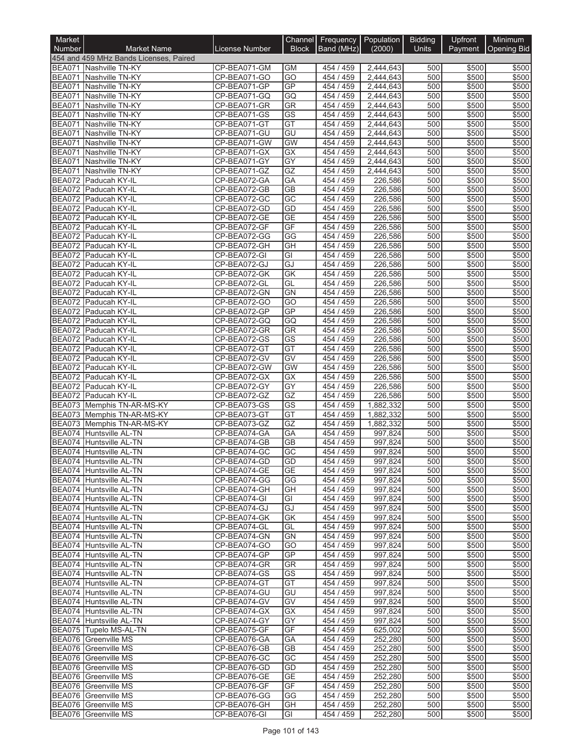| Market        |                                                    |                              |                              | Channel Frequency Population |                        | <b>Bidding</b> | Upfront        | Minimum               |
|---------------|----------------------------------------------------|------------------------------|------------------------------|------------------------------|------------------------|----------------|----------------|-----------------------|
| <b>Number</b> | <b>Market Name</b>                                 | <b>License Number</b>        | <b>Block</b>                 | Band (MHz)                   | (2000)                 | <b>Units</b>   |                | Payment   Opening Bid |
|               | 454 and 459 MHz Bands Licenses, Paired             |                              |                              |                              |                        |                |                |                       |
|               | BEA071 Nashville TN-KY<br>BEA071 Nashville TN-KY   | CP-BEA071-GM<br>CP-BEA071-GO | <b>GM</b><br>$\overline{GO}$ | 454 / 459<br>454 / 459       | 2,444,643<br>2,444,643 | 500<br>500     | \$500<br>\$500 | \$500<br>\$500        |
|               | BEA071 Nashville TN-KY                             | CP-BEA071-GP                 | GP                           | 454 / 459                    | 2,444,643              | 500            | \$500          | \$500                 |
|               | BEA071 Nashville TN-KY                             | CP-BEA071-GQ                 | GQ                           | 454 / 459                    | 2,444,643              | 500            | \$500          | \$500                 |
|               | BEA071 Nashville TN-KY                             | CP-BEA071-GR                 | <b>GR</b>                    | 454 / 459                    | 2,444,643              | 500            | \$500          | \$500                 |
|               | BEA071 Nashville TN-KY                             | CP-BEA071-GS                 | $\overline{\text{GS}}$       | 454 / 459                    | 2,444,643              | 500            | \$500          | \$500                 |
|               | BEA071 Nashville TN-KY                             | CP-BEA071-GT                 | GT                           | 454 / 459                    | 2,444,643              | 500            | \$500          | \$500                 |
|               | BEA071 Nashville TN-KY<br>BEA071 Nashville TN-KY   | CP-BEA071-GU                 | GU<br><b>GW</b>              | 454 / 459<br>454 / 459       | 2,444,643              | 500<br>500     | \$500          | \$500                 |
|               | BEA071 Nashville TN-KY                             | CP-BEA071-GW<br>CP-BEA071-GX | GX                           | 454 / 459                    | 2,444,643<br>2,444,643 | 500            | \$500<br>\$500 | \$500<br>\$500        |
| <b>BEA071</b> | Nashville TN-KY                                    | CP-BEA071-GY                 | $\overline{GY}$              | 454 / 459                    | 2,444,643              | 500            | \$500          | \$500                 |
| <b>BEA071</b> | Nashville TN-KY                                    | CP-BEA071-GZ                 | GZ                           | 454 / 459                    | 2,444,643              | 500            | \$500          | \$500                 |
|               | BEA072 Paducah KY-IL                               | CP-BEA072-GA                 | GA                           | 454 / 459                    | 226,586                | 500            | \$500          | \$500                 |
|               | BEA072 Paducah KY-IL                               | CP-BEA072-GB                 | <b>GB</b>                    | 454 / 459                    | 226,586                | 500            | \$500          | \$500                 |
|               | BEA072 Paducah KY-IL                               | CP-BEA072-GC                 | GC                           | 454 / 459                    | 226,586                | 500            | \$500          | \$500                 |
|               | BEA072 Paducah KY-IL<br>BEA072 Paducah KY-IL       | CP-BEA072-GD<br>CP-BEA072-GE | GD<br><b>GE</b>              | 454 / 459<br>454 / 459       | 226,586<br>226,586     | 500<br>500     | \$500<br>\$500 | \$500<br>\$500        |
|               | BEA072 Paducah KY-IL                               | CP-BEA072-GF                 | GF                           | 454 / 459                    | 226,586                | 500            | \$500          | \$500                 |
|               | BEA072 Paducah KY-IL                               | CP-BEA072-GG                 | GG                           | 454 / 459                    | 226,586                | 500            | \$500          | \$500                 |
|               | BEA072 Paducah KY-IL                               | CP-BEA072-GH                 | GH                           | 454 / 459                    | 226,586                | 500            | \$500          | \$500                 |
|               | BEA072 Paducah KY-IL                               | CP-BEA072-GI                 | GI                           | 454 / 459                    | 226,586                | 500            | \$500          | \$500                 |
|               | BEA072 Paducah KY-IL                               | CP-BEA072-GJ                 | GJ                           | 454 / 459                    | 226,586                | 500            | \$500          | \$500                 |
|               | BEA072 Paducah KY-IL                               | CP-BEA072-GK                 | <b>GK</b>                    | 454 / 459                    | 226,586                | 500            | \$500          | \$500                 |
|               | BEA072 Paducah KY-IL                               | CP-BEA072-GL                 | GL                           | 454 / 459                    | 226,586                | 500            | \$500          | \$500                 |
|               | BEA072 Paducah KY-IL                               | CP-BEA072-GN                 | GN<br>GO                     | 454 / 459<br>454 / 459       | 226,586<br>226,586     | 500<br>500     | \$500<br>\$500 | \$500                 |
|               | BEA072 Paducah KY-IL<br>BEA072 Paducah KY-IL       | CP-BEA072-GO<br>CP-BEA072-GP | GP                           | 454 / 459                    | 226,586                | 500            | \$500          | \$500<br>\$500        |
|               | BEA072 Paducah KY-IL                               | CP-BEA072-GQ                 | GQ                           | 454 / 459                    | 226,586                | 500            | \$500          | \$500                 |
|               | BEA072 Paducah KY-IL                               | CP-BEA072-GR                 | GR                           | 454 / 459                    | 226,586                | 500            | \$500          | \$500                 |
|               | BEA072 Paducah KY-IL                               | CP-BEA072-GS                 | GS                           | 454 / 459                    | 226,586                | 500            | \$500          | \$500                 |
|               | BEA072 Paducah KY-IL                               | CP-BEA072-GT                 | GT                           | 454 / 459                    | 226,586                | 500            | \$500          | \$500                 |
|               | BEA072 Paducah KY-IL                               | CP-BEA072-GV                 | GV                           | 454 / 459                    | 226,586                | 500            | \$500          | \$500                 |
|               | BEA072 Paducah KY-IL                               | CP-BEA072-GW                 | <b>GW</b>                    | 454 / 459                    | 226,586                | 500            | \$500          | \$500                 |
|               | BEA072 Paducah KY-IL<br>BEA072 Paducah KY-IL       | CP-BEA072-GX<br>CP-BEA072-GY | GX<br>GY                     | 454 / 459<br>454 / 459       | 226,586<br>226,586     | 500<br>500     | \$500<br>\$500 | \$500<br>\$500        |
|               | BEA072 Paducah KY-IL                               | CP-BEA072-GZ                 | GZ                           | 454 / 459                    | 226,586                | 500            | \$500          | \$500                 |
|               | BEA073 Memphis TN-AR-MS-KY                         | CP-BEA073-GS                 | GS                           | 454 / 459                    | 1,882,332              | 500            | \$500          | \$500                 |
|               | BEA073 Memphis TN-AR-MS-KY                         | CP-BEA073-GT                 | GT                           | 454 / 459                    | 1,882,332              | 500            | \$500          | \$500                 |
|               | BEA073 Memphis TN-AR-MS-KY                         | CP-BEA073-GZ                 | GZ                           | 454 / 459                    | 1,882,332              | 500            | \$500          | \$500                 |
|               | BEA074 Huntsville AL-TN                            | CP-BEA074-GA                 | GA                           | 454 / 459                    | 997,824                | 500            | \$500          | \$500                 |
|               | BEA074 Huntsville AL-TN                            | CP-BEA074-GB                 | $\overline{GB}$              | 454 / 459                    | 997,824                | 500            | \$500          | \$500                 |
|               | BEA074 Huntsville AL-TN                            | CP-BEA074-GC                 | $\overline{GC}$              | 454 / 459                    | 997,824                | 500            | \$500          | \$500                 |
|               | BEA074 Huntsville AL-TN<br>BEA074 Huntsville AL-TN | CP-BEA074-GD<br>CP-BEA074-GE | GD<br><b>GE</b>              | 454 / 459<br>454 / 459       | 997,824<br>997,824     | 500 <br>500    | \$500<br>\$500 | \$500<br>\$500        |
|               | BEA074 Huntsville AL-TN                            | CP-BEA074-GG                 | GG                           | 454/459                      | 997,824                | 500            | \$500          | \$500                 |
|               | BEA074 Huntsville AL-TN                            | CP-BEA074-GH                 | GH                           | 454 / 459                    | 997,824                | 500            | \$500          | \$500                 |
|               | BEA074 Huntsville AL-TN                            | CP-BEA074-GI                 | GI                           | 454 / 459                    | 997,824                | 500            | \$500          | \$500                 |
|               | BEA074 Huntsville AL-TN                            | CP-BEA074-GJ                 | GJ                           | 454 / 459                    | 997,824                | 500            | \$500          | \$500                 |
|               | BEA074 Huntsville AL-TN                            | CP-BEA074-GK                 | GK                           | 454 / 459                    | 997,824                | 500            | \$500          | \$500                 |
|               | BEA074 Huntsville AL-TN                            | CP-BEA074-GL<br>CP-BEA074-GN | GL                           | 454 / 459                    | 997,824                | 500            | \$500          | \$500                 |
|               | BEA074 Huntsville AL-TN<br>BEA074 Huntsville AL-TN | CP-BEA074-GO                 | GN<br>GO                     | 454 / 459<br>454 / 459       | 997,824<br>997,824     | 500<br>500     | \$500<br>\$500 | \$500<br>\$500        |
|               | BEA074 Huntsville AL-TN                            | CP-BEA074-GP                 | <b>GP</b>                    | 454 / 459                    | 997,824                | 500            | \$500          | \$500                 |
|               | BEA074 Huntsville AL-TN                            | CP-BEA074-GR                 | GR                           | 454 / 459                    | 997,824                | 500            | \$500          | \$500                 |
|               | BEA074 Huntsville AL-TN                            | CP-BEA074-GS                 | GS                           | 454 / 459                    | 997,824                | 500            | \$500          | \$500                 |
|               | BEA074 Huntsville AL-TN                            | CP-BEA074-GT                 | GT                           | 454 / 459                    | 997,824                | 500            | \$500          | \$500                 |
|               | BEA074 Huntsville AL-TN                            | CP-BEA074-GU                 | GU                           | 454 / 459                    | 997,824                | 500            | \$500          | \$500                 |
|               | BEA074 Huntsville AL-TN                            | CP-BEA074-GV                 | GV                           | 454 / 459                    | 997,824                | 500            | \$500          | \$500                 |
|               | BEA074 Huntsville AL-TN<br>BEA074 Huntsville AL-TN | CP-BEA074-GX<br>CP-BEA074-GY | GX<br>GY                     | 454 / 459<br>454 / 459       | 997,824<br>997,824     | 500<br>500     | \$500<br>\$500 | \$500<br>\$500        |
|               | BEA075 Tupelo MS-AL-TN                             | CP-BEA075-GF                 | GF                           | 454 / 459                    | 625,002                | 500            | \$500          | \$500                 |
|               | BEA076 Greenville MS                               | CP-BEA076-GA                 | GA                           | 454 / 459                    | 252,280                | 500            | \$500          | \$500                 |
|               | BEA076 Greenville MS                               | CP-BEA076-GB                 | <b>GB</b>                    | 454 / 459                    | 252,280                | 500            | \$500          | \$500                 |
|               | BEA076 Greenville MS                               | CP-BEA076-GC                 | GC                           | 454 / 459                    | 252,280                | 500            | \$500          | \$500                 |
|               | BEA076 Greenville MS                               | CP-BEA076-GD                 | GD                           | 454 / 459                    | 252,280                | 500            | \$500          | \$500                 |
|               | BEA076 Greenville MS                               | CP-BEA076-GE                 | <b>GE</b>                    | 454 / 459                    | 252,280                | 500            | \$500          | \$500                 |
|               | BEA076 Greenville MS                               | CP-BEA076-GF                 | GF                           | 454 / 459                    | 252,280                | 500            | \$500          | \$500                 |
|               | BEA076 Greenville MS<br>BEA076 Greenville MS       | CP-BEA076-GG<br>CP-BEA076-GH | GG<br>GH                     | 454 / 459<br>454 / 459       | 252,280<br>252,280     | 500<br>500     | \$500<br>\$500 | \$500<br>\$500        |
|               | <b>BEA076</b> Greenville MS                        | CP-BEA076-GI                 | GI                           | 454 / 459                    | 252,280                | 500            | \$500          | \$500                 |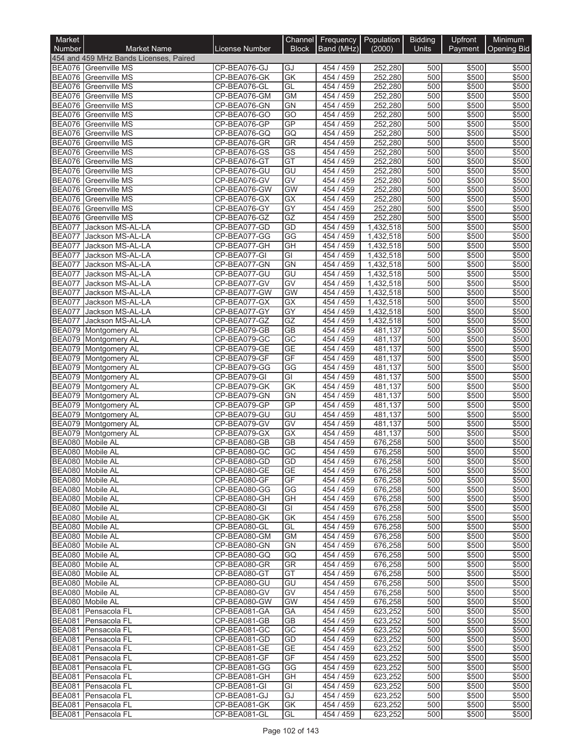| Market                         |                                                     |                              |                         | Channel Frequency Population |                        | <b>Bidding</b> | Upfront        | Minimum            |
|--------------------------------|-----------------------------------------------------|------------------------------|-------------------------|------------------------------|------------------------|----------------|----------------|--------------------|
| <b>Number</b>                  | <b>Market Name</b>                                  | <b>License Number</b>        | <b>Block</b>            | Band (MHz)                   | (2000)                 | <b>Units</b>   | Payment        | <b>Opening Bid</b> |
|                                | 454 and 459 MHz Bands Licenses, Paired              |                              |                         |                              |                        |                |                |                    |
|                                | BEA076 Greenville MS<br>BEA076 Greenville MS        | CP-BEA076-GJ<br>CP-BEA076-GK | GJ<br>GK                | 454 / 459<br>454 / 459       | 252,280<br>252,280     | 500<br>500     | \$500<br>\$500 | \$500<br>\$500     |
| <b>BEA076</b>                  | Greenville MS                                       | CP-BEA076-GL                 | GL                      | 454 / 459                    | 252,280                | 500            | \$500          | \$500              |
| <b>BEA076</b>                  | <b>Greenville MS</b>                                | CP-BEA076-GM                 | <b>GM</b>               | 454 / 459                    | 252,280                | 500            | \$500          | \$500              |
|                                | BEA076 Greenville MS                                | CP-BEA076-GN                 | <b>GN</b>               | 454 / 459                    | 252,280                | 500            | \$500          | \$500              |
| <b>BEA076</b>                  | <b>Greenville MS</b>                                | CP-BEA076-GO                 | $\overline{GO}$         | 454 / 459                    | 252,280                | 500            | \$500          | \$500              |
|                                | <b>BEA076</b> Greenville MS                         | CP-BEA076-GP                 | GP                      | 454 / 459                    | 252,280                | 500            | \$500          | \$500              |
|                                | <b>BEA076</b> Greenville MS<br>BEA076 Greenville MS | CP-BEA076-GQ                 | GQ<br><b>GR</b>         | 454 / 459                    | 252,280<br>252,280     | 500<br>500     | \$500          | \$500              |
| <b>BEA076</b>                  | Greenville MS                                       | CP-BEA076-GR<br>CP-BEA076-GS | $\overline{\text{GS}}$  | 454 / 459<br>454 / 459       | 252.280                | 500            | \$500<br>\$500 | \$500<br>\$500     |
| <b>BEA076</b>                  | <b>Greenville MS</b>                                | CP-BEA076-GT                 | GT                      | 454 / 459                    | 252,280                | 500            | \$500          | \$500              |
| BEA076                         | <b>Greenville MS</b>                                | CP-BEA076-GU                 | GU                      | 454 / 459                    | 252,280                | 500            | \$500          | \$500              |
|                                | <b>BEA076</b> Greenville MS                         | CP-BEA076-GV                 | GV                      | 454 / 459                    | 252,280                | 500            | \$500          | \$500              |
| <b>BEA076</b>                  | Greenville MS                                       | CP-BEA076-GW                 | <b>GW</b>               | 454 / 459                    | 252,280                | 500            | \$500          | \$500              |
|                                | BEA076 Greenville MS                                | CP-BEA076-GX                 | GX                      | 454 / 459                    | 252,280                | 500            | \$500          | \$500              |
| <b>BEA076</b>                  | BEA076 Greenville MS                                | CP-BEA076-GY                 | GY                      | 454 / 459                    | 252,280                | 500            | \$500          | \$500              |
| <b>BEA077</b>                  | <b>Greenville MS</b><br>Jackson MS-AL-LA            | CP-BEA076-GZ<br>CP-BEA077-GD | GZ<br>GD                | 454 / 459<br>454 / 459       | 252,280<br>1,432,518   | 500<br>500     | \$500<br>\$500 | \$500<br>\$500     |
| <b>BEA077</b>                  | Jackson MS-AL-LA                                    | CP-BEA077-GG                 | $\overline{\text{GG}}$  | 454 / 459                    | 1,432,518              | 500            | \$500          | \$500              |
| <b>BEA077</b>                  | Jackson MS-AL-LA                                    | CP-BEA077-GH                 | GH                      | 454 / 459                    | 1,432,518              | 500            | \$500          | \$500              |
| <b>BEA077</b>                  | Jackson MS-AL-LA                                    | CP-BEA077-GI                 | $\overline{\mathsf{G}}$ | 454 / 459                    | 1,432,518              | 500            | \$500          | \$500              |
| <b>BEA077</b>                  | Jackson MS-AL-LA                                    | CP-BEA077-GN                 | GN                      | 454 / 459                    | 1,432,518              | 500            | \$500          | \$500              |
| <b>BEA077</b>                  | Jackson MS-AL-LA                                    | CP-BEA077-GU                 | GU                      | 454 / 459                    | 1,432,518              | 500            | \$500          | \$500              |
| <b>BEA077</b>                  | Jackson MS-AL-LA                                    | CP-BEA077-GV                 | GV                      | 454 / 459                    | 1,432,518              | 500            | \$500          | \$500              |
| <b>BEA077</b>                  | Jackson MS-AL-LA                                    | CP-BEA077-GW                 | <b>GW</b>               | 454 / 459                    | 1,432,518              | 500            | \$500          | \$500              |
| <b>BEA077</b><br><b>BEA077</b> | Jackson MS-AL-LA<br>Jackson MS-AL-LA                | CP-BEA077-GX<br>CP-BEA077-GY | GX<br>GY                | 454 / 459<br>454 / 459       | 1,432,518<br>1,432,518 | 500<br>500     | \$500<br>\$500 | \$500<br>\$500     |
| <b>BEA077</b>                  | Jackson MS-AL-LA                                    | CP-BEA077-GZ                 | GZ                      | 454 / 459                    | 1,432,518              | 500            | \$500          | \$500              |
|                                | BEA079 Montgomery AL                                | CP-BEA079-GB                 | $\overline{GB}$         | 454 / 459                    | 481,137                | 500            | \$500          | \$500              |
|                                | BEA079 Montgomery AL                                | CP-BEA079-GC                 | $\overline{GC}$         | 454 / 459                    | 481,137                | 500            | \$500          | \$500              |
|                                | BEA079 Montgomery AL                                | CP-BEA079-GE                 | <b>GE</b>               | 454 / 459                    | 481,137                | 500            | \$500          | \$500              |
|                                | BEA079 Montgomery AL                                | CP-BEA079-GF                 | GF                      | 454 / 459                    | 481,137                | 500            | \$500          | \$500              |
|                                | BEA079 Montgomery AL                                | CP-BEA079-GG                 | GG                      | 454 / 459                    | 481,137                | 500            | \$500          | \$500              |
|                                | BEA079 Montgomery AL                                | CP-BEA079-GI<br>CP-BEA079-GK | $\overline{G}$          | 454 / 459                    | 481,137                | 500            | \$500          | \$500              |
|                                | BEA079 Montgomery AL<br>BEA079 Montgomery AL        | CP-BEA079-GN                 | GK<br><b>GN</b>         | 454 / 459<br>454 / 459       | 481,137<br>481,137     | 500<br>500     | \$500<br>\$500 | \$500<br>\$500     |
|                                | BEA079 Montgomery AL                                | CP-BEA079-GP                 | <b>GP</b>               | 454 / 459                    | 481,137                | 500            | \$500          | \$500              |
|                                | BEA079 Montgomery AL                                | CP-BEA079-GU                 | GU                      | 454 / 459                    | 481,137                | 500            | \$500          | \$500              |
|                                | BEA079 Montgomery AL                                | CP-BEA079-GV                 | GV                      | 454 / 459                    | 481,137                | 500            | \$500          | \$500              |
|                                | BEA079 Montgomery AL                                | CP-BEA079-GX                 | GX                      | 454 / 459                    | 481,137                | 500            | \$500          | \$500              |
|                                | BEA080 Mobile AL                                    | CP-BEA080-GB                 | $\overline{GB}$         | 454 / 459                    | 676,258                | 500            | \$500          | \$500              |
|                                | BEA080 Mobile AL                                    | CP-BEA080-GC                 | $\overline{GC}$         | 454 / 459                    | 676,258                | 500            | \$500          | \$500              |
|                                | BEA080 Mobile AL<br>BEA080 Mobile AL                | CP-BEA080-GD<br>CP-BEA080-GE | GD<br><b>GE</b>         | 454 / 459<br>454 / 459       | 676,258<br>676,258     | 500 <br>500    | \$500<br>\$500 | \$500<br>\$500     |
|                                | BEA080 Mobile AL                                    | CP-BEA080-GF                 | GF                      | 454 / 459                    | 676,258                | 500            | \$500          | \$500              |
|                                | BEA080 Mobile AL                                    | CP-BEA080-GG                 | GG                      | 454 / 459                    | 676,258                | 500            | \$500          | \$500              |
|                                | BEA080 Mobile AL                                    | CP-BEA080-GH                 | GH                      | 454 / 459                    | 676,258                | 500            | \$500          | \$500              |
|                                | BEA080 Mobile AL                                    | CP-BEA080-GI                 | GI                      | 454 / 459                    | 676,258                | 500            | \$500          | \$500              |
|                                | BEA080 Mobile AL                                    | CP-BEA080-GK                 | GK                      | 454 / 459                    | 676,258                | 500            | \$500          | \$500              |
|                                | BEA080 Mobile AL                                    | CP-BEA080-GL                 | GL                      | 454 / 459                    | 676,258                | 500            | \$500          | \$500              |
|                                | BEA080 Mobile AL<br>BEA080 Mobile AL                | CP-BEA080-GM<br>CP-BEA080-GN | GM<br><b>GN</b>         | 454 / 459<br>454 / 459       | 676,258<br>676,258     | 500<br>500     | \$500<br>\$500 | \$500<br>\$500     |
|                                | BEA080 Mobile AL                                    | CP-BEA080-GQ                 | GQ                      | 454 / 459                    | 676,258                | 500            | \$500          | \$500              |
|                                | BEA080 Mobile AL                                    | CP-BEA080-GR                 | GR                      | 454 / 459                    | 676,258                | 500            | \$500          | \$500              |
|                                | BEA080 Mobile AL                                    | CP-BEA080-GT                 | GT                      | 454 / 459                    | 676,258                | 500            | \$500          | \$500              |
|                                | BEA080 Mobile AL                                    | CP-BEA080-GU                 | GU                      | 454 / 459                    | 676,258                | 500            | \$500          | \$500              |
|                                | BEA080 Mobile AL                                    | CP-BEA080-GV                 | GV                      | 454 / 459                    | 676,258                | 500            | \$500          | \$500              |
|                                | BEA080 Mobile AL                                    | CP-BEA080-GW                 | GW                      | 454 / 459                    | 676,258                | 500            | \$500          | \$500              |
|                                | BEA081 Pensacola FL                                 | CP-BEA081-GA                 | GA                      | 454 / 459                    | 623,252                | 500            | \$500          | \$500              |
|                                | BEA081 Pensacola FL<br>BEA081 Pensacola FL          | CP-BEA081-GB<br>CP-BEA081-GC | GB<br>GC                | 454 / 459<br>454 / 459       | 623,252<br>623,252     | 500<br>500     | \$500<br>\$500 | \$500<br>\$500     |
|                                | BEA081 Pensacola FL                                 | CP-BEA081-GD                 | GD                      | 454 / 459                    | 623,252                | 500            | \$500          | \$500              |
|                                | BEA081 Pensacola FL                                 | CP-BEA081-GE                 | <b>GE</b>               | 454 / 459                    | 623,252                | 500            | \$500          | \$500              |
|                                | BEA081 Pensacola FL                                 | CP-BEA081-GF                 | GF                      | 454 / 459                    | 623,252                | 500            | \$500          | \$500              |
|                                | BEA081 Pensacola FL                                 | CP-BEA081-GG                 | GG                      | 454 / 459                    | 623,252                | 500            | \$500          | \$500              |
|                                | BEA081 Pensacola FL                                 | CP-BEA081-GH                 | GH                      | 454 / 459                    | 623,252                | 500            | \$500          | \$500              |
|                                | BEA081 Pensacola FL                                 | CP-BEA081-GI                 | GI                      | 454 / 459                    | 623,252                | 500            | \$500          | \$500              |
|                                | BEA081 Pensacola FL<br>BEA081 Pensacola FL          | CP-BEA081-GJ<br>CP-BEA081-GK | GJ<br>GK                | 454 / 459<br>454 / 459       | 623,252<br>623,252     | 500<br>500     | \$500<br>\$500 | \$500<br>\$500     |
|                                | BEA081 Pensacola FL                                 | CP-BEA081-GL                 | GL                      | 454 / 459                    | 623,252                | 500            | \$500          | \$500              |
|                                |                                                     |                              |                         |                              |                        |                |                |                    |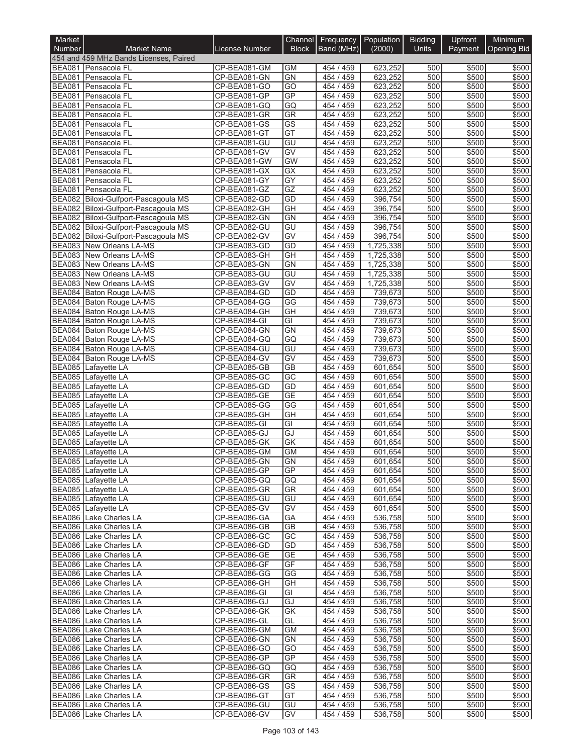| Market                         |                                                                              |                              | Channel                 | Frequency              | Population           | <b>Bidding</b> | Upfront        | Minimum            |
|--------------------------------|------------------------------------------------------------------------------|------------------------------|-------------------------|------------------------|----------------------|----------------|----------------|--------------------|
| <b>Number</b>                  | <b>Market Name</b>                                                           | <b>License Number</b>        | <b>Block</b>            | Band (MHz)             | (2000)               | Units          | Payment        | <b>Opening Bid</b> |
|                                | 454 and 459 MHz Bands Licenses, Paired                                       |                              |                         |                        |                      |                |                |                    |
|                                | BEA081 Pensacola FL<br>BEA081 Pensacola FL                                   | CP-BEA081-GM<br>CP-BEA081-GN | <b>GM</b><br><b>GN</b>  | 454 / 459<br>454 / 459 | 623,252<br>623,252   | 500<br>500     | \$500<br>\$500 | \$500<br>\$500     |
| <b>BEA081</b>                  | Pensacola FL                                                                 | CP-BEA081-GO                 | GO                      | 454 / 459              | 623,252              | 500            | \$500          | \$500              |
| <b>BEA081</b>                  | Pensacola FL                                                                 | CP-BEA081-GP                 | <b>GP</b>               | 454 / 459              | 623,252              | 500            | \$500          | \$500              |
|                                | BEA081 Pensacola FL                                                          | CP-BEA081-GQ                 | GQ                      | 454 / 459              | 623,252              | 500            | \$500          | \$500              |
| <b>BEA081</b>                  | Pensacola FL                                                                 | CP-BEA081-GR                 | GR                      | 454 / 459              | 623,252              | 500            | \$500          | \$500              |
| <b>BEA081</b>                  | Pensacola FL                                                                 | CP-BEA081-GS                 | $\overline{\text{GS}}$  | 454 / 459              | 623,252              | 500            | \$500          | \$500              |
| <b>BEA081</b><br><b>BEA081</b> | Pensacola FL<br>Pensacola FL                                                 | CP-BEA081-GT<br>CP-BEA081-GU | GT<br>GU                | 454 / 459<br>454 / 459 | 623,252<br>623,252   | 500<br>500     | \$500<br>\$500 | \$500<br>\$500     |
| <b>BEA081</b>                  | Pensacola FL                                                                 | CP-BEA081-GV                 | $\overline{GV}$         | 454 / 459              | 623,252              | 500            | \$500          | \$500              |
| <b>BEA081</b>                  | Pensacola FL                                                                 | CP-BEA081-GW                 | GW                      | 454 / 459              | 623,252              | 500            | \$500          | \$500              |
|                                | BEA081 Pensacola FL                                                          | CP-BEA081-GX                 | $\overline{GX}$         | 454 / 459              | 623,252              | 500            | \$500          | \$500              |
|                                | BEA081 Pensacola FL                                                          | CP-BEA081-GY                 | GY                      | 454 / 459              | 623,252              | 500            | \$500          | \$500              |
|                                | BEA081 Pensacola FL                                                          | CP-BEA081-GZ                 | GZ                      | 454 / 459              | 623,252              | 500            | \$500          | \$500              |
|                                | BEA082 Biloxi-Gulfport-Pascagoula MS                                         | CP-BEA082-GD                 | GD                      | 454 / 459              | 396,754              | 500            | \$500          | \$500              |
|                                | BEA082 Biloxi-Gulfport-Pascagoula MS<br>BEA082 Biloxi-Gulfport-Pascagoula MS | CP-BEA082-GH<br>CP-BEA082-GN | $\overline{GH}$<br>GN   | 454 / 459<br>454 / 459 | 396,754<br>396,754   | 500<br>500     | \$500<br>\$500 | \$500<br>\$500     |
|                                | BEA082 Biloxi-Gulfport-Pascagoula MS                                         | CP-BEA082-GU                 | GU                      | 454 / 459              | 396,754              | 500            | \$500          | \$500              |
|                                | BEA082 Biloxi-Gulfport-Pascagoula MS                                         | CP-BEA082-GV                 | GV                      | 454 / 459              | 396,754              | 500            | \$500          | \$500              |
| <b>BEA083</b>                  | New Orleans LA-MS                                                            | CP-BEA083-GD                 | GD                      | 454 / 459              | 1,725,338            | 500            | \$500          | \$500              |
|                                | <b>BEA083</b> New Orleans LA-MS                                              | CP-BEA083-GH                 | $\overline{GH}$         | 454 / 459              | 1,725,338            | 500            | \$500          | \$500              |
| <b>BEA083</b>                  | New Orleans LA-MS                                                            | CP-BEA083-GN                 | GN                      | 454 / 459              | 1,725,338            | 500            | \$500          | \$500              |
| <b>BEA083</b>                  | <b>New Orleans LA-MS</b>                                                     | CP-BEA083-GU                 | GU                      | 454 / 459              | 1,725,338            | 500            | \$500          | \$500              |
|                                | <b>BEA083</b> New Orleans LA-MS<br>BEA084 Baton Rouge LA-MS                  | CP-BEA083-GV<br>CP-BEA084-GD | GV                      | 454 / 459              | 1,725,338<br>739,673 | 500            | \$500          | \$500              |
|                                | BEA084 Baton Rouge LA-MS                                                     | CP-BEA084-GG                 | GD<br>GG                | 454 / 459<br>454 / 459 | 739,673              | 500<br>500     | \$500<br>\$500 | \$500<br>\$500     |
|                                | BEA084 Baton Rouge LA-MS                                                     | CP-BEA084-GH                 | GH                      | 454 / 459              | 739,673              | 500            | \$500          | \$500              |
|                                | BEA084 Baton Rouge LA-MS                                                     | CP-BEA084-GI                 | $\overline{G}$          | 454 / 459              | 739,673              | 500            | \$500          | \$500              |
|                                | BEA084 Baton Rouge LA-MS                                                     | CP-BEA084-GN                 | GN                      | 454 / 459              | 739,673              | 500            | \$500          | \$500              |
|                                | BEA084 Baton Rouge LA-MS                                                     | CP-BEA084-GQ                 | GQ                      | 454 / 459              | 739,673              | 500            | \$500          | \$500              |
|                                | BEA084 Baton Rouge LA-MS                                                     | CP-BEA084-GU                 | GU                      | 454 / 459              | 739,673              | 500            | \$500          | \$500              |
|                                | BEA084 Baton Rouge LA-MS                                                     | CP-BEA084-GV                 | $\overline{GV}$         | 454 / 459              | 739,673              | 500            | \$500          | \$500              |
| <b>BEA085</b><br><b>BEA085</b> | Lafayette LA                                                                 | CP-BEA085-GB<br>CP-BEA085-GC | $\overline{GB}$<br>GC   | 454 / 459              | 601,654              | 500<br>500     | \$500          | \$500              |
| <b>BEA085</b>                  | Lafayette LA<br>Lafayette LA                                                 | CP-BEA085-GD                 | GD                      | 454 / 459<br>454 / 459 | 601,654<br>601,654   | 500            | \$500<br>\$500 | \$500<br>\$500     |
| <b>BEA085</b>                  | Lafayette LA                                                                 | CP-BEA085-GE                 | $\overline{GE}$         | 454 / 459              | 601,654              | 500            | \$500          | \$500              |
| <b>BEA085</b>                  | Lafayette LA                                                                 | CP-BEA085-GG                 | G                       | 454 / 459              | 601,654              | 500            | \$500          | \$500              |
| <b>BEA085</b>                  | Lafayette LA                                                                 | CP-BEA085-GH                 | GH                      | 454 / 459              | 601,654              | 500            | \$500          | \$500              |
| <b>BEA085</b>                  | Lafayette LA                                                                 | CP-BEA085-GI                 | $\overline{\mathsf{G}}$ | 454 / 459              | 601,654              | 500            | \$500          | \$500              |
| <b>BEA085</b>                  | Lafayette LA                                                                 | CP-BEA085-GJ                 | GJ                      | 454 / 459              | 601,654              | 500            | \$500          | \$500              |
| <b>BEA085</b>                  | Lafayette LA                                                                 | CP-BEA085-GK                 | $\overline{GK}$         | 454 / 459              | 601,654              | 500            | \$500          | \$500              |
| <b>BEA085</b>                  | Lafayette LA                                                                 | CP-BEA085-GM                 | <b>GM</b>               | 454 / 459              | 601,654              | 500<br>500     | \$500          | \$500              |
|                                | BEA085 Latayette LA<br>BEA085 Lafayette LA                                   | CP-BEA085-GN<br>CP-BEA085-GP | GN<br><b>GP</b>         | 454 / 459<br>454 / 459 | 601,654<br>601,654   | 500            | \$500<br>\$500 | \$500<br>\$500     |
|                                | BEA085 Lafayette LA                                                          | CP-BEA085-GQ                 | GQ                      | 454 / 459              | 601,654              | 500            | \$500          | \$500              |
|                                | BEA085 Lafayette LA                                                          | CP-BEA085-GR                 | GR                      | 454 / 459              | 601,654              | 500            | \$500          | \$500              |
|                                | BEA085 Lafayette LA                                                          | CP-BEA085-GU                 | GU                      | 454 / 459              | 601,654              | 500            | \$500          | \$500              |
|                                | BEA085 Lafayette LA                                                          | CP-BEA085-GV                 | GV                      | 454 / 459              | 601,654              | 500            | \$500          | \$500              |
|                                | <b>BEA086</b> Lake Charles LA                                                | CP-BEA086-GA                 | GA                      | 454 / 459              | 536,758              | 500            | \$500          | \$500              |
|                                | <b>BEA086</b> Lake Charles LA                                                | CP-BEA086-GB                 | <b>GB</b>               | 454 / 459              | 536,758<br>536,758   | 500            | \$500          | \$500              |
|                                | BEA086 Lake Charles LA<br><b>BEA086</b> Lake Charles LA                      | CP-BEA086-GC<br>CP-BEA086-GD | GC<br>GD                | 454 / 459<br>454 / 459 | 536,758              | 500<br>500     | \$500<br>\$500 | \$500<br>\$500     |
| <b>BEA086</b>                  | Lake Charles LA                                                              | CP-BEA086-GE                 | GE                      | 454 / 459              | 536,758              | 500            | \$500          | \$500              |
|                                | BEA086 Lake Charles LA                                                       | CP-BEA086-GF                 | GF                      | 454 / 459              | 536,758              | 500            | \$500          | \$500              |
|                                | <b>BEA086</b> Lake Charles LA                                                | CP-BEA086-GG                 | GG                      | 454 / 459              | 536,758              | 500            | \$500          | \$500              |
|                                | <b>BEA086</b> Lake Charles LA                                                | CP-BEA086-GH                 | GH                      | 454 / 459              | 536,758              | 500            | \$500          | \$500              |
|                                | BEA086 Lake Charles LA                                                       | CP-BEA086-GI                 | GI                      | 454 / 459              | 536,758              | 500            | \$500          | \$500              |
| <b>BEA086</b>                  | Lake Charles LA                                                              | CP-BEA086-GJ                 | GJ                      | 454 / 459              | 536,758              | 500            | \$500          | \$500              |
| <b>BEA086</b>                  | Lake Charles LA                                                              | CP-BEA086-GK                 | GK                      | 454 / 459              | 536,758              | 500            | \$500          | \$500              |
| <b>BEA086</b>                  | Lake Charles LA<br><b>BEA086</b> Lake Charles LA                             | CP-BEA086-GL<br>CP-BEA086-GM | GL<br><b>GM</b>         | 454 / 459<br>454 / 459 | 536,758<br>536,758   | 500<br>500     | \$500<br>\$500 | \$500<br>\$500     |
|                                | BEA086 Lake Charles LA                                                       | CP-BEA086-GN                 | GN                      | 454 / 459              | 536,758              | 500            | \$500          | \$500              |
|                                | BEA086 Lake Charles LA                                                       | CP-BEA086-GO                 | GO                      | 454 / 459              | 536,758              | 500            | \$500          | \$500              |
| <b>BEA086</b>                  | Lake Charles LA                                                              | CP-BEA086-GP                 | <b>GP</b>               | 454 / 459              | 536,758              | 500            | \$500          | \$500              |
| <b>BEA086</b>                  | Lake Charles LA                                                              | CP-BEA086-GQ                 | GQ                      | 454 / 459              | 536,758              | 500            | \$500          | \$500              |
|                                | BEA086 Lake Charles LA                                                       | CP-BEA086-GR                 | GR                      | 454 / 459              | 536,758              | 500            | \$500          | \$500              |
| <b>BEA086</b>                  | Lake Charles LA                                                              | CP-BEA086-GS                 | GS                      | 454 / 459              | 536,758              | 500            | \$500          | \$500              |
| <b>BEA086</b>                  | Lake Charles LA<br>BEA086 Lake Charles LA                                    | CP-BEA086-GT<br>CP-BEA086-GU | GT<br>GU                | 454 / 459<br>454 / 459 | 536,758<br>536,758   | 500<br>500     | \$500<br>\$500 | \$500<br>\$500     |
|                                | <b>BEA086</b> Lake Charles LA                                                | CP-BEA086-GV                 | GV                      | 454 / 459              | 536,758              | 500            | \$500          | \$500              |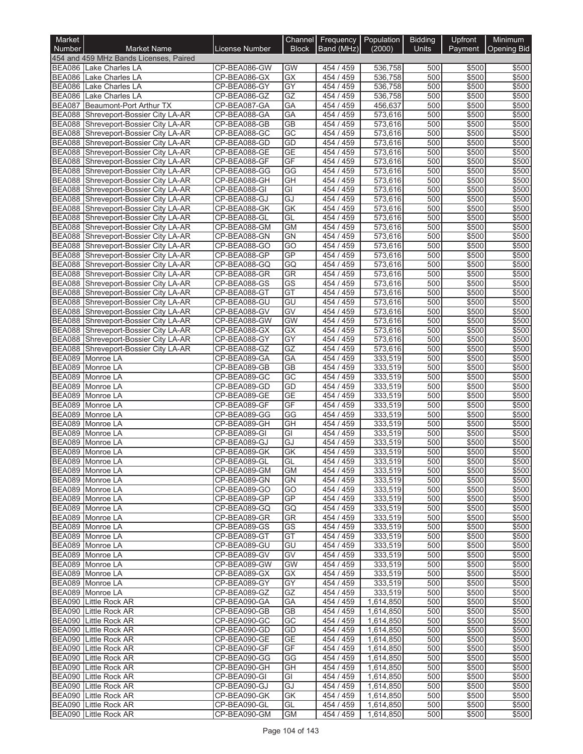| Market                         |                                                                |                              | Channel         |                        | Frequency   Population | <b>Bidding</b> | Upfront        | Minimum            |
|--------------------------------|----------------------------------------------------------------|------------------------------|-----------------|------------------------|------------------------|----------------|----------------|--------------------|
| Number                         | <b>Market Name</b>                                             | <b>License Number</b>        | <b>Block</b>    | Band (MHz)             | (2000)                 | Units          | Payment        | <b>Opening Bid</b> |
|                                | 454 and 459 MHz Bands Licenses, Paired                         |                              |                 |                        |                        |                |                |                    |
| <b>BEA086</b>                  | BEA086 Lake Charles LA<br><b>Lake Charles LA</b>               | CP-BEA086-GW<br>CP-BEA086-GX | GW<br>GX        | 454 / 459<br>454 / 459 | 536,758<br>536,758     | 500<br>500     | \$500<br>\$500 | \$500<br>\$500     |
| <b>BEA086</b>                  | Lake Charles LA                                                | CP-BEA086-GY                 | GY              | 454 / 459              | 536,758                | 500            | \$500          | \$500              |
| <b>BEA086</b>                  | Lake Charles LA                                                | CP-BEA086-GZ                 | GZ              | 454 / 459              | 536,758                | 500            | \$500          | \$500              |
| <b>BEA087</b>                  | Beaumont-Port Arthur TX                                        | CP-BEA087-GA                 | GA              | 454 / 459              | 456,637                | 500            | \$500          | \$500              |
| <b>BEA088</b>                  | Shreveport-Bossier City LA-AR                                  | CP-BEA088-GA                 | GA              | 454 / 459              | 573,616                | 500            | \$500          | \$500              |
| <b>BEA088</b>                  | Shreveport-Bossier City LA-AR                                  | CP-BEA088-GB                 | <b>GB</b>       | 454 / 459              | 573,616                | 500            | \$500          | \$500              |
| <b>BEA088</b>                  | Shreveport-Bossier City LA-AR                                  | CP-BEA088-GC                 | GC              | 454 / 459              | 573,616                | 500            | \$500          | \$500              |
| <b>BEA088</b>                  | Shreveport-Bossier City LA-AR                                  | CP-BEA088-GD                 | GD              | 454 / 459              | 573,616                | 500            | \$500          | \$500              |
| <b>BEA088</b><br><b>BEA088</b> | Shreveport-Bossier City LA-AR                                  | CP-BEA088-GE                 | <b>GE</b>       | 454 / 459              | 573,616                | 500            | \$500          | \$500              |
| <b>BEA088</b>                  | Shreveport-Bossier City LA-AR<br>Shreveport-Bossier City LA-AR | CP-BEA088-GF<br>CP-BEA088-GG | GF<br>GG        | 454 / 459<br>454 / 459 | 573,616<br>573,616     | 500<br>500     | \$500<br>\$500 | \$500<br>\$500     |
| <b>BEA088</b>                  | Shreveport-Bossier City LA-AR                                  | CP-BEA088-GH                 | GH              | 454 / 459              | 573,616                | 500            | \$500          | \$500              |
| <b>BEA088</b>                  | Shreveport-Bossier City LA-AR                                  | CP-BEA088-GI                 | GI              | 454 / 459              | 573,616                | 500            | \$500          | \$500              |
| <b>BEA088</b>                  | Shreveport-Bossier City LA-AR                                  | CP-BEA088-GJ                 | GJ              | 454 / 459              | 573,616                | 500            | \$500          | \$500              |
| <b>BEA088</b>                  | Shreveport-Bossier City LA-AR                                  | CP-BEA088-GK                 | <b>GK</b>       | 454 / 459              | 573,616                | 500            | \$500          | \$500              |
| <b>BEA088</b>                  | Shreveport-Bossier City LA-AR                                  | CP-BEA088-GL                 | GL              | 454 / 459              | 573,616                | 500            | \$500          | \$500              |
| <b>BEA088</b>                  | Shreveport-Bossier City LA-AR                                  | CP-BEA088-GM                 | <b>GM</b>       | 454 / 459              | 573,616                | 500            | \$500          | \$500              |
| <b>BEA088</b>                  | Shreveport-Bossier City LA-AR                                  | CP-BEA088-GN                 | <b>GN</b>       | 454 / 459              | 573,616                | 500            | \$500          | \$500              |
| <b>BEA088</b>                  | Shreveport-Bossier City LA-AR                                  | CP-BEA088-GO                 | GO              | 454 / 459              | 573,616                | 500            | \$500          | \$500              |
| <b>BEA088</b><br><b>BEA088</b> | Shreveport-Bossier City LA-AR<br>Shreveport-Bossier City LA-AR | CP-BEA088-GP<br>CP-BEA088-GQ | GP<br>GQ        | 454 / 459<br>454 / 459 | 573,616<br>573,616     | 500<br>500     | \$500<br>\$500 | \$500<br>\$500     |
| <b>BEA088</b>                  | Shreveport-Bossier City LA-AR                                  | CP-BEA088-GR                 | GR              | 454 / 459              | 573,616                | 500            | \$500          | \$500              |
| <b>BEA088</b>                  | Shreveport-Bossier City LA-AR                                  | CP-BEA088-GS                 | <b>GS</b>       | 454 / 459              | 573,616                | 500            | \$500          | \$500              |
| <b>BEA088</b>                  | Shreveport-Bossier City LA-AR                                  | CP-BEA088-GT                 | GT              | 454 / 459              | 573,616                | 500            | \$500          | \$500              |
| <b>BEA088</b>                  | Shreveport-Bossier City LA-AR                                  | CP-BEA088-GU                 | GU              | 454 / 459              | 573,616                | 500            | \$500          | \$500              |
| <b>BEA088</b>                  | Shreveport-Bossier City LA-AR                                  | CP-BEA088-GV                 | GV              | 454 / 459              | 573,616                | 500            | \$500          | \$500              |
| <b>BEA088</b>                  | Shreveport-Bossier City LA-AR                                  | CP-BEA088-GW                 | <b>GW</b>       | 454 / 459              | 573,616                | 500            | \$500          | \$500              |
| <b>BEA088</b>                  | Shreveport-Bossier City LA-AR                                  | CP-BEA088-GX                 | GX              | 454 / 459              | 573,616                | 500            | \$500          | \$500              |
| <b>BEA088</b>                  | Shreveport-Bossier City LA-AR                                  | CP-BEA088-GY                 | $\overline{GY}$ | 454 / 459              | 573,616                | 500            | \$500          | \$500              |
| <b>BEA088</b><br><b>BEA089</b> | Shreveport-Bossier City LA-AR                                  | CP-BEA088-GZ<br>CP-BEA089-GA | GZ<br>GA        | 454 / 459<br>454 / 459 | 573,616<br>333,519     | 500<br>500     | \$500<br>\$500 | \$500<br>\$500     |
| <b>BEA089</b>                  | Monroe LA<br>Monroe LA                                         | CP-BEA089-GB                 | $\overline{GB}$ | 454 / 459              | 333,519                | 500            | \$500          | \$500              |
| <b>BEA089</b>                  | Monroe LA                                                      | CP-BEA089-GC                 | GC              | 454 / 459              | 333,519                | 500            | \$500          | \$500              |
| <b>BEA089</b>                  | Monroe LA                                                      | CP-BEA089-GD                 | GD              | 454 / 459              | 333,519                | 500            | \$500          | \$500              |
| <b>BEA089</b>                  | Monroe LA                                                      | CP-BEA089-GE                 | $\overline{GE}$ | 454 / 459              | 333,519                | 500            | \$500          | \$500              |
| <b>BEA089</b>                  | Monroe LA                                                      | CP-BEA089-GF                 | GF              | 454 / 459              | 333,519                | 500            | \$500          | \$500              |
| <b>BEA089</b>                  | Monroe LA                                                      | CP-BEA089-GG                 | GG              | 454 / 459              | 333,519                | 500            | \$500          | \$500              |
| <b>BEA089</b>                  | Monroe LA                                                      | CP-BEA089-GH                 | GH              | 454 / 459              | 333,519                | 500            | \$500          | \$500              |
| <b>BEA089</b>                  | Monroe LA                                                      | CP-BEA089-GI                 | GI              | 454 / 459              | 333,519                | 500            | \$500          | \$500              |
| <b>BEA089</b><br><b>BEA089</b> | Monroe LA<br>Monroe LA                                         | CP-BEA089-GJ                 | GJ              | 454 / 459<br>454/459   | 333,519                | 500<br>500     | \$500          | \$500<br>\$500     |
|                                | BEA089 Monroe LA                                               | CP-BEA089-GK<br>CP-BEA089-GL | GK              | 454 / 459              | 333,519<br>333,519     | 500            | \$500<br>\$500 | \$500              |
|                                | BEA089 Monroe LA                                               | CP-BEA089-GM                 | GL<br><b>GM</b> | 454 / 459              | 333,519                | 500            | \$500          | \$500              |
|                                | BEA089 Monroe LA                                               | CP-BEA089-GN                 | GN              | 454 / 459              | 333,519                | 500            | \$500          | \$500              |
|                                | BEA089 Monroe LA                                               | CP-BEA089-GO                 | GO              | 454 / 459              | 333,519                | 500            | \$500          | \$500              |
|                                | BEA089 Monroe LA                                               | CP-BEA089-GP                 | <b>GP</b>       | 454 / 459              | 333,519                | 500            | \$500          | \$500              |
|                                | BEA089 Monroe LA                                               | CP-BEA089-GQ                 | GQ              | 454 / 459              | 333,519                | 500            | \$500          | \$500              |
|                                | BEA089 Monroe LA                                               | CP-BEA089-GR                 | GR              | 454 / 459              | 333,519                | 500            | \$500          | \$500              |
|                                | BEA089 Monroe LA                                               | CP-BEA089-GS                 | GS              | 454 / 459              | 333,519                | 500            | \$500          | \$500              |
|                                | BEA089 Monroe LA<br>BEA089 Monroe LA                           | CP-BEA089-GT<br>CP-BEA089-GU | GT<br>GU        | 454 / 459<br>454 / 459 | 333,519<br>333,519     | 500<br>500     | \$500<br>\$500 | \$500<br>\$500     |
|                                | BEA089 Monroe LA                                               | CP-BEA089-GV                 | GV              | 454 / 459              | 333,519                | 500            | \$500          | \$500              |
|                                | BEA089 Monroe LA                                               | CP-BEA089-GW                 | <b>GW</b>       | 454 / 459              | 333,519                | 500            | \$500          | \$500              |
|                                | BEA089 Monroe LA                                               | CP-BEA089-GX                 | GX              | 454 / 459              | 333.519                | 500            | \$500          | \$500              |
|                                | BEA089 Monroe LA                                               | CP-BEA089-GY                 | GY              | 454 / 459              | 333,519                | 500            | \$500          | \$500              |
|                                | BEA089 Monroe LA                                               | CP-BEA089-GZ                 | GZ              | 454 / 459              | 333,519                | 500            | \$500          | \$500              |
|                                | BEA090 Little Rock AR                                          | CP-BEA090-GA                 | GA              | 454 / 459              | 1,614,850              | 500            | \$500          | \$500              |
|                                | <b>BEA090</b> Little Rock AR                                   | CP-BEA090-GB                 | <b>GB</b>       | 454 / 459              | 1,614,850              | 500            | \$500          | \$500              |
|                                | <b>BEA090</b> Little Rock AR                                   | CP-BEA090-GC                 | GC              | 454 / 459              | 1,614,850              | 500            | \$500          | \$500              |
|                                | BEA090 Little Rock AR<br>BEA090 Little Rock AR                 | CP-BEA090-GD<br>CP-BEA090-GE | GD<br><b>GE</b> | 454 / 459<br>454 / 459 | 1,614,850<br>1,614,850 | 500<br>500     | \$500<br>\$500 | \$500<br>\$500     |
|                                | <b>BEA090</b> Little Rock AR                                   | CP-BEA090-GF                 | GF              | 454 / 459              | 1,614,850              | 500            | \$500          | \$500              |
| <b>BEA090</b>                  | Little Rock AR                                                 | CP-BEA090-GG                 | GG              | 454 / 459              | 1,614,850              | 500            | \$500          | \$500              |
|                                | <b>BEA090</b> Little Rock AR                                   | CP-BEA090-GH                 | GH              | 454 / 459              | 1,614,850              | 500            | \$500          | \$500              |
|                                | BEA090 Little Rock AR                                          | CP-BEA090-GI                 | GI              | 454 / 459              | 1,614,850              | 500            | \$500          | \$500              |
|                                | BEA090 Little Rock AR                                          | CP-BEA090-GJ                 | GJ              | 454 / 459              | 1,614,850              | 500            | \$500          | \$500              |
|                                | <b>BEA090</b> Little Rock AR                                   | CP-BEA090-GK                 | GK              | 454 / 459              | 1,614,850              | 500            | \$500          | \$500              |
| <b>BEA090</b>                  | Little Rock AR                                                 | CP-BEA090-GL                 | GL              | 454 / 459              | 1,614,850              | 500            | \$500          | \$500              |
| <b>BEA090</b>                  | Little Rock AR                                                 | CP-BEA090-GM                 | <b>GM</b>       | 454 / 459              | 1,614,850              | 500            | \$500          | \$500              |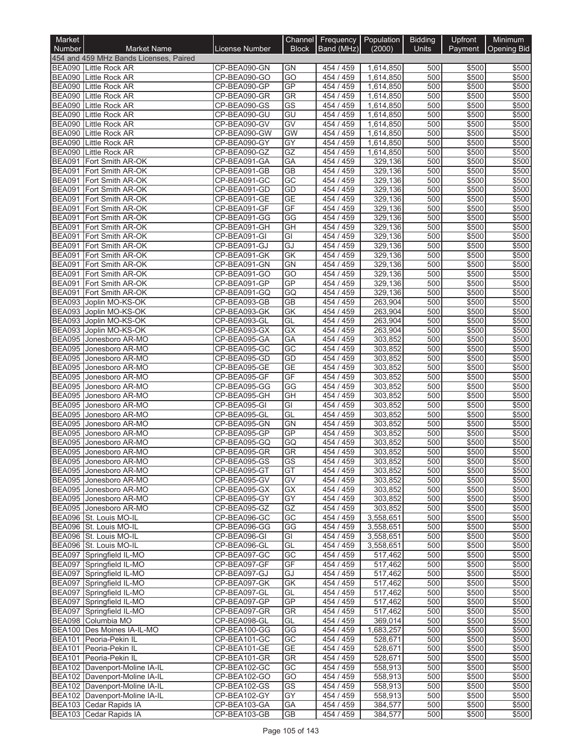| Market                         |                                                                 |                              | Channel                | Frequency   Population |                        | <b>Bidding</b> | Upfront        | Minimum            |
|--------------------------------|-----------------------------------------------------------------|------------------------------|------------------------|------------------------|------------------------|----------------|----------------|--------------------|
| <b>Number</b>                  | <b>Market Name</b>                                              | <b>License Number</b>        | <b>Block</b>           | Band (MHz)             | (2000)                 | <b>Units</b>   | Payment        | <b>Opening Bid</b> |
|                                | 454 and 459 MHz Bands Licenses, Paired<br>BEA090 Little Rock AR |                              | <b>GN</b>              |                        |                        |                |                | \$500              |
| <b>BEA090</b>                  | Little Rock AR                                                  | CP-BEA090-GN<br>CP-BEA090-GO | $\overline{GO}$        | 454 / 459<br>454 / 459 | 1,614,850<br>1,614,850 | 500<br>500     | \$500<br>\$500 | \$500              |
| <b>BEA090</b>                  | <b>Little Rock AR</b>                                           | CP-BEA090-GP                 | GP                     | 454 / 459              | 1,614,850              | 500            | \$500          | \$500              |
| <b>BEA090</b>                  | <b>Little Rock AR</b>                                           | CP-BEA090-GR                 | GR                     | 454 / 459              | 1,614,850              | 500            | \$500          | \$500              |
| <b>BEA090</b>                  | Little Rock AR                                                  | CP-BEA090-GS                 | GS                     | 454 / 459              | 1,614,850              | 500            | \$500          | \$500              |
| <b>BEA090</b>                  | Little Rock AR                                                  | CP-BEA090-GU                 | GU                     | 454 / 459              | 1,614,850              | 500            | \$500          | \$500              |
| <b>BEA090</b>                  | Little Rock AR                                                  | CP-BEA090-GV                 | GV                     | 454 / 459              | 1,614,850              | 500            | \$500          | \$500              |
| <b>BEA090</b><br><b>BEA090</b> | <b>Little Rock AR</b><br>Little Rock AR                         | CP-BEA090-GW<br>CP-BEA090-GY | <b>GW</b><br>GY        | 454 / 459<br>454 / 459 | 1,614,850<br>1,614,850 | 500<br>500     | \$500<br>\$500 | \$500<br>\$500     |
| <b>BEA090</b>                  | Little Rock AR                                                  | CP-BEA090-GZ                 | GZ                     | 454 / 459              | 1,614,850              | 500            | \$500          | \$500              |
| <b>BEA091</b>                  | Fort Smith AR-OK                                                | CP-BEA091-GA                 | GA                     | 454 / 459              | 329,136                | 500            | \$500          | \$500              |
| <b>BEA091</b>                  | Fort Smith AR-OK                                                | CP-BEA091-GB                 | $\overline{GB}$        | 454 / 459              | 329,136                | 500            | \$500          | \$500              |
| <b>BEA091</b>                  | Fort Smith AR-OK                                                | CP-BEA091-GC                 | $\overline{GC}$        | 454 / 459              | 329,136                | 500            | \$500          | \$500              |
| <b>BEA091</b>                  | Fort Smith AR-OK                                                | CP-BEA091-GD                 | GD                     | 454 / 459              | 329,136                | 500            | \$500          | \$500              |
| <b>BEA091</b>                  | Fort Smith AR-OK                                                | CP-BEA091-GE                 | <b>GE</b>              | 454 / 459              | 329,136                | 500            | \$500          | \$500              |
| <b>BEA091</b>                  | BEA091 Fort Smith AR-OK<br>Fort Smith AR-OK                     | CP-BEA091-GF<br>CP-BEA091-GG | GF<br>GG               | 454 / 459<br>454 / 459 | 329,136<br>329,136     | 500<br>500     | \$500<br>\$500 | \$500<br>\$500     |
| <b>BEA091</b>                  | Fort Smith AR-OK                                                | CP-BEA091-GH                 | GH                     | 454 / 459              | 329,136                | 500            | \$500          | \$500              |
|                                | BEA091 Fort Smith AR-OK                                         | CP-BEA091-GI                 | GI                     | 454 / 459              | 329,136                | 500            | \$500          | \$500              |
| <b>BEA091</b>                  | Fort Smith AR-OK                                                | CP-BEA091-GJ                 | GJ                     | 454 / 459              | 329.136                | 500            | \$500          | \$500              |
| <b>BEA091</b>                  | Fort Smith AR-OK                                                | CP-BEA091-GK                 | <b>GK</b>              | 454 / 459              | 329,136                | 500            | \$500          | \$500              |
| <b>BEA091</b>                  | Fort Smith AR-OK                                                | CP-BEA091-GN                 | <b>GN</b>              | 454 / 459              | 329,136                | 500            | \$500          | \$500              |
| <b>BEA091</b>                  | Fort Smith AR-OK                                                | CP-BEA091-GO                 | GO                     | 454 / 459              | 329.136                | 500            | \$500          | \$500              |
| <b>BEA091</b>                  | Fort Smith AR-OK                                                | CP-BEA091-GP                 | GP                     | 454 / 459              | 329,136                | 500            | \$500          | \$500              |
| <b>BEA091</b><br><b>BEA093</b> | Fort Smith AR-OK                                                | CP-BEA091-GQ                 | GQ<br><b>GB</b>        | 454 / 459              | 329,136                | 500<br>500     | \$500          | \$500              |
| <b>BEA093</b>                  | Joplin MO-KS-OK<br>Joplin MO-KS-OK                              | CP-BEA093-GB<br>CP-BEA093-GK | <b>GK</b>              | 454 / 459<br>454 / 459 | 263,904<br>263,904     | 500            | \$500<br>\$500 | \$500<br>\$500     |
| <b>BEA093</b>                  | Joplin MO-KS-OK                                                 | CP-BEA093-GL                 | GL                     | 454 / 459              | 263,904                | 500            | \$500          | \$500              |
| <b>BEA093</b>                  | Joplin MO-KS-OK                                                 | CP-BEA093-GX                 | GX                     | 454 / 459              | 263,904                | 500            | \$500          | \$500              |
| <b>BEA095</b>                  | Jonesboro AR-MO                                                 | CP-BEA095-GA                 | GA                     | 454 / 459              | 303,852                | 500            | \$500          | \$500              |
| <b>BEA095</b>                  | Jonesboro AR-MO                                                 | CP-BEA095-GC                 | GC                     | 454 / 459              | 303,852                | 500            | \$500          | \$500              |
| <b>BEA095</b>                  | Jonesboro AR-MO                                                 | CP-BEA095-GD                 | GD                     | 454 / 459              | 303,852                | 500            | \$500          | \$500              |
| <b>BEA095</b>                  | Jonesboro AR-MO                                                 | CP-BEA095-GE                 | <b>GE</b>              | 454 / 459              | 303,852                | 500            | \$500          | \$500              |
| <b>BEA095</b><br>BEA095        | Jonesboro AR-MO<br>Jonesboro AR-MO                              | CP-BEA095-GF<br>CP-BEA095-GG | GF<br>GG               | 454 / 459<br>454 / 459 | 303,852<br>303,852     | 500<br>500     | \$500<br>\$500 | \$500<br>\$500     |
| <b>BEA095</b>                  | Jonesboro AR-MO                                                 | CP-BEA095-GH                 | GH                     | 454 / 459              | 303,852                | 500            | \$500          | \$500              |
| <b>BEA095</b>                  | Jonesboro AR-MO                                                 | CP-BEA095-GI                 | GI                     | 454 / 459              | 303,852                | 500            | \$500          | \$500              |
| <b>BEA095</b>                  | Jonesboro AR-MO                                                 | CP-BEA095-GL                 | GL                     | 454 / 459              | 303,852                | 500            | \$500          | \$500              |
| <b>BEA095</b>                  | Jonesboro AR-MO                                                 | CP-BEA095-GN                 | <b>GN</b>              | 454 / 459              | 303,852                | 500            | \$500          | \$500              |
| <b>BEA095</b>                  | Jonesboro AR-MO                                                 | CP-BEA095-GP                 | GP                     | 454 / 459              | 303,852                | 500            | \$500          | \$500              |
| <b>BEA095</b>                  | Jonesboro AR-MO                                                 | CP-BEA095-GQ                 | GQ                     | 454 / 459              | 303,852                | 500            | \$500          | \$500              |
| <b>BEA095</b>                  | Jonesboro AR-MO                                                 | CP-BEA095-GR                 | <b>GR</b>              | 454 / 459              | 303,852                | 500            | \$500          | \$500              |
|                                | BEA095 Jonesboro AR-MO<br>BEA095 Jonesboro AR-MO                | CP-BEA095-GS<br>CP-BEA095-GT | GS<br>GT               | 454 / 459<br>454 / 459 | 303,8521<br>303,852    | 500 <br>500    | \$500<br>\$500 | \$500<br>\$500     |
|                                | BEA095 Jonesboro AR-MO                                          | CP-BEA095-GV                 | GV                     | 454 / 459              | 303,852                | 500            | \$500          | \$500              |
|                                | BEA095 Jonesboro AR-MO                                          | CP-BEA095-GX                 | GX                     | 454 / 459              | 303,852                | 500            | \$500          | \$500              |
|                                | BEA095 Jonesboro AR-MO                                          | CP-BEA095-GY                 | GY                     | 454 / 459              | 303,852                | 500            | \$500          | \$500              |
|                                | BEA095 Jonesboro AR-MO                                          | CP-BEA095-GZ                 | GZ                     | 454 / 459              | 303,852                | 500            | \$500          | \$500              |
|                                | BEA096 St. Louis MO-IL                                          | CP-BEA096-GC                 | GC                     | 454 / 459              | 3,558,651              | 500            | \$500          | \$500              |
|                                | BEA096 St. Louis MO-IL                                          | CP-BEA096-GG                 | GG                     | 454 / 459              | 3,558,651              | 500            | \$500          | \$500              |
|                                | BEA096 St. Louis MO-IL<br>BEA096 St. Louis MO-IL                | CP-BEA096-GI                 | GI                     | 454 / 459              | 3,558,651              | 500<br>500     | \$500          | \$500              |
|                                | BEA097 Springfield IL-MO                                        | CP-BEA096-GL<br>CP-BEA097-GC | GL<br>GC               | 454 / 459<br>454 / 459 | 3,558,651<br>517,462   | 500            | \$500<br>\$500 | \$500<br>\$500     |
|                                | BEA097 Springfield IL-MO                                        | CP-BEA097-GF                 | GF                     | 454 / 459              | 517,462                | 500            | \$500          | \$500              |
|                                | BEA097 Springfield IL-MO                                        | CP-BEA097-GJ                 | GJ                     | 454 / 459              | 517,462                | 500            | \$500          | \$500              |
|                                | BEA097 Springfield IL-MO                                        | CP-BEA097-GK                 | GK                     | 454/459                | 517,462                | 500            | \$500          | \$500              |
|                                | BEA097 Springfield IL-MO                                        | CP-BEA097-GL                 | GL                     | 454 / 459              | 517,462                | 500            | \$500          | \$500              |
|                                | BEA097 Springfield IL-MO                                        | CP-BEA097-GP                 | GP                     | 454 / 459              | 517,462                | 500            | \$500          | \$500              |
|                                | BEA097 Springfield IL-MO                                        | CP-BEA097-GR                 | GR                     | 454 / 459              | 517,462                | 500            | \$500          | \$500              |
|                                | BEA098 Columbia MO<br>BEA100 Des Moines IA-IL-MO                | CP-BEA098-GL<br>CP-BEA100-GG | GL<br>GG               | 454 / 459<br>454 / 459 | 369,014<br>1,683,257   | 500<br>500     | \$500<br>\$500 | \$500<br>\$500     |
|                                | BEA101 Peoria-Pekin IL                                          | CP-BEA101-GC                 | GC                     | 454 / 459              | 528,671                | 500            | \$500          | \$500              |
|                                | BEA101 Peoria-Pekin IL                                          | CP-BEA101-GE                 | <b>GE</b>              | 454 / 459              | 528,671                | 500            | \$500          | \$500              |
|                                | BEA101 Peoria-Pekin IL                                          | CP-BEA101-GR                 | <b>GR</b>              | 454 / 459              | 528,671                | 500            | \$500          | \$500              |
|                                | BEA102 Davenport-Moline IA-IL                                   | CP-BEA102-GC                 | GC                     | 454 / 459              | 558,913                | 500            | \$500          | \$500              |
|                                | BEA102 Davenport-Moline IA-IL                                   | CP-BEA102-GO                 | $\overline{GO}$        | 454 / 459              | 558,913                | 500            | \$500          | \$500              |
|                                | BEA102 Davenport-Moline IA-IL                                   | CP-BEA102-GS                 | $\overline{\text{GS}}$ | 454 / 459              | 558,913                | 500            | \$500          | \$500              |
|                                | BEA102 Davenport-Moline IA-IL                                   | CP-BEA102-GY                 | GY                     | 454 / 459              | 558,913                | 500            | \$500          | \$500              |
|                                | BEA103 Cedar Rapids IA<br>BEA103 Cedar Rapids IA                | CP-BEA103-GA                 | GA                     | 454 / 459              | 384,577                | 500            | \$500          | \$500<br>\$500     |
|                                |                                                                 | CP-BEA103-GB                 | GB                     | 454 / 459              | 384,577                | 500            | \$500          |                    |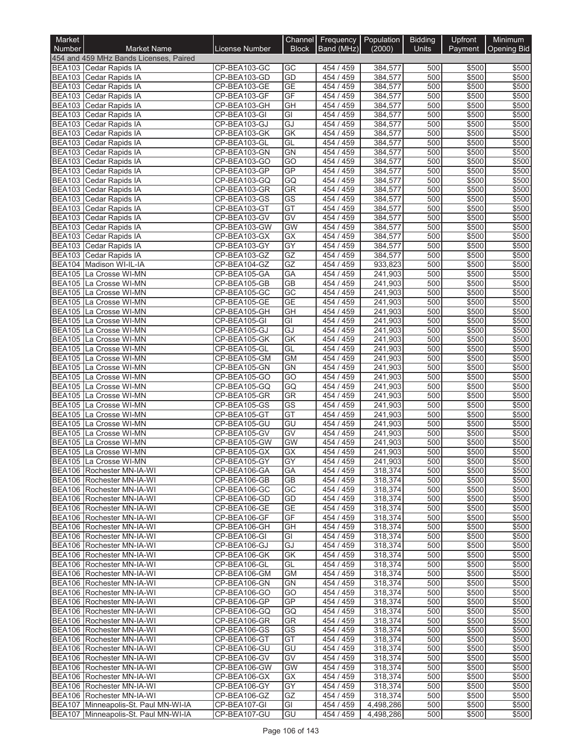| Market                         |                                                        |                              | <b>Channel</b>         | Frequency   Population |                    | <b>Bidding</b> | Upfront        | <b>Minimum</b>     |
|--------------------------------|--------------------------------------------------------|------------------------------|------------------------|------------------------|--------------------|----------------|----------------|--------------------|
| <b>Number</b>                  | <b>Market Name</b>                                     | <b>License Number</b>        | <b>Block</b>           | Band (MHz)             | (2000)             | <b>Units</b>   | Payment        | <b>Opening Bid</b> |
|                                | 454 and 459 MHz Bands Licenses, Paired                 |                              |                        |                        |                    |                |                |                    |
|                                | BEA103 Cedar Rapids IA                                 | CP-BEA103-GC                 | GC                     | 454 / 459              | 384,577            | 500            | \$500          | \$500              |
|                                | BEA103 Cedar Rapids IA<br>BEA103 Cedar Rapids IA       | CP-BEA103-GD                 | GD<br><b>GE</b>        | 454 / 459              | 384,577            | 500<br>500     | \$500<br>\$500 | \$500<br>\$500     |
|                                | BEA103 Cedar Rapids IA                                 | CP-BEA103-GE<br>CP-BEA103-GF | GF                     | 454 / 459<br>454 / 459 | 384,577<br>384,577 | 500            | \$500          | \$500              |
|                                | BEA103 Cedar Rapids IA                                 | CP-BEA103-GH                 | GH                     | 454 / 459              | 384,577            | 500            | \$500          | \$500              |
|                                | BEA103 Cedar Rapids IA                                 | CP-BEA103-GI                 | GI                     | 454 / 459              | 384,577            | 500            | \$500          | \$500              |
|                                | BEA103 Cedar Rapids IA                                 | CP-BEA103-GJ                 | GJ                     | 454 / 459              | 384,577            | 500            | \$500          | \$500              |
|                                | BEA103 Cedar Rapids IA                                 | CP-BEA103-GK                 | $\overline{GK}$        | 454 / 459              | 384,577            | 500            | \$500          | \$500              |
|                                | BEA103 Cedar Rapids IA                                 | CP-BEA103-GL                 | GL                     | 454 / 459              | 384,577            | 500            | \$500          | \$500              |
|                                | BEA103 Cedar Rapids IA                                 | CP-BEA103-GN                 | <b>GN</b>              | 454 / 459              | 384,577            | 500            | \$500          | \$500              |
|                                | BEA103 Cedar Rapids IA                                 | CP-BEA103-GO                 | GO                     | 454 / 459              | 384,577            | 500            | \$500          | \$500              |
|                                | BEA103 Cedar Rapids IA<br>BEA103 Cedar Rapids IA       | CP-BEA103-GP<br>CP-BEA103-GQ | <b>GP</b><br>GQ        | 454 / 459<br>454 / 459 | 384,577<br>384,577 | 500<br>500     | \$500<br>\$500 | \$500<br>\$500     |
|                                | BEA103 Cedar Rapids IA                                 | CP-BEA103-GR                 | <b>GR</b>              | 454 / 459              | 384,577            | 500            | \$500          | \$500              |
|                                | BEA103 Cedar Rapids IA                                 | CP-BEA103-GS                 | GS                     | 454 / 459              | 384,577            | 500            | \$500          | \$500              |
|                                | BEA103 Cedar Rapids IA                                 | CP-BEA103-GT                 | GT                     | 454 / 459              | 384,577            | 500            | \$500          | \$500              |
|                                | BEA103 Cedar Rapids IA                                 | CP-BEA103-GV                 | GV                     | 454 / 459              | 384,577            | 500            | \$500          | \$500              |
|                                | BEA103 Cedar Rapids IA                                 | CP-BEA103-GW                 | <b>GW</b>              | 454 / 459              | 384,577            | 500            | \$500          | \$500              |
|                                | BEA103 Cedar Rapids IA                                 | CP-BEA103-GX                 | GX                     | 454 / 459              | 384,577            | 500            | \$500          | \$500              |
|                                | BEA103 Cedar Rapids IA                                 | CP-BEA103-GY                 | GY                     | 454 / 459              | 384,577            | 500            | \$500          | \$500              |
|                                | BEA103 Cedar Rapids IA                                 | CP-BEA103-GZ                 | GZ                     | 454 / 459              | 384,577            | 500            | \$500          | \$500              |
|                                | BEA104 Madison WI-IL-IA<br>BEA105 La Crosse WI-MN      | CP-BEA104-GZ                 | GZ                     | 454 / 459<br>454 / 459 | 933,823            | 500<br>500     | \$500          | \$500              |
|                                | BEA105 La Crosse WI-MN                                 | CP-BEA105-GA<br>CP-BEA105-GB | GA<br>$\overline{GB}$  | 454 / 459              | 241,903<br>241,903 | 500            | \$500<br>\$500 | \$500<br>\$500     |
| <b>BEA105</b>                  | La Crosse WI-MN                                        | CP-BEA105-GC                 | $\overline{GC}$        | 454 / 459              | 241,903            | 500            | \$500          | \$500              |
|                                | BEA105 La Crosse WI-MN                                 | CP-BEA105-GE                 | <b>GE</b>              | 454 / 459              | 241,903            | 500            | \$500          | \$500              |
|                                | BEA105 La Crosse WI-MN                                 | CP-BEA105-GH                 | GH                     | 454 / 459              | 241,903            | 500            | \$500          | \$500              |
| <b>BEA105</b>                  | La Crosse WI-MN                                        | CP-BEA105-GI                 | GI                     | 454 / 459              | 241,903            | 500            | \$500          | \$500              |
|                                | BEA105 La Crosse WI-MN                                 | CP-BEA105-GJ                 | GJ                     | 454 / 459              | 241,903            | 500            | \$500          | \$500              |
|                                | BEA105 La Crosse WI-MN                                 | CP-BEA105-GK                 | GK                     | 454 / 459              | 241,903            | 500            | \$500          | \$500              |
|                                | BEA105 La Crosse WI-MN                                 | CP-BEA105-GL                 | GL                     | 454/459                | 241,903            | 500            | \$500          | \$500              |
|                                | BEA105 La Crosse WI-MN                                 | CP-BEA105-GM                 | <b>GM</b><br>GN        | 454 / 459<br>454 / 459 | 241,903            | 500<br>500     | \$500          | \$500<br>\$500     |
| <b>BEA105</b><br><b>BEA105</b> | La Crosse WI-MN<br>La Crosse WI-MN                     | CP-BEA105-GN<br>CP-BEA105-GO | GO                     | 454 / 459              | 241,903<br>241,903 | 500            | \$500<br>\$500 | \$500              |
| <b>BEA105</b>                  | La Crosse WI-MN                                        | CP-BEA105-GQ                 | GQ                     | 454 / 459              | 241,903            | 500            | \$500          | \$500              |
| <b>BEA105</b>                  | La Crosse WI-MN                                        | CP-BEA105-GR                 | <b>GR</b>              | 454 / 459              | 241,903            | 500            | \$500          | \$500              |
| <b>BEA105</b>                  | La Crosse WI-MN                                        | CP-BEA105-GS                 | $\overline{\text{GS}}$ | 454 / 459              | 241,903            | 500            | \$500          | \$500              |
|                                | BEA105 La Crosse WI-MN                                 | CP-BEA105-GT                 | GT                     | 454 / 459              | 241,903            | 500            | \$500          | \$500              |
| <b>BEA105</b>                  | La Crosse WI-MN                                        | CP-BEA105-GU                 | GU                     | 454 / 459              | 241,903            | 500            | \$500          | \$500              |
|                                | BEA105 La Crosse WI-MN                                 | CP-BEA105-GV                 | $\overline{GV}$        | 454 / 459              | 241,903            | 500            | \$500          | \$500              |
| BEA105                         | La Crosse WI-MN                                        | CP-BEA105-GW                 | <b>GW</b>              | 454 / 459              | 241.903            | 500            | \$500          | \$500              |
|                                | BEA105 La Crosse WI-MN                                 | CP-BEA105-GX                 | GX                     | 454 / 459              | 241.903            | 500            | \$500          | \$500              |
|                                | BEA105 La Crosse WI-MN<br>BEA106 Rochester MN-IA-WI    | CP-BEA105-GY<br>CP-BEA106-GA | GY<br>GA               | 454 / 459<br>454 / 459 | 241,903<br>318,374 | 500<br>500     | \$500<br>\$500 | \$500<br>\$500     |
|                                | BEA106 Rochester MN-IA-WI                              | CP-BEA106-GB                 | GB                     | 454 / 459              | 318,374            | 500            | \$500          | \$500              |
|                                | BEA106 Rochester MN-IA-WI                              | CP-BEA106-GC                 | GC                     | 454 / 459              | 318,374            | 500            | \$500          | \$500              |
|                                | BEA106 Rochester MN-IA-WI                              | CP-BEA106-GD                 | GD                     | 454 / 459              | 318,374            | 500            | \$500          | \$500              |
|                                | BEA106 Rochester MN-IA-WI                              | CP-BEA106-GE                 | <b>GE</b>              | 454 / 459              | 318,374            | 500            | \$500          | \$500              |
|                                | BEA106 Rochester MN-IA-WI                              | CP-BEA106-GF                 | GF                     | 454 / 459              | 318,374            | 500            | \$500          | \$500              |
|                                | BEA106 Rochester MN-IA-WI                              | CP-BEA106-GH                 | GH                     | 454 / 459              | 318,374            | 500            | \$500          | \$500              |
|                                | BEA106 Rochester MN-IA-WI                              | CP-BEA106-GI                 | GI                     | 454 / 459              | 318,374            | 500            | \$500          | \$500              |
|                                | BEA106 Rochester MN-IA-WI<br>BEA106 Rochester MN-IA-WI | CP-BEA106-GJ<br>CP-BEA106-GK | GJ<br>GK               | 454 / 459<br>454 / 459 | 318,374<br>318,374 | 500<br>500     | \$500<br>\$500 | \$500<br>\$500     |
|                                | BEA106 Rochester MN-IA-WI                              | CP-BEA106-GL                 | GL                     | 454 / 459              | 318,374            | 500            | \$500          | \$500              |
|                                | BEA106 Rochester MN-IA-WI                              | CP-BEA106-GM                 | <b>GM</b>              | 454 / 459              | 318,374            | 500            | \$500          | \$500              |
|                                | BEA106 Rochester MN-IA-WI                              | CP-BEA106-GN                 | GN                     | 454 / 459              | 318,374            | 500            | \$500          | \$500              |
|                                | BEA106 Rochester MN-IA-WI                              | CP-BEA106-GO                 | GO                     | 454 / 459              | 318,374            | 500            | \$500          | \$500              |
|                                | BEA106 Rochester MN-IA-WI                              | CP-BEA106-GP                 | GP                     | 454 / 459              | 318,374            | 500            | \$500          | \$500              |
|                                | BEA106 Rochester MN-IA-WI                              | CP-BEA106-GQ                 | GQ                     | 454 / 459              | 318,374            | 500            | \$500          | \$500              |
|                                | BEA106 Rochester MN-IA-WI                              | CP-BEA106-GR                 | GR                     | 454 / 459              | 318,374            | 500            | \$500          | \$500              |
|                                | BEA106 Rochester MN-IA-WI                              | CP-BEA106-GS                 | GS                     | 454 / 459              | 318,374            | 500            | \$500          | \$500              |
|                                | BEA106 Rochester MN-IA-WI                              | CP-BEA106-GT                 | GT                     | 454 / 459              | 318,374            | 500            | \$500          | \$500              |
|                                | BEA106 Rochester MN-IA-WI<br>BEA106 Rochester MN-IA-WI | CP-BEA106-GU<br>CP-BEA106-GV | GU<br>GV               | 454 / 459<br>454/459   | 318,374<br>318,374 | 500<br>500     | \$500<br>\$500 | \$500<br>\$500     |
|                                | BEA106 Rochester MN-IA-WI                              | CP-BEA106-GW                 | <b>GW</b>              | 454 / 459              | 318,374            | 500            | \$500          | \$500              |
|                                | BEA106 Rochester MN-IA-WI                              | CP-BEA106-GX                 | GX                     | 454 / 459              | 318,374            | 500            | \$500          | \$500              |
|                                | BEA106 Rochester MN-IA-WI                              | CP-BEA106-GY                 | GY                     | 454 / 459              | 318,374            | 500            | \$500          | \$500              |
|                                | BEA106 Rochester MN-IA-WI                              | CP-BEA106-GZ                 | GZ                     | 454 / 459              | 318,374            | 500            | \$500          | \$500              |
|                                | BEA107 Minneapolis-St. Paul MN-WI-IA                   | CP-BEA107-GI                 | GI                     | 454 / 459              | 4,498,286          | 500            | \$500          | \$500              |
|                                | BEA107 Minneapolis-St. Paul MN-WI-IA                   | CP-BEA107-GU                 | GU                     | 454 / 459              | 4,498,286          | 500            | \$500          | \$500              |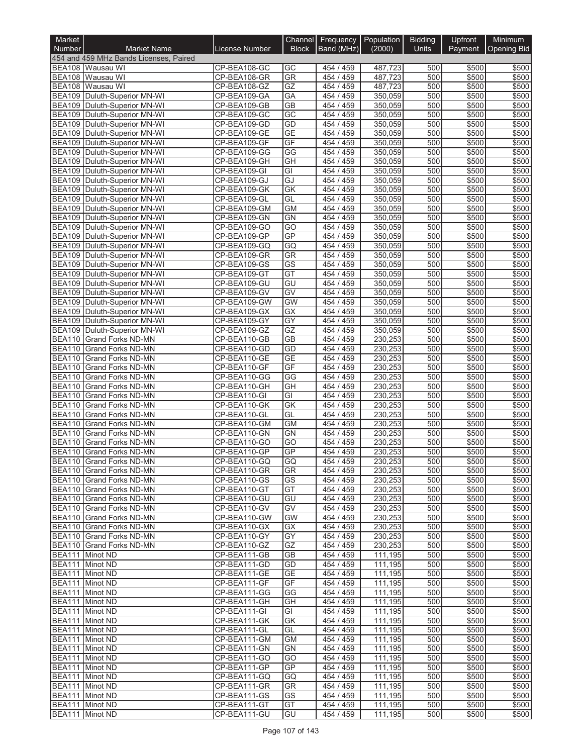| Market                         |                                                                  |                              | Channel                      | Frequency              | Population         | <b>Bidding</b> | Upfront        | Minimum            |
|--------------------------------|------------------------------------------------------------------|------------------------------|------------------------------|------------------------|--------------------|----------------|----------------|--------------------|
| Number                         | <b>Market Name</b>                                               | <b>License Number</b>        | <b>Block</b>                 | Band (MHz)             | (2000)             | Units          | Payment        | <b>Opening Bid</b> |
|                                | 454 and 459 MHz Bands Licenses, Paired                           |                              |                              |                        |                    |                |                |                    |
|                                | BEA108 Wausau WI<br>BEA108 Wausau WI                             | CP-BEA108-GC<br>CP-BEA108-GR | GC<br>GR                     | 454 / 459<br>454 / 459 | 487,723<br>487,723 | 500<br>500     | \$500<br>\$500 | \$500<br>\$500     |
| <b>BEA108</b>                  | Wausau WI                                                        | CP-BEA108-GZ                 | GZ                           | 454 / 459              | 487,723            | 500            | \$500          | \$500              |
|                                | BEA109 Duluth-Superior MN-WI                                     | CP-BEA109-GA                 | GA                           | 454 / 459              | 350,059            | 500            | \$500          | \$500              |
|                                | BEA109 Duluth-Superior MN-WI                                     | CP-BEA109-GB                 | $\overline{GB}$              | 454 / 459              | 350,059            | 500            | \$500          | \$500              |
|                                | BEA109 Duluth-Superior MN-WI                                     | CP-BEA109-GC                 | GC                           | 454 / 459              | 350,059            | 500            | \$500          | \$500              |
|                                | BEA109 Duluth-Superior MN-WI                                     | CP-BEA109-GD                 | GD                           | 454 / 459              | 350,059            | 500            | \$500          | \$500              |
| <b>BEA109</b>                  | BEA109   Duluth-Superior MN-WI<br>Duluth-Superior MN-WI          | CP-BEA109-GE<br>CP-BEA109-GF | <b>GE</b><br>GF              | 454 / 459<br>454 / 459 | 350,059<br>350,059 | 500<br>500     | \$500<br>\$500 | \$500<br>\$500     |
|                                | BEA109 Duluth-Superior MN-WI                                     | CP-BEA109-GG                 | GG                           | 454 / 459              | 350.059            | 500            | \$500          | \$500              |
|                                | BEA109 Duluth-Superior MN-WI                                     | CP-BEA109-GH                 | GH                           | 454 / 459              | 350,059            | 500            | \$500          | \$500              |
|                                | BEA109 Duluth-Superior MN-WI                                     | CP-BEA109-GI                 | $\overline{GI}$              | 454 / 459              | 350.059            | 500            | \$500          | \$500              |
|                                | BEA109 Duluth-Superior MN-WI                                     | CP-BEA109-GJ                 | GJ                           | 454 / 459              | 350,059            | 500            | \$500          | \$500              |
|                                | BEA109 Duluth-Superior MN-WI                                     | CP-BEA109-GK                 | GK                           | 454 / 459              | 350,059            | 500            | \$500          | \$500              |
|                                | BEA109 Duluth-Superior MN-WI                                     | CP-BEA109-GL                 | GL                           | 454 / 459              | 350,059            | 500            | \$500          | \$500              |
| <b>BEA109</b>                  | BEA109   Duluth-Superior MN-WI                                   | CP-BEA109-GM                 | <b>GM</b><br>GN              | 454 / 459<br>454 / 459 | 350,059<br>350,059 | 500<br>500     | \$500<br>\$500 | \$500<br>\$500     |
|                                | Duluth-Superior MN-WI<br>BEA109 Duluth-Superior MN-WI            | CP-BEA109-GN<br>CP-BEA109-GO | GO                           | 454 / 459              | 350.059            | 500            | \$500          | \$500              |
|                                | BEA109 Duluth-Superior MN-WI                                     | CP-BEA109-GP                 | GP                           | 454 / 459              | 350.059            | 500            | \$500          | \$500              |
| <b>BEA109</b>                  | Duluth-Superior MN-WI                                            | CP-BEA109-GQ                 | GQ                           | 454 / 459              | 350,059            | 500            | \$500          | \$500              |
|                                | BEA109 Duluth-Superior MN-WI                                     | CP-BEA109-GR                 | $\overline{\text{GR}}$       | 454 / 459              | 350,059            | 500            | \$500          | \$500              |
|                                | BEA109 Duluth-Superior MN-WI                                     | CP-BEA109-GS                 | $\overline{\text{GS}}$       | 454 / 459              | 350,059            | 500            | \$500          | \$500              |
|                                | BEA109 Duluth-Superior MN-WI                                     | CP-BEA109-GT                 | GT                           | 454 / 459              | 350,059            | 500            | \$500          | \$500              |
|                                | BEA109 Duluth-Superior MN-WI                                     | CP-BEA109-GU                 | GU                           | 454 / 459              | 350.059            | 500            | \$500          | \$500              |
|                                | BEA109 Duluth-Superior MN-WI                                     | CP-BEA109-GV                 | $\overline{GV}$<br><b>GW</b> | 454 / 459<br>454 / 459 | 350,059<br>350.059 | 500<br>500     | \$500          | \$500              |
|                                | BEA109   Duluth-Superior MN-WI<br>BEA109   Duluth-Superior MN-WI | CP-BEA109-GW<br>CP-BEA109-GX | <b>GX</b>                    | 454 / 459              | 350,059            | 500            | \$500<br>\$500 | \$500<br>\$500     |
|                                | BEA109 Duluth-Superior MN-WI                                     | CP-BEA109-GY                 | $\overline{GY}$              | 454 / 459              | 350,059            | 500            | \$500          | \$500              |
|                                | BEA109 Duluth-Superior MN-WI                                     | CP-BEA109-GZ                 | GZ                           | 454 / 459              | 350,059            | 500            | \$500          | \$500              |
|                                | <b>BEA110 Grand Forks ND-MN</b>                                  | CP-BEA110-GB                 | <b>GB</b>                    | 454 / 459              | 230,253            | 500            | \$500          | \$500              |
| <b>BEA110</b>                  | <b>Grand Forks ND-MN</b>                                         | CP-BEA110-GD                 | GD                           | 454 / 459              | 230,253            | 500            | \$500          | \$500              |
| <b>BEA110</b>                  | <b>Grand Forks ND-MN</b>                                         | CP-BEA110-GE                 | <b>GE</b>                    | 454 / 459              | 230,253            | 500            | \$500          | \$500              |
| <b>BEA110</b>                  | <b>Grand Forks ND-MN</b>                                         | CP-BEA110-GF                 | GF                           | 454 / 459              | 230,253            | 500            | \$500          | \$500              |
| <b>BEA110</b><br><b>BEA110</b> | Grand Forks ND-MN<br><b>Grand Forks ND-MN</b>                    | CP-BEA110-GG<br>CP-BEA110-GH | GG<br>GH                     | 454 / 459<br>454 / 459 | 230,253<br>230,253 | 500<br>500     | \$500<br>\$500 | \$500<br>\$500     |
| <b>BEA110</b>                  | <b>Grand Forks ND-MN</b>                                         | CP-BEA110-GI                 | GI                           | 454 / 459              | 230,253            | 500            | \$500          | \$500              |
| <b>BEA110</b>                  | <b>Grand Forks ND-MN</b>                                         | CP-BEA110-GK                 | GK                           | 454 / 459              | 230,253            | 500            | \$500          | \$500              |
| <b>BEA110</b>                  | <b>Grand Forks ND-MN</b>                                         | CP-BEA110-GL                 | GL                           | 454 / 459              | 230,253            | 500            | \$500          | \$500              |
| <b>BEA110</b>                  | <b>Grand Forks ND-MN</b>                                         | CP-BEA110-GM                 | <b>GM</b>                    | 454 / 459              | 230,253            | 500            | \$500          | \$500              |
| <b>BEA110</b>                  | <b>Grand Forks ND-MN</b>                                         | CP-BEA110-GN                 | <b>GN</b>                    | 454 / 459              | 230,253            | 500            | \$500          | \$500              |
| <b>BEA110</b>                  | <b>Grand Forks ND-MN</b>                                         | CP-BEA110-GO                 | GO                           | 459<br>454 /           | 230.253            | 500            | \$500          | \$500              |
| <b>BEA110</b>                  | <b>Grand Forks ND-MN</b>                                         | CP-BEA110-GP                 | GP                           | 454 / 459              | 230,253            | 500            | \$500          | \$500              |
|                                | BEA110 Grand Forks ND-MN<br>BEA110 Grand Forks ND-MN             | CP-BEA110-GQ<br>CP-BEA110-GR | GQ<br><b>GR</b>              | 454 / 459<br>454 / 459 | 230,253<br>230,253 | 500<br>500     | \$500<br>\$500 | \$500<br>\$500     |
|                                | BEA110 Grand Forks ND-MN                                         | CP-BEA110-GS                 | GS                           | 454 / 459              | 230,253            | 500            | \$500          | \$500              |
|                                | BEA110 Grand Forks ND-MN                                         | CP-BEA110-GT                 | GT                           | 454 / 459              | 230,253            | 500            | \$500          | \$500              |
|                                | BEA110 Grand Forks ND-MN                                         | CP-BEA110-GU                 | GU                           | 454 / 459              | 230,253            | 500            | \$500          | \$500              |
|                                | BEA110 Grand Forks ND-MN                                         | CP-BEA110-GV                 | GV                           | 454 / 459              | 230,253            | 500            | \$500          | \$500              |
|                                | <b>BEA110 Grand Forks ND-MN</b>                                  | CP-BEA110-GW                 | <b>GW</b>                    | 454 / 459              | 230,253            | 500            | \$500          | \$500              |
|                                | <b>BEA110 Grand Forks ND-MN</b>                                  | CP-BEA110-GX                 | GX                           | 454 / 459              | 230,253            | 500            | \$500          | \$500              |
|                                | BEA110 Grand Forks ND-MN<br><b>BEA110 Grand Forks ND-MN</b>      | CP-BEA110-GY<br>CP-BEA110-GZ | GY<br>GZ                     | 454 / 459<br>454 / 459 | 230,253<br>230,253 | 500<br>500     | \$500<br>\$500 | \$500<br>\$500     |
|                                | BEA111 Minot ND                                                  | CP-BEA111-GB                 | GВ                           | 454 / 459              | 111,195            | 500            | \$500          | \$500              |
|                                | BEA111 Minot ND                                                  | CP-BEA111-GD                 | GD                           | 454 / 459              | 111,195            | 500            | \$500          | \$500              |
|                                | BEA111 Minot ND                                                  | CP-BEA111-GE                 | <b>GE</b>                    | 454 / 459              | 111,195            | 500            | \$500          | \$500              |
|                                | BEA111 Minot ND                                                  | CP-BEA111-GF                 | GF                           | 454 / 459              | 111,195            | 500            | \$500          | \$500              |
|                                | BEA111 Minot ND                                                  | CP-BEA111-GG                 | GG                           | 454 / 459              | 111,195            | 500            | \$500          | \$500              |
|                                | BEA111 Minot ND                                                  | CP-BEA111-GH                 | GH                           | 454 / 459              | 111,195            | 500            | \$500          | \$500              |
|                                | BEA111 Minot ND                                                  | CP-BEA111-GI                 | GI                           | 454 / 459              | 111,195            | 500            | \$500          | \$500              |
|                                | BEA111 Minot ND<br>BEA111 Minot ND                               | CP-BEA111-GK<br>CP-BEA111-GL | GK<br>GL                     | 454 / 459<br>454 / 459 | 111,195<br>111,195 | 500<br>500     | \$500<br>\$500 | \$500<br>\$500     |
|                                | BEA111 Minot ND                                                  | CP-BEA111-GM                 | GM                           | 454 / 459              | 111,195            | 500            | \$500          | \$500              |
|                                | BEA111 Minot ND                                                  | CP-BEA111-GN                 | <b>GN</b>                    | 454 / 459              | 111,195            | 500            | \$500          | \$500              |
|                                | BEA111 Minot ND                                                  | CP-BEA111-GO                 | GO                           | 454 / 459              | 111,195            | 500            | \$500          | \$500              |
|                                | BEA111 Minot ND                                                  | CP-BEA111-GP                 | <b>GP</b>                    | 454 / 459              | 111,195            | 500            | \$500          | \$500              |
|                                | BEA111 Minot ND                                                  | CP-BEA111-GQ                 | GQ                           | 454 / 459              | 111,195            | 500            | \$500          | \$500              |
|                                | BEA111 Minot ND                                                  | CP-BEA111-GR                 | GR                           | 454 / 459              | 111,195            | 500            | \$500          | \$500              |
|                                | BEA111 Minot ND<br>BEA111 Minot ND                               | CP-BEA111-GS<br>CP-BEA111-GT | GS<br>GT                     | 454 / 459<br>454 / 459 | 111,195<br>111,195 | 500<br>500     | \$500<br>\$500 | \$500<br>\$500     |
|                                | BEA111 Minot ND                                                  | CP-BEA111-GU                 | GU                           | 454 / 459              | 111,195            | 500            | \$500          | \$500              |
|                                |                                                                  |                              |                              |                        |                    |                |                |                    |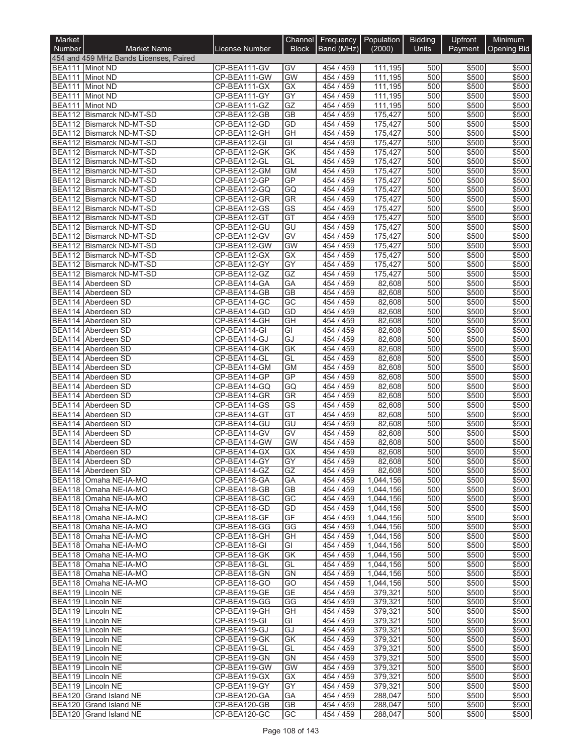| Market        |                                                           |                              | <b>Channel</b>         | Frequency   Population |                        | <b>Bidding</b> | Upfront        | <b>Minimum</b>     |
|---------------|-----------------------------------------------------------|------------------------------|------------------------|------------------------|------------------------|----------------|----------------|--------------------|
| <b>Number</b> | <b>Market Name</b>                                        | License Number               | <b>Block</b>           | Band (MHz)             | (2000)                 | <b>Units</b>   | Payment        | <b>Opening Bid</b> |
|               | 454 and 459 MHz Bands Licenses, Paired<br>BEA111 Minot ND | CP-BEA111-GV                 | GV                     | 454 / 459              | 111,195                | 500            | \$500          | \$500              |
|               | BEA111 Minot ND                                           | CP-BEA111-GW                 | <b>GW</b>              | 454 / 459              | 111,195                | 500            | \$500          | \$500              |
|               | BEA111 Minot ND                                           | CP-BEA111-GX                 | GX                     | 454 / 459              | 111,195                | 500            | \$500          | \$500              |
|               | BEA111 Minot ND                                           | CP-BEA111-GY                 | GY                     | 454 / 459              | 111,195                | 500            | \$500          | \$500              |
|               | BEA111 Minot ND                                           | CP-BEA111-GZ                 | GZ                     | 454 / 459              | 111,195                | 500            | \$500          | \$500              |
|               | BEA112 Bismarck ND-MT-SD<br>BEA112 Bismarck ND-MT-SD      | CP-BEA112-GB<br>CP-BEA112-GD | <b>GB</b><br>GD        | 454 / 459<br>454 / 459 | 175,427<br>175,427     | 500<br>500     | \$500<br>\$500 | \$500<br>\$500     |
|               | BEA112 Bismarck ND-MT-SD                                  | CP-BEA112-GH                 | $\overline{GH}$        | 454 / 459              | 175,427                | 500            | \$500          | \$500              |
|               | BEA112 Bismarck ND-MT-SD                                  | CP-BEA112-GI                 | GI                     | 454 / 459              | 175,427                | 500            | \$500          | \$500              |
|               | BEA112 Bismarck ND-MT-SD                                  | CP-BEA112-GK                 | GK                     | 454 / 459              | 175,427                | 500            | \$500          | \$500              |
|               | BEA112 Bismarck ND-MT-SD                                  | CP-BEA112-GL                 | GL                     | 454 / 459              | 175,427                | 500            | \$500          | \$500              |
|               | BEA112 Bismarck ND-MT-SD                                  | CP-BEA112-GM                 | <b>GM</b>              | 454 / 459              | 175,427                | 500            | \$500          | \$500              |
|               | BEA112 Bismarck ND-MT-SD<br>BEA112 Bismarck ND-MT-SD      | CP-BEA112-GP<br>CP-BEA112-GQ | GP<br>GQ               | 454 / 459<br>454 / 459 | 175,427<br>175,427     | 500<br>500     | \$500<br>\$500 | \$500<br>\$500     |
|               | BEA112 Bismarck ND-MT-SD                                  | CP-BEA112-GR                 | <b>GR</b>              | 454 / 459              | 175,427                | 500            | \$500          | \$500              |
|               | BEA112 Bismarck ND-MT-SD                                  | CP-BEA112-GS                 | $\overline{\text{GS}}$ | 454 / 459              | 175,427                | 500            | \$500          | \$500              |
|               | BEA112 Bismarck ND-MT-SD                                  | CP-BEA112-GT                 | GT                     | 454 / 459              | 175,427                | 500            | \$500          | \$500              |
|               | BEA112 Bismarck ND-MT-SD                                  | CP-BEA112-GU                 | GU                     | 454 / 459              | 175,427                | 500            | \$500          | \$500              |
|               | BEA112 Bismarck ND-MT-SD<br>BEA112 Bismarck ND-MT-SD      | CP-BEA112-GV<br>CP-BEA112-GW | GV<br><b>GW</b>        | 454 / 459              | 175.427                | 500            | \$500          | \$500              |
|               | BEA112 Bismarck ND-MT-SD                                  | CP-BEA112-GX                 | GX                     | 454 / 459<br>454 / 459 | 175,427<br>175,427     | 500<br>500     | \$500<br>\$500 | \$500<br>\$500     |
|               | <b>BEA112 Bismarck ND-MT-SD</b>                           | CP-BEA112-GY                 | $\overline{GY}$        | 454 / 459              | 175,427                | 500            | \$500          | \$500              |
|               | BEA112 Bismarck ND-MT-SD                                  | CP-BEA112-GZ                 | GZ                     | 454 / 459              | 175,427                | 500            | \$500          | \$500              |
|               | BEA114 Aberdeen SD                                        | CP-BEA114-GA                 | GA                     | 454 / 459              | 82,608                 | 500            | \$500          | \$500              |
|               | BEA114 Aberdeen SD                                        | CP-BEA114-GB                 | <b>GB</b>              | 454 / 459              | 82,608                 | 500            | \$500          | \$500              |
|               | BEA114 Aberdeen SD<br>BEA114 Aberdeen SD                  | CP-BEA114-GC                 | GC<br>GD               | 454 / 459<br>454 / 459 | 82,608<br>82,608       | 500<br>500     | \$500          | \$500              |
|               | BEA114 Aberdeen SD                                        | CP-BEA114-GD<br>CP-BEA114-GH | GH                     | 454 / 459              | 82,608                 | 500            | \$500<br>\$500 | \$500<br>\$500     |
|               | BEA114 Aberdeen SD                                        | CP-BEA114-GI                 | $\overline{GI}$        | 454 / 459              | 82,608                 | 500            | \$500          | \$500              |
|               | BEA114 Aberdeen SD                                        | CP-BEA114-GJ                 | GJ                     | 454 / 459              | 82,608                 | 500            | \$500          | \$500              |
|               | BEA114 Aberdeen SD                                        | CP-BEA114-GK                 | <b>GK</b>              | 454 / 459              | 82,608                 | 500            | \$500          | \$500              |
|               | BEA114 Aberdeen SD                                        | CP-BEA114-GL                 | GL                     | 454 / 459              | 82,608                 | 500            | \$500          | \$500              |
| BEA114        | BEA114 Aberdeen SD<br>Aberdeen SD                         | CP-BEA114-GM<br>CP-BEA114-GP | <b>GM</b><br>GP        | 454 / 459<br>454 / 459 | 82,608<br>82,608       | 500<br>500     | \$500<br>\$500 | \$500<br>\$500     |
|               | BEA114 Aberdeen SD                                        | CP-BEA114-GQ                 | GQ                     | 454 / 459              | 82,608                 | 500            | \$500          | \$500              |
|               | BEA114 Aberdeen SD                                        | CP-BEA114-GR                 | <b>GR</b>              | 454 / 459              | 82,608                 | 500            | \$500          | \$500              |
|               | BEA114 Aberdeen SD                                        | CP-BEA114-GS                 | $\overline{\text{GS}}$ | 454 / 459              | 82,608                 | 500            | \$500          | \$500              |
|               | BEA114 Aberdeen SD                                        | CP-BEA114-GT                 | GT                     | 454 / 459              | 82,608                 | 500            | \$500          | \$500              |
|               | BEA114 Aberdeen SD<br>BEA114 Aberdeen SD                  | CP-BEA114-GU<br>CP-BEA114-GV | GU<br>GV               | 454 / 459<br>454 / 459 | 82,608<br>82,608       | 500<br>500     | \$500<br>\$500 | \$500<br>\$500     |
|               | BEA114 Aberdeen SD                                        | CP-BEA114-GW                 | <b>GW</b>              | 454 / 459              | 82,608                 | 500            | \$500          | \$500              |
|               | BEA114 Aberdeen SD                                        | CP-BEA114-GX                 | GX                     | 454 / 459              | 82,608                 | 500            | \$500          | \$500              |
|               | BEA114 Aberdeen SD                                        | CP-BEA114-GY                 | GY                     | 454 / 459              | 82,608                 | 500            | \$500          | \$500              |
|               | BEA114 Aberdeen SD                                        | CP-BEA114-GZ                 | GZ                     | 454 / 459              | 82,608                 | 500            | \$500          | \$500              |
|               | BEA118 Omaha NE-IA-MO                                     | CP-BEA118-GA                 | GA                     | 454 / 459              | 1,044,156              | 500            | \$500          | \$500              |
|               | BEA118 Omaha NE-IA-MO<br>BEA118 Omaha NE-IA-MO            | CP-BEA118-GB<br>CP-BEA118-GC | <b>GB</b><br>GC        | 454 / 459<br>454 / 459 | 1,044,156<br>1,044,156 | 500<br>500     | \$500<br>\$500 | \$500<br>\$500     |
|               | BEA118 Omaha NE-IA-MO                                     | CP-BEA118-GD                 | GD                     | 454 / 459              | 1,044,156              | 500            | \$500          | \$500              |
|               | BEA118 Omaha NE-IA-MO                                     | CP-BEA118-GF                 | GF                     | 454 / 459              | 1,044,156              | 500            | \$500          | \$500              |
|               | BEA118 Omaha NE-IA-MO                                     | CP-BEA118-GG                 | GG                     | 454 / 459              | 1,044,156              | 500            | \$500          | \$500              |
|               | BEA118 Omaha NE-IA-MO                                     | CP-BEA118-GH                 | GH                     | 454 / 459              | 1,044,156              | 500            | \$500          | \$500              |
|               | BEA118 Omaha NE-IA-MO<br>BEA118 Omaha NE-IA-MO            | CP-BEA118-GI<br>CP-BEA118-GK | GI<br>GK               | 454 / 459<br>454 / 459 | 1,044,156<br>1,044,156 | 500<br>500     | \$500<br>\$500 | \$500<br>\$500     |
|               | BEA118 Omaha NE-IA-MO                                     | CP-BEA118-GL                 | GL                     | 454 / 459              | 1,044,156              | 500            | \$500          | \$500              |
|               | BEA118 Omaha NE-IA-MO                                     | CP-BEA118-GN                 | <b>GN</b>              | 454 / 459              | 1,044,156              | 500            | \$500          | \$500              |
|               | BEA118 Omaha NE-IA-MO                                     | CP-BEA118-GO                 | GO                     | 454 / 459              | 1,044,156              | 500            | \$500          | \$500              |
|               | BEA119 Lincoln NE                                         | CP-BEA119-GE                 | <b>GE</b>              | 454 / 459              | 379,321                | 500            | \$500          | \$500              |
|               | BEA119 Lincoln NE                                         | CP-BEA119-GG                 | GG                     | 454 / 459              | 379,321                | 500            | \$500          | \$500              |
|               | BEA119 Lincoln NE<br>BEA119 Lincoln NE                    | CP-BEA119-GH<br>CP-BEA119-GI | <b>GH</b><br>GI        | 454 / 459<br>454 / 459 | 379,321<br>379,321     | 500<br>500     | \$500<br>\$500 | \$500<br>\$500     |
|               | BEA119 Lincoln NE                                         | CP-BEA119-GJ                 | GJ                     | 454 / 459              | 379,321                | 500            | \$500          | \$500              |
|               | BEA119 Lincoln NE                                         | CP-BEA119-GK                 | GK                     | 454 / 459              | 379,321                | 500            | \$500          | \$500              |
|               | BEA119 Lincoln NE                                         | CP-BEA119-GL                 | GL                     | 454 / 459              | 379,321                | 500            | \$500          | \$500              |
|               | BEA119 Lincoln NE                                         | CP-BEA119-GN                 | <b>GN</b>              | 454 / 459              | 379,321                | 500            | \$500          | \$500              |
|               | BEA119 Lincoln NE<br>BEA119 Lincoln NE                    | CP-BEA119-GW<br>CP-BEA119-GX | <b>GW</b><br>GX        | 454 / 459<br>454 / 459 | 379,321<br>379,321     | 500<br>500     | \$500<br>\$500 | \$500<br>\$500     |
|               | BEA119 Lincoln NE                                         | CP-BEA119-GY                 | GY                     | 454 / 459              | 379,321                | 500            | \$500          | \$500              |
|               | BEA120 Grand Island NE                                    | CP-BEA120-GA                 | GA                     | 454 / 459              | 288,047                | 500            | \$500          | \$500              |
|               | BEA120 Grand Island NE                                    | CP-BEA120-GB                 | GВ                     | 454 / 459              | 288,047                | 500            | \$500          | \$500              |
|               | BEA120 Grand Island NE                                    | CP-BEA120-GC                 | GC                     | 454 / 459              | 288,047                | 500            | \$500          | \$500              |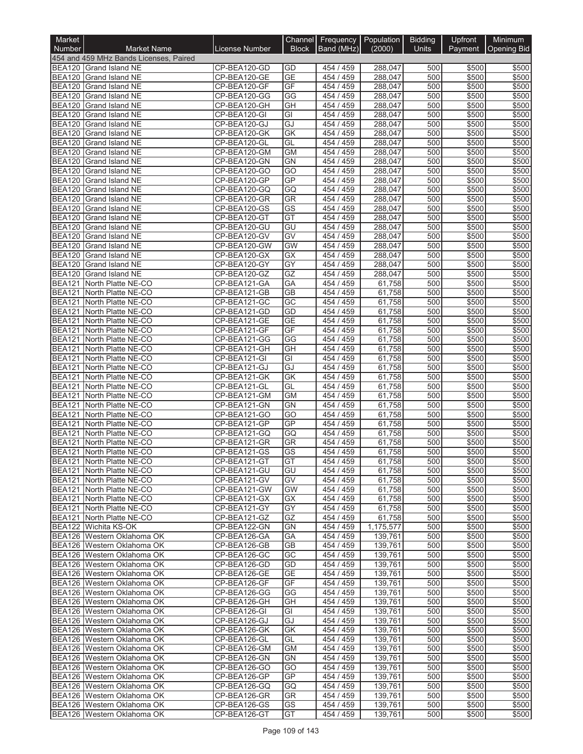| Market                         |                                                          |                              |                        | Channel Frequency Population |                    | <b>Bidding</b> | Upfront        | <b>Minimum</b>     |
|--------------------------------|----------------------------------------------------------|------------------------------|------------------------|------------------------------|--------------------|----------------|----------------|--------------------|
| <b>Number</b>                  | <b>Market Name</b>                                       | <b>License Number</b>        | <b>Block</b>           | Band (MHz)                   | (2000)             | <b>Units</b>   | <b>Payment</b> | <b>Opening Bid</b> |
|                                | 454 and 459 MHz Bands Licenses, Paired                   |                              |                        |                              |                    |                |                |                    |
|                                | BEA120 Grand Island NE<br>BEA120 Grand Island NE         | CP-BEA120-GD<br>CP-BEA120-GE | GD<br><b>GE</b>        | 454 / 459<br>454 / 459       | 288,047<br>288,047 | 500<br>500     | \$500<br>\$500 | \$500<br>\$500     |
| <b>BEA120</b>                  | Grand Island NE                                          | CP-BEA120-GF                 | GF                     | 454 / 459                    | 288,047            | 500            | \$500          | \$500              |
| <b>BEA120</b>                  | Grand Island NE                                          | CP-BEA120-GG                 | GG                     | 454 / 459                    | 288,047            | 500            | \$500          | \$500              |
| <b>BEA120</b>                  | Grand Island NE                                          | CP-BEA120-GH                 | GH                     | 454 / 459                    | 288,047            | 500            | \$500          | \$500              |
| <b>BEA120</b>                  | Grand Island NE                                          | CP-BEA120-GI                 | GI                     | 454 / 459                    | 288,047            | 500            | \$500          | \$500              |
| <b>BEA120</b>                  | <b>Grand Island NE</b>                                   | CP-BEA120-GJ                 | GJ                     | 454 / 459                    | 288,047            | 500            | \$500          | \$500              |
| <b>BEA120</b><br><b>BEA120</b> | <b>Grand Island NE</b>                                   | CP-BEA120-GK                 | GK<br>GL               | 454 / 459<br>454 / 459       | 288,047            | 500<br>500     | \$500          | \$500              |
| <b>BEA120</b>                  | Grand Island NE<br><b>Grand Island NE</b>                | CP-BEA120-GL<br>CP-BEA120-GM | <b>GM</b>              | 454 / 459                    | 288,047<br>288,047 | 500            | \$500<br>\$500 | \$500<br>\$500     |
| <b>BEA120</b>                  | Grand Island NE                                          | CP-BEA120-GN                 | <b>GN</b>              | 454 / 459                    | 288,047            | 500            | \$500          | \$500              |
| <b>BEA120</b>                  | Grand Island NE                                          | CP-BEA120-GO                 | GO                     | 454 / 459                    | 288,047            | 500            | \$500          | \$500              |
| <b>BEA120</b>                  | Grand Island NE                                          | CP-BEA120-GP                 | GP                     | 454 / 459                    | 288,047            | 500            | \$500          | \$500              |
| <b>BEA120</b>                  | Grand Island NE                                          | CP-BEA120-GQ                 | GQ                     | 454 / 459                    | 288,047            | 500            | \$500          | \$500              |
| <b>BEA120</b>                  | Grand Island NE                                          | CP-BEA120-GR                 | <b>GR</b>              | 454 / 459                    | 288,047            | 500            | \$500          | \$500              |
| <b>BEA120</b>                  | <b>Grand Island NE</b>                                   | CP-BEA120-GS                 | GS<br>$\overline{GT}$  | 454 / 459                    | 288,047            | 500            | \$500          | \$500              |
| <b>BEA120</b><br><b>BEA120</b> | Grand Island NE<br>Grand Island NE                       | CP-BEA120-GT<br>CP-BEA120-GU | GU                     | 454 / 459<br>454 / 459       | 288,047<br>288,047 | 500<br>500     | \$500<br>\$500 | \$500<br>\$500     |
| <b>BEA120</b>                  | <b>Grand Island NE</b>                                   | CP-BEA120-GV                 | $\overline{GV}$        | 454 / 459                    | 288,047            | 500            | \$500          | \$500              |
| <b>BEA120</b>                  | <b>Grand Island NE</b>                                   | CP-BEA120-GW                 | <b>GW</b>              | 454 / 459                    | 288,047            | 500            | \$500          | \$500              |
| <b>BEA120</b>                  | Grand Island NE                                          | CP-BEA120-GX                 | <b>GX</b>              | 454 / 459                    | 288,047            | 500            | \$500          | \$500              |
| <b>BEA120</b>                  | Grand Island NE                                          | CP-BEA120-GY                 | $\overline{GY}$        | 454 / 459                    | 288,047            | 500            | \$500          | \$500              |
| <b>BEA120</b>                  | <b>Grand Island NE</b>                                   | CP-BEA120-GZ                 | GZ                     | 454 / 459                    | 288,047            | 500            | \$500          | \$500              |
| <b>BEA121</b>                  | North Platte NE-CO                                       | CP-BEA121-GA                 | GA                     | 454 / 459                    | 61,758             | 500            | \$500          | \$500              |
| <b>BEA121</b>                  | North Platte NE-CO                                       | CP-BEA121-GB                 | $\overline{GB}$        | 454 / 459                    | 61,758             | 500            | \$500          | \$500              |
| <b>BEA121</b><br><b>BEA121</b> | North Platte NE-CO<br>North Platte NE-CO                 | CP-BEA121-GC<br>CP-BEA121-GD | GC<br>GD               | 454 / 459<br>454 / 459       | 61,758<br>61,758   | 500<br>500     | \$500<br>\$500 | \$500<br>\$500     |
| <b>BEA121</b>                  | North Platte NE-CO                                       | CP-BEA121-GE                 | GE                     | 454 / 459                    | 61,758             | 500            | \$500          | \$500              |
| <b>BEA121</b>                  | North Platte NE-CO                                       | CP-BEA121-GF                 | GF                     | 454 / 459                    | 61,758             | 500            | \$500          | \$500              |
| <b>BEA121</b>                  | North Platte NE-CO                                       | CP-BEA121-GG                 | GG                     | 454 / 459                    | 61,758             | 500            | \$500          | \$500              |
| <b>BEA121</b>                  | North Platte NE-CO                                       | CP-BEA121-GH                 | GH                     | 454 / 459                    | 61,758             | 500            | \$500          | \$500              |
| <b>BEA121</b>                  | North Platte NE-CO                                       | CP-BEA121-GI                 | GI                     | 454 / 459                    | 61,758             | 500            | \$500          | \$500              |
|                                | BEA121 North Platte NE-CO                                | CP-BEA121-GJ                 | GJ                     | 454 / 459                    | 61,758             | 500            | \$500          | \$500              |
| <b>BEA121</b>                  | North Platte NE-CO                                       | CP-BEA121-GK                 | <b>GK</b>              | 454 / 459                    | 61,758             | 500            | \$500          | \$500              |
| <b>BEA121</b><br><b>BEA121</b> | North Platte NE-CO<br>North Platte NE-CO                 | CP-BEA121-GL<br>CP-BEA121-GM | GL<br><b>GM</b>        | 454 / 459<br>454 / 459       | 61,758<br>61,758   | 500<br>500     | \$500<br>\$500 | \$500<br>\$500     |
| <b>BEA121</b>                  | North Platte NE-CO                                       | CP-BEA121-GN                 | GN                     | 454 / 459                    | 61,758             | 500            | \$500          | \$500              |
| <b>BEA121</b>                  | North Platte NE-CO                                       | CP-BEA121-GO                 | GO                     | 454 / 459                    | 61,758             | 500            | \$500          | \$500              |
| <b>BEA121</b>                  | North Platte NE-CO                                       | CP-BEA121-GP                 | GP                     | 454 / 459                    | 61,758             | 500            | \$500          | \$500              |
| <b>BEA121</b>                  | North Platte NE-CO                                       | CP-BEA121-GQ                 | GQ                     | 454 / 459                    | 61,758             | 500            | \$500          | \$500              |
| <b>BEA121</b>                  | North Platte NE-CO                                       | CP-BEA121-GR                 | GR                     | 454 / 459                    | 61,758             | 500            | \$500          | \$500              |
| <b>BEA121</b>                  | North Platte NE-CO                                       | CP-BEA121-GS                 | $\overline{\text{GS}}$ | 454 / 459                    | 61.758             | 500            | \$500          | \$500              |
|                                | BEA121 North Platte NE-CO                                | CP-BEA121-GT                 | GТ<br>GU               | 454 / 459                    | 61,758             | 500            | \$500          | \$500<br>\$500     |
|                                | BEA121 North Platte NE-CO<br>BEA121 North Platte NE-CO   | CP-BEA121-GU<br>CP-BEA121-GV | GV                     | 454 / 459<br>454 / 459       | 61,758<br>61,758   | 500<br>500     | \$500<br>\$500 | \$500              |
|                                | BEA121 North Platte NE-CO                                | CP-BEA121-GW                 | <b>GW</b>              | 454 / 459                    | 61,758             | 500            | \$500          | \$500              |
|                                | BEA121 North Platte NE-CO                                | CP-BEA121-GX                 | GX                     | 454 / 459                    | 61,758             | 500            | \$500          | \$500              |
|                                | BEA121 North Platte NE-CO                                | CP-BEA121-GY                 | GY                     | 454 / 459                    | 61,758             | 500            | \$500          | \$500              |
|                                | BEA121 North Platte NE-CO                                | CP-BEA121-GZ                 | GZ                     | 454 / 459                    | 61,758             | 500            | \$500          | \$500              |
|                                | BEA122 Wichita KS-OK                                     | CP-BEA122-GN                 | <b>GN</b>              | 454 / 459                    | 1,175,577          | 500            | \$500          | \$500              |
|                                | BEA126 Western Oklahoma OK                               | CP-BEA126-GA                 | GA                     | 454 / 459                    | 139,761            | 500            | \$500          | \$500              |
|                                | BEA126 Western Oklahoma OK<br>BEA126 Western Oklahoma OK | CP-BEA126-GB<br>CP-BEA126-GC | <b>GB</b><br>GC        | 454 / 459<br>454 / 459       | 139,761<br>139,761 | 500<br>500     | \$500<br>\$500 | \$500<br>\$500     |
|                                | BEA126 Western Oklahoma OK                               | CP-BEA126-GD                 | GD                     | 454 / 459                    | 139,761            | 500            | \$500          | \$500              |
|                                | BEA126 Western Oklahoma OK                               | CP-BEA126-GE                 | <b>GE</b>              | 454 / 459                    | 139,761            | 500            | \$500          | \$500              |
|                                | BEA126 Western Oklahoma OK                               | CP-BEA126-GF                 | GF                     | 454/459                      | 139,761            | 500            | \$500          | \$500              |
|                                | BEA126 Western Oklahoma OK                               | CP-BEA126-GG                 | GG                     | 454 / 459                    | 139,761            | 500            | \$500          | \$500              |
|                                | BEA126 Western Oklahoma OK                               | CP-BEA126-GH                 | GH                     | 454 / 459                    | 139,761            | 500            | \$500          | \$500              |
|                                | BEA126 Western Oklahoma OK                               | CP-BEA126-GI                 | GI                     | 454 / 459                    | 139,761            | 500            | \$500          | \$500              |
|                                | BEA126 Western Oklahoma OK                               | CP-BEA126-GJ                 | GJ                     | 454 / 459                    | 139,761            | 500            | \$500          | \$500              |
|                                | BEA126 Western Oklahoma OK<br>BEA126 Western Oklahoma OK | CP-BEA126-GK<br>CP-BEA126-GL | GK<br>GL               | 454 / 459<br>454 / 459       | 139,761<br>139,761 | 500<br>500     | \$500<br>\$500 | \$500<br>\$500     |
|                                | BEA126 Western Oklahoma OK                               | CP-BEA126-GM                 | <b>GM</b>              | 454 / 459                    | 139,761            | 500            | \$500          | \$500              |
|                                | BEA126 Western Oklahoma OK                               | CP-BEA126-GN                 | <b>GN</b>              | 454 / 459                    | 139,761            | 500            | \$500          | \$500              |
|                                | BEA126 Western Oklahoma OK                               | CP-BEA126-GO                 | GO                     | 454 / 459                    | 139,761            | 500            | \$500          | \$500              |
|                                | BEA126 Western Oklahoma OK                               | CP-BEA126-GP                 | GP                     | 454 / 459                    | 139,761            | 500            | \$500          | \$500              |
|                                | BEA126 Western Oklahoma OK                               | CP-BEA126-GQ                 | GQ                     | 454 / 459                    | 139,761            | 500            | \$500          | \$500              |
|                                | BEA126 Western Oklahoma OK                               | CP-BEA126-GR                 | GR                     | 454 / 459                    | 139,761            | 500            | \$500          | \$500              |
|                                | BEA126 Western Oklahoma OK<br>BEA126 Western Oklahoma OK | CP-BEA126-GS<br>CP-BEA126-GT | <b>GS</b><br>GT        | 454 / 459<br>454 / 459       | 139,761            | 500<br>500     | \$500<br>\$500 | \$500<br>\$500     |
|                                |                                                          |                              |                        |                              | 139,761            |                |                |                    |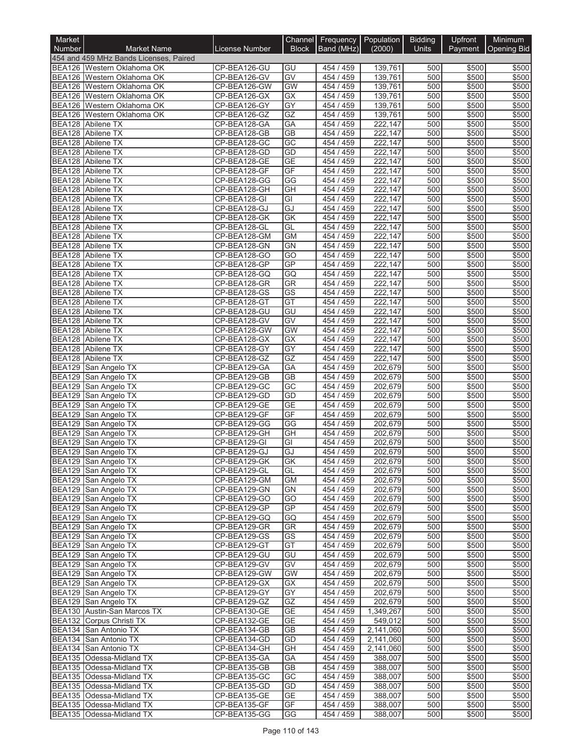| Market        |                                                                      |                              |                                    | Channel Frequency Population |                      | <b>Bidding</b> | Upfront        | Minimum               |
|---------------|----------------------------------------------------------------------|------------------------------|------------------------------------|------------------------------|----------------------|----------------|----------------|-----------------------|
| <b>Number</b> | <b>Market Name</b>                                                   | License Number               | <b>Block</b>                       | Band (MHz)                   | (2000)               | Units          |                | Payment   Opening Bid |
|               | 454 and 459 MHz Bands Licenses, Paired<br>BEA126 Western Oklahoma OK | CP-BEA126-GU                 | GU                                 | 454 / 459                    | 139,761              | 500            | \$500          | \$500                 |
|               | BEA126 Western Oklahoma OK                                           | CP-BEA126-GV                 | GV                                 | 454 / 459                    | 139,761              | 500            | \$500          | \$500                 |
|               | BEA126 Western Oklahoma OK                                           | CP-BEA126-GW                 | GW                                 | 454 / 459                    | 139,761              | 500            | \$500          | \$500                 |
|               | BEA126 Western Oklahoma OK                                           | CP-BEA126-GX                 | GX                                 | 454 / 459                    | 139,761              | 500            | \$500          | \$500                 |
|               | BEA126 Western Oklahoma OK                                           | CP-BEA126-GY                 | $\overline{GY}$                    | 454 / 459                    | 139,761              | 500            | \$500          | \$500                 |
|               | BEA126 Western Oklahoma OK<br>BEA128 Abilene TX                      | CP-BEA126-GZ<br>CP-BEA128-GA | GZ<br>GA                           | 454 / 459<br>454 / 459       | 139,761<br>222,147   | 500<br>500     | \$500<br>\$500 | \$500<br>\$500        |
|               | BEA128 Abilene TX                                                    | CP-BEA128-GB                 | <b>GB</b>                          | 454 / 459                    | 222,147              | 500            | \$500          | \$500                 |
|               | <b>BEA128</b> Abilene TX                                             | CP-BEA128-GC                 | GC                                 | 454 / 459                    | 222,147              | 500            | \$500          | \$500                 |
|               | <b>BEA128</b> Abilene TX                                             | CP-BEA128-GD                 | GD                                 | 454 / 459                    | 222,147              | 500            | \$500          | \$500                 |
|               | BEA128 Abilene TX                                                    | CP-BEA128-GE                 | <b>GE</b>                          | 454 / 459                    | 222,147              | 500            | \$500          | \$500                 |
| <b>BEA128</b> | Abilene TX                                                           | CP-BEA128-GF                 | GF                                 | 454 / 459                    | 222,147              | 500            | \$500          | \$500                 |
|               | BEA128 Abilene TX<br>BEA128 Abilene TX                               | CP-BEA128-GG<br>CP-BEA128-GH | GG<br>GH                           | 454 / 459<br>454 / 459       | 222,147<br>222,147   | 500<br>500     | \$500<br>\$500 | \$500<br>\$500        |
|               | BEA128 Abilene TX                                                    | CP-BEA128-GI                 | GI                                 | 454 / 459                    | 222,147              | 500            | \$500          | \$500                 |
|               | BEA128 Abilene TX                                                    | CP-BEA128-GJ                 | GJ                                 | 454 / 459                    | 222,147              | 500            | \$500          | \$500                 |
|               | BEA128 Abilene TX                                                    | CP-BEA128-GK                 | GK                                 | 454 / 459                    | 222,147              | 500            | \$500          | \$500                 |
|               | BEA128 Abilene TX                                                    | CP-BEA128-GL                 | GL                                 | 454 / 459                    | 222,147              | 500            | \$500          | \$500                 |
|               | BEA128 Abilene TX                                                    | CP-BEA128-GM                 | <b>GM</b>                          | 454 / 459                    | 222,147              | 500            | \$500          | \$500                 |
|               | BEA128 Abilene TX<br>BEA128 Abilene TX                               | CP-BEA128-GN<br>CP-BEA128-GO | <b>GN</b><br>$\overline{GO}$       | 454 / 459<br>454 / 459       | 222,147<br>222,147   | 500<br>500     | \$500<br>\$500 | \$500<br>\$500        |
|               | BEA128 Abilene TX                                                    | CP-BEA128-GP                 | GP                                 | 454 / 459                    | 222,147              | 500            | \$500          | \$500                 |
| <b>BEA128</b> | Abilene TX                                                           | CP-BEA128-GQ                 | GQ                                 | 454 / 459                    | 222,147              | 500            | \$500          | \$500                 |
|               | BEA128 Abilene TX                                                    | CP-BEA128-GR                 | <b>GR</b>                          | 454 / 459                    | 222,147              | 500            | \$500          | \$500                 |
|               | BEA128 Abilene TX                                                    | CP-BEA128-GS                 | $\overline{\text{GS}}$             | 454 / 459                    | 222,147              | 500            | \$500          | \$500                 |
|               | BEA128 Abilene TX                                                    | CP-BEA128-GT                 | GT                                 | 454 / 459                    | 222,147              | 500            | \$500          | \$500                 |
|               | <b>BEA128</b> Abilene TX<br>BEA128 Abilene TX                        | CP-BEA128-GU<br>CP-BEA128-GV | GU<br>$\overline{GV}$              | 454 / 459<br>454 / 459       | 222,147<br>222,147   | 500<br>500     | \$500<br>\$500 | \$500<br>\$500        |
|               | BEA128 Abilene TX                                                    | CP-BEA128-GW                 | <b>GW</b>                          | 454 / 459                    | 222,147              | 500            | \$500          | \$500                 |
|               | BEA128 Abilene TX                                                    | CP-BEA128-GX                 | GX                                 | 454 / 459                    | 222,147              | 500            | \$500          | \$500                 |
|               | BEA128 Abilene TX                                                    | CP-BEA128-GY                 | $\overline{GY}$                    | 454 / 459                    | 222,147              | 500            | \$500          | \$500                 |
|               | BEA128 Abilene TX                                                    | CP-BEA128-GZ                 | GZ                                 | 454 / 459                    | 222,147              | 500            | \$500          | \$500                 |
|               | BEA129 San Angelo TX                                                 | CP-BEA129-GA                 | <b>GA</b>                          | 454 / 459                    | 202,679              | 500            | \$500          | \$500                 |
|               | BEA129 San Angelo TX<br>BEA129 San Angelo TX                         | CP-BEA129-GB<br>CP-BEA129-GC | $\overline{GB}$<br>$\overline{GC}$ | 454 / 459<br>454 / 459       | 202,679<br>202,679   | 500<br>500     | \$500<br>\$500 | \$500<br>\$500        |
|               | BEA129 San Angelo TX                                                 | CP-BEA129-GD                 | GD                                 | 454 / 459                    | 202,679              | 500            | \$500          | \$500                 |
| <b>BEA129</b> | San Angelo TX                                                        | CP-BEA129-GE                 | <b>GE</b>                          | 454 / 459                    | 202,679              | 500            | \$500          | \$500                 |
|               | BEA129 San Angelo TX                                                 | CP-BEA129-GF                 | GF                                 | 454 / 459                    | 202,679              | 500            | \$500          | \$500                 |
| <b>BEA129</b> | San Angelo TX                                                        | CP-BEA129-GG                 | GG                                 | 454 / 459                    | 202,679              | 500            | \$500          | \$500                 |
| <b>BEA129</b> | San Angelo TX                                                        | CP-BEA129-GH                 | $\overline{GH}$                    | 454 / 459                    | 202,679              | 500            | \$500          | \$500                 |
|               | BEA129 San Angelo TX<br>BEA129 San Angelo TX                         | CP-BEA129-GI<br>CP-BEA129-GJ | $\overline{GI}$<br>GJ              | 454 / 459<br>454 / 459       | 202,679<br>202,679   | 500<br>500     | \$500<br>\$500 | \$500<br>\$500        |
|               | BEA129 San Angelo TX                                                 | CP-BEA129-GK                 | GK                                 | 454 / 459                    | 202,679              | 500            | \$500          | \$500                 |
|               | BEA129 San Angelo TX                                                 | CP-BEA129-GL                 | GL                                 | 454 / 459                    | 202,679              | 500            | \$500          | \$500                 |
|               | BEA129 San Angelo TX                                                 | CP-BEA129-GM                 | <b>GM</b>                          | 454/459                      | 202,679              | 500            | \$500          | \$500                 |
|               | BEA129 San Angelo TX                                                 | CP-BEA129-GN                 | <b>GN</b>                          | 454 / 459                    | 202,679              | 500            | \$500          | \$500                 |
|               | BEA129 San Angelo TX                                                 | CP-BEA129-GO                 | GO                                 | 454 / 459                    | 202.679              | 500            | \$500          | \$500                 |
|               | BEA129 San Angelo TX<br>BEA129 San Angelo TX                         | CP-BEA129-GP<br>CP-BEA129-GQ | <b>GP</b><br>GQ                    | 454 / 459<br>454 / 459       | 202,679<br>202,679   | 500<br>500     | \$500<br>\$500 | \$500<br>\$500        |
|               | BEA129 San Angelo TX                                                 | CP-BEA129-GR                 | <b>GR</b>                          | 454 / 459                    | 202,679              | 500            | \$500          | \$500                 |
|               | BEA129 San Angelo TX                                                 | CP-BEA129-GS                 | GS                                 | 454 / 459                    | 202,679              | 500            | \$500          | \$500                 |
|               | BEA129 San Angelo TX                                                 | CP-BEA129-GT                 | GT                                 | 454 / 459                    | 202,679              | 500            | \$500          | \$500                 |
|               | BEA129 San Angelo TX                                                 | CP-BEA129-GU                 | GU                                 | 454 / 459                    | 202,679              | 500            | \$500          | \$500                 |
|               | BEA129 San Angelo TX                                                 | CP-BEA129-GV                 | GV                                 | 454 / 459                    | 202,679              | 500            | \$500          | \$500                 |
|               | BEA129 San Angelo TX<br>BEA129 San Angelo TX                         | CP-BEA129-GW<br>CP-BEA129-GX | <b>GW</b><br>GX                    | 454 / 459<br>454 / 459       | 202,679<br>202,679   | 500<br>500     | \$500<br>\$500 | \$500<br>\$500        |
|               | BEA129 San Angelo TX                                                 | CP-BEA129-GY                 | GY                                 | 454 / 459                    | 202,679              | 500            | \$500          | \$500                 |
|               | BEA129 San Angelo TX                                                 | CP-BEA129-GZ                 | GZ                                 | 454 / 459                    | 202,679              | 500            | \$500          | \$500                 |
|               | BEA130 Austin-San Marcos TX                                          | CP-BEA130-GE                 | GE                                 | 454 / 459                    | 1,349,267            | 500            | \$500          | \$500                 |
|               | BEA132 Corpus Christi TX                                             | CP-BEA132-GE                 | <b>GE</b>                          | 454 / 459                    | 549,012              | 500            | \$500          | \$500                 |
|               | BEA134 San Antonio TX                                                | CP-BEA134-GB                 | GВ                                 | 454 / 459                    | 2,141,060            | 500            | \$500          | \$500                 |
|               | BEA134 San Antonio TX                                                | CP-BEA134-GD                 | GD<br>GH                           | 454 / 459<br>454/459         | 2,141,060            | 500<br>500     | \$500<br>\$500 | \$500                 |
|               | BEA134 San Antonio TX<br>BEA135 Odessa-Midland TX                    | CP-BEA134-GH<br>CP-BEA135-GA | GA                                 | 454 / 459                    | 2,141,060<br>388,007 | 500            | \$500          | \$500<br>\$500        |
|               | BEA135 Odessa-Midland TX                                             | CP-BEA135-GB                 | GВ                                 | 454 / 459                    | 388,007              | 500            | \$500          | \$500                 |
|               | BEA135 Odessa-Midland TX                                             | CP-BEA135-GC                 | GC                                 | 454 / 459                    | 388,007              | 500            | \$500          | \$500                 |
|               | BEA135 Odessa-Midland TX                                             | CP-BEA135-GD                 | GD                                 | 454 / 459                    | 388,007              | 500            | \$500          | \$500                 |
|               | BEA135 Odessa-Midland TX                                             | CP-BEA135-GE                 | <b>GE</b>                          | 454 / 459                    | 388,007              | 500            | \$500          | \$500                 |
|               | BEA135 Odessa-Midland TX<br>BEA135 Odessa-Midland TX                 | CP-BEA135-GF<br>CP-BEA135-GG | GF<br>GG                           | 454 / 459<br>454 / 459       | 388,007<br>388,007   | 500<br>500     | \$500<br>\$500 | \$500<br>\$500        |
|               |                                                                      |                              |                                    |                              |                      |                |                |                       |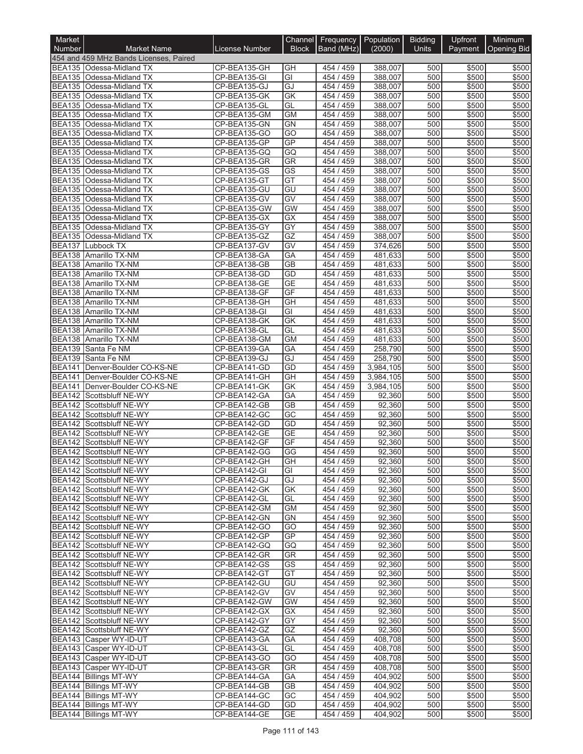| Market                         |                                                      |                              | Channel                | Frequency              | <b>Population</b>  | <b>Bidding</b> | Upfront        | Minimum            |
|--------------------------------|------------------------------------------------------|------------------------------|------------------------|------------------------|--------------------|----------------|----------------|--------------------|
| Number                         | <b>Market Name</b>                                   | <b>License Number</b>        | <b>Block</b>           | Band (MHz)             | (2000)             | Units          | Payment        | <b>Opening Bid</b> |
|                                | 454 and 459 MHz Bands Licenses, Paired               |                              |                        |                        |                    |                |                |                    |
|                                | BEA135 Odessa-Midland TX                             | CP-BEA135-GH                 | GH                     | 454 / 459              | 388,007            | 500            | \$500          | \$500              |
| <b>BEA135</b>                  | BEA135   Odessa-Midland TX                           | CP-BEA135-GI                 | GI<br>GJ               | 454 / 459              | 388,007            | 500<br>500     | \$500<br>\$500 | \$500<br>\$500     |
|                                | Odessa-Midland TX<br>BEA135 Odessa-Midland TX        | CP-BEA135-GJ<br>CP-BEA135-GK | GK                     | 454 / 459<br>454 / 459 | 388,007<br>388,007 | 500            | \$500          | \$500              |
| <b>BEA135</b>                  | Odessa-Midland TX                                    | CP-BEA135-GL                 | GL                     | 454 / 459              | 388,007            | 500            | \$500          | \$500              |
| <b>BEA135</b>                  | Odessa-Midland TX                                    | CP-BEA135-GM                 | <b>GM</b>              | 454 / 459              | 388,007            | 500            | \$500          | \$500              |
| <b>BEA135</b>                  | Odessa-Midland TX                                    | CP-BEA135-GN                 | GN                     | 454 / 459              | 388,007            | 500            | \$500          | \$500              |
| <b>BEA135</b>                  | Odessa-Midland TX                                    | CP-BEA135-GO                 | $\overline{GO}$        | 454 / 459              | 388,007            | 500            | \$500          | \$500              |
| <b>BEA135</b>                  | Odessa-Midland TX                                    | CP-BEA135-GP                 | GP                     | 454 / 459              | 388,007            | 500            | \$500          | \$500              |
| <b>BEA135</b>                  | Odessa-Midland TX                                    | CP-BEA135-GQ                 | GQ                     | 454 / 459              | 388,007            | 500            | \$500          | \$500              |
| <b>BEA135</b>                  | Odessa-Midland TX                                    | CP-BEA135-GR                 | GR                     | 454 / 459              | 388,007            | 500            | \$500          | \$500              |
| <b>BEA135</b>                  | Odessa-Midland TX                                    | CP-BEA135-GS                 | $\overline{\text{GS}}$ | 454 / 459              | 388,007            | 500            | \$500          | \$500              |
|                                | BEA135 Odessa-Midland TX                             | CP-BEA135-GT                 | GT                     | 454 / 459              | 388,007            | 500            | \$500          | \$500              |
| <b>BEA135</b><br><b>BEA135</b> | Odessa-Midland TX<br>Odessa-Midland TX               | CP-BEA135-GU<br>CP-BEA135-GV | GU<br>GV               | 454 / 459<br>454 / 459 | 388,007<br>388,007 | 500<br>500     | \$500<br>\$500 | \$500<br>\$500     |
| <b>BEA135</b>                  | Odessa-Midland TX                                    | CP-BEA135-GW                 | <b>GW</b>              | 454 / 459              | 388,007            | 500            | \$500          | \$500              |
| <b>BEA135</b>                  | Odessa-Midland TX                                    | CP-BEA135-GX                 | GX                     | 454 / 459              | 388,007            | 500            | \$500          | \$500              |
| <b>BEA135</b>                  | Odessa-Midland TX                                    | CP-BEA135-GY                 | GY                     | 454 / 459              | 388,007            | 500            | \$500          | \$500              |
| <b>BEA135</b>                  | Odessa-Midland TX                                    | CP-BEA135-GZ                 | GZ                     | 454 / 459              | 388,007            | 500            | \$500          | \$500              |
| <b>BEA137</b>                  | Lubbock TX                                           | CP-BEA137-GV                 | GV                     | 454 / 459              | 374,626            | 500            | \$500          | \$500              |
|                                | BEA138 Amarillo TX-NM                                | CP-BEA138-GA                 | GA                     | 454 / 459              | 481.633            | 500            | \$500          | \$500              |
|                                | BEA138 Amarillo TX-NM                                | CP-BEA138-GB                 | <b>GB</b>              | 454 / 459              | 481,633            | 500            | \$500          | \$500              |
| <b>BEA138</b>                  | Amarillo TX-NM                                       | CP-BEA138-GD                 | GD                     | 454 / 459              | 481,633            | 500            | \$500          | \$500              |
| <b>BEA138</b>                  | Amarillo TX-NM                                       | CP-BEA138-GE                 | <b>GE</b>              | 454 / 459              | 481,633            | 500            | \$500          | \$500              |
| <b>BEA138</b>                  | Amarillo TX-NM                                       | CP-BEA138-GF                 | GF                     | 454 / 459              | 481.633            | 500            | \$500          | \$500              |
| BEA138                         | Amarillo TX-NM                                       | CP-BEA138-GH                 | GH                     | 454 / 459              | 481,633            | 500            | \$500          | \$500              |
| <b>BEA138</b>                  | Amarillo TX-NM                                       | CP-BEA138-GI                 | GI                     | 454 / 459              | 481,633            | 500            | \$500          | \$500              |
| <b>BEA138</b>                  | Amarillo TX-NM                                       | CP-BEA138-GK                 | GK<br>GL               | 454 / 459<br>454 / 459 | 481,633            | 500<br>500     | \$500          | \$500              |
| <b>BEA138</b>                  | Amarillo TX-NM<br>BEA138 Amarillo TX-NM              | CP-BEA138-GL<br>CP-BEA138-GM | <b>GM</b>              | 454 / 459              | 481,633<br>481,633 | 500            | \$500<br>\$500 | \$500<br>\$500     |
| <b>BEA139</b>                  | Santa Fe NM                                          | CP-BEA139-GA                 | GA                     | 454 / 459              | 258,790            | 500            | \$500          | \$500              |
| <b>BEA139</b>                  | Santa Fe NM                                          | CP-BEA139-GJ                 | GJ                     | 454 / 459              | 258,790            | 500            | \$500          | \$500              |
| <b>BEA141</b>                  | Denver-Boulder CO-KS-NE                              | CP-BEA141-GD                 | GD                     | 454 / 459              | 3,984,105          | 500            | \$500          | \$500              |
| <b>BEA141</b>                  | Denver-Boulder CO-KS-NE                              | CP-BEA141-GH                 | GH                     | 454 / 459              | 3,984,105          | 500            | \$500          | \$500              |
| <b>BEA141</b>                  | Denver-Boulder CO-KS-NE                              | CP-BEA141-GK                 | GK                     | 454 / 459              | 3,984,105          | 500            | \$500          | \$500              |
| <b>BEA142</b>                  | Scottsbluff NE-WY                                    | CP-BEA142-GA                 | GA                     | 454 / 459              | 92,360             | 500            | \$500          | \$500              |
| <b>BEA142</b>                  | Scottsbluff NE-WY                                    | CP-BEA142-GB                 | $\overline{GB}$        | 454 / 459              | 92,360             | 500            | \$500          | \$500              |
|                                | BEA142 Scottsbluff NE-WY                             | CP-BEA142-GC                 | $\overline{GC}$        | 454 / 459              | 92,360             | 500            | \$500          | \$500              |
| <b>BEA142</b>                  | Scottsbluff NE-WY                                    | CP-BEA142-GD                 | GD                     | 454 / 459              | 92,360             | 500            | \$500          | \$500              |
| BEA142                         | Scottsbluff NE-WY                                    | CP-BEA142-GE                 | <b>GE</b>              | 454 / 459              | 92,360             | 500            | \$500          | \$500              |
| <b>BEA142</b>                  | Scottsbluff NE-WY                                    | CP-BEA142-GF                 | GF                     | 459<br>454 /           | 92,360<br>92.360   | 500            | \$500          | \$500              |
|                                | BEA142 Scottsbluff NE-WY                             | CP-BEA142-GG                 | GG                     | 454 / 459              |                    | 500<br>500     | \$500          | \$500              |
|                                | BEA142 Scottsbluff NE-WY<br>BEA142 Scottsbluff NE-WY | CP-BEA142-GH<br>CP-BEA142-GI | GH<br>GI               | 454 / 459<br>454 / 459 | 92,360<br>92,360   | 500            | \$500<br>\$500 | \$500<br>\$500     |
|                                | BEA142 Scottsbluff NE-WY                             | CP-BEA142-GJ                 | GJ                     | 454 / 459              | 92,360             | 500            | \$500          | \$500              |
|                                | BEA142 Scottsbluff NE-WY                             | CP-BEA142-GK                 | GK                     | 454 / 459              | 92,360             | 500            | \$500          | \$500              |
|                                | BEA142 Scottsbluff NE-WY                             | CP-BEA142-GL                 | GL                     | 454 / 459              | 92,360             | 500            | \$500          | \$500              |
|                                | BEA142 Scottsbluff NE-WY                             | CP-BEA142-GM                 | <b>GM</b>              | 454 / 459              | 92,360             | 500            | \$500          | \$500              |
|                                | BEA142 Scottsbluff NE-WY                             | CP-BEA142-GN                 | <b>GN</b>              | 454 / 459              | 92,360             | 500            | \$500          | \$500              |
|                                | BEA142 Scottsbluff NE-WY                             | CP-BEA142-GO                 | GO                     | 454 / 459              | 92,360             | 500            | \$500          | \$500              |
|                                | BEA142 Scottsbluff NE-WY                             | CP-BEA142-GP                 | <b>GP</b>              | 454 / 459              | 92,360             | 500            | \$500          | \$500              |
|                                | BEA142 Scottsbluff NE-WY                             | CP-BEA142-GQ                 | GQ                     | 454 / 459              | 92,360             | 500            | \$500          | \$500              |
|                                | BEA142 Scottsbluff NE-WY                             | CP-BEA142-GR                 | GR                     | 454 / 459              | 92,360             | 500            | \$500          | \$500              |
|                                | BEA142 Scottsbluff NE-WY<br>BEA142 Scottsbluff NE-WY | CP-BEA142-GS                 | GS<br>GT               | 454 / 459<br>454 / 459 | 92,360<br>92,360   | 500<br>500     | \$500<br>\$500 | \$500<br>\$500     |
|                                | BEA142 Scottsbluff NE-WY                             | CP-BEA142-GT<br>CP-BEA142-GU | GU                     | 454 / 459              | 92,360             | 500            | \$500          | \$500              |
|                                | BEA142 Scottsbluff NE-WY                             | CP-BEA142-GV                 | GV                     | 454 / 459              | 92,360             | 500            | \$500          | \$500              |
|                                | BEA142 Scottsbluff NE-WY                             | CP-BEA142-GW                 | GW                     | 454 / 459              | 92,360             | 500            | \$500          | \$500              |
|                                | BEA142 Scottsbluff NE-WY                             | CP-BEA142-GX                 | GX                     | 454 / 459              | 92,360             | 500            | \$500          | \$500              |
|                                | BEA142 Scottsbluff NE-WY                             | CP-BEA142-GY                 | GY                     | 454 / 459              | 92,360             | 500            | \$500          | \$500              |
|                                | BEA142 Scottsbluff NE-WY                             | CP-BEA142-GZ                 | GZ                     | 454 / 459              | 92,360             | 500            | \$500          | \$500              |
|                                | BEA143 Casper WY-ID-UT                               | CP-BEA143-GA                 | GA                     | 454 / 459              | 408,708            | 500            | \$500          | \$500              |
|                                | BEA143 Casper WY-ID-UT                               | CP-BEA143-GL                 | GL                     | 454 / 459              | 408,708            | 500            | \$500          | \$500              |
|                                | BEA143 Casper WY-ID-UT                               | CP-BEA143-GO                 | GO                     | 454 / 459              | 408,708            | 500            | \$500          | \$500              |
|                                | BEA143 Casper WY-ID-UT                               | CP-BEA143-GR                 | <b>GR</b>              | 454 / 459              | 408,708            | 500            | \$500          | \$500              |
|                                | BEA144 Billings MT-WY                                | CP-BEA144-GA                 | GA                     | 454 / 459              | 404,902            | 500            | \$500          | \$500              |
|                                | <b>BEA144 Billings MT-WY</b>                         | CP-BEA144-GB                 | <b>GB</b>              | 454 / 459              | 404,902            | 500            | \$500          | \$500              |
|                                | BEA144 Billings MT-WY                                | CP-BEA144-GC                 | GC                     | 454 / 459              | 404,902            | 500            | \$500          | \$500<br>\$500     |
|                                | BEA144 Billings MT-WY<br>BEA144 Billings MT-WY       | CP-BEA144-GD<br>CP-BEA144-GE | GD<br><b>GE</b>        | 454 / 459<br>454 / 459 | 404,902<br>404,902 | 500<br>500     | \$500<br>\$500 | \$500              |
|                                |                                                      |                              |                        |                        |                    |                |                |                    |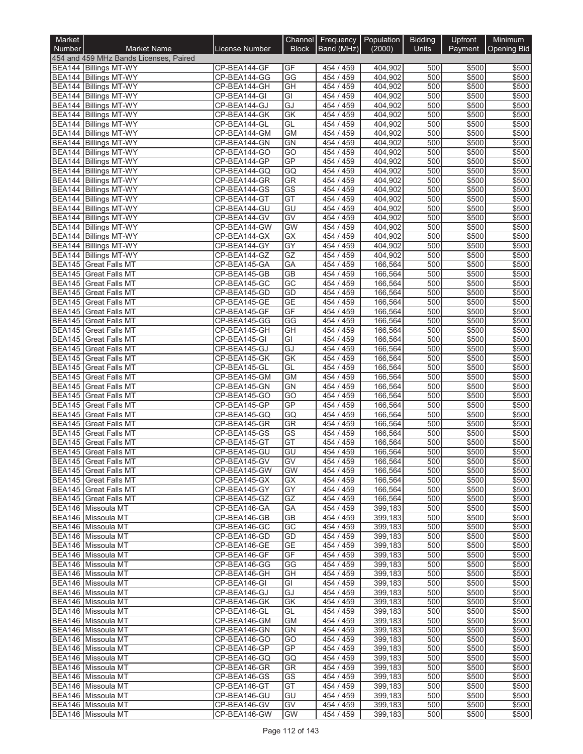| Market           |                                                       |                              | Channel                            | Frequency Population   |                    | <b>Bidding</b> | Upfront        | Minimum            |
|------------------|-------------------------------------------------------|------------------------------|------------------------------------|------------------------|--------------------|----------------|----------------|--------------------|
| <b>Number</b>    | <b>Market Name</b>                                    | License Number               | <b>Block</b>                       | Band (MHz)             | (2000)             | <b>Units</b>   | Payment        | <b>Opening Bid</b> |
|                  | 454 and 459 MHz Bands Licenses, Paired                |                              |                                    |                        |                    |                |                |                    |
|                  | BEA144 Billings MT-WY<br>BEA144 Billings MT-WY        | CP-BEA144-GF<br>CP-BEA144-GG | GF<br>$\overline{\text{GG}}$       | 454 / 459<br>454 / 459 | 404,902<br>404,902 | 500<br>500     | \$500<br>\$500 | \$500<br>\$500     |
|                  | <b>BEA144 Billings MT-WY</b>                          | CP-BEA144-GH                 | GH                                 | 454 / 459              | 404,902            | 500            | \$500          | \$500              |
|                  | BEA144 Billings MT-WY                                 | CP-BEA144-GI                 | $\overline{G}$                     | 454 / 459              | 404,902            | 500            | \$500          | \$500              |
|                  | BEA144 Billings MT-WY                                 | CP-BEA144-GJ                 | GJ                                 | 454 / 459              | 404,902            | 500            | \$500          | \$500              |
|                  | BEA144 Billings MT-WY                                 | CP-BEA144-GK                 | GK                                 | 454 / 459              | 404,902            | 500            | \$500          | \$500              |
|                  | BEA144 Billings MT-WY                                 | CP-BEA144-GL                 | GL                                 | 454 / 459              | 404,902            | 500            | \$500          | \$500              |
|                  | BEA144 Billings MT-WY<br>BEA144 Billings MT-WY        | CP-BEA144-GM<br>CP-BEA144-GN | <b>GM</b><br>GN                    | 454 / 459<br>454 / 459 | 404,902<br>404,902 | 500<br>500     | \$500<br>\$500 | \$500<br>\$500     |
|                  | BEA144 Billings MT-WY                                 | CP-BEA144-GO                 | $\overline{GO}$                    | 454 / 459              | 404,902            | 500            | \$500          | \$500              |
|                  | BEA144 Billings MT-WY                                 | CP-BEA144-GP                 | GP                                 | 454 / 459              | 404.902            | 500            | \$500          | \$500              |
|                  | <b>BEA144 Billings MT-WY</b>                          | CP-BEA144-GQ                 | GQ                                 | 454 / 459              | 404,902            | 500            | \$500          | \$500              |
|                  | BEA144 Billings MT-WY                                 | CP-BEA144-GR                 | <b>GR</b>                          | 454 / 459              | 404,902            | 500            | \$500          | \$500              |
|                  | <b>BEA144 Billings MT-WY</b>                          | CP-BEA144-GS                 | $\overline{\text{GS}}$             | 454 / 459              | 404,902            | 500            | \$500          | \$500              |
|                  | BEA144 Billings MT-WY                                 | CP-BEA144-GT                 | GT                                 | 454 / 459              | 404,902            | 500            | \$500          | \$500              |
|                  | BEA144 Billings MT-WY<br>BEA144 Billings MT-WY        | CP-BEA144-GU<br>CP-BEA144-GV | GU<br>GV                           | 454 / 459<br>454 / 459 | 404,902<br>404,902 | 500<br>500     | \$500<br>\$500 | \$500<br>\$500     |
|                  | BEA144 Billings MT-WY                                 | CP-BEA144-GW                 | <b>GW</b>                          | 454 / 459              | 404,902            | 500            | \$500          | \$500              |
|                  | BEA144 Billings MT-WY                                 | CP-BEA144-GX                 | $\overline{GX}$                    | 454 / 459              | 404,902            | 500            | \$500          | \$500              |
|                  | <b>BEA144 Billings MT-WY</b>                          | CP-BEA144-GY                 | GY                                 | 454 / 459              | 404,902            | 500            | \$500          | \$500              |
|                  | BEA144 Billings MT-WY                                 | CP-BEA144-GZ                 | $\overline{GZ}$                    | 454 / 459              | 404,902            | 500            | \$500          | \$500              |
|                  | <b>BEA145</b> Great Falls MT                          | CP-BEA145-GA                 | GA                                 | 454 / 459              | 166,564            | 500            | \$500          | \$500              |
|                  | <b>BEA145</b> Great Falls MT                          | CP-BEA145-GB                 | $\overline{GB}$                    | 454 / 459              | 166,564            | 500            | \$500          | \$500              |
| <b>BEA145</b>    | BEA145 Great Falls MT                                 | CP-BEA145-GC<br>CP-BEA145-GD | $\overline{GC}$<br>GD              | 454 / 459<br>454 / 459 | 166,564<br>166,564 | 500<br>500     | \$500<br>\$500 | \$500<br>\$500     |
|                  | <b>Great Falls MT</b><br>BEA145 Great Falls MT        | CP-BEA145-GE                 | <b>GE</b>                          | 454 / 459              | 166,564            | 500            | \$500          | \$500              |
|                  | BEA145 Great Falls MT                                 | CP-BEA145-GF                 | GF                                 | 454 / 459              | 166,564            | 500            | \$500          | \$500              |
|                  | <b>BEA145</b> Great Falls MT                          | CP-BEA145-GG                 | GG                                 | 454 / 459              | 166,564            | 500            | \$500          | \$500              |
|                  | BEA145 Great Falls MT                                 | CP-BEA145-GH                 | $\overline{GH}$                    | 454 / 459              | 166,564            | 500            | \$500          | \$500              |
|                  | <b>BEA145 Great Falls MT</b>                          | CP-BEA145-GI                 | $\overline{G}$                     | 454 / 459              | 166,564            | 500            | \$500          | \$500              |
|                  | <b>BEA145</b> Great Falls MT                          | CP-BEA145-GJ                 | GJ                                 | 454 / 459              | 166,564            | 500            | \$500          | \$500              |
| <b>BEA145</b>    | <b>Great Falls MT</b>                                 | CP-BEA145-GK                 | GK<br>GL                           | 454 / 459              | 166,564            | 500<br>500     | \$500          | \$500<br>\$500     |
| BEA145<br>BEA145 | <b>Great Falls MT</b><br><b>Great Falls MT</b>        | CP-BEA145-GL<br>CP-BEA145-GM | <b>GM</b>                          | 454 / 459<br>454 / 459 | 166,564<br>166,564 | 500            | \$500<br>\$500 | \$500              |
| <b>BEA145</b>    | <b>Great Falls MT</b>                                 | CP-BEA145-GN                 | <b>GN</b>                          | 454 / 459              | 166,564            | 500            | \$500          | \$500              |
| <b>BEA145</b>    | <b>Great Falls MT</b>                                 | CP-BEA145-GO                 | $\overline{GO}$                    | 454 / 459              | 166,564            | 500            | \$500          | \$500              |
| <b>BEA145</b>    | <b>Great Falls MT</b>                                 | CP-BEA145-GP                 | <b>GP</b>                          | 454 / 459              | 166,564            | 500            | \$500          | \$500              |
|                  | <b>BEA145</b> Great Falls MT                          | CP-BEA145-GQ                 | GQ                                 | 454 / 459              | 166,564            | 500            | \$500          | \$500              |
| <b>BEA145</b>    | <b>Great Falls MT</b>                                 | CP-BEA145-GR                 | $\overline{\text{GR}}$             | 454 / 459              | 166,564            | 500            | \$500          | \$500              |
| <b>BEA145</b>    | <b>Great Falls MT</b>                                 | CP-BEA145-GS                 | $\overline{\text{GS}}$             | 454 / 459              | 166,564            | 500            | \$500          | \$500              |
| BEA145           | <b>Great Falls MT</b><br><b>BEA145</b> Great Falls MT | CP-BEA145-GT<br>CP-BEA145-GU | $\overline{GT}$<br>$\overline{GU}$ | 454 / 459<br>454 / 459 | 166,564<br>166,564 | 500<br>500     | \$500<br>\$500 | \$500<br>\$500     |
|                  | BEA145 Great Falls MT                                 | CP-BEA145-GV                 | GV                                 | 454 / 459              | 166,564            | 500            | \$500          | \$500              |
|                  | BEA145 Great Falls MT                                 | CP-BEA145-GW                 | GW                                 | 454 / 459              | 166,564            | 500            | \$500          | \$500              |
|                  | <b>BEA145</b> Great Falls MT                          | CP-BEA145-GX                 | GX                                 | 454 / 459              | 166,564            | 500            | \$500          | \$500              |
|                  | BEA145 Great Falls MT                                 | CP-BEA145-GY                 | GY                                 | 454 / 459              | 166,564            | 500            | \$500          | \$500              |
|                  | BEA145 Great Falls MT                                 | CP-BEA145-GZ                 | GZ                                 | 454 / 459              | 166,564            | 500            | \$500          | \$500              |
|                  | BEA146 Missoula MT                                    | CP-BEA146-GA                 | GA                                 | 454 / 459              | 399,183            | 500            | \$500          | \$500              |
|                  | BEA146 Missoula MT<br>BEA146 Missoula MT              | CP-BEA146-GB<br>CP-BEA146-GC | <b>GB</b><br>GC                    | 454 / 459<br>454 / 459 | 399,183<br>399,183 | 500<br>500     | \$500<br>\$500 | \$500<br>\$500     |
|                  | BEA146 Missoula MT                                    | CP-BEA146-GD                 | GD                                 | 454 / 459              | 399,183            | 500            | \$500          | \$500              |
|                  | BEA146 Missoula MT                                    | CP-BEA146-GE                 | <b>GE</b>                          | 454 / 459              | 399,183            | 500            | \$500          | \$500              |
|                  | BEA146 Missoula MT                                    | CP-BEA146-GF                 | GF                                 | 454 / 459              | 399,183            | 500            | \$500          | \$500              |
|                  | BEA146 Missoula MT                                    | CP-BEA146-GG                 | GG                                 | 454 / 459              | 399,183            | 500            | \$500          | \$500              |
|                  | BEA146 Missoula MT                                    | CP-BEA146-GH                 | GH                                 | 454 / 459              | 399,183            | 500            | \$500          | \$500              |
|                  | BEA146 Missoula MT                                    | CP-BEA146-GI                 | GI                                 | 454 / 459              | 399,183            | 500            | \$500          | \$500              |
|                  | BEA146 Missoula MT<br><b>BEA146</b> Missoula MT       | CP-BEA146-GJ<br>CP-BEA146-GK | GJ<br>GK                           | 454 / 459<br>454 / 459 | 399,183<br>399,183 | 500<br>500     | \$500<br>\$500 | \$500<br>\$500     |
|                  | BEA146 Missoula MT                                    | CP-BEA146-GL                 | GL                                 | 454 / 459              | 399,183            | 500            | \$500          | \$500              |
|                  | BEA146 Missoula MT                                    | CP-BEA146-GM                 | <b>GM</b>                          | 454 / 459              | 399,183            | 500            | \$500          | \$500              |
|                  | BEA146 Missoula MT                                    | CP-BEA146-GN                 | <b>GN</b>                          | 454 / 459              | 399,183            | 500            | \$500          | \$500              |
|                  | BEA146 Missoula MT                                    | CP-BEA146-GO                 | GO                                 | 454 / 459              | 399,183            | 500            | \$500          | \$500              |
|                  | BEA146 Missoula MT                                    | CP-BEA146-GP                 | GP                                 | 454 / 459              | 399,183            | 500            | \$500          | \$500              |
|                  | BEA146 Missoula MT                                    | CP-BEA146-GQ                 | GQ                                 | 454 / 459              | 399,183            | 500            | \$500          | \$500              |
|                  | BEA146 Missoula MT<br>BEA146 Missoula MT              | CP-BEA146-GR<br>CP-BEA146-GS | <b>GR</b><br>GS                    | 454 / 459<br>454 / 459 | 399,183<br>399,183 | 500<br>500     | \$500<br>\$500 | \$500<br>\$500     |
|                  | BEA146 Missoula MT                                    | CP-BEA146-GT                 | GT                                 | 454 / 459              | 399,183            | 500            | \$500          | \$500              |
|                  | BEA146 Missoula MT                                    | CP-BEA146-GU                 | GU                                 | 454 / 459              | 399,183            | 500            | \$500          | \$500              |
|                  | BEA146 Missoula MT                                    | CP-BEA146-GV                 | GV                                 | 454 / 459              | 399,183            | 500            | \$500          | \$500              |
|                  | BEA146 Missoula MT                                    | CP-BEA146-GW                 | GW                                 | 454 / 459              | 399,183            | 500            | \$500          | \$500              |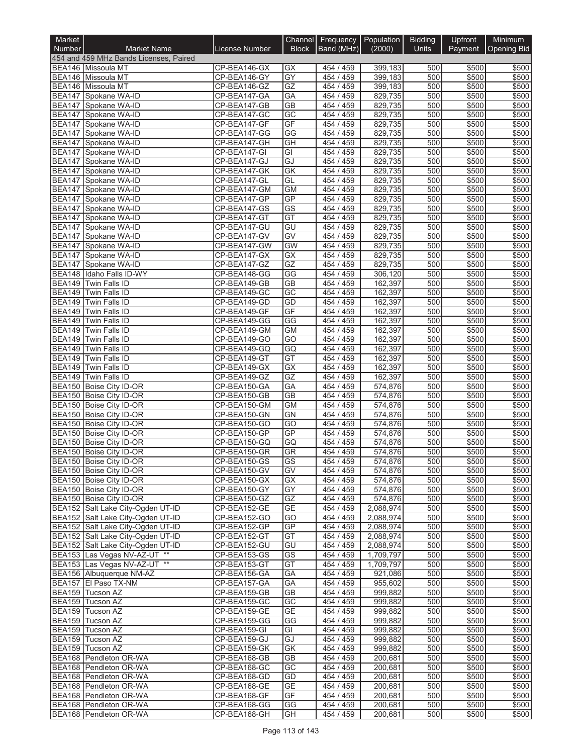| Market        |                                                                        |                              |                              | Channel Frequency Population |                        | <b>Bidding</b> | Upfront        | Minimum            |
|---------------|------------------------------------------------------------------------|------------------------------|------------------------------|------------------------------|------------------------|----------------|----------------|--------------------|
| <b>Number</b> | <b>Market Name</b>                                                     | <b>License Number</b>        | <b>Block</b>                 | Band (MHz)                   | (2000)                 | <b>Units</b>   | Payment        | <b>Opening Bid</b> |
|               | 454 and 459 MHz Bands Licenses, Paired                                 |                              |                              |                              |                        |                |                |                    |
|               | BEA146 Missoula MT<br>BEA146 Missoula MT                               | CP-BEA146-GX<br>CP-BEA146-GY | GX<br>$\overline{GY}$        | 454 / 459<br>454 / 459       | 399,183<br>399,183     | 500<br>500     | \$500<br>\$500 | \$500<br>\$500     |
|               | <b>BEA146</b> Missoula MT                                              | CP-BEA146-GZ                 | GZ                           | 454 / 459                    | 399,183                | 500            | \$500          | \$500              |
|               | BEA147 Spokane WA-ID                                                   | CP-BEA147-GA                 | <b>GA</b>                    | 454 / 459                    | 829,735                | 500            | \$500          | \$500              |
|               | BEA147 Spokane WA-ID                                                   | CP-BEA147-GB                 | $\overline{GB}$              | 454 / 459                    | 829,735                | 500            | \$500          | \$500              |
|               | BEA147 Spokane WA-ID                                                   | CP-BEA147-GC                 | GC                           | 454 / 459                    | 829,735                | 500            | \$500          | \$500              |
|               | BEA147 Spokane WA-ID                                                   | CP-BEA147-GF                 | GF                           | 454 / 459                    | 829,735                | 500            | \$500          | \$500              |
|               | BEA147 Spokane WA-ID                                                   | CP-BEA147-GG                 | GG                           | 454 / 459                    | 829,735                | 500<br>500     | \$500          | \$500              |
|               | BEA147 Spokane WA-ID<br>BEA147 Spokane WA-ID                           | CP-BEA147-GH<br>CP-BEA147-GI | GH<br>GI                     | 454 / 459<br>454 / 459       | 829,735<br>829,735     | 500            | \$500<br>\$500 | \$500<br>\$500     |
|               | BEA147 Spokane WA-ID                                                   | CP-BEA147-GJ                 | GJ                           | 454 / 459                    | 829,735                | 500            | \$500          | \$500              |
|               | BEA147 Spokane WA-ID                                                   | CP-BEA147-GK                 | GK                           | 454 / 459                    | 829,735                | 500            | \$500          | \$500              |
|               | BEA147 Spokane WA-ID                                                   | CP-BEA147-GL                 | GL                           | 454 / 459                    | 829,735                | 500            | \$500          | \$500              |
|               | BEA147 Spokane WA-ID                                                   | CP-BEA147-GM                 | <b>GM</b>                    | 454 / 459                    | 829,735                | 500            | \$500          | \$500              |
|               | BEA147 Spokane WA-ID                                                   | CP-BEA147-GP                 | GP                           | 454 / 459                    | 829,735                | 500            | \$500          | \$500              |
|               | BEA147 Spokane WA-ID<br>BEA147 Spokane WA-ID                           | CP-BEA147-GS                 | $\overline{\text{GS}}$<br>GT | 454 / 459                    | 829,735                | 500<br>500     | \$500<br>\$500 | \$500<br>\$500     |
|               | BEA147 Spokane WA-ID                                                   | CP-BEA147-GT<br>CP-BEA147-GU | GU                           | 454 / 459<br>454 / 459       | 829,735<br>829,735     | 500            | \$500          | \$500              |
|               | BEA147 Spokane WA-ID                                                   | CP-BEA147-GV                 | GV                           | 454 / 459                    | 829,735                | 500            | \$500          | \$500              |
|               | BEA147 Spokane WA-ID                                                   | CP-BEA147-GW                 | <b>GW</b>                    | 454 / 459                    | 829,735                | 500            | \$500          | \$500              |
|               | BEA147 Spokane WA-ID                                                   | CP-BEA147-GX                 | GX                           | 454 / 459                    | 829,735                | 500            | \$500          | \$500              |
|               | BEA147 Spokane WA-ID                                                   | CP-BEA147-GZ                 | GZ                           | 454 / 459                    | 829,735                | 500            | \$500          | \$500              |
|               | BEA148 Idaho Falls ID-WY                                               | CP-BEA148-GG                 | GG                           | 454 / 459                    | 306,120                | 500            | \$500          | \$500              |
|               | BEA149 Twin Falls ID                                                   | CP-BEA149-GB                 | <b>GB</b>                    | 454 / 459                    | 162,397                | 500            | \$500          | \$500              |
| <b>BEA149</b> | Twin Falls ID                                                          | CP-BEA149-GC                 | $\overline{GC}$              | 454 / 459                    | 162,397                | 500            | \$500          | \$500              |
| <b>BEA149</b> | BEA149 Twin Falls ID<br>Twin Falls ID                                  | CP-BEA149-GD<br>CP-BEA149-GF | GD<br>GF                     | 454 / 459<br>454 / 459       | 162,397<br>162,397     | 500<br>500     | \$500<br>\$500 | \$500<br>\$500     |
| <b>BEA149</b> | Twin Falls ID                                                          | CP-BEA149-GG                 | GG                           | 454 / 459                    | 162,397                | 500            | \$500          | \$500              |
| <b>BEA149</b> | Twin Falls ID                                                          | CP-BEA149-GM                 | <b>GM</b>                    | 454 / 459                    | 162,397                | 500            | \$500          | \$500              |
|               | BEA149 Twin Falls ID                                                   | CP-BEA149-GO                 | GO                           | 454 / 459                    | 162,397                | 500            | \$500          | \$500              |
| <b>BEA149</b> | Twin Falls ID                                                          | CP-BEA149-GQ                 | GQ                           | 454 / 459                    | 162,397                | 500            | \$500          | \$500              |
| <b>BEA149</b> | Twin Falls ID                                                          | CP-BEA149-GT                 | GT                           | 454 / 459                    | 162,397                | 500            | \$500          | \$500              |
| BEA149        | Twin Falls ID                                                          | CP-BEA149-GX                 | $\overline{GX}$              | 454 / 459                    | 162,397                | 500            | \$500          | \$500              |
| BEA149        | Twin Falls ID<br>BEA150 Boise City ID-OR                               | CP-BEA149-GZ<br>CP-BEA150-GA | GZ<br>GA                     | 454 / 459<br>454 / 459       | 162,397<br>574,876     | 500<br>500     | \$500<br>\$500 | \$500<br>\$500     |
|               | BEA150 Boise City ID-OR                                                | CP-BEA150-GB                 | <b>GB</b>                    | 454 / 459                    | 574,876                | 500            | \$500          | \$500              |
|               | BEA150 Boise City ID-OR                                                | CP-BEA150-GM                 | <b>GM</b>                    | 454 / 459                    | 574,876                | 500            | \$500          | \$500              |
|               | BEA150 Boise City ID-OR                                                | CP-BEA150-GN                 | <b>GN</b>                    | 454 / 459                    | 574,876                | 500            | \$500          | \$500              |
|               | BEA150 Boise City ID-OR                                                | CP-BEA150-GO                 | $\overline{GO}$              | 454 / 459                    | 574,876                | 500            | \$500          | \$500              |
|               | BEA150 Boise City ID-OR                                                | CP-BEA150-GP                 | GP                           | 454 / 459                    | 574,876                | 500            | \$500          | \$500              |
|               | BEA150 Boise City ID-OR                                                | CP-BEA150-GQ                 | GQ                           | 454 / 459                    | 574,876                | 500            | \$500          | \$500              |
|               | BEA150 Boise City ID-OR                                                | CP-BEA150-GR                 | <b>GR</b>                    | 454 / 459                    | 574,876                | 500            | \$500          | \$500              |
|               | BEA150 Boise City ID-OR<br>BEA150 Boise City ID-OR                     | CP-BEA150-GS<br>CP-BEA150-GV | GS<br>GV                     | 454 / 459<br>454 / 459       | 5/4,8/6<br>574,876     | 500<br>500     | \$500<br>\$500 | \$500<br>\$500     |
|               | BEA150 Boise City ID-OR                                                | CP-BEA150-GX                 | GX                           | 454 / 459                    | 574,876                | 500            | \$500          | \$500              |
|               | BEA150 Boise City ID-OR                                                | CP-BEA150-GY                 | GY                           | 454 / 459                    | 574,876                | 500            | \$500          | \$500              |
|               | BEA150 Boise City ID-OR                                                | CP-BEA150-GZ                 | GZ                           | 454 / 459                    | 574,876                | 500            | \$500          | \$500              |
|               | BEA152 Salt Lake City-Ogden UT-ID                                      | CP-BEA152-GE                 | GE                           | 454 / 459                    | 2,088,974              | 500            | \$500          | \$500              |
|               | BEA152 Salt Lake City-Ogden UT-ID                                      | CP-BEA152-GO                 | GO                           | 454 / 459                    | 2,088,974              | 500            | \$500          | \$500              |
|               | BEA152 Salt Lake City-Ogden UT-ID<br>BEA152 Salt Lake City-Ogden UT-ID | CP-BEA152-GP                 | GP<br>GT                     | 454 / 459                    | 2,088,974              | 500            | \$500          | \$500              |
|               | BEA152 Salt Lake City-Ogden UT-ID                                      | CP-BEA152-GT<br>CP-BEA152-GU | GU                           | 454 / 459<br>454 / 459       | 2,088,974<br>2,088,974 | 500<br>500     | \$500<br>\$500 | \$500<br>\$500     |
|               | BEA153 Las Vegas NV-AZ-UT **                                           | CP-BEA153-GS                 | GS                           | 454 / 459                    | 1,709,797              | 500            | \$500          | \$500              |
|               | BEA153 Las Vegas NV-AZ-UT **                                           | CP-BEA153-GT                 | GT                           | 454 / 459                    | 1,709,797              | 500            | \$500          | \$500              |
|               | BEA156 Albuquerque NM-AZ                                               | CP-BEA156-GA                 | GA                           | 454 / 459                    | 921,086                | 500            | \$500          | \$500              |
|               | BEA157 El Paso TX-NM                                                   | CP-BEA157-GA                 | GA                           | 454 / 459                    | 955,602                | 500            | \$500          | \$500              |
|               | BEA159 Tucson AZ                                                       | CP-BEA159-GB                 | GВ                           | 454 / 459                    | 999,882                | 500            | \$500          | \$500              |
|               | BEA159 Tucson AZ                                                       | CP-BEA159-GC                 | GC                           | 454 / 459                    | 999,882                | 500            | \$500          | \$500              |
|               | BEA159 Tucson AZ<br>BEA159 Tucson AZ                                   | CP-BEA159-GE<br>CP-BEA159-GG | <b>GE</b><br>GG              | 454 / 459<br>454 / 459       | 999,882<br>999,882     | 500<br>500     | \$500<br>\$500 | \$500<br>\$500     |
|               | BEA159 Tucson AZ                                                       | CP-BEA159-GI                 | GI                           | 454 / 459                    | 999,882                | 500            | \$500          | \$500              |
|               | BEA159 Tucson AZ                                                       | CP-BEA159-GJ                 | GJ                           | 454 / 459                    | 999,882                | 500            | \$500          | \$500              |
|               | BEA159 Tucson AZ                                                       | CP-BEA159-GK                 | GK                           | 454 / 459                    | 999,882                | 500            | \$500          | \$500              |
|               | BEA168 Pendleton OR-WA                                                 | CP-BEA168-GB                 | <b>GB</b>                    | 454 / 459                    | 200,681                | 500            | \$500          | \$500              |
|               | BEA168 Pendleton OR-WA                                                 | CP-BEA168-GC                 | GC                           | 454 / 459                    | 200,681                | 500            | \$500          | \$500              |
|               | BEA168 Pendleton OR-WA                                                 | CP-BEA168-GD                 | GD                           | 454 / 459                    | 200,681                | 500            | \$500          | \$500              |
|               | BEA168 Pendleton OR-WA<br>BEA168 Pendleton OR-WA                       | CP-BEA168-GE<br>CP-BEA168-GF | <b>GE</b><br>GF              | 454 / 459<br>454 / 459       | 200,681<br>200,681     | 500<br>500     | \$500<br>\$500 | \$500<br>\$500     |
|               | BEA168 Pendleton OR-WA                                                 | CP-BEA168-GG                 | GG                           | 454 / 459                    | 200,681                | 500            | \$500          | \$500              |
|               | BEA168 Pendleton OR-WA                                                 | CP-BEA168-GH                 | GH                           | 454 / 459                    | 200,681                | 500            | \$500          | \$500              |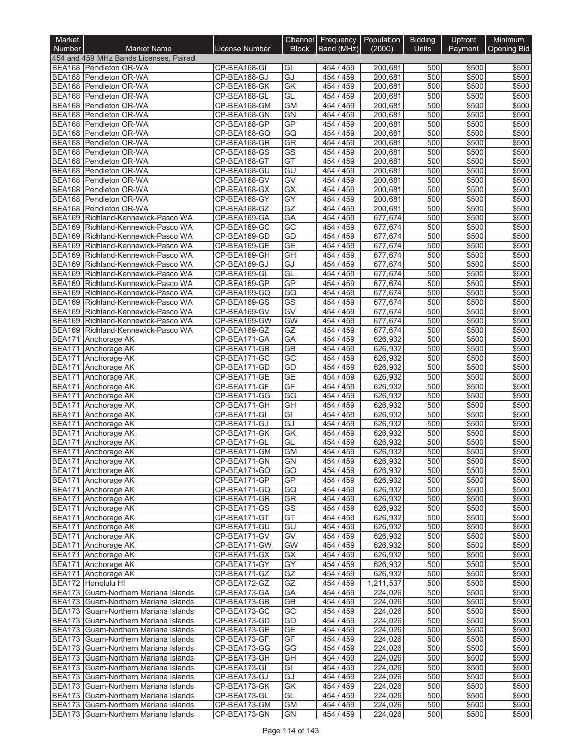| Market        |                                                                              |                              | <b>Channel</b>         | Frequency   Population |                      | <b>Bidding</b> | Upfront        | Minimum        |
|---------------|------------------------------------------------------------------------------|------------------------------|------------------------|------------------------|----------------------|----------------|----------------|----------------|
| <b>Number</b> | <b>Market Name</b>                                                           | <b>License Number</b>        | <b>Block</b>           | Band (MHz)             | (2000)               | <b>Units</b>   | Payment        | Opening Bid    |
|               | 454 and 459 MHz Bands Licenses, Paired                                       |                              |                        |                        |                      |                |                |                |
|               | BEA168 Pendleton OR-WA<br>BEA168 Pendleton OR-WA                             | CP-BEA168-GI<br>CP-BEA168-GJ | GI<br>GJ               | 454/459<br>454 / 459   | 200,681<br>200,681   | 500<br>500     | \$500<br>\$500 | \$500<br>\$500 |
|               | BEA168 Pendleton OR-WA                                                       | CP-BEA168-GK                 | GK                     | 454 / 459              | 200,681              | 500            | \$500          | \$500          |
|               | BEA168 Pendleton OR-WA                                                       | CP-BEA168-GL                 | GL                     | 454 / 459              | 200,681              | 500            | \$500          | \$500          |
|               | BEA168 Pendleton OR-WA                                                       | CP-BEA168-GM                 | <b>GM</b>              | 454 / 459              | 200,681              | 500            | \$500          | \$500          |
|               | BEA168 Pendleton OR-WA                                                       | CP-BEA168-GN                 | <b>GN</b>              | 454 / 459              | 200,681              | 500            | \$500          | \$500          |
|               | BEA168 Pendleton OR-WA<br><b>BEA168</b> Pendleton OR-WA                      | CP-BEA168-GP<br>CP-BEA168-GQ | GP<br>GQ               | 454 / 459<br>454 / 459 | 200,681<br>200,681   | 500<br>500     | \$500<br>\$500 | \$500<br>\$500 |
|               | BEA168 Pendleton OR-WA                                                       | CP-BEA168-GR                 | <b>GR</b>              | 454 / 459              | 200,681              | 500            | \$500          | \$500          |
|               | BEA168 Pendleton OR-WA                                                       | CP-BEA168-GS                 | $\overline{\text{GS}}$ | 454 / 459              | 200,681              | 500            | \$500          | \$500          |
|               | BEA168 Pendleton OR-WA                                                       | CP-BEA168-GT                 | GT                     | 454 / 459              | 200.681              | 500            | \$500          | \$500          |
|               | BEA168 Pendleton OR-WA                                                       | CP-BEA168-GU                 | GU                     | 454 / 459              | 200,681              | 500            | \$500          | \$500          |
|               | BEA168 Pendleton OR-WA                                                       | CP-BEA168-GV                 | GV                     | 454 / 459              | 200,681              | 500            | \$500          | \$500          |
|               | BEA168 Pendleton OR-WA<br>BEA168 Pendleton OR-WA                             | CP-BEA168-GX<br>CP-BEA168-GY | $\overline{GX}$<br>GY  | 454 / 459<br>454 / 459 | 200,681<br>200,681   | 500<br>500     | \$500<br>\$500 | \$500<br>\$500 |
|               | BEA168 Pendleton OR-WA                                                       | CP-BEA168-GZ                 | GZ                     | 454 / 459              | 200,681              | 500            | \$500          | \$500          |
|               | BEA169 Richland-Kennewick-Pasco WA                                           | CP-BEA169-GA                 | GA                     | 454 / 459              | 677,674              | 500            | \$500          | \$500          |
|               | BEA169 Richland-Kennewick-Pasco WA                                           | CP-BEA169-GC                 | GC                     | 454 / 459              | 677,674              | 500            | \$500          | \$500          |
|               | BEA169 Richland-Kennewick-Pasco WA                                           | CP-BEA169-GD                 | GD                     | 454 / 459              | 677,674              | 500            | \$500          | \$500          |
|               | BEA169 Richland-Kennewick-Pasco WA                                           | CP-BEA169-GE                 | <b>GE</b>              | 454 / 459              | 677,674              | 500            | \$500          | \$500          |
|               | BEA169 Richland-Kennewick-Pasco WA<br>BEA169 Richland-Kennewick-Pasco WA     | CP-BEA169-GH<br>CP-BEA169-GJ | GH<br>GJ               | 454 / 459<br>454 / 459 | 677,674<br>677,674   | 500<br>500     | \$500<br>\$500 | \$500<br>\$500 |
|               | BEA169 Richland-Kennewick-Pasco WA                                           | CP-BEA169-GL                 | GL                     | 454 / 459              | 677,674              | 500            | \$500          | \$500          |
|               | BEA169 Richland-Kennewick-Pasco WA                                           | CP-BEA169-GP                 | GP                     | 454 / 459              | 677,674              | 500            | \$500          | \$500          |
|               | BEA169 Richland-Kennewick-Pasco WA                                           | CP-BEA169-GQ                 | GQ                     | 454 / 459              | 677,674              | 500            | \$500          | \$500          |
|               | BEA169 Richland-Kennewick-Pasco WA                                           | CP-BEA169-GS                 | $\overline{\text{GS}}$ | 454 / 459              | 677,674              | 500            | \$500          | \$500          |
|               | BEA169 Richland-Kennewick-Pasco WA                                           | CP-BEA169-GV                 | GV                     | 454 / 459              | 677,674              | 500            | \$500          | \$500          |
|               | BEA169 Richland-Kennewick-Pasco WA<br>BEA169 Richland-Kennewick-Pasco WA     | CP-BEA169-GW<br>CP-BEA169-GZ | GW<br>GZ               | 454 / 459<br>454 / 459 | 677,674<br>677,674   | 500<br>500     | \$500<br>\$500 | \$500<br>\$500 |
|               | BEA171 Anchorage AK                                                          | CP-BEA171-GA                 | GA                     | 454 / 459              | 626,932              | 500            | \$500          | \$500          |
| <b>BEA171</b> | Anchorage AK                                                                 | CP-BEA171-GB                 | <b>GB</b>              | 454 / 459              | 626,932              | 500            | \$500          | \$500          |
| <b>BEA171</b> | Anchorage AK                                                                 | CP-BEA171-GC                 | $\overline{GC}$        | 454 / 459              | 626,932              | 500            | \$500          | \$500          |
|               | BEA171 Anchorage AK                                                          | CP-BEA171-GD                 | GD                     | 454 / 459              | 626,932              | 500            | \$500          | \$500          |
| <b>BEA171</b> | Anchorage AK                                                                 | CP-BEA171-GE                 | <b>GE</b>              | 454 / 459              | 626,932              | 500            | \$500          | \$500          |
| <b>BEA171</b> | Anchorage AK<br>BEA171 Anchorage AK                                          | CP-BEA171-GF<br>CP-BEA171-GG | GF<br>GG               | 454 / 459<br>454 / 459 | 626,932<br>626,932   | 500<br>500     | \$500<br>\$500 | \$500<br>\$500 |
| <b>BEA171</b> | Anchorage AK                                                                 | CP-BEA171-GH                 | $\overline{GH}$        | 454 / 459              | 626,932              | 500            | \$500          | \$500          |
| <b>BEA171</b> | Anchorage AK                                                                 | CP-BEA171-GI                 | $\overline{G}$         | 454 / 459              | 626,932              | 500            | \$500          | \$500          |
| <b>BEA171</b> | Anchorage AK                                                                 | CP-BEA171-GJ                 | GJ                     | 454 / 459              | 626,932              | 500            | \$500          | \$500          |
|               | BEA171 Anchorage AK                                                          | CP-BEA171-GK                 | GK                     | 454 / 459              | 626,932              | 500            | \$500          | \$500          |
| <b>BEA171</b> | Anchorage AK                                                                 | CP-BEA171-GL<br>CP-BEA171-GM | GL                     | 454 / 459<br>454 / 459 | 626,932<br>626,932   | 500<br>500     | \$500          | \$500          |
|               | BEA171 Anchorage AK<br>BEA171 Anchorage AK                                   | CP-BEA171-GN                 | <b>GM</b><br>GN        | 454 / 459              | 626,932              | 500            | \$500<br>\$500 | \$500<br>\$500 |
|               | BEA171 Anchorage AK                                                          | CP-BEA171-GO                 | GO                     | 454 / 459              | 626,932              | 500            | \$500          | \$500          |
|               | BEA171 Anchorage AK                                                          | CP-BEA171-GP                 | <b>GP</b>              | 454 / 459              | 626,932              | 500            | \$500          | \$500          |
|               | BEA171 Anchorage AK                                                          | CP-BEA171-GQ                 | GQ                     | 454 / 459              | 626,932              | 500            | \$500          | \$500          |
|               | BEA171 Anchorage AK                                                          | CP-BEA171-GR                 | <b>GR</b>              | 454 / 459              | 626,932              | 500            | \$500          | \$500          |
|               | BEA171 Anchorage AK<br>BEA171 Anchorage AK                                   | CP-BEA171-GS<br>CP-BEA171-GT | GS<br>GT               | 454 / 459<br>454 / 459 | 626,932<br>626,932   | 500<br>500     | \$500<br>\$500 | \$500<br>\$500 |
|               | BEA171 Anchorage AK                                                          | CP-BEA171-GU                 | GU                     | 454 / 459              | 626,932              | 500            | \$500          | \$500          |
|               | BEA171 Anchorage AK                                                          | CP-BEA171-GV                 | GV                     | 454 / 459              | 626,932              | 500            | \$500          | \$500          |
|               | BEA171 Anchorage AK                                                          | CP-BEA171-GW                 | <b>GW</b>              | 454 / 459              | 626,932              | 500            | \$500          | \$500          |
|               | BEA171 Anchorage AK                                                          | CP-BEA171-GX                 | GX                     | 454 / 459              | 626,932              | 500            | \$500          | \$500          |
|               | BEA171 Anchorage AK                                                          | CP-BEA171-GY                 | GY                     | 454 / 459              | 626,932              | 500            | \$500          | \$500          |
|               | BEA171 Anchorage AK<br>BEA172 Honolulu HI                                    | CP-BEA171-GZ<br>CP-BEA172-GZ | GZ<br>GZ               | 454 / 459<br>454/459   | 626,932<br>1,211,537 | 500<br>500     | \$500<br>\$500 | \$500<br>\$500 |
|               | BEA173 Guam-Northern Mariana Islands                                         | CP-BEA173-GA                 | GA                     | 454 / 459              | 224,026              | 500            | \$500          | \$500          |
|               | BEA173 Guam-Northern Mariana Islands                                         | CP-BEA173-GB                 | GВ                     | 454 / 459              | 224,026              | 500            | \$500          | \$500          |
|               | BEA173 Guam-Northern Mariana Islands                                         | CP-BEA173-GC                 | GC                     | 454 / 459              | 224,026              | 500            | \$500          | \$500          |
|               | BEA173 Guam-Northern Mariana Islands                                         | CP-BEA173-GD                 | GD                     | 454 / 459              | 224,026              | 500            | \$500          | \$500          |
|               | BEA173 Guam-Northern Mariana Islands                                         | CP-BEA173-GE                 | <b>GE</b>              | 454 / 459              | 224,026              | 500            | \$500          | \$500          |
|               | BEA173 Guam-Northern Mariana Islands                                         | CP-BEA173-GF                 | GF                     | 454 / 459              | 224,026              | 500<br>500     | \$500<br>\$500 | \$500          |
|               | BEA173 Guam-Northern Mariana Islands<br>BEA173 Guam-Northern Mariana Islands | CP-BEA173-GG<br>CP-BEA173-GH | GG<br>GH               | 454 / 459<br>454 / 459 | 224,026<br>224,026   | 500            | \$500          | \$500<br>\$500 |
|               | BEA173 Guam-Northern Mariana Islands                                         | CP-BEA173-GI                 | GI                     | 454 / 459              | 224,026              | 500            | \$500          | \$500          |
|               | BEA173 Guam-Northern Mariana Islands                                         | CP-BEA173-GJ                 | GJ                     | 454 / 459              | 224,026              | 500            | \$500          | \$500          |
|               | BEA173 Guam-Northern Mariana Islands                                         | CP-BEA173-GK                 | GK                     | 454 / 459              | 224,026              | 500            | \$500          | \$500          |
|               | BEA173 Guam-Northern Mariana Islands                                         | CP-BEA173-GL                 | GL                     | 454 / 459              | 224,026              | 500            | \$500          | \$500          |
|               | BEA173 Guam-Northern Mariana Islands<br>BEA173 Guam-Northern Mariana Islands | CP-BEA173-GM<br>CP-BEA173-GN | <b>GM</b><br>GN        | 454 / 459<br>454 / 459 | 224,026<br>224,026   | 500<br>500     | \$500<br>\$500 | \$500<br>\$500 |
|               |                                                                              |                              |                        |                        |                      |                |                |                |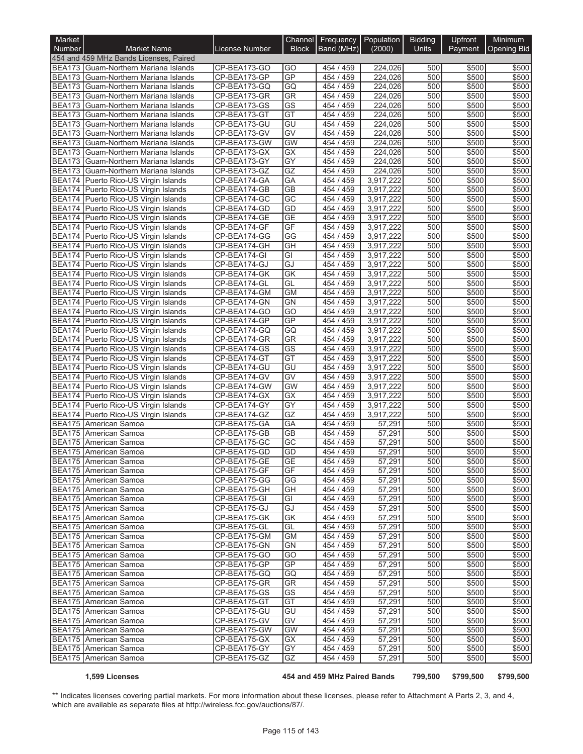| Market                         |                                                                       |                              | Channel                | Frequency Population   |                        | <b>Bidding</b> | Upfront        | Minimum            |
|--------------------------------|-----------------------------------------------------------------------|------------------------------|------------------------|------------------------|------------------------|----------------|----------------|--------------------|
| Number                         | <b>Market Name</b><br>454 and 459 MHz Bands Licenses, Paired          | License Number               | <b>Block</b>           | Band (MHz)             | (2000)                 | Units          | Payment        | <b>Opening Bid</b> |
|                                | BEA173 Guam-Northern Mariana Islands                                  | CP-BEA173-GO                 | GO                     | 454 / 459              | 224,026                | 500            | \$500          | \$500              |
| <b>BEA173</b>                  | Guam-Northern Mariana Islands                                         | CP-BEA173-GP                 | GP                     | 454 / 459              | 224,026                | 500            | \$500          | \$500              |
| <b>BEA173</b>                  | Guam-Northern Mariana Islands                                         | CP-BEA173-GQ                 | GQ                     | 454 / 459              | 224,026                | 500            | \$500          | \$500              |
| <b>BEA173</b>                  | Guam-Northern Mariana Islands                                         | CP-BEA173-GR                 | <b>GR</b>              | 454 / 459              | 224,026                | 500            | \$500          | \$500              |
| <b>BEA173</b>                  | Guam-Northern Mariana Islands                                         | CP-BEA173-GS                 | $\overline{\text{GS}}$ | 454 / 459              | 224,026                | 500            | \$500          | \$500              |
| <b>BEA173</b>                  | Guam-Northern Mariana Islands                                         | CP-BEA173-GT                 | GT                     | 454 / 459              | 224,026                | 500            | \$500          | \$500              |
| <b>BEA173</b>                  | Guam-Northern Mariana Islands                                         | CP-BEA173-GU                 | GU                     | 454 / 459              | 224,026                | 500            | \$500          | \$500              |
| <b>BEA173</b>                  | Guam-Northern Mariana Islands                                         | CP-BEA173-GV                 | $\overline{GV}$        | 454 / 459              | 224,026                | 500            | \$500          | \$500              |
| <b>BEA173</b>                  | Guam-Northern Mariana Islands                                         | CP-BEA173-GW                 | <b>GW</b>              | 454 / 459              | 224,026                | 500            | \$500          | \$500              |
| <b>BEA173</b>                  | Guam-Northern Mariana Islands                                         | CP-BEA173-GX                 | <b>GX</b>              | 454 / 459              | 224.026                | 500            | \$500          | \$500              |
| <b>BEA173</b><br><b>BEA173</b> | Guam-Northern Mariana Islands<br>Guam-Northern Mariana Islands        | CP-BEA173-GY                 | GY<br>GZ               | 454 / 459<br>454 / 459 | 224,026                | 500<br>500     | \$500<br>\$500 | \$500              |
|                                | BEA174 Puerto Rico-US Virgin Islands                                  | CP-BEA173-GZ<br>CP-BEA174-GA | GA                     | 454 / 459              | 224,026<br>3,917,222   | 500            | \$500          | \$500<br>\$500     |
| <b>BEA174</b>                  | Puerto Rico-US Virgin Islands                                         | CP-BEA174-GB                 | <b>GB</b>              | 454 / 459              | 3,917,222              | 500            | \$500          | \$500              |
|                                | BEA174 Puerto Rico-US Virgin Islands                                  | CP-BEA174-GC                 | $\overline{GC}$        | 454 / 459              | 3,917,222              | 500            | \$500          | \$500              |
|                                | BEA174 Puerto Rico-US Virgin Islands                                  | CP-BEA174-GD                 | GD                     | 454 / 459              | 3,917,222              | 500            | \$500          | \$500              |
| <b>BEA174</b>                  | Puerto Rico-US Virgin Islands                                         | CP-BEA174-GE                 | <b>GE</b>              | 454 / 459              | 3,917,222              | 500            | \$500          | \$500              |
| <b>BEA174</b>                  | Puerto Rico-US Virgin Islands                                         | CP-BEA174-GF                 | GF                     | 454 / 459              | 3,917,222              | 500            | \$500          | \$500              |
| <b>BEA174</b>                  | Puerto Rico-US Virgin Islands                                         | CP-BEA174-GG                 | GG                     | 454 / 459              | 3,917,222              | 500            | \$500          | \$500              |
|                                | BEA174 Puerto Rico-US Virgin Islands                                  | CP-BEA174-GH                 | GH                     | 454 / 459              | 3,917,222              | 500            | \$500          | \$500              |
|                                | BEA174 Puerto Rico-US Virgin Islands                                  | CP-BEA174-GI                 | GI                     | 454 / 459              | 3,917,222              | 500            | \$500          | \$500              |
|                                | BEA174 Puerto Rico-US Virgin Islands                                  | CP-BEA174-GJ                 | GJ                     | 454 / 459              | 3,917,222              | 500            | \$500          | \$500              |
|                                | BEA174 Puerto Rico-US Virgin Islands                                  | CP-BEA174-GK                 | GK                     | 454 / 459              | 3,917,222              | 500            | \$500          | \$500              |
|                                | BEA174 Puerto Rico-US Virgin Islands                                  | CP-BEA174-GL                 | GL                     | 454 / 459              | 3,917,222              | 500            | \$500          | \$500              |
| <b>BEA174</b>                  | Puerto Rico-US Virgin Islands                                         | CP-BEA174-GM                 | <b>GM</b>              | 454 / 459              | 3,917,222              | 500            | \$500          | \$500              |
|                                | BEA174 Puerto Rico-US Virgin Islands                                  | CP-BEA174-GN                 | <b>GN</b>              | 454 / 459              | 3,917,222              | 500            | \$500          | \$500              |
| <b>BEA174</b>                  | BEA174 Puerto Rico-US Virgin Islands<br>Puerto Rico-US Virgin Islands | CP-BEA174-GO<br>CP-BEA174-GP | GO<br><b>GP</b>        | 454 / 459<br>454 / 459 | 3,917,222<br>3,917,222 | 500<br>500     | \$500<br>\$500 | \$500<br>\$500     |
|                                | BEA174 Puerto Rico-US Virgin Islands                                  | CP-BEA174-GQ                 | GQ                     | 454 / 459              | 3,917,222              | 500            | \$500          | \$500              |
|                                | BEA174 Puerto Rico-US Virgin Islands                                  | CP-BEA174-GR                 | <b>GR</b>              | 454 / 459              | 3,917,222              | 500            | \$500          | \$500              |
|                                | BEA174 Puerto Rico-US Virgin Islands                                  | CP-BEA174-GS                 | <b>GS</b>              | 454 / 459              | 3,917,222              | 500            | \$500          | \$500              |
|                                | BEA174 Puerto Rico-US Virgin Islands                                  | CP-BEA174-GT                 | GT                     | 454 / 459              | 3,917,222              | 500            | \$500          | \$500              |
|                                | BEA174 Puerto Rico-US Virgin Islands                                  | CP-BEA174-GU                 | GU                     | 454 / 459              | 3,917,222              | 500            | \$500          | \$500              |
|                                | BEA174 Puerto Rico-US Virgin Islands                                  | CP-BEA174-GV                 | GV                     | 454 / 459              | 3,917,222              | 500            | \$500          | \$500              |
|                                | BEA174 Puerto Rico-US Virgin Islands                                  | CP-BEA174-GW                 | <b>GW</b>              | 454 / 459              | 3,917,222              | 500            | \$500          | \$500              |
| <b>BEA174</b>                  | Puerto Rico-US Virgin Islands                                         | CP-BEA174-GX                 | GX                     | 454 / 459              | 3,917,222              | 500            | \$500          | \$500              |
|                                | BEA174 Puerto Rico-US Virgin Islands                                  | CP-BEA174-GY                 | GY                     | 454 / 459              | 3,917,222              | 500            | \$500          | \$500              |
|                                | BEA174 Puerto Rico-US Virgin Islands                                  | CP-BEA174-GZ                 | GZ                     | 454 / 459              | 3,917,222              | 500            | \$500          | \$500              |
| <b>BEA175</b>                  | American Samoa                                                        | CP-BEA175-GA                 | GA                     | 454 / 459              | 57,291                 | 500            | \$500          | \$500              |
|                                | BEA175 American Samoa                                                 | CP-BEA175-GB                 | <b>GB</b>              | 454 / 459              | 57,291                 | 500            | \$500          | \$500              |
| <b>BEA175</b><br><b>BEA175</b> | American Samoa                                                        | CP-BEA175-GC<br>CP-BEA175-GD | $\overline{GC}$<br>GD  | 454 / 459              | 57,291                 | 500<br>500     | \$500          | \$500              |
|                                | American Samoa<br>BEA175 American Samoa                               | CP-BEA175-GE                 | <b>GE</b>              | 454 / 459<br>454 / 459 | 57,291<br>57,291       | 500            | \$500<br>\$500 | \$500<br>\$500     |
|                                | BEA175 American Samoa                                                 | CP-BEA175-GF                 | GF                     | 454/459                | 57,291                 | 500            | \$500          | \$500              |
|                                | BEA175 American Samoa                                                 | CP-BEA175-GG                 | GG                     | 454 / 459              | 57,291                 | 500            | \$500          | \$500              |
|                                | BEA175 American Samoa                                                 | CP-BEA175-GH                 | GH                     | 454 / 459              | 57,291                 | 500            | \$500          | \$500              |
|                                | BEA175 American Samoa                                                 | CP-BEA175-GI                 | GI                     | 454 / 459              | 57,291                 | 500            | \$500          | \$500              |
|                                | BEA175 American Samoa                                                 | CP-BEA175-GJ                 | GJ                     | 454 / 459              | 57,291                 | 500            | \$500          | \$500              |
|                                | BEA175 American Samoa                                                 | CP-BEA175-GK                 | <b>GK</b>              | 454 / 459              | 57,291                 | 500            | \$500          | \$500              |
|                                | BEA175 American Samoa                                                 | CP-BEA175-GL                 | GL                     | 454/459                | 57,291                 | 500            | \$500          | \$500              |
|                                | BEA175 American Samoa                                                 | CP-BEA175-GM                 | <b>GM</b>              | 454 / 459              | 57,291                 | 500            | \$500          | \$500              |
|                                | BEA175 American Samoa                                                 | CP-BEA175-GN                 | GN                     | 454 / 459              | 57,291                 | 500            | \$500          | \$500              |
|                                | BEA175 American Samoa                                                 | CP-BEA175-GO                 | GO                     | 454 / 459              | 57,291                 | 500            | \$500          | \$500              |
|                                | BEA175 American Samoa                                                 | CP-BEA175-GP                 | GP                     | 454 / 459              | 57,291                 | 500            | \$500          | \$500              |
|                                | BEA175 American Samoa                                                 | CP-BEA175-GQ                 | GQ                     | 454 / 459              | $\overline{57,291}$    | 500            | \$500          | \$500              |
|                                | BEA175 American Samoa<br>BEA175 American Samoa                        | CP-BEA175-GR<br>CP-BEA175-GS | <b>GR</b><br>GS        | 454 / 459<br>454 / 459 | 57,291<br>57,291       | 500<br>500     | \$500<br>\$500 | \$500<br>\$500     |
|                                | BEA175 American Samoa                                                 | CP-BEA175-GT                 | GT                     | 454 / 459              | 57,291                 | 500            | \$500          | \$500              |
|                                | BEA175 American Samoa                                                 | CP-BEA175-GU                 | GU                     | 454 / 459              | 57,291                 | 500            | \$500          | \$500              |
|                                | BEA175 American Samoa                                                 | CP-BEA175-GV                 | GV                     | 454 / 459              | 57,291                 | 500            | \$500          | \$500              |
|                                | BEA175 American Samoa                                                 | CP-BEA175-GW                 | <b>GW</b>              | 454 / 459              | 57,291                 | 500            | \$500          | \$500              |
|                                | BEA175 American Samoa                                                 | CP-BEA175-GX                 | GX                     | 454 / 459              | 57,291                 | 500            | \$500          | \$500              |
|                                | <b>BEA175</b> American Samoa                                          | CP-BEA175-GY                 | GY                     | 454 / 459              | 57,291                 | 500            | \$500          | \$500              |
|                                | BEA175 American Samoa                                                 | CP-BEA175-GZ                 | GZ                     | 454 / 459              | 57,291                 | 500            | \$500          | \$500              |

**1,599 Licenses 454 and 459 MHz Paired Bands 799,500 \$799,500 \$799,500**

\*\* Indicates licenses covering partial markets. For more information about these licenses, please refer to Attachment A Parts 2, 3, and 4, which are available as separate files at http://wireless.fcc.gov/auctions/87/.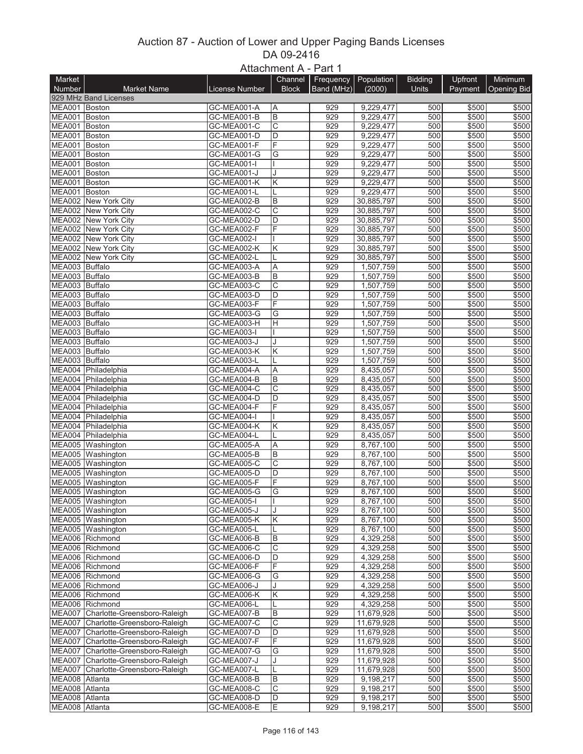## Auction 87 - Auction of Lower and Upper Paging Bands Licenses DA 09-2416 Attachment A - Part 1

|                |                                            |                | $A$ lla $U$ IIIII $U \cap A - \Gamma$ dil I |            |            |                |                |                       |
|----------------|--------------------------------------------|----------------|---------------------------------------------|------------|------------|----------------|----------------|-----------------------|
| Market         |                                            |                | Channel                                     | Frequency  | Population | <b>Bidding</b> | Upfront        | <b>Minimum</b>        |
| Number         | <b>Market Name</b>                         | License Number | <b>Block</b>                                | Band (MHz) | (2000)     | <b>Units</b>   |                | Payment   Opening Bid |
|                | 929 MHz Band Licenses                      |                |                                             |            |            |                |                |                       |
| MEA001 Boston  |                                            | GC-MEA001-A    | ΙA                                          | 929        | 9,229,477  | 500            | \$500          | \$500                 |
| MEA001 Boston  |                                            | GC-MEA001-B    | B                                           | 929        | 9,229,477  | 500            | \$500          | \$500                 |
| MEA001 Boston  |                                            | GC-MEA001-C    | C                                           | 929        | 9,229,477  | 500            | \$500          | \$500                 |
| MEA001 Boston  |                                            | GC-MEA001-D    | D                                           | 929        | 9,229,477  | 500            | \$500          | \$500                 |
| MEA001 Boston  |                                            | GC-MEA001-F    | F                                           | 929        | 9,229,477  | 500            | \$500          | \$500                 |
| MEA001 Boston  |                                            | GC-MEA001-G    | G                                           | 929        | 9,229,477  | 500            | \$500          | \$500                 |
| MEA001 Boston  |                                            | GC-MEA001-I    |                                             | 929        | 9,229,477  | 500            | \$500          | \$500                 |
| MEA001 Boston  |                                            | GC-MEA001-J    |                                             | 929        | 9,229,477  | 500            | \$500          | \$500                 |
| MEA001 Boston  |                                            | GC-MEA001-K    | Κ                                           | 929        | 9,229,477  | 500            | \$500          | \$500                 |
| MEA001 Boston  |                                            | GC-MEA001-L    |                                             | 929        | 9,229,477  | 500            | \$500          | \$500                 |
|                | MEA002 New York City                       | GC-MEA002-B    | B                                           | 929        | 30,885,797 | 500            | \$500          | \$500                 |
|                | MEA002 New York City                       | GC-MEA002-C    | C                                           | 929        | 30,885,797 | 500            | \$500          | \$500                 |
|                | MEA002 New York City                       | GC-MEA002-D    | D                                           | 929        | 30,885,797 | 500            | \$500          | \$500                 |
|                | MEA002 New York City                       | GC-MEA002-F    | F                                           | 929        | 30,885,797 | 500            | \$500          | \$500                 |
|                | MEA002 New York City                       | GC-MEA002-I    |                                             | 929        | 30,885,797 | 500            | \$500          | \$500                 |
|                | MEA002 New York City                       | GC-MEA002-K    | Κ                                           | 929        | 30,885,797 | 500            | \$500          | \$500                 |
|                | MEA002 New York City                       | GC-MEA002-L    |                                             | 929        | 30,885,797 | 500            | \$500          | \$500                 |
| MEA003 Buffalo |                                            | GC-MEA003-A    | A                                           | 929        | 1,507,759  | 500            | \$500          | \$500                 |
| MEA003 Buffalo |                                            | GC-MEA003-B    | B                                           | 929        | 1,507,759  | 500            | \$500          | \$500                 |
| MEA003 Buffalo |                                            | GC-MEA003-C    | C                                           | 929        | 1,507,759  | 500            | \$500          | \$500                 |
| MEA003 Buffalo |                                            | GC-MEA003-D    | D                                           | 929        | 1,507,759  | 500            | \$500          | \$500                 |
| MEA003 Buffalo |                                            | GC-MEA003-F    | F                                           | 929        | 1,507,759  | 500            | \$500          | \$500                 |
| MEA003 Buffalo |                                            | GC-MEA003-G    | G                                           | 929        | 1,507,759  | 500            | \$500          | \$500                 |
| MEA003 Buffalo |                                            | GC-MEA003-H    | Η                                           | 929        | 1,507,759  | 500            | \$500          | \$500                 |
| MEA003 Buffalo |                                            | GC-MEA003-I    |                                             | 929        | 1,507,759  | 500            | \$500          | \$500                 |
| MEA003 Buffalo |                                            | GC-MEA003-J    |                                             | 929        | 1,507,759  | 500            | \$500          | \$500                 |
| MEA003 Buffalo |                                            | GC-MEA003-K    | Κ                                           | 929        | 1,507,759  | 500            | \$500          | \$500                 |
| MEA003 Buffalo |                                            | GC-MEA003-L    |                                             | 929        | 1,507,759  | 500            | \$500          | \$500                 |
|                | MEA004 Philadelphia                        | GC-MEA004-A    | A                                           | 929        | 8,435,057  | 500            | \$500          | \$500                 |
|                | MEA004 Philadelphia                        | GC-MEA004-B    | B                                           | 929        | 8,435,057  | 500            | \$500          | \$500                 |
|                | MEA004 Philadelphia                        | GC-MEA004-C    | С                                           | 929        | 8,435,057  | 500            | \$500          | \$500                 |
|                | MEA004 Philadelphia                        | GC-MEA004-D    | D                                           | 929        | 8,435,057  | 500            | \$500          | \$500                 |
|                |                                            |                | F                                           | 929        |            |                |                |                       |
|                | MEA004 Philadelphia<br>MEA004 Philadelphia | GC-MEA004-F    |                                             | 929        | 8,435,057  | 500<br>500     | \$500          | \$500                 |
|                |                                            | GC-MEA004-I    |                                             | 929        | 8,435,057  | 500            | \$500<br>\$500 | \$500                 |
|                | MEA004 Philadelphia                        | GC-MEA004-K    | Κ                                           |            | 8,435,057  |                |                | \$500                 |
|                | MEA004 Philadelphia                        | GC-MEA004-L    |                                             | 929        | 8,435,057  | 500<br>500     | \$500          | \$500                 |
|                | MEA005 Washington                          | GC-MEA005-A    | A                                           | 929        | 8,767,100  |                | \$500          | \$500                 |
|                | MEA005 Washington                          | GC-MEA005-B    | B                                           | 929        | 8,767,100  | 500            | \$500          | \$500                 |
|                | MEA005 Washington                          | GC-MEA005-C    | C<br>D                                      | 929        | 8,767,100  | 500            | \$500          | \$500                 |
|                | MEA005 Washington                          | GC-MEA005-D    |                                             | 929        | 8,767,100  | 500            | \$500          | \$500                 |
|                | MEA005 Washington                          | GC-MEA005-F    | F                                           | 929        | 8,767,100  | 500            | \$500          | \$500                 |
|                | MEA005 Washington                          | GC-MEA005-G    | G                                           | 929        | 8,767,100  | 500            | \$500          | \$500                 |
|                | MEA005 Washington                          | GC-MEA005-I    |                                             | 929        | 8,767,100  | 500            | \$500          | \$500                 |
|                | MEA005 Washington                          | GC-MEA005-J    | J                                           | 929        | 8,767,100  | 500            | \$500          | \$500                 |
|                | MEA005 Washington                          | GC-MEA005-K    | Κ                                           | 929        | 8,767,100  | 500            | \$500          | \$500                 |
|                | MEA005 Washington                          | GC-MEA005-L    |                                             | 929        | 8,767,100  | 500            | \$500          | \$500                 |
|                | MEA006 Richmond                            | GC-MEA006-B    | В                                           | 929        | 4,329,258  | 500            | \$500          | \$500                 |
|                | MEA006 Richmond                            | GC-MEA006-C    | С                                           | 929        | 4,329,258  | 500            | \$500          | \$500                 |
|                | MEA006 Richmond                            | GC-MEA006-D    | D                                           | 929        | 4,329,258  | 500            | \$500          | \$500                 |
|                | MEA006 Richmond                            | GC-MEA006-F    | F                                           | 929        | 4,329,258  | 500            | \$500          | \$500                 |
|                | MEA006 Richmond                            | GC-MEA006-G    | G                                           | 929        | 4,329,258  | 500            | \$500          | \$500                 |
|                | MEA006 Richmond                            | GC-MEA006-J    | J                                           | 929        | 4,329,258  | 500            | \$500          | \$500                 |
|                | MEA006 Richmond                            | GC-MEA006-K    | Κ                                           | 929        | 4,329,258  | 500            | \$500          | \$500                 |
|                | MEA006 Richmond                            | GC-MEA006-L    |                                             | 929        | 4,329,258  | 500            | \$500          | \$500                 |
|                | MEA007 Charlotte-Greensboro-Raleigh        | GC-MEA007-B    | В                                           | 929        | 11,679,928 | 500            | \$500          | \$500                 |
|                | MEA007 Charlotte-Greensboro-Raleigh        | GC-MEA007-C    | С                                           | 929        | 11,679,928 | 500            | \$500          | \$500                 |
|                | MEA007 Charlotte-Greensboro-Raleigh        | GC-MEA007-D    | D                                           | 929        | 11,679,928 | 500            | \$500          | \$500                 |
|                | MEA007 Charlotte-Greensboro-Raleigh        | GC-MEA007-F    | F                                           | 929        | 11,679,928 | 500            | \$500          | \$500                 |
|                | MEA007 Charlotte-Greensboro-Raleigh        | GC-MEA007-G    | G                                           | 929        | 11,679,928 | 500            | \$500          | \$500                 |
|                | MEA007 Charlotte-Greensboro-Raleigh        | GC-MEA007-J    | J                                           | 929        | 11,679,928 | 500            | \$500          | \$500                 |
|                | MEA007 Charlotte-Greensboro-Raleigh        | GC-MEA007-L    |                                             | 929        | 11,679,928 | 500            | \$500          | \$500                 |
| MEA008 Atlanta |                                            | GC-MEA008-B    | B                                           | 929        | 9,198,217  | 500            | \$500          | \$500                 |
| MEA008 Atlanta |                                            | GC-MEA008-C    | С                                           | 929        | 9,198,217  | 500            | \$500          | \$500                 |
| MEA008 Atlanta |                                            | GC-MEA008-D    | D                                           | 929        | 9,198,217  | 500            | \$500          | \$500                 |
| MEA008 Atlanta |                                            | GC-MEA008-E    | E                                           | 929        | 9,198,217  | 500            | \$500          | \$500                 |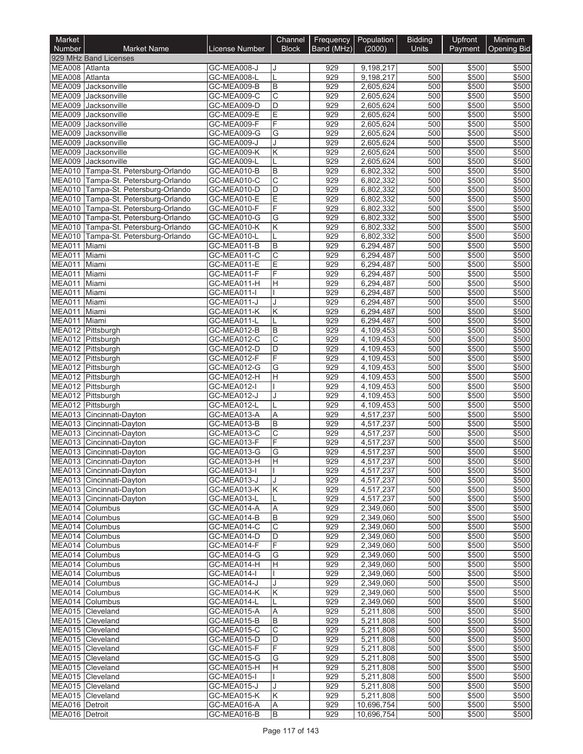| Market                        |                                                                            |                            | Channel                    | Frequency Population |                         | <b>Bidding</b> | Upfront        | Minimum        |
|-------------------------------|----------------------------------------------------------------------------|----------------------------|----------------------------|----------------------|-------------------------|----------------|----------------|----------------|
| <b>Number</b>                 | <b>Market Name</b>                                                         | License Number             | <b>Block</b>               | Band (MHz)           | (2000)                  | Units          | Payment        | Opening Bid    |
| MEA008 Atlanta                | 929 MHz Band Licenses                                                      | GC-MEA008-J                |                            | 929                  | 9,198,217               | 500            | \$500          | \$500          |
| MEA008 Atlanta                |                                                                            | GC-MEA008-L                |                            | 929                  | 9,198,217               | 500            | \$500          | \$500          |
| <b>MEA009</b>                 | Jacksonville                                                               | GC-MEA009-B                | B                          | 929                  | 2,605,624               | 500            | \$500          | \$500          |
|                               | MEA009 Jacksonville                                                        | GC-MEA009-C                | С                          | 929                  | 2,605,624               | 500            | \$500          | \$500          |
| MEA009                        | Jacksonville                                                               | GC-MEA009-D                | D                          | 929                  | 2,605,624               | 500            | \$500          | \$500          |
| <b>MEA009</b>                 | Jacksonville<br>MEA009 Jacksonville                                        | GC-MEA009-E<br>GC-MEA009-F | E<br>F                     | 929<br>929           | 2,605,624<br>2,605,624  | 500<br>500     | \$500<br>\$500 | \$500<br>\$500 |
| <b>MEA009</b>                 | Jacksonville                                                               | GC-MEA009-G                | $\overline{\mathsf{G}}$    | 929                  | 2,605,624               | 500            | \$500          | \$500          |
| <b>MEA009</b>                 | Jacksonville                                                               | GC-MEA009-J                |                            | 929                  | 2,605,624               | 500            | \$500          | \$500          |
|                               | MEA009 Jacksonville                                                        | GC-MEA009-K                | Κ                          | 929                  | 2,605,624               | 500            | \$500          | \$500          |
|                               | MEA009 Jacksonville                                                        | GC-MEA009-L                |                            | 929                  | 2,605,624               | 500            | \$500          | \$500          |
| <b>MEA010</b>                 | Tampa-St. Petersburg-Orlando                                               | GC-MEA010-B                | В                          | 929                  | 6,802,332               | 500            | \$500          | \$500          |
|                               | MEA010 Tampa-St. Petersburg-Orlando<br>MEA010 Tampa-St. Petersburg-Orlando | GC-MEA010-C<br>GC-MEA010-D | $\overline{\text{c}}$<br>D | 929<br>929           | 6,802,332<br>6,802,332  | 500<br>500     | \$500<br>\$500 | \$500<br>\$500 |
|                               | MEA010 Tampa-St. Petersburg-Orlando                                        | GC-MEA010-E                | E                          | 929                  | 6,802,332               | 500            | \$500          | \$500          |
|                               | MEA010 Tampa-St. Petersburg-Orlando                                        | GC-MEA010-F                | F                          | 929                  | 6,802,332               | 500            | \$500          | \$500          |
|                               | MEA010 Tampa-St. Petersburg-Orlando                                        | GC-MEA010-G                | G                          | 929                  | 6,802,332               | 500            | \$500          | \$500          |
|                               | MEA010 Tampa-St. Petersburg-Orlando                                        | GC-MEA010-K                | Κ                          | 929                  | 6,802,332               | 500            | \$500          | \$500          |
|                               | MEA010 Tampa-St. Petersburg-Orlando                                        | GC-MEA010-L                |                            | 929                  | 6,802,332               | 500            | \$500          | \$500          |
| <b>MEA011</b>                 | Miami                                                                      | GC-MEA011-B                | B                          | 929                  | 6,294,487               | 500            | \$500          | \$500          |
| <b>MEA011</b><br>MEA011 Miami | Miami                                                                      | GC-MEA011-C<br>GC-MEA011-E | C<br>E                     | 929<br>929           | 6,294,487<br>6,294,487  | 500<br>500     | \$500<br>\$500 | \$500<br>\$500 |
| <b>MEA011</b>                 | Miami                                                                      | GC-MEA011-F                | F                          | 929                  | 6,294,487               | 500            | \$500          | \$500          |
| MEA011                        | Miami                                                                      | GC-MEA011-H                | Н                          | 929                  | 6,294,487               | 500            | \$500          | \$500          |
| <b>MEA011</b>                 | Miami                                                                      | GC-MEA011-I                |                            | 929                  | 6,294,487               | 500            | \$500          | \$500          |
| <b>MEA011</b>                 | Miami                                                                      | GC-MEA011-J                |                            | 929                  | 6,294,487               | 500            | \$500          | \$500          |
| MEA011 Miami                  |                                                                            | GC-MEA011-K                | Κ                          | 929                  | 6,294,487               | 500            | \$500          | \$500          |
| MEA011                        | Miami                                                                      | GC-MEA011-L                |                            | 929                  | 6,294,487               | 500            | \$500          | \$500          |
|                               | MEA012 Pittsburgh<br>MEA012 Pittsburgh                                     | GC-MEA012-B<br>GC-MEA012-C | В<br>C                     | 929<br>929           | 4,109,453<br>4,109,453  | 500<br>500     | \$500<br>\$500 | \$500<br>\$500 |
|                               | MEA012 Pittsburgh                                                          | GC-MEA012-D                | D                          | 929                  | 4,109,453               | 500            | \$500          | \$500          |
|                               | MEA012 Pittsburgh                                                          | GC-MEA012-F                | F                          | 929                  | 4,109,453               | 500            | \$500          | \$500          |
|                               | MEA012 Pittsburgh                                                          | GC-MEA012-G                | $\overline{\mathsf{G}}$    | 929                  | 4,109,453               | 500            | \$500          | \$500          |
|                               | MEA012 Pittsburgh                                                          | GC-MEA012-H                | Н                          | 929                  | 4,109,453               | 500            | \$500          | \$500          |
|                               | MEA012 Pittsburgh                                                          | GC-MEA012-I                |                            | 929                  | 4,109,453               | 500            | \$500          | \$500          |
|                               | MEA012 Pittsburgh                                                          | GC-MEA012-J                |                            | 929<br>929           | 4,109,453               | 500<br>500     | \$500          | \$500          |
|                               | MEA012 Pittsburgh<br>MEA013 Cincinnati-Dayton                              | GC-MEA012-L<br>GC-MEA013-A | A                          | 929                  | 4,109,453<br>4,517,237  | 500            | \$500<br>\$500 | \$500<br>\$500 |
|                               | MEA013 Cincinnati-Dayton                                                   | GC-MEA013-B                | B                          | 929                  | 4,517,237               | 500            | \$500          | \$500          |
|                               | MEA013 Cincinnati-Dayton                                                   | GC-MEA013-C                | C                          | 929                  | 4,517,237               | 500            | \$500          | \$500          |
|                               | MEA013 Cincinnati-Dayton                                                   | GC-MEA013-F                | F                          | 929                  | 4,517,237               | 500            | \$500          | \$500          |
|                               | MEA013 Cincinnati-Dayton                                                   | GC-MEA013-G                | G                          | 929                  | 4.517.237               | 500            | \$500          | \$500          |
|                               | MEA013 Cincinnati-Dayton                                                   | GC-MEA013-H                | ΙH                         | 929                  | 4,517,237               | 500            | \$500          | \$500          |
|                               | MEA013 Cincinnati-Dayton<br>MEA013 Cincinnati-Dayton                       | GC-MEA013-I<br>GC-MEA013-J |                            | 929<br>929           | 4,517,237<br>4,517,237  | 500<br>500     | \$500<br>\$500 | \$500<br>\$500 |
|                               | MEA013 Cincinnati-Dayton                                                   | GC-MEA013-K                | Κ                          | 929                  | 4,517,237               | 500            | \$500          | \$500          |
|                               | MEA013 Cincinnati-Dayton                                                   | GC-MEA013-L                |                            | 929                  | 4,517,237               | 500            | \$500          | \$500          |
|                               | MEA014 Columbus                                                            | GC-MEA014-A                | Α                          | 929                  | 2,349,060               | 500            | \$500          | \$500          |
|                               | MEA014 Columbus                                                            | GC-MEA014-B                | В                          | 929                  | 2,349,060               | 500            | \$500          | \$500          |
|                               | MEA014 Columbus                                                            | GC-MEA014-C                | $\overline{\mathrm{c}}$    | 929                  | 2,349,060               | 500            | \$500          | \$500          |
|                               | MEA014 Columbus                                                            | GC-MEA014-D                | D                          | 929                  | 2,349,060               | 500            | \$500          | \$500          |
|                               | MEA014 Columbus<br>MEA014 Columbus                                         | GC-MEA014-F<br>GC-MEA014-G | F<br>G                     | 929<br>929           | 2,349,060<br>2,349,060  | 500<br>500     | \$500<br>\$500 | \$500<br>\$500 |
|                               | MEA014 Columbus                                                            | GC-MEA014-H                | H.                         | 929                  | 2,349,060               | 500            | \$500          | \$500          |
|                               | MEA014 Columbus                                                            | GC-MEA014-I                |                            | 929                  | 2,349,060               | 500            | \$500          | \$500          |
|                               | MEA014 Columbus                                                            | GC-MEA014-J                |                            | 929                  | 2,349,060               | 500            | \$500          | \$500          |
|                               | MEA014 Columbus                                                            | GC-MEA014-K                | Κ                          | 929                  | 2,349,060               | 500            | \$500          | \$500          |
|                               | MEA014 Columbus                                                            | GC-MEA014-L                |                            | 929                  | 2,349,060               | 500            | \$500          | \$500          |
|                               | MEA015 Cleveland                                                           | GC-MEA015-A                | A                          | 929                  | 5,211,808               | 500            | \$500          | \$500          |
|                               | MEA015 Cleveland<br>MEA015 Cleveland                                       | GC-MEA015-B<br>GC-MEA015-C | B<br>C                     | 929<br>929           | 5,211,808<br>5,211,808  | 500<br>500     | \$500<br>\$500 | \$500<br>\$500 |
|                               | MEA015 Cleveland                                                           | GC-MEA015-D                | D                          | 929                  | 5,211,808               | 500            | \$500          | \$500          |
|                               | MEA015 Cleveland                                                           | GC-MEA015-F                | F                          | 929                  | 5,211,808               | 500            | \$500          | \$500          |
|                               | MEA015 Cleveland                                                           | GC-MEA015-G                | G                          | 929                  | 5,211,808               | 500            | \$500          | \$500          |
|                               | MEA015 Cleveland                                                           | GC-MEA015-H                | H.                         | 929                  | 5,211,808               | 500            | \$500          | \$500          |
|                               | MEA015 Cleveland                                                           | GC-MEA015-I                |                            | 929                  | 5,211,808               | 500            | \$500          | \$500          |
|                               | MEA015 Cleveland                                                           | GC-MEA015-J                | J                          | 929                  | 5,211,808               | 500            | \$500          | \$500          |
| MEA016 Detroit                | MEA015 Cleveland                                                           | GC-MEA015-K<br>GC-MEA016-A | Κ<br>A                     | 929<br>929           | 5,211,808<br>10,696,754 | 500<br>500     | \$500<br>\$500 | \$500<br>\$500 |
| MEA016 Detroit                |                                                                            | GC-MEA016-B                | B                          | 929                  | 10,696,754              | 500            | \$500          | \$500          |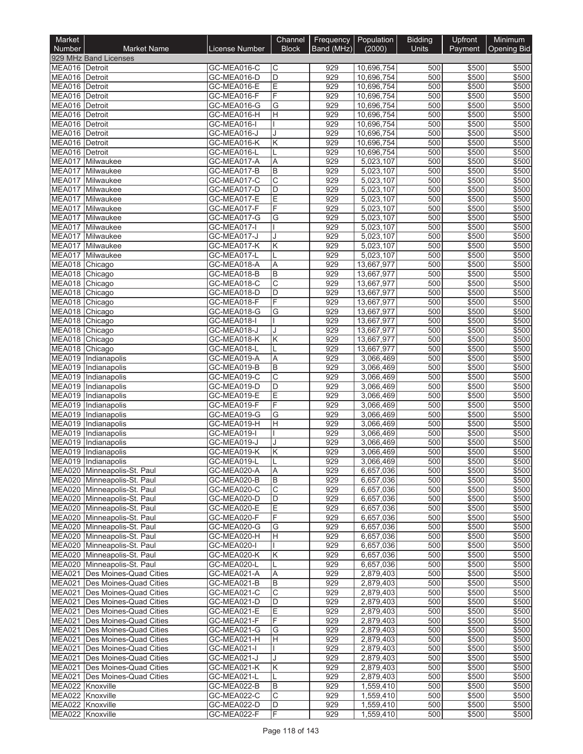| Market                           |                                                            |                            | Channel            | Frequency  | Population               | <b>Bidding</b> | <b>Upfront</b> | Minimum            |
|----------------------------------|------------------------------------------------------------|----------------------------|--------------------|------------|--------------------------|----------------|----------------|--------------------|
| <b>Number</b>                    | <b>Market Name</b>                                         | License Number             | <b>Block</b>       | Band (MHz) | (2000)                   | <b>Units</b>   | Payment        | <b>Opening Bid</b> |
| MEA016 Detroit                   | 929 MHz Band Licenses                                      | GC-MEA016-C                | С                  | 929        | 10,696,754               | 500            | \$500          | \$500              |
| MEA016 Detroit                   |                                                            | GC-MEA016-D                | D                  | 929        | 10,696,754               | 500            | \$500          | \$500              |
| MEA016 Detroit                   |                                                            | GC-MEA016-E                | E                  | 929        | 10.696.754               | 500            | \$500          | \$500              |
| MEA016 Detroit                   |                                                            | GC-MEA016-F                | F                  | 929        | 10,696,754               | 500            | \$500          | \$500              |
| MEA016 Detroit<br>MEA016 Detroit |                                                            | GC-MEA016-G<br>GC-MEA016-H | G<br>Η             | 929<br>929 | 10,696,754<br>10,696,754 | 500<br>500     | \$500<br>\$500 | \$500<br>\$500     |
| MEA016 Detroit                   |                                                            | GC-MEA016-I                |                    | 929        | 10,696,754               | 500            | \$500          | \$500              |
| MEA016 Detroit                   |                                                            | GC-MEA016-J                |                    | 929        | 10,696,754               | 500            | \$500          | \$500              |
| MEA016 Detroit                   |                                                            | GC-MEA016-K                | Κ                  | 929        | 10,696,754               | 500            | \$500          | \$500              |
| MEA016 Detroit                   |                                                            | GC-MEA016-L                |                    | 929        | 10,696,754               | 500            | \$500          | \$500              |
| MEA017                           | MEA017 Milwaukee<br>Milwaukee                              | GC-MEA017-A<br>GC-MEA017-B | Α<br>B             | 929<br>929 | 5,023,107<br>5,023,107   | 500<br>500     | \$500<br>\$500 | \$500<br>\$500     |
|                                  | MEA017 Milwaukee                                           | GC-MEA017-C                | $\overline{\rm c}$ | 929        | 5,023,107                | 500            | \$500          | \$500              |
|                                  | MEA017 Milwaukee                                           | GC-MEA017-D                | D                  | 929        | 5,023,107                | 500            | \$500          | \$500              |
| MEA017                           | Milwaukee                                                  | GC-MEA017-E                | Е                  | 929        | 5,023,107                | 500            | \$500          | \$500              |
|                                  | MEA017 Milwaukee                                           | GC-MEA017-F                | F                  | 929        | 5,023,107                | 500            | \$500          | \$500              |
| MEA017                           | Milwaukee                                                  | GC-MEA017-G                | G                  | 929<br>929 | 5,023,107                | 500<br>500     | \$500          | \$500              |
|                                  | MEA017 Milwaukee<br>MEA017 Milwaukee                       | GC-MEA017-I<br>GC-MEA017-J |                    | 929        | 5,023,107<br>5,023,107   | 500            | \$500<br>\$500 | \$500<br>\$500     |
| MEA017                           | Milwaukee                                                  | GC-MEA017-K                | Κ                  | 929        | 5,023,107                | 500            | \$500          | \$500              |
|                                  | MEA017 Milwaukee                                           | GC-MEA017-L                |                    | 929        | 5,023,107                | 500            | \$500          | \$500              |
| MEA018 Chicago                   |                                                            | GC-MEA018-A                | Α                  | 929        | 13,667,977               | 500            | \$500          | \$500              |
| MEA018 Chicago                   |                                                            | GC-MEA018-B                | B                  | 929        | 13,667,977               | 500            | \$500          | \$500              |
| MEA018 Chicago<br>MEA018 Chicago |                                                            | GC-MEA018-C<br>GC-MEA018-D | C<br>D             | 929<br>929 | 13,667,977<br>13,667,977 | 500<br>500     | \$500<br>\$500 | \$500<br>\$500     |
| MEA018 Chicago                   |                                                            | GC-MEA018-F                | F                  | 929        | 13,667,977               | 500            | \$500          | \$500              |
| MEA018 Chicago                   |                                                            | GC-MEA018-G                | G                  | 929        | 13,667,977               | 500            | \$500          | \$500              |
| MEA018 Chicago                   |                                                            | GC-MEA018-I                |                    | 929        | 13,667,977               | 500            | \$500          | \$500              |
| MEA018 Chicago                   |                                                            | GC-MEA018-J                |                    | 929        | 13,667,977               | 500            | \$500          | \$500              |
| MEA018 Chicago<br>MEA018 Chicago |                                                            | GC-MEA018-K<br>GC-MEA018-L | Κ                  | 929<br>929 | 13,667,977<br>13,667,977 | 500<br>500     | \$500<br>\$500 | \$500<br>\$500     |
|                                  | MEA019 Indianapolis                                        | GC-MEA019-A                | Α                  | 929        | 3,066,469                | 500            | \$500          | \$500              |
|                                  | MEA019 Indianapolis                                        | GC-MEA019-B                | B                  | 929        | 3,066,469                | 500            | \$500          | \$500              |
|                                  | MEA019 Indianapolis                                        | GC-MEA019-C                | C                  | 929        | 3,066,469                | 500            | \$500          | \$500              |
|                                  | MEA019 Indianapolis                                        | GC-MEA019-D                | D                  | 929        | 3,066,469                | 500            | \$500          | \$500              |
|                                  | MEA019 Indianapolis                                        | GC-MEA019-E                | E<br>F             | 929<br>929 | 3,066,469                | 500<br>500     | \$500          | \$500              |
|                                  | MEA019 Indianapolis<br>MEA019 Indianapolis                 | GC-MEA019-F<br>GC-MEA019-G | G                  | 929        | 3,066,469<br>3,066,469   | 500            | \$500<br>\$500 | \$500<br>\$500     |
|                                  | MEA019 Indianapolis                                        | GC-MEA019-H                | $\overline{H}$     | 929        | 3,066,469                | 500            | \$500          | \$500              |
|                                  | MEA019 Indianapolis                                        | GC-MEA019-I                |                    | 929        | 3,066,469                | 500            | \$500          | \$500              |
|                                  | MEA019 Indianapolis                                        | GC-MEA019-J                |                    | 929        | 3,066,469                | 500            | \$500          | \$500              |
|                                  | MEA019 Indianapolis                                        | GC-MEA019-K                | Κ                  | 929        | 3,066,469                | 500            | \$500          | \$500              |
|                                  | MEA019 Indianapolis<br>MEA020 Minneapolis-St. Paul         | GC-MEA019-L<br>GC-MEA020-A | A                  | 929<br>929 | 3,066,469<br>6,657,036   | 500<br>500     | \$500<br>\$500 | \$500<br>\$500     |
|                                  | MEA020 Minneapolis-St. Paul                                | GC-MEA020-B                | В                  | 929        | 6,657,036                | 500            | \$500          | \$500              |
|                                  | MEA020 Minneapolis-St. Paul                                | GC-MEA020-C                | C                  | 929        | 6,657,036                | 500            | \$500          | \$500              |
|                                  | MEA020 Minneapolis-St. Paul                                | GC-MEA020-D                | D                  | 929        | 6,657,036                | 500            | \$500          | \$500              |
|                                  | MEA020 Minneapolis-St. Paul                                | GC-MEA020-E                | Е                  | 929        | 6,657,036                | 500            | \$500          | \$500              |
|                                  | MEA020 Minneapolis-St. Paul<br>MEA020 Minneapolis-St. Paul | GC-MEA020-F<br>GC-MEA020-G | F<br>G             | 929<br>929 | 6,657,036<br>6,657,036   | 500<br>500     | \$500<br>\$500 | \$500<br>\$500     |
|                                  | MEA020 Minneapolis-St. Paul                                | GC-MEA020-H                | н                  | 929        | 6,657,036                | 500            | \$500          | \$500              |
|                                  | MEA020 Minneapolis-St. Paul                                | GC-MEA020-I                |                    | 929        | 6,657,036                | 500            | \$500          | \$500              |
|                                  | MEA020 Minneapolis-St. Paul                                | GC-MEA020-K                | Κ                  | 929        | 6,657,036                | 500            | \$500          | \$500              |
|                                  | MEA020 Minneapolis-St. Paul                                | GC-MEA020-L                |                    | 929        | 6,657,036                | 500            | \$500          | \$500              |
|                                  | MEA021 Des Moines-Quad Cities                              | GC-MEA021-A                | Α                  | 929        | 2,879,403                | 500            | \$500          | \$500              |
| <b>MEA021</b>                    | Des Moines-Quad Cities<br>MEA021 Des Moines-Quad Cities    | GC-MEA021-B<br>GC-MEA021-C | B<br>C             | 929<br>929 | 2,879,403<br>2,879,403   | 500<br>500     | \$500<br>\$500 | \$500<br>\$500     |
|                                  | MEA021 Des Moines-Quad Cities                              | GC-MEA021-D                | D                  | 929        | 2,879,403                | 500            | \$500          | \$500              |
| <b>MEA021</b>                    | Des Moines-Quad Cities                                     | GC-MEA021-E                | Е                  | 929        | 2,879,403                | 500            | \$500          | \$500              |
|                                  | MEA021 Des Moines-Quad Cities                              | GC-MEA021-F                | F                  | 929        | 2,879,403                | 500            | \$500          | \$500              |
|                                  | MEA021   Des Moines-Quad Cities                            | GC-MEA021-G                | G                  | 929        | 2,879,403                | 500            | \$500          | \$500              |
| <b>MEA021</b>                    | Des Moines-Quad Cities<br>MEA021 Des Moines-Quad Cities    | GC-MEA021-H                | H                  | 929<br>929 | 2,879,403                | 500<br>500     | \$500<br>\$500 | \$500<br>\$500     |
| MEA021                           | Des Moines-Quad Cities                                     | GC-MEA021-I<br>GC-MEA021-J |                    | 929        | 2,879,403<br>2,879,403   | 500            | \$500          | \$500              |
|                                  | MEA021 Des Moines-Quad Cities                              | GC-MEA021-K                | Κ                  | 929        | 2,879,403                | 500            | \$500          | \$500              |
|                                  | MEA021 Des Moines-Quad Cities                              | GC-MEA021-L                |                    | 929        | 2,879,403                | 500            | \$500          | \$500              |
|                                  | MEA022 Knoxville                                           | GC-MEA022-B                | B                  | 929        | 1,559,410                | 500            | \$500          | \$500              |
| MEA022 Knoxville                 | MEA022 Knoxville                                           | GC-MEA022-C<br>GC-MEA022-D | С<br>D             | 929<br>929 | 1,559,410<br>1,559,410   | 500<br>500     | \$500<br>\$500 | \$500<br>\$500     |
|                                  | MEA022 Knoxville                                           | GC-MEA022-F                | F                  | 929        | 1,559,410                | 500            | \$500          | \$500              |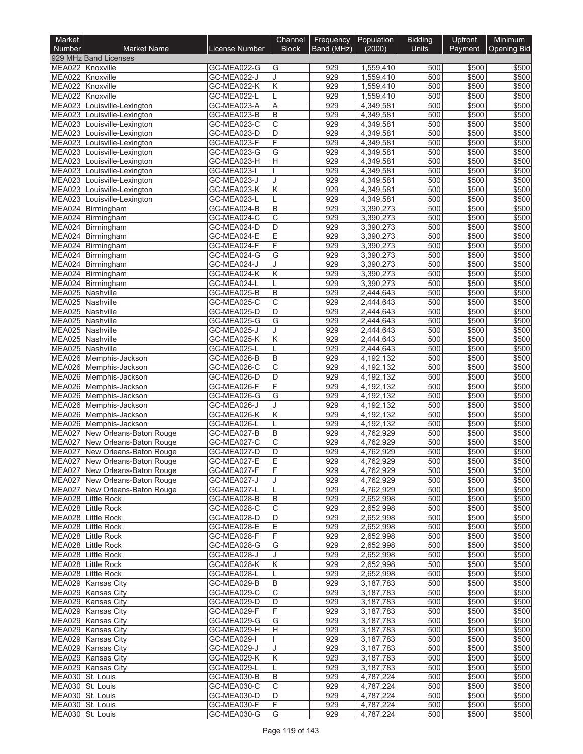| Market                               |                                                                    |                            | Channel               | Frequency  | Population             | <b>Bidding</b> | Upfront        | Minimum            |
|--------------------------------------|--------------------------------------------------------------------|----------------------------|-----------------------|------------|------------------------|----------------|----------------|--------------------|
| <b>Number</b>                        | <b>Market Name</b><br>929 MHz Band Licenses                        | License Number             | <b>Block</b>          | Band (MHz) | (2000)                 | <b>Units</b>   | Payment        | <b>Opening Bid</b> |
| MEA022 Knoxville                     |                                                                    | GC-MEA022-G                | G                     | 929        | 1,559,410              | 500            | \$500          | \$500              |
| MEA022 Knoxville                     |                                                                    | GC-MEA022-J                |                       | 929        | 1,559,410              | 500            | \$500          | \$500              |
| MEA022 Knoxville                     |                                                                    | GC-MEA022-K                | Κ                     | 929        | 1,559,410              | 500            | \$500          | \$500              |
| <b>MEA022</b>                        | Knoxville                                                          | GC-MEA022-L                |                       | 929        | 1,559,410              | 500            | \$500          | \$500              |
|                                      | MEA023 Louisville-Lexington                                        | GC-MEA023-A                | A                     | 929        | 4,349,581              | 500            | \$500          | \$500              |
| <b>MEA023</b>                        | Louisville-Lexington<br>MEA023 Louisville-Lexington                | GC-MEA023-B<br>GC-MEA023-C | B<br>C                | 929<br>929 | 4,349,581<br>4,349,581 | 500<br>500     | \$500<br>\$500 | \$500<br>\$500     |
|                                      | MEA023 Louisville-Lexington                                        | GC-MEA023-D                | D                     | 929        | 4,349,581              | 500            | \$500          | \$500              |
|                                      | MEA023 Louisville-Lexington                                        | GC-MEA023-F                | F                     | 929        | 4,349,581              | 500            | \$500          | \$500              |
|                                      | MEA023 Louisville-Lexington                                        | GC-MEA023-G                | G                     | 929        | 4,349,581              | 500            | \$500          | \$500              |
|                                      | MEA023 Louisville-Lexington                                        | GC-MEA023-H                | Η                     | 929        | 4,349,581              | 500            | \$500          | \$500              |
| MEA023                               | Louisville-Lexington                                               | GC-MEA023-I                |                       | 929        | 4,349,581              | 500            | \$500          | \$500              |
|                                      | MEA023 Louisville-Lexington<br>MEA023 Louisville-Lexington         | GC-MEA023-J<br>GC-MEA023-K | Κ                     | 929<br>929 | 4,349,581<br>4,349,581 | 500<br>500     | \$500<br>\$500 | \$500<br>\$500     |
| <b>MEA023</b>                        | Louisville-Lexington                                               | GC-MEA023-L                |                       | 929        | 4,349,581              | 500            | \$500          | \$500              |
|                                      | MEA024 Birmingham                                                  | GC-MEA024-B                | B                     | 929        | 3,390,273              | 500            | \$500          | \$500              |
|                                      | MEA024 Birmingham                                                  | GC-MEA024-C                | Ć                     | 929        | 3,390,273              | 500            | \$500          | \$500              |
|                                      | MEA024 Birmingham                                                  | GC-MEA024-D                | D                     | 929        | 3,390,273              | 500            | \$500          | \$500              |
|                                      | MEA024 Birmingham                                                  | GC-MEA024-E                | E                     | 929        | 3,390,273              | 500            | \$500          | \$500              |
|                                      | MEA024 Birmingham<br>MEA024 Birmingham                             | GC-MEA024-F                | F<br>G                | 929<br>929 | 3,390,273              | 500<br>500     | \$500<br>\$500 | \$500              |
|                                      | MEA024 Birmingham                                                  | GC-MEA024-G<br>GC-MEA024-J |                       | 929        | 3,390,273<br>3,390,273 | 500            | \$500          | \$500<br>\$500     |
|                                      | MEA024 Birmingham                                                  | GC-MEA024-K                | Κ                     | 929        | 3,390,273              | 500            | \$500          | \$500              |
|                                      | MEA024 Birmingham                                                  | GC-MEA024-L                |                       | 929        | 3,390,273              | 500            | \$500          | \$500              |
| MEA025 Nashville                     |                                                                    | GC-MEA025-B                | B                     | 929        | 2,444,643              | 500            | \$500          | \$500              |
| MEA025 Nashville                     |                                                                    | GC-MEA025-C                | С                     | 929        | 2,444,643              | 500            | \$500          | \$500              |
| MEA025 Nashville                     |                                                                    | GC-MEA025-D                | D                     | 929        | 2,444,643              | 500            | \$500          | \$500              |
| MEA025 Nashville<br>MEA025 Nashville |                                                                    | GC-MEA025-G<br>GC-MEA025-J | G                     | 929<br>929 | 2,444,643<br>2,444,643 | 500<br>500     | \$500<br>\$500 | \$500<br>\$500     |
| MEA025 Nashville                     |                                                                    | GC-MEA025-K                | Κ                     | 929        | 2,444,643              | 500            | \$500          | \$500              |
| <b>MEA025</b>                        | Nashville                                                          | GC-MEA025-L                |                       | 929        | 2,444,643              | 500            | \$500          | \$500              |
|                                      | MEA026 Memphis-Jackson                                             | GC-MEA026-B                | B                     | 929        | 4,192,132              | 500            | \$500          | \$500              |
|                                      | MEA026 Memphis-Jackson                                             | GC-MEA026-C                | $\overline{\text{c}}$ | 929        | 4,192,132              | 500            | \$500          | \$500              |
|                                      | MEA026 Memphis-Jackson                                             | GC-MEA026-D                | D                     | 929        | 4,192,132              | 500            | \$500          | \$500              |
|                                      | MEA026 Memphis-Jackson                                             | GC-MEA026-F                | F                     | 929        | 4,192,132              | 500            | \$500          | \$500              |
|                                      | MEA026 Memphis-Jackson<br>MEA026 Memphis-Jackson                   | GC-MEA026-G<br>GC-MEA026-J | G                     | 929<br>929 | 4,192,132<br>4,192,132 | 500<br>500     | \$500<br>\$500 | \$500<br>\$500     |
|                                      | MEA026 Memphis-Jackson                                             | GC-MEA026-K                | Κ                     | 929        | 4,192,132              | 500            | \$500          | \$500              |
|                                      | MEA026 Memphis-Jackson                                             | GC-MEA026-L                |                       | 929        | 4,192,132              | 500            | \$500          | \$500              |
| MEA027                               | New Orleans-Baton Rouge                                            | GC-MEA027-B                | B                     | 929        | 4,762,929              | 500            | \$500          | \$500              |
| MEA027                               | New Orleans-Baton Rouge                                            | GC-MEA027-C                | $\overline{\text{c}}$ | 929        | 4,762,929              | 500            | \$500          | \$500              |
|                                      | MEA027 New Orleans-Baton Rouge                                     | GC-MEA027-D                | D                     | 929        | 4,762,929              | 500            | \$500          | \$500              |
|                                      | MEA027   New Orleans-Baton Rouge<br>MEA027 New Orleans-Baton Rouge | GC-MEA027-E<br>GC-MEA027-F | Е<br>F                | 929<br>929 | 4,762,929<br>4,762,929 | 500<br>500     | \$500<br>\$500 | \$500<br>\$500     |
|                                      | MEA027 New Orleans-Baton Rouge                                     | GC-MEA027-J                |                       | 929        | 4,762,929              | 500            | \$500          | \$500              |
|                                      | MEA027 New Orleans-Baton Rouge                                     | GC-MEA027-L                |                       | 929        | 4,762,929              | 500            | \$500          | \$500              |
|                                      | MEA028 Little Rock                                                 | GC-MEA028-B                | B                     | 929        | 2,652,998              | 500            | \$500          | \$500              |
|                                      | MEA028 Little Rock                                                 | GC-MEA028-C                | С                     | 929        | 2,652,998              | 500            | \$500          | \$500              |
|                                      | MEA028 Little Rock                                                 | GC-MEA028-D                | D                     | 929        | 2,652,998              | 500            | \$500          | \$500              |
|                                      | MEA028 Little Rock                                                 | GC-MEA028-E                | Е                     | 929        | 2,652,998              | 500            | \$500          | \$500              |
|                                      | MEA028 Little Rock<br>MEA028 Little Rock                           | GC-MEA028-F<br>GC-MEA028-G | F<br>G                | 929<br>929 | 2,652,998<br>2,652,998 | 500<br>500     | \$500<br>\$500 | \$500<br>\$500     |
|                                      | MEA028 Little Rock                                                 | GC-MEA028-J                |                       | 929        | 2,652,998              | 500            | \$500          | \$500              |
|                                      | MEA028 Little Rock                                                 | GC-MEA028-K                | Κ                     | 929        | 2,652,998              | 500            | \$500          | \$500              |
|                                      | MEA028 Little Rock                                                 | GC-MEA028-L                |                       | 929        | 2,652,998              | 500            | \$500          | \$500              |
|                                      | MEA029 Kansas City                                                 | GC-MEA029-B                | B                     | 929        | 3,187,783              | 500            | \$500          | \$500              |
|                                      | MEA029 Kansas City                                                 | GC-MEA029-C                | C                     | 929        | 3,187,783              | 500            | \$500          | \$500              |
|                                      | MEA029 Kansas City                                                 | GC-MEA029-D                | D                     | 929        | 3,187,783              | 500            | \$500          | \$500              |
|                                      | MEA029 Kansas City<br>MEA029 Kansas City                           | GC-MEA029-F<br>GC-MEA029-G | F<br>G                | 929<br>929 | 3,187,783<br>3,187,783 | 500<br>500     | \$500<br>\$500 | \$500<br>\$500     |
|                                      | MEA029 Kansas City                                                 | GC-MEA029-H                | Н.                    | 929        | 3,187,783              | 500            | \$500          | \$500              |
|                                      | MEA029 Kansas City                                                 | GC-MEA029-I                |                       | 929        | 3,187,783              | 500            | \$500          | \$500              |
|                                      | MEA029 Kansas City                                                 | GC-MEA029-J                |                       | 929        | 3,187,783              | 500            | \$500          | \$500              |
|                                      | MEA029 Kansas City                                                 | GC-MEA029-K                | ΙK                    | 929        | 3,187,783              | 500            | \$500          | \$500              |
|                                      | MEA029 Kansas City                                                 | GC-MEA029-L                |                       | 929        | 3,187,783              | 500            | \$500          | \$500              |
| MEA030 St. Louis<br>MEA030 St. Louis |                                                                    | GC-MEA030-B<br>GC-MEA030-C | B<br>C                | 929<br>929 | 4,787,224<br>4,787,224 | 500<br>500     | \$500<br>\$500 | \$500<br>\$500     |
| MEA030 St. Louis                     |                                                                    | GC-MEA030-D                | D                     | 929        | 4,787,224              | 500            | \$500          | \$500              |
| MEA030 St. Louis                     |                                                                    | GC-MEA030-F                | F                     | 929        | 4,787,224              | 500            | \$500          | \$500              |
| MEA030 St. Louis                     |                                                                    | GC-MEA030-G                | G                     | 929        | 4,787,224              | 500            | \$500          | \$500              |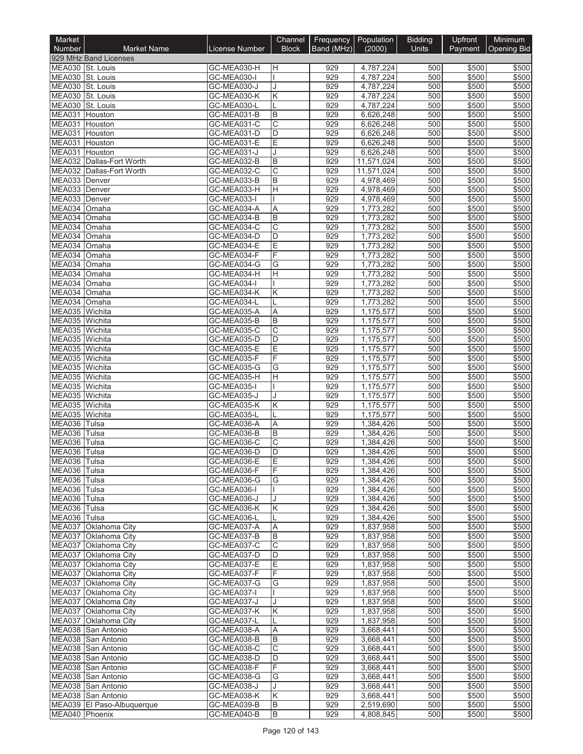| Market                          |                                              |                            | Channel                 |            | Frequency Population   | <b>Bidding</b> | Upfront         | Minimum               |
|---------------------------------|----------------------------------------------|----------------------------|-------------------------|------------|------------------------|----------------|-----------------|-----------------------|
| <b>Number</b>                   | <b>Market Name</b>                           | License Number             | <b>Block</b>            | Band (MHz) | (2000)                 | Units          |                 | Payment   Opening Bid |
| MEA030 St. Louis                | 929 MHz Band Licenses                        | GC-MEA030-H                | Η                       | 929        | 4,787,224              | 500            | \$500           | \$500                 |
| MEA030 St. Louis                |                                              | GC-MEA030-I                |                         | 929        | 4,787,224              | 500            | \$500           | \$500                 |
| <b>MEA030</b>                   | St. Louis                                    | GC-MEA030-J                |                         | 929        | 4.787.224              | 500            | \$500           | \$500                 |
| <b>MEA030</b>                   | St. Louis                                    | GC-MEA030-K                | Κ                       | 929        | 4,787,224              | 500            | \$500           | \$500                 |
| <b>MEA030</b>                   | St. Louis                                    | GC-MEA030-L                |                         | 929        | 4,787,224              | 500            | \$500           | \$500                 |
| <b>MEA031</b><br><b>MEA031</b>  | Houston<br>Houston                           | GC-MEA031-B<br>GC-MEA031-C | B<br>С                  | 929<br>929 | 6,626,248<br>6,626,248 | 500<br>500     | \$500<br>\$500  | \$500<br>\$500        |
| MEA031                          | Houston                                      | GC-MEA031-D                | D                       | 929        | 6,626,248              | 500            | \$500           | \$500                 |
| <b>MEA031</b>                   | Houston                                      | GC-MEA031-E                | E                       | 929        | 6,626,248              | 500            | \$500           | \$500                 |
| <b>MEA031</b>                   | Houston                                      | GC-MEA031-J                |                         | 929        | 6,626,248              | 500            | \$500           | \$500                 |
| <b>MEA032</b>                   | Dallas-Fort Worth                            | GC-MEA032-B                | B                       | 929        | 11,571,024             | 500            | \$500           | \$500                 |
| <b>MEA032</b>                   | Dallas-Fort Worth                            | GC-MEA032-C                | С                       | 929<br>929 | 11,571,024             | 500<br>500     | \$500<br>\$500  | \$500                 |
| MEA033 Denver<br><b>MEA033</b>  | Denver                                       | GC-MEA033-B<br>GC-MEA033-H | B<br>Η                  | 929        | 4,978,469<br>4,978,469 | 500            | \$500           | \$500<br>\$500        |
| MEA033                          | Denver                                       | GC-MEA033-I                |                         | 929        | 4,978,469              | 500            | \$500           | \$500                 |
| MEA034                          | <b>Omaha</b>                                 | GC-MEA034-A                | Α                       | 929        | 1,773,282              | 500            | \$500           | \$500                 |
| MEA034                          | Omaha                                        | GC-MEA034-B                | B                       | 929        | 1,773,282              | 500            | \$500           | \$500                 |
| MEA034 Omaha                    |                                              | GC-MEA034-C                | С                       | 929        | 1,773,282              | 500            | \$500           | \$500                 |
| MEA034<br>MEA034                | Omaha                                        | GC-MEA034-D                | D                       | 929<br>929 | 1,773,282              | 500<br>500     | \$500<br>\$500  | \$500<br>\$500        |
| MEA034                          | Omaha<br><b>Omaha</b>                        | GC-MEA034-E<br>GC-MEA034-F | E<br>F                  | 929        | 1,773,282<br>1,773,282 | 500            | \$500           | \$500                 |
| MEA034 Omaha                    |                                              | GC-MEA034-G                | G                       | 929        | 1,773,282              | 500            | \$500           | \$500                 |
| MEA034                          | Omaha                                        | GC-MEA034-H                | Η                       | 929        | 1,773,282              | 500            | \$500           | \$500                 |
| MEA034                          | Omaha                                        | GC-MEA034-I                |                         | 929        | 1,773,282              | 500            | \$500           | \$500                 |
| MEA034                          | <b>Omaha</b>                                 | GC-MEA034-K                | Κ                       | 929        | 1,773,282              | 500            | \$500           | \$500                 |
| MEA034                          | <b>Omaha</b>                                 | GC-MEA034-L                |                         | 929        | 1,773,282              | 500            | \$500           | \$500                 |
| MEA035 Wichita<br><b>MEA035</b> | Wichita                                      | GC-MEA035-A<br>GC-MEA035-B | Α<br>B                  | 929<br>929 | 1,175,577              | 500<br>500     | \$500<br>\$500  | \$500<br>\$500        |
| MEA035 Wichita                  |                                              | GC-MEA035-C                | С                       | 929        | 1,175,577<br>1,175,577 | 500            | \$500           | \$500                 |
| MEA035 Wichita                  |                                              | GC-MEA035-D                | D                       | 929        | 1,175,577              | 500            | \$500           | \$500                 |
| MEA035 Wichita                  |                                              | GC-MEA035-E                | E                       | 929        | 1,175,577              | 500            | \$500           | \$500                 |
| MEA035 Wichita                  |                                              | GC-MEA035-F                | F                       | 929        | 1,175,577              | 500            | \$500           | \$500                 |
| <b>MEA035</b>                   | Wichita                                      | GC-MEA035-G                | G                       | 929        | 1,175,577              | 500            | \$500           | \$500                 |
| <b>MEA035</b>                   | Wichita                                      | GC-MEA035-H                | Η                       | 929        | 1,175,577              | 500            | \$500           | \$500                 |
| MEA035<br><b>MEA035</b>         | Wichita<br>Wichita                           | GC-MEA035-I<br>GC-MEA035-J |                         | 929<br>929 | 1,175,577<br>1,175,577 | 500<br>500     | \$500<br>\$500  | \$500<br>\$500        |
| <b>MEA035</b>                   | Wichita                                      | GC-MEA035-K                | Κ                       | 929        | 1,175,577              | 500            | \$500           | \$500                 |
| MEA035 Wichita                  |                                              | GC-MEA035-L                |                         | 929        | 1,175,577              | 500            | \$500           | \$500                 |
| <b>MEA036</b>                   | Tulsa                                        | GC-MEA036-A                | A                       | 929        | 1,384,426              | 500            | \$500           | \$500                 |
| MEA036                          | Tulsa                                        | GC-MEA036-B                | B                       | 929        | 1,384,426              | 500            | \$500           | \$500                 |
| MEA036                          | Tulsa                                        | GC-MEA036-C                | С                       | 929        | 1,384,426              | 500            | \$500           | \$500                 |
| <b>MEA036</b>                   | Tulsa                                        | GC-MEA036-D                | D                       | 929        | 1.384.426              | 500            | \$500           | \$500                 |
| MEA036 Tulsa<br>MEA036 Tulsa    |                                              | GC-MEA036-E<br>GC-MEA036-F | E<br>F                  | 929<br>929 | 1,384,426<br>1,384,426 | 500<br>500     | \$500 <br>\$500 | \$500<br>\$500        |
| MEA036 Tulsa                    |                                              | GC-MEA036-G                | G                       | 929        | 1,384,426              | 500            | \$500           | \$500                 |
| MEA036 Tulsa                    |                                              | GC-MEA036-I                |                         | 929        | 1,384,426              | 500            | \$500           | \$500                 |
| MEA036 Tulsa                    |                                              | GC-MEA036-J                |                         | 929        | 1,384,426              | 500            | \$500           | \$500                 |
| MEA036 Tulsa                    |                                              | GC-MEA036-K                | Κ                       | 929        | 1,384,426              | 500            | \$500           | \$500                 |
| MEA036 Tulsa                    | MEA037 Oklahoma City                         | GC-MEA036-L<br>GC-MEA037-A | Α                       | 929<br>929 | 1,384,426<br>1,837,958 | 500<br>500     | \$500<br>\$500  | \$500<br>\$500        |
|                                 | MEA037 Oklahoma City                         | GC-MEA037-B                | В                       | 929        | 1,837,958              | 500            | \$500           | \$500                 |
|                                 | MEA037 Oklahoma City                         | GC-MEA037-C                | $\overline{\mathsf{C}}$ | 929        | 1,837,958              | 500            | \$500           | \$500                 |
|                                 | MEA037 Oklahoma City                         | GC-MEA037-D                | D                       | 929        | 1,837,958              | 500            | \$500           | \$500                 |
|                                 | MEA037 Oklahoma City                         | GC-MEA037-E                | Е                       | 929        | 1,837,958              | 500            | \$500           | \$500                 |
|                                 | MEA037 Oklahoma City                         | GC-MEA037-F                | F                       | 929        | 1,837,958              | 500            | \$500           | \$500                 |
|                                 | MEA037 Oklahoma City                         | GC-MEA037-G                | G                       | 929        | 1,837,958              | 500            | \$500           | \$500                 |
|                                 | MEA037 Oklahoma City<br>MEA037 Oklahoma City | GC-MEA037-I<br>GC-MEA037-J |                         | 929<br>929 | 1,837,958<br>1,837,958 | 500<br>500     | \$500<br>\$500  | \$500<br>\$500        |
| MEA037                          | Oklahoma City                                | GC-MEA037-K                | Κ                       | 929        | 1,837,958              | 500            | \$500           | \$500                 |
|                                 | MEA037 Oklahoma City                         | GC-MEA037-L                |                         | 929        | 1,837,958              | 500            | \$500           | \$500                 |
|                                 | MEA038 San Antonio                           | GC-MEA038-A                | Α                       | 929        | 3,668,441              | 500            | \$500           | \$500                 |
|                                 | MEA038 San Antonio                           | GC-MEA038-B                | В                       | 929        | 3,668,441              | 500            | \$500           | \$500                 |
|                                 | MEA038 San Antonio                           | GC-MEA038-C                | $\overline{\mathrm{c}}$ | 929        | 3,668,441              | 500            | \$500           | \$500                 |
|                                 | MEA038 San Antonio                           | GC-MEA038-D                | D                       | 929        | 3,668,441              | 500            | \$500           | \$500                 |
|                                 | MEA038 San Antonio<br>MEA038 San Antonio     | GC-MEA038-F<br>GC-MEA038-G | F<br>G                  | 929<br>929 | 3,668,441<br>3,668,441 | 500<br>500     | \$500<br>\$500  | \$500<br>\$500        |
|                                 | MEA038 San Antonio                           | GC-MEA038-J                | J                       | 929        | 3,668,441              | 500            | \$500           | \$500                 |
|                                 | MEA038 San Antonio                           | GC-MEA038-K                | Κ                       | 929        | 3,668,441              | 500            | \$500           | \$500                 |
|                                 | MEA039 El Paso-Albuquerque                   | GC-MEA039-B                | B                       | 929        | 2,519,690              | 500            | \$500           | \$500                 |
| MEA040 Phoenix                  |                                              | GC-MEA040-B                | B                       | 929        | 4,808,845              | 500            | \$500           | \$500                 |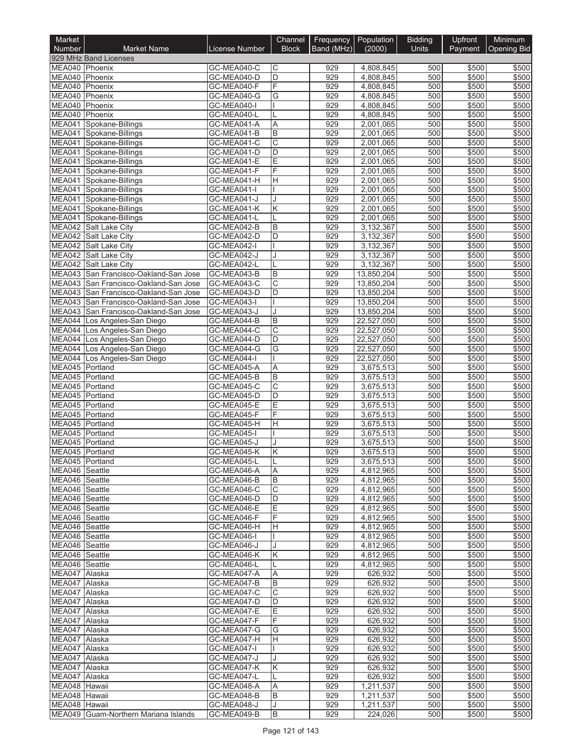| Market                           |                                                                         |                            | Channel                    |            | Frequency Population     | <b>Bidding</b> | Upfront        | Minimum        |
|----------------------------------|-------------------------------------------------------------------------|----------------------------|----------------------------|------------|--------------------------|----------------|----------------|----------------|
| <b>Number</b>                    | <b>Market Name</b>                                                      | <b>License Number</b>      | <b>Block</b>               | Band (MHz) | (2000)                   | Units          | Payment        | Opening Bid    |
| MEA040 Phoenix                   | 929 MHz Band Licenses                                                   | GC-MEA040-C                | C                          | 929        | 4,808,845                | 500            | \$500          | \$500          |
| MEA040 Phoenix                   |                                                                         | GC-MEA040-D                | D                          | 929        | 4,808,845                | 500            | \$500          | \$500          |
| <b>MEA040</b>                    | Phoenix                                                                 | GC-MEA040-F                | F                          | 929        | 4,808,845                | 500            | \$500          | \$500          |
| MEA040 Phoenix                   |                                                                         | GC-MEA040-G                | G                          | 929        | 4,808,845                | 500            | \$500          | \$500          |
| MEA040 Phoenix<br>MEA040 Phoenix |                                                                         | GC-MEA040-I<br>GC-MEA040-L |                            | 929<br>929 | 4,808,845<br>4,808,845   | 500<br>500     | \$500<br>\$500 | \$500<br>\$500 |
|                                  | MEA041 Spokane-Billings                                                 | GC-MEA041-A                | Α                          | 929        | 2,001,065                | 500            | \$500          | \$500          |
|                                  | MEA041 Spokane-Billings                                                 | GC-MEA041-B                | B                          | 929        | 2,001,065                | 500            | \$500          | \$500          |
| MEA041                           | Spokane-Billings                                                        | GC-MEA041-C                | C                          | 929        | 2,001,065                | 500            | \$500          | \$500          |
|                                  | MEA041 Spokane-Billings                                                 | GC-MEA041-D                | D                          | 929        | 2,001,065                | 500            | \$500          | \$500          |
| <b>MEA041</b>                    | MEA041 Spokane-Billings<br>Spokane-Billings                             | GC-MEA041-E<br>GC-MEA041-F | Ē<br>F                     | 929<br>929 | 2,001,065<br>2,001,065   | 500<br>500     | \$500<br>\$500 | \$500<br>\$500 |
| MEA041                           | Spokane-Billings                                                        | GC-MEA041-H                | Н                          | 929        | 2,001,065                | 500            | \$500          | \$500          |
|                                  | MEA041 Spokane-Billings                                                 | GC-MEA041-I                |                            | 929        | 2,001,065                | 500            | \$500          | \$500          |
|                                  | MEA041 Spokane-Billings                                                 | GC-MEA041-J                |                            | 929        | 2,001,065                | 500            | \$500          | \$500          |
|                                  | MEA041 Spokane-Billings                                                 | GC-MEA041-K                | Κ                          | 929        | 2,001,065                | 500            | \$500          | \$500          |
|                                  | MEA041 Spokane-Billings<br>MEA042 Salt Lake City                        | GC-MEA041-L                | B                          | 929        | 2,001,065<br>3,132,367   | 500<br>500     | \$500          | \$500          |
|                                  | MEA042 Salt Lake City                                                   | GC-MEA042-B<br>GC-MEA042-D | D                          | 929<br>929 | 3,132,367                | 500            | \$500<br>\$500 | \$500<br>\$500 |
|                                  | MEA042 Salt Lake City                                                   | GC-MEA042-I                |                            | 929        | 3,132,367                | 500            | \$500          | \$500          |
|                                  | MEA042 Salt Lake City                                                   | GC-MEA042-J                |                            | 929        | 3,132,367                | 500            | \$500          | \$500          |
| <b>MEA042</b>                    | Salt Lake City                                                          | GC-MEA042-L                |                            | 929        | 3,132,367                | 500            | \$500          | \$500          |
| MEA043                           | San Francisco-Oakland-San Jose                                          | GC-MEA043-B                | B                          | 929        | 13,850,204               | 500            | \$500          | \$500          |
| <b>MEA043</b>                    | MEA043 San Francisco-Oakland-San Jose<br>San Francisco-Oakland-San Jose | GC-MEA043-C<br>GC-MEA043-D | $\overline{\text{c}}$<br>D | 929<br>929 | 13,850,204<br>13,850,204 | 500<br>500     | \$500<br>\$500 | \$500<br>\$500 |
| <b>MEA043</b>                    | San Francisco-Oakland-San Jose                                          | GC-MEA043-I                |                            | 929        | 13,850,204               | 500            | \$500          | \$500          |
|                                  | MEA043 San Francisco-Oakland-San Jose                                   | GC-MEA043-J                |                            | 929        | 13,850,204               | 500            | \$500          | \$500          |
| MEA044                           | Los Angeles-San Diego                                                   | GC-MEA044-B                | B                          | 929        | 22,527,050               | 500            | \$500          | \$500          |
|                                  | MEA044 Los Angeles-San Diego                                            | GC-MEA044-C                | $\overline{\mathrm{C}}$    | 929        | 22,527,050               | 500            | \$500          | \$500          |
|                                  | MEA044 Los Angeles-San Diego                                            | GC-MEA044-D                | D                          | 929        | 22,527,050               | 500            | \$500          | \$500          |
|                                  | MEA044 Los Angeles-San Diego<br>MEA044 Los Angeles-San Diego            | GC-MEA044-G<br>GC-MEA044-I | G                          | 929<br>929 | 22,527,050<br>22,527,050 | 500<br>500     | \$500<br>\$500 | \$500<br>\$500 |
| MEA045 Portland                  |                                                                         | GC-MEA045-A                | A                          | 929        | 3,675,513                | 500            | \$500          | \$500          |
| MEA045                           | Portland                                                                | GC-MEA045-B                | B                          | 929        | 3,675,513                | 500            | \$500          | \$500          |
| MEA045 Portland                  |                                                                         | GC-MEA045-C                | $\overline{\rm c}$         | 929        | 3,675,513                | 500            | \$500          | \$500          |
| MEA045 Portland                  |                                                                         | GC-MEA045-D                | D                          | 929        | 3,675,513                | 500            | \$500          | \$500          |
| MEA045<br>MEA045 Portland        | Portland                                                                | GC-MEA045-E<br>GC-MEA045-F | Е<br>F                     | 929<br>929 | 3,675,513<br>3,675,513   | 500<br>500     | \$500<br>\$500 | \$500<br>\$500 |
| MEA045 Portland                  |                                                                         | GC-MEA045-H                | Η                          | 929        | 3,675,513                | 500            | \$500          | \$500          |
| MEA045 Portland                  |                                                                         | GC-MEA045-I                |                            | 929        | 3,675,513                | 500            | \$500          | \$500          |
| MEA045 Portland                  |                                                                         | GC-MEA045-J                |                            | 929        | 3,675,513                | 500            | \$500          | \$500          |
| MEA045 Portland                  |                                                                         | GC-MEA045-K                | K                          | 929        | 3,675,513                | 500            | \$500          | \$500          |
| MEA045 Portland                  |                                                                         | GC-MEA045-L                |                            | 929        | 3,675,513                | 500            | \$500 I        | \$500          |
| MEA046 Seattle<br>MEA046 Seattle |                                                                         | GC-MEA046-A<br>GC-MEA046-B | ΙA<br>В                    | 929<br>929 | 4,812,965<br>4,812,965   | 500<br>500     | \$500<br>\$500 | \$500<br>\$500 |
| MEA046 Seattle                   |                                                                         | GC-MEA046-C                | C                          | 929        | 4,812,965                | 500            | \$500          | \$500          |
| MEA046 Seattle                   |                                                                         | GC-MEA046-D                | D                          | 929        | 4,812,965                | 500            | \$500          | \$500          |
| MEA046 Seattle                   |                                                                         | GC-MEA046-E                | Ε                          | 929        | 4,812,965                | 500            | \$500          | \$500          |
| MEA046 Seattle                   |                                                                         | GC-MEA046-F                | F                          | 929        | 4,812,965                | 500            | \$500          | \$500          |
| MEA046 Seattle<br>MEA046 Seattle |                                                                         | GC-MEA046-H<br>GC-MEA046-I | H                          | 929<br>929 | 4,812,965<br>4,812,965   | 500<br>500     | \$500<br>\$500 | \$500<br>\$500 |
| MEA046 Seattle                   |                                                                         | GC-MEA046-J                |                            | 929        | 4,812,965                | 500            | \$500          | \$500          |
| MEA046 Seattle                   |                                                                         | GC-MEA046-K                | Κ                          | 929        | 4,812,965                | 500            | \$500          | \$500          |
| MEA046 Seattle                   |                                                                         | GC-MEA046-L                |                            | 929        | 4,812,965                | 500            | \$500          | \$500          |
| MEA047 Alaska                    |                                                                         | GC-MEA047-A                | Α                          | 929        | 626,932                  | 500            | \$500          | \$500          |
| MEA047 Alaska                    |                                                                         | GC-MEA047-B                | B                          | 929        | 626,932                  | 500            | \$500          | \$500          |
| MEA047 Alaska<br>MEA047 Alaska   |                                                                         | GC-MEA047-C<br>GC-MEA047-D | С<br>D                     | 929<br>929 | 626,932<br>626,932       | 500<br>500     | \$500<br>\$500 | \$500<br>\$500 |
| MEA047 Alaska                    |                                                                         | GC-MEA047-E                | Е                          | 929        | 626,932                  | 500            | \$500          | \$500          |
| MEA047 Alaska                    |                                                                         | GC-MEA047-F                | F.                         | 929        | 626,932                  | 500            | \$500          | \$500          |
| MEA047 Alaska                    |                                                                         | GC-MEA047-G                | G                          | 929        | 626,932                  | 500            | \$500          | \$500          |
| MEA047 Alaska                    |                                                                         | GC-MEA047-H                | H.                         | 929        | 626,932                  | 500            | \$500          | \$500          |
| MEA047 Alaska<br>MEA047 Alaska   |                                                                         | GC-MEA047-I<br>GC-MEA047-J |                            | 929<br>929 | 626,932<br>626,932       | 500<br>500     | \$500<br>\$500 | \$500<br>\$500 |
| MEA047 Alaska                    |                                                                         | GC-MEA047-K                | Κ                          | 929        | 626,932                  | 500            | \$500          | \$500          |
| MEA047 Alaska                    |                                                                         | GC-MEA047-L                |                            | 929        | 626,932                  | 500            | \$500          | \$500          |
| MEA048 Hawaii                    |                                                                         | GC-MEA048-A                | Α                          | 929        | 1,211,537                | 500            | \$500          | \$500          |
| MEA048 Hawaii                    |                                                                         | GC-MEA048-B                | B                          | 929        | 1,211,537                | 500            | \$500          | \$500          |
| MEA048 Hawaii                    |                                                                         | GC-MEA048-J                | J                          | 929<br>929 | 1,211,537                | 500            | \$500          | \$500          |
|                                  | MEA049 Guam-Northern Mariana Islands                                    | GC-MEA049-B                | B                          |            | 224,026                  | 500            | \$500          | \$500          |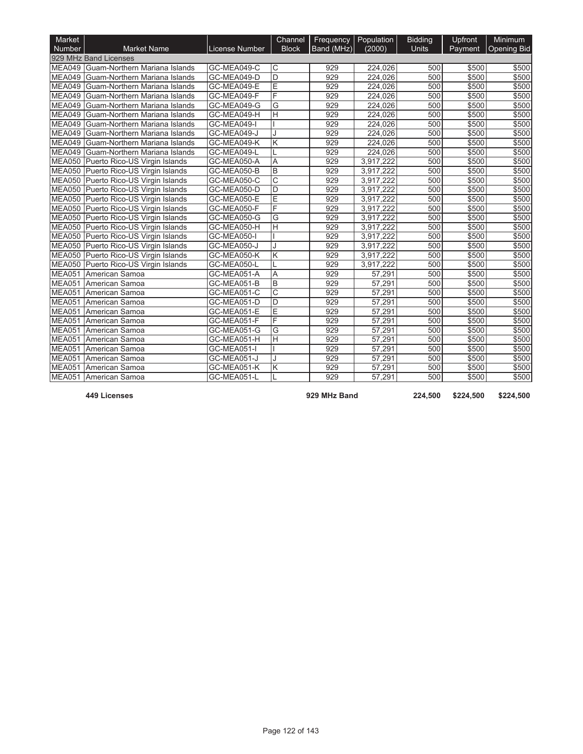| Market        |                                        |                | Channel                 | Frequency  | Population | <b>Bidding</b> | Upfront | <b>Minimum</b>     |
|---------------|----------------------------------------|----------------|-------------------------|------------|------------|----------------|---------|--------------------|
| <b>Number</b> | <b>Market Name</b>                     | License Number | <b>Block</b>            | Band (MHz) | (2000)     | <b>Units</b>   | Payment | <b>Opening Bid</b> |
|               | 929 MHz Band Licenses                  |                |                         |            |            |                |         |                    |
|               | MEA049 Guam-Northern Mariana Islands   | GC-MEA049-C    | C                       | 929        | 224,026    | 500            | \$500   | \$500              |
| <b>MEA049</b> | <b>I</b> Guam-Northern Mariana Islands | GC-MEA049-D    | $\overline{D}$          | 929        | 224.026    | 500            | \$500   | \$500              |
| <b>MEA049</b> | Guam-Northern Mariana Islands          | GC-MEA049-E    | Ē                       | 929        | 224,026    | 500            | \$500   | \$500              |
| <b>MEA049</b> | Guam-Northern Mariana Islands          | GC-MEA049-F    | F                       | 929        | 224,026    | 500            | \$500   | \$500              |
|               | MEA049 Guam-Northern Mariana Islands   | GC-MEA049-G    | G                       | 929        | 224,026    | 500            | \$500   | \$500              |
| <b>MEA049</b> | Guam-Northern Mariana Islands          | GC-MEA049-H    | $\overline{\mathsf{H}}$ | 929        | 224,026    | 500            | \$500   | \$500              |
| <b>MEA049</b> | Guam-Northern Mariana Islands          | GC-MEA049-I    |                         | 929        | 224,026    | 500            | \$500   | \$500              |
| MEA049        | Guam-Northern Mariana Islands          | GC-MEA049-J    |                         | 929        | 224,026    | 500            | \$500   | \$500              |
| <b>MEA049</b> | Guam-Northern Mariana Islands          | GC-MEA049-K    | Κ                       | 929        | 224,026    | 500            | \$500   | \$500              |
| <b>MEA049</b> | Guam-Northern Mariana Islands          | GC-MEA049-L    |                         | 929        | 224.026    | 500            | \$500   | \$500              |
|               | MEA050 Puerto Rico-US Virgin Islands   | GC-MEA050-A    | A                       | 929        | 3,917,222  | 500            | \$500   | \$500              |
|               | MEA050 Puerto Rico-US Virgin Islands   | GC-MEA050-B    | B                       | 929        | 3,917,222  | 500            | \$500   | \$500              |
|               | MEA050 Puerto Rico-US Virgin Islands   | GC-MEA050-C    | Ć                       | 929        | 3,917,222  | 500            | \$500   | \$500              |
|               | MEA050 Puerto Rico-US Virgin Islands   | GC-MEA050-D    | D                       | 929        | 3,917,222  | 500            | \$500   | \$500              |
|               | MEA050 Puerto Rico-US Virgin Islands   | GC-MEA050-E    | E                       | 929        | 3,917,222  | 500            | \$500   | \$500              |
|               | MEA050 Puerto Rico-US Virgin Islands   | GC-MEA050-F    | F                       | 929        | 3,917,222  | 500            | \$500   | \$500              |
|               | MEA050 Puerto Rico-US Virgin Islands   | GC-MEA050-G    | G                       | 929        | 3,917,222  | 500            | \$500   | \$500              |
|               | MEA050 Puerto Rico-US Virgin Islands   | GC-MEA050-H    | H                       | 929        | 3.917.222  | 500            | \$500   | \$500              |
|               | MEA050 Puerto Rico-US Virgin Islands   | GC-MEA050-I    |                         | 929        | 3,917,222  | 500            | \$500   | \$500              |
|               | MEA050 Puerto Rico-US Virgin Islands   | GC-MEA050-J    |                         | 929        | 3,917,222  | 500            | \$500   | \$500              |
|               | MEA050 Puerto Rico-US Virgin Islands   | GC-MEA050-K    | Κ                       | 929        | 3,917,222  | 500            | \$500   | \$500              |
|               | MEA050 Puerto Rico-US Virgin Islands   | GC-MEA050-L    |                         | 929        | 3,917,222  | 500            | \$500   | \$500              |
| <b>MEA051</b> | American Samoa                         | GC-MEA051-A    | A                       | 929        | 57,291     | 500            | \$500   | \$500              |
| <b>MEA051</b> | American Samoa                         | GC-MEA051-B    | B                       | 929        | 57,291     | 500            | \$500   | \$500              |
| <b>MEA051</b> | American Samoa                         | GC-MEA051-C    | $\overline{\mathrm{c}}$ | 929        | 57,291     | 500            | \$500   | \$500              |
| <b>MEA051</b> | American Samoa                         | GC-MEA051-D    | D                       | 929        | 57,291     | 500            | \$500   | \$500              |
| MEA051        | American Samoa                         | GC-MEA051-E    | E                       | 929        | 57,291     | 500            | \$500   | \$500              |
| MEA051        | American Samoa                         | GC-MEA051-F    | F                       | 929        | 57,291     | 500            | \$500   | \$500              |
| <b>MEA051</b> | American Samoa                         | GC-MEA051-G    | G                       | 929        | 57,291     | 500            | \$500   | \$500              |
| <b>MEA051</b> | American Samoa                         | GC-MEA051-H    | H                       | 929        | 57.291     | 500            | \$500   | \$500              |
| <b>MEA051</b> | American Samoa                         | GC-MEA051-I    |                         | 929        | 57,291     | 500            | \$500   | \$500              |
| <b>MEA051</b> | American Samoa                         | GC-MEA051-J    |                         | 929        | 57,291     | 500            | \$500   | \$500              |
| <b>MEA051</b> | American Samoa                         | GC-MEA051-K    | Κ                       | 929        | 57,291     | 500            | \$500   | \$500              |
|               | MEA051 American Samoa                  | GC-MEA051-L    |                         | 929        | 57.291     | 500            | \$500   | \$500              |

**449 Licenses 929 MHz Band 224,500 \$224,500 \$224,500**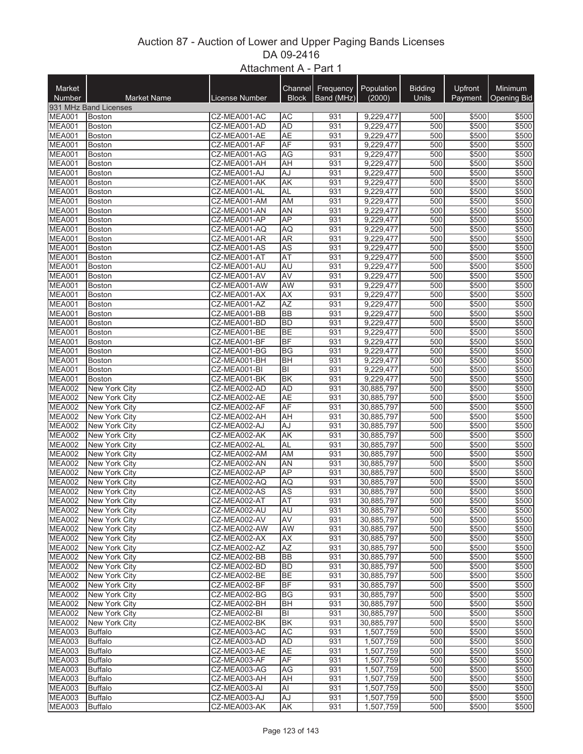## Auction 87 - Auction of Lower and Upper Paging Bands Licenses DA 09-2416 Attachment A - Part 1

| Market                         |                                |                              | Channel                | Frequency  | Population               | <b>Bidding</b> | Upfront        | <b>Minimum</b> |
|--------------------------------|--------------------------------|------------------------------|------------------------|------------|--------------------------|----------------|----------------|----------------|
| Number                         | <b>Market Name</b>             | License Number               | <b>Block</b>           | Band (MHz) | (2000)                   | Units          | Payment        | Opening Bid    |
|                                | 931 MHz Band Licenses          |                              |                        |            |                          |                |                |                |
| <b>MEA001</b>                  | <b>Boston</b>                  | CZ-MEA001-AC                 | <b>AC</b>              | 931        | 9,229,477                | 500            | \$500          | \$500          |
| <b>MEA001</b>                  | <b>Boston</b>                  | CZ-MEA001-AD                 | <b>AD</b>              | 931        | 9,229,477                | 500            | \$500          | \$500          |
| <b>MEA001</b><br><b>MEA001</b> | <b>Boston</b><br><b>Boston</b> | CZ-MEA001-AE<br>CZ-MEA001-AF | <b>AE</b><br>AF        | 931<br>931 | 9,229,477<br>9,229,477   | 500<br>500     | \$500<br>\$500 | \$500<br>\$500 |
| <b>MEA001</b>                  | <b>Boston</b>                  | CZ-MEA001-AG                 | AG                     | 931        | 9,229,477                | 500            | \$500          | \$500          |
| <b>MEA001</b>                  | <b>Boston</b>                  | CZ-MEA001-AH                 | <b>AH</b>              | 931        | 9,229,477                | 500            | \$500          | \$500          |
| <b>MEA001</b>                  | <b>Boston</b>                  | CZ-MEA001-AJ                 | AJ                     | 931        | 9,229,477                | 500            | \$500          | \$500          |
| <b>MEA001</b>                  | <b>Boston</b>                  | CZ-MEA001-AK                 | <b>AK</b>              | 931        | 9,229,477                | 500            | \$500          | \$500          |
| <b>MEA001</b>                  | <b>Boston</b>                  | CZ-MEA001-AL                 | <b>AL</b>              | 931        | 9,229,477                | 500            | \$500          | \$500          |
| <b>MEA001</b>                  | <b>Boston</b>                  | CZ-MEA001-AM                 | AM                     | 931        | 9,229,477                | 500            | \$500          | \$500          |
| <b>MEA001</b>                  | <b>Boston</b>                  | CZ-MEA001-AN                 | AN                     | 931        | 9,229,477                | 500            | \$500          | \$500          |
| <b>MEA001</b><br><b>MEA001</b> | <b>Boston</b>                  | CZ-MEA001-AP                 | <b>AP</b>              | 931<br>931 | 9,229,477                | 500<br>500     | \$500<br>\$500 | \$500<br>\$500 |
| <b>MEA001</b>                  | Boston<br><b>Boston</b>        | CZ-MEA001-AQ<br>CZ-MEA001-AR | AQ<br><b>AR</b>        | 931        | 9,229,477<br>9,229,477   | 500            | \$500          | \$500          |
| <b>MEA001</b>                  | <b>Boston</b>                  | CZ-MEA001-AS                 | <b>AS</b>              | 931        | 9,229,477                | 500            | \$500          | \$500          |
| <b>MEA001</b>                  | <b>Boston</b>                  | CZ-MEA001-AT                 | <b>AT</b>              | 931        | 9,229,477                | 500            | \$500          | \$500          |
| <b>MEA001</b>                  | Boston                         | CZ-MEA001-AU                 | AU                     | 931        | 9,229,477                | 500            | \$500          | \$500          |
| <b>MEA001</b>                  | <b>Boston</b>                  | CZ-MEA001-AV                 | <b>AV</b>              | 931        | 9,229,477                | 500            | \$500          | \$500          |
| <b>MEA001</b>                  | <b>Boston</b>                  | CZ-MEA001-AW                 | AW                     | 931        | 9,229,477                | 500            | \$500          | \$500          |
| <b>MEA001</b>                  | <b>Boston</b>                  | CZ-MEA001-AX                 | <b>AX</b>              | 931        | 9,229,477                | 500            | \$500          | \$500          |
| <b>MEA001</b>                  | <b>Boston</b>                  | CZ-MEA001-AZ                 | <b>AZ</b>              | 931        | 9,229,477                | 500            | \$500          | \$500          |
| <b>MEA001</b>                  | Boston                         | CZ-MEA001-BB                 | <b>BB</b>              | 931        | 9,229,477                | 500            | \$500          | \$500          |
| <b>MEA001</b><br><b>MEA001</b> | <b>Boston</b><br>Boston        | CZ-MEA001-BD<br>CZ-MEA001-BE | <b>BD</b><br><b>BE</b> | 931<br>931 | 9,229,477<br>9,229,477   | 500<br>500     | \$500<br>\$500 | \$500<br>\$500 |
| <b>MEA001</b>                  | <b>Boston</b>                  | CZ-MEA001-BF                 | <b>BF</b>              | 931        | 9,229,477                | 500            | \$500          | \$500          |
| <b>MEA001</b>                  | <b>Boston</b>                  | CZ-MEA001-BG                 | BG                     | 931        | 9,229,477                | 500            | \$500          | \$500          |
| <b>MEA001</b>                  | <b>Boston</b>                  | CZ-MEA001-BH                 | <b>BH</b>              | 931        | 9,229,477                | 500            | \$500          | \$500          |
| <b>MEA001</b>                  | <b>Boston</b>                  | CZ-MEA001-BI                 | ΙBΙ                    | 931        | 9,229,477                | 500            | \$500          | \$500          |
| <b>MEA001</b>                  | <b>Boston</b>                  | CZ-MEA001-BK                 | B <sub>K</sub>         | 931        | 9,229,477                | 500            | \$500          | \$500          |
| <b>MEA002</b>                  | New York City                  | CZ-MEA002-AD                 | <b>AD</b>              | 931        | 30,885,797               | 500            | \$500          | \$500          |
| <b>MEA002</b>                  | New York City                  | CZ-MEA002-AE                 | <b>AE</b>              | 931        | 30,885,797               | 500            | \$500          | \$500          |
| <b>MEA002</b>                  | New York City                  | CZ-MEA002-AF                 | AF                     | 931        | 30,885,797               | 500            | \$500          | \$500          |
| <b>MEA002</b>                  | New York City                  | CZ-MEA002-AH                 | AH                     | 931        | 30,885,797               | 500            | \$500          | \$500          |
| <b>MEA002</b><br><b>MEA002</b> | New York City<br>New York City | CZ-MEA002-AJ<br>CZ-MEA002-AK | AJ<br>AK               | 931<br>931 | 30,885,797<br>30,885,797 | 500<br>500     | \$500<br>\$500 | \$500<br>\$500 |
| <b>MEA002</b>                  | New York City                  | CZ-MEA002-AL                 | <b>AL</b>              | 931        | 30,885,797               | 500            | \$500          | \$500          |
| <b>MEA002</b>                  | New York City                  | CZ-MEA002-AM                 | <b>AM</b>              | 931        | 30,885,797               | 500            | \$500          | \$500          |
| <b>MEA002</b>                  | New York City                  | CZ-MEA002-AN                 | AN                     | 931        | 30,885,797               | 500            | \$500          | \$500          |
| <b>MEA002</b>                  | New York City                  | CZ-MEA002-AP                 | <b>AP</b>              | 931        | 30,885,797               | 500            | \$500          | \$500          |
| <b>MEA002</b>                  | New York City                  | CZ-MEA002-AQ                 | AQ                     | 931        | 30,885,797               | 500            | \$500          | \$500          |
| <b>MEA002</b>                  | New York City                  | CZ-MEA002-AS                 | AS                     | 931        | 30,885,797               | 500            | \$500          | \$500          |
| <b>MEA002</b>                  | <b>New York City</b>           | CZ-MEA002-AT                 | <b>AT</b>              | 931        | 30,885,797               | 500            | \$500          | \$500          |
| <b>MEA002</b>                  | New York City                  | CZ-MEA002-AU                 | <b>AU</b>              | 931        | 30,885,797               | 500            | \$500          | \$500          |
| <b>MEA002</b><br><b>MEA002</b> | New York City<br>New York City | CZ-MEA002-AV<br>CZ-MEA002-AW | AV<br>AW               | 931<br>931 | 30,885,797<br>30,885,797 | 500<br>500     | \$500<br>\$500 | \$500<br>\$500 |
| <b>MEA002</b>                  | New York City                  | CZ-MEA002-AX                 | <b>AX</b>              | 931        | 30,885,797               | 500            | \$500          | \$500          |
| <b>MEA002</b>                  | New York City                  | CZ-MEA002-AZ                 | <b>AZ</b>              | 931        | 30,885,797               | 500            | \$500          | \$500          |
| <b>MEA002</b>                  | New York City                  | CZ-MEA002-BB                 | <b>BB</b>              | 931        | 30,885,797               | 500            | \$500          | \$500          |
| MEA002                         | New York City                  | CZ-MEA002-BD                 | BD                     | 931        | 30,885,797               | 500            | \$500          | \$500          |
| <b>MEA002</b>                  | New York City                  | CZ-MEA002-BE                 | <b>BE</b>              | 931        | 30,885,797               | 500            | \$500          | \$500          |
| <b>MEA002</b>                  | New York City                  | CZ-MEA002-BF                 | BF                     | 931        | 30,885,797               | 500            | \$500          | \$500          |
| <b>MEA002</b>                  | New York City                  | CZ-MEA002-BG                 | BG                     | 931        | 30,885,797               | 500            | \$500          | \$500          |
| <b>MEA002</b>                  | New York City                  | CZ-MEA002-BH                 | BH                     | 931        | 30,885,797               | 500            | \$500          | \$500          |
| <b>MEA002</b>                  | New York City                  | CZ-MEA002-BI                 | BI                     | 931        | 30,885,797               | 500<br>500     | \$500<br>\$500 | \$500          |
| <b>MEA002</b><br><b>MEA003</b> | New York City<br>Buffalo       | CZ-MEA002-BK<br>CZ-MEA003-AC | BK<br><b>AC</b>        | 931<br>931 | 30,885,797<br>1,507,759  | 500            | \$500          | \$500<br>\$500 |
| <b>MEA003</b>                  | Buffalo                        | CZ-MEA003-AD                 | <b>AD</b>              | 931        | 1,507,759                | 500            | \$500          | \$500          |
| <b>MEA003</b>                  | <b>Buffalo</b>                 | CZ-MEA003-AE                 | AE                     | 931        | 1,507,759                | 500            | \$500          | \$500          |
| <b>MEA003</b>                  | <b>Buffalo</b>                 | CZ-MEA003-AF                 | <b>AF</b>              | 931        | 1,507,759                | 500            | \$500          | \$500          |
| MEA003                         | <b>Buffalo</b>                 | CZ-MEA003-AG                 | AG                     | 931        | 1,507,759                | 500            | \$500          | \$500          |
| MEA003                         | <b>Buffalo</b>                 | CZ-MEA003-AH                 | AH                     | 931        | 1,507,759                | 500            | \$500          | \$500          |
| <b>MEA003</b>                  | <b>Buffalo</b>                 | CZ-MEA003-AI                 | Al                     | 931        | 1,507,759                | 500            | \$500          | \$500          |
| <b>MEA003</b>                  | <b>Buffalo</b>                 | CZ-MEA003-AJ                 | AJ                     | 931        | 1,507,759                | 500            | \$500          | \$500          |
| MEA003                         | <b>Buffalo</b>                 | CZ-MEA003-AK                 | AK                     | 931        | 1,507,759                | 500            | \$500          | \$500          |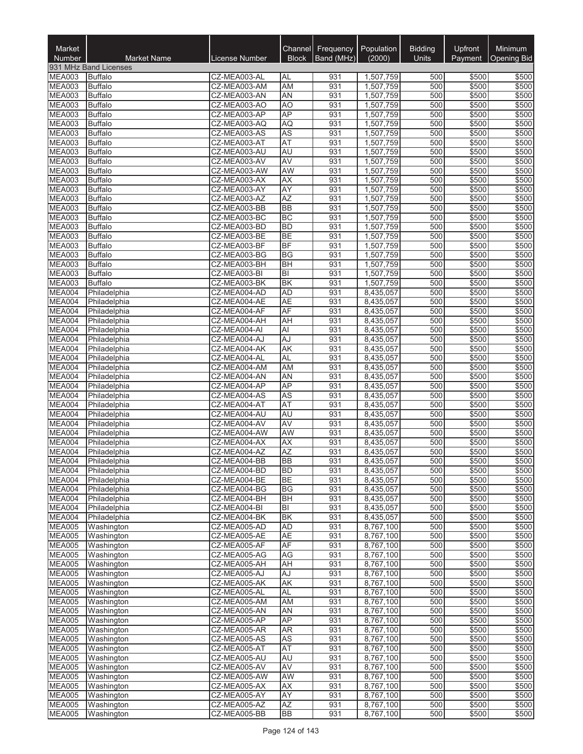| Market<br>Number               | <b>Market Name</b>           | License Number               | Channel<br><b>Block</b> | Frequency<br>Band (MHz) | Population<br>(2000)   | <b>Bidding</b><br>Units | Upfront<br>Payment | Minimum<br><b>Opening Bid</b> |
|--------------------------------|------------------------------|------------------------------|-------------------------|-------------------------|------------------------|-------------------------|--------------------|-------------------------------|
|                                | 931 MHz Band Licenses        |                              |                         |                         |                        |                         |                    |                               |
| <b>MEA003</b>                  | <b>Buffalo</b>               | CZ-MEA003-AL                 | AL                      | 931                     | 1,507,759              | 500                     | \$500              | \$500                         |
| <b>MEA003</b>                  | Buffalo                      | CZ-MEA003-AM                 | <b>AM</b>               | 931                     | 1,507,759              | 500                     | \$500              | \$500                         |
| <b>MEA003</b>                  | Buffalo                      | CZ-MEA003-AN                 | AN                      | 931                     | 1,507,759              | 500                     | \$500              | \$500                         |
| <b>MEA003</b>                  | <b>Buffalo</b>               | CZ-MEA003-AO                 | A <sub>O</sub>          | 931                     | 1,507,759              | 500                     | \$500              | \$500                         |
| MEA003<br><b>MEA003</b>        | Buffalo<br><b>Buffalo</b>    | CZ-MEA003-AP<br>CZ-MEA003-AQ | <b>AP</b><br>AQ         | 931<br>931              | 1,507,759<br>1,507,759 | 500<br>500              | \$500<br>\$500     | \$500<br>\$500                |
| <b>MEA003</b>                  | <b>Buffalo</b>               | CZ-MEA003-AS                 | <b>AS</b>               | 931                     | 1,507,759              | 500                     | \$500              | \$500                         |
| <b>MEA003</b>                  | <b>Buffalo</b>               | CZ-MEA003-AT                 | AT                      | 931                     | 1,507,759              | 500                     | \$500              | \$500                         |
| <b>MEA003</b>                  | <b>Buffalo</b>               | CZ-MEA003-AU                 | AU                      | 931                     | 1,507,759              | 500                     | \$500              | \$500                         |
| <b>MEA003</b>                  | <b>Buffalo</b>               | CZ-MEA003-AV                 | <b>AV</b>               | 931                     | 1,507,759              | 500                     | \$500              | \$500                         |
| <b>MEA003</b>                  | <b>Buffalo</b>               | CZ-MEA003-AW                 | AW                      | 931                     | 1,507,759              | 500                     | \$500              | \$500                         |
| MEA003                         | Buffalo                      | CZ-MEA003-AX                 | AX                      | 931                     | 1,507,759              | 500                     | \$500              | \$500                         |
| <b>MEA003</b>                  | <b>Buffalo</b>               | CZ-MEA003-AY                 | AY                      | 931                     | 1,507,759              | 500                     | \$500              | \$500                         |
| <b>MEA003</b>                  | <b>Buffalo</b>               | CZ-MEA003-AZ                 | AZ                      | 931                     | 1,507,759              | 500                     | \$500              | \$500                         |
| <b>MEA003</b><br><b>MEA003</b> | <b>Buffalo</b>               | CZ-MEA003-BB<br>CZ-MEA003-BC | <b>BB</b><br><b>BC</b>  | 931<br>931              | 1,507,759<br>1,507,759 | 500<br>500              | \$500<br>\$500     | \$500<br>\$500                |
| <b>MEA003</b>                  | Buffalo<br><b>Buffalo</b>    | CZ-MEA003-BD                 | <b>BD</b>               | 931                     | 1,507,759              | 500                     | \$500              | \$500                         |
| <b>MEA003</b>                  | <b>Buffalo</b>               | CZ-MEA003-BE                 | <b>BE</b>               | 931                     | 1,507,759              | 500                     | \$500              | \$500                         |
| <b>MEA003</b>                  | <b>Buffalo</b>               | CZ-MEA003-BF                 | BF                      | 931                     | 1,507,759              | 500                     | \$500              | \$500                         |
| <b>MEA003</b>                  | <b>Buffalo</b>               | CZ-MEA003-BG                 | BG                      | 931                     | 1,507,759              | 500                     | \$500              | \$500                         |
| <b>MEA003</b>                  | <b>Buffalo</b>               | CZ-MEA003-BH                 | <b>BH</b>               | 931                     | 1,507,759              | 500                     | \$500              | \$500                         |
| <b>MEA003</b>                  | <b>Buffalo</b>               | CZ-MEA003-BI                 | $ \mathsf{B} $          | 931                     | 1,507,759              | 500                     | \$500              | \$500                         |
| <b>MEA003</b>                  | <b>Buffalo</b>               | CZ-MEA003-BK                 | <b>BK</b>               | 931                     | 1,507,759              | 500                     | \$500              | \$500                         |
| MEA004                         | Philadelphia                 | CZ-MEA004-AD                 | <b>AD</b>               | 931                     | 8,435,057              | 500                     | \$500              | \$500                         |
| MEA004                         | Philadelphia                 | CZ-MEA004-AE                 | <b>AE</b>               | 931                     | 8,435,057              | 500                     | \$500              | \$500                         |
| MEA004<br>MEA004               | Philadelphia                 | CZ-MEA004-AF<br>CZ-MEA004-AH | AF                      | 931<br>931              | 8,435,057              | 500                     | \$500              | \$500                         |
| MEA004                         | Philadelphia<br>Philadelphia | CZ-MEA004-AI                 | <b>AH</b><br>Al         | 931                     | 8,435,057<br>8,435,057 | 500<br>500              | \$500<br>\$500     | \$500<br>\$500                |
| MEA004                         | Philadelphia                 | CZ-MEA004-AJ                 | AJ                      | 931                     | 8,435,057              | 500                     | \$500              | \$500                         |
| MEA004                         | Philadelphia                 | CZ-MEA004-AK                 | <b>AK</b>               | 931                     | 8,435,057              | 500                     | \$500              | \$500                         |
| MEA004                         | Philadelphia                 | CZ-MEA004-AL                 | <b>AL</b>               | 931                     | 8,435,057              | 500                     | \$500              | \$500                         |
| MEA004                         | Philadelphia                 | CZ-MEA004-AM                 | AM                      | 931                     | 8,435,057              | 500                     | \$500              | \$500                         |
| MEA004                         | Philadelphia                 | CZ-MEA004-AN                 | AN                      | 931                     | 8,435,057              | 500                     | \$500              | \$500                         |
| MEA004                         | Philadelphia                 | CZ-MEA004-AP                 | AP                      | 931                     | 8,435,057              | 500                     | \$500              | \$500                         |
| MEA004                         | Philadelphia                 | CZ-MEA004-AS                 | AS                      | 931                     | 8,435,057              | 500                     | \$500              | \$500                         |
| MEA004<br>MEA004               | Philadelphia                 | CZ-MEA004-AT                 | AT                      | 931                     | 8,435,057              | 500                     | \$500              | \$500                         |
| MEA004                         | Philadelphia<br>Philadelphia | CZ-MEA004-AU<br>CZ-MEA004-AV | AU<br>AV                | 931<br>931              | 8,435,057<br>8,435,057 | 500<br>500              | \$500<br>\$500     | \$500<br>\$500                |
| MEA004                         | Philadelphia                 | CZ-MEA004-AW                 | <b>AW</b>               | 931                     | 8,435,057              | 500                     | \$500              | \$500                         |
| MEA004                         | Philadelphia                 | CZ-MEA004-AX                 | <b>AX</b>               | 931                     | 8,435,057              | 500                     | \$500              | \$500                         |
| <b>MEA004</b>                  | Philadelphia                 | CZ-MEA004-AZ                 | <b>AZ</b>               | 931                     | 8.435.057              | 500                     | \$500              | \$500                         |
| <b>MEA004</b>                  | Philadelphia                 | CZ-MEA004-BB                 | <b>BB</b>               | 931                     | 8,435,057              | 500                     | \$500              | \$500                         |
| <b>MEA004</b>                  | Philadelphia                 | CZ-MEA004-BD                 | <b>BD</b>               | 931                     | 8,435,057              | 500                     | \$500              | \$500                         |
| MEA004                         | Philadelphia                 | CZ-MEA004-BE                 | <b>BE</b>               | 931                     | 8,435,057              | 500                     | \$500              | \$500                         |
| MEA004                         | Philadelphia                 | CZ-MEA004-BG                 | <b>BG</b>               | 931                     | 8,435,057              | 500                     | \$500              | \$500                         |
| <b>MEA004</b>                  | Philadelphia                 | CZ-MEA004-BH                 | <b>BH</b>               | 931                     | 8,435,057              | 500                     | \$500              | \$500                         |
| MEA004<br><b>MEA004</b>        | Philadelphia                 | CZ-MEA004-BI<br>CZ-MEA004-BK | B <br><b>BK</b>         | 931<br>931              | 8,435,057              | 500<br>500              | \$500              | \$500                         |
| <b>MEA005</b>                  | Philadelphia<br>Washington   | CZ-MEA005-AD                 | <b>AD</b>               | 931                     | 8,435,057<br>8,767,100 | 500                     | \$500<br>\$500     | \$500<br>\$500                |
| <b>MEA005</b>                  | Washington                   | CZ-MEA005-AE                 | <b>AE</b>               | 931                     | 8,767,100              | 500                     | \$500              | \$500                         |
| <b>MEA005</b>                  | Washington                   | CZ-MEA005-AF                 | AF                      | 931                     | 8,767,100              | 500                     | \$500              | \$500                         |
| <b>MEA005</b>                  | Washington                   | CZ-MEA005-AG                 | AG                      | 931                     | 8,767,100              | 500                     | \$500              | \$500                         |
| <b>MEA005</b>                  | Washington                   | CZ-MEA005-AH                 | AH                      | 931                     | 8,767,100              | 500                     | \$500              | \$500                         |
| <b>MEA005</b>                  | Washington                   | CZ-MEA005-AJ                 | AJ                      | 931                     | 8,767,100              | 500                     | \$500              | \$500                         |
| <b>MEA005</b>                  | Washington                   | CZ-MEA005-AK                 | AK                      | 931                     | 8,767,100              | 500                     | \$500              | \$500                         |
| <b>MEA005</b>                  | Washington                   | CZ-MEA005-AL                 | <b>AL</b>               | 931                     | 8,767,100              | 500                     | \$500              | \$500                         |
| <b>MEA005</b>                  | Washington                   | CZ-MEA005-AM                 | <b>AM</b>               | 931                     | 8,767,100              | 500                     | \$500              | \$500                         |
| MEA005<br><b>MEA005</b>        | Washington<br>Washington     | CZ-MEA005-AN<br>CZ-MEA005-AP | AN<br><b>AP</b>         | 931<br>931              | 8,767,100<br>8,767,100 | 500<br>500              | \$500<br>\$500     | \$500<br>\$500                |
| <b>MEA005</b>                  | Washington                   | CZ-MEA005-AR                 | AR                      | 931                     | 8,767,100              | 500                     | \$500              | \$500                         |
| <b>MEA005</b>                  | Washington                   | CZ-MEA005-AS                 | <b>AS</b>               | 931                     | 8,767,100              | 500                     | \$500              | \$500                         |
| <b>MEA005</b>                  | Washington                   | CZ-MEA005-AT                 | <b>AT</b>               | 931                     | 8,767,100              | 500                     | \$500              | \$500                         |
| <b>MEA005</b>                  | Washington                   | CZ-MEA005-AU                 | AU                      | 931                     | 8,767,100              | 500                     | \$500              | \$500                         |
| <b>MEA005</b>                  | Washington                   | CZ-MEA005-AV                 | <b>AV</b>               | 931                     | 8,767,100              | 500                     | \$500              | \$500                         |
| <b>MEA005</b>                  | Washington                   | CZ-MEA005-AW                 | AW                      | 931                     | 8,767,100              | 500                     | \$500              | \$500                         |
| <b>MEA005</b>                  | Washington                   | CZ-MEA005-AX                 | <b>AX</b>               | 931                     | 8,767,100              | 500                     | \$500              | \$500                         |
| <b>MEA005</b>                  | Washington                   | CZ-MEA005-AY                 | <b>AY</b>               | 931                     | 8,767,100              | 500                     | \$500              | \$500                         |
| <b>MEA005</b><br><b>MEA005</b> | Washington<br>Washington     | CZ-MEA005-AZ<br>CZ-MEA005-BB | <b>AZ</b><br><b>BB</b>  | 931<br>931              | 8,767,100<br>8,767,100 | 500<br>500              | \$500<br>\$500     | \$500<br>\$500                |
|                                |                              |                              |                         |                         |                        |                         |                    |                               |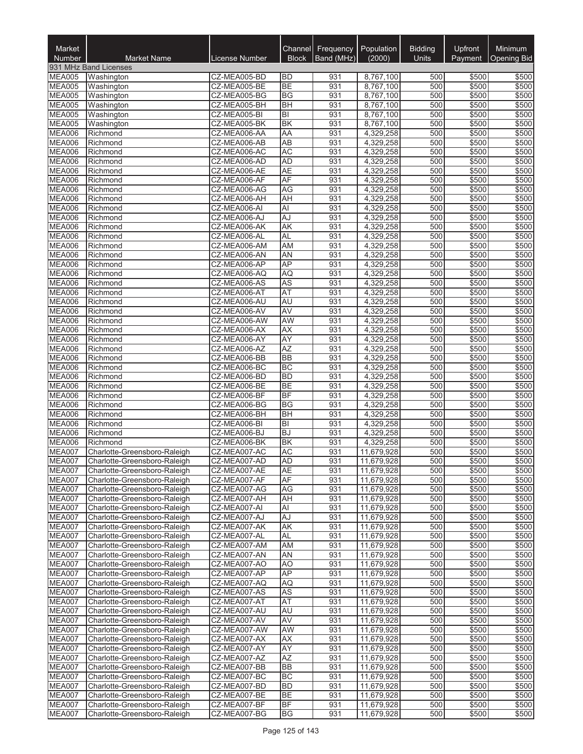| Market<br>Number               | <b>Market Name</b>                                           | License Number               | Channel<br><b>Block</b> | Frequency<br>Band (MHz) | Population<br>(2000)     | <b>Bidding</b><br>Units | Upfront<br>Payment | <b>Minimum</b><br><b>Opening Bid</b> |
|--------------------------------|--------------------------------------------------------------|------------------------------|-------------------------|-------------------------|--------------------------|-------------------------|--------------------|--------------------------------------|
|                                | 931 MHz Band Licenses                                        |                              |                         |                         |                          |                         |                    |                                      |
| <b>MEA005</b>                  | Washington                                                   | CZ-MEA005-BD                 | <b>BD</b>               | 931                     | 8,767,100                | 500                     | \$500              | \$500                                |
| <b>MEA005</b>                  | Washington                                                   | CZ-MEA005-BE                 | <b>BE</b>               | 931                     | 8,767,100                | 500                     | \$500              | \$500                                |
| MEA005                         | Washington                                                   | CZ-MEA005-BG                 | BG                      | 931                     | 8,767,100                | 500                     | \$500              | \$500                                |
| <b>MEA005</b>                  | Washington                                                   | CZ-MEA005-BH                 | <b>BH</b>               | 931                     | 8,767,100                | 500                     | \$500              | \$500                                |
| <b>MEA005</b><br><b>MEA005</b> | Washington                                                   | CZ-MEA005-BI                 | BI<br><b>BK</b>         | 931<br>931              | 8,767,100                | 500<br>500              | \$500              | \$500                                |
| <b>MEA006</b>                  | Washington<br>Richmond                                       | CZ-MEA005-BK<br>CZ-MEA006-AA | AA                      | 931                     | 8,767,100<br>4,329,258   | 500                     | \$500<br>\$500     | \$500<br>\$500                       |
| <b>MEA006</b>                  | Richmond                                                     | CZ-MEA006-AB                 | <b>AB</b>               | 931                     | 4,329,258                | 500                     | \$500              | \$500                                |
| MEA006                         | Richmond                                                     | CZ-MEA006-AC                 | <b>AC</b>               | 931                     | 4,329,258                | 500                     | \$500              | \$500                                |
| <b>MEA006</b>                  | Richmond                                                     | CZ-MEA006-AD                 | <b>AD</b>               | 931                     | 4,329,258                | 500                     | \$500              | \$500                                |
| MEA006                         | Richmond                                                     | CZ-MEA006-AE                 | <b>AE</b>               | 931                     | 4,329,258                | 500                     | \$500              | \$500                                |
| <b>MEA006</b>                  | Richmond                                                     | CZ-MEA006-AF                 | AF                      | 931                     | 4,329,258                | 500                     | \$500              | \$500                                |
| <b>MEA006</b>                  | Richmond                                                     | CZ-MEA006-AG                 | AG                      | 931                     | 4,329,258                | 500                     | \$500              | \$500                                |
| <b>MEA006</b><br><b>MEA006</b> | Richmond<br>Richmond                                         | CZ-MEA006-AH<br>CZ-MEA006-AI | <b>AH</b><br><b>Al</b>  | 931<br>931              | 4,329,258<br>4,329,258   | 500<br>500              | \$500<br>\$500     | \$500<br>\$500                       |
| <b>MEA006</b>                  | Richmond                                                     | CZ-MEA006-AJ                 | AJ                      | 931                     | 4,329,258                | 500                     | \$500              | \$500                                |
| <b>MEA006</b>                  | Richmond                                                     | CZ-MEA006-AK                 | <b>AK</b>               | 931                     | 4,329,258                | 500                     | \$500              | \$500                                |
| MEA006                         | Richmond                                                     | CZ-MEA006-AL                 | <b>AL</b>               | 931                     | 4,329,258                | 500                     | \$500              | \$500                                |
| <b>MEA006</b>                  | Richmond                                                     | CZ-MEA006-AM                 | AM                      | 931                     | 4,329,258                | 500                     | \$500              | \$500                                |
| <b>MEA006</b>                  | Richmond                                                     | CZ-MEA006-AN                 | <b>AN</b>               | 931                     | 4,329,258                | 500                     | \$500              | \$500                                |
| <b>MEA006</b>                  | Richmond                                                     | CZ-MEA006-AP                 | AP                      | 931                     | 4,329,258                | 500                     | \$500              | \$500                                |
| <b>MEA006</b>                  | Richmond                                                     | CZ-MEA006-AQ                 | <b>AQ</b>               | 931                     | 4,329,258                | 500                     | \$500              | \$500                                |
| <b>MEA006</b><br><b>MEA006</b> | Richmond                                                     | CZ-MEA006-AS                 | <b>AS</b><br>AT         | 931<br>931              | 4,329,258<br>4,329,258   | 500<br>500              | \$500<br>\$500     | \$500<br>\$500                       |
| MEA006                         | Richmond<br>Richmond                                         | CZ-MEA006-AT<br>CZ-MEA006-AU | AU                      | 931                     | 4,329,258                | 500                     | \$500              | \$500                                |
| MEA006                         | Richmond                                                     | CZ-MEA006-AV                 | AV                      | 931                     | 4,329,258                | 500                     | \$500              | \$500                                |
| <b>MEA006</b>                  | Richmond                                                     | CZ-MEA006-AW                 | <b>AW</b>               | 931                     | 4,329,258                | 500                     | \$500              | \$500                                |
| MEA006                         | Richmond                                                     | CZ-MEA006-AX                 | AX                      | 931                     | 4,329,258                | 500                     | \$500              | \$500                                |
| <b>MEA006</b>                  | Richmond                                                     | CZ-MEA006-AY                 | <b>AY</b>               | 931                     | 4,329,258                | 500                     | \$500              | \$500                                |
| <b>MEA006</b>                  | Richmond                                                     | CZ-MEA006-AZ                 | AZ                      | 931                     | 4,329,258                | 500                     | \$500              | \$500                                |
| <b>MEA006</b>                  | Richmond                                                     | CZ-MEA006-BB                 | <b>BB</b>               | 931                     | 4,329,258                | 500                     | \$500              | \$500                                |
| <b>MEA006</b><br><b>MEA006</b> | Richmond                                                     | CZ-MEA006-BC                 | <b>BC</b><br><b>BD</b>  | 931<br>931              | 4,329,258                | 500<br>500              | \$500              | \$500                                |
| MEA006                         | Richmond<br>Richmond                                         | CZ-MEA006-BD<br>CZ-MEA006-BE | <b>BE</b>               | 931                     | 4,329,258<br>4,329,258   | 500                     | \$500<br>\$500     | \$500<br>\$500                       |
| <b>MEA006</b>                  | Richmond                                                     | CZ-MEA006-BF                 | <b>BF</b>               | 931                     | 4,329,258                | 500                     | \$500              | \$500                                |
| MEA006                         | Richmond                                                     | CZ-MEA006-BG                 | <b>BG</b>               | 931                     | 4,329,258                | 500                     | \$500              | \$500                                |
| <b>MEA006</b>                  | Richmond                                                     | CZ-MEA006-BH                 | <b>BH</b>               | 931                     | 4,329,258                | 500                     | \$500              | \$500                                |
| <b>MEA006</b>                  | Richmond                                                     | CZ-MEA006-BI                 | B                       | 931                     | 4,329,258                | 500                     | \$500              | \$500                                |
| <b>MEA006</b>                  | Richmond                                                     | CZ-MEA006-BJ                 | <b>BJ</b>               | 931                     | 4,329,258                | 500                     | \$500              | \$500                                |
| <b>MEA006</b><br>MEA007        | Richmond<br>Charlotte-Greensboro-Raleigh                     | CZ-MEA006-BK                 | <b>BK</b>               | 931                     | 4,329,258<br>11,679,928  | 500<br>500              | \$500              | \$500<br>\$500                       |
| MEA007                         |                                                              | CZ-MEA007-AC<br>CZ-MEA007-AD | <b>AC</b>               | 931<br>931              | 11,679,928               | 500                     | \$500<br>\$500     | \$500                                |
| MEA007                         | Charlotte-Greensboro-Raleigh<br>Charlotte-Greensboro-Raleigh | CZ-MEA007-AE                 | AD<br><b>AE</b>         | 931                     | 11,679,928               | 500                     | \$500              | \$500                                |
| <b>MEA007</b>                  | Charlotte-Greensboro-Raleigh                                 | CZ-MEA007-AF                 | AF                      | 931                     | 11,679,928               | 500                     | \$500              | \$500                                |
| <b>MEA007</b>                  | Charlotte-Greensboro-Raleigh                                 | CZ-MEA007-AG                 | AG                      | 931                     | 11,679,928               | 500                     | \$500              | \$500                                |
| <b>MEA007</b>                  | Charlotte-Greensboro-Raleigh                                 | CZ-MEA007-AH                 | AH                      | 931                     | 11,679,928               | 500                     | \$500              | \$500                                |
| <b>MEA007</b>                  | Charlotte-Greensboro-Raleigh                                 | CZ-MEA007-AI                 | Al                      | 931                     | 11,679,928               | 500                     | \$500              | \$500                                |
| MEA007                         | Charlotte-Greensboro-Raleigh                                 | CZ-MEA007-AJ                 | AJ                      | 931                     | 11,679,928               | 500                     | \$500              | \$500                                |
| <b>MEA007</b><br>MEA007        | Charlotte-Greensboro-Raleigh<br>Charlotte-Greensboro-Raleigh | CZ-MEA007-AK<br>CZ-MEA007-AL | <b>AK</b><br><b>AL</b>  | 931<br>931              | 11,679,928<br>11,679,928 | 500<br>500              | \$500<br>\$500     | \$500<br>\$500                       |
| MEA007                         | Charlotte-Greensboro-Raleigh                                 | CZ-MEA007-AM                 | <b>AM</b>               | 931                     | 11,679,928               | 500                     | \$500              | \$500                                |
| <b>MEA007</b>                  | Charlotte-Greensboro-Raleigh                                 | CZ-MEA007-AN                 | <b>AN</b>               | 931                     | 11,679,928               | 500                     | \$500              | \$500                                |
| MEA007                         | Charlotte-Greensboro-Raleigh                                 | CZ-MEA007-AO                 | AO                      | 931                     | 11,679,928               | 500                     | \$500              | \$500                                |
| <b>MEA007</b>                  | Charlotte-Greensboro-Raleigh                                 | CZ-MEA007-AP                 | <b>AP</b>               | 931                     | 11,679,928               | 500                     | \$500              | \$500                                |
| <b>MEA007</b>                  | Charlotte-Greensboro-Raleigh                                 | CZ-MEA007-AQ                 | AQ                      | 931                     | 11,679,928               | 500                     | \$500              | \$500                                |
| MEA007                         | Charlotte-Greensboro-Raleigh                                 | CZ-MEA007-AS                 | <b>AS</b>               | 931                     | 11,679,928               | 500                     | \$500              | \$500                                |
| MEA007<br>MEA007               | Charlotte-Greensboro-Raleigh                                 | CZ-MEA007-AT                 | <b>AT</b>               | 931                     | 11,679,928               | 500                     | \$500              | \$500                                |
| MEA007                         | Charlotte-Greensboro-Raleigh<br>Charlotte-Greensboro-Raleigh | CZ-MEA007-AU<br>CZ-MEA007-AV | AU<br><b>AV</b>         | 931<br>931              | 11,679,928<br>11,679,928 | 500<br>500              | \$500<br>\$500     | \$500<br>\$500                       |
| <b>MEA007</b>                  | Charlotte-Greensboro-Raleigh                                 | CZ-MEA007-AW                 | AW                      | 931                     | 11,679,928               | 500                     | \$500              | \$500                                |
| MEA007                         | Charlotte-Greensboro-Raleigh                                 | CZ-MEA007-AX                 | <b>AX</b>               | 931                     | 11,679,928               | 500                     | \$500              | \$500                                |
| MEA007                         | Charlotte-Greensboro-Raleigh                                 | CZ-MEA007-AY                 | AY                      | 931                     | 11,679,928               | 500                     | \$500              | \$500                                |
| <b>MEA007</b>                  | Charlotte-Greensboro-Raleigh                                 | CZ-MEA007-AZ                 | <b>AZ</b>               | 931                     | 11,679,928               | 500                     | \$500              | \$500                                |
| <b>MEA007</b>                  | Charlotte-Greensboro-Raleigh                                 | CZ-MEA007-BB                 | <b>BB</b>               | 931                     | 11,679,928               | 500                     | \$500              | \$500                                |
| <b>MEA007</b>                  | Charlotte-Greensboro-Raleigh                                 | CZ-MEA007-BC                 | <b>BC</b>               | 931                     | 11,679,928               | 500                     | \$500              | \$500                                |
| MEA007<br>MEA007               | Charlotte-Greensboro-Raleigh<br>Charlotte-Greensboro-Raleigh | CZ-MEA007-BD<br>CZ-MEA007-BE | <b>BD</b><br><b>BE</b>  | 931<br>931              | 11,679,928<br>11,679,928 | 500<br>500              | \$500<br>\$500     | \$500<br>\$500                       |
| <b>MEA007</b>                  | Charlotte-Greensboro-Raleigh                                 | CZ-MEA007-BF                 | <b>BF</b>               | 931                     | 11,679,928               | 500                     | \$500              | \$500                                |
| MEA007                         | Charlotte-Greensboro-Raleigh                                 | CZ-MEA007-BG                 | <b>BG</b>               | 931                     | 11,679,928               | 500                     | \$500              | \$500                                |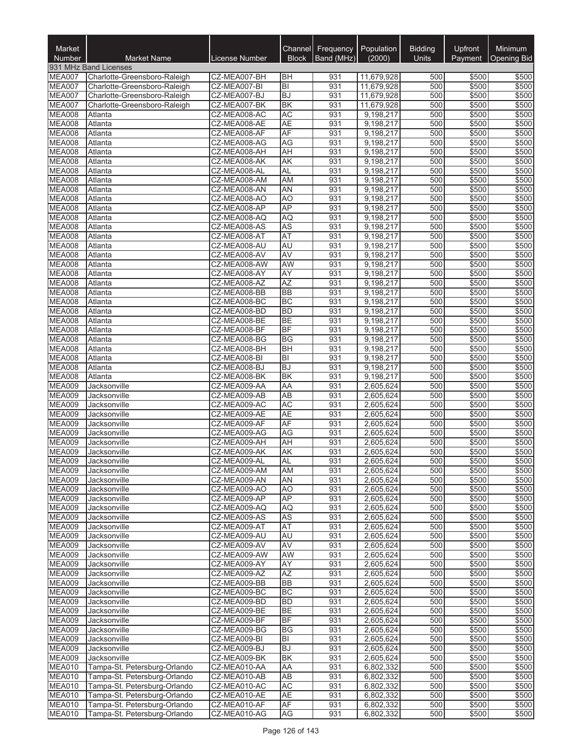| Market<br>Number               | <b>Market Name</b>           | License Number               | <b>Block</b>              | Channel Frequency<br>Band (MHz) | Population<br>(2000)   | <b>Bidding</b><br>Units | Upfront<br>Payment | <b>Minimum</b><br><b>Opening Bid</b> |
|--------------------------------|------------------------------|------------------------------|---------------------------|---------------------------------|------------------------|-------------------------|--------------------|--------------------------------------|
|                                | 931 MHz Band Licenses        |                              |                           |                                 |                        |                         |                    |                                      |
| MEA007                         | Charlotte-Greensboro-Raleigh | CZ-MEA007-BH                 | BH                        | 931                             | 11,679,928             | 500                     | \$500              | \$500                                |
| MEA007                         | Charlotte-Greensboro-Raleigh | CZ-MEA007-BI                 | $ \overline{\mathsf{B}} $ | 931                             | 11,679,928             | 500                     | \$500              | \$500                                |
| MEA007                         | Charlotte-Greensboro-Raleigh | CZ-MEA007-BJ                 | <b>BJ</b>                 | 931                             | 11,679,928             | 500                     | \$500              | \$500                                |
| <b>MEA007</b>                  | Charlotte-Greensboro-Raleigh | CZ-MEA007-BK                 | <b>BK</b>                 | 931                             | 11,679,928             | 500                     | \$500              | \$500                                |
| <b>MEA008</b><br><b>MEA008</b> | Atlanta<br>Atlanta           | CZ-MEA008-AC<br>CZ-MEA008-AE | <b>AC</b><br><b>AE</b>    | 931<br>931                      | 9,198,217<br>9,198,217 | 500<br>500              | \$500<br>\$500     | \$500<br>\$500                       |
| <b>MEA008</b>                  | Atlanta                      | CZ-MEA008-AF                 | AF                        | 931                             | 9,198,217              | 500                     | \$500              | \$500                                |
| <b>MEA008</b>                  | Atlanta                      | CZ-MEA008-AG                 | <b>AG</b>                 | 931                             | 9,198,217              | 500                     | \$500              | \$500                                |
| <b>MEA008</b>                  | Atlanta                      | CZ-MEA008-AH                 | AH                        | 931                             | 9,198,217              | 500                     | \$500              | \$500                                |
| <b>MEA008</b>                  | Atlanta                      | CZ-MEA008-AK                 | AK                        | 931                             | 9,198,217              | 500                     | \$500              | \$500                                |
| <b>MEA008</b>                  | Atlanta                      | CZ-MEA008-AL                 | <b>AL</b>                 | 931                             | 9,198,217              | 500                     | \$500              | \$500                                |
| <b>MEA008</b>                  | Atlanta                      | CZ-MEA008-AM                 | AM                        | 931                             | 9,198,217              | 500                     | \$500              | \$500                                |
| <b>MEA008</b>                  | Atlanta                      | CZ-MEA008-AN                 | AN                        | 931                             | 9,198,217              | 500                     | \$500              | \$500                                |
| <b>MEA008</b>                  | Atlanta                      | CZ-MEA008-AO                 | A <sub>O</sub>            | 931                             | 9,198,217              | 500                     | \$500              | \$500                                |
| <b>MEA008</b><br><b>MEA008</b> | Atlanta<br>Atlanta           | CZ-MEA008-AP                 | AP                        | 931<br>931                      | 9,198,217              | 500<br>500              | \$500              | \$500                                |
| <b>MEA008</b>                  | Atlanta                      | CZ-MEA008-AQ<br>CZ-MEA008-AS | AQ<br><b>AS</b>           | 931                             | 9,198,217<br>9,198,217 | 500                     | \$500<br>\$500     | \$500<br>\$500                       |
| <b>MEA008</b>                  | Atlanta                      | CZ-MEA008-AT                 | AT                        | 931                             | 9,198,217              | 500                     | \$500              | \$500                                |
| <b>MEA008</b>                  | Atlanta                      | CZ-MEA008-AU                 | AU                        | 931                             | 9,198,217              | 500                     | \$500              | \$500                                |
| <b>MEA008</b>                  | Atlanta                      | CZ-MEA008-AV                 | <b>AV</b>                 | 931                             | 9,198,217              | 500                     | \$500              | \$500                                |
| <b>MEA008</b>                  | Atlanta                      | CZ-MEA008-AW                 | <b>AW</b>                 | 931                             | 9,198,217              | 500                     | \$500              | \$500                                |
| <b>MEA008</b>                  | Atlanta                      | CZ-MEA008-AY                 | <b>AY</b>                 | 931                             | 9,198,217              | 500                     | \$500              | \$500                                |
| <b>MEA008</b>                  | Atlanta                      | CZ-MEA008-AZ                 | <b>AZ</b>                 | 931                             | 9,198,217              | 500                     | \$500              | \$500                                |
| <b>MEA008</b>                  | Atlanta                      | CZ-MEA008-BB                 | <b>BB</b>                 | 931                             | 9,198,217              | 500                     | \$500              | \$500                                |
| <b>MEA008</b>                  | Atlanta                      | CZ-MEA008-BC                 | <b>BC</b>                 | 931                             | 9,198,217              | 500                     | \$500              | \$500                                |
| <b>MEA008</b>                  | Atlanta                      | CZ-MEA008-BD                 | <b>BD</b>                 | 931                             | 9,198,217              | 500                     | \$500              | \$500                                |
| <b>MEA008</b>                  | Atlanta                      | CZ-MEA008-BE                 | <b>BE</b><br>BF           | 931<br>931                      | 9,198,217              | 500<br>500              | \$500              | \$500                                |
| <b>MEA008</b><br><b>MEA008</b> | Atlanta<br>Atlanta           | CZ-MEA008-BF<br>CZ-MEA008-BG | BG                        | 931                             | 9,198,217<br>9,198,217 | 500                     | \$500<br>\$500     | \$500<br>\$500                       |
| <b>MEA008</b>                  | Atlanta                      | CZ-MEA008-BH                 | <b>BH</b>                 | 931                             | 9,198,217              | 500                     | \$500              | \$500                                |
| <b>MEA008</b>                  | Atlanta                      | CZ-MEA008-BI                 | $ \overline{\mathsf{B}} $ | 931                             | 9,198,217              | 500                     | \$500              | \$500                                |
| <b>MEA008</b>                  | Atlanta                      | CZ-MEA008-BJ                 | <b>BJ</b>                 | 931                             | 9,198,217              | 500                     | \$500              | \$500                                |
| <b>MEA008</b>                  | Atlanta                      | CZ-MEA008-BK                 | <b>BK</b>                 | 931                             | 9,198,217              | 500                     | \$500              | \$500                                |
| MEA009                         | Jacksonville                 | CZ-MEA009-AA                 | AA                        | 931                             | 2,605,624              | 500                     | \$500              | \$500                                |
| <b>MEA009</b>                  | Jacksonville                 | CZ-MEA009-AB                 | AB                        | 931                             | 2,605,624              | 500                     | \$500              | \$500                                |
| MEA009                         | Jacksonville                 | CZ-MEA009-AC                 | <b>AC</b>                 | 931                             | 2,605,624              | 500                     | \$500              | \$500                                |
| <b>MEA009</b>                  | Jacksonville                 | CZ-MEA009-AE                 | <b>AE</b>                 | 931                             | 2,605,624              | 500                     | \$500              | \$500                                |
| <b>MEA009</b><br><b>MEA009</b> | Jacksonville<br>Jacksonville | CZ-MEA009-AF<br>CZ-MEA009-AG | AF<br>AG                  | 931<br>931                      | 2,605,624<br>2,605,624 | 500<br>500              | \$500<br>\$500     | \$500<br>\$500                       |
| <b>MEA009</b>                  | Jacksonville                 | CZ-MEA009-AH                 | <b>AH</b>                 | 931                             | 2,605,624              | 500                     | \$500              | \$500                                |
| <b>MEA009</b>                  | Jacksonville                 | CZ-MEA009-AK                 | AK                        | 931                             | 2,605,624              | 500                     | \$500              | \$500                                |
| MEA009                         | Jacksonville                 | CZ-MEA009-AL                 | AL                        | 931                             | 2,605,624              | 500                     | \$500              | \$500                                |
| <b>MEA009</b>                  | Jacksonville                 | CZ-MEA009-AM                 | AM                        | 931                             | 2,605,624              | 500                     | \$500              | \$500                                |
| <b>MEA009</b>                  | Jacksonville                 | CZ-MEA009-AN                 | <b>AN</b>                 | 931                             | 2,605,624              | 500                     | \$500              | \$500                                |
| MEA009                         | Jacksonville                 | CZ-MEA009-AO                 | A <sub>O</sub>            | 931                             | 2,605,624              | 500                     | \$500              | \$500                                |
| <b>MEA009</b>                  | Jacksonville                 | CZ-MEA009-AP                 | <b>AP</b>                 | 931                             | 2,605,624              | 500                     | \$500              | \$500                                |
| <b>MEA009</b>                  | Jacksonville                 | CZ-MEA009-AQ                 | <b>AQ</b>                 | 931                             | 2,605,624              | 500                     | \$500              | \$500                                |
| <b>MEA009</b>                  | Jacksonville                 | CZ-MEA009-AS                 | <b>AS</b>                 | 931                             | 2,605,624              | 500                     | \$500              | \$500                                |
| <b>MEA009</b><br><b>MEA009</b> | Jacksonville<br>Jacksonville | CZ-MEA009-AT<br>CZ-MEA009-AU | <b>AT</b><br>AU           | 931<br>931                      | 2,605,624              | 500<br>500              | \$500<br>\$500     | \$500<br>\$500                       |
| <b>MEA009</b>                  | Jacksonville                 | CZ-MEA009-AV                 | AV                        | 931                             | 2,605,624<br>2,605,624 | 500                     | \$500              | \$500                                |
| <b>MEA009</b>                  | Jacksonville                 | CZ-MEA009-AW                 | AW                        | 931                             | 2,605,624              | 500                     | \$500              | \$500                                |
| MEA009                         | Jacksonville                 | CZ-MEA009-AY                 | AY                        | 931                             | 2,605,624              | 500                     | \$500              | \$500                                |
| <b>MEA009</b>                  | Jacksonville                 | CZ-MEA009-AZ                 | <b>AZ</b>                 | 931                             | 2,605,624              | 500                     | \$500              | \$500                                |
| <b>MEA009</b>                  | Jacksonville                 | CZ-MEA009-BB                 | <b>BB</b>                 | 931                             | 2,605,624              | 500                     | \$500              | \$500                                |
| <b>MEA009</b>                  | Jacksonville                 | CZ-MEA009-BC                 | <b>BC</b>                 | 931                             | 2,605,624              | 500                     | \$500              | \$500                                |
| <b>MEA009</b>                  | Jacksonville                 | CZ-MEA009-BD                 | <b>BD</b>                 | 931                             | 2,605,624              | 500                     | \$500              | \$500                                |
| <b>MEA009</b>                  | Jacksonville                 | CZ-MEA009-BE                 | <b>BE</b>                 | 931                             | 2,605,624              | 500                     | \$500              | \$500                                |
| <b>MEA009</b>                  | Jacksonville                 | CZ-MEA009-BF                 | <b>BF</b>                 | 931                             | 2,605,624              | 500                     | \$500              | \$500                                |
| <b>MEA009</b>                  | Jacksonville                 | CZ-MEA009-BG                 | <b>BG</b>                 | 931                             | 2,605,624              | 500                     | \$500              | \$500                                |
| MEA009<br><b>MEA009</b>        | Jacksonville<br>Jacksonville | CZ-MEA009-BI<br>CZ-MEA009-BJ | BI<br><b>BJ</b>           | 931<br>931                      | 2,605,624<br>2,605,624 | 500<br>500              | \$500<br>\$500     | \$500<br>\$500                       |
| <b>MEA009</b>                  | Jacksonville                 | CZ-MEA009-BK                 | <b>BK</b>                 | 931                             | 2,605,624              | 500                     | \$500              | \$500                                |
| <b>MEA010</b>                  | Tampa-St. Petersburg-Orlando | CZ-MEA010-AA                 | AA                        | 931                             | 6,802,332              | 500                     | \$500              | \$500                                |
| <b>MEA010</b>                  | Tampa-St. Petersburg-Orlando | CZ-MEA010-AB                 | <b>AB</b>                 | 931                             | 6,802,332              | 500                     | \$500              | \$500                                |
| MEA010                         | Tampa-St. Petersburg-Orlando | CZ-MEA010-AC                 | <b>AC</b>                 | 931                             | 6,802,332              | 500                     | \$500              | \$500                                |
| MEA010                         | Tampa-St. Petersburg-Orlando | CZ-MEA010-AE                 | <b>AE</b>                 | 931                             | 6,802,332              | 500                     | \$500              | \$500                                |
| MEA010                         | Tampa-St. Petersburg-Orlando | CZ-MEA010-AF                 | AF                        | 931                             | 6,802,332              | 500                     | \$500              | \$500                                |
| <b>MEA010</b>                  | Tampa-St. Petersburg-Orlando | CZ-MEA010-AG                 | AG                        | 931                             | 6,802,332              | 500                     | \$500              | \$500                                |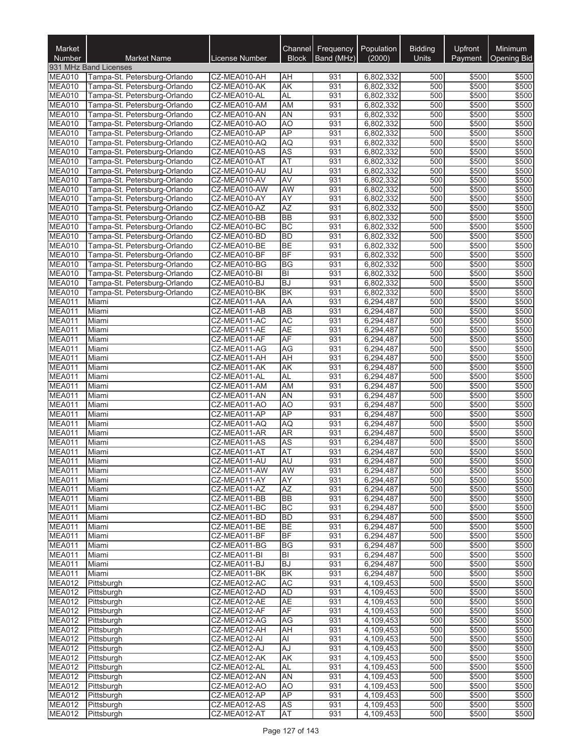| Market<br>Number               | <b>Market Name</b>                                           | License Number               | <b>Block</b>           | Channel Frequency<br>Band (MHz) | Population<br>(2000)   | <b>Bidding</b><br>Units | Upfront<br>Payment | <b>Minimum</b><br><b>Opening Bid</b> |
|--------------------------------|--------------------------------------------------------------|------------------------------|------------------------|---------------------------------|------------------------|-------------------------|--------------------|--------------------------------------|
|                                | 931 MHz Band Licenses                                        |                              |                        |                                 |                        |                         |                    |                                      |
| <b>MEA010</b>                  | Tampa-St. Petersburg-Orlando                                 | CZ-MEA010-AH                 | <b>AH</b>              | 931                             | 6,802,332              | 500                     | \$500              | \$500                                |
| MEA010                         | Tampa-St. Petersburg-Orlando                                 | CZ-MEA010-AK                 | <b>AK</b>              | 931                             | 6,802,332              | 500                     | \$500              | \$500                                |
| <b>MEA010</b>                  | Tampa-St. Petersburg-Orlando                                 | CZ-MEA010-AL                 | <b>AL</b>              | 931                             | 6,802,332              | 500                     | \$500              | \$500                                |
| MEA010<br>MEA010               | Tampa-St. Petersburg-Orlando<br>Tampa-St. Petersburg-Orlando | CZ-MEA010-AM<br>CZ-MEA010-AN | <b>AM</b><br><b>AN</b> | 931<br>931                      | 6,802,332              | 500<br>500              | \$500<br>\$500     | \$500<br>\$500                       |
| MEA010                         | Tampa-St. Petersburg-Orlando                                 | CZ-MEA010-AO                 | A <sub>O</sub>         | 931                             | 6,802,332<br>6,802,332 | 500                     | \$500              | \$500                                |
| <b>MEA010</b>                  | Tampa-St. Petersburg-Orlando                                 | CZ-MEA010-AP                 | <b>AP</b>              | 931                             | 6,802,332              | 500                     | \$500              | \$500                                |
| <b>MEA010</b>                  | Tampa-St. Petersburg-Orlando                                 | CZ-MEA010-AQ                 | <b>AQ</b>              | 931                             | 6,802,332              | 500                     | \$500              | \$500                                |
| MEA010                         | Tampa-St. Petersburg-Orlando                                 | CZ-MEA010-AS                 | <b>AS</b>              | 931                             | 6,802,332              | 500                     | \$500              | \$500                                |
| MEA010                         | Tampa-St. Petersburg-Orlando                                 | CZ-MEA010-AT                 | <b>AT</b>              | 931                             | 6,802,332              | 500                     | \$500              | \$500                                |
| <b>MEA010</b>                  | Tampa-St. Petersburg-Orlando                                 | CZ-MEA010-AU                 | AU                     | 931                             | 6,802,332              | 500                     | \$500              | \$500                                |
| MEA010                         | Tampa-St. Petersburg-Orlando                                 | CZ-MEA010-AV                 | <b>AV</b>              | 931                             | 6,802,332              | 500                     | \$500              | \$500                                |
| MEA010                         | Tampa-St. Petersburg-Orlando                                 | CZ-MEA010-AW                 | <b>AW</b>              | 931<br>931                      | 6,802,332              | 500<br>500              | \$500<br>\$500     | \$500                                |
| <b>MEA010</b><br>MEA010        | Tampa-St. Petersburg-Orlando<br>Tampa-St. Petersburg-Orlando | CZ-MEA010-AY<br>CZ-MEA010-AZ | <b>AY</b><br><b>AZ</b> | 931                             | 6,802,332<br>6,802,332 | 500                     | \$500              | \$500<br>\$500                       |
| MEA010                         | Tampa-St. Petersburg-Orlando                                 | CZ-MEA010-BB                 | <b>BB</b>              | 931                             | 6,802,332              | 500                     | \$500              | \$500                                |
| MEA010                         | Tampa-St. Petersburg-Orlando                                 | CZ-MEA010-BC                 | <b>BC</b>              | 931                             | 6,802,332              | 500                     | \$500              | \$500                                |
| MEA010                         | Tampa-St. Petersburg-Orlando                                 | CZ-MEA010-BD                 | <b>BD</b>              | 931                             | 6,802,332              | 500                     | \$500              | \$500                                |
| <b>MEA010</b>                  | Tampa-St. Petersburg-Orlando                                 | CZ-MEA010-BE                 | BE                     | 931                             | 6,802,332              | 500                     | \$500              | \$500                                |
| MEA010                         | Tampa-St. Petersburg-Orlando                                 | CZ-MEA010-BF                 | BF                     | 931                             | 6,802,332              | 500                     | \$500              | \$500                                |
| MEA010                         | Tampa-St. Petersburg-Orlando                                 | CZ-MEA010-BG                 | <b>BG</b>              | 931                             | 6,802,332              | 500                     | \$500              | \$500                                |
| <b>MEA010</b>                  | Tampa-St. Petersburg-Orlando                                 | CZ-MEA010-BI                 | B                      | 931                             | 6,802,332              | 500                     | \$500              | \$500                                |
| MEA010                         | Tampa-St. Petersburg-Orlando                                 | CZ-MEA010-BJ                 | <b>BJ</b>              | 931                             | 6,802,332              | 500                     | \$500              | \$500                                |
| <b>MEA010</b><br>MEA011        | Tampa-St. Petersburg-Orlando<br>Miami                        | CZ-MEA010-BK<br>CZ-MEA011-AA | <b>BK</b><br>AA        | 931<br>931                      | 6,802,332<br>6,294,487 | 500<br>500              | \$500<br>\$500     | \$500<br>\$500                       |
| <b>MEA011</b>                  | Miami                                                        | CZ-MEA011-AB                 | $\overline{AB}$        | 931                             | 6,294,487              | 500                     | \$500              | \$500                                |
| MEA011                         | Miami                                                        | CZ-MEA011-AC                 | <b>AC</b>              | 931                             | 6,294,487              | 500                     | \$500              | \$500                                |
| MEA011                         | Miami                                                        | CZ-MEA011-AE                 | <b>AE</b>              | 931                             | 6,294,487              | 500                     | \$500              | \$500                                |
| MEA011                         | Miami                                                        | CZ-MEA011-AF                 | AF                     | 931                             | 6,294,487              | 500                     | \$500              | \$500                                |
| <b>MEA011</b>                  | Miami                                                        | CZ-MEA011-AG                 | <b>AG</b>              | 931                             | 6,294,487              | 500                     | \$500              | \$500                                |
| <b>MEA011</b>                  | Miami                                                        | CZ-MEA011-AH                 | AH                     | 931                             | 6,294,487              | 500                     | \$500              | \$500                                |
| MEA011                         | Miami                                                        | CZ-MEA011-AK                 | <b>AK</b>              | 931                             | 6,294,487              | 500                     | \$500              | \$500                                |
| MEA011<br><b>MEA011</b>        | Miami<br>Miami                                               | CZ-MEA011-AL                 | <b>AL</b>              | 931<br>931                      | 6,294,487              | 500<br>500              | \$500              | \$500                                |
| <b>MEA011</b>                  | Miami                                                        | CZ-MEA011-AM<br>CZ-MEA011-AN | AM<br><b>AN</b>        | 931                             | 6,294,487<br>6,294,487 | 500                     | \$500<br>\$500     | \$500<br>\$500                       |
| MEA011                         | Miami                                                        | CZ-MEA011-AO                 | AO                     | 931                             | 6,294,487              | 500                     | \$500              | \$500                                |
| <b>MEA011</b>                  | Miami                                                        | CZ-MEA011-AP                 | <b>AP</b>              | 931                             | 6,294,487              | 500                     | \$500              | \$500                                |
| MEA011                         | Miami                                                        | CZ-MEA011-AQ                 | <b>AQ</b>              | 931                             | 6,294,487              | 500                     | \$500              | \$500                                |
| <b>MEA011</b>                  | Miami                                                        | CZ-MEA011-AR                 | <b>AR</b>              | 931                             | 6,294,487              | 500                     | \$500              | \$500                                |
| <b>MEA011</b>                  | Miami                                                        | CZ-MEA011-AS                 | <b>AS</b>              | 931                             | 6,294,487              | 500                     | \$500              | \$500                                |
| <b>MEA011</b>                  | Miami                                                        | CZ-MEA011-AT                 | <b>AT</b>              | 931                             | 6,294,487              | 500                     | \$500              | \$500                                |
| <b>MEA011</b>                  | Miami                                                        | CZ-MEA011-AU                 | <b>AU</b>              | 931                             | 6,294,487              | 500                     | \$500              | \$500                                |
| <b>MEA011</b><br><b>MEA011</b> | Miami<br>Miami                                               | CZ-MEA011-AW<br>CZ-MEA011-AY | <b>AW</b><br>AY        | 931<br>931                      | 6,294,487<br>6,294,487 | 500<br>500              | \$500<br>\$500     | \$500<br>\$500                       |
| MEA011                         | Miami                                                        | CZ-MEA011-AZ                 | <b>AZ</b>              | 931                             | 6,294,487              | 500                     | \$500              | \$500                                |
| MEA011                         | Miami                                                        | CZ-MEA011-BB                 | <b>BB</b>              | 931                             | 6,294,487              | 500                     | \$500              | \$500                                |
| <b>MEA011</b>                  | Miami                                                        | CZ-MEA011-BC                 | BC                     | 931                             | 6,294,487              | 500                     | \$500              | \$500                                |
| MEA011                         | Miami                                                        | CZ-MEA011-BD                 | <b>BD</b>              | 931                             | 6,294,487              | 500                     | \$500              | \$500                                |
| <b>MEA011</b>                  | Miami                                                        | CZ-MEA011-BE                 | <b>BE</b>              | 931                             | 6,294,487              | 500                     | \$500              | \$500                                |
| <b>MEA011</b>                  | Miami                                                        | CZ-MEA011-BF                 | <b>BF</b>              | 931                             | 6,294,487              | 500                     | \$500              | \$500                                |
| <b>MEA011</b>                  | Miami                                                        | CZ-MEA011-BG                 | <b>BG</b>              | 931                             | 6,294,487              | 500                     | \$500              | \$500                                |
| MEA011                         | Miami                                                        | CZ-MEA011-BI                 | ΙBΙ                    | 931                             | 6,294,487              | 500                     | \$500              | \$500                                |
| MEA011<br>MEA011               | Miami<br>Miami                                               | CZ-MEA011-BJ<br>CZ-MEA011-BK | <b>BJ</b><br><b>BK</b> | 931<br>931                      | 6,294,487<br>6,294,487 | 500<br>500              | \$500<br>\$500     | \$500<br>\$500                       |
| <b>MEA012</b>                  | Pittsburgh                                                   | CZ-MEA012-AC                 | <b>AC</b>              | 931                             | 4,109,453              | 500                     | \$500              | \$500                                |
| MEA012                         | Pittsburgh                                                   | CZ-MEA012-AD                 | AD                     | 931                             | 4,109,453              | 500                     | \$500              | \$500                                |
| <b>MEA012</b>                  | Pittsburgh                                                   | CZ-MEA012-AE                 | <b>AE</b>              | 931                             | 4,109,453              | 500                     | \$500              | \$500                                |
| <b>MEA012</b>                  | Pittsburgh                                                   | CZ-MEA012-AF                 | AF                     | 931                             | 4,109,453              | 500                     | \$500              | \$500                                |
| MEA012                         | Pittsburgh                                                   | CZ-MEA012-AG                 | AG                     | 931                             | 4,109,453              | 500                     | \$500              | \$500                                |
| <b>MEA012</b>                  | Pittsburgh                                                   | CZ-MEA012-AH                 | <b>AH</b>              | 931                             | 4,109,453              | 500                     | \$500              | \$500                                |
| <b>MEA012</b>                  | Pittsburgh                                                   | CZ-MEA012-AI                 | Al                     | 931                             | 4,109,453              | 500                     | \$500              | \$500                                |
| <b>MEA012</b>                  | Pittsburgh                                                   | CZ-MEA012-AJ                 | AJ                     | 931                             | 4,109,453              | 500                     | \$500              | \$500                                |
| MEA012<br>MEA012               | Pittsburgh                                                   | CZ-MEA012-AK                 | AK                     | 931<br>931                      | 4,109,453              | 500                     | \$500              | \$500                                |
| <b>MEA012</b>                  | Pittsburgh<br>Pittsburgh                                     | CZ-MEA012-AL<br>CZ-MEA012-AN | AL<br>AN               | 931                             | 4,109,453<br>4,109,453 | 500<br>500              | \$500<br>\$500     | \$500<br>\$500                       |
| MEA012                         | Pittsburgh                                                   | CZ-MEA012-AO                 | AO                     | 931                             | 4,109,453              | 500                     | \$500              | \$500                                |
| <b>MEA012</b>                  | Pittsburgh                                                   | CZ-MEA012-AP                 | AP                     | 931                             | 4,109,453              | 500                     | \$500              | \$500                                |
| <b>MEA012</b>                  | Pittsburgh                                                   | CZ-MEA012-AS                 | <b>AS</b>              | 931                             | 4,109,453              | 500                     | \$500              | \$500                                |
| <b>MEA012</b>                  | Pittsburgh                                                   | CZ-MEA012-AT                 | AT                     | 931                             | 4,109,453              | 500                     | \$500              | \$500                                |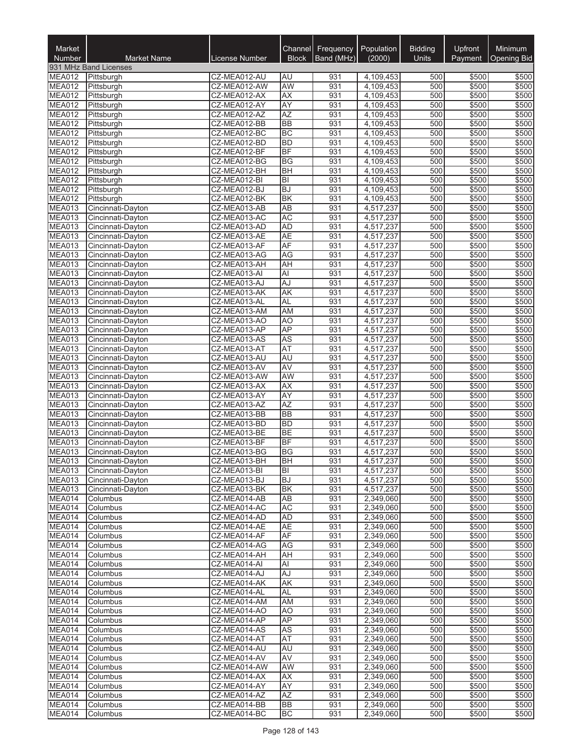| Market<br>Number               | <b>Market Name</b>                     | License Number               | <b>Block</b>                | Channel Frequency<br>Band (MHz) | Population<br>(2000)   | <b>Bidding</b><br>Units | Upfront<br>Payment | <b>Minimum</b><br><b>Opening Bid</b> |
|--------------------------------|----------------------------------------|------------------------------|-----------------------------|---------------------------------|------------------------|-------------------------|--------------------|--------------------------------------|
|                                | 931 MHz Band Licenses                  |                              |                             |                                 |                        |                         |                    |                                      |
| <b>MEA012</b>                  | Pittsburgh                             | CZ-MEA012-AU                 | AU                          | 931                             | 4,109,453              | 500                     | \$500              | \$500                                |
| <b>MEA012</b>                  | Pittsburgh                             | CZ-MEA012-AW                 | <b>AW</b>                   | 931                             | 4,109,453              | 500                     | \$500              | \$500                                |
| <b>MEA012</b>                  | Pittsburgh                             | CZ-MEA012-AX                 | <b>AX</b><br><b>AY</b>      | 931<br>931                      | 4,109,453              | 500<br>500              | \$500              | \$500                                |
| <b>MEA012</b><br><b>MEA012</b> | Pittsburgh<br>Pittsburgh               | CZ-MEA012-AY<br>CZ-MEA012-AZ | AZ                          | 931                             | 4,109,453<br>4,109,453 | 500                     | \$500<br>\$500     | \$500<br>\$500                       |
| <b>MEA012</b>                  | Pittsburgh                             | CZ-MEA012-BB                 | <b>BB</b>                   | 931                             | 4,109,453              | 500                     | \$500              | \$500                                |
| MEA012                         | Pittsburgh                             | CZ-MEA012-BC                 | <b>BC</b>                   | 931                             | 4,109,453              | 500                     | \$500              | \$500                                |
| <b>MEA012</b>                  | Pittsburgh                             | CZ-MEA012-BD                 | <b>BD</b>                   | 931                             | 4,109,453              | 500                     | \$500              | \$500                                |
| <b>MEA012</b>                  | Pittsburgh                             | CZ-MEA012-BF                 | BF                          | 931                             | 4,109,453              | 500                     | \$500              | \$500                                |
| <b>MEA012</b>                  | Pittsburgh                             | CZ-MEA012-BG                 | <b>BG</b>                   | 931                             | 4,109,453              | 500                     | \$500              | \$500                                |
| <b>MEA012</b><br>MEA012        | Pittsburgh<br>Pittsburgh               | CZ-MEA012-BH<br>CZ-MEA012-BI | <b>BH</b><br>B <sub>l</sub> | 931<br>931                      | 4,109,453<br>4,109,453 | 500<br>500              | \$500<br>\$500     | \$500<br>\$500                       |
| <b>MEA012</b>                  | Pittsburgh                             | CZ-MEA012-BJ                 | <b>BJ</b>                   | 931                             | 4,109,453              | 500                     | \$500              | \$500                                |
| <b>MEA012</b>                  | Pittsburgh                             | CZ-MEA012-BK                 | <b>BK</b>                   | 931                             | 4,109,453              | 500                     | \$500              | \$500                                |
| MEA013                         | Cincinnati-Dayton                      | CZ-MEA013-AB                 | <b>AB</b>                   | 931                             | 4,517,237              | 500                     | \$500              | \$500                                |
| MEA013                         | Cincinnati-Dayton                      | CZ-MEA013-AC                 | AC                          | 931                             | 4,517,237              | 500                     | \$500              | \$500                                |
| MEA013                         | Cincinnati-Dayton                      | CZ-MEA013-AD                 | <b>AD</b>                   | 931                             | 4,517,237              | 500                     | \$500              | \$500                                |
| <b>MEA013</b>                  | Cincinnati-Dayton                      | CZ-MEA013-AE                 | <b>AE</b>                   | 931                             | 4,517,237              | 500                     | \$500              | \$500                                |
| MEA013<br>MEA013               | Cincinnati-Dayton<br>Cincinnati-Dayton | CZ-MEA013-AF<br>CZ-MEA013-AG | AF<br>AG                    | 931<br>931                      | 4,517,237<br>4,517,237 | 500<br>500              | \$500<br>\$500     | \$500<br>\$500                       |
| <b>MEA013</b>                  | Cincinnati-Dayton                      | CZ-MEA013-AH                 | AH                          | 931                             | 4,517,237              | 500                     | \$500              | \$500                                |
| <b>MEA013</b>                  | Cincinnati-Dayton                      | CZ-MEA013-AI                 | Al                          | 931                             | 4,517,237              | 500                     | \$500              | \$500                                |
| MEA013                         | Cincinnati-Dayton                      | CZ-MEA013-AJ                 | AJ                          | 931                             | 4,517,237              | 500                     | \$500              | \$500                                |
| MEA013                         | Cincinnati-Dayton                      | CZ-MEA013-AK                 | AK                          | 931                             | 4,517,237              | 500                     | \$500              | \$500                                |
| <b>MEA013</b>                  | Cincinnati-Dayton                      | CZ-MEA013-AL                 | <b>AL</b>                   | 931                             | 4,517,237              | 500                     | \$500              | \$500                                |
| MEA013                         | Cincinnati-Dayton                      | CZ-MEA013-AM                 | <b>AM</b>                   | 931                             | 4,517,237              | 500                     | \$500              | \$500                                |
| MEA013<br>MEA013               | Cincinnati-Dayton<br>Cincinnati-Dayton | CZ-MEA013-AO<br>CZ-MEA013-AP | AO<br><b>AP</b>             | 931<br>931                      | 4,517,237<br>4,517,237 | 500<br>500              | \$500<br>\$500     | \$500<br>\$500                       |
| MEA013                         | Cincinnati-Dayton                      | CZ-MEA013-AS                 | <b>AS</b>                   | 931                             | 4,517,237              | 500                     | \$500              | \$500                                |
| MEA013                         | Cincinnati-Dayton                      | CZ-MEA013-AT                 | <b>AT</b>                   | 931                             | 4,517,237              | 500                     | \$500              | \$500                                |
| MEA013                         | Cincinnati-Dayton                      | CZ-MEA013-AU                 | <b>AU</b>                   | 931                             | 4,517,237              | 500                     | \$500              | \$500                                |
| <b>MEA013</b>                  | Cincinnati-Dayton                      | CZ-MEA013-AV                 | <b>AV</b>                   | 931                             | 4,517,237              | 500                     | \$500              | \$500                                |
| MEA013                         | Cincinnati-Dayton                      | CZ-MEA013-AW                 | AW                          | 931                             | 4,517,237              | 500                     | \$500              | \$500                                |
| MEA013<br>MEA013               | Cincinnati-Dayton<br>Cincinnati-Dayton | CZ-MEA013-AX<br>CZ-MEA013-AY | AX<br><b>AY</b>             | 931<br>931                      | 4,517,237<br>4,517,237 | 500<br>500              | \$500<br>\$500     | \$500<br>\$500                       |
| <b>MEA013</b>                  | Cincinnati-Dayton                      | CZ-MEA013-AZ                 | AZ                          | 931                             | 4,517,237              | 500                     | \$500              | \$500                                |
| MEA013                         | Cincinnati-Dayton                      | CZ-MEA013-BB                 | <b>BB</b>                   | 931                             | 4,517,237              | 500                     | \$500              | \$500                                |
| MEA013                         | Cincinnati-Dayton                      | CZ-MEA013-BD                 | <b>BD</b>                   | 931                             | 4,517,237              | 500                     | \$500              | \$500                                |
| <b>MEA013</b>                  | Cincinnati-Dayton                      | CZ-MEA013-BE                 | <b>BE</b>                   | 931                             | 4,517,237              | 500                     | \$500              | \$500                                |
| MEA013                         | Cincinnati-Dayton                      | CZ-MEA013-BF                 | <b>BF</b>                   | 931                             | 4,517,237              | 500                     | \$500              | \$500                                |
| MEA013                         | Cincinnati-Dayton                      | CZ-MEA013-BG                 | <b>BG</b>                   | 931                             | 4,517,237              | 500                     | \$500              | \$500                                |
| <b>MEA013</b><br><b>MEA013</b> | Cincinnati-Dayton<br>Cincinnati-Dayton | CZ-MEA013-BH<br>CZ-MEA013-BI | <b>BH</b><br>BI             | 931<br>931                      | 4,517,237<br>4,517,237 | 500<br>500              | \$500<br>\$500     | \$500<br>\$500                       |
| <b>MEA013</b>                  | Cincinnati-Davton                      | CZ-MEA013-BJ                 | BJ                          | 931                             | 4,517,237              | 500                     | \$500              | \$500                                |
| MEA013                         | Cincinnati-Dayton                      | CZ-MEA013-BK                 | <b>BK</b>                   | 931                             | 4,517,237              | 500                     | \$500              | \$500                                |
| MEA014                         | Columbus                               | CZ-MEA014-AB                 | AB                          | 931                             | 2,349,060              | 500                     | \$500              | \$500                                |
| MEA014                         | Columbus                               | CZ-MEA014-AC                 | <b>AC</b>                   | 931                             | 2,349,060              | 500                     | \$500              | \$500                                |
| MEA014                         | Columbus                               | CZ-MEA014-AD                 | <b>AD</b>                   | 931                             | 2,349,060              | 500                     | \$500              | \$500                                |
| MEA014                         | Columbus                               | CZ-MEA014-AE                 | AE                          | 931                             | 2,349,060              | 500                     | \$500              | \$500                                |
| MEA014<br>MEA014               | Columbus<br>Columbus                   | CZ-MEA014-AF<br>CZ-MEA014-AG | AF<br>AG                    | 931<br>931                      | 2,349,060<br>2,349,060 | 500<br>500              | \$500<br>\$500     | \$500<br>\$500                       |
| MEA014                         | Columbus                               | CZ-MEA014-AH                 | AH                          | 931                             | 2,349,060              | 500                     | \$500              | \$500                                |
| MEA014                         | Columbus                               | CZ-MEA014-AI                 | Al                          | 931                             | 2,349,060              | 500                     | \$500              | \$500                                |
| MEA014                         | Columbus                               | CZ-MEA014-AJ                 | AJ                          | 931                             | 2,349,060              | 500                     | \$500              | \$500                                |
| MEA014                         | Columbus                               | CZ-MEA014-AK                 | AK                          | 931                             | 2,349,060              | 500                     | \$500              | \$500                                |
| MEA014                         | Columbus                               | CZ-MEA014-AL                 | AL                          | 931                             | 2,349,060              | 500                     | \$500              | \$500                                |
| <b>MEA014</b>                  | Columbus                               | CZ-MEA014-AM                 | AM                          | 931                             | 2,349,060              | 500                     | \$500              | \$500                                |
| MEA014<br>MEA014               | Columbus<br>Columbus                   | CZ-MEA014-AO<br>CZ-MEA014-AP | AO<br>AP                    | 931<br>931                      | 2,349,060<br>2,349,060 | 500<br>500              | \$500<br>\$500     | \$500<br>\$500                       |
| MEA014                         | Columbus                               | CZ-MEA014-AS                 | AS                          | 931                             | 2,349,060              | 500                     | \$500              | \$500                                |
| MEA014                         | Columbus                               | CZ-MEA014-AT                 | AT                          | 931                             | 2,349,060              | 500                     | \$500              | \$500                                |
| MEA014                         | Columbus                               | CZ-MEA014-AU                 | AU                          | 931                             | 2,349,060              | 500                     | \$500              | \$500                                |
| MEA014                         | Columbus                               | CZ-MEA014-AV                 | AV                          | 931                             | 2,349,060              | 500                     | \$500              | \$500                                |
| MEA014                         | Columbus                               | CZ-MEA014-AW                 | AW                          | 931                             | 2,349,060              | 500                     | \$500              | \$500                                |
| MEA014                         | Columbus                               | CZ-MEA014-AX                 | AX                          | 931                             | 2,349,060              | 500                     | \$500              | \$500                                |
| MEA014<br>MEA014               | Columbus<br>Columbus                   | CZ-MEA014-AY<br>CZ-MEA014-AZ | AY<br>AZ                    | 931<br>931                      | 2,349,060<br>2,349,060 | 500<br>500              | \$500<br>\$500     | \$500<br>\$500                       |
| MEA014                         | Columbus                               | CZ-MEA014-BB                 | <b>BB</b>                   | 931                             | 2,349,060              | 500                     | \$500              | \$500                                |
| MEA014                         | Columbus                               | CZ-MEA014-BC                 | BC                          | 931                             | 2,349,060              | 500                     | \$500              | \$500                                |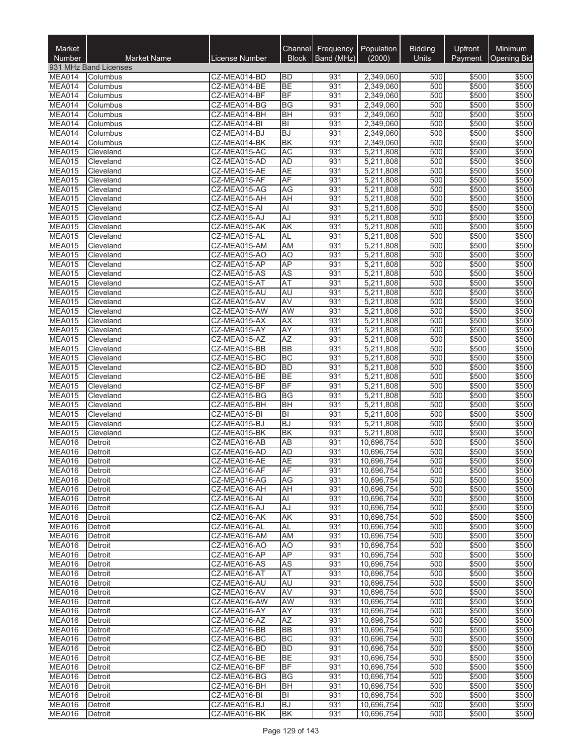| Market<br>Number               | <b>Market Name</b>     | <b>License Number</b>        | <b>Block</b>                           | Channel Frequency<br>Band (MHz) | Population<br>(2000)     | <b>Bidding</b><br>Units | Upfront<br>Payment | Minimum<br><b>Opening Bid</b> |
|--------------------------------|------------------------|------------------------------|----------------------------------------|---------------------------------|--------------------------|-------------------------|--------------------|-------------------------------|
|                                | 931 MHz Band Licenses  |                              |                                        |                                 |                          |                         |                    |                               |
| MEA014                         | Columbus               | CZ-MEA014-BD                 | <b>BD</b>                              | 931                             | 2,349,060                | 500                     | \$500              | \$500                         |
| MEA014                         | Columbus               | CZ-MEA014-BE                 | <b>BE</b>                              | 931                             | 2,349,060                | 500                     | \$500              | \$500                         |
| MEA014                         | Columbus               | CZ-MEA014-BF                 | BF                                     | 931                             | 2,349,060                | 500                     | \$500              | \$500                         |
| MEA014                         | Columbus               | CZ-MEA014-BG                 | BG                                     | 931                             | 2,349,060                | 500                     | \$500              | \$500                         |
| MEA014<br>MEA014               | Columbus               | CZ-MEA014-BH<br>CZ-MEA014-BI | <b>BH</b><br>$ \overline{\mathsf{B}} $ | 931<br>931                      | 2,349,060<br>2,349,060   | 500<br>500              | \$500<br>\$500     | \$500<br>\$500                |
| MEA014                         | Columbus<br>Columbus   | CZ-MEA014-BJ                 | <b>BJ</b>                              | 931                             | 2.349.060                | 500                     | \$500              | \$500                         |
| MEA014                         | Columbus               | CZ-MEA014-BK                 | <b>BK</b>                              | 931                             | 2,349,060                | 500                     | \$500              | \$500                         |
| MEA015                         | Cleveland              | CZ-MEA015-AC                 | <b>AC</b>                              | 931                             | 5,211,808                | 500                     | \$500              | \$500                         |
| MEA015                         | Cleveland              | CZ-MEA015-AD                 | <b>AD</b>                              | 931                             | 5,211,808                | 500                     | \$500              | \$500                         |
| MEA015                         | Cleveland              | CZ-MEA015-AE                 | <b>AE</b>                              | 931                             | 5,211,808                | 500                     | \$500              | \$500                         |
| MEA015                         | Cleveland              | CZ-MEA015-AF                 | AF                                     | 931                             | 5,211,808                | 500                     | \$500              | \$500                         |
| MEA015<br>MEA015               | Cleveland              | CZ-MEA015-AG<br>CZ-MEA015-AH | AG<br>AH                               | 931<br>931                      | 5,211,808<br>5,211,808   | 500<br>500              | \$500<br>\$500     | \$500<br>\$500                |
| MEA015                         | Cleveland<br>Cleveland | CZ-MEA015-AI                 | Al                                     | 931                             | 5,211,808                | 500                     | \$500              | \$500                         |
| MEA015                         | Cleveland              | CZ-MEA015-AJ                 | AJ                                     | 931                             | 5,211,808                | 500                     | \$500              | \$500                         |
| MEA015                         | Cleveland              | CZ-MEA015-AK                 | <b>AK</b>                              | 931                             | 5,211,808                | 500                     | \$500              | \$500                         |
| MEA015                         | Cleveland              | CZ-MEA015-AL                 | <b>AL</b>                              | 931                             | 5,211,808                | 500                     | \$500              | \$500                         |
| MEA015                         | Cleveland              | CZ-MEA015-AM                 | AM                                     | 931                             | 5,211,808                | 500                     | \$500              | \$500                         |
| MEA015                         | Cleveland              | CZ-MEA015-AO                 | AO                                     | 931                             | 5,211,808                | 500                     | \$500              | \$500                         |
| <b>MEA015</b>                  | Cleveland              | CZ-MEA015-AP                 | AP                                     | 931                             | 5,211,808                | 500                     | \$500              | \$500                         |
| MEA015<br>MEA015               | Cleveland<br>Cleveland | CZ-MEA015-AS<br>CZ-MEA015-AT | <b>AS</b><br>AT                        | 931<br>931                      | 5,211,808<br>5,211,808   | 500<br>500              | \$500<br>\$500     | \$500<br>\$500                |
| MEA015                         | Cleveland              | CZ-MEA015-AU                 | AU                                     | 931                             | 5,211,808                | 500                     | \$500              | \$500                         |
| MEA015                         | Cleveland              | CZ-MEA015-AV                 | AV                                     | 931                             | 5,211,808                | 500                     | \$500              | \$500                         |
| MEA015                         | Cleveland              | CZ-MEA015-AW                 | <b>AW</b>                              | 931                             | 5,211,808                | 500                     | \$500              | \$500                         |
| MEA015                         | Cleveland              | CZ-MEA015-AX                 | <b>AX</b>                              | 931                             | 5,211,808                | 500                     | \$500              | \$500                         |
| MEA015                         | Cleveland              | CZ-MEA015-AY                 | <b>AY</b>                              | 931                             | 5,211,808                | 500                     | \$500              | \$500                         |
| MEA015                         | Cleveland              | CZ-MEA015-AZ                 | <b>AZ</b>                              | 931                             | 5,211,808                | 500                     | \$500              | \$500                         |
| <b>MEA015</b>                  | Cleveland              | CZ-MEA015-BB                 | BB<br><b>BC</b>                        | 931<br>931                      | 5,211,808                | 500<br>500              | \$500<br>\$500     | \$500                         |
| MEA015<br>MEA015               | Cleveland<br>Cleveland | CZ-MEA015-BC<br>CZ-MEA015-BD | <b>BD</b>                              | 931                             | 5,211,808<br>5,211,808   | 500                     | \$500              | \$500<br>\$500                |
| MEA015                         | Cleveland              | CZ-MEA015-BE                 | <b>BE</b>                              | 931                             | 5,211,808                | 500                     | \$500              | \$500                         |
| MEA015                         | Cleveland              | CZ-MEA015-BF                 | <b>BF</b>                              | 931                             | 5,211,808                | 500                     | \$500              | \$500                         |
| <b>MEA015</b>                  | Cleveland              | CZ-MEA015-BG                 | <b>BG</b>                              | 931                             | 5,211,808                | 500                     | \$500              | \$500                         |
| MEA015                         | Cleveland              | CZ-MEA015-BH                 | <b>BH</b>                              | 931                             | 5,211,808                | 500                     | \$500              | \$500                         |
| <b>MEA015</b>                  | Cleveland              | CZ-MEA015-BI                 | $ \overline{\mathsf{B}} $              | 931                             | 5,211,808                | 500                     | \$500              | \$500                         |
| MEA015<br>MEA015               | Cleveland<br>Cleveland | CZ-MEA015-BJ<br>CZ-MEA015-BK | <b>BJ</b><br>B <sub>K</sub>            | 931<br>931                      | 5,211,808<br>5,211,808   | 500<br>500              | \$500<br>\$500     | \$500<br>\$500                |
| MEA016                         | Detroit                | CZ-MEA016-AB                 | AB                                     | 931                             | 10,696,754               | 500                     | \$500              | \$500                         |
| <b>MEA016</b>                  | Detroit                | CZ-MEA016-AD                 | <b>AD</b>                              | 931                             | 10,696,754               | 500                     | \$500              | \$500                         |
| <b>MEA016</b>                  | Detroit                | CZ-MEA016-AE                 | AE                                     | 931                             | 10,696,754               | 500                     | \$500              | \$500                         |
| MEA016                         | Detroit                | CZ-MEA016-AF                 | AF                                     | 931                             | 10,696,754               | 500                     | \$500              | \$500                         |
| <b>MEA016</b>                  | Detroit                | CZ-MEA016-AG                 | AG                                     | 931                             | 10,696,754               | 500                     | \$500              | \$500                         |
| MEA016                         | Detroit                | CZ-MEA016-AH                 | AH                                     | 931                             | 10,696,754               | 500                     | \$500              | \$500                         |
| <b>MEA016</b><br><b>MEA016</b> | Detroit                | CZ-MEA016-AI                 | Al                                     | 931                             | 10,696,754<br>10,696,754 | 500                     | \$500              | \$500                         |
| MEA016                         | Detroit<br>Detroit     | CZ-MEA016-AJ<br>CZ-MEA016-AK | AJ<br>AK                               | 931<br>931                      | 10,696,754               | 500<br>500              | \$500<br>\$500     | \$500<br>\$500                |
| MEA016                         | Detroit                | CZ-MEA016-AL                 | AL                                     | 931                             | 10,696,754               | 500                     | \$500              | \$500                         |
| MEA016                         | Detroit                | CZ-MEA016-AM                 | <b>AM</b>                              | 931                             | 10,696,754               | 500                     | \$500              | \$500                         |
| <b>MEA016</b>                  | Detroit                | CZ-MEA016-AO                 | A <sub>O</sub>                         | 931                             | 10,696,754               | 500                     | \$500              | \$500                         |
| MEA016                         | Detroit                | CZ-MEA016-AP                 | <b>AP</b>                              | 931                             | 10,696,754               | 500                     | \$500              | \$500                         |
| MEA016                         | Detroit                | CZ-MEA016-AS                 | AS                                     | 931                             | 10,696,754               | 500                     | \$500              | \$500                         |
| MEA016<br><b>MEA016</b>        | Detroit<br>Detroit     | CZ-MEA016-AT<br>CZ-MEA016-AU | <b>AT</b><br>AU                        | 931<br>931                      | 10,696,754<br>10,696,754 | 500<br>500              | \$500<br>\$500     | \$500<br>\$500                |
| MEA016                         | Detroit                | CZ-MEA016-AV                 | AV                                     | 931                             | 10,696,754               | 500                     | \$500              | \$500                         |
| <b>MEA016</b>                  | Detroit                | CZ-MEA016-AW                 | AW                                     | 931                             | 10,696,754               | 500                     | \$500              | \$500                         |
| MEA016                         | Detroit                | CZ-MEA016-AY                 | AY                                     | 931                             | 10,696,754               | 500                     | \$500              | \$500                         |
| MEA016                         | Detroit                | CZ-MEA016-AZ                 | AZ                                     | 931                             | 10,696,754               | 500                     | \$500              | \$500                         |
| MEA016                         | Detroit                | CZ-MEA016-BB                 | <b>BB</b>                              | 931                             | 10,696,754               | 500                     | \$500              | \$500                         |
| MEA016                         | Detroit                | CZ-MEA016-BC                 | <b>BC</b>                              | 931                             | 10,696,754               | 500                     | \$500              | \$500                         |
| MEA016<br>MEA016               | Detroit                | CZ-MEA016-BD                 | <b>BD</b><br><b>BE</b>                 | 931                             | 10,696,754               | 500                     | \$500              | \$500                         |
| MEA016                         | Detroit<br>Detroit     | CZ-MEA016-BE<br>CZ-MEA016-BF | <b>BF</b>                              | 931<br>931                      | 10,696,754<br>10,696,754 | 500<br>500              | \$500<br>\$500     | \$500<br>\$500                |
| MEA016                         | Detroit                | CZ-MEA016-BG                 | BG                                     | 931                             | 10,696,754               | 500                     | \$500              | \$500                         |
| MEA016                         | Detroit                | CZ-MEA016-BH                 | BH                                     | 931                             | 10,696,754               | 500                     | \$500              | \$500                         |
| MEA016                         | Detroit                | CZ-MEA016-BI                 | BI                                     | 931                             | 10,696,754               | 500                     | \$500              | \$500                         |
| MEA016                         | Detroit                | CZ-MEA016-BJ                 | <b>BJ</b>                              | 931                             | 10,696,754               | 500                     | \$500              | \$500                         |
| MEA016                         | Detroit                | CZ-MEA016-BK                 | BK                                     | 931                             | 10,696,754               | 500                     | \$500              | \$500                         |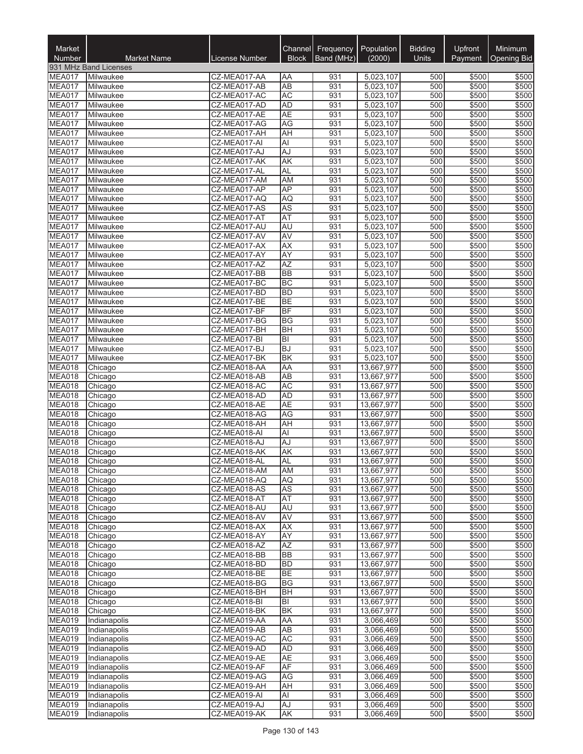| Market<br>Number               | <b>Market Name</b>           | License Number               | <b>Block</b>           | Channel Frequency<br>Band (MHz) | Population<br>(2000)     | <b>Bidding</b><br>Units | Upfront<br>Payment | Minimum<br><b>Opening Bid</b> |
|--------------------------------|------------------------------|------------------------------|------------------------|---------------------------------|--------------------------|-------------------------|--------------------|-------------------------------|
|                                | 931 MHz Band Licenses        |                              |                        |                                 |                          |                         |                    |                               |
| MEA017                         | Milwaukee                    | CZ-MEA017-AA                 | ΑA                     | 931                             | 5,023,107                | 500                     | \$500              | \$500                         |
| MEA017                         | Milwaukee                    | CZ-MEA017-AB                 | <b>AB</b>              | 931                             | 5,023,107                | 500                     | \$500              | \$500                         |
| MEA017<br>MEA017               | Milwaukee                    | CZ-MEA017-AC                 | <b>AC</b>              | 931                             | 5,023,107                | 500                     | \$500              | \$500                         |
| MEA017                         | Milwaukee<br>Milwaukee       | CZ-MEA017-AD<br>CZ-MEA017-AE | <b>AD</b><br><b>AE</b> | 931<br>931                      | 5,023,107<br>5,023,107   | 500<br>500              | \$500<br>\$500     | \$500<br>\$500                |
| MEA017                         | Milwaukee                    | CZ-MEA017-AG                 | AG                     | 931                             | 5,023,107                | 500                     | \$500              | \$500                         |
| MEA017                         | Milwaukee                    | CZ-MEA017-AH                 | AH                     | 931                             | 5,023,107                | 500                     | \$500              | \$500                         |
| MEA017                         | Milwaukee                    | CZ-MEA017-AI                 | AI                     | 931                             | 5,023,107                | 500                     | \$500              | \$500                         |
| MEA017                         | Milwaukee                    | CZ-MEA017-AJ                 | AJ                     | 931                             | 5,023,107                | 500                     | \$500              | \$500                         |
| MEA017                         | Milwaukee                    | CZ-MEA017-AK                 | <b>AK</b>              | 931                             | 5,023,107                | 500                     | \$500              | \$500                         |
| MEA017<br>MEA017               | Milwaukee<br>Milwaukee       | CZ-MEA017-AL<br>CZ-MEA017-AM | <b>AL</b><br><b>AM</b> | 931<br>931                      | 5,023,107<br>5,023,107   | 500<br>500              | \$500<br>\$500     | \$500<br>\$500                |
| MEA017                         | Milwaukee                    | CZ-MEA017-AP                 | <b>AP</b>              | 931                             | 5,023,107                | 500                     | \$500              | \$500                         |
| MEA017                         | Milwaukee                    | CZ-MEA017-AQ                 | <b>AQ</b>              | 931                             | 5,023,107                | 500                     | \$500              | \$500                         |
| MEA017                         | Milwaukee                    | CZ-MEA017-AS                 | <b>AS</b>              | 931                             | 5,023,107                | 500                     | \$500              | \$500                         |
| MEA017                         | Milwaukee                    | CZ-MEA017-AT                 | <b>AT</b>              | 931                             | 5,023,107                | 500                     | \$500              | \$500                         |
| MEA017                         | Milwaukee                    | CZ-MEA017-AU                 | AU                     | 931                             | 5,023,107                | 500                     | \$500              | \$500                         |
| MEA017                         | Milwaukee                    | CZ-MEA017-AV                 | AV                     | 931                             | 5,023,107                | 500                     | \$500              | \$500                         |
| MEA017<br>MEA017               | Milwaukee<br>Milwaukee       | CZ-MEA017-AX<br>CZ-MEA017-AY | AX<br><b>AY</b>        | 931<br>931                      | 5,023,107<br>5,023,107   | 500<br>500              | \$500<br>\$500     | \$500<br>\$500                |
| MEA017                         | Milwaukee                    | CZ-MEA017-AZ                 | <b>AZ</b>              | 931                             | 5,023,107                | 500                     | \$500              | \$500                         |
| MEA017                         | Milwaukee                    | CZ-MEA017-BB                 | <b>BB</b>              | 931                             | 5,023,107                | 500                     | \$500              | \$500                         |
| MEA017                         | Milwaukee                    | CZ-MEA017-BC                 | <b>BC</b>              | 931                             | 5,023,107                | 500                     | \$500              | \$500                         |
| MEA017                         | Milwaukee                    | CZ-MEA017-BD                 | <b>BD</b>              | 931                             | 5,023,107                | 500                     | \$500              | \$500                         |
| MEA017                         | Milwaukee                    | CZ-MEA017-BE                 | <b>BE</b>              | 931                             | 5,023,107                | 500                     | \$500              | \$500                         |
| MEA017                         | Milwaukee                    | CZ-MEA017-BF                 | <b>BF</b>              | 931                             | 5,023,107                | 500                     | \$500              | \$500                         |
| MEA017<br>MEA017               | Milwaukee<br>Milwaukee       | CZ-MEA017-BG<br>CZ-MEA017-BH | BG<br><b>BH</b>        | 931<br>931                      | 5,023,107<br>5,023,107   | 500<br>500              | \$500<br>\$500     | \$500<br>\$500                |
| MEA017                         | Milwaukee                    | CZ-MEA017-BI                 | lвı                    | 931                             | 5,023,107                | 500                     | \$500              | \$500                         |
| MEA017                         | Milwaukee                    | CZ-MEA017-BJ                 | <b>BJ</b>              | 931                             | 5,023,107                | 500                     | \$500              | \$500                         |
| MEA017                         | Milwaukee                    | CZ-MEA017-BK                 | <b>BK</b>              | 931                             | 5,023,107                | 500                     | \$500              | \$500                         |
| MEA018                         | Chicago                      | CZ-MEA018-AA                 | AA                     | 931                             | 13,667,977               | 500                     | \$500              | \$500                         |
| MEA018                         | Chicago                      | CZ-MEA018-AB                 | $\overline{AB}$        | 931                             | 13,667,977               | 500                     | \$500              | \$500                         |
| MEA018<br>MEA018               | Chicago<br>Chicago           | CZ-MEA018-AC<br>CZ-MEA018-AD | <b>AC</b><br><b>AD</b> | 931<br>931                      | 13,667,977<br>13,667,977 | 500<br>500              | \$500<br>\$500     | \$500<br>\$500                |
| MEA018                         | Chicago                      | CZ-MEA018-AE                 | <b>AE</b>              | 931                             | 13,667,977               | 500                     | \$500              | \$500                         |
| <b>MEA018</b>                  | Chicago                      | CZ-MEA018-AG                 | <b>AG</b>              | 931                             | 13,667,977               | 500                     | \$500              | \$500                         |
| MEA018                         | Chicago                      | CZ-MEA018-AH                 | AH                     | 931                             | 13,667,977               | 500                     | \$500              | \$500                         |
| MEA018                         | Chicago                      | CZ-MEA018-AI                 | Al                     | 931                             | 13,667,977               | 500                     | \$500              | \$500                         |
| MEA018                         | Chicago                      | CZ-MEA018-AJ                 | AJ                     | 931                             | 13,667,977               | 500                     | \$500              | \$500                         |
| MEA018                         | Chicago                      | CZ-MEA018-AK                 | AK                     | 931                             | 13,667,977               | 500                     | \$500              | \$500                         |
| MEA018<br><b>MEA018</b>        | <b>L</b> onicago<br>Chicago  | CZ-MEA018-AL<br>CZ-MEA018-AM | AL<br>AM               | 931<br>931                      | 13,667,977<br>13,667,977 | 500<br>500              | \$500<br>\$500     | \$500<br>\$500                |
| MEA018                         | Chicago                      | CZ-MEA018-AQ                 | AQ                     | 931                             | 13,667,977               | 500                     | \$500              | \$500                         |
| MEA018                         | Chicago                      | CZ-MEA018-AS                 | <b>AS</b>              | 931                             | 13,667,977               | 500                     | \$500              | \$500                         |
| <b>MEA018</b>                  | Chicago                      | CZ-MEA018-AT                 | <b>AT</b>              | 931                             | 13,667,977               | 500                     | \$500              | \$500                         |
| <b>MEA018</b>                  | Chicago                      | CZ-MEA018-AU                 | <b>AU</b>              | 931                             | 13,667,977               | 500                     | \$500              | \$500                         |
| MEA018                         | Chicago                      | CZ-MEA018-AV                 | AV                     | 931                             | 13,667,977               | 500                     | \$500              | \$500                         |
| <b>MEA018</b>                  | Chicago                      | CZ-MEA018-AX                 | <b>AX</b>              | 931<br>931                      | 13,667,977               | 500<br>500              | \$500<br>\$500     | \$500                         |
| MEA018<br><b>MEA018</b>        | Chicago<br>Chicago           | CZ-MEA018-AY<br>CZ-MEA018-AZ | AY<br><b>AZ</b>        | 931                             | 13,667,977<br>13,667,977 | 500                     | \$500              | \$500<br>\$500                |
| MEA018                         | Chicago                      | CZ-MEA018-BB                 | <b>BB</b>              | 931                             | 13,667,977               | 500                     | \$500              | \$500                         |
| MEA018                         | Chicago                      | CZ-MEA018-BD                 | <b>BD</b>              | 931                             | 13,667,977               | 500                     | \$500              | \$500                         |
| MEA018                         | Chicago                      | CZ-MEA018-BE                 | <b>BE</b>              | 931                             | 13,667,977               | 500                     | \$500              | \$500                         |
| MEA018                         | Chicago                      | CZ-MEA018-BG                 | <b>BG</b>              | 931                             | 13,667,977               | 500                     | \$500              | \$500                         |
| MEA018                         | Chicago                      | CZ-MEA018-BH                 | <b>BH</b>              | 931                             | 13,667,977               | 500                     | \$500              | \$500                         |
| <b>MEA018</b><br>MEA018        | Chicago                      | CZ-MEA018-BI<br>CZ-MEA018-BK | BI<br><b>BK</b>        | 931<br>931                      | 13,667,977<br>13,667,977 | 500<br>500              | \$500              | \$500                         |
| MEA019                         | Chicago<br>Indianapolis      | CZ-MEA019-AA                 | AA                     | 931                             | 3,066,469                | 500                     | \$500<br>\$500     | \$500<br>\$500                |
| <b>MEA019</b>                  | Indianapolis                 | CZ-MEA019-AB                 | AB                     | 931                             | 3,066,469                | 500                     | \$500              | \$500                         |
| MEA019                         | Indianapolis                 | CZ-MEA019-AC                 | <b>AC</b>              | 931                             | 3,066,469                | 500                     | \$500              | \$500                         |
| <b>MEA019</b>                  | Indianapolis                 | CZ-MEA019-AD                 | <b>AD</b>              | 931                             | 3,066,469                | 500                     | \$500              | \$500                         |
| <b>MEA019</b>                  | Indianapolis                 | CZ-MEA019-AE                 | <b>AE</b>              | 931                             | 3,066,469                | 500                     | \$500              | \$500                         |
| <b>MEA019</b>                  | Indianapolis                 | CZ-MEA019-AF                 | AF                     | 931                             | 3,066,469                | 500                     | \$500              | \$500                         |
| <b>MEA019</b><br><b>MEA019</b> | Indianapolis<br>Indianapolis | CZ-MEA019-AG<br>CZ-MEA019-AH | AG<br>AH               | 931<br>931                      | 3,066,469<br>3,066,469   | 500<br>500              | \$500<br>\$500     | \$500<br>\$500                |
| MEA019                         | Indianapolis                 | CZ-MEA019-AI                 | Al                     | 931                             | 3,066,469                | 500                     | \$500              | \$500                         |
| <b>MEA019</b>                  | Indianapolis                 | CZ-MEA019-AJ                 | AJ                     | 931                             | 3,066,469                | 500                     | \$500              | \$500                         |
| <b>MEA019</b>                  | Indianapolis                 | CZ-MEA019-AK                 | AK                     | 931                             | 3,066,469                | 500                     | \$500              | \$500                         |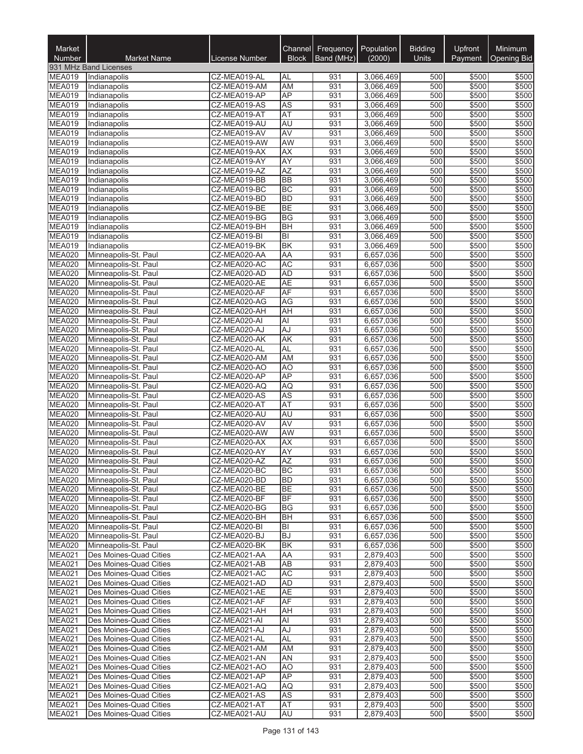| Market                         |                                                  |                              | <b>Channel</b>         | Frequency  | Population<br>(2000)   | <b>Bidding</b> | Upfront        | <b>Minimum</b>     |
|--------------------------------|--------------------------------------------------|------------------------------|------------------------|------------|------------------------|----------------|----------------|--------------------|
| <b>Number</b>                  | <b>Market Name</b><br>931 MHz Band Licenses      | <b>License Number</b>        | <b>Block</b>           | Band (MHz) |                        | Units          | Payment        | <b>Opening Bid</b> |
| <b>MEA019</b>                  | Indianapolis                                     | CZ-MEA019-AL                 | AL                     | 931        | 3,066,469              | 500            | \$500          | \$500              |
| <b>MEA019</b>                  | Indianapolis                                     | CZ-MEA019-AM                 | AM                     | 931        | 3,066,469              | 500            | \$500          | \$500              |
| <b>MEA019</b>                  | Indianapolis                                     | CZ-MEA019-AP                 | AP                     | 931        | 3,066,469              | 500            | \$500          | \$500              |
| <b>MEA019</b>                  | Indianapolis                                     | CZ-MEA019-AS                 | AS                     | 931        | 3,066,469              | 500            | \$500          | \$500              |
| MEA019                         | Indianapolis                                     | CZ-MEA019-AT                 | AT                     | 931        | 3,066,469              | 500            | \$500          | \$500              |
| <b>MEA019</b>                  | Indianapolis                                     | CZ-MEA019-AU                 | AU                     | 931        | 3,066,469              | 500            | \$500          | \$500              |
| <b>MEA019</b><br><b>MEA019</b> | Indianapolis<br>Indianapolis                     | CZ-MEA019-AV<br>CZ-MEA019-AW | <b>AV</b><br>AW        | 931<br>931 | 3,066,469<br>3,066,469 | 500<br>500     | \$500<br>\$500 | \$500<br>\$500     |
| MEA019                         | Indianapolis                                     | CZ-MEA019-AX                 | <b>AX</b>              | 931        | 3,066,469              | 500            | \$500          | \$500              |
| MEA019                         | Indianapolis                                     | CZ-MEA019-AY                 | AY                     | 931        | 3,066,469              | 500            | \$500          | \$500              |
| <b>MEA019</b>                  | Indianapolis                                     | CZ-MEA019-AZ                 | AZ                     | 931        | 3,066,469              | 500            | \$500          | \$500              |
| MEA019                         | Indianapolis                                     | CZ-MEA019-BB                 | <b>BB</b>              | 931        | 3,066,469              | 500            | \$500          | \$500              |
| <b>MEA019</b>                  | Indianapolis                                     | CZ-MEA019-BC                 | <b>BC</b>              | 931        | 3,066,469              | 500            | \$500          | \$500              |
| <b>MEA019</b>                  | Indianapolis                                     | CZ-MEA019-BD                 | <b>BD</b>              | 931        | 3,066,469              | 500            | \$500          | \$500              |
| MEA019                         | Indianapolis                                     | CZ-MEA019-BE                 | <b>BE</b>              | 931        | 3,066,469              | 500            | \$500          | \$500              |
| <b>MEA019</b><br><b>MEA019</b> | Indianapolis<br>Indianapolis                     | CZ-MEA019-BG<br>CZ-MEA019-BH | <b>BG</b><br><b>BH</b> | 931<br>931 | 3,066,469<br>3,066,469 | 500<br>500     | \$500<br>\$500 | \$500<br>\$500     |
| <b>MEA019</b>                  | Indianapolis                                     | CZ-MEA019-BI                 | BI                     | 931        | 3,066,469              | 500            | \$500          | \$500              |
| <b>MEA019</b>                  | Indianapolis                                     | CZ-MEA019-BK                 | <b>BK</b>              | 931        | 3,066,469              | 500            | \$500          | \$500              |
| MEA020                         | Minneapolis-St. Paul                             | CZ-MEA020-AA                 | AA                     | 931        | 6,657,036              | 500            | \$500          | \$500              |
| <b>MEA020</b>                  | Minneapolis-St. Paul                             | CZ-MEA020-AC                 | <b>AC</b>              | 931        | 6,657,036              | 500            | \$500          | \$500              |
| <b>MEA020</b>                  | Minneapolis-St. Paul                             | CZ-MEA020-AD                 | <b>AD</b>              | 931        | 6,657,036              | 500            | \$500          | \$500              |
| <b>MEA020</b>                  | Minneapolis-St. Paul                             | CZ-MEA020-AE                 | <b>AE</b>              | 931        | 6,657,036              | 500            | \$500          | \$500              |
| <b>MEA020</b>                  | Minneapolis-St. Paul                             | CZ-MEA020-AF                 | AF                     | 931        | 6,657,036              | 500            | \$500          | \$500              |
| <b>MEA020</b>                  | Minneapolis-St. Paul                             | CZ-MEA020-AG                 | AG                     | 931        | 6,657,036              | 500            | \$500          | \$500              |
| <b>MEA020</b>                  | Minneapolis-St. Paul                             | CZ-MEA020-AH                 | AH                     | 931        | 6,657,036              | 500            | \$500          | \$500              |
| MEA020<br><b>MEA020</b>        | Minneapolis-St. Paul<br>Minneapolis-St. Paul     | CZ-MEA020-AI<br>CZ-MEA020-AJ | Al<br>AJ               | 931<br>931 | 6,657,036<br>6,657,036 | 500<br>500     | \$500<br>\$500 | \$500<br>\$500     |
| <b>MEA020</b>                  | Minneapolis-St. Paul                             | CZ-MEA020-AK                 | AK                     | 931        | 6,657,036              | 500            | \$500          | \$500              |
| MEA020                         | Minneapolis-St. Paul                             | CZ-MEA020-AL                 | AL                     | 931        | 6,657,036              | 500            | \$500          | \$500              |
| MEA020                         | Minneapolis-St. Paul                             | CZ-MEA020-AM                 | AM                     | 931        | 6,657,036              | 500            | \$500          | \$500              |
| <b>MEA020</b>                  | Minneapolis-St. Paul                             | CZ-MEA020-AO                 | AO                     | 931        | 6,657,036              | 500            | \$500          | \$500              |
| MEA020                         | Minneapolis-St. Paul                             | CZ-MEA020-AP                 | <b>AP</b>              | 931        | 6,657,036              | 500            | \$500          | \$500              |
| <b>MEA020</b>                  | Minneapolis-St. Paul                             | CZ-MEA020-AQ                 | <b>AQ</b>              | 931        | 6,657,036              | 500            | \$500          | \$500              |
| <b>MEA020</b>                  | Minneapolis-St. Paul                             | CZ-MEA020-AS                 | AS                     | 931        | 6,657,036              | 500            | \$500          | \$500              |
| MEA020<br>MEA020               | Minneapolis-St. Paul                             | CZ-MEA020-AT<br>CZ-MEA020-AU | AT<br>AU               | 931<br>931 | 6,657,036<br>6,657,036 | 500<br>500     | \$500<br>\$500 | \$500<br>\$500     |
| <b>MEA020</b>                  | Minneapolis-St. Paul<br>Minneapolis-St. Paul     | CZ-MEA020-AV                 | AV                     | 931        | 6,657,036              | 500            | \$500          | \$500              |
| <b>MEA020</b>                  | Minneapolis-St. Paul                             | CZ-MEA020-AW                 | <b>AW</b>              | 931        | 6,657,036              | 500            | \$500          | \$500              |
| <b>MEA020</b>                  | Minneapolis-St. Paul                             | CZ-MEA020-AX                 | <b>AX</b>              | 931        | 6,657,036              | 500            | \$500          | \$500              |
| <b>MEA020</b>                  | Minneapolis-St. Paul                             | CZ-MEA020-AY                 | AY                     | 931        | 6.657.036              | 500            | \$500          | \$500              |
| <b>MEA020</b>                  | Minneapolis-St. Paul                             | CZ-MEA020-AZ                 | <b>AZ</b>              | 931        | 6,657,036              | 500            | \$500          | \$500              |
| <b>MEA020</b>                  | Minneapolis-St. Paul                             | CZ-MEA020-BC                 | BC                     | 931        | 6,657,036              | 500            | \$500          | \$500              |
| <b>MEA020</b>                  | Minneapolis-St. Paul                             | CZ-MEA020-BD                 | BD                     | 931        | 6,657,036              | 500            | \$500          | \$500              |
| <b>MEA020</b><br><b>MEA020</b> | Minneapolis-St. Paul                             | CZ-MEA020-BE                 | <b>BE</b>              | 931        | 6,657,036              | 500            | \$500          | \$500              |
| <b>MEA020</b>                  | Minneapolis-St. Paul<br>Minneapolis-St. Paul     | CZ-MEA020-BF<br>CZ-MEA020-BG | BF<br><b>BG</b>        | 931<br>931 | 6,657,036<br>6,657,036 | 500<br>500     | \$500<br>\$500 | \$500<br>\$500     |
| <b>MEA020</b>                  | Minneapolis-St. Paul                             | CZ-MEA020-BH                 | <b>BH</b>              | 931        | 6,657,036              | 500            | \$500          | \$500              |
| <b>MEA020</b>                  | Minneapolis-St. Paul                             | CZ-MEA020-BI                 | ΙBΙ                    | 931        | 6,657,036              | 500            | \$500          | \$500              |
| <b>MEA020</b>                  | Minneapolis-St. Paul                             | CZ-MEA020-BJ                 | <b>BJ</b>              | 931        | 6,657,036              | 500            | \$500          | \$500              |
| <b>MEA020</b>                  | Minneapolis-St. Paul                             | CZ-MEA020-BK                 | <b>BK</b>              | 931        | 6,657,036              | 500            | \$500          | \$500              |
| MEA021                         | Des Moines-Quad Cities                           | CZ-MEA021-AA                 | AA                     | 931        | 2,879,403              | 500            | \$500          | \$500              |
| MEA021                         | Des Moines-Quad Cities                           | CZ-MEA021-AB                 | AB                     | 931        | 2,879,403              | 500            | \$500          | \$500              |
| <b>MEA021</b>                  | Des Moines-Quad Cities                           | CZ-MEA021-AC                 | <b>AC</b>              | 931        | 2,879,403              | 500            | \$500          | \$500              |
| <b>MEA021</b><br><b>MEA021</b> | Des Moines-Quad Cities                           | CZ-MEA021-AD                 | <b>AD</b><br><b>AE</b> | 931<br>931 | 2,879,403              | 500<br>500     | \$500<br>\$500 | \$500              |
| <b>MEA021</b>                  | Des Moines-Quad Cities<br>Des Moines-Quad Cities | CZ-MEA021-AE<br>CZ-MEA021-AF | AF                     | 931        | 2,879,403<br>2,879,403 | 500            | \$500          | \$500<br>\$500     |
| <b>MEA021</b>                  | Des Moines-Quad Cities                           | CZ-MEA021-AH                 | AH                     | 931        | 2,879,403              | 500            | \$500          | \$500              |
| <b>MEA021</b>                  | Des Moines-Quad Cities                           | CZ-MEA021-AI                 | ΙAΙ                    | 931        | 2,879,403              | 500            | \$500          | \$500              |
| <b>MEA021</b>                  | Des Moines-Quad Cities                           | CZ-MEA021-AJ                 | AJ                     | 931        | 2,879,403              | 500            | \$500          | \$500              |
| MEA021                         | Des Moines-Quad Cities                           | CZ-MEA021-AL                 | AL                     | 931        | 2,879,403              | 500            | \$500          | \$500              |
| <b>MEA021</b>                  | Des Moines-Quad Cities                           | CZ-MEA021-AM                 | AM                     | 931        | 2,879,403              | 500            | \$500          | \$500              |
| <b>MEA021</b>                  | Des Moines-Quad Cities                           | CZ-MEA021-AN                 | AN                     | 931        | 2,879,403              | 500            | \$500          | \$500              |
| <b>MEA021</b>                  | Des Moines-Quad Cities                           | CZ-MEA021-AO                 | A <sub>O</sub>         | 931        | 2,879,403              | 500            | \$500          | \$500              |
| <b>MEA021</b><br><b>MEA021</b> | Des Moines-Quad Cities<br>Des Moines-Quad Cities | CZ-MEA021-AP<br>CZ-MEA021-AQ | AP<br>AQ               | 931<br>931 | 2,879,403<br>2,879,403 | 500<br>500     | \$500<br>\$500 | \$500<br>\$500     |
| MEA021                         | Des Moines-Quad Cities                           | CZ-MEA021-AS                 | AS                     | 931        | 2,879,403              | 500            | \$500          | \$500              |
| <b>MEA021</b>                  | Des Moines-Quad Cities                           | CZ-MEA021-AT                 | AT                     | 931        | 2,879,403              | 500            | \$500          | \$500              |
| MEA021                         | Des Moines-Quad Cities                           | CZ-MEA021-AU                 | AU                     | 931        | 2,879,403              | 500            | \$500          | \$500              |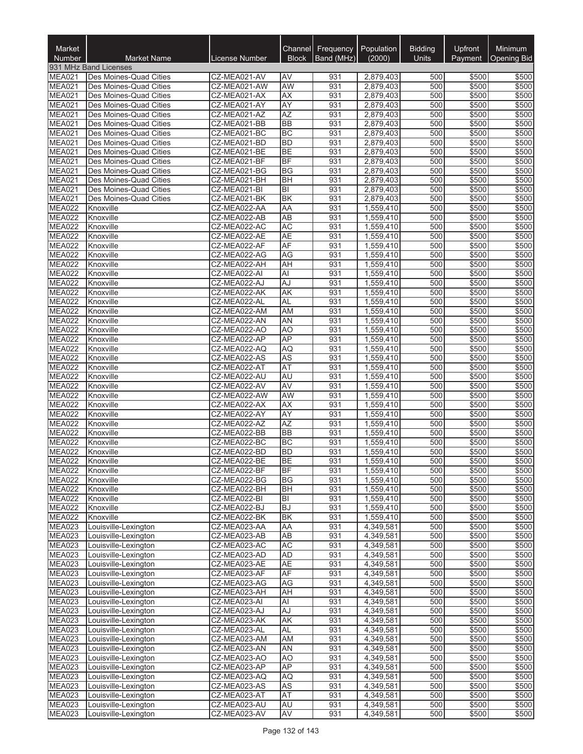| Market<br>Number               | <b>Market Name</b>                               | License Number               | <b>Block</b>           | Channel Frequency<br>Band (MHz) | Population<br>(2000)   | <b>Bidding</b><br>Units | Upfront<br>Payment | Minimum<br><b>Opening Bid</b> |
|--------------------------------|--------------------------------------------------|------------------------------|------------------------|---------------------------------|------------------------|-------------------------|--------------------|-------------------------------|
|                                | 931 MHz Band Licenses                            |                              |                        |                                 |                        |                         |                    |                               |
| MEA021                         | Des Moines-Quad Cities                           | CZ-MEA021-AV                 | <b>AV</b>              | 931                             | 2,879,403              | 500                     | \$500              | \$500                         |
| <b>MEA021</b>                  | Des Moines-Quad Cities                           | CZ-MEA021-AW                 | <b>AW</b>              | 931                             | 2,879,403              | 500                     | \$500              | \$500                         |
| <b>MEA021</b>                  | Des Moines-Quad Cities                           | CZ-MEA021-AX                 | AX                     | 931                             | 2,879,403              | 500                     | \$500              | \$500                         |
| <b>MEA021</b><br><b>MEA021</b> | Des Moines-Quad Cities                           | CZ-MEA021-AY                 | <b>AY</b><br><b>AZ</b> | 931<br>931                      | 2,879,403              | 500<br>500              | \$500              | \$500<br>\$500                |
| <b>MEA021</b>                  | Des Moines-Quad Cities<br>Des Moines-Quad Cities | CZ-MEA021-AZ<br>CZ-MEA021-BB | <b>BB</b>              | 931                             | 2,879,403<br>2,879,403 | 500                     | \$500<br>\$500     | \$500                         |
| MEA021                         | Des Moines-Quad Cities                           | CZ-MEA021-BC                 | <b>BC</b>              | 931                             | 2,879,403              | 500                     | \$500              | \$500                         |
| <b>MEA021</b>                  | Des Moines-Quad Cities                           | CZ-MEA021-BD                 | <b>BD</b>              | 931                             | 2,879,403              | 500                     | \$500              | \$500                         |
| <b>MEA021</b>                  | Des Moines-Quad Cities                           | CZ-MEA021-BE                 | <b>BE</b>              | 931                             | 2,879,403              | 500                     | \$500              | \$500                         |
| MEA021                         | Des Moines-Quad Cities                           | CZ-MEA021-BF                 | <b>BF</b>              | 931                             | 2,879,403              | 500                     | \$500              | \$500                         |
| <b>MEA021</b>                  | Des Moines-Quad Cities                           | CZ-MEA021-BG                 | <b>BG</b>              | 931                             | 2,879,403              | 500                     | \$500              | \$500                         |
| <b>MEA021</b><br><b>MEA021</b> | Des Moines-Quad Cities<br>Des Moines-Quad Cities | CZ-MEA021-BH<br>CZ-MEA021-BI | <b>BH</b><br>lвı       | 931<br>931                      | 2,879,403<br>2,879,403 | 500<br>500              | \$500<br>\$500     | \$500<br>\$500                |
| <b>MEA021</b>                  | Des Moines-Quad Cities                           | CZ-MEA021-BK                 | <b>BK</b>              | 931                             | 2,879,403              | 500                     | \$500              | \$500                         |
| <b>MEA022</b>                  | Knoxville                                        | CZ-MEA022-AA                 | AA                     | 931                             | 1,559,410              | 500                     | \$500              | \$500                         |
| <b>MEA022</b>                  | Knoxville                                        | CZ-MEA022-AB                 | AB                     | 931                             | 1,559,410              | 500                     | \$500              | \$500                         |
| MEA022                         | Knoxville                                        | CZ-MEA022-AC                 | <b>AC</b>              | 931                             | 1,559,410              | 500                     | \$500              | \$500                         |
| <b>MEA022</b>                  | Knoxville                                        | CZ-MEA022-AE                 | <b>AE</b>              | 931                             | 1,559,410              | 500                     | \$500              | \$500                         |
| <b>MEA022</b>                  | Knoxville                                        | CZ-MEA022-AF                 | AF                     | 931                             | 1,559,410              | 500                     | \$500              | \$500                         |
| <b>MEA022</b><br><b>MEA022</b> | Knoxville                                        | CZ-MEA022-AG<br>CZ-MEA022-AH | <b>AG</b><br><b>AH</b> | 931<br>931                      | 1,559,410              | 500<br>500              | \$500<br>\$500     | \$500<br>\$500                |
| <b>MEA022</b>                  | Knoxville<br>Knoxville                           | CZ-MEA022-AI                 | Al                     | 931                             | 1,559,410<br>1,559,410 | 500                     | \$500              | \$500                         |
| <b>MEA022</b>                  | Knoxville                                        | CZ-MEA022-AJ                 | AJ                     | 931                             | 1,559,410              | 500                     | \$500              | \$500                         |
| <b>MEA022</b>                  | Knoxville                                        | CZ-MEA022-AK                 | AK                     | 931                             | 1,559,410              | 500                     | \$500              | \$500                         |
| MEA022                         | Knoxville                                        | CZ-MEA022-AL                 | <b>AL</b>              | 931                             | 1,559,410              | 500                     | \$500              | \$500                         |
| MEA022                         | Knoxville                                        | CZ-MEA022-AM                 | <b>AM</b>              | 931                             | 1,559,410              | 500                     | \$500              | \$500                         |
| <b>MEA022</b>                  | Knoxville                                        | CZ-MEA022-AN                 | <b>AN</b>              | 931                             | 1,559,410              | 500                     | \$500              | \$500                         |
| <b>MEA022</b><br><b>MEA022</b> | Knoxville<br>Knoxville                           | CZ-MEA022-AO<br>CZ-MEA022-AP | A <sub>O</sub><br>AP   | 931<br>931                      | 1,559,410<br>1,559,410 | 500<br>500              | \$500<br>\$500     | \$500<br>\$500                |
| <b>MEA022</b>                  | Knoxville                                        | CZ-MEA022-AQ                 | AQ                     | 931                             | 1,559,410              | 500                     | \$500              | \$500                         |
| MEA022                         | Knoxville                                        | CZ-MEA022-AS                 | <b>AS</b>              | 931                             | 1,559,410              | 500                     | \$500              | \$500                         |
| <b>MEA022</b>                  | Knoxville                                        | CZ-MEA022-AT                 | AT                     | 931                             | 1,559,410              | 500                     | \$500              | \$500                         |
| MEA022                         | Knoxville                                        | CZ-MEA022-AU                 | <b>AU</b>              | 931                             | 1,559,410              | 500                     | \$500              | \$500                         |
| <b>MEA022</b>                  | Knoxville                                        | CZ-MEA022-AV                 | AV                     | 931                             | 1,559,410              | 500                     | \$500              | \$500                         |
| <b>MEA022</b>                  | Knoxville                                        | CZ-MEA022-AW                 | AW                     | 931                             | 1,559,410              | 500                     | \$500              | \$500                         |
| <b>MEA022</b><br><b>MEA022</b> | Knoxville<br>Knoxville                           | CZ-MEA022-AX<br>CZ-MEA022-AY | AX<br><b>AY</b>        | 931<br>931                      | 1,559,410<br>1,559,410 | 500<br>500              | \$500<br>\$500     | \$500<br>\$500                |
| MEA022                         | Knoxville                                        | CZ-MEA022-AZ                 | <b>AZ</b>              | 931                             | 1,559,410              | 500                     | \$500              | \$500                         |
| <b>MEA022</b>                  | Knoxville                                        | CZ-MEA022-BB                 | <b>BB</b>              | 931                             | 1,559,410              | 500                     | \$500              | \$500                         |
| <b>MEA022</b>                  | Knoxville                                        | CZ-MEA022-BC                 | <b>BC</b>              | 931                             | 1,559,410              | 500                     | \$500              | \$500                         |
| <b>MEA022</b>                  | Knoxville                                        | CZ-MEA022-BD                 | <b>BD</b>              | 931                             | 1,559,410              | 500                     | \$500              | \$500                         |
| <b>MEA022</b>                  | Knoxville                                        | CZ-MEA022-BE                 | <b>BE</b>              | 931                             | 1,559,410              | 500                     | \$500              | \$500                         |
| <b>MEA022</b><br><b>MEA022</b> | Knoxville                                        | CZ-MEA022-BF                 | <b>BF</b>              | 931                             | 1,559,410              | 500<br>500              | \$500              | \$500                         |
| <b>MEA022</b>                  | Knoxville<br>Knoxville                           | CZ-MEA022-BG<br>CZ-MEA022-BH | <b>BG</b><br><b>BH</b> | 931<br>931                      | 1,559,410<br>1,559,410 | 500                     | \$500<br>\$500     | \$500<br>\$500                |
| <b>MEA022</b>                  | Knoxville                                        | CZ-MEA022-BI                 | ΙBΙ                    | 931                             | 1,559,410              | 500                     | \$500              | \$500                         |
| <b>MEA022</b>                  | Knoxville                                        | CZ-MEA022-BJ                 | <b>BJ</b>              | 931                             | 1,559,410              | 500                     | \$500              | \$500                         |
| <b>MEA022</b>                  | Knoxville                                        | CZ-MEA022-BK                 | <b>BK</b>              | 931                             | 1,559,410              | 500                     | \$500              | \$500                         |
| <b>MEA023</b>                  | Louisville-Lexington                             | CZ-MEA023-AA                 | AA                     | 931                             | 4,349,581              | 500                     | \$500              | \$500                         |
| MEA023                         | Louisville-Lexington                             | CZ-MEA023-AB                 | AB                     | 931                             | 4,349,581              | 500                     | \$500              | \$500                         |
| MEA023<br><b>MEA023</b>        | Louisville-Lexington<br>Louisville-Lexington     | CZ-MEA023-AC<br>CZ-MEA023-AD | <b>AC</b><br><b>AD</b> | 931<br>931                      | 4,349,581<br>4,349,581 | 500<br>500              | \$500<br>\$500     | \$500<br>\$500                |
| <b>MEA023</b>                  | Louisville-Lexington                             | CZ-MEA023-AE                 | <b>AE</b>              | 931                             | 4,349,581              | 500                     | \$500              | \$500                         |
| <b>MEA023</b>                  | Louisville-Lexington                             | CZ-MEA023-AF                 | <b>AF</b>              | 931                             | 4,349,581              | 500                     | \$500              | \$500                         |
| MEA023                         | Louisville-Lexington                             | CZ-MEA023-AG                 | AG                     | 931                             | 4,349,581              | 500                     | \$500              | \$500                         |
| MEA023                         | Louisville-Lexington                             | CZ-MEA023-AH                 | AH                     | 931                             | 4,349,581              | 500                     | \$500              | \$500                         |
| <b>MEA023</b>                  | Louisville-Lexington                             | CZ-MEA023-AI                 | ΙAΙ                    | 931                             | 4,349,581              | 500                     | \$500              | \$500                         |
| MEA023                         | Louisville-Lexington                             | CZ-MEA023-AJ                 | AJ                     | 931                             | 4,349,581              | 500                     | \$500              | \$500                         |
| <b>MEA023</b><br><b>MEA023</b> | Louisville-Lexington                             | CZ-MEA023-AK                 | AK<br><b>AL</b>        | 931<br>931                      | 4,349,581              | 500<br>500              | \$500              | \$500<br>\$500                |
| MEA023                         | Louisville-Lexington<br>Louisville-Lexington     | CZ-MEA023-AL<br>CZ-MEA023-AM | AM                     | 931                             | 4,349,581<br>4,349,581 | 500                     | \$500<br>\$500     | \$500                         |
| <b>MEA023</b>                  | Louisville-Lexington                             | CZ-MEA023-AN                 | <b>AN</b>              | 931                             | 4,349,581              | 500                     | \$500              | \$500                         |
| <b>MEA023</b>                  | Louisville-Lexington                             | CZ-MEA023-AO                 | AO                     | 931                             | 4,349,581              | 500                     | \$500              | \$500                         |
| <b>MEA023</b>                  | Louisville-Lexington                             | CZ-MEA023-AP                 | <b>AP</b>              | 931                             | 4,349,581              | 500                     | \$500              | \$500                         |
| <b>MEA023</b>                  | Louisville-Lexington                             | CZ-MEA023-AQ                 | AQ                     | 931                             | 4,349,581              | 500                     | \$500              | \$500                         |
| <b>MEA023</b>                  | Louisville-Lexington                             | CZ-MEA023-AS                 | <b>AS</b>              | 931                             | 4,349,581              | 500                     | \$500              | \$500                         |
| MEA023<br><b>MEA023</b>        | Louisville-Lexington<br>Louisville-Lexington     | CZ-MEA023-AT<br>CZ-MEA023-AU | AT<br><b>AU</b>        | 931<br>931                      | 4,349,581<br>4,349,581 | 500<br>500              | \$500<br>\$500     | \$500<br>\$500                |
| <b>MEA023</b>                  | Louisville-Lexington                             | CZ-MEA023-AV                 | AV                     | 931                             | 4,349,581              | 500                     | \$500              | \$500                         |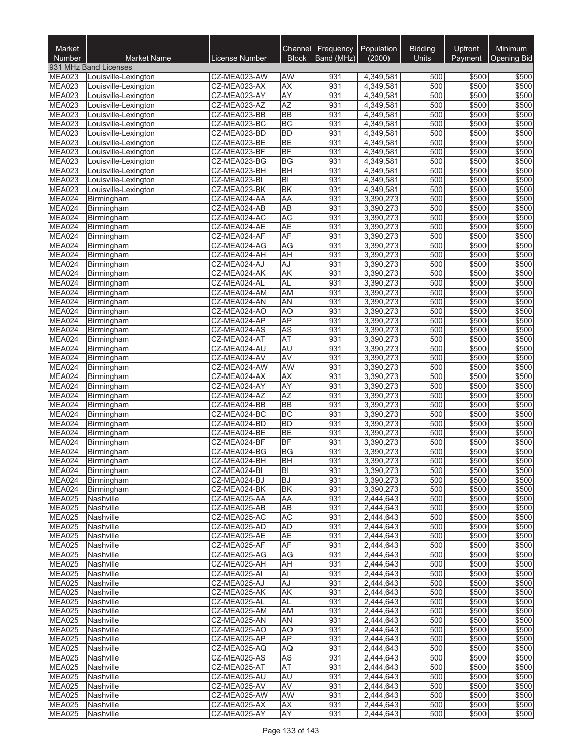| Market<br>Number               | <b>Market Name</b>                           | <b>License Number</b>        | Channel<br><b>Block</b>   | Frequency<br>Band (MHz) | Population<br>(2000)   | <b>Bidding</b><br><b>Units</b> | Upfront<br>Payment | Minimum<br><b>Opening Bid</b> |
|--------------------------------|----------------------------------------------|------------------------------|---------------------------|-------------------------|------------------------|--------------------------------|--------------------|-------------------------------|
|                                | 931 MHz Band Licenses                        |                              |                           |                         |                        |                                |                    |                               |
| <b>MEA023</b>                  | Louisville-Lexington                         | CZ-MEA023-AW                 | AW                        | 931                     | 4,349,581              | 500                            | \$500              | \$500                         |
| <b>MEA023</b>                  | Louisville-Lexington                         | CZ-MEA023-AX                 | <b>AX</b>                 | 931                     | 4,349,581              | 500                            | \$500              | \$500                         |
| <b>MEA023</b>                  | Louisville-Lexington                         | CZ-MEA023-AY                 | <b>AY</b>                 | 931                     | 4,349,581              | 500                            | \$500              | \$500                         |
| <b>MEA023</b>                  | Louisville-Lexington                         | CZ-MEA023-AZ                 | <b>AZ</b>                 | 931                     | 4,349,581              | 500                            | \$500              | \$500                         |
| <b>MEA023</b>                  | Louisville-Lexington                         | CZ-MEA023-BB                 | <b>BB</b>                 | 931                     | 4,349,581              | 500                            | \$500              | \$500                         |
| MEA023                         | Louisville-Lexington                         | CZ-MEA023-BC                 | <b>BC</b>                 | 931                     | 4,349,581              | 500                            | \$500              | \$500                         |
| MEA023<br>MEA023               | Louisville-Lexington<br>Louisville-Lexington | CZ-MEA023-BD<br>CZ-MEA023-BE | <b>BD</b><br><b>BE</b>    | 931<br>931              | 4,349,581              | 500<br>500                     | \$500<br>\$500     | \$500<br>\$500                |
| <b>MEA023</b>                  | Louisville-Lexington                         | CZ-MEA023-BF                 | BF                        | 931                     | 4,349,581<br>4,349,581 | 500                            | \$500              | \$500                         |
| MEA023                         | Louisville-Lexington                         | CZ-MEA023-BG                 | <b>BG</b>                 | 931                     | 4,349,581              | 500                            | \$500              | \$500                         |
| MEA023                         | Louisville-Lexington                         | CZ-MEA023-BH                 | <b>BH</b>                 | 931                     | 4,349,581              | 500                            | \$500              | \$500                         |
| MEA023                         | Louisville-Lexington                         | CZ-MEA023-BI                 | $ \overline{\mathsf{B}} $ | 931                     | 4,349,581              | 500                            | \$500              | \$500                         |
| <b>MEA023</b>                  | Louisville-Lexington                         | CZ-MEA023-BK                 | <b>BK</b>                 | 931                     | 4,349,581              | 500                            | \$500              | \$500                         |
| MEA024                         | Birmingham                                   | CZ-MEA024-AA                 | AA                        | 931                     | 3,390,273              | 500                            | \$500              | \$500                         |
| MEA024                         | Birmingham                                   | CZ-MEA024-AB                 | <b>AB</b>                 | 931                     | 3,390,273              | 500                            | \$500              | \$500                         |
| MEA024                         | Birmingham                                   | CZ-MEA024-AC                 | <b>AC</b>                 | 931                     | 3,390,273              | 500                            | \$500              | \$500                         |
| MEA024<br>MEA024               | Birmingham<br>Birmingham                     | CZ-MEA024-AE<br>CZ-MEA024-AF | <b>AE</b><br>AF           | 931<br>931              | 3,390,273<br>3,390,273 | 500<br>500                     | \$500<br>\$500     | \$500<br>\$500                |
| MEA024                         | Birmingham                                   | CZ-MEA024-AG                 | <b>AG</b>                 | 931                     | 3,390,273              | 500                            | \$500              | \$500                         |
| MEA024                         | Birmingham                                   | CZ-MEA024-AH                 | AH                        | 931                     | 3,390,273              | 500                            | \$500              | \$500                         |
| MEA024                         | Birmingham                                   | CZ-MEA024-AJ                 | AJ                        | 931                     | 3,390,273              | 500                            | \$500              | \$500                         |
| MEA024                         | Birmingham                                   | CZ-MEA024-AK                 | <b>AK</b>                 | 931                     | 3,390,273              | 500                            | \$500              | \$500                         |
| MEA024                         | Birmingham                                   | CZ-MEA024-AL                 | AL                        | 931                     | 3,390,273              | 500                            | \$500              | \$500                         |
| MEA024                         | Birmingham                                   | CZ-MEA024-AM                 | AM                        | 931                     | 3,390,273              | 500                            | \$500              | \$500                         |
| MEA024                         | Birmingham                                   | CZ-MEA024-AN                 | AN                        | 931                     | 3,390,273              | 500                            | \$500              | \$500                         |
| MEA024                         | Birmingham                                   | CZ-MEA024-AO                 | <b>AO</b>                 | 931                     | 3,390,273              | 500                            | \$500              | \$500                         |
| MEA024                         | Birmingham                                   | CZ-MEA024-AP                 | <b>AP</b>                 | 931                     | 3,390,273              | 500                            | \$500              | \$500                         |
| MEA024<br>MEA024               | Birmingham                                   | CZ-MEA024-AS<br>CZ-MEA024-AT | <b>AS</b><br>AT           | 931<br>931              | 3,390,273<br>3,390,273 | 500<br>500                     | \$500<br>\$500     | \$500<br>\$500                |
| MEA024                         | Birmingham<br>Birmingham                     | CZ-MEA024-AU                 | AU                        | 931                     | 3,390,273              | 500                            | \$500              | \$500                         |
| MEA024                         | Birmingham                                   | CZ-MEA024-AV                 | <b>AV</b>                 | 931                     | 3,390,273              | 500                            | \$500              | \$500                         |
| MEA024                         | Birmingham                                   | CZ-MEA024-AW                 | <b>AW</b>                 | 931                     | 3,390,273              | 500                            | \$500              | \$500                         |
| MEA024                         | Birmingham                                   | CZ-MEA024-AX                 | AX                        | 931                     | 3,390,273              | 500                            | \$500              | \$500                         |
| MEA024                         | Birmingham                                   | CZ-MEA024-AY                 | <b>AY</b>                 | 931                     | 3,390,273              | 500                            | \$500              | \$500                         |
| MEA024                         | Birmingham                                   | CZ-MEA024-AZ                 | <b>AZ</b>                 | 931                     | 3,390,273              | 500                            | \$500              | \$500                         |
| MEA024                         | Birmingham                                   | CZ-MEA024-BB                 | <b>BB</b>                 | 931                     | 3,390,273              | 500                            | \$500              | \$500                         |
| MEA024                         | Birmingham                                   | CZ-MEA024-BC                 | <b>BC</b>                 | 931                     | 3,390,273              | 500                            | \$500              | \$500                         |
| MEA024<br>MEA024               | Birmingham                                   | CZ-MEA024-BD<br>CZ-MEA024-BE | <b>BD</b><br><b>BE</b>    | 931<br>931              | 3,390,273<br>3,390,273 | 500<br>500                     | \$500<br>\$500     | \$500<br>\$500                |
| MEA024                         | Birmingham<br>Birmingham                     | CZ-MEA024-BF                 | <b>BF</b>                 | 931                     | 3,390,273              | 500                            | \$500              | \$500                         |
| MEA024                         | Birmingham                                   | CZ-MEA024-BG                 | <b>BG</b>                 | 931                     | 3,390,273              | 500                            | \$500              | \$500                         |
| MEA024                         | Birmingham                                   | CZ-MEA024-BH                 | BН                        | 931                     | 3,390,273              | 500                            | \$500              | \$500                         |
| MEA024                         | Birmingham                                   | CZ-MEA024-BI                 | BI                        | 931                     | 3,390,273              | 500                            | \$500              | \$500                         |
| MEA024                         | Birmingham                                   | CZ-MEA024-BJ                 | <b>BJ</b>                 | 931                     | 3,390,273              | 500                            | \$500              | \$500                         |
| MEA024                         | Birmingham                                   | CZ-MEA024-BK                 | <b>BK</b>                 | 931                     | 3,390,273              | 500                            | \$500              | \$500                         |
| <b>MEA025</b>                  | Nashville                                    | CZ-MEA025-AA                 | <b>AA</b>                 | 931                     | 2,444,643              | 500                            | \$500              | \$500                         |
| <b>MEA025</b>                  | Nashville                                    | CZ-MEA025-AB                 | AB                        | 931                     | 2,444,643              | 500                            | \$500              | \$500                         |
| <b>MEA025</b><br><b>MEA025</b> | Nashville<br>Nashville                       | CZ-MEA025-AC                 | AC                        | 931                     | 2,444,643              | 500                            | \$500              | \$500<br>\$500                |
| MEA025                         | Nashville                                    | CZ-MEA025-AD<br>CZ-MEA025-AE | AD<br>AE                  | 931<br>931              | 2,444,643<br>2,444,643 | 500<br>500                     | \$500<br>\$500     | \$500                         |
| MEA025                         | Nashville                                    | CZ-MEA025-AF                 | AF                        | 931                     | 2,444,643              | 500                            | \$500              | \$500                         |
| <b>MEA025</b>                  | Nashville                                    | CZ-MEA025-AG                 | AG                        | 931                     | 2,444,643              | 500                            | \$500              | \$500                         |
| <b>MEA025</b>                  | Nashville                                    | CZ-MEA025-AH                 | AH                        | 931                     | 2,444,643              | 500                            | \$500              | \$500                         |
| <b>MEA025</b>                  | Nashville                                    | CZ-MEA025-AI                 | Al                        | 931                     | 2,444,643              | 500                            | \$500              | \$500                         |
| <b>MEA025</b>                  | Nashville                                    | CZ-MEA025-AJ                 | AJ                        | 931                     | 2,444,643              | 500                            | \$500              | \$500                         |
| <b>MEA025</b>                  | Nashville                                    | CZ-MEA025-AK                 | AK                        | 931                     | 2,444,643              | 500                            | \$500              | \$500                         |
| <b>MEA025</b>                  | Nashville                                    | CZ-MEA025-AL                 | AL                        | 931                     | 2,444,643              | 500                            | \$500              | \$500                         |
| MEA025                         | Nashville                                    | CZ-MEA025-AM                 | AM                        | 931                     | 2,444,643              | 500                            | \$500              | \$500                         |
| <b>MEA025</b><br><b>MEA025</b> | Nashville<br>Nashville                       | CZ-MEA025-AN<br>CZ-MEA025-AO | <b>AN</b><br>AO           | 931<br>931              | 2,444,643<br>2,444,643 | 500<br>500                     | \$500<br>\$500     | \$500<br>\$500                |
| MEA025                         | Nashville                                    | CZ-MEA025-AP                 | AP                        | 931                     | 2,444,643              | 500                            | \$500              | \$500                         |
| <b>MEA025</b>                  | Nashville                                    | CZ-MEA025-AQ                 | AQ                        | 931                     | 2,444,643              | 500                            | \$500              | \$500                         |
| <b>MEA025</b>                  | Nashville                                    | CZ-MEA025-AS                 | AS                        | 931                     | 2,444,643              | 500                            | \$500              | \$500                         |
| <b>MEA025</b>                  | Nashville                                    | CZ-MEA025-AT                 | <b>AT</b>                 | 931                     | 2,444,643              | 500                            | \$500              | \$500                         |
| <b>MEA025</b>                  | Nashville                                    | CZ-MEA025-AU                 | AU                        | 931                     | 2,444,643              | 500                            | \$500              | \$500                         |
| <b>MEA025</b>                  | Nashville                                    | CZ-MEA025-AV                 | AV                        | 931                     | 2,444,643              | 500                            | \$500              | \$500                         |
| <b>MEA025</b>                  | Nashville                                    | CZ-MEA025-AW                 | AW                        | 931                     | 2,444,643              | 500                            | \$500              | \$500                         |
| <b>MEA025</b>                  | Nashville                                    | CZ-MEA025-AX                 | <b>AX</b>                 | 931                     | 2,444,643              | 500<br>500                     | \$500              | \$500                         |
| <b>MEA025</b>                  | Nashville                                    | CZ-MEA025-AY                 | AY                        | 931                     | 2,444,643              |                                | \$500              | \$500                         |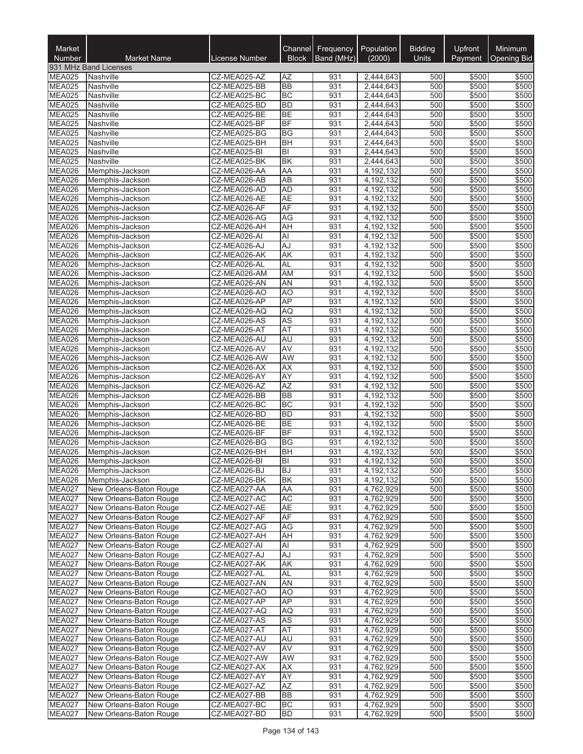| Market<br>Number        | <b>Market Name</b>                                 | <b>License Number</b>        | Channel<br><b>Block</b> | Frequency<br>Band (MHz) | Population<br>(2000)   | <b>Bidding</b><br>Units | Upfront<br>Payment | <b>Minimum</b><br><b>Opening Bid</b> |
|-------------------------|----------------------------------------------------|------------------------------|-------------------------|-------------------------|------------------------|-------------------------|--------------------|--------------------------------------|
|                         | 931 MHz Band Licenses                              |                              |                         |                         |                        |                         |                    |                                      |
| <b>MEA025</b>           | Nashville                                          | CZ-MEA025-AZ                 | AZ                      | 931                     | 2,444,643              | 500                     | \$500              | \$500                                |
| <b>MEA025</b>           | Nashville                                          | CZ-MEA025-BB                 | <b>BB</b>               | 931                     | 2,444,643              | 500                     | \$500              | \$500                                |
| <b>MEA025</b>           | Nashville                                          | CZ-MEA025-BC                 | <b>BC</b>               | 931                     | 2,444,643              | 500                     | \$500              | \$500                                |
| <b>MEA025</b>           | Nashville                                          | CZ-MEA025-BD                 | <b>BD</b>               | 931                     | 2,444,643              | 500                     | \$500              | \$500                                |
| MEA025<br><b>MEA025</b> | Nashville                                          | CZ-MEA025-BE<br>CZ-MEA025-BF | <b>BE</b><br><b>BF</b>  | 931<br>931              | 2,444,643<br>2,444,643 | 500<br>500              | \$500<br>\$500     | \$500<br>\$500                       |
| <b>MEA025</b>           | Nashville<br>Nashville                             | CZ-MEA025-BG                 | <b>BG</b>               | 931                     | 2,444,643              | 500                     | \$500              | \$500                                |
| MEA025                  | Nashville                                          | CZ-MEA025-BH                 | <b>BH</b>               | 931                     | 2,444,643              | 500                     | \$500              | \$500                                |
| MEA025                  | Nashville                                          | CZ-MEA025-BI                 | BI                      | 931                     | 2,444,643              | 500                     | \$500              | \$500                                |
| MEA025                  | Nashville                                          | CZ-MEA025-BK                 | <b>BK</b>               | 931                     | 2,444,643              | 500                     | \$500              | \$500                                |
| MEA026                  | Memphis-Jackson                                    | CZ-MEA026-AA                 | AA                      | 931                     | 4,192,132              | 500                     | \$500              | \$500                                |
| <b>MEA026</b>           | Memphis-Jackson                                    | CZ-MEA026-AB                 | AB                      | 931                     | 4,192,132              | 500                     | \$500              | \$500                                |
| MEA026                  | Memphis-Jackson                                    | CZ-MEA026-AD                 | <b>AD</b>               | 931                     | 4,192,132              | 500                     | \$500              | \$500                                |
| <b>MEA026</b>           | Memphis-Jackson                                    | CZ-MEA026-AE                 | <b>AE</b>               | 931                     | 4,192,132              | 500                     | \$500              | \$500                                |
| MEA026<br>MEA026        | Memphis-Jackson                                    | CZ-MEA026-AF<br>CZ-MEA026-AG | AF<br>AG                | 931<br>931              | 4,192,132<br>4,192,132 | 500<br>500              | \$500<br>\$500     | \$500<br>\$500                       |
| MEA026                  | Memphis-Jackson<br>Memphis-Jackson                 | CZ-MEA026-AH                 | AH                      | 931                     | 4,192,132              | 500                     | \$500              | \$500                                |
| MEA026                  | Memphis-Jackson                                    | CZ-MEA026-AI                 | <b>Al</b>               | 931                     | 4,192,132              | 500                     | \$500              | \$500                                |
| <b>MEA026</b>           | Memphis-Jackson                                    | CZ-MEA026-AJ                 | AJ                      | 931                     | 4,192,132              | 500                     | \$500              | \$500                                |
| MEA026                  | Memphis-Jackson                                    | CZ-MEA026-AK                 | <b>AK</b>               | 931                     | 4,192,132              | 500                     | \$500              | \$500                                |
| MEA026                  | Memphis-Jackson                                    | CZ-MEA026-AL                 | <b>AL</b>               | 931                     | 4,192,132              | 500                     | \$500              | \$500                                |
| MEA026                  | Memphis-Jackson                                    | CZ-MEA026-AM                 | <b>AM</b>               | 931                     | 4,192,132              | 500                     | \$500              | \$500                                |
| MEA026                  | Memphis-Jackson                                    | CZ-MEA026-AN                 | AN                      | 931                     | 4.192.132              | 500                     | \$500              | \$500                                |
| MEA026                  | Memphis-Jackson                                    | CZ-MEA026-AO                 | AO                      | 931                     | 4,192,132              | 500                     | \$500              | \$500                                |
| MEA026                  | Memphis-Jackson                                    | CZ-MEA026-AP                 | <b>AP</b>               | 931                     | 4,192,132              | 500                     | \$500              | \$500                                |
| MEA026<br>MEA026        | Memphis-Jackson<br>Memphis-Jackson                 | CZ-MEA026-AQ<br>CZ-MEA026-AS | <b>AQ</b><br>AS         | 931<br>931              | 4,192,132<br>4,192,132 | 500<br>500              | \$500<br>\$500     | \$500<br>\$500                       |
| MEA026                  | Memphis-Jackson                                    | CZ-MEA026-AT                 | AT                      | 931                     | 4,192,132              | 500                     | \$500              | \$500                                |
| MEA026                  | Memphis-Jackson                                    | CZ-MEA026-AU                 | AU                      | 931                     | 4,192,132              | 500                     | \$500              | \$500                                |
| MEA026                  | Memphis-Jackson                                    | CZ-MEA026-AV                 | AV                      | 931                     | 4,192,132              | 500                     | \$500              | \$500                                |
| <b>MEA026</b>           | Memphis-Jackson                                    | CZ-MEA026-AW                 | AW                      | 931                     | 4,192,132              | 500                     | \$500              | \$500                                |
| MEA026                  | Memphis-Jackson                                    | CZ-MEA026-AX                 | <b>AX</b>               | 931                     | 4,192,132              | 500                     | \$500              | \$500                                |
| MEA026                  | Memphis-Jackson                                    | CZ-MEA026-AY                 | AY                      | 931                     | 4,192,132              | 500                     | \$500              | \$500                                |
| MEA026                  | Memphis-Jackson                                    | CZ-MEA026-AZ                 | <b>AZ</b>               | 931                     | 4,192,132              | 500                     | \$500              | \$500                                |
| MEA026                  | Memphis-Jackson                                    | CZ-MEA026-BB                 | <b>BB</b>               | 931                     | 4,192,132              | 500                     | \$500              | \$500                                |
| MEA026<br>MEA026        | Memphis-Jackson<br>Memphis-Jackson                 | CZ-MEA026-BC<br>CZ-MEA026-BD | <b>BC</b><br><b>BD</b>  | 931<br>931              | 4,192,132<br>4,192,132 | 500<br>500              | \$500<br>\$500     | \$500<br>\$500                       |
| MEA026                  | Memphis-Jackson                                    | CZ-MEA026-BE                 | BE                      | 931                     | 4,192,132              | 500                     | \$500              | \$500                                |
| <b>MEA026</b>           | Memphis-Jackson                                    | CZ-MEA026-BF                 | <b>BF</b>               | 931                     | 4,192,132              | 500                     | \$500              | \$500                                |
| MEA026                  | Memphis-Jackson                                    | CZ-MEA026-BG                 | BG                      | 931                     | 4,192,132              | 500                     | \$500              | \$500                                |
| MEA026                  | Memphis-Jackson                                    | CZ-MEA026-BH                 | <b>BH</b>               | 931                     | 4,192,132              | 500                     | \$500              | \$500                                |
| MEA026                  | Memphis-Jackson                                    | CZ-MEA026-BI                 | BI                      | 931                     | 4,192,132              | 500                     | \$500              | \$500                                |
| MEA026                  | Memphis-Jackson                                    | CZ-MEA026-BJ                 | <b>BJ</b>               | 931                     | 4,192,132              | 500                     | \$500              | \$500                                |
| MEA026                  | Memphis-Jackson                                    | CZ-MEA026-BK                 | BK                      | 931                     | 4,192,132              | 500                     | \$500              | \$500                                |
| MEA027                  | New Orleans-Baton Rouge                            | CZ-MEA027-AA                 | AA                      | 931                     | 4,762,929              | 500                     | \$500              | \$500                                |
| MEA027<br>MEA027        | New Orleans-Baton Rouge<br>New Orleans-Baton Rouge | CZ-MEA027-AC<br>CZ-MEA027-AE | <b>AC</b><br><b>AE</b>  | 931<br>931              | 4,762,929<br>4,762,929 | 500<br>500              | \$500<br>\$500     | \$500<br>\$500                       |
| MEA027                  | New Orleans-Baton Rouge                            | CZ-MEA027-AF                 | AF                      | 931                     | 4,762,929              | 500                     | \$500              | \$500                                |
| <b>MEA027</b>           | New Orleans-Baton Rouge                            | CZ-MEA027-AG                 | AG                      | 931                     | 4,762,929              | 500                     | \$500              | \$500                                |
| MEA027                  | New Orleans-Baton Rouge                            | CZ-MEA027-AH                 | <b>AH</b>               | 931                     | 4,762,929              | 500                     | \$500              | \$500                                |
| <b>MEA027</b>           | New Orleans-Baton Rouge                            | CZ-MEA027-AI                 | $\overline{AI}$         | 931                     | 4,762,929              | 500                     | \$500              | \$500                                |
| MEA027                  | New Orleans-Baton Rouge                            | CZ-MEA027-AJ                 | AJ                      | 931                     | 4,762,929              | 500                     | \$500              | \$500                                |
| MEA027                  | New Orleans-Baton Rouge                            | CZ-MEA027-AK                 | AK                      | 931                     | 4,762,929              | 500                     | \$500              | \$500                                |
| <b>MEA027</b>           | New Orleans-Baton Rouge                            | CZ-MEA027-AL                 | <b>AL</b>               | 931                     | 4,762,929              | 500                     | \$500              | \$500                                |
| MEA027                  | New Orleans-Baton Rouge                            | CZ-MEA027-AN                 | <b>AN</b>               | 931                     | 4,762,929              | 500                     | \$500              | \$500                                |
| MEA027<br>MEA027        | New Orleans-Baton Rouge<br>New Orleans-Baton Rouge | CZ-MEA027-AO<br>CZ-MEA027-AP | AO<br>AP                | 931<br>931              | 4,762,929<br>4,762,929 | 500<br>500              | \$500<br>\$500     | \$500<br>\$500                       |
| MEA027                  | New Orleans-Baton Rouge                            | CZ-MEA027-AQ                 | AQ                      | 931                     | 4,762,929              | 500                     | \$500              | \$500                                |
| MEA027                  | New Orleans-Baton Rouge                            | CZ-MEA027-AS                 | AS                      | 931                     | 4,762,929              | 500                     | \$500              | \$500                                |
| <b>MEA027</b>           | New Orleans-Baton Rouge                            | CZ-MEA027-AT                 | <b>AT</b>               | 931                     | 4,762,929              | 500                     | \$500              | \$500                                |
| MEA027                  | New Orleans-Baton Rouge                            | CZ-MEA027-AU                 | <b>AU</b>               | 931                     | 4,762,929              | 500                     | \$500              | \$500                                |
| MEA027                  | New Orleans-Baton Rouge                            | CZ-MEA027-AV                 | <b>AV</b>               | 931                     | 4,762,929              | 500                     | \$500              | \$500                                |
| <b>MEA027</b>           | New Orleans-Baton Rouge                            | CZ-MEA027-AW                 | AW                      | 931                     | 4,762,929              | 500                     | \$500              | \$500                                |
| MEA027                  | New Orleans-Baton Rouge                            | CZ-MEA027-AX                 | AX                      | 931                     | 4,762,929              | 500                     | \$500              | \$500                                |
| MEA027                  | New Orleans-Baton Rouge                            | CZ-MEA027-AY                 | AY                      | 931                     | 4,762,929              | 500                     | \$500              | \$500                                |
| MEA027<br>MEA027        | New Orleans-Baton Rouge<br>New Orleans-Baton Rouge | CZ-MEA027-AZ<br>CZ-MEA027-BB | <b>AZ</b><br><b>BB</b>  | 931<br>931              | 4,762,929<br>4,762,929 | 500<br>500              | \$500<br>\$500     | \$500<br>\$500                       |
| MEA027                  | New Orleans-Baton Rouge                            | CZ-MEA027-BC                 | BC                      | 931                     | 4,762,929              | 500                     | \$500              | \$500                                |
| MEA027                  | New Orleans-Baton Rouge                            | CZ-MEA027-BD                 | <b>BD</b>               | 931                     | 4,762,929              | 500                     | \$500              | \$500                                |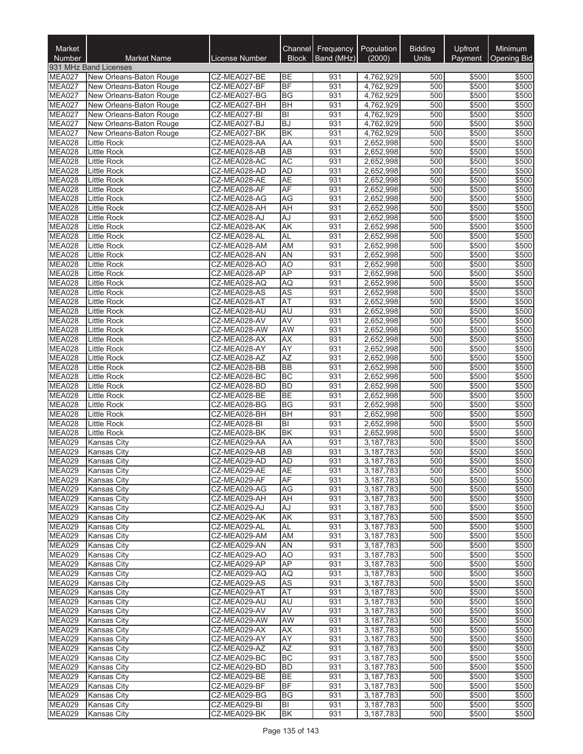| Market                         |                                                    |                              |                        | Channel Frequency | Population             | <b>Bidding</b> | Upfront        | <b>Minimum</b>     |
|--------------------------------|----------------------------------------------------|------------------------------|------------------------|-------------------|------------------------|----------------|----------------|--------------------|
| Number                         | <b>Market Name</b>                                 | License Number               | <b>Block</b>           | Band (MHz)        | (2000)                 | Units          | Payment        | <b>Opening Bid</b> |
| MEA027                         | 931 MHz Band Licenses                              |                              |                        |                   |                        |                |                |                    |
| MEA027                         | New Orleans-Baton Rouge<br>New Orleans-Baton Rouge | CZ-MEA027-BE<br>CZ-MEA027-BF | BE<br><b>BF</b>        | 931<br>931        | 4,762,929<br>4,762,929 | 500<br>500     | \$500<br>\$500 | \$500<br>\$500     |
| MEA027                         | New Orleans-Baton Rouge                            | CZ-MEA027-BG                 | <b>BG</b>              | 931               | 4,762,929              | 500            | \$500          | \$500              |
| MEA027                         | New Orleans-Baton Rouge                            | CZ-MEA027-BH                 | <b>BH</b>              | 931               | 4,762,929              | 500            | \$500          | \$500              |
| MEA027                         | New Orleans-Baton Rouge                            | CZ-MEA027-BI                 | BI                     | 931               | 4,762,929              | 500            | \$500          | \$500              |
| MEA027                         | New Orleans-Baton Rouge                            | CZ-MEA027-BJ                 | BJ                     | 931               | 4,762,929              | 500            | \$500          | \$500              |
| MEA027<br><b>MEA028</b>        | New Orleans-Baton Rouge                            | CZ-MEA027-BK                 | <b>BK</b>              | 931<br>931        | 4,762,929              | 500<br>500     | \$500          | \$500              |
| MEA028                         | Little Rock<br>Little Rock                         | CZ-MEA028-AA<br>CZ-MEA028-AB | AA<br><b>AB</b>        | 931               | 2,652,998<br>2,652,998 | 500            | \$500<br>\$500 | \$500<br>\$500     |
| MEA028                         | <b>Little Rock</b>                                 | CZ-MEA028-AC                 | <b>AC</b>              | 931               | 2,652,998              | 500            | \$500          | \$500              |
| MEA028                         | Little Rock                                        | CZ-MEA028-AD                 | <b>AD</b>              | 931               | 2,652,998              | 500            | \$500          | \$500              |
| MEA028                         | <b>Little Rock</b>                                 | CZ-MEA028-AE                 | <b>AE</b>              | 931               | 2,652,998              | 500            | \$500          | \$500              |
| <b>MEA028</b>                  | <b>Little Rock</b>                                 | CZ-MEA028-AF                 | AF                     | 931               | 2,652,998              | 500            | \$500          | \$500              |
| <b>MEA028</b><br><b>MEA028</b> | <b>Little Rock</b>                                 | CZ-MEA028-AG                 | AG                     | 931               | 2,652,998              | 500<br>500     | \$500          | \$500              |
| <b>MEA028</b>                  | <b>Little Rock</b><br><b>Little Rock</b>           | CZ-MEA028-AH<br>CZ-MEA028-AJ | AH<br>AJ               | 931<br>931        | 2,652,998<br>2,652,998 | 500            | \$500<br>\$500 | \$500<br>\$500     |
| <b>MEA028</b>                  | Little Rock                                        | CZ-MEA028-AK                 | <b>AK</b>              | 931               | 2,652,998              | 500            | \$500          | \$500              |
| MEA028                         | <b>Little Rock</b>                                 | CZ-MEA028-AL                 | <b>AL</b>              | 931               | 2,652,998              | 500            | \$500          | \$500              |
| <b>MEA028</b>                  | Little Rock                                        | CZ-MEA028-AM                 | AM                     | 931               | 2,652,998              | 500            | \$500          | \$500              |
| <b>MEA028</b>                  | Little Rock                                        | CZ-MEA028-AN                 | <b>AN</b>              | 931               | 2,652,998              | 500            | \$500          | \$500              |
| MEA028                         | Little Rock                                        | CZ-MEA028-AO                 | A <sub>O</sub>         | 931               | 2,652,998              | 500            | \$500          | \$500              |
| MEA028<br>MEA028               | Little Rock                                        | CZ-MEA028-AP<br>CZ-MEA028-AQ | <b>AP</b><br><b>AQ</b> | 931<br>931        | 2,652,998              | 500<br>500     | \$500<br>\$500 | \$500<br>\$500     |
| MEA028                         | Little Rock<br><b>Little Rock</b>                  | CZ-MEA028-AS                 | <b>AS</b>              | 931               | 2,652,998<br>2,652,998 | 500            | \$500          | \$500              |
| MEA028                         | <b>Little Rock</b>                                 | CZ-MEA028-AT                 | AT                     | 931               | 2,652,998              | 500            | \$500          | \$500              |
| MEA028                         | Little Rock                                        | CZ-MEA028-AU                 | <b>AU</b>              | 931               | 2,652,998              | 500            | \$500          | \$500              |
| <b>MEA028</b>                  | <b>Little Rock</b>                                 | CZ-MEA028-AV                 | AV                     | 931               | 2,652,998              | 500            | \$500          | \$500              |
| MEA028                         | <b>Little Rock</b>                                 | CZ-MEA028-AW                 | AW                     | 931               | 2,652,998              | 500            | \$500          | \$500              |
| <b>MEA028</b>                  | <b>Little Rock</b>                                 | CZ-MEA028-AX                 | AX                     | 931               | 2,652,998              | 500            | \$500          | \$500              |
| <b>MEA028</b><br><b>MEA028</b> | Little Rock<br><b>Little Rock</b>                  | CZ-MEA028-AY<br>CZ-MEA028-AZ | AY<br><b>AZ</b>        | 931<br>931        | 2,652,998<br>2,652,998 | 500<br>500     | \$500<br>\$500 | \$500<br>\$500     |
| <b>MEA028</b>                  | Little Rock                                        | CZ-MEA028-BB                 | <b>BB</b>              | 931               | 2,652,998              | 500            | \$500          | \$500              |
| <b>MEA028</b>                  | Little Rock                                        | CZ-MEA028-BC                 | <b>BC</b>              | 931               | 2,652,998              | 500            | \$500          | \$500              |
| MEA028                         | Little Rock                                        | CZ-MEA028-BD                 | <b>BD</b>              | 931               | 2,652,998              | 500            | \$500          | \$500              |
| MEA028                         | Little Rock                                        | CZ-MEA028-BE                 | <b>BE</b>              | 931               | 2,652,998              | 500            | \$500          | \$500              |
| MEA028                         | Little Rock                                        | CZ-MEA028-BG                 | <b>BG</b>              | 931               | 2,652,998              | 500            | \$500          | \$500              |
| MEA028                         | <b>Little Rock</b>                                 | CZ-MEA028-BH                 | <b>BH</b>              | 931               | 2,652,998              | 500            | \$500          | \$500              |
| <b>MEA028</b><br><b>MEA028</b> | <b>Little Rock</b><br><b>Little Rock</b>           | CZ-MEA028-BI<br>CZ-MEA028-BK | B <br>BK               | 931<br>931        | 2,652,998<br>2,652,998 | 500<br>500     | \$500<br>\$500 | \$500<br>\$500     |
| <b>MEA029</b>                  | <b>Kansas City</b>                                 | CZ-MEA029-AA                 | AA                     | 931               | 3,187,783              | 500            | \$500          | \$500              |
| <b>MEA029</b>                  | <b>Kansas City</b>                                 | CZ-MEA029-AB                 | <b>AB</b>              | 931               | 3,187,783              | 500            | \$500          | \$500              |
| MEA029                         | Kansas City                                        | CZ-MEA029-AD                 | AD                     | 931               | 3,187,783              | 500            | \$500          | \$500              |
| <b>MEA029</b>                  | <b>Kansas City</b>                                 | CZ-MEA029-AE                 | <b>AE</b>              | 931               | 3,187,783              | 500            | \$500          | \$500              |
| <b>MEA029</b>                  | <b>Kansas City</b>                                 | CZ-MEA029-AF                 | AF                     | 931               | 3,187,783              | 500            | \$500          | \$500              |
| <b>MEA029</b>                  | <b>Kansas City</b>                                 | CZ-MEA029-AG                 | AG                     | 931               | 3,187,783              | 500            | \$500          | \$500              |
| <b>MEA029</b><br><b>MEA029</b> | <b>Kansas City</b><br><b>Kansas City</b>           | CZ-MEA029-AH<br>CZ-MEA029-AJ | <b>AH</b><br>AJ        | 931<br>931        | 3,187,783<br>3,187,783 | 500<br>500     | \$500<br>\$500 | \$500<br>\$500     |
| <b>MEA029</b>                  | <b>Kansas City</b>                                 | CZ-MEA029-AK                 | <b>AK</b>              | 931               | 3,187,783              | 500            | \$500          | \$500              |
| <b>MEA029</b>                  | <b>Kansas City</b>                                 | CZ-MEA029-AL                 | AL                     | 931               | 3,187,783              | 500            | \$500          | \$500              |
| <b>MEA029</b>                  | <b>Kansas City</b>                                 | CZ-MEA029-AM                 | AM                     | 931               | 3,187,783              | 500            | \$500          | \$500              |
| <b>MEA029</b>                  | <b>Kansas City</b>                                 | CZ-MEA029-AN                 | AN                     | 931               | 3,187,783              | 500            | \$500          | \$500              |
| <b>MEA029</b>                  | <b>Kansas City</b>                                 | CZ-MEA029-AO                 | AO                     | 931               | 3,187,783              | 500            | \$500          | \$500              |
| <b>MEA029</b>                  | Kansas City                                        | CZ-MEA029-AP                 | AP                     | 931               | 3,187,783              | 500            | \$500          | \$500              |
| <b>MEA029</b><br><b>MEA029</b> | <b>Kansas City</b><br><b>Kansas City</b>           | CZ-MEA029-AQ<br>CZ-MEA029-AS | AQ<br><b>AS</b>        | 931<br>931        | 3,187,783<br>3,187,783 | 500<br>500     | \$500<br>\$500 | \$500<br>\$500     |
| <b>MEA029</b>                  | Kansas City                                        | CZ-MEA029-AT                 | <b>AT</b>              | 931               | 3,187,783              | 500            | \$500          | \$500              |
| <b>MEA029</b>                  | <b>Kansas City</b>                                 | CZ-MEA029-AU                 | <b>AU</b>              | 931               | 3,187,783              | 500            | \$500          | \$500              |
| <b>MEA029</b>                  | <b>Kansas City</b>                                 | CZ-MEA029-AV                 | <b>AV</b>              | 931               | 3,187,783              | 500            | \$500          | \$500              |
| <b>MEA029</b>                  | <b>Kansas City</b>                                 | CZ-MEA029-AW                 | AW                     | 931               | 3,187,783              | 500            | \$500          | \$500              |
| <b>MEA029</b>                  | Kansas City                                        | CZ-MEA029-AX                 | <b>AX</b>              | 931               | 3,187,783              | 500            | \$500          | \$500              |
| <b>MEA029</b>                  | <b>Kansas City</b>                                 | CZ-MEA029-AY                 | AY                     | 931               | 3,187,783              | 500            | \$500          | \$500              |
| <b>MEA029</b><br><b>MEA029</b> | <b>Kansas City</b><br><b>Kansas City</b>           | CZ-MEA029-AZ<br>CZ-MEA029-BC | AZ<br><b>BC</b>        | 931<br>931        | 3,187,783<br>3,187,783 | 500<br>500     | \$500<br>\$500 | \$500<br>\$500     |
| <b>MEA029</b>                  | <b>Kansas City</b>                                 | CZ-MEA029-BD                 | <b>BD</b>              | 931               | 3,187,783              | 500            | \$500          | \$500              |
| <b>MEA029</b>                  | <b>Kansas City</b>                                 | CZ-MEA029-BE                 | <b>BE</b>              | 931               | 3,187,783              | 500            | \$500          | \$500              |
| <b>MEA029</b>                  | <b>Kansas City</b>                                 | CZ-MEA029-BF                 | BF                     | 931               | 3,187,783              | 500            | \$500          | \$500              |
| <b>MEA029</b>                  | <b>Kansas City</b>                                 | CZ-MEA029-BG                 | <b>BG</b>              | 931               | 3,187,783              | 500            | \$500          | \$500              |
| <b>MEA029</b>                  | <b>Kansas City</b>                                 | CZ-MEA029-BI                 | BI                     | 931               | 3,187,783              | 500            | \$500          | \$500              |
| <b>MEA029</b>                  | <b>Kansas City</b>                                 | CZ-MEA029-BK                 | BK                     | 931               | 3,187,783              | 500            | \$500          | \$500              |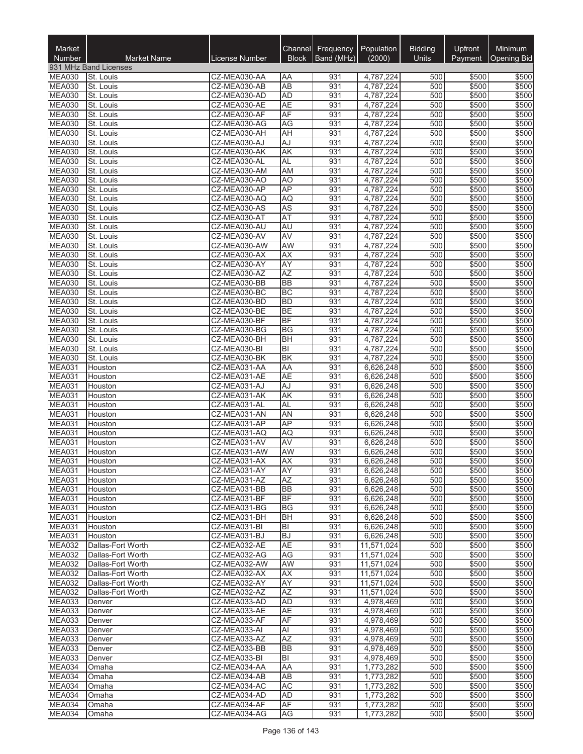| Market<br>Number               | <b>Market Name</b>                     | License Number               | <b>Block</b>           | Channel Frequency<br>Band (MHz) | Population<br>(2000)     | <b>Bidding</b><br>Units | Upfront<br>Payment | Minimum<br><b>Opening Bid</b> |
|--------------------------------|----------------------------------------|------------------------------|------------------------|---------------------------------|--------------------------|-------------------------|--------------------|-------------------------------|
|                                | 931 MHz Band Licenses                  |                              |                        |                                 |                          |                         |                    |                               |
| <b>MEA030</b>                  | St. Louis                              | CZ-MEA030-AA                 | ΑA                     | 931                             | 4,787,224                | 500                     | \$500              | \$500                         |
| <b>MEA030</b>                  | St. Louis                              | CZ-MEA030-AB                 | <b>AB</b>              | 931                             | 4,787,224                | 500                     | \$500              | \$500                         |
| <b>MEA030</b>                  | St. Louis                              | CZ-MEA030-AD                 | <b>AD</b>              | 931                             | 4,787,224                | 500                     | \$500              | \$500                         |
| <b>MEA030</b><br><b>MEA030</b> | St. Louis<br>St. Louis                 | CZ-MEA030-AE<br>CZ-MEA030-AF | <b>AE</b><br>AF        | 931<br>931                      | 4,787,224<br>4,787,224   | 500<br>500              | \$500<br>\$500     | \$500<br>\$500                |
| <b>MEA030</b>                  | St. Louis                              | CZ-MEA030-AG                 | AG                     | 931                             | 4,787,224                | 500                     | \$500              | \$500                         |
| <b>MEA030</b>                  | St. Louis                              | CZ-MEA030-AH                 | AH                     | 931                             | 4,787,224                | 500                     | \$500              | \$500                         |
| <b>MEA030</b>                  | St. Louis                              | CZ-MEA030-AJ                 | AJ                     | 931                             | 4,787,224                | 500                     | \$500              | \$500                         |
| <b>MEA030</b>                  | St. Louis                              | CZ-MEA030-AK                 | AK                     | 931                             | 4,787,224                | 500                     | \$500              | \$500                         |
| <b>MEA030</b>                  | St. Louis                              | CZ-MEA030-AL                 | <b>AL</b>              | 931                             | 4,787,224                | 500                     | \$500              | \$500                         |
| <b>MEA030</b><br><b>MEA030</b> | St. Louis                              | CZ-MEA030-AM                 | AM                     | 931<br>931                      | 4,787,224                | 500<br>500              | \$500              | \$500                         |
| <b>MEA030</b>                  | St. Louis<br>St. Louis                 | CZ-MEA030-AO<br>CZ-MEA030-AP | A <sub>O</sub><br>AP   | 931                             | 4,787,224<br>4,787,224   | 500                     | \$500<br>\$500     | \$500<br>\$500                |
| <b>MEA030</b>                  | St. Louis                              | CZ-MEA030-AQ                 | AQ                     | 931                             | 4,787,224                | 500                     | \$500              | \$500                         |
| <b>MEA030</b>                  | St. Louis                              | CZ-MEA030-AS                 | <b>AS</b>              | 931                             | 4,787,224                | 500                     | \$500              | \$500                         |
| <b>MEA030</b>                  | St. Louis                              | CZ-MEA030-AT                 | AT                     | 931                             | 4,787,224                | 500                     | \$500              | \$500                         |
| <b>MEA030</b>                  | St. Louis                              | CZ-MEA030-AU                 | AU                     | 931                             | 4,787,224                | 500                     | \$500              | \$500                         |
| <b>MEA030</b>                  | St. Louis                              | CZ-MEA030-AV                 | AV                     | 931                             | 4,787,224                | 500                     | \$500              | \$500                         |
| <b>MEA030</b>                  | St. Louis                              | CZ-MEA030-AW                 | AW                     | 931                             | 4,787,224                | 500                     | \$500              | \$500                         |
| MEA030<br><b>MEA030</b>        | St. Louis<br>St. Louis                 | CZ-MEA030-AX<br>CZ-MEA030-AY | <b>AX</b><br>AY        | 931<br>931                      | 4,787,224<br>4,787,224   | 500<br>500              | \$500<br>\$500     | \$500<br>\$500                |
| <b>MEA030</b>                  | St. Louis                              | CZ-MEA030-AZ                 | <b>AZ</b>              | 931                             | 4,787,224                | 500                     | \$500              | \$500                         |
| <b>MEA030</b>                  | St. Louis                              | CZ-MEA030-BB                 | <b>BB</b>              | 931                             | 4,787,224                | 500                     | \$500              | \$500                         |
| <b>MEA030</b>                  | St. Louis                              | CZ-MEA030-BC                 | <b>BC</b>              | 931                             | 4,787,224                | 500                     | \$500              | \$500                         |
| MEA030                         | St. Louis                              | CZ-MEA030-BD                 | <b>BD</b>              | 931                             | 4,787,224                | 500                     | \$500              | \$500                         |
| <b>MEA030</b>                  | St. Louis                              | CZ-MEA030-BE                 | <b>BE</b>              | 931                             | 4,787,224                | 500                     | \$500              | \$500                         |
| <b>MEA030</b>                  | St. Louis                              | CZ-MEA030-BF                 | <b>BF</b>              | 931                             | 4,787,224                | 500<br>500              | \$500              | \$500                         |
| <b>MEA030</b><br><b>MEA030</b> | St. Louis<br>St. Louis                 | CZ-MEA030-BG<br>CZ-MEA030-BH | <b>BG</b><br><b>BH</b> | 931<br>931                      | 4,787,224<br>4,787,224   | 500                     | \$500<br>\$500     | \$500<br>\$500                |
| <b>MEA030</b>                  | St. Louis                              | CZ-MEA030-BI                 | lвı                    | 931                             | 4,787,224                | 500                     | \$500              | \$500                         |
| <b>MEA030</b>                  | St. Louis                              | CZ-MEA030-BK                 | <b>BK</b>              | 931                             | 4,787,224                | 500                     | \$500              | \$500                         |
| <b>MEA031</b>                  | Houston                                | CZ-MEA031-AA                 | AA                     | 931                             | 6,626,248                | 500                     | \$500              | \$500                         |
| <b>MEA031</b>                  | Houston                                | CZ-MEA031-AE                 | <b>AE</b>              | 931                             | 6,626,248                | 500                     | \$500              | \$500                         |
| <b>MEA031</b>                  | Houston                                | CZ-MEA031-AJ                 | AJ                     | 931                             | 6,626,248                | 500                     | \$500              | \$500                         |
| <b>MEA031</b><br>MEA031        | Houston                                | CZ-MEA031-AK<br>CZ-MEA031-AL | <b>AK</b><br><b>AL</b> | 931<br>931                      | 6,626,248<br>6,626,248   | 500<br>500              | \$500<br>\$500     | \$500<br>\$500                |
| <b>MEA031</b>                  | Houston<br>Houston                     | CZ-MEA031-AN                 | <b>AN</b>              | 931                             | 6,626,248                | 500                     | \$500              | \$500                         |
| <b>MEA031</b>                  | Houston                                | CZ-MEA031-AP                 | <b>AP</b>              | 931                             | 6,626,248                | 500                     | \$500              | \$500                         |
| <b>MEA031</b>                  | Houston                                | CZ-MEA031-AQ                 | AQ                     | 931                             | 6,626,248                | 500                     | \$500              | \$500                         |
| <b>MEA031</b>                  | Houston                                | CZ-MEA031-AV                 | AV                     | 931                             | 6,626,248                | 500                     | \$500              | \$500                         |
| <b>MEA031</b>                  | Houston                                | CZ-MEA031-AW                 | AW                     | 931                             | 6,626,248                | 500                     | \$500              | \$500                         |
| <b>MEA031</b>                  | Houston                                | CZ-MEA031-AX                 | JΑΧ                    | 931                             | 6,626,248                | 500                     | \$500              | \$500                         |
| <b>MEA031</b><br><b>MEA031</b> | Houston<br>Houston                     | CZ-MEA031-AY<br>CZ-MEA031-AZ | AY<br>AZ               | 931<br>931                      | 6,626,248<br>6,626,248   | 500<br>500              | \$500<br>\$500     | \$500<br>\$500                |
| <b>MEA031</b>                  | Houston                                | CZ-MEA031-BB                 | <b>BB</b>              | 931                             | 6,626,248                | 500                     | \$500              | \$500                         |
| <b>MEA031</b>                  | Houston                                | CZ-MEA031-BF                 | <b>BF</b>              | 931                             | 6,626,248                | 500                     | \$500              | \$500                         |
| <b>MEA031</b>                  | Houston                                | CZ-MEA031-BG                 | <b>BG</b>              | 931                             | 6,626,248                | 500                     | \$500              | \$500                         |
| <b>MEA031</b>                  | Houston                                | CZ-MEA031-BH                 | <b>BH</b>              | 931                             | 6,626,248                | 500                     | \$500              | \$500                         |
| <b>MEA031</b>                  | Houston                                | CZ-MEA031-BI                 | ΙBΙ                    | 931                             | 6,626,248                | 500                     | \$500              | \$500                         |
| <b>MEA031</b><br><b>MEA032</b> | Houston                                | CZ-MEA031-BJ                 | <b>BJ</b>              | 931                             | 6,626,248                | 500                     | \$500              | \$500                         |
| <b>MEA032</b>                  | Dallas-Fort Worth<br>Dallas-Fort Worth | CZ-MEA032-AE<br>CZ-MEA032-AG | AE<br>AG               | 931<br>931                      | 11,571,024<br>11,571,024 | 500<br>500              | \$500<br>\$500     | \$500<br>\$500                |
| <b>MEA032</b>                  | Dallas-Fort Worth                      | CZ-MEA032-AW                 | AW                     | 931                             | 11,571,024               | 500                     | \$500              | \$500                         |
| <b>MEA032</b>                  | Dallas-Fort Worth                      | CZ-MEA032-AX                 | <b>AX</b>              | 931                             | 11,571,024               | 500                     | \$500              | \$500                         |
| <b>MEA032</b>                  | Dallas-Fort Worth                      | CZ-MEA032-AY                 | AY                     | 931                             | 11,571,024               | 500                     | \$500              | \$500                         |
| <b>MEA032</b>                  | Dallas-Fort Worth                      | CZ-MEA032-AZ                 | AZ                     | 931                             | 11,571,024               | 500                     | \$500              | \$500                         |
| <b>MEA033</b>                  | Denver                                 | CZ-MEA033-AD                 | AD                     | 931                             | 4,978,469                | 500                     | \$500              | \$500                         |
| MEA033                         | Denver                                 | CZ-MEA033-AE                 | <b>AE</b>              | 931                             | 4,978,469                | 500                     | \$500              | \$500                         |
| <b>MEA033</b><br><b>MEA033</b> | Denver                                 | CZ-MEA033-AF<br>CZ-MEA033-AI | AF                     | 931<br>931                      | 4,978,469                | 500                     | \$500              | \$500<br>\$500                |
| MEA033                         | Denver<br>Denver                       | CZ-MEA033-AZ                 | Al<br><b>AZ</b>        | 931                             | 4,978,469<br>4,978,469   | 500<br>500              | \$500<br>\$500     | \$500                         |
| <b>MEA033</b>                  | Denver                                 | CZ-MEA033-BB                 | <b>BB</b>              | 931                             | 4,978,469                | 500                     | \$500              | \$500                         |
| <b>MEA033</b>                  | Denver                                 | CZ-MEA033-BI                 | BI                     | 931                             | 4,978,469                | 500                     | \$500              | \$500                         |
| MEA034                         | Omaha                                  | CZ-MEA034-AA                 | AA                     | 931                             | 1,773,282                | 500                     | \$500              | \$500                         |
| <b>MEA034</b>                  | Omaha                                  | CZ-MEA034-AB                 | AB                     | 931                             | 1,773,282                | 500                     | \$500              | \$500                         |
| <b>MEA034</b>                  | Omaha                                  | CZ-MEA034-AC                 | <b>AC</b>              | 931                             | 1,773,282                | 500                     | \$500              | \$500                         |
| MEA034<br>MEA034               | Omaha                                  | CZ-MEA034-AD                 | AD<br>AF               | 931                             | 1,773,282                | 500<br>500              | \$500              | \$500<br>\$500                |
| MEA034                         | Omaha<br>Omaha                         | CZ-MEA034-AF<br>CZ-MEA034-AG | AG                     | 931<br>931                      | 1,773,282<br>1,773,282   | 500                     | \$500<br>\$500     | \$500                         |
|                                |                                        |                              |                        |                                 |                          |                         |                    |                               |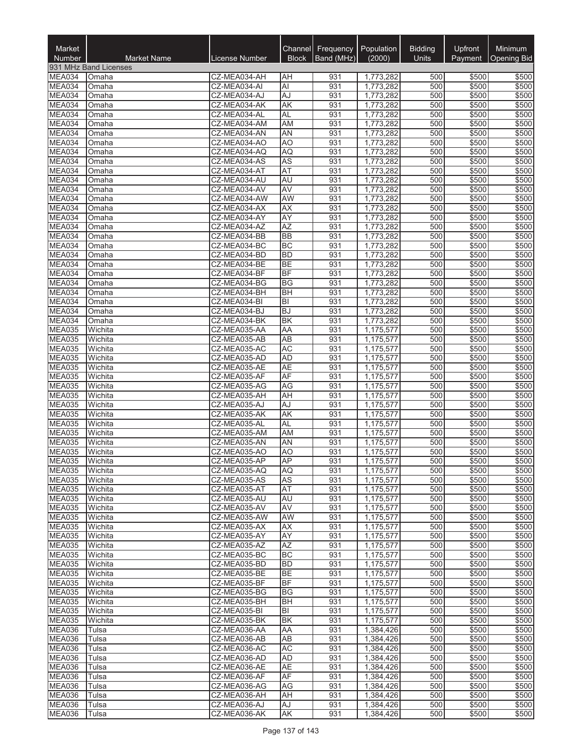| Market<br>Number               | <b>Market Name</b>    | License Number               | <b>Block</b>           | Channel Frequency<br>Band (MHz) | Population<br>(2000)   | <b>Bidding</b><br>Units | Upfront<br>Payment | Minimum<br><b>Opening Bid</b> |
|--------------------------------|-----------------------|------------------------------|------------------------|---------------------------------|------------------------|-------------------------|--------------------|-------------------------------|
|                                | 931 MHz Band Licenses |                              |                        |                                 |                        |                         |                    |                               |
| MEA034                         | Omaha                 | CZ-MEA034-AH                 | <b>AH</b>              | 931                             | 1,773,282              | 500                     | \$500              | \$500                         |
| MEA034                         | Omaha                 | CZ-MEA034-AI                 | Al                     | 931                             | 1,773,282              | 500                     | \$500              | \$500                         |
| MEA034                         | Omaha                 | CZ-MEA034-AJ                 | AJ                     | 931                             | 1,773,282              | 500                     | \$500              | \$500                         |
| MEA034<br>MEA034               | Omaha<br>Omaha        | CZ-MEA034-AK<br>CZ-MEA034-AL | AK<br><b>AL</b>        | 931<br>931                      | 1,773,282<br>1,773,282 | 500<br>500              | \$500<br>\$500     | \$500<br>\$500                |
| MEA034                         | Omaha                 | CZ-MEA034-AM                 | AM                     | 931                             | 1,773,282              | 500                     | \$500              | \$500                         |
| MEA034                         | Omaha                 | CZ-MEA034-AN                 | AN                     | 931                             | 1,773,282              | 500                     | \$500              | \$500                         |
| MEA034                         | Omaha                 | CZ-MEA034-AO                 | AO                     | 931                             | 1,773,282              | 500                     | \$500              | \$500                         |
| MEA034                         | Omaha                 | CZ-MEA034-AQ                 | AQ                     | 931                             | 1,773,282              | 500                     | \$500              | \$500                         |
| MEA034                         | Omaha                 | CZ-MEA034-AS                 | <b>AS</b>              | 931                             | 1,773,282              | 500                     | \$500              | \$500                         |
| MEA034<br>MEA034               | Omaha                 | CZ-MEA034-AT                 | AT                     | 931<br>931                      | 1,773,282              | 500                     | \$500              | \$500                         |
| MEA034                         | Omaha<br>Omaha        | CZ-MEA034-AU<br>CZ-MEA034-AV | AU<br>AV               | 931                             | 1,773,282<br>1,773,282 | 500<br>500              | \$500<br>\$500     | \$500<br>\$500                |
| MEA034                         | Omaha                 | CZ-MEA034-AW                 | <b>AW</b>              | 931                             | 1,773,282              | 500                     | \$500              | \$500                         |
| MEA034                         | Omaha                 | CZ-MEA034-AX                 | <b>AX</b>              | 931                             | 1,773,282              | 500                     | \$500              | \$500                         |
| MEA034                         | Omaha                 | CZ-MEA034-AY                 | AY                     | 931                             | 1,773,282              | 500                     | \$500              | \$500                         |
| MEA034                         | Omaha                 | CZ-MEA034-AZ                 | $\overline{AZ}$        | 931                             | 1,773,282              | 500                     | \$500              | \$500                         |
| MEA034                         | Omaha                 | CZ-MEA034-BB                 | <b>BB</b>              | 931                             | 1,773,282              | 500                     | \$500              | \$500                         |
| MEA034                         | Omaha                 | CZ-MEA034-BC                 | <b>BC</b>              | 931                             | 1,773,282              | 500                     | \$500              | \$500                         |
| MEA034<br>MEA034               | Omaha<br>Omaha        | CZ-MEA034-BD<br>CZ-MEA034-BE | <b>BD</b><br><b>BE</b> | 931<br>931                      | 1,773,282<br>1,773,282 | 500<br>500              | \$500<br>\$500     | \$500<br>\$500                |
| MEA034                         | Omaha                 | CZ-MEA034-BF                 | <b>BF</b>              | 931                             | 1,773,282              | 500                     | \$500              | \$500                         |
| MEA034                         | Omaha                 | CZ-MEA034-BG                 | BG                     | 931                             | 1,773,282              | 500                     | \$500              | \$500                         |
| MEA034                         | Omaha                 | CZ-MEA034-BH                 | <b>BH</b>              | 931                             | 1,773,282              | 500                     | \$500              | \$500                         |
| MEA034                         | Omaha                 | CZ-MEA034-BI                 | lвı                    | 931                             | 1,773,282              | 500                     | \$500              | \$500                         |
| MEA034                         | Omaha                 | CZ-MEA034-BJ                 | <b>BJ</b>              | 931                             | 1,773,282              | 500                     | \$500              | \$500                         |
| MEA034                         | Omaha                 | CZ-MEA034-BK                 | <b>BK</b>              | 931                             | 1,773,282              | 500<br>500              | \$500              | \$500                         |
| <b>MEA035</b><br><b>MEA035</b> | Wichita<br>Wichita    | CZ-MEA035-AA<br>CZ-MEA035-AB | AA<br>AB               | 931<br>931                      | 1,175,577<br>1,175,577 | 500                     | \$500<br>\$500     | \$500<br>\$500                |
| <b>MEA035</b>                  | Wichita               | CZ-MEA035-AC                 | <b>AC</b>              | 931                             | 1,175,577              | 500                     | \$500              | \$500                         |
| MEA035                         | Wichita               | CZ-MEA035-AD                 | <b>AD</b>              | 931                             | 1,175,577              | 500                     | \$500              | \$500                         |
| <b>MEA035</b>                  | Wichita               | CZ-MEA035-AE                 | <b>AE</b>              | 931                             | 1,175,577              | 500                     | \$500              | \$500                         |
| <b>MEA035</b>                  | Wichita               | CZ-MEA035-AF                 | <b>AF</b>              | 931                             | 1,175,577              | 500                     | \$500              | \$500                         |
| MEA035                         | Wichita               | CZ-MEA035-AG                 | AG                     | 931                             | 1,175,577              | 500                     | \$500              | \$500                         |
| <b>MEA035</b><br>MEA035        | Wichita<br>Wichita    | CZ-MEA035-AH<br>CZ-MEA035-AJ | AH<br>AJ               | 931<br>931                      | 1,175,577              | 500<br>500              | \$500<br>\$500     | \$500<br>\$500                |
| <b>MEA035</b>                  | Wichita               | CZ-MEA035-AK                 | <b>AK</b>              | 931                             | 1,175,577<br>1,175,577 | 500                     | \$500              | \$500                         |
| <b>MEA035</b>                  | Wichita               | CZ-MEA035-AL                 | <b>AL</b>              | 931                             | 1,175,577              | 500                     | \$500              | \$500                         |
| <b>MEA035</b>                  | Wichita               | CZ-MEA035-AM                 | <b>AM</b>              | 931                             | 1,175,577              | 500                     | \$500              | \$500                         |
| <b>MEA035</b>                  | Wichita               | CZ-MEA035-AN                 | AN                     | 931                             | 1,175,577              | 500                     | \$500              | \$500                         |
| <b>MEA035</b>                  | Wichita               | CZ-MEA035-AO                 | A <sub>O</sub>         | 931                             | 1,175,577              | 500                     | \$500              | \$500                         |
| <b>MEA035</b>                  | Wichita               | CZ-MEA035-AP                 | <b>AP</b>              | 931                             | 1,175,577              | 500                     | \$500              | \$500                         |
| <b>MEA035</b><br><b>MEA035</b> | Wichita<br>Wichita    | CZ-MEA035-AQ<br>CZ-MEA035-AS | AQ<br>AS               | 931<br>931                      | 1,175,577<br>1,175,577 | 500<br>500              | \$500<br>\$500     | \$500<br>\$500                |
| <b>MEA035</b>                  | Wichita               | CZ-MEA035-AT                 | <b>AT</b>              | 931                             | 1,175,577              | 500                     | \$500              | \$500                         |
| <b>MEA035</b>                  | Wichita               | CZ-MEA035-AU                 | AU                     | 931                             | 1,175,577              | 500                     | \$500              | \$500                         |
| <b>MEA035</b>                  | Wichita               | CZ-MEA035-AV                 | <b>AV</b>              | 931                             | 1,175,577              | 500                     | \$500              | \$500                         |
| <b>MEA035</b>                  | Wichita               | CZ-MEA035-AW                 | AW                     | 931                             | 1,175,577              | 500                     | \$500              | \$500                         |
| <b>MEA035</b>                  | Wichita               | CZ-MEA035-AX                 | <b>AX</b>              | 931                             | 1,175,577              | 500                     | \$500              | \$500                         |
| MEA035                         | Wichita               | CZ-MEA035-AY                 | AY                     | 931                             | 1,175,577              | 500                     | \$500              | \$500                         |
| <b>MEA035</b><br><b>MEA035</b> | Wichita<br>Wichita    | CZ-MEA035-AZ<br>CZ-MEA035-BC | <b>AZ</b><br>BC        | 931<br>931                      | 1,175,577<br>1,175,577 | 500<br>500              | \$500<br>\$500     | \$500<br>\$500                |
| <b>MEA035</b>                  | Wichita               | CZ-MEA035-BD                 | <b>BD</b>              | 931                             | 1,175,577              | 500                     | \$500              | \$500                         |
| <b>MEA035</b>                  | Wichita               | CZ-MEA035-BE                 | <b>BE</b>              | 931                             | 1,175,577              | 500                     | \$500              | \$500                         |
| <b>MEA035</b>                  | Wichita               | CZ-MEA035-BF                 | BF                     | 931                             | 1,175,577              | 500                     | \$500              | \$500                         |
| <b>MEA035</b>                  | Wichita               | CZ-MEA035-BG                 | <b>BG</b>              | 931                             | 1,175,577              | 500                     | \$500              | \$500                         |
| <b>MEA035</b>                  | Wichita               | CZ-MEA035-BH                 | BH                     | 931                             | 1,175,577              | 500                     | \$500              | \$500                         |
| MEA035                         | Wichita               | CZ-MEA035-BI                 | BI                     | 931                             | 1,175,577              | 500                     | \$500              | \$500                         |
| <b>MEA035</b><br><b>MEA036</b> | Wichita<br>Tulsa      | CZ-MEA035-BK<br>CZ-MEA036-AA | <b>BK</b><br><b>AA</b> | 931<br>931                      | 1,175,577<br>1,384,426 | 500<br>500              | \$500<br>\$500     | \$500<br>\$500                |
| MEA036                         | Tulsa                 | CZ-MEA036-AB                 | AB                     | 931                             | 1,384,426              | 500                     | \$500              | \$500                         |
| MEA036                         | Tulsa                 | CZ-MEA036-AC                 | <b>AC</b>              | 931                             | 1,384,426              | 500                     | \$500              | \$500                         |
| MEA036                         | Tulsa                 | CZ-MEA036-AD                 | AD                     | 931                             | 1,384,426              | 500                     | \$500              | \$500                         |
| MEA036                         | Tulsa                 | CZ-MEA036-AE                 | <b>AE</b>              | 931                             | 1,384,426              | 500                     | \$500              | \$500                         |
| <b>MEA036</b>                  | Tulsa                 | CZ-MEA036-AF                 | AF                     | 931                             | 1,384,426              | 500                     | \$500              | \$500                         |
| <b>MEA036</b>                  | Tulsa                 | CZ-MEA036-AG                 | AG                     | 931                             | 1,384,426              | 500                     | \$500              | \$500                         |
| <b>MEA036</b><br>MEA036        | Tulsa<br>Tulsa        | CZ-MEA036-AH<br>CZ-MEA036-AJ | AH<br>AJ               | 931<br>931                      | 1,384,426<br>1,384,426 | 500<br>500              | \$500<br>\$500     | \$500<br>\$500                |
| <b>MEA036</b>                  | Tulsa                 | CZ-MEA036-AK                 | AK                     | 931                             | 1,384,426              | 500                     | \$500              | \$500                         |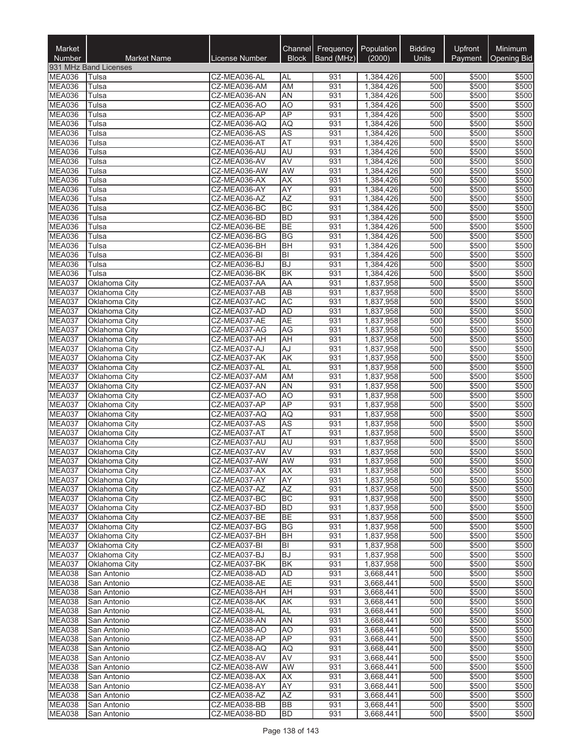| Market                         |                                             |                              |                        | Channel Frequency | Population             | <b>Bidding</b> | Upfront        | Minimum            |
|--------------------------------|---------------------------------------------|------------------------------|------------------------|-------------------|------------------------|----------------|----------------|--------------------|
| Number                         | <b>Market Name</b><br>931 MHz Band Licenses | License Number               | <b>Block</b>           | Band (MHz)        | (2000)                 | Units          | Payment        | <b>Opening Bid</b> |
| <b>MEA036</b>                  | Tulsa                                       | CZ-MEA036-AL                 | AL                     | 931               | 1,384,426              | 500            | \$500          | \$500              |
| <b>MEA036</b>                  | Tulsa                                       | CZ-MEA036-AM                 | <b>AM</b>              | 931               | 1,384,426              | 500            | \$500          | \$500              |
| <b>MEA036</b>                  | Tulsa                                       | CZ-MEA036-AN                 | AN                     | 931               | 1,384,426              | 500            | \$500          | \$500              |
| <b>MEA036</b>                  | Tulsa                                       | CZ-MEA036-AO                 | A <sub>O</sub>         | 931               | 1,384,426              | 500            | \$500          | \$500              |
| MEA036                         | Tulsa                                       | CZ-MEA036-AP                 | <b>AP</b>              | 931               | 1,384,426              | 500            | \$500          | \$500              |
| <b>MEA036</b><br><b>MEA036</b> | Tulsa<br>Tulsa                              | CZ-MEA036-AQ<br>CZ-MEA036-AS | AQ<br><b>AS</b>        | 931<br>931        | 1,384,426<br>1,384,426 | 500<br>500     | \$500<br>\$500 | \$500<br>\$500     |
| MEA036                         | Tulsa                                       | CZ-MEA036-AT                 | AT                     | 931               | 1,384,426              | 500            | \$500          | \$500              |
| MEA036                         | Tulsa                                       | CZ-MEA036-AU                 | AU                     | 931               | 1,384,426              | 500            | \$500          | \$500              |
| MEA036                         | Tulsa                                       | CZ-MEA036-AV                 | <b>AV</b>              | 931               | 1,384,426              | 500            | \$500          | \$500              |
| MEA036                         | Tulsa                                       | CZ-MEA036-AW                 | AW                     | 931               | 1,384,426              | 500            | \$500          | \$500              |
| MEA036                         | Tulsa                                       | CZ-MEA036-AX                 | <b>AX</b>              | 931               | 1,384,426              | 500            | \$500          | \$500              |
| MEA036                         | Tulsa                                       | CZ-MEA036-AY                 | AY                     | 931<br>931        | 1,384,426              | 500<br>500     | \$500<br>\$500 | \$500              |
| MEA036<br>MEA036               | Tulsa<br>Tulsa                              | CZ-MEA036-AZ<br>CZ-MEA036-BC | AZ<br><b>BC</b>        | 931               | 1,384,426<br>1,384,426 | 500            | \$500          | \$500<br>\$500     |
| <b>MEA036</b>                  | Tulsa                                       | CZ-MEA036-BD                 | <b>BD</b>              | 931               | 1,384,426              | 500            | \$500          | \$500              |
| <b>MEA036</b>                  | Tulsa                                       | CZ-MEA036-BE                 | <b>BE</b>              | 931               | 1,384,426              | 500            | \$500          | \$500              |
| MEA036                         | Tulsa                                       | CZ-MEA036-BG                 | BG                     | 931               | 1,384,426              | 500            | \$500          | \$500              |
| MEA036                         | Tulsa                                       | CZ-MEA036-BH                 | <b>BH</b>              | 931               | 1,384,426              | 500            | \$500          | \$500              |
| MEA036                         | Tulsa                                       | CZ-MEA036-BI                 | BI                     | 931               | 1,384,426              | 500            | \$500          | \$500              |
| MEA036                         | Tulsa                                       | CZ-MEA036-BJ                 | <b>BJ</b>              | 931               | 1,384,426              | 500            | \$500          | \$500              |
| MEA036                         | Tulsa                                       | CZ-MEA036-BK                 | BK                     | 931               | 1,384,426              | 500            | \$500          | \$500              |
| MEA037<br>MEA037               | Oklahoma City<br>Oklahoma City              | CZ-MEA037-AA<br>CZ-MEA037-AB | AA<br><b>AB</b>        | 931<br>931        | 1,837,958<br>1,837,958 | 500<br>500     | \$500<br>\$500 | \$500<br>\$500     |
| MEA037                         | Oklahoma City                               | CZ-MEA037-AC                 | <b>AC</b>              | 931               | 1,837,958              | 500            | \$500          | \$500              |
| MEA037                         | Oklahoma City                               | CZ-MEA037-AD                 | <b>AD</b>              | 931               | 1,837,958              | 500            | \$500          | \$500              |
| MEA037                         | Oklahoma City                               | CZ-MEA037-AE                 | <b>AE</b>              | 931               | 1,837,958              | 500            | \$500          | \$500              |
| MEA037                         | Oklahoma City                               | CZ-MEA037-AG                 | AG                     | 931               | 1,837,958              | 500            | \$500          | \$500              |
| MEA037                         | Oklahoma City                               | CZ-MEA037-AH                 | AH                     | 931               | 1,837,958              | 500            | \$500          | \$500              |
| MEA037                         | Oklahoma City                               | CZ-MEA037-AJ                 | AJ                     | 931               | 1,837,958              | 500            | \$500          | \$500              |
| MEA037<br>MEA037               | Oklahoma City                               | CZ-MEA037-AK                 | AK                     | 931               | 1,837,958              | 500            | \$500          | \$500              |
| MEA037                         | Oklahoma City<br>Oklahoma City              | CZ-MEA037-AL<br>CZ-MEA037-AM | <b>AL</b><br>AM        | 931<br>931        | 1,837,958<br>1,837,958 | 500<br>500     | \$500<br>\$500 | \$500<br>\$500     |
| MEA037                         | Oklahoma City                               | CZ-MEA037-AN                 | AN                     | 931               | 1,837,958              | 500            | \$500          | \$500              |
| MEA037                         | Oklahoma City                               | CZ-MEA037-AO                 | AO                     | 931               | 1,837,958              | 500            | \$500          | \$500              |
| MEA037                         | Oklahoma City                               | CZ-MEA037-AP                 | AP                     | 931               | 1,837,958              | 500            | \$500          | \$500              |
| <b>MEA037</b>                  | Oklahoma City                               | CZ-MEA037-AQ                 | AQ                     | 931               | 1,837,958              | 500            | \$500          | \$500              |
| MEA037                         | Oklahoma City                               | CZ-MEA037-AS                 | <b>AS</b>              | 931               | 1,837,958              | 500            | \$500          | \$500              |
| MEA037                         | Oklahoma City                               | CZ-MEA037-AT                 | <b>AT</b>              | 931               | 1,837,958              | 500            | \$500          | \$500              |
| MEA037<br>MEA037               | Oklahoma City<br>Oklahoma City              | CZ-MEA037-AU<br>CZ-MEA037-AV | AU<br>AV               | 931<br>931        | 1,837,958<br>1,837,958 | 500<br>500     | \$500<br>\$500 | \$500<br>\$500     |
| MEA037                         | Oklahoma City                               | CZ-MEA037-AW                 | <b>AW</b>              | 931               | 1,837,958              | 500            | \$500          | \$500              |
| <b>MEA037</b>                  | Oklahoma City                               | CZ-MEA037-AX                 | AX                     | 931               | 1,837,958              | 500            | \$500          | \$500              |
| MEA037                         | Oklahoma City                               | CZ-MEA037-AY                 | AY                     | 931               | 1,837,958              | 500            | \$500          | \$500              |
| <b>MEA037</b>                  | Oklahoma City                               | CZ-MEA037-AZ                 | AZ                     | 931               | 1,837,958              | 500            | \$500          | \$500              |
| <b>MEA037</b>                  | Oklahoma City                               | CZ-MEA037-BC                 | <b>BC</b>              | 931               | 1,837,958              | 500            | \$500          | \$500              |
| <b>MEA037</b><br>MEA037        | Oklahoma City                               | CZ-MEA037-BD                 | <b>BD</b>              | 931               | 1,837,958              | 500            | \$500          | \$500              |
| MEA037                         | Oklahoma City<br>Oklahoma City              | CZ-MEA037-BE<br>CZ-MEA037-BG | <b>BE</b><br><b>BG</b> | 931<br>931        | 1,837,958<br>1,837,958 | 500<br>500     | \$500<br>\$500 | \$500<br>\$500     |
| MEA037                         | Oklahoma City                               | CZ-MEA037-BH                 | BH                     | 931               | 1,837,958              | 500            | \$500          | \$500              |
| <b>MEA037</b>                  | Oklahoma City                               | CZ-MEA037-BI                 | BI                     | 931               | 1,837,958              | 500            | \$500          | \$500              |
| MEA037                         | Oklahoma City                               | CZ-MEA037-BJ                 | <b>BJ</b>              | 931               | 1,837,958              | 500            | \$500          | \$500              |
| MEA037                         | Oklahoma City                               | CZ-MEA037-BK                 | <b>BK</b>              | 931               | 1,837,958              | 500            | \$500          | \$500              |
| <b>MEA038</b>                  | San Antonio                                 | CZ-MEA038-AD                 | AD                     | 931               | 3,668,441              | 500            | \$500          | \$500              |
| MEA038                         | San Antonio                                 | CZ-MEA038-AE                 | <b>AE</b>              | 931               | 3,668,441              | 500            | \$500          | \$500              |
| <b>MEA038</b><br><b>MEA038</b> | San Antonio<br>San Antonio                  | CZ-MEA038-AH<br>CZ-MEA038-AK | AH<br>AK               | 931<br>931        | 3,668,441<br>3,668,441 | 500<br>500     | \$500<br>\$500 | \$500<br>\$500     |
| MEA038                         | San Antonio                                 | CZ-MEA038-AL                 | AL                     | 931               | 3,668,441              | 500            | \$500          | \$500              |
| MEA038                         | San Antonio                                 | CZ-MEA038-AN                 | AN                     | 931               | 3,668,441              | 500            | \$500          | \$500              |
| <b>MEA038</b>                  | San Antonio                                 | CZ-MEA038-AO                 | AO                     | 931               | 3,668,441              | 500            | \$500          | \$500              |
| <b>MEA038</b>                  | San Antonio                                 | CZ-MEA038-AP                 | AP                     | 931               | 3,668,441              | 500            | \$500          | \$500              |
| <b>MEA038</b>                  | San Antonio                                 | CZ-MEA038-AQ                 | AQ                     | 931               | 3,668,441              | 500            | \$500          | \$500              |
| <b>MEA038</b>                  | San Antonio                                 | CZ-MEA038-AV                 | AV                     | 931               | 3,668,441              | 500            | \$500          | \$500              |
| <b>MEA038</b>                  | San Antonio                                 | CZ-MEA038-AW                 | AW                     | 931               | 3,668,441              | 500            | \$500          | \$500              |
| <b>MEA038</b><br><b>MEA038</b> | San Antonio                                 | CZ-MEA038-AX                 | AX                     | 931               | 3,668,441              | 500            | \$500          | \$500              |
| MEA038                         | San Antonio<br>San Antonio                  | CZ-MEA038-AY<br>CZ-MEA038-AZ | AY<br>AZ               | 931<br>931        | 3,668,441<br>3,668,441 | 500<br>500     | \$500<br>\$500 | \$500<br>\$500     |
| MEA038                         | San Antonio                                 | CZ-MEA038-BB                 | BB                     | 931               | 3,668,441              | 500            | \$500          | \$500              |
| <b>MEA038</b>                  | San Antonio                                 | CZ-MEA038-BD                 | <b>BD</b>              | 931               | 3,668,441              | 500            | \$500          | \$500              |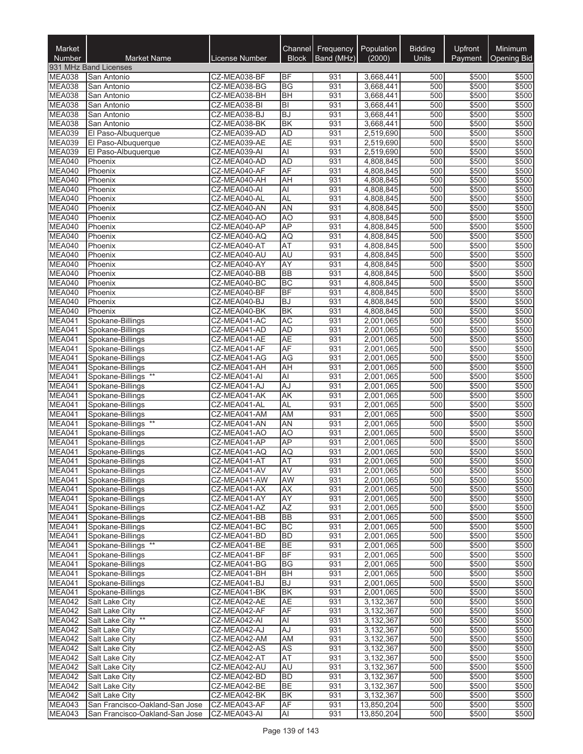| Market                         |                                             |                              |                           | Channel Frequency | Population<br>(2000)   | <b>Bidding</b><br>Units | Upfront        | Minimum            |
|--------------------------------|---------------------------------------------|------------------------------|---------------------------|-------------------|------------------------|-------------------------|----------------|--------------------|
| Number                         | <b>Market Name</b><br>931 MHz Band Licenses | <b>License Number</b>        | <b>Block</b>              | Band (MHz)        |                        |                         | Payment        | <b>Opening Bid</b> |
| <b>MEA038</b>                  | San Antonio                                 | CZ-MEA038-BF                 | <b>BF</b>                 | 931               | 3,668,441              | 500                     | \$500          | \$500              |
| <b>MEA038</b>                  | San Antonio                                 | CZ-MEA038-BG                 | <b>BG</b>                 | 931               | 3,668,441              | 500                     | \$500          | \$500              |
| MEA038                         | San Antonio                                 | CZ-MEA038-BH                 | <b>BH</b>                 | 931               | 3,668,441              | 500                     | \$500          | \$500              |
| MEA038                         | San Antonio                                 | CZ-MEA038-BI                 | $ \overline{\mathsf{B}} $ | 931               | 3,668,441              | 500                     | \$500          | \$500              |
| MEA038                         | San Antonio                                 | CZ-MEA038-BJ                 | <b>BJ</b>                 | 931               | 3,668,441              | 500                     | \$500          | \$500              |
| MEA038                         | San Antonio                                 | CZ-MEA038-BK                 | <b>BK</b>                 | 931               | 3,668,441              | 500                     | \$500          | \$500              |
| <b>MEA039</b><br>MEA039        | El Paso-Albuquerque<br>El Paso-Albuquerque  | CZ-MEA039-AD<br>CZ-MEA039-AE | <b>AD</b><br><b>AE</b>    | 931<br>931        | 2,519,690<br>2,519,690 | 500<br>500              | \$500<br>\$500 | \$500<br>\$500     |
| <b>MEA039</b>                  | El Paso-Albuquerque                         | CZ-MEA039-AI                 | $\overline{AI}$           | 931               | 2,519,690              | 500                     | \$500          | \$500              |
| MEA040                         | Phoenix                                     | CZ-MEA040-AD                 | <b>AD</b>                 | 931               | 4,808,845              | 500                     | \$500          | \$500              |
| MEA040                         | Phoenix                                     | CZ-MEA040-AF                 | AF                        | 931               | 4,808,845              | 500                     | \$500          | \$500              |
| MEA040                         | Phoenix                                     | CZ-MEA040-AH                 | AH                        | 931               | 4,808,845              | 500                     | \$500          | \$500              |
| MEA040                         | Phoenix                                     | CZ-MEA040-AI                 | <b>AI</b>                 | 931               | 4,808,845              | 500                     | \$500          | \$500              |
| MEA040                         | Phoenix                                     | CZ-MEA040-AL                 | <b>AL</b>                 | 931               | 4,808,845              | 500                     | \$500          | \$500              |
| MEA040                         | Phoenix                                     | CZ-MEA040-AN                 | <b>AN</b>                 | 931               | 4,808,845              | 500                     | \$500          | \$500              |
| MEA040                         | Phoenix                                     | CZ-MEA040-AO                 | <b>AO</b>                 | 931               | 4,808,845              | 500                     | \$500          | \$500              |
| MEA040<br>MEA040               | Phoenix<br>Phoenix                          | CZ-MEA040-AP<br>CZ-MEA040-AQ | AP<br><b>AQ</b>           | 931<br>931        | 4,808,845<br>4,808,845 | 500<br>500              | \$500<br>\$500 | \$500<br>\$500     |
| MEA040                         | Phoenix                                     | CZ-MEA040-AT                 | <b>AT</b>                 | 931               | 4,808,845              | 500                     | \$500          | \$500              |
| MEA040                         | Phoenix                                     | CZ-MEA040-AU                 | AU                        | 931               | 4,808,845              | 500                     | \$500          | \$500              |
| MEA040                         | Phoenix                                     | CZ-MEA040-AY                 | <b>AY</b>                 | 931               | 4,808,845              | 500                     | \$500          | \$500              |
| MEA040                         | Phoenix                                     | CZ-MEA040-BB                 | <b>BB</b>                 | 931               | 4,808,845              | 500                     | \$500          | \$500              |
| MEA040                         | Phoenix                                     | CZ-MEA040-BC                 | <b>BC</b>                 | 931               | 4,808,845              | 500                     | \$500          | \$500              |
| MEA040                         | Phoenix                                     | CZ-MEA040-BF                 | BF                        | 931               | 4,808,845              | 500                     | \$500          | \$500              |
| MEA040                         | Phoenix                                     | CZ-MEA040-BJ                 | <b>BJ</b>                 | 931               | 4,808,845              | 500                     | \$500          | \$500              |
| MEA040                         | Phoenix                                     | CZ-MEA040-BK                 | <b>BK</b>                 | 931               | 4,808,845              | 500                     | \$500          | \$500              |
| MEA041                         | Spokane-Billings                            | CZ-MEA041-AC                 | <b>AC</b>                 | 931               | 2,001,065              | 500                     | \$500          | \$500              |
| MEA041<br>MEA041               | Spokane-Billings                            | CZ-MEA041-AD                 | <b>AD</b><br><b>AE</b>    | 931<br>931        | 2,001,065              | 500<br>500              | \$500          | \$500<br>\$500     |
| MEA041                         | Spokane-Billings<br>Spokane-Billings        | CZ-MEA041-AE<br>CZ-MEA041-AF | AF                        | 931               | 2,001,065<br>2,001,065 | 500                     | \$500<br>\$500 | \$500              |
| MEA041                         | Spokane-Billings                            | CZ-MEA041-AG                 | <b>AG</b>                 | 931               | 2,001,065              | 500                     | \$500          | \$500              |
| MEA041                         | Spokane-Billings                            | CZ-MEA041-AH                 | <b>AH</b>                 | 931               | 2,001,065              | 500                     | \$500          | \$500              |
| MEA041                         | Spokane-Billings                            | CZ-MEA041-AI                 | Al                        | 931               | 2,001,065              | 500                     | \$500          | \$500              |
| MEA041                         | Spokane-Billings                            | CZ-MEA041-AJ                 | AJ                        | 931               | 2,001,065              | 500                     | \$500          | \$500              |
| MEA041                         | Spokane-Billings                            | CZ-MEA041-AK                 | <b>AK</b>                 | 931               | 2,001,065              | 500                     | \$500          | \$500              |
| MEA041                         | Spokane-Billings                            | CZ-MEA041-AL                 | <b>AL</b>                 | 931               | 2,001,065              | 500                     | \$500          | \$500              |
| MEA041                         | Spokane-Billings                            | CZ-MEA041-AM                 | AM                        | 931               | 2,001,065              | 500                     | \$500          | \$500              |
| MEA041                         | Spokane-Billings **                         | CZ-MEA041-AN                 | <b>AN</b>                 | 931               | 2,001,065              | 500                     | \$500          | \$500              |
| MEA041<br>MEA041               | Spokane-Billings<br>Spokane-Billings        | CZ-MEA041-AO<br>CZ-MEA041-AP | A <sub>O</sub><br>AP      | 931<br>931        | 2,001,065<br>2,001,065 | 500<br>500              | \$500<br>\$500 | \$500<br>\$500     |
| MEA041                         | Spokane-Billings                            | CZ-MEA041-AQ                 | AQ                        | 931               | 2,001,065              | 500                     | \$500          | \$500              |
| MEA041                         | Spokane-Billings                            | CZ-MEA041-AT                 | <b>AT</b>                 | 931               | 2,001,065              | 500                     | \$500          | \$500              |
| <b>MEA041</b>                  | Spokane-Billings                            | CZ-MEA041-AV                 | AV                        | 931               | 2,001,065              | 500                     | \$500          | \$500              |
| <b>MEA041</b>                  | Spokane-Billings                            | CZ-MEA041-AW                 | AW                        | 931               | 2,001,065              | 500                     | \$500          | \$500              |
| <b>MEA041</b>                  | Spokane-Billings                            | CZ-MEA041-AX                 | <b>AX</b>                 | 931               | 2.001.065              | 500                     | \$500          | \$500              |
| <b>MEA041</b>                  | Spokane-Billings                            | CZ-MEA041-AY                 | AY                        | 931               | 2,001,065              | 500                     | \$500          | \$500              |
| MEA041                         | Spokane-Billings                            | CZ-MEA041-AZ                 | AZ                        | 931               | 2,001,065              | 500                     | \$500          | \$500              |
| <b>MEA041</b>                  | Spokane-Billings                            | CZ-MEA041-BB                 | <b>BB</b>                 | 931               | 2,001,065              | 500                     | \$500          | \$500              |
| MEA041<br>MEA041               | Spokane-Billings                            | CZ-MEA041-BC<br>CZ-MEA041-BD | BC<br><b>BD</b>           | 931<br>931        | 2,001,065              | 500<br>500              | \$500<br>\$500 | \$500              |
| <b>MEA041</b>                  | Spokane-Billings<br>Spokane-Billings **     | CZ-MEA041-BE                 | <b>BE</b>                 | 931               | 2,001,065<br>2,001,065 | 500                     | \$500          | \$500<br>\$500     |
| <b>MEA041</b>                  | Spokane-Billings                            | CZ-MEA041-BF                 | <b>BF</b>                 | 931               | 2,001,065              | 500                     | \$500          | \$500              |
| MEA041                         | Spokane-Billings                            | CZ-MEA041-BG                 | <b>BG</b>                 | 931               | 2,001,065              | 500                     | \$500          | \$500              |
| <b>MEA041</b>                  | Spokane-Billings                            | CZ-MEA041-BH                 | BH                        | 931               | 2,001,065              | 500                     | \$500          | \$500              |
| <b>MEA041</b>                  | Spokane-Billings                            | CZ-MEA041-BJ                 | <b>BJ</b>                 | 931               | 2,001,065              | 500                     | \$500          | \$500              |
| MEA041                         | Spokane-Billings                            | CZ-MEA041-BK                 | <b>BK</b>                 | 931               | 2,001,065              | 500                     | \$500          | \$500              |
| MEA042                         | Salt Lake City                              | CZ-MEA042-AE                 | <b>AE</b>                 | 931               | 3,132,367              | 500                     | \$500          | \$500              |
| MEA042                         | Salt Lake City                              | CZ-MEA042-AF                 | <b>AF</b>                 | 931               | 3,132,367              | 500                     | \$500          | \$500              |
| MEA042                         | Salt Lake City **                           | CZ-MEA042-AI                 | $\overline{AI}$           | 931               | 3,132,367              | 500                     | \$500          | \$500              |
| MEA042                         | Salt Lake City                              | CZ-MEA042-AJ                 | AJ                        | 931               | 3,132,367              | 500                     | \$500          | \$500              |
| <b>MEA042</b><br><b>MEA042</b> | Salt Lake City<br>Salt Lake City            | CZ-MEA042-AM<br>CZ-MEA042-AS | AM<br>AS                  | 931<br>931        | 3,132,367<br>3,132,367 | 500<br>500              | \$500<br>\$500 | \$500<br>\$500     |
| <b>MEA042</b>                  | Salt Lake City                              | CZ-MEA042-AT                 | AT                        | 931               | 3,132,367              | 500                     | \$500          | \$500              |
| <b>MEA042</b>                  | Salt Lake City                              | CZ-MEA042-AU                 | <b>AU</b>                 | 931               | 3,132,367              | 500                     | \$500          | \$500              |
| MEA042                         | Salt Lake City                              | CZ-MEA042-BD                 | <b>BD</b>                 | 931               | 3,132,367              | 500                     | \$500          | \$500              |
| <b>MEA042</b>                  | Salt Lake City                              | CZ-MEA042-BE                 | <b>BE</b>                 | 931               | 3,132,367              | 500                     | \$500          | \$500              |
| MEA042                         | Salt Lake City                              | CZ-MEA042-BK                 | <b>BK</b>                 | 931               | 3,132,367              | 500                     | \$500          | \$500              |
| MEA043                         | San Francisco-Oakland-San Jose              | CZ-MEA043-AF                 | AF                        | 931               | 13,850,204             | 500                     | \$500          | \$500              |
| MEA043                         | San Francisco-Oakland-San Jose              | CZ-MEA043-AI                 | Al                        | 931               | 13,850,204             | 500                     | \$500          | \$500              |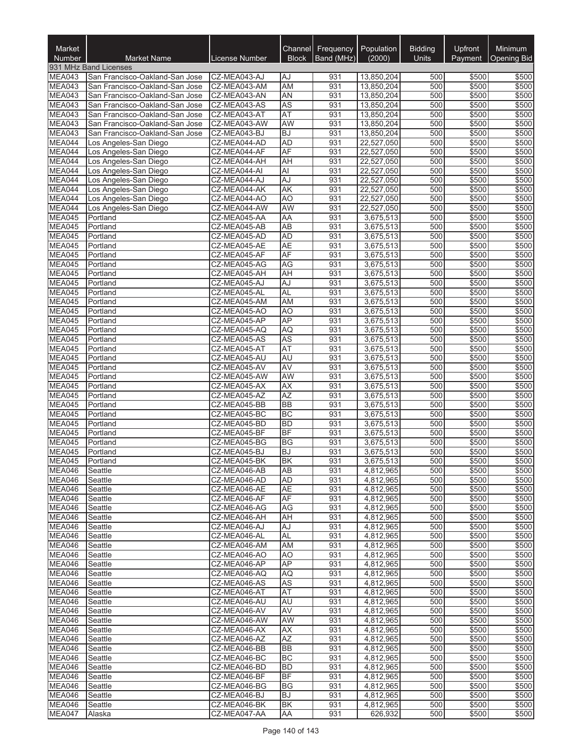| Market<br>Number | <b>Market Name</b>                                               | License Number               | <b>Block</b>                | Channel Frequency<br>Band (MHz) | Population<br>(2000)     | <b>Bidding</b><br>Units | Upfront<br>Payment | <b>Minimum</b><br><b>Opening Bid</b> |
|------------------|------------------------------------------------------------------|------------------------------|-----------------------------|---------------------------------|--------------------------|-------------------------|--------------------|--------------------------------------|
|                  | 931 MHz Band Licenses                                            |                              |                             |                                 |                          |                         |                    |                                      |
| MEA043           | San Francisco-Oakland-San Jose                                   | CZ-MEA043-AJ                 | AJ                          | 931                             | 13,850,204               | 500                     | \$500              | \$500                                |
| MEA043           | San Francisco-Oakland-San Jose                                   | CZ-MEA043-AM                 | <b>AM</b>                   | 931                             | 13,850,204               | 500                     | \$500              | \$500                                |
| <b>MEA043</b>    | San Francisco-Oakland-San Jose                                   | CZ-MEA043-AN                 | <b>AN</b>                   | 931                             | 13,850,204               | 500                     | \$500              | \$500                                |
| MEA043<br>MEA043 | San Francisco-Oakland-San Jose                                   | CZ-MEA043-AS                 | <b>AS</b>                   | 931                             | 13,850,204               | 500                     | \$500              | \$500                                |
| MEA043           | San Francisco-Oakland-San Jose<br>San Francisco-Oakland-San Jose | CZ-MEA043-AT<br>CZ-MEA043-AW | AT<br>AW                    | 931<br>931                      | 13,850,204<br>13,850,204 | 500<br>500              | \$500<br>\$500     | \$500<br>\$500                       |
| MEA043           | San Francisco-Oakland-San Jose                                   | CZ-MEA043-BJ                 | <b>BJ</b>                   | 931                             | 13,850,204               | 500                     | \$500              | \$500                                |
| MEA044           | Los Angeles-San Diego                                            | CZ-MEA044-AD                 | <b>AD</b>                   | 931                             | 22,527,050               | 500                     | \$500              | \$500                                |
| MEA044           | Los Angeles-San Diego                                            | CZ-MEA044-AF                 | <b>AF</b>                   | 931                             | 22,527,050               | 500                     | \$500              | \$500                                |
| MEA044           | Los Angeles-San Diego                                            | CZ-MEA044-AH                 | <b>AH</b>                   | 931                             | 22,527,050               | 500                     | \$500              | \$500                                |
| MEA044           | Los Angeles-San Diego                                            | CZ-MEA044-AI                 | Al                          | 931                             | 22,527,050               | 500                     | \$500              | \$500                                |
| MEA044           | Los Angeles-San Diego                                            | CZ-MEA044-AJ                 | AJ                          | 931                             | 22,527,050               | 500                     | \$500              | \$500                                |
| MEA044           | Los Angeles-San Diego                                            | CZ-MEA044-AK                 | AK                          | 931                             | 22,527,050               | 500                     | \$500              | \$500                                |
| MEA044           | Los Angeles-San Diego                                            | CZ-MEA044-AO                 | A <sub>O</sub>              | 931                             | 22,527,050               | 500                     | \$500              | \$500                                |
| MEA044<br>MEA045 | Los Angeles-San Diego<br>Portland                                | CZ-MEA044-AW<br>CZ-MEA045-AA | <b>AW</b><br>AA             | 931<br>931                      | 22,527,050<br>3,675,513  | 500<br>500              | \$500<br>\$500     | \$500<br>\$500                       |
| MEA045           | Portland                                                         | CZ-MEA045-AB                 | $\overline{AB}$             | 931                             | 3,675,513                | 500                     | \$500              | \$500                                |
| MEA045           | Portland                                                         | CZ-MEA045-AD                 | <b>AD</b>                   | 931                             | 3,675,513                | 500                     | \$500              | \$500                                |
| MEA045           | Portland                                                         | CZ-MEA045-AE                 | <b>AE</b>                   | 931                             | 3,675,513                | 500                     | \$500              | \$500                                |
| MEA045           | Portland                                                         | CZ-MEA045-AF                 | AF                          | 931                             | 3,675,513                | 500                     | \$500              | \$500                                |
| <b>MEA045</b>    | Portland                                                         | CZ-MEA045-AG                 | <b>AG</b>                   | 931                             | 3,675,513                | 500                     | \$500              | \$500                                |
| MEA045           | Portland                                                         | CZ-MEA045-AH                 | <b>AH</b>                   | 931                             | 3,675,513                | 500                     | \$500              | \$500                                |
| MEA045           | Portland                                                         | CZ-MEA045-AJ                 | AJ                          | 931                             | 3,675,513                | 500                     | \$500              | \$500                                |
| MEA045           | Portland                                                         | CZ-MEA045-AL                 | <b>AL</b>                   | 931                             | 3,675,513                | 500                     | \$500              | \$500                                |
| MEA045           | Portland                                                         | CZ-MEA045-AM                 | AM                          | 931                             | 3,675,513                | 500                     | \$500              | \$500                                |
| MEA045<br>MEA045 | Portland                                                         | CZ-MEA045-AO                 | A <sub>O</sub><br><b>AP</b> | 931<br>931                      | 3,675,513                | 500<br>500              | \$500              | \$500                                |
| MEA045           | Portland<br>Portland                                             | CZ-MEA045-AP<br>CZ-MEA045-AQ | AQ                          | 931                             | 3,675,513<br>3,675,513   | 500                     | \$500<br>\$500     | \$500<br>\$500                       |
| MEA045           | Portland                                                         | CZ-MEA045-AS                 | <b>AS</b>                   | 931                             | 3,675,513                | 500                     | \$500              | \$500                                |
| MEA045           | Portland                                                         | CZ-MEA045-AT                 | AT                          | 931                             | 3,675,513                | 500                     | \$500              | \$500                                |
| MEA045           | Portland                                                         | CZ-MEA045-AU                 | <b>AU</b>                   | 931                             | 3,675,513                | 500                     | \$500              | \$500                                |
| <b>MEA045</b>    | Portland                                                         | CZ-MEA045-AV                 | <b>AV</b>                   | 931                             | 3,675,513                | 500                     | \$500              | \$500                                |
| MEA045           | Portland                                                         | CZ-MEA045-AW                 | AW                          | 931                             | 3,675,513                | 500                     | \$500              | \$500                                |
| MEA045           | Portland                                                         | CZ-MEA045-AX                 | <b>AX</b>                   | 931                             | 3,675,513                | 500                     | \$500              | \$500                                |
| <b>MEA045</b>    | Portland                                                         | CZ-MEA045-AZ                 | AZ                          | 931                             | 3,675,513                | 500                     | \$500              | \$500                                |
| MEA045<br>MEA045 | Portland                                                         | CZ-MEA045-BB<br>CZ-MEA045-BC | <b>BB</b><br><b>BC</b>      | 931<br>931                      | 3,675,513                | 500<br>500              | \$500<br>\$500     | \$500<br>\$500                       |
| MEA045           | Portland<br>Portland                                             | CZ-MEA045-BD                 | <b>BD</b>                   | 931                             | 3,675,513<br>3,675,513   | 500                     | \$500              | \$500                                |
| MEA045           | Portland                                                         | CZ-MEA045-BF                 | <b>BF</b>                   | 931                             | 3,675,513                | 500                     | \$500              | \$500                                |
| MEA045           | Portland                                                         | CZ-MEA045-BG                 | BG                          | 931                             | 3,675,513                | 500                     | \$500              | \$500                                |
| MEA045           | Portland                                                         | CZ-MEA045-BJ                 | <b>BJ</b>                   | 931                             | 3,675,513                | 500                     | \$500              | \$500                                |
| MEA045           | Portland                                                         | CZ-MEA045-BK                 | <b>BK</b>                   | 931                             | 3,675,513                | 500                     | \$500              | \$500                                |
| MEA046           | <b>Seattle</b>                                                   | CZ-MEA046-AB                 | AB                          | 931                             | 4,812,965                | 500                     | \$500              | \$500                                |
| MEA046           | Seattle                                                          | CZ-MEA046-AD                 | AD                          | 931                             | 4,812,965                | 500                     | \$500              | \$500                                |
| MEA046           | Seattle                                                          | CZ-MEA046-AE                 | <b>AE</b>                   | 931                             | 4,812,965                | 500                     | \$500              | \$500                                |
| MEA046           | Seattle                                                          | CZ-MEA046-AF                 | AF                          | 931                             | 4,812,965                | 500                     | \$500              | \$500                                |
| MEA046<br>MEA046 | Seattle<br>Seattle                                               | CZ-MEA046-AG<br>CZ-MEA046-AH | AG<br><b>AH</b>             | 931<br>931                      | 4,812,965<br>4,812,965   | 500<br>500              | \$500<br>\$500     | \$500<br>\$500                       |
| <b>MEA046</b>    | Seattle                                                          | CZ-MEA046-AJ                 | AJ                          | 931                             | 4,812,965                | 500                     | \$500              | \$500                                |
| MEA046           | Seattle                                                          | CZ-MEA046-AL                 | <b>AL</b>                   | 931                             | 4,812,965                | 500                     | \$500              | \$500                                |
| MEA046           | Seattle                                                          | CZ-MEA046-AM                 | AM                          | 931                             | 4,812,965                | 500                     | \$500              | \$500                                |
| MEA046           | Seattle                                                          | CZ-MEA046-AO                 | AO                          | 931                             | 4,812,965                | 500                     | \$500              | \$500                                |
| MEA046           | Seattle                                                          | CZ-MEA046-AP                 | <b>AP</b>                   | 931                             | 4,812,965                | 500                     | \$500              | \$500                                |
| MEA046           | Seattle                                                          | CZ-MEA046-AQ                 | AQ                          | 931                             | 4,812,965                | 500                     | \$500              | \$500                                |
| MEA046           | Seattle                                                          | CZ-MEA046-AS                 | AS                          | 931                             | 4,812,965                | 500                     | \$500              | \$500                                |
| MEA046           | Seattle                                                          | CZ-MEA046-AT                 | AT                          | 931                             | 4,812,965                | 500                     | \$500              | \$500                                |
| <b>MEA046</b>    | Seattle                                                          | CZ-MEA046-AU                 | <b>AU</b>                   | 931                             | 4,812,965                | 500                     | \$500              | \$500                                |
| MEA046<br>MEA046 | Seattle<br>Seattle                                               | CZ-MEA046-AV<br>CZ-MEA046-AW | AV<br>AW                    | 931<br>931                      | 4,812,965<br>4,812,965   | 500<br>500              | \$500<br>\$500     | \$500<br>\$500                       |
| MEA046           | Seattle                                                          | CZ-MEA046-AX                 | <b>AX</b>                   | 931                             | 4,812,965                | 500                     | \$500              | \$500                                |
| MEA046           | Seattle                                                          | CZ-MEA046-AZ                 | AZ                          | 931                             | 4,812,965                | 500                     | \$500              | \$500                                |
| MEA046           | Seattle                                                          | CZ-MEA046-BB                 | <b>BB</b>                   | 931                             | 4,812,965                | 500                     | \$500              | \$500                                |
| MEA046           | Seattle                                                          | CZ-MEA046-BC                 | <b>BC</b>                   | 931                             | 4,812,965                | 500                     | \$500              | \$500                                |
| MEA046           | Seattle                                                          | CZ-MEA046-BD                 | BD                          | 931                             | 4,812,965                | 500                     | \$500              | \$500                                |
| <b>MEA046</b>    | Seattle                                                          | CZ-MEA046-BF                 | <b>BF</b>                   | 931                             | 4,812,965                | 500                     | \$500              | \$500                                |
| MEA046           | Seattle                                                          | CZ-MEA046-BG                 | BG                          | 931                             | 4,812,965                | 500                     | \$500              | \$500                                |
| MEA046<br>MEA046 | Seattle                                                          | CZ-MEA046-BJ                 | <b>BJ</b>                   | 931                             | 4,812,965                | 500                     | \$500              | \$500                                |
| MEA047           | Seattle<br>Alaska                                                | CZ-MEA046-BK<br>CZ-MEA047-AA | B <sub>K</sub><br>AA        | 931<br>931                      | 4,812,965<br>626,932     | 500<br>500              | \$500<br>\$500     | \$500<br>\$500                       |
|                  |                                                                  |                              |                             |                                 |                          |                         |                    |                                      |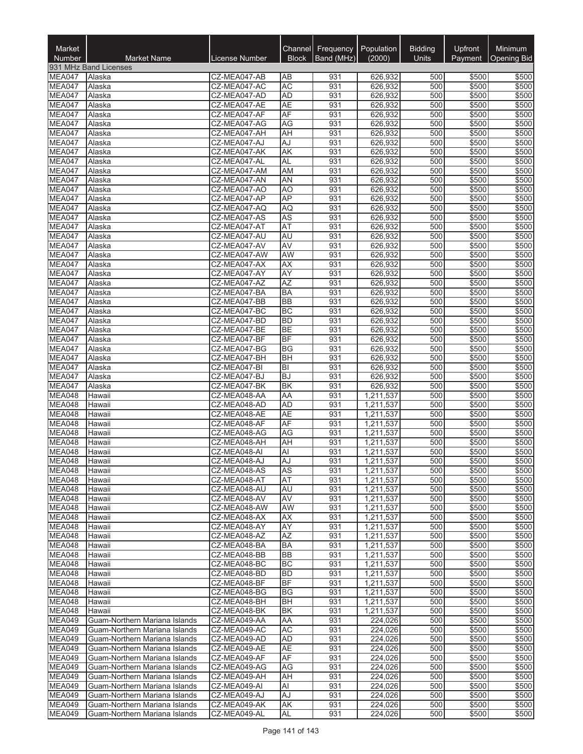| Market<br><b>Number</b> | <b>Market Name</b>                                             | License Number               | <b>Block</b>           | Channel Frequency<br>Band (MHz) | Population<br>(2000)   | <b>Bidding</b><br>Units | Upfront<br>Payment | <b>Minimum</b><br><b>Opening Bid</b> |
|-------------------------|----------------------------------------------------------------|------------------------------|------------------------|---------------------------------|------------------------|-------------------------|--------------------|--------------------------------------|
|                         | 931 MHz Band Licenses                                          |                              |                        |                                 |                        |                         |                    |                                      |
| MEA047                  | Alaska                                                         | CZ-MEA047-AB                 | AB                     | 931                             | 626,932                | 500                     | \$500              | \$500                                |
| MEA047                  | Alaska                                                         | CZ-MEA047-AC                 | <b>AC</b>              | 931                             | 626,932                | 500                     | \$500              | \$500                                |
| MEA047                  | Alaska                                                         | CZ-MEA047-AD                 | <b>AD</b>              | 931                             | 626,932                | 500                     | \$500              | \$500                                |
| MEA047<br>MEA047        | Alaska<br>Alaska                                               | CZ-MEA047-AE<br>CZ-MEA047-AF | <b>AE</b><br>AF        | 931<br>931                      | 626,932<br>626,932     | 500<br>500              | \$500<br>\$500     | \$500<br>\$500                       |
| MEA047                  | Alaska                                                         | CZ-MEA047-AG                 | AG                     | 931                             | 626,932                | 500                     | \$500              | \$500                                |
| MEA047                  | Alaska                                                         | CZ-MEA047-AH                 | AH                     | 931                             | 626,932                | 500                     | \$500              | \$500                                |
| MEA047                  | Alaska                                                         | CZ-MEA047-AJ                 | AJ                     | 931                             | 626,932                | 500                     | \$500              | \$500                                |
| MEA047                  | Alaska                                                         | CZ-MEA047-AK                 | AK                     | 931                             | 626,932                | 500                     | \$500              | \$500                                |
| MEA047                  | Alaska                                                         | CZ-MEA047-AL                 | <b>AL</b>              | 931                             | 626,932                | 500                     | \$500              | \$500                                |
| MEA047                  | Alaska                                                         | CZ-MEA047-AM                 | AM                     | 931                             | 626,932                | 500                     | \$500              | \$500                                |
| MEA047                  | Alaska                                                         | CZ-MEA047-AN                 | AN                     | 931                             | 626,932                | 500                     | \$500              | \$500                                |
| MEA047                  | Alaska                                                         | CZ-MEA047-AO                 | A <sub>O</sub>         | 931                             | 626,932                | 500                     | \$500              | \$500                                |
| MEA047<br>MEA047        | Alaska<br>Alaska                                               | CZ-MEA047-AP<br>CZ-MEA047-AQ | AP<br>AQ               | 931<br>931                      | 626,932<br>626,932     | 500<br>500              | \$500<br>\$500     | \$500<br>\$500                       |
| MEA047                  | Alaska                                                         | CZ-MEA047-AS                 | <b>AS</b>              | 931                             | 626,932                | 500                     | \$500              | \$500                                |
| MEA047                  | Alaska                                                         | CZ-MEA047-AT                 | AT                     | 931                             | 626,932                | 500                     | \$500              | \$500                                |
| MEA047                  | Alaska                                                         | CZ-MEA047-AU                 | <b>AU</b>              | 931                             | 626,932                | 500                     | \$500              | \$500                                |
| MEA047                  | Alaska                                                         | CZ-MEA047-AV                 | AV                     | 931                             | 626,932                | 500                     | \$500              | \$500                                |
| MEA047                  | Alaska                                                         | CZ-MEA047-AW                 | AW                     | 931                             | 626,932                | 500                     | \$500              | \$500                                |
| MEA047                  | Alaska                                                         | CZ-MEA047-AX                 | AX                     | 931                             | 626,932                | 500                     | \$500              | \$500                                |
| MEA047                  | Alaska                                                         | CZ-MEA047-AY                 | AY                     | 931                             | 626,932                | 500                     | \$500              | \$500                                |
| MEA047                  | Alaska                                                         | CZ-MEA047-AZ                 | <b>AZ</b>              | 931                             | 626,932                | 500                     | \$500              | \$500                                |
| MEA047                  | Alaska                                                         | CZ-MEA047-BA                 | <b>BA</b>              | 931                             | 626,932                | 500                     | \$500              | \$500                                |
| MEA047<br>MEA047        | Alaska<br>Alaska                                               | CZ-MEA047-BB<br>CZ-MEA047-BC | <b>BB</b><br><b>BC</b> | 931<br>931                      | 626,932<br>626,932     | 500<br>500              | \$500<br>\$500     | \$500<br>\$500                       |
| MEA047                  | Alaska                                                         | CZ-MEA047-BD                 | <b>BD</b>              | 931                             | 626,932                | 500                     | \$500              | \$500                                |
| MEA047                  | Alaska                                                         | CZ-MEA047-BE                 | <b>BE</b>              | 931                             | 626,932                | 500                     | \$500              | \$500                                |
| MEA047                  | Alaska                                                         | CZ-MEA047-BF                 | <b>BF</b>              | 931                             | 626,932                | 500                     | \$500              | \$500                                |
| MEA047                  | Alaska                                                         | CZ-MEA047-BG                 | BG                     | 931                             | 626,932                | 500                     | \$500              | \$500                                |
| MEA047                  | Alaska                                                         | CZ-MEA047-BH                 | <b>BH</b>              | 931                             | 626,932                | 500                     | \$500              | \$500                                |
| MEA047                  | Alaska                                                         | CZ-MEA047-BI                 | BI                     | 931                             | 626,932                | 500                     | \$500              | \$500                                |
| MEA047                  | Alaska                                                         | CZ-MEA047-BJ                 | <b>BJ</b>              | 931                             | 626,932                | 500                     | \$500              | \$500                                |
| MEA047                  | Alaska                                                         | CZ-MEA047-BK                 | <b>BK</b>              | 931                             | 626,932                | 500                     | \$500              | \$500                                |
| MEA048<br>MEA048        | Hawaii<br>Hawaii                                               | CZ-MEA048-AA<br>CZ-MEA048-AD | AA<br><b>AD</b>        | 931<br>931                      | 1,211,537<br>1,211,537 | 500<br>500              | \$500<br>\$500     | \$500<br>\$500                       |
| MEA048                  | Hawaii                                                         | CZ-MEA048-AE                 | <b>AE</b>              | 931                             | 1,211,537              | 500                     | \$500              | \$500                                |
| MEA048                  | Hawaii                                                         | CZ-MEA048-AF                 | AF                     | 931                             | 1,211,537              | 500                     | \$500              | \$500                                |
| MEA048                  | Hawaii                                                         | CZ-MEA048-AG                 | AG                     | 931                             | 1,211,537              | 500                     | \$500              | \$500                                |
| MEA048                  | Hawaii                                                         | CZ-MEA048-AH                 | AH                     | 931                             | 1,211,537              | 500                     | \$500              | \$500                                |
| MEA048                  | Hawaii                                                         | CZ-MEA048-AI                 | Al                     | 931                             | 1,211,537              | 500                     | \$500              | \$500                                |
| <b>MEA048</b>           | Hawaii                                                         | CZ-MEA048-AJ                 | AJ                     | 931                             | 1,211,537              | 500                     | \$500              | \$500                                |
| MEA048                  | Hawaii                                                         | CZ-MEA048-AS                 | <b>AS</b>              | 931                             | 1,211,537              | 500                     | \$500              | \$500                                |
| MEA048                  | Hawaii                                                         | CZ-MEA048-AT                 | AT                     | 931                             | 1,211,537              | 500                     | \$500              | \$500                                |
| MEA048<br>MEA048        | Hawaii<br>Hawaii                                               | CZ-MEA048-AU<br>CZ-MEA048-AV | AU<br>AV               | 931<br>931                      | 1,211,537<br>1,211,537 | 500<br>500              | \$500<br>\$500     | \$500<br>\$500                       |
| MEA048                  | Hawaii                                                         | CZ-MEA048-AW                 | AW                     | 931                             | 1,211,537              | 500                     | \$500              | \$500                                |
| MEA048                  | Hawaii                                                         | CZ-MEA048-AX                 | АX                     | 931                             | 1,211,537              | 500                     | \$500              | \$500                                |
| MEA048                  | Hawaii                                                         | CZ-MEA048-AY                 | <b>AY</b>              | 931                             | 1,211,537              | 500                     | \$500              | \$500                                |
| MEA048                  | Hawaii                                                         | CZ-MEA048-AZ                 | AZ                     | 931                             | 1,211,537              | 500                     | \$500              | \$500                                |
| MEA048                  | Hawaii                                                         | CZ-MEA048-BA                 | BA                     | 931                             | 1,211,537              | 500                     | \$500              | \$500                                |
| MEA048                  | Hawaii                                                         | CZ-MEA048-BB                 | <b>BB</b>              | 931                             | 1,211,537              | 500                     | \$500              | \$500                                |
| MEA048                  | Hawaii                                                         | CZ-MEA048-BC                 | BC                     | 931                             | 1,211,537              | 500                     | \$500              | \$500                                |
| MEA048<br>MEA048        | Hawaii                                                         | CZ-MEA048-BD<br>CZ-MEA048-BF | <b>BD</b><br>BF        | 931                             | 1,211,537              | 500                     | \$500              | \$500                                |
| MEA048                  | Hawaii                                                         |                              | <b>BG</b>              | 931                             | 1,211,537              | 500                     | \$500              | \$500<br>\$500                       |
| <b>MEA048</b>           | Hawaii<br>Hawaii                                               | CZ-MEA048-BG<br>CZ-MEA048-BH | BH                     | 931<br>931                      | 1,211,537<br>1,211,537 | 500<br>500              | \$500<br>\$500     | \$500                                |
| MEA048                  | Hawaii                                                         | CZ-MEA048-BK                 | BK                     | 931                             | 1,211,537              | 500                     | \$500              | \$500                                |
| MEA049                  | Guam-Northern Mariana Islands                                  | CZ-MEA049-AA                 | AA                     | 931                             | 224,026                | 500                     | \$500              | \$500                                |
| <b>MEA049</b>           | Guam-Northern Mariana Islands                                  | CZ-MEA049-AC                 | <b>AC</b>              | 931                             | 224,026                | 500                     | \$500              | \$500                                |
| MEA049                  | Guam-Northern Mariana Islands                                  | CZ-MEA049-AD                 | AD                     | 931                             | 224,026                | 500                     | \$500              | \$500                                |
| <b>MEA049</b>           | Guam-Northern Mariana Islands                                  | CZ-MEA049-AE                 | <b>AE</b>              | 931                             | 224,026                | 500                     | \$500              | \$500                                |
| <b>MEA049</b>           | Guam-Northern Mariana Islands                                  | CZ-MEA049-AF                 | AF                     | 931                             | 224,026                | 500                     | \$500              | \$500                                |
| <b>MEA049</b>           | Guam-Northern Mariana Islands                                  | CZ-MEA049-AG                 | AG                     | 931                             | 224,026                | 500                     | \$500              | \$500                                |
| MEA049                  | Guam-Northern Mariana Islands                                  | CZ-MEA049-AH                 | AH                     | 931                             | 224,026                | 500                     | \$500              | \$500                                |
| MEA049<br><b>MEA049</b> | Guam-Northern Mariana Islands<br>Guam-Northern Mariana Islands | CZ-MEA049-AI<br>CZ-MEA049-AJ | Al<br>AJ               | 931<br>931                      | 224,026<br>224,026     | 500<br>500              | \$500<br>\$500     | \$500<br>\$500                       |
| <b>MEA049</b>           | Guam-Northern Mariana Islands                                  | CZ-MEA049-AK                 | <b>AK</b>              | 931                             | 224,026                | 500                     | \$500              | \$500                                |
| <b>MEA049</b>           | Guam-Northern Mariana Islands                                  | CZ-MEA049-AL                 | AL                     | 931                             | 224,026                | 500                     | \$500              | \$500                                |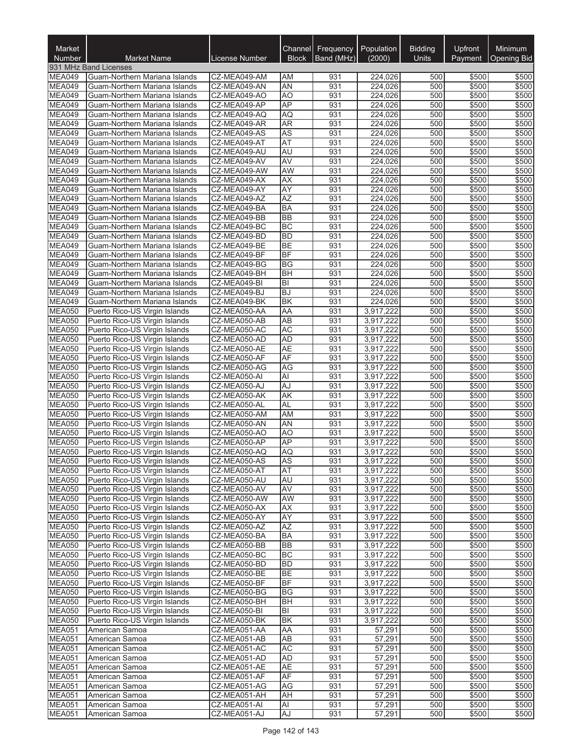| Market<br>Number               | <b>Market Name</b>                                             | License Number               | <b>Block</b>    | Channel Frequency<br>Band (MHz) | Population<br>(2000)   | <b>Bidding</b><br><b>Units</b> | Upfront<br>Payment | <b>Minimum</b><br><b>Opening Bid</b> |
|--------------------------------|----------------------------------------------------------------|------------------------------|-----------------|---------------------------------|------------------------|--------------------------------|--------------------|--------------------------------------|
|                                | 931 MHz Band Licenses                                          |                              |                 |                                 |                        |                                |                    |                                      |
| MEA049                         | Guam-Northern Mariana Islands                                  | CZ-MEA049-AM                 | ΑM              | 931                             | 224,026                | 500                            | \$500              | \$500                                |
| MEA049                         | Guam-Northern Mariana Islands                                  | CZ-MEA049-AN                 | <b>AN</b>       | 931                             | 224,026                | 500                            | \$500              | \$500                                |
| MEA049                         | Guam-Northern Mariana Islands                                  | CZ-MEA049-AO                 | A <sub>O</sub>  | 931                             | 224,026                | 500                            | \$500              | \$500                                |
| MEA049<br>MEA049               | Guam-Northern Mariana Islands<br>Guam-Northern Mariana Islands | CZ-MEA049-AP<br>CZ-MEA049-AQ | AP<br>AQ        | 931<br>931                      | 224,026<br>224,026     | 500<br>500                     | \$500<br>\$500     | \$500<br>\$500                       |
| MEA049                         | Guam-Northern Mariana Islands                                  | CZ-MEA049-AR                 | <b>AR</b>       | 931                             | 224,026                | 500                            | \$500              | \$500                                |
| <b>MEA049</b>                  | Guam-Northern Mariana Islands                                  | CZ-MEA049-AS                 | AS              | 931                             | 224,026                | 500                            | \$500              | \$500                                |
| MEA049                         | Guam-Northern Mariana Islands                                  | CZ-MEA049-AT                 | <b>AT</b>       | 931                             | 224,026                | 500                            | \$500              | \$500                                |
| MEA049                         | Guam-Northern Mariana Islands                                  | CZ-MEA049-AU                 | AU              | 931                             | 224,026                | 500                            | \$500              | \$500                                |
| <b>MEA049</b>                  | Guam-Northern Mariana Islands                                  | CZ-MEA049-AV                 | <b>AV</b>       | 931                             | 224,026                | 500                            | \$500              | \$500                                |
| MEA049                         | Guam-Northern Mariana Islands                                  | CZ-MEA049-AW                 | AW              | 931                             | 224,026                | 500                            | \$500              | \$500                                |
| MEA049                         | Guam-Northern Mariana Islands                                  | CZ-MEA049-AX                 | <b>AX</b>       | 931                             | 224,026                | 500                            | \$500              | \$500                                |
| MEA049                         | Guam-Northern Mariana Islands                                  | CZ-MEA049-AY                 | AY              | 931                             | 224,026                | 500                            | \$500              | \$500                                |
| <b>MEA049</b><br>MEA049        | Guam-Northern Mariana Islands                                  | CZ-MEA049-AZ                 | AZ<br><b>BA</b> | 931                             | 224,026                | 500<br>500                     | \$500              | \$500                                |
| MEA049                         | Guam-Northern Mariana Islands<br>Guam-Northern Mariana Islands | CZ-MEA049-BA<br>CZ-MEA049-BB | <b>BB</b>       | 931<br>931                      | 224,026<br>224,026     | 500                            | \$500<br>\$500     | \$500<br>\$500                       |
| MEA049                         | Guam-Northern Mariana Islands                                  | CZ-MEA049-BC                 | BC              | 931                             | 224,026                | 500                            | \$500              | \$500                                |
| MEA049                         | Guam-Northern Mariana Islands                                  | CZ-MEA049-BD                 | <b>BD</b>       | 931                             | 224,026                | 500                            | \$500              | \$500                                |
| <b>MEA049</b>                  | Guam-Northern Mariana Islands                                  | CZ-MEA049-BE                 | <b>BE</b>       | 931                             | 224,026                | 500                            | \$500              | \$500                                |
| MEA049                         | Guam-Northern Mariana Islands                                  | CZ-MEA049-BF                 | <b>BF</b>       | 931                             | 224,026                | 500                            | \$500              | \$500                                |
| <b>MEA049</b>                  | Guam-Northern Mariana Islands                                  | CZ-MEA049-BG                 | <b>BG</b>       | 931                             | 224.026                | 500                            | \$500              | \$500                                |
| <b>MEA049</b>                  | Guam-Northern Mariana Islands                                  | CZ-MEA049-BH                 | <b>BH</b>       | 931                             | 224,026                | 500                            | \$500              | \$500                                |
| MEA049                         | Guam-Northern Mariana Islands                                  | CZ-MEA049-BI                 | lвı             | 931                             | 224,026                | 500                            | \$500              | \$500                                |
| MEA049                         | Guam-Northern Mariana Islands                                  | CZ-MEA049-BJ                 | <b>BJ</b>       | 931                             | 224,026                | 500                            | \$500              | \$500                                |
| MEA049<br><b>MEA050</b>        | Guam-Northern Mariana Islands                                  | CZ-MEA049-BK                 | <b>BK</b>       | 931<br>931                      | 224,026                | 500<br>500                     | \$500              | \$500                                |
| <b>MEA050</b>                  | Puerto Rico-US Virgin Islands<br>Puerto Rico-US Virgin Islands | CZ-MEA050-AA<br>CZ-MEA050-AB | AA<br><b>AB</b> | 931                             | 3,917,222<br>3,917,222 | 500                            | \$500<br>\$500     | \$500<br>\$500                       |
| <b>MEA050</b>                  | Puerto Rico-US Virgin Islands                                  | CZ-MEA050-AC                 | <b>AC</b>       | 931                             | 3,917,222              | 500                            | \$500              | \$500                                |
| <b>MEA050</b>                  | Puerto Rico-US Virgin Islands                                  | CZ-MEA050-AD                 | <b>AD</b>       | 931                             | 3,917,222              | 500                            | \$500              | \$500                                |
| <b>MEA050</b>                  | Puerto Rico-US Virgin Islands                                  | CZ-MEA050-AE                 | AE              | 931                             | 3,917,222              | 500                            | \$500              | \$500                                |
| <b>MEA050</b>                  | Puerto Rico-US Virgin Islands                                  | CZ-MEA050-AF                 | AF              | 931                             | 3,917,222              | 500                            | \$500              | \$500                                |
| <b>MEA050</b>                  | Puerto Rico-US Virgin Islands                                  | CZ-MEA050-AG                 | AG              | 931                             | 3,917,222              | 500                            | \$500              | \$500                                |
| MEA050                         | Puerto Rico-US Virgin Islands                                  | CZ-MEA050-AI                 | $\overline{AI}$ | 931                             | 3,917,222              | 500                            | \$500              | \$500                                |
| <b>MEA050</b>                  | Puerto Rico-US Virgin Islands                                  | CZ-MEA050-AJ                 | AJ              | 931                             | 3,917,222              | 500                            | \$500              | \$500                                |
| <b>MEA050</b><br><b>MEA050</b> | Puerto Rico-US Virgin Islands                                  | CZ-MEA050-AK<br>CZ-MEA050-AL | <b>AK</b>       | 931                             | 3,917,222              | 500<br>500                     | \$500              | \$500                                |
| <b>MEA050</b>                  | Puerto Rico-US Virgin Islands<br>Puerto Rico-US Virgin Islands | CZ-MEA050-AM                 | <b>AL</b><br>AM | 931<br>931                      | 3,917,222<br>3,917,222 | 500                            | \$500<br>\$500     | \$500<br>\$500                       |
| <b>MEA050</b>                  | Puerto Rico-US Virgin Islands                                  | CZ-MEA050-AN                 | <b>AN</b>       | 931                             | 3,917,222              | 500                            | \$500              | \$500                                |
| <b>MEA050</b>                  | Puerto Rico-US Virgin Islands                                  | CZ-MEA050-AO                 | A <sub>O</sub>  | 931                             | 3,917,222              | 500                            | \$500              | \$500                                |
| <b>MEA050</b>                  | Puerto Rico-US Virgin Islands                                  | CZ-MEA050-AP                 | AP              | 931                             | 3,917,222              | 500                            | \$500              | \$500                                |
| <b>MEA050</b>                  | Puerto Rico-US Virgin Islands                                  | CZ-MEA050-AQ                 | AQ              | 931                             | 3,917,222              | 500                            | \$500              | \$500                                |
| <b>MEA050</b>                  | Puerto Rico-US Virgin Islands                                  | CZ-MEA050-AS                 | <b>AS</b>       | 931                             | 3,917,222              | 500                            | \$500              | \$500                                |
| <b>MEA050</b>                  | Puerto Rico-US Virgin Islands                                  | CZ-MEA050-AT                 | <b>AT</b>       | 931                             | 3,917,222              | 500                            | \$500              | \$500                                |
| <b>MEA050</b>                  | Puerto Rico-US Virgin Islands                                  | CZ-MEA050-AU                 | AU              | 931                             | 3,917,222              | 500                            | \$500              | \$500                                |
| <b>MEA050</b><br><b>MEA050</b> | Puerto Rico-US Virgin Islands<br>Puerto Rico-US Virgin Islands | CZ-MEA050-AV<br>CZ-MEA050-AW | AV<br>AW        | 931<br>931                      | 3,917,222              | 500<br>500                     | \$500              | \$500<br>\$500                       |
| <b>MEA050</b>                  | Puerto Rico-US Virgin Islands                                  | CZ-MEA050-AX                 | AX              | 931                             | 3,917,222<br>3,917,222 | 500                            | \$500<br>\$500     | \$500                                |
| <b>MEA050</b>                  | Puerto Rico-US Virgin Islands                                  | CZ-MEA050-AY                 | <b>AY</b>       | 931                             | 3,917,222              | 500                            | \$500              | \$500                                |
| <b>MEA050</b>                  | Puerto Rico-US Virgin Islands                                  | CZ-MEA050-AZ                 | <b>AZ</b>       | 931                             | 3,917,222              | 500                            | \$500              | \$500                                |
| <b>MEA050</b>                  | Puerto Rico-US Virgin Islands                                  | CZ-MEA050-BA                 | <b>BA</b>       | 931                             | 3,917,222              | 500                            | \$500              | \$500                                |
| <b>MEA050</b>                  | Puerto Rico-US Virgin Islands                                  | CZ-MEA050-BB                 | <b>BB</b>       | 931                             | 3,917,222              | 500                            | \$500              | \$500                                |
| <b>MEA050</b>                  | Puerto Rico-US Virgin Islands                                  | CZ-MEA050-BC                 | <b>BC</b>       | 931                             | 3,917,222              | 500                            | \$500              | \$500                                |
| <b>MEA050</b>                  | Puerto Rico-US Virgin Islands                                  | CZ-MEA050-BD                 | <b>BD</b>       | 931                             | 3,917,222              | 500                            | \$500              | \$500                                |
| <b>MEA050</b>                  | Puerto Rico-US Virgin Islands                                  | CZ-MEA050-BE                 | <b>BE</b>       | 931                             | 3,917,222              | 500                            | \$500              | \$500                                |
| <b>MEA050</b>                  | Puerto Rico-US Virgin Islands                                  | CZ-MEA050-BF                 | <b>BF</b>       | 931                             | 3,917,222              | 500                            | \$500              | \$500                                |
| <b>MEA050</b><br><b>MEA050</b> | Puerto Rico-US Virgin Islands<br>Puerto Rico-US Virgin Islands | CZ-MEA050-BG<br>CZ-MEA050-BH | <b>BG</b><br>BH | 931<br>931                      | 3,917,222<br>3,917,222 | 500<br>500                     | \$500<br>\$500     | \$500<br>\$500                       |
| <b>MEA050</b>                  | Puerto Rico-US Virgin Islands                                  | CZ-MEA050-BI                 | BI              | 931                             | 3,917,222              | 500                            | \$500              | \$500                                |
| <b>MEA050</b>                  | Puerto Rico-US Virgin Islands                                  | CZ-MEA050-BK                 | <b>BK</b>       | 931                             | 3,917,222              | 500                            | \$500              | \$500                                |
| <b>MEA051</b>                  | American Samoa                                                 | CZ-MEA051-AA                 | <b>AA</b>       | 931                             | 57,291                 | 500                            | \$500              | \$500                                |
| <b>MEA051</b>                  | American Samoa                                                 | CZ-MEA051-AB                 | AB              | 931                             | 57,291                 | 500                            | \$500              | \$500                                |
| <b>MEA051</b>                  | American Samoa                                                 | CZ-MEA051-AC                 | <b>AC</b>       | 931                             | 57,291                 | 500                            | \$500              | \$500                                |
| <b>MEA051</b>                  | American Samoa                                                 | CZ-MEA051-AD                 | AD              | 931                             | 57,291                 | 500                            | \$500              | \$500                                |
| <b>MEA051</b>                  | American Samoa                                                 | CZ-MEA051-AE                 | <b>AE</b>       | 931                             | 57,291                 | 500                            | \$500              | \$500                                |
| <b>MEA051</b>                  | American Samoa                                                 | CZ-MEA051-AF                 | <b>AF</b>       | 931                             | 57,291                 | 500                            | \$500              | \$500                                |
| <b>MEA051</b><br><b>MEA051</b> | American Samoa<br>American Samoa                               | CZ-MEA051-AG<br>CZ-MEA051-AH | AG<br>AH        | 931<br>931                      | 57,291<br>57,291       | 500<br>500                     | \$500<br>\$500     | \$500<br>\$500                       |
| <b>MEA051</b>                  | American Samoa                                                 | CZ-MEA051-AI                 | AI              | 931                             | 57,291                 | 500                            | \$500              | \$500                                |
| <b>MEA051</b>                  | American Samoa                                                 | CZ-MEA051-AJ                 | AJ              | 931                             | 57,291                 | 500                            | \$500              | \$500                                |